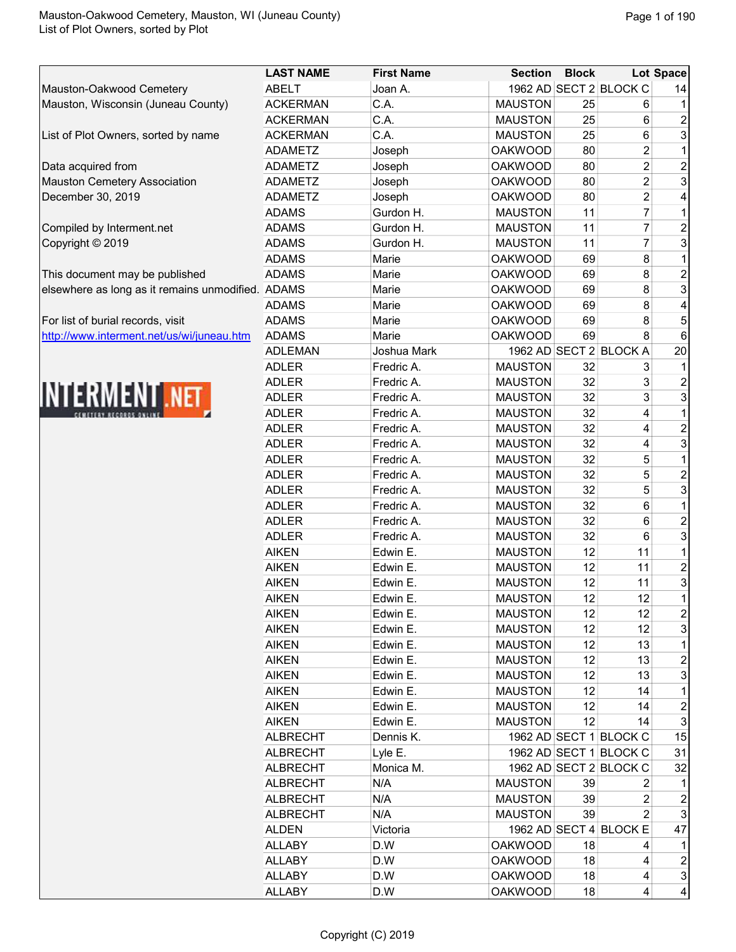|                                                   | <b>LAST NAME</b> | <b>First Name</b> | <b>Section</b> | <b>Block</b> |                        | Lot Space               |
|---------------------------------------------------|------------------|-------------------|----------------|--------------|------------------------|-------------------------|
| Mauston-Oakwood Cemetery                          | <b>ABELT</b>     | Joan A.           |                |              | 1962 AD SECT 2 BLOCK C | 14                      |
| Mauston, Wisconsin (Juneau County)                | <b>ACKERMAN</b>  | C.A.              | <b>MAUSTON</b> | 25           | 6                      | 1                       |
|                                                   | <b>ACKERMAN</b>  | C.A.              | <b>MAUSTON</b> | 25           | 6                      |                         |
| List of Plot Owners, sorted by name               | <b>ACKERMAN</b>  | C.A.              | <b>MAUSTON</b> | 25           | 6                      | $\frac{2}{3}$           |
|                                                   | ADAMETZ          | Joseph            | <b>OAKWOOD</b> | 80           | $\overline{c}$         | 1                       |
| Data acquired from                                | <b>ADAMETZ</b>   | Joseph            | <b>OAKWOOD</b> | 80           | $\boldsymbol{2}$       | $\overline{\mathbf{c}}$ |
| <b>Mauston Cemetery Association</b>               | <b>ADAMETZ</b>   | Joseph            | <b>OAKWOOD</b> | 80           | $\overline{c}$         | 3                       |
| December 30, 2019                                 | <b>ADAMETZ</b>   | Joseph            | <b>OAKWOOD</b> | 80           | $\overline{c}$         | 4                       |
|                                                   | <b>ADAMS</b>     | Gurdon H.         | <b>MAUSTON</b> | 11           | $\overline{7}$         | 1                       |
| Compiled by Interment.net                         | <b>ADAMS</b>     | Gurdon H.         | <b>MAUSTON</b> | 11           | $\overline{7}$         | $\frac{2}{3}$           |
| Copyright © 2019                                  | <b>ADAMS</b>     | Gurdon H.         | <b>MAUSTON</b> | 11           | $\overline{7}$         |                         |
|                                                   | <b>ADAMS</b>     | Marie             | <b>OAKWOOD</b> | 69           | 8                      | 1                       |
| This document may be published                    | <b>ADAMS</b>     | Marie             | <b>OAKWOOD</b> | 69           | 8                      | $\overline{c}$          |
| elsewhere as long as it remains unmodified. ADAMS |                  | Marie             | <b>OAKWOOD</b> | 69           | 8                      | 3                       |
|                                                   | <b>ADAMS</b>     | Marie             | <b>OAKWOOD</b> | 69           | 8                      | 4                       |
| For list of burial records, visit                 | <b>ADAMS</b>     | Marie             | <b>OAKWOOD</b> | 69           | 8                      | 5                       |
| http://www.interment.net/us/wi/juneau.htm         | <b>ADAMS</b>     | Marie             | <b>OAKWOOD</b> | 69           | 8                      | $6\phantom{1}$          |
|                                                   | <b>ADLEMAN</b>   | Joshua Mark       |                |              | 1962 AD SECT 2 BLOCK A | 20                      |
|                                                   | <b>ADLER</b>     | Fredric A.        | <b>MAUSTON</b> | 32           | 3                      | 1                       |
|                                                   | <b>ADLER</b>     | Fredric A.        | <b>MAUSTON</b> | 32           | 3                      | $\overline{c}$          |
| INTERMENT .NET                                    | <b>ADLER</b>     | Fredric A.        | <b>MAUSTON</b> | 32           | 3                      | 3                       |
|                                                   | <b>ADLER</b>     | Fredric A.        | <b>MAUSTON</b> | 32           | 4                      | 1                       |
|                                                   | <b>ADLER</b>     | Fredric A.        | <b>MAUSTON</b> | 32           | 4                      |                         |
|                                                   | <b>ADLER</b>     | Fredric A.        | <b>MAUSTON</b> | 32           | 4                      | $\frac{2}{3}$           |
|                                                   | <b>ADLER</b>     | Fredric A.        | <b>MAUSTON</b> | 32           | 5                      | $\overline{1}$          |
|                                                   | <b>ADLER</b>     | Fredric A.        | <b>MAUSTON</b> | 32           | 5                      | $\overline{\mathbf{c}}$ |
|                                                   | <b>ADLER</b>     | Fredric A.        | <b>MAUSTON</b> | 32           | 5                      | $\overline{3}$          |
|                                                   | <b>ADLER</b>     | Fredric A.        | <b>MAUSTON</b> | 32           | 6                      | $\mathbf 1$             |
|                                                   | <b>ADLER</b>     | Fredric A.        | <b>MAUSTON</b> | 32           | 6                      | $\overline{\mathbf{c}}$ |
|                                                   | <b>ADLER</b>     | Fredric A.        | <b>MAUSTON</b> | 32           | 6                      | 3                       |
|                                                   | <b>AIKEN</b>     | Edwin E.          | <b>MAUSTON</b> | 12           | 11                     | $\overline{1}$          |
|                                                   | <b>AIKEN</b>     | Edwin E.          | <b>MAUSTON</b> | 12           | 11                     | $\frac{2}{3}$           |
|                                                   | <b>AIKEN</b>     | Edwin E.          | <b>MAUSTON</b> | 12           | 11                     |                         |
|                                                   | <b>AIKEN</b>     | Edwin E.          | <b>MAUSTON</b> | 12           | 12                     | 1                       |
|                                                   | <b>AIKEN</b>     | Edwin E.          | <b>MAUSTON</b> | 12           | 12                     | $\overline{\mathbf{c}}$ |
|                                                   | <b>AIKEN</b>     | Edwin E.          | <b>MAUSTON</b> | 12           | 12                     | $\overline{3}$          |
|                                                   | <b>AIKEN</b>     | Edwin E.          | <b>MAUSTON</b> | 12           | 13                     | 1                       |
|                                                   | <b>AIKEN</b>     | Edwin E.          | <b>MAUSTON</b> | 12           | 13                     |                         |
|                                                   | <b>AIKEN</b>     | Edwin E.          | <b>MAUSTON</b> | 12           | 13                     | $\frac{2}{3}$           |
|                                                   | <b>AIKEN</b>     | Edwin E.          | <b>MAUSTON</b> | 12           | 14                     | 1                       |
|                                                   | <b>AIKEN</b>     | Edwin E.          | <b>MAUSTON</b> | 12           | 14                     | $\overline{\mathbf{c}}$ |
|                                                   | <b>AIKEN</b>     | Edwin E.          | <b>MAUSTON</b> | 12           | 14                     | $\overline{3}$          |
|                                                   | <b>ALBRECHT</b>  | Dennis K.         |                |              | 1962 AD SECT 1 BLOCK C | 15                      |
|                                                   | <b>ALBRECHT</b>  | Lyle E.           |                |              | 1962 AD SECT 1 BLOCK C | 31                      |
|                                                   | <b>ALBRECHT</b>  | Monica M.         |                |              | 1962 AD SECT 2 BLOCK C | 32                      |
|                                                   | ALBRECHT         | N/A               | <b>MAUSTON</b> | 39           | 2                      | 1                       |
|                                                   | <b>ALBRECHT</b>  | N/A               | <b>MAUSTON</b> | 39           | 2                      | $\overline{\mathbf{c}}$ |
|                                                   | <b>ALBRECHT</b>  | N/A               | <b>MAUSTON</b> | 39           | 2                      | 3                       |
|                                                   | <b>ALDEN</b>     | Victoria          |                |              | 1962 AD SECT 4 BLOCK E | 47                      |
|                                                   | <b>ALLABY</b>    | D.W               | <b>OAKWOOD</b> | 18           | 4                      | 1                       |
|                                                   | <b>ALLABY</b>    | D.W               | <b>OAKWOOD</b> | 18           | 4                      | 2                       |
|                                                   | <b>ALLABY</b>    | D.W               | <b>OAKWOOD</b> | 18           | 4                      | $\overline{3}$          |
|                                                   | <b>ALLABY</b>    | D.W               | <b>OAKWOOD</b> | 18           | 4                      | 4                       |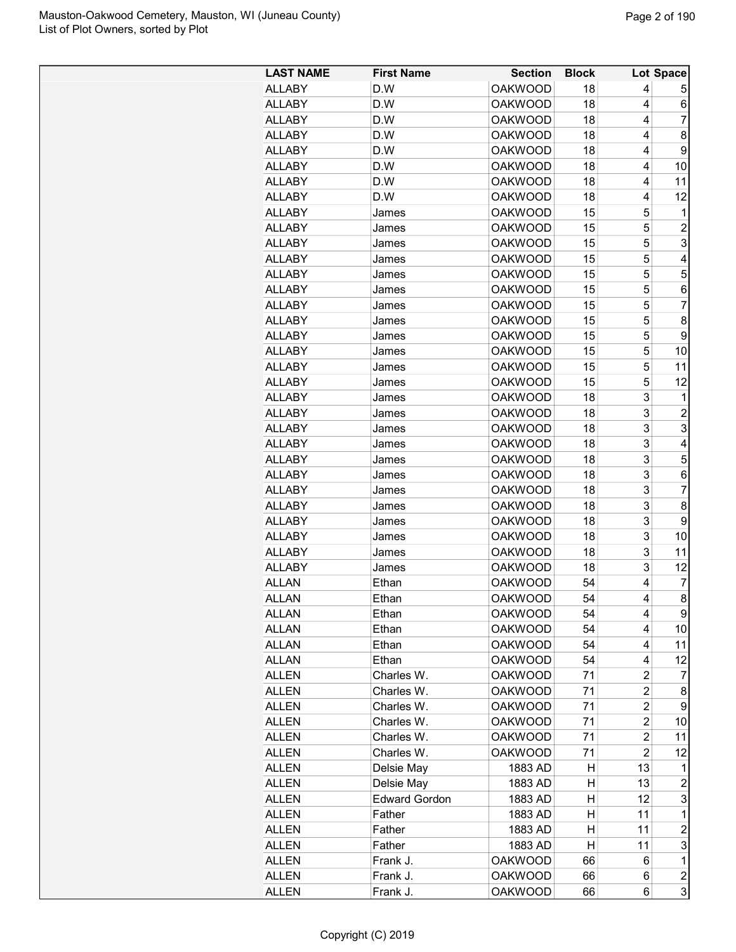| <b>LAST NAME</b> | <b>First Name</b>    | <b>Section</b> | <b>Block</b> |                | Lot Space               |
|------------------|----------------------|----------------|--------------|----------------|-------------------------|
| <b>ALLABY</b>    | D.W                  | <b>OAKWOOD</b> | 18           | 4              | 5                       |
| <b>ALLABY</b>    | D.W                  | <b>OAKWOOD</b> | 18           | 4              | 6                       |
| ALLABY           | D.W                  | <b>OAKWOOD</b> | 18           | 4              | 7                       |
| <b>ALLABY</b>    | D.W                  | <b>OAKWOOD</b> | 18           | 4              | 8                       |
| <b>ALLABY</b>    | D.W                  | <b>OAKWOOD</b> | 18           | 4              | 9                       |
| <b>ALLABY</b>    | D.W                  | <b>OAKWOOD</b> | 18           | 4              | 10                      |
| <b>ALLABY</b>    | D.W                  | <b>OAKWOOD</b> | 18           | 4              | 11                      |
| <b>ALLABY</b>    | D.W                  | <b>OAKWOOD</b> | 18           | 4              | 12                      |
| <b>ALLABY</b>    | James                | <b>OAKWOOD</b> | 15           | 5              | 1                       |
| ALLABY           | James                | <b>OAKWOOD</b> | 15           | 5              | 2                       |
| <b>ALLABY</b>    | James                | <b>OAKWOOD</b> | 15           | 5              | 3                       |
| <b>ALLABY</b>    | James                | <b>OAKWOOD</b> | 15           | 5              | 4                       |
| <b>ALLABY</b>    |                      | <b>OAKWOOD</b> | 15           | 5              | 5                       |
|                  | James                |                |              | 5              |                         |
| <b>ALLABY</b>    | James                | <b>OAKWOOD</b> | 15           | 5              | 6                       |
| <b>ALLABY</b>    | James                | <b>OAKWOOD</b> | 15           |                | 7                       |
| <b>ALLABY</b>    | James                | <b>OAKWOOD</b> | 15           | 5              | 8                       |
| ALLABY           | James                | <b>OAKWOOD</b> | 15           | 5              | 9                       |
| <b>ALLABY</b>    | James                | <b>OAKWOOD</b> | 15           | 5              | 10                      |
| <b>ALLABY</b>    | James                | <b>OAKWOOD</b> | 15           | 5              | 11                      |
| <b>ALLABY</b>    | James                | <b>OAKWOOD</b> | 15           | 5              | 12                      |
| <b>ALLABY</b>    | James                | <b>OAKWOOD</b> | 18           | 3              | 1                       |
| <b>ALLABY</b>    | James                | <b>OAKWOOD</b> | 18           | 3              | $\overline{c}$          |
| <b>ALLABY</b>    | James                | <b>OAKWOOD</b> | 18           | 3              | 3                       |
| ALLABY           | James                | <b>OAKWOOD</b> | 18           | 3              | 4                       |
| <b>ALLABY</b>    | James                | <b>OAKWOOD</b> | 18           | 3              | 5                       |
| <b>ALLABY</b>    | James                | <b>OAKWOOD</b> | 18           | 3              | 6                       |
| <b>ALLABY</b>    | James                | <b>OAKWOOD</b> | 18           | 3              | 7                       |
| <b>ALLABY</b>    | James                | <b>OAKWOOD</b> | 18           | 3              | 8                       |
| <b>ALLABY</b>    | James                | <b>OAKWOOD</b> | 18           | 3              | 9                       |
| <b>ALLABY</b>    | James                | <b>OAKWOOD</b> | 18           | 3              | 10                      |
| <b>ALLABY</b>    | James                | <b>OAKWOOD</b> | 18           | 3              | 11                      |
| <b>ALLABY</b>    | James                | <b>OAKWOOD</b> | 18           | 3              | 12                      |
| <b>ALLAN</b>     | Ethan                | <b>OAKWOOD</b> | 54           | 4              | 7                       |
| <b>ALLAN</b>     | Ethan                | <b>OAKWOOD</b> | 54           | 4              | 8                       |
| ALLAN            | Ethan                | <b>OAKWOOD</b> | 54           | 4              | 9                       |
| <b>ALLAN</b>     | Ethan                | <b>OAKWOOD</b> | 54           | 4              | 10                      |
| <b>ALLAN</b>     | Ethan                | <b>OAKWOOD</b> | 54           | 4              | 11                      |
| <b>ALLAN</b>     | Ethan                | <b>OAKWOOD</b> | 54           | 4              | 12                      |
| <b>ALLEN</b>     | Charles W.           | <b>OAKWOOD</b> | 71           | $\overline{c}$ | 7                       |
| <b>ALLEN</b>     | Charles W.           | <b>OAKWOOD</b> | 71           | $\overline{c}$ | 8                       |
| ALLEN            | Charles W.           | <b>OAKWOOD</b> | 71           | $\overline{c}$ | 9                       |
| <b>ALLEN</b>     | Charles W.           | <b>OAKWOOD</b> | 71           | $\overline{c}$ | 10                      |
| <b>ALLEN</b>     | Charles W.           | <b>OAKWOOD</b> | 71           | $\overline{c}$ | 11                      |
| <b>ALLEN</b>     | Charles W.           | <b>OAKWOOD</b> | 71           | $\overline{2}$ | 12                      |
| ALLEN            | Delsie May           | 1883 AD        | н            | 13             | 1                       |
| <b>ALLEN</b>     | Delsie May           | 1883 AD        | н            | 13             | 2                       |
| ALLEN            | <b>Edward Gordon</b> | 1883 AD        | н            | 12             | 3                       |
| <b>ALLEN</b>     | Father               | 1883 AD        | н            | 11             | 1                       |
| ALLEN            | Father               | 1883 AD        | н            | 11             | $\overline{c}$          |
| <b>ALLEN</b>     | Father               | 1883 AD        | н            | 11             | 3                       |
| <b>ALLEN</b>     | Frank J.             | <b>OAKWOOD</b> | 66           | 6              | 1                       |
| <b>ALLEN</b>     | Frank J.             | <b>OAKWOOD</b> | 66           | 6              | $\overline{\mathbf{c}}$ |
| <b>ALLEN</b>     | Frank J.             | <b>OAKWOOD</b> | 66           | 6              | 3                       |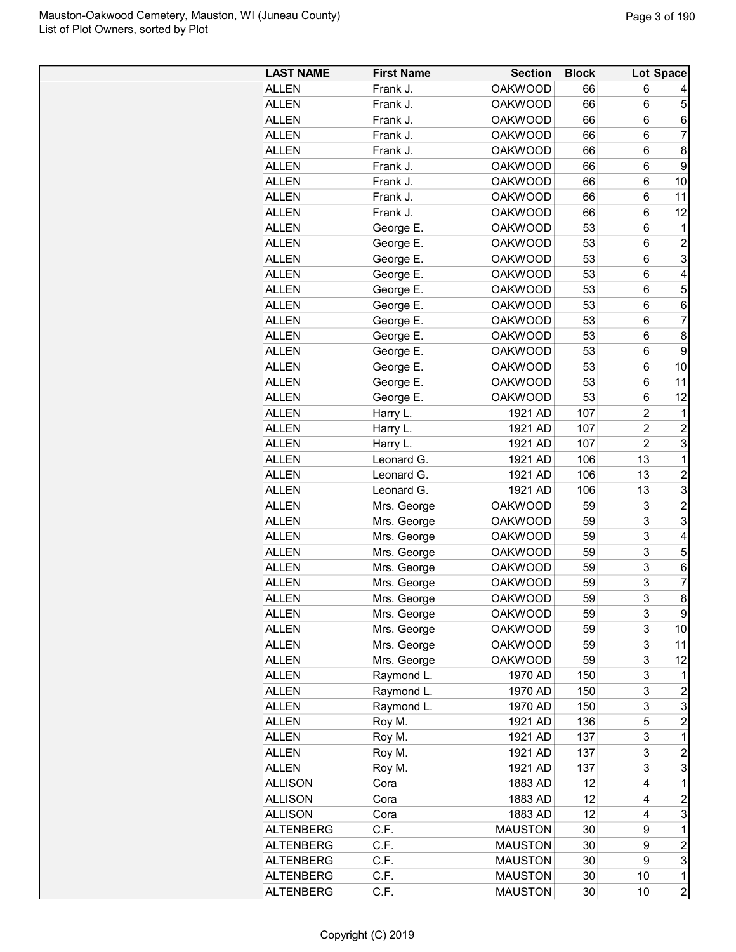| <b>LAST NAME</b>      | <b>First Name</b>          | <b>Section</b> | <b>Block</b> |                | Lot Space      |
|-----------------------|----------------------------|----------------|--------------|----------------|----------------|
| <b>ALLEN</b>          | Frank J.                   | <b>OAKWOOD</b> | 66           | 6              |                |
| <b>ALLEN</b>          | Frank J.                   | <b>OAKWOOD</b> | 66           | 6              | 5              |
| <b>ALLEN</b>          | Frank J.                   | <b>OAKWOOD</b> | 66           | 6              | 6              |
| ALLEN                 | Frank J.                   | <b>OAKWOOD</b> | 66           | 6              | 7              |
| <b>ALLEN</b>          | Frank J.                   | <b>OAKWOOD</b> | 66           | 6              | 8              |
| <b>ALLEN</b>          | Frank J.                   | <b>OAKWOOD</b> | 66           | 6              | 9              |
| <b>ALLEN</b>          | Frank J.                   | <b>OAKWOOD</b> | 66           | 6              | 10             |
| <b>ALLEN</b>          | Frank J.                   | <b>OAKWOOD</b> | 66           | 6              | 11             |
| <b>ALLEN</b>          | Frank J.                   | <b>OAKWOOD</b> | 66           | 6              | 12             |
| <b>ALLEN</b>          | George E.                  | <b>OAKWOOD</b> | 53           | 6              | 1              |
| <b>ALLEN</b>          | George E.                  | <b>OAKWOOD</b> | 53           | 6              | $\overline{c}$ |
| <b>ALLEN</b>          | George E.                  | <b>OAKWOOD</b> | 53           | 6              | 3              |
| <b>ALLEN</b>          | George E.                  | <b>OAKWOOD</b> | 53           | 6              | 4              |
| <b>ALLEN</b>          | George E.                  | <b>OAKWOOD</b> | 53           | 6              | 5              |
| <b>ALLEN</b>          | George E.                  | <b>OAKWOOD</b> | 53           | 6              | 6              |
| <b>ALLEN</b>          | George E.                  | <b>OAKWOOD</b> | 53           | 6              | 7              |
| ALLEN                 | George E.                  | <b>OAKWOOD</b> | 53           | 6              | 8              |
| <b>ALLEN</b>          | George E.                  | <b>OAKWOOD</b> | 53           | 6              | 9              |
| <b>ALLEN</b>          | George E.                  | <b>OAKWOOD</b> | 53           | 6              | 10             |
| <b>ALLEN</b>          | George E.                  | <b>OAKWOOD</b> | 53           | 6              | 11             |
| <b>ALLEN</b>          | George E.                  | <b>OAKWOOD</b> | 53           | 6              | 12             |
| <b>ALLEN</b>          | Harry L.                   | 1921 AD        | 107          | $\overline{c}$ | 1              |
| <b>ALLEN</b>          | Harry L.                   | 1921 AD        | 107          | $\overline{2}$ | $\overline{2}$ |
| <b>ALLEN</b>          | Harry L.                   | 1921 AD        | 107          | $\overline{c}$ | 3              |
| <b>ALLEN</b>          | Leonard G.                 | 1921 AD        | 106          | 13             | $\mathbf{1}$   |
| <b>ALLEN</b>          | Leonard G.                 | 1921 AD        | 106          | 13             | $\overline{2}$ |
| <b>ALLEN</b>          | Leonard G.                 | 1921 AD        | 106          | 13             | 3              |
| <b>ALLEN</b>          | Mrs. George                | <b>OAKWOOD</b> | 59           | 3              | $\overline{c}$ |
| <b>ALLEN</b>          | Mrs. George                | <b>OAKWOOD</b> | 59           | 3              | 3              |
| <b>ALLEN</b>          | Mrs. George                | <b>OAKWOOD</b> | 59           | 3              | 4              |
| <b>ALLEN</b>          | Mrs. George                | <b>OAKWOOD</b> | 59           | 3              | 5              |
| ALLEN                 | Mrs. George                | <b>OAKWOOD</b> | 59           | 3              | 6              |
| <b>ALLEN</b>          | Mrs. George                | <b>OAKWOOD</b> | 59           | 3              | 7              |
| <b>ALLEN</b>          | Mrs. George                | <b>OAKWOOD</b> | 59           | 3              | 8              |
|                       |                            | <b>OAKWOOD</b> |              |                | 9              |
| ALLEN<br><b>ALLEN</b> | Mrs. George<br>Mrs. George | <b>OAKWOOD</b> | 59<br>59     | 3<br>3         | 10             |
| <b>ALLEN</b>          | Mrs. George                | <b>OAKWOOD</b> | 59           | 3              | 11             |
| <b>ALLEN</b>          | Mrs. George                | <b>OAKWOOD</b> | 59           | 3              | 12             |
| <b>ALLEN</b>          | Raymond L.                 | 1970 AD        | 150          | 3              | 1              |
| <b>ALLEN</b>          | Raymond L.                 | 1970 AD        | 150          | 3              | $\overline{c}$ |
| <b>ALLEN</b>          | Raymond L.                 | 1970 AD        | 150          | 3              | 3              |
| <b>ALLEN</b>          | Roy M.                     | 1921 AD        | 136          | 5              | $\overline{c}$ |
|                       |                            | 1921 AD        |              | 3              | $\mathbf{1}$   |
| <b>ALLEN</b>          | Roy M.                     |                | 137          | 3              |                |
| <b>ALLEN</b>          | Roy M.                     | 1921 AD        | 137          |                | $\overline{c}$ |
| <b>ALLEN</b>          | Roy M.                     | 1921 AD        | 137<br>12    | 3<br>4         | 3<br>1         |
| <b>ALLISON</b>        | Cora                       | 1883 AD        |              |                |                |
| <b>ALLISON</b>        | Cora                       | 1883 AD        | 12           | 4              | $\overline{c}$ |
| <b>ALLISON</b>        | Cora                       | 1883 AD        | 12           | 4              | 3              |
| <b>ALTENBERG</b>      | C.F.                       | <b>MAUSTON</b> | 30           | 9              | 1              |
| <b>ALTENBERG</b>      | C.F.                       | <b>MAUSTON</b> | 30           | 9              | $\overline{c}$ |
| <b>ALTENBERG</b>      | C.F.                       | <b>MAUSTON</b> | 30           | 9              | 3              |
| <b>ALTENBERG</b>      | C.F.                       | <b>MAUSTON</b> | 30           | 10             | 1              |
| <b>ALTENBERG</b>      | C.F.                       | <b>MAUSTON</b> | 30           | 10             | $\overline{c}$ |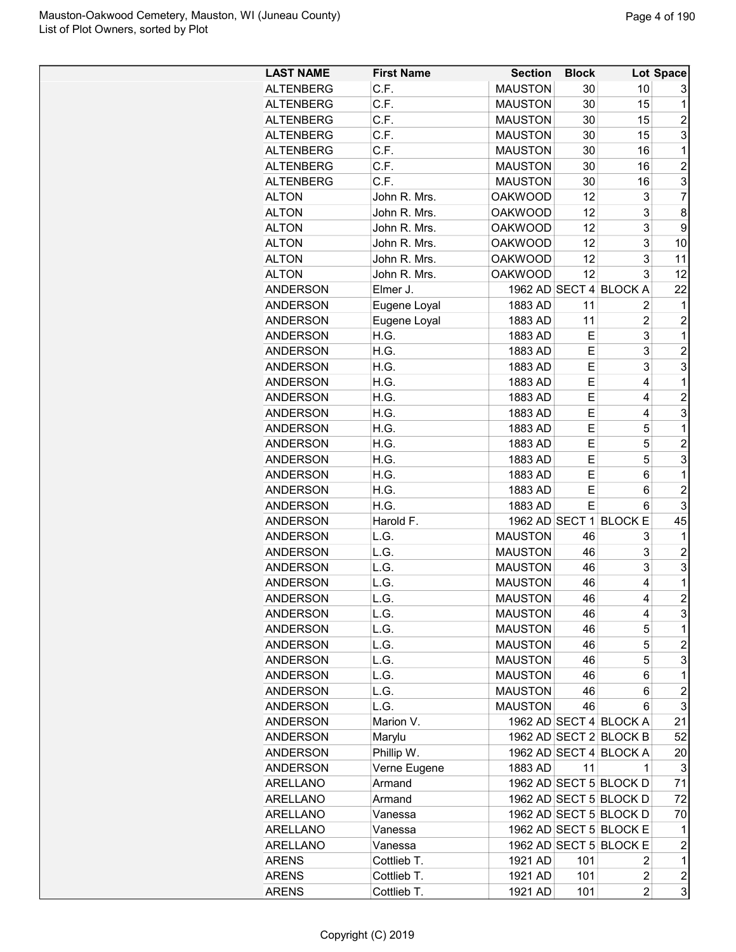| <b>LAST NAME</b> | <b>First Name</b> | <b>Section</b> | <b>Block</b> |                        | Lot Space               |
|------------------|-------------------|----------------|--------------|------------------------|-------------------------|
| <b>ALTENBERG</b> | C.F.              | <b>MAUSTON</b> | 30           | 10                     | 3                       |
| <b>ALTENBERG</b> | C.F.              | <b>MAUSTON</b> | 30           | 15                     | 1                       |
| <b>ALTENBERG</b> | C.F.              | <b>MAUSTON</b> | 30           | 15                     | $\overline{2}$          |
| <b>ALTENBERG</b> | C.F.              | <b>MAUSTON</b> | 30           | 15                     | 3                       |
| <b>ALTENBERG</b> | C.F.              | <b>MAUSTON</b> | 30           | 16                     | 1                       |
| <b>ALTENBERG</b> | C.F.              | <b>MAUSTON</b> | 30           | 16                     | $\overline{c}$          |
| <b>ALTENBERG</b> | C.F.              | <b>MAUSTON</b> | 30           | 16                     | 3                       |
| <b>ALTON</b>     | John R. Mrs.      | <b>OAKWOOD</b> | 12           | 3                      | $\overline{7}$          |
| <b>ALTON</b>     | John R. Mrs.      | <b>OAKWOOD</b> | 12           | 3                      | 8                       |
| <b>ALTON</b>     | John R. Mrs.      | <b>OAKWOOD</b> | 12           | 3                      | 9                       |
| <b>ALTON</b>     | John R. Mrs.      | <b>OAKWOOD</b> | 12           | 3                      | 10                      |
| <b>ALTON</b>     | John R. Mrs.      | <b>OAKWOOD</b> | 12           | 3                      | 11                      |
| <b>ALTON</b>     | John R. Mrs.      | <b>OAKWOOD</b> | 12           | 3                      | 12                      |
| <b>ANDERSON</b>  | Elmer J.          |                |              | 1962 AD SECT 4 BLOCK A | 22                      |
| <b>ANDERSON</b>  | Eugene Loyal      | 1883 AD        | 11           | $\overline{c}$         | 1                       |
| <b>ANDERSON</b>  | Eugene Loyal      | 1883 AD        | 11           | $\overline{2}$         | $\overline{2}$          |
| <b>ANDERSON</b>  | H.G.              | 1883 AD        | Е            | 3                      | 1                       |
| <b>ANDERSON</b>  | H.G.              | 1883 AD        | E            | $\overline{3}$         | $\overline{2}$          |
| <b>ANDERSON</b>  | H.G.              | 1883 AD        | Е            | 3                      | 3                       |
| <b>ANDERSON</b>  | H.G.              | 1883 AD        | E            | 4                      | 1                       |
| <b>ANDERSON</b>  | H.G.              | 1883 AD        | E            | 4                      | $\overline{2}$          |
| <b>ANDERSON</b>  | H.G.              | 1883 AD        | E            | 4                      | 3                       |
| <b>ANDERSON</b>  | H.G.              | 1883 AD        | E            | 5                      | 1                       |
|                  | H.G.              | 1883 AD        | E            | 5                      | $\overline{c}$          |
| <b>ANDERSON</b>  | H.G.              | 1883 AD        | E            | 5                      | 3                       |
| <b>ANDERSON</b>  |                   |                | Е            |                        | 1                       |
| <b>ANDERSON</b>  | H.G.<br>H.G.      | 1883 AD        | Е            | 6                      |                         |
| <b>ANDERSON</b>  |                   | 1883 AD        |              | 6                      | $\overline{2}$          |
| <b>ANDERSON</b>  | H.G.              | 1883 AD        | Е            | 6                      | 3                       |
| <b>ANDERSON</b>  | Harold F.         |                |              | 1962 AD SECT 1 BLOCK E | 45                      |
| <b>ANDERSON</b>  | L.G.              | <b>MAUSTON</b> | 46           | 3                      | 1                       |
| <b>ANDERSON</b>  | L.G.              | <b>MAUSTON</b> | 46           | 3                      | $\overline{c}$          |
| <b>ANDERSON</b>  | L.G.              | <b>MAUSTON</b> | 46           | 3                      | 3                       |
| <b>ANDERSON</b>  | L.G.              | <b>MAUSTON</b> | 46           | 4                      | 1                       |
| <b>ANDERSON</b>  | L.G.              | <b>MAUSTON</b> | 46           | 4                      | $\overline{2}$          |
| ANDERSON         | L.G.              | <b>MAUSTON</b> | 46           | 4                      | 3                       |
| <b>ANDERSON</b>  | L.G.              | <b>MAUSTON</b> | 46           | 5                      | 1                       |
| ANDERSON         | L.G.              | <b>MAUSTON</b> | 46           | 5                      | $\overline{\mathbf{c}}$ |
| <b>ANDERSON</b>  | L.G.              | <b>MAUSTON</b> | 46           | 5                      | 3                       |
| <b>ANDERSON</b>  | L.G.              | <b>MAUSTON</b> | 46           | 6                      | 1                       |
| <b>ANDERSON</b>  | L.G.              | <b>MAUSTON</b> | 46           | 6                      | $\overline{c}$          |
| <b>ANDERSON</b>  | L.G.              | <b>MAUSTON</b> | 46           | 6                      | 3                       |
| <b>ANDERSON</b>  | Marion V.         |                |              | 1962 AD SECT 4 BLOCK A | 21                      |
| <b>ANDERSON</b>  | Marylu            |                |              | 1962 AD SECT 2 BLOCK B | 52                      |
| <b>ANDERSON</b>  | Phillip W.        |                |              | 1962 AD SECT 4 BLOCK A | 20                      |
| <b>ANDERSON</b>  | Verne Eugene      | 1883 AD        | 11           | 1                      | 3                       |
| ARELLANO         | Armand            |                |              | 1962 AD SECT 5 BLOCK D | 71                      |
| ARELLANO         | Armand            |                |              | 1962 AD SECT 5 BLOCK D | 72                      |
| <b>ARELLANO</b>  | Vanessa           |                |              | 1962 AD SECT 5 BLOCK D | 70                      |
| ARELLANO         | Vanessa           |                |              | 1962 AD SECT 5 BLOCK E | 1                       |
| <b>ARELLANO</b>  | Vanessa           |                |              | 1962 AD SECT 5 BLOCK E | $\overline{\mathbf{c}}$ |
| <b>ARENS</b>     | Cottlieb T.       | 1921 AD        | 101          | 2                      | 1                       |
| <b>ARENS</b>     | Cottlieb T.       | 1921 AD        | 101          | $\overline{2}$         | $\overline{\mathbf{c}}$ |
| <b>ARENS</b>     | Cottlieb T.       | 1921 AD        | 101          | $\overline{c}$         | 3                       |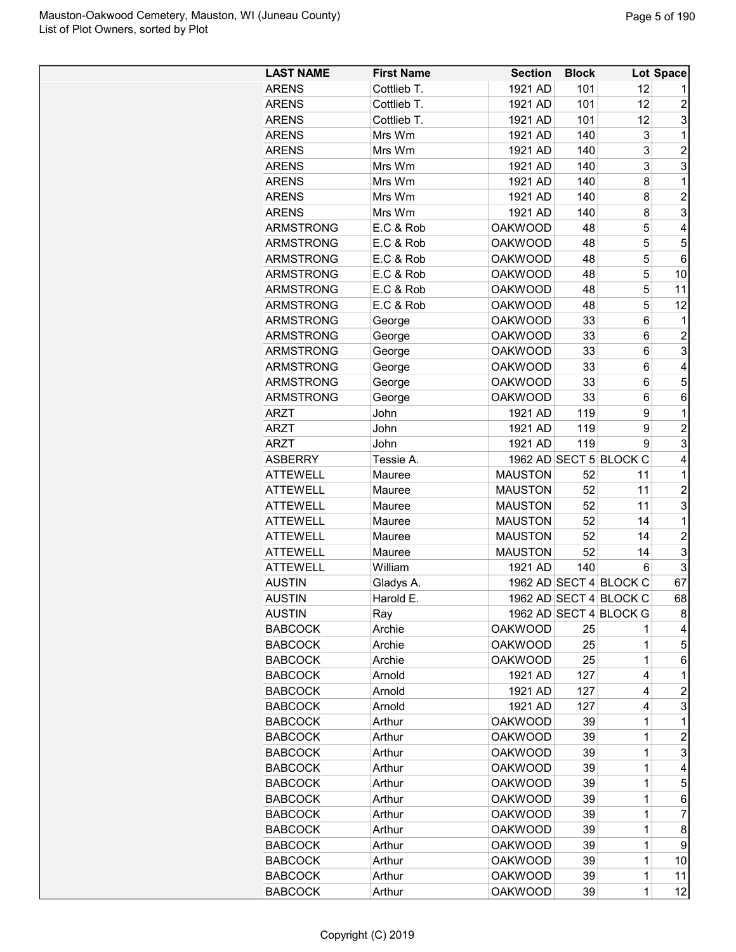| <b>LAST NAME</b>           | <b>First Name</b> | <b>Section</b> | <b>Block</b> |                        | <b>Lot Space</b> |
|----------------------------|-------------------|----------------|--------------|------------------------|------------------|
| <b>ARENS</b>               | Cottlieb T.       | 1921 AD        | 101          | 12                     |                  |
| <b>ARENS</b>               | Cottlieb T.       | 1921 AD        | 101          | 12                     | $\overline{2}$   |
| <b>ARENS</b>               | Cottlieb T.       | 1921 AD        | 101          | 12                     | 3                |
| <b>ARENS</b>               | Mrs Wm            | 1921 AD        | 140          | 3                      | 1                |
| <b>ARENS</b>               | Mrs Wm            | 1921 AD        | 140          | 3                      | $\overline{2}$   |
| <b>ARENS</b>               | Mrs Wm            | 1921 AD        | 140          | 3                      | 3                |
| <b>ARENS</b>               | Mrs Wm            | 1921 AD        | 140          | 8                      | 1                |
| <b>ARENS</b>               | Mrs Wm            | 1921 AD        | 140          | 8                      | $\overline{2}$   |
| <b>ARENS</b>               | Mrs Wm            | 1921 AD        | 140          | 8                      | 3                |
| <b>ARMSTRONG</b>           | E.C & Rob         | <b>OAKWOOD</b> | 48           | 5                      | 4                |
| <b>ARMSTRONG</b>           | E.C & Rob         | <b>OAKWOOD</b> | 48           | 5                      | 5                |
| <b>ARMSTRONG</b>           | E.C & Rob         | <b>OAKWOOD</b> | 48           | 5                      | 6                |
| <b>ARMSTRONG</b>           | E.C & Rob         | <b>OAKWOOD</b> | 48           | 5                      | 10               |
| <b>ARMSTRONG</b>           | E.C & Rob         | <b>OAKWOOD</b> | 48           | 5                      | 11               |
| <b>ARMSTRONG</b>           | E.C & Rob         | <b>OAKWOOD</b> | 48           | 5                      | 12               |
| <b>ARMSTRONG</b>           | George            | <b>OAKWOOD</b> | 33           | 6                      | 1                |
| <b>ARMSTRONG</b>           | George            | <b>OAKWOOD</b> | 33           | 6                      | $\overline{2}$   |
| <b>ARMSTRONG</b>           | George            | <b>OAKWOOD</b> | 33           | 6                      | 3                |
| <b>ARMSTRONG</b>           | George            | <b>OAKWOOD</b> | 33           | 6                      | 4                |
| <b>ARMSTRONG</b>           | George            | <b>OAKWOOD</b> | 33           | 6                      | 5                |
| <b>ARMSTRONG</b>           | George            | <b>OAKWOOD</b> | 33           | 6                      | 6                |
| <b>ARZT</b>                | John              | 1921 AD        | 119          | 9                      | 1                |
|                            | John              | 1921 AD        | 119          | 9                      | $\overline{2}$   |
| <b>ARZT</b><br><b>ARZT</b> | John              | 1921 AD        | 119          | 9                      | 3                |
| <b>ASBERRY</b>             | Tessie A.         |                |              | 1962 AD SECT 5 BLOCK C | 4                |
| <b>ATTEWELL</b>            |                   | <b>MAUSTON</b> | 52           | 11                     | 1                |
|                            | Mauree            |                |              |                        |                  |
| <b>ATTEWELL</b>            | Mauree            | <b>MAUSTON</b> | 52           | 11                     | $\overline{c}$   |
| <b>ATTEWELL</b>            | Mauree            | <b>MAUSTON</b> | 52           | 11                     | 3                |
| <b>ATTEWELL</b>            | Mauree            | <b>MAUSTON</b> | 52           | 14                     | 1                |
| <b>ATTEWELL</b>            | Mauree            | <b>MAUSTON</b> | 52           | 14                     | $\overline{c}$   |
| <b>ATTEWELL</b>            | Mauree            | <b>MAUSTON</b> | 52           | 14                     | 3                |
| <b>ATTEWELL</b>            | William           | 1921 AD        | 140          | 6                      | 3                |
| <b>AUSTIN</b>              | Gladys A.         |                |              | 1962 AD SECT 4 BLOCK C | 67<br>68         |
| <b>AUSTIN</b>              | Harold E          |                |              | 1962 AD SECT 4 BLOCK C |                  |
| <b>AUSTIN</b>              | Ray               |                |              | 1962 AD SECT 4 BLOCK G | 8                |
| <b>BABCOCK</b>             | Archie            | <b>OAKWOOD</b> | 25           | 1                      | 4                |
| <b>BABCOCK</b>             | Archie            | <b>OAKWOOD</b> | 25           | $\mathbf 1$            | 5                |
| <b>BABCOCK</b>             | Archie            | <b>OAKWOOD</b> | 25           | 1                      | 6                |
| <b>BABCOCK</b>             | Arnold            | 1921 AD        | 127          | 4                      | 1                |
| <b>BABCOCK</b>             | Arnold            | 1921 AD        | 127          | 4                      | $\overline{c}$   |
| <b>BABCOCK</b>             | Arnold            | 1921 AD        | 127          | 4                      | 3                |
| <b>BABCOCK</b>             | Arthur            | <b>OAKWOOD</b> | 39           | 1                      | 1                |
| <b>BABCOCK</b>             | Arthur            | <b>OAKWOOD</b> | 39           | $\mathbf 1$            | $\overline{c}$   |
| <b>BABCOCK</b>             | Arthur            | <b>OAKWOOD</b> | 39           | $\mathbf 1$            | 3                |
| <b>BABCOCK</b>             | Arthur            | <b>OAKWOOD</b> | 39           | 1                      | 4                |
| <b>BABCOCK</b>             | Arthur            | <b>OAKWOOD</b> | 39           | $\mathbf 1$            | 5                |
| <b>BABCOCK</b>             | Arthur            | <b>OAKWOOD</b> | 39           | 1                      | 6                |
| <b>BABCOCK</b>             | Arthur            | <b>OAKWOOD</b> | 39           | 1                      | 7                |
| <b>BABCOCK</b>             | Arthur            | <b>OAKWOOD</b> | 39           | 1                      | 8                |
| <b>BABCOCK</b>             | Arthur            | <b>OAKWOOD</b> | 39           | 1                      | 9                |
| <b>BABCOCK</b>             | Arthur            | <b>OAKWOOD</b> | 39           | $\mathbf 1$            | 10               |
| <b>BABCOCK</b>             | Arthur            | <b>OAKWOOD</b> | 39           | $\mathbf 1$            | 11               |
| <b>BABCOCK</b>             | Arthur            | <b>OAKWOOD</b> | 39           | $\mathbf 1$            | 12               |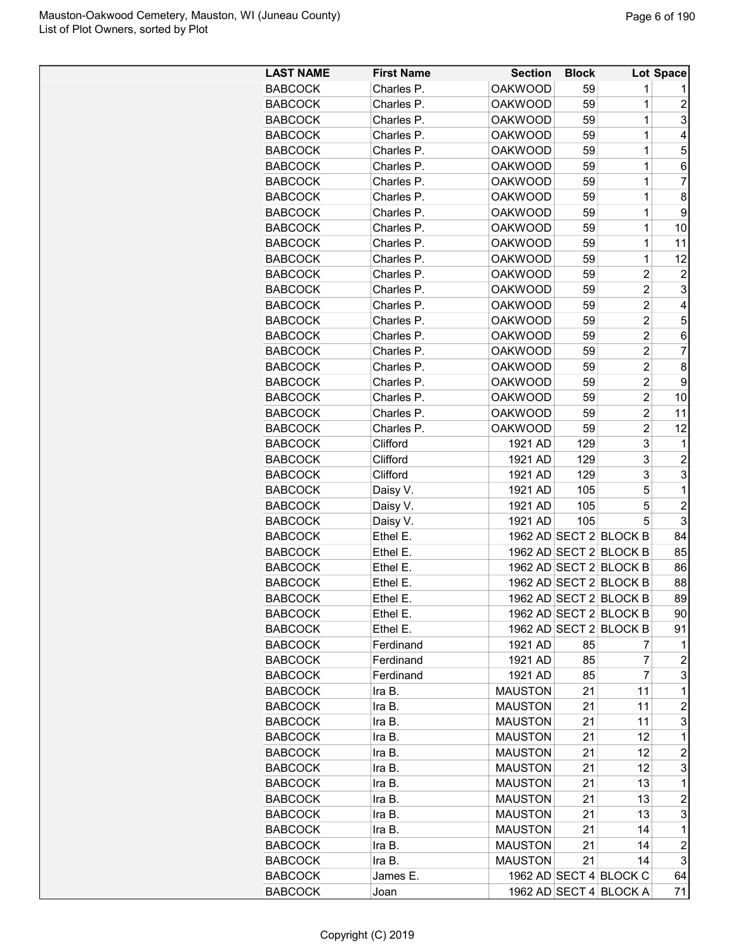| <b>LAST NAME</b> | <b>First Name</b> | <b>Section</b> | <b>Block</b> |                        | Lot Space      |
|------------------|-------------------|----------------|--------------|------------------------|----------------|
| <b>BABCOCK</b>   | Charles P.        | <b>OAKWOOD</b> | 59           | 1                      |                |
| <b>BABCOCK</b>   | Charles P.        | <b>OAKWOOD</b> | 59           | $\mathbf 1$            | $\overline{2}$ |
| <b>BABCOCK</b>   | Charles P.        | <b>OAKWOOD</b> | 59           | $\mathbf 1$            | 3              |
| <b>BABCOCK</b>   | Charles P.        | <b>OAKWOOD</b> | 59           | 1                      | 4              |
| <b>BABCOCK</b>   | Charles P.        | <b>OAKWOOD</b> | 59           | 1                      | 5              |
| <b>BABCOCK</b>   | Charles P.        | <b>OAKWOOD</b> | 59           | 1                      | 6              |
| <b>BABCOCK</b>   | Charles P.        | <b>OAKWOOD</b> | 59           | $\mathbf 1$            | 7              |
| <b>BABCOCK</b>   | Charles P.        | <b>OAKWOOD</b> | 59           | $\mathbf 1$            | 8              |
| <b>BABCOCK</b>   | Charles P.        | <b>OAKWOOD</b> | 59           | $\mathbf 1$            | 9              |
| <b>BABCOCK</b>   | Charles P.        | <b>OAKWOOD</b> | 59           | 1                      | 10             |
| <b>BABCOCK</b>   | Charles P.        | <b>OAKWOOD</b> | 59           | 1                      | 11             |
| <b>BABCOCK</b>   | Charles P.        | <b>OAKWOOD</b> | 59           | 1                      | 12             |
| <b>BABCOCK</b>   | Charles P.        | <b>OAKWOOD</b> | 59           | $\overline{2}$         | $\overline{c}$ |
| <b>BABCOCK</b>   | Charles P.        | <b>OAKWOOD</b> | 59           | $\overline{c}$         | 3              |
| <b>BABCOCK</b>   | Charles P.        | <b>OAKWOOD</b> | 59           | $\overline{c}$         | 4              |
| <b>BABCOCK</b>   | Charles P.        | <b>OAKWOOD</b> | 59           | $\overline{2}$         | 5              |
| <b>BABCOCK</b>   | Charles P.        | <b>OAKWOOD</b> | 59           | $\overline{2}$         | 6              |
| <b>BABCOCK</b>   | Charles P.        | <b>OAKWOOD</b> | 59           | $\overline{c}$         | 7              |
| <b>BABCOCK</b>   | Charles P.        | <b>OAKWOOD</b> | 59           | $\overline{c}$         | 8              |
| <b>BABCOCK</b>   | Charles P.        | <b>OAKWOOD</b> | 59           | $\overline{2}$         | 9              |
| <b>BABCOCK</b>   | Charles P.        | <b>OAKWOOD</b> | 59           | $\overline{c}$         | 10             |
| <b>BABCOCK</b>   | Charles P.        | <b>OAKWOOD</b> | 59           | $\overline{c}$         | 11             |
| <b>BABCOCK</b>   | Charles P.        | <b>OAKWOOD</b> | 59           | $\overline{2}$         | 12             |
| <b>BABCOCK</b>   | Clifford          | 1921 AD        | 129          | 3                      | 1              |
| <b>BABCOCK</b>   | Clifford          | 1921 AD        | 129          | 3                      | $\overline{2}$ |
| <b>BABCOCK</b>   | Clifford          | 1921 AD        | 129          | 3                      | 3              |
| <b>BABCOCK</b>   | Daisy V.          | 1921 AD        | 105          | 5                      | 1              |
| <b>BABCOCK</b>   | Daisy V.          | 1921 AD        | 105          | 5                      | $\overline{c}$ |
| <b>BABCOCK</b>   | Daisy V.          | 1921 AD        | 105          | 5                      | 3              |
| <b>BABCOCK</b>   | Ethel E.          |                |              | 1962 AD SECT 2 BLOCK B | 84             |
| <b>BABCOCK</b>   | Ethel E.          |                |              | 1962 AD SECT 2 BLOCK B | 85             |
| <b>BABCOCK</b>   | Ethel E.          |                |              | 1962 AD SECT 2 BLOCK B | 86             |
| <b>BABCOCK</b>   | Ethel E.          |                |              | 1962 AD SECT 2 BLOCK B | 88             |
| <b>BABCOCK</b>   | Ethel E           |                |              | 1962 AD SECT 2 BLOCK B | 89             |
| <b>BABCOCK</b>   | Ethel E.          |                |              | 1962 AD SECT 2 BLOCK B | 90             |
| <b>BABCOCK</b>   | Ethel E.          |                |              | 1962 AD SECT 2 BLOCK B | 91             |
| <b>BABCOCK</b>   | Ferdinand         | 1921 AD        | 85           | 7                      | 1              |
| <b>BABCOCK</b>   | Ferdinand         | 1921 AD        | 85           | 7                      | $\overline{c}$ |
| <b>BABCOCK</b>   | Ferdinand         | 1921 AD        | 85           | 7                      | 3              |
| <b>BABCOCK</b>   | Ira B.            | <b>MAUSTON</b> | 21           | 11                     | 1              |
| <b>BABCOCK</b>   | Ira B.            | <b>MAUSTON</b> | 21           | 11                     | $\overline{c}$ |
| <b>BABCOCK</b>   | Ira B.            | <b>MAUSTON</b> | 21           | 11                     | 3              |
| <b>BABCOCK</b>   | Ira B.            | <b>MAUSTON</b> | 21           | 12                     | 1              |
| <b>BABCOCK</b>   | Ira B.            | <b>MAUSTON</b> | 21           | 12                     | 2              |
| <b>BABCOCK</b>   | Ira B.            | <b>MAUSTON</b> | 21           | 12                     | 3              |
| <b>BABCOCK</b>   | Ira B.            | <b>MAUSTON</b> | 21           | 13                     | 1              |
| <b>BABCOCK</b>   | Ira B.            | <b>MAUSTON</b> | 21           | 13                     | $\overline{c}$ |
| <b>BABCOCK</b>   | Ira B.            | <b>MAUSTON</b> | 21           | 13                     | 3              |
| <b>BABCOCK</b>   | Ira B.            | <b>MAUSTON</b> | 21           | 14                     | 1              |
| <b>BABCOCK</b>   | Ira B.            | <b>MAUSTON</b> | 21           | 14                     | $\overline{c}$ |
| <b>BABCOCK</b>   | Ira B.            | <b>MAUSTON</b> | 21           | 14                     | 3              |
| <b>BABCOCK</b>   | James E.          |                |              | 1962 AD SECT 4 BLOCK C | 64             |
| <b>BABCOCK</b>   | Joan              |                |              | 1962 AD SECT 4 BLOCK A | 71             |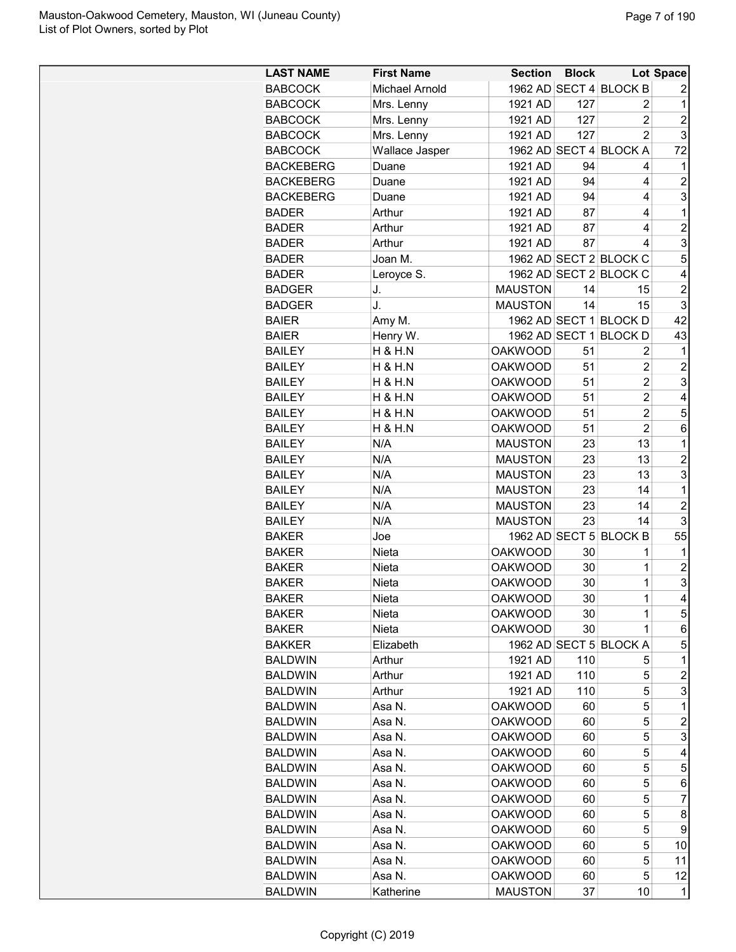| <b>LAST NAME</b> | <b>First Name</b>  | <b>Section</b> | <b>Block</b> |                        | Lot Space      |
|------------------|--------------------|----------------|--------------|------------------------|----------------|
| <b>BABCOCK</b>   | Michael Arnold     |                |              | 1962 AD SECT 4 BLOCK B | 2              |
| <b>BABCOCK</b>   | Mrs. Lenny         | 1921 AD        | 127          | 2                      | 1              |
| <b>BABCOCK</b>   | Mrs. Lenny         | 1921 AD        | 127          | $\overline{c}$         | $\overline{c}$ |
| <b>BABCOCK</b>   | Mrs. Lenny         | 1921 AD        | 127          | $\overline{2}$         | 3              |
| <b>BABCOCK</b>   | Wallace Jasper     |                |              | 1962 AD SECT 4 BLOCK A | 72             |
| <b>BACKEBERG</b> | Duane              | 1921 AD        | 94           | 4                      | 1              |
| <b>BACKEBERG</b> | Duane              | 1921 AD        | 94           | 4                      | $\overline{2}$ |
| <b>BACKEBERG</b> | Duane              | 1921 AD        | 94           | 4                      | 3              |
| <b>BADER</b>     | Arthur             | 1921 AD        | 87           | 4                      | $\mathbf 1$    |
| <b>BADER</b>     | Arthur             | 1921 AD        | 87           | 4                      | $\overline{c}$ |
| <b>BADER</b>     | Arthur             | 1921 AD        | 87           | 4                      | 3              |
| <b>BADER</b>     | Joan M.            |                |              | 1962 AD SECT 2 BLOCK C | 5              |
| <b>BADER</b>     | Leroyce S.         |                |              | 1962 AD SECT 2 BLOCK C | 4              |
| <b>BADGER</b>    | J.                 | <b>MAUSTON</b> | 14           |                        | $\overline{c}$ |
|                  | J.                 | <b>MAUSTON</b> | 14           | 15<br>15               | 3              |
| <b>BADGER</b>    |                    |                |              | 1962 AD SECT 1 BLOCK D | 42             |
| <b>BAIER</b>     | Amy M.             |                |              |                        |                |
| <b>BAIER</b>     | Henry W.           | 1962 AD SECT 1 |              | <b>BLOCKD</b>          | 43             |
| <b>BAILEY</b>    | <b>H &amp; H.N</b> | <b>OAKWOOD</b> | 51           | 2                      | 1              |
| <b>BAILEY</b>    | <b>H &amp; H.N</b> | <b>OAKWOOD</b> | 51           | 2                      | $\overline{c}$ |
| <b>BAILEY</b>    | H & H.N            | <b>OAKWOOD</b> | 51           | 2                      | 3              |
| <b>BAILEY</b>    | <b>H &amp; H.N</b> | <b>OAKWOOD</b> | 51           | $\overline{c}$         | 4              |
| <b>BAILEY</b>    | <b>H &amp; H.N</b> | <b>OAKWOOD</b> | 51           | $\overline{c}$         | 5              |
| <b>BAILEY</b>    | <b>H &amp; H.N</b> | <b>OAKWOOD</b> | 51           | $\overline{2}$         | 6              |
| <b>BAILEY</b>    | N/A                | <b>MAUSTON</b> | 23           | 13                     | 1              |
| <b>BAILEY</b>    | N/A                | <b>MAUSTON</b> | 23           | 13                     | $\overline{2}$ |
| <b>BAILEY</b>    | N/A                | <b>MAUSTON</b> | 23           | 13                     | 3              |
| <b>BAILEY</b>    | N/A                | <b>MAUSTON</b> | 23           | 14                     | 1              |
| <b>BAILEY</b>    | N/A                | <b>MAUSTON</b> | 23           | 14                     | $\overline{c}$ |
| <b>BAILEY</b>    | N/A                | <b>MAUSTON</b> | 23           | 14                     | 3              |
| <b>BAKER</b>     | Joe                |                |              | 1962 AD SECT 5 BLOCK B | 55             |
| <b>BAKER</b>     | Nieta              | <b>OAKWOOD</b> | 30           | 1                      | 1              |
| <b>BAKER</b>     | Nieta              | <b>OAKWOOD</b> | 30           | 1                      | $\overline{c}$ |
| <b>BAKER</b>     | Nieta              | <b>OAKWOOD</b> | 30           | $\mathbf 1$            | 3              |
| <b>BAKER</b>     | Nieta              | <b>OAKWOOD</b> | 30           | 1                      | 4              |
| <b>BAKER</b>     | Nieta              | <b>OAKWOOD</b> | 30           | 1                      | $\mathbf 5$    |
| <b>BAKER</b>     | Nieta              | <b>OAKWOOD</b> | 30           | 1                      | 6              |
| <b>BAKKER</b>    | Elizabeth          |                |              | 1962 AD SECT 5 BLOCK A | 5              |
| <b>BALDWIN</b>   | Arthur             | 1921 AD        | 110          | 5                      | 1              |
| <b>BALDWIN</b>   | Arthur             | 1921 AD        | 110          | 5                      | $\overline{c}$ |
| <b>BALDWIN</b>   | Arthur             | 1921 AD        | 110          | 5                      | 3              |
| <b>BALDWIN</b>   | Asa N.             | <b>OAKWOOD</b> | 60           | 5                      | 1              |
| <b>BALDWIN</b>   | Asa N.             | <b>OAKWOOD</b> | 60           | 5                      | $\overline{2}$ |
| <b>BALDWIN</b>   | Asa N.             | <b>OAKWOOD</b> | 60           | 5                      | 3              |
| <b>BALDWIN</b>   | Asa N.             | <b>OAKWOOD</b> | 60           | 5                      | 4              |
| <b>BALDWIN</b>   | Asa N.             | <b>OAKWOOD</b> | 60           | 5                      | 5              |
| <b>BALDWIN</b>   | Asa N.             | <b>OAKWOOD</b> | 60           | 5                      | 6              |
| <b>BALDWIN</b>   | Asa N.             | <b>OAKWOOD</b> | 60           | 5                      | 7              |
| <b>BALDWIN</b>   | Asa N.             | <b>OAKWOOD</b> | 60           | 5                      | 8              |
| <b>BALDWIN</b>   | Asa N.             | <b>OAKWOOD</b> | 60           | 5                      | 9              |
| <b>BALDWIN</b>   | Asa N.             | <b>OAKWOOD</b> | 60           | 5                      | 10             |
| <b>BALDWIN</b>   | Asa N.             | <b>OAKWOOD</b> | 60           | 5                      | 11             |
| <b>BALDWIN</b>   | Asa N.             | <b>OAKWOOD</b> | 60           | 5                      | 12             |
| <b>BALDWIN</b>   | Katherine          | <b>MAUSTON</b> | 37           | 10                     | 1              |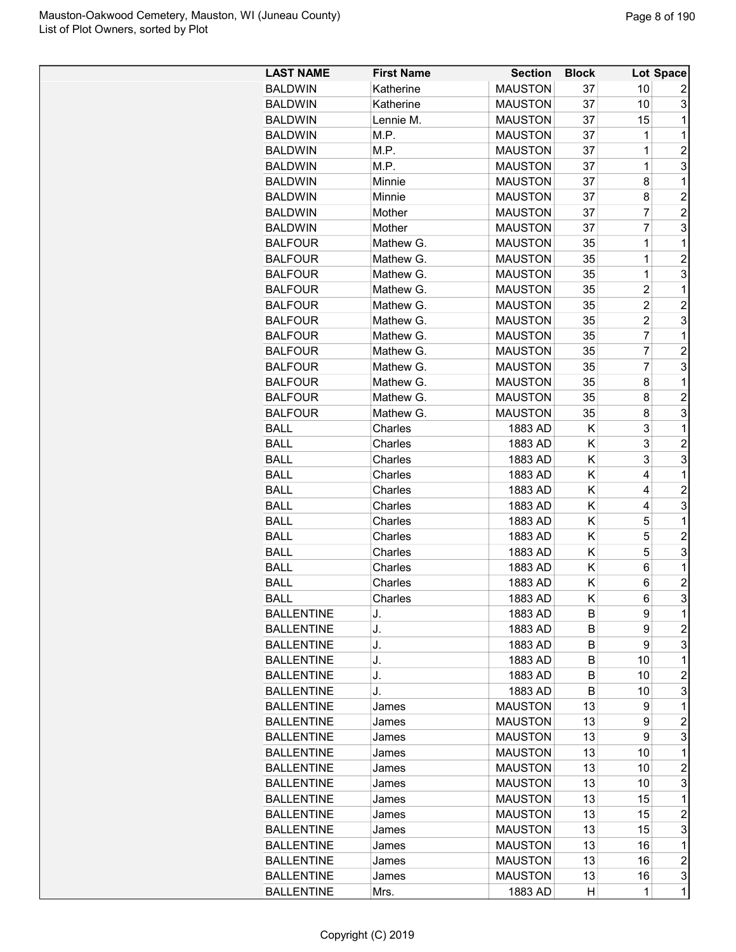| <b>LAST NAME</b>  | <b>First Name</b> | <b>Section</b> | <b>Block</b> |                | Lot Space      |
|-------------------|-------------------|----------------|--------------|----------------|----------------|
| <b>BALDWIN</b>    | Katherine         | <b>MAUSTON</b> | 37           | 10             | 2              |
| <b>BALDWIN</b>    | Katherine         | <b>MAUSTON</b> | 37           | 10             | 3              |
| <b>BALDWIN</b>    | Lennie M.         | <b>MAUSTON</b> | 37           | 15             | 1              |
| <b>BALDWIN</b>    | M.P.              | <b>MAUSTON</b> | 37           | 1              | 1              |
| <b>BALDWIN</b>    | M.P.              | <b>MAUSTON</b> | 37           | 1              | $\overline{2}$ |
| <b>BALDWIN</b>    | M.P.              | <b>MAUSTON</b> | 37           | 1              | 3              |
| <b>BALDWIN</b>    | Minnie            | <b>MAUSTON</b> | 37           | 8              | 1              |
| <b>BALDWIN</b>    | Minnie            | <b>MAUSTON</b> | 37           | 8              | $\overline{2}$ |
| <b>BALDWIN</b>    | Mother            | <b>MAUSTON</b> | 37           | 7              | $\overline{c}$ |
| <b>BALDWIN</b>    | Mother            | <b>MAUSTON</b> | 37           | 7              | 3              |
| <b>BALFOUR</b>    | Mathew G.         | <b>MAUSTON</b> | 35           | 1              | 1              |
| <b>BALFOUR</b>    | Mathew G.         | <b>MAUSTON</b> | 35           | $\overline{1}$ | $\overline{2}$ |
| <b>BALFOUR</b>    | Mathew G.         | <b>MAUSTON</b> | 35           | 1              | 3              |
| <b>BALFOUR</b>    | Mathew G.         | <b>MAUSTON</b> | 35           | $\overline{c}$ | 1              |
| <b>BALFOUR</b>    | Mathew G.         | <b>MAUSTON</b> | 35           | $\overline{2}$ | $\overline{2}$ |
| <b>BALFOUR</b>    | Mathew G.         | <b>MAUSTON</b> | 35           | $\overline{c}$ | 3              |
| <b>BALFOUR</b>    | Mathew G.         | <b>MAUSTON</b> | 35           | $\overline{7}$ | 1              |
| <b>BALFOUR</b>    | Mathew G.         | <b>MAUSTON</b> | 35           | $\overline{7}$ | $\overline{2}$ |
| <b>BALFOUR</b>    | Mathew G.         | <b>MAUSTON</b> | 35           | $\overline{7}$ | 3              |
| <b>BALFOUR</b>    | Mathew G.         | <b>MAUSTON</b> | 35           | 8              | 1              |
| <b>BALFOUR</b>    | Mathew G.         | <b>MAUSTON</b> | 35           | 8              | $\overline{c}$ |
| <b>BALFOUR</b>    | Mathew G.         | <b>MAUSTON</b> | 35           | 8              | 3              |
| <b>BALL</b>       | Charles           | 1883 AD        | Κ            | 3              | 1              |
| <b>BALL</b>       | Charles           | 1883 AD        | Κ            | 3              | $\overline{2}$ |
|                   | Charles           |                | Κ            | 3              | 3              |
| <b>BALL</b>       |                   | 1883 AD        | Κ            | 4              | $\mathbf 1$    |
| <b>BALL</b>       | Charles           | 1883 AD        |              |                |                |
| <b>BALL</b>       | Charles           | 1883 AD        | K            | 4              | $\overline{c}$ |
| <b>BALL</b>       | Charles           | 1883 AD        | Κ            | 4              | 3              |
| <b>BALL</b>       | Charles           | 1883 AD        | Κ            | 5              | 1              |
| <b>BALL</b>       | Charles           | 1883 AD        | Κ            | 5              | $\overline{c}$ |
| <b>BALL</b>       | Charles           | 1883 AD        | Κ            | 5              | 3              |
| <b>BALL</b>       | Charles           | 1883 AD        | Κ            | 6              | 1              |
| <b>BALL</b>       | Charles           | 1883 AD        | K            | 6              | $\overline{c}$ |
| <b>BALL</b>       | Charles           | 1883 AD        | K            | 6              | 3              |
| <b>BALLENTINE</b> | J.                | 1883 AD        | B            | 9              | 1              |
| <b>BALLENTINE</b> | J.                | 1883 AD        | B            | 9              | $\overline{c}$ |
| <b>BALLENTINE</b> | J.                | 1883 AD        | B            | 9              | 3              |
| <b>BALLENTINE</b> | J.                | 1883 AD        | B            | 10             | 1              |
| <b>BALLENTINE</b> | J.                | 1883 AD        | B            | 10             | 2              |
| <b>BALLENTINE</b> | J.                | 1883 AD        | B            | 10             | 3              |
| <b>BALLENTINE</b> | James             | <b>MAUSTON</b> | 13           | 9              | 1              |
| <b>BALLENTINE</b> | James             | <b>MAUSTON</b> | 13           | 9              | $\overline{c}$ |
| <b>BALLENTINE</b> | James             | <b>MAUSTON</b> | 13           | 9              | 3              |
| <b>BALLENTINE</b> | James             | <b>MAUSTON</b> | 13           | 10             | 1              |
| <b>BALLENTINE</b> | James             | <b>MAUSTON</b> | 13           | 10             | $\overline{c}$ |
| <b>BALLENTINE</b> | James             | <b>MAUSTON</b> | 13           | 10             | 3              |
| <b>BALLENTINE</b> | James             | <b>MAUSTON</b> | 13           | 15             | 1              |
| <b>BALLENTINE</b> | James             | <b>MAUSTON</b> | 13           | 15             | $\overline{c}$ |
| <b>BALLENTINE</b> | James             | <b>MAUSTON</b> | 13           | 15             | 3              |
| <b>BALLENTINE</b> | James             | <b>MAUSTON</b> | 13           | 16             | 1              |
| <b>BALLENTINE</b> | James             | <b>MAUSTON</b> | 13           | 16             | $\overline{c}$ |
| <b>BALLENTINE</b> | James             | <b>MAUSTON</b> | 13           | 16             | 3              |
| <b>BALLENTINE</b> | Mrs.              | 1883 AD        | Н            | $\mathbf{1}$   | 1              |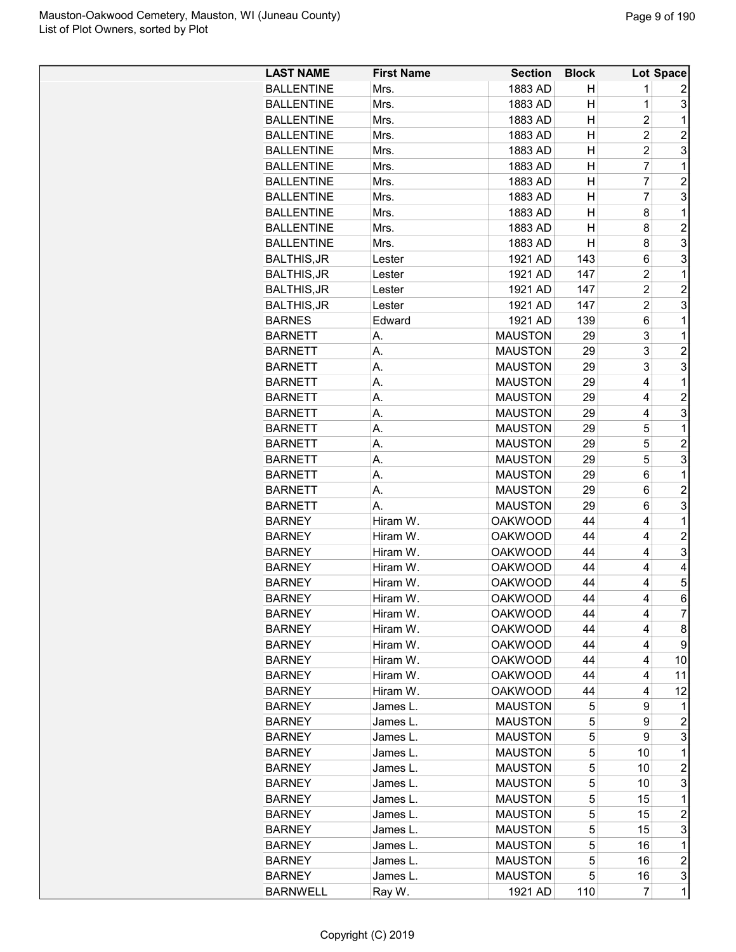| <b>LAST NAME</b>               | <b>First Name</b> | <b>Section</b> | <b>Block</b> |                | Lot Space      |
|--------------------------------|-------------------|----------------|--------------|----------------|----------------|
| <b>BALLENTINE</b>              | Mrs.              | 1883 AD        | н            | 1              | 2              |
| <b>BALLENTINE</b>              | Mrs.              | 1883 AD        | н            | $\mathbf 1$    | 3              |
| <b>BALLENTINE</b>              | Mrs.              | 1883 AD        | н            | $\overline{c}$ | 1              |
| <b>BALLENTINE</b>              | Mrs.              | 1883 AD        | н            | $\overline{c}$ | $\overline{2}$ |
| <b>BALLENTINE</b>              | Mrs.              | 1883 AD        | н            | $\overline{2}$ | 3              |
| <b>BALLENTINE</b>              | Mrs.              | 1883 AD        | Η            | $\overline{7}$ | 1              |
| <b>BALLENTINE</b>              | Mrs.              | 1883 AD        | н            | 7              | $\overline{c}$ |
| <b>BALLENTINE</b>              | Mrs.              | 1883 AD        | Η            | 7              | 3              |
|                                |                   |                | н            | 8              | 1              |
| <b>BALLENTINE</b>              | Mrs.              | 1883 AD        |              |                |                |
| <b>BALLENTINE</b>              | Mrs.              | 1883 AD        | н            | 8              | $\overline{2}$ |
| <b>BALLENTINE</b>              | Mrs.              | 1883 AD        | н            | 8              | 3              |
| <b>BALTHIS, JR</b>             | Lester            | 1921 AD        | 143          | 6              | 3              |
| <b>BALTHIS, JR</b>             | Lester            | 1921 AD        | 147          | $\overline{c}$ | 1              |
| <b>BALTHIS, JR</b>             | Lester            | 1921 AD        | 147          | $\overline{2}$ | $\overline{2}$ |
| <b>BALTHIS, JR</b>             | Lester            | 1921 AD        | 147          | $\overline{2}$ | 3              |
| <b>BARNES</b>                  | Edward            | 1921 AD        | 139          | 6              | 1              |
| <b>BARNETT</b>                 | А.                | <b>MAUSTON</b> | 29           | 3              | 1              |
| <b>BARNETT</b>                 | А.                | <b>MAUSTON</b> | 29           | 3              | $\overline{2}$ |
| <b>BARNETT</b>                 | А.                | <b>MAUSTON</b> | 29           | 3              | 3              |
| <b>BARNETT</b>                 | А.                | <b>MAUSTON</b> | 29           | 4              | 1              |
| <b>BARNETT</b>                 | А.                | <b>MAUSTON</b> | 29           | 4              | $\overline{c}$ |
| <b>BARNETT</b>                 | А.                | <b>MAUSTON</b> | 29           | 4              | 3              |
| <b>BARNETT</b>                 | А.                | <b>MAUSTON</b> | 29           | 5              | 1              |
| <b>BARNETT</b>                 | А.                | <b>MAUSTON</b> | 29           | 5              | $\overline{2}$ |
| <b>BARNETT</b>                 | А.                | <b>MAUSTON</b> | 29           | 5              | 3              |
| <b>BARNETT</b>                 | А.                | <b>MAUSTON</b> | 29           | 6              | 1              |
| <b>BARNETT</b>                 | А.                | <b>MAUSTON</b> | 29           | 6              | $\overline{c}$ |
| <b>BARNETT</b>                 | А.                | <b>MAUSTON</b> | 29           | 6              | 3              |
| <b>BARNEY</b>                  | Hiram W.          | <b>OAKWOOD</b> | 44           | 4              | 1              |
| <b>BARNEY</b>                  | Hiram W.          | <b>OAKWOOD</b> | 44           | 4              | $\overline{2}$ |
| <b>BARNEY</b>                  | Hiram W.          | <b>OAKWOOD</b> | 44           | $\overline{4}$ | 3              |
|                                | Hiram W.          | <b>OAKWOOD</b> | 44           | 4              | 4              |
| <b>BARNEY</b><br><b>BARNEY</b> |                   | <b>OAKWOOD</b> | 44           | 4              | 5              |
|                                | Hiram W.          |                |              | 4              | 6              |
| <b>BARNEY</b>                  | Hiram W.          | <b>OAKWOOD</b> | 44           |                |                |
| <b>BARNEY</b>                  | Hiram W.          | <b>OAKWOOD</b> | 44           | 4              | $\overline{7}$ |
| <b>BARNEY</b>                  | Hiram W.          | <b>OAKWOOD</b> | 44           | 4              | 8              |
| <b>BARNEY</b>                  | Hiram W.          | <b>OAKWOOD</b> | 44           | 4              | 9              |
| <b>BARNEY</b>                  | Hiram W.          | <b>OAKWOOD</b> | 44           | 4              | 10             |
| <b>BARNEY</b>                  | Hiram W.          | <b>OAKWOOD</b> | 44           | 4              | 11             |
| <b>BARNEY</b>                  | Hiram W.          | <b>OAKWOOD</b> | 44           | 4              | 12             |
| <b>BARNEY</b>                  | James L.          | <b>MAUSTON</b> | 5            | 9              | 1              |
| <b>BARNEY</b>                  | James L.          | <b>MAUSTON</b> | 5            | 9              | $\overline{c}$ |
| <b>BARNEY</b>                  | James L.          | <b>MAUSTON</b> | 5            | 9              | 3              |
| <b>BARNEY</b>                  | James L.          | <b>MAUSTON</b> | 5            | 10             | 1              |
| <b>BARNEY</b>                  | James L.          | <b>MAUSTON</b> | 5            | 10             | $\overline{c}$ |
| <b>BARNEY</b>                  | James L.          | <b>MAUSTON</b> | 5            | 10             | 3              |
| <b>BARNEY</b>                  | James L.          | <b>MAUSTON</b> | 5            | 15             | 1              |
| <b>BARNEY</b>                  | James L.          | <b>MAUSTON</b> | 5            | 15             | $\overline{c}$ |
| <b>BARNEY</b>                  | James L.          | <b>MAUSTON</b> | 5            | 15             | 3              |
| <b>BARNEY</b>                  | James L.          | <b>MAUSTON</b> | 5            | 16             | 1              |
| <b>BARNEY</b>                  | James L.          | <b>MAUSTON</b> | 5            | 16             | $\overline{c}$ |
| <b>BARNEY</b>                  | James L.          | <b>MAUSTON</b> | 5            | 16             | 3              |
| <b>BARNWELL</b>                | Ray W.            | 1921 AD        | 110          | 7              | 1              |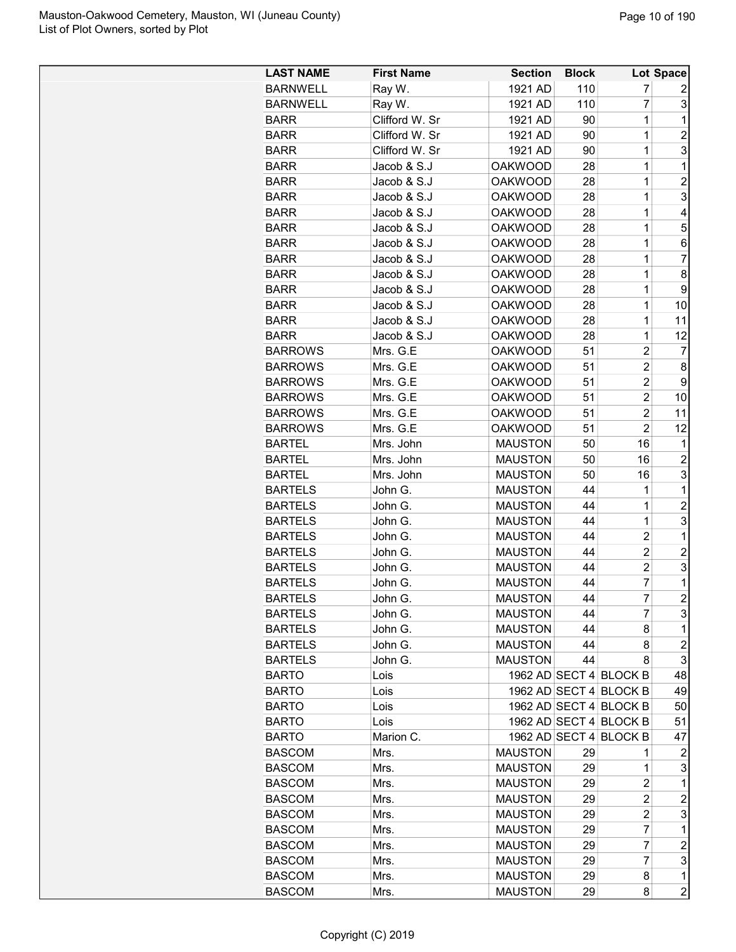| <b>LAST NAME</b> | <b>First Name</b> | <b>Section</b> | <b>Block</b> |                        | Lot Space        |
|------------------|-------------------|----------------|--------------|------------------------|------------------|
| <b>BARNWELL</b>  | Ray W.            | 1921 AD        | 110          | 7                      | 2                |
| <b>BARNWELL</b>  | Ray W.            | 1921 AD        | 110          | 7                      | 3                |
| <b>BARR</b>      | Clifford W. Sr    | 1921 AD        | 90           | $\mathbf 1$            | 1                |
| <b>BARR</b>      | Clifford W. Sr    | 1921 AD        | 90           | $\mathbf 1$            | $\overline{2}$   |
| <b>BARR</b>      | Clifford W. Sr    | 1921 AD        | 90           | 1                      | 3                |
| <b>BARR</b>      | Jacob & S.J       | <b>OAKWOOD</b> | 28           | 1                      | 1                |
| <b>BARR</b>      | Jacob & S.J       | <b>OAKWOOD</b> | 28           | 1                      | $\overline{c}$   |
| <b>BARR</b>      | Jacob & S.J       | <b>OAKWOOD</b> | 28           | $\mathbf 1$            | 3                |
| <b>BARR</b>      | Jacob & S.J       | <b>OAKWOOD</b> | 28           | $\mathbf 1$            | 4                |
| <b>BARR</b>      | Jacob & S.J       | <b>OAKWOOD</b> | 28           | $\mathbf 1$            | 5                |
| <b>BARR</b>      | Jacob & S.J       | <b>OAKWOOD</b> | 28           | $\mathbf 1$            | 6                |
|                  |                   |                |              | $\mathbf 1$            | 7                |
| <b>BARR</b>      | Jacob & S.J       | <b>OAKWOOD</b> | 28           |                        |                  |
| <b>BARR</b>      | Jacob & S.J       | <b>OAKWOOD</b> | 28           | 1                      | 8                |
| <b>BARR</b>      | Jacob & S.J       | <b>OAKWOOD</b> | 28           | 1                      | 9                |
| <b>BARR</b>      | Jacob & S.J       | <b>OAKWOOD</b> | 28           | 1                      | 10               |
| <b>BARR</b>      | Jacob & S.J       | <b>OAKWOOD</b> | 28           | 1                      | 11               |
| <b>BARR</b>      | Jacob & S.J       | <b>OAKWOOD</b> | 28           | $\mathbf 1$            | 12               |
| <b>BARROWS</b>   | Mrs. G.E          | <b>OAKWOOD</b> | 51           | $\overline{c}$         | 7                |
| <b>BARROWS</b>   | Mrs. G.E          | <b>OAKWOOD</b> | 51           | $\overline{c}$         | 8                |
| <b>BARROWS</b>   | Mrs. G.E          | <b>OAKWOOD</b> | 51           | 2                      | 9                |
| <b>BARROWS</b>   | Mrs. G.E          | <b>OAKWOOD</b> | 51           | $\overline{2}$         | 10               |
| <b>BARROWS</b>   | Mrs. G.E          | <b>OAKWOOD</b> | 51           | $\overline{2}$         | 11               |
| <b>BARROWS</b>   | Mrs. G.E          | <b>OAKWOOD</b> | 51           | $\overline{2}$         | 12               |
| <b>BARTEL</b>    | Mrs. John         | <b>MAUSTON</b> | 50           | 16                     | 1                |
| <b>BARTEL</b>    | Mrs. John         | <b>MAUSTON</b> | 50           | 16                     | 2                |
| <b>BARTEL</b>    | Mrs. John         | <b>MAUSTON</b> | 50           | 16                     | 3                |
| <b>BARTELS</b>   | John G.           | <b>MAUSTON</b> | 44           | 1                      | 1                |
| <b>BARTELS</b>   | John G.           | <b>MAUSTON</b> | 44           | 1                      | $\overline{c}$   |
| <b>BARTELS</b>   | John G.           | <b>MAUSTON</b> | 44           | $\mathbf 1$            | 3                |
| <b>BARTELS</b>   | John G.           | <b>MAUSTON</b> | 44           | $\overline{2}$         | 1                |
| <b>BARTELS</b>   | John G.           | <b>MAUSTON</b> | 44           | $\overline{c}$         | $\overline{c}$   |
| <b>BARTELS</b>   | John G.           | <b>MAUSTON</b> | 44           | $\overline{c}$         | 3                |
| <b>BARTELS</b>   | John G.           | <b>MAUSTON</b> | 44           | $\overline{7}$         | 1                |
| <b>BARTELS</b>   | John G.           | <b>MAUSTON</b> | 44           | $\overline{7}$         | $\overline{2}$   |
|                  |                   |                | 44           | 7                      | 3                |
| <b>BARTELS</b>   | John G.           | <b>MAUSTON</b> | 44           |                        | 1                |
| <b>BARTELS</b>   | John G.           | <b>MAUSTON</b> |              | 8                      |                  |
| <b>BARTELS</b>   | John G.           | <b>MAUSTON</b> | 44           | 8                      | $\boldsymbol{2}$ |
| <b>BARTELS</b>   | John G.           | <b>MAUSTON</b> | 44           | 8                      | 3                |
| <b>BARTO</b>     | Lois              |                |              | 1962 AD SECT 4 BLOCK B | 48               |
| <b>BARTO</b>     | Lois              |                |              | 1962 AD SECT 4 BLOCK B | 49               |
| <b>BARTO</b>     | Lois              |                |              | 1962 AD SECT 4 BLOCK B | 50               |
| <b>BARTO</b>     | Lois              |                |              | 1962 AD SECT 4 BLOCK B | 51               |
| <b>BARTO</b>     | Marion C.         |                |              | 1962 AD SECT 4 BLOCK B | 47               |
| <b>BASCOM</b>    | Mrs.              | <b>MAUSTON</b> | 29           | 1                      | 2                |
| <b>BASCOM</b>    | Mrs.              | <b>MAUSTON</b> | 29           | 1                      | 3                |
| <b>BASCOM</b>    | Mrs.              | <b>MAUSTON</b> | 29           | 2                      | 1                |
| <b>BASCOM</b>    | Mrs.              | <b>MAUSTON</b> | 29           | $\overline{c}$         | $\overline{c}$   |
| <b>BASCOM</b>    | Mrs.              | <b>MAUSTON</b> | 29           | $\overline{c}$         | 3                |
| <b>BASCOM</b>    | Mrs.              | <b>MAUSTON</b> | 29           | 7                      | 1                |
| <b>BASCOM</b>    | Mrs.              | <b>MAUSTON</b> | 29           | 7                      | $\boldsymbol{2}$ |
| <b>BASCOM</b>    | Mrs.              | <b>MAUSTON</b> | 29           | 7                      | 3                |
| <b>BASCOM</b>    | Mrs.              | <b>MAUSTON</b> | 29           | 8                      | $\mathbf{1}$     |
| <b>BASCOM</b>    | Mrs.              | <b>MAUSTON</b> | 29           | 8                      | $\overline{c}$   |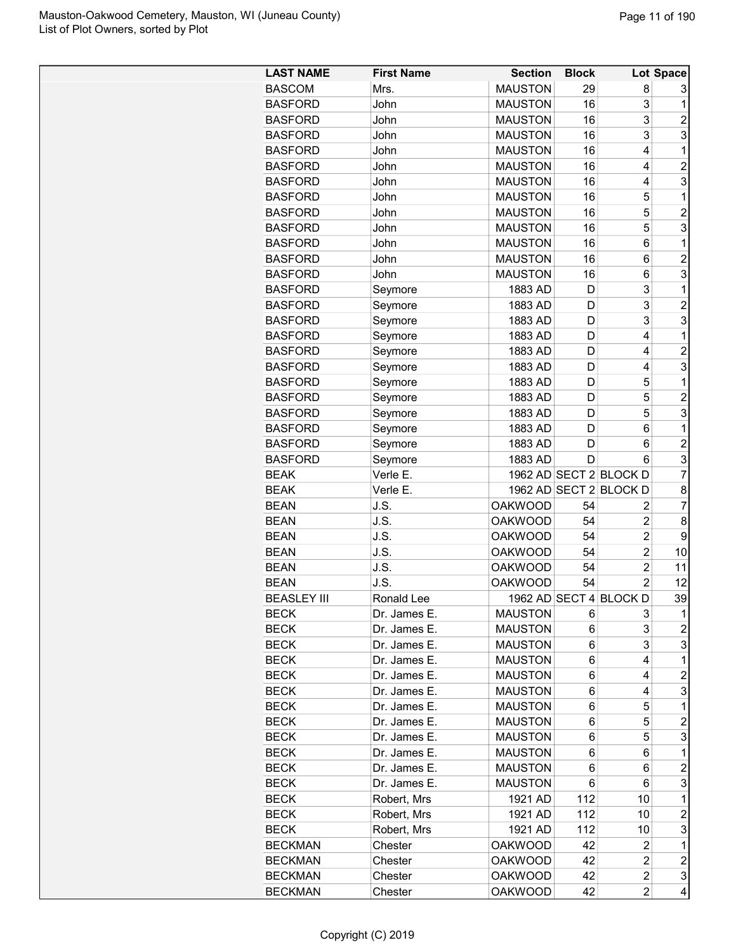| <b>MAUSTON</b><br><b>BASCOM</b><br>Mrs.<br>29<br>8<br>3<br><b>MAUSTON</b><br>16<br>3<br><b>BASFORD</b><br>John<br>1<br>3<br><b>BASFORD</b><br><b>MAUSTON</b><br>16<br>$\overline{c}$<br>John<br>3<br>3<br><b>BASFORD</b><br><b>MAUSTON</b><br>16<br>John<br><b>BASFORD</b><br><b>MAUSTON</b><br>1<br>John<br>16<br>4<br>$\overline{c}$<br><b>BASFORD</b><br>John<br><b>MAUSTON</b><br>16<br>4<br>3<br><b>BASFORD</b><br><b>MAUSTON</b><br>16<br>John<br>4<br><b>MAUSTON</b><br>16<br>5<br>1<br><b>BASFORD</b><br>John<br>5<br>$\overline{c}$<br><b>MAUSTON</b><br>16<br><b>BASFORD</b><br>John<br>5<br>3<br><b>MAUSTON</b><br>16<br><b>BASFORD</b><br>John<br><b>BASFORD</b><br>John<br><b>MAUSTON</b><br>16<br>6<br>1<br><b>MAUSTON</b><br>$\overline{c}$<br><b>BASFORD</b><br>John<br>16<br>6<br>3<br><b>MAUSTON</b><br><b>BASFORD</b><br>John<br>16<br>6<br>3<br><b>BASFORD</b><br>1883 AD<br>1<br>Seymore<br>D<br>3<br>$\overline{c}$<br><b>BASFORD</b><br>1883 AD<br>D<br>Seymore<br>3<br>3<br>1883 AD<br><b>BASFORD</b><br>Seymore<br>D<br>4<br><b>BASFORD</b><br>1883 AD<br>D<br>1<br>Seymore<br>4<br>$\overline{c}$<br><b>BASFORD</b><br>Seymore<br>1883 AD<br>D<br>3<br><b>BASFORD</b><br>1883 AD<br>D<br>4<br>Seymore<br><b>BASFORD</b><br>1883 AD<br>1<br>D<br>5<br>Seymore<br>5<br>$\overline{c}$<br>1883 AD<br>D<br><b>BASFORD</b><br>Seymore<br>3<br>5<br>1883 AD<br><b>BASFORD</b><br>D<br>Seymore<br>1883 AD<br>6<br>1<br><b>BASFORD</b><br>Seymore<br>D<br>$\overline{c}$<br><b>BASFORD</b><br>1883 AD<br>Seymore<br>D<br>6<br>3<br>6<br><b>BASFORD</b><br>Seymore<br>1883 AD<br>D<br>$\overline{7}$<br>1962 AD SECT 2 BLOCK D<br><b>BEAK</b><br>Verle E.<br>1962 AD SECT 2 BLOCK D<br><b>BEAK</b><br>8<br>Verle E.<br>7<br><b>BEAN</b><br>J.S.<br><b>OAKWOOD</b><br>54<br>2<br>J.S.<br>54<br>$\overline{c}$<br>8<br><b>BEAN</b><br><b>OAKWOOD</b><br>$\overline{2}$<br>J.S.<br><b>OAKWOOD</b><br>9<br><b>BEAN</b><br>54<br><b>BEAN</b><br>J.S.<br><b>OAKWOOD</b><br>54<br>$\overline{c}$<br>10<br><b>BEAN</b><br>J.S.<br><b>OAKWOOD</b><br>54<br>$\overline{2}$<br>11<br><b>BEAN</b><br><b>OAKWOOD</b><br>54<br>$\overline{2}$<br>12<br>J.S.<br>39<br>BEASLEY III<br>Ronald Lee<br>1962 AD SECT 4 BLOCK D<br><b>BECK</b><br><b>MAUSTON</b><br>3<br>1<br>Dr. James E.<br>6<br>3<br>$\overline{c}$<br><b>BECK</b><br>Dr. James E.<br><b>MAUSTON</b><br>6<br>3<br>3<br><b>BECK</b><br>Dr. James E.<br><b>MAUSTON</b><br>6<br>1<br><b>BECK</b><br><b>MAUSTON</b><br>4<br>Dr. James E.<br>6<br><b>BECK</b><br>Dr. James E.<br><b>MAUSTON</b><br>$\overline{c}$<br>6<br>4<br>3<br><b>BECK</b><br>Dr. James E.<br><b>MAUSTON</b><br>6<br>4<br><b>BECK</b><br>Dr. James E.<br><b>MAUSTON</b><br>6<br>5<br>1<br>$\overline{c}$<br><b>BECK</b><br>Dr. James E.<br><b>MAUSTON</b><br>6<br>5<br>3<br>5<br><b>BECK</b><br>Dr. James E.<br><b>MAUSTON</b><br>6<br>1<br><b>BECK</b><br>Dr. James E.<br><b>MAUSTON</b><br>6<br>6<br>$\overline{c}$<br><b>BECK</b><br>Dr. James E.<br><b>MAUSTON</b><br>6<br>6<br>3<br><b>BECK</b><br>Dr. James E.<br><b>MAUSTON</b><br>6<br>6<br>112<br>Robert, Mrs<br>1921 AD<br>10<br>1<br>BECK<br>112<br>$\overline{c}$<br><b>BECK</b><br>Robert, Mrs<br>1921 AD<br>10<br>112<br>3<br><b>BECK</b><br>Robert, Mrs<br>1921 AD<br>10<br>42<br>1<br><b>BECKMAN</b><br>Chester<br><b>OAKWOOD</b><br>2<br>$\boldsymbol{2}$<br>42<br>$\overline{\mathbf{c}}$<br><b>BECKMAN</b><br><b>OAKWOOD</b><br>Chester<br>3<br>$\overline{c}$<br><b>BECKMAN</b><br><b>OAKWOOD</b><br>42<br>Chester | <b>LAST NAME</b> | <b>First Name</b> | <b>Section</b> | <b>Block</b> |                         | Lot Space |
|-----------------------------------------------------------------------------------------------------------------------------------------------------------------------------------------------------------------------------------------------------------------------------------------------------------------------------------------------------------------------------------------------------------------------------------------------------------------------------------------------------------------------------------------------------------------------------------------------------------------------------------------------------------------------------------------------------------------------------------------------------------------------------------------------------------------------------------------------------------------------------------------------------------------------------------------------------------------------------------------------------------------------------------------------------------------------------------------------------------------------------------------------------------------------------------------------------------------------------------------------------------------------------------------------------------------------------------------------------------------------------------------------------------------------------------------------------------------------------------------------------------------------------------------------------------------------------------------------------------------------------------------------------------------------------------------------------------------------------------------------------------------------------------------------------------------------------------------------------------------------------------------------------------------------------------------------------------------------------------------------------------------------------------------------------------------------------------------------------------------------------------------------------------------------------------------------------------------------------------------------------------------------------------------------------------------------------------------------------------------------------------------------------------------------------------------------------------------------------------------------------------------------------------------------------------------------------------------------------------------------------------------------------------------------------------------------------------------------------------------------------------------------------------------------------------------------------------------------------------------------------------------------------------------------------------------------------------------------------------------------------------------------------------------------------------------------------------------------------------------------------------------------------------------------------------------------------------------------------------------------------------------------------------------------------------------------------------------------------------------------------------------------------------------------------------------------------------------------------------------------------------------------|------------------|-------------------|----------------|--------------|-------------------------|-----------|
|                                                                                                                                                                                                                                                                                                                                                                                                                                                                                                                                                                                                                                                                                                                                                                                                                                                                                                                                                                                                                                                                                                                                                                                                                                                                                                                                                                                                                                                                                                                                                                                                                                                                                                                                                                                                                                                                                                                                                                                                                                                                                                                                                                                                                                                                                                                                                                                                                                                                                                                                                                                                                                                                                                                                                                                                                                                                                                                                                                                                                                                                                                                                                                                                                                                                                                                                                                                                                                                                                                                       |                  |                   |                |              |                         |           |
|                                                                                                                                                                                                                                                                                                                                                                                                                                                                                                                                                                                                                                                                                                                                                                                                                                                                                                                                                                                                                                                                                                                                                                                                                                                                                                                                                                                                                                                                                                                                                                                                                                                                                                                                                                                                                                                                                                                                                                                                                                                                                                                                                                                                                                                                                                                                                                                                                                                                                                                                                                                                                                                                                                                                                                                                                                                                                                                                                                                                                                                                                                                                                                                                                                                                                                                                                                                                                                                                                                                       |                  |                   |                |              |                         |           |
|                                                                                                                                                                                                                                                                                                                                                                                                                                                                                                                                                                                                                                                                                                                                                                                                                                                                                                                                                                                                                                                                                                                                                                                                                                                                                                                                                                                                                                                                                                                                                                                                                                                                                                                                                                                                                                                                                                                                                                                                                                                                                                                                                                                                                                                                                                                                                                                                                                                                                                                                                                                                                                                                                                                                                                                                                                                                                                                                                                                                                                                                                                                                                                                                                                                                                                                                                                                                                                                                                                                       |                  |                   |                |              |                         |           |
|                                                                                                                                                                                                                                                                                                                                                                                                                                                                                                                                                                                                                                                                                                                                                                                                                                                                                                                                                                                                                                                                                                                                                                                                                                                                                                                                                                                                                                                                                                                                                                                                                                                                                                                                                                                                                                                                                                                                                                                                                                                                                                                                                                                                                                                                                                                                                                                                                                                                                                                                                                                                                                                                                                                                                                                                                                                                                                                                                                                                                                                                                                                                                                                                                                                                                                                                                                                                                                                                                                                       |                  |                   |                |              |                         |           |
|                                                                                                                                                                                                                                                                                                                                                                                                                                                                                                                                                                                                                                                                                                                                                                                                                                                                                                                                                                                                                                                                                                                                                                                                                                                                                                                                                                                                                                                                                                                                                                                                                                                                                                                                                                                                                                                                                                                                                                                                                                                                                                                                                                                                                                                                                                                                                                                                                                                                                                                                                                                                                                                                                                                                                                                                                                                                                                                                                                                                                                                                                                                                                                                                                                                                                                                                                                                                                                                                                                                       |                  |                   |                |              |                         |           |
|                                                                                                                                                                                                                                                                                                                                                                                                                                                                                                                                                                                                                                                                                                                                                                                                                                                                                                                                                                                                                                                                                                                                                                                                                                                                                                                                                                                                                                                                                                                                                                                                                                                                                                                                                                                                                                                                                                                                                                                                                                                                                                                                                                                                                                                                                                                                                                                                                                                                                                                                                                                                                                                                                                                                                                                                                                                                                                                                                                                                                                                                                                                                                                                                                                                                                                                                                                                                                                                                                                                       |                  |                   |                |              |                         |           |
|                                                                                                                                                                                                                                                                                                                                                                                                                                                                                                                                                                                                                                                                                                                                                                                                                                                                                                                                                                                                                                                                                                                                                                                                                                                                                                                                                                                                                                                                                                                                                                                                                                                                                                                                                                                                                                                                                                                                                                                                                                                                                                                                                                                                                                                                                                                                                                                                                                                                                                                                                                                                                                                                                                                                                                                                                                                                                                                                                                                                                                                                                                                                                                                                                                                                                                                                                                                                                                                                                                                       |                  |                   |                |              |                         |           |
|                                                                                                                                                                                                                                                                                                                                                                                                                                                                                                                                                                                                                                                                                                                                                                                                                                                                                                                                                                                                                                                                                                                                                                                                                                                                                                                                                                                                                                                                                                                                                                                                                                                                                                                                                                                                                                                                                                                                                                                                                                                                                                                                                                                                                                                                                                                                                                                                                                                                                                                                                                                                                                                                                                                                                                                                                                                                                                                                                                                                                                                                                                                                                                                                                                                                                                                                                                                                                                                                                                                       |                  |                   |                |              |                         |           |
|                                                                                                                                                                                                                                                                                                                                                                                                                                                                                                                                                                                                                                                                                                                                                                                                                                                                                                                                                                                                                                                                                                                                                                                                                                                                                                                                                                                                                                                                                                                                                                                                                                                                                                                                                                                                                                                                                                                                                                                                                                                                                                                                                                                                                                                                                                                                                                                                                                                                                                                                                                                                                                                                                                                                                                                                                                                                                                                                                                                                                                                                                                                                                                                                                                                                                                                                                                                                                                                                                                                       |                  |                   |                |              |                         |           |
|                                                                                                                                                                                                                                                                                                                                                                                                                                                                                                                                                                                                                                                                                                                                                                                                                                                                                                                                                                                                                                                                                                                                                                                                                                                                                                                                                                                                                                                                                                                                                                                                                                                                                                                                                                                                                                                                                                                                                                                                                                                                                                                                                                                                                                                                                                                                                                                                                                                                                                                                                                                                                                                                                                                                                                                                                                                                                                                                                                                                                                                                                                                                                                                                                                                                                                                                                                                                                                                                                                                       |                  |                   |                |              |                         |           |
|                                                                                                                                                                                                                                                                                                                                                                                                                                                                                                                                                                                                                                                                                                                                                                                                                                                                                                                                                                                                                                                                                                                                                                                                                                                                                                                                                                                                                                                                                                                                                                                                                                                                                                                                                                                                                                                                                                                                                                                                                                                                                                                                                                                                                                                                                                                                                                                                                                                                                                                                                                                                                                                                                                                                                                                                                                                                                                                                                                                                                                                                                                                                                                                                                                                                                                                                                                                                                                                                                                                       |                  |                   |                |              |                         |           |
|                                                                                                                                                                                                                                                                                                                                                                                                                                                                                                                                                                                                                                                                                                                                                                                                                                                                                                                                                                                                                                                                                                                                                                                                                                                                                                                                                                                                                                                                                                                                                                                                                                                                                                                                                                                                                                                                                                                                                                                                                                                                                                                                                                                                                                                                                                                                                                                                                                                                                                                                                                                                                                                                                                                                                                                                                                                                                                                                                                                                                                                                                                                                                                                                                                                                                                                                                                                                                                                                                                                       |                  |                   |                |              |                         |           |
|                                                                                                                                                                                                                                                                                                                                                                                                                                                                                                                                                                                                                                                                                                                                                                                                                                                                                                                                                                                                                                                                                                                                                                                                                                                                                                                                                                                                                                                                                                                                                                                                                                                                                                                                                                                                                                                                                                                                                                                                                                                                                                                                                                                                                                                                                                                                                                                                                                                                                                                                                                                                                                                                                                                                                                                                                                                                                                                                                                                                                                                                                                                                                                                                                                                                                                                                                                                                                                                                                                                       |                  |                   |                |              |                         |           |
|                                                                                                                                                                                                                                                                                                                                                                                                                                                                                                                                                                                                                                                                                                                                                                                                                                                                                                                                                                                                                                                                                                                                                                                                                                                                                                                                                                                                                                                                                                                                                                                                                                                                                                                                                                                                                                                                                                                                                                                                                                                                                                                                                                                                                                                                                                                                                                                                                                                                                                                                                                                                                                                                                                                                                                                                                                                                                                                                                                                                                                                                                                                                                                                                                                                                                                                                                                                                                                                                                                                       |                  |                   |                |              |                         |           |
|                                                                                                                                                                                                                                                                                                                                                                                                                                                                                                                                                                                                                                                                                                                                                                                                                                                                                                                                                                                                                                                                                                                                                                                                                                                                                                                                                                                                                                                                                                                                                                                                                                                                                                                                                                                                                                                                                                                                                                                                                                                                                                                                                                                                                                                                                                                                                                                                                                                                                                                                                                                                                                                                                                                                                                                                                                                                                                                                                                                                                                                                                                                                                                                                                                                                                                                                                                                                                                                                                                                       |                  |                   |                |              |                         |           |
|                                                                                                                                                                                                                                                                                                                                                                                                                                                                                                                                                                                                                                                                                                                                                                                                                                                                                                                                                                                                                                                                                                                                                                                                                                                                                                                                                                                                                                                                                                                                                                                                                                                                                                                                                                                                                                                                                                                                                                                                                                                                                                                                                                                                                                                                                                                                                                                                                                                                                                                                                                                                                                                                                                                                                                                                                                                                                                                                                                                                                                                                                                                                                                                                                                                                                                                                                                                                                                                                                                                       |                  |                   |                |              |                         |           |
|                                                                                                                                                                                                                                                                                                                                                                                                                                                                                                                                                                                                                                                                                                                                                                                                                                                                                                                                                                                                                                                                                                                                                                                                                                                                                                                                                                                                                                                                                                                                                                                                                                                                                                                                                                                                                                                                                                                                                                                                                                                                                                                                                                                                                                                                                                                                                                                                                                                                                                                                                                                                                                                                                                                                                                                                                                                                                                                                                                                                                                                                                                                                                                                                                                                                                                                                                                                                                                                                                                                       |                  |                   |                |              |                         |           |
|                                                                                                                                                                                                                                                                                                                                                                                                                                                                                                                                                                                                                                                                                                                                                                                                                                                                                                                                                                                                                                                                                                                                                                                                                                                                                                                                                                                                                                                                                                                                                                                                                                                                                                                                                                                                                                                                                                                                                                                                                                                                                                                                                                                                                                                                                                                                                                                                                                                                                                                                                                                                                                                                                                                                                                                                                                                                                                                                                                                                                                                                                                                                                                                                                                                                                                                                                                                                                                                                                                                       |                  |                   |                |              |                         |           |
|                                                                                                                                                                                                                                                                                                                                                                                                                                                                                                                                                                                                                                                                                                                                                                                                                                                                                                                                                                                                                                                                                                                                                                                                                                                                                                                                                                                                                                                                                                                                                                                                                                                                                                                                                                                                                                                                                                                                                                                                                                                                                                                                                                                                                                                                                                                                                                                                                                                                                                                                                                                                                                                                                                                                                                                                                                                                                                                                                                                                                                                                                                                                                                                                                                                                                                                                                                                                                                                                                                                       |                  |                   |                |              |                         |           |
|                                                                                                                                                                                                                                                                                                                                                                                                                                                                                                                                                                                                                                                                                                                                                                                                                                                                                                                                                                                                                                                                                                                                                                                                                                                                                                                                                                                                                                                                                                                                                                                                                                                                                                                                                                                                                                                                                                                                                                                                                                                                                                                                                                                                                                                                                                                                                                                                                                                                                                                                                                                                                                                                                                                                                                                                                                                                                                                                                                                                                                                                                                                                                                                                                                                                                                                                                                                                                                                                                                                       |                  |                   |                |              |                         |           |
|                                                                                                                                                                                                                                                                                                                                                                                                                                                                                                                                                                                                                                                                                                                                                                                                                                                                                                                                                                                                                                                                                                                                                                                                                                                                                                                                                                                                                                                                                                                                                                                                                                                                                                                                                                                                                                                                                                                                                                                                                                                                                                                                                                                                                                                                                                                                                                                                                                                                                                                                                                                                                                                                                                                                                                                                                                                                                                                                                                                                                                                                                                                                                                                                                                                                                                                                                                                                                                                                                                                       |                  |                   |                |              |                         |           |
|                                                                                                                                                                                                                                                                                                                                                                                                                                                                                                                                                                                                                                                                                                                                                                                                                                                                                                                                                                                                                                                                                                                                                                                                                                                                                                                                                                                                                                                                                                                                                                                                                                                                                                                                                                                                                                                                                                                                                                                                                                                                                                                                                                                                                                                                                                                                                                                                                                                                                                                                                                                                                                                                                                                                                                                                                                                                                                                                                                                                                                                                                                                                                                                                                                                                                                                                                                                                                                                                                                                       |                  |                   |                |              |                         |           |
|                                                                                                                                                                                                                                                                                                                                                                                                                                                                                                                                                                                                                                                                                                                                                                                                                                                                                                                                                                                                                                                                                                                                                                                                                                                                                                                                                                                                                                                                                                                                                                                                                                                                                                                                                                                                                                                                                                                                                                                                                                                                                                                                                                                                                                                                                                                                                                                                                                                                                                                                                                                                                                                                                                                                                                                                                                                                                                                                                                                                                                                                                                                                                                                                                                                                                                                                                                                                                                                                                                                       |                  |                   |                |              |                         |           |
|                                                                                                                                                                                                                                                                                                                                                                                                                                                                                                                                                                                                                                                                                                                                                                                                                                                                                                                                                                                                                                                                                                                                                                                                                                                                                                                                                                                                                                                                                                                                                                                                                                                                                                                                                                                                                                                                                                                                                                                                                                                                                                                                                                                                                                                                                                                                                                                                                                                                                                                                                                                                                                                                                                                                                                                                                                                                                                                                                                                                                                                                                                                                                                                                                                                                                                                                                                                                                                                                                                                       |                  |                   |                |              |                         |           |
|                                                                                                                                                                                                                                                                                                                                                                                                                                                                                                                                                                                                                                                                                                                                                                                                                                                                                                                                                                                                                                                                                                                                                                                                                                                                                                                                                                                                                                                                                                                                                                                                                                                                                                                                                                                                                                                                                                                                                                                                                                                                                                                                                                                                                                                                                                                                                                                                                                                                                                                                                                                                                                                                                                                                                                                                                                                                                                                                                                                                                                                                                                                                                                                                                                                                                                                                                                                                                                                                                                                       |                  |                   |                |              |                         |           |
|                                                                                                                                                                                                                                                                                                                                                                                                                                                                                                                                                                                                                                                                                                                                                                                                                                                                                                                                                                                                                                                                                                                                                                                                                                                                                                                                                                                                                                                                                                                                                                                                                                                                                                                                                                                                                                                                                                                                                                                                                                                                                                                                                                                                                                                                                                                                                                                                                                                                                                                                                                                                                                                                                                                                                                                                                                                                                                                                                                                                                                                                                                                                                                                                                                                                                                                                                                                                                                                                                                                       |                  |                   |                |              |                         |           |
|                                                                                                                                                                                                                                                                                                                                                                                                                                                                                                                                                                                                                                                                                                                                                                                                                                                                                                                                                                                                                                                                                                                                                                                                                                                                                                                                                                                                                                                                                                                                                                                                                                                                                                                                                                                                                                                                                                                                                                                                                                                                                                                                                                                                                                                                                                                                                                                                                                                                                                                                                                                                                                                                                                                                                                                                                                                                                                                                                                                                                                                                                                                                                                                                                                                                                                                                                                                                                                                                                                                       |                  |                   |                |              |                         |           |
|                                                                                                                                                                                                                                                                                                                                                                                                                                                                                                                                                                                                                                                                                                                                                                                                                                                                                                                                                                                                                                                                                                                                                                                                                                                                                                                                                                                                                                                                                                                                                                                                                                                                                                                                                                                                                                                                                                                                                                                                                                                                                                                                                                                                                                                                                                                                                                                                                                                                                                                                                                                                                                                                                                                                                                                                                                                                                                                                                                                                                                                                                                                                                                                                                                                                                                                                                                                                                                                                                                                       |                  |                   |                |              |                         |           |
|                                                                                                                                                                                                                                                                                                                                                                                                                                                                                                                                                                                                                                                                                                                                                                                                                                                                                                                                                                                                                                                                                                                                                                                                                                                                                                                                                                                                                                                                                                                                                                                                                                                                                                                                                                                                                                                                                                                                                                                                                                                                                                                                                                                                                                                                                                                                                                                                                                                                                                                                                                                                                                                                                                                                                                                                                                                                                                                                                                                                                                                                                                                                                                                                                                                                                                                                                                                                                                                                                                                       |                  |                   |                |              |                         |           |
|                                                                                                                                                                                                                                                                                                                                                                                                                                                                                                                                                                                                                                                                                                                                                                                                                                                                                                                                                                                                                                                                                                                                                                                                                                                                                                                                                                                                                                                                                                                                                                                                                                                                                                                                                                                                                                                                                                                                                                                                                                                                                                                                                                                                                                                                                                                                                                                                                                                                                                                                                                                                                                                                                                                                                                                                                                                                                                                                                                                                                                                                                                                                                                                                                                                                                                                                                                                                                                                                                                                       |                  |                   |                |              |                         |           |
|                                                                                                                                                                                                                                                                                                                                                                                                                                                                                                                                                                                                                                                                                                                                                                                                                                                                                                                                                                                                                                                                                                                                                                                                                                                                                                                                                                                                                                                                                                                                                                                                                                                                                                                                                                                                                                                                                                                                                                                                                                                                                                                                                                                                                                                                                                                                                                                                                                                                                                                                                                                                                                                                                                                                                                                                                                                                                                                                                                                                                                                                                                                                                                                                                                                                                                                                                                                                                                                                                                                       |                  |                   |                |              |                         |           |
|                                                                                                                                                                                                                                                                                                                                                                                                                                                                                                                                                                                                                                                                                                                                                                                                                                                                                                                                                                                                                                                                                                                                                                                                                                                                                                                                                                                                                                                                                                                                                                                                                                                                                                                                                                                                                                                                                                                                                                                                                                                                                                                                                                                                                                                                                                                                                                                                                                                                                                                                                                                                                                                                                                                                                                                                                                                                                                                                                                                                                                                                                                                                                                                                                                                                                                                                                                                                                                                                                                                       |                  |                   |                |              |                         |           |
|                                                                                                                                                                                                                                                                                                                                                                                                                                                                                                                                                                                                                                                                                                                                                                                                                                                                                                                                                                                                                                                                                                                                                                                                                                                                                                                                                                                                                                                                                                                                                                                                                                                                                                                                                                                                                                                                                                                                                                                                                                                                                                                                                                                                                                                                                                                                                                                                                                                                                                                                                                                                                                                                                                                                                                                                                                                                                                                                                                                                                                                                                                                                                                                                                                                                                                                                                                                                                                                                                                                       |                  |                   |                |              |                         |           |
|                                                                                                                                                                                                                                                                                                                                                                                                                                                                                                                                                                                                                                                                                                                                                                                                                                                                                                                                                                                                                                                                                                                                                                                                                                                                                                                                                                                                                                                                                                                                                                                                                                                                                                                                                                                                                                                                                                                                                                                                                                                                                                                                                                                                                                                                                                                                                                                                                                                                                                                                                                                                                                                                                                                                                                                                                                                                                                                                                                                                                                                                                                                                                                                                                                                                                                                                                                                                                                                                                                                       |                  |                   |                |              |                         |           |
|                                                                                                                                                                                                                                                                                                                                                                                                                                                                                                                                                                                                                                                                                                                                                                                                                                                                                                                                                                                                                                                                                                                                                                                                                                                                                                                                                                                                                                                                                                                                                                                                                                                                                                                                                                                                                                                                                                                                                                                                                                                                                                                                                                                                                                                                                                                                                                                                                                                                                                                                                                                                                                                                                                                                                                                                                                                                                                                                                                                                                                                                                                                                                                                                                                                                                                                                                                                                                                                                                                                       |                  |                   |                |              |                         |           |
|                                                                                                                                                                                                                                                                                                                                                                                                                                                                                                                                                                                                                                                                                                                                                                                                                                                                                                                                                                                                                                                                                                                                                                                                                                                                                                                                                                                                                                                                                                                                                                                                                                                                                                                                                                                                                                                                                                                                                                                                                                                                                                                                                                                                                                                                                                                                                                                                                                                                                                                                                                                                                                                                                                                                                                                                                                                                                                                                                                                                                                                                                                                                                                                                                                                                                                                                                                                                                                                                                                                       |                  |                   |                |              |                         |           |
|                                                                                                                                                                                                                                                                                                                                                                                                                                                                                                                                                                                                                                                                                                                                                                                                                                                                                                                                                                                                                                                                                                                                                                                                                                                                                                                                                                                                                                                                                                                                                                                                                                                                                                                                                                                                                                                                                                                                                                                                                                                                                                                                                                                                                                                                                                                                                                                                                                                                                                                                                                                                                                                                                                                                                                                                                                                                                                                                                                                                                                                                                                                                                                                                                                                                                                                                                                                                                                                                                                                       |                  |                   |                |              |                         |           |
|                                                                                                                                                                                                                                                                                                                                                                                                                                                                                                                                                                                                                                                                                                                                                                                                                                                                                                                                                                                                                                                                                                                                                                                                                                                                                                                                                                                                                                                                                                                                                                                                                                                                                                                                                                                                                                                                                                                                                                                                                                                                                                                                                                                                                                                                                                                                                                                                                                                                                                                                                                                                                                                                                                                                                                                                                                                                                                                                                                                                                                                                                                                                                                                                                                                                                                                                                                                                                                                                                                                       |                  |                   |                |              |                         |           |
|                                                                                                                                                                                                                                                                                                                                                                                                                                                                                                                                                                                                                                                                                                                                                                                                                                                                                                                                                                                                                                                                                                                                                                                                                                                                                                                                                                                                                                                                                                                                                                                                                                                                                                                                                                                                                                                                                                                                                                                                                                                                                                                                                                                                                                                                                                                                                                                                                                                                                                                                                                                                                                                                                                                                                                                                                                                                                                                                                                                                                                                                                                                                                                                                                                                                                                                                                                                                                                                                                                                       |                  |                   |                |              |                         |           |
|                                                                                                                                                                                                                                                                                                                                                                                                                                                                                                                                                                                                                                                                                                                                                                                                                                                                                                                                                                                                                                                                                                                                                                                                                                                                                                                                                                                                                                                                                                                                                                                                                                                                                                                                                                                                                                                                                                                                                                                                                                                                                                                                                                                                                                                                                                                                                                                                                                                                                                                                                                                                                                                                                                                                                                                                                                                                                                                                                                                                                                                                                                                                                                                                                                                                                                                                                                                                                                                                                                                       |                  |                   |                |              |                         |           |
|                                                                                                                                                                                                                                                                                                                                                                                                                                                                                                                                                                                                                                                                                                                                                                                                                                                                                                                                                                                                                                                                                                                                                                                                                                                                                                                                                                                                                                                                                                                                                                                                                                                                                                                                                                                                                                                                                                                                                                                                                                                                                                                                                                                                                                                                                                                                                                                                                                                                                                                                                                                                                                                                                                                                                                                                                                                                                                                                                                                                                                                                                                                                                                                                                                                                                                                                                                                                                                                                                                                       |                  |                   |                |              |                         |           |
|                                                                                                                                                                                                                                                                                                                                                                                                                                                                                                                                                                                                                                                                                                                                                                                                                                                                                                                                                                                                                                                                                                                                                                                                                                                                                                                                                                                                                                                                                                                                                                                                                                                                                                                                                                                                                                                                                                                                                                                                                                                                                                                                                                                                                                                                                                                                                                                                                                                                                                                                                                                                                                                                                                                                                                                                                                                                                                                                                                                                                                                                                                                                                                                                                                                                                                                                                                                                                                                                                                                       |                  |                   |                |              |                         |           |
|                                                                                                                                                                                                                                                                                                                                                                                                                                                                                                                                                                                                                                                                                                                                                                                                                                                                                                                                                                                                                                                                                                                                                                                                                                                                                                                                                                                                                                                                                                                                                                                                                                                                                                                                                                                                                                                                                                                                                                                                                                                                                                                                                                                                                                                                                                                                                                                                                                                                                                                                                                                                                                                                                                                                                                                                                                                                                                                                                                                                                                                                                                                                                                                                                                                                                                                                                                                                                                                                                                                       |                  |                   |                |              |                         |           |
|                                                                                                                                                                                                                                                                                                                                                                                                                                                                                                                                                                                                                                                                                                                                                                                                                                                                                                                                                                                                                                                                                                                                                                                                                                                                                                                                                                                                                                                                                                                                                                                                                                                                                                                                                                                                                                                                                                                                                                                                                                                                                                                                                                                                                                                                                                                                                                                                                                                                                                                                                                                                                                                                                                                                                                                                                                                                                                                                                                                                                                                                                                                                                                                                                                                                                                                                                                                                                                                                                                                       |                  |                   |                |              |                         |           |
|                                                                                                                                                                                                                                                                                                                                                                                                                                                                                                                                                                                                                                                                                                                                                                                                                                                                                                                                                                                                                                                                                                                                                                                                                                                                                                                                                                                                                                                                                                                                                                                                                                                                                                                                                                                                                                                                                                                                                                                                                                                                                                                                                                                                                                                                                                                                                                                                                                                                                                                                                                                                                                                                                                                                                                                                                                                                                                                                                                                                                                                                                                                                                                                                                                                                                                                                                                                                                                                                                                                       |                  |                   |                |              |                         |           |
|                                                                                                                                                                                                                                                                                                                                                                                                                                                                                                                                                                                                                                                                                                                                                                                                                                                                                                                                                                                                                                                                                                                                                                                                                                                                                                                                                                                                                                                                                                                                                                                                                                                                                                                                                                                                                                                                                                                                                                                                                                                                                                                                                                                                                                                                                                                                                                                                                                                                                                                                                                                                                                                                                                                                                                                                                                                                                                                                                                                                                                                                                                                                                                                                                                                                                                                                                                                                                                                                                                                       |                  |                   |                |              |                         |           |
|                                                                                                                                                                                                                                                                                                                                                                                                                                                                                                                                                                                                                                                                                                                                                                                                                                                                                                                                                                                                                                                                                                                                                                                                                                                                                                                                                                                                                                                                                                                                                                                                                                                                                                                                                                                                                                                                                                                                                                                                                                                                                                                                                                                                                                                                                                                                                                                                                                                                                                                                                                                                                                                                                                                                                                                                                                                                                                                                                                                                                                                                                                                                                                                                                                                                                                                                                                                                                                                                                                                       |                  |                   |                |              |                         |           |
|                                                                                                                                                                                                                                                                                                                                                                                                                                                                                                                                                                                                                                                                                                                                                                                                                                                                                                                                                                                                                                                                                                                                                                                                                                                                                                                                                                                                                                                                                                                                                                                                                                                                                                                                                                                                                                                                                                                                                                                                                                                                                                                                                                                                                                                                                                                                                                                                                                                                                                                                                                                                                                                                                                                                                                                                                                                                                                                                                                                                                                                                                                                                                                                                                                                                                                                                                                                                                                                                                                                       |                  |                   |                |              |                         |           |
|                                                                                                                                                                                                                                                                                                                                                                                                                                                                                                                                                                                                                                                                                                                                                                                                                                                                                                                                                                                                                                                                                                                                                                                                                                                                                                                                                                                                                                                                                                                                                                                                                                                                                                                                                                                                                                                                                                                                                                                                                                                                                                                                                                                                                                                                                                                                                                                                                                                                                                                                                                                                                                                                                                                                                                                                                                                                                                                                                                                                                                                                                                                                                                                                                                                                                                                                                                                                                                                                                                                       |                  |                   |                |              |                         |           |
|                                                                                                                                                                                                                                                                                                                                                                                                                                                                                                                                                                                                                                                                                                                                                                                                                                                                                                                                                                                                                                                                                                                                                                                                                                                                                                                                                                                                                                                                                                                                                                                                                                                                                                                                                                                                                                                                                                                                                                                                                                                                                                                                                                                                                                                                                                                                                                                                                                                                                                                                                                                                                                                                                                                                                                                                                                                                                                                                                                                                                                                                                                                                                                                                                                                                                                                                                                                                                                                                                                                       |                  |                   |                |              |                         |           |
|                                                                                                                                                                                                                                                                                                                                                                                                                                                                                                                                                                                                                                                                                                                                                                                                                                                                                                                                                                                                                                                                                                                                                                                                                                                                                                                                                                                                                                                                                                                                                                                                                                                                                                                                                                                                                                                                                                                                                                                                                                                                                                                                                                                                                                                                                                                                                                                                                                                                                                                                                                                                                                                                                                                                                                                                                                                                                                                                                                                                                                                                                                                                                                                                                                                                                                                                                                                                                                                                                                                       |                  |                   |                |              |                         |           |
|                                                                                                                                                                                                                                                                                                                                                                                                                                                                                                                                                                                                                                                                                                                                                                                                                                                                                                                                                                                                                                                                                                                                                                                                                                                                                                                                                                                                                                                                                                                                                                                                                                                                                                                                                                                                                                                                                                                                                                                                                                                                                                                                                                                                                                                                                                                                                                                                                                                                                                                                                                                                                                                                                                                                                                                                                                                                                                                                                                                                                                                                                                                                                                                                                                                                                                                                                                                                                                                                                                                       |                  |                   |                |              |                         |           |
|                                                                                                                                                                                                                                                                                                                                                                                                                                                                                                                                                                                                                                                                                                                                                                                                                                                                                                                                                                                                                                                                                                                                                                                                                                                                                                                                                                                                                                                                                                                                                                                                                                                                                                                                                                                                                                                                                                                                                                                                                                                                                                                                                                                                                                                                                                                                                                                                                                                                                                                                                                                                                                                                                                                                                                                                                                                                                                                                                                                                                                                                                                                                                                                                                                                                                                                                                                                                                                                                                                                       |                  |                   |                |              |                         |           |
|                                                                                                                                                                                                                                                                                                                                                                                                                                                                                                                                                                                                                                                                                                                                                                                                                                                                                                                                                                                                                                                                                                                                                                                                                                                                                                                                                                                                                                                                                                                                                                                                                                                                                                                                                                                                                                                                                                                                                                                                                                                                                                                                                                                                                                                                                                                                                                                                                                                                                                                                                                                                                                                                                                                                                                                                                                                                                                                                                                                                                                                                                                                                                                                                                                                                                                                                                                                                                                                                                                                       | <b>BECKMAN</b>   | Chester           | <b>OAKWOOD</b> | 42           | $\overline{\mathbf{c}}$ | 4         |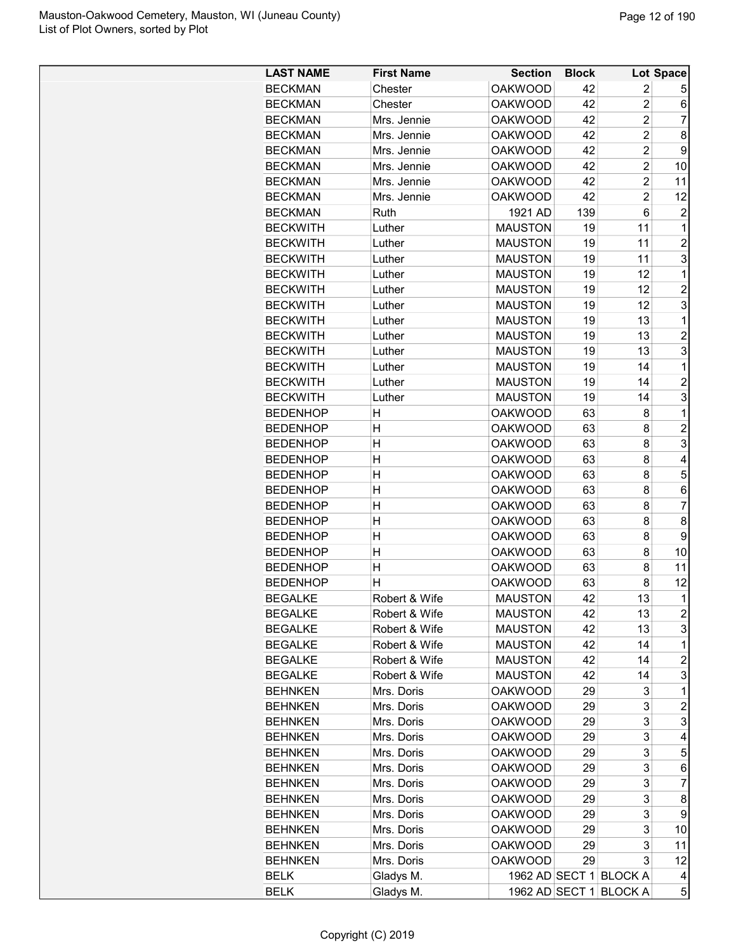| <b>LAST NAME</b> | <b>First Name</b> | <b>Section</b> | <b>Block</b> |                        | Lot Space               |
|------------------|-------------------|----------------|--------------|------------------------|-------------------------|
| <b>BECKMAN</b>   | Chester           | <b>OAKWOOD</b> | 42           | 2                      | 5                       |
| <b>BECKMAN</b>   | Chester           | <b>OAKWOOD</b> | 42           | $\overline{c}$         | 6                       |
| <b>BECKMAN</b>   | Mrs. Jennie       | <b>OAKWOOD</b> | 42           | $\overline{2}$         | 7                       |
| <b>BECKMAN</b>   | Mrs. Jennie       | <b>OAKWOOD</b> | 42           | $\overline{2}$         | 8                       |
| <b>BECKMAN</b>   | Mrs. Jennie       | <b>OAKWOOD</b> | 42           | $\overline{c}$         | 9                       |
| <b>BECKMAN</b>   | Mrs. Jennie       | <b>OAKWOOD</b> | 42           | $\overline{2}$         | 10                      |
| <b>BECKMAN</b>   | Mrs. Jennie       | <b>OAKWOOD</b> | 42           | $\overline{2}$         | 11                      |
| <b>BECKMAN</b>   | Mrs. Jennie       | <b>OAKWOOD</b> | 42           | $\overline{2}$         | 12                      |
|                  | Ruth              |                | 139          | 6                      | 2                       |
| <b>BECKMAN</b>   |                   | 1921 AD        |              |                        |                         |
| <b>BECKWITH</b>  | Luther            | <b>MAUSTON</b> | 19           | 11                     | 1                       |
| <b>BECKWITH</b>  | Luther            | <b>MAUSTON</b> | 19           | 11                     | $\overline{c}$          |
| <b>BECKWITH</b>  | Luther            | <b>MAUSTON</b> | 19           | 11                     | 3                       |
| <b>BECKWITH</b>  | Luther            | <b>MAUSTON</b> | 19           | 12                     | 1                       |
| <b>BECKWITH</b>  | Luther            | <b>MAUSTON</b> | 19           | 12                     | $\overline{c}$          |
| <b>BECKWITH</b>  | Luther            | <b>MAUSTON</b> | 19           | 12                     | 3                       |
| <b>BECKWITH</b>  | Luther            | <b>MAUSTON</b> | 19           | 13                     | 1                       |
| <b>BECKWITH</b>  | Luther            | <b>MAUSTON</b> | 19           | 13                     | $\overline{2}$          |
| <b>BECKWITH</b>  | Luther            | <b>MAUSTON</b> | 19           | 13                     | 3                       |
| <b>BECKWITH</b>  | Luther            | <b>MAUSTON</b> | 19           | 14                     | 1                       |
| <b>BECKWITH</b>  | Luther            | <b>MAUSTON</b> | 19           | 14                     | $\overline{2}$          |
| <b>BECKWITH</b>  | Luther            | <b>MAUSTON</b> | 19           | 14                     | 3                       |
| <b>BEDENHOP</b>  | Н                 | <b>OAKWOOD</b> | 63           | 8                      | 1                       |
| <b>BEDENHOP</b>  | н                 | <b>OAKWOOD</b> | 63           | 8                      | $\overline{2}$          |
| <b>BEDENHOP</b>  | Η                 | <b>OAKWOOD</b> | 63           | 8                      | 3                       |
| <b>BEDENHOP</b>  | Η                 | <b>OAKWOOD</b> | 63           | 8                      | 4                       |
| <b>BEDENHOP</b>  | Η                 | <b>OAKWOOD</b> | 63           | 8                      | 5                       |
| <b>BEDENHOP</b>  | Η                 | <b>OAKWOOD</b> | 63           | 8                      | 6                       |
| <b>BEDENHOP</b>  | Η                 | <b>OAKWOOD</b> | 63           | 8                      | $\overline{7}$          |
| <b>BEDENHOP</b>  | Η                 | <b>OAKWOOD</b> | 63           | 8                      | 8                       |
| <b>BEDENHOP</b>  | Н                 | <b>OAKWOOD</b> | 63           | 8                      | 9                       |
| <b>BEDENHOP</b>  | Η                 | <b>OAKWOOD</b> | 63           | 8                      | 10                      |
| <b>BEDENHOP</b>  | H                 | <b>OAKWOOD</b> | 63           | 8                      | 11                      |
| <b>BEDENHOP</b>  | $\overline{H}$    | <b>OAKWOOD</b> | 63           | 8                      | 12                      |
| <b>BEGALKE</b>   | Robert & Wife     | <b>MAUSTON</b> | 42           | 13                     | $\overline{1}$          |
| <b>BEGALKE</b>   | Robert & Wife     | <b>MAUSTON</b> | 42           | 13                     | $\overline{\mathbf{c}}$ |
| <b>BEGALKE</b>   | Robert & Wife     | <b>MAUSTON</b> | 42           | 13                     | 3                       |
| <b>BEGALKE</b>   | Robert & Wife     | <b>MAUSTON</b> | 42           | 14                     | 1                       |
| <b>BEGALKE</b>   | Robert & Wife     | <b>MAUSTON</b> | 42           | 14                     | $\overline{c}$          |
| <b>BEGALKE</b>   | Robert & Wife     | <b>MAUSTON</b> | 42           | 14                     | 3                       |
| <b>BEHNKEN</b>   | Mrs. Doris        | <b>OAKWOOD</b> | 29           | 3                      | 1                       |
| <b>BEHNKEN</b>   | Mrs. Doris        | <b>OAKWOOD</b> | 29           | 3                      | $\overline{c}$          |
| <b>BEHNKEN</b>   | Mrs. Doris        | <b>OAKWOOD</b> | 29           | 3                      | 3                       |
| <b>BEHNKEN</b>   | Mrs. Doris        | <b>OAKWOOD</b> | 29           | 3                      | 4                       |
| <b>BEHNKEN</b>   | Mrs. Doris        | <b>OAKWOOD</b> | 29           | 3                      | 5                       |
| <b>BEHNKEN</b>   | Mrs. Doris        | <b>OAKWOOD</b> | 29           | 3                      | 6                       |
| <b>BEHNKEN</b>   | Mrs. Doris        | <b>OAKWOOD</b> | 29           | 3                      | $\overline{7}$          |
| <b>BEHNKEN</b>   | Mrs. Doris        | <b>OAKWOOD</b> | 29           | 3                      | 8                       |
|                  |                   |                |              | 3                      | 9                       |
| <b>BEHNKEN</b>   | Mrs. Doris        | <b>OAKWOOD</b> | 29           | 3                      |                         |
| <b>BEHNKEN</b>   | Mrs. Doris        | <b>OAKWOOD</b> | 29           |                        | 10                      |
| <b>BEHNKEN</b>   | Mrs. Doris        | <b>OAKWOOD</b> | 29           | 3                      | 11                      |
| <b>BEHNKEN</b>   | Mrs. Doris        | <b>OAKWOOD</b> | 29           | 3                      | 12                      |
| <b>BELK</b>      | Gladys M.         |                |              | 1962 AD SECT 1 BLOCK A | 4                       |
| <b>BELK</b>      | Gladys M.         |                |              | 1962 AD SECT 1 BLOCK A | 5                       |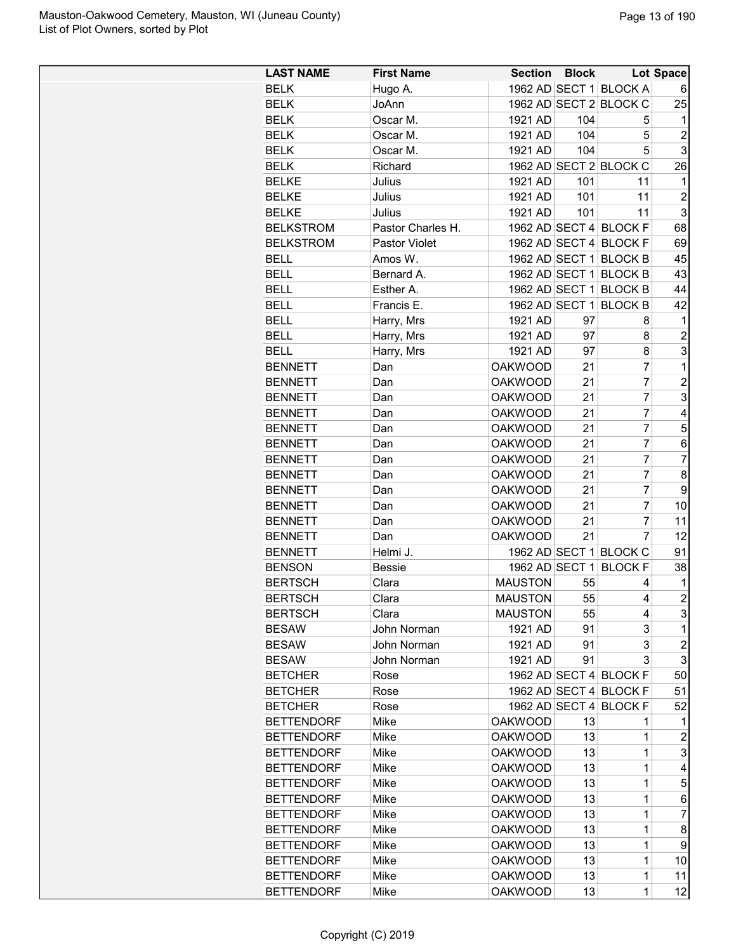| <b>LAST NAME</b>                 | <b>First Name</b>    | <b>Section Block</b>             |          |                        | <b>Lot Space</b>        |
|----------------------------------|----------------------|----------------------------------|----------|------------------------|-------------------------|
| <b>BELK</b>                      | Hugo A.              |                                  |          | 1962 AD SECT 1 BLOCK A | 6                       |
| <b>BELK</b>                      | JoAnn                |                                  |          | 1962 AD SECT 2 BLOCK C | 25                      |
| <b>BELK</b>                      | Oscar M.             | 1921 AD                          | 104      | 5                      | 1                       |
| <b>BELK</b>                      | Oscar M.             | 1921 AD                          | 104      | 5                      | $\overline{2}$          |
| <b>BELK</b>                      | Oscar M.             | 1921 AD                          | 104      | 5                      | 3                       |
| <b>BELK</b>                      | Richard              |                                  |          | 1962 AD SECT 2 BLOCK C | 26                      |
| <b>BELKE</b>                     | Julius               | 1921 AD                          | 101      | 11                     | $\mathbf 1$             |
| <b>BELKE</b>                     | Julius               | 1921 AD                          | 101      | 11                     | $\overline{c}$          |
| <b>BELKE</b>                     | Julius               | 1921 AD                          | 101      | 11                     | 3                       |
| <b>BELKSTROM</b>                 | Pastor Charles H.    |                                  |          | 1962 AD SECT 4 BLOCK F | 68                      |
| <b>BELKSTROM</b>                 | <b>Pastor Violet</b> |                                  |          | 1962 AD SECT 4 BLOCK F | 69                      |
| <b>BELL</b>                      | Amos W.              |                                  |          | 1962 AD SECT 1 BLOCK B | 45                      |
| <b>BELL</b>                      | Bernard A.           |                                  |          | 1962 AD SECT 1 BLOCK B | 43                      |
| <b>BELL</b>                      | Esther A.            |                                  |          | 1962 AD SECT 1 BLOCK B | 44                      |
| <b>BELL</b>                      | Francis E.           |                                  |          | 1962 AD SECT 1 BLOCK B | 42                      |
| <b>BELL</b>                      | Harry, Mrs           | 1921 AD                          | 97       | 8                      | 1                       |
| <b>BELL</b>                      | Harry, Mrs           | 1921 AD                          | 97       | 8                      | $\overline{c}$          |
| <b>BELL</b>                      | Harry, Mrs           | 1921 AD                          | 97       | 8                      | 3                       |
| <b>BENNETT</b>                   | Dan                  | <b>OAKWOOD</b>                   | 21       | 7                      | 1                       |
| <b>BENNETT</b>                   | Dan                  | <b>OAKWOOD</b>                   | 21       | $\overline{7}$         | $\overline{c}$          |
| <b>BENNETT</b>                   | Dan                  | <b>OAKWOOD</b>                   | 21       | $\overline{7}$         | 3                       |
| <b>BENNETT</b>                   | Dan                  | <b>OAKWOOD</b>                   | 21       | $\overline{7}$         | 4                       |
| <b>BENNETT</b>                   | Dan                  | <b>OAKWOOD</b>                   | 21       | $\overline{7}$         | 5                       |
| <b>BENNETT</b>                   | Dan                  | <b>OAKWOOD</b>                   | 21       | $\overline{7}$         | 6                       |
| <b>BENNETT</b>                   | Dan                  | <b>OAKWOOD</b>                   | 21       | $\overline{7}$         | $\overline{7}$          |
|                                  |                      |                                  | 21       | $\overline{7}$         | 8                       |
| <b>BENNETT</b><br><b>BENNETT</b> | Dan                  | <b>OAKWOOD</b><br><b>OAKWOOD</b> | 21       | 7                      | 9                       |
| <b>BENNETT</b>                   | Dan                  | <b>OAKWOOD</b>                   | 21       | $\overline{7}$         | 10                      |
|                                  | Dan                  | <b>OAKWOOD</b>                   | 21       | 7                      | 11                      |
| <b>BENNETT</b>                   | Dan<br>Dan           | <b>OAKWOOD</b>                   | 21       | $\overline{7}$         | 12                      |
| <b>BENNETT</b>                   |                      |                                  |          |                        |                         |
| <b>BENNETT</b>                   | Helmi J.             |                                  |          | 1962 AD SECT 1 BLOCK C | 91                      |
| <b>BENSON</b><br><b>BERTSCH</b>  | <b>Bessie</b>        | 1962 AD SECT 1                   |          | <b>BLOCK F</b>         | 38                      |
|                                  | Clara                | <b>MAUSTON</b>                   | 55<br>55 | 4                      | 1<br>$\overline{2}$     |
| <b>BERTSCH</b>                   | Clara                | <b>MAUSTON</b>                   |          | 4                      |                         |
| <b>BERTSCH</b>                   | Clara                | <b>MAUSTON</b>                   | 55       | 4                      | 3                       |
| <b>BESAW</b>                     | John Norman          | 1921 AD                          | 91       | 3                      | 1                       |
| <b>BESAW</b>                     | John Norman          | 1921 AD                          | 91       | 3                      | $\overline{\mathbf{c}}$ |
| <b>BESAW</b>                     | John Norman          | 1921 AD                          | 91       | 3                      | 3                       |
| <b>BETCHER</b>                   | Rose                 |                                  |          | 1962 AD SECT 4 BLOCK F | 50                      |
| <b>BETCHER</b>                   | Rose                 |                                  |          | 1962 AD SECT 4 BLOCK F | 51                      |
| <b>BETCHER</b>                   | Rose                 |                                  |          | 1962 AD SECT 4 BLOCK F | 52                      |
| <b>BETTENDORF</b>                | Mike                 | <b>OAKWOOD</b>                   | 13       | 1                      | 1                       |
| <b>BETTENDORF</b>                | Mike                 | <b>OAKWOOD</b>                   | 13       | 1                      | $\overline{c}$          |
| <b>BETTENDORF</b>                | Mike                 | <b>OAKWOOD</b>                   | 13       | 1                      | 3                       |
| <b>BETTENDORF</b>                | Mike                 | <b>OAKWOOD</b>                   | 13       | $\mathbf 1$            | 4                       |
| <b>BETTENDORF</b>                | Mike                 | <b>OAKWOOD</b>                   | 13       | $\mathbf 1$            | 5                       |
| <b>BETTENDORF</b>                | Mike                 | <b>OAKWOOD</b>                   | 13       | $\mathbf{1}$           | 6                       |
| <b>BETTENDORF</b>                | Mike                 | <b>OAKWOOD</b>                   | 13       | $\mathbf 1$            | $\overline{7}$          |
| <b>BETTENDORF</b>                | Mike                 | <b>OAKWOOD</b>                   | 13       | 1                      | 8                       |
| <b>BETTENDORF</b>                | Mike                 | <b>OAKWOOD</b>                   | 13       | 1                      | 9                       |
| <b>BETTENDORF</b>                | Mike                 | <b>OAKWOOD</b>                   | 13       | 1                      | 10                      |
| <b>BETTENDORF</b>                | Mike                 | <b>OAKWOOD</b>                   | 13       | 1                      | 11                      |
| <b>BETTENDORF</b>                | Mike                 | <b>OAKWOOD</b>                   | 13       | 1                      | 12                      |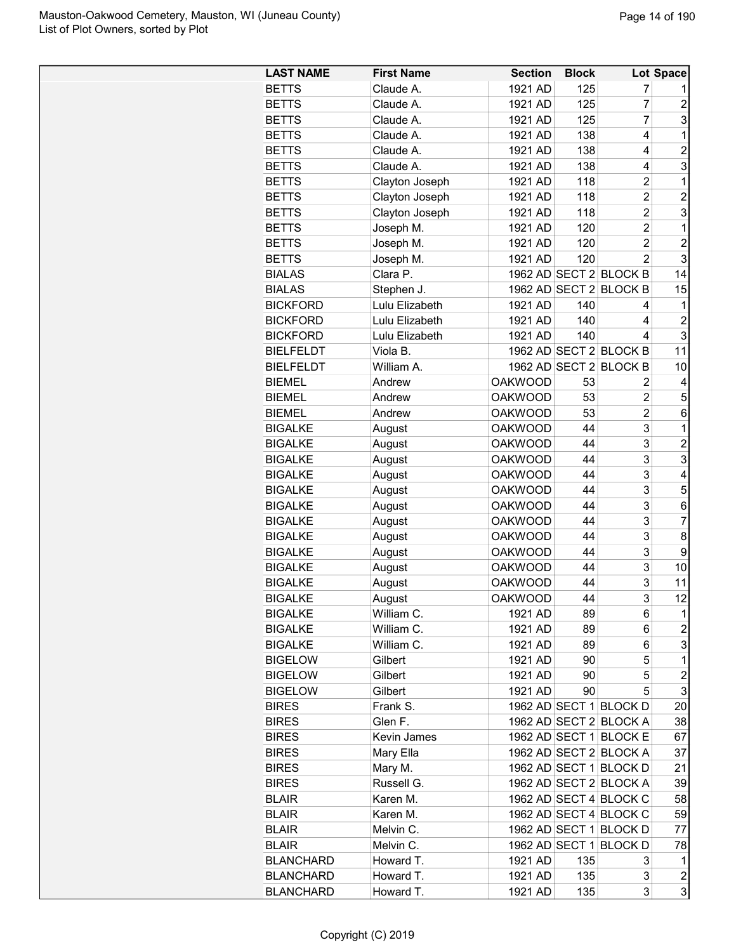| <b>LAST NAME</b> | <b>First Name</b> | <b>Section</b> | <b>Block</b> |                        | Lot Space               |
|------------------|-------------------|----------------|--------------|------------------------|-------------------------|
| <b>BETTS</b>     | Claude A.         | 1921 AD        | 125          | 7                      |                         |
| <b>BETTS</b>     | Claude A.         | 1921 AD        | 125          | 7                      | $\overline{\mathbf{c}}$ |
| <b>BETTS</b>     | Claude A.         | 1921 AD        | 125          | $\overline{7}$         | 3                       |
| <b>BETTS</b>     | Claude A.         | 1921 AD        | 138          | 4                      | $\mathbf 1$             |
| <b>BETTS</b>     | Claude A.         | 1921 AD        | 138          | 4                      | 2                       |
| <b>BETTS</b>     | Claude A.         | 1921 AD        | 138          | 4                      | 3                       |
| <b>BETTS</b>     | Clayton Joseph    | 1921 AD        | 118          | $\overline{2}$         | $\mathbf{1}$            |
| <b>BETTS</b>     | Clayton Joseph    | 1921 AD        | 118          | $\overline{2}$         | $\overline{2}$          |
| <b>BETTS</b>     | Clayton Joseph    | 1921 AD        | 118          | $\overline{2}$         | 3                       |
| <b>BETTS</b>     | Joseph M.         | 1921 AD        | 120          | $\overline{2}$         | 1                       |
| <b>BETTS</b>     | Joseph M.         | 1921 AD        | 120          | $\overline{2}$         | $\overline{c}$          |
| <b>BETTS</b>     | Joseph M.         | 1921 AD        | 120          | $\overline{2}$         | 3                       |
| <b>BIALAS</b>    | Clara P.          |                |              | 1962 AD SECT 2 BLOCK B | 14                      |
| <b>BIALAS</b>    | Stephen J.        |                |              | 1962 AD SECT 2 BLOCK B | 15                      |
| <b>BICKFORD</b>  | Lulu Elizabeth    | 1921 AD        | 140          | 4                      | 1                       |
| <b>BICKFORD</b>  | Lulu Elizabeth    | 1921 AD        | 140          | 4                      | $\overline{c}$          |
| <b>BICKFORD</b>  | Lulu Elizabeth    | 1921 AD        | 140          | 4                      | 3                       |
| <b>BIELFELDT</b> | Viola B.          |                |              | 1962 AD SECT 2 BLOCK B | 11                      |
| <b>BIELFELDT</b> | William A.        |                |              | 1962 AD SECT 2 BLOCK B | 10                      |
| <b>BIEMEL</b>    | Andrew            | <b>OAKWOOD</b> | 53           | 2                      | 4                       |
| <b>BIEMEL</b>    | Andrew            | <b>OAKWOOD</b> | 53           | $\overline{c}$         | 5                       |
| <b>BIEMEL</b>    | Andrew            | <b>OAKWOOD</b> | 53           | $\overline{c}$         | 6                       |
| <b>BIGALKE</b>   | August            | <b>OAKWOOD</b> | 44           | 3                      | $\mathbf{1}$            |
| <b>BIGALKE</b>   | August            | <b>OAKWOOD</b> | 44           | 3                      | $\overline{\mathbf{c}}$ |
| <b>BIGALKE</b>   | August            | <b>OAKWOOD</b> | 44           | 3                      | 3                       |
| <b>BIGALKE</b>   | August            | <b>OAKWOOD</b> | 44           | 3                      | 4                       |
| <b>BIGALKE</b>   | August            | <b>OAKWOOD</b> | 44           | 3                      | 5                       |
| <b>BIGALKE</b>   | August            | <b>OAKWOOD</b> | 44           | 3                      | 6                       |
| <b>BIGALKE</b>   | August            | <b>OAKWOOD</b> | 44           | 3                      | $\overline{7}$          |
| <b>BIGALKE</b>   | August            | <b>OAKWOOD</b> | 44           | 3                      | 8                       |
| <b>BIGALKE</b>   | August            | <b>OAKWOOD</b> | 44           | 3                      | 9                       |
| <b>BIGALKE</b>   | August            | <b>OAKWOOD</b> | 44           | 3                      | 10                      |
| <b>BIGALKE</b>   | August            | <b>OAKWOOD</b> | 44           | 3                      | 11                      |
| <b>BIGALKE</b>   | August            | <b>OAKWOOD</b> | 44           | 3                      | 12                      |
| <b>BIGALKE</b>   | William C.        | 1921 AD        | 89           | 6                      | 1                       |
| <b>BIGALKE</b>   | William C.        | 1921 AD        | 89           | 6                      | 2                       |
| <b>BIGALKE</b>   | William C.        | 1921 AD        | 89           | 6                      | 3                       |
| <b>BIGELOW</b>   | Gilbert           | 1921 AD        | 90           | 5                      | 1                       |
| <b>BIGELOW</b>   | Gilbert           | 1921 AD        | 90           | 5                      | $\overline{\mathbf{c}}$ |
| <b>BIGELOW</b>   | Gilbert           | 1921 AD        | 90           | 5                      | 3                       |
| <b>BIRES</b>     | Frank S.          |                |              | 1962 AD SECT 1 BLOCK D | 20                      |
| <b>BIRES</b>     | Glen F.           |                |              | 1962 AD SECT 2 BLOCK A | 38                      |
| <b>BIRES</b>     | Kevin James       |                |              | 1962 AD SECT 1 BLOCK E | 67                      |
| <b>BIRES</b>     | Mary Ella         |                |              | 1962 AD SECT 2 BLOCK A | 37                      |
| <b>BIRES</b>     | Mary M.           |                |              | 1962 AD SECT 1 BLOCK D | 21                      |
| <b>BIRES</b>     | Russell G.        |                |              | 1962 AD SECT 2 BLOCK A | 39                      |
| <b>BLAIR</b>     | Karen M.          |                |              | 1962 AD SECT 4 BLOCK C | 58                      |
| <b>BLAIR</b>     | Karen M.          |                |              | 1962 AD SECT 4 BLOCK C | 59                      |
| <b>BLAIR</b>     | Melvin C.         |                |              | 1962 AD SECT 1 BLOCK D | 77                      |
| <b>BLAIR</b>     | Melvin C.         |                |              | 1962 AD SECT 1 BLOCK D | 78                      |
| <b>BLANCHARD</b> | Howard T.         | 1921 AD        | 135          | 3                      | $\mathbf{1}$            |
| <b>BLANCHARD</b> | Howard T.         | 1921 AD        | 135          | 3                      | 2                       |
| <b>BLANCHARD</b> | Howard T.         | 1921 AD        | 135          | 3                      | 3                       |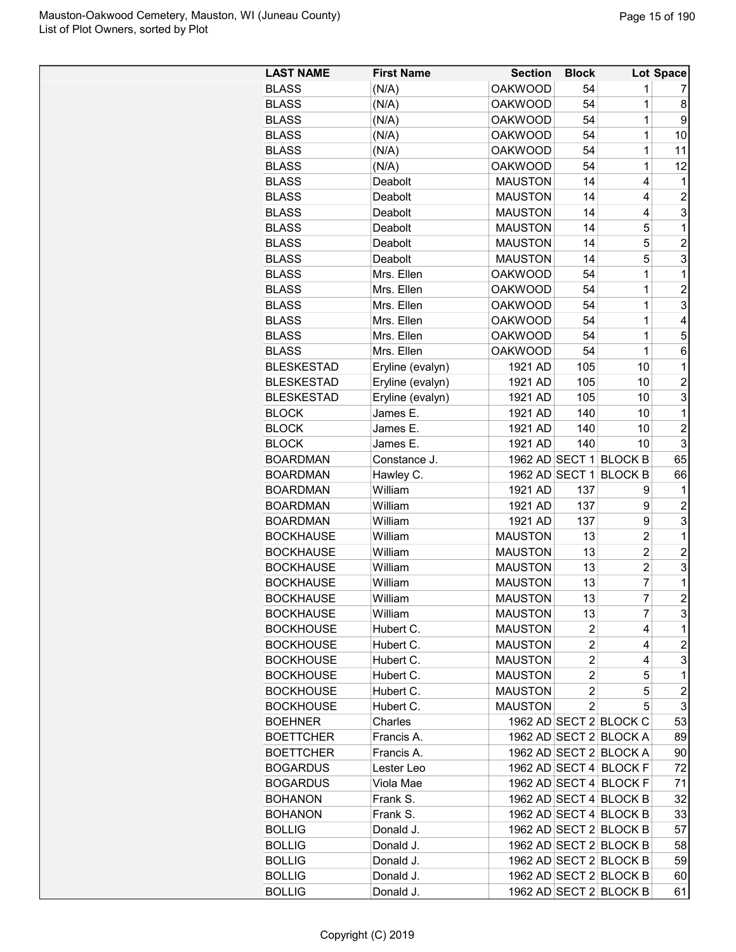| <b>LAST NAME</b>  | <b>First Name</b> | <b>Section</b> | <b>Block</b>   |                        | Lot Space        |
|-------------------|-------------------|----------------|----------------|------------------------|------------------|
| <b>BLASS</b>      | (N/A)             | <b>OAKWOOD</b> | 54             | 1                      | 7                |
| <b>BLASS</b>      | (N/A)             | <b>OAKWOOD</b> | 54             | 1                      | 8                |
| <b>BLASS</b>      | (N/A)             | <b>OAKWOOD</b> | 54             | $\overline{1}$         | 9                |
| <b>BLASS</b>      | (N/A)             | <b>OAKWOOD</b> | 54             | $\overline{1}$         | 10               |
| <b>BLASS</b>      | (N/A)             | <b>OAKWOOD</b> | 54             | 1                      | 11               |
| <b>BLASS</b>      | (N/A)             | <b>OAKWOOD</b> | 54             | $\overline{1}$         | 12               |
| <b>BLASS</b>      | Deabolt           | <b>MAUSTON</b> | 14             | 4                      | 1                |
| <b>BLASS</b>      | Deabolt           | <b>MAUSTON</b> | 14             | 4                      | $\overline{c}$   |
| <b>BLASS</b>      | Deabolt           | <b>MAUSTON</b> | 14             | 4                      | 3                |
| <b>BLASS</b>      | Deabolt           | <b>MAUSTON</b> | 14             | 5                      | 1                |
| <b>BLASS</b>      | Deabolt           | <b>MAUSTON</b> | 14             | 5                      | $\overline{c}$   |
| <b>BLASS</b>      | Deabolt           | <b>MAUSTON</b> | 14             | 5                      | 3                |
| <b>BLASS</b>      | Mrs. Ellen        | <b>OAKWOOD</b> | 54             | 1                      | 1                |
| <b>BLASS</b>      | Mrs. Ellen        | <b>OAKWOOD</b> | 54             | $\overline{1}$         | $\overline{2}$   |
| <b>BLASS</b>      | Mrs. Ellen        | <b>OAKWOOD</b> | 54             | $\overline{1}$         | 3                |
| <b>BLASS</b>      | Mrs. Ellen        | <b>OAKWOOD</b> | 54             | $\overline{1}$         | 4                |
| <b>BLASS</b>      | Mrs. Ellen        | <b>OAKWOOD</b> | 54             | $\overline{1}$         | 5                |
| <b>BLASS</b>      | Mrs. Ellen        | <b>OAKWOOD</b> | 54             | $\overline{1}$         | 6                |
| <b>BLESKESTAD</b> | Eryline (evalyn)  | 1921 AD        | 105            | 10                     | 1                |
| <b>BLESKESTAD</b> | Eryline (evalyn)  | 1921 AD        | 105            | 10                     | $\overline{c}$   |
| <b>BLESKESTAD</b> | Eryline (evalyn)  | 1921 AD        | 105            | 10                     | 3                |
| <b>BLOCK</b>      | James E.          | 1921 AD        | 140            | 10                     | 1                |
| <b>BLOCK</b>      | James E.          | 1921 AD        | 140            | 10                     | $\overline{c}$   |
| <b>BLOCK</b>      | James E.          | 1921 AD        | 140            | 10                     | 3                |
| <b>BOARDMAN</b>   | Constance J.      |                |                | 1962 AD SECT 1 BLOCK B | 65               |
| <b>BOARDMAN</b>   | Hawley C.         | 1962 AD SECT 1 |                | <b>BLOCK B</b>         | 66               |
| <b>BOARDMAN</b>   | William           | 1921 AD        | 137            | 9                      | 1                |
| <b>BOARDMAN</b>   | William           | 1921 AD        | 137            | 9                      | $\overline{c}$   |
| <b>BOARDMAN</b>   | William           | 1921 AD        | 137            | 9                      | 3                |
| <b>BOCKHAUSE</b>  | William           | <b>MAUSTON</b> | 13             | $\overline{2}$         | 1                |
| <b>BOCKHAUSE</b>  | William           | <b>MAUSTON</b> | 13             | $\overline{c}$         | $\overline{c}$   |
| <b>BOCKHAUSE</b>  | William           | <b>MAUSTON</b> | 13             | $\overline{c}$         | 3                |
| <b>BOCKHAUSE</b>  | William           | <b>MAUSTON</b> | 13             | 7                      | 1                |
| <b>BOCKHAUSE</b>  | William           | <b>MAUSTON</b> | 13             | $\overline{7}$         | $\overline{2}$   |
| <b>BOCKHAUSE</b>  | William           | <b>MAUSTON</b> | 13             | 7                      | 3                |
| <b>BOCKHOUSE</b>  | Hubert C.         | <b>MAUSTON</b> | $\overline{2}$ | 4                      | 1                |
| <b>BOCKHOUSE</b>  | Hubert C.         | <b>MAUSTON</b> | $\overline{2}$ | 4                      | $\overline{c}$   |
| <b>BOCKHOUSE</b>  | Hubert C.         | <b>MAUSTON</b> | $\overline{c}$ | 4                      | 3                |
| <b>BOCKHOUSE</b>  | Hubert C.         | <b>MAUSTON</b> | 2              | 5                      | 1                |
| <b>BOCKHOUSE</b>  | Hubert C.         | <b>MAUSTON</b> | $\overline{2}$ | 5                      | $\boldsymbol{2}$ |
| <b>BOCKHOUSE</b>  | Hubert C.         | <b>MAUSTON</b> | $\overline{2}$ | 5                      | 3                |
| <b>BOEHNER</b>    | Charles           |                |                | 1962 AD SECT 2 BLOCK C | 53               |
| <b>BOETTCHER</b>  | Francis A.        |                |                | 1962 AD SECT 2 BLOCK A | 89               |
| <b>BOETTCHER</b>  | Francis A.        |                |                | 1962 AD SECT 2 BLOCK A | 90               |
| <b>BOGARDUS</b>   | Lester Leo        |                |                | 1962 AD SECT 4 BLOCK F | 72               |
| <b>BOGARDUS</b>   | Viola Mae         |                |                | 1962 AD SECT 4 BLOCK F | 71               |
| <b>BOHANON</b>    | Frank S.          |                |                | 1962 AD SECT 4 BLOCK B | 32               |
| <b>BOHANON</b>    | Frank S.          |                |                | 1962 AD SECT 4 BLOCK B | 33               |
| <b>BOLLIG</b>     | Donald J.         |                |                | 1962 AD SECT 2 BLOCK B | 57               |
| <b>BOLLIG</b>     | Donald J.         |                |                | 1962 AD SECT 2 BLOCK B | 58               |
| <b>BOLLIG</b>     | Donald J.         |                |                | 1962 AD SECT 2 BLOCK B | 59               |
| <b>BOLLIG</b>     | Donald J.         |                |                | 1962 AD SECT 2 BLOCK B | 60               |
| <b>BOLLIG</b>     | Donald J.         |                |                | 1962 AD SECT 2 BLOCK B | 61               |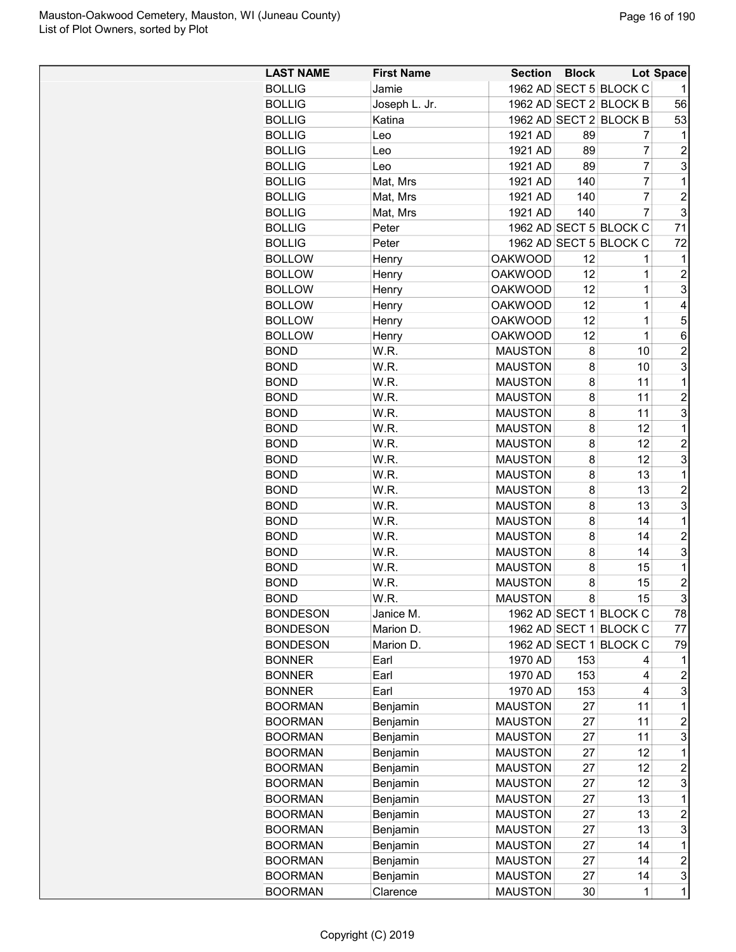| <b>LAST NAME</b> | <b>First Name</b> | <b>Section</b> | <b>Block</b>   |                        | Lot Space               |
|------------------|-------------------|----------------|----------------|------------------------|-------------------------|
| <b>BOLLIG</b>    | Jamie             |                |                | 1962 AD SECT 5 BLOCK C |                         |
| <b>BOLLIG</b>    | Joseph L. Jr.     |                |                | 1962 AD SECT 2 BLOCK B | 56                      |
| <b>BOLLIG</b>    | Katina            |                |                | 1962 AD SECT 2 BLOCK B | 53                      |
| <b>BOLLIG</b>    | Leo               | 1921 AD        | 89             | 7                      | 1                       |
| <b>BOLLIG</b>    | Leo               | 1921 AD        | 89             | 7                      | $\overline{2}$          |
| <b>BOLLIG</b>    | Leo               | 1921 AD        | 89             | $\overline{7}$         | 3                       |
| <b>BOLLIG</b>    | Mat, Mrs          | 1921 AD        | 140            | $\overline{7}$         | $\mathbf 1$             |
| <b>BOLLIG</b>    | Mat, Mrs          | 1921 AD        | 140            | $\overline{7}$         | $\overline{\mathbf{c}}$ |
| <b>BOLLIG</b>    | Mat, Mrs          | 1921 AD        | 140            | $\overline{7}$         | 3                       |
| <b>BOLLIG</b>    | Peter             |                |                | 1962 AD SECT 5 BLOCK C | 71                      |
| <b>BOLLIG</b>    | Peter             |                |                | 1962 AD SECT 5 BLOCK C | 72                      |
| <b>BOLLOW</b>    | Henry             | <b>OAKWOOD</b> | 12             | 1                      | 1                       |
| <b>BOLLOW</b>    | Henry             | <b>OAKWOOD</b> | 12             | 1                      | $\overline{c}$          |
| <b>BOLLOW</b>    | Henry             | <b>OAKWOOD</b> | 12             | 1                      | 3                       |
| <b>BOLLOW</b>    | Henry             | <b>OAKWOOD</b> | 12             | $\mathbf 1$            | 4                       |
| <b>BOLLOW</b>    | Henry             | <b>OAKWOOD</b> | 12             | 1                      | 5                       |
| <b>BOLLOW</b>    | Henry             | <b>OAKWOOD</b> | 12             | 1                      | 6                       |
| <b>BOND</b>      | W.R.              | <b>MAUSTON</b> | 8              | 10                     | $\overline{c}$          |
| <b>BOND</b>      | W.R.              | <b>MAUSTON</b> | 8              | 10                     | 3                       |
| <b>BOND</b>      | W.R.              | <b>MAUSTON</b> | 8              | 11                     | 1                       |
| <b>BOND</b>      | W.R.              | <b>MAUSTON</b> | 8              | 11                     | $\overline{2}$          |
|                  |                   |                |                | 11                     | 3                       |
| <b>BOND</b>      | W.R.              | <b>MAUSTON</b> | 8              |                        |                         |
| <b>BOND</b>      | W.R.              | <b>MAUSTON</b> | 8              | 12                     | $\mathbf 1$             |
| <b>BOND</b>      | W.R.              | <b>MAUSTON</b> | 8              | 12                     | $\overline{c}$          |
| <b>BOND</b>      | W.R.              | <b>MAUSTON</b> | 8              | 12                     | 3                       |
| <b>BOND</b>      | W.R.              | <b>MAUSTON</b> | 8              | 13                     | $\mathbf 1$             |
| <b>BOND</b>      | W.R.              | <b>MAUSTON</b> | 8              | 13                     | $\overline{c}$          |
| <b>BOND</b>      | W.R.              | <b>MAUSTON</b> | 8              | 13                     | 3                       |
| <b>BOND</b>      | W.R.              | <b>MAUSTON</b> | 8              | 14                     | $\mathbf 1$             |
| <b>BOND</b>      | W.R.              | <b>MAUSTON</b> | 8              | 14                     | $\overline{2}$          |
| <b>BOND</b>      | W.R.              | <b>MAUSTON</b> | 8              | 14                     | 3                       |
| <b>BOND</b>      | W.R.              | <b>MAUSTON</b> | 8              | 15                     | $\mathbf 1$             |
| <b>BOND</b>      | W.R.              | <b>MAUSTON</b> | 8              | 15                     | $\overline{\mathbf{c}}$ |
| <b>BOND</b>      | W.R.              | <b>MAUSTON</b> | 8 <sup>1</sup> | 15                     | 3                       |
| <b>BONDESON</b>  | Janice M.         |                |                | 1962 AD SECT 1 BLOCK C | 78                      |
| <b>BONDESON</b>  | Marion D.         |                |                | 1962 AD SECT 1 BLOCK C | 77                      |
| <b>BONDESON</b>  | Marion D.         |                |                | 1962 AD SECT 1 BLOCK C | 79                      |
| <b>BONNER</b>    | Earl              | 1970 AD        | 153            | 4                      | 1                       |
| <b>BONNER</b>    | Earl              | 1970 AD        | 153            | 4                      | 2                       |
| <b>BONNER</b>    | Earl              | 1970 AD        | 153            | 4                      | 3                       |
| <b>BOORMAN</b>   | Benjamin          | <b>MAUSTON</b> | 27             | 11                     | 1                       |
| <b>BOORMAN</b>   | Benjamin          | <b>MAUSTON</b> | 27             | 11                     | $\overline{c}$          |
| <b>BOORMAN</b>   | Benjamin          | <b>MAUSTON</b> | 27             | 11                     | 3                       |
| <b>BOORMAN</b>   | Benjamin          | <b>MAUSTON</b> | 27             | 12                     | $\mathbf 1$             |
| <b>BOORMAN</b>   | Benjamin          | <b>MAUSTON</b> | 27             | 12                     | $\overline{c}$          |
| <b>BOORMAN</b>   | Benjamin          | <b>MAUSTON</b> | 27             | 12                     | 3                       |
| <b>BOORMAN</b>   | Benjamin          | <b>MAUSTON</b> | 27             | 13                     | $\mathbf 1$             |
| <b>BOORMAN</b>   | Benjamin          | <b>MAUSTON</b> | 27             | 13                     | $\overline{\mathbf{c}}$ |
| <b>BOORMAN</b>   | Benjamin          | <b>MAUSTON</b> | 27             | 13                     | 3                       |
| <b>BOORMAN</b>   | Benjamin          | <b>MAUSTON</b> | 27             | 14                     | $\mathbf 1$             |
| <b>BOORMAN</b>   | Benjamin          | <b>MAUSTON</b> | 27             | 14                     | $\overline{c}$          |
| <b>BOORMAN</b>   | Benjamin          | <b>MAUSTON</b> | 27             | 14                     | 3                       |
| <b>BOORMAN</b>   | Clarence          | <b>MAUSTON</b> | 30             | 1                      | $\mathbf{1}$            |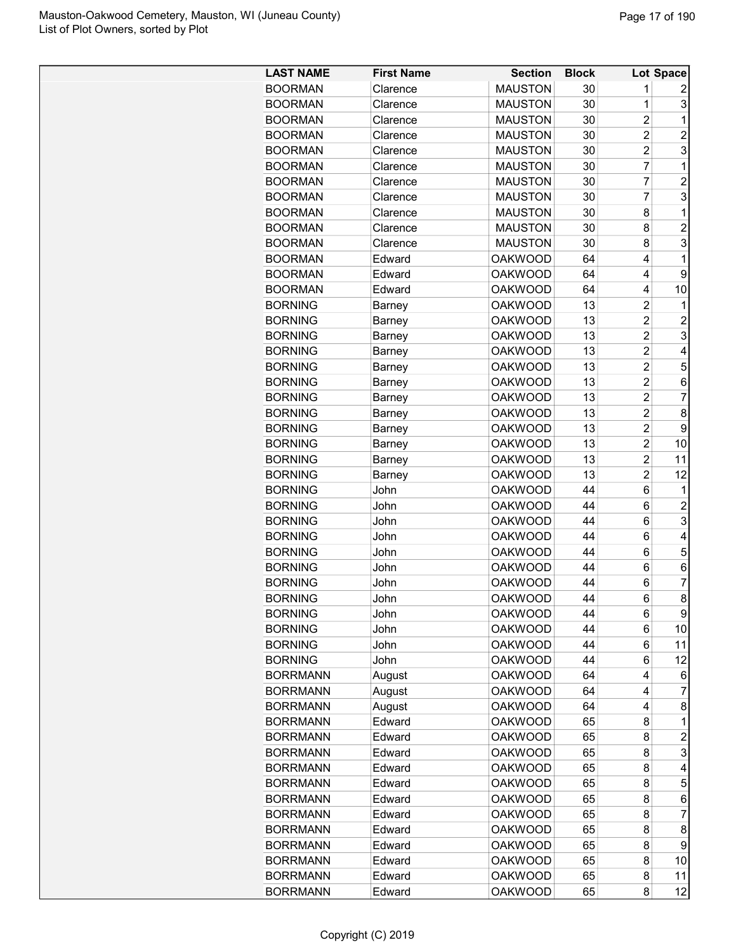| <b>LAST NAME</b> | <b>First Name</b> | <b>Section</b> | <b>Block</b> |                | <b>Lot Space</b> |
|------------------|-------------------|----------------|--------------|----------------|------------------|
| <b>BOORMAN</b>   | Clarence          | <b>MAUSTON</b> | 30           | 1              | 2                |
| <b>BOORMAN</b>   | Clarence          | <b>MAUSTON</b> | 30           | 1              | 3                |
| <b>BOORMAN</b>   | Clarence          | <b>MAUSTON</b> | 30           | $\overline{c}$ | 1                |
| <b>BOORMAN</b>   | Clarence          | <b>MAUSTON</b> | 30           | $\overline{c}$ | $\overline{c}$   |
| <b>BOORMAN</b>   | Clarence          | <b>MAUSTON</b> | 30           | $\overline{c}$ | 3                |
| <b>BOORMAN</b>   | Clarence          | <b>MAUSTON</b> | 30           | 7              | 1                |
| <b>BOORMAN</b>   | Clarence          | <b>MAUSTON</b> | 30           | 7              | $\overline{c}$   |
| <b>BOORMAN</b>   | Clarence          | <b>MAUSTON</b> | 30           | 7              | 3                |
| <b>BOORMAN</b>   | Clarence          | <b>MAUSTON</b> | 30           | 8              | 1                |
| <b>BOORMAN</b>   | Clarence          | <b>MAUSTON</b> | 30           | 8              | $\overline{c}$   |
| <b>BOORMAN</b>   |                   |                |              |                | 3                |
|                  | Clarence          | <b>MAUSTON</b> | 30           | 8              |                  |
| <b>BOORMAN</b>   | Edward            | <b>OAKWOOD</b> | 64           | 4              | 1                |
| <b>BOORMAN</b>   | Edward            | <b>OAKWOOD</b> | 64           | 4              | 9                |
| <b>BOORMAN</b>   | Edward            | <b>OAKWOOD</b> | 64           | 4              | 10               |
| <b>BORNING</b>   | Barney            | <b>OAKWOOD</b> | 13           | $\overline{2}$ | 1                |
| <b>BORNING</b>   | <b>Barney</b>     | <b>OAKWOOD</b> | 13           | $\overline{2}$ | $\overline{2}$   |
| <b>BORNING</b>   | <b>Barney</b>     | <b>OAKWOOD</b> | 13           | $\overline{c}$ | 3                |
| <b>BORNING</b>   | Barney            | <b>OAKWOOD</b> | 13           | $\overline{2}$ | 4                |
| <b>BORNING</b>   | Barney            | <b>OAKWOOD</b> | 13           | $\overline{c}$ | 5                |
| <b>BORNING</b>   | Barney            | <b>OAKWOOD</b> | 13           | $\overline{c}$ | 6                |
| <b>BORNING</b>   | Barney            | <b>OAKWOOD</b> | 13           | $\overline{c}$ | $\overline{7}$   |
| <b>BORNING</b>   | Barney            | <b>OAKWOOD</b> | 13           | $\overline{c}$ | 8                |
| <b>BORNING</b>   | Barney            | <b>OAKWOOD</b> | 13           | $\overline{2}$ | 9                |
| <b>BORNING</b>   | Barney            | <b>OAKWOOD</b> | 13           | $\overline{2}$ | 10               |
| <b>BORNING</b>   | Barney            | <b>OAKWOOD</b> | 13           | $\overline{2}$ | 11               |
| <b>BORNING</b>   | Barney            | <b>OAKWOOD</b> | 13           | 2              | 12               |
| <b>BORNING</b>   | John              | <b>OAKWOOD</b> | 44           | 6              | 1                |
| <b>BORNING</b>   | John              | <b>OAKWOOD</b> | 44           | 6              | $\overline{c}$   |
| <b>BORNING</b>   | John              | <b>OAKWOOD</b> | 44           | 6              | 3                |
| <b>BORNING</b>   | John              | <b>OAKWOOD</b> | 44           | 6              | 4                |
| <b>BORNING</b>   | John              | <b>OAKWOOD</b> | 44           | 6              | 5                |
| <b>BORNING</b>   | John              | <b>OAKWOOD</b> | 44           | 6              | 6                |
| <b>BORNING</b>   | John              | <b>OAKWOOD</b> | 44           | 6              | 7                |
| <b>BORNING</b>   | John              | <b>OAKWOOD</b> | 44           | 6              | 8                |
| <b>BORNING</b>   | John              | <b>OAKWOOD</b> | 44           | 6              | 9                |
| <b>BORNING</b>   | John              | <b>OAKWOOD</b> | 44           | 6              | 10               |
| <b>BORNING</b>   | John              | <b>OAKWOOD</b> | 44           | 6              | 11               |
| <b>BORNING</b>   | John              | <b>OAKWOOD</b> | 44           | 6              | 12               |
| <b>BORRMANN</b>  | August            | <b>OAKWOOD</b> | 64           | 4              | 6                |
| <b>BORRMANN</b>  | August            | <b>OAKWOOD</b> | 64           | 4              | 7                |
| <b>BORRMANN</b>  |                   | <b>OAKWOOD</b> | 64           | 4              | 8                |
| <b>BORRMANN</b>  | August<br>Edward  | <b>OAKWOOD</b> | 65           | 8              | 1                |
| <b>BORRMANN</b>  |                   | <b>OAKWOOD</b> | 65           |                | $\overline{2}$   |
|                  | Edward            |                |              | 8              |                  |
| <b>BORRMANN</b>  | Edward            | <b>OAKWOOD</b> | 65           | 8              | 3                |
| <b>BORRMANN</b>  | Edward            | <b>OAKWOOD</b> | 65           | 8              | 4                |
| <b>BORRMANN</b>  | Edward            | <b>OAKWOOD</b> | 65           | 8              | 5                |
| <b>BORRMANN</b>  | Edward            | <b>OAKWOOD</b> | 65           | 8              | 6                |
| <b>BORRMANN</b>  | Edward            | <b>OAKWOOD</b> | 65           | 8              | 7                |
| <b>BORRMANN</b>  | Edward            | <b>OAKWOOD</b> | 65           | 8              | 8                |
| <b>BORRMANN</b>  | Edward            | <b>OAKWOOD</b> | 65           | 8              | 9                |
| <b>BORRMANN</b>  | Edward            | <b>OAKWOOD</b> | 65           | 8              | 10               |
| <b>BORRMANN</b>  | Edward            | <b>OAKWOOD</b> | 65           | 8              | 11               |
| <b>BORRMANN</b>  | Edward            | <b>OAKWOOD</b> | 65           | 8              | 12               |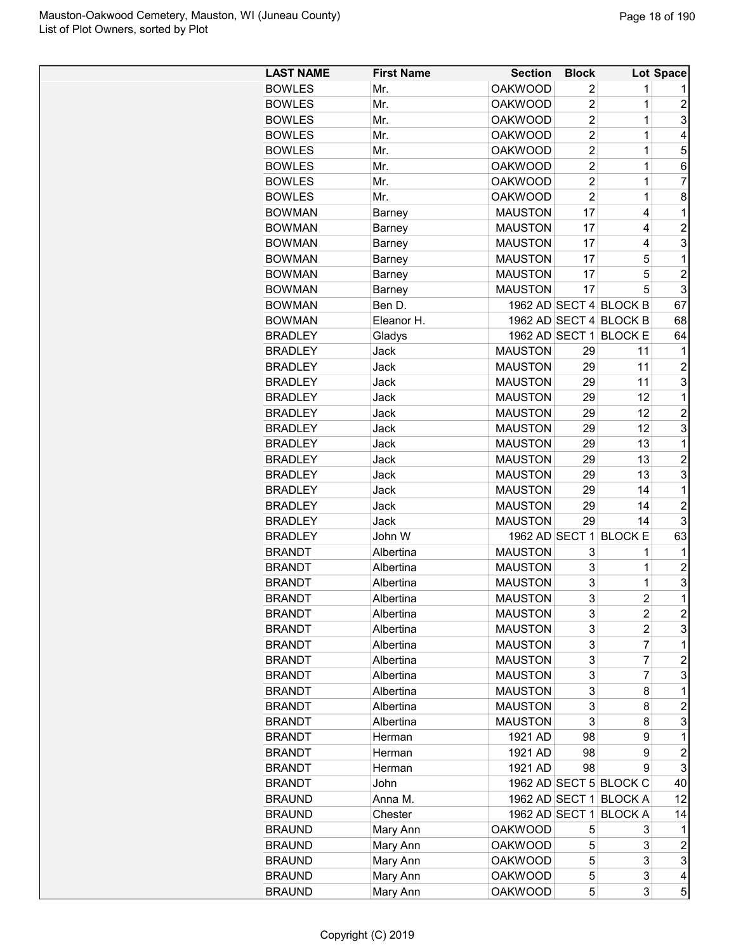| <b>LAST NAME</b> | <b>First Name</b> | <b>Section</b> | <b>Block</b>   |                        | <b>Lot Space</b> |
|------------------|-------------------|----------------|----------------|------------------------|------------------|
| <b>BOWLES</b>    | Mr.               | <b>OAKWOOD</b> | 2              | 1                      | 1                |
| <b>BOWLES</b>    | Mr.               | <b>OAKWOOD</b> | $\overline{c}$ | 1                      | $\overline{c}$   |
| <b>BOWLES</b>    | Mr.               | <b>OAKWOOD</b> | $\overline{2}$ | 1                      | 3                |
| <b>BOWLES</b>    | Mr.               | <b>OAKWOOD</b> | $\overline{2}$ | 1                      | 4                |
| <b>BOWLES</b>    | Mr.               | <b>OAKWOOD</b> | $\overline{2}$ | $\mathbf 1$            | 5                |
| <b>BOWLES</b>    | Mr.               | <b>OAKWOOD</b> | $\overline{2}$ | $\mathbf 1$            | 6                |
| <b>BOWLES</b>    | Mr.               | <b>OAKWOOD</b> | $\overline{2}$ | $\mathbf 1$            | 7                |
| <b>BOWLES</b>    | Mr.               | <b>OAKWOOD</b> | $\overline{2}$ | $\mathbf 1$            | 8                |
| <b>BOWMAN</b>    | Barney            | <b>MAUSTON</b> | 17             | 4                      | 1                |
| <b>BOWMAN</b>    | <b>Barney</b>     | <b>MAUSTON</b> | 17             | 4                      | $\overline{2}$   |
| <b>BOWMAN</b>    | <b>Barney</b>     | <b>MAUSTON</b> | 17             | 4                      | 3                |
| <b>BOWMAN</b>    | Barney            | <b>MAUSTON</b> | 17             | 5                      | 1                |
| <b>BOWMAN</b>    | Barney            | <b>MAUSTON</b> | 17             | 5                      | $\overline{c}$   |
| <b>BOWMAN</b>    | <b>Barney</b>     | <b>MAUSTON</b> | 17             | 5                      | 3                |
| <b>BOWMAN</b>    | Ben D.            |                |                | 1962 AD SECT 4 BLOCK B | 67               |
| <b>BOWMAN</b>    | Eleanor H.        |                |                | 1962 AD SECT 4 BLOCK B | 68               |
|                  |                   |                |                |                        |                  |
| <b>BRADLEY</b>   | Gladys            | 1962 AD SECT 1 |                | <b>BLOCK E</b>         | 64               |
| <b>BRADLEY</b>   | Jack              | <b>MAUSTON</b> | 29             | 11                     | 1                |
| <b>BRADLEY</b>   | Jack              | <b>MAUSTON</b> | 29             | 11                     | $\overline{c}$   |
| <b>BRADLEY</b>   | Jack              | <b>MAUSTON</b> | 29             | 11                     | 3                |
| <b>BRADLEY</b>   | Jack              | <b>MAUSTON</b> | 29             | 12                     | 1                |
| <b>BRADLEY</b>   | Jack              | <b>MAUSTON</b> | 29             | 12                     | $\overline{2}$   |
| <b>BRADLEY</b>   | Jack              | <b>MAUSTON</b> | 29             | 12                     | 3                |
| <b>BRADLEY</b>   | Jack              | <b>MAUSTON</b> | 29             | 13                     | 1                |
| <b>BRADLEY</b>   | Jack              | <b>MAUSTON</b> | 29             | 13                     | $\overline{c}$   |
| <b>BRADLEY</b>   | Jack              | <b>MAUSTON</b> | 29             | 13                     | 3                |
| <b>BRADLEY</b>   | Jack              | <b>MAUSTON</b> | 29             | 14                     | 1                |
| <b>BRADLEY</b>   | Jack              | <b>MAUSTON</b> | 29             | 14                     | $\overline{2}$   |
| <b>BRADLEY</b>   | Jack              | <b>MAUSTON</b> | 29             | 14                     | 3                |
| <b>BRADLEY</b>   | John W            | 1962 AD SECT 1 |                | <b>BLOCK E</b>         | 63               |
| <b>BRANDT</b>    | Albertina         | <b>MAUSTON</b> | 3              | 1                      | 1                |
| <b>BRANDT</b>    | Albertina         | <b>MAUSTON</b> | 3              | 1                      | $\overline{c}$   |
| <b>BRANDT</b>    | Albertina         | <b>MAUSTON</b> | 3              | 1                      | 3                |
| <b>BRANDT</b>    | Albertina         | <b>MAUSTON</b> | 3              | $\overline{2}$         | 1                |
| <b>BRANDT</b>    | Albertina         | <b>MAUSTON</b> | 3              | 2                      | $\boldsymbol{2}$ |
| <b>BRANDT</b>    | Albertina         | <b>MAUSTON</b> | 3              | $\overline{c}$         | 3                |
| <b>BRANDT</b>    | Albertina         | <b>MAUSTON</b> | 3              | 7                      | 1                |
| <b>BRANDT</b>    | Albertina         | <b>MAUSTON</b> | 3              | 7                      | 2                |
| <b>BRANDT</b>    | Albertina         | <b>MAUSTON</b> | 3              | 7                      | 3                |
| <b>BRANDT</b>    | Albertina         | <b>MAUSTON</b> | 3              | 8                      | 1                |
| <b>BRANDT</b>    | Albertina         | <b>MAUSTON</b> | 3              | 8                      | $\overline{c}$   |
| <b>BRANDT</b>    | Albertina         | <b>MAUSTON</b> | 3              | 8                      | 3                |
| <b>BRANDT</b>    | Herman            | 1921 AD        | 98             | 9                      | 1                |
| <b>BRANDT</b>    | Herman            | 1921 AD        | 98             | 9                      | $\overline{c}$   |
| <b>BRANDT</b>    | Herman            | 1921 AD        | 98             | 9                      | 3                |
| <b>BRANDT</b>    | John              |                |                | 1962 AD SECT 5 BLOCK C | 40               |
| <b>BRAUND</b>    | Anna M.           |                |                | 1962 AD SECT 1 BLOCK A | 12               |
| <b>BRAUND</b>    | Chester           | 1962 AD SECT 1 |                | <b>BLOCK A</b>         | 14               |
| <b>BRAUND</b>    |                   | <b>OAKWOOD</b> | 5              | 3                      | 1                |
|                  | Mary Ann          |                |                |                        |                  |
| <b>BRAUND</b>    | Mary Ann          | <b>OAKWOOD</b> | 5              | 3                      | $\overline{c}$   |
| <b>BRAUND</b>    | Mary Ann          | <b>OAKWOOD</b> | 5              | 3                      | 3                |
| <b>BRAUND</b>    | Mary Ann          | <b>OAKWOOD</b> | 5              | 3                      | 4                |
| <b>BRAUND</b>    | Mary Ann          | <b>OAKWOOD</b> | 5              | 3                      | 5                |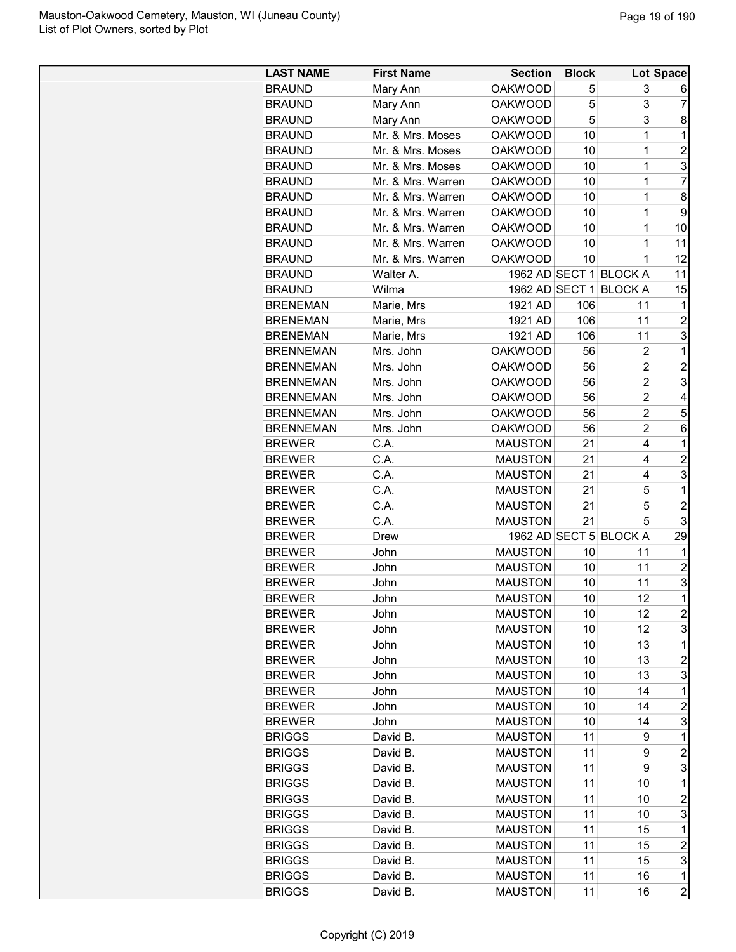| <b>LAST NAME</b> | <b>First Name</b> | <b>Section</b>                   | <b>Block</b> |                        | Lot Space               |
|------------------|-------------------|----------------------------------|--------------|------------------------|-------------------------|
| <b>BRAUND</b>    | Mary Ann          | <b>OAKWOOD</b>                   | 5            | 3                      | 6                       |
| <b>BRAUND</b>    | Mary Ann          | <b>OAKWOOD</b>                   | 5            | 3                      | 7                       |
| <b>BRAUND</b>    | Mary Ann          | <b>OAKWOOD</b>                   | 5            | 3                      | 8                       |
| <b>BRAUND</b>    | Mr. & Mrs. Moses  | <b>OAKWOOD</b>                   | 10           | 1                      | 1                       |
| <b>BRAUND</b>    | Mr. & Mrs. Moses  | <b>OAKWOOD</b>                   | 10           | $\mathbf 1$            | $\overline{c}$          |
| <b>BRAUND</b>    | Mr. & Mrs. Moses  | <b>OAKWOOD</b>                   | 10           | $\mathbf 1$            | 3                       |
| <b>BRAUND</b>    | Mr. & Mrs. Warren | <b>OAKWOOD</b>                   | 10           | $\mathbf 1$            | $\overline{7}$          |
| <b>BRAUND</b>    | Mr. & Mrs. Warren | <b>OAKWOOD</b>                   | 10           | $\mathbf 1$            | 8                       |
| <b>BRAUND</b>    | Mr. & Mrs. Warren | <b>OAKWOOD</b>                   | 10           | 1                      | 9                       |
|                  | Mr. & Mrs. Warren |                                  |              | 1                      |                         |
| <b>BRAUND</b>    | Mr. & Mrs. Warren | <b>OAKWOOD</b><br><b>OAKWOOD</b> | 10<br>10     | 1                      | 10<br>11                |
| <b>BRAUND</b>    |                   |                                  |              | 1                      |                         |
| <b>BRAUND</b>    | Mr. & Mrs. Warren | <b>OAKWOOD</b>                   | 10           |                        | 12                      |
| <b>BRAUND</b>    | Walter A.         |                                  |              | 1962 AD SECT 1 BLOCK A | 11                      |
| <b>BRAUND</b>    | Wilma             | 1962 AD SECT 1                   |              | <b>BLOCK A</b>         | 15                      |
| <b>BRENEMAN</b>  | Marie, Mrs        | 1921 AD                          | 106          | 11                     | 1                       |
| <b>BRENEMAN</b>  | Marie, Mrs        | 1921 AD                          | 106          | 11                     | $\overline{2}$          |
| <b>BRENEMAN</b>  | Marie, Mrs        | 1921 AD                          | 106          | 11                     | 3                       |
| <b>BRENNEMAN</b> | Mrs. John         | <b>OAKWOOD</b>                   | 56           | 2                      | 1                       |
| <b>BRENNEMAN</b> | Mrs. John         | <b>OAKWOOD</b>                   | 56           | 2                      | $\overline{c}$          |
| <b>BRENNEMAN</b> | Mrs. John         | <b>OAKWOOD</b>                   | 56           | $\overline{c}$         | 3                       |
| <b>BRENNEMAN</b> | Mrs. John         | <b>OAKWOOD</b>                   | 56           | $\overline{c}$         | 4                       |
| <b>BRENNEMAN</b> | Mrs. John         | <b>OAKWOOD</b>                   | 56           | $\overline{2}$         | 5                       |
| <b>BRENNEMAN</b> | Mrs. John         | <b>OAKWOOD</b>                   | 56           | $\overline{c}$         | 6                       |
| <b>BREWER</b>    | C.A.              | <b>MAUSTON</b>                   | 21           | 4                      | 1                       |
| <b>BREWER</b>    | C.A.              | <b>MAUSTON</b>                   | 21           | 4                      | 2                       |
| <b>BREWER</b>    | C.A.              | <b>MAUSTON</b>                   | 21           | 4                      | 3                       |
| <b>BREWER</b>    | C.A.              | <b>MAUSTON</b>                   | 21           | 5                      | 1                       |
| <b>BREWER</b>    | C.A.              | <b>MAUSTON</b>                   | 21           | 5                      | $\overline{2}$          |
| <b>BREWER</b>    | C.A.              | <b>MAUSTON</b>                   | 21           | 5                      | 3                       |
| <b>BREWER</b>    | Drew              | 1962 AD SECT 5                   |              | <b>BLOCK A</b>         | 29                      |
| <b>BREWER</b>    | John              | <b>MAUSTON</b>                   | 10           | 11                     | 1                       |
| <b>BREWER</b>    | John              | <b>MAUSTON</b>                   | 10           | 11                     | $\overline{c}$          |
| <b>BREWER</b>    | John              | <b>MAUSTON</b>                   | 10           | 11                     | 3                       |
| <b>BREWER</b>    | John              | <b>MAUSTON</b>                   | 10           | 12                     | 1                       |
| <b>BREWER</b>    | John              | <b>MAUSTON</b>                   | 10           | 12                     | $\overline{\mathbf{c}}$ |
| <b>BREWER</b>    | John              | <b>MAUSTON</b>                   | 10           | 12                     | 3                       |
| <b>BREWER</b>    | John              | <b>MAUSTON</b>                   | 10           | 13                     | 1                       |
| <b>BREWER</b>    | John              | <b>MAUSTON</b>                   | 10           | 13                     | 2                       |
| <b>BREWER</b>    | John              | <b>MAUSTON</b>                   | 10           | 13                     | 3                       |
| <b>BREWER</b>    | John              | <b>MAUSTON</b>                   | 10           | 14                     | 1                       |
| <b>BREWER</b>    | John              | <b>MAUSTON</b>                   | 10           | 14                     | 2                       |
|                  |                   |                                  |              |                        | 3                       |
| <b>BREWER</b>    | John              | <b>MAUSTON</b>                   | 10           | 14                     |                         |
| <b>BRIGGS</b>    | David B.          | <b>MAUSTON</b>                   | 11           | 9                      | 1                       |
| <b>BRIGGS</b>    | David B.          | <b>MAUSTON</b>                   | 11           | 9                      | $\overline{c}$          |
| <b>BRIGGS</b>    | David B.          | <b>MAUSTON</b>                   | 11           | 9                      | 3                       |
| <b>BRIGGS</b>    | David B.          | <b>MAUSTON</b>                   | 11           | 10                     | 1                       |
| <b>BRIGGS</b>    | David B.          | <b>MAUSTON</b>                   | 11           | 10                     | $\overline{c}$          |
| <b>BRIGGS</b>    | David B.          | <b>MAUSTON</b>                   | 11           | 10                     | 3                       |
| <b>BRIGGS</b>    | David B.          | <b>MAUSTON</b>                   | 11           | 15                     | 1                       |
| <b>BRIGGS</b>    | David B.          | <b>MAUSTON</b>                   | 11           | 15                     | $\overline{c}$          |
| <b>BRIGGS</b>    | David B.          | <b>MAUSTON</b>                   | 11           | 15                     | 3                       |
| <b>BRIGGS</b>    | David B.          | <b>MAUSTON</b>                   | 11           | 16                     | 1                       |
| <b>BRIGGS</b>    | David B.          | <b>MAUSTON</b>                   | 11           | 16                     | $\overline{c}$          |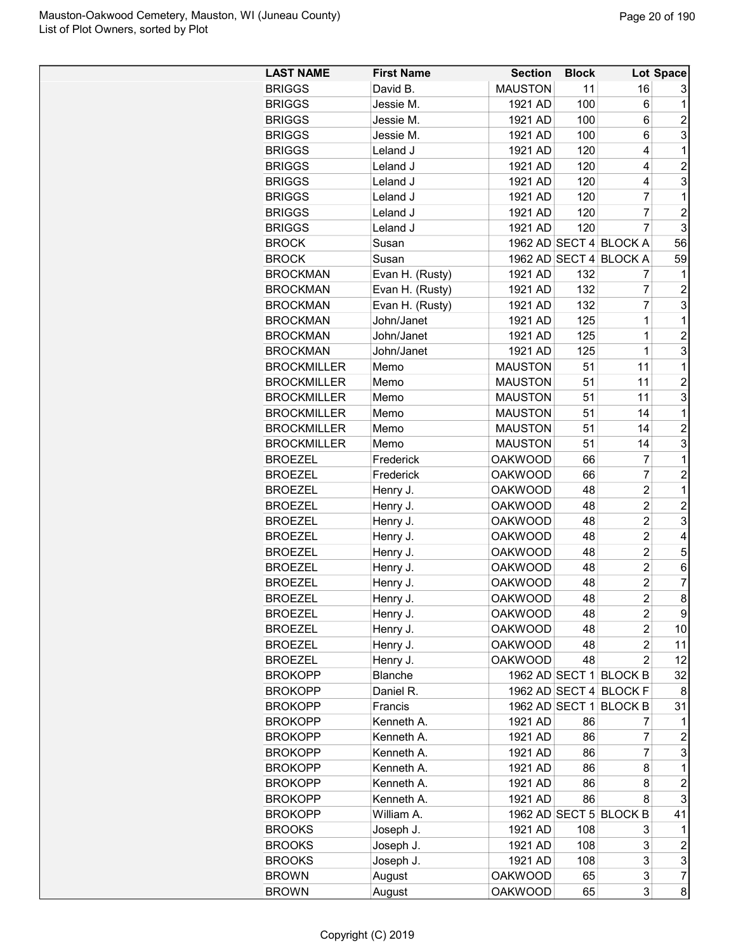| <b>LAST NAME</b>   | <b>First Name</b> | <b>Section</b> | <b>Block</b> |                        | <b>Lot Space</b> |
|--------------------|-------------------|----------------|--------------|------------------------|------------------|
| <b>BRIGGS</b>      | David B.          | <b>MAUSTON</b> | 11           | 16                     | 3                |
| <b>BRIGGS</b>      | Jessie M.         | 1921 AD        | 100          | 6                      | 1                |
| <b>BRIGGS</b>      | Jessie M.         | 1921 AD        | 100          | 6                      | $\overline{2}$   |
| <b>BRIGGS</b>      | Jessie M.         | 1921 AD        | 100          | 6                      | 3                |
| <b>BRIGGS</b>      | Leland J          | 1921 AD        | 120          | 4                      | 1                |
| <b>BRIGGS</b>      | Leland J          | 1921 AD        | 120          | 4                      | $\overline{c}$   |
| <b>BRIGGS</b>      | Leland J          | 1921 AD        | 120          | 4                      | 3                |
| <b>BRIGGS</b>      | Leland J          | 1921 AD        | 120          | 7                      | 1                |
| <b>BRIGGS</b>      | Leland J          | 1921 AD        | 120          | 7                      | $\overline{c}$   |
| <b>BRIGGS</b>      | Leland J          | 1921 AD        | 120          | $\overline{7}$         | 3                |
| <b>BROCK</b>       | Susan             |                |              | 1962 AD SECT 4 BLOCK A | 56               |
| <b>BROCK</b>       | Susan             |                |              | 1962 AD SECT 4 BLOCK A | 59               |
| <b>BROCKMAN</b>    | Evan H. (Rusty)   | 1921 AD        | 132          | 7                      | 1                |
| <b>BROCKMAN</b>    | Evan H. (Rusty)   | 1921 AD        | 132          | 7                      | $\overline{c}$   |
|                    | Evan H. (Rusty)   |                | 132          | $\overline{7}$         | 3                |
| <b>BROCKMAN</b>    |                   | 1921 AD        |              |                        |                  |
| <b>BROCKMAN</b>    | John/Janet        | 1921 AD        | 125          | 1                      | 1                |
| <b>BROCKMAN</b>    | John/Janet        | 1921 AD        | 125          | $\overline{1}$         | $\overline{c}$   |
| <b>BROCKMAN</b>    | John/Janet        | 1921 AD        | 125          | $\overline{1}$         | 3                |
| <b>BROCKMILLER</b> | Memo              | <b>MAUSTON</b> | 51           | 11                     | 1                |
| <b>BROCKMILLER</b> | Memo              | <b>MAUSTON</b> | 51           | 11                     | $\overline{c}$   |
| <b>BROCKMILLER</b> | Memo              | <b>MAUSTON</b> | 51           | 11                     | 3                |
| <b>BROCKMILLER</b> | Memo              | <b>MAUSTON</b> | 51           | 14                     | 1                |
| <b>BROCKMILLER</b> | Memo              | <b>MAUSTON</b> | 51           | 14                     | $\overline{c}$   |
| <b>BROCKMILLER</b> | Memo              | <b>MAUSTON</b> | 51           | 14                     | 3                |
| <b>BROEZEL</b>     | Frederick         | <b>OAKWOOD</b> | 66           | 7                      | 1                |
| <b>BROEZEL</b>     | Frederick         | <b>OAKWOOD</b> | 66           | $\overline{7}$         | $\overline{c}$   |
| <b>BROEZEL</b>     | Henry J.          | <b>OAKWOOD</b> | 48           | $\overline{2}$         | 1                |
| <b>BROEZEL</b>     | Henry J.          | <b>OAKWOOD</b> | 48           | $\overline{2}$         | $\overline{c}$   |
| <b>BROEZEL</b>     | Henry J.          | <b>OAKWOOD</b> | 48           | $\overline{c}$         | 3                |
| <b>BROEZEL</b>     | Henry J.          | <b>OAKWOOD</b> | 48           | $\overline{2}$         | 4                |
| <b>BROEZEL</b>     | Henry J.          | <b>OAKWOOD</b> | 48           | $\overline{c}$         | 5                |
| <b>BROEZEL</b>     | Henry J.          | <b>OAKWOOD</b> | 48           | $\overline{2}$         | 6                |
| <b>BROEZEL</b>     | Henry J.          | <b>OAKWOOD</b> | 48           | $\overline{c}$         | 7                |
| BROEZEL            | Henry J.          | <b>OAKWOOD</b> | 48           | $\overline{2}$         | 8                |
| <b>BROEZEL</b>     | Henry J.          | <b>OAKWOOD</b> | 48           | 2                      | 9                |
| <b>BROEZEL</b>     | Henry J.          | <b>OAKWOOD</b> | 48           | $\overline{2}$         | 10               |
| <b>BROEZEL</b>     | Henry J.          | <b>OAKWOOD</b> | 48           | 2                      | 11               |
| <b>BROEZEL</b>     | Henry J.          | <b>OAKWOOD</b> | 48           | $\overline{2}$         | 12               |
| <b>BROKOPP</b>     | Blanche           |                |              | 1962 AD SECT 1 BLOCK B | 32               |
| <b>BROKOPP</b>     | Daniel R.         |                |              | 1962 AD SECT 4 BLOCK F | 8                |
| <b>BROKOPP</b>     | Francis           | 1962 AD SECT 1 |              | <b>BLOCK B</b>         | 31               |
| <b>BROKOPP</b>     | Kenneth A.        | 1921 AD        | 86           | 7                      | 1                |
| <b>BROKOPP</b>     | Kenneth A.        | 1921 AD        | 86           | 7                      | $\overline{c}$   |
| <b>BROKOPP</b>     | Kenneth A.        | 1921 AD        | 86           | 7                      | 3                |
| <b>BROKOPP</b>     | Kenneth A.        | 1921 AD        | 86           | 8                      | 1                |
| <b>BROKOPP</b>     | Kenneth A.        | 1921 AD        | 86           | 8                      | $\overline{c}$   |
| <b>BROKOPP</b>     | Kenneth A.        | 1921 AD        | 86           | 8                      | 3                |
| <b>BROKOPP</b>     | William A.        |                |              | 1962 AD SECT 5 BLOCK B | 41               |
| <b>BROOKS</b>      | Joseph J.         | 1921 AD        | 108          | 3                      | 1                |
| <b>BROOKS</b>      | Joseph J.         | 1921 AD        | 108          | 3                      | $\boldsymbol{2}$ |
| <b>BROOKS</b>      | Joseph J.         | 1921 AD        | 108          | 3                      | 3                |
| <b>BROWN</b>       |                   | <b>OAKWOOD</b> | 65           | 3                      | $\overline{7}$   |
| <b>BROWN</b>       | August            | <b>OAKWOOD</b> | 65           | 3                      | 8                |
|                    | August            |                |              |                        |                  |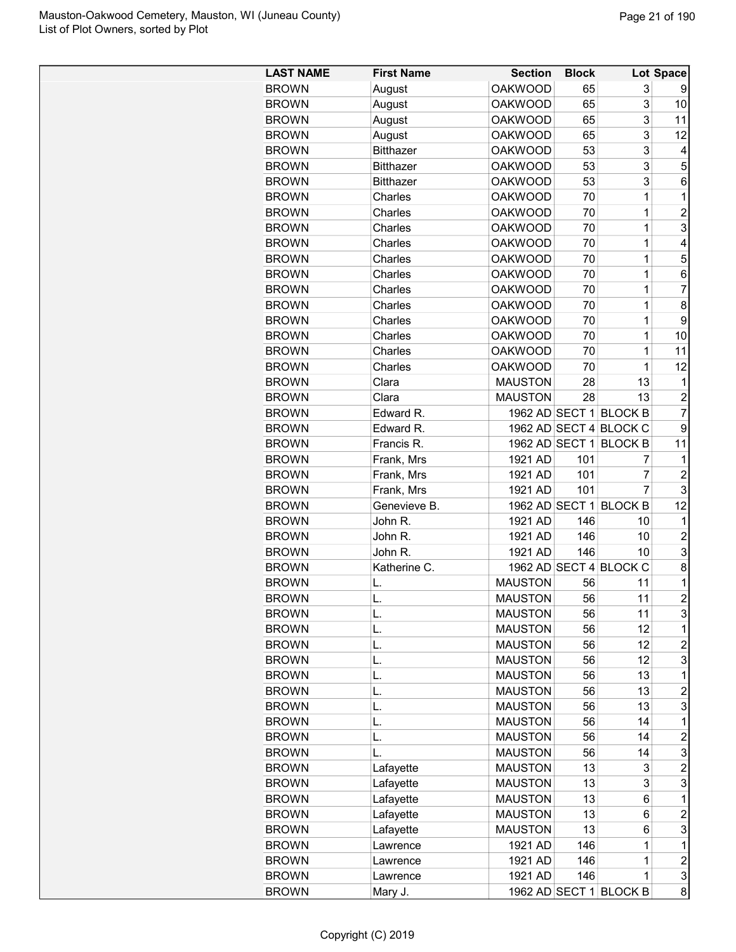| <b>LAST NAME</b> | <b>First Name</b> | <b>Section</b> | <b>Block</b> |                        | Lot Space       |
|------------------|-------------------|----------------|--------------|------------------------|-----------------|
| <b>BROWN</b>     | August            | <b>OAKWOOD</b> | 65           | 3                      | 9               |
| <b>BROWN</b>     | August            | <b>OAKWOOD</b> | 65           | 3                      | 10              |
| <b>BROWN</b>     | August            | <b>OAKWOOD</b> | 65           | 3                      | 11              |
| <b>BROWN</b>     | August            | <b>OAKWOOD</b> | 65           | 3                      | 12              |
| <b>BROWN</b>     | <b>Bitthazer</b>  | <b>OAKWOOD</b> | 53           | 3                      | 4               |
| <b>BROWN</b>     | <b>Bitthazer</b>  | <b>OAKWOOD</b> | 53           | 3                      | 5               |
| <b>BROWN</b>     | <b>Bitthazer</b>  | <b>OAKWOOD</b> | 53           | 3                      | 6               |
| <b>BROWN</b>     | Charles           | <b>OAKWOOD</b> | 70           | $\mathbf 1$            | 1               |
| <b>BROWN</b>     | Charles           | <b>OAKWOOD</b> | 70           | $\mathbf 1$            | $\overline{c}$  |
|                  | Charles           | <b>OAKWOOD</b> | 70           | $\mathbf 1$            | 3               |
| <b>BROWN</b>     |                   |                |              | $\mathbf 1$            |                 |
| <b>BROWN</b>     | Charles           | <b>OAKWOOD</b> | 70           |                        | 4               |
| <b>BROWN</b>     | Charles           | <b>OAKWOOD</b> | 70           | 1                      | 5               |
| <b>BROWN</b>     | Charles           | <b>OAKWOOD</b> | 70           | 1                      | $6\phantom{1}6$ |
| <b>BROWN</b>     | Charles           | <b>OAKWOOD</b> | 70           | $\mathbf 1$            | $\overline{7}$  |
| <b>BROWN</b>     | Charles           | <b>OAKWOOD</b> | 70           | $\mathbf 1$            | 8               |
| <b>BROWN</b>     | Charles           | <b>OAKWOOD</b> | 70           | $\mathbf 1$            | 9               |
| <b>BROWN</b>     | Charles           | <b>OAKWOOD</b> | 70           | $\overline{1}$         | 10              |
| <b>BROWN</b>     | Charles           | <b>OAKWOOD</b> | 70           | $\mathbf 1$            | 11              |
| <b>BROWN</b>     | Charles           | <b>OAKWOOD</b> | 70           | 1                      | 12              |
| <b>BROWN</b>     | Clara             | <b>MAUSTON</b> | 28           | 13                     | 1               |
| <b>BROWN</b>     | Clara             | <b>MAUSTON</b> | 28           | 13                     | $\overline{c}$  |
| <b>BROWN</b>     | Edward R.         |                |              | 1962 AD SECT 1 BLOCK B | $\overline{7}$  |
| <b>BROWN</b>     | Edward R.         |                |              | 1962 AD SECT 4 BLOCK C | 9               |
| <b>BROWN</b>     | Francis R.        |                |              | 1962 AD SECT 1 BLOCK B | 11              |
| <b>BROWN</b>     | Frank, Mrs        | 1921 AD        | 101          | 7                      | 1               |
| <b>BROWN</b>     | Frank, Mrs        | 1921 AD        | 101          | 7                      | $\overline{2}$  |
| <b>BROWN</b>     | Frank, Mrs        | 1921 AD        | 101          | $\overline{7}$         | 3               |
| <b>BROWN</b>     | Genevieve B.      |                |              | 1962 AD SECT 1 BLOCK B | 12              |
| <b>BROWN</b>     | John R.           | 1921 AD        | 146          | 10                     | 1               |
| <b>BROWN</b>     | John R.           | 1921 AD        | 146          | 10                     | $\overline{2}$  |
| <b>BROWN</b>     | John R.           | 1921 AD        | 146          | 10                     | 3               |
| <b>BROWN</b>     | Katherine C.      |                |              | 1962 AD SECT 4 BLOCK C | 8               |
| <b>BROWN</b>     | L.                | <b>MAUSTON</b> | 56           | 11                     | 1               |
| <b>BROWN</b>     | L                 | <b>MAUSTON</b> | 56           | 11                     | $\overline{2}$  |
| <b>BROWN</b>     | L.                | <b>MAUSTON</b> | 56           | 11                     | 3               |
| <b>BROWN</b>     | L.                | <b>MAUSTON</b> | 56           | 12                     | 1               |
| <b>BROWN</b>     | L.                | <b>MAUSTON</b> | 56           | 12                     | $\overline{c}$  |
|                  |                   | <b>MAUSTON</b> |              |                        | 3               |
| <b>BROWN</b>     | L.                |                | 56           | 12                     |                 |
| <b>BROWN</b>     | L.                | <b>MAUSTON</b> | 56           | 13                     | 1               |
| <b>BROWN</b>     | L.                | <b>MAUSTON</b> | 56           | 13                     | $\overline{c}$  |
| <b>BROWN</b>     | L.                | <b>MAUSTON</b> | 56           | 13                     | 3               |
| <b>BROWN</b>     | L.                | <b>MAUSTON</b> | 56           | 14                     | 1               |
| <b>BROWN</b>     | L.                | <b>MAUSTON</b> | 56           | 14                     | $\overline{c}$  |
| <b>BROWN</b>     | L.                | <b>MAUSTON</b> | 56           | 14                     | 3               |
| <b>BROWN</b>     | Lafayette         | <b>MAUSTON</b> | 13           | 3                      | $\overline{c}$  |
| <b>BROWN</b>     | Lafayette         | <b>MAUSTON</b> | 13           | 3                      | 3               |
| <b>BROWN</b>     | Lafayette         | <b>MAUSTON</b> | 13           | 6                      | 1               |
| <b>BROWN</b>     | Lafayette         | <b>MAUSTON</b> | 13           | 6                      | $\overline{c}$  |
| <b>BROWN</b>     | Lafayette         | <b>MAUSTON</b> | 13           | 6                      | 3               |
| <b>BROWN</b>     | Lawrence          | 1921 AD        | 146          | 1                      | 1               |
| <b>BROWN</b>     | Lawrence          | 1921 AD        | 146          | 1                      | $\overline{2}$  |
| <b>BROWN</b>     | Lawrence          | 1921 AD        | 146          | 1                      | $\mathfrak{S}$  |
| <b>BROWN</b>     | Mary J.           |                |              | 1962 AD SECT 1 BLOCK B | 8               |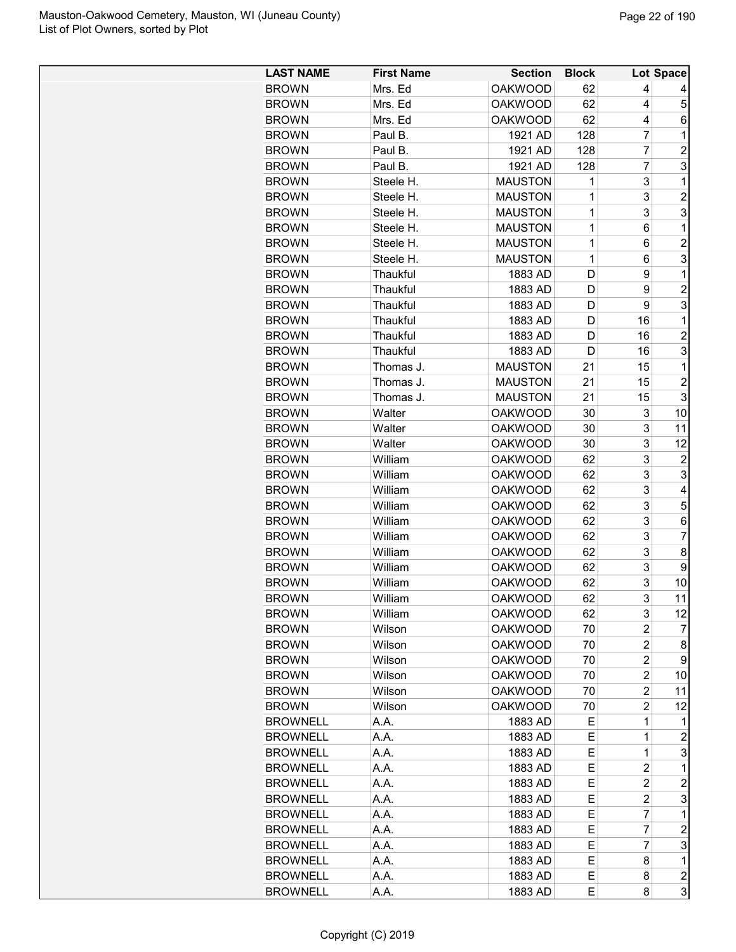| <b>BROWN</b><br>Mrs. Ed<br><b>OAKWOOD</b><br>62<br>4<br><b>OAKWOOD</b><br>62<br>4<br>5<br><b>BROWN</b><br>Mrs. Ed<br><b>BROWN</b><br>Mrs. Ed<br><b>OAKWOOD</b><br>62<br>4<br>6<br>7<br><b>BROWN</b><br>Paul B.<br>1921 AD<br>128<br>1<br>7<br>$\overline{c}$<br><b>BROWN</b><br>1921 AD<br>Paul B.<br>128<br>3<br>$\overline{7}$<br><b>BROWN</b><br>Paul B.<br>1921 AD<br>128<br>3<br><b>MAUSTON</b><br>1<br><b>BROWN</b><br>Steele H.<br>1<br>3<br>$\overline{c}$<br><b>MAUSTON</b><br>1<br><b>BROWN</b><br>Steele H.<br>3<br>3<br><b>BROWN</b><br>Steele H.<br><b>MAUSTON</b><br>1<br>6<br>1<br><b>BROWN</b><br>Steele H.<br><b>MAUSTON</b><br>1<br>$\overline{2}$<br><b>BROWN</b><br>Steele H.<br><b>MAUSTON</b><br>1<br>6<br>3<br><b>BROWN</b><br>1<br>Steele H.<br><b>MAUSTON</b><br>6<br>D<br>9<br>1<br><b>BROWN</b><br>Thaukful<br>1883 AD<br>$\overline{2}$<br>9<br><b>BROWN</b><br>Thaukful<br>1883 AD<br>D<br>9<br>3<br><b>BROWN</b><br>Thaukful<br>1883 AD<br>D<br>16<br>1<br><b>BROWN</b><br>Thaukful<br>1883 AD<br>D<br>16<br>$\overline{2}$<br><b>BROWN</b><br>Thaukful<br>1883 AD<br>D<br>3<br><b>BROWN</b><br>Thaukful<br>1883 AD<br>D<br>16<br><b>BROWN</b><br><b>MAUSTON</b><br>1<br>Thomas J.<br>21<br>15<br>$\overline{c}$<br><b>MAUSTON</b><br>21<br>15<br><b>BROWN</b><br>Thomas J.<br>3<br>21<br>15<br><b>BROWN</b><br>Thomas J.<br><b>MAUSTON</b><br><b>OAKWOOD</b><br>3<br><b>BROWN</b><br>Walter<br>30<br>10<br>3<br>Walter<br><b>OAKWOOD</b><br>30<br>11<br><b>BROWN</b><br>3<br>30<br><b>BROWN</b><br>Walter<br><b>OAKWOOD</b><br>12<br>3<br><b>BROWN</b><br>William<br><b>OAKWOOD</b><br>62<br>$\overline{c}$<br>3<br>3<br>William<br><b>OAKWOOD</b><br>62<br><b>BROWN</b><br>3<br>William<br><b>OAKWOOD</b><br>62<br>4<br><b>BROWN</b><br>3<br>5<br>62<br><b>BROWN</b><br>William<br><b>OAKWOOD</b><br>3<br>6<br><b>BROWN</b><br>William<br><b>OAKWOOD</b><br>62<br>3<br>$\overline{7}$<br><b>BROWN</b><br>William<br><b>OAKWOOD</b><br>62<br>3<br><b>OAKWOOD</b><br>8<br><b>BROWN</b><br>William<br>62<br>3<br><b>BROWN</b><br>William<br><b>OAKWOOD</b><br>62<br>9<br>3<br><b>BROWN</b><br><b>OAKWOOD</b><br>62<br>William<br>10<br>3<br>62<br>11<br><b>OAKWOOD</b><br><b>BROWN</b><br>William<br>3<br>12<br><b>BROWN</b><br>William<br><b>OAKWOOD</b><br>62<br>2<br><b>BROWN</b><br>Wilson<br><b>OAKWOOD</b><br>70<br>7<br>$\overline{2}$<br><b>BROWN</b><br>Wilson<br><b>OAKWOOD</b><br>70<br>8<br>$\overline{c}$<br>9<br><b>BROWN</b><br>Wilson<br><b>OAKWOOD</b><br>70<br><b>BROWN</b><br>Wilson<br><b>OAKWOOD</b><br>70<br>2<br>10<br><b>BROWN</b><br>Wilson<br><b>OAKWOOD</b><br>$\overline{c}$<br>70<br>11<br>Wilson<br><b>OAKWOOD</b><br><b>BROWN</b><br>70<br>2<br>12<br>Е<br>1<br><b>BROWNELL</b><br>A.A.<br>1883 AD<br>1<br>$\mathbf 1$<br>$\overline{c}$<br>Е<br><b>BROWNELL</b><br>A.A.<br>1883 AD<br>$\mathbf 1$<br>3<br><b>BROWNELL</b><br>A.A.<br>1883 AD<br>Е<br>1883 AD<br>$\overline{c}$<br>1<br><b>BROWNELL</b><br>A.A.<br>Е<br><b>BROWNELL</b><br>1883 AD<br>2<br>2<br>A.A.<br>Е<br>$\overline{c}$<br>3<br><b>BROWNELL</b><br>1883 AD<br>Е<br>A.A.<br><b>BROWNELL</b><br>$\overline{7}$<br>A.A.<br>1883 AD<br>Е<br>1 | <b>LAST NAME</b> | <b>First Name</b> | <b>Section</b> | <b>Block</b> |   | Lot Space      |
|---------------------------------------------------------------------------------------------------------------------------------------------------------------------------------------------------------------------------------------------------------------------------------------------------------------------------------------------------------------------------------------------------------------------------------------------------------------------------------------------------------------------------------------------------------------------------------------------------------------------------------------------------------------------------------------------------------------------------------------------------------------------------------------------------------------------------------------------------------------------------------------------------------------------------------------------------------------------------------------------------------------------------------------------------------------------------------------------------------------------------------------------------------------------------------------------------------------------------------------------------------------------------------------------------------------------------------------------------------------------------------------------------------------------------------------------------------------------------------------------------------------------------------------------------------------------------------------------------------------------------------------------------------------------------------------------------------------------------------------------------------------------------------------------------------------------------------------------------------------------------------------------------------------------------------------------------------------------------------------------------------------------------------------------------------------------------------------------------------------------------------------------------------------------------------------------------------------------------------------------------------------------------------------------------------------------------------------------------------------------------------------------------------------------------------------------------------------------------------------------------------------------------------------------------------------------------------------------------------------------------------------------------------------------------------------------------------------------------------------------------------------------------------------------------------------------------------------------------------------------------------------------------------------------------------------------------------------------------------------------------------------------------------------------------------------------------------------------------------------------------------------------------------------------------|------------------|-------------------|----------------|--------------|---|----------------|
|                                                                                                                                                                                                                                                                                                                                                                                                                                                                                                                                                                                                                                                                                                                                                                                                                                                                                                                                                                                                                                                                                                                                                                                                                                                                                                                                                                                                                                                                                                                                                                                                                                                                                                                                                                                                                                                                                                                                                                                                                                                                                                                                                                                                                                                                                                                                                                                                                                                                                                                                                                                                                                                                                                                                                                                                                                                                                                                                                                                                                                                                                                                                                                           |                  |                   |                |              |   |                |
|                                                                                                                                                                                                                                                                                                                                                                                                                                                                                                                                                                                                                                                                                                                                                                                                                                                                                                                                                                                                                                                                                                                                                                                                                                                                                                                                                                                                                                                                                                                                                                                                                                                                                                                                                                                                                                                                                                                                                                                                                                                                                                                                                                                                                                                                                                                                                                                                                                                                                                                                                                                                                                                                                                                                                                                                                                                                                                                                                                                                                                                                                                                                                                           |                  |                   |                |              |   |                |
|                                                                                                                                                                                                                                                                                                                                                                                                                                                                                                                                                                                                                                                                                                                                                                                                                                                                                                                                                                                                                                                                                                                                                                                                                                                                                                                                                                                                                                                                                                                                                                                                                                                                                                                                                                                                                                                                                                                                                                                                                                                                                                                                                                                                                                                                                                                                                                                                                                                                                                                                                                                                                                                                                                                                                                                                                                                                                                                                                                                                                                                                                                                                                                           |                  |                   |                |              |   |                |
|                                                                                                                                                                                                                                                                                                                                                                                                                                                                                                                                                                                                                                                                                                                                                                                                                                                                                                                                                                                                                                                                                                                                                                                                                                                                                                                                                                                                                                                                                                                                                                                                                                                                                                                                                                                                                                                                                                                                                                                                                                                                                                                                                                                                                                                                                                                                                                                                                                                                                                                                                                                                                                                                                                                                                                                                                                                                                                                                                                                                                                                                                                                                                                           |                  |                   |                |              |   |                |
|                                                                                                                                                                                                                                                                                                                                                                                                                                                                                                                                                                                                                                                                                                                                                                                                                                                                                                                                                                                                                                                                                                                                                                                                                                                                                                                                                                                                                                                                                                                                                                                                                                                                                                                                                                                                                                                                                                                                                                                                                                                                                                                                                                                                                                                                                                                                                                                                                                                                                                                                                                                                                                                                                                                                                                                                                                                                                                                                                                                                                                                                                                                                                                           |                  |                   |                |              |   |                |
|                                                                                                                                                                                                                                                                                                                                                                                                                                                                                                                                                                                                                                                                                                                                                                                                                                                                                                                                                                                                                                                                                                                                                                                                                                                                                                                                                                                                                                                                                                                                                                                                                                                                                                                                                                                                                                                                                                                                                                                                                                                                                                                                                                                                                                                                                                                                                                                                                                                                                                                                                                                                                                                                                                                                                                                                                                                                                                                                                                                                                                                                                                                                                                           |                  |                   |                |              |   |                |
|                                                                                                                                                                                                                                                                                                                                                                                                                                                                                                                                                                                                                                                                                                                                                                                                                                                                                                                                                                                                                                                                                                                                                                                                                                                                                                                                                                                                                                                                                                                                                                                                                                                                                                                                                                                                                                                                                                                                                                                                                                                                                                                                                                                                                                                                                                                                                                                                                                                                                                                                                                                                                                                                                                                                                                                                                                                                                                                                                                                                                                                                                                                                                                           |                  |                   |                |              |   |                |
|                                                                                                                                                                                                                                                                                                                                                                                                                                                                                                                                                                                                                                                                                                                                                                                                                                                                                                                                                                                                                                                                                                                                                                                                                                                                                                                                                                                                                                                                                                                                                                                                                                                                                                                                                                                                                                                                                                                                                                                                                                                                                                                                                                                                                                                                                                                                                                                                                                                                                                                                                                                                                                                                                                                                                                                                                                                                                                                                                                                                                                                                                                                                                                           |                  |                   |                |              |   |                |
|                                                                                                                                                                                                                                                                                                                                                                                                                                                                                                                                                                                                                                                                                                                                                                                                                                                                                                                                                                                                                                                                                                                                                                                                                                                                                                                                                                                                                                                                                                                                                                                                                                                                                                                                                                                                                                                                                                                                                                                                                                                                                                                                                                                                                                                                                                                                                                                                                                                                                                                                                                                                                                                                                                                                                                                                                                                                                                                                                                                                                                                                                                                                                                           |                  |                   |                |              |   |                |
|                                                                                                                                                                                                                                                                                                                                                                                                                                                                                                                                                                                                                                                                                                                                                                                                                                                                                                                                                                                                                                                                                                                                                                                                                                                                                                                                                                                                                                                                                                                                                                                                                                                                                                                                                                                                                                                                                                                                                                                                                                                                                                                                                                                                                                                                                                                                                                                                                                                                                                                                                                                                                                                                                                                                                                                                                                                                                                                                                                                                                                                                                                                                                                           |                  |                   |                |              |   |                |
|                                                                                                                                                                                                                                                                                                                                                                                                                                                                                                                                                                                                                                                                                                                                                                                                                                                                                                                                                                                                                                                                                                                                                                                                                                                                                                                                                                                                                                                                                                                                                                                                                                                                                                                                                                                                                                                                                                                                                                                                                                                                                                                                                                                                                                                                                                                                                                                                                                                                                                                                                                                                                                                                                                                                                                                                                                                                                                                                                                                                                                                                                                                                                                           |                  |                   |                |              |   |                |
|                                                                                                                                                                                                                                                                                                                                                                                                                                                                                                                                                                                                                                                                                                                                                                                                                                                                                                                                                                                                                                                                                                                                                                                                                                                                                                                                                                                                                                                                                                                                                                                                                                                                                                                                                                                                                                                                                                                                                                                                                                                                                                                                                                                                                                                                                                                                                                                                                                                                                                                                                                                                                                                                                                                                                                                                                                                                                                                                                                                                                                                                                                                                                                           |                  |                   |                |              |   |                |
|                                                                                                                                                                                                                                                                                                                                                                                                                                                                                                                                                                                                                                                                                                                                                                                                                                                                                                                                                                                                                                                                                                                                                                                                                                                                                                                                                                                                                                                                                                                                                                                                                                                                                                                                                                                                                                                                                                                                                                                                                                                                                                                                                                                                                                                                                                                                                                                                                                                                                                                                                                                                                                                                                                                                                                                                                                                                                                                                                                                                                                                                                                                                                                           |                  |                   |                |              |   |                |
|                                                                                                                                                                                                                                                                                                                                                                                                                                                                                                                                                                                                                                                                                                                                                                                                                                                                                                                                                                                                                                                                                                                                                                                                                                                                                                                                                                                                                                                                                                                                                                                                                                                                                                                                                                                                                                                                                                                                                                                                                                                                                                                                                                                                                                                                                                                                                                                                                                                                                                                                                                                                                                                                                                                                                                                                                                                                                                                                                                                                                                                                                                                                                                           |                  |                   |                |              |   |                |
|                                                                                                                                                                                                                                                                                                                                                                                                                                                                                                                                                                                                                                                                                                                                                                                                                                                                                                                                                                                                                                                                                                                                                                                                                                                                                                                                                                                                                                                                                                                                                                                                                                                                                                                                                                                                                                                                                                                                                                                                                                                                                                                                                                                                                                                                                                                                                                                                                                                                                                                                                                                                                                                                                                                                                                                                                                                                                                                                                                                                                                                                                                                                                                           |                  |                   |                |              |   |                |
|                                                                                                                                                                                                                                                                                                                                                                                                                                                                                                                                                                                                                                                                                                                                                                                                                                                                                                                                                                                                                                                                                                                                                                                                                                                                                                                                                                                                                                                                                                                                                                                                                                                                                                                                                                                                                                                                                                                                                                                                                                                                                                                                                                                                                                                                                                                                                                                                                                                                                                                                                                                                                                                                                                                                                                                                                                                                                                                                                                                                                                                                                                                                                                           |                  |                   |                |              |   |                |
|                                                                                                                                                                                                                                                                                                                                                                                                                                                                                                                                                                                                                                                                                                                                                                                                                                                                                                                                                                                                                                                                                                                                                                                                                                                                                                                                                                                                                                                                                                                                                                                                                                                                                                                                                                                                                                                                                                                                                                                                                                                                                                                                                                                                                                                                                                                                                                                                                                                                                                                                                                                                                                                                                                                                                                                                                                                                                                                                                                                                                                                                                                                                                                           |                  |                   |                |              |   |                |
|                                                                                                                                                                                                                                                                                                                                                                                                                                                                                                                                                                                                                                                                                                                                                                                                                                                                                                                                                                                                                                                                                                                                                                                                                                                                                                                                                                                                                                                                                                                                                                                                                                                                                                                                                                                                                                                                                                                                                                                                                                                                                                                                                                                                                                                                                                                                                                                                                                                                                                                                                                                                                                                                                                                                                                                                                                                                                                                                                                                                                                                                                                                                                                           |                  |                   |                |              |   |                |
|                                                                                                                                                                                                                                                                                                                                                                                                                                                                                                                                                                                                                                                                                                                                                                                                                                                                                                                                                                                                                                                                                                                                                                                                                                                                                                                                                                                                                                                                                                                                                                                                                                                                                                                                                                                                                                                                                                                                                                                                                                                                                                                                                                                                                                                                                                                                                                                                                                                                                                                                                                                                                                                                                                                                                                                                                                                                                                                                                                                                                                                                                                                                                                           |                  |                   |                |              |   |                |
|                                                                                                                                                                                                                                                                                                                                                                                                                                                                                                                                                                                                                                                                                                                                                                                                                                                                                                                                                                                                                                                                                                                                                                                                                                                                                                                                                                                                                                                                                                                                                                                                                                                                                                                                                                                                                                                                                                                                                                                                                                                                                                                                                                                                                                                                                                                                                                                                                                                                                                                                                                                                                                                                                                                                                                                                                                                                                                                                                                                                                                                                                                                                                                           |                  |                   |                |              |   |                |
|                                                                                                                                                                                                                                                                                                                                                                                                                                                                                                                                                                                                                                                                                                                                                                                                                                                                                                                                                                                                                                                                                                                                                                                                                                                                                                                                                                                                                                                                                                                                                                                                                                                                                                                                                                                                                                                                                                                                                                                                                                                                                                                                                                                                                                                                                                                                                                                                                                                                                                                                                                                                                                                                                                                                                                                                                                                                                                                                                                                                                                                                                                                                                                           |                  |                   |                |              |   |                |
|                                                                                                                                                                                                                                                                                                                                                                                                                                                                                                                                                                                                                                                                                                                                                                                                                                                                                                                                                                                                                                                                                                                                                                                                                                                                                                                                                                                                                                                                                                                                                                                                                                                                                                                                                                                                                                                                                                                                                                                                                                                                                                                                                                                                                                                                                                                                                                                                                                                                                                                                                                                                                                                                                                                                                                                                                                                                                                                                                                                                                                                                                                                                                                           |                  |                   |                |              |   |                |
|                                                                                                                                                                                                                                                                                                                                                                                                                                                                                                                                                                                                                                                                                                                                                                                                                                                                                                                                                                                                                                                                                                                                                                                                                                                                                                                                                                                                                                                                                                                                                                                                                                                                                                                                                                                                                                                                                                                                                                                                                                                                                                                                                                                                                                                                                                                                                                                                                                                                                                                                                                                                                                                                                                                                                                                                                                                                                                                                                                                                                                                                                                                                                                           |                  |                   |                |              |   |                |
|                                                                                                                                                                                                                                                                                                                                                                                                                                                                                                                                                                                                                                                                                                                                                                                                                                                                                                                                                                                                                                                                                                                                                                                                                                                                                                                                                                                                                                                                                                                                                                                                                                                                                                                                                                                                                                                                                                                                                                                                                                                                                                                                                                                                                                                                                                                                                                                                                                                                                                                                                                                                                                                                                                                                                                                                                                                                                                                                                                                                                                                                                                                                                                           |                  |                   |                |              |   |                |
|                                                                                                                                                                                                                                                                                                                                                                                                                                                                                                                                                                                                                                                                                                                                                                                                                                                                                                                                                                                                                                                                                                                                                                                                                                                                                                                                                                                                                                                                                                                                                                                                                                                                                                                                                                                                                                                                                                                                                                                                                                                                                                                                                                                                                                                                                                                                                                                                                                                                                                                                                                                                                                                                                                                                                                                                                                                                                                                                                                                                                                                                                                                                                                           |                  |                   |                |              |   |                |
|                                                                                                                                                                                                                                                                                                                                                                                                                                                                                                                                                                                                                                                                                                                                                                                                                                                                                                                                                                                                                                                                                                                                                                                                                                                                                                                                                                                                                                                                                                                                                                                                                                                                                                                                                                                                                                                                                                                                                                                                                                                                                                                                                                                                                                                                                                                                                                                                                                                                                                                                                                                                                                                                                                                                                                                                                                                                                                                                                                                                                                                                                                                                                                           |                  |                   |                |              |   |                |
|                                                                                                                                                                                                                                                                                                                                                                                                                                                                                                                                                                                                                                                                                                                                                                                                                                                                                                                                                                                                                                                                                                                                                                                                                                                                                                                                                                                                                                                                                                                                                                                                                                                                                                                                                                                                                                                                                                                                                                                                                                                                                                                                                                                                                                                                                                                                                                                                                                                                                                                                                                                                                                                                                                                                                                                                                                                                                                                                                                                                                                                                                                                                                                           |                  |                   |                |              |   |                |
|                                                                                                                                                                                                                                                                                                                                                                                                                                                                                                                                                                                                                                                                                                                                                                                                                                                                                                                                                                                                                                                                                                                                                                                                                                                                                                                                                                                                                                                                                                                                                                                                                                                                                                                                                                                                                                                                                                                                                                                                                                                                                                                                                                                                                                                                                                                                                                                                                                                                                                                                                                                                                                                                                                                                                                                                                                                                                                                                                                                                                                                                                                                                                                           |                  |                   |                |              |   |                |
|                                                                                                                                                                                                                                                                                                                                                                                                                                                                                                                                                                                                                                                                                                                                                                                                                                                                                                                                                                                                                                                                                                                                                                                                                                                                                                                                                                                                                                                                                                                                                                                                                                                                                                                                                                                                                                                                                                                                                                                                                                                                                                                                                                                                                                                                                                                                                                                                                                                                                                                                                                                                                                                                                                                                                                                                                                                                                                                                                                                                                                                                                                                                                                           |                  |                   |                |              |   |                |
|                                                                                                                                                                                                                                                                                                                                                                                                                                                                                                                                                                                                                                                                                                                                                                                                                                                                                                                                                                                                                                                                                                                                                                                                                                                                                                                                                                                                                                                                                                                                                                                                                                                                                                                                                                                                                                                                                                                                                                                                                                                                                                                                                                                                                                                                                                                                                                                                                                                                                                                                                                                                                                                                                                                                                                                                                                                                                                                                                                                                                                                                                                                                                                           |                  |                   |                |              |   |                |
|                                                                                                                                                                                                                                                                                                                                                                                                                                                                                                                                                                                                                                                                                                                                                                                                                                                                                                                                                                                                                                                                                                                                                                                                                                                                                                                                                                                                                                                                                                                                                                                                                                                                                                                                                                                                                                                                                                                                                                                                                                                                                                                                                                                                                                                                                                                                                                                                                                                                                                                                                                                                                                                                                                                                                                                                                                                                                                                                                                                                                                                                                                                                                                           |                  |                   |                |              |   |                |
|                                                                                                                                                                                                                                                                                                                                                                                                                                                                                                                                                                                                                                                                                                                                                                                                                                                                                                                                                                                                                                                                                                                                                                                                                                                                                                                                                                                                                                                                                                                                                                                                                                                                                                                                                                                                                                                                                                                                                                                                                                                                                                                                                                                                                                                                                                                                                                                                                                                                                                                                                                                                                                                                                                                                                                                                                                                                                                                                                                                                                                                                                                                                                                           |                  |                   |                |              |   |                |
|                                                                                                                                                                                                                                                                                                                                                                                                                                                                                                                                                                                                                                                                                                                                                                                                                                                                                                                                                                                                                                                                                                                                                                                                                                                                                                                                                                                                                                                                                                                                                                                                                                                                                                                                                                                                                                                                                                                                                                                                                                                                                                                                                                                                                                                                                                                                                                                                                                                                                                                                                                                                                                                                                                                                                                                                                                                                                                                                                                                                                                                                                                                                                                           |                  |                   |                |              |   |                |
|                                                                                                                                                                                                                                                                                                                                                                                                                                                                                                                                                                                                                                                                                                                                                                                                                                                                                                                                                                                                                                                                                                                                                                                                                                                                                                                                                                                                                                                                                                                                                                                                                                                                                                                                                                                                                                                                                                                                                                                                                                                                                                                                                                                                                                                                                                                                                                                                                                                                                                                                                                                                                                                                                                                                                                                                                                                                                                                                                                                                                                                                                                                                                                           |                  |                   |                |              |   |                |
|                                                                                                                                                                                                                                                                                                                                                                                                                                                                                                                                                                                                                                                                                                                                                                                                                                                                                                                                                                                                                                                                                                                                                                                                                                                                                                                                                                                                                                                                                                                                                                                                                                                                                                                                                                                                                                                                                                                                                                                                                                                                                                                                                                                                                                                                                                                                                                                                                                                                                                                                                                                                                                                                                                                                                                                                                                                                                                                                                                                                                                                                                                                                                                           |                  |                   |                |              |   |                |
|                                                                                                                                                                                                                                                                                                                                                                                                                                                                                                                                                                                                                                                                                                                                                                                                                                                                                                                                                                                                                                                                                                                                                                                                                                                                                                                                                                                                                                                                                                                                                                                                                                                                                                                                                                                                                                                                                                                                                                                                                                                                                                                                                                                                                                                                                                                                                                                                                                                                                                                                                                                                                                                                                                                                                                                                                                                                                                                                                                                                                                                                                                                                                                           |                  |                   |                |              |   |                |
|                                                                                                                                                                                                                                                                                                                                                                                                                                                                                                                                                                                                                                                                                                                                                                                                                                                                                                                                                                                                                                                                                                                                                                                                                                                                                                                                                                                                                                                                                                                                                                                                                                                                                                                                                                                                                                                                                                                                                                                                                                                                                                                                                                                                                                                                                                                                                                                                                                                                                                                                                                                                                                                                                                                                                                                                                                                                                                                                                                                                                                                                                                                                                                           |                  |                   |                |              |   |                |
|                                                                                                                                                                                                                                                                                                                                                                                                                                                                                                                                                                                                                                                                                                                                                                                                                                                                                                                                                                                                                                                                                                                                                                                                                                                                                                                                                                                                                                                                                                                                                                                                                                                                                                                                                                                                                                                                                                                                                                                                                                                                                                                                                                                                                                                                                                                                                                                                                                                                                                                                                                                                                                                                                                                                                                                                                                                                                                                                                                                                                                                                                                                                                                           |                  |                   |                |              |   |                |
|                                                                                                                                                                                                                                                                                                                                                                                                                                                                                                                                                                                                                                                                                                                                                                                                                                                                                                                                                                                                                                                                                                                                                                                                                                                                                                                                                                                                                                                                                                                                                                                                                                                                                                                                                                                                                                                                                                                                                                                                                                                                                                                                                                                                                                                                                                                                                                                                                                                                                                                                                                                                                                                                                                                                                                                                                                                                                                                                                                                                                                                                                                                                                                           |                  |                   |                |              |   |                |
|                                                                                                                                                                                                                                                                                                                                                                                                                                                                                                                                                                                                                                                                                                                                                                                                                                                                                                                                                                                                                                                                                                                                                                                                                                                                                                                                                                                                                                                                                                                                                                                                                                                                                                                                                                                                                                                                                                                                                                                                                                                                                                                                                                                                                                                                                                                                                                                                                                                                                                                                                                                                                                                                                                                                                                                                                                                                                                                                                                                                                                                                                                                                                                           |                  |                   |                |              |   |                |
|                                                                                                                                                                                                                                                                                                                                                                                                                                                                                                                                                                                                                                                                                                                                                                                                                                                                                                                                                                                                                                                                                                                                                                                                                                                                                                                                                                                                                                                                                                                                                                                                                                                                                                                                                                                                                                                                                                                                                                                                                                                                                                                                                                                                                                                                                                                                                                                                                                                                                                                                                                                                                                                                                                                                                                                                                                                                                                                                                                                                                                                                                                                                                                           |                  |                   |                |              |   |                |
|                                                                                                                                                                                                                                                                                                                                                                                                                                                                                                                                                                                                                                                                                                                                                                                                                                                                                                                                                                                                                                                                                                                                                                                                                                                                                                                                                                                                                                                                                                                                                                                                                                                                                                                                                                                                                                                                                                                                                                                                                                                                                                                                                                                                                                                                                                                                                                                                                                                                                                                                                                                                                                                                                                                                                                                                                                                                                                                                                                                                                                                                                                                                                                           |                  |                   |                |              |   |                |
|                                                                                                                                                                                                                                                                                                                                                                                                                                                                                                                                                                                                                                                                                                                                                                                                                                                                                                                                                                                                                                                                                                                                                                                                                                                                                                                                                                                                                                                                                                                                                                                                                                                                                                                                                                                                                                                                                                                                                                                                                                                                                                                                                                                                                                                                                                                                                                                                                                                                                                                                                                                                                                                                                                                                                                                                                                                                                                                                                                                                                                                                                                                                                                           |                  |                   |                |              |   |                |
|                                                                                                                                                                                                                                                                                                                                                                                                                                                                                                                                                                                                                                                                                                                                                                                                                                                                                                                                                                                                                                                                                                                                                                                                                                                                                                                                                                                                                                                                                                                                                                                                                                                                                                                                                                                                                                                                                                                                                                                                                                                                                                                                                                                                                                                                                                                                                                                                                                                                                                                                                                                                                                                                                                                                                                                                                                                                                                                                                                                                                                                                                                                                                                           |                  |                   |                |              |   |                |
|                                                                                                                                                                                                                                                                                                                                                                                                                                                                                                                                                                                                                                                                                                                                                                                                                                                                                                                                                                                                                                                                                                                                                                                                                                                                                                                                                                                                                                                                                                                                                                                                                                                                                                                                                                                                                                                                                                                                                                                                                                                                                                                                                                                                                                                                                                                                                                                                                                                                                                                                                                                                                                                                                                                                                                                                                                                                                                                                                                                                                                                                                                                                                                           |                  |                   |                |              |   |                |
|                                                                                                                                                                                                                                                                                                                                                                                                                                                                                                                                                                                                                                                                                                                                                                                                                                                                                                                                                                                                                                                                                                                                                                                                                                                                                                                                                                                                                                                                                                                                                                                                                                                                                                                                                                                                                                                                                                                                                                                                                                                                                                                                                                                                                                                                                                                                                                                                                                                                                                                                                                                                                                                                                                                                                                                                                                                                                                                                                                                                                                                                                                                                                                           |                  |                   |                |              |   |                |
|                                                                                                                                                                                                                                                                                                                                                                                                                                                                                                                                                                                                                                                                                                                                                                                                                                                                                                                                                                                                                                                                                                                                                                                                                                                                                                                                                                                                                                                                                                                                                                                                                                                                                                                                                                                                                                                                                                                                                                                                                                                                                                                                                                                                                                                                                                                                                                                                                                                                                                                                                                                                                                                                                                                                                                                                                                                                                                                                                                                                                                                                                                                                                                           |                  |                   |                |              |   |                |
|                                                                                                                                                                                                                                                                                                                                                                                                                                                                                                                                                                                                                                                                                                                                                                                                                                                                                                                                                                                                                                                                                                                                                                                                                                                                                                                                                                                                                                                                                                                                                                                                                                                                                                                                                                                                                                                                                                                                                                                                                                                                                                                                                                                                                                                                                                                                                                                                                                                                                                                                                                                                                                                                                                                                                                                                                                                                                                                                                                                                                                                                                                                                                                           |                  |                   |                |              |   |                |
|                                                                                                                                                                                                                                                                                                                                                                                                                                                                                                                                                                                                                                                                                                                                                                                                                                                                                                                                                                                                                                                                                                                                                                                                                                                                                                                                                                                                                                                                                                                                                                                                                                                                                                                                                                                                                                                                                                                                                                                                                                                                                                                                                                                                                                                                                                                                                                                                                                                                                                                                                                                                                                                                                                                                                                                                                                                                                                                                                                                                                                                                                                                                                                           |                  |                   |                |              |   |                |
|                                                                                                                                                                                                                                                                                                                                                                                                                                                                                                                                                                                                                                                                                                                                                                                                                                                                                                                                                                                                                                                                                                                                                                                                                                                                                                                                                                                                                                                                                                                                                                                                                                                                                                                                                                                                                                                                                                                                                                                                                                                                                                                                                                                                                                                                                                                                                                                                                                                                                                                                                                                                                                                                                                                                                                                                                                                                                                                                                                                                                                                                                                                                                                           | <b>BROWNELL</b>  | A.A.              | 1883 AD        | E            | 7 | $\overline{c}$ |
| 3<br>7<br><b>BROWNELL</b><br>A.A.<br>1883 AD<br>Е                                                                                                                                                                                                                                                                                                                                                                                                                                                                                                                                                                                                                                                                                                                                                                                                                                                                                                                                                                                                                                                                                                                                                                                                                                                                                                                                                                                                                                                                                                                                                                                                                                                                                                                                                                                                                                                                                                                                                                                                                                                                                                                                                                                                                                                                                                                                                                                                                                                                                                                                                                                                                                                                                                                                                                                                                                                                                                                                                                                                                                                                                                                         |                  |                   |                |              |   |                |
| 1<br><b>BROWNELL</b><br>A.A.<br>1883 AD<br>Е<br>8                                                                                                                                                                                                                                                                                                                                                                                                                                                                                                                                                                                                                                                                                                                                                                                                                                                                                                                                                                                                                                                                                                                                                                                                                                                                                                                                                                                                                                                                                                                                                                                                                                                                                                                                                                                                                                                                                                                                                                                                                                                                                                                                                                                                                                                                                                                                                                                                                                                                                                                                                                                                                                                                                                                                                                                                                                                                                                                                                                                                                                                                                                                         |                  |                   |                |              |   |                |
| <b>BROWNELL</b><br>8<br>$\overline{c}$<br>A.A.<br>1883 AD<br>Е                                                                                                                                                                                                                                                                                                                                                                                                                                                                                                                                                                                                                                                                                                                                                                                                                                                                                                                                                                                                                                                                                                                                                                                                                                                                                                                                                                                                                                                                                                                                                                                                                                                                                                                                                                                                                                                                                                                                                                                                                                                                                                                                                                                                                                                                                                                                                                                                                                                                                                                                                                                                                                                                                                                                                                                                                                                                                                                                                                                                                                                                                                            |                  |                   |                |              |   |                |
| 3<br><b>BROWNELL</b><br>1883 AD<br>Е<br>8<br>A.A.                                                                                                                                                                                                                                                                                                                                                                                                                                                                                                                                                                                                                                                                                                                                                                                                                                                                                                                                                                                                                                                                                                                                                                                                                                                                                                                                                                                                                                                                                                                                                                                                                                                                                                                                                                                                                                                                                                                                                                                                                                                                                                                                                                                                                                                                                                                                                                                                                                                                                                                                                                                                                                                                                                                                                                                                                                                                                                                                                                                                                                                                                                                         |                  |                   |                |              |   |                |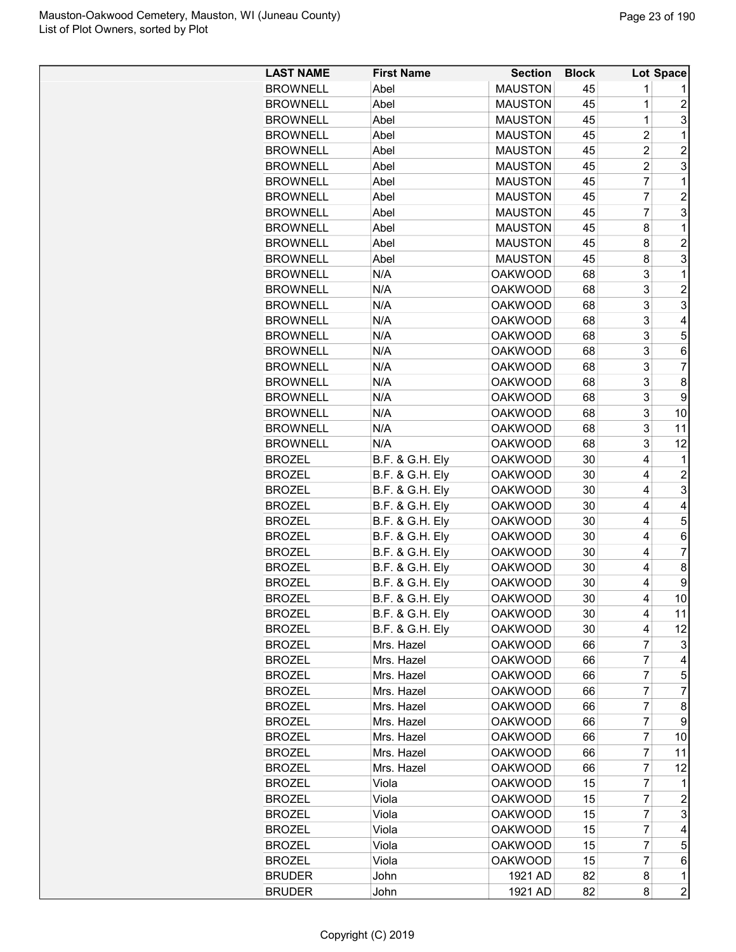| <b>BROWNELL</b><br><b>MAUSTON</b><br>45<br>Abel<br>1<br>$\mathbf{1}$<br>45<br>$\overline{c}$<br><b>BROWNELL</b><br>Abel<br><b>MAUSTON</b><br>$\overline{1}$<br>3<br><b>BROWNELL</b><br>Abel<br><b>MAUSTON</b><br>45<br>45<br>$\overline{c}$<br>1<br><b>BROWNELL</b><br>Abel<br><b>MAUSTON</b><br>$\overline{2}$<br>$\overline{2}$<br><b>BROWNELL</b><br><b>MAUSTON</b><br>Abel<br>45<br>$\overline{c}$<br>3<br><b>BROWNELL</b><br>Abel<br><b>MAUSTON</b><br>45<br>7<br><b>BROWNELL</b><br>Abel<br><b>MAUSTON</b><br>45<br>1<br>$\overline{7}$<br>$\overline{2}$<br><b>MAUSTON</b><br>45<br><b>BROWNELL</b><br>Abel<br>$\overline{7}$<br>3<br>45<br><b>BROWNELL</b><br>Abel<br><b>MAUSTON</b><br>Abel<br>45<br>8<br>1<br><b>BROWNELL</b><br><b>MAUSTON</b><br>45<br>$\overline{2}$<br><b>BROWNELL</b><br>Abel<br><b>MAUSTON</b><br>8<br>3<br><b>BROWNELL</b><br>45<br>Abel<br><b>MAUSTON</b><br>8<br>N/A<br>3<br>1<br><b>BROWNELL</b><br><b>OAKWOOD</b><br>68<br>3<br>$\overline{c}$<br><b>BROWNELL</b><br>N/A<br><b>OAKWOOD</b><br>68<br>3<br>3<br>N/A<br><b>BROWNELL</b><br><b>OAKWOOD</b><br>68<br>3<br>N/A<br><b>BROWNELL</b><br><b>OAKWOOD</b><br>68<br>4<br>3<br>5<br>N/A<br><b>BROWNELL</b><br><b>OAKWOOD</b><br>68<br>3<br>N/A<br>68<br>6<br><b>BROWNELL</b><br><b>OAKWOOD</b><br>3<br><b>BROWNELL</b><br>N/A<br><b>OAKWOOD</b><br>$\overline{7}$<br>68<br>3<br><b>BROWNELL</b><br>N/A<br><b>OAKWOOD</b><br>68<br>8<br>3<br>9<br><b>BROWNELL</b><br>N/A<br><b>OAKWOOD</b><br>68<br>3<br>N/A<br>68<br><b>BROWNELL</b><br><b>OAKWOOD</b><br>10<br>3<br>N/A<br>68<br>11<br><b>BROWNELL</b><br><b>OAKWOOD</b><br>3<br>N/A<br><b>OAKWOOD</b><br>12<br><b>BROWNELL</b><br>68<br><b>B.F. &amp; G.H. Ely</b><br>30<br>4<br><b>BROZEL</b><br><b>OAKWOOD</b><br>1<br>$\overline{c}$<br><b>BROZEL</b><br>B.F. & G.H. Ely<br><b>OAKWOOD</b><br>30<br>4<br>3<br><b>BROZEL</b><br><b>B.F. &amp; G.H. Ely</b><br><b>OAKWOOD</b><br>30<br>4<br><b>B.F. &amp; G.H. Ely</b><br><b>OAKWOOD</b><br>30<br>4<br><b>BROZEL</b><br>4<br>5<br><b>B.F. &amp; G.H. Ely</b><br>4<br><b>BROZEL</b><br><b>OAKWOOD</b><br>30<br><b>B.F. &amp; G.H. Ely</b><br>4<br>6<br><b>BROZEL</b><br><b>OAKWOOD</b><br>30<br>$\overline{7}$<br><b>B.F. &amp; G.H. Ely</b><br><b>OAKWOOD</b><br><b>BROZEL</b><br>30<br>4<br>30<br>4<br>8<br><b>BROZEL</b><br><b>B.F. &amp; G.H. Ely</b><br><b>OAKWOOD</b><br><b>B.F. &amp; G.H. Ely</b><br>9<br><b>BROZEL</b><br><b>OAKWOOD</b><br>30<br>4<br>10<br><b>OAKWOOD</b><br>30<br>4<br><b>BROZEL</b><br>B.F. & G.H. Ely<br><b>B.F. &amp; G.H. Ely</b><br>30<br>11<br><b>BROZEL</b><br>OAKWOOD<br>4<br>B.F. & G.H. Ely<br>30<br>4<br>12<br><b>BROZEL</b><br>OAKWOOD<br>7<br><b>OAKWOOD</b><br><b>BROZEL</b><br>Mrs. Hazel<br>66<br>3<br>7<br>Mrs. Hazel<br><b>BROZEL</b><br><b>OAKWOOD</b><br>66<br>4<br>7<br><b>BROZEL</b><br>Mrs. Hazel<br><b>OAKWOOD</b><br>66<br>5<br>7<br><b>BROZEL</b><br>Mrs. Hazel<br><b>OAKWOOD</b><br>66<br>7<br>7<br><b>BROZEL</b><br>Mrs. Hazel<br><b>OAKWOOD</b><br>66<br>8<br><b>OAKWOOD</b><br>7<br><b>BROZEL</b><br>Mrs. Hazel<br>66<br>9<br>7<br><b>BROZEL</b><br>Mrs. Hazel<br><b>OAKWOOD</b><br>66<br>10<br>7<br><b>BROZEL</b><br>Mrs. Hazel<br><b>OAKWOOD</b><br>66<br>11<br>7<br>12<br>Mrs. Hazel<br><b>OAKWOOD</b><br><b>BROZEL</b><br>66<br>7<br>15<br>Viola<br><b>OAKWOOD</b><br><b>BROZEL</b><br>1 | <b>LAST NAME</b> | <b>First Name</b> | <b>Section</b> | <b>Block</b> |                | Lot Space |
|-------------------------------------------------------------------------------------------------------------------------------------------------------------------------------------------------------------------------------------------------------------------------------------------------------------------------------------------------------------------------------------------------------------------------------------------------------------------------------------------------------------------------------------------------------------------------------------------------------------------------------------------------------------------------------------------------------------------------------------------------------------------------------------------------------------------------------------------------------------------------------------------------------------------------------------------------------------------------------------------------------------------------------------------------------------------------------------------------------------------------------------------------------------------------------------------------------------------------------------------------------------------------------------------------------------------------------------------------------------------------------------------------------------------------------------------------------------------------------------------------------------------------------------------------------------------------------------------------------------------------------------------------------------------------------------------------------------------------------------------------------------------------------------------------------------------------------------------------------------------------------------------------------------------------------------------------------------------------------------------------------------------------------------------------------------------------------------------------------------------------------------------------------------------------------------------------------------------------------------------------------------------------------------------------------------------------------------------------------------------------------------------------------------------------------------------------------------------------------------------------------------------------------------------------------------------------------------------------------------------------------------------------------------------------------------------------------------------------------------------------------------------------------------------------------------------------------------------------------------------------------------------------------------------------------------------------------------------------------------------------------------------------------------------------------------------------------------------------------------------------------------------------------------------------------------------------------------------------------------------------------------------------------------------------------------------------------------------------|------------------|-------------------|----------------|--------------|----------------|-----------|
|                                                                                                                                                                                                                                                                                                                                                                                                                                                                                                                                                                                                                                                                                                                                                                                                                                                                                                                                                                                                                                                                                                                                                                                                                                                                                                                                                                                                                                                                                                                                                                                                                                                                                                                                                                                                                                                                                                                                                                                                                                                                                                                                                                                                                                                                                                                                                                                                                                                                                                                                                                                                                                                                                                                                                                                                                                                                                                                                                                                                                                                                                                                                                                                                                                                                                                                                                 |                  |                   |                |              |                |           |
|                                                                                                                                                                                                                                                                                                                                                                                                                                                                                                                                                                                                                                                                                                                                                                                                                                                                                                                                                                                                                                                                                                                                                                                                                                                                                                                                                                                                                                                                                                                                                                                                                                                                                                                                                                                                                                                                                                                                                                                                                                                                                                                                                                                                                                                                                                                                                                                                                                                                                                                                                                                                                                                                                                                                                                                                                                                                                                                                                                                                                                                                                                                                                                                                                                                                                                                                                 |                  |                   |                |              |                |           |
|                                                                                                                                                                                                                                                                                                                                                                                                                                                                                                                                                                                                                                                                                                                                                                                                                                                                                                                                                                                                                                                                                                                                                                                                                                                                                                                                                                                                                                                                                                                                                                                                                                                                                                                                                                                                                                                                                                                                                                                                                                                                                                                                                                                                                                                                                                                                                                                                                                                                                                                                                                                                                                                                                                                                                                                                                                                                                                                                                                                                                                                                                                                                                                                                                                                                                                                                                 |                  |                   |                |              |                |           |
|                                                                                                                                                                                                                                                                                                                                                                                                                                                                                                                                                                                                                                                                                                                                                                                                                                                                                                                                                                                                                                                                                                                                                                                                                                                                                                                                                                                                                                                                                                                                                                                                                                                                                                                                                                                                                                                                                                                                                                                                                                                                                                                                                                                                                                                                                                                                                                                                                                                                                                                                                                                                                                                                                                                                                                                                                                                                                                                                                                                                                                                                                                                                                                                                                                                                                                                                                 |                  |                   |                |              |                |           |
|                                                                                                                                                                                                                                                                                                                                                                                                                                                                                                                                                                                                                                                                                                                                                                                                                                                                                                                                                                                                                                                                                                                                                                                                                                                                                                                                                                                                                                                                                                                                                                                                                                                                                                                                                                                                                                                                                                                                                                                                                                                                                                                                                                                                                                                                                                                                                                                                                                                                                                                                                                                                                                                                                                                                                                                                                                                                                                                                                                                                                                                                                                                                                                                                                                                                                                                                                 |                  |                   |                |              |                |           |
|                                                                                                                                                                                                                                                                                                                                                                                                                                                                                                                                                                                                                                                                                                                                                                                                                                                                                                                                                                                                                                                                                                                                                                                                                                                                                                                                                                                                                                                                                                                                                                                                                                                                                                                                                                                                                                                                                                                                                                                                                                                                                                                                                                                                                                                                                                                                                                                                                                                                                                                                                                                                                                                                                                                                                                                                                                                                                                                                                                                                                                                                                                                                                                                                                                                                                                                                                 |                  |                   |                |              |                |           |
|                                                                                                                                                                                                                                                                                                                                                                                                                                                                                                                                                                                                                                                                                                                                                                                                                                                                                                                                                                                                                                                                                                                                                                                                                                                                                                                                                                                                                                                                                                                                                                                                                                                                                                                                                                                                                                                                                                                                                                                                                                                                                                                                                                                                                                                                                                                                                                                                                                                                                                                                                                                                                                                                                                                                                                                                                                                                                                                                                                                                                                                                                                                                                                                                                                                                                                                                                 |                  |                   |                |              |                |           |
|                                                                                                                                                                                                                                                                                                                                                                                                                                                                                                                                                                                                                                                                                                                                                                                                                                                                                                                                                                                                                                                                                                                                                                                                                                                                                                                                                                                                                                                                                                                                                                                                                                                                                                                                                                                                                                                                                                                                                                                                                                                                                                                                                                                                                                                                                                                                                                                                                                                                                                                                                                                                                                                                                                                                                                                                                                                                                                                                                                                                                                                                                                                                                                                                                                                                                                                                                 |                  |                   |                |              |                |           |
|                                                                                                                                                                                                                                                                                                                                                                                                                                                                                                                                                                                                                                                                                                                                                                                                                                                                                                                                                                                                                                                                                                                                                                                                                                                                                                                                                                                                                                                                                                                                                                                                                                                                                                                                                                                                                                                                                                                                                                                                                                                                                                                                                                                                                                                                                                                                                                                                                                                                                                                                                                                                                                                                                                                                                                                                                                                                                                                                                                                                                                                                                                                                                                                                                                                                                                                                                 |                  |                   |                |              |                |           |
|                                                                                                                                                                                                                                                                                                                                                                                                                                                                                                                                                                                                                                                                                                                                                                                                                                                                                                                                                                                                                                                                                                                                                                                                                                                                                                                                                                                                                                                                                                                                                                                                                                                                                                                                                                                                                                                                                                                                                                                                                                                                                                                                                                                                                                                                                                                                                                                                                                                                                                                                                                                                                                                                                                                                                                                                                                                                                                                                                                                                                                                                                                                                                                                                                                                                                                                                                 |                  |                   |                |              |                |           |
|                                                                                                                                                                                                                                                                                                                                                                                                                                                                                                                                                                                                                                                                                                                                                                                                                                                                                                                                                                                                                                                                                                                                                                                                                                                                                                                                                                                                                                                                                                                                                                                                                                                                                                                                                                                                                                                                                                                                                                                                                                                                                                                                                                                                                                                                                                                                                                                                                                                                                                                                                                                                                                                                                                                                                                                                                                                                                                                                                                                                                                                                                                                                                                                                                                                                                                                                                 |                  |                   |                |              |                |           |
|                                                                                                                                                                                                                                                                                                                                                                                                                                                                                                                                                                                                                                                                                                                                                                                                                                                                                                                                                                                                                                                                                                                                                                                                                                                                                                                                                                                                                                                                                                                                                                                                                                                                                                                                                                                                                                                                                                                                                                                                                                                                                                                                                                                                                                                                                                                                                                                                                                                                                                                                                                                                                                                                                                                                                                                                                                                                                                                                                                                                                                                                                                                                                                                                                                                                                                                                                 |                  |                   |                |              |                |           |
|                                                                                                                                                                                                                                                                                                                                                                                                                                                                                                                                                                                                                                                                                                                                                                                                                                                                                                                                                                                                                                                                                                                                                                                                                                                                                                                                                                                                                                                                                                                                                                                                                                                                                                                                                                                                                                                                                                                                                                                                                                                                                                                                                                                                                                                                                                                                                                                                                                                                                                                                                                                                                                                                                                                                                                                                                                                                                                                                                                                                                                                                                                                                                                                                                                                                                                                                                 |                  |                   |                |              |                |           |
|                                                                                                                                                                                                                                                                                                                                                                                                                                                                                                                                                                                                                                                                                                                                                                                                                                                                                                                                                                                                                                                                                                                                                                                                                                                                                                                                                                                                                                                                                                                                                                                                                                                                                                                                                                                                                                                                                                                                                                                                                                                                                                                                                                                                                                                                                                                                                                                                                                                                                                                                                                                                                                                                                                                                                                                                                                                                                                                                                                                                                                                                                                                                                                                                                                                                                                                                                 |                  |                   |                |              |                |           |
|                                                                                                                                                                                                                                                                                                                                                                                                                                                                                                                                                                                                                                                                                                                                                                                                                                                                                                                                                                                                                                                                                                                                                                                                                                                                                                                                                                                                                                                                                                                                                                                                                                                                                                                                                                                                                                                                                                                                                                                                                                                                                                                                                                                                                                                                                                                                                                                                                                                                                                                                                                                                                                                                                                                                                                                                                                                                                                                                                                                                                                                                                                                                                                                                                                                                                                                                                 |                  |                   |                |              |                |           |
|                                                                                                                                                                                                                                                                                                                                                                                                                                                                                                                                                                                                                                                                                                                                                                                                                                                                                                                                                                                                                                                                                                                                                                                                                                                                                                                                                                                                                                                                                                                                                                                                                                                                                                                                                                                                                                                                                                                                                                                                                                                                                                                                                                                                                                                                                                                                                                                                                                                                                                                                                                                                                                                                                                                                                                                                                                                                                                                                                                                                                                                                                                                                                                                                                                                                                                                                                 |                  |                   |                |              |                |           |
|                                                                                                                                                                                                                                                                                                                                                                                                                                                                                                                                                                                                                                                                                                                                                                                                                                                                                                                                                                                                                                                                                                                                                                                                                                                                                                                                                                                                                                                                                                                                                                                                                                                                                                                                                                                                                                                                                                                                                                                                                                                                                                                                                                                                                                                                                                                                                                                                                                                                                                                                                                                                                                                                                                                                                                                                                                                                                                                                                                                                                                                                                                                                                                                                                                                                                                                                                 |                  |                   |                |              |                |           |
|                                                                                                                                                                                                                                                                                                                                                                                                                                                                                                                                                                                                                                                                                                                                                                                                                                                                                                                                                                                                                                                                                                                                                                                                                                                                                                                                                                                                                                                                                                                                                                                                                                                                                                                                                                                                                                                                                                                                                                                                                                                                                                                                                                                                                                                                                                                                                                                                                                                                                                                                                                                                                                                                                                                                                                                                                                                                                                                                                                                                                                                                                                                                                                                                                                                                                                                                                 |                  |                   |                |              |                |           |
|                                                                                                                                                                                                                                                                                                                                                                                                                                                                                                                                                                                                                                                                                                                                                                                                                                                                                                                                                                                                                                                                                                                                                                                                                                                                                                                                                                                                                                                                                                                                                                                                                                                                                                                                                                                                                                                                                                                                                                                                                                                                                                                                                                                                                                                                                                                                                                                                                                                                                                                                                                                                                                                                                                                                                                                                                                                                                                                                                                                                                                                                                                                                                                                                                                                                                                                                                 |                  |                   |                |              |                |           |
|                                                                                                                                                                                                                                                                                                                                                                                                                                                                                                                                                                                                                                                                                                                                                                                                                                                                                                                                                                                                                                                                                                                                                                                                                                                                                                                                                                                                                                                                                                                                                                                                                                                                                                                                                                                                                                                                                                                                                                                                                                                                                                                                                                                                                                                                                                                                                                                                                                                                                                                                                                                                                                                                                                                                                                                                                                                                                                                                                                                                                                                                                                                                                                                                                                                                                                                                                 |                  |                   |                |              |                |           |
|                                                                                                                                                                                                                                                                                                                                                                                                                                                                                                                                                                                                                                                                                                                                                                                                                                                                                                                                                                                                                                                                                                                                                                                                                                                                                                                                                                                                                                                                                                                                                                                                                                                                                                                                                                                                                                                                                                                                                                                                                                                                                                                                                                                                                                                                                                                                                                                                                                                                                                                                                                                                                                                                                                                                                                                                                                                                                                                                                                                                                                                                                                                                                                                                                                                                                                                                                 |                  |                   |                |              |                |           |
|                                                                                                                                                                                                                                                                                                                                                                                                                                                                                                                                                                                                                                                                                                                                                                                                                                                                                                                                                                                                                                                                                                                                                                                                                                                                                                                                                                                                                                                                                                                                                                                                                                                                                                                                                                                                                                                                                                                                                                                                                                                                                                                                                                                                                                                                                                                                                                                                                                                                                                                                                                                                                                                                                                                                                                                                                                                                                                                                                                                                                                                                                                                                                                                                                                                                                                                                                 |                  |                   |                |              |                |           |
|                                                                                                                                                                                                                                                                                                                                                                                                                                                                                                                                                                                                                                                                                                                                                                                                                                                                                                                                                                                                                                                                                                                                                                                                                                                                                                                                                                                                                                                                                                                                                                                                                                                                                                                                                                                                                                                                                                                                                                                                                                                                                                                                                                                                                                                                                                                                                                                                                                                                                                                                                                                                                                                                                                                                                                                                                                                                                                                                                                                                                                                                                                                                                                                                                                                                                                                                                 |                  |                   |                |              |                |           |
|                                                                                                                                                                                                                                                                                                                                                                                                                                                                                                                                                                                                                                                                                                                                                                                                                                                                                                                                                                                                                                                                                                                                                                                                                                                                                                                                                                                                                                                                                                                                                                                                                                                                                                                                                                                                                                                                                                                                                                                                                                                                                                                                                                                                                                                                                                                                                                                                                                                                                                                                                                                                                                                                                                                                                                                                                                                                                                                                                                                                                                                                                                                                                                                                                                                                                                                                                 |                  |                   |                |              |                |           |
|                                                                                                                                                                                                                                                                                                                                                                                                                                                                                                                                                                                                                                                                                                                                                                                                                                                                                                                                                                                                                                                                                                                                                                                                                                                                                                                                                                                                                                                                                                                                                                                                                                                                                                                                                                                                                                                                                                                                                                                                                                                                                                                                                                                                                                                                                                                                                                                                                                                                                                                                                                                                                                                                                                                                                                                                                                                                                                                                                                                                                                                                                                                                                                                                                                                                                                                                                 |                  |                   |                |              |                |           |
|                                                                                                                                                                                                                                                                                                                                                                                                                                                                                                                                                                                                                                                                                                                                                                                                                                                                                                                                                                                                                                                                                                                                                                                                                                                                                                                                                                                                                                                                                                                                                                                                                                                                                                                                                                                                                                                                                                                                                                                                                                                                                                                                                                                                                                                                                                                                                                                                                                                                                                                                                                                                                                                                                                                                                                                                                                                                                                                                                                                                                                                                                                                                                                                                                                                                                                                                                 |                  |                   |                |              |                |           |
|                                                                                                                                                                                                                                                                                                                                                                                                                                                                                                                                                                                                                                                                                                                                                                                                                                                                                                                                                                                                                                                                                                                                                                                                                                                                                                                                                                                                                                                                                                                                                                                                                                                                                                                                                                                                                                                                                                                                                                                                                                                                                                                                                                                                                                                                                                                                                                                                                                                                                                                                                                                                                                                                                                                                                                                                                                                                                                                                                                                                                                                                                                                                                                                                                                                                                                                                                 |                  |                   |                |              |                |           |
|                                                                                                                                                                                                                                                                                                                                                                                                                                                                                                                                                                                                                                                                                                                                                                                                                                                                                                                                                                                                                                                                                                                                                                                                                                                                                                                                                                                                                                                                                                                                                                                                                                                                                                                                                                                                                                                                                                                                                                                                                                                                                                                                                                                                                                                                                                                                                                                                                                                                                                                                                                                                                                                                                                                                                                                                                                                                                                                                                                                                                                                                                                                                                                                                                                                                                                                                                 |                  |                   |                |              |                |           |
|                                                                                                                                                                                                                                                                                                                                                                                                                                                                                                                                                                                                                                                                                                                                                                                                                                                                                                                                                                                                                                                                                                                                                                                                                                                                                                                                                                                                                                                                                                                                                                                                                                                                                                                                                                                                                                                                                                                                                                                                                                                                                                                                                                                                                                                                                                                                                                                                                                                                                                                                                                                                                                                                                                                                                                                                                                                                                                                                                                                                                                                                                                                                                                                                                                                                                                                                                 |                  |                   |                |              |                |           |
|                                                                                                                                                                                                                                                                                                                                                                                                                                                                                                                                                                                                                                                                                                                                                                                                                                                                                                                                                                                                                                                                                                                                                                                                                                                                                                                                                                                                                                                                                                                                                                                                                                                                                                                                                                                                                                                                                                                                                                                                                                                                                                                                                                                                                                                                                                                                                                                                                                                                                                                                                                                                                                                                                                                                                                                                                                                                                                                                                                                                                                                                                                                                                                                                                                                                                                                                                 |                  |                   |                |              |                |           |
|                                                                                                                                                                                                                                                                                                                                                                                                                                                                                                                                                                                                                                                                                                                                                                                                                                                                                                                                                                                                                                                                                                                                                                                                                                                                                                                                                                                                                                                                                                                                                                                                                                                                                                                                                                                                                                                                                                                                                                                                                                                                                                                                                                                                                                                                                                                                                                                                                                                                                                                                                                                                                                                                                                                                                                                                                                                                                                                                                                                                                                                                                                                                                                                                                                                                                                                                                 |                  |                   |                |              |                |           |
|                                                                                                                                                                                                                                                                                                                                                                                                                                                                                                                                                                                                                                                                                                                                                                                                                                                                                                                                                                                                                                                                                                                                                                                                                                                                                                                                                                                                                                                                                                                                                                                                                                                                                                                                                                                                                                                                                                                                                                                                                                                                                                                                                                                                                                                                                                                                                                                                                                                                                                                                                                                                                                                                                                                                                                                                                                                                                                                                                                                                                                                                                                                                                                                                                                                                                                                                                 |                  |                   |                |              |                |           |
|                                                                                                                                                                                                                                                                                                                                                                                                                                                                                                                                                                                                                                                                                                                                                                                                                                                                                                                                                                                                                                                                                                                                                                                                                                                                                                                                                                                                                                                                                                                                                                                                                                                                                                                                                                                                                                                                                                                                                                                                                                                                                                                                                                                                                                                                                                                                                                                                                                                                                                                                                                                                                                                                                                                                                                                                                                                                                                                                                                                                                                                                                                                                                                                                                                                                                                                                                 |                  |                   |                |              |                |           |
|                                                                                                                                                                                                                                                                                                                                                                                                                                                                                                                                                                                                                                                                                                                                                                                                                                                                                                                                                                                                                                                                                                                                                                                                                                                                                                                                                                                                                                                                                                                                                                                                                                                                                                                                                                                                                                                                                                                                                                                                                                                                                                                                                                                                                                                                                                                                                                                                                                                                                                                                                                                                                                                                                                                                                                                                                                                                                                                                                                                                                                                                                                                                                                                                                                                                                                                                                 |                  |                   |                |              |                |           |
|                                                                                                                                                                                                                                                                                                                                                                                                                                                                                                                                                                                                                                                                                                                                                                                                                                                                                                                                                                                                                                                                                                                                                                                                                                                                                                                                                                                                                                                                                                                                                                                                                                                                                                                                                                                                                                                                                                                                                                                                                                                                                                                                                                                                                                                                                                                                                                                                                                                                                                                                                                                                                                                                                                                                                                                                                                                                                                                                                                                                                                                                                                                                                                                                                                                                                                                                                 |                  |                   |                |              |                |           |
|                                                                                                                                                                                                                                                                                                                                                                                                                                                                                                                                                                                                                                                                                                                                                                                                                                                                                                                                                                                                                                                                                                                                                                                                                                                                                                                                                                                                                                                                                                                                                                                                                                                                                                                                                                                                                                                                                                                                                                                                                                                                                                                                                                                                                                                                                                                                                                                                                                                                                                                                                                                                                                                                                                                                                                                                                                                                                                                                                                                                                                                                                                                                                                                                                                                                                                                                                 |                  |                   |                |              |                |           |
|                                                                                                                                                                                                                                                                                                                                                                                                                                                                                                                                                                                                                                                                                                                                                                                                                                                                                                                                                                                                                                                                                                                                                                                                                                                                                                                                                                                                                                                                                                                                                                                                                                                                                                                                                                                                                                                                                                                                                                                                                                                                                                                                                                                                                                                                                                                                                                                                                                                                                                                                                                                                                                                                                                                                                                                                                                                                                                                                                                                                                                                                                                                                                                                                                                                                                                                                                 |                  |                   |                |              |                |           |
|                                                                                                                                                                                                                                                                                                                                                                                                                                                                                                                                                                                                                                                                                                                                                                                                                                                                                                                                                                                                                                                                                                                                                                                                                                                                                                                                                                                                                                                                                                                                                                                                                                                                                                                                                                                                                                                                                                                                                                                                                                                                                                                                                                                                                                                                                                                                                                                                                                                                                                                                                                                                                                                                                                                                                                                                                                                                                                                                                                                                                                                                                                                                                                                                                                                                                                                                                 |                  |                   |                |              |                |           |
|                                                                                                                                                                                                                                                                                                                                                                                                                                                                                                                                                                                                                                                                                                                                                                                                                                                                                                                                                                                                                                                                                                                                                                                                                                                                                                                                                                                                                                                                                                                                                                                                                                                                                                                                                                                                                                                                                                                                                                                                                                                                                                                                                                                                                                                                                                                                                                                                                                                                                                                                                                                                                                                                                                                                                                                                                                                                                                                                                                                                                                                                                                                                                                                                                                                                                                                                                 |                  |                   |                |              |                |           |
|                                                                                                                                                                                                                                                                                                                                                                                                                                                                                                                                                                                                                                                                                                                                                                                                                                                                                                                                                                                                                                                                                                                                                                                                                                                                                                                                                                                                                                                                                                                                                                                                                                                                                                                                                                                                                                                                                                                                                                                                                                                                                                                                                                                                                                                                                                                                                                                                                                                                                                                                                                                                                                                                                                                                                                                                                                                                                                                                                                                                                                                                                                                                                                                                                                                                                                                                                 |                  |                   |                |              |                |           |
|                                                                                                                                                                                                                                                                                                                                                                                                                                                                                                                                                                                                                                                                                                                                                                                                                                                                                                                                                                                                                                                                                                                                                                                                                                                                                                                                                                                                                                                                                                                                                                                                                                                                                                                                                                                                                                                                                                                                                                                                                                                                                                                                                                                                                                                                                                                                                                                                                                                                                                                                                                                                                                                                                                                                                                                                                                                                                                                                                                                                                                                                                                                                                                                                                                                                                                                                                 |                  |                   |                |              |                |           |
|                                                                                                                                                                                                                                                                                                                                                                                                                                                                                                                                                                                                                                                                                                                                                                                                                                                                                                                                                                                                                                                                                                                                                                                                                                                                                                                                                                                                                                                                                                                                                                                                                                                                                                                                                                                                                                                                                                                                                                                                                                                                                                                                                                                                                                                                                                                                                                                                                                                                                                                                                                                                                                                                                                                                                                                                                                                                                                                                                                                                                                                                                                                                                                                                                                                                                                                                                 |                  |                   |                |              |                |           |
|                                                                                                                                                                                                                                                                                                                                                                                                                                                                                                                                                                                                                                                                                                                                                                                                                                                                                                                                                                                                                                                                                                                                                                                                                                                                                                                                                                                                                                                                                                                                                                                                                                                                                                                                                                                                                                                                                                                                                                                                                                                                                                                                                                                                                                                                                                                                                                                                                                                                                                                                                                                                                                                                                                                                                                                                                                                                                                                                                                                                                                                                                                                                                                                                                                                                                                                                                 |                  |                   |                |              |                |           |
|                                                                                                                                                                                                                                                                                                                                                                                                                                                                                                                                                                                                                                                                                                                                                                                                                                                                                                                                                                                                                                                                                                                                                                                                                                                                                                                                                                                                                                                                                                                                                                                                                                                                                                                                                                                                                                                                                                                                                                                                                                                                                                                                                                                                                                                                                                                                                                                                                                                                                                                                                                                                                                                                                                                                                                                                                                                                                                                                                                                                                                                                                                                                                                                                                                                                                                                                                 |                  |                   |                |              |                |           |
|                                                                                                                                                                                                                                                                                                                                                                                                                                                                                                                                                                                                                                                                                                                                                                                                                                                                                                                                                                                                                                                                                                                                                                                                                                                                                                                                                                                                                                                                                                                                                                                                                                                                                                                                                                                                                                                                                                                                                                                                                                                                                                                                                                                                                                                                                                                                                                                                                                                                                                                                                                                                                                                                                                                                                                                                                                                                                                                                                                                                                                                                                                                                                                                                                                                                                                                                                 |                  |                   |                |              |                |           |
|                                                                                                                                                                                                                                                                                                                                                                                                                                                                                                                                                                                                                                                                                                                                                                                                                                                                                                                                                                                                                                                                                                                                                                                                                                                                                                                                                                                                                                                                                                                                                                                                                                                                                                                                                                                                                                                                                                                                                                                                                                                                                                                                                                                                                                                                                                                                                                                                                                                                                                                                                                                                                                                                                                                                                                                                                                                                                                                                                                                                                                                                                                                                                                                                                                                                                                                                                 |                  |                   |                |              |                |           |
|                                                                                                                                                                                                                                                                                                                                                                                                                                                                                                                                                                                                                                                                                                                                                                                                                                                                                                                                                                                                                                                                                                                                                                                                                                                                                                                                                                                                                                                                                                                                                                                                                                                                                                                                                                                                                                                                                                                                                                                                                                                                                                                                                                                                                                                                                                                                                                                                                                                                                                                                                                                                                                                                                                                                                                                                                                                                                                                                                                                                                                                                                                                                                                                                                                                                                                                                                 | <b>BROZEL</b>    | Viola             | <b>OAKWOOD</b> | 15           | $\overline{7}$ | 2         |
| 7<br>3<br><b>BROZEL</b><br>Viola<br><b>OAKWOOD</b><br>15                                                                                                                                                                                                                                                                                                                                                                                                                                                                                                                                                                                                                                                                                                                                                                                                                                                                                                                                                                                                                                                                                                                                                                                                                                                                                                                                                                                                                                                                                                                                                                                                                                                                                                                                                                                                                                                                                                                                                                                                                                                                                                                                                                                                                                                                                                                                                                                                                                                                                                                                                                                                                                                                                                                                                                                                                                                                                                                                                                                                                                                                                                                                                                                                                                                                                        |                  |                   |                |              |                |           |
| <b>OAKWOOD</b><br><b>BROZEL</b><br>Viola<br>15<br>7<br>4                                                                                                                                                                                                                                                                                                                                                                                                                                                                                                                                                                                                                                                                                                                                                                                                                                                                                                                                                                                                                                                                                                                                                                                                                                                                                                                                                                                                                                                                                                                                                                                                                                                                                                                                                                                                                                                                                                                                                                                                                                                                                                                                                                                                                                                                                                                                                                                                                                                                                                                                                                                                                                                                                                                                                                                                                                                                                                                                                                                                                                                                                                                                                                                                                                                                                        |                  |                   |                |              |                |           |
| 15<br>7<br>5<br><b>BROZEL</b><br><b>OAKWOOD</b><br>Viola                                                                                                                                                                                                                                                                                                                                                                                                                                                                                                                                                                                                                                                                                                                                                                                                                                                                                                                                                                                                                                                                                                                                                                                                                                                                                                                                                                                                                                                                                                                                                                                                                                                                                                                                                                                                                                                                                                                                                                                                                                                                                                                                                                                                                                                                                                                                                                                                                                                                                                                                                                                                                                                                                                                                                                                                                                                                                                                                                                                                                                                                                                                                                                                                                                                                                        |                  |                   |                |              |                |           |
| 7<br>15<br><b>BROZEL</b><br><b>OAKWOOD</b><br>6<br>Viola                                                                                                                                                                                                                                                                                                                                                                                                                                                                                                                                                                                                                                                                                                                                                                                                                                                                                                                                                                                                                                                                                                                                                                                                                                                                                                                                                                                                                                                                                                                                                                                                                                                                                                                                                                                                                                                                                                                                                                                                                                                                                                                                                                                                                                                                                                                                                                                                                                                                                                                                                                                                                                                                                                                                                                                                                                                                                                                                                                                                                                                                                                                                                                                                                                                                                        |                  |                   |                |              |                |           |
| 1<br><b>BRUDER</b><br>1921 AD<br>82<br>8<br>John                                                                                                                                                                                                                                                                                                                                                                                                                                                                                                                                                                                                                                                                                                                                                                                                                                                                                                                                                                                                                                                                                                                                                                                                                                                                                                                                                                                                                                                                                                                                                                                                                                                                                                                                                                                                                                                                                                                                                                                                                                                                                                                                                                                                                                                                                                                                                                                                                                                                                                                                                                                                                                                                                                                                                                                                                                                                                                                                                                                                                                                                                                                                                                                                                                                                                                |                  |                   |                |              |                |           |
| 8<br>2<br><b>BRUDER</b><br>John<br>1921 AD<br>82                                                                                                                                                                                                                                                                                                                                                                                                                                                                                                                                                                                                                                                                                                                                                                                                                                                                                                                                                                                                                                                                                                                                                                                                                                                                                                                                                                                                                                                                                                                                                                                                                                                                                                                                                                                                                                                                                                                                                                                                                                                                                                                                                                                                                                                                                                                                                                                                                                                                                                                                                                                                                                                                                                                                                                                                                                                                                                                                                                                                                                                                                                                                                                                                                                                                                                |                  |                   |                |              |                |           |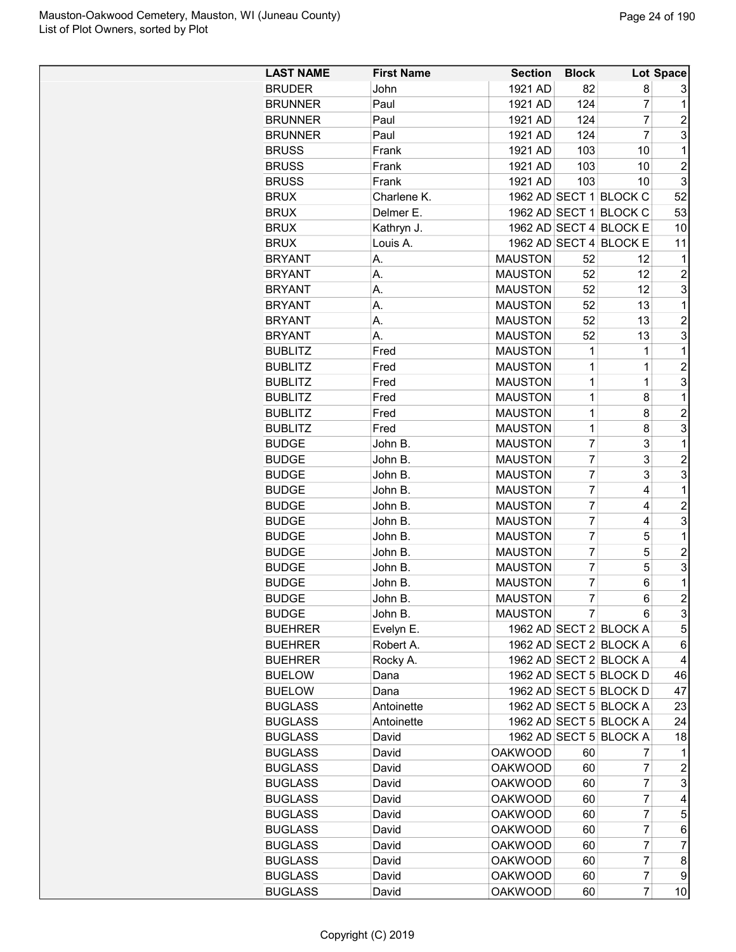| <b>LAST NAME</b>             | <b>First Name</b> | <b>Section</b> | <b>Block</b>        |                        | Lot Space        |
|------------------------------|-------------------|----------------|---------------------|------------------------|------------------|
| <b>BRUDER</b>                | John              | 1921 AD        | 82                  | 8                      | 3                |
| <b>BRUNNER</b>               | Paul              | 1921 AD        | 124                 | $\overline{7}$         | 1                |
| <b>BRUNNER</b>               | Paul              | 1921 AD        | 124                 | $\overline{7}$         | $\overline{2}$   |
| <b>BRUNNER</b>               | Paul              | 1921 AD        | 124                 | $\overline{7}$         | 3                |
| <b>BRUSS</b>                 | Frank             | 1921 AD        | 103                 | 10                     | 1                |
| <b>BRUSS</b>                 | Frank             | 1921 AD        | 103                 | 10                     | $\overline{c}$   |
| <b>BRUSS</b>                 | Frank             | 1921 AD        | 103                 | 10                     | 3                |
| <b>BRUX</b>                  | Charlene K.       |                |                     | 1962 AD SECT 1 BLOCK C | 52               |
| <b>BRUX</b>                  | Delmer E.         |                |                     | 1962 AD SECT 1 BLOCK C | 53               |
| <b>BRUX</b>                  | Kathryn J.        |                |                     | 1962 AD SECT 4 BLOCK E | 10               |
| <b>BRUX</b>                  | Louis A.          |                |                     | 1962 AD SECT 4 BLOCK E | 11               |
| <b>BRYANT</b>                | А.                | <b>MAUSTON</b> | 52                  | 12                     | 1                |
| <b>BRYANT</b>                | А.                | <b>MAUSTON</b> | 52                  | 12                     | $\overline{c}$   |
| <b>BRYANT</b>                | Α.                | <b>MAUSTON</b> | 52                  | 12                     | 3                |
| <b>BRYANT</b>                | Α.                | <b>MAUSTON</b> | 52                  | 13                     | 1                |
| <b>BRYANT</b>                | А.                | <b>MAUSTON</b> | 52                  | 13                     | $\overline{2}$   |
| <b>BRYANT</b>                | А.                | <b>MAUSTON</b> | 52                  | 13                     | 3                |
| <b>BUBLITZ</b>               | Fred              | <b>MAUSTON</b> | 1                   | 1                      | 1                |
| <b>BUBLITZ</b>               | Fred              | <b>MAUSTON</b> | 1                   | 1                      | $\overline{2}$   |
| <b>BUBLITZ</b>               | Fred              | <b>MAUSTON</b> | 1                   | 1                      | 3                |
| <b>BUBLITZ</b>               | Fred              | <b>MAUSTON</b> | 1                   | 8                      | $\mathbf 1$      |
| <b>BUBLITZ</b>               | Fred              | <b>MAUSTON</b> | 1                   | 8                      | $\overline{2}$   |
|                              | Fred              | <b>MAUSTON</b> | 1                   | 8                      | 3                |
| <b>BUBLITZ</b>               |                   | <b>MAUSTON</b> | $\overline{7}$      | 3                      | 1                |
| <b>BUDGE</b><br><b>BUDGE</b> | John B.           | <b>MAUSTON</b> | $\overline{7}$      | 3                      | $\overline{c}$   |
|                              | John B.           | <b>MAUSTON</b> | $\overline{7}$      | 3                      | 3                |
| <b>BUDGE</b>                 | John B.           |                |                     |                        |                  |
| <b>BUDGE</b>                 | John B.           | <b>MAUSTON</b> | 7<br>$\overline{7}$ | 4                      | 1                |
| <b>BUDGE</b>                 | John B.           | <b>MAUSTON</b> |                     | 4                      | $\overline{c}$   |
| <b>BUDGE</b>                 | John B.           | <b>MAUSTON</b> | $\overline{7}$      | 4                      | 3                |
| <b>BUDGE</b>                 | John B.           | <b>MAUSTON</b> | $\overline{7}$      | 5                      | 1                |
| <b>BUDGE</b>                 | John B.           | <b>MAUSTON</b> | $\overline{7}$      | 5                      | $\overline{c}$   |
| <b>BUDGE</b>                 | John B.           | <b>MAUSTON</b> | $\overline{7}$      | 5                      | 3                |
| <b>BUDGE</b>                 | John B.           | <b>MAUSTON</b> | $\overline{7}$      | 6                      | 1                |
| <b>BUDGE</b>                 | John B.           | <b>MAUSTON</b> | 7                   | 6                      | $\overline{2}$   |
| <b>BUDGE</b>                 | John B.           | <b>MAUSTON</b> | 7                   | 6                      | 3                |
| <b>BUEHRER</b>               | Evelyn E.         |                |                     | 1962 AD SECT 2 BLOCK A | 5                |
| <b>BUEHRER</b>               | Robert A.         |                |                     | 1962 AD SECT 2 BLOCK A | 6                |
| <b>BUEHRER</b>               | Rocky A.          |                |                     | 1962 AD SECT 2 BLOCK A | 4                |
| <b>BUELOW</b>                | Dana              |                |                     | 1962 AD SECT 5 BLOCK D | 46               |
| <b>BUELOW</b>                | Dana              |                |                     | 1962 AD SECT 5 BLOCK D | 47               |
| <b>BUGLASS</b>               | Antoinette        |                |                     | 1962 AD SECT 5 BLOCK A | 23               |
| <b>BUGLASS</b>               | Antoinette        |                |                     | 1962 AD SECT 5 BLOCK A | 24               |
| <b>BUGLASS</b>               | David             |                |                     | 1962 AD SECT 5 BLOCK A | 18               |
| <b>BUGLASS</b>               | David             | <b>OAKWOOD</b> | 60                  | 7                      | 1                |
| <b>BUGLASS</b>               | David             | <b>OAKWOOD</b> | 60                  | 7                      | $\boldsymbol{2}$ |
| <b>BUGLASS</b>               | David             | <b>OAKWOOD</b> | 60                  | 7                      | 3                |
| <b>BUGLASS</b>               | David             | <b>OAKWOOD</b> | 60                  | 7                      | 4                |
| <b>BUGLASS</b>               | David             | <b>OAKWOOD</b> | 60                  | 7                      | 5                |
| <b>BUGLASS</b>               | David             | <b>OAKWOOD</b> | 60                  | 7                      | 6                |
| <b>BUGLASS</b>               | David             | <b>OAKWOOD</b> | 60                  | 7                      | $\overline{7}$   |
| <b>BUGLASS</b>               | David             | <b>OAKWOOD</b> | 60                  | 7                      | 8                |
| <b>BUGLASS</b>               | David             | <b>OAKWOOD</b> | 60                  | 7                      | 9                |
| <b>BUGLASS</b>               | David             | <b>OAKWOOD</b> | 60                  | 7                      | 10               |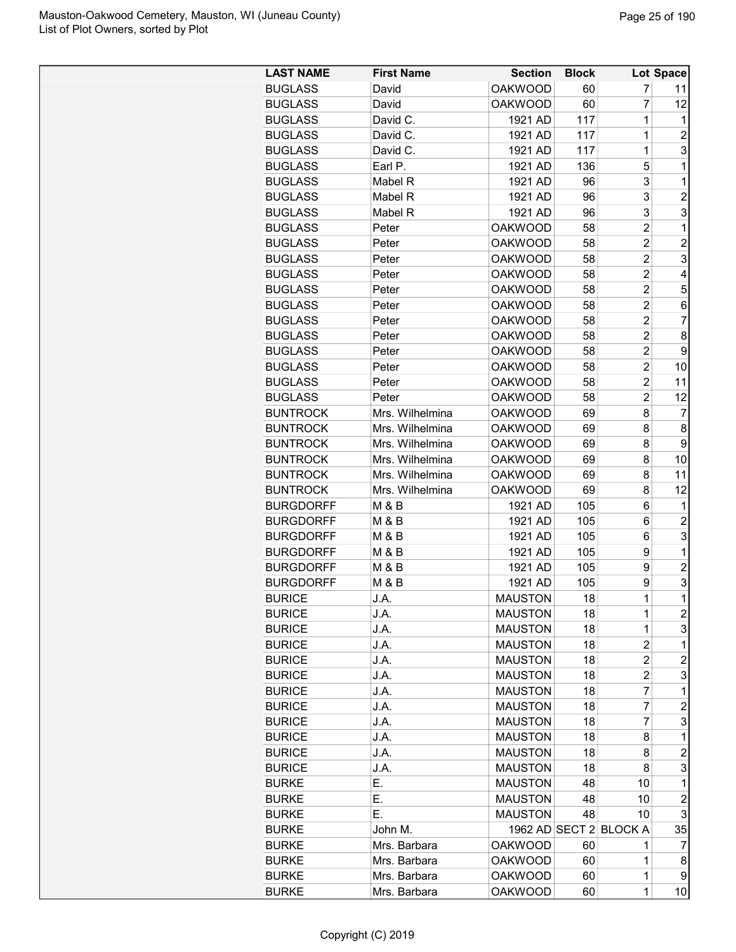| <b>LAST NAME</b> | <b>First Name</b> | <b>Section</b> | <b>Block</b> |                        | Lot Space      |
|------------------|-------------------|----------------|--------------|------------------------|----------------|
| <b>BUGLASS</b>   | David             | <b>OAKWOOD</b> | 60           | 7                      | 11             |
| <b>BUGLASS</b>   | David             | <b>OAKWOOD</b> | 60           | $\overline{7}$         | 12             |
| <b>BUGLASS</b>   | David C.          | 1921 AD        | 117          | 1                      | 1              |
| <b>BUGLASS</b>   | David C.          | 1921 AD        | 117          | 1                      | $\overline{c}$ |
| <b>BUGLASS</b>   | David C.          | 1921 AD        | 117          | 1                      | 3              |
| <b>BUGLASS</b>   | Earl P.           | 1921 AD        | 136          | 5                      | 1              |
| <b>BUGLASS</b>   | Mabel R           | 1921 AD        | 96           | 3                      | 1              |
| <b>BUGLASS</b>   | Mabel R           | 1921 AD        | 96           | 3                      | $\overline{2}$ |
| <b>BUGLASS</b>   | Mabel R           | 1921 AD        | 96           | 3                      | 3              |
|                  | Peter             | <b>OAKWOOD</b> | 58           | $\overline{c}$         | 1              |
| <b>BUGLASS</b>   |                   | <b>OAKWOOD</b> |              | $\overline{c}$         | $\overline{2}$ |
| <b>BUGLASS</b>   | Peter             |                | 58           |                        |                |
| <b>BUGLASS</b>   | Peter             | <b>OAKWOOD</b> | 58           | $\overline{2}$         | 3              |
| <b>BUGLASS</b>   | Peter             | <b>OAKWOOD</b> | 58           | $\overline{2}$         | 4              |
| <b>BUGLASS</b>   | Peter             | <b>OAKWOOD</b> | 58           | $\overline{2}$         | 5              |
| <b>BUGLASS</b>   | Peter             | <b>OAKWOOD</b> | 58           | $\overline{2}$         | 6              |
| <b>BUGLASS</b>   | Peter             | <b>OAKWOOD</b> | 58           | $\overline{2}$         | $\overline{7}$ |
| <b>BUGLASS</b>   | Peter             | <b>OAKWOOD</b> | 58           | $\overline{2}$         | 8              |
| <b>BUGLASS</b>   | Peter             | <b>OAKWOOD</b> | 58           | $\overline{2}$         | 9              |
| <b>BUGLASS</b>   | Peter             | <b>OAKWOOD</b> | 58           | 2                      | 10             |
| <b>BUGLASS</b>   | Peter             | <b>OAKWOOD</b> | 58           | $\overline{2}$         | 11             |
| <b>BUGLASS</b>   | Peter             | <b>OAKWOOD</b> | 58           | $\overline{c}$         | 12             |
| <b>BUNTROCK</b>  | Mrs. Wilhelmina   | <b>OAKWOOD</b> | 69           | 8                      | $\overline{7}$ |
| <b>BUNTROCK</b>  | Mrs. Wilhelmina   | <b>OAKWOOD</b> | 69           | 8                      | 8              |
| <b>BUNTROCK</b>  | Mrs. Wilhelmina   | <b>OAKWOOD</b> | 69           | 8                      | 9              |
| <b>BUNTROCK</b>  | Mrs. Wilhelmina   | <b>OAKWOOD</b> | 69           | 8                      | 10             |
| <b>BUNTROCK</b>  | Mrs. Wilhelmina   | <b>OAKWOOD</b> | 69           | 8                      | 11             |
| <b>BUNTROCK</b>  | Mrs. Wilhelmina   | <b>OAKWOOD</b> | 69           | 8                      | 12             |
| <b>BURGDORFF</b> | <b>M &amp; B</b>  | 1921 AD        | 105          | 6                      | 1              |
| <b>BURGDORFF</b> | M & B             | 1921 AD        | 105          | 6                      | $\overline{c}$ |
| <b>BURGDORFF</b> | M & B             | 1921 AD        | 105          | 6                      | 3              |
| <b>BURGDORFF</b> | M & B             | 1921 AD        | 105          | 9                      | 1              |
| <b>BURGDORFF</b> | M & B             | 1921 AD        | 105          | 9                      | $\overline{2}$ |
| <b>BURGDORFF</b> | M & B             | 1921 AD        | 105          | 9                      | 3              |
| <b>BURICE</b>    | J.A.              | <b>MAUSTON</b> | 18           | $\mathbf 1$            | $\overline{1}$ |
| <b>BURICE</b>    | J.A.              | <b>MAUSTON</b> | 18           | 1                      | $\overline{c}$ |
| <b>BURICE</b>    | J.A.              | <b>MAUSTON</b> | 18           | 1                      | 3              |
| <b>BURICE</b>    | J.A.              | <b>MAUSTON</b> | 18           | 2                      | $\mathbf 1$    |
| <b>BURICE</b>    | J.A.              | <b>MAUSTON</b> | 18           | 2                      | $\overline{c}$ |
| <b>BURICE</b>    | J.A.              | <b>MAUSTON</b> | 18           | 2                      | 3              |
| <b>BURICE</b>    | J.A.              | <b>MAUSTON</b> | 18           | 7                      | 1              |
|                  |                   | <b>MAUSTON</b> |              | 7                      | $\overline{c}$ |
| <b>BURICE</b>    | J.A.              |                | 18           | 7                      |                |
| <b>BURICE</b>    | J.A.              | <b>MAUSTON</b> | 18           |                        | 3              |
| <b>BURICE</b>    | J.A.              | <b>MAUSTON</b> | 18           | 8                      | 1              |
| <b>BURICE</b>    | J.A.              | <b>MAUSTON</b> | 18           | 8                      | $\overline{c}$ |
| <b>BURICE</b>    | J.A.              | <b>MAUSTON</b> | 18           | 8                      | 3              |
| <b>BURKE</b>     | Е.                | <b>MAUSTON</b> | 48           | 10                     | 1              |
| <b>BURKE</b>     | Е.                | <b>MAUSTON</b> | 48           | 10                     | $\overline{c}$ |
| <b>BURKE</b>     | Е.                | <b>MAUSTON</b> | 48           | 10                     | 3              |
| <b>BURKE</b>     | John M.           |                |              | 1962 AD SECT 2 BLOCK A | 35             |
| <b>BURKE</b>     | Mrs. Barbara      | <b>OAKWOOD</b> | 60           | 1                      | 7              |
| <b>BURKE</b>     | Mrs. Barbara      | <b>OAKWOOD</b> | 60           | 1                      | 8              |
| <b>BURKE</b>     | Mrs. Barbara      | <b>OAKWOOD</b> | 60           | 1                      | 9              |
| <b>BURKE</b>     | Mrs. Barbara      | <b>OAKWOOD</b> | 60           | 1                      | 10             |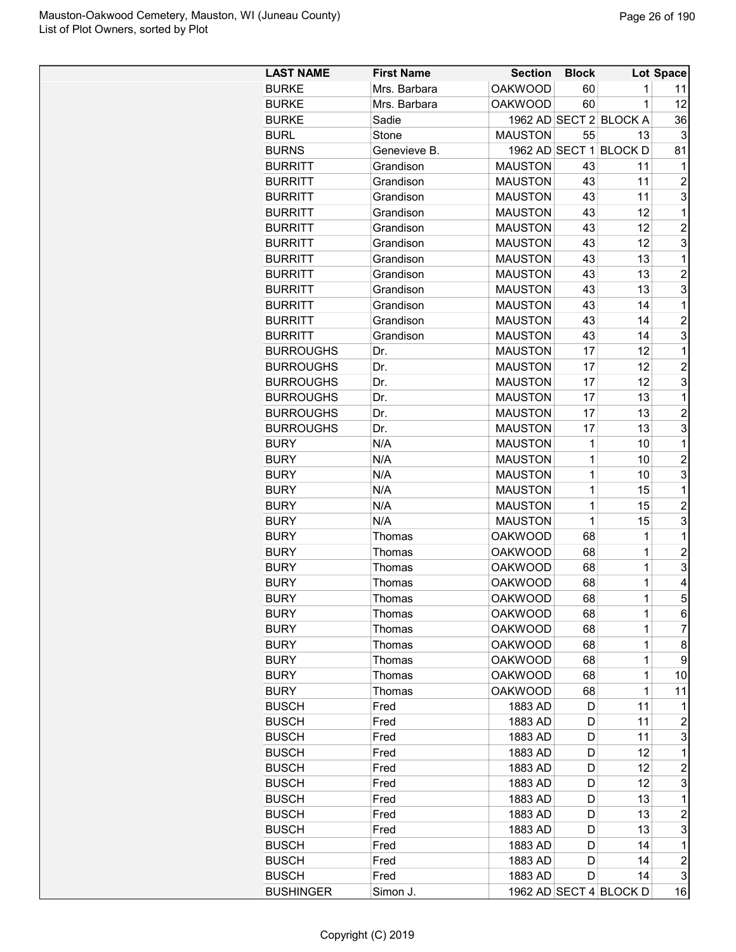| <b>LAST NAME</b> | <b>First Name</b> | <b>Section</b> | <b>Block</b> |                        | <b>Lot Space</b>  |
|------------------|-------------------|----------------|--------------|------------------------|-------------------|
| <b>BURKE</b>     | Mrs. Barbara      | <b>OAKWOOD</b> | 60           | 1                      | 11                |
| <b>BURKE</b>     | Mrs. Barbara      | <b>OAKWOOD</b> | 60           | 1                      | 12                |
| <b>BURKE</b>     | Sadie             |                |              | 1962 AD SECT 2 BLOCK A | 36                |
| <b>BURL</b>      | Stone             | <b>MAUSTON</b> | 55           | 13                     | 3                 |
| <b>BURNS</b>     | Genevieve B.      |                |              | 1962 AD SECT 1 BLOCK D | 81                |
| <b>BURRITT</b>   | Grandison         | <b>MAUSTON</b> | 43           | 11                     | 1                 |
| <b>BURRITT</b>   | Grandison         | <b>MAUSTON</b> | 43           | 11                     | $\overline{2}$    |
| <b>BURRITT</b>   | Grandison         | <b>MAUSTON</b> | 43           | 11                     | 3                 |
| <b>BURRITT</b>   | Grandison         | <b>MAUSTON</b> | 43           | 12                     | $\mathbf{1}$      |
| <b>BURRITT</b>   | Grandison         | <b>MAUSTON</b> | 43           | 12                     | 2                 |
| <b>BURRITT</b>   | Grandison         | <b>MAUSTON</b> | 43           | 12                     | 3                 |
| <b>BURRITT</b>   | Grandison         | <b>MAUSTON</b> | 43           | 13                     | $\mathbf{1}$      |
| <b>BURRITT</b>   | Grandison         | <b>MAUSTON</b> | 43           | 13                     | $\overline{2}$    |
| <b>BURRITT</b>   | Grandison         | <b>MAUSTON</b> | 43           | 13                     | 3                 |
| <b>BURRITT</b>   | Grandison         | <b>MAUSTON</b> | 43           | 14                     | 1                 |
| <b>BURRITT</b>   | Grandison         | <b>MAUSTON</b> | 43           | 14                     | $\overline{c}$    |
| <b>BURRITT</b>   | Grandison         | <b>MAUSTON</b> | 43           | 14                     | 3                 |
| <b>BURROUGHS</b> | Dr.               | <b>MAUSTON</b> | 17           | 12                     | $\mathbf 1$       |
| <b>BURROUGHS</b> | Dr.               | <b>MAUSTON</b> | 17           | 12                     | $\overline{2}$    |
| <b>BURROUGHS</b> | Dr.               | <b>MAUSTON</b> | 17           | 12                     | 3                 |
| <b>BURROUGHS</b> | Dr.               | <b>MAUSTON</b> | 17           | 13                     | $\mathbf 1$       |
| <b>BURROUGHS</b> | Dr.               | <b>MAUSTON</b> | 17           | 13                     | $\overline{2}$    |
|                  |                   |                |              |                        |                   |
| <b>BURROUGHS</b> | Dr.               | <b>MAUSTON</b> | 17<br>1      | 13                     | 3<br>$\mathbf{1}$ |
| <b>BURY</b>      | N/A               | <b>MAUSTON</b> |              | 10                     |                   |
| <b>BURY</b>      | N/A               | <b>MAUSTON</b> | 1<br>1       | 10                     | $\overline{2}$    |
| <b>BURY</b>      | N/A               | <b>MAUSTON</b> |              | 10                     | 3                 |
| <b>BURY</b>      | N/A               | <b>MAUSTON</b> | 1            | 15                     | $\mathbf{1}$      |
| <b>BURY</b>      | N/A               | <b>MAUSTON</b> | 1            | 15                     | $\overline{c}$    |
| <b>BURY</b>      | N/A               | <b>MAUSTON</b> | 1            | 15                     | 3                 |
| <b>BURY</b>      | Thomas            | <b>OAKWOOD</b> | 68           | 1                      | 1                 |
| <b>BURY</b>      | Thomas            | <b>OAKWOOD</b> | 68           | $\overline{1}$         | $\overline{2}$    |
| <b>BURY</b>      | Thomas            | <b>OAKWOOD</b> | 68           | 1                      | 3                 |
| <b>BURY</b>      | Thomas            | <b>OAKWOOD</b> | 68           | 1                      | 4                 |
| <b>BURY</b>      | Thomas            | <b>OAKWOOD</b> | 68           | 1                      | 5                 |
| <b>BURY</b>      | Thomas            | <b>OAKWOOD</b> | 68           | 1                      | 6                 |
| <b>BURY</b>      | Thomas            | <b>OAKWOOD</b> | 68           | 1                      | 7                 |
| <b>BURY</b>      | Thomas            | <b>OAKWOOD</b> | 68           | 1                      | 8                 |
| <b>BURY</b>      | Thomas            | <b>OAKWOOD</b> | 68           | 1                      | 9                 |
| <b>BURY</b>      | Thomas            | <b>OAKWOOD</b> | 68           | 1                      | 10                |
| <b>BURY</b>      | Thomas            | <b>OAKWOOD</b> | 68           | 1                      | 11                |
| <b>BUSCH</b>     | Fred              | 1883 AD        | D            | 11                     | 1                 |
| <b>BUSCH</b>     | Fred              | 1883 AD        | D            | 11                     | 2                 |
| <b>BUSCH</b>     | Fred              | 1883 AD        | D            | 11                     | 3                 |
| <b>BUSCH</b>     | Fred              | 1883 AD        | D            | 12                     | $\mathbf 1$       |
| <b>BUSCH</b>     | Fred              | 1883 AD        | D            | 12                     | $\overline{c}$    |
| <b>BUSCH</b>     | Fred              | 1883 AD        | D            | 12                     | 3                 |
| <b>BUSCH</b>     | Fred              | 1883 AD        | D            | 13                     | 1                 |
| <b>BUSCH</b>     | Fred              | 1883 AD        | D            | 13                     | 2                 |
| <b>BUSCH</b>     | Fred              | 1883 AD        | D            | 13                     | 3                 |
| <b>BUSCH</b>     | Fred              | 1883 AD        | D            | 14                     | 1                 |
| <b>BUSCH</b>     | Fred              | 1883 AD        | D            | 14                     | 2                 |
| <b>BUSCH</b>     | Fred              | 1883 AD        | D            | 14                     | 3                 |
| <b>BUSHINGER</b> | Simon J.          |                |              | 1962 AD SECT 4 BLOCK D | 16                |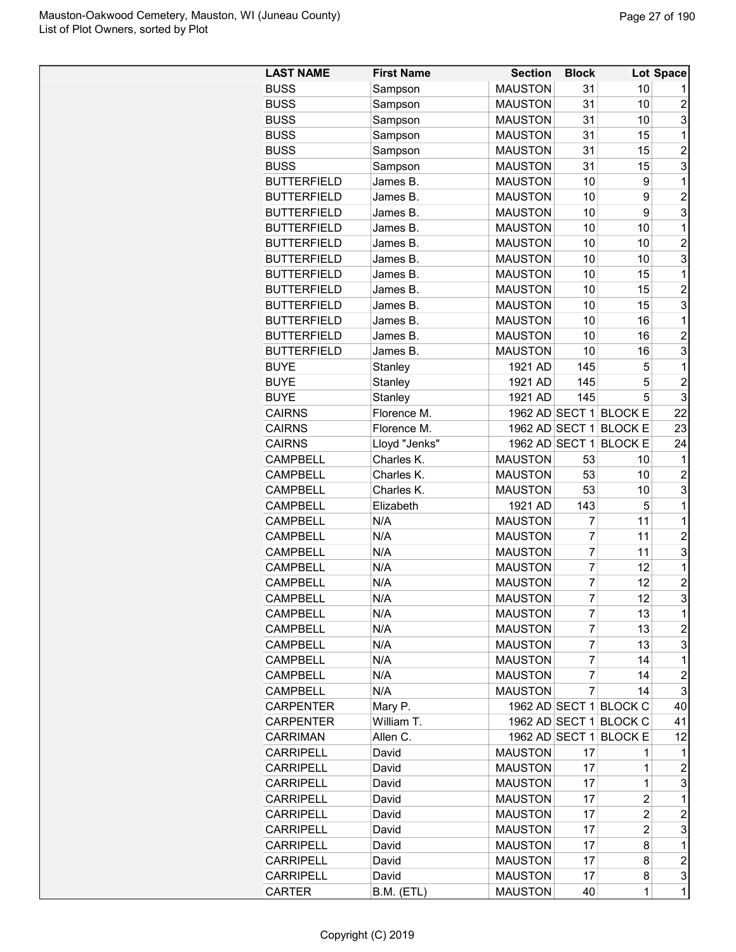| <b>LAST NAME</b>   | <b>First Name</b> | <b>Section</b> | <b>Block</b>   |                        | <b>Lot Space</b>    |
|--------------------|-------------------|----------------|----------------|------------------------|---------------------|
| <b>BUSS</b>        | Sampson           | <b>MAUSTON</b> | 31             | 10                     |                     |
| <b>BUSS</b>        | Sampson           | <b>MAUSTON</b> | 31             | 10                     | $\overline{2}$      |
| <b>BUSS</b>        | Sampson           | <b>MAUSTON</b> | 31             | 10                     | 3                   |
| <b>BUSS</b>        | Sampson           | <b>MAUSTON</b> | 31             | 15                     | 1                   |
| <b>BUSS</b>        |                   |                |                |                        | $\overline{2}$      |
|                    | Sampson           | <b>MAUSTON</b> | 31             | 15                     |                     |
| <b>BUSS</b>        | Sampson           | <b>MAUSTON</b> | 31             | 15                     | 3                   |
| <b>BUTTERFIELD</b> | James B.          | <b>MAUSTON</b> | 10             | 9                      | 1                   |
| <b>BUTTERFIELD</b> | James B.          | <b>MAUSTON</b> | 10             | 9                      | $\overline{c}$      |
| <b>BUTTERFIELD</b> | James B.          | <b>MAUSTON</b> | 10             | 9                      | 3                   |
| <b>BUTTERFIELD</b> | James B.          | <b>MAUSTON</b> | 10             | 10                     | 1                   |
| <b>BUTTERFIELD</b> | James B.          | <b>MAUSTON</b> | 10             | 10                     | $\overline{2}$      |
| <b>BUTTERFIELD</b> | James B.          | <b>MAUSTON</b> | 10             | 10                     | 3                   |
| <b>BUTTERFIELD</b> | James B.          | <b>MAUSTON</b> | 10             | 15                     | 1                   |
| <b>BUTTERFIELD</b> | James B.          | <b>MAUSTON</b> | 10             | 15                     | $\overline{2}$      |
| <b>BUTTERFIELD</b> | James B.          | <b>MAUSTON</b> | 10             | 15                     | 3                   |
| <b>BUTTERFIELD</b> | James B.          | <b>MAUSTON</b> | 10             | 16                     | 1                   |
| <b>BUTTERFIELD</b> | James B.          | <b>MAUSTON</b> | 10             | 16                     | $\overline{c}$      |
| <b>BUTTERFIELD</b> | James B.          | <b>MAUSTON</b> | 10             | 16                     | 3                   |
| <b>BUYE</b>        | Stanley           | 1921 AD        | 145            | 5                      | 1                   |
| <b>BUYE</b>        | Stanley           | 1921 AD        | 145            | 5                      | $\overline{c}$      |
| <b>BUYE</b>        | Stanley           | 1921 AD        | 145            | 5                      | 3                   |
| <b>CAIRNS</b>      | Florence M.       |                |                | 1962 AD SECT 1 BLOCK E | 22                  |
| <b>CAIRNS</b>      | Florence M.       | 1962 AD SECT 1 |                | <b>BLOCK E</b>         | 23                  |
| <b>CAIRNS</b>      | Lloyd "Jenks"     | 1962 AD SECT 1 |                | <b>BLOCK E</b>         | 24                  |
| <b>CAMPBELL</b>    | Charles K.        | <b>MAUSTON</b> | 53             | 10                     | 1                   |
| <b>CAMPBELL</b>    | Charles K.        | <b>MAUSTON</b> | 53             | 10                     | $\overline{c}$      |
| <b>CAMPBELL</b>    | Charles K.        | <b>MAUSTON</b> | 53             | 10                     | 3                   |
| <b>CAMPBELL</b>    | Elizabeth         | 1921 AD        | 143            | 5                      | 1                   |
| <b>CAMPBELL</b>    | N/A               | <b>MAUSTON</b> | 7              | 11                     | 1                   |
| <b>CAMPBELL</b>    | N/A               | <b>MAUSTON</b> | $\overline{7}$ | 11                     | $\overline{2}$      |
|                    |                   |                |                |                        | 3                   |
| <b>CAMPBELL</b>    | N/A               | <b>MAUSTON</b> | 7              | 11                     |                     |
| <b>CAMPBELL</b>    | N/A               | <b>MAUSTON</b> | 7              | 12                     | 1                   |
| <b>CAMPBELL</b>    | N/A               | <b>MAUSTON</b> | 7              | 12                     | $\overline{c}$<br>R |
| <b>CAMPBELL</b>    | N/A               | <b>MAUSTON</b> | 7              | 12                     |                     |
| <b>CAMPBELL</b>    | N/A               | <b>MAUSTON</b> | 7              | 13                     | 1                   |
| <b>CAMPBELL</b>    | N/A               | <b>MAUSTON</b> | 7              | 13                     | $\overline{c}$      |
| <b>CAMPBELL</b>    | N/A               | <b>MAUSTON</b> | 7              | 13                     | 3                   |
| <b>CAMPBELL</b>    | N/A               | <b>MAUSTON</b> | 7              | 14                     | 1                   |
| <b>CAMPBELL</b>    | N/A               | <b>MAUSTON</b> | 7              | 14                     | $\overline{c}$      |
| <b>CAMPBELL</b>    | N/A               | <b>MAUSTON</b> | $\overline{7}$ | 14                     | 3                   |
| <b>CARPENTER</b>   | Mary P.           |                |                | 1962 AD SECT 1 BLOCK C | 40                  |
| <b>CARPENTER</b>   | William T.        |                |                | 1962 AD SECT 1 BLOCK C | 41                  |
| <b>CARRIMAN</b>    | Allen C.          |                |                | 1962 AD SECT 1 BLOCK E | 12                  |
| <b>CARRIPELL</b>   | David             | <b>MAUSTON</b> | 17             | 1                      | 1                   |
| <b>CARRIPELL</b>   | David             | <b>MAUSTON</b> | 17             | 1                      | 2                   |
| <b>CARRIPELL</b>   | David             | <b>MAUSTON</b> | 17             | 1                      | 3                   |
| <b>CARRIPELL</b>   | David             | <b>MAUSTON</b> | 17             | $\overline{c}$         | 1                   |
| <b>CARRIPELL</b>   | David             | <b>MAUSTON</b> | 17             | $\overline{2}$         | $\overline{c}$      |
| <b>CARRIPELL</b>   | David             | <b>MAUSTON</b> | 17             | $\overline{c}$         | 3                   |
| <b>CARRIPELL</b>   | David             | <b>MAUSTON</b> | 17             | 8                      | 1                   |
| <b>CARRIPELL</b>   | David             | <b>MAUSTON</b> | 17             | 8                      | $\overline{c}$      |
| <b>CARRIPELL</b>   | David             | <b>MAUSTON</b> | 17             | 8                      | 3                   |
|                    |                   |                |                |                        | $\overline{1}$      |
| CARTER             | B.M. (ETL)        | <b>MAUSTON</b> | 40             | 1                      |                     |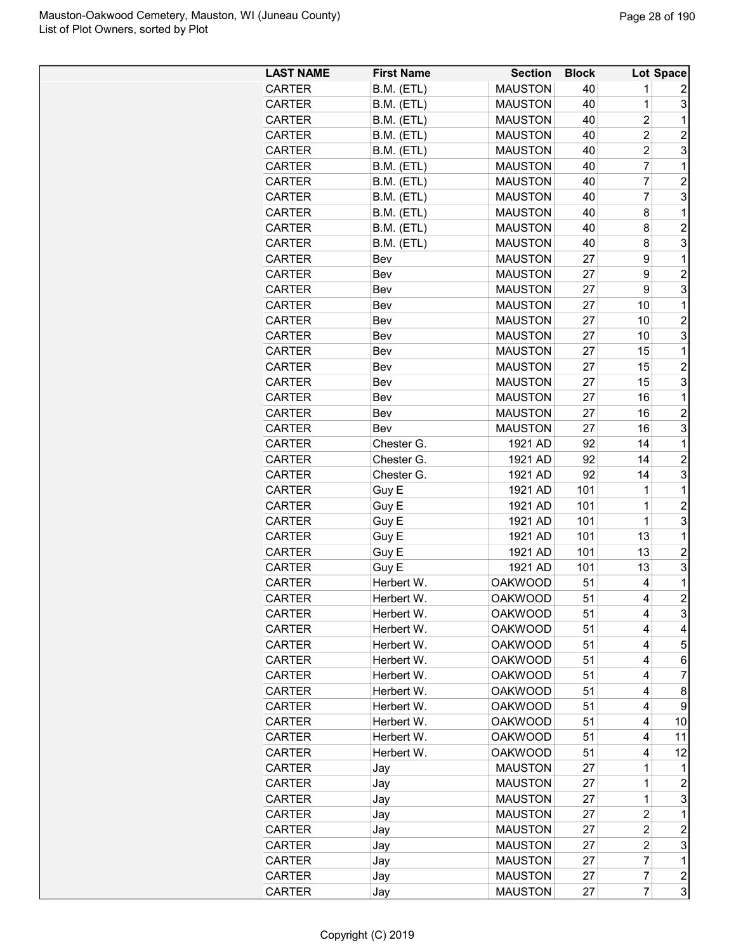| B.M. (ETL)<br><b>MAUSTON</b><br>40<br><b>CARTER</b><br>1<br>2<br>3<br>B.M. (ETL)<br><b>MAUSTON</b><br>40<br>1<br><b>CARTER</b><br>$\overline{c}$<br>B.M. (ETL)<br><b>MAUSTON</b><br>40<br>1<br><b>CARTER</b><br>$\overline{c}$<br>B.M. (ETL)<br><b>MAUSTON</b><br>40<br>$\overline{c}$<br><b>CARTER</b><br>$\overline{c}$<br>3<br><b>MAUSTON</b><br><b>CARTER</b><br>B.M. (ETL)<br>40<br>$\overline{7}$<br><b>MAUSTON</b><br><b>CARTER</b><br>B.M. (ETL)<br>40<br>1<br>7<br>$\overline{c}$<br><b>CARTER</b><br>B.M. (ETL)<br><b>MAUSTON</b><br>40<br>$\overline{7}$<br>3<br>B.M. (ETL)<br><b>MAUSTON</b><br><b>CARTER</b><br>40<br>B.M. (ETL)<br><b>MAUSTON</b><br>40<br>8<br>$\mathbf 1$<br><b>CARTER</b><br>$\overline{c}$<br>B.M. (ETL)<br><b>MAUSTON</b><br>40<br>8<br><b>CARTER</b><br>3<br>B.M. (ETL)<br><b>MAUSTON</b><br>40<br>8<br><b>CARTER</b><br><b>MAUSTON</b><br>27<br>$\mathbf{1}$<br><b>CARTER</b><br>Bev<br>9<br>$\overline{c}$<br><b>CARTER</b><br><b>MAUSTON</b><br>27<br>9<br>Bev<br>3<br>9<br><b>CARTER</b><br><b>MAUSTON</b><br>27<br>Bev<br>$\mathbf{1}$<br><b>MAUSTON</b><br>27<br>10<br><b>CARTER</b><br>Bev<br>$\overline{2}$<br><b>MAUSTON</b><br>10<br><b>CARTER</b><br>27<br>Bev<br>3<br>10<br><b>CARTER</b><br><b>MAUSTON</b><br>27<br>Bev<br><b>MAUSTON</b><br>15<br>1<br><b>CARTER</b><br>27<br>Bev<br>$\overline{2}$<br><b>MAUSTON</b><br><b>CARTER</b><br>27<br>15<br>Bev<br><b>MAUSTON</b><br>3<br><b>CARTER</b><br>27<br>Bev<br>15<br><b>CARTER</b><br><b>MAUSTON</b><br>27<br>$\mathbf 1$<br>Bev<br>16<br>$\overline{c}$<br><b>MAUSTON</b><br>27<br>16<br><b>CARTER</b><br>Bev<br>3<br><b>MAUSTON</b><br>27<br>16<br><b>CARTER</b><br>Bev<br>$\mathbf{1}$<br>1921 AD<br>92<br>14<br><b>CARTER</b><br>Chester G.<br>1921 AD<br>92<br>14<br>2<br><b>CARTER</b><br>Chester G.<br>3<br>92<br>14<br><b>CARTER</b><br>Chester G.<br>1921 AD<br><b>CARTER</b><br>Guy E<br>1921 AD<br>101<br>1<br>$\mathbf 1$<br>$\overline{\mathbf{c}}$<br>Guy E<br>1921 AD<br>101<br><b>CARTER</b><br>1<br>3<br>Guy E<br>1921 AD<br>101<br>1<br><b>CARTER</b><br>Guy E<br>1921 AD<br>101<br>13<br>$\mathbf 1$<br><b>CARTER</b><br>$\overline{2}$<br>Guy E<br>1921 AD<br>101<br>13<br><b>CARTER</b><br>3<br>Guy E<br>13<br><b>CARTER</b><br>1921 AD<br>101<br>$\mathbf{1}$<br><b>CARTER</b><br>Herbert W.<br><b>OAKWOOD</b><br>51<br>4<br>$\overline{2}$<br><b>OAKWOOD</b><br>51<br>4<br><b>CARTER</b><br>Herbert W.<br>3<br>51<br>CARTER<br>Herbert W.<br><b>OAKWOOD</b><br>4<br>Herbert W.<br>51<br><b>CARTER</b><br><b>OAKWOOD</b><br>4<br>4<br>5<br>51<br><b>CARTER</b><br>Herbert W.<br><b>OAKWOOD</b><br>4<br>51<br>CARTER<br>Herbert W.<br><b>OAKWOOD</b><br>4<br>6<br><b>OAKWOOD</b><br>51<br>7<br><b>CARTER</b><br>Herbert W.<br>4<br>51<br><b>CARTER</b><br>Herbert W.<br><b>OAKWOOD</b><br>4<br>8<br><b>OAKWOOD</b><br>51<br>CARTER<br>Herbert W.<br>4<br>9<br><b>OAKWOOD</b><br>51<br><b>CARTER</b><br>Herbert W.<br>4<br>10<br>Herbert W.<br><b>OAKWOOD</b><br>51<br>11<br>CARTER<br>4<br>51<br>4<br>12<br><b>CARTER</b><br>Herbert W.<br><b>OAKWOOD</b><br><b>MAUSTON</b><br>27<br>1<br><b>CARTER</b><br>$\mathbf 1$<br>Jay<br>1<br>$\overline{c}$<br>CARTER<br><b>MAUSTON</b><br>27<br>Jay<br>3<br>$\mathbf 1$<br>CARTER<br><b>MAUSTON</b><br>27<br>Jay<br><b>MAUSTON</b><br>$\overline{\mathbf{c}}$<br>CARTER<br>27<br>1<br>Jay<br><b>MAUSTON</b><br>27<br>$\overline{c}$<br><b>CARTER</b><br>Jay<br>2<br>3<br>27<br>$\overline{c}$<br>CARTER<br>Jay<br><b>MAUSTON</b><br>7<br>$\mathbf{1}$<br><b>MAUSTON</b><br>27<br>CARTER<br>Jay<br>7<br>$\boldsymbol{2}$<br><b>MAUSTON</b><br><b>CARTER</b><br>27<br>Jay<br>3<br>$\overline{7}$<br><b>MAUSTON</b><br><b>CARTER</b><br>27<br>Jay | <b>LAST NAME</b> | <b>First Name</b> | <b>Section</b> | <b>Block</b> | Lot Space |
|--------------------------------------------------------------------------------------------------------------------------------------------------------------------------------------------------------------------------------------------------------------------------------------------------------------------------------------------------------------------------------------------------------------------------------------------------------------------------------------------------------------------------------------------------------------------------------------------------------------------------------------------------------------------------------------------------------------------------------------------------------------------------------------------------------------------------------------------------------------------------------------------------------------------------------------------------------------------------------------------------------------------------------------------------------------------------------------------------------------------------------------------------------------------------------------------------------------------------------------------------------------------------------------------------------------------------------------------------------------------------------------------------------------------------------------------------------------------------------------------------------------------------------------------------------------------------------------------------------------------------------------------------------------------------------------------------------------------------------------------------------------------------------------------------------------------------------------------------------------------------------------------------------------------------------------------------------------------------------------------------------------------------------------------------------------------------------------------------------------------------------------------------------------------------------------------------------------------------------------------------------------------------------------------------------------------------------------------------------------------------------------------------------------------------------------------------------------------------------------------------------------------------------------------------------------------------------------------------------------------------------------------------------------------------------------------------------------------------------------------------------------------------------------------------------------------------------------------------------------------------------------------------------------------------------------------------------------------------------------------------------------------------------------------------------------------------------------------------------------------------------------------------------------------------------------------------------------------------------------------------------------------------------------------------------------------------------------------------------------------------------------------------------------------------------------------------------------------------------------------------------------------------------------------------------------------------------------------------------------------------------------------------------------------------------------------------------------------|------------------|-------------------|----------------|--------------|-----------|
|                                                                                                                                                                                                                                                                                                                                                                                                                                                                                                                                                                                                                                                                                                                                                                                                                                                                                                                                                                                                                                                                                                                                                                                                                                                                                                                                                                                                                                                                                                                                                                                                                                                                                                                                                                                                                                                                                                                                                                                                                                                                                                                                                                                                                                                                                                                                                                                                                                                                                                                                                                                                                                                                                                                                                                                                                                                                                                                                                                                                                                                                                                                                                                                                                                                                                                                                                                                                                                                                                                                                                                                                                                                                                                                    |                  |                   |                |              |           |
|                                                                                                                                                                                                                                                                                                                                                                                                                                                                                                                                                                                                                                                                                                                                                                                                                                                                                                                                                                                                                                                                                                                                                                                                                                                                                                                                                                                                                                                                                                                                                                                                                                                                                                                                                                                                                                                                                                                                                                                                                                                                                                                                                                                                                                                                                                                                                                                                                                                                                                                                                                                                                                                                                                                                                                                                                                                                                                                                                                                                                                                                                                                                                                                                                                                                                                                                                                                                                                                                                                                                                                                                                                                                                                                    |                  |                   |                |              |           |
|                                                                                                                                                                                                                                                                                                                                                                                                                                                                                                                                                                                                                                                                                                                                                                                                                                                                                                                                                                                                                                                                                                                                                                                                                                                                                                                                                                                                                                                                                                                                                                                                                                                                                                                                                                                                                                                                                                                                                                                                                                                                                                                                                                                                                                                                                                                                                                                                                                                                                                                                                                                                                                                                                                                                                                                                                                                                                                                                                                                                                                                                                                                                                                                                                                                                                                                                                                                                                                                                                                                                                                                                                                                                                                                    |                  |                   |                |              |           |
|                                                                                                                                                                                                                                                                                                                                                                                                                                                                                                                                                                                                                                                                                                                                                                                                                                                                                                                                                                                                                                                                                                                                                                                                                                                                                                                                                                                                                                                                                                                                                                                                                                                                                                                                                                                                                                                                                                                                                                                                                                                                                                                                                                                                                                                                                                                                                                                                                                                                                                                                                                                                                                                                                                                                                                                                                                                                                                                                                                                                                                                                                                                                                                                                                                                                                                                                                                                                                                                                                                                                                                                                                                                                                                                    |                  |                   |                |              |           |
|                                                                                                                                                                                                                                                                                                                                                                                                                                                                                                                                                                                                                                                                                                                                                                                                                                                                                                                                                                                                                                                                                                                                                                                                                                                                                                                                                                                                                                                                                                                                                                                                                                                                                                                                                                                                                                                                                                                                                                                                                                                                                                                                                                                                                                                                                                                                                                                                                                                                                                                                                                                                                                                                                                                                                                                                                                                                                                                                                                                                                                                                                                                                                                                                                                                                                                                                                                                                                                                                                                                                                                                                                                                                                                                    |                  |                   |                |              |           |
|                                                                                                                                                                                                                                                                                                                                                                                                                                                                                                                                                                                                                                                                                                                                                                                                                                                                                                                                                                                                                                                                                                                                                                                                                                                                                                                                                                                                                                                                                                                                                                                                                                                                                                                                                                                                                                                                                                                                                                                                                                                                                                                                                                                                                                                                                                                                                                                                                                                                                                                                                                                                                                                                                                                                                                                                                                                                                                                                                                                                                                                                                                                                                                                                                                                                                                                                                                                                                                                                                                                                                                                                                                                                                                                    |                  |                   |                |              |           |
|                                                                                                                                                                                                                                                                                                                                                                                                                                                                                                                                                                                                                                                                                                                                                                                                                                                                                                                                                                                                                                                                                                                                                                                                                                                                                                                                                                                                                                                                                                                                                                                                                                                                                                                                                                                                                                                                                                                                                                                                                                                                                                                                                                                                                                                                                                                                                                                                                                                                                                                                                                                                                                                                                                                                                                                                                                                                                                                                                                                                                                                                                                                                                                                                                                                                                                                                                                                                                                                                                                                                                                                                                                                                                                                    |                  |                   |                |              |           |
|                                                                                                                                                                                                                                                                                                                                                                                                                                                                                                                                                                                                                                                                                                                                                                                                                                                                                                                                                                                                                                                                                                                                                                                                                                                                                                                                                                                                                                                                                                                                                                                                                                                                                                                                                                                                                                                                                                                                                                                                                                                                                                                                                                                                                                                                                                                                                                                                                                                                                                                                                                                                                                                                                                                                                                                                                                                                                                                                                                                                                                                                                                                                                                                                                                                                                                                                                                                                                                                                                                                                                                                                                                                                                                                    |                  |                   |                |              |           |
|                                                                                                                                                                                                                                                                                                                                                                                                                                                                                                                                                                                                                                                                                                                                                                                                                                                                                                                                                                                                                                                                                                                                                                                                                                                                                                                                                                                                                                                                                                                                                                                                                                                                                                                                                                                                                                                                                                                                                                                                                                                                                                                                                                                                                                                                                                                                                                                                                                                                                                                                                                                                                                                                                                                                                                                                                                                                                                                                                                                                                                                                                                                                                                                                                                                                                                                                                                                                                                                                                                                                                                                                                                                                                                                    |                  |                   |                |              |           |
|                                                                                                                                                                                                                                                                                                                                                                                                                                                                                                                                                                                                                                                                                                                                                                                                                                                                                                                                                                                                                                                                                                                                                                                                                                                                                                                                                                                                                                                                                                                                                                                                                                                                                                                                                                                                                                                                                                                                                                                                                                                                                                                                                                                                                                                                                                                                                                                                                                                                                                                                                                                                                                                                                                                                                                                                                                                                                                                                                                                                                                                                                                                                                                                                                                                                                                                                                                                                                                                                                                                                                                                                                                                                                                                    |                  |                   |                |              |           |
|                                                                                                                                                                                                                                                                                                                                                                                                                                                                                                                                                                                                                                                                                                                                                                                                                                                                                                                                                                                                                                                                                                                                                                                                                                                                                                                                                                                                                                                                                                                                                                                                                                                                                                                                                                                                                                                                                                                                                                                                                                                                                                                                                                                                                                                                                                                                                                                                                                                                                                                                                                                                                                                                                                                                                                                                                                                                                                                                                                                                                                                                                                                                                                                                                                                                                                                                                                                                                                                                                                                                                                                                                                                                                                                    |                  |                   |                |              |           |
|                                                                                                                                                                                                                                                                                                                                                                                                                                                                                                                                                                                                                                                                                                                                                                                                                                                                                                                                                                                                                                                                                                                                                                                                                                                                                                                                                                                                                                                                                                                                                                                                                                                                                                                                                                                                                                                                                                                                                                                                                                                                                                                                                                                                                                                                                                                                                                                                                                                                                                                                                                                                                                                                                                                                                                                                                                                                                                                                                                                                                                                                                                                                                                                                                                                                                                                                                                                                                                                                                                                                                                                                                                                                                                                    |                  |                   |                |              |           |
|                                                                                                                                                                                                                                                                                                                                                                                                                                                                                                                                                                                                                                                                                                                                                                                                                                                                                                                                                                                                                                                                                                                                                                                                                                                                                                                                                                                                                                                                                                                                                                                                                                                                                                                                                                                                                                                                                                                                                                                                                                                                                                                                                                                                                                                                                                                                                                                                                                                                                                                                                                                                                                                                                                                                                                                                                                                                                                                                                                                                                                                                                                                                                                                                                                                                                                                                                                                                                                                                                                                                                                                                                                                                                                                    |                  |                   |                |              |           |
|                                                                                                                                                                                                                                                                                                                                                                                                                                                                                                                                                                                                                                                                                                                                                                                                                                                                                                                                                                                                                                                                                                                                                                                                                                                                                                                                                                                                                                                                                                                                                                                                                                                                                                                                                                                                                                                                                                                                                                                                                                                                                                                                                                                                                                                                                                                                                                                                                                                                                                                                                                                                                                                                                                                                                                                                                                                                                                                                                                                                                                                                                                                                                                                                                                                                                                                                                                                                                                                                                                                                                                                                                                                                                                                    |                  |                   |                |              |           |
|                                                                                                                                                                                                                                                                                                                                                                                                                                                                                                                                                                                                                                                                                                                                                                                                                                                                                                                                                                                                                                                                                                                                                                                                                                                                                                                                                                                                                                                                                                                                                                                                                                                                                                                                                                                                                                                                                                                                                                                                                                                                                                                                                                                                                                                                                                                                                                                                                                                                                                                                                                                                                                                                                                                                                                                                                                                                                                                                                                                                                                                                                                                                                                                                                                                                                                                                                                                                                                                                                                                                                                                                                                                                                                                    |                  |                   |                |              |           |
|                                                                                                                                                                                                                                                                                                                                                                                                                                                                                                                                                                                                                                                                                                                                                                                                                                                                                                                                                                                                                                                                                                                                                                                                                                                                                                                                                                                                                                                                                                                                                                                                                                                                                                                                                                                                                                                                                                                                                                                                                                                                                                                                                                                                                                                                                                                                                                                                                                                                                                                                                                                                                                                                                                                                                                                                                                                                                                                                                                                                                                                                                                                                                                                                                                                                                                                                                                                                                                                                                                                                                                                                                                                                                                                    |                  |                   |                |              |           |
|                                                                                                                                                                                                                                                                                                                                                                                                                                                                                                                                                                                                                                                                                                                                                                                                                                                                                                                                                                                                                                                                                                                                                                                                                                                                                                                                                                                                                                                                                                                                                                                                                                                                                                                                                                                                                                                                                                                                                                                                                                                                                                                                                                                                                                                                                                                                                                                                                                                                                                                                                                                                                                                                                                                                                                                                                                                                                                                                                                                                                                                                                                                                                                                                                                                                                                                                                                                                                                                                                                                                                                                                                                                                                                                    |                  |                   |                |              |           |
|                                                                                                                                                                                                                                                                                                                                                                                                                                                                                                                                                                                                                                                                                                                                                                                                                                                                                                                                                                                                                                                                                                                                                                                                                                                                                                                                                                                                                                                                                                                                                                                                                                                                                                                                                                                                                                                                                                                                                                                                                                                                                                                                                                                                                                                                                                                                                                                                                                                                                                                                                                                                                                                                                                                                                                                                                                                                                                                                                                                                                                                                                                                                                                                                                                                                                                                                                                                                                                                                                                                                                                                                                                                                                                                    |                  |                   |                |              |           |
|                                                                                                                                                                                                                                                                                                                                                                                                                                                                                                                                                                                                                                                                                                                                                                                                                                                                                                                                                                                                                                                                                                                                                                                                                                                                                                                                                                                                                                                                                                                                                                                                                                                                                                                                                                                                                                                                                                                                                                                                                                                                                                                                                                                                                                                                                                                                                                                                                                                                                                                                                                                                                                                                                                                                                                                                                                                                                                                                                                                                                                                                                                                                                                                                                                                                                                                                                                                                                                                                                                                                                                                                                                                                                                                    |                  |                   |                |              |           |
|                                                                                                                                                                                                                                                                                                                                                                                                                                                                                                                                                                                                                                                                                                                                                                                                                                                                                                                                                                                                                                                                                                                                                                                                                                                                                                                                                                                                                                                                                                                                                                                                                                                                                                                                                                                                                                                                                                                                                                                                                                                                                                                                                                                                                                                                                                                                                                                                                                                                                                                                                                                                                                                                                                                                                                                                                                                                                                                                                                                                                                                                                                                                                                                                                                                                                                                                                                                                                                                                                                                                                                                                                                                                                                                    |                  |                   |                |              |           |
|                                                                                                                                                                                                                                                                                                                                                                                                                                                                                                                                                                                                                                                                                                                                                                                                                                                                                                                                                                                                                                                                                                                                                                                                                                                                                                                                                                                                                                                                                                                                                                                                                                                                                                                                                                                                                                                                                                                                                                                                                                                                                                                                                                                                                                                                                                                                                                                                                                                                                                                                                                                                                                                                                                                                                                                                                                                                                                                                                                                                                                                                                                                                                                                                                                                                                                                                                                                                                                                                                                                                                                                                                                                                                                                    |                  |                   |                |              |           |
|                                                                                                                                                                                                                                                                                                                                                                                                                                                                                                                                                                                                                                                                                                                                                                                                                                                                                                                                                                                                                                                                                                                                                                                                                                                                                                                                                                                                                                                                                                                                                                                                                                                                                                                                                                                                                                                                                                                                                                                                                                                                                                                                                                                                                                                                                                                                                                                                                                                                                                                                                                                                                                                                                                                                                                                                                                                                                                                                                                                                                                                                                                                                                                                                                                                                                                                                                                                                                                                                                                                                                                                                                                                                                                                    |                  |                   |                |              |           |
|                                                                                                                                                                                                                                                                                                                                                                                                                                                                                                                                                                                                                                                                                                                                                                                                                                                                                                                                                                                                                                                                                                                                                                                                                                                                                                                                                                                                                                                                                                                                                                                                                                                                                                                                                                                                                                                                                                                                                                                                                                                                                                                                                                                                                                                                                                                                                                                                                                                                                                                                                                                                                                                                                                                                                                                                                                                                                                                                                                                                                                                                                                                                                                                                                                                                                                                                                                                                                                                                                                                                                                                                                                                                                                                    |                  |                   |                |              |           |
|                                                                                                                                                                                                                                                                                                                                                                                                                                                                                                                                                                                                                                                                                                                                                                                                                                                                                                                                                                                                                                                                                                                                                                                                                                                                                                                                                                                                                                                                                                                                                                                                                                                                                                                                                                                                                                                                                                                                                                                                                                                                                                                                                                                                                                                                                                                                                                                                                                                                                                                                                                                                                                                                                                                                                                                                                                                                                                                                                                                                                                                                                                                                                                                                                                                                                                                                                                                                                                                                                                                                                                                                                                                                                                                    |                  |                   |                |              |           |
|                                                                                                                                                                                                                                                                                                                                                                                                                                                                                                                                                                                                                                                                                                                                                                                                                                                                                                                                                                                                                                                                                                                                                                                                                                                                                                                                                                                                                                                                                                                                                                                                                                                                                                                                                                                                                                                                                                                                                                                                                                                                                                                                                                                                                                                                                                                                                                                                                                                                                                                                                                                                                                                                                                                                                                                                                                                                                                                                                                                                                                                                                                                                                                                                                                                                                                                                                                                                                                                                                                                                                                                                                                                                                                                    |                  |                   |                |              |           |
|                                                                                                                                                                                                                                                                                                                                                                                                                                                                                                                                                                                                                                                                                                                                                                                                                                                                                                                                                                                                                                                                                                                                                                                                                                                                                                                                                                                                                                                                                                                                                                                                                                                                                                                                                                                                                                                                                                                                                                                                                                                                                                                                                                                                                                                                                                                                                                                                                                                                                                                                                                                                                                                                                                                                                                                                                                                                                                                                                                                                                                                                                                                                                                                                                                                                                                                                                                                                                                                                                                                                                                                                                                                                                                                    |                  |                   |                |              |           |
|                                                                                                                                                                                                                                                                                                                                                                                                                                                                                                                                                                                                                                                                                                                                                                                                                                                                                                                                                                                                                                                                                                                                                                                                                                                                                                                                                                                                                                                                                                                                                                                                                                                                                                                                                                                                                                                                                                                                                                                                                                                                                                                                                                                                                                                                                                                                                                                                                                                                                                                                                                                                                                                                                                                                                                                                                                                                                                                                                                                                                                                                                                                                                                                                                                                                                                                                                                                                                                                                                                                                                                                                                                                                                                                    |                  |                   |                |              |           |
|                                                                                                                                                                                                                                                                                                                                                                                                                                                                                                                                                                                                                                                                                                                                                                                                                                                                                                                                                                                                                                                                                                                                                                                                                                                                                                                                                                                                                                                                                                                                                                                                                                                                                                                                                                                                                                                                                                                                                                                                                                                                                                                                                                                                                                                                                                                                                                                                                                                                                                                                                                                                                                                                                                                                                                                                                                                                                                                                                                                                                                                                                                                                                                                                                                                                                                                                                                                                                                                                                                                                                                                                                                                                                                                    |                  |                   |                |              |           |
|                                                                                                                                                                                                                                                                                                                                                                                                                                                                                                                                                                                                                                                                                                                                                                                                                                                                                                                                                                                                                                                                                                                                                                                                                                                                                                                                                                                                                                                                                                                                                                                                                                                                                                                                                                                                                                                                                                                                                                                                                                                                                                                                                                                                                                                                                                                                                                                                                                                                                                                                                                                                                                                                                                                                                                                                                                                                                                                                                                                                                                                                                                                                                                                                                                                                                                                                                                                                                                                                                                                                                                                                                                                                                                                    |                  |                   |                |              |           |
|                                                                                                                                                                                                                                                                                                                                                                                                                                                                                                                                                                                                                                                                                                                                                                                                                                                                                                                                                                                                                                                                                                                                                                                                                                                                                                                                                                                                                                                                                                                                                                                                                                                                                                                                                                                                                                                                                                                                                                                                                                                                                                                                                                                                                                                                                                                                                                                                                                                                                                                                                                                                                                                                                                                                                                                                                                                                                                                                                                                                                                                                                                                                                                                                                                                                                                                                                                                                                                                                                                                                                                                                                                                                                                                    |                  |                   |                |              |           |
|                                                                                                                                                                                                                                                                                                                                                                                                                                                                                                                                                                                                                                                                                                                                                                                                                                                                                                                                                                                                                                                                                                                                                                                                                                                                                                                                                                                                                                                                                                                                                                                                                                                                                                                                                                                                                                                                                                                                                                                                                                                                                                                                                                                                                                                                                                                                                                                                                                                                                                                                                                                                                                                                                                                                                                                                                                                                                                                                                                                                                                                                                                                                                                                                                                                                                                                                                                                                                                                                                                                                                                                                                                                                                                                    |                  |                   |                |              |           |
|                                                                                                                                                                                                                                                                                                                                                                                                                                                                                                                                                                                                                                                                                                                                                                                                                                                                                                                                                                                                                                                                                                                                                                                                                                                                                                                                                                                                                                                                                                                                                                                                                                                                                                                                                                                                                                                                                                                                                                                                                                                                                                                                                                                                                                                                                                                                                                                                                                                                                                                                                                                                                                                                                                                                                                                                                                                                                                                                                                                                                                                                                                                                                                                                                                                                                                                                                                                                                                                                                                                                                                                                                                                                                                                    |                  |                   |                |              |           |
|                                                                                                                                                                                                                                                                                                                                                                                                                                                                                                                                                                                                                                                                                                                                                                                                                                                                                                                                                                                                                                                                                                                                                                                                                                                                                                                                                                                                                                                                                                                                                                                                                                                                                                                                                                                                                                                                                                                                                                                                                                                                                                                                                                                                                                                                                                                                                                                                                                                                                                                                                                                                                                                                                                                                                                                                                                                                                                                                                                                                                                                                                                                                                                                                                                                                                                                                                                                                                                                                                                                                                                                                                                                                                                                    |                  |                   |                |              |           |
|                                                                                                                                                                                                                                                                                                                                                                                                                                                                                                                                                                                                                                                                                                                                                                                                                                                                                                                                                                                                                                                                                                                                                                                                                                                                                                                                                                                                                                                                                                                                                                                                                                                                                                                                                                                                                                                                                                                                                                                                                                                                                                                                                                                                                                                                                                                                                                                                                                                                                                                                                                                                                                                                                                                                                                                                                                                                                                                                                                                                                                                                                                                                                                                                                                                                                                                                                                                                                                                                                                                                                                                                                                                                                                                    |                  |                   |                |              |           |
|                                                                                                                                                                                                                                                                                                                                                                                                                                                                                                                                                                                                                                                                                                                                                                                                                                                                                                                                                                                                                                                                                                                                                                                                                                                                                                                                                                                                                                                                                                                                                                                                                                                                                                                                                                                                                                                                                                                                                                                                                                                                                                                                                                                                                                                                                                                                                                                                                                                                                                                                                                                                                                                                                                                                                                                                                                                                                                                                                                                                                                                                                                                                                                                                                                                                                                                                                                                                                                                                                                                                                                                                                                                                                                                    |                  |                   |                |              |           |
|                                                                                                                                                                                                                                                                                                                                                                                                                                                                                                                                                                                                                                                                                                                                                                                                                                                                                                                                                                                                                                                                                                                                                                                                                                                                                                                                                                                                                                                                                                                                                                                                                                                                                                                                                                                                                                                                                                                                                                                                                                                                                                                                                                                                                                                                                                                                                                                                                                                                                                                                                                                                                                                                                                                                                                                                                                                                                                                                                                                                                                                                                                                                                                                                                                                                                                                                                                                                                                                                                                                                                                                                                                                                                                                    |                  |                   |                |              |           |
|                                                                                                                                                                                                                                                                                                                                                                                                                                                                                                                                                                                                                                                                                                                                                                                                                                                                                                                                                                                                                                                                                                                                                                                                                                                                                                                                                                                                                                                                                                                                                                                                                                                                                                                                                                                                                                                                                                                                                                                                                                                                                                                                                                                                                                                                                                                                                                                                                                                                                                                                                                                                                                                                                                                                                                                                                                                                                                                                                                                                                                                                                                                                                                                                                                                                                                                                                                                                                                                                                                                                                                                                                                                                                                                    |                  |                   |                |              |           |
|                                                                                                                                                                                                                                                                                                                                                                                                                                                                                                                                                                                                                                                                                                                                                                                                                                                                                                                                                                                                                                                                                                                                                                                                                                                                                                                                                                                                                                                                                                                                                                                                                                                                                                                                                                                                                                                                                                                                                                                                                                                                                                                                                                                                                                                                                                                                                                                                                                                                                                                                                                                                                                                                                                                                                                                                                                                                                                                                                                                                                                                                                                                                                                                                                                                                                                                                                                                                                                                                                                                                                                                                                                                                                                                    |                  |                   |                |              |           |
|                                                                                                                                                                                                                                                                                                                                                                                                                                                                                                                                                                                                                                                                                                                                                                                                                                                                                                                                                                                                                                                                                                                                                                                                                                                                                                                                                                                                                                                                                                                                                                                                                                                                                                                                                                                                                                                                                                                                                                                                                                                                                                                                                                                                                                                                                                                                                                                                                                                                                                                                                                                                                                                                                                                                                                                                                                                                                                                                                                                                                                                                                                                                                                                                                                                                                                                                                                                                                                                                                                                                                                                                                                                                                                                    |                  |                   |                |              |           |
|                                                                                                                                                                                                                                                                                                                                                                                                                                                                                                                                                                                                                                                                                                                                                                                                                                                                                                                                                                                                                                                                                                                                                                                                                                                                                                                                                                                                                                                                                                                                                                                                                                                                                                                                                                                                                                                                                                                                                                                                                                                                                                                                                                                                                                                                                                                                                                                                                                                                                                                                                                                                                                                                                                                                                                                                                                                                                                                                                                                                                                                                                                                                                                                                                                                                                                                                                                                                                                                                                                                                                                                                                                                                                                                    |                  |                   |                |              |           |
|                                                                                                                                                                                                                                                                                                                                                                                                                                                                                                                                                                                                                                                                                                                                                                                                                                                                                                                                                                                                                                                                                                                                                                                                                                                                                                                                                                                                                                                                                                                                                                                                                                                                                                                                                                                                                                                                                                                                                                                                                                                                                                                                                                                                                                                                                                                                                                                                                                                                                                                                                                                                                                                                                                                                                                                                                                                                                                                                                                                                                                                                                                                                                                                                                                                                                                                                                                                                                                                                                                                                                                                                                                                                                                                    |                  |                   |                |              |           |
|                                                                                                                                                                                                                                                                                                                                                                                                                                                                                                                                                                                                                                                                                                                                                                                                                                                                                                                                                                                                                                                                                                                                                                                                                                                                                                                                                                                                                                                                                                                                                                                                                                                                                                                                                                                                                                                                                                                                                                                                                                                                                                                                                                                                                                                                                                                                                                                                                                                                                                                                                                                                                                                                                                                                                                                                                                                                                                                                                                                                                                                                                                                                                                                                                                                                                                                                                                                                                                                                                                                                                                                                                                                                                                                    |                  |                   |                |              |           |
|                                                                                                                                                                                                                                                                                                                                                                                                                                                                                                                                                                                                                                                                                                                                                                                                                                                                                                                                                                                                                                                                                                                                                                                                                                                                                                                                                                                                                                                                                                                                                                                                                                                                                                                                                                                                                                                                                                                                                                                                                                                                                                                                                                                                                                                                                                                                                                                                                                                                                                                                                                                                                                                                                                                                                                                                                                                                                                                                                                                                                                                                                                                                                                                                                                                                                                                                                                                                                                                                                                                                                                                                                                                                                                                    |                  |                   |                |              |           |
|                                                                                                                                                                                                                                                                                                                                                                                                                                                                                                                                                                                                                                                                                                                                                                                                                                                                                                                                                                                                                                                                                                                                                                                                                                                                                                                                                                                                                                                                                                                                                                                                                                                                                                                                                                                                                                                                                                                                                                                                                                                                                                                                                                                                                                                                                                                                                                                                                                                                                                                                                                                                                                                                                                                                                                                                                                                                                                                                                                                                                                                                                                                                                                                                                                                                                                                                                                                                                                                                                                                                                                                                                                                                                                                    |                  |                   |                |              |           |
|                                                                                                                                                                                                                                                                                                                                                                                                                                                                                                                                                                                                                                                                                                                                                                                                                                                                                                                                                                                                                                                                                                                                                                                                                                                                                                                                                                                                                                                                                                                                                                                                                                                                                                                                                                                                                                                                                                                                                                                                                                                                                                                                                                                                                                                                                                                                                                                                                                                                                                                                                                                                                                                                                                                                                                                                                                                                                                                                                                                                                                                                                                                                                                                                                                                                                                                                                                                                                                                                                                                                                                                                                                                                                                                    |                  |                   |                |              |           |
|                                                                                                                                                                                                                                                                                                                                                                                                                                                                                                                                                                                                                                                                                                                                                                                                                                                                                                                                                                                                                                                                                                                                                                                                                                                                                                                                                                                                                                                                                                                                                                                                                                                                                                                                                                                                                                                                                                                                                                                                                                                                                                                                                                                                                                                                                                                                                                                                                                                                                                                                                                                                                                                                                                                                                                                                                                                                                                                                                                                                                                                                                                                                                                                                                                                                                                                                                                                                                                                                                                                                                                                                                                                                                                                    |                  |                   |                |              |           |
|                                                                                                                                                                                                                                                                                                                                                                                                                                                                                                                                                                                                                                                                                                                                                                                                                                                                                                                                                                                                                                                                                                                                                                                                                                                                                                                                                                                                                                                                                                                                                                                                                                                                                                                                                                                                                                                                                                                                                                                                                                                                                                                                                                                                                                                                                                                                                                                                                                                                                                                                                                                                                                                                                                                                                                                                                                                                                                                                                                                                                                                                                                                                                                                                                                                                                                                                                                                                                                                                                                                                                                                                                                                                                                                    |                  |                   |                |              |           |
|                                                                                                                                                                                                                                                                                                                                                                                                                                                                                                                                                                                                                                                                                                                                                                                                                                                                                                                                                                                                                                                                                                                                                                                                                                                                                                                                                                                                                                                                                                                                                                                                                                                                                                                                                                                                                                                                                                                                                                                                                                                                                                                                                                                                                                                                                                                                                                                                                                                                                                                                                                                                                                                                                                                                                                                                                                                                                                                                                                                                                                                                                                                                                                                                                                                                                                                                                                                                                                                                                                                                                                                                                                                                                                                    |                  |                   |                |              |           |
|                                                                                                                                                                                                                                                                                                                                                                                                                                                                                                                                                                                                                                                                                                                                                                                                                                                                                                                                                                                                                                                                                                                                                                                                                                                                                                                                                                                                                                                                                                                                                                                                                                                                                                                                                                                                                                                                                                                                                                                                                                                                                                                                                                                                                                                                                                                                                                                                                                                                                                                                                                                                                                                                                                                                                                                                                                                                                                                                                                                                                                                                                                                                                                                                                                                                                                                                                                                                                                                                                                                                                                                                                                                                                                                    |                  |                   |                |              |           |
|                                                                                                                                                                                                                                                                                                                                                                                                                                                                                                                                                                                                                                                                                                                                                                                                                                                                                                                                                                                                                                                                                                                                                                                                                                                                                                                                                                                                                                                                                                                                                                                                                                                                                                                                                                                                                                                                                                                                                                                                                                                                                                                                                                                                                                                                                                                                                                                                                                                                                                                                                                                                                                                                                                                                                                                                                                                                                                                                                                                                                                                                                                                                                                                                                                                                                                                                                                                                                                                                                                                                                                                                                                                                                                                    |                  |                   |                |              |           |
|                                                                                                                                                                                                                                                                                                                                                                                                                                                                                                                                                                                                                                                                                                                                                                                                                                                                                                                                                                                                                                                                                                                                                                                                                                                                                                                                                                                                                                                                                                                                                                                                                                                                                                                                                                                                                                                                                                                                                                                                                                                                                                                                                                                                                                                                                                                                                                                                                                                                                                                                                                                                                                                                                                                                                                                                                                                                                                                                                                                                                                                                                                                                                                                                                                                                                                                                                                                                                                                                                                                                                                                                                                                                                                                    |                  |                   |                |              |           |
|                                                                                                                                                                                                                                                                                                                                                                                                                                                                                                                                                                                                                                                                                                                                                                                                                                                                                                                                                                                                                                                                                                                                                                                                                                                                                                                                                                                                                                                                                                                                                                                                                                                                                                                                                                                                                                                                                                                                                                                                                                                                                                                                                                                                                                                                                                                                                                                                                                                                                                                                                                                                                                                                                                                                                                                                                                                                                                                                                                                                                                                                                                                                                                                                                                                                                                                                                                                                                                                                                                                                                                                                                                                                                                                    |                  |                   |                |              |           |
|                                                                                                                                                                                                                                                                                                                                                                                                                                                                                                                                                                                                                                                                                                                                                                                                                                                                                                                                                                                                                                                                                                                                                                                                                                                                                                                                                                                                                                                                                                                                                                                                                                                                                                                                                                                                                                                                                                                                                                                                                                                                                                                                                                                                                                                                                                                                                                                                                                                                                                                                                                                                                                                                                                                                                                                                                                                                                                                                                                                                                                                                                                                                                                                                                                                                                                                                                                                                                                                                                                                                                                                                                                                                                                                    |                  |                   |                |              |           |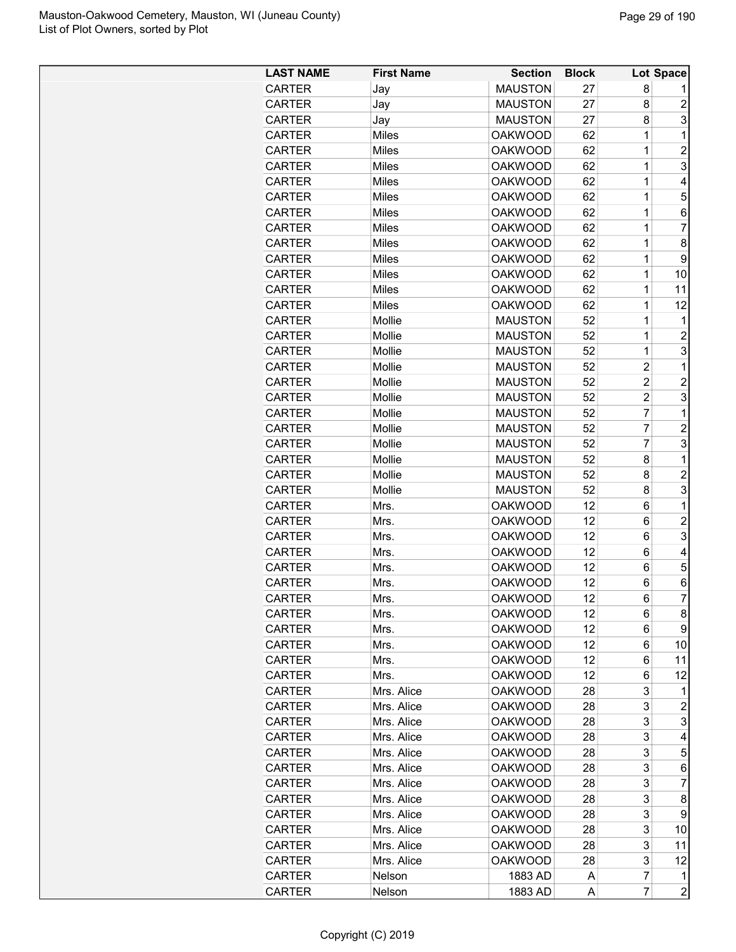| <b>LAST NAME</b> | <b>First Name</b> | <b>Section</b> | <b>Block</b> |                | Lot Space      |
|------------------|-------------------|----------------|--------------|----------------|----------------|
| <b>CARTER</b>    | Jay               | <b>MAUSTON</b> | 27           | 8              |                |
| <b>CARTER</b>    | Jay               | <b>MAUSTON</b> | 27           | 8              | $\overline{c}$ |
| <b>CARTER</b>    | Jay               | <b>MAUSTON</b> | 27           | 8              | 3              |
| <b>CARTER</b>    | Miles             | <b>OAKWOOD</b> | 62           | 1              | $\mathbf 1$    |
| CARTER           | Miles             | <b>OAKWOOD</b> | 62           | $\mathbf 1$    | $\overline{2}$ |
| <b>CARTER</b>    | <b>Miles</b>      | <b>OAKWOOD</b> | 62           | 1              | 3              |
| <b>CARTER</b>    | Miles             | <b>OAKWOOD</b> | 62           | 1              | 4              |
| <b>CARTER</b>    | Miles             | <b>OAKWOOD</b> | 62           | 1              | 5              |
| <b>CARTER</b>    | Miles             | <b>OAKWOOD</b> | 62           | $\mathbf 1$    | 6              |
| <b>CARTER</b>    | Miles             | <b>OAKWOOD</b> | 62           | 1              | 7              |
| <b>CARTER</b>    | Miles             | <b>OAKWOOD</b> | 62           | 1              | 8              |
| <b>CARTER</b>    | Miles             | <b>OAKWOOD</b> | 62           | 1              | 9              |
| <b>CARTER</b>    | Miles             | <b>OAKWOOD</b> | 62           | 1              | 10             |
| <b>CARTER</b>    | Miles             | <b>OAKWOOD</b> | 62           | 1              | 11             |
| <b>CARTER</b>    | Miles             | <b>OAKWOOD</b> | 62           | 1              | 12             |
| <b>CARTER</b>    | Mollie            | <b>MAUSTON</b> | 52           | 1              | 1              |
| <b>CARTER</b>    | Mollie            | <b>MAUSTON</b> | 52           | 1              | $\overline{c}$ |
| <b>CARTER</b>    | Mollie            | <b>MAUSTON</b> | 52           | 1              | 3              |
| <b>CARTER</b>    | Mollie            | <b>MAUSTON</b> | 52           | $\overline{c}$ | $\mathbf 1$    |
| <b>CARTER</b>    | Mollie            | <b>MAUSTON</b> | 52           | $\overline{c}$ | $\overline{2}$ |
| <b>CARTER</b>    | Mollie            | <b>MAUSTON</b> | 52           | $\overline{c}$ | 3              |
| <b>CARTER</b>    | Mollie            | <b>MAUSTON</b> | 52           | $\overline{7}$ | $\mathbf{1}$   |
|                  |                   | <b>MAUSTON</b> | 52           | $\overline{7}$ | $\overline{c}$ |
| <b>CARTER</b>    | Mollie            | <b>MAUSTON</b> | 52           | $\overline{7}$ | 3              |
| <b>CARTER</b>    | Mollie<br>Mollie  | <b>MAUSTON</b> | 52           | 8              | 1              |
| <b>CARTER</b>    |                   |                |              |                | $\overline{2}$ |
| <b>CARTER</b>    | Mollie            | <b>MAUSTON</b> | 52           | 8              |                |
| <b>CARTER</b>    | Mollie            | <b>MAUSTON</b> | 52           | 8              | 3              |
| <b>CARTER</b>    | Mrs.              | <b>OAKWOOD</b> | 12           | 6              | 1              |
| <b>CARTER</b>    | Mrs.              | <b>OAKWOOD</b> | 12           | 6              | $\overline{2}$ |
| <b>CARTER</b>    | Mrs.              | <b>OAKWOOD</b> | 12           | 6              | 3              |
| <b>CARTER</b>    | Mrs.              | <b>OAKWOOD</b> | 12           | 6              | 4              |
| <b>CARTER</b>    | Mrs.              | <b>OAKWOOD</b> | 12           | 6              | 5              |
| CARTER           | Mrs.              | <b>OAKWOOD</b> | 12           | 6              | 6              |
| <b>CARTER</b>    | <b>Mrs</b>        | <b>OAKWOOD</b> | 12           | 6              | $\overline{7}$ |
| <b>CARTER</b>    | Mrs.              | <b>OAKWOOD</b> | 12           | 6              | 8              |
| <b>CARTER</b>    | Mrs.              | <b>OAKWOOD</b> | 12           | 6              | 9              |
| <b>CARTER</b>    | Mrs.              | <b>OAKWOOD</b> | 12           | 6              | 10             |
| CARTER           | Mrs.              | <b>OAKWOOD</b> | 12           | 6              | 11             |
| <b>CARTER</b>    | Mrs.              | <b>OAKWOOD</b> | 12           | 6              | 12             |
| <b>CARTER</b>    | Mrs. Alice        | <b>OAKWOOD</b> | 28           | 3              | 1              |
| <b>CARTER</b>    | Mrs. Alice        | <b>OAKWOOD</b> | 28           | 3              | 2              |
| <b>CARTER</b>    | Mrs. Alice        | <b>OAKWOOD</b> | 28           | 3              | 3              |
| <b>CARTER</b>    | Mrs. Alice        | <b>OAKWOOD</b> | 28           | 3              | 4              |
| <b>CARTER</b>    | Mrs. Alice        | <b>OAKWOOD</b> | 28           | 3              | 5              |
| <b>CARTER</b>    | Mrs. Alice        | <b>OAKWOOD</b> | 28           | 3              | 6              |
| <b>CARTER</b>    | Mrs. Alice        | <b>OAKWOOD</b> | 28           | 3              | 7              |
| <b>CARTER</b>    | Mrs. Alice        | <b>OAKWOOD</b> | 28           | 3              | 8              |
| <b>CARTER</b>    | Mrs. Alice        | <b>OAKWOOD</b> | 28           | 3              | 9              |
| <b>CARTER</b>    | Mrs. Alice        | <b>OAKWOOD</b> | 28           | 3              | 10             |
| <b>CARTER</b>    | Mrs. Alice        | <b>OAKWOOD</b> | 28           | 3              | 11             |
| CARTER           | Mrs. Alice        | <b>OAKWOOD</b> | 28           | 3              | 12             |
| CARTER           | Nelson            | 1883 AD        | Α            | $\overline{7}$ | 1              |
| CARTER           | Nelson            | 1883 AD        | А            | $\overline{7}$ | $\overline{c}$ |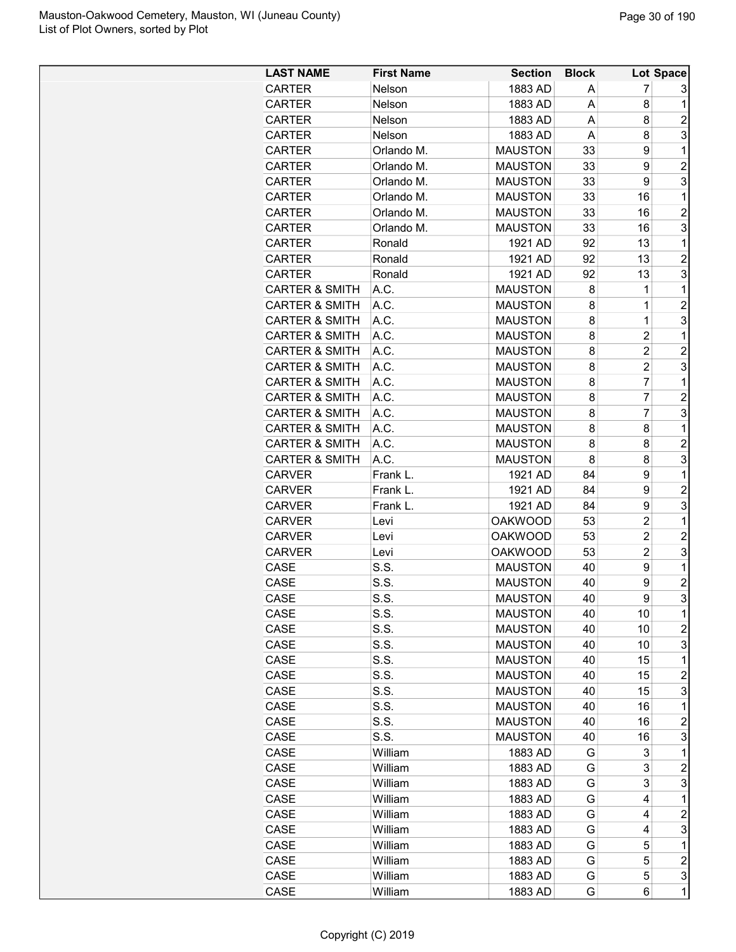| <b>LAST NAME</b>          | <b>First Name</b> | <b>Section</b>                   | <b>Block</b> |                | Lot Space               |
|---------------------------|-------------------|----------------------------------|--------------|----------------|-------------------------|
| <b>CARTER</b>             | <b>Nelson</b>     | 1883 AD                          | A            | 7              | 3                       |
| <b>CARTER</b>             | Nelson            | 1883 AD                          | A            | 8              | 1                       |
| <b>CARTER</b>             | Nelson            | 1883 AD                          | A            | 8              | $\overline{2}$          |
| <b>CARTER</b>             | Nelson            | 1883 AD                          | A            | 8              | 3                       |
| CARTER                    | Orlando M.        | <b>MAUSTON</b>                   | 33           | 9              | 1                       |
| <b>CARTER</b>             | Orlando M.        | <b>MAUSTON</b>                   | 33           | 9              | $\overline{2}$          |
| <b>CARTER</b>             | Orlando M.        | <b>MAUSTON</b>                   | 33           | 9              | 3                       |
| <b>CARTER</b>             | Orlando M.        | <b>MAUSTON</b>                   | 33           | 16             | 1                       |
| <b>CARTER</b>             | Orlando M.        | <b>MAUSTON</b>                   | 33           | 16             | $\overline{c}$          |
| <b>CARTER</b>             | Orlando M.        | <b>MAUSTON</b>                   | 33           | 16             | 3                       |
| <b>CARTER</b>             | Ronald            | 1921 AD                          | 92           | 13             | 1                       |
| <b>CARTER</b>             | Ronald            | 1921 AD                          | 92           | 13             | $\overline{2}$          |
| <b>CARTER</b>             | Ronald            | 1921 AD                          | 92           | 13             | 3                       |
| <b>CARTER &amp; SMITH</b> | A.C.              | <b>MAUSTON</b>                   | 8            | 1              | 1                       |
| <b>CARTER &amp; SMITH</b> | A.C.              | <b>MAUSTON</b>                   | 8            | 1              | $\overline{c}$          |
| <b>CARTER &amp; SMITH</b> | A.C.              | <b>MAUSTON</b>                   | 8            | 1              | 3                       |
| <b>CARTER &amp; SMITH</b> | A.C.              | <b>MAUSTON</b>                   | 8            | $\overline{2}$ | 1                       |
| <b>CARTER &amp; SMITH</b> | A.C.              | <b>MAUSTON</b>                   | 8            | $\overline{2}$ | $\overline{c}$          |
| <b>CARTER &amp; SMITH</b> | A.C.              | <b>MAUSTON</b>                   | 8            | $\overline{c}$ | 3                       |
| <b>CARTER &amp; SMITH</b> | A.C.              | <b>MAUSTON</b>                   | 8            | 7              | 1                       |
| <b>CARTER &amp; SMITH</b> | A.C.              | <b>MAUSTON</b>                   | 8            | 7              | $\overline{2}$          |
| <b>CARTER &amp; SMITH</b> | A.C.              | <b>MAUSTON</b>                   | 8            | 7              | 3                       |
| <b>CARTER &amp; SMITH</b> | A.C.              | <b>MAUSTON</b>                   | 8            | 8              | 1                       |
| <b>CARTER &amp; SMITH</b> | A.C.              | <b>MAUSTON</b>                   | 8            | 8              | $\overline{c}$          |
| <b>CARTER &amp; SMITH</b> | A.C.              | <b>MAUSTON</b>                   | 8            | 8              | 3                       |
| <b>CARVER</b>             | Frank L.          | 1921 AD                          | 84           | 9              | 1                       |
| <b>CARVER</b>             | Frank L.          | 1921 AD                          | 84           | 9              | $\overline{2}$          |
| <b>CARVER</b>             | Frank L.          | 1921 AD                          | 84           | 9              | 3                       |
| <b>CARVER</b>             | Levi              | <b>OAKWOOD</b>                   | 53           | $\overline{c}$ | 1                       |
| <b>CARVER</b>             | Levi              | <b>OAKWOOD</b>                   | 53           | $\overline{2}$ | $\overline{2}$          |
| <b>CARVER</b>             |                   | <b>OAKWOOD</b>                   | 53           | $\overline{2}$ | 3                       |
| CASE                      | Levi<br>S.S.      | <b>MAUSTON</b>                   | 40           | 9              | 1                       |
| CASE                      | S.S.              | <b>MAUSTON</b>                   | 40           | 9              | $\overline{c}$          |
| CASE                      | S.S.              | <b>MAUSTON</b>                   | 40           | 9              | 3                       |
| CASE                      | S.S.              | <b>MAUSTON</b>                   | 40           | 10             | 1                       |
| CASE                      | S.S.              | <b>MAUSTON</b>                   | 40           | 10             | $\overline{c}$          |
| CASE                      | S.S.              | <b>MAUSTON</b>                   | 40           | 10             | 3                       |
| CASE                      | S.S.              | <b>MAUSTON</b>                   | 40           | 15             | 1                       |
| CASE                      | S.S.              | <b>MAUSTON</b>                   | 40           |                | $\overline{c}$          |
|                           | S.S.              |                                  | 40           | 15             | 3                       |
| CASE                      |                   | <b>MAUSTON</b>                   | 40           | 15             | 1                       |
| CASE                      | S.S.<br>S.S.      | <b>MAUSTON</b>                   | 40           | 16             |                         |
| CASE                      | S.S.              | <b>MAUSTON</b><br><b>MAUSTON</b> |              | 16             | $\overline{c}$<br>3     |
| CASE                      | William           |                                  | 40           | 16<br>3        | $\mathbf 1$             |
| CASE                      |                   | 1883 AD                          | G            | 3              | $\overline{\mathbf{c}}$ |
| CASE                      | William           | 1883 AD                          | G            | 3              |                         |
| CASE                      | William           | 1883 AD                          | G            | 4              | 3<br>1                  |
| CASE                      | William           | 1883 AD                          | G            |                |                         |
| CASE                      | William           | 1883 AD                          | G            | 4              | $\overline{c}$          |
| CASE                      | William           | 1883 AD                          | G            | 4              | 3                       |
| CASE                      | William           | 1883 AD                          | G            | 5              | 1                       |
| CASE                      | William           | 1883 AD                          | G            | 5              | $\overline{\mathbf{c}}$ |
| CASE                      | William           | 1883 AD                          | G            | 5              | 3                       |
| CASE                      | William           | 1883 AD                          | G            | 6              | $\mathbf 1$             |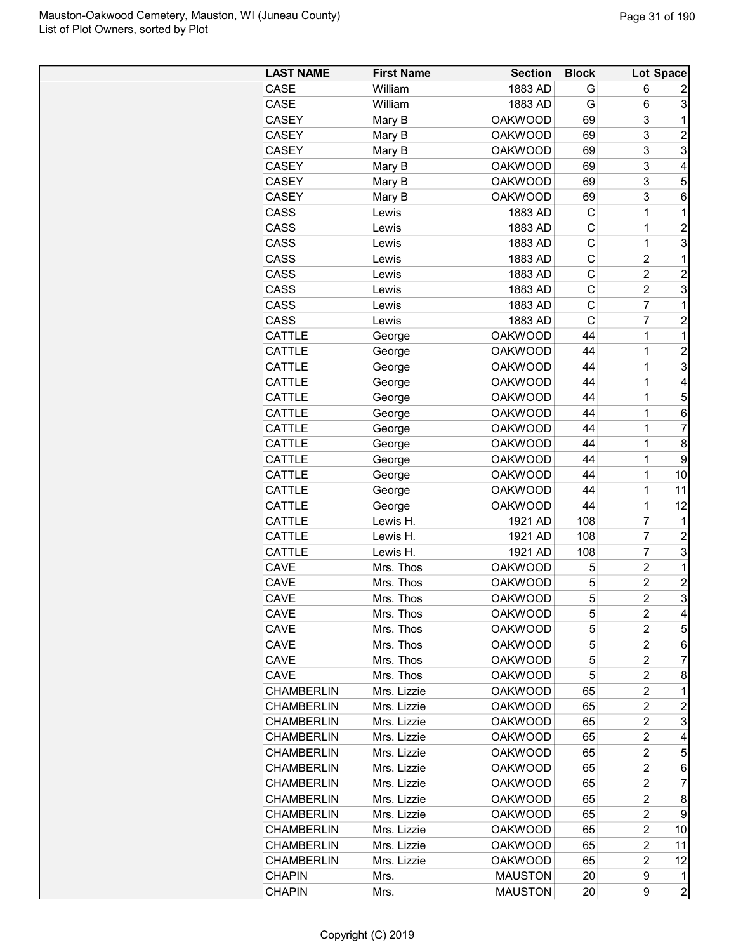| <b>LAST NAME</b>  | <b>First Name</b> | <b>Section</b> | <b>Block</b> |                         | Lot Space      |
|-------------------|-------------------|----------------|--------------|-------------------------|----------------|
| CASE              | William           | 1883 AD        | G            | 6                       | 2              |
| CASE              | William           | 1883 AD        | G            | 6                       | 3              |
| <b>CASEY</b>      | Mary B            | <b>OAKWOOD</b> | 69           | 3                       | 1              |
| CASEY             | Mary B            | <b>OAKWOOD</b> | 69           | 3                       | $\overline{c}$ |
| CASEY             | Mary B            | <b>OAKWOOD</b> | 69           | 3                       | 3              |
| <b>CASEY</b>      | Mary B            | <b>OAKWOOD</b> | 69           | 3                       | 4              |
| <b>CASEY</b>      | Mary B            | <b>OAKWOOD</b> | 69           | 3                       | 5              |
| <b>CASEY</b>      | Mary B            | <b>OAKWOOD</b> | 69           | 3                       | 6              |
| CASS              | Lewis             | 1883 AD        | C            | 1                       | 1              |
| CASS              | Lewis             | 1883 AD        | C            | 1                       | $\overline{c}$ |
| CASS              | Lewis             | 1883 AD        | C            | 1                       | 3              |
| CASS              | Lewis             | 1883 AD        | C            | $\overline{c}$          | $\mathbf 1$    |
| CASS              | Lewis             | 1883 AD        | C            | $\overline{c}$          | $\overline{c}$ |
| CASS              | Lewis             | 1883 AD        | C            | $\overline{c}$          | 3              |
| CASS              | Lewis             | 1883 AD        | C            | 7                       | 1              |
| CASS              | Lewis             | 1883 AD        | C            | $\overline{7}$          | $\overline{2}$ |
| <b>CATTLE</b>     | George            | <b>OAKWOOD</b> | 44           | 1                       | 1              |
| CATTLE            | George            | <b>OAKWOOD</b> | 44           | 1                       | $\overline{c}$ |
| CATTLE            | George            | <b>OAKWOOD</b> | 44           | 1                       | 3              |
| CATTLE            | George            | <b>OAKWOOD</b> | 44           | 1                       | 4              |
| CATTLE            | George            | <b>OAKWOOD</b> | 44           | 1                       | 5              |
| CATTLE            | George            | <b>OAKWOOD</b> | 44           | 1                       | 6              |
|                   |                   |                |              |                         | $\overline{7}$ |
| CATTLE            | George            | <b>OAKWOOD</b> | 44           | 1                       |                |
| CATTLE            | George            | <b>OAKWOOD</b> | 44           | 1                       | 8              |
| CATTLE            | George            | <b>OAKWOOD</b> | 44           | 1                       | 9              |
| <b>CATTLE</b>     | George            | <b>OAKWOOD</b> | 44           | 1                       | 10             |
| CATTLE            | George            | <b>OAKWOOD</b> | 44           | 1                       | 11             |
| CATTLE            | George            | <b>OAKWOOD</b> | 44           | 1                       | 12             |
| CATTLE            | Lewis H.          | 1921 AD        | 108          | 7                       | 1              |
| CATTLE            | Lewis H.          | 1921 AD        | 108          | 7                       | $\overline{2}$ |
| CATTLE            | Lewis H.          | 1921 AD        | 108          | 7                       | 3              |
| CAVE              | Mrs. Thos         | <b>OAKWOOD</b> | 5            | $\overline{c}$          | 1              |
| <b>CAVE</b>       | Mrs. Thos         | <b>OAKWOOD</b> | 5            | $\overline{c}$          | $\overline{c}$ |
| <b>CAVE</b>       | Mrs. Thos         | <b>OAKWOOD</b> | 5            | $\overline{2}$          | 3              |
| CAVE              | Mrs. Thos         | OAKWOOD        | 5            | 2                       | 4              |
| CAVE              | Mrs. Thos         | <b>OAKWOOD</b> | 5            | 2                       | 5              |
| CAVE              | Mrs. Thos         | OAKWOOD        | 5            | 2                       | 6              |
| CAVE              | Mrs. Thos         | <b>OAKWOOD</b> | 5            | $\overline{c}$          | 7              |
| <b>CAVE</b>       | Mrs. Thos         | <b>OAKWOOD</b> | 5            | $\overline{\mathbf{c}}$ | 8              |
| <b>CHAMBERLIN</b> | Mrs. Lizzie       | <b>OAKWOOD</b> | 65           | 2                       | 1              |
| <b>CHAMBERLIN</b> | Mrs. Lizzie       | <b>OAKWOOD</b> | 65           | $\overline{c}$          | $\overline{c}$ |
| <b>CHAMBERLIN</b> | Mrs. Lizzie       | <b>OAKWOOD</b> | 65           | $\overline{\mathbf{c}}$ | 3              |
| <b>CHAMBERLIN</b> | Mrs. Lizzie       | <b>OAKWOOD</b> | 65           | $\overline{c}$          | 4              |
| <b>CHAMBERLIN</b> | Mrs. Lizzie       | <b>OAKWOOD</b> | 65           | $\overline{c}$          | 5              |
| <b>CHAMBERLIN</b> | Mrs. Lizzie       | <b>OAKWOOD</b> | 65           | $\overline{c}$          | 6              |
| <b>CHAMBERLIN</b> | Mrs. Lizzie       | <b>OAKWOOD</b> | 65           | $\overline{2}$          | 7              |
| <b>CHAMBERLIN</b> | Mrs. Lizzie       | <b>OAKWOOD</b> | 65           | $\overline{\mathbf{c}}$ | 8              |
| <b>CHAMBERLIN</b> | Mrs. Lizzie       | <b>OAKWOOD</b> | 65           | 2                       | 9              |
| <b>CHAMBERLIN</b> | Mrs. Lizzie       | <b>OAKWOOD</b> | 65           | $\overline{\mathbf{c}}$ | 10             |
| <b>CHAMBERLIN</b> | Mrs. Lizzie       | <b>OAKWOOD</b> | 65           | 2                       | 11             |
| <b>CHAMBERLIN</b> | Mrs. Lizzie       | <b>OAKWOOD</b> | 65           | $\overline{c}$          | 12             |
| <b>CHAPIN</b>     | Mrs.              | <b>MAUSTON</b> | 20           | 9                       | 1              |
| <b>CHAPIN</b>     | Mrs.              | <b>MAUSTON</b> | 20           | 9                       | $\overline{2}$ |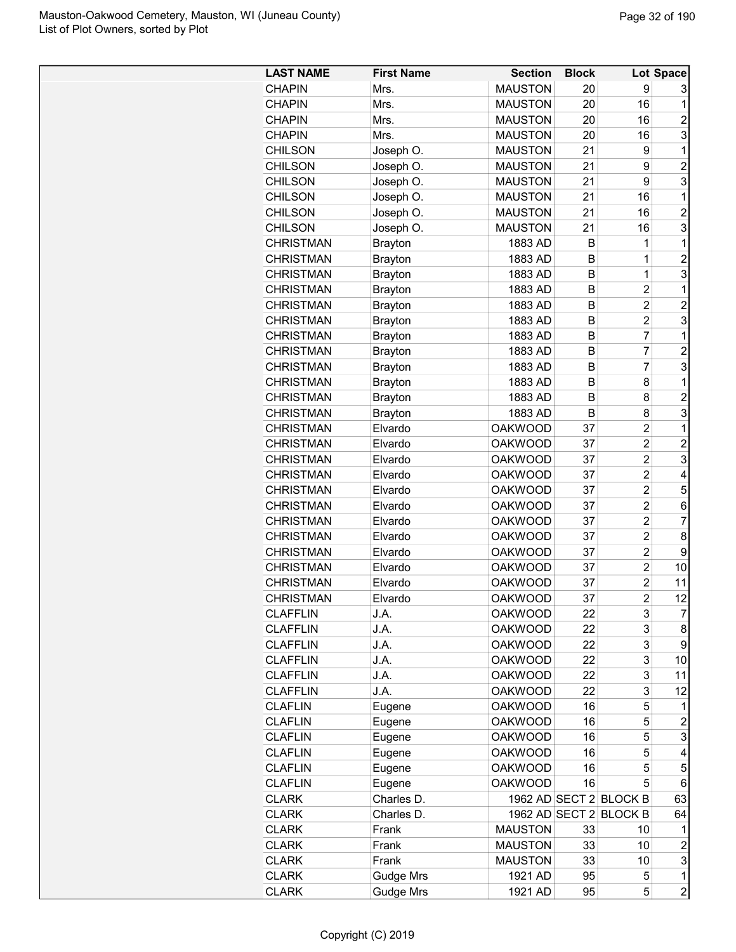| <b>LAST NAME</b> | <b>First Name</b> | <b>Section</b> | <b>Block</b> |                        | Lot Space               |
|------------------|-------------------|----------------|--------------|------------------------|-------------------------|
| <b>CHAPIN</b>    | Mrs.              | <b>MAUSTON</b> | 20           | 9                      | 3                       |
| <b>CHAPIN</b>    | Mrs.              | <b>MAUSTON</b> | 20           | 16                     | 1                       |
| <b>CHAPIN</b>    | Mrs.              | <b>MAUSTON</b> | 20           | 16                     | $\overline{c}$          |
| <b>CHAPIN</b>    | Mrs.              | <b>MAUSTON</b> | 20           | 16                     | 3                       |
| <b>CHILSON</b>   | Joseph O.         | <b>MAUSTON</b> | 21           | 9                      | 1                       |
| <b>CHILSON</b>   | Joseph O.         | <b>MAUSTON</b> | 21           | 9                      | $\overline{c}$          |
| <b>CHILSON</b>   | Joseph O.         | <b>MAUSTON</b> | 21           | 9                      | 3                       |
| <b>CHILSON</b>   | Joseph O.         | <b>MAUSTON</b> | 21           | 16                     | 1                       |
| <b>CHILSON</b>   | Joseph O.         | <b>MAUSTON</b> | 21           | 16                     | $\overline{c}$          |
| <b>CHILSON</b>   | Joseph O.         | <b>MAUSTON</b> | 21           | 16                     | 3                       |
| <b>CHRISTMAN</b> | <b>Brayton</b>    | 1883 AD        | B            | 1                      | 1                       |
| <b>CHRISTMAN</b> | <b>Brayton</b>    | 1883 AD        | B            | 1                      | $\overline{2}$          |
| <b>CHRISTMAN</b> | <b>Brayton</b>    | 1883 AD        | B            | $\mathbf{1}$           | 3                       |
| <b>CHRISTMAN</b> | <b>Brayton</b>    | 1883 AD        | B            | $\overline{c}$         | 1                       |
| <b>CHRISTMAN</b> | Brayton           | 1883 AD        | B            | 2                      | $\overline{c}$          |
| <b>CHRISTMAN</b> | <b>Brayton</b>    | 1883 AD        | В            | $\overline{c}$         | 3                       |
| <b>CHRISTMAN</b> | <b>Brayton</b>    | 1883 AD        | B            | 7                      | 1                       |
| <b>CHRISTMAN</b> | <b>Brayton</b>    | 1883 AD        | B            | $\overline{7}$         | $\overline{c}$          |
| <b>CHRISTMAN</b> | <b>Brayton</b>    | 1883 AD        | B            | 7                      | 3                       |
| <b>CHRISTMAN</b> | <b>Brayton</b>    | 1883 AD        | B            | 8                      | 1                       |
| <b>CHRISTMAN</b> | <b>Brayton</b>    | 1883 AD        | B            | 8                      | $\overline{c}$          |
| <b>CHRISTMAN</b> | <b>Brayton</b>    | 1883 AD        | B            | 8                      | 3                       |
| <b>CHRISTMAN</b> | Elvardo           | <b>OAKWOOD</b> | 37           | $\overline{c}$         | 1                       |
| <b>CHRISTMAN</b> | Elvardo           | <b>OAKWOOD</b> | 37           | $\overline{2}$         | $\overline{c}$          |
| <b>CHRISTMAN</b> | Elvardo           | <b>OAKWOOD</b> | 37           | $\overline{c}$         | 3                       |
| <b>CHRISTMAN</b> | Elvardo           | <b>OAKWOOD</b> | 37           | $\overline{c}$         | 4                       |
| <b>CHRISTMAN</b> | Elvardo           | <b>OAKWOOD</b> | 37           | $\overline{c}$         | 5                       |
| <b>CHRISTMAN</b> | Elvardo           | <b>OAKWOOD</b> | 37           | 2                      | 6                       |
| <b>CHRISTMAN</b> | Elvardo           | <b>OAKWOOD</b> | 37           | 2                      | $\overline{7}$          |
| <b>CHRISTMAN</b> | Elvardo           | <b>OAKWOOD</b> | 37           | $\overline{2}$         | 8                       |
| <b>CHRISTMAN</b> | Elvardo           | <b>OAKWOOD</b> | 37           | $\overline{c}$         | 9                       |
| <b>CHRISTMAN</b> | Elvardo           | <b>OAKWOOD</b> | 37           | $\overline{c}$         | 10                      |
| <b>CHRISTMAN</b> | Elvardo           | <b>OAKWOOD</b> | 37           | $\overline{c}$         | 11                      |
| <b>CHRISTMAN</b> | Elvardo           | <b>OAKWOOD</b> | 37           | $\overline{c}$         | 12                      |
| <b>CLAFFLIN</b>  | J.A.              | <b>OAKWOOD</b> | 22           | 3                      | $\overline{7}$          |
| <b>CLAFFLIN</b>  | J.A.              | <b>OAKWOOD</b> | 22           | 3                      | 8                       |
| <b>CLAFFLIN</b>  | J.A.              | <b>OAKWOOD</b> | 22           | 3                      | 9                       |
| <b>CLAFFLIN</b>  | J.A.              | <b>OAKWOOD</b> | 22           | 3                      | 10                      |
| <b>CLAFFLIN</b>  | J.A.              | <b>OAKWOOD</b> | 22           | 3                      | 11                      |
| <b>CLAFFLIN</b>  | J.A.              | <b>OAKWOOD</b> | 22           | 3                      | 12                      |
| CLAFLIN          | Eugene            | <b>OAKWOOD</b> | 16           | 5                      | 1                       |
| <b>CLAFLIN</b>   | Eugene            | <b>OAKWOOD</b> | 16           | 5                      | $\overline{c}$          |
| <b>CLAFLIN</b>   | Eugene            | <b>OAKWOOD</b> | 16           | 5                      | 3                       |
| <b>CLAFLIN</b>   | Eugene            | <b>OAKWOOD</b> | 16           | 5                      | 4                       |
| <b>CLAFLIN</b>   | Eugene            | <b>OAKWOOD</b> | 16           | 5                      | 5                       |
| <b>CLAFLIN</b>   | Eugene            | <b>OAKWOOD</b> | 16           | 5                      | 6                       |
| CLARK            | Charles D.        |                |              | 1962 AD SECT 2 BLOCK B | 63                      |
| CLARK            | Charles D.        | 1962 AD SECT 2 |              | <b>BLOCK B</b>         | 64                      |
| <b>CLARK</b>     | Frank             | <b>MAUSTON</b> | 33           | 10                     | 1                       |
| <b>CLARK</b>     | Frank             | <b>MAUSTON</b> | 33           | 10                     | $\overline{\mathbf{c}}$ |
| <b>CLARK</b>     | Frank             | <b>MAUSTON</b> | 33           | 10                     | 3                       |
| <b>CLARK</b>     | <b>Gudge Mrs</b>  | 1921 AD        | 95           | 5                      | 1                       |
| <b>CLARK</b>     | <b>Gudge Mrs</b>  | 1921 AD        | 95           | 5                      | $\overline{c}$          |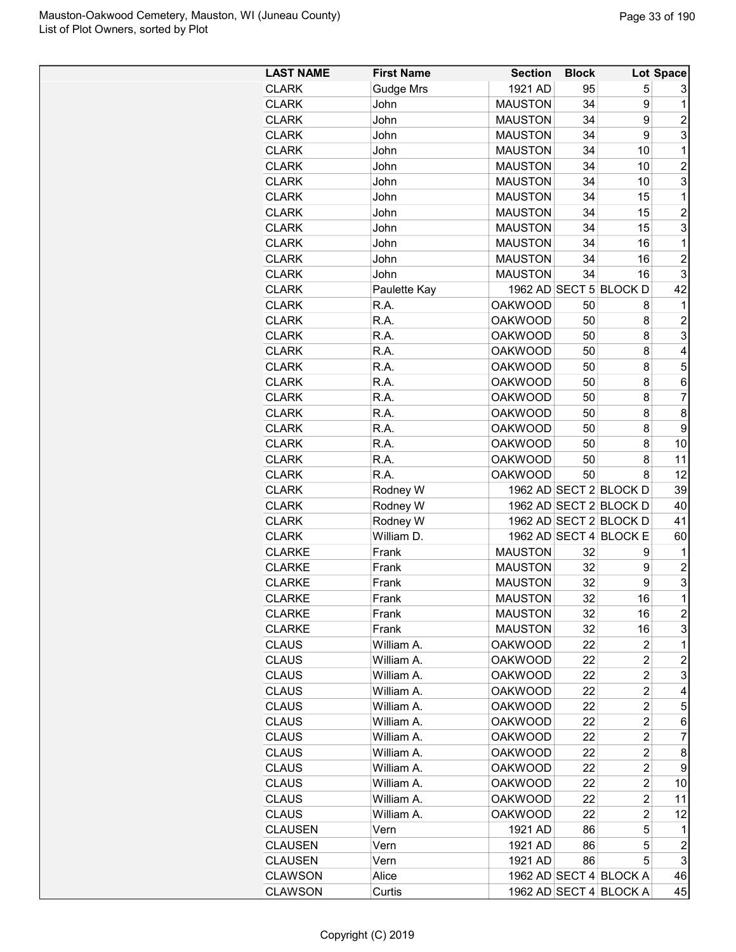| <b>LAST NAME</b> | <b>First Name</b> | <b>Section</b> | <b>Block</b> |                        | <b>Lot Space</b> |
|------------------|-------------------|----------------|--------------|------------------------|------------------|
| CLARK            | Gudge Mrs         | 1921 AD        | 95           | 5                      | 3                |
| <b>CLARK</b>     | John              | <b>MAUSTON</b> | 34           | 9                      | 1                |
| <b>CLARK</b>     | John              | <b>MAUSTON</b> | 34           | 9                      | $\overline{c}$   |
| CLARK            | John              | <b>MAUSTON</b> | 34           | 9                      | 3                |
| <b>CLARK</b>     | John              | <b>MAUSTON</b> | 34           | 10                     | 1                |
| <b>CLARK</b>     | John              | <b>MAUSTON</b> | 34           | 10                     | $\overline{c}$   |
| <b>CLARK</b>     | John              | <b>MAUSTON</b> | 34           | 10                     | 3                |
| <b>CLARK</b>     | John              | <b>MAUSTON</b> | 34           | 15                     | 1                |
| CLARK            | John              | <b>MAUSTON</b> | 34           | 15                     | $\overline{c}$   |
| <b>CLARK</b>     | John              | <b>MAUSTON</b> | 34           | 15                     | 3                |
| CLARK            | John              | <b>MAUSTON</b> | 34           | 16                     | 1                |
| <b>CLARK</b>     | John              | <b>MAUSTON</b> | 34           | 16                     | $\overline{c}$   |
| <b>CLARK</b>     | John              | <b>MAUSTON</b> | 34           | 16                     | 3                |
| <b>CLARK</b>     | Paulette Kay      |                |              | 1962 AD SECT 5 BLOCK D | 42               |
| <b>CLARK</b>     | R.A.              | <b>OAKWOOD</b> | 50           | 8                      | 1                |
| <b>CLARK</b>     | R.A.              | <b>OAKWOOD</b> | 50           | 8                      | $\overline{2}$   |
| <b>CLARK</b>     | R.A.              | <b>OAKWOOD</b> | 50           | 8                      | 3                |
| <b>CLARK</b>     | R.A.              | <b>OAKWOOD</b> | 50           | 8                      | 4                |
| <b>CLARK</b>     | R.A.              | <b>OAKWOOD</b> | 50           | 8                      | 5                |
| <b>CLARK</b>     | R.A.              | <b>OAKWOOD</b> | 50           | 8                      | 6                |
| <b>CLARK</b>     | R.A.              | <b>OAKWOOD</b> | 50           | 8                      | $\overline{7}$   |
|                  |                   |                |              |                        |                  |
| <b>CLARK</b>     | R.A.              | <b>OAKWOOD</b> | 50           | 8                      | 8                |
| <b>CLARK</b>     | R.A.              | <b>OAKWOOD</b> | 50           | 8                      | 9                |
| <b>CLARK</b>     | R.A.              | <b>OAKWOOD</b> | 50           | 8                      | 10               |
| CLARK            | R.A.              | <b>OAKWOOD</b> | 50           | 8                      | 11               |
| <b>CLARK</b>     | R.A.              | <b>OAKWOOD</b> | 50           | 8                      | 12               |
| <b>CLARK</b>     | Rodney W          |                |              | 1962 AD SECT 2 BLOCK D | 39               |
| <b>CLARK</b>     | Rodney W          |                |              | 1962 AD SECT 2 BLOCK D | 40               |
| CLARK            | Rodney W          |                |              | 1962 AD SECT 2 BLOCK D | 41               |
| <b>CLARK</b>     | William D.        |                |              | 1962 AD SECT 4 BLOCK E | 60               |
| <b>CLARKE</b>    | Frank             | <b>MAUSTON</b> | 32           | 9                      | 1                |
| <b>CLARKE</b>    | Frank             | <b>MAUSTON</b> | 32           | 9                      | $\overline{2}$   |
| <b>CLARKE</b>    | Frank             | <b>MAUSTON</b> | 32           | 9                      | 3                |
| <b>CLARKE</b>    | Frank             | <b>MAUSTON</b> | 32           | 16                     | $\overline{1}$   |
| <b>CLARKE</b>    | Frank             | <b>MAUSTON</b> | 32           | 16                     | $\overline{c}$   |
| <b>CLARKE</b>    | Frank             | <b>MAUSTON</b> | 32           | 16                     | 3                |
| <b>CLAUS</b>     | William A.        | <b>OAKWOOD</b> | 22           | 2                      | 1                |
| <b>CLAUS</b>     | William A.        | <b>OAKWOOD</b> | 22           | 2                      | $\overline{c}$   |
| <b>CLAUS</b>     | William A.        | <b>OAKWOOD</b> | 22           | 2                      | 3                |
| CLAUS            | William A.        | <b>OAKWOOD</b> | 22           | 2                      | 4                |
| <b>CLAUS</b>     | William A.        | <b>OAKWOOD</b> | 22           | $\overline{c}$         | 5                |
| CLAUS            | William A.        | <b>OAKWOOD</b> | 22           | 2                      | 6                |
| <b>CLAUS</b>     | William A.        | <b>OAKWOOD</b> | 22           | $\overline{2}$         | $\overline{7}$   |
| <b>CLAUS</b>     | William A.        | <b>OAKWOOD</b> | 22           | 2                      | 8                |
| <b>CLAUS</b>     | William A.        | <b>OAKWOOD</b> | 22           | $\overline{c}$         | 9                |
| <b>CLAUS</b>     | William A.        | <b>OAKWOOD</b> | 22           | 2                      | 10               |
| CLAUS            | William A.        | <b>OAKWOOD</b> | 22           | 2                      | 11               |
| CLAUS            | William A.        | <b>OAKWOOD</b> | 22           | 2                      | 12               |
| <b>CLAUSEN</b>   | Vern              | 1921 AD        | 86           | 5                      | 1                |
| <b>CLAUSEN</b>   | Vern              | 1921 AD        | 86           | 5                      | $\overline{c}$   |
| <b>CLAUSEN</b>   | Vern              | 1921 AD        | 86           | 5                      | 3                |
| <b>CLAWSON</b>   | Alice             |                |              | 1962 AD SECT 4 BLOCK A | 46               |
| <b>CLAWSON</b>   | Curtis            |                |              | 1962 AD SECT 4 BLOCK A | 45               |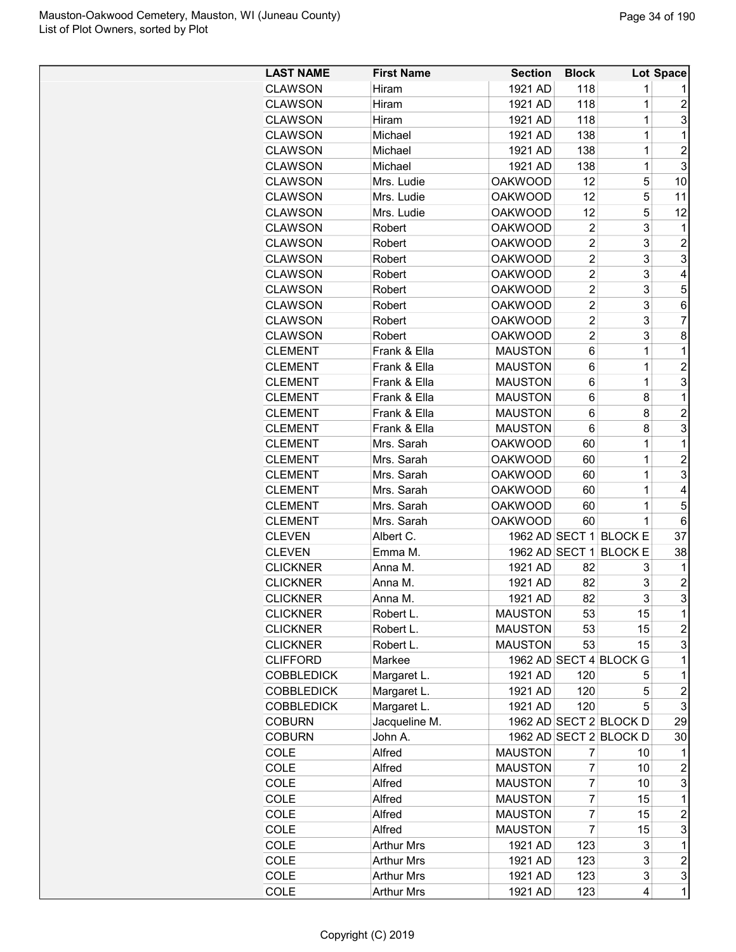| <b>LAST NAME</b>  | <b>First Name</b> | <b>Section</b> | <b>Block</b>   |                        | Lot Space               |
|-------------------|-------------------|----------------|----------------|------------------------|-------------------------|
| <b>CLAWSON</b>    | Hiram             | 1921 AD        | 118            | 1                      |                         |
| <b>CLAWSON</b>    | Hiram             | 1921 AD        | 118            | 1                      | 2                       |
| <b>CLAWSON</b>    | Hiram             | 1921 AD        | 118            | 1                      | 3                       |
| <b>CLAWSON</b>    | Michael           | 1921 AD        | 138            | 1                      | 1                       |
| <b>CLAWSON</b>    | Michael           | 1921 AD        | 138            | 1                      | $\overline{2}$          |
| <b>CLAWSON</b>    | Michael           | 1921 AD        | 138            | 1                      | 3                       |
| <b>CLAWSON</b>    | Mrs. Ludie        | <b>OAKWOOD</b> | 12             | 5                      | 10                      |
| <b>CLAWSON</b>    | Mrs. Ludie        | <b>OAKWOOD</b> | 12             | 5                      | 11                      |
| <b>CLAWSON</b>    | Mrs. Ludie        | <b>OAKWOOD</b> | 12             | 5                      | 12                      |
| <b>CLAWSON</b>    | Robert            | <b>OAKWOOD</b> | 2              | 3                      | 1                       |
| <b>CLAWSON</b>    | Robert            | <b>OAKWOOD</b> | $\overline{2}$ | 3                      | $\overline{c}$          |
| <b>CLAWSON</b>    | Robert            | <b>OAKWOOD</b> | $\overline{2}$ | 3                      | 3                       |
| <b>CLAWSON</b>    | Robert            | <b>OAKWOOD</b> | $\overline{2}$ | 3                      | 4                       |
|                   |                   |                | $\overline{2}$ | 3                      | 5                       |
| <b>CLAWSON</b>    | Robert            | <b>OAKWOOD</b> | $\overline{2}$ | 3                      |                         |
| <b>CLAWSON</b>    | Robert            | <b>OAKWOOD</b> |                |                        | 6<br>$\overline{7}$     |
| <b>CLAWSON</b>    | Robert            | <b>OAKWOOD</b> | $\overline{2}$ | 3                      |                         |
| <b>CLAWSON</b>    | Robert            | <b>OAKWOOD</b> | $\overline{2}$ | 3                      | 8                       |
| <b>CLEMENT</b>    | Frank & Ella      | <b>MAUSTON</b> | 6              | 1                      | 1                       |
| <b>CLEMENT</b>    | Frank & Ella      | <b>MAUSTON</b> | 6              | 1                      | $\overline{2}$          |
| <b>CLEMENT</b>    | Frank & Ella      | <b>MAUSTON</b> | 6              | 1                      | 3                       |
| <b>CLEMENT</b>    | Frank & Ella      | <b>MAUSTON</b> | 6              | 8                      | 1                       |
| <b>CLEMENT</b>    | Frank & Ella      | <b>MAUSTON</b> | 6              | 8                      | $\overline{2}$          |
| <b>CLEMENT</b>    | Frank & Ella      | <b>MAUSTON</b> | 6              | 8                      | 3                       |
| <b>CLEMENT</b>    | Mrs. Sarah        | <b>OAKWOOD</b> | 60             | 1                      | 1                       |
| <b>CLEMENT</b>    | Mrs. Sarah        | <b>OAKWOOD</b> | 60             | 1                      | $\overline{c}$          |
| <b>CLEMENT</b>    | Mrs. Sarah        | <b>OAKWOOD</b> | 60             | 1                      | 3                       |
| <b>CLEMENT</b>    | Mrs. Sarah        | <b>OAKWOOD</b> | 60             | $\mathbf 1$            | 4                       |
| <b>CLEMENT</b>    | Mrs. Sarah        | <b>OAKWOOD</b> | 60             | $\mathbf 1$            | 5                       |
| <b>CLEMENT</b>    | Mrs. Sarah        | <b>OAKWOOD</b> | 60             | $\mathbf 1$            | 6                       |
| <b>CLEVEN</b>     | Albert C.         |                |                | 1962 AD SECT 1 BLOCK E | 37                      |
| <b>CLEVEN</b>     | Emma M.           | 1962 AD SECT 1 |                | <b>BLOCK E</b>         | 38                      |
| <b>CLICKNER</b>   | Anna M.           | 1921 AD        | 82             | 3                      | 1                       |
| <b>CLICKNER</b>   | Anna M.           | 1921 AD        | 82             | 3                      | $\overline{c}$          |
| <b>CLICKNER</b>   | Anna M.           | 1921 AD        | 82             | 3                      | R                       |
| <b>CLICKNER</b>   | Robert L.         | <b>MAUSTON</b> | 53             | 15                     | 1                       |
| <b>CLICKNER</b>   | Robert L.         | <b>MAUSTON</b> | 53             | 15                     | $\overline{c}$          |
| <b>CLICKNER</b>   | Robert L.         | <b>MAUSTON</b> | 53             | 15                     | 3                       |
| <b>CLIFFORD</b>   | Markee            |                |                | 1962 AD SECT 4 BLOCK G | 1                       |
| <b>COBBLEDICK</b> | Margaret L.       | 1921 AD        | 120            | 5                      | 1                       |
| <b>COBBLEDICK</b> | Margaret L.       | 1921 AD        | 120            | 5                      | $\boldsymbol{2}$        |
| <b>COBBLEDICK</b> | Margaret L.       | 1921 AD        | 120            | 5                      | 3                       |
| <b>COBURN</b>     | Jacqueline M.     |                |                | 1962 AD SECT 2 BLOCK D | 29                      |
| <b>COBURN</b>     | John A.           |                |                | 1962 AD SECT 2 BLOCK D | 30                      |
| COLE              | Alfred            | <b>MAUSTON</b> | 7              | 10                     | 1                       |
| COLE              | Alfred            | <b>MAUSTON</b> | 7              | 10                     | $\overline{c}$          |
| COLE              | Alfred            | <b>MAUSTON</b> | 7              | 10                     | 3                       |
| COLE              | Alfred            | <b>MAUSTON</b> | 7              | 15                     | 1                       |
| COLE              | Alfred            | <b>MAUSTON</b> | $\overline{7}$ | 15                     | $\overline{c}$          |
| COLE              | Alfred            | <b>MAUSTON</b> | $\overline{7}$ | 15                     | 3                       |
| <b>COLE</b>       | <b>Arthur Mrs</b> | 1921 AD        | 123            | 3                      | 1                       |
| COLE              | <b>Arthur Mrs</b> | 1921 AD        | 123            | 3                      | $\overline{\mathbf{c}}$ |
| COLE              | <b>Arthur Mrs</b> | 1921 AD        | 123            | 3                      | 3                       |
| COLE              | <b>Arthur Mrs</b> | 1921 AD        | 123            | 4                      | $\mathbf{1}$            |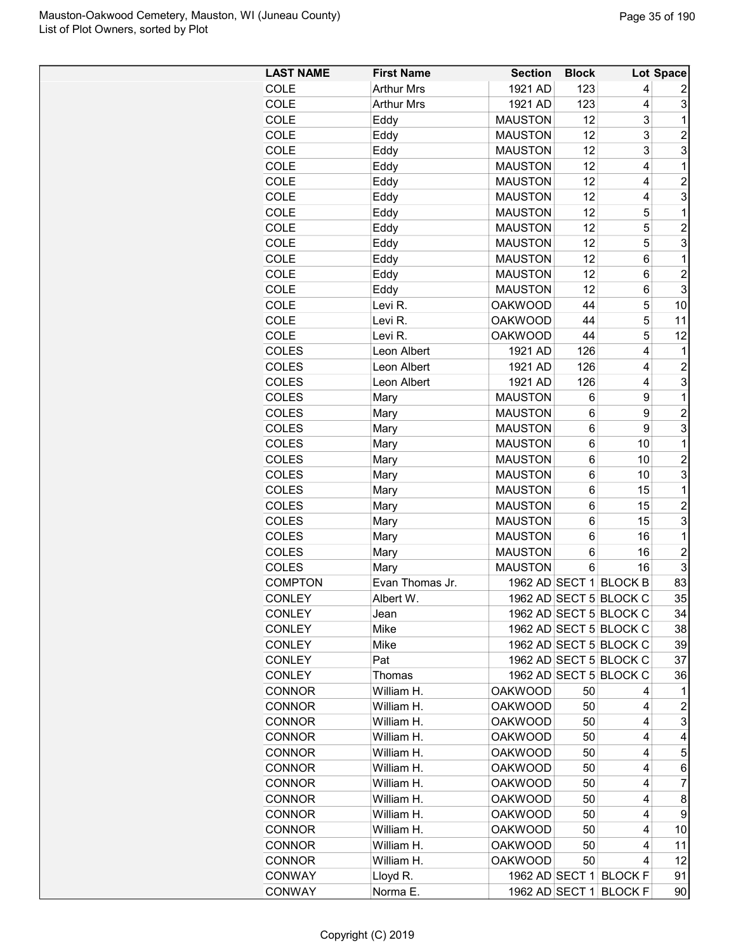| <b>LAST NAME</b> | <b>First Name</b> | <b>Section</b> | <b>Block</b> |                         | Lot Space               |
|------------------|-------------------|----------------|--------------|-------------------------|-------------------------|
| COLE             | <b>Arthur Mrs</b> | 1921 AD        | 123          | 4                       | 2                       |
| COLE             | <b>Arthur Mrs</b> | 1921 AD        | 123          | $\overline{4}$          | 3                       |
| <b>COLE</b>      | Eddy              | <b>MAUSTON</b> | 12           | 3                       | $\mathbf{1}$            |
| COLE             | Eddy              | <b>MAUSTON</b> | 12           | 3                       | $\overline{\mathbf{c}}$ |
| COLE             | Eddy              | <b>MAUSTON</b> | 12           | 3                       | $\overline{3}$          |
| COLE             | Eddy              | <b>MAUSTON</b> | 12           | $\overline{4}$          | $\overline{1}$          |
| COLE             | Eddy              | <b>MAUSTON</b> | 12           | 4                       | $\overline{c}$          |
| COLE             | Eddy              | <b>MAUSTON</b> | 12           | 4                       | 3                       |
| COLE             | Eddy              | <b>MAUSTON</b> | 12           | 5                       | $\mathbf 1$             |
| COLE             | Eddy              | <b>MAUSTON</b> | 12           | 5                       | $\overline{c}$          |
| COLE             | Eddy              | <b>MAUSTON</b> | 12           | 5                       | 3                       |
| COLE             | Eddy              | <b>MAUSTON</b> | 12           | 6                       | $\mathbf{1}$            |
| COLE             | Eddy              | <b>MAUSTON</b> | 12           | 6                       | $\overline{\mathbf{c}}$ |
| COLE             | Eddy              | <b>MAUSTON</b> | 12           | 6                       | $\overline{3}$          |
| COLE             | Levi R.           | <b>OAKWOOD</b> | 44           | 5                       | 10                      |
| COLE             | Levi R.           | <b>OAKWOOD</b> | 44           | 5                       | 11                      |
| COLE             | Levi R.           | <b>OAKWOOD</b> | 44           | 5                       | 12                      |
| <b>COLES</b>     | Leon Albert       | 1921 AD        | 126          | $\overline{\mathbf{4}}$ | 1                       |
| <b>COLES</b>     | Leon Albert       | 1921 AD        | 126          | 4                       | 2                       |
| <b>COLES</b>     | Leon Albert       | 1921 AD        | 126          | 4                       | $\overline{3}$          |
| <b>COLES</b>     | Mary              | <b>MAUSTON</b> | 6            | 9                       | $\mathbf{1}$            |
| COLES            | Mary              | <b>MAUSTON</b> | 6            | 9                       | $\overline{c}$          |
| <b>COLES</b>     | Mary              | <b>MAUSTON</b> | 6            | 9                       | 3                       |
| <b>COLES</b>     | Mary              | <b>MAUSTON</b> | 6            | 10                      | $\mathbf{1}$            |
| <b>COLES</b>     | Mary              | <b>MAUSTON</b> | 6            | 10                      | $\overline{c}$          |
| <b>COLES</b>     | Mary              | <b>MAUSTON</b> | 6            | 10                      | $\overline{3}$          |
| <b>COLES</b>     | Mary              | <b>MAUSTON</b> | 6            | 15                      | $\mathbf{1}$            |
| <b>COLES</b>     | Mary              | <b>MAUSTON</b> | 6            | 15                      | $\overline{c}$          |
| <b>COLES</b>     | Mary              | <b>MAUSTON</b> | 6            | 15                      | $\overline{3}$          |
| <b>COLES</b>     | Mary              | <b>MAUSTON</b> | 6            | 16                      | $\mathbf{1}$            |
| COLES            |                   | <b>MAUSTON</b> | 6            | 16                      | $\overline{2}$          |
| <b>COLES</b>     | Mary              | <b>MAUSTON</b> | 6            | 16                      | 3                       |
|                  | Mary              |                |              | 1962 AD SECT 1 BLOCK B  | 83                      |
| <b>COMPTON</b>   | Evan Thomas Jr.   |                |              |                         |                         |
| <b>CONLEY</b>    | Albert W.         |                |              | 1962 AD SECT 5 BLOCK C  | 35                      |
| <b>CONLEY</b>    | Jean              |                |              | 1962 AD SECT 5 BLOCK C  | 34                      |
| <b>CONLEY</b>    | Mike              |                |              | 1962 AD SECT 5 BLOCK C  | 38                      |
| <b>CONLEY</b>    | Mike              |                |              | 1962 AD SECT 5 BLOCK C  | 39                      |
| <b>CONLEY</b>    | Pat               |                |              | 1962 AD SECT 5 BLOCK C  | 37                      |
| <b>CONLEY</b>    | Thomas            |                |              | 1962 AD SECT 5 BLOCK C  | 36                      |
| <b>CONNOR</b>    | William H.        | <b>OAKWOOD</b> | 50           | 4                       | 1.                      |
| <b>CONNOR</b>    | William H.        | <b>OAKWOOD</b> | 50           | 4                       | $\overline{a}$          |
| <b>CONNOR</b>    | William H.        | <b>OAKWOOD</b> | 50           | 4                       | $\overline{3}$          |
| <b>CONNOR</b>    | William H.        | <b>OAKWOOD</b> | 50           | 4                       | $\overline{4}$          |
| <b>CONNOR</b>    | William H.        | <b>OAKWOOD</b> | 50           | 4                       | 5                       |
| <b>CONNOR</b>    | William H.        | <b>OAKWOOD</b> | 50           | 4                       | $6\vert$                |
| <b>CONNOR</b>    | William H.        | <b>OAKWOOD</b> | 50           | 4                       | $\overline{7}$          |
| <b>CONNOR</b>    | William H.        | <b>OAKWOOD</b> | 50           | 4                       | 8                       |
| <b>CONNOR</b>    | William H.        | <b>OAKWOOD</b> | 50           | 4                       | 9                       |
| <b>CONNOR</b>    | William H.        | <b>OAKWOOD</b> | 50           | 4                       | 10 <sub>1</sub>         |
| <b>CONNOR</b>    | William H.        | <b>OAKWOOD</b> | 50           | 4                       | 11                      |
| <b>CONNOR</b>    | William H.        | <b>OAKWOOD</b> | 50           | 4                       | 12                      |
| <b>CONWAY</b>    | Lloyd R.          |                |              | 1962 AD SECT 1 BLOCK F  | 91                      |
| CONWAY           | Norma E.          |                |              | 1962 AD SECT 1 BLOCK F  | 90                      |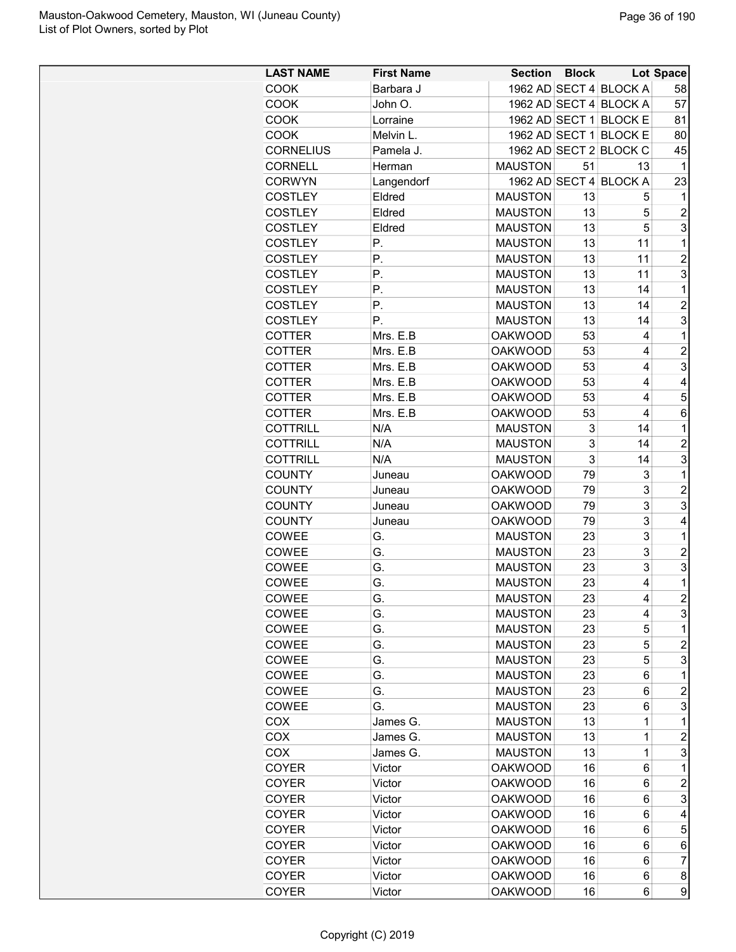| <b>LAST NAME</b> | <b>First Name</b> | Section Block  |    |                        | Lot Space      |
|------------------|-------------------|----------------|----|------------------------|----------------|
| <b>COOK</b>      | Barbara J         |                |    | 1962 AD SECT 4 BLOCK A | 58             |
| <b>COOK</b>      | John O.           |                |    | 1962 AD SECT 4 BLOCK A | 57             |
| <b>COOK</b>      | Lorraine          |                |    | 1962 AD SECT 1 BLOCK E | 81             |
| <b>COOK</b>      | Melvin L.         |                |    | 1962 AD SECT 1 BLOCK E | 80             |
| <b>CORNELIUS</b> | Pamela J.         |                |    | 1962 AD SECT 2 BLOCK C | 45             |
| <b>CORNELL</b>   | Herman            | <b>MAUSTON</b> | 51 | 13                     | 1              |
| <b>CORWYN</b>    | Langendorf        |                |    | 1962 AD SECT 4 BLOCK A | 23             |
| <b>COSTLEY</b>   | Eldred            | <b>MAUSTON</b> | 13 | 5                      | 1              |
| <b>COSTLEY</b>   | Eldred            | <b>MAUSTON</b> | 13 | 5                      | $\overline{c}$ |
| <b>COSTLEY</b>   | Eldred            | <b>MAUSTON</b> | 13 | 5                      | 3              |
| <b>COSTLEY</b>   | Р.                | <b>MAUSTON</b> | 13 | 11                     | 1              |
| <b>COSTLEY</b>   | Р.                | <b>MAUSTON</b> | 13 | 11                     | $\overline{c}$ |
| <b>COSTLEY</b>   | Р.                | <b>MAUSTON</b> | 13 | 11                     | 3              |
| <b>COSTLEY</b>   | Р.                | <b>MAUSTON</b> | 13 | 14                     | 1              |
| <b>COSTLEY</b>   | Р.                | <b>MAUSTON</b> | 13 | 14                     | $\overline{c}$ |
| <b>COSTLEY</b>   | Р.                | <b>MAUSTON</b> | 13 | 14                     | 3              |
| <b>COTTER</b>    | Mrs. E.B          | <b>OAKWOOD</b> | 53 | 4                      | 1              |
| <b>COTTER</b>    |                   | <b>OAKWOOD</b> | 53 | 4                      | $\overline{c}$ |
|                  | Mrs. E.B          |                |    |                        |                |
| <b>COTTER</b>    | Mrs. E.B          | <b>OAKWOOD</b> | 53 | 4                      | 3              |
| <b>COTTER</b>    | Mrs. E.B          | <b>OAKWOOD</b> | 53 | 4                      | 4              |
| <b>COTTER</b>    | Mrs. E.B          | <b>OAKWOOD</b> | 53 | 4                      | 5              |
| <b>COTTER</b>    | Mrs. E.B          | <b>OAKWOOD</b> | 53 | 4                      | 6              |
| <b>COTTRILL</b>  | N/A               | <b>MAUSTON</b> | 3  | 14                     | 1              |
| <b>COTTRILL</b>  | N/A               | <b>MAUSTON</b> | 3  | 14                     | $\overline{c}$ |
| <b>COTTRILL</b>  | N/A               | <b>MAUSTON</b> | 3  | 14                     | 3              |
| <b>COUNTY</b>    | Juneau            | <b>OAKWOOD</b> | 79 | 3                      | 1              |
| <b>COUNTY</b>    | Juneau            | <b>OAKWOOD</b> | 79 | 3                      | $\overline{c}$ |
| <b>COUNTY</b>    | Juneau            | <b>OAKWOOD</b> | 79 | 3                      | 3              |
| <b>COUNTY</b>    | Juneau            | <b>OAKWOOD</b> | 79 | 3                      | 4              |
| COWEE            | G.                | <b>MAUSTON</b> | 23 | 3                      | 1              |
| COWEE            | G.                | <b>MAUSTON</b> | 23 | 3                      | $\overline{2}$ |
| COWEE            | G.                | <b>MAUSTON</b> | 23 | 3                      | 3              |
| COWEE            | G.                | <b>MAUSTON</b> | 23 | 4                      | 1              |
| COWEE            | G.                | <b>MAUSTON</b> | 23 | 4                      | $\overline{2}$ |
| COWEE            | G.                | <b>MAUSTON</b> | 23 | 4                      | 3              |
| COWEE            | G.                | <b>MAUSTON</b> | 23 | 5                      | 1              |
| COWEE            | G.                | <b>MAUSTON</b> | 23 | 5                      | 2              |
| COWEE            | G.                | <b>MAUSTON</b> | 23 | 5                      | 3              |
| COWEE            | G.                | <b>MAUSTON</b> | 23 | 6                      | 1              |
| COWEE            | G.                | <b>MAUSTON</b> | 23 | 6                      | $\overline{c}$ |
| COWEE            | G.                | <b>MAUSTON</b> | 23 | 6                      | 3              |
| COX              | James G.          | <b>MAUSTON</b> | 13 | 1                      | 1              |
| COX              | James G.          | <b>MAUSTON</b> | 13 | 1                      | $\overline{c}$ |
| COX              | James G.          | <b>MAUSTON</b> | 13 | $\mathbf 1$            | 3              |
| <b>COYER</b>     | Victor            | OAKWOOD        | 16 | 6                      | 1              |
| <b>COYER</b>     | Victor            | <b>OAKWOOD</b> | 16 | 6                      | $\overline{2}$ |
| <b>COYER</b>     | Victor            | <b>OAKWOOD</b> | 16 | 6                      | 3              |
| COYER            | Victor            | <b>OAKWOOD</b> | 16 | 6                      | 4              |
| <b>COYER</b>     | Victor            | <b>OAKWOOD</b> | 16 | 6                      | 5              |
| <b>COYER</b>     | Victor            | <b>OAKWOOD</b> | 16 | 6                      | 6              |
| <b>COYER</b>     | Victor            | <b>OAKWOOD</b> | 16 | 6                      | $\overline{7}$ |
| <b>COYER</b>     | Victor            | <b>OAKWOOD</b> | 16 | 6                      | 8              |
| COYER            | Victor            | <b>OAKWOOD</b> | 16 | 6                      | 9              |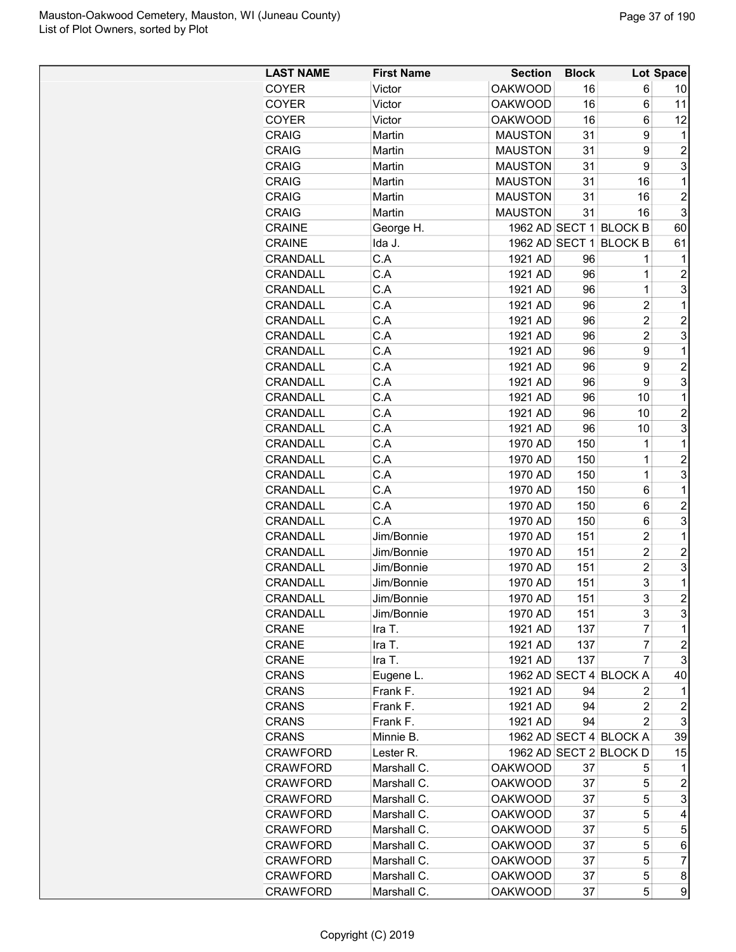| <b>LAST NAME</b> | <b>First Name</b> | <b>Section</b> | <b>Block</b> |                        | Lot Space      |
|------------------|-------------------|----------------|--------------|------------------------|----------------|
| <b>COYER</b>     | Victor            | <b>OAKWOOD</b> | 16           | 6                      | 10             |
| <b>COYER</b>     | Victor            | <b>OAKWOOD</b> | 16           | 6                      | 11             |
| <b>COYER</b>     | Victor            | <b>OAKWOOD</b> | 16           | 6                      | 12             |
| <b>CRAIG</b>     | Martin            | <b>MAUSTON</b> | 31           | 9                      | 1              |
| <b>CRAIG</b>     | Martin            | <b>MAUSTON</b> | 31           | 9                      | $\overline{2}$ |
| <b>CRAIG</b>     | Martin            | <b>MAUSTON</b> | 31           | 9                      | 3              |
| <b>CRAIG</b>     | Martin            | <b>MAUSTON</b> | 31           | 16                     | $\mathbf 1$    |
| <b>CRAIG</b>     | Martin            | <b>MAUSTON</b> | 31           | 16                     | $\overline{2}$ |
| <b>CRAIG</b>     | Martin            | <b>MAUSTON</b> | 31           | 16                     | 3              |
| <b>CRAINE</b>    | George H.         |                |              | 1962 AD SECT 1 BLOCK B | 60             |
| <b>CRAINE</b>    | Ida J.            |                |              | 1962 AD SECT 1 BLOCK B | 61             |
| CRANDALL         | C.A               | 1921 AD        | 96           | 1                      | 1              |
| CRANDALL         | C.A               | 1921 AD        | 96           | 1                      | $\overline{2}$ |
| CRANDALL         | C.A               | 1921 AD        | 96           | 1                      | 3              |
| CRANDALL         | C.A               | 1921 AD        | 96           | $\overline{2}$         | 1              |
| <b>CRANDALL</b>  | C.A               | 1921 AD        | 96           | $\overline{2}$         | $\overline{2}$ |
| <b>CRANDALL</b>  | C.A               | 1921 AD        | 96           | $\overline{2}$         | 3              |
| <b>CRANDALL</b>  | C.A               | 1921 AD        | 96           | 9                      | 1              |
| CRANDALL         | C.A               | 1921 AD        | 96           | 9                      | $\overline{2}$ |
| CRANDALL         | C.A               | 1921 AD        | 96           | 9                      | 3              |
| <b>CRANDALL</b>  | C.A               | 1921 AD        | 96           | 10                     | 1              |
| <b>CRANDALL</b>  | C.A               | 1921 AD        | 96           | 10                     | $\overline{c}$ |
| CRANDALL         | C.A               | 1921 AD        | 96           |                        | 3              |
| CRANDALL         | C.A               |                |              | 10<br>1                |                |
|                  |                   | 1970 AD        | 150          |                        | 1              |
| <b>CRANDALL</b>  | C.A               | 1970 AD        | 150          | 1                      | $\overline{2}$ |
| <b>CRANDALL</b>  | C.A               | 1970 AD        | 150          | 1                      | 3              |
| CRANDALL         | C.A               | 1970 AD        | 150          | 6                      | 1              |
| CRANDALL         | C.A               | 1970 AD        | 150          | 6                      | $\overline{c}$ |
| CRANDALL         | C.A               | 1970 AD        | 150          | 6                      | 3              |
| <b>CRANDALL</b>  | Jim/Bonnie        | 1970 AD        | 151          | $\overline{2}$         | 1              |
| CRANDALL         | Jim/Bonnie        | 1970 AD        | 151          | $\overline{2}$         | $\overline{2}$ |
| CRANDALL         | Jim/Bonnie        | 1970 AD        | 151          | $\overline{2}$         | 3              |
| CRANDALL         | Jim/Bonnie        | 1970 AD        | 151          | 3                      | 1              |
| CRANDALL         | Jim/Bonnie        | 1970 AD        | 151          | 3                      | $\overline{2}$ |
| <b>CRANDALL</b>  | Jim/Bonnie        | 1970 AD        | 151          | 3                      | 3              |
| <b>CRANE</b>     | Ira T.            | 1921 AD        | 137          | 7                      | 1              |
| <b>CRANE</b>     | Ira T.            | 1921 AD        | 137          | 7                      | $\overline{c}$ |
| <b>CRANE</b>     | Ira T.            | 1921 AD        | 137          | 7                      | 3              |
| <b>CRANS</b>     | Eugene L.         |                |              | 1962 AD SECT 4 BLOCK A | 40             |
| <b>CRANS</b>     | Frank F.          | 1921 AD        | 94           | 2                      | 1              |
| <b>CRANS</b>     | Frank F.          | 1921 AD        | 94           | 2                      | $\overline{c}$ |
| <b>CRANS</b>     | Frank F.          | 1921 AD        | 94           | $\overline{2}$         | 3              |
| <b>CRANS</b>     | Minnie B.         |                |              | 1962 AD SECT 4 BLOCK A | 39             |
| <b>CRAWFORD</b>  | Lester R.         |                |              | 1962 AD SECT 2 BLOCK D | 15             |
| <b>CRAWFORD</b>  | Marshall C.       | <b>OAKWOOD</b> | 37           | 5                      | 1              |
| <b>CRAWFORD</b>  | Marshall C.       | <b>OAKWOOD</b> | 37           | 5                      | $\overline{c}$ |
| <b>CRAWFORD</b>  | Marshall C.       | <b>OAKWOOD</b> | 37           | 5                      | 3              |
| <b>CRAWFORD</b>  | Marshall C.       | <b>OAKWOOD</b> | 37           | 5                      | 4              |
| <b>CRAWFORD</b>  | Marshall C.       | <b>OAKWOOD</b> | 37           | 5                      | 5              |
| <b>CRAWFORD</b>  | Marshall C.       | <b>OAKWOOD</b> | 37           | 5                      | 6              |
| <b>CRAWFORD</b>  | Marshall C.       | <b>OAKWOOD</b> | 37           | 5                      | 7              |
| <b>CRAWFORD</b>  | Marshall C.       | <b>OAKWOOD</b> | 37           | 5                      | 8              |
| <b>CRAWFORD</b>  | Marshall C.       | <b>OAKWOOD</b> | 37           | 5                      | 9              |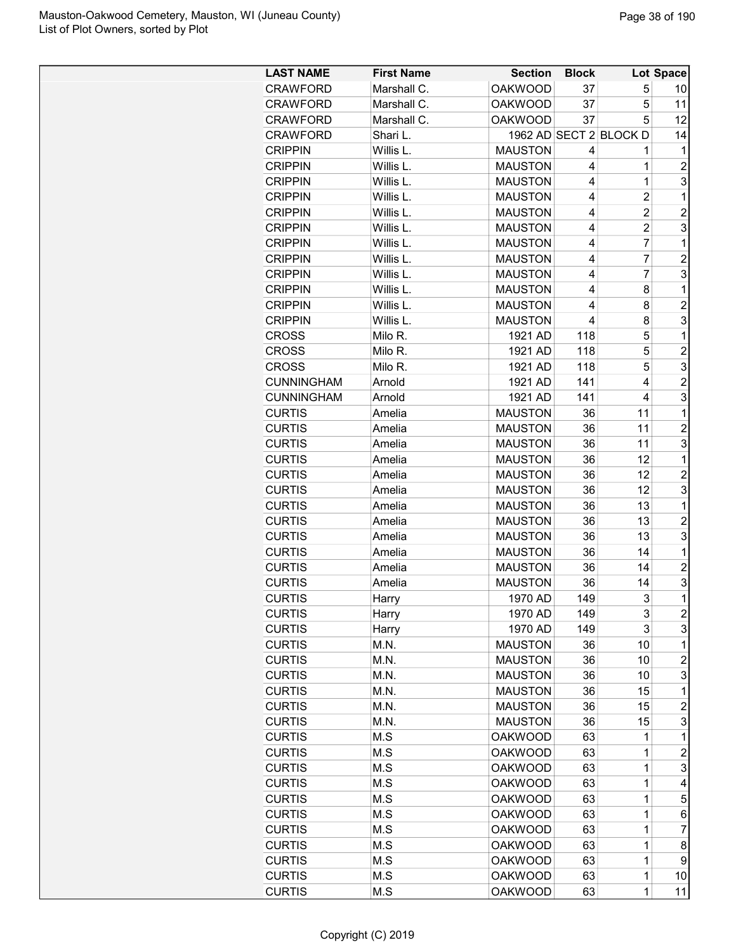| <b>LAST NAME</b>  | <b>First Name</b> | <b>Section</b> | <b>Block</b> |                        | Lot Space      |
|-------------------|-------------------|----------------|--------------|------------------------|----------------|
| <b>CRAWFORD</b>   | Marshall C.       | <b>OAKWOOD</b> | 37           | 5                      | 10             |
| <b>CRAWFORD</b>   | Marshall C.       | <b>OAKWOOD</b> | 37           | 5                      | 11             |
| <b>CRAWFORD</b>   | Marshall C.       | <b>OAKWOOD</b> | 37           | 5                      | 12             |
| <b>CRAWFORD</b>   | Shari L.          |                |              | 1962 AD SECT 2 BLOCK D | 14             |
| <b>CRIPPIN</b>    | Willis L.         | <b>MAUSTON</b> | 4            | 1                      | 1              |
|                   |                   |                | 4            | $\mathbf 1$            |                |
| <b>CRIPPIN</b>    | Willis L.         | <b>MAUSTON</b> | 4            |                        | $\overline{c}$ |
| <b>CRIPPIN</b>    | Willis L.         | <b>MAUSTON</b> |              | $\mathbf 1$            | 3              |
| <b>CRIPPIN</b>    | Willis L.         | <b>MAUSTON</b> | 4            | $\overline{2}$         | 1              |
| <b>CRIPPIN</b>    | Willis L.         | <b>MAUSTON</b> | 4            | $\overline{c}$         | $\overline{c}$ |
| <b>CRIPPIN</b>    | Willis L.         | <b>MAUSTON</b> | 4            | $\overline{c}$         | 3              |
| <b>CRIPPIN</b>    | Willis L.         | <b>MAUSTON</b> | 4            | 7                      | 1              |
| <b>CRIPPIN</b>    | Willis L.         | <b>MAUSTON</b> | 4            | 7                      | $\overline{2}$ |
| <b>CRIPPIN</b>    | Willis L.         | <b>MAUSTON</b> | 4            | $\overline{7}$         | 3              |
| <b>CRIPPIN</b>    | Willis L.         | <b>MAUSTON</b> | 4            | 8                      | 1              |
| <b>CRIPPIN</b>    | Willis L.         | <b>MAUSTON</b> | 4            | 8                      | $\overline{2}$ |
| <b>CRIPPIN</b>    | Willis L.         | <b>MAUSTON</b> | 4            | 8                      | 3              |
| <b>CROSS</b>      | Milo R.           | 1921 AD        | 118          | 5                      | 1              |
| <b>CROSS</b>      | Milo R.           | 1921 AD        | 118          | 5                      | $\overline{2}$ |
| <b>CROSS</b>      | Milo R.           | 1921 AD        | 118          | 5                      | 3              |
| <b>CUNNINGHAM</b> | Arnold            | 1921 AD        | 141          | 4                      | $\overline{c}$ |
| <b>CUNNINGHAM</b> | Arnold            | 1921 AD        | 141          | 4                      | 3              |
| <b>CURTIS</b>     | Amelia            | <b>MAUSTON</b> | 36           | 11                     | 1              |
| <b>CURTIS</b>     | Amelia            | <b>MAUSTON</b> | 36           | 11                     | $\overline{c}$ |
| <b>CURTIS</b>     | Amelia            | <b>MAUSTON</b> | 36           | 11                     | 3              |
| <b>CURTIS</b>     | Amelia            | <b>MAUSTON</b> | 36           | 12                     | 1              |
| <b>CURTIS</b>     | Amelia            | <b>MAUSTON</b> | 36           | 12                     | $\overline{c}$ |
| <b>CURTIS</b>     | Amelia            | <b>MAUSTON</b> | 36           | 12                     | 3              |
| <b>CURTIS</b>     | Amelia            | <b>MAUSTON</b> | 36           | 13                     | 1              |
| <b>CURTIS</b>     | Amelia            | <b>MAUSTON</b> | 36           | 13                     | $\overline{2}$ |
| <b>CURTIS</b>     | Amelia            | <b>MAUSTON</b> | 36           | 13                     | 3              |
| <b>CURTIS</b>     |                   | <b>MAUSTON</b> | 36           | 14                     | 1              |
|                   | Amelia            |                |              | 14                     | $\overline{2}$ |
| <b>CURTIS</b>     | Amelia            | <b>MAUSTON</b> | 36           |                        |                |
| <b>CURTIS</b>     | Amelia            | <b>MAUSTON</b> | 36           | 14                     | 3              |
| <b>CURTIS</b>     | Harry             | 1970 AD        | 149          | 3                      | 1              |
| <b>CURTIS</b>     | Harry             | 1970 AD        | 149          | 3                      | $\overline{c}$ |
| <b>CURTIS</b>     | Harry             | 1970 AD        | 149          | 3                      | 3              |
| <b>CURTIS</b>     | M.N.              | <b>MAUSTON</b> | 36           | 10                     | 1              |
| <b>CURTIS</b>     | M.N.              | <b>MAUSTON</b> | 36           | 10                     | $\overline{c}$ |
| <b>CURTIS</b>     | M.N.              | <b>MAUSTON</b> | 36           | 10                     | 3              |
| <b>CURTIS</b>     | M.N.              | <b>MAUSTON</b> | 36           | 15                     | 1              |
| <b>CURTIS</b>     | M.N.              | <b>MAUSTON</b> | 36           | 15                     | $\overline{c}$ |
| <b>CURTIS</b>     | M.N.              | <b>MAUSTON</b> | 36           | 15                     | 3              |
| <b>CURTIS</b>     | M.S               | <b>OAKWOOD</b> | 63           | 1                      | 1              |
| <b>CURTIS</b>     | M.S               | <b>OAKWOOD</b> | 63           | 1                      | $\overline{c}$ |
| <b>CURTIS</b>     | M.S               | <b>OAKWOOD</b> | 63           | $\mathbf 1$            | 3              |
| <b>CURTIS</b>     | M.S               | <b>OAKWOOD</b> | 63           | $\mathbf 1$            | 4              |
| <b>CURTIS</b>     | M.S               | <b>OAKWOOD</b> | 63           | 1                      | 5              |
| <b>CURTIS</b>     | M.S               | <b>OAKWOOD</b> | 63           | 1                      | 6              |
| <b>CURTIS</b>     | M.S               | <b>OAKWOOD</b> | 63           | 1                      | $\overline{7}$ |
| <b>CURTIS</b>     | M.S               | <b>OAKWOOD</b> | 63           | $\mathbf 1$            | 8              |
| <b>CURTIS</b>     | M.S               | <b>OAKWOOD</b> | 63           | $\mathbf 1$            | 9              |
| <b>CURTIS</b>     | M.S               | <b>OAKWOOD</b> | 63           | $\mathbf 1$            | 10             |
| <b>CURTIS</b>     | M.S               | <b>OAKWOOD</b> | 63           | $\mathbf 1$            | 11             |
|                   |                   |                |              |                        |                |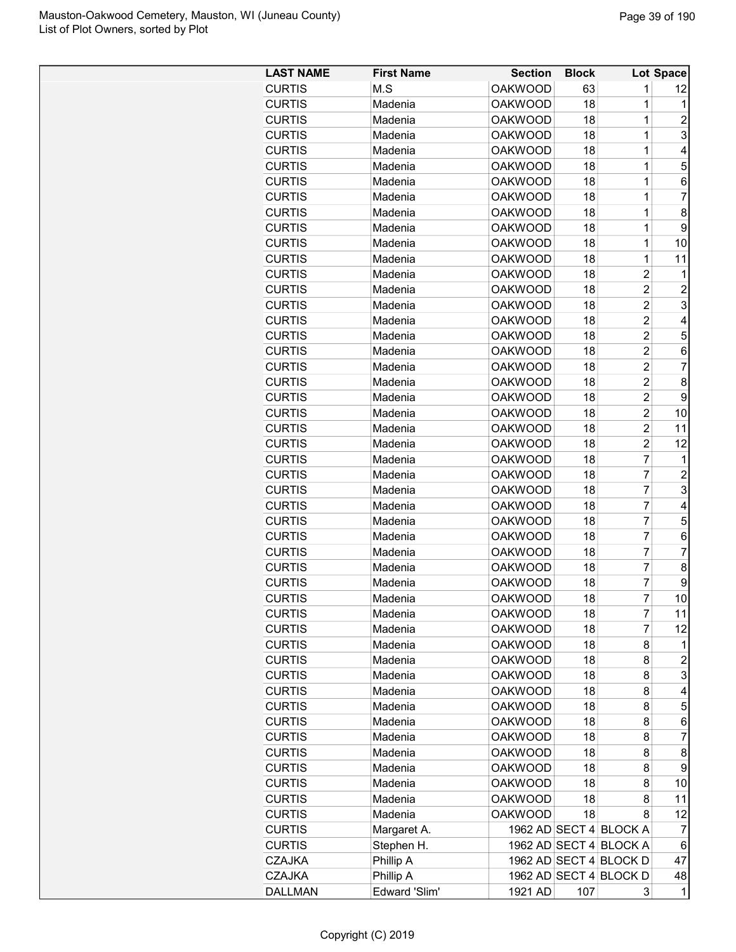| M.S<br><b>OAKWOOD</b><br><b>CURTIS</b><br>63<br>1<br>12<br>$\mathbf{1}$<br><b>CURTIS</b><br><b>OAKWOOD</b><br>Madenia<br>18<br>1<br>$\overline{1}$<br><b>CURTIS</b><br><b>OAKWOOD</b><br>18<br>2<br>Madenia<br>3<br><b>CURTIS</b><br>1<br>Madenia<br><b>OAKWOOD</b><br>18<br><b>CURTIS</b><br><b>OAKWOOD</b><br>1<br>Madenia<br>18<br>4<br>5<br><b>CURTIS</b><br><b>OAKWOOD</b><br>18<br>1<br>Madenia<br>$\overline{1}$<br><b>CURTIS</b><br>6<br>Madenia<br><b>OAKWOOD</b><br>18<br>$\overline{1}$<br>18<br>$\overline{7}$<br><b>CURTIS</b><br>Madenia<br><b>OAKWOOD</b><br>$\overline{1}$<br>8<br><b>CURTIS</b><br><b>OAKWOOD</b><br>18<br>Madenia<br>$\overline{1}$<br><b>CURTIS</b><br>18<br>9<br>Madenia<br><b>OAKWOOD</b><br><b>CURTIS</b><br>1<br>Madenia<br><b>OAKWOOD</b><br>18<br>10<br><b>CURTIS</b><br>1<br>Madenia<br><b>OAKWOOD</b><br>18<br>11<br><b>CURTIS</b><br><b>OAKWOOD</b><br>$\overline{2}$<br>Madenia<br>18<br>1<br>$\overline{2}$<br>$\overline{2}$<br><b>CURTIS</b><br><b>OAKWOOD</b><br>18<br>Madenia<br>$\overline{2}$<br>3<br><b>CURTIS</b><br><b>OAKWOOD</b><br>18<br>Madenia<br>$\overline{2}$<br><b>CURTIS</b><br><b>OAKWOOD</b><br>18<br>4<br>Madenia<br>$\overline{2}$<br><b>CURTIS</b><br><b>OAKWOOD</b><br>5<br>Madenia<br>18<br>$\overline{2}$<br><b>CURTIS</b><br><b>OAKWOOD</b><br>18<br>6<br>Madenia<br><b>CURTIS</b><br><b>OAKWOOD</b><br>$\overline{2}$<br>7<br>Madenia<br>18<br>$\overline{c}$<br><b>CURTIS</b><br><b>OAKWOOD</b><br>8<br>Madenia<br>18<br>$\overline{c}$<br><b>CURTIS</b><br><b>OAKWOOD</b><br>18<br>9<br>Madenia<br>$\overline{2}$<br><b>CURTIS</b><br>Madenia<br><b>OAKWOOD</b><br>18<br>10<br>$\overline{2}$<br><b>OAKWOOD</b><br>18<br>11<br><b>CURTIS</b><br>Madenia<br>$\overline{2}$<br><b>CURTIS</b><br><b>OAKWOOD</b><br>18<br>Madenia<br>12<br>$\overline{7}$<br><b>CURTIS</b><br><b>OAKWOOD</b><br>18<br>Madenia<br>1<br>$\overline{7}$<br><b>CURTIS</b><br>$\overline{2}$<br>Madenia<br><b>OAKWOOD</b><br>18<br>$\overline{7}$<br>3<br><b>CURTIS</b><br><b>OAKWOOD</b><br>Madenia<br>18<br><b>CURTIS</b><br><b>OAKWOOD</b><br>7<br>Madenia<br>18<br>4<br>7<br>5<br><b>CURTIS</b><br><b>OAKWOOD</b><br>18<br>Madenia<br>7<br><b>CURTIS</b><br><b>OAKWOOD</b><br>18<br>6<br>Madenia<br>$\overline{7}$<br>$\overline{7}$<br><b>CURTIS</b><br><b>OAKWOOD</b><br>Madenia<br>18<br>$\overline{7}$<br><b>CURTIS</b><br><b>OAKWOOD</b><br>18<br>8<br>Madenia<br>7<br><b>CURTIS</b><br><b>OAKWOOD</b><br>18<br>9<br>Madenia<br>7<br>10<br>18<br><b>CURTIS</b><br><b>OAKWOOD</b><br>Madenia<br><b>CURTIS</b><br><b>OAKWOOD</b><br>18<br>7<br>11<br>Madenia<br>7<br><b>CURTIS</b><br>Madenia<br><b>OAKWOOD</b><br>18<br>12<br>8<br><b>CURTIS</b><br>Madenia<br><b>OAKWOOD</b><br>18<br>1<br><b>CURTIS</b><br><b>OAKWOOD</b><br>$\overline{c}$<br>Madenia<br>18<br>8<br>3<br>18<br><b>CURTIS</b><br>Madenia<br><b>OAKWOOD</b><br>8<br><b>CURTIS</b><br><b>OAKWOOD</b><br>18<br>8<br>Madenia<br>4<br><b>CURTIS</b><br>Madenia<br><b>OAKWOOD</b><br>18<br>5<br>8<br><b>CURTIS</b><br>Madenia<br><b>OAKWOOD</b><br>18<br>8<br>6<br>$\overline{7}$<br><b>CURTIS</b><br>18<br>8<br>Madenia<br><b>OAKWOOD</b><br><b>CURTIS</b><br><b>OAKWOOD</b><br>8<br>8<br>Madenia<br>18<br><b>CURTIS</b><br><b>OAKWOOD</b><br>9<br>Madenia<br>18<br>8<br><b>CURTIS</b><br>18<br>10<br>Madenia<br><b>OAKWOOD</b><br>8<br>Madenia<br><b>CURTIS</b><br><b>OAKWOOD</b><br>18<br>8<br>11<br><b>CURTIS</b><br>Madenia<br><b>OAKWOOD</b><br>18<br>12<br>8<br><b>CURTIS</b><br>1962 AD SECT 4 BLOCK A<br>Margaret A.<br>7<br><b>CURTIS</b><br>Stephen H.<br>1962 AD SECT 4 BLOCK A<br>6<br><b>CZAJKA</b><br>Phillip A<br>1962 AD SECT 4 BLOCK D<br>47<br><b>CZAJKA</b><br>Phillip A<br>1962 AD SECT 4 BLOCK D<br>48 | <b>LAST NAME</b> | <b>First Name</b> | <b>Section</b> | <b>Block</b> |   | Lot Space |
|------------------------------------------------------------------------------------------------------------------------------------------------------------------------------------------------------------------------------------------------------------------------------------------------------------------------------------------------------------------------------------------------------------------------------------------------------------------------------------------------------------------------------------------------------------------------------------------------------------------------------------------------------------------------------------------------------------------------------------------------------------------------------------------------------------------------------------------------------------------------------------------------------------------------------------------------------------------------------------------------------------------------------------------------------------------------------------------------------------------------------------------------------------------------------------------------------------------------------------------------------------------------------------------------------------------------------------------------------------------------------------------------------------------------------------------------------------------------------------------------------------------------------------------------------------------------------------------------------------------------------------------------------------------------------------------------------------------------------------------------------------------------------------------------------------------------------------------------------------------------------------------------------------------------------------------------------------------------------------------------------------------------------------------------------------------------------------------------------------------------------------------------------------------------------------------------------------------------------------------------------------------------------------------------------------------------------------------------------------------------------------------------------------------------------------------------------------------------------------------------------------------------------------------------------------------------------------------------------------------------------------------------------------------------------------------------------------------------------------------------------------------------------------------------------------------------------------------------------------------------------------------------------------------------------------------------------------------------------------------------------------------------------------------------------------------------------------------------------------------------------------------------------------------------------------------------------------------------------------------------------------------------------------------------------------------------------------------------------------------------------------------------------------------------------------------------------------------------------------------------------------------------------------------------------------------------------------------------------------------------------------------------------------------------------------------------------------------------------------------------------|------------------|-------------------|----------------|--------------|---|-----------|
|                                                                                                                                                                                                                                                                                                                                                                                                                                                                                                                                                                                                                                                                                                                                                                                                                                                                                                                                                                                                                                                                                                                                                                                                                                                                                                                                                                                                                                                                                                                                                                                                                                                                                                                                                                                                                                                                                                                                                                                                                                                                                                                                                                                                                                                                                                                                                                                                                                                                                                                                                                                                                                                                                                                                                                                                                                                                                                                                                                                                                                                                                                                                                                                                                                                                                                                                                                                                                                                                                                                                                                                                                                                                                                                                                      |                  |                   |                |              |   |           |
|                                                                                                                                                                                                                                                                                                                                                                                                                                                                                                                                                                                                                                                                                                                                                                                                                                                                                                                                                                                                                                                                                                                                                                                                                                                                                                                                                                                                                                                                                                                                                                                                                                                                                                                                                                                                                                                                                                                                                                                                                                                                                                                                                                                                                                                                                                                                                                                                                                                                                                                                                                                                                                                                                                                                                                                                                                                                                                                                                                                                                                                                                                                                                                                                                                                                                                                                                                                                                                                                                                                                                                                                                                                                                                                                                      |                  |                   |                |              |   |           |
|                                                                                                                                                                                                                                                                                                                                                                                                                                                                                                                                                                                                                                                                                                                                                                                                                                                                                                                                                                                                                                                                                                                                                                                                                                                                                                                                                                                                                                                                                                                                                                                                                                                                                                                                                                                                                                                                                                                                                                                                                                                                                                                                                                                                                                                                                                                                                                                                                                                                                                                                                                                                                                                                                                                                                                                                                                                                                                                                                                                                                                                                                                                                                                                                                                                                                                                                                                                                                                                                                                                                                                                                                                                                                                                                                      |                  |                   |                |              |   |           |
|                                                                                                                                                                                                                                                                                                                                                                                                                                                                                                                                                                                                                                                                                                                                                                                                                                                                                                                                                                                                                                                                                                                                                                                                                                                                                                                                                                                                                                                                                                                                                                                                                                                                                                                                                                                                                                                                                                                                                                                                                                                                                                                                                                                                                                                                                                                                                                                                                                                                                                                                                                                                                                                                                                                                                                                                                                                                                                                                                                                                                                                                                                                                                                                                                                                                                                                                                                                                                                                                                                                                                                                                                                                                                                                                                      |                  |                   |                |              |   |           |
|                                                                                                                                                                                                                                                                                                                                                                                                                                                                                                                                                                                                                                                                                                                                                                                                                                                                                                                                                                                                                                                                                                                                                                                                                                                                                                                                                                                                                                                                                                                                                                                                                                                                                                                                                                                                                                                                                                                                                                                                                                                                                                                                                                                                                                                                                                                                                                                                                                                                                                                                                                                                                                                                                                                                                                                                                                                                                                                                                                                                                                                                                                                                                                                                                                                                                                                                                                                                                                                                                                                                                                                                                                                                                                                                                      |                  |                   |                |              |   |           |
|                                                                                                                                                                                                                                                                                                                                                                                                                                                                                                                                                                                                                                                                                                                                                                                                                                                                                                                                                                                                                                                                                                                                                                                                                                                                                                                                                                                                                                                                                                                                                                                                                                                                                                                                                                                                                                                                                                                                                                                                                                                                                                                                                                                                                                                                                                                                                                                                                                                                                                                                                                                                                                                                                                                                                                                                                                                                                                                                                                                                                                                                                                                                                                                                                                                                                                                                                                                                                                                                                                                                                                                                                                                                                                                                                      |                  |                   |                |              |   |           |
|                                                                                                                                                                                                                                                                                                                                                                                                                                                                                                                                                                                                                                                                                                                                                                                                                                                                                                                                                                                                                                                                                                                                                                                                                                                                                                                                                                                                                                                                                                                                                                                                                                                                                                                                                                                                                                                                                                                                                                                                                                                                                                                                                                                                                                                                                                                                                                                                                                                                                                                                                                                                                                                                                                                                                                                                                                                                                                                                                                                                                                                                                                                                                                                                                                                                                                                                                                                                                                                                                                                                                                                                                                                                                                                                                      |                  |                   |                |              |   |           |
|                                                                                                                                                                                                                                                                                                                                                                                                                                                                                                                                                                                                                                                                                                                                                                                                                                                                                                                                                                                                                                                                                                                                                                                                                                                                                                                                                                                                                                                                                                                                                                                                                                                                                                                                                                                                                                                                                                                                                                                                                                                                                                                                                                                                                                                                                                                                                                                                                                                                                                                                                                                                                                                                                                                                                                                                                                                                                                                                                                                                                                                                                                                                                                                                                                                                                                                                                                                                                                                                                                                                                                                                                                                                                                                                                      |                  |                   |                |              |   |           |
|                                                                                                                                                                                                                                                                                                                                                                                                                                                                                                                                                                                                                                                                                                                                                                                                                                                                                                                                                                                                                                                                                                                                                                                                                                                                                                                                                                                                                                                                                                                                                                                                                                                                                                                                                                                                                                                                                                                                                                                                                                                                                                                                                                                                                                                                                                                                                                                                                                                                                                                                                                                                                                                                                                                                                                                                                                                                                                                                                                                                                                                                                                                                                                                                                                                                                                                                                                                                                                                                                                                                                                                                                                                                                                                                                      |                  |                   |                |              |   |           |
|                                                                                                                                                                                                                                                                                                                                                                                                                                                                                                                                                                                                                                                                                                                                                                                                                                                                                                                                                                                                                                                                                                                                                                                                                                                                                                                                                                                                                                                                                                                                                                                                                                                                                                                                                                                                                                                                                                                                                                                                                                                                                                                                                                                                                                                                                                                                                                                                                                                                                                                                                                                                                                                                                                                                                                                                                                                                                                                                                                                                                                                                                                                                                                                                                                                                                                                                                                                                                                                                                                                                                                                                                                                                                                                                                      |                  |                   |                |              |   |           |
|                                                                                                                                                                                                                                                                                                                                                                                                                                                                                                                                                                                                                                                                                                                                                                                                                                                                                                                                                                                                                                                                                                                                                                                                                                                                                                                                                                                                                                                                                                                                                                                                                                                                                                                                                                                                                                                                                                                                                                                                                                                                                                                                                                                                                                                                                                                                                                                                                                                                                                                                                                                                                                                                                                                                                                                                                                                                                                                                                                                                                                                                                                                                                                                                                                                                                                                                                                                                                                                                                                                                                                                                                                                                                                                                                      |                  |                   |                |              |   |           |
|                                                                                                                                                                                                                                                                                                                                                                                                                                                                                                                                                                                                                                                                                                                                                                                                                                                                                                                                                                                                                                                                                                                                                                                                                                                                                                                                                                                                                                                                                                                                                                                                                                                                                                                                                                                                                                                                                                                                                                                                                                                                                                                                                                                                                                                                                                                                                                                                                                                                                                                                                                                                                                                                                                                                                                                                                                                                                                                                                                                                                                                                                                                                                                                                                                                                                                                                                                                                                                                                                                                                                                                                                                                                                                                                                      |                  |                   |                |              |   |           |
|                                                                                                                                                                                                                                                                                                                                                                                                                                                                                                                                                                                                                                                                                                                                                                                                                                                                                                                                                                                                                                                                                                                                                                                                                                                                                                                                                                                                                                                                                                                                                                                                                                                                                                                                                                                                                                                                                                                                                                                                                                                                                                                                                                                                                                                                                                                                                                                                                                                                                                                                                                                                                                                                                                                                                                                                                                                                                                                                                                                                                                                                                                                                                                                                                                                                                                                                                                                                                                                                                                                                                                                                                                                                                                                                                      |                  |                   |                |              |   |           |
|                                                                                                                                                                                                                                                                                                                                                                                                                                                                                                                                                                                                                                                                                                                                                                                                                                                                                                                                                                                                                                                                                                                                                                                                                                                                                                                                                                                                                                                                                                                                                                                                                                                                                                                                                                                                                                                                                                                                                                                                                                                                                                                                                                                                                                                                                                                                                                                                                                                                                                                                                                                                                                                                                                                                                                                                                                                                                                                                                                                                                                                                                                                                                                                                                                                                                                                                                                                                                                                                                                                                                                                                                                                                                                                                                      |                  |                   |                |              |   |           |
|                                                                                                                                                                                                                                                                                                                                                                                                                                                                                                                                                                                                                                                                                                                                                                                                                                                                                                                                                                                                                                                                                                                                                                                                                                                                                                                                                                                                                                                                                                                                                                                                                                                                                                                                                                                                                                                                                                                                                                                                                                                                                                                                                                                                                                                                                                                                                                                                                                                                                                                                                                                                                                                                                                                                                                                                                                                                                                                                                                                                                                                                                                                                                                                                                                                                                                                                                                                                                                                                                                                                                                                                                                                                                                                                                      |                  |                   |                |              |   |           |
|                                                                                                                                                                                                                                                                                                                                                                                                                                                                                                                                                                                                                                                                                                                                                                                                                                                                                                                                                                                                                                                                                                                                                                                                                                                                                                                                                                                                                                                                                                                                                                                                                                                                                                                                                                                                                                                                                                                                                                                                                                                                                                                                                                                                                                                                                                                                                                                                                                                                                                                                                                                                                                                                                                                                                                                                                                                                                                                                                                                                                                                                                                                                                                                                                                                                                                                                                                                                                                                                                                                                                                                                                                                                                                                                                      |                  |                   |                |              |   |           |
|                                                                                                                                                                                                                                                                                                                                                                                                                                                                                                                                                                                                                                                                                                                                                                                                                                                                                                                                                                                                                                                                                                                                                                                                                                                                                                                                                                                                                                                                                                                                                                                                                                                                                                                                                                                                                                                                                                                                                                                                                                                                                                                                                                                                                                                                                                                                                                                                                                                                                                                                                                                                                                                                                                                                                                                                                                                                                                                                                                                                                                                                                                                                                                                                                                                                                                                                                                                                                                                                                                                                                                                                                                                                                                                                                      |                  |                   |                |              |   |           |
|                                                                                                                                                                                                                                                                                                                                                                                                                                                                                                                                                                                                                                                                                                                                                                                                                                                                                                                                                                                                                                                                                                                                                                                                                                                                                                                                                                                                                                                                                                                                                                                                                                                                                                                                                                                                                                                                                                                                                                                                                                                                                                                                                                                                                                                                                                                                                                                                                                                                                                                                                                                                                                                                                                                                                                                                                                                                                                                                                                                                                                                                                                                                                                                                                                                                                                                                                                                                                                                                                                                                                                                                                                                                                                                                                      |                  |                   |                |              |   |           |
|                                                                                                                                                                                                                                                                                                                                                                                                                                                                                                                                                                                                                                                                                                                                                                                                                                                                                                                                                                                                                                                                                                                                                                                                                                                                                                                                                                                                                                                                                                                                                                                                                                                                                                                                                                                                                                                                                                                                                                                                                                                                                                                                                                                                                                                                                                                                                                                                                                                                                                                                                                                                                                                                                                                                                                                                                                                                                                                                                                                                                                                                                                                                                                                                                                                                                                                                                                                                                                                                                                                                                                                                                                                                                                                                                      |                  |                   |                |              |   |           |
|                                                                                                                                                                                                                                                                                                                                                                                                                                                                                                                                                                                                                                                                                                                                                                                                                                                                                                                                                                                                                                                                                                                                                                                                                                                                                                                                                                                                                                                                                                                                                                                                                                                                                                                                                                                                                                                                                                                                                                                                                                                                                                                                                                                                                                                                                                                                                                                                                                                                                                                                                                                                                                                                                                                                                                                                                                                                                                                                                                                                                                                                                                                                                                                                                                                                                                                                                                                                                                                                                                                                                                                                                                                                                                                                                      |                  |                   |                |              |   |           |
|                                                                                                                                                                                                                                                                                                                                                                                                                                                                                                                                                                                                                                                                                                                                                                                                                                                                                                                                                                                                                                                                                                                                                                                                                                                                                                                                                                                                                                                                                                                                                                                                                                                                                                                                                                                                                                                                                                                                                                                                                                                                                                                                                                                                                                                                                                                                                                                                                                                                                                                                                                                                                                                                                                                                                                                                                                                                                                                                                                                                                                                                                                                                                                                                                                                                                                                                                                                                                                                                                                                                                                                                                                                                                                                                                      |                  |                   |                |              |   |           |
|                                                                                                                                                                                                                                                                                                                                                                                                                                                                                                                                                                                                                                                                                                                                                                                                                                                                                                                                                                                                                                                                                                                                                                                                                                                                                                                                                                                                                                                                                                                                                                                                                                                                                                                                                                                                                                                                                                                                                                                                                                                                                                                                                                                                                                                                                                                                                                                                                                                                                                                                                                                                                                                                                                                                                                                                                                                                                                                                                                                                                                                                                                                                                                                                                                                                                                                                                                                                                                                                                                                                                                                                                                                                                                                                                      |                  |                   |                |              |   |           |
|                                                                                                                                                                                                                                                                                                                                                                                                                                                                                                                                                                                                                                                                                                                                                                                                                                                                                                                                                                                                                                                                                                                                                                                                                                                                                                                                                                                                                                                                                                                                                                                                                                                                                                                                                                                                                                                                                                                                                                                                                                                                                                                                                                                                                                                                                                                                                                                                                                                                                                                                                                                                                                                                                                                                                                                                                                                                                                                                                                                                                                                                                                                                                                                                                                                                                                                                                                                                                                                                                                                                                                                                                                                                                                                                                      |                  |                   |                |              |   |           |
|                                                                                                                                                                                                                                                                                                                                                                                                                                                                                                                                                                                                                                                                                                                                                                                                                                                                                                                                                                                                                                                                                                                                                                                                                                                                                                                                                                                                                                                                                                                                                                                                                                                                                                                                                                                                                                                                                                                                                                                                                                                                                                                                                                                                                                                                                                                                                                                                                                                                                                                                                                                                                                                                                                                                                                                                                                                                                                                                                                                                                                                                                                                                                                                                                                                                                                                                                                                                                                                                                                                                                                                                                                                                                                                                                      |                  |                   |                |              |   |           |
|                                                                                                                                                                                                                                                                                                                                                                                                                                                                                                                                                                                                                                                                                                                                                                                                                                                                                                                                                                                                                                                                                                                                                                                                                                                                                                                                                                                                                                                                                                                                                                                                                                                                                                                                                                                                                                                                                                                                                                                                                                                                                                                                                                                                                                                                                                                                                                                                                                                                                                                                                                                                                                                                                                                                                                                                                                                                                                                                                                                                                                                                                                                                                                                                                                                                                                                                                                                                                                                                                                                                                                                                                                                                                                                                                      |                  |                   |                |              |   |           |
|                                                                                                                                                                                                                                                                                                                                                                                                                                                                                                                                                                                                                                                                                                                                                                                                                                                                                                                                                                                                                                                                                                                                                                                                                                                                                                                                                                                                                                                                                                                                                                                                                                                                                                                                                                                                                                                                                                                                                                                                                                                                                                                                                                                                                                                                                                                                                                                                                                                                                                                                                                                                                                                                                                                                                                                                                                                                                                                                                                                                                                                                                                                                                                                                                                                                                                                                                                                                                                                                                                                                                                                                                                                                                                                                                      |                  |                   |                |              |   |           |
|                                                                                                                                                                                                                                                                                                                                                                                                                                                                                                                                                                                                                                                                                                                                                                                                                                                                                                                                                                                                                                                                                                                                                                                                                                                                                                                                                                                                                                                                                                                                                                                                                                                                                                                                                                                                                                                                                                                                                                                                                                                                                                                                                                                                                                                                                                                                                                                                                                                                                                                                                                                                                                                                                                                                                                                                                                                                                                                                                                                                                                                                                                                                                                                                                                                                                                                                                                                                                                                                                                                                                                                                                                                                                                                                                      |                  |                   |                |              |   |           |
|                                                                                                                                                                                                                                                                                                                                                                                                                                                                                                                                                                                                                                                                                                                                                                                                                                                                                                                                                                                                                                                                                                                                                                                                                                                                                                                                                                                                                                                                                                                                                                                                                                                                                                                                                                                                                                                                                                                                                                                                                                                                                                                                                                                                                                                                                                                                                                                                                                                                                                                                                                                                                                                                                                                                                                                                                                                                                                                                                                                                                                                                                                                                                                                                                                                                                                                                                                                                                                                                                                                                                                                                                                                                                                                                                      |                  |                   |                |              |   |           |
|                                                                                                                                                                                                                                                                                                                                                                                                                                                                                                                                                                                                                                                                                                                                                                                                                                                                                                                                                                                                                                                                                                                                                                                                                                                                                                                                                                                                                                                                                                                                                                                                                                                                                                                                                                                                                                                                                                                                                                                                                                                                                                                                                                                                                                                                                                                                                                                                                                                                                                                                                                                                                                                                                                                                                                                                                                                                                                                                                                                                                                                                                                                                                                                                                                                                                                                                                                                                                                                                                                                                                                                                                                                                                                                                                      |                  |                   |                |              |   |           |
|                                                                                                                                                                                                                                                                                                                                                                                                                                                                                                                                                                                                                                                                                                                                                                                                                                                                                                                                                                                                                                                                                                                                                                                                                                                                                                                                                                                                                                                                                                                                                                                                                                                                                                                                                                                                                                                                                                                                                                                                                                                                                                                                                                                                                                                                                                                                                                                                                                                                                                                                                                                                                                                                                                                                                                                                                                                                                                                                                                                                                                                                                                                                                                                                                                                                                                                                                                                                                                                                                                                                                                                                                                                                                                                                                      |                  |                   |                |              |   |           |
|                                                                                                                                                                                                                                                                                                                                                                                                                                                                                                                                                                                                                                                                                                                                                                                                                                                                                                                                                                                                                                                                                                                                                                                                                                                                                                                                                                                                                                                                                                                                                                                                                                                                                                                                                                                                                                                                                                                                                                                                                                                                                                                                                                                                                                                                                                                                                                                                                                                                                                                                                                                                                                                                                                                                                                                                                                                                                                                                                                                                                                                                                                                                                                                                                                                                                                                                                                                                                                                                                                                                                                                                                                                                                                                                                      |                  |                   |                |              |   |           |
|                                                                                                                                                                                                                                                                                                                                                                                                                                                                                                                                                                                                                                                                                                                                                                                                                                                                                                                                                                                                                                                                                                                                                                                                                                                                                                                                                                                                                                                                                                                                                                                                                                                                                                                                                                                                                                                                                                                                                                                                                                                                                                                                                                                                                                                                                                                                                                                                                                                                                                                                                                                                                                                                                                                                                                                                                                                                                                                                                                                                                                                                                                                                                                                                                                                                                                                                                                                                                                                                                                                                                                                                                                                                                                                                                      |                  |                   |                |              |   |           |
|                                                                                                                                                                                                                                                                                                                                                                                                                                                                                                                                                                                                                                                                                                                                                                                                                                                                                                                                                                                                                                                                                                                                                                                                                                                                                                                                                                                                                                                                                                                                                                                                                                                                                                                                                                                                                                                                                                                                                                                                                                                                                                                                                                                                                                                                                                                                                                                                                                                                                                                                                                                                                                                                                                                                                                                                                                                                                                                                                                                                                                                                                                                                                                                                                                                                                                                                                                                                                                                                                                                                                                                                                                                                                                                                                      |                  |                   |                |              |   |           |
|                                                                                                                                                                                                                                                                                                                                                                                                                                                                                                                                                                                                                                                                                                                                                                                                                                                                                                                                                                                                                                                                                                                                                                                                                                                                                                                                                                                                                                                                                                                                                                                                                                                                                                                                                                                                                                                                                                                                                                                                                                                                                                                                                                                                                                                                                                                                                                                                                                                                                                                                                                                                                                                                                                                                                                                                                                                                                                                                                                                                                                                                                                                                                                                                                                                                                                                                                                                                                                                                                                                                                                                                                                                                                                                                                      |                  |                   |                |              |   |           |
|                                                                                                                                                                                                                                                                                                                                                                                                                                                                                                                                                                                                                                                                                                                                                                                                                                                                                                                                                                                                                                                                                                                                                                                                                                                                                                                                                                                                                                                                                                                                                                                                                                                                                                                                                                                                                                                                                                                                                                                                                                                                                                                                                                                                                                                                                                                                                                                                                                                                                                                                                                                                                                                                                                                                                                                                                                                                                                                                                                                                                                                                                                                                                                                                                                                                                                                                                                                                                                                                                                                                                                                                                                                                                                                                                      |                  |                   |                |              |   |           |
|                                                                                                                                                                                                                                                                                                                                                                                                                                                                                                                                                                                                                                                                                                                                                                                                                                                                                                                                                                                                                                                                                                                                                                                                                                                                                                                                                                                                                                                                                                                                                                                                                                                                                                                                                                                                                                                                                                                                                                                                                                                                                                                                                                                                                                                                                                                                                                                                                                                                                                                                                                                                                                                                                                                                                                                                                                                                                                                                                                                                                                                                                                                                                                                                                                                                                                                                                                                                                                                                                                                                                                                                                                                                                                                                                      |                  |                   |                |              |   |           |
|                                                                                                                                                                                                                                                                                                                                                                                                                                                                                                                                                                                                                                                                                                                                                                                                                                                                                                                                                                                                                                                                                                                                                                                                                                                                                                                                                                                                                                                                                                                                                                                                                                                                                                                                                                                                                                                                                                                                                                                                                                                                                                                                                                                                                                                                                                                                                                                                                                                                                                                                                                                                                                                                                                                                                                                                                                                                                                                                                                                                                                                                                                                                                                                                                                                                                                                                                                                                                                                                                                                                                                                                                                                                                                                                                      |                  |                   |                |              |   |           |
|                                                                                                                                                                                                                                                                                                                                                                                                                                                                                                                                                                                                                                                                                                                                                                                                                                                                                                                                                                                                                                                                                                                                                                                                                                                                                                                                                                                                                                                                                                                                                                                                                                                                                                                                                                                                                                                                                                                                                                                                                                                                                                                                                                                                                                                                                                                                                                                                                                                                                                                                                                                                                                                                                                                                                                                                                                                                                                                                                                                                                                                                                                                                                                                                                                                                                                                                                                                                                                                                                                                                                                                                                                                                                                                                                      |                  |                   |                |              |   |           |
|                                                                                                                                                                                                                                                                                                                                                                                                                                                                                                                                                                                                                                                                                                                                                                                                                                                                                                                                                                                                                                                                                                                                                                                                                                                                                                                                                                                                                                                                                                                                                                                                                                                                                                                                                                                                                                                                                                                                                                                                                                                                                                                                                                                                                                                                                                                                                                                                                                                                                                                                                                                                                                                                                                                                                                                                                                                                                                                                                                                                                                                                                                                                                                                                                                                                                                                                                                                                                                                                                                                                                                                                                                                                                                                                                      |                  |                   |                |              |   |           |
|                                                                                                                                                                                                                                                                                                                                                                                                                                                                                                                                                                                                                                                                                                                                                                                                                                                                                                                                                                                                                                                                                                                                                                                                                                                                                                                                                                                                                                                                                                                                                                                                                                                                                                                                                                                                                                                                                                                                                                                                                                                                                                                                                                                                                                                                                                                                                                                                                                                                                                                                                                                                                                                                                                                                                                                                                                                                                                                                                                                                                                                                                                                                                                                                                                                                                                                                                                                                                                                                                                                                                                                                                                                                                                                                                      |                  |                   |                |              |   |           |
|                                                                                                                                                                                                                                                                                                                                                                                                                                                                                                                                                                                                                                                                                                                                                                                                                                                                                                                                                                                                                                                                                                                                                                                                                                                                                                                                                                                                                                                                                                                                                                                                                                                                                                                                                                                                                                                                                                                                                                                                                                                                                                                                                                                                                                                                                                                                                                                                                                                                                                                                                                                                                                                                                                                                                                                                                                                                                                                                                                                                                                                                                                                                                                                                                                                                                                                                                                                                                                                                                                                                                                                                                                                                                                                                                      |                  |                   |                |              |   |           |
|                                                                                                                                                                                                                                                                                                                                                                                                                                                                                                                                                                                                                                                                                                                                                                                                                                                                                                                                                                                                                                                                                                                                                                                                                                                                                                                                                                                                                                                                                                                                                                                                                                                                                                                                                                                                                                                                                                                                                                                                                                                                                                                                                                                                                                                                                                                                                                                                                                                                                                                                                                                                                                                                                                                                                                                                                                                                                                                                                                                                                                                                                                                                                                                                                                                                                                                                                                                                                                                                                                                                                                                                                                                                                                                                                      |                  |                   |                |              |   |           |
|                                                                                                                                                                                                                                                                                                                                                                                                                                                                                                                                                                                                                                                                                                                                                                                                                                                                                                                                                                                                                                                                                                                                                                                                                                                                                                                                                                                                                                                                                                                                                                                                                                                                                                                                                                                                                                                                                                                                                                                                                                                                                                                                                                                                                                                                                                                                                                                                                                                                                                                                                                                                                                                                                                                                                                                                                                                                                                                                                                                                                                                                                                                                                                                                                                                                                                                                                                                                                                                                                                                                                                                                                                                                                                                                                      |                  |                   |                |              |   |           |
|                                                                                                                                                                                                                                                                                                                                                                                                                                                                                                                                                                                                                                                                                                                                                                                                                                                                                                                                                                                                                                                                                                                                                                                                                                                                                                                                                                                                                                                                                                                                                                                                                                                                                                                                                                                                                                                                                                                                                                                                                                                                                                                                                                                                                                                                                                                                                                                                                                                                                                                                                                                                                                                                                                                                                                                                                                                                                                                                                                                                                                                                                                                                                                                                                                                                                                                                                                                                                                                                                                                                                                                                                                                                                                                                                      |                  |                   |                |              |   |           |
|                                                                                                                                                                                                                                                                                                                                                                                                                                                                                                                                                                                                                                                                                                                                                                                                                                                                                                                                                                                                                                                                                                                                                                                                                                                                                                                                                                                                                                                                                                                                                                                                                                                                                                                                                                                                                                                                                                                                                                                                                                                                                                                                                                                                                                                                                                                                                                                                                                                                                                                                                                                                                                                                                                                                                                                                                                                                                                                                                                                                                                                                                                                                                                                                                                                                                                                                                                                                                                                                                                                                                                                                                                                                                                                                                      |                  |                   |                |              |   |           |
|                                                                                                                                                                                                                                                                                                                                                                                                                                                                                                                                                                                                                                                                                                                                                                                                                                                                                                                                                                                                                                                                                                                                                                                                                                                                                                                                                                                                                                                                                                                                                                                                                                                                                                                                                                                                                                                                                                                                                                                                                                                                                                                                                                                                                                                                                                                                                                                                                                                                                                                                                                                                                                                                                                                                                                                                                                                                                                                                                                                                                                                                                                                                                                                                                                                                                                                                                                                                                                                                                                                                                                                                                                                                                                                                                      |                  |                   |                |              |   |           |
|                                                                                                                                                                                                                                                                                                                                                                                                                                                                                                                                                                                                                                                                                                                                                                                                                                                                                                                                                                                                                                                                                                                                                                                                                                                                                                                                                                                                                                                                                                                                                                                                                                                                                                                                                                                                                                                                                                                                                                                                                                                                                                                                                                                                                                                                                                                                                                                                                                                                                                                                                                                                                                                                                                                                                                                                                                                                                                                                                                                                                                                                                                                                                                                                                                                                                                                                                                                                                                                                                                                                                                                                                                                                                                                                                      |                  |                   |                |              |   |           |
|                                                                                                                                                                                                                                                                                                                                                                                                                                                                                                                                                                                                                                                                                                                                                                                                                                                                                                                                                                                                                                                                                                                                                                                                                                                                                                                                                                                                                                                                                                                                                                                                                                                                                                                                                                                                                                                                                                                                                                                                                                                                                                                                                                                                                                                                                                                                                                                                                                                                                                                                                                                                                                                                                                                                                                                                                                                                                                                                                                                                                                                                                                                                                                                                                                                                                                                                                                                                                                                                                                                                                                                                                                                                                                                                                      |                  |                   |                |              |   |           |
|                                                                                                                                                                                                                                                                                                                                                                                                                                                                                                                                                                                                                                                                                                                                                                                                                                                                                                                                                                                                                                                                                                                                                                                                                                                                                                                                                                                                                                                                                                                                                                                                                                                                                                                                                                                                                                                                                                                                                                                                                                                                                                                                                                                                                                                                                                                                                                                                                                                                                                                                                                                                                                                                                                                                                                                                                                                                                                                                                                                                                                                                                                                                                                                                                                                                                                                                                                                                                                                                                                                                                                                                                                                                                                                                                      |                  |                   |                |              |   |           |
|                                                                                                                                                                                                                                                                                                                                                                                                                                                                                                                                                                                                                                                                                                                                                                                                                                                                                                                                                                                                                                                                                                                                                                                                                                                                                                                                                                                                                                                                                                                                                                                                                                                                                                                                                                                                                                                                                                                                                                                                                                                                                                                                                                                                                                                                                                                                                                                                                                                                                                                                                                                                                                                                                                                                                                                                                                                                                                                                                                                                                                                                                                                                                                                                                                                                                                                                                                                                                                                                                                                                                                                                                                                                                                                                                      |                  |                   |                |              |   |           |
|                                                                                                                                                                                                                                                                                                                                                                                                                                                                                                                                                                                                                                                                                                                                                                                                                                                                                                                                                                                                                                                                                                                                                                                                                                                                                                                                                                                                                                                                                                                                                                                                                                                                                                                                                                                                                                                                                                                                                                                                                                                                                                                                                                                                                                                                                                                                                                                                                                                                                                                                                                                                                                                                                                                                                                                                                                                                                                                                                                                                                                                                                                                                                                                                                                                                                                                                                                                                                                                                                                                                                                                                                                                                                                                                                      |                  |                   |                |              |   |           |
|                                                                                                                                                                                                                                                                                                                                                                                                                                                                                                                                                                                                                                                                                                                                                                                                                                                                                                                                                                                                                                                                                                                                                                                                                                                                                                                                                                                                                                                                                                                                                                                                                                                                                                                                                                                                                                                                                                                                                                                                                                                                                                                                                                                                                                                                                                                                                                                                                                                                                                                                                                                                                                                                                                                                                                                                                                                                                                                                                                                                                                                                                                                                                                                                                                                                                                                                                                                                                                                                                                                                                                                                                                                                                                                                                      |                  |                   |                |              |   |           |
|                                                                                                                                                                                                                                                                                                                                                                                                                                                                                                                                                                                                                                                                                                                                                                                                                                                                                                                                                                                                                                                                                                                                                                                                                                                                                                                                                                                                                                                                                                                                                                                                                                                                                                                                                                                                                                                                                                                                                                                                                                                                                                                                                                                                                                                                                                                                                                                                                                                                                                                                                                                                                                                                                                                                                                                                                                                                                                                                                                                                                                                                                                                                                                                                                                                                                                                                                                                                                                                                                                                                                                                                                                                                                                                                                      |                  |                   |                |              |   |           |
| 107                                                                                                                                                                                                                                                                                                                                                                                                                                                                                                                                                                                                                                                                                                                                                                                                                                                                                                                                                                                                                                                                                                                                                                                                                                                                                                                                                                                                                                                                                                                                                                                                                                                                                                                                                                                                                                                                                                                                                                                                                                                                                                                                                                                                                                                                                                                                                                                                                                                                                                                                                                                                                                                                                                                                                                                                                                                                                                                                                                                                                                                                                                                                                                                                                                                                                                                                                                                                                                                                                                                                                                                                                                                                                                                                                  | <b>DALLMAN</b>   | Edward 'Slim'     | 1921 AD        |              | 3 | 1         |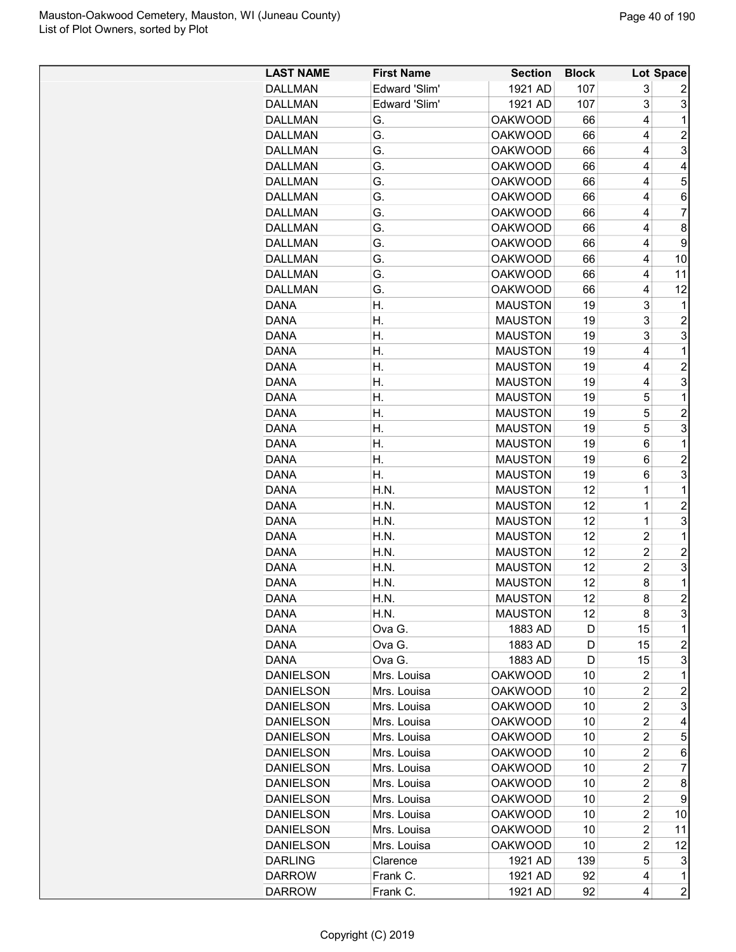| <b>LAST NAME</b> | <b>First Name</b> | <b>Section</b> | <b>Block</b> |                | <b>Lot Space</b>        |
|------------------|-------------------|----------------|--------------|----------------|-------------------------|
| <b>DALLMAN</b>   | Edward 'Slim'     | 1921 AD        | 107          | 3              | 2                       |
| <b>DALLMAN</b>   | Edward 'Slim'     | 1921 AD        | 107          | 3              | 3                       |
| <b>DALLMAN</b>   | G.                | <b>OAKWOOD</b> | 66           | 4              | 1                       |
| <b>DALLMAN</b>   | G.                | <b>OAKWOOD</b> | 66           | 4              | $\overline{c}$          |
| <b>DALLMAN</b>   | G.                | <b>OAKWOOD</b> | 66           | 4              | 3                       |
| <b>DALLMAN</b>   | G.                | <b>OAKWOOD</b> | 66           | 4              | 4                       |
| <b>DALLMAN</b>   | G.                | <b>OAKWOOD</b> | 66           | 4              | 5                       |
| <b>DALLMAN</b>   | G.                | <b>OAKWOOD</b> | 66           | 4              | 6                       |
| <b>DALLMAN</b>   | G.                | <b>OAKWOOD</b> | 66           | 4              | $\overline{7}$          |
| <b>DALLMAN</b>   | G.                | <b>OAKWOOD</b> | 66           | 4              | 8                       |
| <b>DALLMAN</b>   | G.                | <b>OAKWOOD</b> | 66           | 4              | 9                       |
| <b>DALLMAN</b>   | G.                | <b>OAKWOOD</b> | 66           | 4              | 10                      |
| <b>DALLMAN</b>   | G.                | <b>OAKWOOD</b> | 66           | 4              | 11                      |
| <b>DALLMAN</b>   | G.                | <b>OAKWOOD</b> | 66           | 4              | 12                      |
| DANA             | Η.                | <b>MAUSTON</b> | 19           | 3              | 1                       |
| DANA             | Η.                | <b>MAUSTON</b> | 19           | 3              | $\overline{\mathbf{c}}$ |
| <b>DANA</b>      | Η.                | <b>MAUSTON</b> | 19           | 3              | 3                       |
| <b>DANA</b>      | Η.                | <b>MAUSTON</b> | 19           | 4              | $\mathbf 1$             |
| DANA             | Η.                | <b>MAUSTON</b> | 19           | 4              | $\overline{2}$          |
| <b>DANA</b>      | Η.                | <b>MAUSTON</b> | 19           | 4              | 3                       |
| <b>DANA</b>      | Η.                | <b>MAUSTON</b> | 19           | 5              | $\mathbf 1$             |
| <b>DANA</b>      | Η.                | <b>MAUSTON</b> | 19           | 5              | $\overline{2}$          |
| <b>DANA</b>      | Η.                | <b>MAUSTON</b> | 19           | 5              | 3                       |
| <b>DANA</b>      | Η.                | <b>MAUSTON</b> | 19           | 6              | 1                       |
| <b>DANA</b>      | Η.                | <b>MAUSTON</b> | 19           | 6              | $\overline{c}$          |
| DANA             | Η.                | <b>MAUSTON</b> | 19           | 6              | 3                       |
| <b>DANA</b>      | H.N.              | <b>MAUSTON</b> | 12           | 1              | $\mathbf 1$             |
| <b>DANA</b>      | H.N.              | <b>MAUSTON</b> | 12           | 1              | $\overline{c}$          |
| <b>DANA</b>      | H.N.              | <b>MAUSTON</b> | 12           | $\mathbf 1$    | 3                       |
| <b>DANA</b>      | H.N.              | <b>MAUSTON</b> | 12           | $\overline{2}$ | $\mathbf 1$             |
| <b>DANA</b>      | H.N.              | <b>MAUSTON</b> | 12           | $\overline{c}$ | $\overline{c}$          |
| <b>DANA</b>      | H.N.              | <b>MAUSTON</b> | 12           | $\overline{c}$ | 3                       |
| <b>DANA</b>      | H.N.              | <b>MAUSTON</b> | 12           | 8              | 1                       |
| <b>DANA</b>      | H.N               | <b>MAUSTON</b> | 12           | 8              | $\overline{2}$          |
| DANA             | H.N.              | <b>MAUSTON</b> | 12           | 8              | 3                       |
| DANA             | Ova G.            | 1883 AD        | D            | 15             | 1                       |
| DANA             | Ova G.            | 1883 AD        | D            | 15             | $\overline{2}$          |
| DANA             | Ova G.            | 1883 AD        | D            | 15             | 3                       |
| <b>DANIELSON</b> | Mrs. Louisa       | <b>OAKWOOD</b> | 10           | 2              | 1                       |
| <b>DANIELSON</b> | Mrs. Louisa       | <b>OAKWOOD</b> | 10           | 2              | $\overline{c}$          |
| <b>DANIELSON</b> | Mrs. Louisa       | <b>OAKWOOD</b> | 10           | $\overline{c}$ | 3                       |
| <b>DANIELSON</b> | Mrs. Louisa       | <b>OAKWOOD</b> | 10           | $\overline{c}$ | 4                       |
| <b>DANIELSON</b> | Mrs. Louisa       | <b>OAKWOOD</b> | 10           | $\overline{c}$ | 5                       |
| <b>DANIELSON</b> | Mrs. Louisa       | <b>OAKWOOD</b> | 10           | $\overline{c}$ | 6                       |
| <b>DANIELSON</b> | Mrs. Louisa       | <b>OAKWOOD</b> | 10           | $\overline{2}$ | 7                       |
| <b>DANIELSON</b> | Mrs. Louisa       | <b>OAKWOOD</b> | 10           | $\overline{c}$ | 8                       |
| <b>DANIELSON</b> | Mrs. Louisa       | <b>OAKWOOD</b> | 10           | 2              | 9                       |
| <b>DANIELSON</b> | Mrs. Louisa       | <b>OAKWOOD</b> | 10           | $\overline{c}$ | 10                      |
| <b>DANIELSON</b> | Mrs. Louisa       | <b>OAKWOOD</b> | 10           | 2              | 11                      |
| <b>DANIELSON</b> | Mrs. Louisa       | <b>OAKWOOD</b> | 10           | 2              | 12                      |
| <b>DARLING</b>   | Clarence          | 1921 AD        | 139          | 5              | 3                       |
| <b>DARROW</b>    | Frank C.          | 1921 AD        | 92           | 4              | $\mathbf 1$             |
| <b>DARROW</b>    | Frank C.          | 1921 AD        | 92           | 4              | $\overline{c}$          |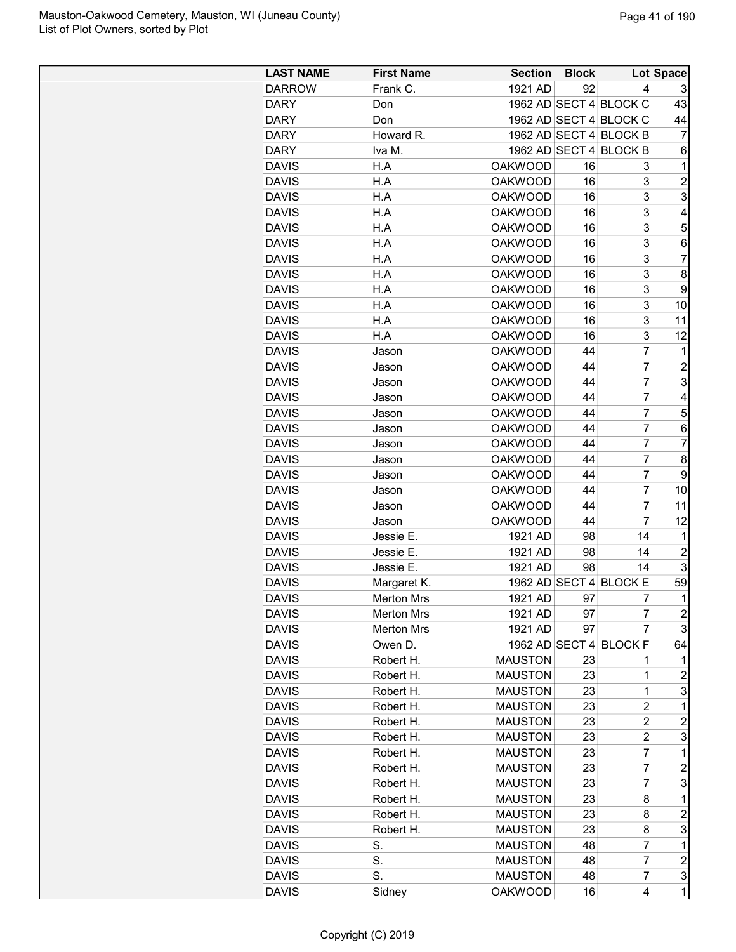| <b>LAST NAME</b> | <b>First Name</b> | <b>Section</b> | <b>Block</b> |                        | Lot Space      |
|------------------|-------------------|----------------|--------------|------------------------|----------------|
| <b>DARROW</b>    | Frank C.          | 1921 AD        | 92           | 4                      | 3              |
| <b>DARY</b>      | Don               |                |              | 1962 AD SECT 4 BLOCK C | 43             |
| <b>DARY</b>      | Don               |                |              | 1962 AD SECT 4 BLOCK C | 44             |
| <b>DARY</b>      | Howard R.         |                |              | 1962 AD SECT 4 BLOCK B | $\overline{7}$ |
| <b>DARY</b>      | Iva M.            |                |              | 1962 AD SECT 4 BLOCK B | 6              |
| <b>DAVIS</b>     | H.A               | <b>OAKWOOD</b> | 16           | 3                      | 1              |
| <b>DAVIS</b>     | H.A               | <b>OAKWOOD</b> | 16           | 3                      | $\overline{2}$ |
| <b>DAVIS</b>     | H.A               | <b>OAKWOOD</b> | 16           | 3                      | 3              |
| <b>DAVIS</b>     | H.A               | <b>OAKWOOD</b> | 16           | 3                      | 4              |
| <b>DAVIS</b>     | H.A               | <b>OAKWOOD</b> | 16           | 3                      | 5              |
| <b>DAVIS</b>     | H.A               | <b>OAKWOOD</b> | 16           | 3                      | 6              |
| <b>DAVIS</b>     | H.A               | <b>OAKWOOD</b> | 16           | 3                      | 7              |
| <b>DAVIS</b>     | H.A               | <b>OAKWOOD</b> | 16           | 3                      | 8              |
| <b>DAVIS</b>     | H.A               | <b>OAKWOOD</b> | 16           | 3                      | 9              |
| <b>DAVIS</b>     | H.A               | <b>OAKWOOD</b> | 16           | 3                      | 10             |
| <b>DAVIS</b>     | H.A               | <b>OAKWOOD</b> | 16           | 3                      | 11             |
| <b>DAVIS</b>     | H.A               | <b>OAKWOOD</b> | 16           | 3                      | 12             |
| <b>DAVIS</b>     | Jason             | <b>OAKWOOD</b> | 44           | $\overline{7}$         | 1              |
| <b>DAVIS</b>     | Jason             | <b>OAKWOOD</b> | 44           | $\overline{7}$         | $\overline{c}$ |
| <b>DAVIS</b>     | Jason             | <b>OAKWOOD</b> | 44           | $\overline{7}$         | 3              |
| <b>DAVIS</b>     | Jason             | <b>OAKWOOD</b> | 44           | $\overline{7}$         | 4              |
| <b>DAVIS</b>     | Jason             | <b>OAKWOOD</b> | 44           | $\overline{7}$         | 5              |
| <b>DAVIS</b>     | Jason             | <b>OAKWOOD</b> | 44           | $\overline{7}$         | 6              |
| <b>DAVIS</b>     | Jason             | <b>OAKWOOD</b> | 44           | $\overline{7}$         | 7              |
| <b>DAVIS</b>     | Jason             | <b>OAKWOOD</b> | 44           | $\overline{7}$         | 8              |
| <b>DAVIS</b>     | Jason             | <b>OAKWOOD</b> | 44           | $\overline{7}$         | 9              |
| <b>DAVIS</b>     | Jason             | <b>OAKWOOD</b> | 44           | $\overline{7}$         | 10             |
| <b>DAVIS</b>     | Jason             | <b>OAKWOOD</b> | 44           | 7                      | 11             |
| <b>DAVIS</b>     | Jason             | <b>OAKWOOD</b> | 44           | $\overline{7}$         | 12             |
| <b>DAVIS</b>     | Jessie E.         | 1921 AD        | 98           | 14                     | 1              |
| <b>DAVIS</b>     | Jessie E.         | 1921 AD        | 98           | 14                     | $\overline{c}$ |
| <b>DAVIS</b>     | Jessie E.         | 1921 AD        | 98           | 14                     | 3              |
| <b>DAVIS</b>     | Margaret K.       |                |              | 1962 AD SECT 4 BLOCK E | 59             |
| <b>DAVIS</b>     | <b>Merton Mrs</b> | 1921 AD        | 97           | 7                      | $\mathbf 1$    |
| <b>DAVIS</b>     | <b>Merton Mrs</b> | 1921 AD        | 97           | 7                      | $\overline{c}$ |
| <b>DAVIS</b>     | <b>Merton Mrs</b> | 1921 AD        | 97           | $\overline{7}$         | 3              |
| <b>DAVIS</b>     | Owen D.           | 1962 AD SECT 4 |              | <b>BLOCK F</b>         | 64             |
| <b>DAVIS</b>     | Robert H.         | <b>MAUSTON</b> | 23           | 1                      | 1              |
| <b>DAVIS</b>     | Robert H.         | <b>MAUSTON</b> | 23           | 1                      | 2              |
| <b>DAVIS</b>     | Robert H.         | <b>MAUSTON</b> | 23           | $\mathbf 1$            | 3              |
| <b>DAVIS</b>     | Robert H.         | <b>MAUSTON</b> | 23           | $\overline{c}$         | 1              |
| <b>DAVIS</b>     | Robert H.         | <b>MAUSTON</b> | 23           | $\overline{c}$         | 2              |
| <b>DAVIS</b>     | Robert H.         | <b>MAUSTON</b> | 23           | $\overline{c}$         | 3              |
| <b>DAVIS</b>     | Robert H.         | <b>MAUSTON</b> | 23           | $\overline{7}$         | $\mathbf 1$    |
| <b>DAVIS</b>     | Robert H.         | <b>MAUSTON</b> | 23           | $\overline{7}$         | $\overline{c}$ |
| <b>DAVIS</b>     | Robert H.         | <b>MAUSTON</b> | 23           | $\overline{7}$         | 3              |
| <b>DAVIS</b>     | Robert H.         | <b>MAUSTON</b> | 23           | 8                      | 1              |
| <b>DAVIS</b>     | Robert H.         | <b>MAUSTON</b> | 23           | 8                      | $\overline{c}$ |
| <b>DAVIS</b>     | Robert H.         | <b>MAUSTON</b> | 23           | 8                      | 3              |
| <b>DAVIS</b>     | S.                | <b>MAUSTON</b> | 48           | $\overline{7}$         | 1              |
| <b>DAVIS</b>     | S.                | <b>MAUSTON</b> | 48           | $\overline{7}$         | $\overline{2}$ |
| <b>DAVIS</b>     | S.                | <b>MAUSTON</b> | 48           | $\overline{7}$         | 3              |
| <b>DAVIS</b>     | Sidney            | <b>OAKWOOD</b> | 16           | 4                      | $\mathbf{1}$   |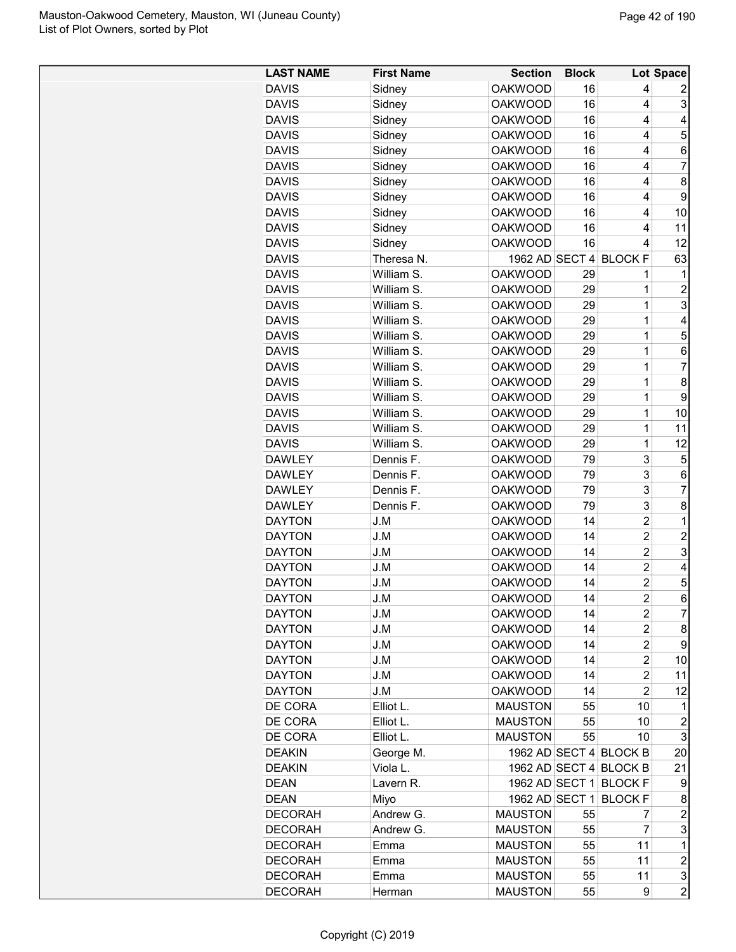| <b>LAST NAME</b>           | <b>First Name</b> | <b>Section</b> | <b>Block</b> |                        | <b>Lot Space</b>    |
|----------------------------|-------------------|----------------|--------------|------------------------|---------------------|
| <b>DAVIS</b>               | Sidney            | <b>OAKWOOD</b> | 16           | 4                      | 2                   |
| <b>DAVIS</b>               | Sidney            | <b>OAKWOOD</b> | 16           | 4                      | 3                   |
| <b>DAVIS</b>               | Sidney            | <b>OAKWOOD</b> | 16           | 4                      | 4                   |
| <b>DAVIS</b>               | Sidney            | <b>OAKWOOD</b> | 16           | 4                      | 5                   |
| <b>DAVIS</b>               | Sidney            | <b>OAKWOOD</b> | 16           | 4                      | 6                   |
| <b>DAVIS</b>               | Sidney            | <b>OAKWOOD</b> | 16           | 4                      | 7                   |
| <b>DAVIS</b>               | Sidney            | <b>OAKWOOD</b> | 16           | 4                      | 8                   |
| <b>DAVIS</b>               | Sidney            | <b>OAKWOOD</b> | 16           | 4                      | 9                   |
| <b>DAVIS</b>               | Sidney            | <b>OAKWOOD</b> | 16           | 4                      | 10                  |
| <b>DAVIS</b>               | Sidney            | <b>OAKWOOD</b> | 16           | 4                      | 11                  |
| <b>DAVIS</b>               | Sidney            | <b>OAKWOOD</b> | 16           | 4                      | 12                  |
| <b>DAVIS</b>               | Theresa N.        | 1962 AD SECT 4 |              | <b>BLOCK F</b>         | 63                  |
| <b>DAVIS</b>               | William S.        | <b>OAKWOOD</b> | 29           | 1                      | 1                   |
| <b>DAVIS</b>               | William S.        | <b>OAKWOOD</b> | 29           | 1                      | $\overline{2}$      |
| <b>DAVIS</b>               | William S.        | <b>OAKWOOD</b> | 29           | $\mathbf 1$            | 3                   |
| <b>DAVIS</b>               | William S.        | <b>OAKWOOD</b> | 29           | $\mathbf 1$            | 4                   |
| <b>DAVIS</b>               | William S.        | <b>OAKWOOD</b> | 29           | $\mathbf 1$            | 5                   |
| <b>DAVIS</b>               | William S.        | <b>OAKWOOD</b> | 29           | $\mathbf 1$            | 6                   |
| <b>DAVIS</b>               | William S.        | <b>OAKWOOD</b> | 29           | 1                      | 7                   |
| <b>DAVIS</b>               | William S.        | <b>OAKWOOD</b> | 29           | 1                      | 8                   |
| <b>DAVIS</b>               | William S.        | <b>OAKWOOD</b> | 29           | $\mathbf 1$            | 9                   |
| <b>DAVIS</b>               | William S.        | <b>OAKWOOD</b> | 29           | $\mathbf 1$            | 10                  |
| <b>DAVIS</b>               | William S.        | <b>OAKWOOD</b> | 29           | $\mathbf 1$            | 11                  |
| <b>DAVIS</b>               | William S.        | <b>OAKWOOD</b> | 29           | 1                      | 12                  |
| <b>DAWLEY</b>              | Dennis F.         | <b>OAKWOOD</b> | 79           | 3                      | 5                   |
| <b>DAWLEY</b>              | Dennis F.         | <b>OAKWOOD</b> | 79           | 3                      | 6                   |
| <b>DAWLEY</b>              | Dennis F.         | <b>OAKWOOD</b> | 79           | 3                      | $\overline{7}$      |
| <b>DAWLEY</b>              | Dennis F.         | <b>OAKWOOD</b> | 79           | 3                      | 8                   |
| <b>DAYTON</b>              | J.M               | <b>OAKWOOD</b> | 14           | $\overline{2}$         | 1                   |
| <b>DAYTON</b>              | J.M               | <b>OAKWOOD</b> | 14           | $\overline{c}$         | $\overline{c}$      |
| <b>DAYTON</b>              | J.M               | <b>OAKWOOD</b> | 14           | $\overline{2}$         | 3                   |
| <b>DAYTON</b>              | J.M               | <b>OAKWOOD</b> | 14           | $\overline{c}$         | 4                   |
| <b>DAYTON</b>              | J.M               | <b>OAKWOOD</b> | 14           | $\overline{2}$         | 5                   |
| <b>DAYTON</b>              | J.M               | <b>OAKWOOD</b> | 14           | $\overline{c}$         | 6                   |
| <b>DAYTON</b>              | J.M               | <b>OAKWOOD</b> | 14           | 2                      | $\overline{7}$      |
| <b>DAYTON</b>              | J.M               | <b>OAKWOOD</b> | 14           | $\overline{2}$         | 8                   |
| <b>DAYTON</b>              | J.M               | <b>OAKWOOD</b> | 14           | $\overline{c}$         | 9                   |
| <b>DAYTON</b>              | J.M               | <b>OAKWOOD</b> | 14           | 2                      | 10                  |
| <b>DAYTON</b>              | J.M               | <b>OAKWOOD</b> | 14           | $\overline{c}$         | 11                  |
| <b>DAYTON</b>              | J.M               | <b>OAKWOOD</b> | 14           | $\overline{2}$         | 12                  |
| DE CORA                    | Elliot L.         | <b>MAUSTON</b> | 55           | 10                     | 1                   |
| DE CORA                    | Elliot L.         | <b>MAUSTON</b> | 55           | 10                     | $\overline{2}$      |
| DE CORA                    | Elliot L.         | <b>MAUSTON</b> | 55           | 10                     | 3                   |
| <b>DEAKIN</b>              | George M.         |                |              | 1962 AD SECT 4 BLOCK B | 20                  |
| <b>DEAKIN</b>              | Viola L.          |                |              | 1962 AD SECT 4 BLOCK B | 21                  |
|                            |                   |                |              | 1962 AD SECT 1 BLOCK F |                     |
| <b>DEAN</b><br><b>DEAN</b> | Lavern R.<br>Miyo | 1962 AD SECT 1 |              | <b>BLOCKF</b>          | 9<br>8              |
| <b>DECORAH</b>             | Andrew G.         | <b>MAUSTON</b> | 55           | 7                      | $\boldsymbol{2}$    |
|                            |                   | <b>MAUSTON</b> | 55           | 7                      | 3                   |
| <b>DECORAH</b>             | Andrew G.         |                |              | 11                     | 1                   |
| <b>DECORAH</b>             | Emma              | <b>MAUSTON</b> | 55           | 11                     | $\overline{c}$      |
| <b>DECORAH</b>             | Emma              | <b>MAUSTON</b> | 55           |                        |                     |
| <b>DECORAH</b>             | Emma              | <b>MAUSTON</b> | 55           | 11                     | 3<br>$\overline{2}$ |
| <b>DECORAH</b>             | Herman            | <b>MAUSTON</b> | 55           | 9                      |                     |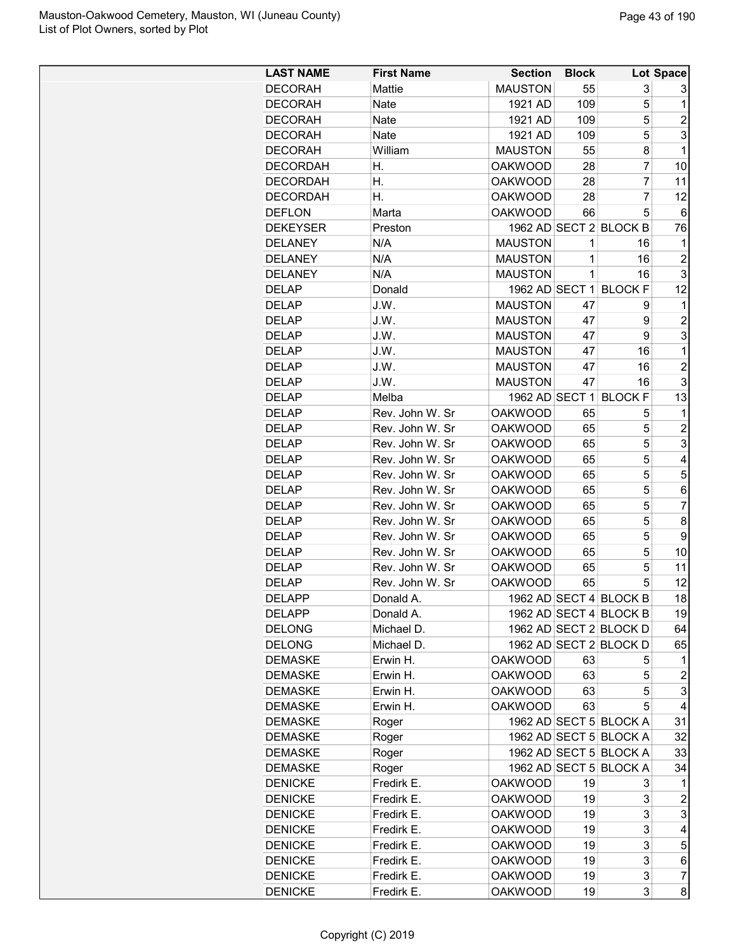| <b>LAST NAME</b>             | <b>First Name</b> | <b>Section</b> | <b>Block</b> |                        | Lot Space           |
|------------------------------|-------------------|----------------|--------------|------------------------|---------------------|
| <b>DECORAH</b>               | <b>Mattie</b>     | <b>MAUSTON</b> | 55           | 3                      | 3                   |
| <b>DECORAH</b>               | Nate              | 1921 AD        | 109          | 5                      | 1                   |
| <b>DECORAH</b>               | <b>Nate</b>       | 1921 AD        | 109          | 5                      | $\overline{2}$      |
| <b>DECORAH</b>               | <b>Nate</b>       | 1921 AD        | 109          | 5                      | 3                   |
| <b>DECORAH</b>               | William           | <b>MAUSTON</b> | 55           | 8                      | 1                   |
| <b>DECORDAH</b>              | Η.                | <b>OAKWOOD</b> | 28           | 7                      | 10                  |
| <b>DECORDAH</b>              | Η.                | <b>OAKWOOD</b> | 28           | 7                      | 11                  |
| <b>DECORDAH</b>              | Η.                | <b>OAKWOOD</b> | 28           | 7                      | 12                  |
| <b>DEFLON</b>                | Marta             | <b>OAKWOOD</b> | 66           | 5                      | 6                   |
| <b>DEKEYSER</b>              | Preston           |                |              | 1962 AD SECT 2 BLOCK B | 76                  |
| <b>DELANEY</b>               | N/A               | <b>MAUSTON</b> | 1            | 16                     | 1                   |
| <b>DELANEY</b>               | N/A               | <b>MAUSTON</b> | 1            | 16                     | $\overline{c}$      |
| <b>DELANEY</b>               | N/A               | <b>MAUSTON</b> | 1            | 16                     | 3                   |
| <b>DELAP</b>                 | Donald            |                |              | 1962 AD SECT 1 BLOCK F | 12                  |
| <b>DELAP</b>                 | J.W.              | <b>MAUSTON</b> | 47           | 9                      | 1                   |
| <b>DELAP</b>                 | J.W.              | <b>MAUSTON</b> | 47           | 9                      | $\overline{c}$      |
| <b>DELAP</b>                 | J.W.              | <b>MAUSTON</b> | 47           | 9                      | 3                   |
| <b>DELAP</b>                 | J.W.              | <b>MAUSTON</b> | 47           | 16                     | 1                   |
| <b>DELAP</b>                 | J.W.              | <b>MAUSTON</b> | 47           | 16                     | $\overline{c}$      |
| <b>DELAP</b>                 | J.W.              | <b>MAUSTON</b> | 47           | 16                     | 3                   |
| <b>DELAP</b>                 | Melba             |                |              | 1962 AD SECT 1 BLOCK F | 13                  |
| <b>DELAP</b>                 | Rev. John W. Sr   | <b>OAKWOOD</b> | 65           | 5                      | 1                   |
|                              | Rev. John W. Sr   |                |              | 5                      |                     |
| <b>DELAP</b>                 | Rev. John W. Sr   | <b>OAKWOOD</b> | 65           | 5                      | $\overline{c}$<br>3 |
| <b>DELAP</b>                 | Rev. John W. Sr   | <b>OAKWOOD</b> | 65           |                        | 4                   |
| <b>DELAP</b>                 | Rev. John W. Sr   | <b>OAKWOOD</b> | 65           | 5<br>5                 | 5                   |
| <b>DELAP</b><br><b>DELAP</b> |                   | <b>OAKWOOD</b> | 65           |                        |                     |
|                              | Rev. John W. Sr   | <b>OAKWOOD</b> | 65           | 5                      | 6                   |
| <b>DELAP</b>                 | Rev. John W. Sr   | <b>OAKWOOD</b> | 65           | 5                      | $\overline{7}$      |
| <b>DELAP</b>                 | Rev. John W. Sr   | <b>OAKWOOD</b> | 65           | 5                      | 8                   |
| <b>DELAP</b>                 | Rev. John W. Sr   | <b>OAKWOOD</b> | 65           | 5                      | 9                   |
| <b>DELAP</b>                 | Rev. John W. Sr   | <b>OAKWOOD</b> | 65           | 5                      | 10                  |
| <b>DELAP</b>                 | Rev. John W. Sr   | <b>OAKWOOD</b> | 65           | 5                      | 11                  |
| <b>DELAP</b>                 | Rev. John W. Sr   | <b>OAKWOOD</b> | 65           | 5                      | 12                  |
| <b>DELAPP</b>                | Donald A          |                |              | 1962 AD SECT 4 BLOCK B | 18                  |
| <b>DELAPP</b>                | Donald A.         |                |              | 1962 AD SECT 4 BLOCK B | 19                  |
| <b>DELONG</b>                | Michael D.        |                |              | 1962 AD SECT 2 BLOCK D | 64                  |
| <b>DELONG</b>                | Michael D.        |                |              | 1962 AD SECT 2 BLOCK D | 65                  |
| <b>DEMASKE</b>               | Erwin H.          | <b>OAKWOOD</b> | 63           | 5                      | 1                   |
| <b>DEMASKE</b>               | Erwin H.          | <b>OAKWOOD</b> | 63           | 5                      | $\overline{c}$      |
| <b>DEMASKE</b>               | Erwin H.          | <b>OAKWOOD</b> | 63           | 5                      | 3                   |
| <b>DEMASKE</b>               | Erwin H.          | <b>OAKWOOD</b> | 63           | 5                      | 4                   |
| <b>DEMASKE</b>               | Roger             |                |              | 1962 AD SECT 5 BLOCK A | 31                  |
| <b>DEMASKE</b>               | Roger             |                |              | 1962 AD SECT 5 BLOCK A | 32                  |
| <b>DEMASKE</b>               | Roger             |                |              | 1962 AD SECT 5 BLOCK A | 33                  |
| <b>DEMASKE</b>               | Roger             |                |              | 1962 AD SECT 5 BLOCK A | 34                  |
| <b>DENICKE</b>               | Fredirk E.        | <b>OAKWOOD</b> | 19           | 3                      | 1                   |
| <b>DENICKE</b>               | Fredirk E.        | <b>OAKWOOD</b> | 19           | 3                      | $\overline{c}$      |
| <b>DENICKE</b>               | Fredirk E.        | <b>OAKWOOD</b> | 19           | 3                      | 3                   |
| <b>DENICKE</b>               | Fredirk E.        | <b>OAKWOOD</b> | 19           | 3                      | 4                   |
| <b>DENICKE</b>               | Fredirk E.        | <b>OAKWOOD</b> | 19           | 3                      | 5                   |
| <b>DENICKE</b>               | Fredirk E.        | <b>OAKWOOD</b> | 19           | 3                      | 6                   |
| <b>DENICKE</b>               | Fredirk E.        | <b>OAKWOOD</b> | 19           | 3                      | $\overline{7}$      |
| <b>DENICKE</b>               | Fredirk E.        | <b>OAKWOOD</b> | 19           | 3                      | 8                   |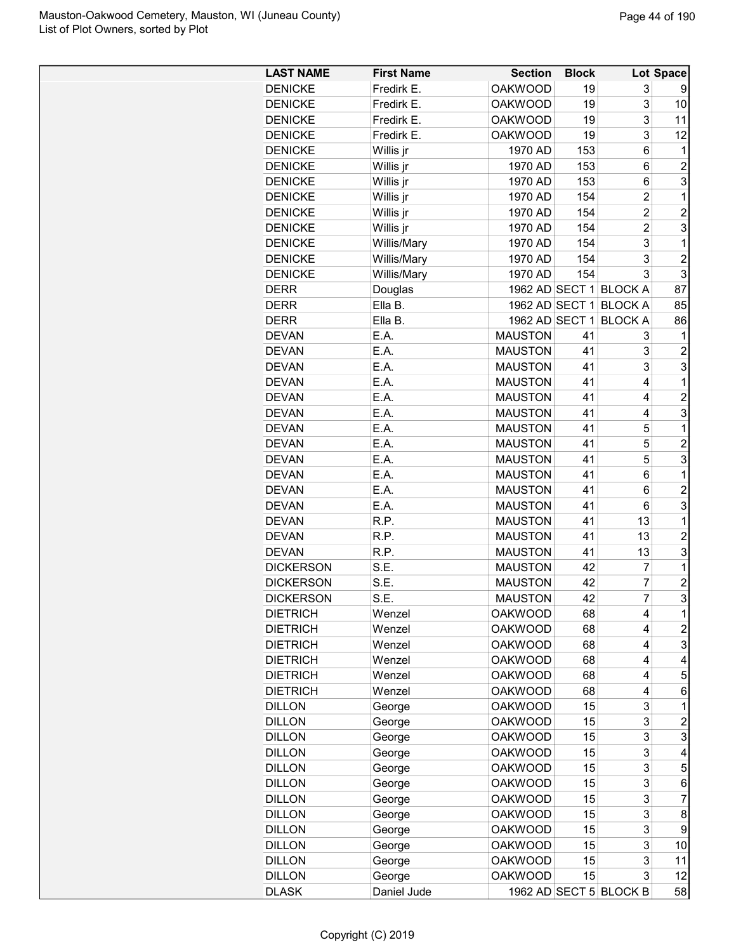| <b>LAST NAME</b>                     | <b>First Name</b> | <b>Section</b>                   | <b>Block</b> |                                  | Lot Space               |
|--------------------------------------|-------------------|----------------------------------|--------------|----------------------------------|-------------------------|
| <b>DENICKE</b>                       | Fredirk E.        | <b>OAKWOOD</b>                   | 19           | 3                                | 9                       |
| <b>DENICKE</b>                       | Fredirk E.        | <b>OAKWOOD</b>                   | 19           | 3                                | 10                      |
| <b>DENICKE</b>                       | Fredirk E.        | <b>OAKWOOD</b>                   | 19           | 3                                | 11                      |
| <b>DENICKE</b>                       | Fredirk E.        | <b>OAKWOOD</b>                   | 19           | 3                                | 12                      |
| <b>DENICKE</b>                       | Willis jr         | 1970 AD                          | 153          | 6                                | $\mathbf 1$             |
| <b>DENICKE</b>                       | Willis jr         | 1970 AD                          | 153          | 6                                | $\overline{\mathbf{c}}$ |
| <b>DENICKE</b>                       | Willis jr         | 1970 AD                          | 153          | 6                                | 3                       |
| <b>DENICKE</b>                       | Willis jr         | 1970 AD                          | 154          | $\overline{\mathbf{c}}$          | $\mathbf 1$             |
| <b>DENICKE</b>                       | Willis jr         | 1970 AD                          | 154          | $\overline{c}$                   | $\overline{c}$          |
| <b>DENICKE</b>                       | Willis jr         | 1970 AD                          | 154          | $\overline{2}$                   | 3                       |
| <b>DENICKE</b>                       | Willis/Mary       | 1970 AD                          | 154          | 3                                | $\mathbf 1$             |
| <b>DENICKE</b>                       | Willis/Mary       | 1970 AD                          | 154          | 3                                | $\overline{2}$          |
| <b>DENICKE</b>                       | Willis/Mary       | 1970 AD                          | 154          | 3                                | 3                       |
| <b>DERR</b>                          | Douglas           |                                  |              | 1962 AD SECT 1 BLOCK A           | 87                      |
| <b>DERR</b>                          | Ella B.           |                                  |              | 1962 AD SECT 1 BLOCK A           | 85                      |
| <b>DERR</b>                          | Ella B.           | 1962 AD SECT 1                   |              | <b>BLOCK A</b>                   | 86                      |
| <b>DEVAN</b>                         | E.A.              | <b>MAUSTON</b>                   | 41           | 3                                | 1                       |
| <b>DEVAN</b>                         | E.A.              | <b>MAUSTON</b>                   | 41           | 3                                | $\overline{c}$          |
| <b>DEVAN</b>                         | E.A.              | <b>MAUSTON</b>                   | 41           | 3                                | 3                       |
| <b>DEVAN</b>                         | E.A.              | <b>MAUSTON</b>                   | 41           | 4                                | $\mathbf 1$             |
| <b>DEVAN</b>                         | E.A.              | <b>MAUSTON</b>                   | 41           | 4                                | $\overline{c}$          |
| <b>DEVAN</b>                         | E.A.              | <b>MAUSTON</b>                   | 41           | 4                                | 3                       |
| <b>DEVAN</b>                         | E.A.              | <b>MAUSTON</b>                   | 41           | 5                                | $\mathbf 1$             |
| <b>DEVAN</b>                         | E.A.              | <b>MAUSTON</b>                   | 41           | 5                                | $\overline{c}$          |
| <b>DEVAN</b>                         | E.A.              | <b>MAUSTON</b>                   | 41           | 5                                | 3                       |
| <b>DEVAN</b>                         | E.A.              | <b>MAUSTON</b>                   | 41           | 6                                | $\mathbf{1}$            |
| <b>DEVAN</b>                         | E.A.              | <b>MAUSTON</b>                   | 41           | 6                                | $\overline{c}$          |
|                                      |                   |                                  |              |                                  |                         |
| <b>DEVAN</b>                         | E.A.              | <b>MAUSTON</b>                   | 41<br>41     | 6<br>13                          | 3<br>$\mathbf 1$        |
| <b>DEVAN</b><br><b>DEVAN</b>         | R.P.              | <b>MAUSTON</b>                   | 41           | 13                               | $\overline{c}$          |
|                                      | R.P.              | <b>MAUSTON</b>                   |              |                                  |                         |
| <b>DEVAN</b>                         | R.P.              | <b>MAUSTON</b>                   | 41           | 13                               | 3                       |
| <b>DICKERSON</b><br><b>DICKERSON</b> | S.E.              | <b>MAUSTON</b>                   | 42           | $\overline{7}$                   | $\mathbf{1}$            |
| <b>DICKERSON</b>                     | S.E.<br>S.E       | <b>MAUSTON</b><br><b>MAUSTON</b> | 42<br>42     | $\overline{7}$<br>$\overline{7}$ | $\overline{c}$<br>3     |
|                                      |                   |                                  |              |                                  |                         |
| <b>DIETRICH</b>                      | Wenzel            | <b>OAKWOOD</b>                   | 68           | 4                                | 1                       |
| <b>DIETRICH</b>                      | Wenzel            | <b>OAKWOOD</b>                   | 68           | 4                                | 2                       |
| <b>DIETRICH</b>                      | Wenzel            | <b>OAKWOOD</b>                   | 68           | 4                                | 3                       |
| <b>DIETRICH</b>                      | Wenzel            | <b>OAKWOOD</b>                   | 68           | 4                                | 4                       |
| <b>DIETRICH</b>                      | Wenzel            | <b>OAKWOOD</b>                   | 68           | 4                                | 5                       |
| <b>DIETRICH</b>                      | Wenzel            | <b>OAKWOOD</b>                   | 68           | 4                                | 6                       |
| <b>DILLON</b>                        | George            | <b>OAKWOOD</b>                   | 15           | 3                                | 1                       |
| <b>DILLON</b>                        | George            | <b>OAKWOOD</b>                   | 15           | 3                                | $\overline{c}$          |
| <b>DILLON</b>                        | George            | <b>OAKWOOD</b>                   | 15           | 3                                | 3                       |
| <b>DILLON</b>                        | George            | <b>OAKWOOD</b>                   | 15           | 3                                | 4                       |
| <b>DILLON</b>                        | George            | <b>OAKWOOD</b>                   | 15           | 3                                | 5                       |
| <b>DILLON</b>                        | George            | <b>OAKWOOD</b>                   | 15           | 3                                | 6                       |
| <b>DILLON</b>                        | George            | <b>OAKWOOD</b>                   | 15           | 3                                | 7                       |
| <b>DILLON</b>                        | George            | <b>OAKWOOD</b>                   | 15           | 3                                | 8                       |
| <b>DILLON</b>                        | George            | <b>OAKWOOD</b>                   | 15           | 3                                | 9                       |
| <b>DILLON</b>                        | George            | <b>OAKWOOD</b>                   | 15           | 3                                | 10                      |
| <b>DILLON</b>                        | George            | <b>OAKWOOD</b>                   | 15           | 3                                | 11                      |
| <b>DILLON</b>                        | George            | <b>OAKWOOD</b>                   | 15           | 3                                | 12                      |
| <b>DLASK</b>                         | Daniel Jude       |                                  |              | 1962 AD SECT 5 BLOCK B           | 58                      |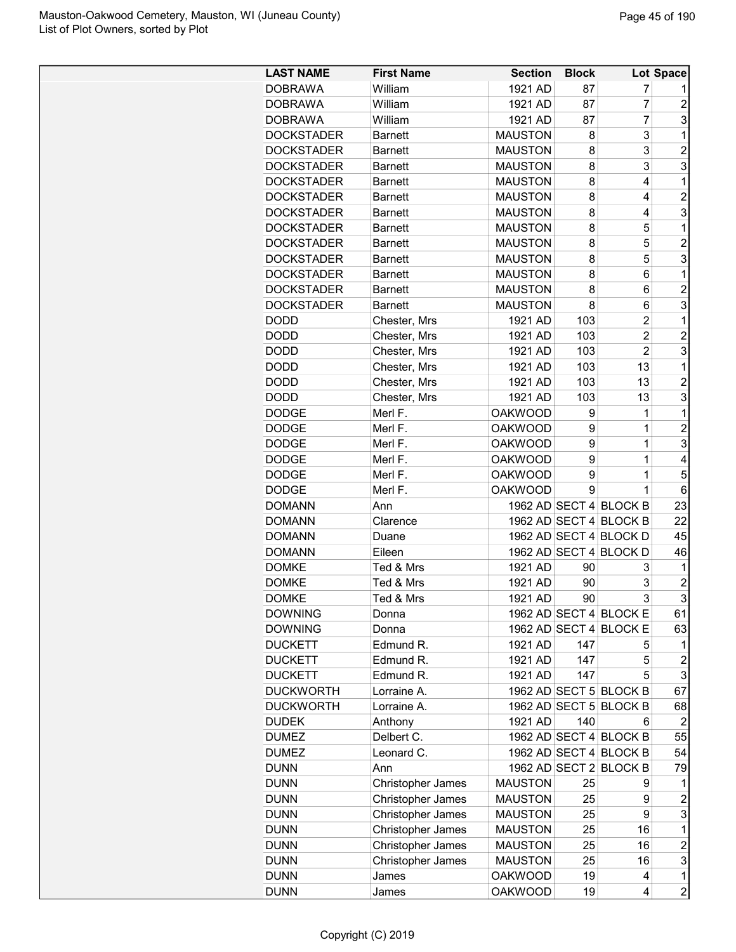| <b>LAST NAME</b>  | <b>First Name</b> | <b>Section</b> | <b>Block</b> |                        | <b>Lot Space</b>        |
|-------------------|-------------------|----------------|--------------|------------------------|-------------------------|
| <b>DOBRAWA</b>    | William           | 1921 AD        | 87           | 7                      |                         |
| <b>DOBRAWA</b>    | William           | 1921 AD        | 87           | $\overline{7}$         | $\overline{c}$          |
| <b>DOBRAWA</b>    | William           | 1921 AD        | 87           | $\overline{7}$         | 3                       |
| <b>DOCKSTADER</b> | <b>Barnett</b>    | <b>MAUSTON</b> | 8            | 3                      | 1                       |
| <b>DOCKSTADER</b> | <b>Barnett</b>    | <b>MAUSTON</b> | 8            | 3                      | $\overline{2}$          |
| <b>DOCKSTADER</b> | <b>Barnett</b>    | <b>MAUSTON</b> | 8            | 3                      | 3                       |
| <b>DOCKSTADER</b> | <b>Barnett</b>    | <b>MAUSTON</b> | 8            | 4                      | 1                       |
| <b>DOCKSTADER</b> | <b>Barnett</b>    | <b>MAUSTON</b> | 8            | 4                      | $\overline{2}$          |
| <b>DOCKSTADER</b> | <b>Barnett</b>    | <b>MAUSTON</b> | 8            | 4                      | 3                       |
| <b>DOCKSTADER</b> | <b>Barnett</b>    | <b>MAUSTON</b> | 8            | 5                      | 1                       |
| <b>DOCKSTADER</b> | <b>Barnett</b>    | <b>MAUSTON</b> | 8            | 5                      | $\overline{c}$          |
| <b>DOCKSTADER</b> | <b>Barnett</b>    | <b>MAUSTON</b> | 8            | 5                      | 3                       |
| <b>DOCKSTADER</b> | <b>Barnett</b>    | <b>MAUSTON</b> | 8            | 6                      | 1                       |
| <b>DOCKSTADER</b> | <b>Barnett</b>    | <b>MAUSTON</b> | 8            | 6                      | $\overline{2}$          |
| <b>DOCKSTADER</b> | <b>Barnett</b>    | <b>MAUSTON</b> | 8            | 6                      | 3                       |
| DODD              | Chester, Mrs      | 1921 AD        | 103          | $\overline{2}$         | 1                       |
| DODD              | Chester, Mrs      | 1921 AD        | 103          | $\overline{2}$         | $\overline{2}$          |
| <b>DODD</b>       | Chester, Mrs      | 1921 AD        | 103          | $\overline{2}$         | 3                       |
| DODD              | Chester, Mrs      | 1921 AD        | 103          | 13                     | 1                       |
| <b>DODD</b>       | Chester, Mrs      | 1921 AD        | 103          | 13                     | $\overline{c}$          |
| <b>DODD</b>       | Chester, Mrs      | 1921 AD        | 103          | 13                     | 3                       |
| <b>DODGE</b>      | Merl F.           | <b>OAKWOOD</b> | 9            | 1                      | 1                       |
| <b>DODGE</b>      | Merl F.           | <b>OAKWOOD</b> | 9            | $\overline{1}$         | $\overline{c}$          |
| <b>DODGE</b>      | Merl F.           | <b>OAKWOOD</b> | 9            | $\overline{1}$         | 3                       |
| <b>DODGE</b>      | Merl F.           | <b>OAKWOOD</b> | 9            | $\overline{1}$         | 4                       |
| <b>DODGE</b>      | Merl F.           | <b>OAKWOOD</b> | 9            | $\overline{1}$         | 5                       |
| <b>DODGE</b>      |                   | <b>OAKWOOD</b> | 9            | $\mathbf 1$            |                         |
|                   | Merl F.           |                |              |                        | 6                       |
| <b>DOMANN</b>     | Ann               |                |              | 1962 AD SECT 4 BLOCK B | 23                      |
| <b>DOMANN</b>     | Clarence          |                |              | 1962 AD SECT 4 BLOCK B | 22                      |
| <b>DOMANN</b>     | Duane             |                |              | 1962 AD SECT 4 BLOCK D | 45                      |
| <b>DOMANN</b>     | Eileen            |                |              | 1962 AD SECT 4 BLOCK D | 46                      |
| <b>DOMKE</b>      | Ted & Mrs         | 1921 AD        | 90           | 3                      | 1                       |
| <b>DOMKE</b>      | Ted & Mrs         | 1921 AD        | 90           | 3<br>3                 | $\overline{2}$<br>3     |
| <b>DOMKE</b>      | Ted & Mrs         | 1921 AD        | 90           |                        |                         |
| <b>DOWNING</b>    | Donna             |                |              | 1962 AD SECT 4 BLOCK E | 61                      |
| <b>DOWNING</b>    | Donna             |                |              | 1962 AD SECT 4 BLOCK E | 63                      |
| <b>DUCKETT</b>    | Edmund R.         | 1921 AD        | 147          | 5                      | 1                       |
| <b>DUCKETT</b>    | Edmund R.         | 1921 AD        | 147          | 5                      | $\overline{c}$          |
| <b>DUCKETT</b>    | Edmund R.         | 1921 AD        | 147          | 5                      | 3                       |
| <b>DUCKWORTH</b>  | Lorraine A.       |                |              | 1962 AD SECT 5 BLOCK B | 67                      |
| <b>DUCKWORTH</b>  | Lorraine A.       |                |              | 1962 AD SECT 5 BLOCK B | 68                      |
| <b>DUDEK</b>      | Anthony           | 1921 AD        | 140          | 6                      | $\overline{2}$          |
| <b>DUMEZ</b>      | Delbert C.        |                |              | 1962 AD SECT 4 BLOCK B | 55                      |
| <b>DUMEZ</b>      | Leonard C.        |                |              | 1962 AD SECT 4 BLOCK B | 54                      |
| <b>DUNN</b>       | Ann               |                |              | 1962 AD SECT 2 BLOCK B | 79                      |
| <b>DUNN</b>       | Christopher James | <b>MAUSTON</b> | 25           | 9                      | 1                       |
| <b>DUNN</b>       | Christopher James | MAUSTON        | 25           | 9                      | $\overline{\mathbf{c}}$ |
| <b>DUNN</b>       | Christopher James | <b>MAUSTON</b> | 25           | 9                      | 3                       |
| <b>DUNN</b>       | Christopher James | <b>MAUSTON</b> | 25           | 16                     | 1                       |
| <b>DUNN</b>       | Christopher James | <b>MAUSTON</b> | 25           | 16                     | $\overline{c}$          |
| <b>DUNN</b>       | Christopher James | <b>MAUSTON</b> | 25           | 16                     | 3                       |
| <b>DUNN</b>       | James             | <b>OAKWOOD</b> | 19           | 4                      | 1                       |
| <b>DUNN</b>       | James             | <b>OAKWOOD</b> | 19           | 4                      | $\overline{c}$          |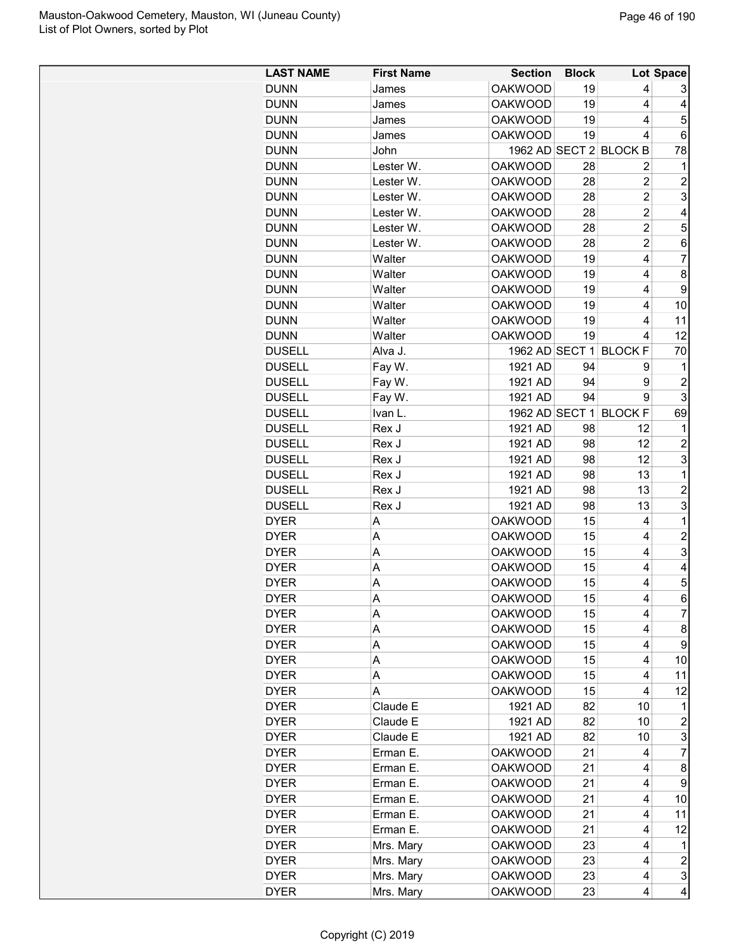| <b>LAST NAME</b> | <b>First Name</b>    | <b>Section</b>                   | <b>Block</b> |                        | Lot Space      |
|------------------|----------------------|----------------------------------|--------------|------------------------|----------------|
| <b>DUNN</b>      | James                | <b>OAKWOOD</b>                   | 19           | 4                      | 3              |
| <b>DUNN</b>      | James                | <b>OAKWOOD</b>                   | 19           | 4                      | 4              |
| <b>DUNN</b>      | James                | <b>OAKWOOD</b>                   | 19           | 4                      | 5              |
| <b>DUNN</b>      | James                | <b>OAKWOOD</b>                   | 19           | 4                      | 6              |
| <b>DUNN</b>      | John                 |                                  |              | 1962 AD SECT 2 BLOCK B | 78             |
| <b>DUNN</b>      | Lester W.            | <b>OAKWOOD</b>                   | 28           | $\overline{2}$         | $\mathbf 1$    |
| <b>DUNN</b>      | Lester W.            | <b>OAKWOOD</b>                   | 28           | $\overline{2}$         | $\overline{2}$ |
| <b>DUNN</b>      | Lester W.            | <b>OAKWOOD</b>                   | 28           | $\overline{2}$         | 3              |
| <b>DUNN</b>      | Lester W.            | <b>OAKWOOD</b>                   | 28           | $\overline{2}$         | 4              |
| <b>DUNN</b>      | Lester W.            | <b>OAKWOOD</b>                   | 28           | $\overline{2}$         | 5              |
| <b>DUNN</b>      | Lester W.            | <b>OAKWOOD</b>                   | 28           | $\overline{2}$         | 6              |
| <b>DUNN</b>      | Walter               | <b>OAKWOOD</b>                   | 19           | 4                      | $\overline{7}$ |
| <b>DUNN</b>      | Walter               | <b>OAKWOOD</b>                   | 19           | 4                      | 8              |
| <b>DUNN</b>      | Walter               | <b>OAKWOOD</b>                   | 19           | $\overline{4}$         | 9              |
| <b>DUNN</b>      | Walter               | <b>OAKWOOD</b>                   | 19           | 4                      | 10             |
| <b>DUNN</b>      | Walter               | <b>OAKWOOD</b>                   | 19           | 4                      | 11             |
| <b>DUNN</b>      | Walter               | <b>OAKWOOD</b>                   | 19           | 4                      | 12             |
| <b>DUSELL</b>    | Alva J.              |                                  |              | 1962 AD SECT 1 BLOCK F | 70             |
| <b>DUSELL</b>    | Fay W.               | 1921 AD                          | 94           | 9                      | 1              |
| <b>DUSELL</b>    | Fay W.               | 1921 AD                          | 94           | 9                      | $\overline{c}$ |
| <b>DUSELL</b>    | Fay W.               | 1921 AD                          | 94           | 9                      | 3              |
| <b>DUSELL</b>    | Ivan L.              | 1962 AD SECT 1                   |              | <b>BLOCK F</b>         | 69             |
| <b>DUSELL</b>    | Rex J                | 1921 AD                          | 98           | 12                     | 1              |
| <b>DUSELL</b>    | Rex J                | 1921 AD                          | 98           | 12                     | 2              |
| <b>DUSELL</b>    | Rex J                | 1921 AD                          | 98           | 12                     | 3              |
| <b>DUSELL</b>    | Rex J                | 1921 AD                          | 98           | 13                     | $\mathbf{1}$   |
| <b>DUSELL</b>    | Rex J                | 1921 AD                          | 98           | 13                     | $\overline{c}$ |
| <b>DUSELL</b>    | Rex J                | 1921 AD                          | 98           | 13                     | 3              |
| <b>DYER</b>      | Α                    | <b>OAKWOOD</b>                   | 15           | 4                      | $\mathbf 1$    |
| <b>DYER</b>      | A                    | <b>OAKWOOD</b>                   | 15           | 4                      | $\overline{c}$ |
| <b>DYER</b>      | А                    | <b>OAKWOOD</b>                   | 15           | 4                      | 3              |
| <b>DYER</b>      | Α                    | <b>OAKWOOD</b>                   | 15           | 4                      | 4              |
| <b>DYER</b>      | Α                    | <b>OAKWOOD</b>                   | 15           | 4                      | 5              |
| <b>DYER</b>      | A                    | <b>OAKWOOD</b>                   | 15           | 4                      | $6 \mid$       |
| <b>DYER</b>      | A                    | <b>OAKWOOD</b>                   | 15           | 4                      | $\overline{7}$ |
| <b>DYER</b>      | A                    | <b>OAKWOOD</b>                   | 15           | 4                      | 8              |
| <b>DYER</b>      | A                    | <b>OAKWOOD</b>                   | 15           | 4                      | 9              |
| <b>DYER</b>      | Α                    | <b>OAKWOOD</b>                   | 15           | 4                      | 10             |
| <b>DYER</b>      | Α                    | <b>OAKWOOD</b>                   | 15           | 4                      | 11             |
| <b>DYER</b>      | A                    | <b>OAKWOOD</b>                   | 15           | 4                      | 12             |
| <b>DYER</b>      | Claude E             | 1921 AD                          | 82           | 10                     | 1              |
| <b>DYER</b>      | Claude E             | 1921 AD                          | 82           | 10                     | $\overline{c}$ |
| <b>DYER</b>      | Claude E             | 1921 AD                          | 82           | 10                     | 3              |
|                  |                      |                                  |              |                        | $\overline{7}$ |
| <b>DYER</b>      | Erman E.<br>Erman E. | <b>OAKWOOD</b><br><b>OAKWOOD</b> | 21<br>21     | 4                      |                |
| <b>DYER</b>      |                      |                                  |              | 4<br>4                 | 8              |
| <b>DYER</b>      | Erman E.             | <b>OAKWOOD</b>                   | 21           |                        | 9              |
| <b>DYER</b>      | Erman E.             | <b>OAKWOOD</b>                   | 21           | 4                      | 10             |
| <b>DYER</b>      | Erman E.             | <b>OAKWOOD</b>                   | 21           | 4                      | 11             |
| <b>DYER</b>      | Erman E.             | <b>OAKWOOD</b>                   | 21           | 4                      | 12             |
| <b>DYER</b>      | Mrs. Mary            | <b>OAKWOOD</b>                   | 23           | 4                      | 1              |
| <b>DYER</b>      | Mrs. Mary            | <b>OAKWOOD</b>                   | 23           | 4                      | 2              |
| <b>DYER</b>      | Mrs. Mary            | <b>OAKWOOD</b>                   | 23           | 4                      | 3              |
| <b>DYER</b>      | Mrs. Mary            | <b>OAKWOOD</b>                   | 23           | 4                      | 4              |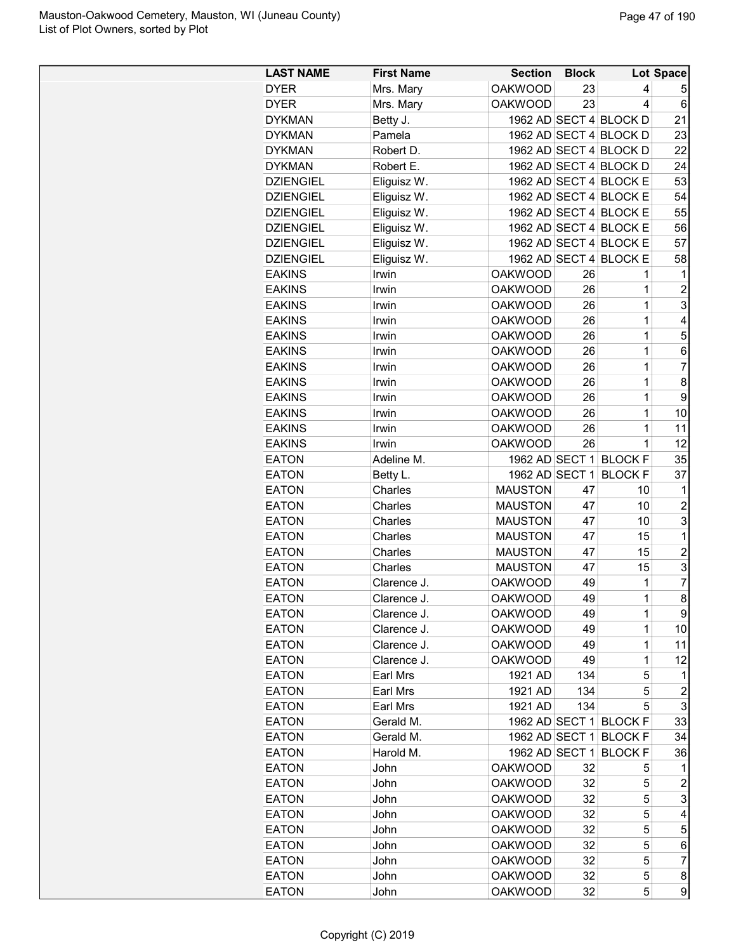| <b>LAST NAME</b>             | <b>First Name</b> | <b>Section</b>                   | <b>Block</b> |                        | Lot Space      |
|------------------------------|-------------------|----------------------------------|--------------|------------------------|----------------|
| <b>DYER</b>                  | Mrs. Mary         | <b>OAKWOOD</b>                   | 23           | 4                      | 5              |
| <b>DYER</b>                  | Mrs. Mary         | <b>OAKWOOD</b>                   | 23           | 4                      | 6              |
| <b>DYKMAN</b>                | Betty J.          |                                  |              | 1962 AD SECT 4 BLOCK D | 21             |
| <b>DYKMAN</b>                | Pamela            |                                  |              | 1962 AD SECT 4 BLOCK D | 23             |
| <b>DYKMAN</b>                | Robert D.         |                                  |              | 1962 AD SECT 4 BLOCK D | 22             |
| <b>DYKMAN</b>                | Robert E.         |                                  |              | 1962 AD SECT 4 BLOCK D | 24             |
| <b>DZIENGIEL</b>             | Eliguisz W.       |                                  |              | 1962 AD SECT 4 BLOCK E | 53             |
| <b>DZIENGIEL</b>             | Eliguisz W.       |                                  |              | 1962 AD SECT 4 BLOCK E | 54             |
| <b>DZIENGIEL</b>             | Eliguisz W.       |                                  |              | 1962 AD SECT 4 BLOCK E | 55             |
| <b>DZIENGIEL</b>             | Eliguisz W.       |                                  |              | 1962 AD SECT 4 BLOCK E | 56             |
| <b>DZIENGIEL</b>             | Eliguisz W.       |                                  |              | 1962 AD SECT 4 BLOCK E | 57             |
| <b>DZIENGIEL</b>             | Eliguisz W.       |                                  |              | 1962 AD SECT 4 BLOCK E | 58             |
| <b>EAKINS</b>                | Irwin             | <b>OAKWOOD</b>                   | 26           | 1                      | 1              |
| <b>EAKINS</b>                | Irwin             | <b>OAKWOOD</b>                   | 26           | $\overline{1}$         | $\overline{2}$ |
| <b>EAKINS</b>                | Irwin             | <b>OAKWOOD</b>                   | 26           | 1                      | 3              |
| <b>EAKINS</b>                | Irwin             | <b>OAKWOOD</b>                   | 26           | $\overline{1}$         | 4              |
| <b>EAKINS</b>                | Irwin             | <b>OAKWOOD</b>                   | 26           | $\overline{1}$         | 5              |
| <b>EAKINS</b>                | Irwin             | <b>OAKWOOD</b>                   | 26           | $\mathbf{1}$           | 6              |
| <b>EAKINS</b>                | Irwin             | <b>OAKWOOD</b>                   | 26           | 1                      | $\overline{7}$ |
| <b>EAKINS</b>                | Irwin             | <b>OAKWOOD</b>                   | 26           | 1                      | 8              |
| <b>EAKINS</b>                | Irwin             | <b>OAKWOOD</b>                   | 26           | $\overline{1}$         | 9              |
| <b>EAKINS</b>                | Irwin             | <b>OAKWOOD</b>                   | 26           | 1                      | 10             |
| <b>EAKINS</b>                | Irwin             | <b>OAKWOOD</b>                   | 26           | 1                      | 11             |
| <b>EAKINS</b>                | Irwin             | <b>OAKWOOD</b>                   | 26           | $\mathbf{1}$           | 12             |
| <b>EATON</b>                 | Adeline M.        |                                  |              | 1962 AD SECT 1 BLOCK F | 35             |
| <b>EATON</b>                 | Betty L.          | 1962 AD SECT 1                   |              | <b>BLOCK F</b>         | 37             |
| <b>EATON</b>                 | Charles           | <b>MAUSTON</b>                   | 47           | 10                     | 1              |
| <b>EATON</b>                 | Charles           | <b>MAUSTON</b>                   | 47           | 10                     | $\overline{c}$ |
| <b>EATON</b>                 | Charles           | <b>MAUSTON</b>                   | 47           | 10                     | 3              |
| <b>EATON</b>                 | Charles           | <b>MAUSTON</b>                   | 47           | 15                     | 1              |
| <b>EATON</b>                 | Charles           | <b>MAUSTON</b>                   | 47           | 15                     | $\overline{c}$ |
| <b>EATON</b>                 | Charles           | <b>MAUSTON</b>                   | 47           | 15                     | 3              |
| <b>EATON</b>                 | Clarence J.       | <b>OAKWOOD</b>                   | 49           | 1                      | 7              |
| <b>EATON</b>                 | Clarence J.       | <b>OAKWOOD</b>                   | 49           | 1                      | 8              |
| <b>EATON</b>                 | Clarence J.       | <b>OAKWOOD</b>                   | 49           | 1                      | 9              |
| <b>EATON</b>                 | Clarence J.       | <b>OAKWOOD</b>                   | 49           | 1                      | 10             |
| <b>EATON</b>                 | Clarence J.       | <b>OAKWOOD</b>                   | 49           | 1                      | 11             |
| <b>EATON</b>                 | Clarence J.       | <b>OAKWOOD</b>                   | 49           | $\mathbf{1}$           | 12             |
| <b>EATON</b>                 | Earl Mrs          | 1921 AD                          | 134          | 5                      | 1              |
| <b>EATON</b>                 | Earl Mrs          | 1921 AD                          | 134          | 5                      | $\overline{c}$ |
| <b>EATON</b>                 | Earl Mrs          | 1921 AD                          | 134          | 5                      | 3              |
| <b>EATON</b>                 | Gerald M.         |                                  |              | 1962 AD SECT 1 BLOCK F | 33             |
| <b>EATON</b>                 | Gerald M.         |                                  |              | 1962 AD SECT 1 BLOCK F | 34             |
| <b>EATON</b>                 | Harold M.         | 1962 AD SECT 1                   |              | <b>BLOCK F</b>         | 36             |
| <b>EATON</b>                 | John              | <b>OAKWOOD</b>                   | 32           | 5                      | 1              |
|                              |                   |                                  |              |                        |                |
| <b>EATON</b><br><b>EATON</b> | John              | <b>OAKWOOD</b><br><b>OAKWOOD</b> | 32<br>32     | 5<br>5                 | 2<br>3         |
|                              | John              | <b>OAKWOOD</b>                   |              |                        | 4              |
| <b>EATON</b>                 | John              |                                  | 32           | 5                      |                |
| <b>EATON</b>                 | John              | <b>OAKWOOD</b>                   | 32           | 5                      | 5              |
| <b>EATON</b>                 | John              | <b>OAKWOOD</b>                   | 32           | 5                      | 6              |
| <b>EATON</b>                 | John              | <b>OAKWOOD</b>                   | 32           | 5                      | $\overline{7}$ |
| <b>EATON</b>                 | John              | <b>OAKWOOD</b>                   | 32           | 5                      | 8              |
| <b>EATON</b>                 | John              | <b>OAKWOOD</b>                   | 32           | 5                      | 9              |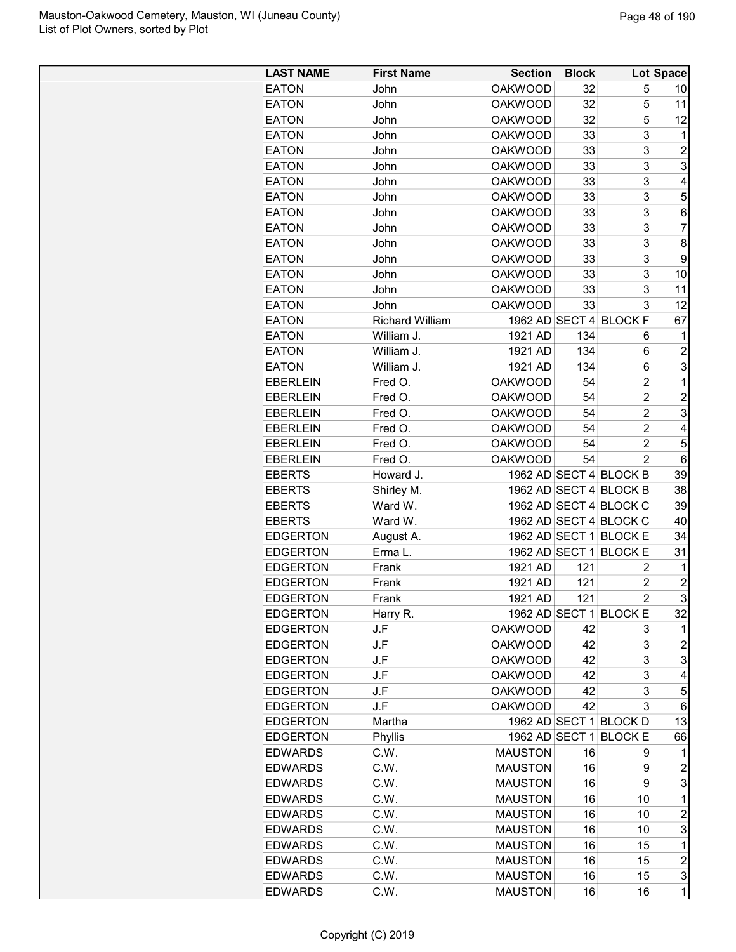| <b>LAST NAME</b> | <b>First Name</b>      | <b>Section</b> | <b>Block</b> |                        | Lot Space               |
|------------------|------------------------|----------------|--------------|------------------------|-------------------------|
| <b>EATON</b>     | John                   | <b>OAKWOOD</b> | 32           | 5                      | 10                      |
| <b>EATON</b>     | John                   | <b>OAKWOOD</b> | 32           | 5                      | 11                      |
| <b>EATON</b>     | John                   | <b>OAKWOOD</b> | 32           | 5                      | 12                      |
| <b>EATON</b>     | John                   | <b>OAKWOOD</b> | 33           | 3                      | $\mathbf 1$             |
| <b>EATON</b>     | John                   | <b>OAKWOOD</b> | 33           | 3                      | $\overline{2}$          |
| <b>EATON</b>     | John                   | <b>OAKWOOD</b> | 33           | 3                      | 3                       |
| <b>EATON</b>     | John                   | <b>OAKWOOD</b> | 33           | 3                      | 4                       |
| <b>EATON</b>     | John                   | <b>OAKWOOD</b> | 33           | 3                      | 5                       |
| <b>EATON</b>     | John                   | <b>OAKWOOD</b> | 33           | 3                      | 6                       |
| <b>EATON</b>     | John                   | <b>OAKWOOD</b> | 33           | 3                      | 7                       |
| <b>EATON</b>     | John                   | <b>OAKWOOD</b> | 33           | 3                      | 8                       |
| <b>EATON</b>     | John                   | <b>OAKWOOD</b> | 33           | 3                      | 9                       |
|                  | John                   |                | 33           | 3                      | 10                      |
| <b>EATON</b>     |                        | <b>OAKWOOD</b> |              |                        |                         |
| <b>EATON</b>     | John                   | <b>OAKWOOD</b> | 33           | 3                      | 11                      |
| <b>EATON</b>     | John                   | <b>OAKWOOD</b> | 33           | 3                      | 12                      |
| <b>EATON</b>     | <b>Richard William</b> |                |              | 1962 AD SECT 4 BLOCK F | 67                      |
| <b>EATON</b>     | William J.             | 1921 AD        | 134          | 6                      | 1                       |
| <b>EATON</b>     | William J.             | 1921 AD        | 134          | 6                      | $\overline{2}$          |
| <b>EATON</b>     | William J.             | 1921 AD        | 134          | 6                      | 3                       |
| <b>EBERLEIN</b>  | Fred O.                | <b>OAKWOOD</b> | 54           | $\overline{2}$         | 1                       |
| <b>EBERLEIN</b>  | Fred O.                | <b>OAKWOOD</b> | 54           | $\overline{c}$         | $\overline{2}$          |
| <b>EBERLEIN</b>  | Fred O.                | <b>OAKWOOD</b> | 54           | $\overline{2}$         | 3                       |
| <b>EBERLEIN</b>  | Fred O.                | <b>OAKWOOD</b> | 54           | $\overline{c}$         | 4                       |
| <b>EBERLEIN</b>  | Fred O.                | <b>OAKWOOD</b> | 54           | $\overline{c}$         | 5                       |
| <b>EBERLEIN</b>  | Fred O.                | <b>OAKWOOD</b> | 54           | $\overline{2}$         | 6                       |
| <b>EBERTS</b>    | Howard J.              |                |              | 1962 AD SECT 4 BLOCK B | 39                      |
| <b>EBERTS</b>    | Shirley M.             |                |              | 1962 AD SECT 4 BLOCK B | 38                      |
| <b>EBERTS</b>    | Ward W.                |                |              | 1962 AD SECT 4 BLOCK C | 39                      |
| <b>EBERTS</b>    | Ward W.                |                |              | 1962 AD SECT 4 BLOCK C | 40                      |
| <b>EDGERTON</b>  | August A.              |                |              | 1962 AD SECT 1 BLOCK E | 34                      |
| <b>EDGERTON</b>  | Erma L.                | 1962 AD SECT 1 |              | <b>BLOCK E</b>         | 31                      |
| <b>EDGERTON</b>  | Frank                  | 1921 AD        | 121          | 2                      | 1                       |
| <b>EDGERTON</b>  | Frank                  | 1921 AD        | 121          | 2                      | $\overline{c}$          |
| <b>EDGERTON</b>  | Frank                  | 1921 AD        | 121          | $\overline{c}$         | 3                       |
| <b>EDGERTON</b>  | Harry R.               |                |              | 1962 AD SECT 1 BLOCK E | 32                      |
| <b>EDGERTON</b>  | J.F                    | <b>OAKWOOD</b> | 42           | 3                      | 1                       |
| <b>EDGERTON</b>  | J.F                    | <b>OAKWOOD</b> | 42           | 3                      | $\overline{c}$          |
| <b>EDGERTON</b>  | J.F                    | <b>OAKWOOD</b> | 42           | 3                      | 3                       |
| <b>EDGERTON</b>  | J.F                    | <b>OAKWOOD</b> | 42           | 3                      | 4                       |
| <b>EDGERTON</b>  | J.F                    | <b>OAKWOOD</b> | 42           | 3                      | 5                       |
| <b>EDGERTON</b>  | J.F                    | <b>OAKWOOD</b> | 42           | 3                      | 6                       |
| <b>EDGERTON</b>  | Martha                 |                |              | 1962 AD SECT 1 BLOCK D | 13                      |
| <b>EDGERTON</b>  | Phyllis                |                |              | 1962 AD SECT 1 BLOCK E | 66                      |
| <b>EDWARDS</b>   | C.W.                   | <b>MAUSTON</b> | 16           | 9                      | 1                       |
| <b>EDWARDS</b>   | C.W.                   | <b>MAUSTON</b> | 16           | 9                      | 2                       |
| <b>EDWARDS</b>   | C.W.                   | <b>MAUSTON</b> | 16           | 9                      | 3                       |
| <b>EDWARDS</b>   | C.W.                   | <b>MAUSTON</b> | 16           | 10                     | $\mathbf 1$             |
| <b>EDWARDS</b>   |                        |                |              | 10                     |                         |
|                  | C.W.                   | <b>MAUSTON</b> | 16           |                        | $\overline{\mathbf{c}}$ |
| <b>EDWARDS</b>   | C.W.                   | <b>MAUSTON</b> | 16           | 10                     | 3                       |
| <b>EDWARDS</b>   | C.W.                   | <b>MAUSTON</b> | 16           | 15                     | $\mathbf 1$             |
| <b>EDWARDS</b>   | C.W.                   | <b>MAUSTON</b> | 16           | 15                     | $\overline{\mathbf{c}}$ |
| <b>EDWARDS</b>   | C.W.                   | <b>MAUSTON</b> | 16           | 15                     | 3                       |
| <b>EDWARDS</b>   | C.W.                   | <b>MAUSTON</b> | 16           | 16                     | $\mathbf{1}$            |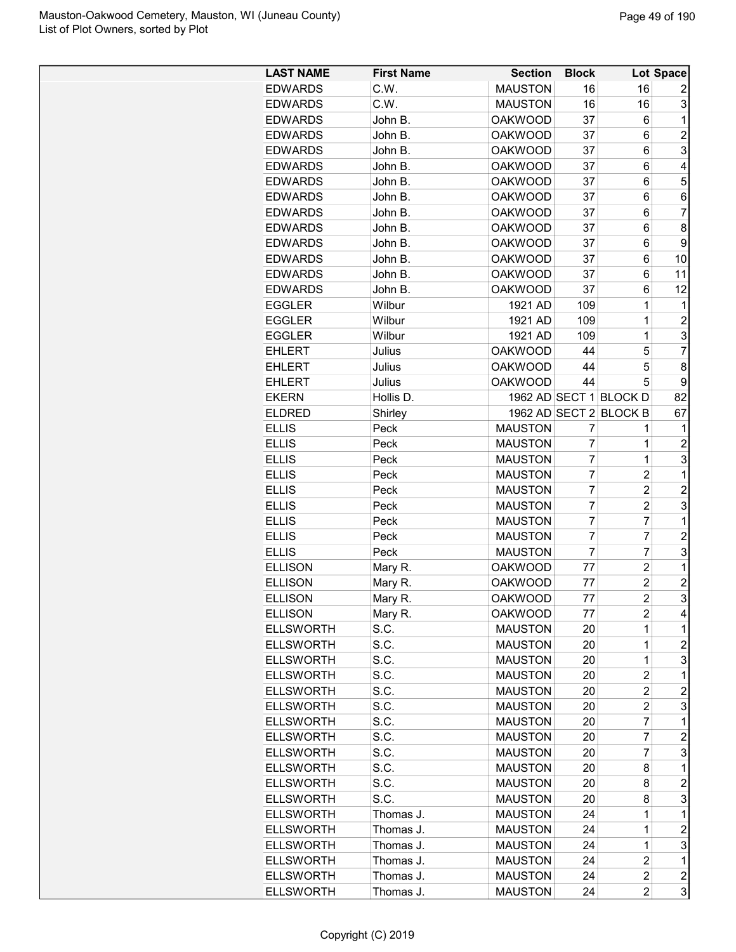| <b>LAST NAME</b> | <b>First Name</b> | <b>Section</b> | <b>Block</b>   |                         | Lot Space               |
|------------------|-------------------|----------------|----------------|-------------------------|-------------------------|
| <b>EDWARDS</b>   | C.W.              | <b>MAUSTON</b> | 16             | 16                      | 2                       |
| <b>EDWARDS</b>   | C.W.              | <b>MAUSTON</b> | 16             | 16                      | 3                       |
| <b>EDWARDS</b>   | John B.           | <b>OAKWOOD</b> | 37             | 6                       | 1                       |
| <b>EDWARDS</b>   | John B.           | <b>OAKWOOD</b> | 37             | 6                       | $\overline{2}$          |
| <b>EDWARDS</b>   | John B.           | <b>OAKWOOD</b> | 37             | 6                       | 3                       |
| <b>EDWARDS</b>   | John B.           | <b>OAKWOOD</b> | 37             | 6                       | 4                       |
| <b>EDWARDS</b>   | John B.           | <b>OAKWOOD</b> | 37             | 6                       | 5                       |
| <b>EDWARDS</b>   | John B.           | <b>OAKWOOD</b> | 37             | 6                       | 6                       |
| <b>EDWARDS</b>   | John B.           | <b>OAKWOOD</b> | 37             | 6                       | $\overline{7}$          |
| <b>EDWARDS</b>   | John B.           | <b>OAKWOOD</b> | 37             | 6                       | 8                       |
| <b>EDWARDS</b>   | John B.           | <b>OAKWOOD</b> | 37             | 6                       | 9                       |
| <b>EDWARDS</b>   | John B.           | <b>OAKWOOD</b> | 37             | 6                       | 10                      |
| <b>EDWARDS</b>   | John B.           | <b>OAKWOOD</b> | 37             | 6                       | 11                      |
| <b>EDWARDS</b>   | John B.           | <b>OAKWOOD</b> | 37             | 6                       | 12                      |
| <b>EGGLER</b>    | Wilbur            | 1921 AD        | 109            | $\overline{1}$          | 1                       |
| <b>EGGLER</b>    | Wilbur            | 1921 AD        | 109            | $\overline{1}$          | $\overline{2}$          |
| <b>EGGLER</b>    | Wilbur            | 1921 AD        | 109            | $\overline{1}$          | 3                       |
| <b>EHLERT</b>    | Julius            | <b>OAKWOOD</b> | 44             | 5                       | $\overline{7}$          |
| <b>EHLERT</b>    | Julius            | <b>OAKWOOD</b> | 44             | 5                       | 8                       |
| <b>EHLERT</b>    | Julius            | <b>OAKWOOD</b> | 44             | 5                       | 9                       |
| <b>EKERN</b>     | Hollis D.         |                |                | 1962 AD SECT 1 BLOCK D  | 82                      |
| <b>ELDRED</b>    | Shirley           |                |                | 1962 AD SECT 2 BLOCK B  | 67                      |
| <b>ELLIS</b>     | Peck              | <b>MAUSTON</b> | 7              | 1                       | 1                       |
| <b>ELLIS</b>     | Peck              | <b>MAUSTON</b> | 7              | 1                       | 2                       |
| <b>ELLIS</b>     | Peck              | <b>MAUSTON</b> | 7              | 1                       | 3                       |
| <b>ELLIS</b>     | Peck              | <b>MAUSTON</b> | $\overline{7}$ | 2                       | 1                       |
| <b>ELLIS</b>     | Peck              | <b>MAUSTON</b> | $\overline{7}$ | $\overline{c}$          | $\overline{c}$          |
| <b>ELLIS</b>     | Peck              | <b>MAUSTON</b> | 7              | $\overline{2}$          | 3                       |
| <b>ELLIS</b>     | Peck              | <b>MAUSTON</b> | 7              | 7                       | 1                       |
| <b>ELLIS</b>     | Peck              | <b>MAUSTON</b> | $\overline{7}$ | $\overline{7}$          | $\overline{c}$          |
| <b>ELLIS</b>     | Peck              | <b>MAUSTON</b> | $\overline{7}$ | 7                       | 3                       |
| <b>ELLISON</b>   | Mary R.           | <b>OAKWOOD</b> | 77             | $\overline{2}$          | 1                       |
| <b>ELLISON</b>   | Mary R.           | <b>OAKWOOD</b> | 77             | $\overline{2}$          | $\overline{c}$          |
| <b>ELLISON</b>   | Mary R.           | <b>OAKWOOD</b> | 77             | $\overline{c}$          | 3                       |
| <b>ELLISON</b>   |                   | <b>OAKWOOD</b> | 77             | 2                       | 4                       |
| <b>ELLSWORTH</b> | Mary R.<br>S.C.   | <b>MAUSTON</b> | 20             | 1                       | 1                       |
| <b>ELLSWORTH</b> | S.C.              | <b>MAUSTON</b> | 20             | 1                       | $\overline{c}$          |
| <b>ELLSWORTH</b> | S.C.              | <b>MAUSTON</b> | 20             | $\mathbf{1}$            | 3                       |
| <b>ELLSWORTH</b> | S.C.              | <b>MAUSTON</b> | 20             | $\overline{c}$          | 1                       |
| <b>ELLSWORTH</b> | S.C.              | <b>MAUSTON</b> | 20             | $\overline{c}$          | $\overline{c}$          |
| <b>ELLSWORTH</b> | S.C.              | <b>MAUSTON</b> | 20             | $\overline{c}$          | 3                       |
| <b>ELLSWORTH</b> | S.C.              | <b>MAUSTON</b> |                | 7                       | 1                       |
| <b>ELLSWORTH</b> | S.C.              |                | 20             | 7                       | $\overline{2}$          |
|                  |                   | <b>MAUSTON</b> | 20             | 7                       |                         |
| <b>ELLSWORTH</b> | S.C.              | <b>MAUSTON</b> | 20             |                         | 3                       |
| <b>ELLSWORTH</b> | S.C.              | <b>MAUSTON</b> | 20             | 8                       | 1                       |
| <b>ELLSWORTH</b> | S.C.              | <b>MAUSTON</b> | 20             | 8                       | $\overline{c}$          |
| <b>ELLSWORTH</b> | S.C.              | <b>MAUSTON</b> | 20             | 8                       | 3                       |
| <b>ELLSWORTH</b> | Thomas J.         | <b>MAUSTON</b> | 24             | $\mathbf 1$             | 1                       |
| <b>ELLSWORTH</b> | Thomas J.         | <b>MAUSTON</b> | 24             | 1                       | $\overline{c}$          |
| <b>ELLSWORTH</b> | Thomas J.         | <b>MAUSTON</b> | 24             | $\mathbf 1$             | 3                       |
| <b>ELLSWORTH</b> | Thomas J.         | <b>MAUSTON</b> | 24             | $\overline{2}$          | $\mathbf 1$             |
| <b>ELLSWORTH</b> | Thomas J.         | <b>MAUSTON</b> | 24             | $\overline{\mathbf{c}}$ | $\overline{\mathbf{c}}$ |
| <b>ELLSWORTH</b> | Thomas J.         | <b>MAUSTON</b> | 24             | $\overline{c}$          | 3                       |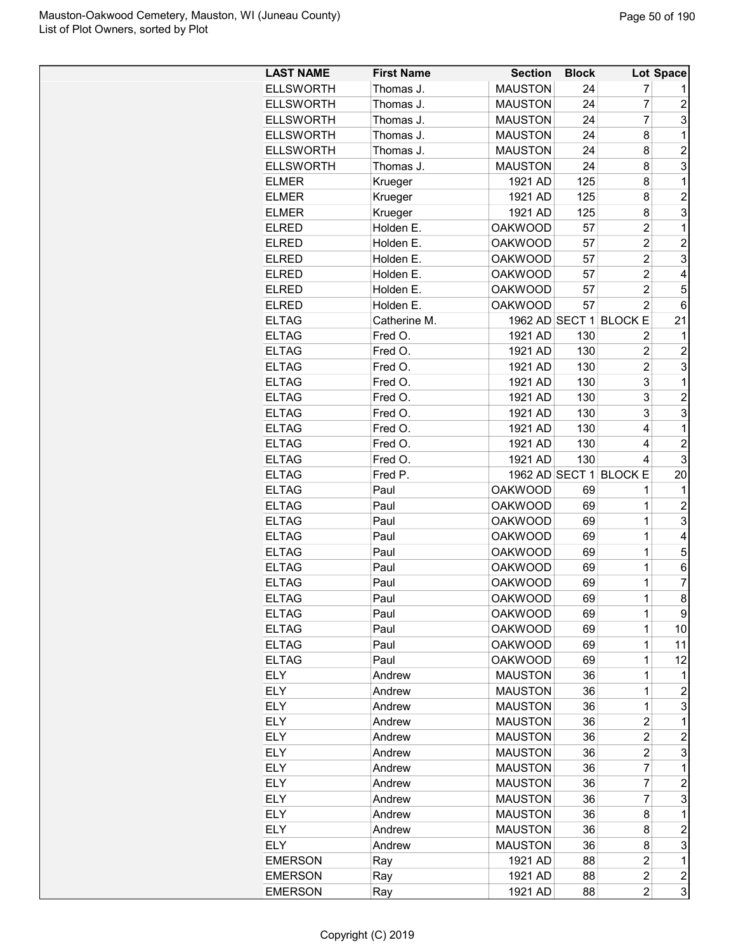| <b>ELLSWORTH</b><br><b>MAUSTON</b><br>7<br>Thomas J.<br>24<br>$\overline{7}$<br><b>ELLSWORTH</b><br><b>MAUSTON</b><br>24<br>$\overline{c}$<br>Thomas J.<br>$\overline{7}$<br>3<br><b>ELLSWORTH</b><br><b>MAUSTON</b><br>Thomas J.<br>24<br><b>ELLSWORTH</b><br><b>MAUSTON</b><br>8<br>1<br>Thomas J.<br>24<br>$\overline{2}$<br><b>ELLSWORTH</b><br><b>MAUSTON</b><br>Thomas J.<br>24<br>8<br>3<br><b>ELLSWORTH</b><br>Thomas J.<br><b>MAUSTON</b><br>24<br>8<br>125<br>1921 AD<br>8<br>1<br><b>ELMER</b><br>Krueger<br>$\overline{c}$<br>1921 AD<br>125<br>8<br><b>ELMER</b><br>Krueger<br>3<br>125<br><b>ELMER</b><br>Krueger<br>1921 AD<br>8<br>$\mathbf 1$<br><b>OAKWOOD</b><br>$\overline{c}$<br>ELRED<br>Holden E.<br>57<br><b>ELRED</b><br><b>OAKWOOD</b><br>$\overline{c}$<br>$\overline{c}$<br>Holden E.<br>57<br>3<br><b>ELRED</b><br><b>OAKWOOD</b><br>$\overline{c}$<br>Holden E.<br>57<br><b>OAKWOOD</b><br>57<br>$\overline{c}$<br>4<br><b>ELRED</b><br>Holden E.<br>$\overline{c}$<br>5<br>57<br><b>ELRED</b><br>Holden E.<br><b>OAKWOOD</b><br>$\overline{2}$<br><b>OAKWOOD</b><br>57<br><b>ELRED</b><br>Holden E.<br>6<br><b>ELTAG</b><br>1962 AD SECT 1<br><b>BLOCKE</b><br>21<br>Catherine M.<br><b>ELTAG</b><br>130<br>Fred O.<br>1921 AD<br>2<br>1<br><b>ELTAG</b><br>130<br>$\overline{c}$<br>$\overline{c}$<br>Fred O.<br>1921 AD<br>3<br><b>ELTAG</b><br>1921 AD<br>130<br>$\overline{2}$<br>Fred O.<br>3<br><b>ELTAG</b><br>Fred O.<br>1921 AD<br>130<br>1<br>3<br>$\overline{2}$<br><b>ELTAG</b><br>1921 AD<br>130<br>Fred O.<br>3<br>3<br><b>ELTAG</b><br>1921 AD<br>130<br>Fred O.<br><b>ELTAG</b><br>1921 AD<br>130<br>4<br>1<br>Fred O.<br><b>ELTAG</b><br>130<br>$\overline{c}$<br>Fred O.<br>1921 AD<br>4<br>3<br><b>ELTAG</b><br>130<br>Fred O.<br>1921 AD<br>4<br><b>ELTAG</b><br>1962 AD SECT 1 BLOCK E<br>20<br>Fred P.<br><b>ELTAG</b><br><b>OAKWOOD</b><br>69<br>1<br>Paul<br>1<br>$\overline{2}$<br><b>ELTAG</b><br><b>OAKWOOD</b><br>69<br>1<br>Paul<br>3<br><b>ELTAG</b><br><b>OAKWOOD</b><br>1<br>Paul<br>69<br>1<br><b>ELTAG</b><br><b>OAKWOOD</b><br>Paul<br>69<br>4<br>$\mathbf{1}$<br><b>ELTAG</b><br><b>OAKWOOD</b><br>5<br>69<br>Paul<br><b>ELTAG</b><br>1<br>Paul<br><b>OAKWOOD</b><br>69<br>6<br><b>ELTAG</b><br><b>OAKWOOD</b><br>69<br>1<br>7<br>Paul<br>8<br>69<br>1<br><b>ELTAG</b><br><b>OAKWOOD</b><br>Paul<br>9<br>1<br><b>ELTAG</b><br>Paul<br><b>OAKWOOD</b><br>69<br>1<br><b>ELTAG</b><br>Paul<br><b>OAKWOOD</b><br>69<br>10<br>1<br>11<br><b>ELTAG</b><br><b>OAKWOOD</b><br>69<br>Paul<br><b>ELTAG</b><br>69<br>1<br>Paul<br><b>OAKWOOD</b><br>12<br><b>ELY</b><br><b>MAUSTON</b><br>36<br>1<br>Andrew<br>1<br><b>ELY</b><br><b>MAUSTON</b><br>$\overline{c}$<br>36<br>1<br>Andrew<br>3<br>ELY<br>36<br>Andrew<br><b>MAUSTON</b><br>1<br><b>ELY</b><br>36<br>$\overline{c}$<br>1<br><b>MAUSTON</b><br>Andrew<br><b>ELY</b><br>$\overline{c}$<br>$\overline{c}$<br><b>MAUSTON</b><br>36<br>Andrew<br>$\overline{c}$<br>3<br>ELY<br><b>MAUSTON</b><br>36<br>Andrew<br>$\overline{7}$<br><b>ELY</b><br>36<br>1<br>Andrew<br><b>MAUSTON</b><br><b>ELY</b><br>$\overline{7}$<br><b>MAUSTON</b><br>36<br>2<br>Andrew<br><b>ELY</b><br>3<br><b>MAUSTON</b><br>36<br>7<br>Andrew<br><b>ELY</b><br>Andrew<br><b>MAUSTON</b><br>36<br>8<br>1<br><b>ELY</b><br>36<br>$\overline{c}$<br><b>MAUSTON</b><br>8<br>Andrew<br>3<br><b>ELY</b><br><b>MAUSTON</b><br>36<br>8<br>Andrew<br>$\overline{c}$<br>1<br><b>EMERSON</b><br>1921 AD<br>88<br>Ray<br>$\overline{c}$<br>88<br>$\overline{c}$<br><b>EMERSON</b><br>1921 AD<br>Ray<br>3<br><b>EMERSON</b><br>1921 AD<br>88<br>2<br>Ray | <b>LAST NAME</b> | <b>First Name</b> | <b>Section</b> | <b>Block</b> | Lot Space |
|-------------------------------------------------------------------------------------------------------------------------------------------------------------------------------------------------------------------------------------------------------------------------------------------------------------------------------------------------------------------------------------------------------------------------------------------------------------------------------------------------------------------------------------------------------------------------------------------------------------------------------------------------------------------------------------------------------------------------------------------------------------------------------------------------------------------------------------------------------------------------------------------------------------------------------------------------------------------------------------------------------------------------------------------------------------------------------------------------------------------------------------------------------------------------------------------------------------------------------------------------------------------------------------------------------------------------------------------------------------------------------------------------------------------------------------------------------------------------------------------------------------------------------------------------------------------------------------------------------------------------------------------------------------------------------------------------------------------------------------------------------------------------------------------------------------------------------------------------------------------------------------------------------------------------------------------------------------------------------------------------------------------------------------------------------------------------------------------------------------------------------------------------------------------------------------------------------------------------------------------------------------------------------------------------------------------------------------------------------------------------------------------------------------------------------------------------------------------------------------------------------------------------------------------------------------------------------------------------------------------------------------------------------------------------------------------------------------------------------------------------------------------------------------------------------------------------------------------------------------------------------------------------------------------------------------------------------------------------------------------------------------------------------------------------------------------------------------------------------------------------------------------------------------------------------------------------------------------------------------------------------------------------------------------------------------------------------------------------------------------------------------------------------------------------------------------------------------------------------------------------------------------------------------------------------------------------------------------------------------------------------------|------------------|-------------------|----------------|--------------|-----------|
|                                                                                                                                                                                                                                                                                                                                                                                                                                                                                                                                                                                                                                                                                                                                                                                                                                                                                                                                                                                                                                                                                                                                                                                                                                                                                                                                                                                                                                                                                                                                                                                                                                                                                                                                                                                                                                                                                                                                                                                                                                                                                                                                                                                                                                                                                                                                                                                                                                                                                                                                                                                                                                                                                                                                                                                                                                                                                                                                                                                                                                                                                                                                                                                                                                                                                                                                                                                                                                                                                                                                                                                                                                     |                  |                   |                |              |           |
|                                                                                                                                                                                                                                                                                                                                                                                                                                                                                                                                                                                                                                                                                                                                                                                                                                                                                                                                                                                                                                                                                                                                                                                                                                                                                                                                                                                                                                                                                                                                                                                                                                                                                                                                                                                                                                                                                                                                                                                                                                                                                                                                                                                                                                                                                                                                                                                                                                                                                                                                                                                                                                                                                                                                                                                                                                                                                                                                                                                                                                                                                                                                                                                                                                                                                                                                                                                                                                                                                                                                                                                                                                     |                  |                   |                |              |           |
|                                                                                                                                                                                                                                                                                                                                                                                                                                                                                                                                                                                                                                                                                                                                                                                                                                                                                                                                                                                                                                                                                                                                                                                                                                                                                                                                                                                                                                                                                                                                                                                                                                                                                                                                                                                                                                                                                                                                                                                                                                                                                                                                                                                                                                                                                                                                                                                                                                                                                                                                                                                                                                                                                                                                                                                                                                                                                                                                                                                                                                                                                                                                                                                                                                                                                                                                                                                                                                                                                                                                                                                                                                     |                  |                   |                |              |           |
|                                                                                                                                                                                                                                                                                                                                                                                                                                                                                                                                                                                                                                                                                                                                                                                                                                                                                                                                                                                                                                                                                                                                                                                                                                                                                                                                                                                                                                                                                                                                                                                                                                                                                                                                                                                                                                                                                                                                                                                                                                                                                                                                                                                                                                                                                                                                                                                                                                                                                                                                                                                                                                                                                                                                                                                                                                                                                                                                                                                                                                                                                                                                                                                                                                                                                                                                                                                                                                                                                                                                                                                                                                     |                  |                   |                |              |           |
|                                                                                                                                                                                                                                                                                                                                                                                                                                                                                                                                                                                                                                                                                                                                                                                                                                                                                                                                                                                                                                                                                                                                                                                                                                                                                                                                                                                                                                                                                                                                                                                                                                                                                                                                                                                                                                                                                                                                                                                                                                                                                                                                                                                                                                                                                                                                                                                                                                                                                                                                                                                                                                                                                                                                                                                                                                                                                                                                                                                                                                                                                                                                                                                                                                                                                                                                                                                                                                                                                                                                                                                                                                     |                  |                   |                |              |           |
|                                                                                                                                                                                                                                                                                                                                                                                                                                                                                                                                                                                                                                                                                                                                                                                                                                                                                                                                                                                                                                                                                                                                                                                                                                                                                                                                                                                                                                                                                                                                                                                                                                                                                                                                                                                                                                                                                                                                                                                                                                                                                                                                                                                                                                                                                                                                                                                                                                                                                                                                                                                                                                                                                                                                                                                                                                                                                                                                                                                                                                                                                                                                                                                                                                                                                                                                                                                                                                                                                                                                                                                                                                     |                  |                   |                |              |           |
|                                                                                                                                                                                                                                                                                                                                                                                                                                                                                                                                                                                                                                                                                                                                                                                                                                                                                                                                                                                                                                                                                                                                                                                                                                                                                                                                                                                                                                                                                                                                                                                                                                                                                                                                                                                                                                                                                                                                                                                                                                                                                                                                                                                                                                                                                                                                                                                                                                                                                                                                                                                                                                                                                                                                                                                                                                                                                                                                                                                                                                                                                                                                                                                                                                                                                                                                                                                                                                                                                                                                                                                                                                     |                  |                   |                |              |           |
|                                                                                                                                                                                                                                                                                                                                                                                                                                                                                                                                                                                                                                                                                                                                                                                                                                                                                                                                                                                                                                                                                                                                                                                                                                                                                                                                                                                                                                                                                                                                                                                                                                                                                                                                                                                                                                                                                                                                                                                                                                                                                                                                                                                                                                                                                                                                                                                                                                                                                                                                                                                                                                                                                                                                                                                                                                                                                                                                                                                                                                                                                                                                                                                                                                                                                                                                                                                                                                                                                                                                                                                                                                     |                  |                   |                |              |           |
|                                                                                                                                                                                                                                                                                                                                                                                                                                                                                                                                                                                                                                                                                                                                                                                                                                                                                                                                                                                                                                                                                                                                                                                                                                                                                                                                                                                                                                                                                                                                                                                                                                                                                                                                                                                                                                                                                                                                                                                                                                                                                                                                                                                                                                                                                                                                                                                                                                                                                                                                                                                                                                                                                                                                                                                                                                                                                                                                                                                                                                                                                                                                                                                                                                                                                                                                                                                                                                                                                                                                                                                                                                     |                  |                   |                |              |           |
|                                                                                                                                                                                                                                                                                                                                                                                                                                                                                                                                                                                                                                                                                                                                                                                                                                                                                                                                                                                                                                                                                                                                                                                                                                                                                                                                                                                                                                                                                                                                                                                                                                                                                                                                                                                                                                                                                                                                                                                                                                                                                                                                                                                                                                                                                                                                                                                                                                                                                                                                                                                                                                                                                                                                                                                                                                                                                                                                                                                                                                                                                                                                                                                                                                                                                                                                                                                                                                                                                                                                                                                                                                     |                  |                   |                |              |           |
|                                                                                                                                                                                                                                                                                                                                                                                                                                                                                                                                                                                                                                                                                                                                                                                                                                                                                                                                                                                                                                                                                                                                                                                                                                                                                                                                                                                                                                                                                                                                                                                                                                                                                                                                                                                                                                                                                                                                                                                                                                                                                                                                                                                                                                                                                                                                                                                                                                                                                                                                                                                                                                                                                                                                                                                                                                                                                                                                                                                                                                                                                                                                                                                                                                                                                                                                                                                                                                                                                                                                                                                                                                     |                  |                   |                |              |           |
|                                                                                                                                                                                                                                                                                                                                                                                                                                                                                                                                                                                                                                                                                                                                                                                                                                                                                                                                                                                                                                                                                                                                                                                                                                                                                                                                                                                                                                                                                                                                                                                                                                                                                                                                                                                                                                                                                                                                                                                                                                                                                                                                                                                                                                                                                                                                                                                                                                                                                                                                                                                                                                                                                                                                                                                                                                                                                                                                                                                                                                                                                                                                                                                                                                                                                                                                                                                                                                                                                                                                                                                                                                     |                  |                   |                |              |           |
|                                                                                                                                                                                                                                                                                                                                                                                                                                                                                                                                                                                                                                                                                                                                                                                                                                                                                                                                                                                                                                                                                                                                                                                                                                                                                                                                                                                                                                                                                                                                                                                                                                                                                                                                                                                                                                                                                                                                                                                                                                                                                                                                                                                                                                                                                                                                                                                                                                                                                                                                                                                                                                                                                                                                                                                                                                                                                                                                                                                                                                                                                                                                                                                                                                                                                                                                                                                                                                                                                                                                                                                                                                     |                  |                   |                |              |           |
|                                                                                                                                                                                                                                                                                                                                                                                                                                                                                                                                                                                                                                                                                                                                                                                                                                                                                                                                                                                                                                                                                                                                                                                                                                                                                                                                                                                                                                                                                                                                                                                                                                                                                                                                                                                                                                                                                                                                                                                                                                                                                                                                                                                                                                                                                                                                                                                                                                                                                                                                                                                                                                                                                                                                                                                                                                                                                                                                                                                                                                                                                                                                                                                                                                                                                                                                                                                                                                                                                                                                                                                                                                     |                  |                   |                |              |           |
|                                                                                                                                                                                                                                                                                                                                                                                                                                                                                                                                                                                                                                                                                                                                                                                                                                                                                                                                                                                                                                                                                                                                                                                                                                                                                                                                                                                                                                                                                                                                                                                                                                                                                                                                                                                                                                                                                                                                                                                                                                                                                                                                                                                                                                                                                                                                                                                                                                                                                                                                                                                                                                                                                                                                                                                                                                                                                                                                                                                                                                                                                                                                                                                                                                                                                                                                                                                                                                                                                                                                                                                                                                     |                  |                   |                |              |           |
|                                                                                                                                                                                                                                                                                                                                                                                                                                                                                                                                                                                                                                                                                                                                                                                                                                                                                                                                                                                                                                                                                                                                                                                                                                                                                                                                                                                                                                                                                                                                                                                                                                                                                                                                                                                                                                                                                                                                                                                                                                                                                                                                                                                                                                                                                                                                                                                                                                                                                                                                                                                                                                                                                                                                                                                                                                                                                                                                                                                                                                                                                                                                                                                                                                                                                                                                                                                                                                                                                                                                                                                                                                     |                  |                   |                |              |           |
|                                                                                                                                                                                                                                                                                                                                                                                                                                                                                                                                                                                                                                                                                                                                                                                                                                                                                                                                                                                                                                                                                                                                                                                                                                                                                                                                                                                                                                                                                                                                                                                                                                                                                                                                                                                                                                                                                                                                                                                                                                                                                                                                                                                                                                                                                                                                                                                                                                                                                                                                                                                                                                                                                                                                                                                                                                                                                                                                                                                                                                                                                                                                                                                                                                                                                                                                                                                                                                                                                                                                                                                                                                     |                  |                   |                |              |           |
|                                                                                                                                                                                                                                                                                                                                                                                                                                                                                                                                                                                                                                                                                                                                                                                                                                                                                                                                                                                                                                                                                                                                                                                                                                                                                                                                                                                                                                                                                                                                                                                                                                                                                                                                                                                                                                                                                                                                                                                                                                                                                                                                                                                                                                                                                                                                                                                                                                                                                                                                                                                                                                                                                                                                                                                                                                                                                                                                                                                                                                                                                                                                                                                                                                                                                                                                                                                                                                                                                                                                                                                                                                     |                  |                   |                |              |           |
|                                                                                                                                                                                                                                                                                                                                                                                                                                                                                                                                                                                                                                                                                                                                                                                                                                                                                                                                                                                                                                                                                                                                                                                                                                                                                                                                                                                                                                                                                                                                                                                                                                                                                                                                                                                                                                                                                                                                                                                                                                                                                                                                                                                                                                                                                                                                                                                                                                                                                                                                                                                                                                                                                                                                                                                                                                                                                                                                                                                                                                                                                                                                                                                                                                                                                                                                                                                                                                                                                                                                                                                                                                     |                  |                   |                |              |           |
|                                                                                                                                                                                                                                                                                                                                                                                                                                                                                                                                                                                                                                                                                                                                                                                                                                                                                                                                                                                                                                                                                                                                                                                                                                                                                                                                                                                                                                                                                                                                                                                                                                                                                                                                                                                                                                                                                                                                                                                                                                                                                                                                                                                                                                                                                                                                                                                                                                                                                                                                                                                                                                                                                                                                                                                                                                                                                                                                                                                                                                                                                                                                                                                                                                                                                                                                                                                                                                                                                                                                                                                                                                     |                  |                   |                |              |           |
|                                                                                                                                                                                                                                                                                                                                                                                                                                                                                                                                                                                                                                                                                                                                                                                                                                                                                                                                                                                                                                                                                                                                                                                                                                                                                                                                                                                                                                                                                                                                                                                                                                                                                                                                                                                                                                                                                                                                                                                                                                                                                                                                                                                                                                                                                                                                                                                                                                                                                                                                                                                                                                                                                                                                                                                                                                                                                                                                                                                                                                                                                                                                                                                                                                                                                                                                                                                                                                                                                                                                                                                                                                     |                  |                   |                |              |           |
|                                                                                                                                                                                                                                                                                                                                                                                                                                                                                                                                                                                                                                                                                                                                                                                                                                                                                                                                                                                                                                                                                                                                                                                                                                                                                                                                                                                                                                                                                                                                                                                                                                                                                                                                                                                                                                                                                                                                                                                                                                                                                                                                                                                                                                                                                                                                                                                                                                                                                                                                                                                                                                                                                                                                                                                                                                                                                                                                                                                                                                                                                                                                                                                                                                                                                                                                                                                                                                                                                                                                                                                                                                     |                  |                   |                |              |           |
|                                                                                                                                                                                                                                                                                                                                                                                                                                                                                                                                                                                                                                                                                                                                                                                                                                                                                                                                                                                                                                                                                                                                                                                                                                                                                                                                                                                                                                                                                                                                                                                                                                                                                                                                                                                                                                                                                                                                                                                                                                                                                                                                                                                                                                                                                                                                                                                                                                                                                                                                                                                                                                                                                                                                                                                                                                                                                                                                                                                                                                                                                                                                                                                                                                                                                                                                                                                                                                                                                                                                                                                                                                     |                  |                   |                |              |           |
|                                                                                                                                                                                                                                                                                                                                                                                                                                                                                                                                                                                                                                                                                                                                                                                                                                                                                                                                                                                                                                                                                                                                                                                                                                                                                                                                                                                                                                                                                                                                                                                                                                                                                                                                                                                                                                                                                                                                                                                                                                                                                                                                                                                                                                                                                                                                                                                                                                                                                                                                                                                                                                                                                                                                                                                                                                                                                                                                                                                                                                                                                                                                                                                                                                                                                                                                                                                                                                                                                                                                                                                                                                     |                  |                   |                |              |           |
|                                                                                                                                                                                                                                                                                                                                                                                                                                                                                                                                                                                                                                                                                                                                                                                                                                                                                                                                                                                                                                                                                                                                                                                                                                                                                                                                                                                                                                                                                                                                                                                                                                                                                                                                                                                                                                                                                                                                                                                                                                                                                                                                                                                                                                                                                                                                                                                                                                                                                                                                                                                                                                                                                                                                                                                                                                                                                                                                                                                                                                                                                                                                                                                                                                                                                                                                                                                                                                                                                                                                                                                                                                     |                  |                   |                |              |           |
|                                                                                                                                                                                                                                                                                                                                                                                                                                                                                                                                                                                                                                                                                                                                                                                                                                                                                                                                                                                                                                                                                                                                                                                                                                                                                                                                                                                                                                                                                                                                                                                                                                                                                                                                                                                                                                                                                                                                                                                                                                                                                                                                                                                                                                                                                                                                                                                                                                                                                                                                                                                                                                                                                                                                                                                                                                                                                                                                                                                                                                                                                                                                                                                                                                                                                                                                                                                                                                                                                                                                                                                                                                     |                  |                   |                |              |           |
|                                                                                                                                                                                                                                                                                                                                                                                                                                                                                                                                                                                                                                                                                                                                                                                                                                                                                                                                                                                                                                                                                                                                                                                                                                                                                                                                                                                                                                                                                                                                                                                                                                                                                                                                                                                                                                                                                                                                                                                                                                                                                                                                                                                                                                                                                                                                                                                                                                                                                                                                                                                                                                                                                                                                                                                                                                                                                                                                                                                                                                                                                                                                                                                                                                                                                                                                                                                                                                                                                                                                                                                                                                     |                  |                   |                |              |           |
|                                                                                                                                                                                                                                                                                                                                                                                                                                                                                                                                                                                                                                                                                                                                                                                                                                                                                                                                                                                                                                                                                                                                                                                                                                                                                                                                                                                                                                                                                                                                                                                                                                                                                                                                                                                                                                                                                                                                                                                                                                                                                                                                                                                                                                                                                                                                                                                                                                                                                                                                                                                                                                                                                                                                                                                                                                                                                                                                                                                                                                                                                                                                                                                                                                                                                                                                                                                                                                                                                                                                                                                                                                     |                  |                   |                |              |           |
|                                                                                                                                                                                                                                                                                                                                                                                                                                                                                                                                                                                                                                                                                                                                                                                                                                                                                                                                                                                                                                                                                                                                                                                                                                                                                                                                                                                                                                                                                                                                                                                                                                                                                                                                                                                                                                                                                                                                                                                                                                                                                                                                                                                                                                                                                                                                                                                                                                                                                                                                                                                                                                                                                                                                                                                                                                                                                                                                                                                                                                                                                                                                                                                                                                                                                                                                                                                                                                                                                                                                                                                                                                     |                  |                   |                |              |           |
|                                                                                                                                                                                                                                                                                                                                                                                                                                                                                                                                                                                                                                                                                                                                                                                                                                                                                                                                                                                                                                                                                                                                                                                                                                                                                                                                                                                                                                                                                                                                                                                                                                                                                                                                                                                                                                                                                                                                                                                                                                                                                                                                                                                                                                                                                                                                                                                                                                                                                                                                                                                                                                                                                                                                                                                                                                                                                                                                                                                                                                                                                                                                                                                                                                                                                                                                                                                                                                                                                                                                                                                                                                     |                  |                   |                |              |           |
|                                                                                                                                                                                                                                                                                                                                                                                                                                                                                                                                                                                                                                                                                                                                                                                                                                                                                                                                                                                                                                                                                                                                                                                                                                                                                                                                                                                                                                                                                                                                                                                                                                                                                                                                                                                                                                                                                                                                                                                                                                                                                                                                                                                                                                                                                                                                                                                                                                                                                                                                                                                                                                                                                                                                                                                                                                                                                                                                                                                                                                                                                                                                                                                                                                                                                                                                                                                                                                                                                                                                                                                                                                     |                  |                   |                |              |           |
|                                                                                                                                                                                                                                                                                                                                                                                                                                                                                                                                                                                                                                                                                                                                                                                                                                                                                                                                                                                                                                                                                                                                                                                                                                                                                                                                                                                                                                                                                                                                                                                                                                                                                                                                                                                                                                                                                                                                                                                                                                                                                                                                                                                                                                                                                                                                                                                                                                                                                                                                                                                                                                                                                                                                                                                                                                                                                                                                                                                                                                                                                                                                                                                                                                                                                                                                                                                                                                                                                                                                                                                                                                     |                  |                   |                |              |           |
|                                                                                                                                                                                                                                                                                                                                                                                                                                                                                                                                                                                                                                                                                                                                                                                                                                                                                                                                                                                                                                                                                                                                                                                                                                                                                                                                                                                                                                                                                                                                                                                                                                                                                                                                                                                                                                                                                                                                                                                                                                                                                                                                                                                                                                                                                                                                                                                                                                                                                                                                                                                                                                                                                                                                                                                                                                                                                                                                                                                                                                                                                                                                                                                                                                                                                                                                                                                                                                                                                                                                                                                                                                     |                  |                   |                |              |           |
|                                                                                                                                                                                                                                                                                                                                                                                                                                                                                                                                                                                                                                                                                                                                                                                                                                                                                                                                                                                                                                                                                                                                                                                                                                                                                                                                                                                                                                                                                                                                                                                                                                                                                                                                                                                                                                                                                                                                                                                                                                                                                                                                                                                                                                                                                                                                                                                                                                                                                                                                                                                                                                                                                                                                                                                                                                                                                                                                                                                                                                                                                                                                                                                                                                                                                                                                                                                                                                                                                                                                                                                                                                     |                  |                   |                |              |           |
|                                                                                                                                                                                                                                                                                                                                                                                                                                                                                                                                                                                                                                                                                                                                                                                                                                                                                                                                                                                                                                                                                                                                                                                                                                                                                                                                                                                                                                                                                                                                                                                                                                                                                                                                                                                                                                                                                                                                                                                                                                                                                                                                                                                                                                                                                                                                                                                                                                                                                                                                                                                                                                                                                                                                                                                                                                                                                                                                                                                                                                                                                                                                                                                                                                                                                                                                                                                                                                                                                                                                                                                                                                     |                  |                   |                |              |           |
|                                                                                                                                                                                                                                                                                                                                                                                                                                                                                                                                                                                                                                                                                                                                                                                                                                                                                                                                                                                                                                                                                                                                                                                                                                                                                                                                                                                                                                                                                                                                                                                                                                                                                                                                                                                                                                                                                                                                                                                                                                                                                                                                                                                                                                                                                                                                                                                                                                                                                                                                                                                                                                                                                                                                                                                                                                                                                                                                                                                                                                                                                                                                                                                                                                                                                                                                                                                                                                                                                                                                                                                                                                     |                  |                   |                |              |           |
|                                                                                                                                                                                                                                                                                                                                                                                                                                                                                                                                                                                                                                                                                                                                                                                                                                                                                                                                                                                                                                                                                                                                                                                                                                                                                                                                                                                                                                                                                                                                                                                                                                                                                                                                                                                                                                                                                                                                                                                                                                                                                                                                                                                                                                                                                                                                                                                                                                                                                                                                                                                                                                                                                                                                                                                                                                                                                                                                                                                                                                                                                                                                                                                                                                                                                                                                                                                                                                                                                                                                                                                                                                     |                  |                   |                |              |           |
|                                                                                                                                                                                                                                                                                                                                                                                                                                                                                                                                                                                                                                                                                                                                                                                                                                                                                                                                                                                                                                                                                                                                                                                                                                                                                                                                                                                                                                                                                                                                                                                                                                                                                                                                                                                                                                                                                                                                                                                                                                                                                                                                                                                                                                                                                                                                                                                                                                                                                                                                                                                                                                                                                                                                                                                                                                                                                                                                                                                                                                                                                                                                                                                                                                                                                                                                                                                                                                                                                                                                                                                                                                     |                  |                   |                |              |           |
|                                                                                                                                                                                                                                                                                                                                                                                                                                                                                                                                                                                                                                                                                                                                                                                                                                                                                                                                                                                                                                                                                                                                                                                                                                                                                                                                                                                                                                                                                                                                                                                                                                                                                                                                                                                                                                                                                                                                                                                                                                                                                                                                                                                                                                                                                                                                                                                                                                                                                                                                                                                                                                                                                                                                                                                                                                                                                                                                                                                                                                                                                                                                                                                                                                                                                                                                                                                                                                                                                                                                                                                                                                     |                  |                   |                |              |           |
|                                                                                                                                                                                                                                                                                                                                                                                                                                                                                                                                                                                                                                                                                                                                                                                                                                                                                                                                                                                                                                                                                                                                                                                                                                                                                                                                                                                                                                                                                                                                                                                                                                                                                                                                                                                                                                                                                                                                                                                                                                                                                                                                                                                                                                                                                                                                                                                                                                                                                                                                                                                                                                                                                                                                                                                                                                                                                                                                                                                                                                                                                                                                                                                                                                                                                                                                                                                                                                                                                                                                                                                                                                     |                  |                   |                |              |           |
|                                                                                                                                                                                                                                                                                                                                                                                                                                                                                                                                                                                                                                                                                                                                                                                                                                                                                                                                                                                                                                                                                                                                                                                                                                                                                                                                                                                                                                                                                                                                                                                                                                                                                                                                                                                                                                                                                                                                                                                                                                                                                                                                                                                                                                                                                                                                                                                                                                                                                                                                                                                                                                                                                                                                                                                                                                                                                                                                                                                                                                                                                                                                                                                                                                                                                                                                                                                                                                                                                                                                                                                                                                     |                  |                   |                |              |           |
|                                                                                                                                                                                                                                                                                                                                                                                                                                                                                                                                                                                                                                                                                                                                                                                                                                                                                                                                                                                                                                                                                                                                                                                                                                                                                                                                                                                                                                                                                                                                                                                                                                                                                                                                                                                                                                                                                                                                                                                                                                                                                                                                                                                                                                                                                                                                                                                                                                                                                                                                                                                                                                                                                                                                                                                                                                                                                                                                                                                                                                                                                                                                                                                                                                                                                                                                                                                                                                                                                                                                                                                                                                     |                  |                   |                |              |           |
|                                                                                                                                                                                                                                                                                                                                                                                                                                                                                                                                                                                                                                                                                                                                                                                                                                                                                                                                                                                                                                                                                                                                                                                                                                                                                                                                                                                                                                                                                                                                                                                                                                                                                                                                                                                                                                                                                                                                                                                                                                                                                                                                                                                                                                                                                                                                                                                                                                                                                                                                                                                                                                                                                                                                                                                                                                                                                                                                                                                                                                                                                                                                                                                                                                                                                                                                                                                                                                                                                                                                                                                                                                     |                  |                   |                |              |           |
|                                                                                                                                                                                                                                                                                                                                                                                                                                                                                                                                                                                                                                                                                                                                                                                                                                                                                                                                                                                                                                                                                                                                                                                                                                                                                                                                                                                                                                                                                                                                                                                                                                                                                                                                                                                                                                                                                                                                                                                                                                                                                                                                                                                                                                                                                                                                                                                                                                                                                                                                                                                                                                                                                                                                                                                                                                                                                                                                                                                                                                                                                                                                                                                                                                                                                                                                                                                                                                                                                                                                                                                                                                     |                  |                   |                |              |           |
|                                                                                                                                                                                                                                                                                                                                                                                                                                                                                                                                                                                                                                                                                                                                                                                                                                                                                                                                                                                                                                                                                                                                                                                                                                                                                                                                                                                                                                                                                                                                                                                                                                                                                                                                                                                                                                                                                                                                                                                                                                                                                                                                                                                                                                                                                                                                                                                                                                                                                                                                                                                                                                                                                                                                                                                                                                                                                                                                                                                                                                                                                                                                                                                                                                                                                                                                                                                                                                                                                                                                                                                                                                     |                  |                   |                |              |           |
|                                                                                                                                                                                                                                                                                                                                                                                                                                                                                                                                                                                                                                                                                                                                                                                                                                                                                                                                                                                                                                                                                                                                                                                                                                                                                                                                                                                                                                                                                                                                                                                                                                                                                                                                                                                                                                                                                                                                                                                                                                                                                                                                                                                                                                                                                                                                                                                                                                                                                                                                                                                                                                                                                                                                                                                                                                                                                                                                                                                                                                                                                                                                                                                                                                                                                                                                                                                                                                                                                                                                                                                                                                     |                  |                   |                |              |           |
|                                                                                                                                                                                                                                                                                                                                                                                                                                                                                                                                                                                                                                                                                                                                                                                                                                                                                                                                                                                                                                                                                                                                                                                                                                                                                                                                                                                                                                                                                                                                                                                                                                                                                                                                                                                                                                                                                                                                                                                                                                                                                                                                                                                                                                                                                                                                                                                                                                                                                                                                                                                                                                                                                                                                                                                                                                                                                                                                                                                                                                                                                                                                                                                                                                                                                                                                                                                                                                                                                                                                                                                                                                     |                  |                   |                |              |           |
|                                                                                                                                                                                                                                                                                                                                                                                                                                                                                                                                                                                                                                                                                                                                                                                                                                                                                                                                                                                                                                                                                                                                                                                                                                                                                                                                                                                                                                                                                                                                                                                                                                                                                                                                                                                                                                                                                                                                                                                                                                                                                                                                                                                                                                                                                                                                                                                                                                                                                                                                                                                                                                                                                                                                                                                                                                                                                                                                                                                                                                                                                                                                                                                                                                                                                                                                                                                                                                                                                                                                                                                                                                     |                  |                   |                |              |           |
|                                                                                                                                                                                                                                                                                                                                                                                                                                                                                                                                                                                                                                                                                                                                                                                                                                                                                                                                                                                                                                                                                                                                                                                                                                                                                                                                                                                                                                                                                                                                                                                                                                                                                                                                                                                                                                                                                                                                                                                                                                                                                                                                                                                                                                                                                                                                                                                                                                                                                                                                                                                                                                                                                                                                                                                                                                                                                                                                                                                                                                                                                                                                                                                                                                                                                                                                                                                                                                                                                                                                                                                                                                     |                  |                   |                |              |           |
|                                                                                                                                                                                                                                                                                                                                                                                                                                                                                                                                                                                                                                                                                                                                                                                                                                                                                                                                                                                                                                                                                                                                                                                                                                                                                                                                                                                                                                                                                                                                                                                                                                                                                                                                                                                                                                                                                                                                                                                                                                                                                                                                                                                                                                                                                                                                                                                                                                                                                                                                                                                                                                                                                                                                                                                                                                                                                                                                                                                                                                                                                                                                                                                                                                                                                                                                                                                                                                                                                                                                                                                                                                     |                  |                   |                |              |           |
|                                                                                                                                                                                                                                                                                                                                                                                                                                                                                                                                                                                                                                                                                                                                                                                                                                                                                                                                                                                                                                                                                                                                                                                                                                                                                                                                                                                                                                                                                                                                                                                                                                                                                                                                                                                                                                                                                                                                                                                                                                                                                                                                                                                                                                                                                                                                                                                                                                                                                                                                                                                                                                                                                                                                                                                                                                                                                                                                                                                                                                                                                                                                                                                                                                                                                                                                                                                                                                                                                                                                                                                                                                     |                  |                   |                |              |           |
|                                                                                                                                                                                                                                                                                                                                                                                                                                                                                                                                                                                                                                                                                                                                                                                                                                                                                                                                                                                                                                                                                                                                                                                                                                                                                                                                                                                                                                                                                                                                                                                                                                                                                                                                                                                                                                                                                                                                                                                                                                                                                                                                                                                                                                                                                                                                                                                                                                                                                                                                                                                                                                                                                                                                                                                                                                                                                                                                                                                                                                                                                                                                                                                                                                                                                                                                                                                                                                                                                                                                                                                                                                     |                  |                   |                |              |           |
|                                                                                                                                                                                                                                                                                                                                                                                                                                                                                                                                                                                                                                                                                                                                                                                                                                                                                                                                                                                                                                                                                                                                                                                                                                                                                                                                                                                                                                                                                                                                                                                                                                                                                                                                                                                                                                                                                                                                                                                                                                                                                                                                                                                                                                                                                                                                                                                                                                                                                                                                                                                                                                                                                                                                                                                                                                                                                                                                                                                                                                                                                                                                                                                                                                                                                                                                                                                                                                                                                                                                                                                                                                     |                  |                   |                |              |           |
|                                                                                                                                                                                                                                                                                                                                                                                                                                                                                                                                                                                                                                                                                                                                                                                                                                                                                                                                                                                                                                                                                                                                                                                                                                                                                                                                                                                                                                                                                                                                                                                                                                                                                                                                                                                                                                                                                                                                                                                                                                                                                                                                                                                                                                                                                                                                                                                                                                                                                                                                                                                                                                                                                                                                                                                                                                                                                                                                                                                                                                                                                                                                                                                                                                                                                                                                                                                                                                                                                                                                                                                                                                     |                  |                   |                |              |           |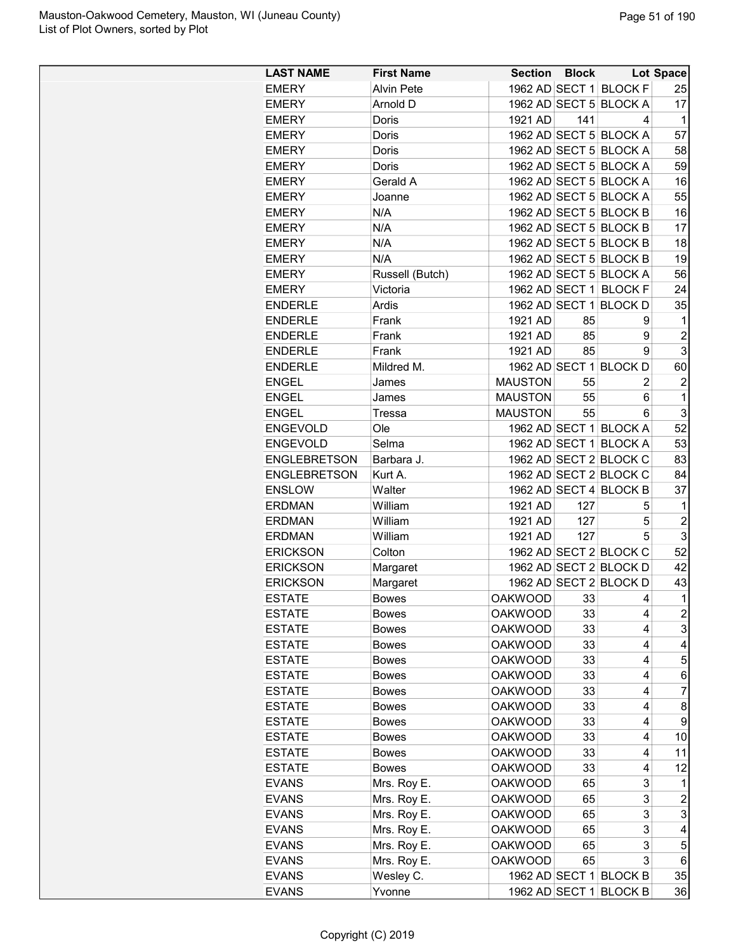| <b>LAST NAME</b>    | <b>First Name</b> | <b>Section Block</b> |     |                        | <b>Lot Space</b>     |
|---------------------|-------------------|----------------------|-----|------------------------|----------------------|
| <b>EMERY</b>        | <b>Alvin Pete</b> |                      |     | 1962 AD SECT 1 BLOCK F | 25                   |
| <b>EMERY</b>        | Arnold D          |                      |     | 1962 AD SECT 5 BLOCK A | 17                   |
| <b>EMERY</b>        | Doris             | 1921 AD              | 141 | 4                      | 1                    |
| <b>EMERY</b>        | Doris             |                      |     | 1962 AD SECT 5 BLOCK A | 57                   |
| <b>EMERY</b>        | Doris             |                      |     | 1962 AD SECT 5 BLOCK A | 58                   |
| <b>EMERY</b>        | Doris             |                      |     | 1962 AD SECT 5 BLOCK A | 59                   |
| <b>EMERY</b>        | Gerald A          |                      |     | 1962 AD SECT 5 BLOCK A | 16                   |
| <b>EMERY</b>        | Joanne            |                      |     | 1962 AD SECT 5 BLOCK A | 55                   |
| <b>EMERY</b>        | N/A               |                      |     | 1962 AD SECT 5 BLOCK B | 16                   |
| <b>EMERY</b>        | N/A               |                      |     | 1962 AD SECT 5 BLOCK B | 17                   |
| <b>EMERY</b>        | N/A               |                      |     | 1962 AD SECT 5 BLOCK B | 18                   |
| <b>EMERY</b>        | N/A               |                      |     | 1962 AD SECT 5 BLOCK B | 19                   |
| <b>EMERY</b>        | Russell (Butch)   |                      |     | 1962 AD SECT 5 BLOCK A | 56                   |
| <b>EMERY</b>        | Victoria          |                      |     | 1962 AD SECT 1 BLOCK F | 24                   |
| <b>ENDERLE</b>      | Ardis             |                      |     | 1962 AD SECT 1 BLOCK D | 35                   |
| <b>ENDERLE</b>      | Frank             | 1921 AD              | 85  | 9                      | 1                    |
| <b>ENDERLE</b>      | Frank             | 1921 AD              | 85  | 9                      | $\overline{2}$       |
| <b>ENDERLE</b>      | Frank             | 1921 AD              | 85  | 9                      | 3                    |
| <b>ENDERLE</b>      | Mildred M.        |                      |     | 1962 AD SECT 1 BLOCK D | 60                   |
| <b>ENGEL</b>        | James             | <b>MAUSTON</b>       | 55  | 2                      | $\overline{2}$       |
| <b>ENGEL</b>        | James             | <b>MAUSTON</b>       | 55  | 6                      | 1                    |
| <b>ENGEL</b>        | Tressa            | <b>MAUSTON</b>       | 55  | 6                      | 3                    |
| <b>ENGEVOLD</b>     | Ole               |                      |     | 1962 AD SECT 1 BLOCK A | 52                   |
| <b>ENGEVOLD</b>     | Selma             |                      |     | 1962 AD SECT 1 BLOCK A | 53                   |
| <b>ENGLEBRETSON</b> | Barbara J.        |                      |     | 1962 AD SECT 2 BLOCK C | 83                   |
| <b>ENGLEBRETSON</b> | Kurt A.           |                      |     | 1962 AD SECT 2 BLOCK C | 84                   |
| <b>ENSLOW</b>       | Walter            |                      |     | 1962 AD SECT 4 BLOCK B | 37                   |
| <b>ERDMAN</b>       | William           | 1921 AD              | 127 | 5                      | 1                    |
| <b>ERDMAN</b>       | William           | 1921 AD              | 127 | 5                      | $\overline{c}$       |
|                     |                   | 1921 AD              | 127 | 5                      | 3                    |
| <b>ERDMAN</b>       | William<br>Colton |                      |     |                        | 52                   |
| <b>ERICKSON</b>     |                   |                      |     | 1962 AD SECT 2 BLOCK C |                      |
| <b>ERICKSON</b>     | Margaret          |                      |     | 1962 AD SECT 2 BLOCK D | 42                   |
| <b>ERICKSON</b>     | Margaret          |                      |     | 1962 AD SECT 2 BLOCK D | 43<br>$\overline{1}$ |
| <b>ESTATE</b>       | <b>Bowes</b>      | <b>OAKWOOD</b>       | 33  | 4                      |                      |
| <b>ESTATE</b>       | Bowes             | <b>OAKWOOD</b>       | 33  | 4                      | $\overline{c}$       |
| <b>ESTATE</b>       | <b>Bowes</b>      | <b>OAKWOOD</b>       | 33  | 4                      | 3                    |
| <b>ESTATE</b>       | <b>Bowes</b>      | <b>OAKWOOD</b>       | 33  | 4                      | 4                    |
| <b>ESTATE</b>       | <b>Bowes</b>      | <b>OAKWOOD</b>       | 33  | 4                      | 5                    |
| <b>ESTATE</b>       | <b>Bowes</b>      | <b>OAKWOOD</b>       | 33  | 4                      | 6                    |
| <b>ESTATE</b>       | <b>Bowes</b>      | <b>OAKWOOD</b>       | 33  | 4                      | 7                    |
| <b>ESTATE</b>       | <b>Bowes</b>      | <b>OAKWOOD</b>       | 33  | 4                      | 8                    |
| <b>ESTATE</b>       | <b>Bowes</b>      | <b>OAKWOOD</b>       | 33  | 4                      | 9                    |
| <b>ESTATE</b>       | Bowes             | <b>OAKWOOD</b>       | 33  | 4                      | 10                   |
| <b>ESTATE</b>       | <b>Bowes</b>      | <b>OAKWOOD</b>       | 33  | 4                      | 11                   |
| <b>ESTATE</b>       | <b>Bowes</b>      | <b>OAKWOOD</b>       | 33  | 4                      | 12                   |
| <b>EVANS</b>        | Mrs. Roy E.       | <b>OAKWOOD</b>       | 65  | 3                      | 1                    |
| <b>EVANS</b>        | Mrs. Roy E.       | <b>OAKWOOD</b>       | 65  | 3                      | $\overline{c}$       |
| <b>EVANS</b>        | Mrs. Roy E.       | <b>OAKWOOD</b>       | 65  | 3                      | 3                    |
| <b>EVANS</b>        | Mrs. Roy E.       | <b>OAKWOOD</b>       | 65  | 3                      | 4                    |
| <b>EVANS</b>        | Mrs. Roy E.       | <b>OAKWOOD</b>       | 65  | 3                      | 5                    |
| <b>EVANS</b>        | Mrs. Roy E.       | <b>OAKWOOD</b>       | 65  | 3                      | 6                    |
| <b>EVANS</b>        | Wesley C.         |                      |     | 1962 AD SECT 1 BLOCK B | 35                   |
| <b>EVANS</b>        | Yvonne            |                      |     | 1962 AD SECT 1 BLOCK B | 36                   |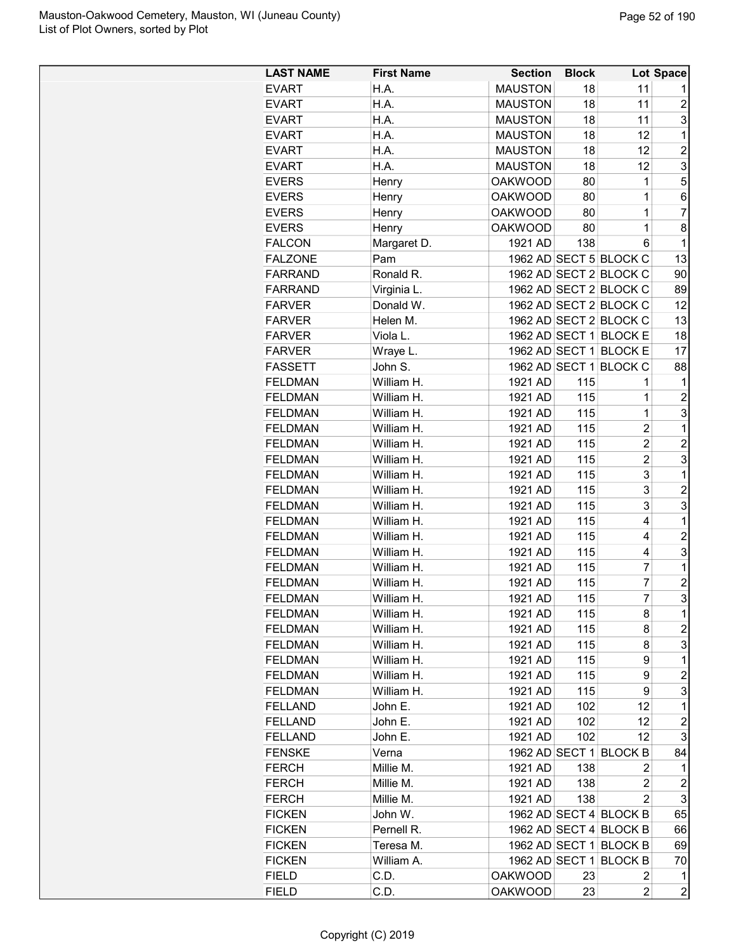| <b>LAST NAME</b> | <b>First Name</b> | <b>Section</b>                   | <b>Block</b> |                        | Lot Space               |
|------------------|-------------------|----------------------------------|--------------|------------------------|-------------------------|
| <b>EVART</b>     | H.A.              | <b>MAUSTON</b>                   | 18           | 11                     | 1                       |
| <b>EVART</b>     | H.A.              | <b>MAUSTON</b>                   | 18           | 11                     | $\overline{c}$          |
| <b>EVART</b>     | H.A.              | <b>MAUSTON</b>                   | 18           | 11                     | 3                       |
| <b>EVART</b>     | H.A.              | <b>MAUSTON</b>                   | 18           | 12                     | 1                       |
| <b>EVART</b>     | H.A.              | <b>MAUSTON</b>                   | 18           | 12                     | $\overline{c}$          |
| <b>EVART</b>     | H.A.              | <b>MAUSTON</b>                   | 18           | 12                     | 3                       |
| <b>EVERS</b>     | Henry             | <b>OAKWOOD</b>                   | 80           | 1                      | 5                       |
| <b>EVERS</b>     | Henry             | <b>OAKWOOD</b>                   | 80           | $\mathbf 1$            | 6                       |
| <b>EVERS</b>     | Henry             | <b>OAKWOOD</b>                   | 80           | 1                      | 7                       |
| <b>EVERS</b>     | Henry             | <b>OAKWOOD</b>                   | 80           | 1                      | 8                       |
| <b>FALCON</b>    | Margaret D.       | 1921 AD                          | 138          | 6                      | 1                       |
| <b>FALZONE</b>   | Pam               |                                  |              | 1962 AD SECT 5 BLOCK C | 13                      |
| <b>FARRAND</b>   | Ronald R.         |                                  |              | 1962 AD SECT 2 BLOCK C | 90                      |
| <b>FARRAND</b>   | Virginia L.       |                                  |              | 1962 AD SECT 2 BLOCK C | 89                      |
| <b>FARVER</b>    | Donald W.         |                                  |              | 1962 AD SECT 2 BLOCK C | 12                      |
| <b>FARVER</b>    | Helen M.          |                                  |              | 1962 AD SECT 2 BLOCK C | 13                      |
| <b>FARVER</b>    | Viola L.          |                                  |              | 1962 AD SECT 1 BLOCK E | 18                      |
| <b>FARVER</b>    | Wraye L.          |                                  |              | 1962 AD SECT 1 BLOCK E | 17                      |
| <b>FASSETT</b>   | John S.           |                                  |              | 1962 AD SECT 1 BLOCK C | 88                      |
| <b>FELDMAN</b>   | William H.        | 1921 AD                          | 115          | 1                      | 1                       |
| <b>FELDMAN</b>   | William H.        | 1921 AD                          | 115          | 1                      | $\overline{c}$          |
| <b>FELDMAN</b>   | William H.        | 1921 AD                          | 115          | $\mathbf 1$            | 3                       |
| <b>FELDMAN</b>   | William H.        | 1921 AD                          | 115          | $\overline{c}$         | $\mathbf 1$             |
| <b>FELDMAN</b>   | William H.        | 1921 AD                          | 115          | $\overline{2}$         | $\overline{c}$          |
| <b>FELDMAN</b>   | William H.        | 1921 AD                          | 115          | $\overline{c}$         | 3                       |
| <b>FELDMAN</b>   | William H.        | 1921 AD                          | 115          | 3                      | $\mathbf 1$             |
| <b>FELDMAN</b>   | William H.        | 1921 AD                          | 115          | 3                      | $\overline{c}$          |
| <b>FELDMAN</b>   | William H.        | 1921 AD                          | 115          | 3                      | 3                       |
| <b>FELDMAN</b>   | William H.        | 1921 AD                          | 115          | 4                      | $\mathbf 1$             |
| <b>FELDMAN</b>   | William H.        | 1921 AD                          | 115          | 4                      | $\overline{c}$          |
| <b>FELDMAN</b>   | William H.        | 1921 AD                          | 115          | 4                      | 3                       |
| <b>FELDMAN</b>   | William H.        | 1921 AD                          | 115          | $\overline{7}$         | $\mathbf 1$             |
| <b>FELDMAN</b>   | William H.        | 1921 AD                          | 115          | $\overline{7}$         | $\overline{2}$          |
| <b>FELDMAN</b>   | William H.        | 1921 AD                          | 115          | 7                      | 3                       |
| <b>FELDMAN</b>   | William H.        | 1921 AD                          | 115          | 8                      | 1                       |
| <b>FELDMAN</b>   | William H.        | 1921 AD                          | 115          | 8                      | $\overline{c}$          |
| <b>FELDMAN</b>   | William H.        | 1921 AD                          | 115          | 8                      | 3                       |
| <b>FELDMAN</b>   | William H.        | 1921 AD                          | 115          | 9                      | 1                       |
| <b>FELDMAN</b>   | William H.        | 1921 AD                          | 115          | 9                      | $\overline{c}$          |
| <b>FELDMAN</b>   | William H.        | 1921 AD                          | 115          | 9                      | 3                       |
| <b>FELLAND</b>   | John E.           | 1921 AD                          | 102          | 12                     | 1                       |
| <b>FELLAND</b>   | John E.           | 1921 AD                          | 102          | 12                     | $\overline{c}$          |
| <b>FELLAND</b>   | John E.           | 1921 AD                          | 102          | 12                     | 3                       |
| <b>FENSKE</b>    | Verna             |                                  |              | 1962 AD SECT 1 BLOCK B | 84                      |
| <b>FERCH</b>     | Millie M.         | 1921 AD                          | 138          | 2                      | 1                       |
| <b>FERCH</b>     | Millie M.         | 1921 AD                          | 138          | 2                      | $\overline{\mathbf{c}}$ |
| <b>FERCH</b>     | Millie M.         | 1921 AD                          | 138          | 2                      | 3                       |
| <b>FICKEN</b>    | John W.           |                                  |              | 1962 AD SECT 4 BLOCK B | 65                      |
| <b>FICKEN</b>    | Pernell R.        |                                  |              | 1962 AD SECT 4 BLOCK B | 66                      |
| <b>FICKEN</b>    | Teresa M.         |                                  |              | 1962 AD SECT 1 BLOCK B | 69                      |
| <b>FICKEN</b>    | William A.        |                                  |              | 1962 AD SECT 1 BLOCK B | 70                      |
|                  |                   |                                  |              |                        |                         |
| <b>FIELD</b>     | C.D.              | <b>OAKWOOD</b><br><b>OAKWOOD</b> | 23           | 2                      | 1<br>$\overline{c}$     |
| <b>FIELD</b>     | C.D.              |                                  | 23           | 2                      |                         |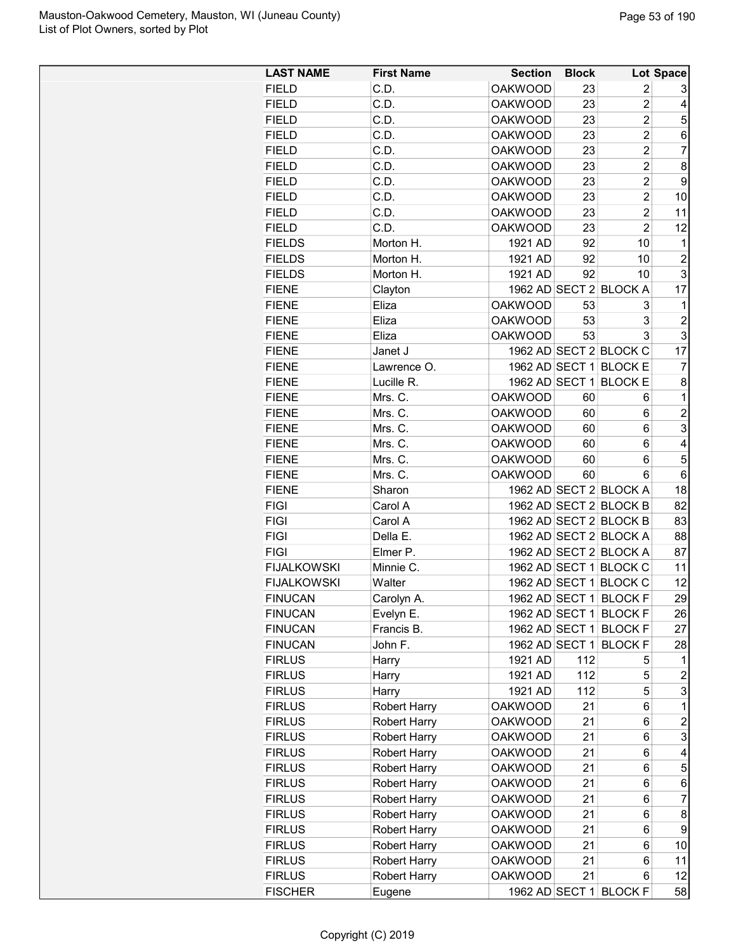| <b>LAST NAME</b>                 | <b>First Name</b>       | <b>Section</b>                   | <b>Block</b> |                                  | Lot Space               |
|----------------------------------|-------------------------|----------------------------------|--------------|----------------------------------|-------------------------|
| <b>FIELD</b>                     | C.D.                    | <b>OAKWOOD</b>                   | 23           | $\overline{2}$                   | 3                       |
| <b>FIELD</b>                     | C.D.                    | <b>OAKWOOD</b>                   | 23           | $\overline{2}$                   | 4                       |
| <b>FIELD</b>                     | C.D.                    | <b>OAKWOOD</b>                   | 23           | $\overline{2}$                   | 5                       |
| <b>FIELD</b>                     | C.D.                    | <b>OAKWOOD</b>                   | 23           | $\overline{2}$                   | 6                       |
| <b>FIELD</b>                     | C.D.                    | <b>OAKWOOD</b>                   | 23           | $\overline{c}$                   | 7                       |
| <b>FIELD</b>                     | C.D.                    | <b>OAKWOOD</b>                   | 23           | $\overline{2}$                   | 8                       |
| <b>FIELD</b>                     | C.D.                    | <b>OAKWOOD</b>                   | 23           | $\overline{2}$                   | 9                       |
| <b>FIELD</b>                     | C.D.                    | <b>OAKWOOD</b>                   | 23           | $\overline{2}$                   | 10                      |
| <b>FIELD</b>                     | C.D.                    | <b>OAKWOOD</b>                   | 23           | $\overline{2}$                   | 11                      |
| <b>FIELD</b>                     | C.D.                    | <b>OAKWOOD</b>                   | 23           | $\overline{2}$                   | 12                      |
| <b>FIELDS</b>                    | Morton H.               | 1921 AD                          | 92           | 10                               | 1                       |
| <b>FIELDS</b>                    | Morton H.               | 1921 AD                          | 92           | 10                               | 2                       |
| <b>FIELDS</b>                    | Morton H.               | 1921 AD                          | 92           | 10                               | 3                       |
| <b>FIENE</b>                     | Clayton                 | 1962 AD SECT 2                   |              | <b>BLOCK A</b>                   | 17                      |
| <b>FIENE</b>                     | Eliza                   | <b>OAKWOOD</b>                   | 53           | 3                                | 1                       |
| <b>FIENE</b>                     | Eliza                   | <b>OAKWOOD</b>                   | 53           | 3                                | $\overline{c}$          |
| <b>FIENE</b>                     | Eliza                   | <b>OAKWOOD</b>                   | 53           | 3                                | 3                       |
| <b>FIENE</b>                     | Janet J                 |                                  |              | 1962 AD SECT 2 BLOCK C           | 17                      |
| <b>FIENE</b>                     | Lawrence O.             | 1962 AD SECT 1                   |              | <b>BLOCK E</b>                   | 7                       |
| <b>FIENE</b>                     | Lucille R.              | 1962 AD SECT 1                   |              | <b>BLOCK E</b>                   | 8                       |
| <b>FIENE</b>                     | Mrs. C.                 | <b>OAKWOOD</b>                   | 60           | 6                                | $\mathbf{1}$            |
| <b>FIENE</b>                     | Mrs. C.                 | <b>OAKWOOD</b>                   | 60           | 6                                | $\overline{c}$          |
| <b>FIENE</b>                     | Mrs. C.                 | <b>OAKWOOD</b>                   | 60           | 6                                | 3                       |
| <b>FIENE</b>                     | Mrs. C.                 | <b>OAKWOOD</b>                   | 60           | 6                                | 4                       |
| <b>FIENE</b>                     | Mrs. C.                 | <b>OAKWOOD</b>                   | 60           | 6                                | 5                       |
| <b>FIENE</b>                     | Mrs. C.                 | <b>OAKWOOD</b>                   | 60           | 6                                | 6                       |
| <b>FIENE</b>                     | Sharon                  |                                  |              | 1962 AD SECT 2 BLOCK A           | 18                      |
| <b>FIGI</b>                      | Carol A                 |                                  |              | 1962 AD SECT 2 BLOCK B           | 82                      |
| <b>FIGI</b>                      | Carol A                 |                                  |              | 1962 AD SECT 2 BLOCK B           | 83                      |
| <b>FIGI</b>                      | Della E.                |                                  |              | 1962 AD SECT 2 BLOCK A           | 88                      |
| <b>FIGI</b>                      | Elmer P.                |                                  |              | 1962 AD SECT 2 BLOCK A           | 87                      |
| <b>FIJALKOWSKI</b>               | Minnie C.               |                                  |              | 1962 AD SECT 1 BLOCK C           | 11                      |
| <b>FIJALKOWSKI</b>               | Walter                  |                                  |              | 1962 AD SECT 1 BLOCK C           | 12                      |
|                                  |                         |                                  |              |                                  |                         |
| <b>FINUCAN</b>                   | Carolyn A.              |                                  |              | 1962 AD SECT 1 BLOCK F           | 29                      |
| <b>FINUCAN</b><br><b>FINUCAN</b> | Evelyn E.<br>Francis B. | 1962 AD SECT 1                   |              | <b>BLOCK F</b>                   | 26                      |
| <b>FINUCAN</b>                   | John F.                 | 1962 AD SECT 1<br>1962 AD SECT 1 |              | <b>BLOCK F</b><br><b>BLOCK F</b> | 27                      |
|                                  |                         | 1921 AD                          | 112          |                                  | 28                      |
| <b>FIRLUS</b>                    | Harry                   |                                  |              | 5                                | 1                       |
| <b>FIRLUS</b>                    | Harry                   | 1921 AD                          | 112          | 5                                | 2                       |
| <b>FIRLUS</b>                    | Harry                   | 1921 AD                          | 112          | 5                                | 3                       |
| <b>FIRLUS</b>                    | <b>Robert Harry</b>     | <b>OAKWOOD</b>                   | 21           | 6                                | $\mathbf{1}$            |
| <b>FIRLUS</b>                    | <b>Robert Harry</b>     | <b>OAKWOOD</b>                   | 21           | 6                                | $\overline{\mathbf{c}}$ |
| <b>FIRLUS</b>                    | <b>Robert Harry</b>     | <b>OAKWOOD</b>                   | 21           | 6                                | 3                       |
| <b>FIRLUS</b>                    | <b>Robert Harry</b>     | <b>OAKWOOD</b>                   | 21           | 6                                | 4                       |
| <b>FIRLUS</b>                    | Robert Harry            | <b>OAKWOOD</b>                   | 21           | 6                                | 5                       |
| <b>FIRLUS</b>                    | <b>Robert Harry</b>     | <b>OAKWOOD</b>                   | 21           | 6                                | 6                       |
| <b>FIRLUS</b>                    | <b>Robert Harry</b>     | <b>OAKWOOD</b>                   | 21           | 6                                | $\overline{7}$          |
| <b>FIRLUS</b>                    | <b>Robert Harry</b>     | <b>OAKWOOD</b>                   | 21           | 6                                | 8                       |
| <b>FIRLUS</b>                    | <b>Robert Harry</b>     | <b>OAKWOOD</b>                   | 21           | 6                                | 9                       |
| <b>FIRLUS</b>                    | <b>Robert Harry</b>     | <b>OAKWOOD</b>                   | 21           | 6                                | 10                      |
| <b>FIRLUS</b>                    | <b>Robert Harry</b>     | <b>OAKWOOD</b>                   | 21           | 6                                | 11                      |
| <b>FIRLUS</b>                    | <b>Robert Harry</b>     | <b>OAKWOOD</b>                   | 21           | 6                                | 12                      |
| <b>FISCHER</b>                   | Eugene                  |                                  |              | 1962 AD SECT 1 BLOCK F           | 58                      |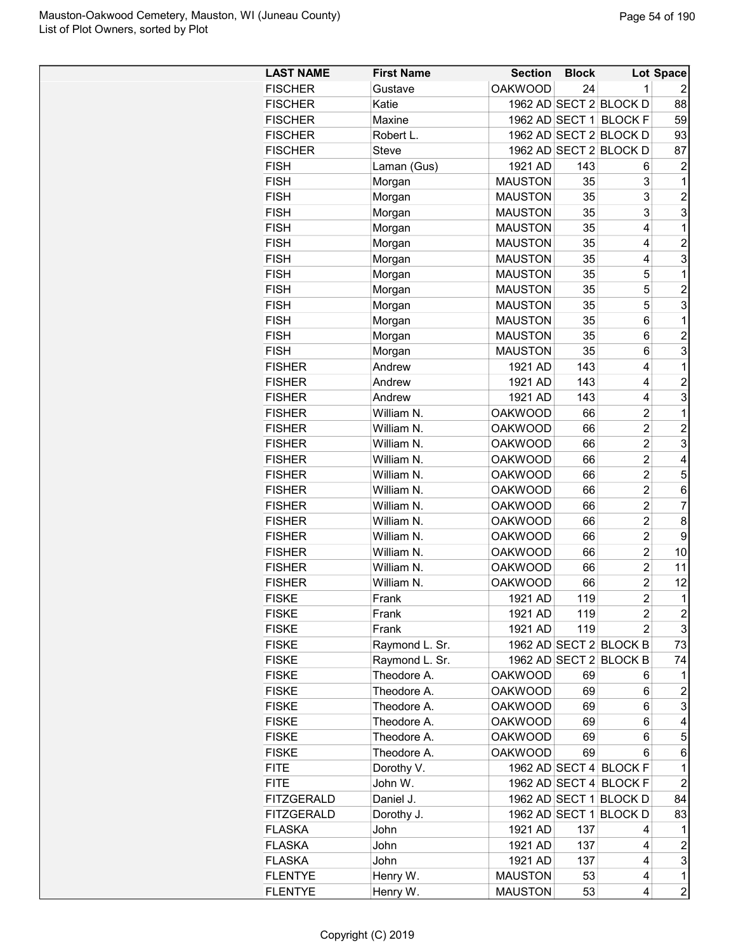| <b>LAST NAME</b>  | <b>First Name</b> | <b>Section</b> | <b>Block</b> |                         | Lot Space        |
|-------------------|-------------------|----------------|--------------|-------------------------|------------------|
| <b>FISCHER</b>    | Gustave           | <b>OAKWOOD</b> | 24           | 1                       |                  |
| <b>FISCHER</b>    | Katie             |                |              | 1962 AD SECT 2 BLOCK D  | 88               |
| <b>FISCHER</b>    | Maxine            | 1962 AD SECT 1 |              | <b>BLOCKF</b>           | 59               |
|                   |                   |                |              |                         |                  |
| <b>FISCHER</b>    | Robert L.         |                |              | 1962 AD SECT 2 BLOCK D  | 93               |
| <b>FISCHER</b>    | <b>Steve</b>      |                |              | 1962 AD SECT 2 BLOCK D  | 87               |
| <b>FISH</b>       | Laman (Gus)       | 1921 AD        | 143          | 6                       | $\overline{c}$   |
| <b>FISH</b>       | Morgan            | <b>MAUSTON</b> | 35           | 3                       | 1                |
| <b>FISH</b>       | Morgan            | <b>MAUSTON</b> | 35           | 3                       | $\overline{c}$   |
| <b>FISH</b>       | Morgan            | <b>MAUSTON</b> | 35           | 3                       | 3                |
| <b>FISH</b>       | Morgan            | <b>MAUSTON</b> | 35           | 4                       | $\mathbf 1$      |
| <b>FISH</b>       | Morgan            | <b>MAUSTON</b> | 35           | 4                       | $\overline{c}$   |
| <b>FISH</b>       | Morgan            | <b>MAUSTON</b> | 35           | 4                       | 3                |
| <b>FISH</b>       | Morgan            | <b>MAUSTON</b> | 35           | 5                       | 1                |
| <b>FISH</b>       | Morgan            | <b>MAUSTON</b> | 35           | 5                       | $\overline{2}$   |
| <b>FISH</b>       | Morgan            | <b>MAUSTON</b> | 35           | 5                       | 3                |
| <b>FISH</b>       | Morgan            | <b>MAUSTON</b> | 35           | 6                       | 1                |
| <b>FISH</b>       | Morgan            | <b>MAUSTON</b> | 35           | 6                       | $\overline{c}$   |
| <b>FISH</b>       | Morgan            | <b>MAUSTON</b> | 35           | 6                       | 3                |
| <b>FISHER</b>     | Andrew            | 1921 AD        | 143          | 4                       | 1                |
| <b>FISHER</b>     | Andrew            | 1921 AD        | 143          | 4                       | $\overline{c}$   |
| <b>FISHER</b>     | Andrew            | 1921 AD        | 143          | 4                       | 3                |
| <b>FISHER</b>     | William N.        | <b>OAKWOOD</b> | 66           | $\overline{2}$          | 1                |
| <b>FISHER</b>     | William N.        | <b>OAKWOOD</b> | 66           | $\overline{c}$          | $\overline{c}$   |
| <b>FISHER</b>     | William N.        | <b>OAKWOOD</b> | 66           | $\overline{c}$          | 3                |
| <b>FISHER</b>     | William N.        | <b>OAKWOOD</b> | 66           | $\overline{c}$          | 4                |
| <b>FISHER</b>     | William N.        | <b>OAKWOOD</b> | 66           | $\overline{c}$          | 5                |
|                   |                   |                |              |                         |                  |
| <b>FISHER</b>     | William N.        | <b>OAKWOOD</b> | 66           | $\overline{c}$          | 6                |
| <b>FISHER</b>     | William N.        | <b>OAKWOOD</b> | 66           | 2                       | $\overline{7}$   |
| <b>FISHER</b>     | William N.        | <b>OAKWOOD</b> | 66           | $\overline{c}$          | 8                |
| <b>FISHER</b>     | William N.        | <b>OAKWOOD</b> | 66           | $\overline{2}$          | 9                |
| <b>FISHER</b>     | William N.        | <b>OAKWOOD</b> | 66           | $\overline{c}$          | 10               |
| <b>FISHER</b>     | William N.        | <b>OAKWOOD</b> | 66           | $\overline{c}$          | 11               |
| <b>FISHER</b>     | William N.        | <b>OAKWOOD</b> | 66           | $\overline{c}$          | 12               |
| <b>FISKE</b>      | Frank             | 1921 AD        | 119          | $\overline{\mathbf{c}}$ | $\mathbf 1$      |
| <b>FISKE</b>      | Frank             | 1921 AD        | 119          | 2                       | $\overline{c}$   |
| <b>FISKE</b>      | Frank             | 1921 AD        | 119          | $\overline{2}$          | 3                |
| <b>FISKE</b>      | Raymond L. Sr.    |                |              | 1962 AD SECT 2 BLOCK B  | 73               |
| <b>FISKE</b>      | Raymond L. Sr.    |                |              | 1962 AD SECT 2 BLOCK B  | 74               |
| <b>FISKE</b>      | Theodore A.       | <b>OAKWOOD</b> | 69           | 6                       | 1                |
| <b>FISKE</b>      | Theodore A.       | <b>OAKWOOD</b> | 69           | 6                       | $\overline{c}$   |
| <b>FISKE</b>      | Theodore A.       | <b>OAKWOOD</b> | 69           | 6                       | 3                |
| <b>FISKE</b>      | Theodore A.       | <b>OAKWOOD</b> | 69           | 6                       | 4                |
| <b>FISKE</b>      | Theodore A.       | <b>OAKWOOD</b> | 69           | 6                       | 5                |
| <b>FISKE</b>      | Theodore A.       | <b>OAKWOOD</b> | 69           | 6                       | 6                |
| <b>FITE</b>       | Dorothy V.        |                |              | 1962 AD SECT 4 BLOCK F  | 1                |
| <b>FITE</b>       | John W.           |                |              | 1962 AD SECT 4 BLOCK F  | 2                |
| <b>FITZGERALD</b> | Daniel J.         |                |              | 1962 AD SECT 1 BLOCK D  | 84               |
|                   |                   |                |              |                         |                  |
| <b>FITZGERALD</b> | Dorothy J.        |                |              | 1962 AD SECT 1 BLOCK D  | 83               |
| <b>FLASKA</b>     | John              | 1921 AD        | 137          | 4                       | 1                |
| <b>FLASKA</b>     | John              | 1921 AD        | 137          | 4                       | $\boldsymbol{2}$ |
| <b>FLASKA</b>     | John              | 1921 AD        | 137          | 4                       | 3                |
| <b>FLENTYE</b>    | Henry W.          | <b>MAUSTON</b> | 53           | 4                       | $\mathbf 1$      |
| <b>FLENTYE</b>    | Henry W.          | <b>MAUSTON</b> | 53           | 4                       | $\overline{c}$   |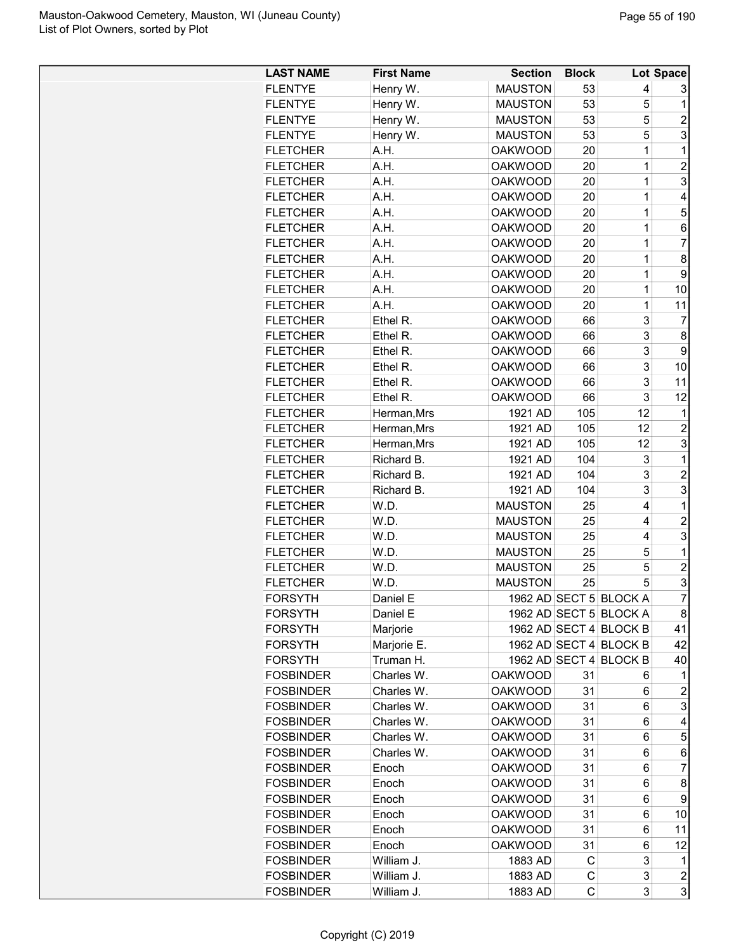| <b>LAST NAME</b> | <b>First Name</b> | <b>Section</b> | <b>Block</b> |                        | Lot Space               |
|------------------|-------------------|----------------|--------------|------------------------|-------------------------|
| <b>FLENTYE</b>   | Henry W.          | <b>MAUSTON</b> | 53           | 4                      | 3                       |
| <b>FLENTYE</b>   | Henry W.          | <b>MAUSTON</b> | 53           | 5                      | 1                       |
| <b>FLENTYE</b>   | Henry W.          | <b>MAUSTON</b> | 53           | 5                      | $\overline{2}$          |
| <b>FLENTYE</b>   | Henry W.          | <b>MAUSTON</b> | 53           | 5                      | 3                       |
| <b>FLETCHER</b>  | A.H.              | <b>OAKWOOD</b> | 20           | $\overline{1}$         | $\mathbf 1$             |
| <b>FLETCHER</b>  | A.H.              | <b>OAKWOOD</b> | 20           | $\overline{1}$         | $\overline{2}$          |
| <b>FLETCHER</b>  | A.H.              | <b>OAKWOOD</b> | 20           | $\overline{1}$         | 3                       |
| <b>FLETCHER</b>  | A.H.              | <b>OAKWOOD</b> | 20           | $\overline{1}$         | 4                       |
| <b>FLETCHER</b>  | A.H.              | <b>OAKWOOD</b> | 20           | $\overline{1}$         | 5                       |
| <b>FLETCHER</b>  | A.H.              | <b>OAKWOOD</b> | 20           | $\overline{1}$         | 6                       |
| <b>FLETCHER</b>  | A.H.              | <b>OAKWOOD</b> | 20           | $\overline{1}$         | $\overline{7}$          |
| <b>FLETCHER</b>  | A.H.              | <b>OAKWOOD</b> | 20           | $\overline{1}$         | 8                       |
| <b>FLETCHER</b>  | A.H.              | <b>OAKWOOD</b> | 20           | $\overline{1}$         | 9                       |
| <b>FLETCHER</b>  | A.H.              | <b>OAKWOOD</b> | 20           | 1                      | 10                      |
| <b>FLETCHER</b>  | A.H.              | <b>OAKWOOD</b> | 20           | 1                      | 11                      |
| <b>FLETCHER</b>  | Ethel R.          | <b>OAKWOOD</b> | 66           | 3                      | $\overline{7}$          |
| <b>FLETCHER</b>  | Ethel R.          | <b>OAKWOOD</b> | 66           | 3                      | 8                       |
| <b>FLETCHER</b>  | Ethel R.          | <b>OAKWOOD</b> | 66           | 3                      | 9                       |
| <b>FLETCHER</b>  | Ethel R.          | <b>OAKWOOD</b> | 66           | 3                      | 10                      |
| <b>FLETCHER</b>  | Ethel R.          | <b>OAKWOOD</b> | 66           | 3                      | 11                      |
| <b>FLETCHER</b>  | Ethel R.          | <b>OAKWOOD</b> | 66           | 3                      | 12                      |
| <b>FLETCHER</b>  | Herman, Mrs       | 1921 AD        | 105          | 12                     | 1                       |
| <b>FLETCHER</b>  | Herman, Mrs       | 1921 AD        | 105          | 12                     | $\overline{2}$          |
| <b>FLETCHER</b>  | Herman, Mrs       | 1921 AD        | 105          | 12                     | 3                       |
| <b>FLETCHER</b>  | Richard B.        | 1921 AD        | 104          | 3                      | 1                       |
| <b>FLETCHER</b>  | Richard B.        | 1921 AD        | 104          | 3                      | $\overline{c}$          |
| <b>FLETCHER</b>  | Richard B.        | 1921 AD        | 104          | 3                      | 3                       |
| <b>FLETCHER</b>  | W.D.              | <b>MAUSTON</b> | 25           | 4                      | 1                       |
| <b>FLETCHER</b>  | W.D.              | <b>MAUSTON</b> | 25           | 4                      | $\overline{c}$          |
| <b>FLETCHER</b>  | W.D.              | <b>MAUSTON</b> | 25           | 4                      | 3                       |
| <b>FLETCHER</b>  | W.D.              | <b>MAUSTON</b> | 25           | 5                      | 1                       |
| <b>FLETCHER</b>  | W.D.              | <b>MAUSTON</b> | 25           | 5                      | $\overline{c}$          |
| <b>FLETCHER</b>  | W.D.              | <b>MAUSTON</b> | 25           | 5                      | 3                       |
| <b>FORSYTH</b>   | Daniel E          |                |              | 1962 AD SECT 5 BLOCK A | $\overline{7}$          |
| FORSYTH          | Daniel E          |                |              | 1962 AD SECT 5 BLOCK A | 8                       |
| <b>FORSYTH</b>   | Marjorie          |                |              | 1962 AD SECT 4 BLOCK B | 41                      |
| FORSYTH          | Marjorie E.       |                |              | 1962 AD SECT 4 BLOCK B | 42                      |
| <b>FORSYTH</b>   | Truman H.         |                |              | 1962 AD SECT 4 BLOCK B | 40                      |
| <b>FOSBINDER</b> | Charles W.        | <b>OAKWOOD</b> | 31           | 6                      | 1                       |
| <b>FOSBINDER</b> | Charles W.        | <b>OAKWOOD</b> | 31           | 6                      | $\overline{c}$          |
| <b>FOSBINDER</b> | Charles W.        | <b>OAKWOOD</b> | 31           | 6                      | 3                       |
| <b>FOSBINDER</b> | Charles W.        | <b>OAKWOOD</b> | 31           | 6                      | 4                       |
| <b>FOSBINDER</b> | Charles W.        | <b>OAKWOOD</b> | 31           | 6                      | 5                       |
| <b>FOSBINDER</b> | Charles W.        | <b>OAKWOOD</b> | 31           | 6                      | 6                       |
| <b>FOSBINDER</b> | Enoch             | <b>OAKWOOD</b> | 31           | 6                      | $\overline{7}$          |
| <b>FOSBINDER</b> | Enoch             | <b>OAKWOOD</b> | 31           | 6                      | 8                       |
| <b>FOSBINDER</b> | Enoch             | <b>OAKWOOD</b> | 31           | 6                      | 9                       |
| <b>FOSBINDER</b> | Enoch             | <b>OAKWOOD</b> | 31           | 6                      | 10                      |
| <b>FOSBINDER</b> | Enoch             | <b>OAKWOOD</b> | 31           | 6                      | 11                      |
| <b>FOSBINDER</b> | Enoch             | <b>OAKWOOD</b> | 31           | 6                      | 12                      |
| <b>FOSBINDER</b> | William J.        | 1883 AD        | C            | 3                      | 1                       |
| <b>FOSBINDER</b> | William J.        | 1883 AD        | С            | 3                      | $\overline{\mathbf{c}}$ |
| <b>FOSBINDER</b> | William J.        | 1883 AD        | C            | 3                      | 3                       |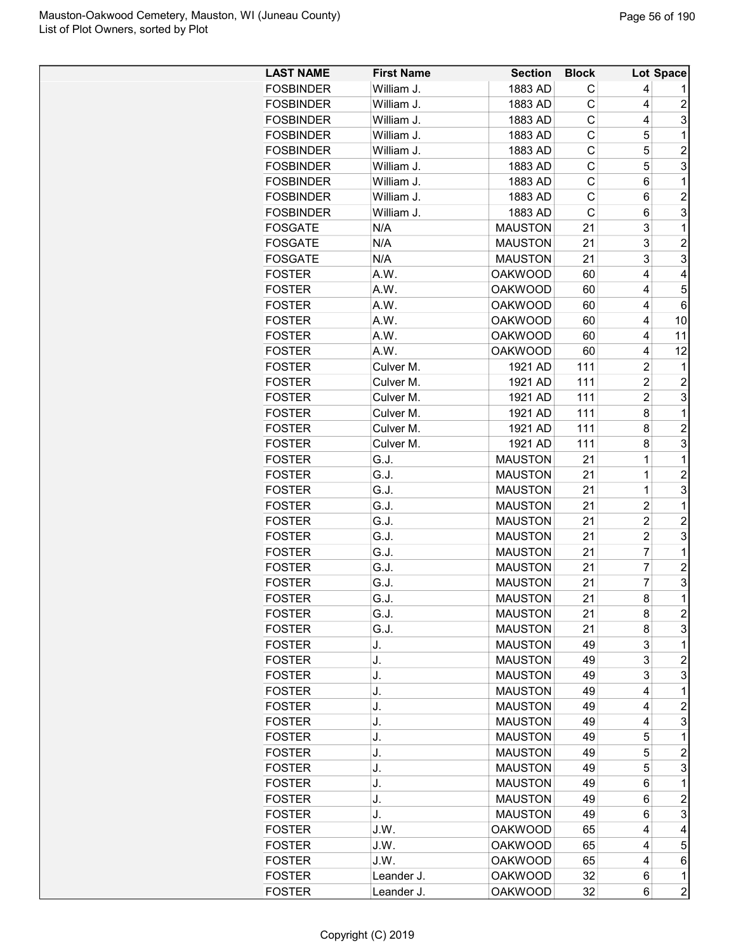| <b>LAST NAME</b>               | <b>First Name</b> | <b>Section</b>     | <b>Block</b> |                | <b>Lot Space</b>        |
|--------------------------------|-------------------|--------------------|--------------|----------------|-------------------------|
| <b>FOSBINDER</b>               | William J.        | 1883 AD            | С            | 4              |                         |
| <b>FOSBINDER</b>               | William J.        | 1883 AD            | C            | 4              | $\overline{c}$          |
| <b>FOSBINDER</b>               | William J.        | 1883 AD            | C            | 4              | 3                       |
| <b>FOSBINDER</b>               | William J.        | 1883 AD            | C            | 5              | 1                       |
| <b>FOSBINDER</b>               | William J.        | 1883 AD            | C            | 5              | $\overline{c}$          |
| <b>FOSBINDER</b>               | William J.        | 1883 AD            | C            | 5              | 3                       |
| <b>FOSBINDER</b>               | William J.        | 1883 AD            | C            | 6              | 1                       |
| <b>FOSBINDER</b>               | William J.        | 1883 AD            | C            | 6              | $\overline{c}$          |
| <b>FOSBINDER</b>               | William J.        | 1883 AD            | $\mathsf{C}$ | 6              | 3                       |
| <b>FOSGATE</b>                 | N/A               | <b>MAUSTON</b>     | 21           | 3              | 1                       |
| <b>FOSGATE</b>                 | N/A               | <b>MAUSTON</b>     | 21           | 3              | $\overline{\mathbf{c}}$ |
| <b>FOSGATE</b>                 | N/A               | <b>MAUSTON</b>     | 21           | 3              | 3                       |
| <b>FOSTER</b>                  | A.W.              | <b>OAKWOOD</b>     | 60           | 4              | 4                       |
| <b>FOSTER</b>                  | A.W.              | <b>OAKWOOD</b>     | 60           | 4              | 5                       |
| <b>FOSTER</b>                  | A.W.              | <b>OAKWOOD</b>     | 60           | 4              | 6                       |
| <b>FOSTER</b>                  | A.W.              | <b>OAKWOOD</b>     | 60           | 4              | 10                      |
| <b>FOSTER</b>                  | A.W.              | <b>OAKWOOD</b>     | 60           | 4              | 11                      |
| <b>FOSTER</b>                  | A.W.              | <b>OAKWOOD</b>     | 60           | 4              | 12                      |
|                                |                   |                    |              |                |                         |
| <b>FOSTER</b><br><b>FOSTER</b> | Culver M.         | 1921 AD<br>1921 AD | 111          | $\overline{c}$ | 1                       |
|                                | Culver M.         |                    | 111          | $\overline{c}$ | $\overline{c}$          |
| <b>FOSTER</b>                  | Culver M.         | 1921 AD            | 111          | $\overline{2}$ | 3                       |
| <b>FOSTER</b>                  | Culver M.         | 1921 AD            | 111          | 8              | $\mathbf 1$             |
| <b>FOSTER</b>                  | Culver M.         | 1921 AD            | 111          | 8              | $\overline{2}$          |
| <b>FOSTER</b>                  | Culver M.         | 1921 AD            | 111          | 8              | 3                       |
| <b>FOSTER</b>                  | G.J.              | <b>MAUSTON</b>     | 21           | $\mathbf 1$    | 1                       |
| <b>FOSTER</b>                  | G.J.              | <b>MAUSTON</b>     | 21           | $\mathbf 1$    | $\overline{2}$          |
| <b>FOSTER</b>                  | G.J.              | <b>MAUSTON</b>     | 21           | $\mathbf 1$    | 3                       |
| <b>FOSTER</b>                  | G.J.              | <b>MAUSTON</b>     | 21           | $\overline{c}$ | 1                       |
| <b>FOSTER</b>                  | G.J.              | <b>MAUSTON</b>     | 21           | $\overline{c}$ | $\overline{c}$          |
| <b>FOSTER</b>                  | G.J.              | <b>MAUSTON</b>     | 21           | $\overline{c}$ | 3                       |
| <b>FOSTER</b>                  | G.J.              | <b>MAUSTON</b>     | 21           | $\overline{7}$ | $\mathbf 1$             |
| <b>FOSTER</b>                  | G.J.              | <b>MAUSTON</b>     | 21           | $\overline{7}$ | $\overline{2}$          |
| <b>FOSTER</b>                  | G.J.              | <b>MAUSTON</b>     | 21           | $\overline{7}$ | 3                       |
| <b>FOSTER</b>                  | G.J.              | <b>MAUSTON</b>     | 21           | 8              | $\overline{1}$          |
| <b>FOSTER</b>                  | G.J.              | <b>MAUSTON</b>     | 21           | 8              | $\overline{\mathbf{c}}$ |
| <b>FOSTER</b>                  | G.J.              | <b>MAUSTON</b>     | 21           | 8              | 3                       |
| <b>FOSTER</b>                  | J.                | <b>MAUSTON</b>     | 49           | 3              | 1                       |
| <b>FOSTER</b>                  | J.                | <b>MAUSTON</b>     | 49           | 3              | $\overline{c}$          |
| <b>FOSTER</b>                  | J.                | <b>MAUSTON</b>     | 49           | 3              | 3                       |
| <b>FOSTER</b>                  | J.                | <b>MAUSTON</b>     | 49           | 4              | 1                       |
| <b>FOSTER</b>                  | J.                | <b>MAUSTON</b>     | 49           | 4              | $\overline{c}$          |
| <b>FOSTER</b>                  | J.                | <b>MAUSTON</b>     | 49           | 4              | 3                       |
| <b>FOSTER</b>                  | J.                | <b>MAUSTON</b>     | 49           | 5              | 1                       |
| <b>FOSTER</b>                  | J.                | <b>MAUSTON</b>     | 49           | 5              | $\overline{c}$          |
| <b>FOSTER</b>                  | J.                | <b>MAUSTON</b>     | 49           | 5              | 3                       |
| <b>FOSTER</b>                  | J.                | <b>MAUSTON</b>     | 49           | 6              | 1                       |
| <b>FOSTER</b>                  | J.                | <b>MAUSTON</b>     | 49           | 6              | $\overline{c}$          |
| <b>FOSTER</b>                  | J.                | <b>MAUSTON</b>     | 49           | 6              | 3                       |
| <b>FOSTER</b>                  | J.W.              | <b>OAKWOOD</b>     | 65           | 4              | 4                       |
| <b>FOSTER</b>                  | J.W.              | <b>OAKWOOD</b>     | 65           | 4              | 5                       |
| <b>FOSTER</b>                  | J.W.              | <b>OAKWOOD</b>     | 65           | 4              | 6                       |
| <b>FOSTER</b>                  | Leander J.        | <b>OAKWOOD</b>     | 32           | 6              | 1                       |
| <b>FOSTER</b>                  | Leander J.        | <b>OAKWOOD</b>     | 32           | 6              | $\overline{2}$          |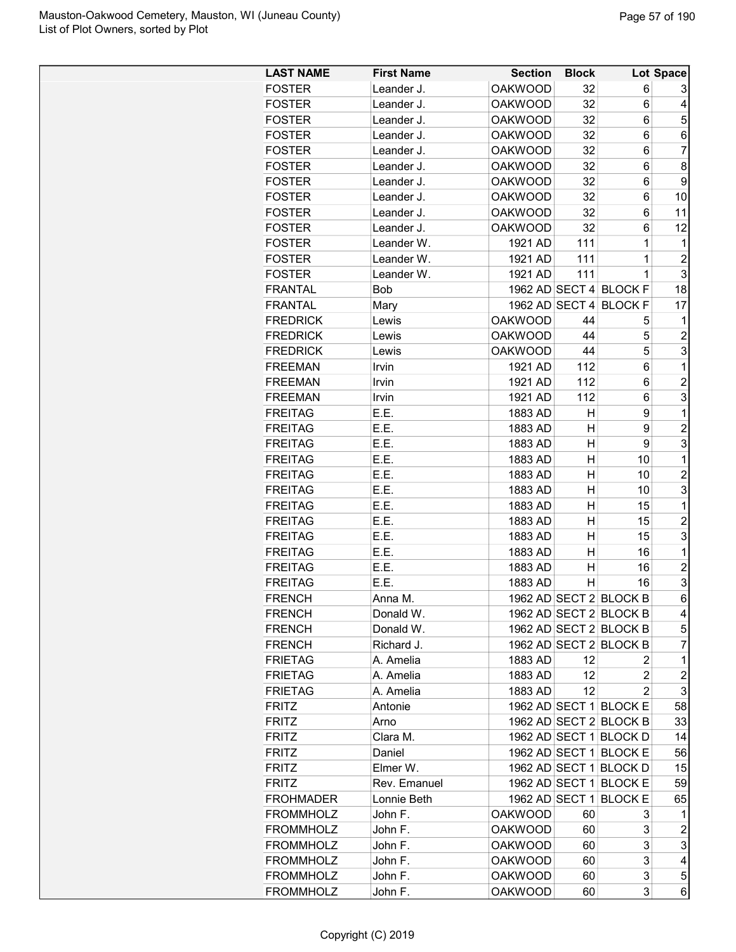| <b>LAST NAME</b> | <b>First Name</b> | <b>Section</b> | <b>Block</b> |                        | Lot Space               |
|------------------|-------------------|----------------|--------------|------------------------|-------------------------|
| <b>FOSTER</b>    | Leander J.        | <b>OAKWOOD</b> | 32           | 6                      | 3                       |
| <b>FOSTER</b>    | Leander J.        | <b>OAKWOOD</b> | 32           | 6                      | 4                       |
| <b>FOSTER</b>    | Leander J.        | <b>OAKWOOD</b> | 32           | 6                      | 5                       |
| <b>FOSTER</b>    | Leander J.        | <b>OAKWOOD</b> | 32           | 6                      | 6                       |
| <b>FOSTER</b>    | Leander J.        | <b>OAKWOOD</b> | 32           | 6                      | $\overline{7}$          |
| <b>FOSTER</b>    | Leander J.        | <b>OAKWOOD</b> | 32           | 6                      | $\bf 8$                 |
| <b>FOSTER</b>    | Leander J.        | <b>OAKWOOD</b> | 32           | 6                      | $\boldsymbol{9}$        |
| <b>FOSTER</b>    | Leander J.        | <b>OAKWOOD</b> | 32           | 6                      | 10                      |
| <b>FOSTER</b>    | Leander J.        | <b>OAKWOOD</b> | 32           | 6                      | 11                      |
| <b>FOSTER</b>    | Leander J.        | <b>OAKWOOD</b> | 32           | 6                      | 12                      |
| <b>FOSTER</b>    | Leander W.        | 1921 AD        | 111          | 1                      | 1                       |
| <b>FOSTER</b>    | Leander W.        | 1921 AD        | 111          | 1                      | $\overline{c}$          |
| <b>FOSTER</b>    | Leander W.        | 1921 AD        | 111          | 1                      | $\overline{3}$          |
| <b>FRANTAL</b>   | Bob               |                |              | 1962 AD SECT 4 BLOCK F | 18                      |
| <b>FRANTAL</b>   | Mary              |                |              | 1962 AD SECT 4 BLOCK F | 17                      |
| <b>FREDRICK</b>  | Lewis             | <b>OAKWOOD</b> | 44           | 5                      |                         |
| <b>FREDRICK</b>  | Lewis             | <b>OAKWOOD</b> | 44           | 5                      | $\boldsymbol{2}$        |
| <b>FREDRICK</b>  | Lewis             | <b>OAKWOOD</b> | 44           | 5                      | 3                       |
| <b>FREEMAN</b>   | Irvin             | 1921 AD        | 112          | 6                      | 1                       |
| <b>FREEMAN</b>   | Irvin             | 1921 AD        | 112          | 6                      | $\overline{c}$          |
| <b>FREEMAN</b>   | Irvin             | 1921 AD        | 112          | 6                      | $\mathbf{3}$            |
| <b>FREITAG</b>   | E.E.              | 1883 AD        | Н            | 9                      | 1                       |
| <b>FREITAG</b>   | E.E.              | 1883 AD        | н            | 9                      | 2                       |
| <b>FREITAG</b>   | E.E.              | 1883 AD        | н            | 9                      | 3                       |
| <b>FREITAG</b>   | E.E.              | 1883 AD        | н            | 10                     | 1                       |
| <b>FREITAG</b>   | E.E.              | 1883 AD        | н            | 10                     | $\boldsymbol{2}$        |
| <b>FREITAG</b>   | E.E.              | 1883 AD        | н            | 10                     | $\overline{3}$          |
| <b>FREITAG</b>   | E.E.              | 1883 AD        | Η            | 15                     | 1                       |
| <b>FREITAG</b>   | E.E.              | 1883 AD        | н            | 15                     | $\boldsymbol{2}$        |
| <b>FREITAG</b>   | E.E.              | 1883 AD        | Η            | 15                     | 3                       |
| <b>FREITAG</b>   | E.E.              | 1883 AD        | н            | 16                     | $\mathbf 1$             |
| <b>FREITAG</b>   | E.E.              | 1883 AD        | н            | 16                     | 2                       |
| <b>FREITAG</b>   | E.E.              | 1883 AD        | н            | 16                     | 3                       |
| <b>FRENCH</b>    | Anna M.           |                |              | 1962 AD SECT 2 BLOCK B | $6\overline{6}$         |
| <b>FRENCH</b>    | Donald W.         |                |              | 1962 AD SECT 2 BLOCK B | 4                       |
| <b>FRENCH</b>    | Donald W.         |                |              | 1962 AD SECT 2 BLOCK B | 5                       |
| <b>FRENCH</b>    | Richard J.        |                |              | 1962 AD SECT 2 BLOCK B | 7                       |
| <b>FRIETAG</b>   | A. Amelia         | 1883 AD        | 12           | 2                      | 1                       |
| <b>FRIETAG</b>   | A. Amelia         | 1883 AD        | 12           | 2                      | $\overline{\mathbf{c}}$ |
| <b>FRIETAG</b>   | A. Amelia         | 1883 AD        | 12           | 2                      | 3                       |
| <b>FRITZ</b>     | Antonie           |                |              | 1962 AD SECT 1 BLOCK E | 58                      |
| <b>FRITZ</b>     | Arno              |                |              | 1962 AD SECT 2 BLOCK B | 33                      |
| <b>FRITZ</b>     | Clara M.          |                |              | 1962 AD SECT 1 BLOCK D | 14                      |
| <b>FRITZ</b>     | Daniel            |                |              | 1962 AD SECT 1 BLOCK E | 56                      |
| <b>FRITZ</b>     | Elmer W.          |                |              | 1962 AD SECT 1 BLOCK D | 15                      |
| <b>FRITZ</b>     | Rev. Emanuel      |                |              | 1962 AD SECT 1 BLOCK E | 59                      |
| <b>FROHMADER</b> | Lonnie Beth       |                |              | 1962 AD SECT 1 BLOCK E | 65                      |
|                  |                   |                |              |                        |                         |
| <b>FROMMHOLZ</b> | John F.           | <b>OAKWOOD</b> | 60           | 3<br>3                 | 1                       |
| <b>FROMMHOLZ</b> | John F.           | <b>OAKWOOD</b> | 60           |                        | $\overline{c}$          |
| <b>FROMMHOLZ</b> | John F.           | <b>OAKWOOD</b> | 60           | 3                      | 3                       |
| <b>FROMMHOLZ</b> | John F.           | <b>OAKWOOD</b> | 60           | 3                      | 4                       |
| <b>FROMMHOLZ</b> | John F.           | <b>OAKWOOD</b> | 60           | 3                      | $\sqrt{5}$              |
| <b>FROMMHOLZ</b> | John F.           | <b>OAKWOOD</b> | 60           | 3                      | 6                       |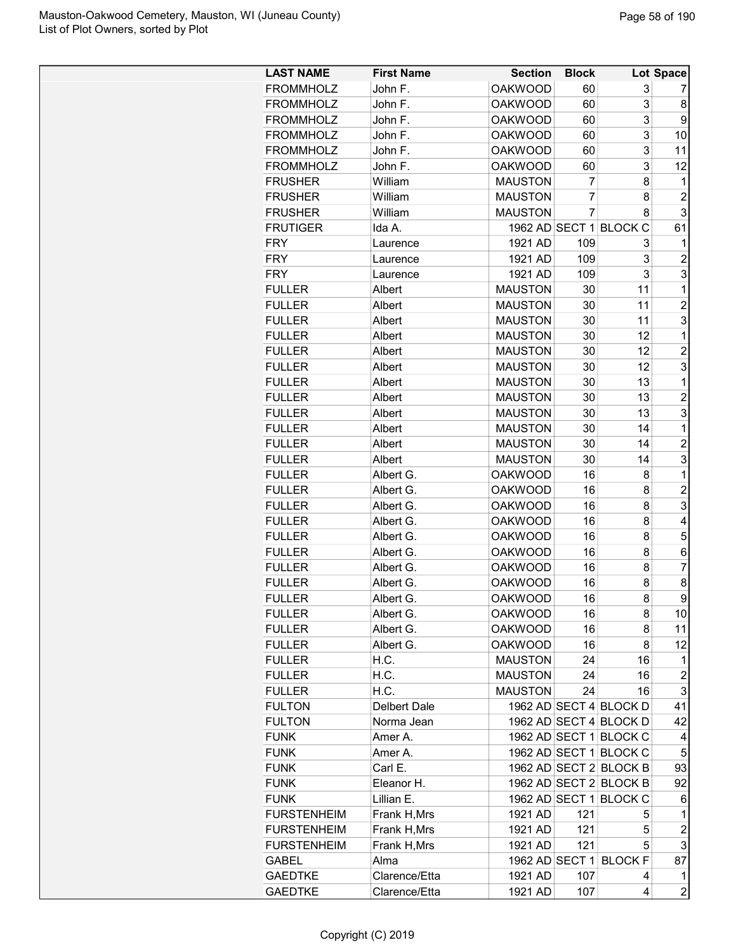| <b>LAST NAME</b>   | <b>First Name</b> | <b>Section</b> | <b>Block</b>   |                        | Lot Space        |
|--------------------|-------------------|----------------|----------------|------------------------|------------------|
| <b>FROMMHOLZ</b>   | John F.           | <b>OAKWOOD</b> | 60             | 3                      | 7                |
| <b>FROMMHOLZ</b>   | John F.           | <b>OAKWOOD</b> | 60             | 3                      | 8                |
| <b>FROMMHOLZ</b>   | John F.           | <b>OAKWOOD</b> | 60             | 3                      | 9                |
| <b>FROMMHOLZ</b>   | John F.           | <b>OAKWOOD</b> | 60             | 3                      | 10               |
| <b>FROMMHOLZ</b>   | John F.           | <b>OAKWOOD</b> | 60             | 3                      | 11               |
| <b>FROMMHOLZ</b>   | John F.           | <b>OAKWOOD</b> | 60             | 3                      | 12               |
| <b>FRUSHER</b>     | William           | <b>MAUSTON</b> | 7              | 8                      | 1                |
| <b>FRUSHER</b>     | William           | <b>MAUSTON</b> | $\overline{7}$ | 8                      | $\overline{c}$   |
| <b>FRUSHER</b>     | William           | <b>MAUSTON</b> | $\overline{7}$ | 8                      | 3                |
| <b>FRUTIGER</b>    | Ida A.            | 1962 AD SECT 1 |                | <b>BLOCK C</b>         | 61               |
| <b>FRY</b>         | Laurence          | 1921 AD        | 109            | 3                      | 1                |
| <b>FRY</b>         | Laurence          | 1921 AD        | 109            | 3                      | $\overline{c}$   |
| <b>FRY</b>         | Laurence          | 1921 AD        | 109            | 3                      | 3                |
| <b>FULLER</b>      | Albert            | <b>MAUSTON</b> | 30             | 11                     | $\mathbf 1$      |
| <b>FULLER</b>      | Albert            | <b>MAUSTON</b> | 30             | 11                     | $\overline{2}$   |
| <b>FULLER</b>      | Albert            | <b>MAUSTON</b> | 30             | 11                     | 3                |
| <b>FULLER</b>      | Albert            | <b>MAUSTON</b> | 30             | 12                     | 1                |
| <b>FULLER</b>      | Albert            | <b>MAUSTON</b> | 30             | 12                     | $\overline{2}$   |
| <b>FULLER</b>      | Albert            | <b>MAUSTON</b> | 30             | 12                     | 3                |
| <b>FULLER</b>      | Albert            | <b>MAUSTON</b> | 30             | 13                     | 1                |
| <b>FULLER</b>      |                   | <b>MAUSTON</b> | 30             | 13                     | $\overline{c}$   |
|                    | Albert            | <b>MAUSTON</b> |                | 13                     | 3                |
| <b>FULLER</b>      | Albert            |                | 30             | 14                     | $\mathbf 1$      |
| <b>FULLER</b>      | Albert            | <b>MAUSTON</b> | 30             |                        |                  |
| <b>FULLER</b>      | Albert            | <b>MAUSTON</b> | 30             | 14                     | $\overline{c}$   |
| <b>FULLER</b>      | Albert            | <b>MAUSTON</b> | 30             | 14                     | 3                |
| <b>FULLER</b>      | Albert G.         | <b>OAKWOOD</b> | 16             | 8                      | 1                |
| <b>FULLER</b>      | Albert G.         | <b>OAKWOOD</b> | 16             | 8                      | $\overline{c}$   |
| <b>FULLER</b>      | Albert G.         | <b>OAKWOOD</b> | 16             | 8                      | 3                |
| <b>FULLER</b>      | Albert G.         | <b>OAKWOOD</b> | 16             | 8                      | 4                |
| <b>FULLER</b>      | Albert G.         | <b>OAKWOOD</b> | 16             | 8                      | 5                |
| <b>FULLER</b>      | Albert G.         | <b>OAKWOOD</b> | 16             | 8                      | 6                |
| <b>FULLER</b>      | Albert G.         | <b>OAKWOOD</b> | 16             | 8                      | 7                |
| <b>FULLER</b>      | Albert G.         | <b>OAKWOOD</b> | 16             | 8                      | 8                |
| <b>FULLER</b>      | Albert G.         | <b>OAKWOOD</b> | 16             | 8                      | Q                |
| <b>FULLER</b>      | Albert G.         | <b>OAKWOOD</b> | 16             | 8                      | 10               |
| <b>FULLER</b>      | Albert G.         | <b>OAKWOOD</b> | 16             | 8                      | 11               |
| <b>FULLER</b>      | Albert G.         | <b>OAKWOOD</b> | 16             | 8                      | 12               |
| <b>FULLER</b>      | H.C.              | <b>MAUSTON</b> | 24             | 16                     | 1                |
| <b>FULLER</b>      | H.C.              | <b>MAUSTON</b> | 24             | 16                     | $\overline{2}$   |
| <b>FULLER</b>      | H.C.              | <b>MAUSTON</b> | 24             | 16                     | 3                |
| <b>FULTON</b>      | Delbert Dale      |                |                | 1962 AD SECT 4 BLOCK D | 41               |
| <b>FULTON</b>      | Norma Jean        |                |                | 1962 AD SECT 4 BLOCK D | 42               |
| <b>FUNK</b>        | Amer A.           |                |                | 1962 AD SECT 1 BLOCK C | $\overline{4}$   |
| <b>FUNK</b>        | Amer A.           |                |                | 1962 AD SECT 1 BLOCK C | 5                |
| <b>FUNK</b>        | Carl E.           |                |                | 1962 AD SECT 2 BLOCK B | 93               |
| <b>FUNK</b>        | Eleanor H.        |                |                | 1962 AD SECT 2 BLOCK B | 92               |
| <b>FUNK</b>        | Lillian E.        |                |                | 1962 AD SECT 1 BLOCK C | 6                |
| <b>FURSTENHEIM</b> | Frank H, Mrs      | 1921 AD        | 121            | 5                      | 1                |
| <b>FURSTENHEIM</b> | Frank H, Mrs      | 1921 AD        | 121            | 5                      | $\boldsymbol{2}$ |
| <b>FURSTENHEIM</b> | Frank H, Mrs      | 1921 AD        | 121            | 5                      | 3                |
| GABEL              | Alma              |                |                | 1962 AD SECT 1 BLOCK F | 87               |
| <b>GAEDTKE</b>     | Clarence/Etta     | 1921 AD        | 107            | 4                      | 1                |
| <b>GAEDTKE</b>     | Clarence/Etta     | 1921 AD        | 107            | 4                      | $\overline{c}$   |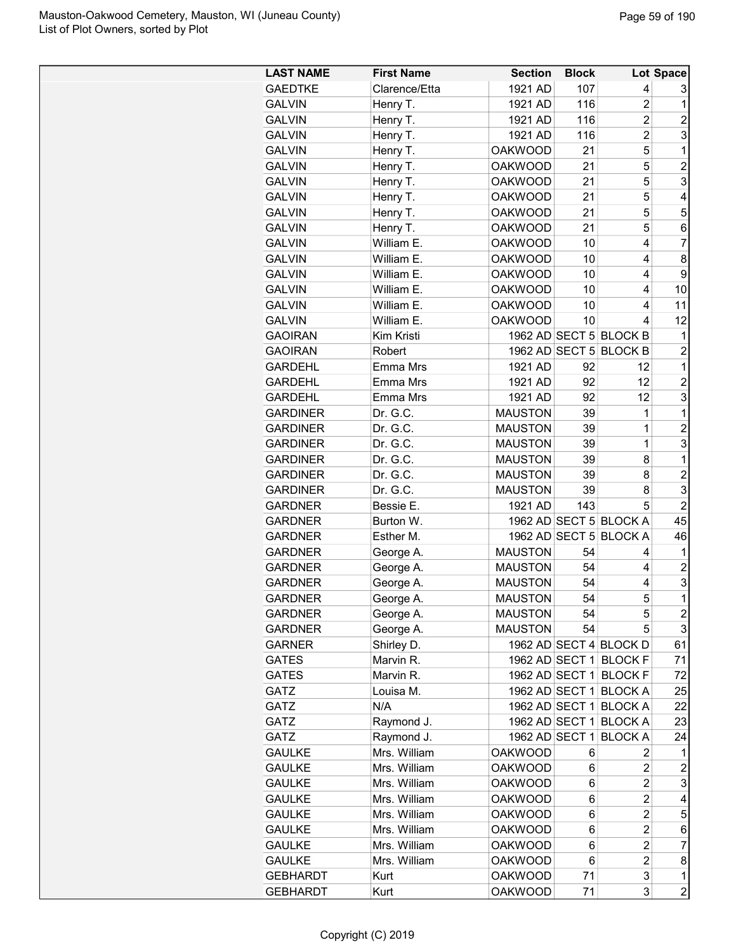| <b>LAST NAME</b> | <b>First Name</b>    | <b>Section</b> | <b>Block</b> |                        | Lot Space        |
|------------------|----------------------|----------------|--------------|------------------------|------------------|
| <b>GAEDTKE</b>   | Clarence/Etta        | 1921 AD        | 107          | 4                      | 3                |
| <b>GALVIN</b>    | Henry T.             | 1921 AD        | 116          | 2                      | 1                |
| <b>GALVIN</b>    | Henry T.             | 1921 AD        | 116          | $\overline{c}$         | $\overline{c}$   |
| <b>GALVIN</b>    | Henry T.             | 1921 AD        | 116          | $\overline{c}$         | 3                |
| <b>GALVIN</b>    | Henry T.             | <b>OAKWOOD</b> | 21           | 5                      | 1                |
| <b>GALVIN</b>    | Henry T.             | <b>OAKWOOD</b> | 21           | 5                      | $\overline{2}$   |
| <b>GALVIN</b>    | Henry T.             | <b>OAKWOOD</b> | 21           | 5                      | 3                |
| <b>GALVIN</b>    | Henry T.             | <b>OAKWOOD</b> | 21           | 5                      | 4                |
| <b>GALVIN</b>    | Henry T.             | <b>OAKWOOD</b> | 21           | 5                      | 5                |
| <b>GALVIN</b>    | Henry T.             | <b>OAKWOOD</b> | 21           | 5                      | 6                |
| <b>GALVIN</b>    | William E.           | <b>OAKWOOD</b> | 10           | 4                      | 7                |
| <b>GALVIN</b>    | William E.           | <b>OAKWOOD</b> | 10           | 4                      | 8                |
| <b>GALVIN</b>    | William E.           | <b>OAKWOOD</b> | 10           | 4                      | 9                |
| <b>GALVIN</b>    | William E.           | <b>OAKWOOD</b> | 10           | 4                      | 10               |
| <b>GALVIN</b>    | William E.           | <b>OAKWOOD</b> | 10           | 4                      | 11               |
| <b>GALVIN</b>    | William E.           | <b>OAKWOOD</b> | 10           | 4                      | 12               |
| <b>GAOIRAN</b>   | Kim Kristi           |                |              | 1962 AD SECT 5 BLOCK B | 1                |
| <b>GAOIRAN</b>   | Robert               |                |              | 1962 AD SECT 5 BLOCK B | $\overline{c}$   |
| <b>GARDEHL</b>   | Emma Mrs             | 1921 AD        | 92           | 12                     | 1                |
| <b>GARDEHL</b>   | Emma Mrs             | 1921 AD        | 92           | 12                     | $\overline{c}$   |
| <b>GARDEHL</b>   | Emma Mrs             | 1921 AD        | 92           | 12                     | 3                |
| <b>GARDINER</b>  | Dr. G.C.             | <b>MAUSTON</b> | 39           | 1                      | 1                |
| <b>GARDINER</b>  | Dr. G.C.             | <b>MAUSTON</b> | 39           | $\mathbf 1$            | $\overline{c}$   |
| <b>GARDINER</b>  | Dr. G.C.             | <b>MAUSTON</b> |              | 1                      | 3                |
| <b>GARDINER</b>  |                      | <b>MAUSTON</b> | 39<br>39     |                        | 1                |
| <b>GARDINER</b>  | Dr. G.C.<br>Dr. G.C. | <b>MAUSTON</b> | 39           | 8<br>8                 | $\overline{2}$   |
|                  | Dr. G.C.             |                | 39           |                        | 3                |
| <b>GARDINER</b>  |                      | <b>MAUSTON</b> |              | 8<br>5                 | $\overline{2}$   |
| <b>GARDNER</b>   | Bessie E.            | 1921 AD        | 143          |                        |                  |
| <b>GARDNER</b>   | Burton W.            |                |              | 1962 AD SECT 5 BLOCK A | 45               |
| <b>GARDNER</b>   | Esther M.            |                |              | 1962 AD SECT 5 BLOCK A | 46               |
| <b>GARDNER</b>   | George A.            | <b>MAUSTON</b> | 54           | 4                      | 1                |
| <b>GARDNER</b>   | George A.            | <b>MAUSTON</b> | 54           | 4                      | $\overline{c}$   |
| <b>GARDNER</b>   | George A.            | <b>MAUSTON</b> | 54           | 4                      | 3                |
| <b>GARDNER</b>   | George A.            | <b>MAUSTON</b> | 54           | 5                      | $\mathbf 1$      |
| <b>GARDNER</b>   | George A.            | <b>MAUSTON</b> | 54           | 5                      | $\boldsymbol{2}$ |
| <b>GARDNER</b>   | George A.            | <b>MAUSTON</b> | 54           | 5                      | 3                |
| <b>GARNER</b>    | Shirley D.           |                |              | 1962 AD SECT 4 BLOCK D | 61               |
| <b>GATES</b>     | Marvin R.            | 1962 AD SECT 1 |              | <b>BLOCK F</b>         | 71               |
| <b>GATES</b>     | Marvin R.            |                |              | 1962 AD SECT 1 BLOCK F | 72               |
| GATZ             | Louisa M.            | 1962 AD SECT 1 |              | <b>BLOCK A</b>         | 25               |
| GATZ             | N/A                  | 1962 AD SECT 1 |              | <b>BLOCK A</b>         | 22               |
| GATZ             | Raymond J.           | 1962 AD SECT 1 |              | <b>BLOCK A</b>         | 23               |
| GATZ             | Raymond J.           | 1962 AD SECT 1 |              | <b>BLOCK A</b>         | 24               |
| <b>GAULKE</b>    | Mrs. William         | <b>OAKWOOD</b> | 6            | 2                      | 1                |
| <b>GAULKE</b>    | Mrs. William         | <b>OAKWOOD</b> | 6            | 2                      | $\overline{c}$   |
| <b>GAULKE</b>    | Mrs. William         | <b>OAKWOOD</b> | 6            | 2                      | 3                |
| <b>GAULKE</b>    | Mrs. William         | <b>OAKWOOD</b> | 6            | $\overline{c}$         | 4                |
| <b>GAULKE</b>    | Mrs. William         | <b>OAKWOOD</b> | 6            | 2                      | 5                |
| <b>GAULKE</b>    | Mrs. William         | <b>OAKWOOD</b> | 6            | 2                      | 6                |
| <b>GAULKE</b>    | Mrs. William         | <b>OAKWOOD</b> | 6            | 2                      | $\overline{7}$   |
| <b>GAULKE</b>    | Mrs. William         | <b>OAKWOOD</b> | 6            | 2                      | 8                |
| <b>GEBHARDT</b>  | Kurt                 | <b>OAKWOOD</b> | 71           | 3                      | 1                |
| <b>GEBHARDT</b>  | Kurt                 | <b>OAKWOOD</b> | 71           | 3                      | $\overline{c}$   |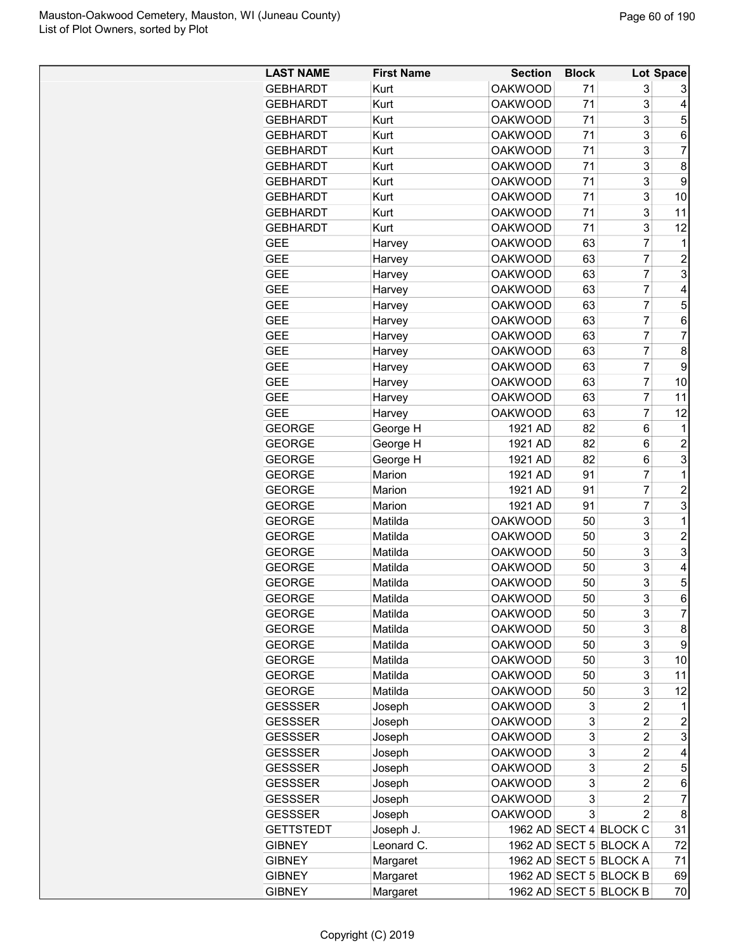| <b>LAST NAME</b> | <b>First Name</b> | <b>Section</b> | <b>Block</b> |                        | Lot Space      |
|------------------|-------------------|----------------|--------------|------------------------|----------------|
| <b>GEBHARDT</b>  | Kurt              | <b>OAKWOOD</b> | 71           | 3                      | 3              |
| <b>GEBHARDT</b>  | Kurt              | <b>OAKWOOD</b> | 71           | 3                      | 4              |
| <b>GEBHARDT</b>  | Kurt              | <b>OAKWOOD</b> | 71           | 3                      | 5              |
| <b>GEBHARDT</b>  | Kurt              | <b>OAKWOOD</b> | 71           | 3                      | 6              |
| <b>GEBHARDT</b>  | Kurt              | <b>OAKWOOD</b> | 71           | 3                      | 7              |
| <b>GEBHARDT</b>  | Kurt              | <b>OAKWOOD</b> | 71           | 3                      | 8              |
| <b>GEBHARDT</b>  | Kurt              | <b>OAKWOOD</b> | 71           | 3                      | 9              |
| <b>GEBHARDT</b>  | Kurt              | <b>OAKWOOD</b> | 71           | 3                      | 10             |
| <b>GEBHARDT</b>  | Kurt              | <b>OAKWOOD</b> | 71           | 3                      | 11             |
| <b>GEBHARDT</b>  | Kurt              | <b>OAKWOOD</b> | 71           | 3                      | 12             |
| <b>GEE</b>       | Harvey            | <b>OAKWOOD</b> | 63           | 7                      | 1              |
| <b>GEE</b>       | Harvey            | <b>OAKWOOD</b> | 63           | 7                      | 2              |
| <b>GEE</b>       | Harvey            | <b>OAKWOOD</b> | 63           | 7                      | 3              |
| <b>GEE</b>       | Harvey            | <b>OAKWOOD</b> | 63           | 7                      | 4              |
| <b>GEE</b>       | Harvey            | <b>OAKWOOD</b> | 63           | 7                      | 5              |
| <b>GEE</b>       |                   | <b>OAKWOOD</b> | 63           | 7                      | 6              |
| <b>GEE</b>       | Harvey            | <b>OAKWOOD</b> | 63           | 7                      | 7              |
|                  | Harvey            |                |              |                        |                |
| <b>GEE</b>       | Harvey            | <b>OAKWOOD</b> | 63           | 7                      | 8              |
| <b>GEE</b>       | Harvey            | <b>OAKWOOD</b> | 63           | 7                      | 9              |
| <b>GEE</b>       | Harvey            | <b>OAKWOOD</b> | 63           | 7                      | 10             |
| <b>GEE</b>       | Harvey            | <b>OAKWOOD</b> | 63           | 7                      | 11             |
| <b>GEE</b>       | Harvey            | <b>OAKWOOD</b> | 63           | 7                      | 12             |
| <b>GEORGE</b>    | George H          | 1921 AD        | 82           | 6                      | 1              |
| <b>GEORGE</b>    | George H          | 1921 AD        | 82           | 6                      | 2              |
| <b>GEORGE</b>    | George H          | 1921 AD        | 82           | 6                      | 3              |
| <b>GEORGE</b>    | Marion            | 1921 AD        | 91           | 7                      | 1              |
| <b>GEORGE</b>    | Marion            | 1921 AD        | 91           | 7                      | 2              |
| <b>GEORGE</b>    | Marion            | 1921 AD        | 91           | 7                      | 3              |
| <b>GEORGE</b>    | Matilda           | <b>OAKWOOD</b> | 50           | 3                      | 1              |
| <b>GEORGE</b>    | Matilda           | <b>OAKWOOD</b> | 50           | 3                      | $\overline{c}$ |
| <b>GEORGE</b>    | Matilda           | <b>OAKWOOD</b> | 50           | 3                      | 3              |
| <b>GEORGE</b>    | Matilda           | <b>OAKWOOD</b> | 50           | 3                      | 4              |
| <b>GEORGE</b>    | Matilda           | <b>OAKWOOD</b> | 50           | 3                      | 5              |
| <b>GEORGE</b>    | Matilda           | <b>OAKWOOD</b> | 50           | 3                      | 6              |
| <b>GEORGE</b>    | Matilda           | <b>OAKWOOD</b> | 50           | 3                      | $\overline{7}$ |
| <b>GEORGE</b>    | Matilda           | <b>OAKWOOD</b> | 50           | 3                      | 8              |
| <b>GEORGE</b>    | Matilda           | <b>OAKWOOD</b> | 50           | 3                      | 9              |
| <b>GEORGE</b>    | Matilda           | <b>OAKWOOD</b> | 50           | 3                      | 10             |
| <b>GEORGE</b>    | Matilda           | <b>OAKWOOD</b> | 50           | 3                      | 11             |
| <b>GEORGE</b>    | Matilda           | <b>OAKWOOD</b> | 50           | 3                      | 12             |
| <b>GESSSER</b>   | Joseph            | <b>OAKWOOD</b> | 3            | $\overline{c}$         | 1              |
| <b>GESSSER</b>   |                   | <b>OAKWOOD</b> | 3            | $\overline{c}$         | $\overline{c}$ |
|                  | Joseph            |                | 3            |                        |                |
| <b>GESSSER</b>   | Joseph            | <b>OAKWOOD</b> |              | $\overline{c}$         | 3              |
| <b>GESSSER</b>   | Joseph            | <b>OAKWOOD</b> | 3            | $\overline{2}$         | 4              |
| <b>GESSSER</b>   | Joseph            | <b>OAKWOOD</b> | 3            | $\overline{c}$         | 5              |
| <b>GESSSER</b>   | Joseph            | <b>OAKWOOD</b> | 3            | $\overline{c}$         | 6              |
| <b>GESSSER</b>   | Joseph            | <b>OAKWOOD</b> | 3            | 2                      | 7              |
| <b>GESSSER</b>   | Joseph            | <b>OAKWOOD</b> | 3            | $\overline{2}$         | 8              |
| <b>GETTSTEDT</b> | Joseph J.         |                |              | 1962 AD SECT 4 BLOCK C | 31             |
| <b>GIBNEY</b>    | Leonard C.        |                |              | 1962 AD SECT 5 BLOCK A | 72             |
| <b>GIBNEY</b>    | Margaret          |                |              | 1962 AD SECT 5 BLOCK A | 71             |
| <b>GIBNEY</b>    | Margaret          |                |              | 1962 AD SECT 5 BLOCK B | 69             |
| <b>GIBNEY</b>    | Margaret          |                |              | 1962 AD SECT 5 BLOCK B | 70             |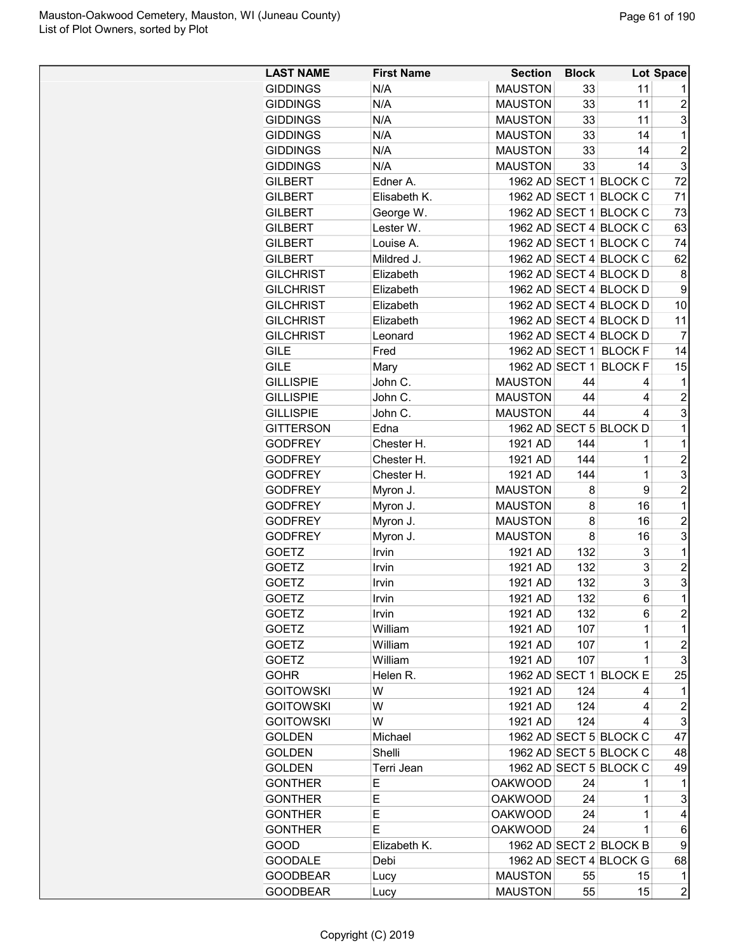| <b>LAST NAME</b> | <b>First Name</b> | <b>Section</b> | <b>Block</b> |                        | Lot Space        |
|------------------|-------------------|----------------|--------------|------------------------|------------------|
| <b>GIDDINGS</b>  | N/A               | <b>MAUSTON</b> | 33           | 11                     | 1                |
| <b>GIDDINGS</b>  | N/A               | <b>MAUSTON</b> | 33           | 11                     | $\overline{2}$   |
| <b>GIDDINGS</b>  | N/A               | <b>MAUSTON</b> | 33           | 11                     | 3                |
| <b>GIDDINGS</b>  | N/A               | <b>MAUSTON</b> | 33           | 14                     | 1                |
| <b>GIDDINGS</b>  | N/A               | <b>MAUSTON</b> | 33           | 14                     | $\overline{c}$   |
| <b>GIDDINGS</b>  | N/A               | <b>MAUSTON</b> | 33           | 14                     | 3                |
| <b>GILBERT</b>   | Edner A.          |                |              | 1962 AD SECT 1 BLOCK C | 72               |
| <b>GILBERT</b>   | Elisabeth K.      |                |              | 1962 AD SECT 1 BLOCK C | 71               |
| <b>GILBERT</b>   | George W.         |                |              | 1962 AD SECT 1 BLOCK C | 73               |
| <b>GILBERT</b>   | Lester W.         |                |              | 1962 AD SECT 4 BLOCK C | 63               |
| <b>GILBERT</b>   | Louise A.         |                |              | 1962 AD SECT 1 BLOCK C | 74               |
| <b>GILBERT</b>   | Mildred J.        |                |              | 1962 AD SECT 4 BLOCK C | 62               |
| <b>GILCHRIST</b> | Elizabeth         |                |              | 1962 AD SECT 4 BLOCK D | 8                |
| <b>GILCHRIST</b> | Elizabeth         |                |              | 1962 AD SECT 4 BLOCK D | 9                |
| <b>GILCHRIST</b> | Elizabeth         |                |              | 1962 AD SECT 4 BLOCK D | 10               |
| <b>GILCHRIST</b> | Elizabeth         |                |              | 1962 AD SECT 4 BLOCK D | 11               |
| <b>GILCHRIST</b> | Leonard           |                |              | 1962 AD SECT 4 BLOCK D | $\overline{7}$   |
| <b>GILE</b>      | Fred              |                |              | 1962 AD SECT 1 BLOCK F | 14               |
| <b>GILE</b>      | Mary              |                |              | 1962 AD SECT 1 BLOCK F | 15               |
| <b>GILLISPIE</b> | John C.           | <b>MAUSTON</b> | 44           | 4                      | 1                |
| <b>GILLISPIE</b> | John C.           | <b>MAUSTON</b> | 44           | 4                      | $\overline{c}$   |
| <b>GILLISPIE</b> | John C.           | <b>MAUSTON</b> | 44           | 4                      | 3                |
| <b>GITTERSON</b> | Edna              |                |              | 1962 AD SECT 5 BLOCK D | 1                |
| <b>GODFREY</b>   | Chester H.        | 1921 AD        | 144          | $\mathbf 1$            | 1                |
| <b>GODFREY</b>   | Chester H.        | 1921 AD        | 144          | $\mathbf 1$            | $\overline{c}$   |
| <b>GODFREY</b>   | Chester H.        | 1921 AD        | 144          | $\mathbf 1$            | 3                |
| <b>GODFREY</b>   | Myron J.          | <b>MAUSTON</b> | 8            | 9                      | $\overline{2}$   |
| <b>GODFREY</b>   | Myron J.          | <b>MAUSTON</b> | 8            | 16                     | 1                |
| <b>GODFREY</b>   | Myron J.          | <b>MAUSTON</b> | 8            | 16                     | $\overline{c}$   |
| <b>GODFREY</b>   | Myron J.          | <b>MAUSTON</b> | 8            | 16                     | 3                |
| <b>GOETZ</b>     | Irvin             | 1921 AD        | 132          | 3                      | $\mathbf 1$      |
| <b>GOETZ</b>     | Irvin             | 1921 AD        | 132          | 3                      | $\overline{2}$   |
| <b>GOETZ</b>     | Irvin             | 1921 AD        | 132          | 3                      | 3                |
| <b>GOETZ</b>     | Irvin             | 1921 AD        | 132          | 6                      | $\overline{1}$   |
| <b>GOETZ</b>     | Irvin             | 1921 AD        | 132          | 6                      | $\overline{c}$   |
| <b>GOETZ</b>     | William           | 1921 AD        | 107          | 1                      | 1                |
| <b>GOETZ</b>     | William           | 1921 AD        | 107          | 1                      | $\boldsymbol{2}$ |
| <b>GOETZ</b>     | William           | 1921 AD        | 107          | $\mathbf{1}$           | 3                |
| <b>GOHR</b>      | Helen R.          |                |              | 1962 AD SECT 1 BLOCK E | 25               |
| <b>GOITOWSKI</b> | W                 | 1921 AD        | 124          | 4                      | 1                |
| <b>GOITOWSKI</b> | W                 | 1921 AD        | 124          | 4                      | $\overline{c}$   |
| <b>GOITOWSKI</b> | W                 | 1921 AD        | 124          | 4                      | 3                |
| <b>GOLDEN</b>    | Michael           |                |              | 1962 AD SECT 5 BLOCK C | 47               |
| <b>GOLDEN</b>    | Shelli            |                |              | 1962 AD SECT 5 BLOCK C | 48               |
| <b>GOLDEN</b>    | Terri Jean        |                |              | 1962 AD SECT 5 BLOCK C | 49               |
| <b>GONTHER</b>   | Е                 | <b>OAKWOOD</b> | 24           | 1                      | 1                |
| <b>GONTHER</b>   | E                 | <b>OAKWOOD</b> | 24           | 1                      | 3                |
| <b>GONTHER</b>   | Е                 | <b>OAKWOOD</b> | 24           | 1                      | 4                |
| <b>GONTHER</b>   | Е                 | <b>OAKWOOD</b> | 24           | 1                      | 6                |
| GOOD             | Elizabeth K.      |                |              | 1962 AD SECT 2 BLOCK B | 9                |
| <b>GOODALE</b>   | Debi              |                |              | 1962 AD SECT 4 BLOCK G | 68               |
| <b>GOODBEAR</b>  | Lucy              | <b>MAUSTON</b> | 55           | 15                     | 1                |
| <b>GOODBEAR</b>  | Lucy              | <b>MAUSTON</b> | 55           | 15                     | $\overline{c}$   |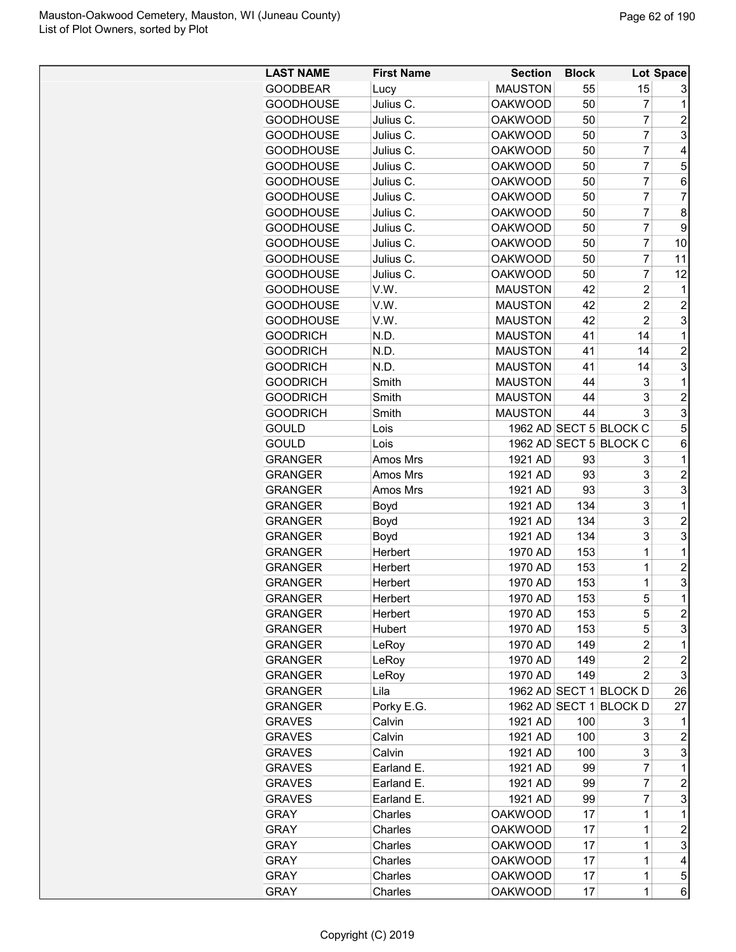| <b>LAST NAME</b> | <b>First Name</b> | <b>Section</b> | <b>Block</b> |                        | Lot Space      |
|------------------|-------------------|----------------|--------------|------------------------|----------------|
| <b>GOODBEAR</b>  | Lucy              | <b>MAUSTON</b> | 55           | 15                     | 3              |
| <b>GOODHOUSE</b> | Julius C.         | <b>OAKWOOD</b> | 50           | 7                      | 1              |
| <b>GOODHOUSE</b> | Julius C.         | <b>OAKWOOD</b> | 50           | $\overline{7}$         | $\overline{c}$ |
| <b>GOODHOUSE</b> | Julius C.         | <b>OAKWOOD</b> | 50           | $\overline{7}$         | 3              |
| <b>GOODHOUSE</b> | Julius C.         | <b>OAKWOOD</b> | 50           | $\overline{7}$         | $\overline{4}$ |
| <b>GOODHOUSE</b> | Julius C.         | <b>OAKWOOD</b> | 50           | $\overline{7}$         | 5              |
| <b>GOODHOUSE</b> | Julius C.         | <b>OAKWOOD</b> | 50           | 7                      | 6              |
| <b>GOODHOUSE</b> | Julius C.         | <b>OAKWOOD</b> | 50           | $\overline{7}$         | $\overline{7}$ |
| <b>GOODHOUSE</b> | Julius C.         | <b>OAKWOOD</b> | 50           | $\overline{7}$         | 8              |
| <b>GOODHOUSE</b> | Julius C.         | <b>OAKWOOD</b> | 50           | $\overline{7}$         | 9              |
| <b>GOODHOUSE</b> | Julius C.         | <b>OAKWOOD</b> | 50           | $\overline{7}$         | 10             |
| <b>GOODHOUSE</b> | Julius C.         | <b>OAKWOOD</b> | 50           | 7                      | 11             |
| <b>GOODHOUSE</b> | Julius C.         | <b>OAKWOOD</b> | 50           | $\overline{7}$         | 12             |
| <b>GOODHOUSE</b> | V.W.              | <b>MAUSTON</b> | 42           | $\overline{2}$         | 1              |
| <b>GOODHOUSE</b> | V.W.              | <b>MAUSTON</b> | 42           | $\overline{2}$         | $\overline{2}$ |
| <b>GOODHOUSE</b> | V.W.              | <b>MAUSTON</b> | 42           | $\overline{2}$         | 3              |
| <b>GOODRICH</b>  | N.D.              | <b>MAUSTON</b> | 41           | 14                     | 1              |
| <b>GOODRICH</b>  | N.D.              | <b>MAUSTON</b> | 41           | 14                     | $\overline{2}$ |
| <b>GOODRICH</b>  | N.D.              | <b>MAUSTON</b> | 41           | 14                     | 3              |
| <b>GOODRICH</b>  | Smith             | <b>MAUSTON</b> | 44           | 3                      | 1              |
| <b>GOODRICH</b>  | Smith             | <b>MAUSTON</b> | 44           | 3                      | $\overline{c}$ |
| <b>GOODRICH</b>  | Smith             | <b>MAUSTON</b> | 44           | 3                      | 3              |
| <b>GOULD</b>     | Lois              |                |              | 1962 AD SECT 5 BLOCK C | 5              |
| <b>GOULD</b>     | Lois              |                |              | 1962 AD SECT 5 BLOCK C | 6              |
| <b>GRANGER</b>   | Amos Mrs          | 1921 AD        | 93           | 3                      | 1              |
| <b>GRANGER</b>   | Amos Mrs          | 1921 AD        | 93           | 3                      | $\overline{2}$ |
| <b>GRANGER</b>   | Amos Mrs          | 1921 AD        | 93           | 3                      | 3              |
| <b>GRANGER</b>   | Boyd              | 1921 AD        | 134          | 3                      | 1              |
| <b>GRANGER</b>   | Boyd              | 1921 AD        | 134          | 3                      | $\overline{2}$ |
| <b>GRANGER</b>   | Boyd              | 1921 AD        | 134          | 3                      | 3              |
| <b>GRANGER</b>   | Herbert           | 1970 AD        | 153          | $\overline{1}$         | 1              |
| <b>GRANGER</b>   | Herbert           | 1970 AD        | 153          | $\overline{1}$         | $\overline{2}$ |
| <b>GRANGER</b>   | Herbert           | 1970 AD        | 153          | 1                      | 3              |
| <b>GRANGER</b>   | Herbert           | 1970 AD        | 153          | 5                      | $\overline{1}$ |
| <b>GRANGER</b>   | Herbert           | 1970 AD        | 153          | 5                      | $\overline{c}$ |
| <b>GRANGER</b>   | Hubert            | 1970 AD        | 153          | 5                      | 3              |
| <b>GRANGER</b>   | LeRoy             | 1970 AD        | 149          | $\overline{2}$         | $\mathbf 1$    |
| <b>GRANGER</b>   | LeRoy             | 1970 AD        | 149          | $\overline{c}$         | $\overline{c}$ |
| <b>GRANGER</b>   | LeRoy             | 1970 AD        | 149          | 2                      | 3              |
| <b>GRANGER</b>   | Lila              |                |              | 1962 AD SECT 1 BLOCK D | 26             |
| <b>GRANGER</b>   | Porky E.G.        |                |              | 1962 AD SECT 1 BLOCK D | 27             |
| <b>GRAVES</b>    | Calvin            | 1921 AD        | 100          | 3                      | 1              |
| <b>GRAVES</b>    | Calvin            | 1921 AD        | 100          | 3                      | $\overline{c}$ |
| <b>GRAVES</b>    | Calvin            | 1921 AD        | 100          | 3                      | 3              |
| <b>GRAVES</b>    | Earland E.        | 1921 AD        | 99           | 7                      | 1              |
| <b>GRAVES</b>    | Earland E.        | 1921 AD        | 99           | $\overline{7}$         | $\overline{c}$ |
| <b>GRAVES</b>    | Earland E.        | 1921 AD        | 99           | 7                      | 3              |
| <b>GRAY</b>      | Charles           | <b>OAKWOOD</b> | 17           | 1                      | 1              |
| <b>GRAY</b>      | Charles           | <b>OAKWOOD</b> | 17           | 1                      | $\overline{c}$ |
| <b>GRAY</b>      | Charles           | <b>OAKWOOD</b> | 17           | 1                      | 3              |
| <b>GRAY</b>      | Charles           | <b>OAKWOOD</b> | 17           | 1                      | 4              |
| <b>GRAY</b>      | Charles           | <b>OAKWOOD</b> | 17           | $\mathbf{1}$           | 5              |
| <b>GRAY</b>      | Charles           | <b>OAKWOOD</b> | 17           | $\mathbf{1}$           | 6              |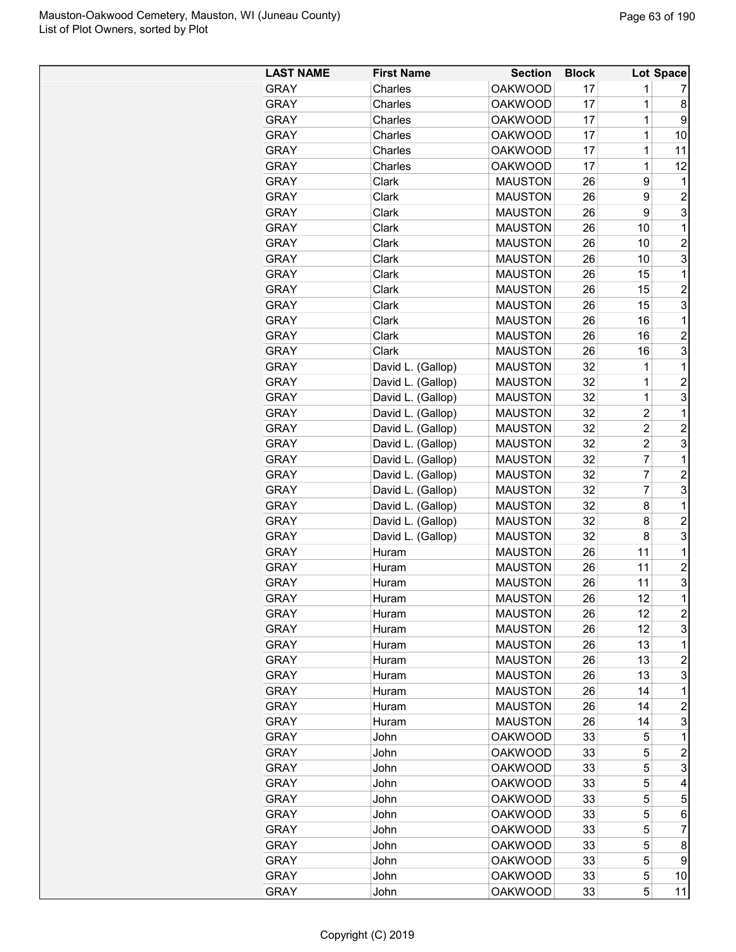| <b>LAST NAME</b> | <b>First Name</b> | <b>Section</b> | <b>Block</b> |                | <b>Lot Space</b> |
|------------------|-------------------|----------------|--------------|----------------|------------------|
| <b>GRAY</b>      | Charles           | <b>OAKWOOD</b> | 17           | 1              | 7                |
| <b>GRAY</b>      | Charles           | <b>OAKWOOD</b> | 17           | $\mathbf 1$    | 8                |
| <b>GRAY</b>      | Charles           | <b>OAKWOOD</b> | 17           | 1              | 9                |
| <b>GRAY</b>      | Charles           | <b>OAKWOOD</b> | 17           | 1              | 10               |
| <b>GRAY</b>      | Charles           | <b>OAKWOOD</b> | 17           | $\mathbf 1$    | 11               |
| <b>GRAY</b>      | Charles           | <b>OAKWOOD</b> | 17           | $\mathbf 1$    | 12               |
| <b>GRAY</b>      | Clark             | <b>MAUSTON</b> | 26           | 9              | $\mathbf 1$      |
| <b>GRAY</b>      | Clark             | <b>MAUSTON</b> | 26           | 9              | $\overline{2}$   |
| <b>GRAY</b>      | Clark             | <b>MAUSTON</b> | 26           | 9              | 3                |
| <b>GRAY</b>      | Clark             | <b>MAUSTON</b> | 26           | 10             | $\mathbf{1}$     |
| <b>GRAY</b>      | Clark             | <b>MAUSTON</b> | 26           | 10             | $\overline{2}$   |
| <b>GRAY</b>      | Clark             | <b>MAUSTON</b> | 26           | 10             | 3                |
| <b>GRAY</b>      | Clark             | <b>MAUSTON</b> | 26           | 15             | $\mathbf{1}$     |
| <b>GRAY</b>      | Clark             | <b>MAUSTON</b> | 26           | 15             | $\overline{c}$   |
| <b>GRAY</b>      | Clark             | <b>MAUSTON</b> | 26           | 15             | 3                |
| <b>GRAY</b>      | Clark             | <b>MAUSTON</b> | 26           | 16             | 1                |
| <b>GRAY</b>      | Clark             | <b>MAUSTON</b> | 26           | 16             | $\overline{2}$   |
| <b>GRAY</b>      | Clark             | <b>MAUSTON</b> | 26           | 16             | 3                |
| <b>GRAY</b>      | David L. (Gallop) | <b>MAUSTON</b> | 32           | 1              | $\mathbf{1}$     |
| <b>GRAY</b>      | David L. (Gallop) | <b>MAUSTON</b> | 32           | 1              | $\overline{c}$   |
| <b>GRAY</b>      | David L. (Gallop) | <b>MAUSTON</b> | 32           | $\mathbf 1$    | 3                |
| <b>GRAY</b>      | David L. (Gallop) | <b>MAUSTON</b> | 32           | $\overline{c}$ | $\mathbf{1}$     |
| <b>GRAY</b>      | David L. (Gallop) | <b>MAUSTON</b> | 32           | $\overline{2}$ | 2                |
| <b>GRAY</b>      | David L. (Gallop) | <b>MAUSTON</b> | 32           | $\overline{c}$ | 3                |
| <b>GRAY</b>      | David L. (Gallop) | <b>MAUSTON</b> | 32           | $\overline{7}$ | $\mathbf{1}$     |
| <b>GRAY</b>      | David L. (Gallop) | <b>MAUSTON</b> | 32           | 7              | $\overline{c}$   |
| <b>GRAY</b>      | David L. (Gallop) | <b>MAUSTON</b> | 32           | $\overline{7}$ | 3                |
| <b>GRAY</b>      | David L. (Gallop) | <b>MAUSTON</b> | 32           | 8              | $\mathbf 1$      |
| <b>GRAY</b>      | David L. (Gallop) | <b>MAUSTON</b> | 32           | 8              | $\overline{c}$   |
| <b>GRAY</b>      | David L. (Gallop) | <b>MAUSTON</b> | 32           | 8              | 3                |
| <b>GRAY</b>      | Huram             | <b>MAUSTON</b> | 26           | 11             | $\mathbf{1}$     |
| <b>GRAY</b>      | Huram             | <b>MAUSTON</b> | 26           | 11             | $\overline{2}$   |
| <b>GRAY</b>      | Huram             | <b>MAUSTON</b> | 26           | 11             | 3                |
| <b>GRAY</b>      | Huram             | <b>MAUSTON</b> | 26           | 12             | 1                |
| <b>GRAY</b>      | Huram             | <b>MAUSTON</b> | 26           | 12             | $\overline{c}$   |
| <b>GRAY</b>      | Huram             | <b>MAUSTON</b> | 26           | 12             | 3                |
| <b>GRAY</b>      | Huram             | <b>MAUSTON</b> | 26           | 13             | 1                |
| <b>GRAY</b>      | Huram             | <b>MAUSTON</b> | 26           | 13             | 2                |
| <b>GRAY</b>      | Huram             | <b>MAUSTON</b> | 26           | 13             | 3                |
| <b>GRAY</b>      | Huram             | <b>MAUSTON</b> | 26           | 14             | 1                |
| <b>GRAY</b>      | Huram             | <b>MAUSTON</b> | 26           | 14             | 2                |
| <b>GRAY</b>      | Huram             | <b>MAUSTON</b> | 26           | 14             | 3                |
| <b>GRAY</b>      | John              | <b>OAKWOOD</b> | 33           | 5              | 1                |
| <b>GRAY</b>      | John              | <b>OAKWOOD</b> | 33           | 5              | $\overline{c}$   |
| <b>GRAY</b>      | John              | <b>OAKWOOD</b> | 33           | 5              | 3                |
| <b>GRAY</b>      | John              | <b>OAKWOOD</b> | 33           | 5              | 4                |
| <b>GRAY</b>      | John              | <b>OAKWOOD</b> | 33           | 5              | 5                |
| <b>GRAY</b>      | John              | <b>OAKWOOD</b> | 33           | 5              | 6                |
| <b>GRAY</b>      | John              | <b>OAKWOOD</b> | 33           | 5              | 7                |
| <b>GRAY</b>      | John              | <b>OAKWOOD</b> | 33           | 5              | 8                |
| <b>GRAY</b>      | John              | <b>OAKWOOD</b> | 33           | 5              | 9                |
| <b>GRAY</b>      | John              | <b>OAKWOOD</b> | 33           | 5              | 10               |
| <b>GRAY</b>      | John              | <b>OAKWOOD</b> | 33           | 5              | 11               |
|                  |                   |                |              |                |                  |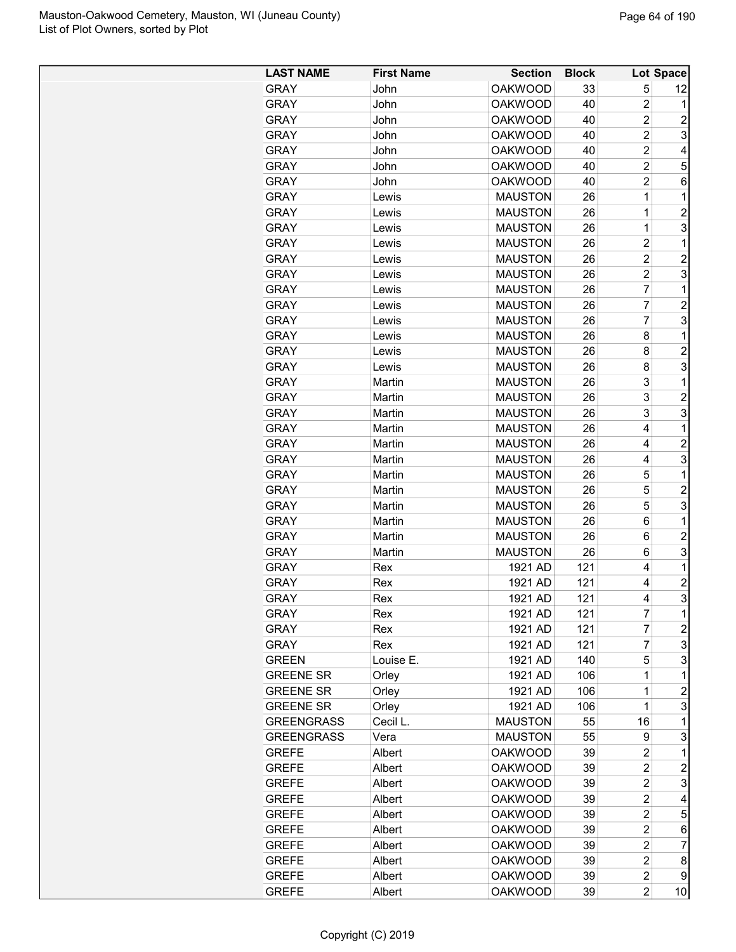| <b>LAST NAME</b>  | <b>First Name</b> | <b>Section</b> | <b>Block</b> |                | Lot Space               |
|-------------------|-------------------|----------------|--------------|----------------|-------------------------|
| <b>GRAY</b>       | John              | <b>OAKWOOD</b> | 33           | 5              | 12                      |
| <b>GRAY</b>       | John              | <b>OAKWOOD</b> | 40           | $\overline{2}$ | 1                       |
| <b>GRAY</b>       | John              | <b>OAKWOOD</b> | 40           | $\overline{2}$ | $\overline{c}$          |
| <b>GRAY</b>       | John              | <b>OAKWOOD</b> | 40           | $\overline{2}$ | 3                       |
| <b>GRAY</b>       | John              | <b>OAKWOOD</b> | 40           | $\overline{c}$ | 4                       |
| <b>GRAY</b>       | John              | <b>OAKWOOD</b> | 40           | $\overline{2}$ | 5                       |
| <b>GRAY</b>       | John              | <b>OAKWOOD</b> | 40           | $\overline{2}$ | 6                       |
| <b>GRAY</b>       | Lewis             | <b>MAUSTON</b> | 26           | 1              | 1                       |
| <b>GRAY</b>       | Lewis             | <b>MAUSTON</b> | 26           | 1              | $\overline{c}$          |
| <b>GRAY</b>       | Lewis             | <b>MAUSTON</b> | 26           | 1              | 3                       |
| <b>GRAY</b>       | Lewis             | <b>MAUSTON</b> | 26           | $\overline{2}$ | 1                       |
| <b>GRAY</b>       | Lewis             | <b>MAUSTON</b> | 26           | $\overline{c}$ | $\overline{c}$          |
| <b>GRAY</b>       | Lewis             | <b>MAUSTON</b> | 26           | $\overline{2}$ | 3                       |
| <b>GRAY</b>       | Lewis             | <b>MAUSTON</b> | 26           | $\overline{7}$ | 1                       |
| <b>GRAY</b>       | Lewis             | <b>MAUSTON</b> | 26           | $\overline{7}$ | $\overline{c}$          |
| <b>GRAY</b>       | Lewis             | <b>MAUSTON</b> | 26           | $\overline{7}$ | 3                       |
| <b>GRAY</b>       | Lewis             | <b>MAUSTON</b> | 26           | 8              | 1                       |
| <b>GRAY</b>       | Lewis             | <b>MAUSTON</b> | 26           | 8              | $\overline{c}$          |
| <b>GRAY</b>       | Lewis             | <b>MAUSTON</b> | 26           | 8              | 3                       |
|                   |                   |                |              |                |                         |
| <b>GRAY</b>       | Martin            | <b>MAUSTON</b> | 26           | 3              | $\mathbf 1$             |
| <b>GRAY</b>       | Martin            | <b>MAUSTON</b> | 26           | 3              | $\overline{c}$          |
| <b>GRAY</b>       | Martin            | <b>MAUSTON</b> | 26           | 3              | 3                       |
| <b>GRAY</b>       | Martin            | <b>MAUSTON</b> | 26           | 4              | 1                       |
| <b>GRAY</b>       | Martin            | <b>MAUSTON</b> | 26           | 4              | $\overline{c}$          |
| <b>GRAY</b>       | Martin            | <b>MAUSTON</b> | 26           | 4              | 3                       |
| <b>GRAY</b>       | Martin            | <b>MAUSTON</b> | 26           | 5              | $\mathbf 1$             |
| <b>GRAY</b>       | Martin            | <b>MAUSTON</b> | 26           | 5              | $\overline{2}$          |
| <b>GRAY</b>       | Martin            | <b>MAUSTON</b> | 26           | 5              | 3                       |
| <b>GRAY</b>       | Martin            | <b>MAUSTON</b> | 26           | 6              | $\mathbf{1}$            |
| <b>GRAY</b>       | Martin            | <b>MAUSTON</b> | 26           | 6              | $\overline{c}$          |
| <b>GRAY</b>       | Martin            | <b>MAUSTON</b> | 26           | 6              | 3                       |
| <b>GRAY</b>       | Rex               | 1921 AD        | 121          | 4              | 1                       |
| <b>GRAY</b>       | Rex               | 1921 AD        | 121          | 4              | $\overline{c}$          |
| GRAY              | Rex               | 1921 AD        | 121          | 4              | 3                       |
| <b>GRAY</b>       | Rex               | 1921 AD        | 121          | $\overline{7}$ | 1                       |
| <b>GRAY</b>       | Rex               | 1921 AD        | 121          | 7              | $\overline{\mathbf{c}}$ |
| <b>GRAY</b>       | Rex               | 1921 AD        | 121          | 7              | 3                       |
| <b>GREEN</b>      | Louise E.         | 1921 AD        | 140          | 5              | 3                       |
| <b>GREENE SR</b>  | Orley             | 1921 AD        | 106          | 1              | 1                       |
| <b>GREENE SR</b>  | Orley             | 1921 AD        | 106          | 1              | 2                       |
| <b>GREENE SR</b>  | Orley             | 1921 AD        | 106          | 1              | 3                       |
| <b>GREENGRASS</b> | Cecil L.          | <b>MAUSTON</b> | 55           | 16             | 1                       |
| <b>GREENGRASS</b> | Vera              | <b>MAUSTON</b> | 55           | 9              | 3                       |
| <b>GREFE</b>      | Albert            | <b>OAKWOOD</b> | 39           | $\overline{c}$ | $\mathbf 1$             |
| <b>GREFE</b>      | Albert            | <b>OAKWOOD</b> | 39           | $\overline{2}$ | 2                       |
| <b>GREFE</b>      | Albert            | <b>OAKWOOD</b> | 39           | $\overline{c}$ | 3                       |
| <b>GREFE</b>      | Albert            | <b>OAKWOOD</b> | 39           | $\overline{2}$ | 4                       |
| <b>GREFE</b>      | Albert            | <b>OAKWOOD</b> | 39           | $\overline{c}$ | 5                       |
| <b>GREFE</b>      | Albert            | <b>OAKWOOD</b> | 39           | $\overline{c}$ | 6                       |
| <b>GREFE</b>      | Albert            | <b>OAKWOOD</b> | 39           | $\overline{c}$ | $\overline{7}$          |
| <b>GREFE</b>      | Albert            | <b>OAKWOOD</b> | 39           | $\overline{c}$ | 8                       |
| <b>GREFE</b>      | Albert            | <b>OAKWOOD</b> | 39           | $\overline{c}$ | 9                       |
| <b>GREFE</b>      | Albert            | <b>OAKWOOD</b> | 39           | $\overline{2}$ | 10                      |
|                   |                   |                |              |                |                         |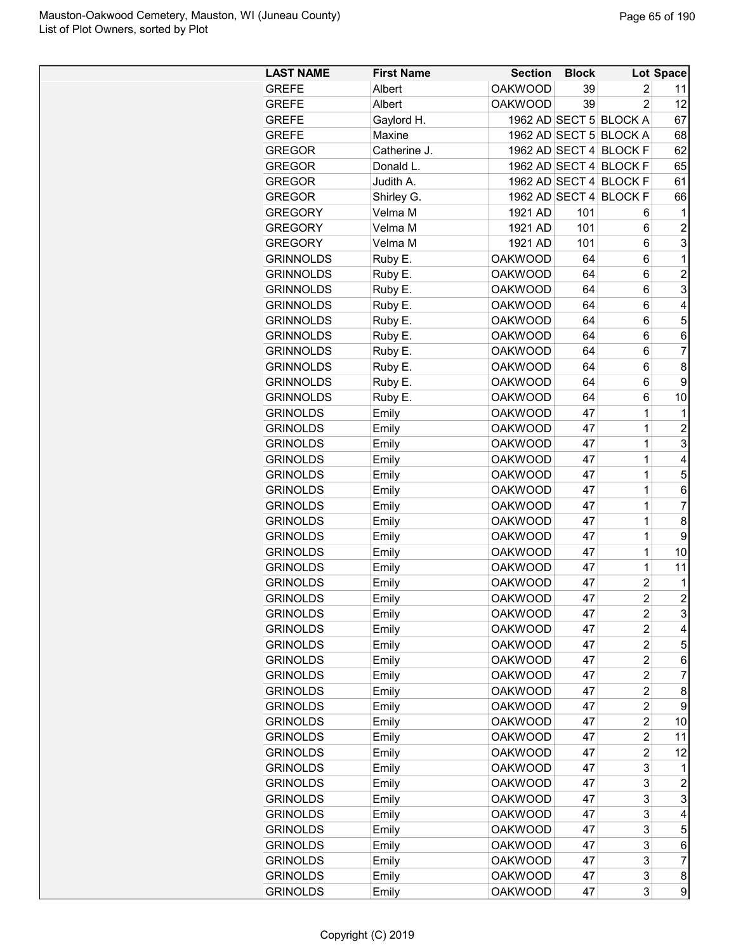| <b>OAKWOOD</b><br>39<br>2<br><b>GREFE</b><br>Albert<br>11<br>12<br><b>OAKWOOD</b><br>39<br>$\overline{2}$<br><b>GREFE</b><br>Albert<br>1962 AD SECT 5 BLOCK A<br>67<br><b>GREFE</b><br>Gaylord H.<br>1962 AD SECT 5<br><b>BLOCK A</b><br><b>GREFE</b><br>Maxine<br>68<br>1962 AD SECT 4<br>62<br>Catherine J.<br><b>BLOCK F</b><br><b>GREGOR</b><br>1962 AD SECT 4<br><b>GREGOR</b><br>Donald L.<br><b>BLOCK F</b><br>65<br>1962 AD SECT 4<br><b>BLOCK F</b><br>61<br><b>GREGOR</b><br>Judith A.<br>1962 AD SECT 4<br>66<br><b>GREGOR</b><br>Shirley G.<br><b>BLOCK F</b><br>Velma M<br>1921 AD<br>1<br><b>GREGORY</b><br>101<br>6<br>Velma M<br>101<br><b>GREGORY</b><br>1921 AD<br>6<br>$\overline{c}$<br>3<br><b>GREGORY</b><br>Velma M<br>1921 AD<br>101<br>6<br><b>OAKWOOD</b><br>1<br><b>GRINNOLDS</b><br>Ruby E.<br>64<br>6<br>$\overline{c}$<br><b>GRINNOLDS</b><br>Ruby E.<br><b>OAKWOOD</b><br>64<br>6<br>3<br>Ruby E.<br>64<br><b>GRINNOLDS</b><br><b>OAKWOOD</b><br>6<br>Ruby E.<br><b>OAKWOOD</b><br>64<br>6<br><b>GRINNOLDS</b><br>4<br>Ruby E.<br>64<br>6<br>5<br><b>GRINNOLDS</b><br><b>OAKWOOD</b><br>Ruby E.<br><b>OAKWOOD</b><br>64<br>6<br>6<br><b>GRINNOLDS</b><br>$\overline{7}$<br><b>GRINNOLDS</b><br>Ruby E.<br><b>OAKWOOD</b><br>64<br>6<br><b>GRINNOLDS</b><br><b>OAKWOOD</b><br>8<br>Ruby E.<br>64<br>6<br><b>GRINNOLDS</b><br>Ruby E.<br><b>OAKWOOD</b><br>64<br>9<br>6<br><b>GRINNOLDS</b><br>Ruby E.<br><b>OAKWOOD</b><br>64<br>6<br>10<br><b>GRINOLDS</b><br>47<br>1<br>Emily<br><b>OAKWOOD</b><br>1<br>$\mathbf 1$<br>$\overline{c}$<br><b>GRINOLDS</b><br><b>OAKWOOD</b><br>47<br>Emily<br>1<br>3<br><b>GRINOLDS</b><br><b>OAKWOOD</b><br>47<br>Emily<br>1<br><b>GRINOLDS</b><br><b>OAKWOOD</b><br>47<br>4<br>Emily<br>5<br><b>GRINOLDS</b><br><b>OAKWOOD</b><br>47<br>1<br>Emily<br><b>GRINOLDS</b><br>Emily<br><b>OAKWOOD</b><br>47<br>6<br>1<br>$\overline{7}$<br><b>GRINOLDS</b><br>Emily<br><b>OAKWOOD</b><br>47<br>1<br>47<br>1<br>8<br><b>GRINOLDS</b><br>Emily<br><b>OAKWOOD</b><br>9<br>47<br>1<br><b>GRINOLDS</b><br><b>OAKWOOD</b><br>Emily<br>$\mathbf 1$<br><b>GRINOLDS</b><br><b>OAKWOOD</b><br>47<br>10<br>Emily<br>$\mathbf 1$<br><b>GRINOLDS</b><br><b>OAKWOOD</b><br>47<br>11<br>Emily<br>$\overline{c}$<br><b>GRINOLDS</b><br><b>OAKWOOD</b><br>47<br>Emily<br>1<br>$\overline{2}$<br>$\overline{2}$<br><b>GRINOLDS</b><br><b>OAKWOOD</b><br>47<br>Emily<br>3<br><b>GRINOLDS</b><br>Emily<br><b>OAKWOOD</b><br>47<br>2<br>$\overline{2}$<br>47<br><b>GRINOLDS</b><br>Emily<br><b>OAKWOOD</b><br>4<br>$\overline{c}$<br>47<br>5<br><b>GRINOLDS</b><br>Emily<br><b>OAKWOOD</b><br>$\overline{c}$<br><b>GRINOLDS</b><br>47<br>Emily<br><b>OAKWOOD</b><br>6<br><b>GRINOLDS</b><br>47<br>2<br>Emily<br><b>OAKWOOD</b><br>7<br>$\overline{2}$<br><b>GRINOLDS</b><br><b>OAKWOOD</b><br>47<br>8<br>Emily<br><b>GRINOLDS</b><br>Emily<br><b>OAKWOOD</b><br>47<br>2<br>9<br>$\overline{c}$<br><b>GRINOLDS</b><br>Emily<br><b>OAKWOOD</b><br>47<br>10<br>$\overline{2}$<br><b>GRINOLDS</b><br><b>OAKWOOD</b><br>47<br>Emily<br>11<br>$\overline{c}$<br><b>GRINOLDS</b><br><b>OAKWOOD</b><br>47<br>12<br>Emily<br>3<br><b>GRINOLDS</b><br><b>OAKWOOD</b><br>47<br>Emily<br>1<br>3<br><b>GRINOLDS</b><br><b>OAKWOOD</b><br>47<br>Emily<br>$\overline{c}$<br>3<br>3<br><b>GRINOLDS</b><br>47<br>Emily<br><b>OAKWOOD</b><br><b>GRINOLDS</b><br>Emily<br><b>OAKWOOD</b><br>47<br>3<br>4<br>5<br><b>GRINOLDS</b><br>Emily<br><b>OAKWOOD</b><br>47<br>3<br>3<br>Emily<br>47<br>6<br><b>GRINOLDS</b><br><b>OAKWOOD</b><br>3<br>47<br>7<br><b>GRINOLDS</b><br>Emily<br><b>OAKWOOD</b><br>3<br><b>GRINOLDS</b><br><b>OAKWOOD</b><br>47<br>8<br>Emily<br>3<br>9<br><b>GRINOLDS</b><br><b>OAKWOOD</b><br>47<br>Emily | <b>LAST NAME</b> | <b>First Name</b> | <b>Section</b> | <b>Block</b> | Lot Space |
|----------------------------------------------------------------------------------------------------------------------------------------------------------------------------------------------------------------------------------------------------------------------------------------------------------------------------------------------------------------------------------------------------------------------------------------------------------------------------------------------------------------------------------------------------------------------------------------------------------------------------------------------------------------------------------------------------------------------------------------------------------------------------------------------------------------------------------------------------------------------------------------------------------------------------------------------------------------------------------------------------------------------------------------------------------------------------------------------------------------------------------------------------------------------------------------------------------------------------------------------------------------------------------------------------------------------------------------------------------------------------------------------------------------------------------------------------------------------------------------------------------------------------------------------------------------------------------------------------------------------------------------------------------------------------------------------------------------------------------------------------------------------------------------------------------------------------------------------------------------------------------------------------------------------------------------------------------------------------------------------------------------------------------------------------------------------------------------------------------------------------------------------------------------------------------------------------------------------------------------------------------------------------------------------------------------------------------------------------------------------------------------------------------------------------------------------------------------------------------------------------------------------------------------------------------------------------------------------------------------------------------------------------------------------------------------------------------------------------------------------------------------------------------------------------------------------------------------------------------------------------------------------------------------------------------------------------------------------------------------------------------------------------------------------------------------------------------------------------------------------------------------------------------------------------------------------------------------------------------------------------------------------------------------------------------------------------------------------------------------------------------------------------------------------------------------------------------------------------------------------------------------------------------------------------------------------------------------------------------------------------------------------------------------------------------------------------------------------------------------------------|------------------|-------------------|----------------|--------------|-----------|
|                                                                                                                                                                                                                                                                                                                                                                                                                                                                                                                                                                                                                                                                                                                                                                                                                                                                                                                                                                                                                                                                                                                                                                                                                                                                                                                                                                                                                                                                                                                                                                                                                                                                                                                                                                                                                                                                                                                                                                                                                                                                                                                                                                                                                                                                                                                                                                                                                                                                                                                                                                                                                                                                                                                                                                                                                                                                                                                                                                                                                                                                                                                                                                                                                                                                                                                                                                                                                                                                                                                                                                                                                                                                                                                                                    |                  |                   |                |              |           |
|                                                                                                                                                                                                                                                                                                                                                                                                                                                                                                                                                                                                                                                                                                                                                                                                                                                                                                                                                                                                                                                                                                                                                                                                                                                                                                                                                                                                                                                                                                                                                                                                                                                                                                                                                                                                                                                                                                                                                                                                                                                                                                                                                                                                                                                                                                                                                                                                                                                                                                                                                                                                                                                                                                                                                                                                                                                                                                                                                                                                                                                                                                                                                                                                                                                                                                                                                                                                                                                                                                                                                                                                                                                                                                                                                    |                  |                   |                |              |           |
|                                                                                                                                                                                                                                                                                                                                                                                                                                                                                                                                                                                                                                                                                                                                                                                                                                                                                                                                                                                                                                                                                                                                                                                                                                                                                                                                                                                                                                                                                                                                                                                                                                                                                                                                                                                                                                                                                                                                                                                                                                                                                                                                                                                                                                                                                                                                                                                                                                                                                                                                                                                                                                                                                                                                                                                                                                                                                                                                                                                                                                                                                                                                                                                                                                                                                                                                                                                                                                                                                                                                                                                                                                                                                                                                                    |                  |                   |                |              |           |
|                                                                                                                                                                                                                                                                                                                                                                                                                                                                                                                                                                                                                                                                                                                                                                                                                                                                                                                                                                                                                                                                                                                                                                                                                                                                                                                                                                                                                                                                                                                                                                                                                                                                                                                                                                                                                                                                                                                                                                                                                                                                                                                                                                                                                                                                                                                                                                                                                                                                                                                                                                                                                                                                                                                                                                                                                                                                                                                                                                                                                                                                                                                                                                                                                                                                                                                                                                                                                                                                                                                                                                                                                                                                                                                                                    |                  |                   |                |              |           |
|                                                                                                                                                                                                                                                                                                                                                                                                                                                                                                                                                                                                                                                                                                                                                                                                                                                                                                                                                                                                                                                                                                                                                                                                                                                                                                                                                                                                                                                                                                                                                                                                                                                                                                                                                                                                                                                                                                                                                                                                                                                                                                                                                                                                                                                                                                                                                                                                                                                                                                                                                                                                                                                                                                                                                                                                                                                                                                                                                                                                                                                                                                                                                                                                                                                                                                                                                                                                                                                                                                                                                                                                                                                                                                                                                    |                  |                   |                |              |           |
|                                                                                                                                                                                                                                                                                                                                                                                                                                                                                                                                                                                                                                                                                                                                                                                                                                                                                                                                                                                                                                                                                                                                                                                                                                                                                                                                                                                                                                                                                                                                                                                                                                                                                                                                                                                                                                                                                                                                                                                                                                                                                                                                                                                                                                                                                                                                                                                                                                                                                                                                                                                                                                                                                                                                                                                                                                                                                                                                                                                                                                                                                                                                                                                                                                                                                                                                                                                                                                                                                                                                                                                                                                                                                                                                                    |                  |                   |                |              |           |
|                                                                                                                                                                                                                                                                                                                                                                                                                                                                                                                                                                                                                                                                                                                                                                                                                                                                                                                                                                                                                                                                                                                                                                                                                                                                                                                                                                                                                                                                                                                                                                                                                                                                                                                                                                                                                                                                                                                                                                                                                                                                                                                                                                                                                                                                                                                                                                                                                                                                                                                                                                                                                                                                                                                                                                                                                                                                                                                                                                                                                                                                                                                                                                                                                                                                                                                                                                                                                                                                                                                                                                                                                                                                                                                                                    |                  |                   |                |              |           |
|                                                                                                                                                                                                                                                                                                                                                                                                                                                                                                                                                                                                                                                                                                                                                                                                                                                                                                                                                                                                                                                                                                                                                                                                                                                                                                                                                                                                                                                                                                                                                                                                                                                                                                                                                                                                                                                                                                                                                                                                                                                                                                                                                                                                                                                                                                                                                                                                                                                                                                                                                                                                                                                                                                                                                                                                                                                                                                                                                                                                                                                                                                                                                                                                                                                                                                                                                                                                                                                                                                                                                                                                                                                                                                                                                    |                  |                   |                |              |           |
|                                                                                                                                                                                                                                                                                                                                                                                                                                                                                                                                                                                                                                                                                                                                                                                                                                                                                                                                                                                                                                                                                                                                                                                                                                                                                                                                                                                                                                                                                                                                                                                                                                                                                                                                                                                                                                                                                                                                                                                                                                                                                                                                                                                                                                                                                                                                                                                                                                                                                                                                                                                                                                                                                                                                                                                                                                                                                                                                                                                                                                                                                                                                                                                                                                                                                                                                                                                                                                                                                                                                                                                                                                                                                                                                                    |                  |                   |                |              |           |
|                                                                                                                                                                                                                                                                                                                                                                                                                                                                                                                                                                                                                                                                                                                                                                                                                                                                                                                                                                                                                                                                                                                                                                                                                                                                                                                                                                                                                                                                                                                                                                                                                                                                                                                                                                                                                                                                                                                                                                                                                                                                                                                                                                                                                                                                                                                                                                                                                                                                                                                                                                                                                                                                                                                                                                                                                                                                                                                                                                                                                                                                                                                                                                                                                                                                                                                                                                                                                                                                                                                                                                                                                                                                                                                                                    |                  |                   |                |              |           |
|                                                                                                                                                                                                                                                                                                                                                                                                                                                                                                                                                                                                                                                                                                                                                                                                                                                                                                                                                                                                                                                                                                                                                                                                                                                                                                                                                                                                                                                                                                                                                                                                                                                                                                                                                                                                                                                                                                                                                                                                                                                                                                                                                                                                                                                                                                                                                                                                                                                                                                                                                                                                                                                                                                                                                                                                                                                                                                                                                                                                                                                                                                                                                                                                                                                                                                                                                                                                                                                                                                                                                                                                                                                                                                                                                    |                  |                   |                |              |           |
|                                                                                                                                                                                                                                                                                                                                                                                                                                                                                                                                                                                                                                                                                                                                                                                                                                                                                                                                                                                                                                                                                                                                                                                                                                                                                                                                                                                                                                                                                                                                                                                                                                                                                                                                                                                                                                                                                                                                                                                                                                                                                                                                                                                                                                                                                                                                                                                                                                                                                                                                                                                                                                                                                                                                                                                                                                                                                                                                                                                                                                                                                                                                                                                                                                                                                                                                                                                                                                                                                                                                                                                                                                                                                                                                                    |                  |                   |                |              |           |
|                                                                                                                                                                                                                                                                                                                                                                                                                                                                                                                                                                                                                                                                                                                                                                                                                                                                                                                                                                                                                                                                                                                                                                                                                                                                                                                                                                                                                                                                                                                                                                                                                                                                                                                                                                                                                                                                                                                                                                                                                                                                                                                                                                                                                                                                                                                                                                                                                                                                                                                                                                                                                                                                                                                                                                                                                                                                                                                                                                                                                                                                                                                                                                                                                                                                                                                                                                                                                                                                                                                                                                                                                                                                                                                                                    |                  |                   |                |              |           |
|                                                                                                                                                                                                                                                                                                                                                                                                                                                                                                                                                                                                                                                                                                                                                                                                                                                                                                                                                                                                                                                                                                                                                                                                                                                                                                                                                                                                                                                                                                                                                                                                                                                                                                                                                                                                                                                                                                                                                                                                                                                                                                                                                                                                                                                                                                                                                                                                                                                                                                                                                                                                                                                                                                                                                                                                                                                                                                                                                                                                                                                                                                                                                                                                                                                                                                                                                                                                                                                                                                                                                                                                                                                                                                                                                    |                  |                   |                |              |           |
|                                                                                                                                                                                                                                                                                                                                                                                                                                                                                                                                                                                                                                                                                                                                                                                                                                                                                                                                                                                                                                                                                                                                                                                                                                                                                                                                                                                                                                                                                                                                                                                                                                                                                                                                                                                                                                                                                                                                                                                                                                                                                                                                                                                                                                                                                                                                                                                                                                                                                                                                                                                                                                                                                                                                                                                                                                                                                                                                                                                                                                                                                                                                                                                                                                                                                                                                                                                                                                                                                                                                                                                                                                                                                                                                                    |                  |                   |                |              |           |
|                                                                                                                                                                                                                                                                                                                                                                                                                                                                                                                                                                                                                                                                                                                                                                                                                                                                                                                                                                                                                                                                                                                                                                                                                                                                                                                                                                                                                                                                                                                                                                                                                                                                                                                                                                                                                                                                                                                                                                                                                                                                                                                                                                                                                                                                                                                                                                                                                                                                                                                                                                                                                                                                                                                                                                                                                                                                                                                                                                                                                                                                                                                                                                                                                                                                                                                                                                                                                                                                                                                                                                                                                                                                                                                                                    |                  |                   |                |              |           |
|                                                                                                                                                                                                                                                                                                                                                                                                                                                                                                                                                                                                                                                                                                                                                                                                                                                                                                                                                                                                                                                                                                                                                                                                                                                                                                                                                                                                                                                                                                                                                                                                                                                                                                                                                                                                                                                                                                                                                                                                                                                                                                                                                                                                                                                                                                                                                                                                                                                                                                                                                                                                                                                                                                                                                                                                                                                                                                                                                                                                                                                                                                                                                                                                                                                                                                                                                                                                                                                                                                                                                                                                                                                                                                                                                    |                  |                   |                |              |           |
|                                                                                                                                                                                                                                                                                                                                                                                                                                                                                                                                                                                                                                                                                                                                                                                                                                                                                                                                                                                                                                                                                                                                                                                                                                                                                                                                                                                                                                                                                                                                                                                                                                                                                                                                                                                                                                                                                                                                                                                                                                                                                                                                                                                                                                                                                                                                                                                                                                                                                                                                                                                                                                                                                                                                                                                                                                                                                                                                                                                                                                                                                                                                                                                                                                                                                                                                                                                                                                                                                                                                                                                                                                                                                                                                                    |                  |                   |                |              |           |
|                                                                                                                                                                                                                                                                                                                                                                                                                                                                                                                                                                                                                                                                                                                                                                                                                                                                                                                                                                                                                                                                                                                                                                                                                                                                                                                                                                                                                                                                                                                                                                                                                                                                                                                                                                                                                                                                                                                                                                                                                                                                                                                                                                                                                                                                                                                                                                                                                                                                                                                                                                                                                                                                                                                                                                                                                                                                                                                                                                                                                                                                                                                                                                                                                                                                                                                                                                                                                                                                                                                                                                                                                                                                                                                                                    |                  |                   |                |              |           |
|                                                                                                                                                                                                                                                                                                                                                                                                                                                                                                                                                                                                                                                                                                                                                                                                                                                                                                                                                                                                                                                                                                                                                                                                                                                                                                                                                                                                                                                                                                                                                                                                                                                                                                                                                                                                                                                                                                                                                                                                                                                                                                                                                                                                                                                                                                                                                                                                                                                                                                                                                                                                                                                                                                                                                                                                                                                                                                                                                                                                                                                                                                                                                                                                                                                                                                                                                                                                                                                                                                                                                                                                                                                                                                                                                    |                  |                   |                |              |           |
|                                                                                                                                                                                                                                                                                                                                                                                                                                                                                                                                                                                                                                                                                                                                                                                                                                                                                                                                                                                                                                                                                                                                                                                                                                                                                                                                                                                                                                                                                                                                                                                                                                                                                                                                                                                                                                                                                                                                                                                                                                                                                                                                                                                                                                                                                                                                                                                                                                                                                                                                                                                                                                                                                                                                                                                                                                                                                                                                                                                                                                                                                                                                                                                                                                                                                                                                                                                                                                                                                                                                                                                                                                                                                                                                                    |                  |                   |                |              |           |
|                                                                                                                                                                                                                                                                                                                                                                                                                                                                                                                                                                                                                                                                                                                                                                                                                                                                                                                                                                                                                                                                                                                                                                                                                                                                                                                                                                                                                                                                                                                                                                                                                                                                                                                                                                                                                                                                                                                                                                                                                                                                                                                                                                                                                                                                                                                                                                                                                                                                                                                                                                                                                                                                                                                                                                                                                                                                                                                                                                                                                                                                                                                                                                                                                                                                                                                                                                                                                                                                                                                                                                                                                                                                                                                                                    |                  |                   |                |              |           |
|                                                                                                                                                                                                                                                                                                                                                                                                                                                                                                                                                                                                                                                                                                                                                                                                                                                                                                                                                                                                                                                                                                                                                                                                                                                                                                                                                                                                                                                                                                                                                                                                                                                                                                                                                                                                                                                                                                                                                                                                                                                                                                                                                                                                                                                                                                                                                                                                                                                                                                                                                                                                                                                                                                                                                                                                                                                                                                                                                                                                                                                                                                                                                                                                                                                                                                                                                                                                                                                                                                                                                                                                                                                                                                                                                    |                  |                   |                |              |           |
|                                                                                                                                                                                                                                                                                                                                                                                                                                                                                                                                                                                                                                                                                                                                                                                                                                                                                                                                                                                                                                                                                                                                                                                                                                                                                                                                                                                                                                                                                                                                                                                                                                                                                                                                                                                                                                                                                                                                                                                                                                                                                                                                                                                                                                                                                                                                                                                                                                                                                                                                                                                                                                                                                                                                                                                                                                                                                                                                                                                                                                                                                                                                                                                                                                                                                                                                                                                                                                                                                                                                                                                                                                                                                                                                                    |                  |                   |                |              |           |
|                                                                                                                                                                                                                                                                                                                                                                                                                                                                                                                                                                                                                                                                                                                                                                                                                                                                                                                                                                                                                                                                                                                                                                                                                                                                                                                                                                                                                                                                                                                                                                                                                                                                                                                                                                                                                                                                                                                                                                                                                                                                                                                                                                                                                                                                                                                                                                                                                                                                                                                                                                                                                                                                                                                                                                                                                                                                                                                                                                                                                                                                                                                                                                                                                                                                                                                                                                                                                                                                                                                                                                                                                                                                                                                                                    |                  |                   |                |              |           |
|                                                                                                                                                                                                                                                                                                                                                                                                                                                                                                                                                                                                                                                                                                                                                                                                                                                                                                                                                                                                                                                                                                                                                                                                                                                                                                                                                                                                                                                                                                                                                                                                                                                                                                                                                                                                                                                                                                                                                                                                                                                                                                                                                                                                                                                                                                                                                                                                                                                                                                                                                                                                                                                                                                                                                                                                                                                                                                                                                                                                                                                                                                                                                                                                                                                                                                                                                                                                                                                                                                                                                                                                                                                                                                                                                    |                  |                   |                |              |           |
|                                                                                                                                                                                                                                                                                                                                                                                                                                                                                                                                                                                                                                                                                                                                                                                                                                                                                                                                                                                                                                                                                                                                                                                                                                                                                                                                                                                                                                                                                                                                                                                                                                                                                                                                                                                                                                                                                                                                                                                                                                                                                                                                                                                                                                                                                                                                                                                                                                                                                                                                                                                                                                                                                                                                                                                                                                                                                                                                                                                                                                                                                                                                                                                                                                                                                                                                                                                                                                                                                                                                                                                                                                                                                                                                                    |                  |                   |                |              |           |
|                                                                                                                                                                                                                                                                                                                                                                                                                                                                                                                                                                                                                                                                                                                                                                                                                                                                                                                                                                                                                                                                                                                                                                                                                                                                                                                                                                                                                                                                                                                                                                                                                                                                                                                                                                                                                                                                                                                                                                                                                                                                                                                                                                                                                                                                                                                                                                                                                                                                                                                                                                                                                                                                                                                                                                                                                                                                                                                                                                                                                                                                                                                                                                                                                                                                                                                                                                                                                                                                                                                                                                                                                                                                                                                                                    |                  |                   |                |              |           |
|                                                                                                                                                                                                                                                                                                                                                                                                                                                                                                                                                                                                                                                                                                                                                                                                                                                                                                                                                                                                                                                                                                                                                                                                                                                                                                                                                                                                                                                                                                                                                                                                                                                                                                                                                                                                                                                                                                                                                                                                                                                                                                                                                                                                                                                                                                                                                                                                                                                                                                                                                                                                                                                                                                                                                                                                                                                                                                                                                                                                                                                                                                                                                                                                                                                                                                                                                                                                                                                                                                                                                                                                                                                                                                                                                    |                  |                   |                |              |           |
|                                                                                                                                                                                                                                                                                                                                                                                                                                                                                                                                                                                                                                                                                                                                                                                                                                                                                                                                                                                                                                                                                                                                                                                                                                                                                                                                                                                                                                                                                                                                                                                                                                                                                                                                                                                                                                                                                                                                                                                                                                                                                                                                                                                                                                                                                                                                                                                                                                                                                                                                                                                                                                                                                                                                                                                                                                                                                                                                                                                                                                                                                                                                                                                                                                                                                                                                                                                                                                                                                                                                                                                                                                                                                                                                                    |                  |                   |                |              |           |
|                                                                                                                                                                                                                                                                                                                                                                                                                                                                                                                                                                                                                                                                                                                                                                                                                                                                                                                                                                                                                                                                                                                                                                                                                                                                                                                                                                                                                                                                                                                                                                                                                                                                                                                                                                                                                                                                                                                                                                                                                                                                                                                                                                                                                                                                                                                                                                                                                                                                                                                                                                                                                                                                                                                                                                                                                                                                                                                                                                                                                                                                                                                                                                                                                                                                                                                                                                                                                                                                                                                                                                                                                                                                                                                                                    |                  |                   |                |              |           |
|                                                                                                                                                                                                                                                                                                                                                                                                                                                                                                                                                                                                                                                                                                                                                                                                                                                                                                                                                                                                                                                                                                                                                                                                                                                                                                                                                                                                                                                                                                                                                                                                                                                                                                                                                                                                                                                                                                                                                                                                                                                                                                                                                                                                                                                                                                                                                                                                                                                                                                                                                                                                                                                                                                                                                                                                                                                                                                                                                                                                                                                                                                                                                                                                                                                                                                                                                                                                                                                                                                                                                                                                                                                                                                                                                    |                  |                   |                |              |           |
|                                                                                                                                                                                                                                                                                                                                                                                                                                                                                                                                                                                                                                                                                                                                                                                                                                                                                                                                                                                                                                                                                                                                                                                                                                                                                                                                                                                                                                                                                                                                                                                                                                                                                                                                                                                                                                                                                                                                                                                                                                                                                                                                                                                                                                                                                                                                                                                                                                                                                                                                                                                                                                                                                                                                                                                                                                                                                                                                                                                                                                                                                                                                                                                                                                                                                                                                                                                                                                                                                                                                                                                                                                                                                                                                                    |                  |                   |                |              |           |
|                                                                                                                                                                                                                                                                                                                                                                                                                                                                                                                                                                                                                                                                                                                                                                                                                                                                                                                                                                                                                                                                                                                                                                                                                                                                                                                                                                                                                                                                                                                                                                                                                                                                                                                                                                                                                                                                                                                                                                                                                                                                                                                                                                                                                                                                                                                                                                                                                                                                                                                                                                                                                                                                                                                                                                                                                                                                                                                                                                                                                                                                                                                                                                                                                                                                                                                                                                                                                                                                                                                                                                                                                                                                                                                                                    |                  |                   |                |              |           |
|                                                                                                                                                                                                                                                                                                                                                                                                                                                                                                                                                                                                                                                                                                                                                                                                                                                                                                                                                                                                                                                                                                                                                                                                                                                                                                                                                                                                                                                                                                                                                                                                                                                                                                                                                                                                                                                                                                                                                                                                                                                                                                                                                                                                                                                                                                                                                                                                                                                                                                                                                                                                                                                                                                                                                                                                                                                                                                                                                                                                                                                                                                                                                                                                                                                                                                                                                                                                                                                                                                                                                                                                                                                                                                                                                    |                  |                   |                |              |           |
|                                                                                                                                                                                                                                                                                                                                                                                                                                                                                                                                                                                                                                                                                                                                                                                                                                                                                                                                                                                                                                                                                                                                                                                                                                                                                                                                                                                                                                                                                                                                                                                                                                                                                                                                                                                                                                                                                                                                                                                                                                                                                                                                                                                                                                                                                                                                                                                                                                                                                                                                                                                                                                                                                                                                                                                                                                                                                                                                                                                                                                                                                                                                                                                                                                                                                                                                                                                                                                                                                                                                                                                                                                                                                                                                                    |                  |                   |                |              |           |
|                                                                                                                                                                                                                                                                                                                                                                                                                                                                                                                                                                                                                                                                                                                                                                                                                                                                                                                                                                                                                                                                                                                                                                                                                                                                                                                                                                                                                                                                                                                                                                                                                                                                                                                                                                                                                                                                                                                                                                                                                                                                                                                                                                                                                                                                                                                                                                                                                                                                                                                                                                                                                                                                                                                                                                                                                                                                                                                                                                                                                                                                                                                                                                                                                                                                                                                                                                                                                                                                                                                                                                                                                                                                                                                                                    |                  |                   |                |              |           |
|                                                                                                                                                                                                                                                                                                                                                                                                                                                                                                                                                                                                                                                                                                                                                                                                                                                                                                                                                                                                                                                                                                                                                                                                                                                                                                                                                                                                                                                                                                                                                                                                                                                                                                                                                                                                                                                                                                                                                                                                                                                                                                                                                                                                                                                                                                                                                                                                                                                                                                                                                                                                                                                                                                                                                                                                                                                                                                                                                                                                                                                                                                                                                                                                                                                                                                                                                                                                                                                                                                                                                                                                                                                                                                                                                    |                  |                   |                |              |           |
|                                                                                                                                                                                                                                                                                                                                                                                                                                                                                                                                                                                                                                                                                                                                                                                                                                                                                                                                                                                                                                                                                                                                                                                                                                                                                                                                                                                                                                                                                                                                                                                                                                                                                                                                                                                                                                                                                                                                                                                                                                                                                                                                                                                                                                                                                                                                                                                                                                                                                                                                                                                                                                                                                                                                                                                                                                                                                                                                                                                                                                                                                                                                                                                                                                                                                                                                                                                                                                                                                                                                                                                                                                                                                                                                                    |                  |                   |                |              |           |
|                                                                                                                                                                                                                                                                                                                                                                                                                                                                                                                                                                                                                                                                                                                                                                                                                                                                                                                                                                                                                                                                                                                                                                                                                                                                                                                                                                                                                                                                                                                                                                                                                                                                                                                                                                                                                                                                                                                                                                                                                                                                                                                                                                                                                                                                                                                                                                                                                                                                                                                                                                                                                                                                                                                                                                                                                                                                                                                                                                                                                                                                                                                                                                                                                                                                                                                                                                                                                                                                                                                                                                                                                                                                                                                                                    |                  |                   |                |              |           |
|                                                                                                                                                                                                                                                                                                                                                                                                                                                                                                                                                                                                                                                                                                                                                                                                                                                                                                                                                                                                                                                                                                                                                                                                                                                                                                                                                                                                                                                                                                                                                                                                                                                                                                                                                                                                                                                                                                                                                                                                                                                                                                                                                                                                                                                                                                                                                                                                                                                                                                                                                                                                                                                                                                                                                                                                                                                                                                                                                                                                                                                                                                                                                                                                                                                                                                                                                                                                                                                                                                                                                                                                                                                                                                                                                    |                  |                   |                |              |           |
|                                                                                                                                                                                                                                                                                                                                                                                                                                                                                                                                                                                                                                                                                                                                                                                                                                                                                                                                                                                                                                                                                                                                                                                                                                                                                                                                                                                                                                                                                                                                                                                                                                                                                                                                                                                                                                                                                                                                                                                                                                                                                                                                                                                                                                                                                                                                                                                                                                                                                                                                                                                                                                                                                                                                                                                                                                                                                                                                                                                                                                                                                                                                                                                                                                                                                                                                                                                                                                                                                                                                                                                                                                                                                                                                                    |                  |                   |                |              |           |
|                                                                                                                                                                                                                                                                                                                                                                                                                                                                                                                                                                                                                                                                                                                                                                                                                                                                                                                                                                                                                                                                                                                                                                                                                                                                                                                                                                                                                                                                                                                                                                                                                                                                                                                                                                                                                                                                                                                                                                                                                                                                                                                                                                                                                                                                                                                                                                                                                                                                                                                                                                                                                                                                                                                                                                                                                                                                                                                                                                                                                                                                                                                                                                                                                                                                                                                                                                                                                                                                                                                                                                                                                                                                                                                                                    |                  |                   |                |              |           |
|                                                                                                                                                                                                                                                                                                                                                                                                                                                                                                                                                                                                                                                                                                                                                                                                                                                                                                                                                                                                                                                                                                                                                                                                                                                                                                                                                                                                                                                                                                                                                                                                                                                                                                                                                                                                                                                                                                                                                                                                                                                                                                                                                                                                                                                                                                                                                                                                                                                                                                                                                                                                                                                                                                                                                                                                                                                                                                                                                                                                                                                                                                                                                                                                                                                                                                                                                                                                                                                                                                                                                                                                                                                                                                                                                    |                  |                   |                |              |           |
|                                                                                                                                                                                                                                                                                                                                                                                                                                                                                                                                                                                                                                                                                                                                                                                                                                                                                                                                                                                                                                                                                                                                                                                                                                                                                                                                                                                                                                                                                                                                                                                                                                                                                                                                                                                                                                                                                                                                                                                                                                                                                                                                                                                                                                                                                                                                                                                                                                                                                                                                                                                                                                                                                                                                                                                                                                                                                                                                                                                                                                                                                                                                                                                                                                                                                                                                                                                                                                                                                                                                                                                                                                                                                                                                                    |                  |                   |                |              |           |
|                                                                                                                                                                                                                                                                                                                                                                                                                                                                                                                                                                                                                                                                                                                                                                                                                                                                                                                                                                                                                                                                                                                                                                                                                                                                                                                                                                                                                                                                                                                                                                                                                                                                                                                                                                                                                                                                                                                                                                                                                                                                                                                                                                                                                                                                                                                                                                                                                                                                                                                                                                                                                                                                                                                                                                                                                                                                                                                                                                                                                                                                                                                                                                                                                                                                                                                                                                                                                                                                                                                                                                                                                                                                                                                                                    |                  |                   |                |              |           |
|                                                                                                                                                                                                                                                                                                                                                                                                                                                                                                                                                                                                                                                                                                                                                                                                                                                                                                                                                                                                                                                                                                                                                                                                                                                                                                                                                                                                                                                                                                                                                                                                                                                                                                                                                                                                                                                                                                                                                                                                                                                                                                                                                                                                                                                                                                                                                                                                                                                                                                                                                                                                                                                                                                                                                                                                                                                                                                                                                                                                                                                                                                                                                                                                                                                                                                                                                                                                                                                                                                                                                                                                                                                                                                                                                    |                  |                   |                |              |           |
|                                                                                                                                                                                                                                                                                                                                                                                                                                                                                                                                                                                                                                                                                                                                                                                                                                                                                                                                                                                                                                                                                                                                                                                                                                                                                                                                                                                                                                                                                                                                                                                                                                                                                                                                                                                                                                                                                                                                                                                                                                                                                                                                                                                                                                                                                                                                                                                                                                                                                                                                                                                                                                                                                                                                                                                                                                                                                                                                                                                                                                                                                                                                                                                                                                                                                                                                                                                                                                                                                                                                                                                                                                                                                                                                                    |                  |                   |                |              |           |
|                                                                                                                                                                                                                                                                                                                                                                                                                                                                                                                                                                                                                                                                                                                                                                                                                                                                                                                                                                                                                                                                                                                                                                                                                                                                                                                                                                                                                                                                                                                                                                                                                                                                                                                                                                                                                                                                                                                                                                                                                                                                                                                                                                                                                                                                                                                                                                                                                                                                                                                                                                                                                                                                                                                                                                                                                                                                                                                                                                                                                                                                                                                                                                                                                                                                                                                                                                                                                                                                                                                                                                                                                                                                                                                                                    |                  |                   |                |              |           |
|                                                                                                                                                                                                                                                                                                                                                                                                                                                                                                                                                                                                                                                                                                                                                                                                                                                                                                                                                                                                                                                                                                                                                                                                                                                                                                                                                                                                                                                                                                                                                                                                                                                                                                                                                                                                                                                                                                                                                                                                                                                                                                                                                                                                                                                                                                                                                                                                                                                                                                                                                                                                                                                                                                                                                                                                                                                                                                                                                                                                                                                                                                                                                                                                                                                                                                                                                                                                                                                                                                                                                                                                                                                                                                                                                    |                  |                   |                |              |           |
|                                                                                                                                                                                                                                                                                                                                                                                                                                                                                                                                                                                                                                                                                                                                                                                                                                                                                                                                                                                                                                                                                                                                                                                                                                                                                                                                                                                                                                                                                                                                                                                                                                                                                                                                                                                                                                                                                                                                                                                                                                                                                                                                                                                                                                                                                                                                                                                                                                                                                                                                                                                                                                                                                                                                                                                                                                                                                                                                                                                                                                                                                                                                                                                                                                                                                                                                                                                                                                                                                                                                                                                                                                                                                                                                                    |                  |                   |                |              |           |
|                                                                                                                                                                                                                                                                                                                                                                                                                                                                                                                                                                                                                                                                                                                                                                                                                                                                                                                                                                                                                                                                                                                                                                                                                                                                                                                                                                                                                                                                                                                                                                                                                                                                                                                                                                                                                                                                                                                                                                                                                                                                                                                                                                                                                                                                                                                                                                                                                                                                                                                                                                                                                                                                                                                                                                                                                                                                                                                                                                                                                                                                                                                                                                                                                                                                                                                                                                                                                                                                                                                                                                                                                                                                                                                                                    |                  |                   |                |              |           |
|                                                                                                                                                                                                                                                                                                                                                                                                                                                                                                                                                                                                                                                                                                                                                                                                                                                                                                                                                                                                                                                                                                                                                                                                                                                                                                                                                                                                                                                                                                                                                                                                                                                                                                                                                                                                                                                                                                                                                                                                                                                                                                                                                                                                                                                                                                                                                                                                                                                                                                                                                                                                                                                                                                                                                                                                                                                                                                                                                                                                                                                                                                                                                                                                                                                                                                                                                                                                                                                                                                                                                                                                                                                                                                                                                    |                  |                   |                |              |           |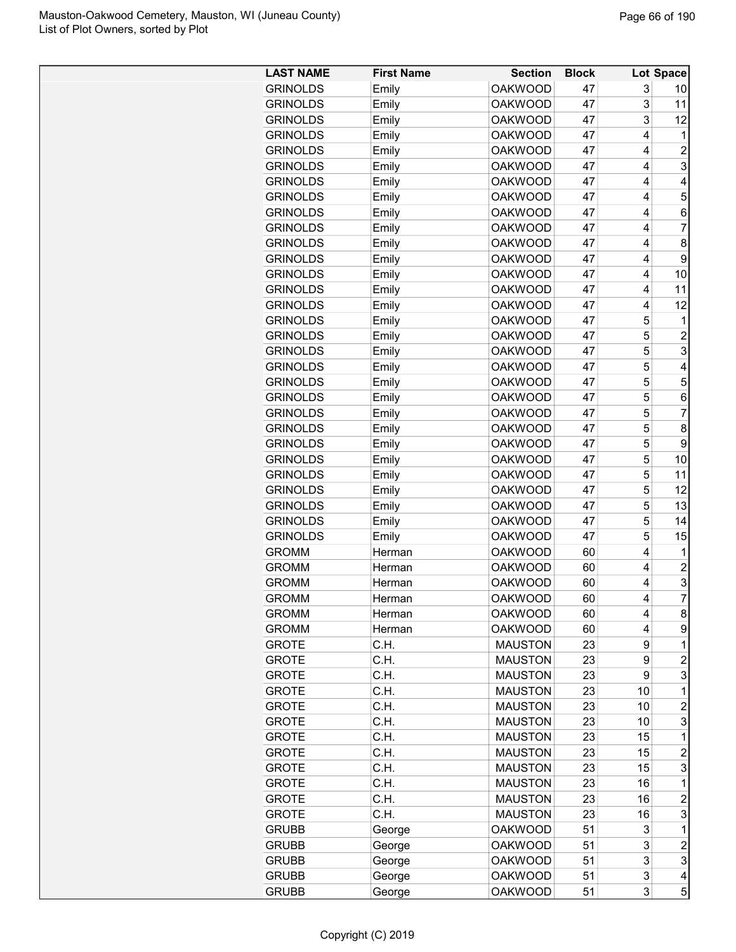| <b>LAST NAME</b> | <b>First Name</b> | <b>Section</b> | <b>Block</b> |    | Lot Space      |
|------------------|-------------------|----------------|--------------|----|----------------|
| <b>GRINOLDS</b>  | Emily             | <b>OAKWOOD</b> | 47           | 3  | 10             |
| <b>GRINOLDS</b>  | Emily             | <b>OAKWOOD</b> | 47           | 3  | 11             |
| <b>GRINOLDS</b>  | Emily             | <b>OAKWOOD</b> | 47           | 3  | 12             |
| <b>GRINOLDS</b>  | Emily             | <b>OAKWOOD</b> | 47           | 4  | 1              |
| <b>GRINOLDS</b>  | Emily             | <b>OAKWOOD</b> | 47           | 4  | $\overline{c}$ |
| <b>GRINOLDS</b>  | Emily             | <b>OAKWOOD</b> | 47           | 4  | 3              |
| <b>GRINOLDS</b>  | Emily             | <b>OAKWOOD</b> | 47           | 4  | 4              |
| <b>GRINOLDS</b>  | Emily             | <b>OAKWOOD</b> | 47           | 4  | 5              |
| <b>GRINOLDS</b>  | Emily             | <b>OAKWOOD</b> | 47           | 4  | 6              |
| <b>GRINOLDS</b>  | Emily             | <b>OAKWOOD</b> | 47           | 4  | 7              |
| <b>GRINOLDS</b>  | Emily             | <b>OAKWOOD</b> | 47           | 4  | 8              |
| <b>GRINOLDS</b>  | Emily             | <b>OAKWOOD</b> | 47           | 4  | 9              |
| <b>GRINOLDS</b>  | Emily             | <b>OAKWOOD</b> | 47           | 4  | 10             |
| <b>GRINOLDS</b>  | Emily             | <b>OAKWOOD</b> | 47           | 4  | 11             |
| <b>GRINOLDS</b>  | Emily             | <b>OAKWOOD</b> | 47           | 4  | 12             |
| <b>GRINOLDS</b>  | Emily             | <b>OAKWOOD</b> | 47           | 5  | 1              |
| <b>GRINOLDS</b>  | Emily             | <b>OAKWOOD</b> | 47           | 5  | $\overline{2}$ |
| <b>GRINOLDS</b>  | Emily             | <b>OAKWOOD</b> | 47           | 5  | 3              |
| <b>GRINOLDS</b>  | Emily             | <b>OAKWOOD</b> | 47           | 5  | 4              |
| <b>GRINOLDS</b>  | Emily             | <b>OAKWOOD</b> | 47           | 5  | 5              |
| <b>GRINOLDS</b>  | Emily             | <b>OAKWOOD</b> | 47           | 5  | 6              |
| <b>GRINOLDS</b>  | Emily             | <b>OAKWOOD</b> | 47           | 5  | 7              |
| <b>GRINOLDS</b>  | Emily             | <b>OAKWOOD</b> | 47           | 5  | 8              |
| <b>GRINOLDS</b>  | Emily             | <b>OAKWOOD</b> | 47           | 5  | 9              |
| <b>GRINOLDS</b>  | Emily             | <b>OAKWOOD</b> | 47           | 5  | 10             |
| <b>GRINOLDS</b>  | Emily             | <b>OAKWOOD</b> | 47           | 5  | 11             |
| <b>GRINOLDS</b>  | Emily             | <b>OAKWOOD</b> | 47           | 5  | 12             |
| <b>GRINOLDS</b>  | Emily             | <b>OAKWOOD</b> | 47           | 5  | 13             |
| <b>GRINOLDS</b>  | Emily             | <b>OAKWOOD</b> | 47           | 5  | 14             |
| <b>GRINOLDS</b>  | Emily             | <b>OAKWOOD</b> | 47           | 5  | 15             |
| <b>GROMM</b>     | Herman            | <b>OAKWOOD</b> | 60           | 4  | 1              |
| <b>GROMM</b>     | Herman            | <b>OAKWOOD</b> | 60           | 4  | $\overline{2}$ |
| <b>GROMM</b>     | Herman            | <b>OAKWOOD</b> | 60           | 4  | 3              |
| <b>GROMM</b>     | Herman            | <b>OAKWOOD</b> | 60           | 4  | $\overline{7}$ |
| <b>GROMM</b>     | Herman            | <b>OAKWOOD</b> | 60           | 4  | 8              |
| <b>GROMM</b>     | Herman            | <b>OAKWOOD</b> | 60           | 4  | 9              |
| <b>GROTE</b>     | C.H.              | <b>MAUSTON</b> | 23           | 9  | 1              |
| <b>GROTE</b>     | C.H.              | <b>MAUSTON</b> | 23           | 9  | $\overline{c}$ |
| <b>GROTE</b>     | C.H.              | <b>MAUSTON</b> | 23           | 9  | 3              |
| <b>GROTE</b>     | C.H.              | <b>MAUSTON</b> | 23           | 10 | 1              |
| <b>GROTE</b>     | C.H.              | <b>MAUSTON</b> | 23           | 10 | $\overline{2}$ |
| <b>GROTE</b>     | C.H.              | <b>MAUSTON</b> | 23           | 10 | 3              |
| <b>GROTE</b>     | C.H.              | <b>MAUSTON</b> | 23           | 15 | 1              |
| <b>GROTE</b>     | C.H.              | <b>MAUSTON</b> | 23           | 15 | $\overline{c}$ |
| <b>GROTE</b>     | C.H.              | <b>MAUSTON</b> | 23           | 15 | 3              |
| <b>GROTE</b>     | C.H.              | <b>MAUSTON</b> | 23           | 16 | 1              |
| <b>GROTE</b>     | C.H.              | <b>MAUSTON</b> | 23           | 16 | $\overline{c}$ |
| <b>GROTE</b>     | C.H.              | <b>MAUSTON</b> | 23           | 16 | 3              |
| <b>GRUBB</b>     | George            | <b>OAKWOOD</b> | 51           | 3  | 1              |
| <b>GRUBB</b>     | George            | <b>OAKWOOD</b> | 51           | 3  | $\overline{c}$ |
| <b>GRUBB</b>     | George            | <b>OAKWOOD</b> | 51           | 3  | 3              |
| <b>GRUBB</b>     | George            | <b>OAKWOOD</b> | 51           | 3  | 4              |
| <b>GRUBB</b>     | George            | <b>OAKWOOD</b> | 51           | 3  | 5              |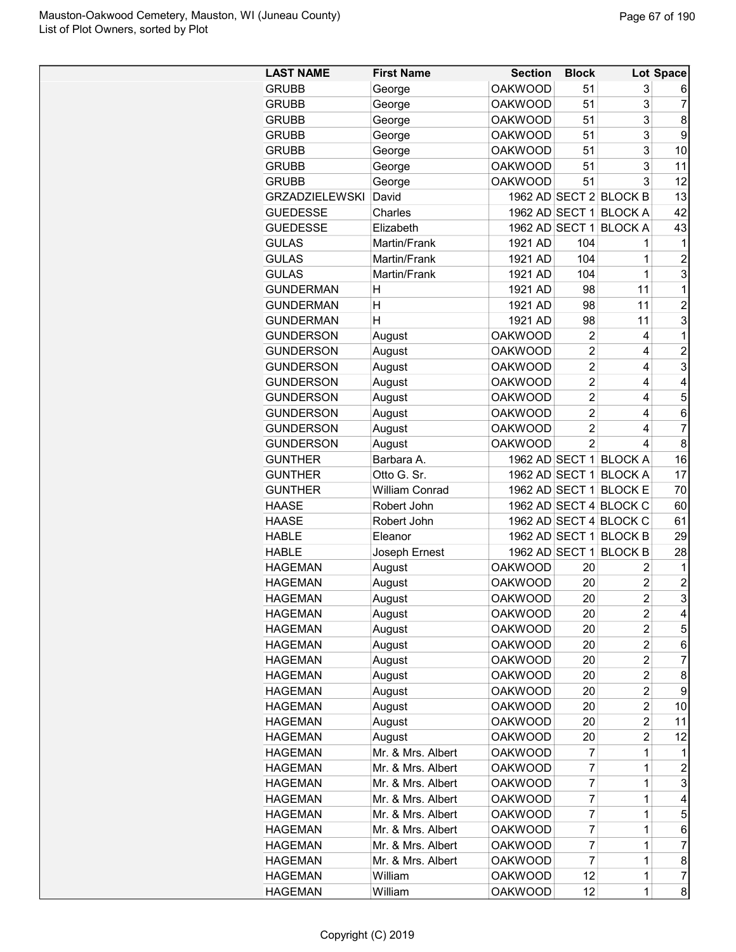| <b>LAST NAME</b>      | <b>First Name</b>     | <b>Section</b> | <b>Block</b>   |                        | Lot Space               |
|-----------------------|-----------------------|----------------|----------------|------------------------|-------------------------|
| <b>GRUBB</b>          | George                | <b>OAKWOOD</b> | 51             | 3                      | 6                       |
| <b>GRUBB</b>          | George                | <b>OAKWOOD</b> | 51             | 3                      | 7                       |
| <b>GRUBB</b>          | George                | <b>OAKWOOD</b> | 51             | 3                      | 8                       |
| <b>GRUBB</b>          | George                | <b>OAKWOOD</b> | 51             | 3                      | 9                       |
| <b>GRUBB</b>          | George                | <b>OAKWOOD</b> | 51             | 3                      | 10                      |
| <b>GRUBB</b>          | George                | <b>OAKWOOD</b> | 51             | 3                      | 11                      |
| <b>GRUBB</b>          | George                | <b>OAKWOOD</b> | 51             | 3                      | 12                      |
| <b>GRZADZIELEWSKI</b> | David                 |                |                | 1962 AD SECT 2 BLOCK B | 13                      |
| <b>GUEDESSE</b>       | Charles               |                |                | 1962 AD SECT 1 BLOCK A | 42                      |
| <b>GUEDESSE</b>       | Elizabeth             | 1962 AD SECT 1 |                | <b>BLOCK A</b>         | 43                      |
| <b>GULAS</b>          | Martin/Frank          | 1921 AD        | 104            | 1                      | 1                       |
| <b>GULAS</b>          | Martin/Frank          | 1921 AD        | 104            | 1                      | $\overline{2}$          |
| <b>GULAS</b>          | Martin/Frank          | 1921 AD        | 104            | 1                      | 3                       |
| <b>GUNDERMAN</b>      | Η                     | 1921 AD        | 98             | 11                     | 1                       |
| <b>GUNDERMAN</b>      | H                     | 1921 AD        | 98             | 11                     | $\overline{2}$          |
| <b>GUNDERMAN</b>      | н                     | 1921 AD        | 98             | 11                     | 3                       |
| <b>GUNDERSON</b>      |                       | <b>OAKWOOD</b> | 2              | 4                      | 1                       |
|                       | August                | <b>OAKWOOD</b> | $\overline{2}$ | 4                      | $\overline{2}$          |
| <b>GUNDERSON</b>      | August                | <b>OAKWOOD</b> | $\overline{2}$ |                        |                         |
| <b>GUNDERSON</b>      | August                |                |                | 4                      | 3                       |
| <b>GUNDERSON</b>      | August                | <b>OAKWOOD</b> | $\overline{2}$ | 4                      | 4                       |
| <b>GUNDERSON</b>      | August                | <b>OAKWOOD</b> | $\overline{2}$ | 4                      | 5                       |
| <b>GUNDERSON</b>      | August                | <b>OAKWOOD</b> | $\overline{2}$ | 4                      | 6                       |
| <b>GUNDERSON</b>      | August                | <b>OAKWOOD</b> | $\overline{2}$ | 4                      | $\overline{7}$          |
| <b>GUNDERSON</b>      | August                | <b>OAKWOOD</b> | $\mathfrak{p}$ | 4                      | 8                       |
| <b>GUNTHER</b>        | Barbara A.            | 1962 AD SECT 1 |                | <b>BLOCK A</b>         | 16                      |
| <b>GUNTHER</b>        | Otto G. Sr.           | 1962 AD SECT 1 |                | <b>BLOCK A</b>         | 17                      |
| <b>GUNTHER</b>        | <b>William Conrad</b> | 1962 AD SECT 1 |                | <b>BLOCK E</b>         | 70                      |
| <b>HAASE</b>          | Robert John           |                |                | 1962 AD SECT 4 BLOCK C | 60                      |
| <b>HAASE</b>          | Robert John           |                |                | 1962 AD SECT 4 BLOCK C | 61                      |
| <b>HABLE</b>          | Eleanor               | 1962 AD SECT 1 |                | <b>BLOCK B</b>         | 29                      |
| <b>HABLE</b>          | Joseph Ernest         | 1962 AD SECT 1 |                | <b>BLOCK B</b>         | 28                      |
| <b>HAGEMAN</b>        | August                | <b>OAKWOOD</b> | 20             | 2                      | 1                       |
| <b>HAGEMAN</b>        | August                | <b>OAKWOOD</b> | 20             | $\overline{c}$         | $\overline{2}$          |
| <b>HAGEMAN</b>        | August                | <b>OAKWOOD</b> | 20             | $\overline{2}$         | $\overline{\mathbf{3}}$ |
| <b>HAGEMAN</b>        | August                | <b>OAKWOOD</b> | 20             | 2                      | 4                       |
| <b>HAGEMAN</b>        | August                | <b>OAKWOOD</b> | 20             | 2                      | 5                       |
| <b>HAGEMAN</b>        | August                | <b>OAKWOOD</b> | 20             | 2                      | 6                       |
| <b>HAGEMAN</b>        | August                | <b>OAKWOOD</b> | 20             | 2                      | $\overline{7}$          |
| <b>HAGEMAN</b>        | August                | <b>OAKWOOD</b> | 20             | 2                      | 8                       |
| <b>HAGEMAN</b>        | August                | <b>OAKWOOD</b> | 20             | 2                      | 9                       |
| <b>HAGEMAN</b>        | August                | <b>OAKWOOD</b> | 20             | $\overline{2}$         | 10                      |
| <b>HAGEMAN</b>        | August                | <b>OAKWOOD</b> | 20             | 2                      | 11                      |
| <b>HAGEMAN</b>        | August                | <b>OAKWOOD</b> | 20             | $\overline{2}$         | 12                      |
| <b>HAGEMAN</b>        | Mr. & Mrs. Albert     | <b>OAKWOOD</b> | 7              | 1                      | 1                       |
| <b>HAGEMAN</b>        | Mr. & Mrs. Albert     | <b>OAKWOOD</b> | 7              | 1                      | $\overline{c}$          |
| <b>HAGEMAN</b>        | Mr. & Mrs. Albert     | <b>OAKWOOD</b> | 7              | $\mathbf{1}$           | 3                       |
| <b>HAGEMAN</b>        | Mr. & Mrs. Albert     | <b>OAKWOOD</b> | 7              | 1                      | 4                       |
| <b>HAGEMAN</b>        | Mr. & Mrs. Albert     | <b>OAKWOOD</b> | 7              | 1                      | 5                       |
| <b>HAGEMAN</b>        | Mr. & Mrs. Albert     | <b>OAKWOOD</b> | $\overline{7}$ | 1                      | 6                       |
| <b>HAGEMAN</b>        | Mr. & Mrs. Albert     | <b>OAKWOOD</b> | 7              | 1                      | $\overline{7}$          |
| <b>HAGEMAN</b>        | Mr. & Mrs. Albert     | <b>OAKWOOD</b> | $\overline{7}$ | 1                      | 8                       |
| <b>HAGEMAN</b>        | William               | <b>OAKWOOD</b> | 12             | $\mathbf{1}$           | $\overline{7}$          |
| <b>HAGEMAN</b>        | William               | <b>OAKWOOD</b> | 12             | $\mathbf{1}$           | 8                       |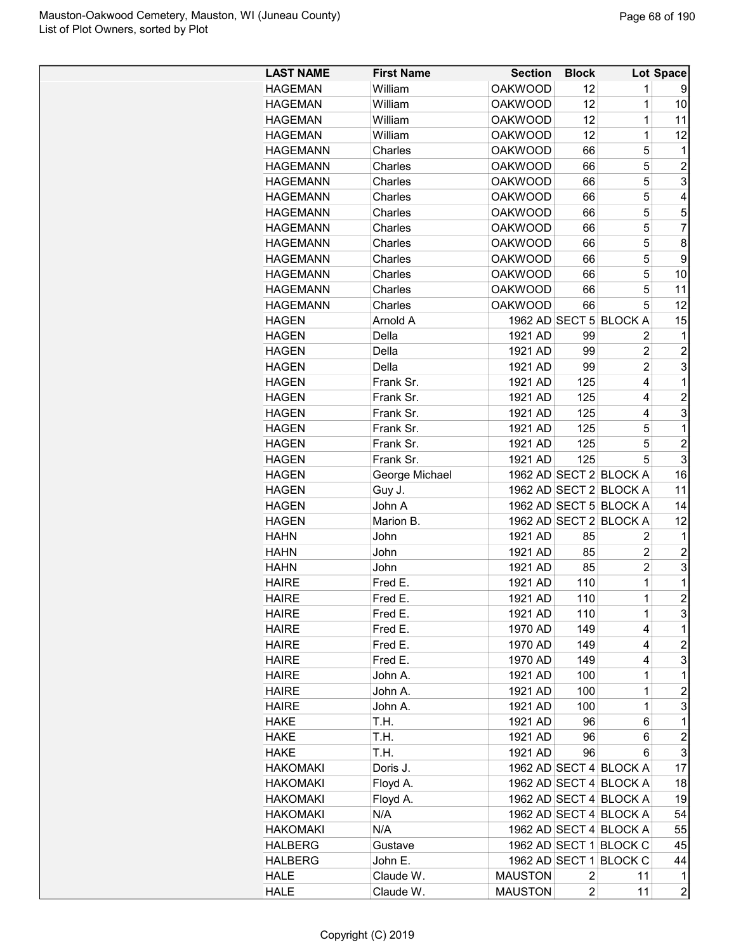| <b>OAKWOOD</b><br>12<br><b>HAGEMAN</b><br>William<br>1<br>9<br>1<br><b>HAGEMAN</b><br>William<br><b>OAKWOOD</b><br>12<br>10<br>$\mathbf 1$<br>12<br><b>HAGEMAN</b><br>William<br><b>OAKWOOD</b><br>11<br>$\mathbf 1$<br>William<br><b>OAKWOOD</b><br>12<br>12<br><b>HAGEMAN</b><br>Charles<br><b>OAKWOOD</b><br>5<br><b>HAGEMANN</b><br>66<br>1<br>5<br>$\overline{c}$<br><b>HAGEMANN</b><br>Charles<br><b>OAKWOOD</b><br>66<br>3<br>5<br><b>OAKWOOD</b><br><b>HAGEMANN</b><br>Charles<br>66<br>5<br>Charles<br><b>OAKWOOD</b><br>66<br>4<br><b>HAGEMANN</b><br>Charles<br><b>OAKWOOD</b><br>5<br>5<br><b>HAGEMANN</b><br>66<br>5<br>$\overline{7}$<br><b>HAGEMANN</b><br>Charles<br><b>OAKWOOD</b><br>66<br>5<br>Charles<br><b>OAKWOOD</b><br>8<br><b>HAGEMANN</b><br>66<br>Charles<br><b>OAKWOOD</b><br>5<br>9<br><b>HAGEMANN</b><br>66<br>Charles<br>66<br>5<br>10<br><b>HAGEMANN</b><br><b>OAKWOOD</b><br>5<br><b>HAGEMANN</b><br>Charles<br><b>OAKWOOD</b><br>66<br>11<br>5<br>12<br>Charles<br><b>OAKWOOD</b><br><b>HAGEMANN</b><br>66<br>Arnold A<br>1962 AD SECT 5 BLOCK A<br>15<br><b>HAGEN</b><br><b>HAGEN</b><br>Della<br>1921 AD<br>99<br>2<br>1<br>$\overline{c}$<br>$\overline{c}$<br>Della<br><b>HAGEN</b><br>1921 AD<br>99<br>$\overline{2}$<br>3<br><b>HAGEN</b><br>Della<br>1921 AD<br>99<br><b>HAGEN</b><br>Frank Sr.<br>1921 AD<br>125<br>4<br>1<br>$\overline{2}$<br>4<br>Frank Sr.<br>1921 AD<br>125<br><b>HAGEN</b><br>3<br>Frank Sr.<br>1921 AD<br>125<br>4<br><b>HAGEN</b><br>Frank Sr.<br>1921 AD<br>125<br>5<br>1<br><b>HAGEN</b><br>5<br>Frank Sr.<br>1921 AD<br>125<br>$\overline{c}$<br><b>HAGEN</b><br>3<br>125<br>5<br><b>HAGEN</b><br>Frank Sr.<br>1921 AD<br><b>HAGEN</b><br>1962 AD SECT 2 BLOCK A<br>16<br>George Michael<br>1962 AD SECT 2 BLOCK A<br><b>HAGEN</b><br>Guy J.<br>11<br>1962 AD SECT 5 BLOCK A<br>John A<br>14<br><b>HAGEN</b><br>1962 AD SECT 2 BLOCK A<br>Marion B.<br>12<br><b>HAGEN</b><br><b>HAHN</b><br>John<br>1921 AD<br>85<br>2<br>1<br><b>HAHN</b><br>1921 AD<br>$\overline{2}$<br>$\overline{c}$<br>John<br>85<br>3<br>$\overline{c}$<br><b>HAHN</b><br>John<br>1921 AD<br>85<br>$\mathbf 1$<br><b>HAIRE</b><br>1921 AD<br>110<br>1<br>Fred E.<br>$\overline{2}$<br>$\overline{1}$<br>1921 AD<br>110<br><b>HAIRE</b><br>Fred E.<br>3<br>1921 AD<br>110<br>1<br><b>HAIRE</b><br>Fred E.<br>149<br><b>HAIRE</b><br>Fred E.<br>1970 AD<br>4<br>1<br>$\overline{c}$<br>149<br><b>HAIRE</b><br>Fred E.<br>1970 AD<br>4<br>3<br>149<br><b>HAIRE</b><br>Fred E.<br>1970 AD<br>4<br>$\mathbf 1$<br><b>HAIRE</b><br>John A.<br>1921 AD<br>100<br>1<br><b>HAIRE</b><br>1921 AD<br>$\mathbf 1$<br>$\overline{c}$<br>John A.<br>100<br>3<br>1921 AD<br>$\mathbf 1$<br><b>HAIRE</b><br>John A.<br>100<br>T.H.<br>1921 AD<br>6<br>1<br><b>HAKE</b><br>96<br>$\boldsymbol{2}$<br>T.H.<br>1921 AD<br>96<br><b>HAKE</b><br>6<br>3<br>T.H.<br>1921 AD<br><b>HAKE</b><br>96<br>6<br><b>HAKOMAKI</b><br>Doris J.<br>1962 AD SECT 4 BLOCK A<br>17<br>1962 AD SECT 4 BLOCK A<br><b>HAKOMAKI</b><br>Floyd A.<br>18<br>1962 AD SECT 4 BLOCK A<br>19<br><b>HAKOMAKI</b><br>Floyd A.<br><b>HAKOMAKI</b><br>N/A<br>1962 AD SECT 4 BLOCK A<br>54<br>N/A<br>1962 AD SECT 4 BLOCK A<br><b>HAKOMAKI</b><br>55<br>1962 AD SECT 1 BLOCK C<br>45<br><b>HALBERG</b><br>Gustave<br>1962 AD SECT 1 BLOCK C<br>44<br><b>HALBERG</b><br>John E.<br><b>HALE</b><br>Claude W.<br><b>MAUSTON</b><br>2<br>11<br>1<br>$\overline{c}$<br>Claude W.<br><b>HALE</b><br><b>MAUSTON</b><br>2<br>11 | <b>LAST NAME</b> | <b>First Name</b> | <b>Section</b> | <b>Block</b> | Lot Space |
|-----------------------------------------------------------------------------------------------------------------------------------------------------------------------------------------------------------------------------------------------------------------------------------------------------------------------------------------------------------------------------------------------------------------------------------------------------------------------------------------------------------------------------------------------------------------------------------------------------------------------------------------------------------------------------------------------------------------------------------------------------------------------------------------------------------------------------------------------------------------------------------------------------------------------------------------------------------------------------------------------------------------------------------------------------------------------------------------------------------------------------------------------------------------------------------------------------------------------------------------------------------------------------------------------------------------------------------------------------------------------------------------------------------------------------------------------------------------------------------------------------------------------------------------------------------------------------------------------------------------------------------------------------------------------------------------------------------------------------------------------------------------------------------------------------------------------------------------------------------------------------------------------------------------------------------------------------------------------------------------------------------------------------------------------------------------------------------------------------------------------------------------------------------------------------------------------------------------------------------------------------------------------------------------------------------------------------------------------------------------------------------------------------------------------------------------------------------------------------------------------------------------------------------------------------------------------------------------------------------------------------------------------------------------------------------------------------------------------------------------------------------------------------------------------------------------------------------------------------------------------------------------------------------------------------------------------------------------------------------------------------------------------------------------------------------------------------------------------------------------------------------------------------------------------------------------------------------------------------------------------------------------------------------------------------------------------------------------------------------------------------------------------------------------------------------------------------------------------------------------------------------------|------------------|-------------------|----------------|--------------|-----------|
|                                                                                                                                                                                                                                                                                                                                                                                                                                                                                                                                                                                                                                                                                                                                                                                                                                                                                                                                                                                                                                                                                                                                                                                                                                                                                                                                                                                                                                                                                                                                                                                                                                                                                                                                                                                                                                                                                                                                                                                                                                                                                                                                                                                                                                                                                                                                                                                                                                                                                                                                                                                                                                                                                                                                                                                                                                                                                                                                                                                                                                                                                                                                                                                                                                                                                                                                                                                                                                                                                                                 |                  |                   |                |              |           |
|                                                                                                                                                                                                                                                                                                                                                                                                                                                                                                                                                                                                                                                                                                                                                                                                                                                                                                                                                                                                                                                                                                                                                                                                                                                                                                                                                                                                                                                                                                                                                                                                                                                                                                                                                                                                                                                                                                                                                                                                                                                                                                                                                                                                                                                                                                                                                                                                                                                                                                                                                                                                                                                                                                                                                                                                                                                                                                                                                                                                                                                                                                                                                                                                                                                                                                                                                                                                                                                                                                                 |                  |                   |                |              |           |
|                                                                                                                                                                                                                                                                                                                                                                                                                                                                                                                                                                                                                                                                                                                                                                                                                                                                                                                                                                                                                                                                                                                                                                                                                                                                                                                                                                                                                                                                                                                                                                                                                                                                                                                                                                                                                                                                                                                                                                                                                                                                                                                                                                                                                                                                                                                                                                                                                                                                                                                                                                                                                                                                                                                                                                                                                                                                                                                                                                                                                                                                                                                                                                                                                                                                                                                                                                                                                                                                                                                 |                  |                   |                |              |           |
|                                                                                                                                                                                                                                                                                                                                                                                                                                                                                                                                                                                                                                                                                                                                                                                                                                                                                                                                                                                                                                                                                                                                                                                                                                                                                                                                                                                                                                                                                                                                                                                                                                                                                                                                                                                                                                                                                                                                                                                                                                                                                                                                                                                                                                                                                                                                                                                                                                                                                                                                                                                                                                                                                                                                                                                                                                                                                                                                                                                                                                                                                                                                                                                                                                                                                                                                                                                                                                                                                                                 |                  |                   |                |              |           |
|                                                                                                                                                                                                                                                                                                                                                                                                                                                                                                                                                                                                                                                                                                                                                                                                                                                                                                                                                                                                                                                                                                                                                                                                                                                                                                                                                                                                                                                                                                                                                                                                                                                                                                                                                                                                                                                                                                                                                                                                                                                                                                                                                                                                                                                                                                                                                                                                                                                                                                                                                                                                                                                                                                                                                                                                                                                                                                                                                                                                                                                                                                                                                                                                                                                                                                                                                                                                                                                                                                                 |                  |                   |                |              |           |
|                                                                                                                                                                                                                                                                                                                                                                                                                                                                                                                                                                                                                                                                                                                                                                                                                                                                                                                                                                                                                                                                                                                                                                                                                                                                                                                                                                                                                                                                                                                                                                                                                                                                                                                                                                                                                                                                                                                                                                                                                                                                                                                                                                                                                                                                                                                                                                                                                                                                                                                                                                                                                                                                                                                                                                                                                                                                                                                                                                                                                                                                                                                                                                                                                                                                                                                                                                                                                                                                                                                 |                  |                   |                |              |           |
|                                                                                                                                                                                                                                                                                                                                                                                                                                                                                                                                                                                                                                                                                                                                                                                                                                                                                                                                                                                                                                                                                                                                                                                                                                                                                                                                                                                                                                                                                                                                                                                                                                                                                                                                                                                                                                                                                                                                                                                                                                                                                                                                                                                                                                                                                                                                                                                                                                                                                                                                                                                                                                                                                                                                                                                                                                                                                                                                                                                                                                                                                                                                                                                                                                                                                                                                                                                                                                                                                                                 |                  |                   |                |              |           |
|                                                                                                                                                                                                                                                                                                                                                                                                                                                                                                                                                                                                                                                                                                                                                                                                                                                                                                                                                                                                                                                                                                                                                                                                                                                                                                                                                                                                                                                                                                                                                                                                                                                                                                                                                                                                                                                                                                                                                                                                                                                                                                                                                                                                                                                                                                                                                                                                                                                                                                                                                                                                                                                                                                                                                                                                                                                                                                                                                                                                                                                                                                                                                                                                                                                                                                                                                                                                                                                                                                                 |                  |                   |                |              |           |
|                                                                                                                                                                                                                                                                                                                                                                                                                                                                                                                                                                                                                                                                                                                                                                                                                                                                                                                                                                                                                                                                                                                                                                                                                                                                                                                                                                                                                                                                                                                                                                                                                                                                                                                                                                                                                                                                                                                                                                                                                                                                                                                                                                                                                                                                                                                                                                                                                                                                                                                                                                                                                                                                                                                                                                                                                                                                                                                                                                                                                                                                                                                                                                                                                                                                                                                                                                                                                                                                                                                 |                  |                   |                |              |           |
|                                                                                                                                                                                                                                                                                                                                                                                                                                                                                                                                                                                                                                                                                                                                                                                                                                                                                                                                                                                                                                                                                                                                                                                                                                                                                                                                                                                                                                                                                                                                                                                                                                                                                                                                                                                                                                                                                                                                                                                                                                                                                                                                                                                                                                                                                                                                                                                                                                                                                                                                                                                                                                                                                                                                                                                                                                                                                                                                                                                                                                                                                                                                                                                                                                                                                                                                                                                                                                                                                                                 |                  |                   |                |              |           |
|                                                                                                                                                                                                                                                                                                                                                                                                                                                                                                                                                                                                                                                                                                                                                                                                                                                                                                                                                                                                                                                                                                                                                                                                                                                                                                                                                                                                                                                                                                                                                                                                                                                                                                                                                                                                                                                                                                                                                                                                                                                                                                                                                                                                                                                                                                                                                                                                                                                                                                                                                                                                                                                                                                                                                                                                                                                                                                                                                                                                                                                                                                                                                                                                                                                                                                                                                                                                                                                                                                                 |                  |                   |                |              |           |
|                                                                                                                                                                                                                                                                                                                                                                                                                                                                                                                                                                                                                                                                                                                                                                                                                                                                                                                                                                                                                                                                                                                                                                                                                                                                                                                                                                                                                                                                                                                                                                                                                                                                                                                                                                                                                                                                                                                                                                                                                                                                                                                                                                                                                                                                                                                                                                                                                                                                                                                                                                                                                                                                                                                                                                                                                                                                                                                                                                                                                                                                                                                                                                                                                                                                                                                                                                                                                                                                                                                 |                  |                   |                |              |           |
|                                                                                                                                                                                                                                                                                                                                                                                                                                                                                                                                                                                                                                                                                                                                                                                                                                                                                                                                                                                                                                                                                                                                                                                                                                                                                                                                                                                                                                                                                                                                                                                                                                                                                                                                                                                                                                                                                                                                                                                                                                                                                                                                                                                                                                                                                                                                                                                                                                                                                                                                                                                                                                                                                                                                                                                                                                                                                                                                                                                                                                                                                                                                                                                                                                                                                                                                                                                                                                                                                                                 |                  |                   |                |              |           |
|                                                                                                                                                                                                                                                                                                                                                                                                                                                                                                                                                                                                                                                                                                                                                                                                                                                                                                                                                                                                                                                                                                                                                                                                                                                                                                                                                                                                                                                                                                                                                                                                                                                                                                                                                                                                                                                                                                                                                                                                                                                                                                                                                                                                                                                                                                                                                                                                                                                                                                                                                                                                                                                                                                                                                                                                                                                                                                                                                                                                                                                                                                                                                                                                                                                                                                                                                                                                                                                                                                                 |                  |                   |                |              |           |
|                                                                                                                                                                                                                                                                                                                                                                                                                                                                                                                                                                                                                                                                                                                                                                                                                                                                                                                                                                                                                                                                                                                                                                                                                                                                                                                                                                                                                                                                                                                                                                                                                                                                                                                                                                                                                                                                                                                                                                                                                                                                                                                                                                                                                                                                                                                                                                                                                                                                                                                                                                                                                                                                                                                                                                                                                                                                                                                                                                                                                                                                                                                                                                                                                                                                                                                                                                                                                                                                                                                 |                  |                   |                |              |           |
|                                                                                                                                                                                                                                                                                                                                                                                                                                                                                                                                                                                                                                                                                                                                                                                                                                                                                                                                                                                                                                                                                                                                                                                                                                                                                                                                                                                                                                                                                                                                                                                                                                                                                                                                                                                                                                                                                                                                                                                                                                                                                                                                                                                                                                                                                                                                                                                                                                                                                                                                                                                                                                                                                                                                                                                                                                                                                                                                                                                                                                                                                                                                                                                                                                                                                                                                                                                                                                                                                                                 |                  |                   |                |              |           |
|                                                                                                                                                                                                                                                                                                                                                                                                                                                                                                                                                                                                                                                                                                                                                                                                                                                                                                                                                                                                                                                                                                                                                                                                                                                                                                                                                                                                                                                                                                                                                                                                                                                                                                                                                                                                                                                                                                                                                                                                                                                                                                                                                                                                                                                                                                                                                                                                                                                                                                                                                                                                                                                                                                                                                                                                                                                                                                                                                                                                                                                                                                                                                                                                                                                                                                                                                                                                                                                                                                                 |                  |                   |                |              |           |
|                                                                                                                                                                                                                                                                                                                                                                                                                                                                                                                                                                                                                                                                                                                                                                                                                                                                                                                                                                                                                                                                                                                                                                                                                                                                                                                                                                                                                                                                                                                                                                                                                                                                                                                                                                                                                                                                                                                                                                                                                                                                                                                                                                                                                                                                                                                                                                                                                                                                                                                                                                                                                                                                                                                                                                                                                                                                                                                                                                                                                                                                                                                                                                                                                                                                                                                                                                                                                                                                                                                 |                  |                   |                |              |           |
|                                                                                                                                                                                                                                                                                                                                                                                                                                                                                                                                                                                                                                                                                                                                                                                                                                                                                                                                                                                                                                                                                                                                                                                                                                                                                                                                                                                                                                                                                                                                                                                                                                                                                                                                                                                                                                                                                                                                                                                                                                                                                                                                                                                                                                                                                                                                                                                                                                                                                                                                                                                                                                                                                                                                                                                                                                                                                                                                                                                                                                                                                                                                                                                                                                                                                                                                                                                                                                                                                                                 |                  |                   |                |              |           |
|                                                                                                                                                                                                                                                                                                                                                                                                                                                                                                                                                                                                                                                                                                                                                                                                                                                                                                                                                                                                                                                                                                                                                                                                                                                                                                                                                                                                                                                                                                                                                                                                                                                                                                                                                                                                                                                                                                                                                                                                                                                                                                                                                                                                                                                                                                                                                                                                                                                                                                                                                                                                                                                                                                                                                                                                                                                                                                                                                                                                                                                                                                                                                                                                                                                                                                                                                                                                                                                                                                                 |                  |                   |                |              |           |
|                                                                                                                                                                                                                                                                                                                                                                                                                                                                                                                                                                                                                                                                                                                                                                                                                                                                                                                                                                                                                                                                                                                                                                                                                                                                                                                                                                                                                                                                                                                                                                                                                                                                                                                                                                                                                                                                                                                                                                                                                                                                                                                                                                                                                                                                                                                                                                                                                                                                                                                                                                                                                                                                                                                                                                                                                                                                                                                                                                                                                                                                                                                                                                                                                                                                                                                                                                                                                                                                                                                 |                  |                   |                |              |           |
|                                                                                                                                                                                                                                                                                                                                                                                                                                                                                                                                                                                                                                                                                                                                                                                                                                                                                                                                                                                                                                                                                                                                                                                                                                                                                                                                                                                                                                                                                                                                                                                                                                                                                                                                                                                                                                                                                                                                                                                                                                                                                                                                                                                                                                                                                                                                                                                                                                                                                                                                                                                                                                                                                                                                                                                                                                                                                                                                                                                                                                                                                                                                                                                                                                                                                                                                                                                                                                                                                                                 |                  |                   |                |              |           |
|                                                                                                                                                                                                                                                                                                                                                                                                                                                                                                                                                                                                                                                                                                                                                                                                                                                                                                                                                                                                                                                                                                                                                                                                                                                                                                                                                                                                                                                                                                                                                                                                                                                                                                                                                                                                                                                                                                                                                                                                                                                                                                                                                                                                                                                                                                                                                                                                                                                                                                                                                                                                                                                                                                                                                                                                                                                                                                                                                                                                                                                                                                                                                                                                                                                                                                                                                                                                                                                                                                                 |                  |                   |                |              |           |
|                                                                                                                                                                                                                                                                                                                                                                                                                                                                                                                                                                                                                                                                                                                                                                                                                                                                                                                                                                                                                                                                                                                                                                                                                                                                                                                                                                                                                                                                                                                                                                                                                                                                                                                                                                                                                                                                                                                                                                                                                                                                                                                                                                                                                                                                                                                                                                                                                                                                                                                                                                                                                                                                                                                                                                                                                                                                                                                                                                                                                                                                                                                                                                                                                                                                                                                                                                                                                                                                                                                 |                  |                   |                |              |           |
|                                                                                                                                                                                                                                                                                                                                                                                                                                                                                                                                                                                                                                                                                                                                                                                                                                                                                                                                                                                                                                                                                                                                                                                                                                                                                                                                                                                                                                                                                                                                                                                                                                                                                                                                                                                                                                                                                                                                                                                                                                                                                                                                                                                                                                                                                                                                                                                                                                                                                                                                                                                                                                                                                                                                                                                                                                                                                                                                                                                                                                                                                                                                                                                                                                                                                                                                                                                                                                                                                                                 |                  |                   |                |              |           |
|                                                                                                                                                                                                                                                                                                                                                                                                                                                                                                                                                                                                                                                                                                                                                                                                                                                                                                                                                                                                                                                                                                                                                                                                                                                                                                                                                                                                                                                                                                                                                                                                                                                                                                                                                                                                                                                                                                                                                                                                                                                                                                                                                                                                                                                                                                                                                                                                                                                                                                                                                                                                                                                                                                                                                                                                                                                                                                                                                                                                                                                                                                                                                                                                                                                                                                                                                                                                                                                                                                                 |                  |                   |                |              |           |
|                                                                                                                                                                                                                                                                                                                                                                                                                                                                                                                                                                                                                                                                                                                                                                                                                                                                                                                                                                                                                                                                                                                                                                                                                                                                                                                                                                                                                                                                                                                                                                                                                                                                                                                                                                                                                                                                                                                                                                                                                                                                                                                                                                                                                                                                                                                                                                                                                                                                                                                                                                                                                                                                                                                                                                                                                                                                                                                                                                                                                                                                                                                                                                                                                                                                                                                                                                                                                                                                                                                 |                  |                   |                |              |           |
|                                                                                                                                                                                                                                                                                                                                                                                                                                                                                                                                                                                                                                                                                                                                                                                                                                                                                                                                                                                                                                                                                                                                                                                                                                                                                                                                                                                                                                                                                                                                                                                                                                                                                                                                                                                                                                                                                                                                                                                                                                                                                                                                                                                                                                                                                                                                                                                                                                                                                                                                                                                                                                                                                                                                                                                                                                                                                                                                                                                                                                                                                                                                                                                                                                                                                                                                                                                                                                                                                                                 |                  |                   |                |              |           |
|                                                                                                                                                                                                                                                                                                                                                                                                                                                                                                                                                                                                                                                                                                                                                                                                                                                                                                                                                                                                                                                                                                                                                                                                                                                                                                                                                                                                                                                                                                                                                                                                                                                                                                                                                                                                                                                                                                                                                                                                                                                                                                                                                                                                                                                                                                                                                                                                                                                                                                                                                                                                                                                                                                                                                                                                                                                                                                                                                                                                                                                                                                                                                                                                                                                                                                                                                                                                                                                                                                                 |                  |                   |                |              |           |
|                                                                                                                                                                                                                                                                                                                                                                                                                                                                                                                                                                                                                                                                                                                                                                                                                                                                                                                                                                                                                                                                                                                                                                                                                                                                                                                                                                                                                                                                                                                                                                                                                                                                                                                                                                                                                                                                                                                                                                                                                                                                                                                                                                                                                                                                                                                                                                                                                                                                                                                                                                                                                                                                                                                                                                                                                                                                                                                                                                                                                                                                                                                                                                                                                                                                                                                                                                                                                                                                                                                 |                  |                   |                |              |           |
|                                                                                                                                                                                                                                                                                                                                                                                                                                                                                                                                                                                                                                                                                                                                                                                                                                                                                                                                                                                                                                                                                                                                                                                                                                                                                                                                                                                                                                                                                                                                                                                                                                                                                                                                                                                                                                                                                                                                                                                                                                                                                                                                                                                                                                                                                                                                                                                                                                                                                                                                                                                                                                                                                                                                                                                                                                                                                                                                                                                                                                                                                                                                                                                                                                                                                                                                                                                                                                                                                                                 |                  |                   |                |              |           |
|                                                                                                                                                                                                                                                                                                                                                                                                                                                                                                                                                                                                                                                                                                                                                                                                                                                                                                                                                                                                                                                                                                                                                                                                                                                                                                                                                                                                                                                                                                                                                                                                                                                                                                                                                                                                                                                                                                                                                                                                                                                                                                                                                                                                                                                                                                                                                                                                                                                                                                                                                                                                                                                                                                                                                                                                                                                                                                                                                                                                                                                                                                                                                                                                                                                                                                                                                                                                                                                                                                                 |                  |                   |                |              |           |
|                                                                                                                                                                                                                                                                                                                                                                                                                                                                                                                                                                                                                                                                                                                                                                                                                                                                                                                                                                                                                                                                                                                                                                                                                                                                                                                                                                                                                                                                                                                                                                                                                                                                                                                                                                                                                                                                                                                                                                                                                                                                                                                                                                                                                                                                                                                                                                                                                                                                                                                                                                                                                                                                                                                                                                                                                                                                                                                                                                                                                                                                                                                                                                                                                                                                                                                                                                                                                                                                                                                 |                  |                   |                |              |           |
|                                                                                                                                                                                                                                                                                                                                                                                                                                                                                                                                                                                                                                                                                                                                                                                                                                                                                                                                                                                                                                                                                                                                                                                                                                                                                                                                                                                                                                                                                                                                                                                                                                                                                                                                                                                                                                                                                                                                                                                                                                                                                                                                                                                                                                                                                                                                                                                                                                                                                                                                                                                                                                                                                                                                                                                                                                                                                                                                                                                                                                                                                                                                                                                                                                                                                                                                                                                                                                                                                                                 |                  |                   |                |              |           |
|                                                                                                                                                                                                                                                                                                                                                                                                                                                                                                                                                                                                                                                                                                                                                                                                                                                                                                                                                                                                                                                                                                                                                                                                                                                                                                                                                                                                                                                                                                                                                                                                                                                                                                                                                                                                                                                                                                                                                                                                                                                                                                                                                                                                                                                                                                                                                                                                                                                                                                                                                                                                                                                                                                                                                                                                                                                                                                                                                                                                                                                                                                                                                                                                                                                                                                                                                                                                                                                                                                                 |                  |                   |                |              |           |
|                                                                                                                                                                                                                                                                                                                                                                                                                                                                                                                                                                                                                                                                                                                                                                                                                                                                                                                                                                                                                                                                                                                                                                                                                                                                                                                                                                                                                                                                                                                                                                                                                                                                                                                                                                                                                                                                                                                                                                                                                                                                                                                                                                                                                                                                                                                                                                                                                                                                                                                                                                                                                                                                                                                                                                                                                                                                                                                                                                                                                                                                                                                                                                                                                                                                                                                                                                                                                                                                                                                 |                  |                   |                |              |           |
|                                                                                                                                                                                                                                                                                                                                                                                                                                                                                                                                                                                                                                                                                                                                                                                                                                                                                                                                                                                                                                                                                                                                                                                                                                                                                                                                                                                                                                                                                                                                                                                                                                                                                                                                                                                                                                                                                                                                                                                                                                                                                                                                                                                                                                                                                                                                                                                                                                                                                                                                                                                                                                                                                                                                                                                                                                                                                                                                                                                                                                                                                                                                                                                                                                                                                                                                                                                                                                                                                                                 |                  |                   |                |              |           |
|                                                                                                                                                                                                                                                                                                                                                                                                                                                                                                                                                                                                                                                                                                                                                                                                                                                                                                                                                                                                                                                                                                                                                                                                                                                                                                                                                                                                                                                                                                                                                                                                                                                                                                                                                                                                                                                                                                                                                                                                                                                                                                                                                                                                                                                                                                                                                                                                                                                                                                                                                                                                                                                                                                                                                                                                                                                                                                                                                                                                                                                                                                                                                                                                                                                                                                                                                                                                                                                                                                                 |                  |                   |                |              |           |
|                                                                                                                                                                                                                                                                                                                                                                                                                                                                                                                                                                                                                                                                                                                                                                                                                                                                                                                                                                                                                                                                                                                                                                                                                                                                                                                                                                                                                                                                                                                                                                                                                                                                                                                                                                                                                                                                                                                                                                                                                                                                                                                                                                                                                                                                                                                                                                                                                                                                                                                                                                                                                                                                                                                                                                                                                                                                                                                                                                                                                                                                                                                                                                                                                                                                                                                                                                                                                                                                                                                 |                  |                   |                |              |           |
|                                                                                                                                                                                                                                                                                                                                                                                                                                                                                                                                                                                                                                                                                                                                                                                                                                                                                                                                                                                                                                                                                                                                                                                                                                                                                                                                                                                                                                                                                                                                                                                                                                                                                                                                                                                                                                                                                                                                                                                                                                                                                                                                                                                                                                                                                                                                                                                                                                                                                                                                                                                                                                                                                                                                                                                                                                                                                                                                                                                                                                                                                                                                                                                                                                                                                                                                                                                                                                                                                                                 |                  |                   |                |              |           |
|                                                                                                                                                                                                                                                                                                                                                                                                                                                                                                                                                                                                                                                                                                                                                                                                                                                                                                                                                                                                                                                                                                                                                                                                                                                                                                                                                                                                                                                                                                                                                                                                                                                                                                                                                                                                                                                                                                                                                                                                                                                                                                                                                                                                                                                                                                                                                                                                                                                                                                                                                                                                                                                                                                                                                                                                                                                                                                                                                                                                                                                                                                                                                                                                                                                                                                                                                                                                                                                                                                                 |                  |                   |                |              |           |
|                                                                                                                                                                                                                                                                                                                                                                                                                                                                                                                                                                                                                                                                                                                                                                                                                                                                                                                                                                                                                                                                                                                                                                                                                                                                                                                                                                                                                                                                                                                                                                                                                                                                                                                                                                                                                                                                                                                                                                                                                                                                                                                                                                                                                                                                                                                                                                                                                                                                                                                                                                                                                                                                                                                                                                                                                                                                                                                                                                                                                                                                                                                                                                                                                                                                                                                                                                                                                                                                                                                 |                  |                   |                |              |           |
|                                                                                                                                                                                                                                                                                                                                                                                                                                                                                                                                                                                                                                                                                                                                                                                                                                                                                                                                                                                                                                                                                                                                                                                                                                                                                                                                                                                                                                                                                                                                                                                                                                                                                                                                                                                                                                                                                                                                                                                                                                                                                                                                                                                                                                                                                                                                                                                                                                                                                                                                                                                                                                                                                                                                                                                                                                                                                                                                                                                                                                                                                                                                                                                                                                                                                                                                                                                                                                                                                                                 |                  |                   |                |              |           |
|                                                                                                                                                                                                                                                                                                                                                                                                                                                                                                                                                                                                                                                                                                                                                                                                                                                                                                                                                                                                                                                                                                                                                                                                                                                                                                                                                                                                                                                                                                                                                                                                                                                                                                                                                                                                                                                                                                                                                                                                                                                                                                                                                                                                                                                                                                                                                                                                                                                                                                                                                                                                                                                                                                                                                                                                                                                                                                                                                                                                                                                                                                                                                                                                                                                                                                                                                                                                                                                                                                                 |                  |                   |                |              |           |
|                                                                                                                                                                                                                                                                                                                                                                                                                                                                                                                                                                                                                                                                                                                                                                                                                                                                                                                                                                                                                                                                                                                                                                                                                                                                                                                                                                                                                                                                                                                                                                                                                                                                                                                                                                                                                                                                                                                                                                                                                                                                                                                                                                                                                                                                                                                                                                                                                                                                                                                                                                                                                                                                                                                                                                                                                                                                                                                                                                                                                                                                                                                                                                                                                                                                                                                                                                                                                                                                                                                 |                  |                   |                |              |           |
|                                                                                                                                                                                                                                                                                                                                                                                                                                                                                                                                                                                                                                                                                                                                                                                                                                                                                                                                                                                                                                                                                                                                                                                                                                                                                                                                                                                                                                                                                                                                                                                                                                                                                                                                                                                                                                                                                                                                                                                                                                                                                                                                                                                                                                                                                                                                                                                                                                                                                                                                                                                                                                                                                                                                                                                                                                                                                                                                                                                                                                                                                                                                                                                                                                                                                                                                                                                                                                                                                                                 |                  |                   |                |              |           |
|                                                                                                                                                                                                                                                                                                                                                                                                                                                                                                                                                                                                                                                                                                                                                                                                                                                                                                                                                                                                                                                                                                                                                                                                                                                                                                                                                                                                                                                                                                                                                                                                                                                                                                                                                                                                                                                                                                                                                                                                                                                                                                                                                                                                                                                                                                                                                                                                                                                                                                                                                                                                                                                                                                                                                                                                                                                                                                                                                                                                                                                                                                                                                                                                                                                                                                                                                                                                                                                                                                                 |                  |                   |                |              |           |
|                                                                                                                                                                                                                                                                                                                                                                                                                                                                                                                                                                                                                                                                                                                                                                                                                                                                                                                                                                                                                                                                                                                                                                                                                                                                                                                                                                                                                                                                                                                                                                                                                                                                                                                                                                                                                                                                                                                                                                                                                                                                                                                                                                                                                                                                                                                                                                                                                                                                                                                                                                                                                                                                                                                                                                                                                                                                                                                                                                                                                                                                                                                                                                                                                                                                                                                                                                                                                                                                                                                 |                  |                   |                |              |           |
|                                                                                                                                                                                                                                                                                                                                                                                                                                                                                                                                                                                                                                                                                                                                                                                                                                                                                                                                                                                                                                                                                                                                                                                                                                                                                                                                                                                                                                                                                                                                                                                                                                                                                                                                                                                                                                                                                                                                                                                                                                                                                                                                                                                                                                                                                                                                                                                                                                                                                                                                                                                                                                                                                                                                                                                                                                                                                                                                                                                                                                                                                                                                                                                                                                                                                                                                                                                                                                                                                                                 |                  |                   |                |              |           |
|                                                                                                                                                                                                                                                                                                                                                                                                                                                                                                                                                                                                                                                                                                                                                                                                                                                                                                                                                                                                                                                                                                                                                                                                                                                                                                                                                                                                                                                                                                                                                                                                                                                                                                                                                                                                                                                                                                                                                                                                                                                                                                                                                                                                                                                                                                                                                                                                                                                                                                                                                                                                                                                                                                                                                                                                                                                                                                                                                                                                                                                                                                                                                                                                                                                                                                                                                                                                                                                                                                                 |                  |                   |                |              |           |
|                                                                                                                                                                                                                                                                                                                                                                                                                                                                                                                                                                                                                                                                                                                                                                                                                                                                                                                                                                                                                                                                                                                                                                                                                                                                                                                                                                                                                                                                                                                                                                                                                                                                                                                                                                                                                                                                                                                                                                                                                                                                                                                                                                                                                                                                                                                                                                                                                                                                                                                                                                                                                                                                                                                                                                                                                                                                                                                                                                                                                                                                                                                                                                                                                                                                                                                                                                                                                                                                                                                 |                  |                   |                |              |           |
|                                                                                                                                                                                                                                                                                                                                                                                                                                                                                                                                                                                                                                                                                                                                                                                                                                                                                                                                                                                                                                                                                                                                                                                                                                                                                                                                                                                                                                                                                                                                                                                                                                                                                                                                                                                                                                                                                                                                                                                                                                                                                                                                                                                                                                                                                                                                                                                                                                                                                                                                                                                                                                                                                                                                                                                                                                                                                                                                                                                                                                                                                                                                                                                                                                                                                                                                                                                                                                                                                                                 |                  |                   |                |              |           |
|                                                                                                                                                                                                                                                                                                                                                                                                                                                                                                                                                                                                                                                                                                                                                                                                                                                                                                                                                                                                                                                                                                                                                                                                                                                                                                                                                                                                                                                                                                                                                                                                                                                                                                                                                                                                                                                                                                                                                                                                                                                                                                                                                                                                                                                                                                                                                                                                                                                                                                                                                                                                                                                                                                                                                                                                                                                                                                                                                                                                                                                                                                                                                                                                                                                                                                                                                                                                                                                                                                                 |                  |                   |                |              |           |
|                                                                                                                                                                                                                                                                                                                                                                                                                                                                                                                                                                                                                                                                                                                                                                                                                                                                                                                                                                                                                                                                                                                                                                                                                                                                                                                                                                                                                                                                                                                                                                                                                                                                                                                                                                                                                                                                                                                                                                                                                                                                                                                                                                                                                                                                                                                                                                                                                                                                                                                                                                                                                                                                                                                                                                                                                                                                                                                                                                                                                                                                                                                                                                                                                                                                                                                                                                                                                                                                                                                 |                  |                   |                |              |           |
|                                                                                                                                                                                                                                                                                                                                                                                                                                                                                                                                                                                                                                                                                                                                                                                                                                                                                                                                                                                                                                                                                                                                                                                                                                                                                                                                                                                                                                                                                                                                                                                                                                                                                                                                                                                                                                                                                                                                                                                                                                                                                                                                                                                                                                                                                                                                                                                                                                                                                                                                                                                                                                                                                                                                                                                                                                                                                                                                                                                                                                                                                                                                                                                                                                                                                                                                                                                                                                                                                                                 |                  |                   |                |              |           |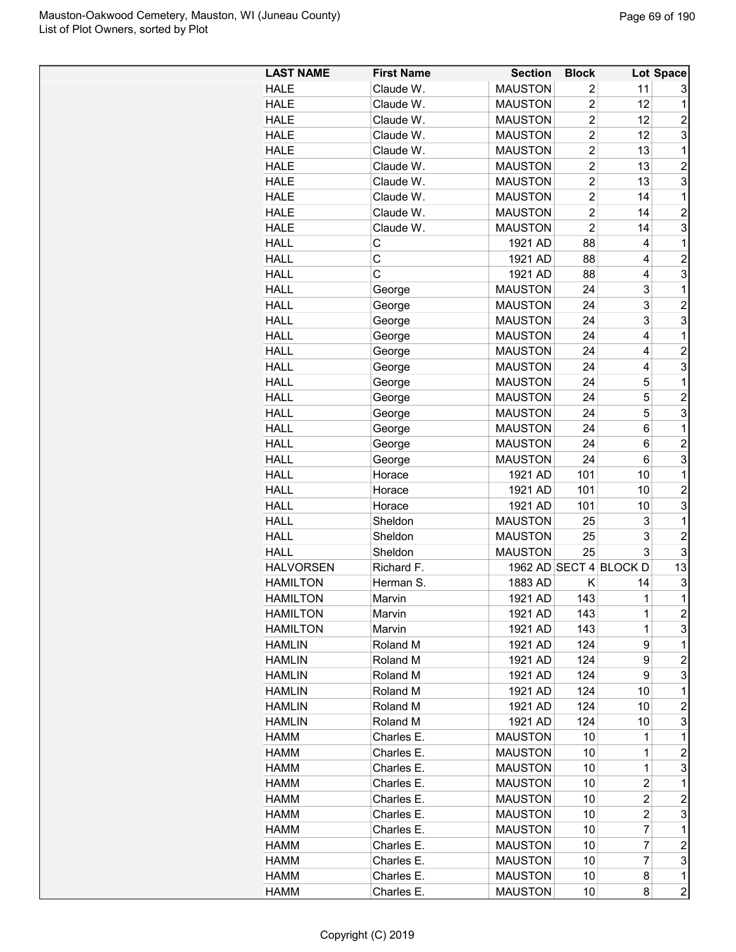| Claude W.<br><b>MAUSTON</b><br>$\overline{2}$<br>11<br><b>HALE</b><br>3<br><b>MAUSTON</b><br>$\overline{2}$<br><b>HALE</b><br>Claude W.<br>12<br>1<br>$\overline{2}$<br><b>HALE</b><br>Claude W.<br><b>MAUSTON</b><br>12<br>2<br>$\overline{c}$<br>3<br>Claude W.<br><b>MAUSTON</b><br>12<br><b>HALE</b><br>$\overline{2}$<br><b>HALE</b><br>Claude W.<br><b>MAUSTON</b><br>13<br>1<br>$\overline{2}$<br>$\overline{c}$<br><b>HALE</b><br>Claude W.<br><b>MAUSTON</b><br>13<br>$\overline{2}$<br>3<br>Claude W.<br><b>MAUSTON</b><br>13<br><b>HALE</b><br>$\overline{2}$<br><b>MAUSTON</b><br>14<br>1<br><b>HALE</b><br>Claude W.<br>$\overline{2}$<br>$\overline{2}$<br>Claude W.<br><b>MAUSTON</b><br>14<br><b>HALE</b><br>$\overline{2}$<br>3<br>Claude W.<br><b>MAUSTON</b><br>14<br><b>HALE</b><br>88<br><b>HALL</b><br>С<br>1921 AD<br>4<br>1<br>C<br>$\overline{c}$<br><b>HALL</b><br>1921 AD<br>88<br>4<br>C<br>3<br><b>HALL</b><br>1921 AD<br>88<br>4<br>$\mathbf 1$<br><b>HALL</b><br><b>MAUSTON</b><br>24<br>3<br>George<br>$\overline{c}$<br>3<br><b>HALL</b><br><b>MAUSTON</b><br>24<br>George<br>3<br>3<br><b>HALL</b><br><b>MAUSTON</b><br>24<br>George<br>4<br><b>HALL</b><br><b>MAUSTON</b><br>24<br>1<br>George<br><b>MAUSTON</b><br>24<br>4<br>$\overline{2}$<br><b>HALL</b><br>George<br>3<br><b>HALL</b><br><b>MAUSTON</b><br>24<br>George<br>4<br><b>HALL</b><br><b>MAUSTON</b><br>24<br>5<br>1<br>George<br>5<br>$\overline{c}$<br><b>HALL</b><br><b>MAUSTON</b><br>24<br>George<br>3<br>5<br><b>HALL</b><br><b>MAUSTON</b><br>24<br>George<br>$\mathbf{1}$<br><b>HALL</b><br><b>MAUSTON</b><br>24<br>6<br>George<br>6<br><b>HALL</b><br><b>MAUSTON</b><br>24<br>$\overline{c}$<br>George<br>3<br>24<br>6<br><b>HALL</b><br>George<br><b>MAUSTON</b><br><b>HALL</b><br>1921 AD<br>101<br>$\mathbf 1$<br>Horace<br>10<br>101<br>$\overline{c}$<br><b>HALL</b><br>1921 AD<br>10<br>Horace<br>3<br><b>HALL</b><br>1921 AD<br>101<br>10<br>Horace<br>25<br>3<br>1<br><b>HALL</b><br>Sheldon<br><b>MAUSTON</b><br>3<br>$\overline{c}$<br><b>HALL</b><br><b>MAUSTON</b><br>25<br>Sheldon<br>3<br>3<br><b>HALL</b><br>Sheldon<br><b>MAUSTON</b><br>25<br>13<br>1962 AD SECT 4 BLOCK D<br><b>HALVORSEN</b><br>Richard F.<br>3<br><b>HAMILTON</b><br>Herman S.<br>1883 AD<br>Κ<br>14<br>$\mathbf{1}$<br>143<br>1<br>1921 AD<br><b>HAMILTON</b><br>Marvin<br>$\overline{\mathbf{c}}$<br><b>HAMILTON</b><br>1921 AD<br>143<br>1<br>Marvin<br>3<br><b>HAMILTON</b><br>1921 AD<br>143<br>$\mathbf 1$<br>Marvin<br>9<br>1921 AD<br>124<br>1<br><b>HAMLIN</b><br>Roland M<br>9<br>$\overline{c}$<br><b>HAMLIN</b><br>Roland M<br>1921 AD<br>124<br>3<br>1921 AD<br>124<br>9<br><b>HAMLIN</b><br>Roland M<br><b>HAMLIN</b><br>Roland M<br>1921 AD<br>124<br>10<br>$\mathbf 1$<br>$\overline{c}$<br><b>HAMLIN</b><br>Roland M<br>1921 AD<br>124<br>10<br>3<br>1921 AD<br><b>HAMLIN</b><br>Roland M<br>124<br>10<br>$\mathbf 1$<br><b>MAUSTON</b><br>10<br>HAMM<br>Charles E.<br>1<br>$\mathbf 1$<br>$\overline{\mathbf{c}}$<br><b>HAMM</b><br>Charles E.<br><b>MAUSTON</b><br>10<br>Charles E.<br>3<br><b>HAMM</b><br><b>MAUSTON</b><br>10<br>1<br>$\overline{\mathbf{c}}$<br>Charles E.<br><b>MAUSTON</b><br>10<br>1<br><b>HAMM</b><br>$\overline{c}$<br>$\overline{c}$<br>Charles E.<br><b>MAUSTON</b><br>10<br>HAMM<br>3<br><b>HAMM</b><br>Charles E.<br><b>MAUSTON</b><br>10<br>2<br>HAMM<br>Charles E.<br><b>MAUSTON</b><br>10<br>7<br>1<br>$\overline{2}$<br>$\overline{7}$<br>Charles E.<br>10<br>HAMM<br><b>MAUSTON</b><br>3<br>7<br>Charles E.<br><b>MAUSTON</b><br>10<br>HAMM<br>$\mathbf 1$<br><b>HAMM</b><br>Charles E.<br><b>MAUSTON</b><br>10<br>8<br>8 | <b>LAST NAME</b> | <b>First Name</b> | <b>Section</b> | <b>Block</b> | Lot Space      |
|-----------------------------------------------------------------------------------------------------------------------------------------------------------------------------------------------------------------------------------------------------------------------------------------------------------------------------------------------------------------------------------------------------------------------------------------------------------------------------------------------------------------------------------------------------------------------------------------------------------------------------------------------------------------------------------------------------------------------------------------------------------------------------------------------------------------------------------------------------------------------------------------------------------------------------------------------------------------------------------------------------------------------------------------------------------------------------------------------------------------------------------------------------------------------------------------------------------------------------------------------------------------------------------------------------------------------------------------------------------------------------------------------------------------------------------------------------------------------------------------------------------------------------------------------------------------------------------------------------------------------------------------------------------------------------------------------------------------------------------------------------------------------------------------------------------------------------------------------------------------------------------------------------------------------------------------------------------------------------------------------------------------------------------------------------------------------------------------------------------------------------------------------------------------------------------------------------------------------------------------------------------------------------------------------------------------------------------------------------------------------------------------------------------------------------------------------------------------------------------------------------------------------------------------------------------------------------------------------------------------------------------------------------------------------------------------------------------------------------------------------------------------------------------------------------------------------------------------------------------------------------------------------------------------------------------------------------------------------------------------------------------------------------------------------------------------------------------------------------------------------------------------------------------------------------------------------------------------------------------------------------------------------------------------------------------------------------------------------------------------------------------------------------------------------------------------------------------------------------------------------------------------------------------------------------------------------------------------------------------------------------------------------------------------------------|------------------|-------------------|----------------|--------------|----------------|
|                                                                                                                                                                                                                                                                                                                                                                                                                                                                                                                                                                                                                                                                                                                                                                                                                                                                                                                                                                                                                                                                                                                                                                                                                                                                                                                                                                                                                                                                                                                                                                                                                                                                                                                                                                                                                                                                                                                                                                                                                                                                                                                                                                                                                                                                                                                                                                                                                                                                                                                                                                                                                                                                                                                                                                                                                                                                                                                                                                                                                                                                                                                                                                                                                                                                                                                                                                                                                                                                                                                                                                                                                                                                             |                  |                   |                |              |                |
|                                                                                                                                                                                                                                                                                                                                                                                                                                                                                                                                                                                                                                                                                                                                                                                                                                                                                                                                                                                                                                                                                                                                                                                                                                                                                                                                                                                                                                                                                                                                                                                                                                                                                                                                                                                                                                                                                                                                                                                                                                                                                                                                                                                                                                                                                                                                                                                                                                                                                                                                                                                                                                                                                                                                                                                                                                                                                                                                                                                                                                                                                                                                                                                                                                                                                                                                                                                                                                                                                                                                                                                                                                                                             |                  |                   |                |              |                |
|                                                                                                                                                                                                                                                                                                                                                                                                                                                                                                                                                                                                                                                                                                                                                                                                                                                                                                                                                                                                                                                                                                                                                                                                                                                                                                                                                                                                                                                                                                                                                                                                                                                                                                                                                                                                                                                                                                                                                                                                                                                                                                                                                                                                                                                                                                                                                                                                                                                                                                                                                                                                                                                                                                                                                                                                                                                                                                                                                                                                                                                                                                                                                                                                                                                                                                                                                                                                                                                                                                                                                                                                                                                                             |                  |                   |                |              |                |
|                                                                                                                                                                                                                                                                                                                                                                                                                                                                                                                                                                                                                                                                                                                                                                                                                                                                                                                                                                                                                                                                                                                                                                                                                                                                                                                                                                                                                                                                                                                                                                                                                                                                                                                                                                                                                                                                                                                                                                                                                                                                                                                                                                                                                                                                                                                                                                                                                                                                                                                                                                                                                                                                                                                                                                                                                                                                                                                                                                                                                                                                                                                                                                                                                                                                                                                                                                                                                                                                                                                                                                                                                                                                             |                  |                   |                |              |                |
|                                                                                                                                                                                                                                                                                                                                                                                                                                                                                                                                                                                                                                                                                                                                                                                                                                                                                                                                                                                                                                                                                                                                                                                                                                                                                                                                                                                                                                                                                                                                                                                                                                                                                                                                                                                                                                                                                                                                                                                                                                                                                                                                                                                                                                                                                                                                                                                                                                                                                                                                                                                                                                                                                                                                                                                                                                                                                                                                                                                                                                                                                                                                                                                                                                                                                                                                                                                                                                                                                                                                                                                                                                                                             |                  |                   |                |              |                |
|                                                                                                                                                                                                                                                                                                                                                                                                                                                                                                                                                                                                                                                                                                                                                                                                                                                                                                                                                                                                                                                                                                                                                                                                                                                                                                                                                                                                                                                                                                                                                                                                                                                                                                                                                                                                                                                                                                                                                                                                                                                                                                                                                                                                                                                                                                                                                                                                                                                                                                                                                                                                                                                                                                                                                                                                                                                                                                                                                                                                                                                                                                                                                                                                                                                                                                                                                                                                                                                                                                                                                                                                                                                                             |                  |                   |                |              |                |
|                                                                                                                                                                                                                                                                                                                                                                                                                                                                                                                                                                                                                                                                                                                                                                                                                                                                                                                                                                                                                                                                                                                                                                                                                                                                                                                                                                                                                                                                                                                                                                                                                                                                                                                                                                                                                                                                                                                                                                                                                                                                                                                                                                                                                                                                                                                                                                                                                                                                                                                                                                                                                                                                                                                                                                                                                                                                                                                                                                                                                                                                                                                                                                                                                                                                                                                                                                                                                                                                                                                                                                                                                                                                             |                  |                   |                |              |                |
|                                                                                                                                                                                                                                                                                                                                                                                                                                                                                                                                                                                                                                                                                                                                                                                                                                                                                                                                                                                                                                                                                                                                                                                                                                                                                                                                                                                                                                                                                                                                                                                                                                                                                                                                                                                                                                                                                                                                                                                                                                                                                                                                                                                                                                                                                                                                                                                                                                                                                                                                                                                                                                                                                                                                                                                                                                                                                                                                                                                                                                                                                                                                                                                                                                                                                                                                                                                                                                                                                                                                                                                                                                                                             |                  |                   |                |              |                |
|                                                                                                                                                                                                                                                                                                                                                                                                                                                                                                                                                                                                                                                                                                                                                                                                                                                                                                                                                                                                                                                                                                                                                                                                                                                                                                                                                                                                                                                                                                                                                                                                                                                                                                                                                                                                                                                                                                                                                                                                                                                                                                                                                                                                                                                                                                                                                                                                                                                                                                                                                                                                                                                                                                                                                                                                                                                                                                                                                                                                                                                                                                                                                                                                                                                                                                                                                                                                                                                                                                                                                                                                                                                                             |                  |                   |                |              |                |
|                                                                                                                                                                                                                                                                                                                                                                                                                                                                                                                                                                                                                                                                                                                                                                                                                                                                                                                                                                                                                                                                                                                                                                                                                                                                                                                                                                                                                                                                                                                                                                                                                                                                                                                                                                                                                                                                                                                                                                                                                                                                                                                                                                                                                                                                                                                                                                                                                                                                                                                                                                                                                                                                                                                                                                                                                                                                                                                                                                                                                                                                                                                                                                                                                                                                                                                                                                                                                                                                                                                                                                                                                                                                             |                  |                   |                |              |                |
|                                                                                                                                                                                                                                                                                                                                                                                                                                                                                                                                                                                                                                                                                                                                                                                                                                                                                                                                                                                                                                                                                                                                                                                                                                                                                                                                                                                                                                                                                                                                                                                                                                                                                                                                                                                                                                                                                                                                                                                                                                                                                                                                                                                                                                                                                                                                                                                                                                                                                                                                                                                                                                                                                                                                                                                                                                                                                                                                                                                                                                                                                                                                                                                                                                                                                                                                                                                                                                                                                                                                                                                                                                                                             |                  |                   |                |              |                |
|                                                                                                                                                                                                                                                                                                                                                                                                                                                                                                                                                                                                                                                                                                                                                                                                                                                                                                                                                                                                                                                                                                                                                                                                                                                                                                                                                                                                                                                                                                                                                                                                                                                                                                                                                                                                                                                                                                                                                                                                                                                                                                                                                                                                                                                                                                                                                                                                                                                                                                                                                                                                                                                                                                                                                                                                                                                                                                                                                                                                                                                                                                                                                                                                                                                                                                                                                                                                                                                                                                                                                                                                                                                                             |                  |                   |                |              |                |
|                                                                                                                                                                                                                                                                                                                                                                                                                                                                                                                                                                                                                                                                                                                                                                                                                                                                                                                                                                                                                                                                                                                                                                                                                                                                                                                                                                                                                                                                                                                                                                                                                                                                                                                                                                                                                                                                                                                                                                                                                                                                                                                                                                                                                                                                                                                                                                                                                                                                                                                                                                                                                                                                                                                                                                                                                                                                                                                                                                                                                                                                                                                                                                                                                                                                                                                                                                                                                                                                                                                                                                                                                                                                             |                  |                   |                |              |                |
|                                                                                                                                                                                                                                                                                                                                                                                                                                                                                                                                                                                                                                                                                                                                                                                                                                                                                                                                                                                                                                                                                                                                                                                                                                                                                                                                                                                                                                                                                                                                                                                                                                                                                                                                                                                                                                                                                                                                                                                                                                                                                                                                                                                                                                                                                                                                                                                                                                                                                                                                                                                                                                                                                                                                                                                                                                                                                                                                                                                                                                                                                                                                                                                                                                                                                                                                                                                                                                                                                                                                                                                                                                                                             |                  |                   |                |              |                |
|                                                                                                                                                                                                                                                                                                                                                                                                                                                                                                                                                                                                                                                                                                                                                                                                                                                                                                                                                                                                                                                                                                                                                                                                                                                                                                                                                                                                                                                                                                                                                                                                                                                                                                                                                                                                                                                                                                                                                                                                                                                                                                                                                                                                                                                                                                                                                                                                                                                                                                                                                                                                                                                                                                                                                                                                                                                                                                                                                                                                                                                                                                                                                                                                                                                                                                                                                                                                                                                                                                                                                                                                                                                                             |                  |                   |                |              |                |
|                                                                                                                                                                                                                                                                                                                                                                                                                                                                                                                                                                                                                                                                                                                                                                                                                                                                                                                                                                                                                                                                                                                                                                                                                                                                                                                                                                                                                                                                                                                                                                                                                                                                                                                                                                                                                                                                                                                                                                                                                                                                                                                                                                                                                                                                                                                                                                                                                                                                                                                                                                                                                                                                                                                                                                                                                                                                                                                                                                                                                                                                                                                                                                                                                                                                                                                                                                                                                                                                                                                                                                                                                                                                             |                  |                   |                |              |                |
|                                                                                                                                                                                                                                                                                                                                                                                                                                                                                                                                                                                                                                                                                                                                                                                                                                                                                                                                                                                                                                                                                                                                                                                                                                                                                                                                                                                                                                                                                                                                                                                                                                                                                                                                                                                                                                                                                                                                                                                                                                                                                                                                                                                                                                                                                                                                                                                                                                                                                                                                                                                                                                                                                                                                                                                                                                                                                                                                                                                                                                                                                                                                                                                                                                                                                                                                                                                                                                                                                                                                                                                                                                                                             |                  |                   |                |              |                |
|                                                                                                                                                                                                                                                                                                                                                                                                                                                                                                                                                                                                                                                                                                                                                                                                                                                                                                                                                                                                                                                                                                                                                                                                                                                                                                                                                                                                                                                                                                                                                                                                                                                                                                                                                                                                                                                                                                                                                                                                                                                                                                                                                                                                                                                                                                                                                                                                                                                                                                                                                                                                                                                                                                                                                                                                                                                                                                                                                                                                                                                                                                                                                                                                                                                                                                                                                                                                                                                                                                                                                                                                                                                                             |                  |                   |                |              |                |
|                                                                                                                                                                                                                                                                                                                                                                                                                                                                                                                                                                                                                                                                                                                                                                                                                                                                                                                                                                                                                                                                                                                                                                                                                                                                                                                                                                                                                                                                                                                                                                                                                                                                                                                                                                                                                                                                                                                                                                                                                                                                                                                                                                                                                                                                                                                                                                                                                                                                                                                                                                                                                                                                                                                                                                                                                                                                                                                                                                                                                                                                                                                                                                                                                                                                                                                                                                                                                                                                                                                                                                                                                                                                             |                  |                   |                |              |                |
|                                                                                                                                                                                                                                                                                                                                                                                                                                                                                                                                                                                                                                                                                                                                                                                                                                                                                                                                                                                                                                                                                                                                                                                                                                                                                                                                                                                                                                                                                                                                                                                                                                                                                                                                                                                                                                                                                                                                                                                                                                                                                                                                                                                                                                                                                                                                                                                                                                                                                                                                                                                                                                                                                                                                                                                                                                                                                                                                                                                                                                                                                                                                                                                                                                                                                                                                                                                                                                                                                                                                                                                                                                                                             |                  |                   |                |              |                |
|                                                                                                                                                                                                                                                                                                                                                                                                                                                                                                                                                                                                                                                                                                                                                                                                                                                                                                                                                                                                                                                                                                                                                                                                                                                                                                                                                                                                                                                                                                                                                                                                                                                                                                                                                                                                                                                                                                                                                                                                                                                                                                                                                                                                                                                                                                                                                                                                                                                                                                                                                                                                                                                                                                                                                                                                                                                                                                                                                                                                                                                                                                                                                                                                                                                                                                                                                                                                                                                                                                                                                                                                                                                                             |                  |                   |                |              |                |
|                                                                                                                                                                                                                                                                                                                                                                                                                                                                                                                                                                                                                                                                                                                                                                                                                                                                                                                                                                                                                                                                                                                                                                                                                                                                                                                                                                                                                                                                                                                                                                                                                                                                                                                                                                                                                                                                                                                                                                                                                                                                                                                                                                                                                                                                                                                                                                                                                                                                                                                                                                                                                                                                                                                                                                                                                                                                                                                                                                                                                                                                                                                                                                                                                                                                                                                                                                                                                                                                                                                                                                                                                                                                             |                  |                   |                |              |                |
|                                                                                                                                                                                                                                                                                                                                                                                                                                                                                                                                                                                                                                                                                                                                                                                                                                                                                                                                                                                                                                                                                                                                                                                                                                                                                                                                                                                                                                                                                                                                                                                                                                                                                                                                                                                                                                                                                                                                                                                                                                                                                                                                                                                                                                                                                                                                                                                                                                                                                                                                                                                                                                                                                                                                                                                                                                                                                                                                                                                                                                                                                                                                                                                                                                                                                                                                                                                                                                                                                                                                                                                                                                                                             |                  |                   |                |              |                |
|                                                                                                                                                                                                                                                                                                                                                                                                                                                                                                                                                                                                                                                                                                                                                                                                                                                                                                                                                                                                                                                                                                                                                                                                                                                                                                                                                                                                                                                                                                                                                                                                                                                                                                                                                                                                                                                                                                                                                                                                                                                                                                                                                                                                                                                                                                                                                                                                                                                                                                                                                                                                                                                                                                                                                                                                                                                                                                                                                                                                                                                                                                                                                                                                                                                                                                                                                                                                                                                                                                                                                                                                                                                                             |                  |                   |                |              |                |
|                                                                                                                                                                                                                                                                                                                                                                                                                                                                                                                                                                                                                                                                                                                                                                                                                                                                                                                                                                                                                                                                                                                                                                                                                                                                                                                                                                                                                                                                                                                                                                                                                                                                                                                                                                                                                                                                                                                                                                                                                                                                                                                                                                                                                                                                                                                                                                                                                                                                                                                                                                                                                                                                                                                                                                                                                                                                                                                                                                                                                                                                                                                                                                                                                                                                                                                                                                                                                                                                                                                                                                                                                                                                             |                  |                   |                |              |                |
|                                                                                                                                                                                                                                                                                                                                                                                                                                                                                                                                                                                                                                                                                                                                                                                                                                                                                                                                                                                                                                                                                                                                                                                                                                                                                                                                                                                                                                                                                                                                                                                                                                                                                                                                                                                                                                                                                                                                                                                                                                                                                                                                                                                                                                                                                                                                                                                                                                                                                                                                                                                                                                                                                                                                                                                                                                                                                                                                                                                                                                                                                                                                                                                                                                                                                                                                                                                                                                                                                                                                                                                                                                                                             |                  |                   |                |              |                |
|                                                                                                                                                                                                                                                                                                                                                                                                                                                                                                                                                                                                                                                                                                                                                                                                                                                                                                                                                                                                                                                                                                                                                                                                                                                                                                                                                                                                                                                                                                                                                                                                                                                                                                                                                                                                                                                                                                                                                                                                                                                                                                                                                                                                                                                                                                                                                                                                                                                                                                                                                                                                                                                                                                                                                                                                                                                                                                                                                                                                                                                                                                                                                                                                                                                                                                                                                                                                                                                                                                                                                                                                                                                                             |                  |                   |                |              |                |
|                                                                                                                                                                                                                                                                                                                                                                                                                                                                                                                                                                                                                                                                                                                                                                                                                                                                                                                                                                                                                                                                                                                                                                                                                                                                                                                                                                                                                                                                                                                                                                                                                                                                                                                                                                                                                                                                                                                                                                                                                                                                                                                                                                                                                                                                                                                                                                                                                                                                                                                                                                                                                                                                                                                                                                                                                                                                                                                                                                                                                                                                                                                                                                                                                                                                                                                                                                                                                                                                                                                                                                                                                                                                             |                  |                   |                |              |                |
|                                                                                                                                                                                                                                                                                                                                                                                                                                                                                                                                                                                                                                                                                                                                                                                                                                                                                                                                                                                                                                                                                                                                                                                                                                                                                                                                                                                                                                                                                                                                                                                                                                                                                                                                                                                                                                                                                                                                                                                                                                                                                                                                                                                                                                                                                                                                                                                                                                                                                                                                                                                                                                                                                                                                                                                                                                                                                                                                                                                                                                                                                                                                                                                                                                                                                                                                                                                                                                                                                                                                                                                                                                                                             |                  |                   |                |              |                |
|                                                                                                                                                                                                                                                                                                                                                                                                                                                                                                                                                                                                                                                                                                                                                                                                                                                                                                                                                                                                                                                                                                                                                                                                                                                                                                                                                                                                                                                                                                                                                                                                                                                                                                                                                                                                                                                                                                                                                                                                                                                                                                                                                                                                                                                                                                                                                                                                                                                                                                                                                                                                                                                                                                                                                                                                                                                                                                                                                                                                                                                                                                                                                                                                                                                                                                                                                                                                                                                                                                                                                                                                                                                                             |                  |                   |                |              |                |
|                                                                                                                                                                                                                                                                                                                                                                                                                                                                                                                                                                                                                                                                                                                                                                                                                                                                                                                                                                                                                                                                                                                                                                                                                                                                                                                                                                                                                                                                                                                                                                                                                                                                                                                                                                                                                                                                                                                                                                                                                                                                                                                                                                                                                                                                                                                                                                                                                                                                                                                                                                                                                                                                                                                                                                                                                                                                                                                                                                                                                                                                                                                                                                                                                                                                                                                                                                                                                                                                                                                                                                                                                                                                             |                  |                   |                |              |                |
|                                                                                                                                                                                                                                                                                                                                                                                                                                                                                                                                                                                                                                                                                                                                                                                                                                                                                                                                                                                                                                                                                                                                                                                                                                                                                                                                                                                                                                                                                                                                                                                                                                                                                                                                                                                                                                                                                                                                                                                                                                                                                                                                                                                                                                                                                                                                                                                                                                                                                                                                                                                                                                                                                                                                                                                                                                                                                                                                                                                                                                                                                                                                                                                                                                                                                                                                                                                                                                                                                                                                                                                                                                                                             |                  |                   |                |              |                |
|                                                                                                                                                                                                                                                                                                                                                                                                                                                                                                                                                                                                                                                                                                                                                                                                                                                                                                                                                                                                                                                                                                                                                                                                                                                                                                                                                                                                                                                                                                                                                                                                                                                                                                                                                                                                                                                                                                                                                                                                                                                                                                                                                                                                                                                                                                                                                                                                                                                                                                                                                                                                                                                                                                                                                                                                                                                                                                                                                                                                                                                                                                                                                                                                                                                                                                                                                                                                                                                                                                                                                                                                                                                                             |                  |                   |                |              |                |
|                                                                                                                                                                                                                                                                                                                                                                                                                                                                                                                                                                                                                                                                                                                                                                                                                                                                                                                                                                                                                                                                                                                                                                                                                                                                                                                                                                                                                                                                                                                                                                                                                                                                                                                                                                                                                                                                                                                                                                                                                                                                                                                                                                                                                                                                                                                                                                                                                                                                                                                                                                                                                                                                                                                                                                                                                                                                                                                                                                                                                                                                                                                                                                                                                                                                                                                                                                                                                                                                                                                                                                                                                                                                             |                  |                   |                |              |                |
|                                                                                                                                                                                                                                                                                                                                                                                                                                                                                                                                                                                                                                                                                                                                                                                                                                                                                                                                                                                                                                                                                                                                                                                                                                                                                                                                                                                                                                                                                                                                                                                                                                                                                                                                                                                                                                                                                                                                                                                                                                                                                                                                                                                                                                                                                                                                                                                                                                                                                                                                                                                                                                                                                                                                                                                                                                                                                                                                                                                                                                                                                                                                                                                                                                                                                                                                                                                                                                                                                                                                                                                                                                                                             |                  |                   |                |              |                |
|                                                                                                                                                                                                                                                                                                                                                                                                                                                                                                                                                                                                                                                                                                                                                                                                                                                                                                                                                                                                                                                                                                                                                                                                                                                                                                                                                                                                                                                                                                                                                                                                                                                                                                                                                                                                                                                                                                                                                                                                                                                                                                                                                                                                                                                                                                                                                                                                                                                                                                                                                                                                                                                                                                                                                                                                                                                                                                                                                                                                                                                                                                                                                                                                                                                                                                                                                                                                                                                                                                                                                                                                                                                                             |                  |                   |                |              |                |
|                                                                                                                                                                                                                                                                                                                                                                                                                                                                                                                                                                                                                                                                                                                                                                                                                                                                                                                                                                                                                                                                                                                                                                                                                                                                                                                                                                                                                                                                                                                                                                                                                                                                                                                                                                                                                                                                                                                                                                                                                                                                                                                                                                                                                                                                                                                                                                                                                                                                                                                                                                                                                                                                                                                                                                                                                                                                                                                                                                                                                                                                                                                                                                                                                                                                                                                                                                                                                                                                                                                                                                                                                                                                             |                  |                   |                |              |                |
|                                                                                                                                                                                                                                                                                                                                                                                                                                                                                                                                                                                                                                                                                                                                                                                                                                                                                                                                                                                                                                                                                                                                                                                                                                                                                                                                                                                                                                                                                                                                                                                                                                                                                                                                                                                                                                                                                                                                                                                                                                                                                                                                                                                                                                                                                                                                                                                                                                                                                                                                                                                                                                                                                                                                                                                                                                                                                                                                                                                                                                                                                                                                                                                                                                                                                                                                                                                                                                                                                                                                                                                                                                                                             |                  |                   |                |              |                |
|                                                                                                                                                                                                                                                                                                                                                                                                                                                                                                                                                                                                                                                                                                                                                                                                                                                                                                                                                                                                                                                                                                                                                                                                                                                                                                                                                                                                                                                                                                                                                                                                                                                                                                                                                                                                                                                                                                                                                                                                                                                                                                                                                                                                                                                                                                                                                                                                                                                                                                                                                                                                                                                                                                                                                                                                                                                                                                                                                                                                                                                                                                                                                                                                                                                                                                                                                                                                                                                                                                                                                                                                                                                                             |                  |                   |                |              |                |
|                                                                                                                                                                                                                                                                                                                                                                                                                                                                                                                                                                                                                                                                                                                                                                                                                                                                                                                                                                                                                                                                                                                                                                                                                                                                                                                                                                                                                                                                                                                                                                                                                                                                                                                                                                                                                                                                                                                                                                                                                                                                                                                                                                                                                                                                                                                                                                                                                                                                                                                                                                                                                                                                                                                                                                                                                                                                                                                                                                                                                                                                                                                                                                                                                                                                                                                                                                                                                                                                                                                                                                                                                                                                             |                  |                   |                |              |                |
|                                                                                                                                                                                                                                                                                                                                                                                                                                                                                                                                                                                                                                                                                                                                                                                                                                                                                                                                                                                                                                                                                                                                                                                                                                                                                                                                                                                                                                                                                                                                                                                                                                                                                                                                                                                                                                                                                                                                                                                                                                                                                                                                                                                                                                                                                                                                                                                                                                                                                                                                                                                                                                                                                                                                                                                                                                                                                                                                                                                                                                                                                                                                                                                                                                                                                                                                                                                                                                                                                                                                                                                                                                                                             |                  |                   |                |              |                |
|                                                                                                                                                                                                                                                                                                                                                                                                                                                                                                                                                                                                                                                                                                                                                                                                                                                                                                                                                                                                                                                                                                                                                                                                                                                                                                                                                                                                                                                                                                                                                                                                                                                                                                                                                                                                                                                                                                                                                                                                                                                                                                                                                                                                                                                                                                                                                                                                                                                                                                                                                                                                                                                                                                                                                                                                                                                                                                                                                                                                                                                                                                                                                                                                                                                                                                                                                                                                                                                                                                                                                                                                                                                                             |                  |                   |                |              |                |
|                                                                                                                                                                                                                                                                                                                                                                                                                                                                                                                                                                                                                                                                                                                                                                                                                                                                                                                                                                                                                                                                                                                                                                                                                                                                                                                                                                                                                                                                                                                                                                                                                                                                                                                                                                                                                                                                                                                                                                                                                                                                                                                                                                                                                                                                                                                                                                                                                                                                                                                                                                                                                                                                                                                                                                                                                                                                                                                                                                                                                                                                                                                                                                                                                                                                                                                                                                                                                                                                                                                                                                                                                                                                             |                  |                   |                |              |                |
|                                                                                                                                                                                                                                                                                                                                                                                                                                                                                                                                                                                                                                                                                                                                                                                                                                                                                                                                                                                                                                                                                                                                                                                                                                                                                                                                                                                                                                                                                                                                                                                                                                                                                                                                                                                                                                                                                                                                                                                                                                                                                                                                                                                                                                                                                                                                                                                                                                                                                                                                                                                                                                                                                                                                                                                                                                                                                                                                                                                                                                                                                                                                                                                                                                                                                                                                                                                                                                                                                                                                                                                                                                                                             |                  |                   |                |              |                |
|                                                                                                                                                                                                                                                                                                                                                                                                                                                                                                                                                                                                                                                                                                                                                                                                                                                                                                                                                                                                                                                                                                                                                                                                                                                                                                                                                                                                                                                                                                                                                                                                                                                                                                                                                                                                                                                                                                                                                                                                                                                                                                                                                                                                                                                                                                                                                                                                                                                                                                                                                                                                                                                                                                                                                                                                                                                                                                                                                                                                                                                                                                                                                                                                                                                                                                                                                                                                                                                                                                                                                                                                                                                                             |                  |                   |                |              |                |
|                                                                                                                                                                                                                                                                                                                                                                                                                                                                                                                                                                                                                                                                                                                                                                                                                                                                                                                                                                                                                                                                                                                                                                                                                                                                                                                                                                                                                                                                                                                                                                                                                                                                                                                                                                                                                                                                                                                                                                                                                                                                                                                                                                                                                                                                                                                                                                                                                                                                                                                                                                                                                                                                                                                                                                                                                                                                                                                                                                                                                                                                                                                                                                                                                                                                                                                                                                                                                                                                                                                                                                                                                                                                             |                  |                   |                |              |                |
|                                                                                                                                                                                                                                                                                                                                                                                                                                                                                                                                                                                                                                                                                                                                                                                                                                                                                                                                                                                                                                                                                                                                                                                                                                                                                                                                                                                                                                                                                                                                                                                                                                                                                                                                                                                                                                                                                                                                                                                                                                                                                                                                                                                                                                                                                                                                                                                                                                                                                                                                                                                                                                                                                                                                                                                                                                                                                                                                                                                                                                                                                                                                                                                                                                                                                                                                                                                                                                                                                                                                                                                                                                                                             |                  |                   |                |              |                |
|                                                                                                                                                                                                                                                                                                                                                                                                                                                                                                                                                                                                                                                                                                                                                                                                                                                                                                                                                                                                                                                                                                                                                                                                                                                                                                                                                                                                                                                                                                                                                                                                                                                                                                                                                                                                                                                                                                                                                                                                                                                                                                                                                                                                                                                                                                                                                                                                                                                                                                                                                                                                                                                                                                                                                                                                                                                                                                                                                                                                                                                                                                                                                                                                                                                                                                                                                                                                                                                                                                                                                                                                                                                                             |                  |                   |                |              |                |
|                                                                                                                                                                                                                                                                                                                                                                                                                                                                                                                                                                                                                                                                                                                                                                                                                                                                                                                                                                                                                                                                                                                                                                                                                                                                                                                                                                                                                                                                                                                                                                                                                                                                                                                                                                                                                                                                                                                                                                                                                                                                                                                                                                                                                                                                                                                                                                                                                                                                                                                                                                                                                                                                                                                                                                                                                                                                                                                                                                                                                                                                                                                                                                                                                                                                                                                                                                                                                                                                                                                                                                                                                                                                             |                  |                   |                |              |                |
|                                                                                                                                                                                                                                                                                                                                                                                                                                                                                                                                                                                                                                                                                                                                                                                                                                                                                                                                                                                                                                                                                                                                                                                                                                                                                                                                                                                                                                                                                                                                                                                                                                                                                                                                                                                                                                                                                                                                                                                                                                                                                                                                                                                                                                                                                                                                                                                                                                                                                                                                                                                                                                                                                                                                                                                                                                                                                                                                                                                                                                                                                                                                                                                                                                                                                                                                                                                                                                                                                                                                                                                                                                                                             |                  |                   |                |              |                |
|                                                                                                                                                                                                                                                                                                                                                                                                                                                                                                                                                                                                                                                                                                                                                                                                                                                                                                                                                                                                                                                                                                                                                                                                                                                                                                                                                                                                                                                                                                                                                                                                                                                                                                                                                                                                                                                                                                                                                                                                                                                                                                                                                                                                                                                                                                                                                                                                                                                                                                                                                                                                                                                                                                                                                                                                                                                                                                                                                                                                                                                                                                                                                                                                                                                                                                                                                                                                                                                                                                                                                                                                                                                                             |                  |                   |                |              |                |
|                                                                                                                                                                                                                                                                                                                                                                                                                                                                                                                                                                                                                                                                                                                                                                                                                                                                                                                                                                                                                                                                                                                                                                                                                                                                                                                                                                                                                                                                                                                                                                                                                                                                                                                                                                                                                                                                                                                                                                                                                                                                                                                                                                                                                                                                                                                                                                                                                                                                                                                                                                                                                                                                                                                                                                                                                                                                                                                                                                                                                                                                                                                                                                                                                                                                                                                                                                                                                                                                                                                                                                                                                                                                             |                  |                   |                |              |                |
|                                                                                                                                                                                                                                                                                                                                                                                                                                                                                                                                                                                                                                                                                                                                                                                                                                                                                                                                                                                                                                                                                                                                                                                                                                                                                                                                                                                                                                                                                                                                                                                                                                                                                                                                                                                                                                                                                                                                                                                                                                                                                                                                                                                                                                                                                                                                                                                                                                                                                                                                                                                                                                                                                                                                                                                                                                                                                                                                                                                                                                                                                                                                                                                                                                                                                                                                                                                                                                                                                                                                                                                                                                                                             | HAMM             | Charles E.        | <b>MAUSTON</b> | 10           | $\overline{c}$ |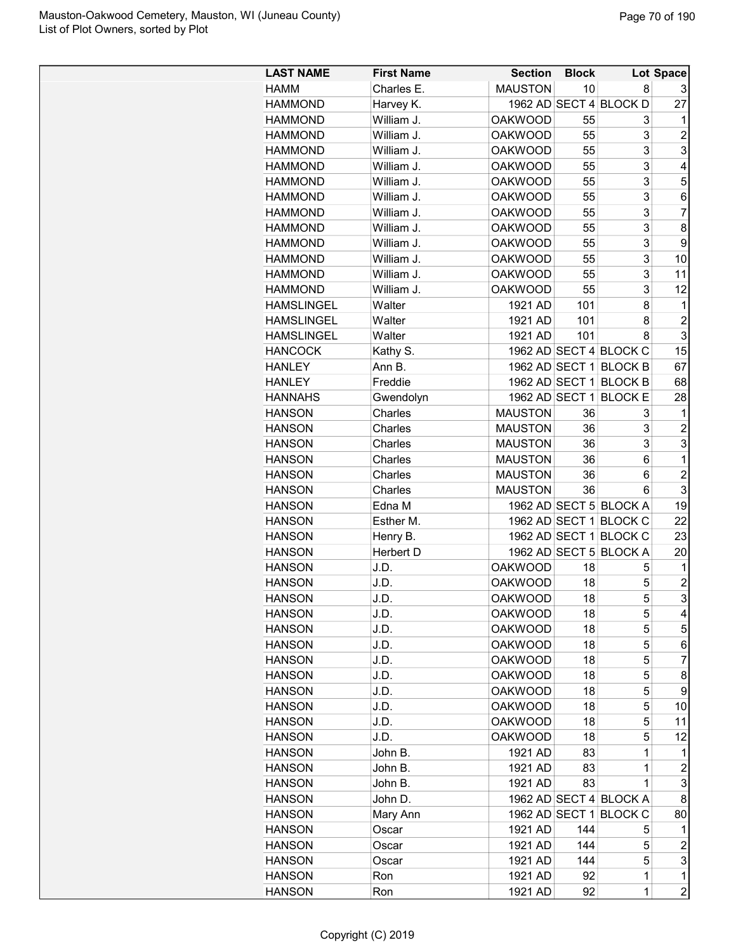| <b>LAST NAME</b>  | <b>First Name</b> | <b>Section</b> | <b>Block</b> |                        | Lot Space      |
|-------------------|-------------------|----------------|--------------|------------------------|----------------|
| HAMM              | Charles E.        | <b>MAUSTON</b> | 10           | 8                      | 3              |
| <b>HAMMOND</b>    | Harvey K.         |                |              | 1962 AD SECT 4 BLOCK D | 27             |
| <b>HAMMOND</b>    | William J.        | <b>OAKWOOD</b> | 55           | 3                      | 1              |
| <b>HAMMOND</b>    |                   |                |              | 3                      | $\overline{2}$ |
|                   | William J.        | <b>OAKWOOD</b> | 55           |                        |                |
| <b>HAMMOND</b>    | William J.        | <b>OAKWOOD</b> | 55           | 3                      | 3              |
| <b>HAMMOND</b>    | William J.        | <b>OAKWOOD</b> | 55           | 3                      | 4              |
| <b>HAMMOND</b>    | William J.        | <b>OAKWOOD</b> | 55           | 3                      | 5              |
| <b>HAMMOND</b>    | William J.        | <b>OAKWOOD</b> | 55           | 3                      | 6              |
| <b>HAMMOND</b>    | William J.        | <b>OAKWOOD</b> | 55           | 3                      | $\overline{7}$ |
| <b>HAMMOND</b>    | William J.        | <b>OAKWOOD</b> | 55           | 3                      | 8              |
| <b>HAMMOND</b>    | William J.        | <b>OAKWOOD</b> | 55           | 3                      | 9              |
| <b>HAMMOND</b>    | William J.        | <b>OAKWOOD</b> | 55           | 3                      | 10             |
| <b>HAMMOND</b>    | William J.        | <b>OAKWOOD</b> | 55           | 3                      | 11             |
| <b>HAMMOND</b>    | William J.        | <b>OAKWOOD</b> | 55           | 3                      | 12             |
| <b>HAMSLINGEL</b> | Walter            | 1921 AD        | 101          | 8                      | 1              |
| <b>HAMSLINGEL</b> | Walter            | 1921 AD        | 101          | 8                      | $\overline{c}$ |
| <b>HAMSLINGEL</b> | Walter            | 1921 AD        | 101          | 8                      | 3              |
| <b>HANCOCK</b>    | Kathy S.          |                |              | 1962 AD SECT 4 BLOCK C | 15             |
| <b>HANLEY</b>     | Ann B.            |                |              | 1962 AD SECT 1 BLOCK B | 67             |
| <b>HANLEY</b>     | Freddie           |                |              | 1962 AD SECT 1 BLOCK B | 68             |
| <b>HANNAHS</b>    | Gwendolyn         | 1962 AD SECT 1 |              | <b>BLOCK E</b>         | 28             |
| <b>HANSON</b>     | Charles           | <b>MAUSTON</b> | 36           | 3                      | 1              |
| <b>HANSON</b>     | Charles           | <b>MAUSTON</b> | 36           | 3                      | $\overline{c}$ |
| <b>HANSON</b>     | Charles           | <b>MAUSTON</b> | 36           | 3                      | 3              |
| <b>HANSON</b>     | Charles           | <b>MAUSTON</b> | 36           | 6                      | 1              |
| <b>HANSON</b>     | Charles           | <b>MAUSTON</b> | 36           | 6                      | $\overline{c}$ |
|                   | Charles           | <b>MAUSTON</b> | 36           | 6                      | 3              |
| <b>HANSON</b>     |                   |                |              |                        | 19             |
| <b>HANSON</b>     | Edna M            |                |              | 1962 AD SECT 5 BLOCK A |                |
| <b>HANSON</b>     | Esther M.         |                |              | 1962 AD SECT 1 BLOCK C | 22             |
| <b>HANSON</b>     | Henry B.          |                |              | 1962 AD SECT 1 BLOCK C | 23             |
| <b>HANSON</b>     | Herbert D         |                |              | 1962 AD SECT 5 BLOCK A | 20             |
| <b>HANSON</b>     | J.D.              | <b>OAKWOOD</b> | 18           | 5                      | 1              |
| <b>HANSON</b>     | J.D.              | <b>OAKWOOD</b> | 18           | 5                      | $\overline{c}$ |
| <b>HANSON</b>     | J.D.              | <b>OAKWOOD</b> | 18           | 5                      | 3              |
| <b>HANSON</b>     | J.D.              | <b>OAKWOOD</b> | 18           | 5                      | 4              |
| <b>HANSON</b>     | J.D.              | <b>OAKWOOD</b> | 18           | 5                      | 5              |
| <b>HANSON</b>     | J.D.              | <b>OAKWOOD</b> | 18           | 5                      | 6              |
| <b>HANSON</b>     | J.D.              | <b>OAKWOOD</b> | 18           | 5                      | 7              |
| <b>HANSON</b>     | J.D.              | <b>OAKWOOD</b> | 18           | 5                      | 8              |
| <b>HANSON</b>     | J.D.              | <b>OAKWOOD</b> | 18           | 5                      | 9              |
| <b>HANSON</b>     | J.D.              | <b>OAKWOOD</b> | 18           | 5                      | 10             |
| <b>HANSON</b>     | J.D.              | <b>OAKWOOD</b> | 18           | 5                      | 11             |
| <b>HANSON</b>     | J.D.              | <b>OAKWOOD</b> | 18           | 5                      | 12             |
| <b>HANSON</b>     | John B.           | 1921 AD        | 83           | 1                      | 1              |
| <b>HANSON</b>     | John B.           | 1921 AD        | 83           | 1                      | 2              |
| <b>HANSON</b>     | John B.           | 1921 AD        | 83           | $\mathbf 1$            | 3              |
| <b>HANSON</b>     | John D.           |                |              | 1962 AD SECT 4 BLOCK A | 8              |
| <b>HANSON</b>     | Mary Ann          |                |              | 1962 AD SECT 1 BLOCK C | 80             |
|                   |                   |                | 144          |                        |                |
| <b>HANSON</b>     | Oscar             | 1921 AD        |              | 5                      | 1              |
| <b>HANSON</b>     | Oscar             | 1921 AD        | 144          | 5                      | $\overline{c}$ |
| <b>HANSON</b>     | Oscar             | 1921 AD        | 144          | 5                      | 3              |
| <b>HANSON</b>     | Ron               | 1921 AD        | 92           | $\mathbf 1$            | 1              |
| <b>HANSON</b>     | Ron               | 1921 AD        | 92           | $\mathbf 1$            | $\overline{c}$ |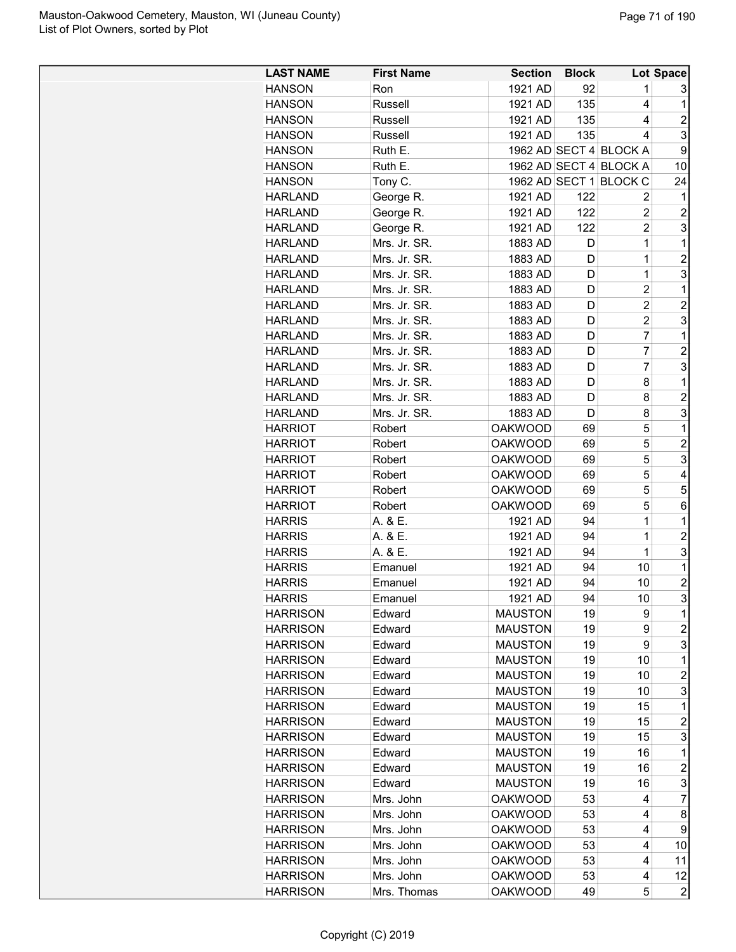| <b>HANSON</b><br>1921 AD<br>92<br>Ron<br>1<br>3<br>135<br>1921 AD<br>1<br><b>HANSON</b><br>Russell<br>4<br>$\overline{c}$<br>135<br><b>HANSON</b><br>Russell<br>1921 AD<br>4<br>3<br>135<br><b>HANSON</b><br>Russell<br>1921 AD<br>4<br>1962 AD SECT 4 BLOCK A<br>9<br><b>HANSON</b><br>Ruth E.<br>1962 AD SECT 4 BLOCK A<br><b>HANSON</b><br>Ruth E.<br>10<br>1962 AD SECT 1 BLOCK C<br><b>HANSON</b><br>Tony C.<br>24<br>George R.<br>1921 AD<br>122<br>1<br><b>HARLAND</b><br>2<br>$\overline{2}$<br>$\overline{c}$<br>George R.<br>1921 AD<br>122<br><b>HARLAND</b><br>3<br>$\overline{c}$<br>George R.<br><b>HARLAND</b><br>1921 AD<br>122<br>$\mathbf 1$<br>Mrs. Jr. SR.<br>1<br><b>HARLAND</b><br>1883 AD<br>D<br>$\overline{c}$<br>1<br><b>HARLAND</b><br>Mrs. Jr. SR.<br>1883 AD<br>D<br>3<br>1883 AD<br>1<br><b>HARLAND</b><br>Mrs. Jr. SR.<br>D<br>Mrs. Jr. SR.<br>1883 AD<br>$\overline{c}$<br>1<br><b>HARLAND</b><br>D<br>$\overline{2}$<br>$\overline{2}$<br><b>HARLAND</b><br>Mrs. Jr. SR.<br>1883 AD<br>D<br>$\overline{c}$<br>3<br>1883 AD<br><b>HARLAND</b><br>Mrs. Jr. SR.<br>D<br>$\overline{7}$<br>1<br><b>HARLAND</b><br>Mrs. Jr. SR.<br>1883 AD<br>D<br>$\overline{7}$<br>$\overline{2}$<br><b>HARLAND</b><br>Mrs. Jr. SR.<br>1883 AD<br>D<br>$\overline{7}$<br>3<br><b>HARLAND</b><br>Mrs. Jr. SR.<br>1883 AD<br>D<br>1883 AD<br>8<br>1<br><b>HARLAND</b><br>Mrs. Jr. SR.<br>D<br>$\overline{c}$<br>1883 AD<br>8<br><b>HARLAND</b><br>Mrs. Jr. SR.<br>D<br>3<br>Mrs. Jr. SR.<br>1883 AD<br>8<br><b>HARLAND</b><br>D<br>5<br><b>OAKWOOD</b><br>1<br><b>HARRIOT</b><br>Robert<br>69<br>5<br>$\overline{c}$<br><b>OAKWOOD</b><br><b>HARRIOT</b><br>Robert<br>69<br>5<br>3<br>69<br><b>HARRIOT</b><br>Robert<br><b>OAKWOOD</b><br>5<br>$\overline{4}$<br>Robert<br><b>OAKWOOD</b><br>69<br><b>HARRIOT</b><br>5<br><b>HARRIOT</b><br><b>OAKWOOD</b><br>5<br>Robert<br>69<br><b>OAKWOOD</b><br>5<br>6<br><b>HARRIOT</b><br>Robert<br>69<br>A. & E.<br>1921 AD<br>1<br>1<br><b>HARRIS</b><br>94<br>$\overline{c}$<br>94<br>1<br><b>HARRIS</b><br>A. & E.<br>1921 AD<br>$\mathbf 1$<br>3<br>94<br><b>HARRIS</b><br>A. & E.<br>1921 AD<br>10<br>1<br><b>HARRIS</b><br>1921 AD<br>94<br>Emanuel<br>$\overline{2}$<br>10<br><b>HARRIS</b><br>Emanuel<br>1921 AD<br>94<br>3<br>94<br><b>HARRIS</b><br>1921 AD<br>10<br>Emanuel<br>19<br>1<br><b>HARRISON</b><br><b>MAUSTON</b><br>9<br>Edward<br>19<br>$\overline{c}$<br><b>HARRISON</b><br>Edward<br><b>MAUSTON</b><br>9<br>3<br>9<br><b>HARRISON</b><br><b>MAUSTON</b><br>19<br>Edward<br>$\mathbf 1$<br><b>HARRISON</b><br><b>MAUSTON</b><br>19<br>10<br>Edward<br>$\overline{c}$<br><b>HARRISON</b><br>Edward<br><b>MAUSTON</b><br>19<br>10<br>3<br><b>HARRISON</b><br>Edward<br><b>MAUSTON</b><br>19<br>10<br><b>HARRISON</b><br><b>MAUSTON</b><br>19<br>15<br>1<br>Edward<br>$\overline{2}$<br><b>HARRISON</b><br>Edward<br><b>MAUSTON</b><br>19<br>15<br>3<br><b>HARRISON</b><br>Edward<br><b>MAUSTON</b><br>19<br>15<br>1<br><b>HARRISON</b><br><b>MAUSTON</b><br>19<br>16<br>Edward<br>$\overline{\mathbf{c}}$<br><b>HARRISON</b><br>Edward<br><b>MAUSTON</b><br>19<br>16<br>3<br><b>HARRISON</b><br>Edward<br><b>MAUSTON</b><br>19<br>16<br>$\overline{7}$<br>Mrs. John<br><b>OAKWOOD</b><br>53<br><b>HARRISON</b><br>4<br><b>HARRISON</b><br>Mrs. John<br><b>OAKWOOD</b><br>53<br>8<br>4<br><b>HARRISON</b><br>Mrs. John<br><b>OAKWOOD</b><br>53<br>9<br>4<br>53<br><b>HARRISON</b><br>Mrs. John<br><b>OAKWOOD</b><br>4<br>10<br>53<br>4<br><b>HARRISON</b><br>Mrs. John<br><b>OAKWOOD</b><br>11<br><b>HARRISON</b><br>Mrs. John<br><b>OAKWOOD</b><br>53<br>4<br>12<br><b>OAKWOOD</b><br>$\overline{c}$<br><b>HARRISON</b><br>Mrs. Thomas<br>49<br>5 | <b>LAST NAME</b> | <b>First Name</b> | <b>Section</b> | <b>Block</b> | Lot Space |
|-----------------------------------------------------------------------------------------------------------------------------------------------------------------------------------------------------------------------------------------------------------------------------------------------------------------------------------------------------------------------------------------------------------------------------------------------------------------------------------------------------------------------------------------------------------------------------------------------------------------------------------------------------------------------------------------------------------------------------------------------------------------------------------------------------------------------------------------------------------------------------------------------------------------------------------------------------------------------------------------------------------------------------------------------------------------------------------------------------------------------------------------------------------------------------------------------------------------------------------------------------------------------------------------------------------------------------------------------------------------------------------------------------------------------------------------------------------------------------------------------------------------------------------------------------------------------------------------------------------------------------------------------------------------------------------------------------------------------------------------------------------------------------------------------------------------------------------------------------------------------------------------------------------------------------------------------------------------------------------------------------------------------------------------------------------------------------------------------------------------------------------------------------------------------------------------------------------------------------------------------------------------------------------------------------------------------------------------------------------------------------------------------------------------------------------------------------------------------------------------------------------------------------------------------------------------------------------------------------------------------------------------------------------------------------------------------------------------------------------------------------------------------------------------------------------------------------------------------------------------------------------------------------------------------------------------------------------------------------------------------------------------------------------------------------------------------------------------------------------------------------------------------------------------------------------------------------------------------------------------------------------------------------------------------------------------------------------------------------------------------------------------------------------------------------------------------------------------------------------------------------------------------------------------------------------------------------------------------------------------------------------------------------------------------------------------------------------------------------|------------------|-------------------|----------------|--------------|-----------|
|                                                                                                                                                                                                                                                                                                                                                                                                                                                                                                                                                                                                                                                                                                                                                                                                                                                                                                                                                                                                                                                                                                                                                                                                                                                                                                                                                                                                                                                                                                                                                                                                                                                                                                                                                                                                                                                                                                                                                                                                                                                                                                                                                                                                                                                                                                                                                                                                                                                                                                                                                                                                                                                                                                                                                                                                                                                                                                                                                                                                                                                                                                                                                                                                                                                                                                                                                                                                                                                                                                                                                                                                                                                                                                                             |                  |                   |                |              |           |
|                                                                                                                                                                                                                                                                                                                                                                                                                                                                                                                                                                                                                                                                                                                                                                                                                                                                                                                                                                                                                                                                                                                                                                                                                                                                                                                                                                                                                                                                                                                                                                                                                                                                                                                                                                                                                                                                                                                                                                                                                                                                                                                                                                                                                                                                                                                                                                                                                                                                                                                                                                                                                                                                                                                                                                                                                                                                                                                                                                                                                                                                                                                                                                                                                                                                                                                                                                                                                                                                                                                                                                                                                                                                                                                             |                  |                   |                |              |           |
|                                                                                                                                                                                                                                                                                                                                                                                                                                                                                                                                                                                                                                                                                                                                                                                                                                                                                                                                                                                                                                                                                                                                                                                                                                                                                                                                                                                                                                                                                                                                                                                                                                                                                                                                                                                                                                                                                                                                                                                                                                                                                                                                                                                                                                                                                                                                                                                                                                                                                                                                                                                                                                                                                                                                                                                                                                                                                                                                                                                                                                                                                                                                                                                                                                                                                                                                                                                                                                                                                                                                                                                                                                                                                                                             |                  |                   |                |              |           |
|                                                                                                                                                                                                                                                                                                                                                                                                                                                                                                                                                                                                                                                                                                                                                                                                                                                                                                                                                                                                                                                                                                                                                                                                                                                                                                                                                                                                                                                                                                                                                                                                                                                                                                                                                                                                                                                                                                                                                                                                                                                                                                                                                                                                                                                                                                                                                                                                                                                                                                                                                                                                                                                                                                                                                                                                                                                                                                                                                                                                                                                                                                                                                                                                                                                                                                                                                                                                                                                                                                                                                                                                                                                                                                                             |                  |                   |                |              |           |
|                                                                                                                                                                                                                                                                                                                                                                                                                                                                                                                                                                                                                                                                                                                                                                                                                                                                                                                                                                                                                                                                                                                                                                                                                                                                                                                                                                                                                                                                                                                                                                                                                                                                                                                                                                                                                                                                                                                                                                                                                                                                                                                                                                                                                                                                                                                                                                                                                                                                                                                                                                                                                                                                                                                                                                                                                                                                                                                                                                                                                                                                                                                                                                                                                                                                                                                                                                                                                                                                                                                                                                                                                                                                                                                             |                  |                   |                |              |           |
|                                                                                                                                                                                                                                                                                                                                                                                                                                                                                                                                                                                                                                                                                                                                                                                                                                                                                                                                                                                                                                                                                                                                                                                                                                                                                                                                                                                                                                                                                                                                                                                                                                                                                                                                                                                                                                                                                                                                                                                                                                                                                                                                                                                                                                                                                                                                                                                                                                                                                                                                                                                                                                                                                                                                                                                                                                                                                                                                                                                                                                                                                                                                                                                                                                                                                                                                                                                                                                                                                                                                                                                                                                                                                                                             |                  |                   |                |              |           |
|                                                                                                                                                                                                                                                                                                                                                                                                                                                                                                                                                                                                                                                                                                                                                                                                                                                                                                                                                                                                                                                                                                                                                                                                                                                                                                                                                                                                                                                                                                                                                                                                                                                                                                                                                                                                                                                                                                                                                                                                                                                                                                                                                                                                                                                                                                                                                                                                                                                                                                                                                                                                                                                                                                                                                                                                                                                                                                                                                                                                                                                                                                                                                                                                                                                                                                                                                                                                                                                                                                                                                                                                                                                                                                                             |                  |                   |                |              |           |
|                                                                                                                                                                                                                                                                                                                                                                                                                                                                                                                                                                                                                                                                                                                                                                                                                                                                                                                                                                                                                                                                                                                                                                                                                                                                                                                                                                                                                                                                                                                                                                                                                                                                                                                                                                                                                                                                                                                                                                                                                                                                                                                                                                                                                                                                                                                                                                                                                                                                                                                                                                                                                                                                                                                                                                                                                                                                                                                                                                                                                                                                                                                                                                                                                                                                                                                                                                                                                                                                                                                                                                                                                                                                                                                             |                  |                   |                |              |           |
|                                                                                                                                                                                                                                                                                                                                                                                                                                                                                                                                                                                                                                                                                                                                                                                                                                                                                                                                                                                                                                                                                                                                                                                                                                                                                                                                                                                                                                                                                                                                                                                                                                                                                                                                                                                                                                                                                                                                                                                                                                                                                                                                                                                                                                                                                                                                                                                                                                                                                                                                                                                                                                                                                                                                                                                                                                                                                                                                                                                                                                                                                                                                                                                                                                                                                                                                                                                                                                                                                                                                                                                                                                                                                                                             |                  |                   |                |              |           |
|                                                                                                                                                                                                                                                                                                                                                                                                                                                                                                                                                                                                                                                                                                                                                                                                                                                                                                                                                                                                                                                                                                                                                                                                                                                                                                                                                                                                                                                                                                                                                                                                                                                                                                                                                                                                                                                                                                                                                                                                                                                                                                                                                                                                                                                                                                                                                                                                                                                                                                                                                                                                                                                                                                                                                                                                                                                                                                                                                                                                                                                                                                                                                                                                                                                                                                                                                                                                                                                                                                                                                                                                                                                                                                                             |                  |                   |                |              |           |
|                                                                                                                                                                                                                                                                                                                                                                                                                                                                                                                                                                                                                                                                                                                                                                                                                                                                                                                                                                                                                                                                                                                                                                                                                                                                                                                                                                                                                                                                                                                                                                                                                                                                                                                                                                                                                                                                                                                                                                                                                                                                                                                                                                                                                                                                                                                                                                                                                                                                                                                                                                                                                                                                                                                                                                                                                                                                                                                                                                                                                                                                                                                                                                                                                                                                                                                                                                                                                                                                                                                                                                                                                                                                                                                             |                  |                   |                |              |           |
|                                                                                                                                                                                                                                                                                                                                                                                                                                                                                                                                                                                                                                                                                                                                                                                                                                                                                                                                                                                                                                                                                                                                                                                                                                                                                                                                                                                                                                                                                                                                                                                                                                                                                                                                                                                                                                                                                                                                                                                                                                                                                                                                                                                                                                                                                                                                                                                                                                                                                                                                                                                                                                                                                                                                                                                                                                                                                                                                                                                                                                                                                                                                                                                                                                                                                                                                                                                                                                                                                                                                                                                                                                                                                                                             |                  |                   |                |              |           |
|                                                                                                                                                                                                                                                                                                                                                                                                                                                                                                                                                                                                                                                                                                                                                                                                                                                                                                                                                                                                                                                                                                                                                                                                                                                                                                                                                                                                                                                                                                                                                                                                                                                                                                                                                                                                                                                                                                                                                                                                                                                                                                                                                                                                                                                                                                                                                                                                                                                                                                                                                                                                                                                                                                                                                                                                                                                                                                                                                                                                                                                                                                                                                                                                                                                                                                                                                                                                                                                                                                                                                                                                                                                                                                                             |                  |                   |                |              |           |
|                                                                                                                                                                                                                                                                                                                                                                                                                                                                                                                                                                                                                                                                                                                                                                                                                                                                                                                                                                                                                                                                                                                                                                                                                                                                                                                                                                                                                                                                                                                                                                                                                                                                                                                                                                                                                                                                                                                                                                                                                                                                                                                                                                                                                                                                                                                                                                                                                                                                                                                                                                                                                                                                                                                                                                                                                                                                                                                                                                                                                                                                                                                                                                                                                                                                                                                                                                                                                                                                                                                                                                                                                                                                                                                             |                  |                   |                |              |           |
|                                                                                                                                                                                                                                                                                                                                                                                                                                                                                                                                                                                                                                                                                                                                                                                                                                                                                                                                                                                                                                                                                                                                                                                                                                                                                                                                                                                                                                                                                                                                                                                                                                                                                                                                                                                                                                                                                                                                                                                                                                                                                                                                                                                                                                                                                                                                                                                                                                                                                                                                                                                                                                                                                                                                                                                                                                                                                                                                                                                                                                                                                                                                                                                                                                                                                                                                                                                                                                                                                                                                                                                                                                                                                                                             |                  |                   |                |              |           |
|                                                                                                                                                                                                                                                                                                                                                                                                                                                                                                                                                                                                                                                                                                                                                                                                                                                                                                                                                                                                                                                                                                                                                                                                                                                                                                                                                                                                                                                                                                                                                                                                                                                                                                                                                                                                                                                                                                                                                                                                                                                                                                                                                                                                                                                                                                                                                                                                                                                                                                                                                                                                                                                                                                                                                                                                                                                                                                                                                                                                                                                                                                                                                                                                                                                                                                                                                                                                                                                                                                                                                                                                                                                                                                                             |                  |                   |                |              |           |
|                                                                                                                                                                                                                                                                                                                                                                                                                                                                                                                                                                                                                                                                                                                                                                                                                                                                                                                                                                                                                                                                                                                                                                                                                                                                                                                                                                                                                                                                                                                                                                                                                                                                                                                                                                                                                                                                                                                                                                                                                                                                                                                                                                                                                                                                                                                                                                                                                                                                                                                                                                                                                                                                                                                                                                                                                                                                                                                                                                                                                                                                                                                                                                                                                                                                                                                                                                                                                                                                                                                                                                                                                                                                                                                             |                  |                   |                |              |           |
|                                                                                                                                                                                                                                                                                                                                                                                                                                                                                                                                                                                                                                                                                                                                                                                                                                                                                                                                                                                                                                                                                                                                                                                                                                                                                                                                                                                                                                                                                                                                                                                                                                                                                                                                                                                                                                                                                                                                                                                                                                                                                                                                                                                                                                                                                                                                                                                                                                                                                                                                                                                                                                                                                                                                                                                                                                                                                                                                                                                                                                                                                                                                                                                                                                                                                                                                                                                                                                                                                                                                                                                                                                                                                                                             |                  |                   |                |              |           |
|                                                                                                                                                                                                                                                                                                                                                                                                                                                                                                                                                                                                                                                                                                                                                                                                                                                                                                                                                                                                                                                                                                                                                                                                                                                                                                                                                                                                                                                                                                                                                                                                                                                                                                                                                                                                                                                                                                                                                                                                                                                                                                                                                                                                                                                                                                                                                                                                                                                                                                                                                                                                                                                                                                                                                                                                                                                                                                                                                                                                                                                                                                                                                                                                                                                                                                                                                                                                                                                                                                                                                                                                                                                                                                                             |                  |                   |                |              |           |
|                                                                                                                                                                                                                                                                                                                                                                                                                                                                                                                                                                                                                                                                                                                                                                                                                                                                                                                                                                                                                                                                                                                                                                                                                                                                                                                                                                                                                                                                                                                                                                                                                                                                                                                                                                                                                                                                                                                                                                                                                                                                                                                                                                                                                                                                                                                                                                                                                                                                                                                                                                                                                                                                                                                                                                                                                                                                                                                                                                                                                                                                                                                                                                                                                                                                                                                                                                                                                                                                                                                                                                                                                                                                                                                             |                  |                   |                |              |           |
|                                                                                                                                                                                                                                                                                                                                                                                                                                                                                                                                                                                                                                                                                                                                                                                                                                                                                                                                                                                                                                                                                                                                                                                                                                                                                                                                                                                                                                                                                                                                                                                                                                                                                                                                                                                                                                                                                                                                                                                                                                                                                                                                                                                                                                                                                                                                                                                                                                                                                                                                                                                                                                                                                                                                                                                                                                                                                                                                                                                                                                                                                                                                                                                                                                                                                                                                                                                                                                                                                                                                                                                                                                                                                                                             |                  |                   |                |              |           |
|                                                                                                                                                                                                                                                                                                                                                                                                                                                                                                                                                                                                                                                                                                                                                                                                                                                                                                                                                                                                                                                                                                                                                                                                                                                                                                                                                                                                                                                                                                                                                                                                                                                                                                                                                                                                                                                                                                                                                                                                                                                                                                                                                                                                                                                                                                                                                                                                                                                                                                                                                                                                                                                                                                                                                                                                                                                                                                                                                                                                                                                                                                                                                                                                                                                                                                                                                                                                                                                                                                                                                                                                                                                                                                                             |                  |                   |                |              |           |
|                                                                                                                                                                                                                                                                                                                                                                                                                                                                                                                                                                                                                                                                                                                                                                                                                                                                                                                                                                                                                                                                                                                                                                                                                                                                                                                                                                                                                                                                                                                                                                                                                                                                                                                                                                                                                                                                                                                                                                                                                                                                                                                                                                                                                                                                                                                                                                                                                                                                                                                                                                                                                                                                                                                                                                                                                                                                                                                                                                                                                                                                                                                                                                                                                                                                                                                                                                                                                                                                                                                                                                                                                                                                                                                             |                  |                   |                |              |           |
|                                                                                                                                                                                                                                                                                                                                                                                                                                                                                                                                                                                                                                                                                                                                                                                                                                                                                                                                                                                                                                                                                                                                                                                                                                                                                                                                                                                                                                                                                                                                                                                                                                                                                                                                                                                                                                                                                                                                                                                                                                                                                                                                                                                                                                                                                                                                                                                                                                                                                                                                                                                                                                                                                                                                                                                                                                                                                                                                                                                                                                                                                                                                                                                                                                                                                                                                                                                                                                                                                                                                                                                                                                                                                                                             |                  |                   |                |              |           |
|                                                                                                                                                                                                                                                                                                                                                                                                                                                                                                                                                                                                                                                                                                                                                                                                                                                                                                                                                                                                                                                                                                                                                                                                                                                                                                                                                                                                                                                                                                                                                                                                                                                                                                                                                                                                                                                                                                                                                                                                                                                                                                                                                                                                                                                                                                                                                                                                                                                                                                                                                                                                                                                                                                                                                                                                                                                                                                                                                                                                                                                                                                                                                                                                                                                                                                                                                                                                                                                                                                                                                                                                                                                                                                                             |                  |                   |                |              |           |
|                                                                                                                                                                                                                                                                                                                                                                                                                                                                                                                                                                                                                                                                                                                                                                                                                                                                                                                                                                                                                                                                                                                                                                                                                                                                                                                                                                                                                                                                                                                                                                                                                                                                                                                                                                                                                                                                                                                                                                                                                                                                                                                                                                                                                                                                                                                                                                                                                                                                                                                                                                                                                                                                                                                                                                                                                                                                                                                                                                                                                                                                                                                                                                                                                                                                                                                                                                                                                                                                                                                                                                                                                                                                                                                             |                  |                   |                |              |           |
|                                                                                                                                                                                                                                                                                                                                                                                                                                                                                                                                                                                                                                                                                                                                                                                                                                                                                                                                                                                                                                                                                                                                                                                                                                                                                                                                                                                                                                                                                                                                                                                                                                                                                                                                                                                                                                                                                                                                                                                                                                                                                                                                                                                                                                                                                                                                                                                                                                                                                                                                                                                                                                                                                                                                                                                                                                                                                                                                                                                                                                                                                                                                                                                                                                                                                                                                                                                                                                                                                                                                                                                                                                                                                                                             |                  |                   |                |              |           |
|                                                                                                                                                                                                                                                                                                                                                                                                                                                                                                                                                                                                                                                                                                                                                                                                                                                                                                                                                                                                                                                                                                                                                                                                                                                                                                                                                                                                                                                                                                                                                                                                                                                                                                                                                                                                                                                                                                                                                                                                                                                                                                                                                                                                                                                                                                                                                                                                                                                                                                                                                                                                                                                                                                                                                                                                                                                                                                                                                                                                                                                                                                                                                                                                                                                                                                                                                                                                                                                                                                                                                                                                                                                                                                                             |                  |                   |                |              |           |
|                                                                                                                                                                                                                                                                                                                                                                                                                                                                                                                                                                                                                                                                                                                                                                                                                                                                                                                                                                                                                                                                                                                                                                                                                                                                                                                                                                                                                                                                                                                                                                                                                                                                                                                                                                                                                                                                                                                                                                                                                                                                                                                                                                                                                                                                                                                                                                                                                                                                                                                                                                                                                                                                                                                                                                                                                                                                                                                                                                                                                                                                                                                                                                                                                                                                                                                                                                                                                                                                                                                                                                                                                                                                                                                             |                  |                   |                |              |           |
|                                                                                                                                                                                                                                                                                                                                                                                                                                                                                                                                                                                                                                                                                                                                                                                                                                                                                                                                                                                                                                                                                                                                                                                                                                                                                                                                                                                                                                                                                                                                                                                                                                                                                                                                                                                                                                                                                                                                                                                                                                                                                                                                                                                                                                                                                                                                                                                                                                                                                                                                                                                                                                                                                                                                                                                                                                                                                                                                                                                                                                                                                                                                                                                                                                                                                                                                                                                                                                                                                                                                                                                                                                                                                                                             |                  |                   |                |              |           |
|                                                                                                                                                                                                                                                                                                                                                                                                                                                                                                                                                                                                                                                                                                                                                                                                                                                                                                                                                                                                                                                                                                                                                                                                                                                                                                                                                                                                                                                                                                                                                                                                                                                                                                                                                                                                                                                                                                                                                                                                                                                                                                                                                                                                                                                                                                                                                                                                                                                                                                                                                                                                                                                                                                                                                                                                                                                                                                                                                                                                                                                                                                                                                                                                                                                                                                                                                                                                                                                                                                                                                                                                                                                                                                                             |                  |                   |                |              |           |
|                                                                                                                                                                                                                                                                                                                                                                                                                                                                                                                                                                                                                                                                                                                                                                                                                                                                                                                                                                                                                                                                                                                                                                                                                                                                                                                                                                                                                                                                                                                                                                                                                                                                                                                                                                                                                                                                                                                                                                                                                                                                                                                                                                                                                                                                                                                                                                                                                                                                                                                                                                                                                                                                                                                                                                                                                                                                                                                                                                                                                                                                                                                                                                                                                                                                                                                                                                                                                                                                                                                                                                                                                                                                                                                             |                  |                   |                |              |           |
|                                                                                                                                                                                                                                                                                                                                                                                                                                                                                                                                                                                                                                                                                                                                                                                                                                                                                                                                                                                                                                                                                                                                                                                                                                                                                                                                                                                                                                                                                                                                                                                                                                                                                                                                                                                                                                                                                                                                                                                                                                                                                                                                                                                                                                                                                                                                                                                                                                                                                                                                                                                                                                                                                                                                                                                                                                                                                                                                                                                                                                                                                                                                                                                                                                                                                                                                                                                                                                                                                                                                                                                                                                                                                                                             |                  |                   |                |              |           |
|                                                                                                                                                                                                                                                                                                                                                                                                                                                                                                                                                                                                                                                                                                                                                                                                                                                                                                                                                                                                                                                                                                                                                                                                                                                                                                                                                                                                                                                                                                                                                                                                                                                                                                                                                                                                                                                                                                                                                                                                                                                                                                                                                                                                                                                                                                                                                                                                                                                                                                                                                                                                                                                                                                                                                                                                                                                                                                                                                                                                                                                                                                                                                                                                                                                                                                                                                                                                                                                                                                                                                                                                                                                                                                                             |                  |                   |                |              |           |
|                                                                                                                                                                                                                                                                                                                                                                                                                                                                                                                                                                                                                                                                                                                                                                                                                                                                                                                                                                                                                                                                                                                                                                                                                                                                                                                                                                                                                                                                                                                                                                                                                                                                                                                                                                                                                                                                                                                                                                                                                                                                                                                                                                                                                                                                                                                                                                                                                                                                                                                                                                                                                                                                                                                                                                                                                                                                                                                                                                                                                                                                                                                                                                                                                                                                                                                                                                                                                                                                                                                                                                                                                                                                                                                             |                  |                   |                |              |           |
|                                                                                                                                                                                                                                                                                                                                                                                                                                                                                                                                                                                                                                                                                                                                                                                                                                                                                                                                                                                                                                                                                                                                                                                                                                                                                                                                                                                                                                                                                                                                                                                                                                                                                                                                                                                                                                                                                                                                                                                                                                                                                                                                                                                                                                                                                                                                                                                                                                                                                                                                                                                                                                                                                                                                                                                                                                                                                                                                                                                                                                                                                                                                                                                                                                                                                                                                                                                                                                                                                                                                                                                                                                                                                                                             |                  |                   |                |              |           |
|                                                                                                                                                                                                                                                                                                                                                                                                                                                                                                                                                                                                                                                                                                                                                                                                                                                                                                                                                                                                                                                                                                                                                                                                                                                                                                                                                                                                                                                                                                                                                                                                                                                                                                                                                                                                                                                                                                                                                                                                                                                                                                                                                                                                                                                                                                                                                                                                                                                                                                                                                                                                                                                                                                                                                                                                                                                                                                                                                                                                                                                                                                                                                                                                                                                                                                                                                                                                                                                                                                                                                                                                                                                                                                                             |                  |                   |                |              |           |
|                                                                                                                                                                                                                                                                                                                                                                                                                                                                                                                                                                                                                                                                                                                                                                                                                                                                                                                                                                                                                                                                                                                                                                                                                                                                                                                                                                                                                                                                                                                                                                                                                                                                                                                                                                                                                                                                                                                                                                                                                                                                                                                                                                                                                                                                                                                                                                                                                                                                                                                                                                                                                                                                                                                                                                                                                                                                                                                                                                                                                                                                                                                                                                                                                                                                                                                                                                                                                                                                                                                                                                                                                                                                                                                             |                  |                   |                |              |           |
|                                                                                                                                                                                                                                                                                                                                                                                                                                                                                                                                                                                                                                                                                                                                                                                                                                                                                                                                                                                                                                                                                                                                                                                                                                                                                                                                                                                                                                                                                                                                                                                                                                                                                                                                                                                                                                                                                                                                                                                                                                                                                                                                                                                                                                                                                                                                                                                                                                                                                                                                                                                                                                                                                                                                                                                                                                                                                                                                                                                                                                                                                                                                                                                                                                                                                                                                                                                                                                                                                                                                                                                                                                                                                                                             |                  |                   |                |              |           |
|                                                                                                                                                                                                                                                                                                                                                                                                                                                                                                                                                                                                                                                                                                                                                                                                                                                                                                                                                                                                                                                                                                                                                                                                                                                                                                                                                                                                                                                                                                                                                                                                                                                                                                                                                                                                                                                                                                                                                                                                                                                                                                                                                                                                                                                                                                                                                                                                                                                                                                                                                                                                                                                                                                                                                                                                                                                                                                                                                                                                                                                                                                                                                                                                                                                                                                                                                                                                                                                                                                                                                                                                                                                                                                                             |                  |                   |                |              |           |
|                                                                                                                                                                                                                                                                                                                                                                                                                                                                                                                                                                                                                                                                                                                                                                                                                                                                                                                                                                                                                                                                                                                                                                                                                                                                                                                                                                                                                                                                                                                                                                                                                                                                                                                                                                                                                                                                                                                                                                                                                                                                                                                                                                                                                                                                                                                                                                                                                                                                                                                                                                                                                                                                                                                                                                                                                                                                                                                                                                                                                                                                                                                                                                                                                                                                                                                                                                                                                                                                                                                                                                                                                                                                                                                             |                  |                   |                |              |           |
|                                                                                                                                                                                                                                                                                                                                                                                                                                                                                                                                                                                                                                                                                                                                                                                                                                                                                                                                                                                                                                                                                                                                                                                                                                                                                                                                                                                                                                                                                                                                                                                                                                                                                                                                                                                                                                                                                                                                                                                                                                                                                                                                                                                                                                                                                                                                                                                                                                                                                                                                                                                                                                                                                                                                                                                                                                                                                                                                                                                                                                                                                                                                                                                                                                                                                                                                                                                                                                                                                                                                                                                                                                                                                                                             |                  |                   |                |              |           |
|                                                                                                                                                                                                                                                                                                                                                                                                                                                                                                                                                                                                                                                                                                                                                                                                                                                                                                                                                                                                                                                                                                                                                                                                                                                                                                                                                                                                                                                                                                                                                                                                                                                                                                                                                                                                                                                                                                                                                                                                                                                                                                                                                                                                                                                                                                                                                                                                                                                                                                                                                                                                                                                                                                                                                                                                                                                                                                                                                                                                                                                                                                                                                                                                                                                                                                                                                                                                                                                                                                                                                                                                                                                                                                                             |                  |                   |                |              |           |
|                                                                                                                                                                                                                                                                                                                                                                                                                                                                                                                                                                                                                                                                                                                                                                                                                                                                                                                                                                                                                                                                                                                                                                                                                                                                                                                                                                                                                                                                                                                                                                                                                                                                                                                                                                                                                                                                                                                                                                                                                                                                                                                                                                                                                                                                                                                                                                                                                                                                                                                                                                                                                                                                                                                                                                                                                                                                                                                                                                                                                                                                                                                                                                                                                                                                                                                                                                                                                                                                                                                                                                                                                                                                                                                             |                  |                   |                |              |           |
|                                                                                                                                                                                                                                                                                                                                                                                                                                                                                                                                                                                                                                                                                                                                                                                                                                                                                                                                                                                                                                                                                                                                                                                                                                                                                                                                                                                                                                                                                                                                                                                                                                                                                                                                                                                                                                                                                                                                                                                                                                                                                                                                                                                                                                                                                                                                                                                                                                                                                                                                                                                                                                                                                                                                                                                                                                                                                                                                                                                                                                                                                                                                                                                                                                                                                                                                                                                                                                                                                                                                                                                                                                                                                                                             |                  |                   |                |              |           |
|                                                                                                                                                                                                                                                                                                                                                                                                                                                                                                                                                                                                                                                                                                                                                                                                                                                                                                                                                                                                                                                                                                                                                                                                                                                                                                                                                                                                                                                                                                                                                                                                                                                                                                                                                                                                                                                                                                                                                                                                                                                                                                                                                                                                                                                                                                                                                                                                                                                                                                                                                                                                                                                                                                                                                                                                                                                                                                                                                                                                                                                                                                                                                                                                                                                                                                                                                                                                                                                                                                                                                                                                                                                                                                                             |                  |                   |                |              |           |
|                                                                                                                                                                                                                                                                                                                                                                                                                                                                                                                                                                                                                                                                                                                                                                                                                                                                                                                                                                                                                                                                                                                                                                                                                                                                                                                                                                                                                                                                                                                                                                                                                                                                                                                                                                                                                                                                                                                                                                                                                                                                                                                                                                                                                                                                                                                                                                                                                                                                                                                                                                                                                                                                                                                                                                                                                                                                                                                                                                                                                                                                                                                                                                                                                                                                                                                                                                                                                                                                                                                                                                                                                                                                                                                             |                  |                   |                |              |           |
|                                                                                                                                                                                                                                                                                                                                                                                                                                                                                                                                                                                                                                                                                                                                                                                                                                                                                                                                                                                                                                                                                                                                                                                                                                                                                                                                                                                                                                                                                                                                                                                                                                                                                                                                                                                                                                                                                                                                                                                                                                                                                                                                                                                                                                                                                                                                                                                                                                                                                                                                                                                                                                                                                                                                                                                                                                                                                                                                                                                                                                                                                                                                                                                                                                                                                                                                                                                                                                                                                                                                                                                                                                                                                                                             |                  |                   |                |              |           |
|                                                                                                                                                                                                                                                                                                                                                                                                                                                                                                                                                                                                                                                                                                                                                                                                                                                                                                                                                                                                                                                                                                                                                                                                                                                                                                                                                                                                                                                                                                                                                                                                                                                                                                                                                                                                                                                                                                                                                                                                                                                                                                                                                                                                                                                                                                                                                                                                                                                                                                                                                                                                                                                                                                                                                                                                                                                                                                                                                                                                                                                                                                                                                                                                                                                                                                                                                                                                                                                                                                                                                                                                                                                                                                                             |                  |                   |                |              |           |
|                                                                                                                                                                                                                                                                                                                                                                                                                                                                                                                                                                                                                                                                                                                                                                                                                                                                                                                                                                                                                                                                                                                                                                                                                                                                                                                                                                                                                                                                                                                                                                                                                                                                                                                                                                                                                                                                                                                                                                                                                                                                                                                                                                                                                                                                                                                                                                                                                                                                                                                                                                                                                                                                                                                                                                                                                                                                                                                                                                                                                                                                                                                                                                                                                                                                                                                                                                                                                                                                                                                                                                                                                                                                                                                             |                  |                   |                |              |           |
|                                                                                                                                                                                                                                                                                                                                                                                                                                                                                                                                                                                                                                                                                                                                                                                                                                                                                                                                                                                                                                                                                                                                                                                                                                                                                                                                                                                                                                                                                                                                                                                                                                                                                                                                                                                                                                                                                                                                                                                                                                                                                                                                                                                                                                                                                                                                                                                                                                                                                                                                                                                                                                                                                                                                                                                                                                                                                                                                                                                                                                                                                                                                                                                                                                                                                                                                                                                                                                                                                                                                                                                                                                                                                                                             |                  |                   |                |              |           |
|                                                                                                                                                                                                                                                                                                                                                                                                                                                                                                                                                                                                                                                                                                                                                                                                                                                                                                                                                                                                                                                                                                                                                                                                                                                                                                                                                                                                                                                                                                                                                                                                                                                                                                                                                                                                                                                                                                                                                                                                                                                                                                                                                                                                                                                                                                                                                                                                                                                                                                                                                                                                                                                                                                                                                                                                                                                                                                                                                                                                                                                                                                                                                                                                                                                                                                                                                                                                                                                                                                                                                                                                                                                                                                                             |                  |                   |                |              |           |
|                                                                                                                                                                                                                                                                                                                                                                                                                                                                                                                                                                                                                                                                                                                                                                                                                                                                                                                                                                                                                                                                                                                                                                                                                                                                                                                                                                                                                                                                                                                                                                                                                                                                                                                                                                                                                                                                                                                                                                                                                                                                                                                                                                                                                                                                                                                                                                                                                                                                                                                                                                                                                                                                                                                                                                                                                                                                                                                                                                                                                                                                                                                                                                                                                                                                                                                                                                                                                                                                                                                                                                                                                                                                                                                             |                  |                   |                |              |           |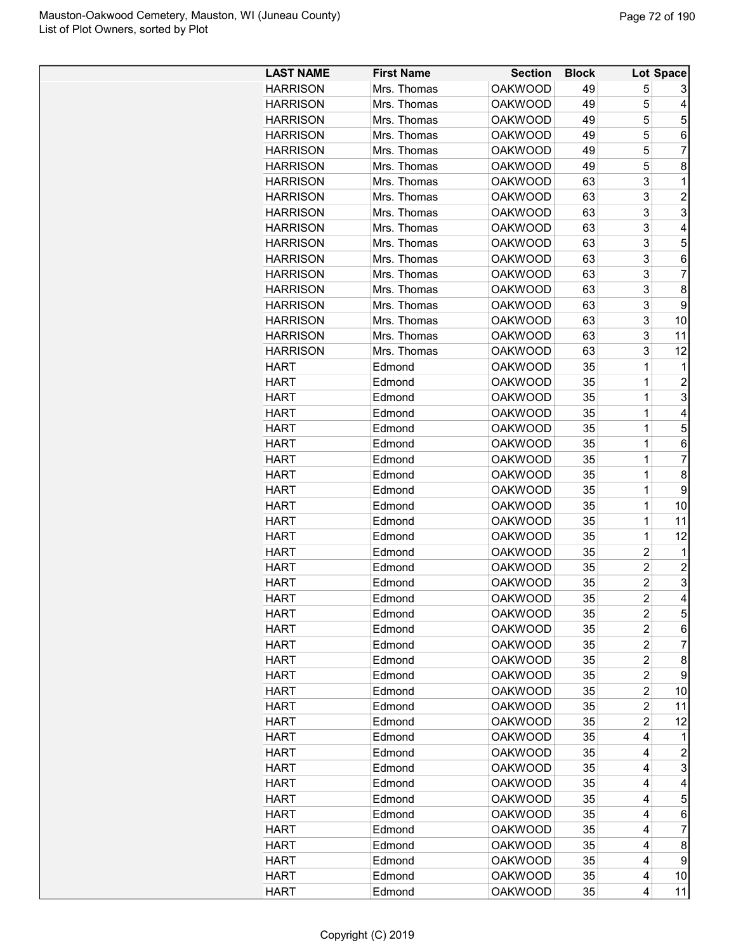| <b>LAST NAME</b>           | <b>First Name</b> | <b>Section</b>                   | <b>Block</b> |                                  | Lot Space      |
|----------------------------|-------------------|----------------------------------|--------------|----------------------------------|----------------|
| <b>HARRISON</b>            | Mrs. Thomas       | <b>OAKWOOD</b>                   | 49           | 5                                | 3              |
| <b>HARRISON</b>            | Mrs. Thomas       | <b>OAKWOOD</b>                   | 49           | 5                                | 4              |
| <b>HARRISON</b>            | Mrs. Thomas       | <b>OAKWOOD</b>                   | 49           | 5                                | 5              |
| <b>HARRISON</b>            | Mrs. Thomas       | <b>OAKWOOD</b>                   | 49           | 5                                | 6              |
| <b>HARRISON</b>            | Mrs. Thomas       | <b>OAKWOOD</b>                   | 49           | 5                                | 7              |
| <b>HARRISON</b>            | Mrs. Thomas       | <b>OAKWOOD</b>                   | 49           | 5                                | 8              |
| <b>HARRISON</b>            | Mrs. Thomas       | <b>OAKWOOD</b>                   | 63           | 3                                | 1              |
| <b>HARRISON</b>            | Mrs. Thomas       | <b>OAKWOOD</b>                   | 63           | 3                                | $\overline{c}$ |
| <b>HARRISON</b>            | Mrs. Thomas       | <b>OAKWOOD</b>                   | 63           | 3                                | 3              |
| <b>HARRISON</b>            | Mrs. Thomas       | <b>OAKWOOD</b>                   | 63           | 3                                | 4              |
| <b>HARRISON</b>            | Mrs. Thomas       | <b>OAKWOOD</b>                   | 63           | 3                                | 5              |
| <b>HARRISON</b>            | Mrs. Thomas       | <b>OAKWOOD</b>                   | 63           | 3                                | 6              |
| <b>HARRISON</b>            | Mrs. Thomas       | <b>OAKWOOD</b>                   | 63           | 3                                | $\overline{7}$ |
| <b>HARRISON</b>            | Mrs. Thomas       | <b>OAKWOOD</b>                   | 63           | 3                                | 8              |
| <b>HARRISON</b>            | Mrs. Thomas       | <b>OAKWOOD</b>                   | 63           | 3                                | 9              |
| <b>HARRISON</b>            | Mrs. Thomas       | <b>OAKWOOD</b>                   | 63           | 3                                | 10             |
| <b>HARRISON</b>            | Mrs. Thomas       | <b>OAKWOOD</b>                   | 63           | 3                                | 11             |
| <b>HARRISON</b>            | Mrs. Thomas       | <b>OAKWOOD</b>                   | 63           | 3                                | 12             |
| <b>HART</b>                | Edmond            | <b>OAKWOOD</b>                   | 35           | 1                                | 1              |
| <b>HART</b>                | Edmond            | <b>OAKWOOD</b>                   | 35           | $\overline{1}$                   | $\overline{c}$ |
| <b>HART</b>                | Edmond            | <b>OAKWOOD</b>                   | 35           | 1                                | 3              |
| <b>HART</b>                | Edmond            | <b>OAKWOOD</b>                   | 35           | 1                                | 4              |
| <b>HART</b>                | Edmond            | <b>OAKWOOD</b>                   | 35           | 1                                | 5              |
| <b>HART</b>                | Edmond            | <b>OAKWOOD</b>                   | 35           | 1                                | 6              |
| <b>HART</b>                | Edmond            | <b>OAKWOOD</b>                   | 35           | 1                                | 7              |
| <b>HART</b>                | Edmond            | <b>OAKWOOD</b>                   | 35           | 1                                | 8              |
|                            |                   |                                  | 35           | 1                                | 9              |
| <b>HART</b>                | Edmond            | <b>OAKWOOD</b>                   |              |                                  |                |
| <b>HART</b>                | Edmond            | <b>OAKWOOD</b>                   | 35           | 1                                | 10             |
| <b>HART</b><br><b>HART</b> | Edmond            | <b>OAKWOOD</b><br><b>OAKWOOD</b> | 35<br>35     | 1<br>$\overline{1}$              | 11             |
|                            | Edmond            |                                  |              |                                  | 12             |
| <b>HART</b><br><b>HART</b> | Edmond            | <b>OAKWOOD</b>                   | 35           | $\overline{c}$<br>$\overline{c}$ | 1              |
|                            | Edmond            | <b>OAKWOOD</b>                   | 35           | $\overline{c}$                   | $\overline{c}$ |
| <b>HART</b>                | Edmond            | <b>OAKWOOD</b>                   | 35           |                                  | 3<br>Δ         |
| <b>HART</b>                | Edmond            | <b>OAKWOOD</b>                   | 35           | $\overline{c}$                   |                |
| <b>HART</b>                | Edmond            | <b>OAKWOOD</b>                   | 35           | 2                                | 5              |
| <b>HART</b>                | Edmond            | <b>OAKWOOD</b>                   | 35           | 2                                | 6              |
| <b>HART</b>                | Edmond            | <b>OAKWOOD</b>                   | 35           | 2                                | 7              |
| <b>HART</b>                | Edmond            | <b>OAKWOOD</b>                   | 35           | 2                                | 8              |
| <b>HART</b>                | Edmond            | <b>OAKWOOD</b>                   | 35           | $\overline{c}$                   | 9              |
| <b>HART</b>                | Edmond            | <b>OAKWOOD</b>                   | 35           | $\overline{c}$                   | 10             |
| <b>HART</b>                | Edmond            | <b>OAKWOOD</b>                   | 35           | $\overline{c}$                   | 11             |
| <b>HART</b>                | Edmond            | <b>OAKWOOD</b>                   | 35           | $\overline{c}$                   | 12             |
| <b>HART</b>                | Edmond            | <b>OAKWOOD</b>                   | 35           | 4                                | 1              |
| <b>HART</b>                | Edmond            | <b>OAKWOOD</b>                   | 35           | 4                                | 2              |
| <b>HART</b>                | Edmond            | <b>OAKWOOD</b>                   | 35           | 4                                | 3              |
| <b>HART</b>                | Edmond            | <b>OAKWOOD</b>                   | 35           | 4                                | 4              |
| <b>HART</b>                | Edmond            | <b>OAKWOOD</b>                   | 35           | 4                                | 5              |
| <b>HART</b>                | Edmond            | <b>OAKWOOD</b>                   | 35           | 4                                | 6              |
| <b>HART</b>                | Edmond            | <b>OAKWOOD</b>                   | 35           | 4                                | 7              |
| <b>HART</b>                | Edmond            | <b>OAKWOOD</b>                   | 35           | 4                                | 8              |
| <b>HART</b>                | Edmond            | <b>OAKWOOD</b>                   | 35           | 4                                | 9              |
| <b>HART</b>                | Edmond            | <b>OAKWOOD</b>                   | 35           | 4                                | 10             |
| <b>HART</b>                | Edmond            | <b>OAKWOOD</b>                   | 35           | 4                                | 11             |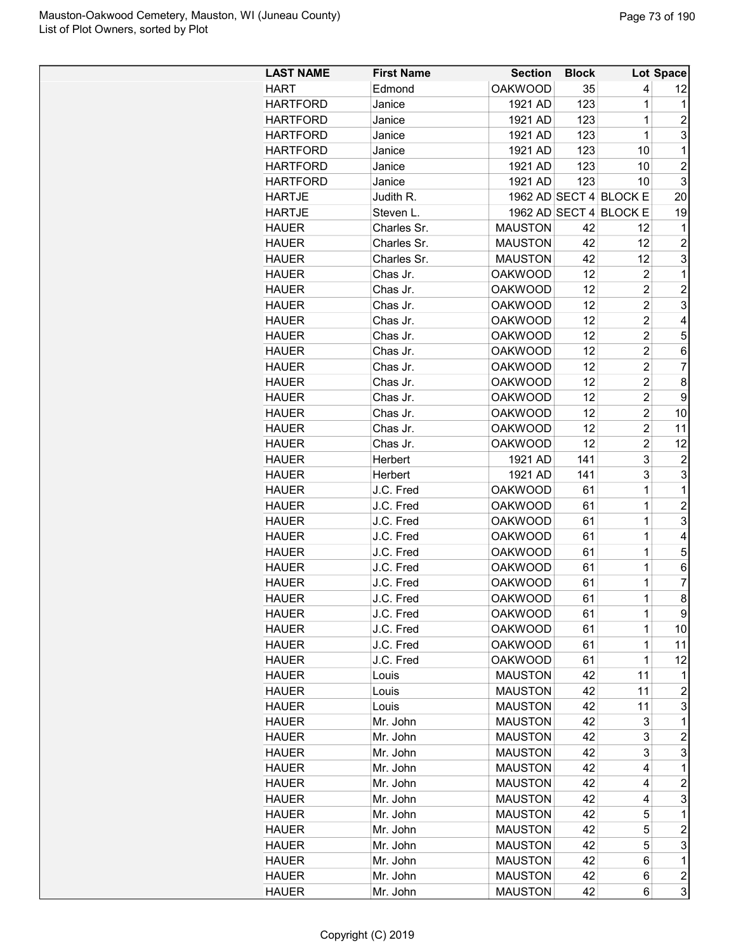| <b>LAST NAME</b>             | <b>First Name</b> | <b>Section</b> | <b>Block</b> |                        | Lot Space               |
|------------------------------|-------------------|----------------|--------------|------------------------|-------------------------|
| <b>HART</b>                  | Edmond            | <b>OAKWOOD</b> | 35           | 4                      | 12                      |
| <b>HARTFORD</b>              | Janice            | 1921 AD        | 123          | $\mathbf 1$            | 1                       |
| <b>HARTFORD</b>              | Janice            | 1921 AD        | 123          | 1                      | 2                       |
| <b>HARTFORD</b>              | Janice            | 1921 AD        | 123          | $\overline{1}$         | 3                       |
| <b>HARTFORD</b>              | Janice            | 1921 AD        | 123          | 10                     | 1                       |
| <b>HARTFORD</b>              | Janice            | 1921 AD        | 123          | 10                     | $\overline{c}$          |
| <b>HARTFORD</b>              | Janice            | 1921 AD        | 123          | 10                     | 3                       |
| <b>HARTJE</b>                | Judith R.         |                |              | 1962 AD SECT 4 BLOCK E | 20                      |
| <b>HARTJE</b>                | Steven L.         |                |              | 1962 AD SECT 4 BLOCK E | 19                      |
| <b>HAUER</b>                 | Charles Sr.       | <b>MAUSTON</b> | 42           | 12                     | 1                       |
| <b>HAUER</b>                 | Charles Sr.       | <b>MAUSTON</b> | 42           | 12                     | $\overline{2}$          |
| <b>HAUER</b>                 | Charles Sr.       | <b>MAUSTON</b> | 42           | 12                     | 3                       |
| <b>HAUER</b>                 | Chas Jr.          | <b>OAKWOOD</b> | 12           | $\overline{c}$         | 1                       |
| <b>HAUER</b>                 | Chas Jr.          | <b>OAKWOOD</b> | 12           | $\overline{2}$         | $\overline{c}$          |
| <b>HAUER</b>                 | Chas Jr.          | <b>OAKWOOD</b> | 12           | $\overline{2}$         | 3                       |
| <b>HAUER</b>                 | Chas Jr.          | <b>OAKWOOD</b> | 12           | $\overline{2}$         | 4                       |
| <b>HAUER</b>                 | Chas Jr.          | <b>OAKWOOD</b> | 12           | $\overline{2}$         | 5                       |
| <b>HAUER</b>                 | Chas Jr.          | <b>OAKWOOD</b> | 12           | $\overline{c}$         | 6                       |
| <b>HAUER</b>                 | Chas Jr.          | <b>OAKWOOD</b> | 12           | $\overline{2}$         | 7                       |
| <b>HAUER</b>                 | Chas Jr.          | <b>OAKWOOD</b> | 12           | $\overline{c}$         | 8                       |
| <b>HAUER</b>                 | Chas Jr.          | <b>OAKWOOD</b> | 12           | $\overline{c}$         | 9                       |
| <b>HAUER</b>                 | Chas Jr.          | <b>OAKWOOD</b> | 12           | $\overline{c}$         | 10                      |
| <b>HAUER</b>                 | Chas Jr.          | <b>OAKWOOD</b> | 12           | $\overline{2}$         | 11                      |
| <b>HAUER</b>                 | Chas Jr.          | <b>OAKWOOD</b> | 12           | $\overline{c}$         | 12                      |
| <b>HAUER</b>                 | Herbert           | 1921 AD        | 141          | 3                      | $\overline{2}$          |
| <b>HAUER</b>                 | Herbert           | 1921 AD        | 141          | 3                      | 3                       |
| <b>HAUER</b>                 | J.C. Fred         | <b>OAKWOOD</b> | 61           | $\mathbf 1$            | 1                       |
| <b>HAUER</b>                 | J.C. Fred         | <b>OAKWOOD</b> | 61           | 1                      | $\overline{c}$          |
| <b>HAUER</b>                 | J.C. Fred         | <b>OAKWOOD</b> | 61           | 1                      | 3                       |
| <b>HAUER</b>                 | J.C. Fred         | <b>OAKWOOD</b> | 61           | 1                      | 4                       |
| <b>HAUER</b>                 | J.C. Fred         | <b>OAKWOOD</b> | 61           | $\overline{1}$         | 5                       |
| <b>HAUER</b>                 | J.C. Fred         | <b>OAKWOOD</b> | 61           | $\overline{1}$         | 6                       |
| <b>HAUER</b>                 | J.C. Fred         | <b>OAKWOOD</b> | 61           | $\mathbf{1}$           | 7                       |
| <b>HAUER</b>                 | J.C. Fred         | <b>OAKWOOD</b> | 61           | $\mathbf 1$            | 8                       |
| <b>HAUER</b>                 | J.C. Fred         | <b>OAKWOOD</b> | 61           | 1                      | 9                       |
| <b>HAUER</b>                 | J.C. Fred         | <b>OAKWOOD</b> | 61           | 1                      | 10                      |
| <b>HAUER</b>                 | J.C. Fred         | <b>OAKWOOD</b> | 61           | 1                      | 11                      |
| <b>HAUER</b>                 | J.C. Fred         | <b>OAKWOOD</b> | 61           | 1                      | 12                      |
| <b>HAUER</b>                 | Louis             | <b>MAUSTON</b> | 42           | 11                     | 1                       |
| <b>HAUER</b>                 | Louis             | <b>MAUSTON</b> | 42           | 11                     | $\overline{2}$          |
| <b>HAUER</b>                 | Louis             | <b>MAUSTON</b> | 42           | 11                     | 3                       |
| <b>HAUER</b>                 | Mr. John          | <b>MAUSTON</b> | 42           | 3                      | 1                       |
| <b>HAUER</b>                 | Mr. John          | <b>MAUSTON</b> | 42           | 3                      | $\overline{c}$          |
|                              | Mr. John          | <b>MAUSTON</b> | 42           | 3                      | 3                       |
| <b>HAUER</b><br><b>HAUER</b> | Mr. John          | <b>MAUSTON</b> | 42           | 4                      | 1                       |
|                              |                   |                |              |                        |                         |
| <b>HAUER</b>                 | Mr. John          | <b>MAUSTON</b> | 42           | 4                      | $\overline{c}$<br>3     |
| <b>HAUER</b>                 | Mr. John          | <b>MAUSTON</b> | 42           | 4                      |                         |
| <b>HAUER</b>                 | Mr. John          | <b>MAUSTON</b> | 42           | 5                      | 1                       |
| <b>HAUER</b>                 | Mr. John          | <b>MAUSTON</b> | 42           | 5                      | $\overline{c}$          |
| <b>HAUER</b>                 | Mr. John          | <b>MAUSTON</b> | 42           | 5                      | 3                       |
| <b>HAUER</b>                 | Mr. John          | <b>MAUSTON</b> | 42           | 6                      | 1                       |
| <b>HAUER</b>                 | Mr. John          | <b>MAUSTON</b> | 42           | 6                      | $\overline{\mathbf{c}}$ |
| <b>HAUER</b>                 | Mr. John          | <b>MAUSTON</b> | 42           | 6                      | 3                       |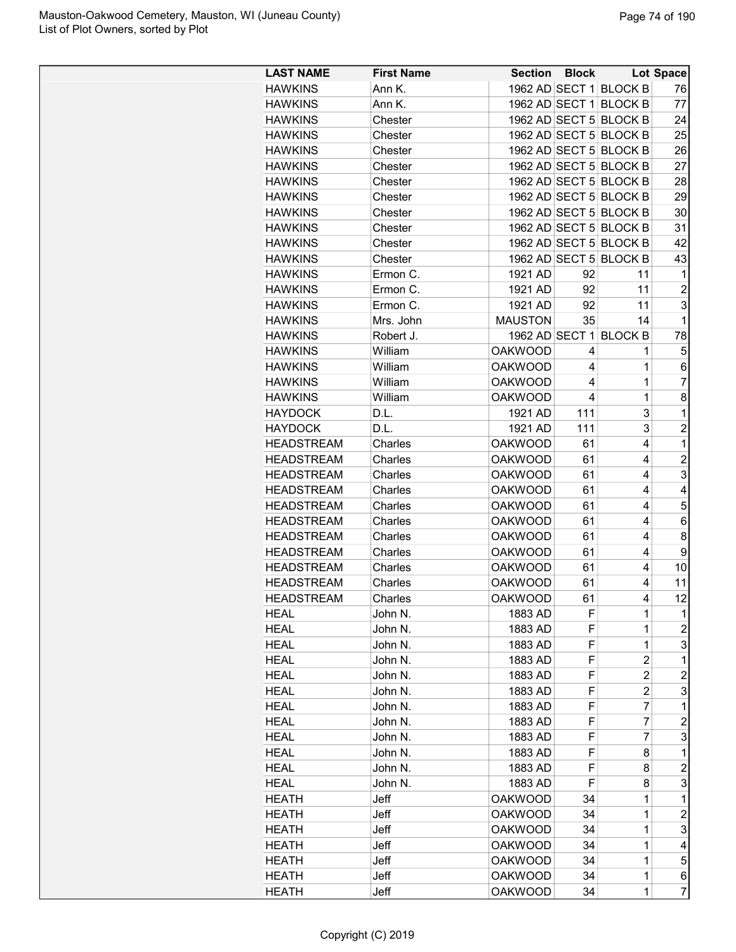| <b>LAST NAME</b>                       | <b>First Name</b>  | Section Block                    |          |                        | <b>Lot Space</b> |
|----------------------------------------|--------------------|----------------------------------|----------|------------------------|------------------|
| <b>HAWKINS</b>                         | Ann K.             |                                  |          | 1962 AD SECT 1 BLOCK B | 76               |
| <b>HAWKINS</b>                         | Ann K.             |                                  |          | 1962 AD SECT 1 BLOCK B | 77               |
| <b>HAWKINS</b>                         | Chester            |                                  |          | 1962 AD SECT 5 BLOCK B | 24               |
| <b>HAWKINS</b>                         | Chester            |                                  |          | 1962 AD SECT 5 BLOCK B | 25               |
| <b>HAWKINS</b>                         | Chester            |                                  |          | 1962 AD SECT 5 BLOCK B | 26               |
| <b>HAWKINS</b>                         | Chester            |                                  |          | 1962 AD SECT 5 BLOCK B | 27               |
| <b>HAWKINS</b>                         | Chester            |                                  |          | 1962 AD SECT 5 BLOCK B | 28               |
| <b>HAWKINS</b>                         | Chester            |                                  |          | 1962 AD SECT 5 BLOCK B | 29               |
| <b>HAWKINS</b>                         | Chester            |                                  |          | 1962 AD SECT 5 BLOCK B | 30               |
| <b>HAWKINS</b>                         | Chester            |                                  |          | 1962 AD SECT 5 BLOCK B | 31               |
| <b>HAWKINS</b>                         | Chester            |                                  |          | 1962 AD SECT 5 BLOCK B | 42               |
| <b>HAWKINS</b>                         | Chester            |                                  |          | 1962 AD SECT 5 BLOCK B | 43               |
| <b>HAWKINS</b>                         | Ermon C.           | 1921 AD                          | 92       | 11                     | 1                |
| <b>HAWKINS</b>                         | Ermon C.           | 1921 AD                          | 92       | 11                     | $\overline{c}$   |
| <b>HAWKINS</b>                         | Ermon C.           | 1921 AD                          | 92       | 11                     | 3                |
| <b>HAWKINS</b>                         | Mrs. John          | <b>MAUSTON</b>                   | 35       | 14                     | 1                |
| <b>HAWKINS</b>                         | Robert J.          |                                  |          | 1962 AD SECT 1 BLOCK B | 78               |
| <b>HAWKINS</b>                         | William            | <b>OAKWOOD</b>                   | 4        | 1                      | 5                |
| <b>HAWKINS</b>                         | William            | <b>OAKWOOD</b>                   | 4        | 1                      | 6                |
| <b>HAWKINS</b>                         | William            | <b>OAKWOOD</b>                   | 4        | $\overline{1}$         | $\overline{7}$   |
| <b>HAWKINS</b>                         | William            | <b>OAKWOOD</b>                   | 4        | $\overline{1}$         | 8                |
| <b>HAYDOCK</b>                         | D.L.               | 1921 AD                          | 111      | 3                      | 1                |
| <b>HAYDOCK</b>                         | D.L.               | 1921 AD                          | 111      | 3                      | $\overline{c}$   |
| <b>HEADSTREAM</b>                      | Charles            | <b>OAKWOOD</b>                   | 61       | 4                      | 1                |
| <b>HEADSTREAM</b>                      | Charles            | <b>OAKWOOD</b>                   | 61       | 4                      | $\overline{2}$   |
| <b>HEADSTREAM</b>                      | Charles            | <b>OAKWOOD</b>                   | 61       | 4                      | 3                |
| <b>HEADSTREAM</b>                      | Charles            | <b>OAKWOOD</b>                   | 61       | 4                      | 4                |
| <b>HEADSTREAM</b>                      | Charles            | <b>OAKWOOD</b>                   | 61       | 4                      | 5                |
| <b>HEADSTREAM</b>                      | Charles            | <b>OAKWOOD</b>                   | 61       | 4                      | 6                |
| <b>HEADSTREAM</b>                      | Charles            | <b>OAKWOOD</b>                   | 61       | 4                      | 8                |
|                                        |                    |                                  |          | 4                      |                  |
| <b>HEADSTREAM</b><br><b>HEADSTREAM</b> | Charles            | <b>OAKWOOD</b><br><b>OAKWOOD</b> | 61       | 4                      | 9                |
| <b>HEADSTREAM</b>                      | Charles<br>Charles | <b>OAKWOOD</b>                   | 61<br>61 | 4                      | 10<br>11         |
|                                        |                    |                                  | 61       | 4                      | 12               |
| <b>HEADSTREAM</b>                      | Charles            | <b>OAKWOOD</b>                   |          |                        |                  |
| HEAL                                   | John N.            | 1883 AD                          | F        | 1                      | 1                |
| <b>HEAL</b>                            | John N.            | 1883 AD                          | F<br>F   | 1<br>1                 | $\overline{c}$   |
| <b>HEAL</b>                            | John N.<br>John N. | 1883 AD                          |          |                        | 3<br>1           |
| <b>HEAL</b>                            |                    | 1883 AD                          | F        | 2                      |                  |
| <b>HEAL</b>                            | John N.            | 1883 AD                          | F        | $\overline{c}$         | $\overline{c}$   |
| <b>HEAL</b>                            | John N.            | 1883 AD                          | F        | $\overline{2}$         | 3                |
| <b>HEAL</b>                            | John N.            | 1883 AD                          | F        | 7                      | 1                |
| <b>HEAL</b>                            | John N.            | 1883 AD                          | F        | $\overline{7}$         | $\overline{c}$   |
| <b>HEAL</b>                            | John N.            | 1883 AD                          | F        | 7                      | 3                |
| <b>HEAL</b>                            | John N.            | 1883 AD                          | F        | 8                      | 1                |
| <b>HEAL</b>                            | John N.            | 1883 AD                          | F        | 8                      | 2                |
| HEAL                                   | John N.            | 1883 AD                          | F        | 8                      | 3                |
| HEATH                                  | Jeff               | <b>OAKWOOD</b>                   | 34       | 1                      | 1                |
| <b>HEATH</b>                           | Jeff               | <b>OAKWOOD</b>                   | 34       | 1                      | $\overline{c}$   |
| HEATH                                  | Jeff               | <b>OAKWOOD</b>                   | 34       | 1                      | 3                |
| HEATH                                  | Jeff               | <b>OAKWOOD</b>                   | 34       | $\mathbf 1$            | 4                |
| HEATH                                  | Jeff               | <b>OAKWOOD</b>                   | 34       | 1                      | 5                |
| <b>HEATH</b>                           | Jeff               | <b>OAKWOOD</b>                   | 34       | $\mathbf 1$            | 6                |
| HEATH                                  | Jeff               | <b>OAKWOOD</b>                   | 34       | 1                      | $\overline{7}$   |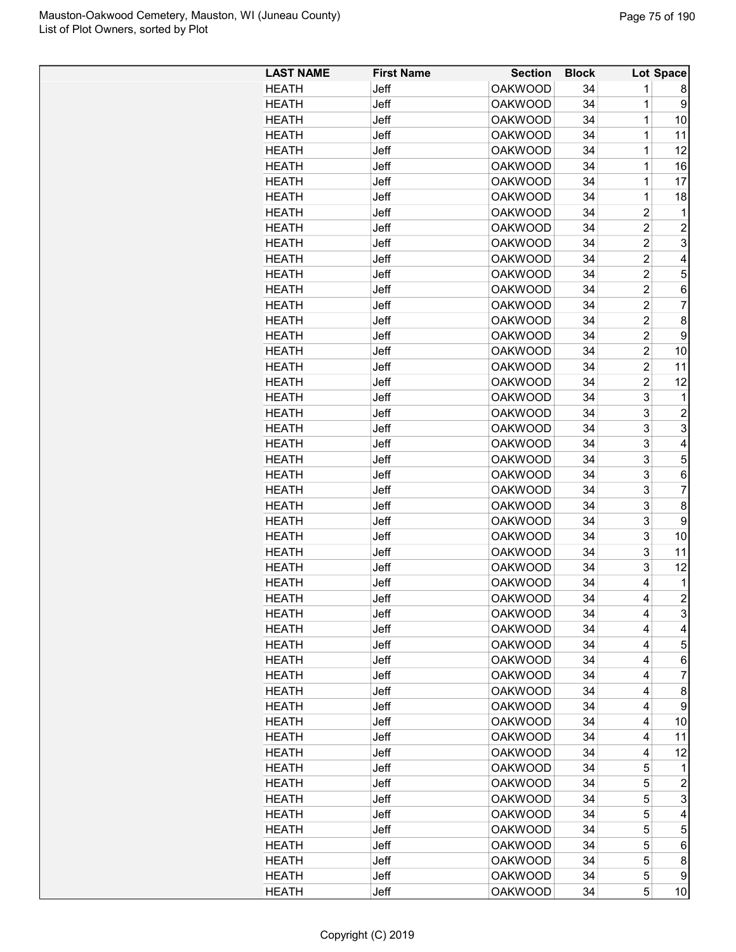| <b>LAST NAME</b> | <b>First Name</b> | <b>Section</b> | <b>Block</b> |                | Lot Space      |
|------------------|-------------------|----------------|--------------|----------------|----------------|
| HEATH            | Jeff              | <b>OAKWOOD</b> | 34           | 1              | 8              |
| <b>HEATH</b>     | Jeff              | <b>OAKWOOD</b> | 34           | 1              | 9              |
| <b>HEATH</b>     | Jeff              | <b>OAKWOOD</b> | 34           | 1              | 10             |
| <b>HEATH</b>     | Jeff              | <b>OAKWOOD</b> | 34           | 1              | 11             |
| <b>HEATH</b>     | Jeff              | <b>OAKWOOD</b> | 34           | 1              | 12             |
| HEATH            | Jeff              | <b>OAKWOOD</b> | 34           | 1              | 16             |
| <b>HEATH</b>     | Jeff              | <b>OAKWOOD</b> | 34           | 1              | 17             |
| <b>HEATH</b>     | Jeff              | <b>OAKWOOD</b> | 34           | 1              | 18             |
| <b>HEATH</b>     | Jeff              | <b>OAKWOOD</b> | 34           | $\overline{2}$ | 1              |
| <b>HEATH</b>     | Jeff              | <b>OAKWOOD</b> | 34           | $\overline{c}$ | 2              |
| <b>HEATH</b>     | Jeff              | <b>OAKWOOD</b> | 34           | $\overline{c}$ | 3              |
| <b>HEATH</b>     | Jeff              | <b>OAKWOOD</b> | 34           | 2              | 4              |
| <b>HEATH</b>     | Jeff              | <b>OAKWOOD</b> | 34           | 2              | 5              |
| <b>HEATH</b>     | Jeff              | <b>OAKWOOD</b> | 34           | 2              | 6              |
| <b>HEATH</b>     | Jeff              | <b>OAKWOOD</b> | 34           | $\overline{2}$ | 7              |
| <b>HEATH</b>     | Jeff              | <b>OAKWOOD</b> | 34           | $\overline{2}$ | 8              |
|                  | <b>Jeff</b>       |                | 34           | $\overline{2}$ |                |
| HEATH            |                   | <b>OAKWOOD</b> |              |                | 9              |
| <b>HEATH</b>     | Jeff              | <b>OAKWOOD</b> | 34           | 2              | 10             |
| <b>HEATH</b>     | Jeff              | <b>OAKWOOD</b> | 34           | 2              | 11             |
| <b>HEATH</b>     | Jeff              | <b>OAKWOOD</b> | 34           | 2              | 12             |
| HEATH            | Jeff              | <b>OAKWOOD</b> | 34           | 3              | 1              |
| <b>HEATH</b>     | Jeff              | <b>OAKWOOD</b> | 34           | 3              | $\overline{c}$ |
| <b>HEATH</b>     | Jeff              | <b>OAKWOOD</b> | 34           | 3              | 3              |
| <b>HEATH</b>     | Jeff              | <b>OAKWOOD</b> | 34           | 3              | 4              |
| <b>HEATH</b>     | Jeff              | <b>OAKWOOD</b> | 34           | 3              | 5              |
| <b>HEATH</b>     | Jeff              | <b>OAKWOOD</b> | 34           | 3              | 6              |
| <b>HEATH</b>     | Jeff              | <b>OAKWOOD</b> | 34           | 3              | 7              |
| <b>HEATH</b>     | Jeff              | <b>OAKWOOD</b> | 34           | 3              | 8              |
| <b>HEATH</b>     | Jeff              | <b>OAKWOOD</b> | 34           | 3              | 9              |
| <b>HEATH</b>     | Jeff              | <b>OAKWOOD</b> | 34           | 3              | 10             |
| <b>HEATH</b>     | <b>Jeff</b>       | <b>OAKWOOD</b> | 34           | 3              | 11             |
| <b>HEATH</b>     | Jeff              | <b>OAKWOOD</b> | 34           | 3              | 12             |
| <b>HEATH</b>     | Jeff              | <b>OAKWOOD</b> | 34           | 4              | 1              |
| <b>HEATH</b>     | Jeff              | <b>OAKWOOD</b> | 34           | 4              | $\mathbf{2}$   |
| <b>HEATH</b>     | Jeff              | <b>OAKWOOD</b> | 34           | 4              | 3              |
| <b>HEATH</b>     | Jeff              | <b>OAKWOOD</b> | 34           | 4              | 4              |
| <b>HEATH</b>     | Jeff              | <b>OAKWOOD</b> | 34           | 4              | 5              |
| <b>HEATH</b>     | Jeff              | <b>OAKWOOD</b> | 34           | 4              | 6              |
| <b>HEATH</b>     | Jeff              | <b>OAKWOOD</b> | 34           | 4              | 7              |
| <b>HEATH</b>     | Jeff              | <b>OAKWOOD</b> | 34           | 4              | 8              |
| <b>HEATH</b>     | Jeff              | <b>OAKWOOD</b> | 34           | 4              | 9              |
| <b>HEATH</b>     | Jeff              | <b>OAKWOOD</b> | 34           | 4              | 10             |
| <b>HEATH</b>     | Jeff              | <b>OAKWOOD</b> | 34           | 4              | 11             |
|                  | Jeff              |                | 34           | 4              |                |
| <b>HEATH</b>     |                   | <b>OAKWOOD</b> |              |                | 12             |
| <b>HEATH</b>     | Jeff              | <b>OAKWOOD</b> | 34           | 5              | 1              |
| <b>HEATH</b>     | Jeff              | <b>OAKWOOD</b> | 34           | 5              | $\overline{c}$ |
| <b>HEATH</b>     | Jeff              | <b>OAKWOOD</b> | 34           | 5              | 3              |
| <b>HEATH</b>     | Jeff              | <b>OAKWOOD</b> | 34           | 5              | 4              |
| <b>HEATH</b>     | Jeff              | <b>OAKWOOD</b> | 34           | 5              | 5              |
| <b>HEATH</b>     | Jeff              | <b>OAKWOOD</b> | 34           | 5              | 6              |
| <b>HEATH</b>     | Jeff              | <b>OAKWOOD</b> | 34           | 5              | 8              |
| <b>HEATH</b>     | Jeff              | <b>OAKWOOD</b> | 34           | 5              | 9              |
| <b>HEATH</b>     | Jeff              | <b>OAKWOOD</b> | 34           | 5              | 10             |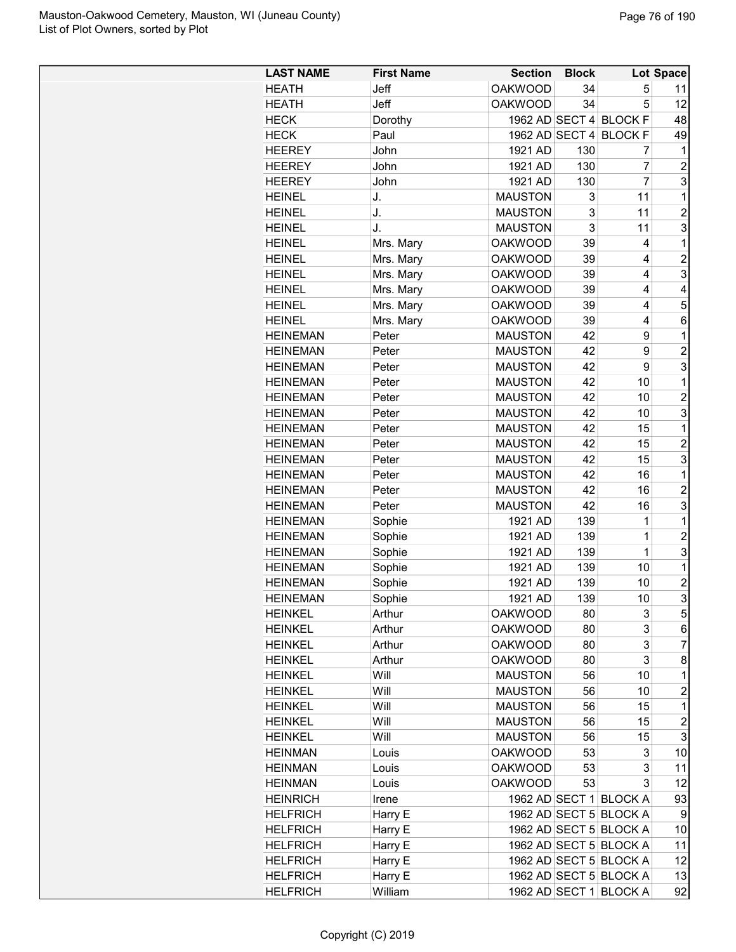| Jeff<br><b>OAKWOOD</b><br>5<br><b>HEATH</b><br>34<br>11<br>Jeff<br><b>OAKWOOD</b><br>5<br>12<br><b>HEATH</b><br>34<br><b>HECK</b><br>1962 AD SECT 4 BLOCK F<br>48<br>Dorothy<br>49<br><b>HECK</b><br>Paul<br>1962 AD SECT 4<br><b>BLOCK F</b><br><b>HEEREY</b><br>John<br>1921 AD<br>130<br>1<br>7<br>130<br>7<br>$\overline{2}$<br><b>HEEREY</b><br>1921 AD<br>John<br>$\overline{7}$<br>3<br><b>HEEREY</b><br>John<br>1921 AD<br>130<br><b>HEINEL</b><br>J.<br><b>MAUSTON</b><br>11<br>1<br>3<br>3<br>11<br>$\overline{2}$<br><b>HEINEL</b><br>J.<br><b>MAUSTON</b><br>3<br><b>HEINEL</b><br>J.<br><b>MAUSTON</b><br>3<br>11<br><b>HEINEL</b><br><b>OAKWOOD</b><br>39<br>1<br>Mrs. Mary<br>4<br>$\overline{c}$<br><b>HEINEL</b><br>Mrs. Mary<br><b>OAKWOOD</b><br>39<br>4<br>3<br>39<br>4<br><b>HEINEL</b><br>Mrs. Mary<br><b>OAKWOOD</b><br>Mrs. Mary<br><b>OAKWOOD</b><br>39<br>4<br><b>HEINEL</b><br>4<br>5<br><b>HEINEL</b><br>Mrs. Mary<br><b>OAKWOOD</b><br>39<br>4<br><b>OAKWOOD</b><br>4<br><b>HEINEL</b><br>Mrs. Mary<br>39<br>6<br><b>HEINEMAN</b><br>Peter<br><b>MAUSTON</b><br>42<br>9<br>1<br>$\overline{2}$<br><b>HEINEMAN</b><br><b>MAUSTON</b><br>42<br>9<br>Peter<br>3<br><b>MAUSTON</b><br>42<br>9<br><b>HEINEMAN</b><br>Peter<br>1<br><b>HEINEMAN</b><br><b>MAUSTON</b><br>42<br>10<br>Peter<br>$\overline{c}$<br><b>HEINEMAN</b><br><b>MAUSTON</b><br>42<br>10<br>Peter<br>3<br><b>MAUSTON</b><br>42<br>10<br><b>HEINEMAN</b><br>Peter<br>42<br>15<br>1<br><b>HEINEMAN</b><br><b>MAUSTON</b><br>Peter<br><b>HEINEMAN</b><br><b>MAUSTON</b><br>42<br>15<br>$\overline{2}$<br>Peter<br>3<br><b>HEINEMAN</b><br><b>MAUSTON</b><br>42<br>Peter<br>15<br>1<br><b>HEINEMAN</b><br><b>MAUSTON</b><br>42<br>16<br>Peter<br>$\overline{2}$<br><b>MAUSTON</b><br>42<br>16<br><b>HEINEMAN</b><br>Peter<br>3<br><b>MAUSTON</b><br>42<br>16<br><b>HEINEMAN</b><br>Peter<br>139<br>1<br>1<br><b>HEINEMAN</b><br>Sophie<br>1921 AD<br>$\overline{1}$<br>$\overline{c}$<br><b>HEINEMAN</b><br>Sophie<br>139<br>1921 AD<br>3<br>$\overline{1}$<br><b>HEINEMAN</b><br>Sophie<br>1921 AD<br>139<br><b>HEINEMAN</b><br>Sophie<br>1<br>1921 AD<br>139<br>10<br>$\overline{2}$<br><b>HEINEMAN</b><br>Sophie<br>1921 AD<br>139<br>10<br>$\overline{3}$<br>Sophie<br>139<br>10<br>1921 AD<br><b>HEINEMAN</b><br>$\mathbf 5$<br>3<br><b>HEINKEL</b><br>Arthur<br>OAKWOOD<br>80<br>3<br><b>HEINKEL</b><br>Arthur<br><b>OAKWOOD</b><br>80<br>6<br>3<br>$\overline{7}$<br><b>HEINKEL</b><br>Arthur<br><b>OAKWOOD</b><br>80<br>3<br><b>HEINKEL</b><br>Arthur<br><b>OAKWOOD</b><br>80<br>8<br><b>HEINKEL</b><br>Will<br><b>MAUSTON</b><br>56<br>1<br>10<br>$\overline{c}$<br><b>HEINKEL</b><br>Will<br><b>MAUSTON</b><br>56<br>10<br>$\mathbf 1$<br>Will<br><b>MAUSTON</b><br>15<br><b>HEINKEL</b><br>56<br>$\boldsymbol{2}$<br>Will<br><b>MAUSTON</b><br>15<br><b>HEINKEL</b><br>56<br>3<br><b>HEINKEL</b><br>Will<br><b>MAUSTON</b><br>56<br>15<br>53<br>3<br>10<br><b>HEINMAN</b><br><b>OAKWOOD</b><br>Louis<br>3<br><b>HEINMAN</b><br><b>OAKWOOD</b><br>53<br>11<br>Louis<br><b>HEINMAN</b><br><b>OAKWOOD</b><br>53<br>3<br>12<br>Louis<br>Irene<br>1962 AD SECT 1 BLOCK A<br>93<br><b>HEINRICH</b><br>Harry E<br>1962 AD SECT 5 BLOCK A<br><b>HELFRICH</b><br>9<br>1962 AD SECT 5 BLOCK A<br><b>HELFRICH</b><br>Harry E<br>10<br>Harry E<br>1962 AD SECT 5 BLOCK A<br>11<br><b>HELFRICH</b><br>1962 AD SECT 5 BLOCK A<br>12<br><b>HELFRICH</b><br>Harry E<br>1962 AD SECT 5 BLOCK A<br><b>HELFRICH</b><br>Harry E<br>13<br><b>HELFRICH</b><br>William<br>1962 AD SECT 1 BLOCK A<br>92 | <b>LAST NAME</b> | <b>First Name</b> | <b>Section</b> | <b>Block</b> | Lot Space |
|------------------------------------------------------------------------------------------------------------------------------------------------------------------------------------------------------------------------------------------------------------------------------------------------------------------------------------------------------------------------------------------------------------------------------------------------------------------------------------------------------------------------------------------------------------------------------------------------------------------------------------------------------------------------------------------------------------------------------------------------------------------------------------------------------------------------------------------------------------------------------------------------------------------------------------------------------------------------------------------------------------------------------------------------------------------------------------------------------------------------------------------------------------------------------------------------------------------------------------------------------------------------------------------------------------------------------------------------------------------------------------------------------------------------------------------------------------------------------------------------------------------------------------------------------------------------------------------------------------------------------------------------------------------------------------------------------------------------------------------------------------------------------------------------------------------------------------------------------------------------------------------------------------------------------------------------------------------------------------------------------------------------------------------------------------------------------------------------------------------------------------------------------------------------------------------------------------------------------------------------------------------------------------------------------------------------------------------------------------------------------------------------------------------------------------------------------------------------------------------------------------------------------------------------------------------------------------------------------------------------------------------------------------------------------------------------------------------------------------------------------------------------------------------------------------------------------------------------------------------------------------------------------------------------------------------------------------------------------------------------------------------------------------------------------------------------------------------------------------------------------------------------------------------------------------------------------------------------------------------------------------------------------------------------------------------------------------------------------------------------------------------------------------------------------------------------------------------------------------------------------------------------------------------------------------------------------------|------------------|-------------------|----------------|--------------|-----------|
|                                                                                                                                                                                                                                                                                                                                                                                                                                                                                                                                                                                                                                                                                                                                                                                                                                                                                                                                                                                                                                                                                                                                                                                                                                                                                                                                                                                                                                                                                                                                                                                                                                                                                                                                                                                                                                                                                                                                                                                                                                                                                                                                                                                                                                                                                                                                                                                                                                                                                                                                                                                                                                                                                                                                                                                                                                                                                                                                                                                                                                                                                                                                                                                                                                                                                                                                                                                                                                                                                                                                                                                    |                  |                   |                |              |           |
|                                                                                                                                                                                                                                                                                                                                                                                                                                                                                                                                                                                                                                                                                                                                                                                                                                                                                                                                                                                                                                                                                                                                                                                                                                                                                                                                                                                                                                                                                                                                                                                                                                                                                                                                                                                                                                                                                                                                                                                                                                                                                                                                                                                                                                                                                                                                                                                                                                                                                                                                                                                                                                                                                                                                                                                                                                                                                                                                                                                                                                                                                                                                                                                                                                                                                                                                                                                                                                                                                                                                                                                    |                  |                   |                |              |           |
|                                                                                                                                                                                                                                                                                                                                                                                                                                                                                                                                                                                                                                                                                                                                                                                                                                                                                                                                                                                                                                                                                                                                                                                                                                                                                                                                                                                                                                                                                                                                                                                                                                                                                                                                                                                                                                                                                                                                                                                                                                                                                                                                                                                                                                                                                                                                                                                                                                                                                                                                                                                                                                                                                                                                                                                                                                                                                                                                                                                                                                                                                                                                                                                                                                                                                                                                                                                                                                                                                                                                                                                    |                  |                   |                |              |           |
|                                                                                                                                                                                                                                                                                                                                                                                                                                                                                                                                                                                                                                                                                                                                                                                                                                                                                                                                                                                                                                                                                                                                                                                                                                                                                                                                                                                                                                                                                                                                                                                                                                                                                                                                                                                                                                                                                                                                                                                                                                                                                                                                                                                                                                                                                                                                                                                                                                                                                                                                                                                                                                                                                                                                                                                                                                                                                                                                                                                                                                                                                                                                                                                                                                                                                                                                                                                                                                                                                                                                                                                    |                  |                   |                |              |           |
|                                                                                                                                                                                                                                                                                                                                                                                                                                                                                                                                                                                                                                                                                                                                                                                                                                                                                                                                                                                                                                                                                                                                                                                                                                                                                                                                                                                                                                                                                                                                                                                                                                                                                                                                                                                                                                                                                                                                                                                                                                                                                                                                                                                                                                                                                                                                                                                                                                                                                                                                                                                                                                                                                                                                                                                                                                                                                                                                                                                                                                                                                                                                                                                                                                                                                                                                                                                                                                                                                                                                                                                    |                  |                   |                |              |           |
|                                                                                                                                                                                                                                                                                                                                                                                                                                                                                                                                                                                                                                                                                                                                                                                                                                                                                                                                                                                                                                                                                                                                                                                                                                                                                                                                                                                                                                                                                                                                                                                                                                                                                                                                                                                                                                                                                                                                                                                                                                                                                                                                                                                                                                                                                                                                                                                                                                                                                                                                                                                                                                                                                                                                                                                                                                                                                                                                                                                                                                                                                                                                                                                                                                                                                                                                                                                                                                                                                                                                                                                    |                  |                   |                |              |           |
|                                                                                                                                                                                                                                                                                                                                                                                                                                                                                                                                                                                                                                                                                                                                                                                                                                                                                                                                                                                                                                                                                                                                                                                                                                                                                                                                                                                                                                                                                                                                                                                                                                                                                                                                                                                                                                                                                                                                                                                                                                                                                                                                                                                                                                                                                                                                                                                                                                                                                                                                                                                                                                                                                                                                                                                                                                                                                                                                                                                                                                                                                                                                                                                                                                                                                                                                                                                                                                                                                                                                                                                    |                  |                   |                |              |           |
|                                                                                                                                                                                                                                                                                                                                                                                                                                                                                                                                                                                                                                                                                                                                                                                                                                                                                                                                                                                                                                                                                                                                                                                                                                                                                                                                                                                                                                                                                                                                                                                                                                                                                                                                                                                                                                                                                                                                                                                                                                                                                                                                                                                                                                                                                                                                                                                                                                                                                                                                                                                                                                                                                                                                                                                                                                                                                                                                                                                                                                                                                                                                                                                                                                                                                                                                                                                                                                                                                                                                                                                    |                  |                   |                |              |           |
|                                                                                                                                                                                                                                                                                                                                                                                                                                                                                                                                                                                                                                                                                                                                                                                                                                                                                                                                                                                                                                                                                                                                                                                                                                                                                                                                                                                                                                                                                                                                                                                                                                                                                                                                                                                                                                                                                                                                                                                                                                                                                                                                                                                                                                                                                                                                                                                                                                                                                                                                                                                                                                                                                                                                                                                                                                                                                                                                                                                                                                                                                                                                                                                                                                                                                                                                                                                                                                                                                                                                                                                    |                  |                   |                |              |           |
|                                                                                                                                                                                                                                                                                                                                                                                                                                                                                                                                                                                                                                                                                                                                                                                                                                                                                                                                                                                                                                                                                                                                                                                                                                                                                                                                                                                                                                                                                                                                                                                                                                                                                                                                                                                                                                                                                                                                                                                                                                                                                                                                                                                                                                                                                                                                                                                                                                                                                                                                                                                                                                                                                                                                                                                                                                                                                                                                                                                                                                                                                                                                                                                                                                                                                                                                                                                                                                                                                                                                                                                    |                  |                   |                |              |           |
|                                                                                                                                                                                                                                                                                                                                                                                                                                                                                                                                                                                                                                                                                                                                                                                                                                                                                                                                                                                                                                                                                                                                                                                                                                                                                                                                                                                                                                                                                                                                                                                                                                                                                                                                                                                                                                                                                                                                                                                                                                                                                                                                                                                                                                                                                                                                                                                                                                                                                                                                                                                                                                                                                                                                                                                                                                                                                                                                                                                                                                                                                                                                                                                                                                                                                                                                                                                                                                                                                                                                                                                    |                  |                   |                |              |           |
|                                                                                                                                                                                                                                                                                                                                                                                                                                                                                                                                                                                                                                                                                                                                                                                                                                                                                                                                                                                                                                                                                                                                                                                                                                                                                                                                                                                                                                                                                                                                                                                                                                                                                                                                                                                                                                                                                                                                                                                                                                                                                                                                                                                                                                                                                                                                                                                                                                                                                                                                                                                                                                                                                                                                                                                                                                                                                                                                                                                                                                                                                                                                                                                                                                                                                                                                                                                                                                                                                                                                                                                    |                  |                   |                |              |           |
|                                                                                                                                                                                                                                                                                                                                                                                                                                                                                                                                                                                                                                                                                                                                                                                                                                                                                                                                                                                                                                                                                                                                                                                                                                                                                                                                                                                                                                                                                                                                                                                                                                                                                                                                                                                                                                                                                                                                                                                                                                                                                                                                                                                                                                                                                                                                                                                                                                                                                                                                                                                                                                                                                                                                                                                                                                                                                                                                                                                                                                                                                                                                                                                                                                                                                                                                                                                                                                                                                                                                                                                    |                  |                   |                |              |           |
|                                                                                                                                                                                                                                                                                                                                                                                                                                                                                                                                                                                                                                                                                                                                                                                                                                                                                                                                                                                                                                                                                                                                                                                                                                                                                                                                                                                                                                                                                                                                                                                                                                                                                                                                                                                                                                                                                                                                                                                                                                                                                                                                                                                                                                                                                                                                                                                                                                                                                                                                                                                                                                                                                                                                                                                                                                                                                                                                                                                                                                                                                                                                                                                                                                                                                                                                                                                                                                                                                                                                                                                    |                  |                   |                |              |           |
|                                                                                                                                                                                                                                                                                                                                                                                                                                                                                                                                                                                                                                                                                                                                                                                                                                                                                                                                                                                                                                                                                                                                                                                                                                                                                                                                                                                                                                                                                                                                                                                                                                                                                                                                                                                                                                                                                                                                                                                                                                                                                                                                                                                                                                                                                                                                                                                                                                                                                                                                                                                                                                                                                                                                                                                                                                                                                                                                                                                                                                                                                                                                                                                                                                                                                                                                                                                                                                                                                                                                                                                    |                  |                   |                |              |           |
|                                                                                                                                                                                                                                                                                                                                                                                                                                                                                                                                                                                                                                                                                                                                                                                                                                                                                                                                                                                                                                                                                                                                                                                                                                                                                                                                                                                                                                                                                                                                                                                                                                                                                                                                                                                                                                                                                                                                                                                                                                                                                                                                                                                                                                                                                                                                                                                                                                                                                                                                                                                                                                                                                                                                                                                                                                                                                                                                                                                                                                                                                                                                                                                                                                                                                                                                                                                                                                                                                                                                                                                    |                  |                   |                |              |           |
|                                                                                                                                                                                                                                                                                                                                                                                                                                                                                                                                                                                                                                                                                                                                                                                                                                                                                                                                                                                                                                                                                                                                                                                                                                                                                                                                                                                                                                                                                                                                                                                                                                                                                                                                                                                                                                                                                                                                                                                                                                                                                                                                                                                                                                                                                                                                                                                                                                                                                                                                                                                                                                                                                                                                                                                                                                                                                                                                                                                                                                                                                                                                                                                                                                                                                                                                                                                                                                                                                                                                                                                    |                  |                   |                |              |           |
|                                                                                                                                                                                                                                                                                                                                                                                                                                                                                                                                                                                                                                                                                                                                                                                                                                                                                                                                                                                                                                                                                                                                                                                                                                                                                                                                                                                                                                                                                                                                                                                                                                                                                                                                                                                                                                                                                                                                                                                                                                                                                                                                                                                                                                                                                                                                                                                                                                                                                                                                                                                                                                                                                                                                                                                                                                                                                                                                                                                                                                                                                                                                                                                                                                                                                                                                                                                                                                                                                                                                                                                    |                  |                   |                |              |           |
|                                                                                                                                                                                                                                                                                                                                                                                                                                                                                                                                                                                                                                                                                                                                                                                                                                                                                                                                                                                                                                                                                                                                                                                                                                                                                                                                                                                                                                                                                                                                                                                                                                                                                                                                                                                                                                                                                                                                                                                                                                                                                                                                                                                                                                                                                                                                                                                                                                                                                                                                                                                                                                                                                                                                                                                                                                                                                                                                                                                                                                                                                                                                                                                                                                                                                                                                                                                                                                                                                                                                                                                    |                  |                   |                |              |           |
|                                                                                                                                                                                                                                                                                                                                                                                                                                                                                                                                                                                                                                                                                                                                                                                                                                                                                                                                                                                                                                                                                                                                                                                                                                                                                                                                                                                                                                                                                                                                                                                                                                                                                                                                                                                                                                                                                                                                                                                                                                                                                                                                                                                                                                                                                                                                                                                                                                                                                                                                                                                                                                                                                                                                                                                                                                                                                                                                                                                                                                                                                                                                                                                                                                                                                                                                                                                                                                                                                                                                                                                    |                  |                   |                |              |           |
|                                                                                                                                                                                                                                                                                                                                                                                                                                                                                                                                                                                                                                                                                                                                                                                                                                                                                                                                                                                                                                                                                                                                                                                                                                                                                                                                                                                                                                                                                                                                                                                                                                                                                                                                                                                                                                                                                                                                                                                                                                                                                                                                                                                                                                                                                                                                                                                                                                                                                                                                                                                                                                                                                                                                                                                                                                                                                                                                                                                                                                                                                                                                                                                                                                                                                                                                                                                                                                                                                                                                                                                    |                  |                   |                |              |           |
|                                                                                                                                                                                                                                                                                                                                                                                                                                                                                                                                                                                                                                                                                                                                                                                                                                                                                                                                                                                                                                                                                                                                                                                                                                                                                                                                                                                                                                                                                                                                                                                                                                                                                                                                                                                                                                                                                                                                                                                                                                                                                                                                                                                                                                                                                                                                                                                                                                                                                                                                                                                                                                                                                                                                                                                                                                                                                                                                                                                                                                                                                                                                                                                                                                                                                                                                                                                                                                                                                                                                                                                    |                  |                   |                |              |           |
|                                                                                                                                                                                                                                                                                                                                                                                                                                                                                                                                                                                                                                                                                                                                                                                                                                                                                                                                                                                                                                                                                                                                                                                                                                                                                                                                                                                                                                                                                                                                                                                                                                                                                                                                                                                                                                                                                                                                                                                                                                                                                                                                                                                                                                                                                                                                                                                                                                                                                                                                                                                                                                                                                                                                                                                                                                                                                                                                                                                                                                                                                                                                                                                                                                                                                                                                                                                                                                                                                                                                                                                    |                  |                   |                |              |           |
|                                                                                                                                                                                                                                                                                                                                                                                                                                                                                                                                                                                                                                                                                                                                                                                                                                                                                                                                                                                                                                                                                                                                                                                                                                                                                                                                                                                                                                                                                                                                                                                                                                                                                                                                                                                                                                                                                                                                                                                                                                                                                                                                                                                                                                                                                                                                                                                                                                                                                                                                                                                                                                                                                                                                                                                                                                                                                                                                                                                                                                                                                                                                                                                                                                                                                                                                                                                                                                                                                                                                                                                    |                  |                   |                |              |           |
|                                                                                                                                                                                                                                                                                                                                                                                                                                                                                                                                                                                                                                                                                                                                                                                                                                                                                                                                                                                                                                                                                                                                                                                                                                                                                                                                                                                                                                                                                                                                                                                                                                                                                                                                                                                                                                                                                                                                                                                                                                                                                                                                                                                                                                                                                                                                                                                                                                                                                                                                                                                                                                                                                                                                                                                                                                                                                                                                                                                                                                                                                                                                                                                                                                                                                                                                                                                                                                                                                                                                                                                    |                  |                   |                |              |           |
|                                                                                                                                                                                                                                                                                                                                                                                                                                                                                                                                                                                                                                                                                                                                                                                                                                                                                                                                                                                                                                                                                                                                                                                                                                                                                                                                                                                                                                                                                                                                                                                                                                                                                                                                                                                                                                                                                                                                                                                                                                                                                                                                                                                                                                                                                                                                                                                                                                                                                                                                                                                                                                                                                                                                                                                                                                                                                                                                                                                                                                                                                                                                                                                                                                                                                                                                                                                                                                                                                                                                                                                    |                  |                   |                |              |           |
|                                                                                                                                                                                                                                                                                                                                                                                                                                                                                                                                                                                                                                                                                                                                                                                                                                                                                                                                                                                                                                                                                                                                                                                                                                                                                                                                                                                                                                                                                                                                                                                                                                                                                                                                                                                                                                                                                                                                                                                                                                                                                                                                                                                                                                                                                                                                                                                                                                                                                                                                                                                                                                                                                                                                                                                                                                                                                                                                                                                                                                                                                                                                                                                                                                                                                                                                                                                                                                                                                                                                                                                    |                  |                   |                |              |           |
|                                                                                                                                                                                                                                                                                                                                                                                                                                                                                                                                                                                                                                                                                                                                                                                                                                                                                                                                                                                                                                                                                                                                                                                                                                                                                                                                                                                                                                                                                                                                                                                                                                                                                                                                                                                                                                                                                                                                                                                                                                                                                                                                                                                                                                                                                                                                                                                                                                                                                                                                                                                                                                                                                                                                                                                                                                                                                                                                                                                                                                                                                                                                                                                                                                                                                                                                                                                                                                                                                                                                                                                    |                  |                   |                |              |           |
|                                                                                                                                                                                                                                                                                                                                                                                                                                                                                                                                                                                                                                                                                                                                                                                                                                                                                                                                                                                                                                                                                                                                                                                                                                                                                                                                                                                                                                                                                                                                                                                                                                                                                                                                                                                                                                                                                                                                                                                                                                                                                                                                                                                                                                                                                                                                                                                                                                                                                                                                                                                                                                                                                                                                                                                                                                                                                                                                                                                                                                                                                                                                                                                                                                                                                                                                                                                                                                                                                                                                                                                    |                  |                   |                |              |           |
|                                                                                                                                                                                                                                                                                                                                                                                                                                                                                                                                                                                                                                                                                                                                                                                                                                                                                                                                                                                                                                                                                                                                                                                                                                                                                                                                                                                                                                                                                                                                                                                                                                                                                                                                                                                                                                                                                                                                                                                                                                                                                                                                                                                                                                                                                                                                                                                                                                                                                                                                                                                                                                                                                                                                                                                                                                                                                                                                                                                                                                                                                                                                                                                                                                                                                                                                                                                                                                                                                                                                                                                    |                  |                   |                |              |           |
|                                                                                                                                                                                                                                                                                                                                                                                                                                                                                                                                                                                                                                                                                                                                                                                                                                                                                                                                                                                                                                                                                                                                                                                                                                                                                                                                                                                                                                                                                                                                                                                                                                                                                                                                                                                                                                                                                                                                                                                                                                                                                                                                                                                                                                                                                                                                                                                                                                                                                                                                                                                                                                                                                                                                                                                                                                                                                                                                                                                                                                                                                                                                                                                                                                                                                                                                                                                                                                                                                                                                                                                    |                  |                   |                |              |           |
|                                                                                                                                                                                                                                                                                                                                                                                                                                                                                                                                                                                                                                                                                                                                                                                                                                                                                                                                                                                                                                                                                                                                                                                                                                                                                                                                                                                                                                                                                                                                                                                                                                                                                                                                                                                                                                                                                                                                                                                                                                                                                                                                                                                                                                                                                                                                                                                                                                                                                                                                                                                                                                                                                                                                                                                                                                                                                                                                                                                                                                                                                                                                                                                                                                                                                                                                                                                                                                                                                                                                                                                    |                  |                   |                |              |           |
|                                                                                                                                                                                                                                                                                                                                                                                                                                                                                                                                                                                                                                                                                                                                                                                                                                                                                                                                                                                                                                                                                                                                                                                                                                                                                                                                                                                                                                                                                                                                                                                                                                                                                                                                                                                                                                                                                                                                                                                                                                                                                                                                                                                                                                                                                                                                                                                                                                                                                                                                                                                                                                                                                                                                                                                                                                                                                                                                                                                                                                                                                                                                                                                                                                                                                                                                                                                                                                                                                                                                                                                    |                  |                   |                |              |           |
|                                                                                                                                                                                                                                                                                                                                                                                                                                                                                                                                                                                                                                                                                                                                                                                                                                                                                                                                                                                                                                                                                                                                                                                                                                                                                                                                                                                                                                                                                                                                                                                                                                                                                                                                                                                                                                                                                                                                                                                                                                                                                                                                                                                                                                                                                                                                                                                                                                                                                                                                                                                                                                                                                                                                                                                                                                                                                                                                                                                                                                                                                                                                                                                                                                                                                                                                                                                                                                                                                                                                                                                    |                  |                   |                |              |           |
|                                                                                                                                                                                                                                                                                                                                                                                                                                                                                                                                                                                                                                                                                                                                                                                                                                                                                                                                                                                                                                                                                                                                                                                                                                                                                                                                                                                                                                                                                                                                                                                                                                                                                                                                                                                                                                                                                                                                                                                                                                                                                                                                                                                                                                                                                                                                                                                                                                                                                                                                                                                                                                                                                                                                                                                                                                                                                                                                                                                                                                                                                                                                                                                                                                                                                                                                                                                                                                                                                                                                                                                    |                  |                   |                |              |           |
|                                                                                                                                                                                                                                                                                                                                                                                                                                                                                                                                                                                                                                                                                                                                                                                                                                                                                                                                                                                                                                                                                                                                                                                                                                                                                                                                                                                                                                                                                                                                                                                                                                                                                                                                                                                                                                                                                                                                                                                                                                                                                                                                                                                                                                                                                                                                                                                                                                                                                                                                                                                                                                                                                                                                                                                                                                                                                                                                                                                                                                                                                                                                                                                                                                                                                                                                                                                                                                                                                                                                                                                    |                  |                   |                |              |           |
|                                                                                                                                                                                                                                                                                                                                                                                                                                                                                                                                                                                                                                                                                                                                                                                                                                                                                                                                                                                                                                                                                                                                                                                                                                                                                                                                                                                                                                                                                                                                                                                                                                                                                                                                                                                                                                                                                                                                                                                                                                                                                                                                                                                                                                                                                                                                                                                                                                                                                                                                                                                                                                                                                                                                                                                                                                                                                                                                                                                                                                                                                                                                                                                                                                                                                                                                                                                                                                                                                                                                                                                    |                  |                   |                |              |           |
|                                                                                                                                                                                                                                                                                                                                                                                                                                                                                                                                                                                                                                                                                                                                                                                                                                                                                                                                                                                                                                                                                                                                                                                                                                                                                                                                                                                                                                                                                                                                                                                                                                                                                                                                                                                                                                                                                                                                                                                                                                                                                                                                                                                                                                                                                                                                                                                                                                                                                                                                                                                                                                                                                                                                                                                                                                                                                                                                                                                                                                                                                                                                                                                                                                                                                                                                                                                                                                                                                                                                                                                    |                  |                   |                |              |           |
|                                                                                                                                                                                                                                                                                                                                                                                                                                                                                                                                                                                                                                                                                                                                                                                                                                                                                                                                                                                                                                                                                                                                                                                                                                                                                                                                                                                                                                                                                                                                                                                                                                                                                                                                                                                                                                                                                                                                                                                                                                                                                                                                                                                                                                                                                                                                                                                                                                                                                                                                                                                                                                                                                                                                                                                                                                                                                                                                                                                                                                                                                                                                                                                                                                                                                                                                                                                                                                                                                                                                                                                    |                  |                   |                |              |           |
|                                                                                                                                                                                                                                                                                                                                                                                                                                                                                                                                                                                                                                                                                                                                                                                                                                                                                                                                                                                                                                                                                                                                                                                                                                                                                                                                                                                                                                                                                                                                                                                                                                                                                                                                                                                                                                                                                                                                                                                                                                                                                                                                                                                                                                                                                                                                                                                                                                                                                                                                                                                                                                                                                                                                                                                                                                                                                                                                                                                                                                                                                                                                                                                                                                                                                                                                                                                                                                                                                                                                                                                    |                  |                   |                |              |           |
|                                                                                                                                                                                                                                                                                                                                                                                                                                                                                                                                                                                                                                                                                                                                                                                                                                                                                                                                                                                                                                                                                                                                                                                                                                                                                                                                                                                                                                                                                                                                                                                                                                                                                                                                                                                                                                                                                                                                                                                                                                                                                                                                                                                                                                                                                                                                                                                                                                                                                                                                                                                                                                                                                                                                                                                                                                                                                                                                                                                                                                                                                                                                                                                                                                                                                                                                                                                                                                                                                                                                                                                    |                  |                   |                |              |           |
|                                                                                                                                                                                                                                                                                                                                                                                                                                                                                                                                                                                                                                                                                                                                                                                                                                                                                                                                                                                                                                                                                                                                                                                                                                                                                                                                                                                                                                                                                                                                                                                                                                                                                                                                                                                                                                                                                                                                                                                                                                                                                                                                                                                                                                                                                                                                                                                                                                                                                                                                                                                                                                                                                                                                                                                                                                                                                                                                                                                                                                                                                                                                                                                                                                                                                                                                                                                                                                                                                                                                                                                    |                  |                   |                |              |           |
|                                                                                                                                                                                                                                                                                                                                                                                                                                                                                                                                                                                                                                                                                                                                                                                                                                                                                                                                                                                                                                                                                                                                                                                                                                                                                                                                                                                                                                                                                                                                                                                                                                                                                                                                                                                                                                                                                                                                                                                                                                                                                                                                                                                                                                                                                                                                                                                                                                                                                                                                                                                                                                                                                                                                                                                                                                                                                                                                                                                                                                                                                                                                                                                                                                                                                                                                                                                                                                                                                                                                                                                    |                  |                   |                |              |           |
|                                                                                                                                                                                                                                                                                                                                                                                                                                                                                                                                                                                                                                                                                                                                                                                                                                                                                                                                                                                                                                                                                                                                                                                                                                                                                                                                                                                                                                                                                                                                                                                                                                                                                                                                                                                                                                                                                                                                                                                                                                                                                                                                                                                                                                                                                                                                                                                                                                                                                                                                                                                                                                                                                                                                                                                                                                                                                                                                                                                                                                                                                                                                                                                                                                                                                                                                                                                                                                                                                                                                                                                    |                  |                   |                |              |           |
|                                                                                                                                                                                                                                                                                                                                                                                                                                                                                                                                                                                                                                                                                                                                                                                                                                                                                                                                                                                                                                                                                                                                                                                                                                                                                                                                                                                                                                                                                                                                                                                                                                                                                                                                                                                                                                                                                                                                                                                                                                                                                                                                                                                                                                                                                                                                                                                                                                                                                                                                                                                                                                                                                                                                                                                                                                                                                                                                                                                                                                                                                                                                                                                                                                                                                                                                                                                                                                                                                                                                                                                    |                  |                   |                |              |           |
|                                                                                                                                                                                                                                                                                                                                                                                                                                                                                                                                                                                                                                                                                                                                                                                                                                                                                                                                                                                                                                                                                                                                                                                                                                                                                                                                                                                                                                                                                                                                                                                                                                                                                                                                                                                                                                                                                                                                                                                                                                                                                                                                                                                                                                                                                                                                                                                                                                                                                                                                                                                                                                                                                                                                                                                                                                                                                                                                                                                                                                                                                                                                                                                                                                                                                                                                                                                                                                                                                                                                                                                    |                  |                   |                |              |           |
|                                                                                                                                                                                                                                                                                                                                                                                                                                                                                                                                                                                                                                                                                                                                                                                                                                                                                                                                                                                                                                                                                                                                                                                                                                                                                                                                                                                                                                                                                                                                                                                                                                                                                                                                                                                                                                                                                                                                                                                                                                                                                                                                                                                                                                                                                                                                                                                                                                                                                                                                                                                                                                                                                                                                                                                                                                                                                                                                                                                                                                                                                                                                                                                                                                                                                                                                                                                                                                                                                                                                                                                    |                  |                   |                |              |           |
|                                                                                                                                                                                                                                                                                                                                                                                                                                                                                                                                                                                                                                                                                                                                                                                                                                                                                                                                                                                                                                                                                                                                                                                                                                                                                                                                                                                                                                                                                                                                                                                                                                                                                                                                                                                                                                                                                                                                                                                                                                                                                                                                                                                                                                                                                                                                                                                                                                                                                                                                                                                                                                                                                                                                                                                                                                                                                                                                                                                                                                                                                                                                                                                                                                                                                                                                                                                                                                                                                                                                                                                    |                  |                   |                |              |           |
|                                                                                                                                                                                                                                                                                                                                                                                                                                                                                                                                                                                                                                                                                                                                                                                                                                                                                                                                                                                                                                                                                                                                                                                                                                                                                                                                                                                                                                                                                                                                                                                                                                                                                                                                                                                                                                                                                                                                                                                                                                                                                                                                                                                                                                                                                                                                                                                                                                                                                                                                                                                                                                                                                                                                                                                                                                                                                                                                                                                                                                                                                                                                                                                                                                                                                                                                                                                                                                                                                                                                                                                    |                  |                   |                |              |           |
|                                                                                                                                                                                                                                                                                                                                                                                                                                                                                                                                                                                                                                                                                                                                                                                                                                                                                                                                                                                                                                                                                                                                                                                                                                                                                                                                                                                                                                                                                                                                                                                                                                                                                                                                                                                                                                                                                                                                                                                                                                                                                                                                                                                                                                                                                                                                                                                                                                                                                                                                                                                                                                                                                                                                                                                                                                                                                                                                                                                                                                                                                                                                                                                                                                                                                                                                                                                                                                                                                                                                                                                    |                  |                   |                |              |           |
|                                                                                                                                                                                                                                                                                                                                                                                                                                                                                                                                                                                                                                                                                                                                                                                                                                                                                                                                                                                                                                                                                                                                                                                                                                                                                                                                                                                                                                                                                                                                                                                                                                                                                                                                                                                                                                                                                                                                                                                                                                                                                                                                                                                                                                                                                                                                                                                                                                                                                                                                                                                                                                                                                                                                                                                                                                                                                                                                                                                                                                                                                                                                                                                                                                                                                                                                                                                                                                                                                                                                                                                    |                  |                   |                |              |           |
|                                                                                                                                                                                                                                                                                                                                                                                                                                                                                                                                                                                                                                                                                                                                                                                                                                                                                                                                                                                                                                                                                                                                                                                                                                                                                                                                                                                                                                                                                                                                                                                                                                                                                                                                                                                                                                                                                                                                                                                                                                                                                                                                                                                                                                                                                                                                                                                                                                                                                                                                                                                                                                                                                                                                                                                                                                                                                                                                                                                                                                                                                                                                                                                                                                                                                                                                                                                                                                                                                                                                                                                    |                  |                   |                |              |           |
|                                                                                                                                                                                                                                                                                                                                                                                                                                                                                                                                                                                                                                                                                                                                                                                                                                                                                                                                                                                                                                                                                                                                                                                                                                                                                                                                                                                                                                                                                                                                                                                                                                                                                                                                                                                                                                                                                                                                                                                                                                                                                                                                                                                                                                                                                                                                                                                                                                                                                                                                                                                                                                                                                                                                                                                                                                                                                                                                                                                                                                                                                                                                                                                                                                                                                                                                                                                                                                                                                                                                                                                    |                  |                   |                |              |           |
|                                                                                                                                                                                                                                                                                                                                                                                                                                                                                                                                                                                                                                                                                                                                                                                                                                                                                                                                                                                                                                                                                                                                                                                                                                                                                                                                                                                                                                                                                                                                                                                                                                                                                                                                                                                                                                                                                                                                                                                                                                                                                                                                                                                                                                                                                                                                                                                                                                                                                                                                                                                                                                                                                                                                                                                                                                                                                                                                                                                                                                                                                                                                                                                                                                                                                                                                                                                                                                                                                                                                                                                    |                  |                   |                |              |           |
|                                                                                                                                                                                                                                                                                                                                                                                                                                                                                                                                                                                                                                                                                                                                                                                                                                                                                                                                                                                                                                                                                                                                                                                                                                                                                                                                                                                                                                                                                                                                                                                                                                                                                                                                                                                                                                                                                                                                                                                                                                                                                                                                                                                                                                                                                                                                                                                                                                                                                                                                                                                                                                                                                                                                                                                                                                                                                                                                                                                                                                                                                                                                                                                                                                                                                                                                                                                                                                                                                                                                                                                    |                  |                   |                |              |           |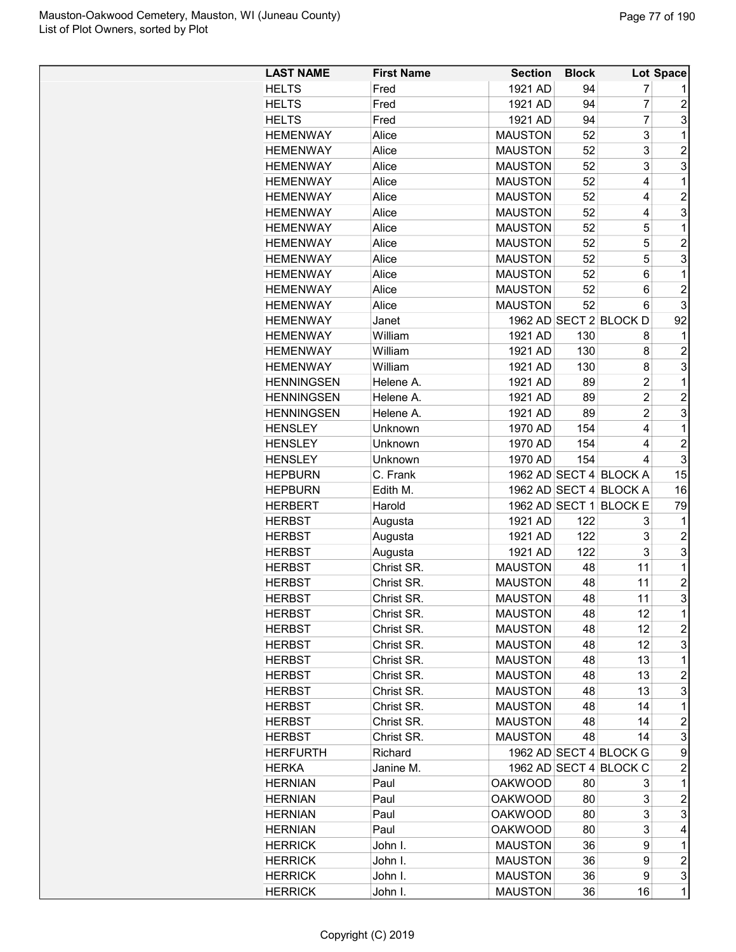| <b>LAST NAME</b>  | <b>First Name</b> | <b>Section</b> | <b>Block</b> |                        | Lot Space      |
|-------------------|-------------------|----------------|--------------|------------------------|----------------|
| <b>HELTS</b>      | Fred              | 1921 AD        | 94           | 7                      |                |
| <b>HELTS</b>      | Fred              | 1921 AD        | 94           | 7                      | $\overline{2}$ |
| <b>HELTS</b>      | Fred              | 1921 AD        | 94           | $\overline{7}$         | 3              |
| <b>HEMENWAY</b>   | Alice             | <b>MAUSTON</b> | 52           | 3                      | 1              |
| <b>HEMENWAY</b>   | Alice             | <b>MAUSTON</b> | 52           | 3                      | $\overline{2}$ |
| <b>HEMENWAY</b>   | Alice             | <b>MAUSTON</b> | 52           | 3                      | 3              |
| <b>HEMENWAY</b>   | Alice             | <b>MAUSTON</b> | 52           | 4                      | 1              |
| <b>HEMENWAY</b>   | Alice             | <b>MAUSTON</b> | 52           | 4                      | $\overline{c}$ |
| <b>HEMENWAY</b>   | Alice             | <b>MAUSTON</b> | 52           | 4                      | 3              |
| <b>HEMENWAY</b>   | Alice             | <b>MAUSTON</b> | 52           | 5                      | 1              |
| <b>HEMENWAY</b>   | Alice             | <b>MAUSTON</b> | 52           | 5                      | $\overline{2}$ |
| <b>HEMENWAY</b>   | Alice             | <b>MAUSTON</b> | 52           | 5                      | 3              |
| <b>HEMENWAY</b>   | Alice             | <b>MAUSTON</b> | 52           | 6                      | 1              |
| <b>HEMENWAY</b>   | Alice             | <b>MAUSTON</b> | 52           | 6                      | $\overline{c}$ |
| <b>HEMENWAY</b>   | Alice             | <b>MAUSTON</b> | 52           | 6                      | 3              |
| <b>HEMENWAY</b>   | Janet             |                |              | 1962 AD SECT 2 BLOCK D | 92             |
| <b>HEMENWAY</b>   | William           | 1921 AD        | 130          | 8                      | 1              |
| <b>HEMENWAY</b>   | William           | 1921 AD        | 130          | 8                      | $\overline{2}$ |
| <b>HEMENWAY</b>   | William           | 1921 AD        | 130          | 8                      | 3              |
| <b>HENNINGSEN</b> | Helene A.         | 1921 AD        | 89           | $\overline{2}$         | 1              |
| <b>HENNINGSEN</b> | Helene A.         | 1921 AD        | 89           | $\overline{2}$         | $\overline{2}$ |
| <b>HENNINGSEN</b> | Helene A.         | 1921 AD        | 89           | $\overline{2}$         | 3              |
| <b>HENSLEY</b>    | Unknown           | 1970 AD        | 154          | 4                      | 1              |
| <b>HENSLEY</b>    | Unknown           | 1970 AD        | 154          | 4                      | $\overline{c}$ |
| <b>HENSLEY</b>    | Unknown           | 1970 AD        | 154          | 4                      | 3              |
| <b>HEPBURN</b>    | C. Frank          |                |              | 1962 AD SECT 4 BLOCK A | 15             |
| <b>HEPBURN</b>    | Edith M.          |                |              | 1962 AD SECT 4 BLOCK A | 16             |
| <b>HERBERT</b>    | Harold            |                |              | 1962 AD SECT 1 BLOCK E | 79             |
| <b>HERBST</b>     | Augusta           | 1921 AD        | 122          | 3                      | 1              |
| <b>HERBST</b>     | Augusta           | 1921 AD        | 122          | 3                      | $\overline{2}$ |
| <b>HERBST</b>     | Augusta           | 1921 AD        | 122          | 3                      | 3              |
| <b>HERBST</b>     | Christ SR.        | <b>MAUSTON</b> | 48           | 11                     | 1              |
| <b>HERBST</b>     | Christ SR.        | <b>MAUSTON</b> | 48           | 11                     | $\overline{2}$ |
| <b>HERBST</b>     | Christ SR         | <b>MAUSTON</b> | 48           | 11                     | 3              |
| <b>HERBST</b>     | Christ SR.        | <b>MAUSTON</b> | 48           | 12                     | 1              |
| <b>HERBST</b>     | Christ SR.        | <b>MAUSTON</b> | 48           | 12                     | $\overline{c}$ |
| <b>HERBST</b>     | Christ SR.        | <b>MAUSTON</b> | 48           | 12                     | 3              |
| <b>HERBST</b>     | Christ SR.        | <b>MAUSTON</b> | 48           | 13                     | 1              |
| <b>HERBST</b>     | Christ SR.        | <b>MAUSTON</b> | 48           | 13                     | $\overline{c}$ |
| <b>HERBST</b>     | Christ SR.        | <b>MAUSTON</b> | 48           | 13                     | 3              |
| <b>HERBST</b>     | Christ SR.        | <b>MAUSTON</b> | 48           | 14                     | 1              |
| <b>HERBST</b>     | Christ SR.        | <b>MAUSTON</b> | 48           | 14                     | $\overline{c}$ |
| <b>HERBST</b>     | Christ SR.        | <b>MAUSTON</b> | 48           | 14                     | 3              |
| <b>HERFURTH</b>   | Richard           |                |              | 1962 AD SECT 4 BLOCK G | 9              |
| <b>HERKA</b>      | Janine M.         |                |              | 1962 AD SECT 4 BLOCK C | $\overline{c}$ |
| <b>HERNIAN</b>    | Paul              | <b>OAKWOOD</b> | 80           | 3                      | 1              |
|                   |                   |                |              | 3                      |                |
| <b>HERNIAN</b>    | Paul              | <b>OAKWOOD</b> | 80           |                        | 2              |
| <b>HERNIAN</b>    | Paul              | <b>OAKWOOD</b> | 80           | 3                      | 3<br>4         |
| <b>HERNIAN</b>    | Paul              | <b>OAKWOOD</b> | 80           | 3                      |                |
| <b>HERRICK</b>    | John I.           | <b>MAUSTON</b> | 36           | 9                      | 1              |
| <b>HERRICK</b>    | John I.           | <b>MAUSTON</b> | 36           | 9                      | $\overline{c}$ |
| <b>HERRICK</b>    | John I.           | <b>MAUSTON</b> | 36           | 9                      | 3              |
| <b>HERRICK</b>    | John I.           | <b>MAUSTON</b> | 36           | 16                     | 1              |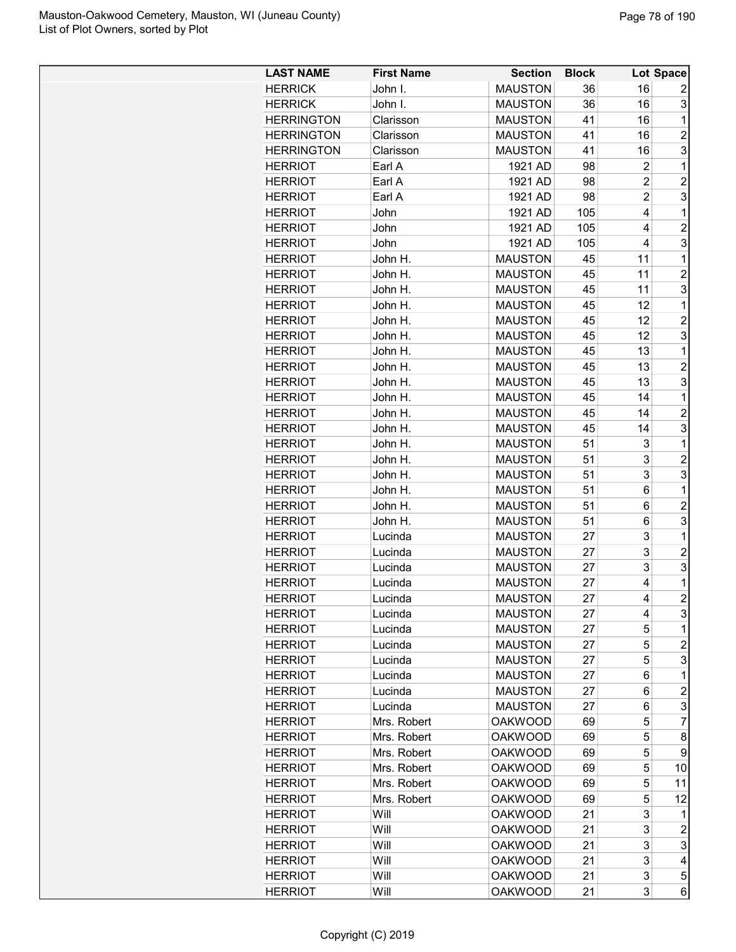| <b>LAST NAME</b>  | <b>First Name</b>  | <b>Section</b> | <b>Block</b> |                | Lot Space           |
|-------------------|--------------------|----------------|--------------|----------------|---------------------|
| <b>HERRICK</b>    | John I.            | <b>MAUSTON</b> | 36           | 16             | 2                   |
| <b>HERRICK</b>    | John I.            | <b>MAUSTON</b> | 36           | 16             | 3                   |
| <b>HERRINGTON</b> | Clarisson          | <b>MAUSTON</b> | 41           | 16             | 1                   |
| <b>HERRINGTON</b> | Clarisson          | <b>MAUSTON</b> | 41           | 16             | $\overline{2}$      |
| <b>HERRINGTON</b> | Clarisson          | <b>MAUSTON</b> | 41           | 16             | 3                   |
| <b>HERRIOT</b>    | Earl A             | 1921 AD        | 98           | $\overline{c}$ | 1                   |
| <b>HERRIOT</b>    | Earl A             | 1921 AD        | 98           | $\overline{c}$ | $\overline{c}$      |
| <b>HERRIOT</b>    | Earl A             | 1921 AD        | 98           | $\overline{2}$ | 3                   |
| <b>HERRIOT</b>    | John               | 1921 AD        | 105          | 4              | $\mathbf 1$         |
| <b>HERRIOT</b>    | John               | 1921 AD        | 105          | 4              | $\overline{c}$      |
| <b>HERRIOT</b>    | John               | 1921 AD        | 105          | 4              | 3                   |
| <b>HERRIOT</b>    | John H.            | <b>MAUSTON</b> | 45           | 11             | 1                   |
| <b>HERRIOT</b>    | John H.            | <b>MAUSTON</b> | 45           | 11             | $\overline{2}$      |
| <b>HERRIOT</b>    | John H.            | <b>MAUSTON</b> | 45           | 11             | 3                   |
| <b>HERRIOT</b>    | John H.            | <b>MAUSTON</b> | 45           | 12             | 1                   |
| <b>HERRIOT</b>    | John H.            | <b>MAUSTON</b> | 45           | 12             | $\overline{2}$      |
| <b>HERRIOT</b>    | John H.            | <b>MAUSTON</b> | 45           | 12             | 3                   |
| HERRIOT           | John H.            | <b>MAUSTON</b> | 45           | 13             | 1                   |
| <b>HERRIOT</b>    | John H.            | <b>MAUSTON</b> | 45           | 13             | $\overline{2}$      |
| <b>HERRIOT</b>    | John H.            | <b>MAUSTON</b> | 45           | 13             | 3                   |
| <b>HERRIOT</b>    | John H.            | <b>MAUSTON</b> | 45           | 14             | 1                   |
| <b>HERRIOT</b>    | John H.            | <b>MAUSTON</b> | 45           | 14             | $\overline{2}$      |
| <b>HERRIOT</b>    | John H.            | <b>MAUSTON</b> | 45           | 14             | 3                   |
| <b>HERRIOT</b>    | John H.            | <b>MAUSTON</b> | 51           | 3              | 1                   |
| <b>HERRIOT</b>    | John H.            | <b>MAUSTON</b> | 51           | 3              | $\overline{c}$      |
| <b>HERRIOT</b>    | John H.            | <b>MAUSTON</b> | 51           | 3              | 3                   |
| <b>HERRIOT</b>    | John H.            | <b>MAUSTON</b> | 51           | 6              | 1                   |
| <b>HERRIOT</b>    | John H.            | <b>MAUSTON</b> | 51           | 6              | $\overline{c}$      |
| <b>HERRIOT</b>    | John H.            | <b>MAUSTON</b> | 51           | 6              | 3                   |
| <b>HERRIOT</b>    | Lucinda            | <b>MAUSTON</b> | 27           | 3              | 1                   |
|                   |                    | <b>MAUSTON</b> |              | 3              | $\overline{c}$      |
| <b>HERRIOT</b>    | Lucinda            | <b>MAUSTON</b> | 27<br>27     | 3              | 3                   |
| <b>HERRIOT</b>    | Lucinda            | <b>MAUSTON</b> |              | 4              | 1                   |
| <b>HERRIOT</b>    | Lucinda<br>Lucinda | <b>MAUSTON</b> | 27<br>27     | 4              | $\overline{2}$      |
| <b>HERRIOT</b>    |                    |                |              |                |                     |
| <b>HERRIOT</b>    | Lucinda            | <b>MAUSTON</b> | 27           | 4              | 3                   |
| <b>HERRIOT</b>    | Lucinda            | <b>MAUSTON</b> | 27           | 5<br>5         | 1<br>$\overline{c}$ |
| <b>HERRIOT</b>    | Lucinda            | <b>MAUSTON</b> | 27           |                |                     |
| <b>HERRIOT</b>    | Lucinda            | <b>MAUSTON</b> | 27           | 5              | 3                   |
| <b>HERRIOT</b>    | Lucinda            | <b>MAUSTON</b> | 27           | 6              | 1                   |
| <b>HERRIOT</b>    | Lucinda            | <b>MAUSTON</b> | 27           | 6              | $\overline{c}$      |
| <b>HERRIOT</b>    | Lucinda            | <b>MAUSTON</b> | 27           | 6              | 3                   |
| <b>HERRIOT</b>    | Mrs. Robert        | <b>OAKWOOD</b> | 69           | 5              | $\overline{7}$      |
| <b>HERRIOT</b>    | Mrs. Robert        | <b>OAKWOOD</b> | 69           | 5              | 8                   |
| <b>HERRIOT</b>    | Mrs. Robert        | <b>OAKWOOD</b> | 69           | 5              | 9                   |
| <b>HERRIOT</b>    | Mrs. Robert        | <b>OAKWOOD</b> | 69           | 5              | 10                  |
| <b>HERRIOT</b>    | Mrs. Robert        | <b>OAKWOOD</b> | 69           | 5              | 11                  |
| <b>HERRIOT</b>    | Mrs. Robert        | <b>OAKWOOD</b> | 69           | 5              | 12                  |
| <b>HERRIOT</b>    | Will               | <b>OAKWOOD</b> | 21           | 3              | 1                   |
| <b>HERRIOT</b>    | Will               | <b>OAKWOOD</b> | 21           | 3              | $\overline{c}$      |
| <b>HERRIOT</b>    | Will               | <b>OAKWOOD</b> | 21           | 3              | 3                   |
| <b>HERRIOT</b>    | Will               | <b>OAKWOOD</b> | 21           | 3              | 4                   |
| <b>HERRIOT</b>    | Will               | <b>OAKWOOD</b> | 21           | 3              | 5                   |
| <b>HERRIOT</b>    | Will               | <b>OAKWOOD</b> | 21           | 3              | 6                   |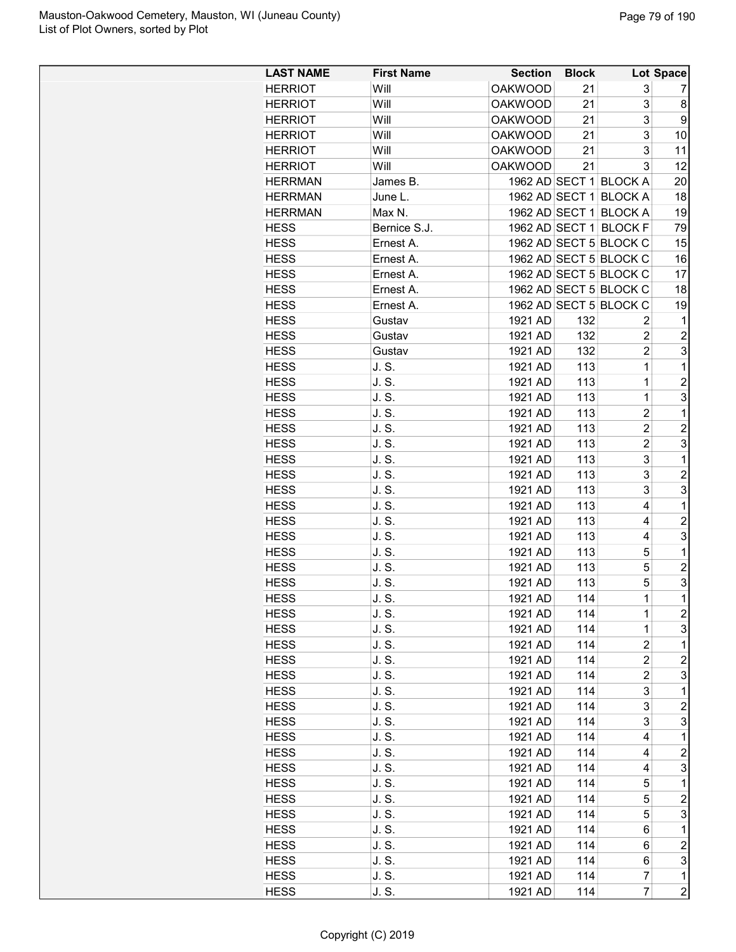| <b>LAST NAME</b> | <b>First Name</b> | <b>Section</b> | <b>Block</b> |                        | Lot Space           |
|------------------|-------------------|----------------|--------------|------------------------|---------------------|
| <b>HERRIOT</b>   | Will              | <b>OAKWOOD</b> | 21           | 3                      | 7                   |
| <b>HERRIOT</b>   | Will              | <b>OAKWOOD</b> | 21           | 3                      | 8                   |
| <b>HERRIOT</b>   | Will              | <b>OAKWOOD</b> | 21           | 3                      | 9                   |
| <b>HERRIOT</b>   | Will              | <b>OAKWOOD</b> | 21           | 3                      | 10                  |
| <b>HERRIOT</b>   | Will              | <b>OAKWOOD</b> | 21           | 3                      | 11                  |
| <b>HERRIOT</b>   | Will              | <b>OAKWOOD</b> | 21           | 3                      | 12                  |
| <b>HERRMAN</b>   | James B.          |                |              | 1962 AD SECT 1 BLOCK A | 20                  |
| <b>HERRMAN</b>   | June L.           |                |              | 1962 AD SECT 1 BLOCK A | 18                  |
| <b>HERRMAN</b>   | Max N.            |                |              | 1962 AD SECT 1 BLOCK A | 19                  |
| <b>HESS</b>      | Bernice S.J.      |                |              | 1962 AD SECT 1 BLOCK F | 79                  |
| <b>HESS</b>      | Ernest A.         |                |              | 1962 AD SECT 5 BLOCK C | 15                  |
| <b>HESS</b>      | Ernest A.         |                |              | 1962 AD SECT 5 BLOCK C | 16                  |
| <b>HESS</b>      | Ernest A.         |                |              | 1962 AD SECT 5 BLOCK C | 17                  |
| <b>HESS</b>      | Ernest A.         |                |              | 1962 AD SECT 5 BLOCK C | 18                  |
| <b>HESS</b>      | Ernest A.         |                |              | 1962 AD SECT 5 BLOCK C | 19                  |
| <b>HESS</b>      | Gustav            | 1921 AD        | 132          | 2                      | 1                   |
| <b>HESS</b>      | Gustav            | 1921 AD        | 132          | $\overline{2}$         | $\overline{2}$      |
| <b>HESS</b>      | Gustav            | 1921 AD        | 132          | $\overline{c}$         | 3                   |
| <b>HESS</b>      | J. S.             | 1921 AD        | 113          | $\mathbf 1$            | 1                   |
| <b>HESS</b>      | J.S.              | 1921 AD        | 113          | 1                      | $\overline{c}$      |
| <b>HESS</b>      | J.S.              | 1921 AD        | 113          | $\mathbf 1$            | 3                   |
| <b>HESS</b>      | J. S.             | 1921 AD        | 113          | $\overline{2}$         | $\mathbf 1$         |
| <b>HESS</b>      | J. S.             | 1921 AD        | 113          | $\overline{c}$         | $\overline{2}$      |
| <b>HESS</b>      | J. S.             |                |              | $\overline{c}$         | 3                   |
|                  |                   | 1921 AD        | 113          |                        |                     |
| <b>HESS</b>      | J. S.             | 1921 AD        | 113          | 3                      | 1<br>$\overline{2}$ |
| <b>HESS</b>      | J. S.             | 1921 AD        | 113          | 3                      |                     |
| <b>HESS</b>      | J. S.             | 1921 AD        | 113          | 3<br>$\overline{4}$    | 3                   |
| <b>HESS</b>      | J. S.             | 1921 AD        | 113          |                        | 1                   |
| <b>HESS</b>      | J. S.             | 1921 AD        | 113          | 4                      | $\overline{c}$      |
| <b>HESS</b>      | J. S.             | 1921 AD        | 113          | 4                      | 3                   |
| <b>HESS</b>      | J. S.             | 1921 AD        | 113          | 5                      | $\mathbf 1$         |
| <b>HESS</b>      | J. S.             | 1921 AD        | 113          | 5                      | $\overline{2}$      |
| <b>HESS</b>      | J. S.             | 1921 AD        | 113          | 5                      | 3                   |
| <b>HESS</b>      | J. S.             | 1921 AD        | 114          | $\overline{1}$         | $\mathbf 1$         |
| <b>HESS</b>      | J. S.             | 1921 AD        | 114          | 1                      | $\overline{c}$      |
| <b>HESS</b>      | J. S.             | 1921 AD        | 114          | $\mathbf 1$            | 3                   |
| <b>HESS</b>      | J. S.             | 1921 AD        | 114          | $\overline{c}$         | 1                   |
| <b>HESS</b>      | J. S.             | 1921 AD        | 114          | 2                      | $\overline{c}$      |
| <b>HESS</b>      | J. S.             | 1921 AD        | 114          | $\overline{c}$         | 3                   |
| <b>HESS</b>      | J. S.             | 1921 AD        | 114          | 3                      | 1                   |
| <b>HESS</b>      | J. S.             | 1921 AD        | 114          | 3                      | $\overline{c}$      |
| <b>HESS</b>      | J. S.             | 1921 AD        | 114          | 3                      | 3                   |
| <b>HESS</b>      | J. S.             | 1921 AD        | 114          | 4                      | 1                   |
| <b>HESS</b>      | J. S.             | 1921 AD        | 114          | 4                      | $\overline{c}$      |
| <b>HESS</b>      | J. S.             | 1921 AD        | 114          | 4                      | 3                   |
| <b>HESS</b>      | J. S.             | 1921 AD        | 114          | 5                      | 1                   |
| <b>HESS</b>      | J. S.             | 1921 AD        | 114          | 5                      | $\overline{c}$      |
| <b>HESS</b>      | J. S.             | 1921 AD        | 114          | 5                      | 3                   |
| <b>HESS</b>      | J. S.             | 1921 AD        | 114          | 6                      | 1                   |
| <b>HESS</b>      | J. S.             | 1921 AD        | 114          | 6                      | $\overline{c}$      |
| <b>HESS</b>      | J. S.             | 1921 AD        | 114          | 6                      | 3                   |
| <b>HESS</b>      | J. S.             | 1921 AD        | 114          | 7                      | 1                   |
| <b>HESS</b>      | J. S.             | 1921 AD        | 114          | $\overline{7}$         | $\overline{c}$      |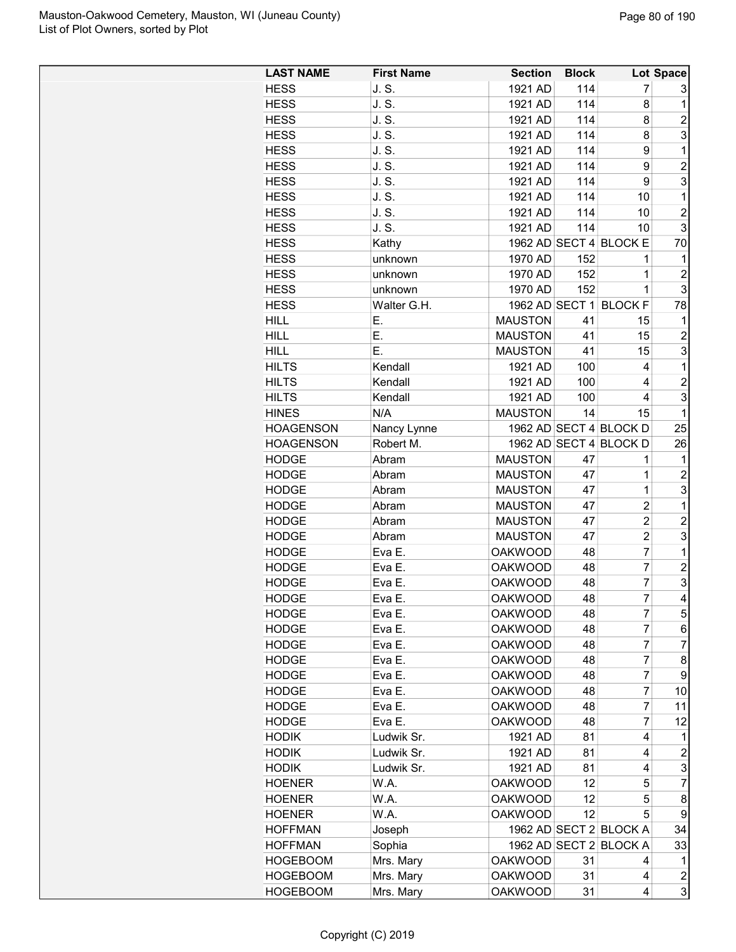| <b>LAST NAME</b> | <b>First Name</b> | <b>Section</b> | <b>Block</b> |                        | Lot Space               |
|------------------|-------------------|----------------|--------------|------------------------|-------------------------|
| <b>HESS</b>      | J. S.             | 1921 AD        | 114          | 7                      | 3                       |
| <b>HESS</b>      | J.S.              | 1921 AD        | 114          | 8                      | $\mathbf{1}$            |
| <b>HESS</b>      | J. S.             | 1921 AD        | 114          | 8                      | 2                       |
| <b>HESS</b>      | J.S.              | 1921 AD        | 114          | 8                      | 3                       |
| <b>HESS</b>      | J. S.             | 1921 AD        | 114          | 9                      | 1                       |
| <b>HESS</b>      | J. S.             | 1921 AD        | 114          | 9                      | $\overline{c}$          |
| <b>HESS</b>      | J. S.             | 1921 AD        | 114          | 9                      | 3                       |
| <b>HESS</b>      | J. S.             | 1921 AD        | 114          | 10                     | 1                       |
| <b>HESS</b>      | J.S.              | 1921 AD        | 114          | 10                     | $\overline{2}$          |
| <b>HESS</b>      | J. S.             | 1921 AD        | 114          | 10                     | 3                       |
| <b>HESS</b>      | Kathy             |                |              | 1962 AD SECT 4 BLOCK E | 70                      |
| <b>HESS</b>      | unknown           | 1970 AD        | 152          | 1                      | 1                       |
| <b>HESS</b>      | unknown           | 1970 AD        | 152          | 1                      | $\overline{c}$          |
| <b>HESS</b>      | unknown           | 1970 AD        | 152          | 1                      | 3                       |
| <b>HESS</b>      |                   |                |              |                        |                         |
|                  | Walter G.H.       | <b>MAUSTON</b> |              | 1962 AD SECT 1 BLOCK F | 78                      |
| <b>HILL</b>      | Е.                |                | 41           | 15                     | 1                       |
| <b>HILL</b>      | E.                | <b>MAUSTON</b> | 41           | 15                     | 2                       |
| <b>HILL</b>      | Ε.                | <b>MAUSTON</b> | 41           | 15                     | 3                       |
| <b>HILTS</b>     | Kendall           | 1921 AD        | 100          | 4                      | 1                       |
| <b>HILTS</b>     | Kendall           | 1921 AD        | 100          | 4                      | 2                       |
| <b>HILTS</b>     | Kendall           | 1921 AD        | 100          | 4                      | 3                       |
| <b>HINES</b>     | N/A               | <b>MAUSTON</b> | 14           | 15                     | 1                       |
| <b>HOAGENSON</b> | Nancy Lynne       |                |              | 1962 AD SECT 4 BLOCK D | 25                      |
| <b>HOAGENSON</b> | Robert M.         |                |              | 1962 AD SECT 4 BLOCK D | 26                      |
| <b>HODGE</b>     | Abram             | <b>MAUSTON</b> | 47           | 1                      | 1                       |
| <b>HODGE</b>     | Abram             | <b>MAUSTON</b> | 47           | 1                      | $\overline{c}$          |
| <b>HODGE</b>     | Abram             | <b>MAUSTON</b> | 47           | 1                      | 3                       |
| <b>HODGE</b>     | Abram             | <b>MAUSTON</b> | 47           | $\overline{2}$         | 1                       |
| <b>HODGE</b>     | Abram             | <b>MAUSTON</b> | 47           | $\overline{2}$         | $\overline{2}$          |
| <b>HODGE</b>     | Abram             | <b>MAUSTON</b> | 47           | $\overline{2}$         | 3                       |
| <b>HODGE</b>     | Eva E.            | <b>OAKWOOD</b> | 48           | $\overline{7}$         | $\mathbf 1$             |
| <b>HODGE</b>     | Eva E.            | <b>OAKWOOD</b> | 48           | $\overline{7}$         | 2                       |
| <b>HODGE</b>     | Eva E.            | <b>OAKWOOD</b> | 48           | $\overline{7}$         | 3                       |
| <b>HODGE</b>     | Eva E.            | <b>OAKWOOD</b> | 48           | 7                      | $\overline{\mathbf{4}}$ |
| <b>HODGE</b>     | Eva E.            | <b>OAKWOOD</b> | 48           | $\overline{7}$         | 5 <sup>1</sup>          |
| <b>HODGE</b>     | Eva E.            | <b>OAKWOOD</b> | 48           | $\overline{7}$         | $6 \mid$                |
| <b>HODGE</b>     | Eva E.            | <b>OAKWOOD</b> | 48           | $\overline{7}$         | $\overline{7}$          |
| <b>HODGE</b>     | Eva E.            | <b>OAKWOOD</b> | 48           | 7                      | 8                       |
| <b>HODGE</b>     | Eva E.            | <b>OAKWOOD</b> | 48           | 7                      | 9                       |
| <b>HODGE</b>     | Eva E.            | <b>OAKWOOD</b> | 48           | 7                      | 10                      |
| <b>HODGE</b>     | Eva E.            | <b>OAKWOOD</b> | 48           | 7                      | 11                      |
| <b>HODGE</b>     | Eva E.            | <b>OAKWOOD</b> | 48           | 7                      | 12                      |
|                  | Ludwik Sr.        | 1921 AD        | 81           | 4                      |                         |
| <b>HODIK</b>     |                   |                |              |                        | 1                       |
| <b>HODIK</b>     | Ludwik Sr.        | 1921 AD        | 81           | 4                      | $\overline{\mathbf{c}}$ |
| <b>HODIK</b>     | Ludwik Sr.        | 1921 AD        | 81           | 4                      | 3                       |
| <b>HOENER</b>    | W.A.              | <b>OAKWOOD</b> | 12           | 5                      | $\overline{7}$          |
| <b>HOENER</b>    | W.A.              | <b>OAKWOOD</b> | 12           | 5                      | 8                       |
| <b>HOENER</b>    | W.A.              | <b>OAKWOOD</b> | 12           | 5                      | 9                       |
| <b>HOFFMAN</b>   | Joseph            |                |              | 1962 AD SECT 2 BLOCK A | 34                      |
| <b>HOFFMAN</b>   | Sophia            |                |              | 1962 AD SECT 2 BLOCK A | 33                      |
| <b>HOGEBOOM</b>  | Mrs. Mary         | <b>OAKWOOD</b> | 31           | 4                      | 1                       |
| <b>HOGEBOOM</b>  | Mrs. Mary         | <b>OAKWOOD</b> | 31           | 4                      | $\overline{\mathbf{c}}$ |
| <b>HOGEBOOM</b>  | Mrs. Mary         | <b>OAKWOOD</b> | 31           | 4                      | 3                       |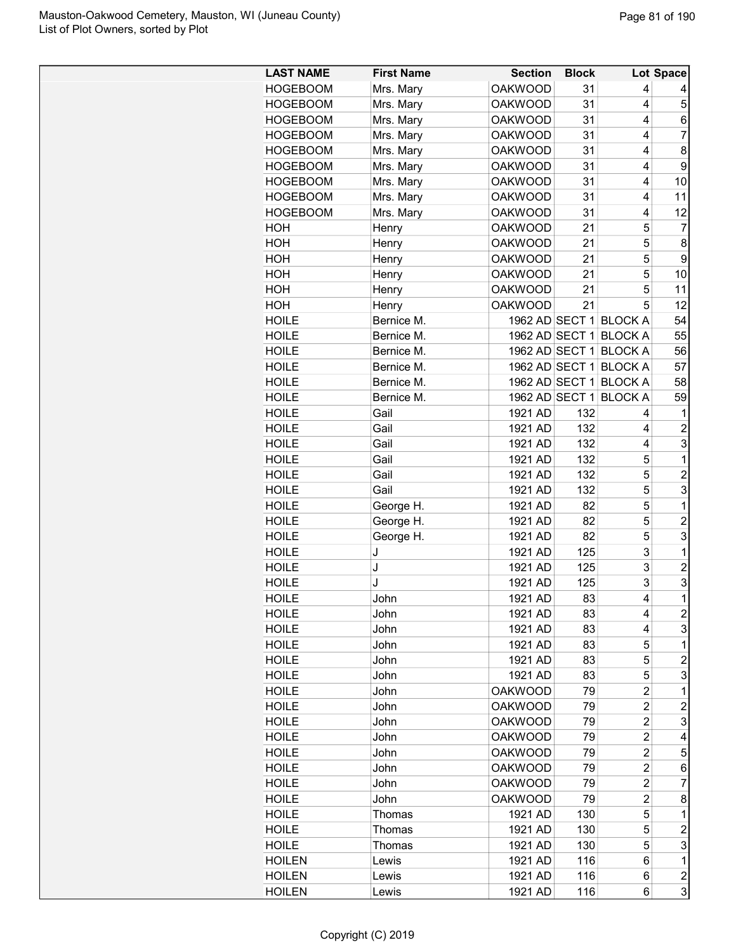| <b>LAST NAME</b> | <b>First Name</b> | <b>Section</b> | <b>Block</b> |                        | Lot Space      |
|------------------|-------------------|----------------|--------------|------------------------|----------------|
| <b>HOGEBOOM</b>  | Mrs. Mary         | <b>OAKWOOD</b> | 31           | 4                      | 4              |
| <b>HOGEBOOM</b>  | Mrs. Mary         | <b>OAKWOOD</b> | 31           | $\overline{4}$         | 5              |
| <b>HOGEBOOM</b>  | Mrs. Mary         | <b>OAKWOOD</b> | 31           | 4                      | 6              |
| <b>HOGEBOOM</b>  | Mrs. Mary         | <b>OAKWOOD</b> | 31           | 4                      | $\overline{7}$ |
| <b>HOGEBOOM</b>  | Mrs. Mary         | <b>OAKWOOD</b> | 31           | 4                      | 8              |
| <b>HOGEBOOM</b>  | Mrs. Mary         | <b>OAKWOOD</b> | 31           | 4                      | 9              |
| <b>HOGEBOOM</b>  | Mrs. Mary         | <b>OAKWOOD</b> | 31           | 4                      | 10             |
| <b>HOGEBOOM</b>  | Mrs. Mary         | <b>OAKWOOD</b> | 31           | 4                      | 11             |
| <b>HOGEBOOM</b>  | Mrs. Mary         | <b>OAKWOOD</b> | 31           | 4                      | 12             |
| HOH              | Henry             | <b>OAKWOOD</b> | 21           | 5                      | $\overline{7}$ |
| HOH              | Henry             | <b>OAKWOOD</b> | 21           | 5                      | 8              |
| HOH              | Henry             | <b>OAKWOOD</b> | 21           | 5                      | 9              |
| HOH              | Henry             | <b>OAKWOOD</b> | 21           | 5                      | 10             |
| HOH              | Henry             | <b>OAKWOOD</b> | 21           | 5                      | 11             |
| HOH              | Henry             | <b>OAKWOOD</b> | 21           | 5                      | 12             |
| <b>HOILE</b>     | Bernice M.        |                |              | 1962 AD SECT 1 BLOCK A | 54             |
| <b>HOILE</b>     | Bernice M.        | 1962 AD SECT 1 |              | <b>BLOCK A</b>         | 55             |
| <b>HOILE</b>     | Bernice M.        | 1962 AD SECT 1 |              | <b>BLOCK A</b>         | 56             |
|                  |                   |                |              |                        |                |
| <b>HOILE</b>     | Bernice M.        | 1962 AD SECT 1 |              | <b>BLOCK A</b>         | 57             |
| <b>HOILE</b>     | Bernice M.        |                |              | 1962 AD SECT 1 BLOCK A | 58             |
| <b>HOILE</b>     | Bernice M.        | 1962 AD SECT 1 |              | <b>BLOCK A</b>         | 59             |
| <b>HOILE</b>     | Gail              | 1921 AD        | 132          | 4                      | 1              |
| <b>HOILE</b>     | Gail              | 1921 AD        | 132          | 4                      | $\overline{2}$ |
| <b>HOILE</b>     | Gail              | 1921 AD        | 132          | 4                      | 3              |
| <b>HOILE</b>     | Gail              | 1921 AD        | 132          | 5                      | 1              |
| <b>HOILE</b>     | Gail              | 1921 AD        | 132          | 5                      | $\overline{2}$ |
| <b>HOILE</b>     | Gail              | 1921 AD        | 132          | 5                      | 3              |
| <b>HOILE</b>     | George H.         | 1921 AD        | 82           | 5                      | 1              |
| <b>HOILE</b>     | George H.         | 1921 AD        | 82           | 5                      | $\overline{c}$ |
| <b>HOILE</b>     | George H.         | 1921 AD        | 82           | 5                      | 3              |
| <b>HOILE</b>     | J                 | 1921 AD        | 125          | 3                      | 1              |
| <b>HOILE</b>     | J                 | 1921 AD        | 125          | 3                      | $\overline{c}$ |
| <b>HOILE</b>     | J                 | 1921 AD        | 125          | 3                      | 3              |
| <b>HOILE</b>     | John              | 1921 AD        | 83           | 4                      | 1              |
| <b>HOILE</b>     | John              | 1921 AD        | 83           | 4                      | $\overline{c}$ |
| <b>HOILE</b>     | John              | 1921 AD        | 83           | 4                      | 3              |
| <b>HOILE</b>     | John              | 1921 AD        | 83           | 5                      | 1              |
| <b>HOILE</b>     | John              | 1921 AD        | 83           | 5                      | $\overline{2}$ |
| <b>HOILE</b>     | John              | 1921 AD        | 83           | 5                      | 3              |
| <b>HOILE</b>     | John              | <b>OAKWOOD</b> | 79           | 2                      | 1              |
| <b>HOILE</b>     | John              | <b>OAKWOOD</b> | 79           | $\overline{2}$         | $\overline{c}$ |
| <b>HOILE</b>     | John              | <b>OAKWOOD</b> | 79           | $\overline{c}$         | 3              |
| <b>HOILE</b>     | John              | <b>OAKWOOD</b> | 79           | $\overline{2}$         | 4              |
|                  |                   |                |              |                        |                |
| <b>HOILE</b>     | John              | <b>OAKWOOD</b> | 79           | $\overline{c}$         | 5              |
| <b>HOILE</b>     | John              | <b>OAKWOOD</b> | 79           | $\overline{c}$         | 6              |
| <b>HOILE</b>     | John              | <b>OAKWOOD</b> | 79           | $\overline{c}$         | 7              |
| <b>HOILE</b>     | John              | <b>OAKWOOD</b> | 79           | 2                      | 8              |
| <b>HOILE</b>     | Thomas            | 1921 AD        | 130          | 5                      | 1              |
| <b>HOILE</b>     | Thomas            | 1921 AD        | 130          | 5                      | $\overline{c}$ |
| <b>HOILE</b>     | Thomas            | 1921 AD        | 130          | 5                      | 3              |
| <b>HOILEN</b>    | Lewis             | 1921 AD        | 116          | 6                      | 1              |
| <b>HOILEN</b>    | Lewis             | 1921 AD        | 116          | 6                      | $\overline{c}$ |
| <b>HOILEN</b>    | Lewis             | 1921 AD        | 116          | 6                      | 3              |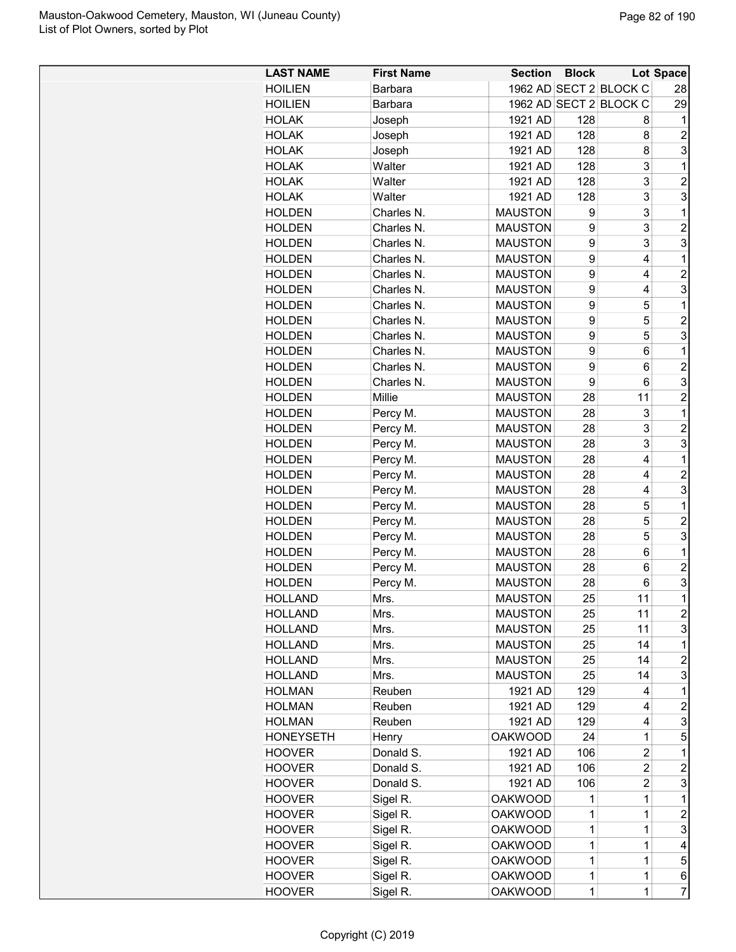| <b>LAST NAME</b><br><b>First Name</b><br><b>Section</b><br><b>Block</b><br>1962 AD SECT 2 BLOCK C<br><b>HOILIEN</b><br>Barbara | Lot Space<br>28         |
|--------------------------------------------------------------------------------------------------------------------------------|-------------------------|
|                                                                                                                                |                         |
| 1962 AD SECT 2 BLOCK C<br><b>HOILIEN</b><br>Barbara                                                                            | 29                      |
| 128<br><b>HOLAK</b><br>Joseph<br>1921 AD<br>8                                                                                  | 1                       |
| 128<br><b>HOLAK</b><br>Joseph<br>1921 AD<br>8                                                                                  | $\overline{c}$          |
| 1921 AD<br>128<br><b>HOLAK</b><br>Joseph<br>8                                                                                  | 3                       |
| 128<br>3<br><b>HOLAK</b><br>Walter<br>1921 AD                                                                                  | $\mathbf 1$             |
| 3<br><b>HOLAK</b><br>1921 AD<br>128<br>Walter                                                                                  | $\overline{c}$          |
| 3<br><b>HOLAK</b><br>1921 AD<br>Walter                                                                                         | 3                       |
| 128<br>3                                                                                                                       |                         |
| Charles N.<br><b>MAUSTON</b><br><b>HOLDEN</b><br>9                                                                             | 1                       |
| 3<br>Charles N.<br><b>HOLDEN</b><br><b>MAUSTON</b><br>9                                                                        | $\overline{2}$          |
| 3<br>Charles N.<br><b>MAUSTON</b><br>9<br><b>HOLDEN</b>                                                                        | 3                       |
| <b>HOLDEN</b><br>Charles N.<br><b>MAUSTON</b><br>9<br>4                                                                        | 1                       |
| 9<br>Charles N.<br><b>MAUSTON</b><br><b>HOLDEN</b><br>4                                                                        | $\overline{2}$          |
| 9<br>Charles N.<br><b>MAUSTON</b><br>4<br><b>HOLDEN</b>                                                                        | 3                       |
| 5<br><b>HOLDEN</b><br>Charles N.<br>9<br><b>MAUSTON</b>                                                                        | 1                       |
| 5<br>Charles N.<br>9<br><b>HOLDEN</b><br><b>MAUSTON</b>                                                                        | $\overline{c}$          |
| 5<br>Charles N.<br><b>MAUSTON</b><br>9<br><b>HOLDEN</b>                                                                        | 3                       |
| Charles N.<br><b>MAUSTON</b><br>9<br><b>HOLDEN</b><br>6                                                                        | 1                       |
| Charles N.<br><b>HOLDEN</b><br><b>MAUSTON</b><br>9<br>6                                                                        | $\overline{2}$          |
| 9<br><b>HOLDEN</b><br>Charles N.<br><b>MAUSTON</b><br>6                                                                        | 3                       |
| <b>HOLDEN</b><br>Millie<br><b>MAUSTON</b><br>28<br>11                                                                          | $\overline{2}$          |
| Percy M.<br><b>MAUSTON</b><br>28<br>3<br><b>HOLDEN</b>                                                                         | 1                       |
| 3<br><b>HOLDEN</b><br>Percy M.<br><b>MAUSTON</b><br>28                                                                         | $\overline{c}$          |
| 3<br><b>HOLDEN</b><br>Percy M.<br><b>MAUSTON</b><br>28                                                                         | 3                       |
| <b>HOLDEN</b><br>Percy M.<br><b>MAUSTON</b><br>28<br>4                                                                         | 1                       |
| <b>HOLDEN</b><br><b>MAUSTON</b><br>28<br>Percy M.<br>4                                                                         | $\overline{c}$          |
| <b>HOLDEN</b><br>Percy M.<br><b>MAUSTON</b><br>28<br>4                                                                         | 3                       |
| 5<br>28<br><b>HOLDEN</b><br>Percy M.<br><b>MAUSTON</b>                                                                         | 1                       |
| 5<br>28<br><b>HOLDEN</b><br>Percy M.<br><b>MAUSTON</b>                                                                         | $\overline{2}$          |
| 5<br>28<br><b>HOLDEN</b><br>Percy M.<br><b>MAUSTON</b>                                                                         | 3                       |
| <b>MAUSTON</b><br>28<br>6<br><b>HOLDEN</b><br>Percy M.                                                                         | 1                       |
| <b>MAUSTON</b><br><b>HOLDEN</b><br>Percy M.<br>28<br>6                                                                         | $\overline{2}$          |
| <b>HOLDEN</b><br><b>MAUSTON</b><br>28<br>6                                                                                     | 3                       |
| Percy M.<br>11                                                                                                                 | 1                       |
| 25<br><b>MAUSTON</b><br><b>HOLLAND</b><br>Mrs.                                                                                 |                         |
| <b>MAUSTON</b><br>25<br>11<br><b>HOLLAND</b><br>Mrs.                                                                           | $\overline{c}$          |
| 11<br><b>HOLLAND</b><br>Mrs.<br><b>MAUSTON</b><br>25                                                                           | 3                       |
| 14<br><b>HOLLAND</b><br>Mrs.<br><b>MAUSTON</b><br>25                                                                           | 1                       |
| 25<br>14<br><b>HOLLAND</b><br>Mrs.<br><b>MAUSTON</b>                                                                           | 2                       |
| 14<br><b>HOLLAND</b><br>Mrs.<br><b>MAUSTON</b><br>25                                                                           | 3                       |
| 1921 AD<br>129<br><b>HOLMAN</b><br>4<br>Reuben                                                                                 | 1                       |
| <b>HOLMAN</b><br>1921 AD<br>129<br>Reuben<br>4                                                                                 | $\overline{\mathbf{c}}$ |
| <b>HOLMAN</b><br>1921 AD<br>129<br>Reuben<br>4                                                                                 | 3                       |
| <b>OAKWOOD</b><br>24<br>1<br>HONEYSETH<br>Henry                                                                                | 5                       |
| Donald S.<br>1921 AD<br>106<br>2<br><b>HOOVER</b>                                                                              | 1                       |
| Donald S.<br>1921 AD<br>106<br>2<br><b>HOOVER</b>                                                                              | 2                       |
| Donald S.<br>1921 AD<br>106<br>2<br>HOOVER                                                                                     | 3                       |
| <b>OAKWOOD</b><br><b>HOOVER</b><br>Sigel R.<br>1<br>1                                                                          | 1                       |
| Sigel R.<br><b>OAKWOOD</b><br><b>HOOVER</b><br>1<br>1                                                                          | $\overline{c}$          |
| Sigel R.<br><b>OAKWOOD</b><br>1<br><b>HOOVER</b><br>1                                                                          | 3                       |
| Sigel R.<br>1<br><b>HOOVER</b><br><b>OAKWOOD</b><br>1                                                                          | 4                       |
| Sigel R.<br>1<br>1<br><b>OAKWOOD</b><br>HOOVER                                                                                 | 5                       |
| Sigel R.<br>$\mathbf 1$<br><b>OAKWOOD</b><br>1<br><b>HOOVER</b>                                                                | 6                       |
| Sigel R.<br>$\mathbf 1$<br><b>HOOVER</b><br><b>OAKWOOD</b><br>1                                                                | $\overline{7}$          |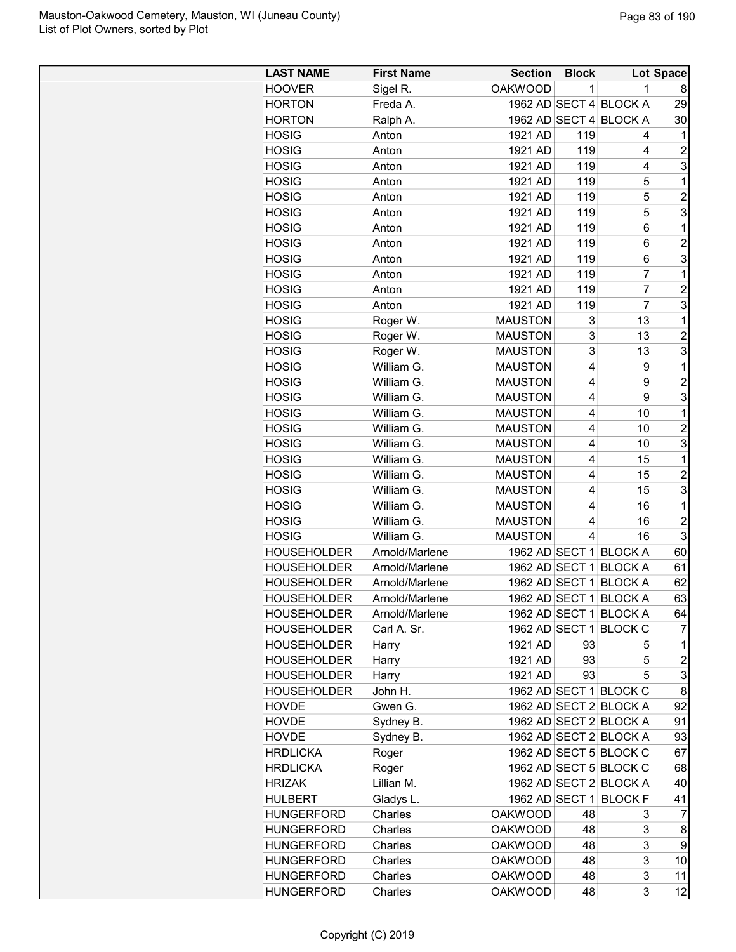| <b>LAST NAME</b>   | <b>First Name</b> | <b>Section</b> | <b>Block</b>            |                        | Lot Space               |
|--------------------|-------------------|----------------|-------------------------|------------------------|-------------------------|
| <b>HOOVER</b>      | Sigel R.          | <b>OAKWOOD</b> | 1                       | $\mathbf{1}$           | 8                       |
| <b>HORTON</b>      | Freda A.          |                |                         | 1962 AD SECT 4 BLOCK A | 29                      |
| <b>HORTON</b>      | Ralph A.          |                |                         | 1962 AD SECT 4 BLOCK A | 30                      |
| <b>HOSIG</b>       | Anton             | 1921 AD        | 119                     | 4                      | 1                       |
| <b>HOSIG</b>       | Anton             | 1921 AD        | 119                     | 4                      | $\overline{c}$          |
| <b>HOSIG</b>       | Anton             | 1921 AD        | 119                     | 4                      | 3                       |
| <b>HOSIG</b>       | Anton             | 1921 AD        | 119                     | 5                      | 1                       |
| <b>HOSIG</b>       | Anton             | 1921 AD        | 119                     | 5                      | $\overline{2}$          |
| <b>HOSIG</b>       | Anton             | 1921 AD        | 119                     | 5                      | 3                       |
| <b>HOSIG</b>       | Anton             | 1921 AD        | 119                     | 6                      | 1                       |
| <b>HOSIG</b>       | Anton             | 1921 AD        | 119                     | 6                      | $\overline{c}$          |
| <b>HOSIG</b>       | Anton             | 1921 AD        | 119                     | 6                      | 3                       |
| <b>HOSIG</b>       | Anton             | 1921 AD        | 119                     | 7                      | 1                       |
| <b>HOSIG</b>       | Anton             | 1921 AD        | 119                     | 7                      | $\overline{c}$          |
| <b>HOSIG</b>       | Anton             | 1921 AD        | 119                     | 7                      | 3                       |
| <b>HOSIG</b>       | Roger W.          | <b>MAUSTON</b> | 3                       | 13                     | 1                       |
| <b>HOSIG</b>       | Roger W.          | <b>MAUSTON</b> | 3                       | 13                     | $\overline{c}$          |
| <b>HOSIG</b>       | Roger W.          | <b>MAUSTON</b> | 3                       | 13                     | 3                       |
| <b>HOSIG</b>       | William G.        | <b>MAUSTON</b> | 4                       | 9                      | 1                       |
| <b>HOSIG</b>       | William G.        | <b>MAUSTON</b> | 4                       | 9                      | $\overline{\mathbf{c}}$ |
| <b>HOSIG</b>       | William G.        | <b>MAUSTON</b> | $\overline{\mathbf{4}}$ | 9                      | 3                       |
| <b>HOSIG</b>       | William G.        | <b>MAUSTON</b> | $\overline{4}$          | 10                     | 1                       |
| <b>HOSIG</b>       | William G.        | <b>MAUSTON</b> | $\overline{4}$          | 10                     | $\overline{2}$          |
| <b>HOSIG</b>       | William G.        | <b>MAUSTON</b> | 4                       | 10                     | 3                       |
| <b>HOSIG</b>       | William G.        | <b>MAUSTON</b> | 4                       | 15                     | 1                       |
| <b>HOSIG</b>       | William G.        | <b>MAUSTON</b> | 4                       | 15                     | $\overline{2}$          |
| <b>HOSIG</b>       | William G.        | <b>MAUSTON</b> | 4                       | 15                     | 3                       |
| <b>HOSIG</b>       | William G.        | <b>MAUSTON</b> | 4                       | 16                     | 1                       |
| <b>HOSIG</b>       | William G.        | <b>MAUSTON</b> | 4                       | 16                     | $\overline{c}$          |
| <b>HOSIG</b>       | William G.        | <b>MAUSTON</b> | 4                       | 16                     | 3                       |
| <b>HOUSEHOLDER</b> | Arnold/Marlene    |                |                         | 1962 AD SECT 1 BLOCK A | 60                      |
| <b>HOUSEHOLDER</b> | Arnold/Marlene    | 1962 AD SECT 1 |                         | <b>BLOCK A</b>         | 61                      |
| <b>HOUSEHOLDER</b> | Arnold/Marlene    |                |                         | 1962 AD SECT 1 BLOCK A | 62                      |
| <b>HOUSEHOLDER</b> | Arnold/Marlene    |                |                         | 1962 AD SECT 1 BLOCK A | 63                      |
| <b>HOUSEHOLDER</b> | Arnold/Marlene    |                |                         | 1962 AD SECT 1 BLOCK A | 64                      |
| <b>HOUSEHOLDER</b> | Carl A. Sr.       | 1962 AD SECT 1 |                         | <b>BLOCK C</b>         | $\overline{7}$          |
| <b>HOUSEHOLDER</b> | Harry             | 1921 AD        | 93                      | 5                      | 1                       |
| <b>HOUSEHOLDER</b> | Harry             | 1921 AD        | 93                      | 5                      | $\overline{\mathbf{c}}$ |
| <b>HOUSEHOLDER</b> | Harry             | 1921 AD        | 93                      | 5                      | 3                       |
| <b>HOUSEHOLDER</b> | John H.           |                |                         | 1962 AD SECT 1 BLOCK C | 8                       |
| <b>HOVDE</b>       | Gwen G.           |                |                         | 1962 AD SECT 2 BLOCK A | 92                      |
| <b>HOVDE</b>       | Sydney B.         |                |                         | 1962 AD SECT 2 BLOCK A | 91                      |
| <b>HOVDE</b>       | Sydney B.         |                |                         | 1962 AD SECT 2 BLOCK A | 93                      |
| <b>HRDLICKA</b>    | Roger             |                |                         | 1962 AD SECT 5 BLOCK C | 67                      |
| <b>HRDLICKA</b>    | Roger             |                |                         | 1962 AD SECT 5 BLOCK C | 68                      |
| <b>HRIZAK</b>      | Lillian M.        |                |                         | 1962 AD SECT 2 BLOCK A | 40                      |
| HULBERT            | Gladys L.         | 1962 AD SECT 1 |                         | <b>BLOCK F</b>         | 41                      |
| <b>HUNGERFORD</b>  | Charles           | <b>OAKWOOD</b> | 48                      | 3                      | 7                       |
| <b>HUNGERFORD</b>  | Charles           | <b>OAKWOOD</b> | 48                      | 3                      | 8                       |
| <b>HUNGERFORD</b>  | Charles           | <b>OAKWOOD</b> | 48                      | 3                      | 9                       |
| <b>HUNGERFORD</b>  | Charles           | <b>OAKWOOD</b> | 48                      | 3                      | 10                      |
| <b>HUNGERFORD</b>  | Charles           | <b>OAKWOOD</b> | 48                      | 3                      | 11                      |
| <b>HUNGERFORD</b>  | Charles           | <b>OAKWOOD</b> | 48                      | 3                      | 12                      |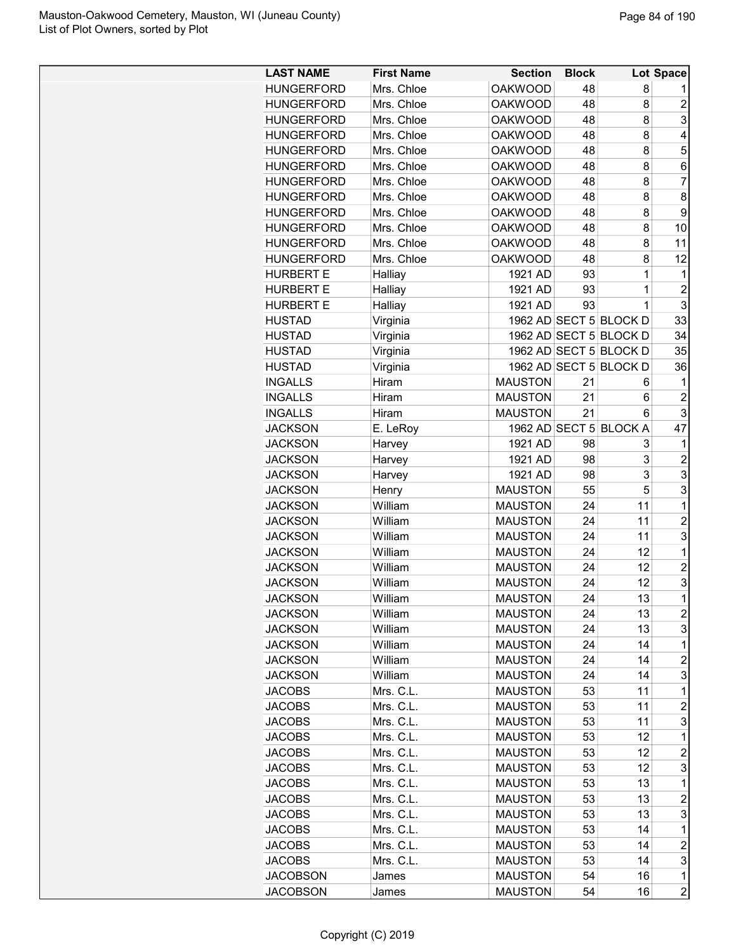| <b>LAST NAME</b>  | <b>First Name</b> | <b>Section</b> | <b>Block</b> |                        | Lot Space      |
|-------------------|-------------------|----------------|--------------|------------------------|----------------|
| <b>HUNGERFORD</b> | Mrs. Chloe        | <b>OAKWOOD</b> | 48           | 8                      |                |
| <b>HUNGERFORD</b> | Mrs. Chloe        | <b>OAKWOOD</b> | 48           | 8                      | $\overline{2}$ |
| <b>HUNGERFORD</b> | Mrs. Chloe        | <b>OAKWOOD</b> | 48           | 8                      | 3              |
| <b>HUNGERFORD</b> | Mrs. Chloe        | <b>OAKWOOD</b> | 48           | 8                      | 4              |
| <b>HUNGERFORD</b> | Mrs. Chloe        | <b>OAKWOOD</b> | 48           | 8                      | 5              |
| <b>HUNGERFORD</b> | Mrs. Chloe        | <b>OAKWOOD</b> | 48           | 8                      | 6              |
| <b>HUNGERFORD</b> | Mrs. Chloe        | <b>OAKWOOD</b> | 48           | 8                      | $\overline{7}$ |
| <b>HUNGERFORD</b> | Mrs. Chloe        | <b>OAKWOOD</b> | 48           | 8                      | 8              |
| <b>HUNGERFORD</b> | Mrs. Chloe        | <b>OAKWOOD</b> | 48           | 8                      | 9              |
| <b>HUNGERFORD</b> | Mrs. Chloe        | <b>OAKWOOD</b> | 48           | 8                      | 10             |
| <b>HUNGERFORD</b> | Mrs. Chloe        | <b>OAKWOOD</b> | 48           | 8                      | 11             |
| <b>HUNGERFORD</b> | Mrs. Chloe        | <b>OAKWOOD</b> | 48           | 8                      | 12             |
| <b>HURBERT E</b>  | Halliay           | 1921 AD        | 93           | 1                      | 1              |
| <b>HURBERT E</b>  | Halliay           | 1921 AD        | 93           | 1                      | $\overline{c}$ |
| <b>HURBERT E</b>  | Halliay           | 1921 AD        | 93           | 1                      | 3              |
| <b>HUSTAD</b>     | Virginia          |                |              | 1962 AD SECT 5 BLOCK D | 33             |
| <b>HUSTAD</b>     | Virginia          |                |              | 1962 AD SECT 5 BLOCK D | 34             |
| <b>HUSTAD</b>     | Virginia          |                |              | 1962 AD SECT 5 BLOCK D | 35             |
| <b>HUSTAD</b>     |                   |                |              | 1962 AD SECT 5 BLOCK D | 36             |
| <b>INGALLS</b>    | Virginia<br>Hiram | <b>MAUSTON</b> | 21           |                        | 1              |
|                   | Hiram             | <b>MAUSTON</b> | 21           | 6<br>6                 | $\overline{c}$ |
| <b>INGALLS</b>    |                   |                |              |                        |                |
| <b>INGALLS</b>    | Hiram             | <b>MAUSTON</b> | 21           | 6                      | 3              |
| <b>JACKSON</b>    | E. LeRoy          |                |              | 1962 AD SECT 5 BLOCK A | 47             |
| <b>JACKSON</b>    | Harvey            | 1921 AD        | 98           | 3                      | 1              |
| <b>JACKSON</b>    | Harvey            | 1921 AD        | 98           | 3                      | $\overline{2}$ |
| <b>JACKSON</b>    | Harvey            | 1921 AD        | 98           | 3                      | 3              |
| <b>JACKSON</b>    | Henry             | <b>MAUSTON</b> | 55           | 5                      | 3              |
| <b>JACKSON</b>    | William           | <b>MAUSTON</b> | 24           | 11                     | 1              |
| <b>JACKSON</b>    | William           | <b>MAUSTON</b> | 24           | 11                     | $\overline{2}$ |
| <b>JACKSON</b>    | William           | <b>MAUSTON</b> | 24           | 11                     | 3              |
| <b>JACKSON</b>    | William           | <b>MAUSTON</b> | 24           | 12                     | 1              |
| <b>JACKSON</b>    | William           | <b>MAUSTON</b> | 24           | 12                     | $\overline{c}$ |
| <b>JACKSON</b>    | William           | <b>MAUSTON</b> | 24           | 12                     | 3              |
| <b>JACKSON</b>    | William           | <b>MAUSTON</b> | 24           | 13                     | $\mathbf 1$    |
| <b>JACKSON</b>    | William           | <b>MAUSTON</b> | 24           | 13                     | $\overline{2}$ |
| <b>JACKSON</b>    | William           | <b>MAUSTON</b> | 24           | 13                     | 3              |
| <b>JACKSON</b>    | William           | <b>MAUSTON</b> | 24           | 14                     | 1              |
| <b>JACKSON</b>    | William           | <b>MAUSTON</b> | 24           | 14                     | $\overline{c}$ |
| <b>JACKSON</b>    | William           | <b>MAUSTON</b> | 24           | 14                     | 3              |
| <b>JACOBS</b>     | Mrs. C.L.         | <b>MAUSTON</b> | 53           | 11                     | 1              |
| <b>JACOBS</b>     | Mrs. C.L.         | <b>MAUSTON</b> | 53           | 11                     | $\overline{c}$ |
| <b>JACOBS</b>     | Mrs. C.L.         | <b>MAUSTON</b> | 53           | 11                     | 3              |
| <b>JACOBS</b>     | Mrs. C.L.         | <b>MAUSTON</b> | 53           | 12                     | 1              |
| <b>JACOBS</b>     | Mrs. C.L.         | <b>MAUSTON</b> | 53           | 12                     | 2              |
| <b>JACOBS</b>     | Mrs. C.L.         | <b>MAUSTON</b> | 53           | 12                     | 3              |
| <b>JACOBS</b>     | Mrs. C.L.         | <b>MAUSTON</b> | 53           | 13                     | 1              |
| <b>JACOBS</b>     | Mrs. C.L.         | <b>MAUSTON</b> | 53           | 13                     | $\overline{2}$ |
| <b>JACOBS</b>     | Mrs. C.L.         | <b>MAUSTON</b> | 53           | 13                     | 3              |
| <b>JACOBS</b>     | Mrs. C.L.         | <b>MAUSTON</b> | 53           | 14                     | 1              |
| <b>JACOBS</b>     | Mrs. C.L.         | <b>MAUSTON</b> | 53           | 14                     | $\overline{c}$ |
| <b>JACOBS</b>     | Mrs. C.L.         | <b>MAUSTON</b> | 53           | 14                     | 3              |
| <b>JACOBSON</b>   |                   | <b>MAUSTON</b> | 54           | 16                     | 1              |
| <b>JACOBSON</b>   | James             | <b>MAUSTON</b> | 54           |                        | $\overline{2}$ |
|                   | James             |                |              | 16                     |                |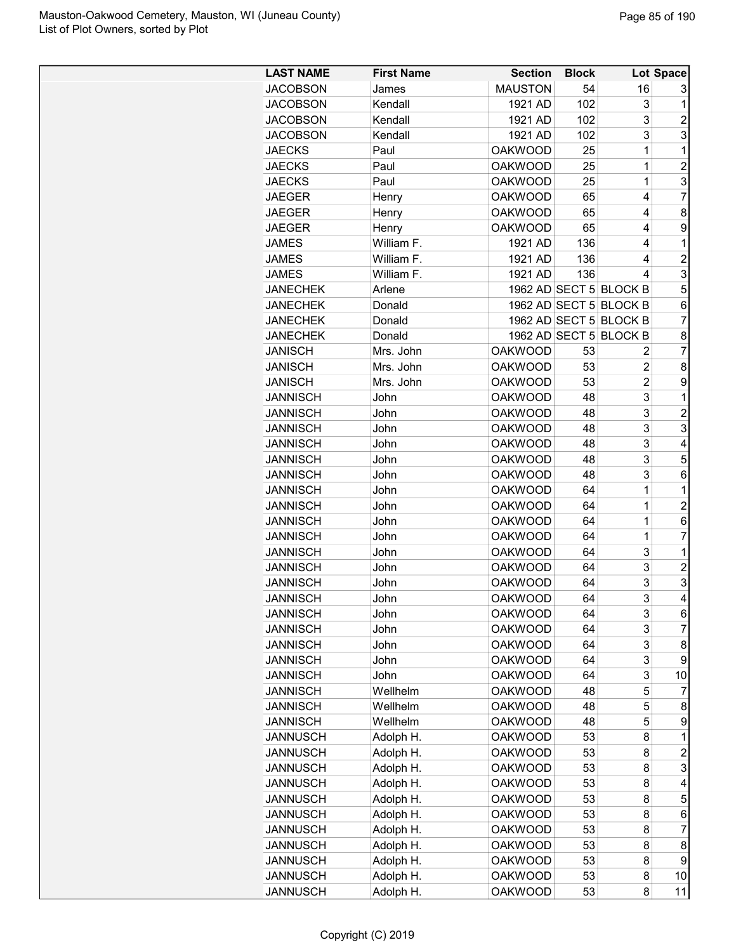| <b>LAST NAME</b> | <b>First Name</b> | <b>Section</b> | <b>Block</b> |                        | Lot Space      |
|------------------|-------------------|----------------|--------------|------------------------|----------------|
| <b>JACOBSON</b>  | James             | <b>MAUSTON</b> | 54           | 16                     | 3              |
| <b>JACOBSON</b>  | Kendall           | 1921 AD        | 102          | 3                      | $\mathbf 1$    |
| <b>JACOBSON</b>  | Kendall           | 1921 AD        | 102          | 3                      | 2              |
| <b>JACOBSON</b>  | Kendall           | 1921 AD        | 102          | 3                      | 3              |
| <b>JAECKS</b>    | Paul              | <b>OAKWOOD</b> | 25           | 1                      | 1              |
| <b>JAECKS</b>    | Paul              | <b>OAKWOOD</b> | 25           | 1                      | $\overline{2}$ |
| <b>JAECKS</b>    | Paul              | <b>OAKWOOD</b> | 25           | 1                      | 3              |
| <b>JAEGER</b>    | Henry             | <b>OAKWOOD</b> | 65           | 4                      | $\overline{7}$ |
| <b>JAEGER</b>    | Henry             | <b>OAKWOOD</b> | 65           | 4                      | 8              |
| <b>JAEGER</b>    | Henry             | <b>OAKWOOD</b> | 65           | 4                      | 9              |
| <b>JAMES</b>     | William F.        | 1921 AD        | 136          | 4                      | 1              |
| <b>JAMES</b>     | William F.        | 1921 AD        | 136          | 4                      | $\overline{c}$ |
| <b>JAMES</b>     | William F.        | 1921 AD        | 136          | 4                      | 3              |
| <b>JANECHEK</b>  | Arlene            |                |              | 1962 AD SECT 5 BLOCK B | 5              |
| <b>JANECHEK</b>  | Donald            |                |              | 1962 AD SECT 5 BLOCK B | 6              |
|                  |                   |                |              |                        |                |
| <b>JANECHEK</b>  | Donald            |                |              | 1962 AD SECT 5 BLOCK B | $\overline{7}$ |
| <b>JANECHEK</b>  | Donald            |                |              | 1962 AD SECT 5 BLOCK B | 8              |
| <b>JANISCH</b>   | Mrs. John         | <b>OAKWOOD</b> | 53           | 2                      | 7              |
| <b>JANISCH</b>   | Mrs. John         | <b>OAKWOOD</b> | 53           | 2                      | 8              |
| <b>JANISCH</b>   | Mrs. John         | <b>OAKWOOD</b> | 53           | 2                      | 9              |
| <b>JANNISCH</b>  | John              | <b>OAKWOOD</b> | 48           | 3                      | 1              |
| <b>JANNISCH</b>  | John              | <b>OAKWOOD</b> | 48           | 3                      | $\overline{2}$ |
| <b>JANNISCH</b>  | John              | <b>OAKWOOD</b> | 48           | 3                      | 3              |
| <b>JANNISCH</b>  | John              | <b>OAKWOOD</b> | 48           | 3                      | 4              |
| <b>JANNISCH</b>  | John              | <b>OAKWOOD</b> | 48           | 3                      | 5              |
| <b>JANNISCH</b>  | John              | <b>OAKWOOD</b> | 48           | 3                      | 6              |
| <b>JANNISCH</b>  | John              | <b>OAKWOOD</b> | 64           | 1                      | 1              |
| <b>JANNISCH</b>  | John              | <b>OAKWOOD</b> | 64           | 1                      | $\overline{c}$ |
| <b>JANNISCH</b>  | John              | <b>OAKWOOD</b> | 64           | 1                      | 6              |
| <b>JANNISCH</b>  | John              | <b>OAKWOOD</b> | 64           | 1                      | 7              |
| <b>JANNISCH</b>  | John              | <b>OAKWOOD</b> | 64           | 3                      | 1              |
| <b>JANNISCH</b>  | John              | <b>OAKWOOD</b> | 64           | 3                      | $\overline{2}$ |
| <b>JANNISCH</b>  | John              | <b>OAKWOOD</b> | 64           | 3                      | 3              |
| <b>JANNISCH</b>  | John              | <b>OAKWOOD</b> | 64           | 3                      | 4              |
| <b>JANNISCH</b>  | John              | <b>OAKWOOD</b> | 64           | 3                      | 6              |
| <b>JANNISCH</b>  | John              | <b>OAKWOOD</b> | 64           | 3                      | 7              |
| <b>JANNISCH</b>  | John              | <b>OAKWOOD</b> | 64           | 3                      | 8              |
| <b>JANNISCH</b>  | John              | <b>OAKWOOD</b> | 64           | 3                      | 9              |
| <b>JANNISCH</b>  | John              | <b>OAKWOOD</b> | 64           | 3                      | 10             |
| <b>JANNISCH</b>  | Wellhelm          | <b>OAKWOOD</b> | 48           | 5                      | 7              |
| <b>JANNISCH</b>  | Wellhelm          | <b>OAKWOOD</b> | 48           | 5                      | 8              |
| <b>JANNISCH</b>  | Wellhelm          | <b>OAKWOOD</b> | 48           | 5                      | 9              |
|                  |                   |                |              |                        |                |
| <b>JANNUSCH</b>  | Adolph H.         | <b>OAKWOOD</b> | 53           | 8                      | 1              |
| <b>JANNUSCH</b>  | Adolph H.         | <b>OAKWOOD</b> | 53           | 8                      | $\overline{c}$ |
| <b>JANNUSCH</b>  | Adolph H.         | <b>OAKWOOD</b> | 53           | 8                      | 3              |
| <b>JANNUSCH</b>  | Adolph H.         | <b>OAKWOOD</b> | 53           | 8                      | 4              |
| <b>JANNUSCH</b>  | Adolph H.         | <b>OAKWOOD</b> | 53           | 8                      | 5              |
| <b>JANNUSCH</b>  | Adolph H.         | <b>OAKWOOD</b> | 53           | 8                      | 6              |
| <b>JANNUSCH</b>  | Adolph H.         | <b>OAKWOOD</b> | 53           | 8                      | 7              |
| <b>JANNUSCH</b>  | Adolph H.         | <b>OAKWOOD</b> | 53           | 8                      | 8              |
| <b>JANNUSCH</b>  | Adolph H.         | <b>OAKWOOD</b> | 53           | 8                      | 9              |
| <b>JANNUSCH</b>  | Adolph H.         | <b>OAKWOOD</b> | 53           | 8                      | 10             |
| <b>JANNUSCH</b>  | Adolph H.         | <b>OAKWOOD</b> | 53           | 8                      | 11             |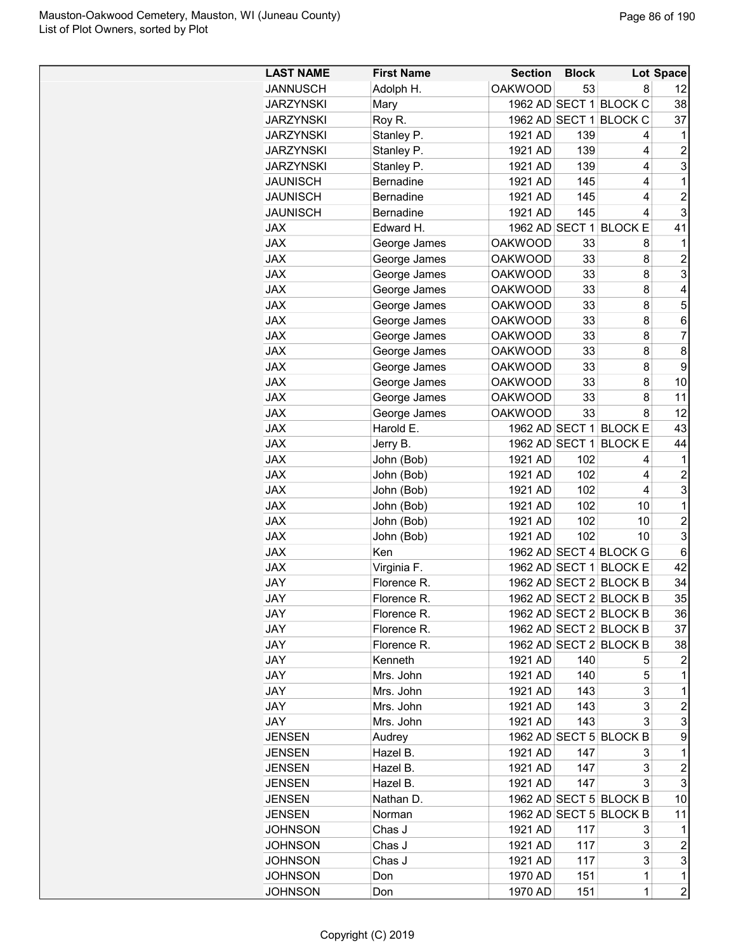| <b>LAST NAME</b> | <b>First Name</b> | <b>Section</b> | <b>Block</b> |                        | Lot Space             |
|------------------|-------------------|----------------|--------------|------------------------|-----------------------|
| <b>JANNUSCH</b>  | Adolph H.         | <b>OAKWOOD</b> | 53           | 8                      | 12                    |
| <b>JARZYNSKI</b> | Mary              |                |              | 1962 AD SECT 1 BLOCK C | 38                    |
| <b>JARZYNSKI</b> | Roy R.            |                |              | 1962 AD SECT 1 BLOCK C | 37                    |
| <b>JARZYNSKI</b> | Stanley P.        | 1921 AD        | 139          | 4                      | 1                     |
| <b>JARZYNSKI</b> | Stanley P.        | 1921 AD        | 139          | 4                      | $\overline{c}$        |
| <b>JARZYNSKI</b> | Stanley P.        | 1921 AD        | 139          | 4                      | 3                     |
| <b>JAUNISCH</b>  | <b>Bernadine</b>  | 1921 AD        | 145          | 4                      | 1                     |
| <b>JAUNISCH</b>  | <b>Bernadine</b>  | 1921 AD        | 145          | 4                      | $\overline{2}$        |
| <b>JAUNISCH</b>  | <b>Bernadine</b>  | 1921 AD        | 145          | 4                      | 3                     |
| <b>JAX</b>       | Edward H.         |                |              | 1962 AD SECT 1 BLOCK E | 41                    |
| <b>JAX</b>       | George James      | <b>OAKWOOD</b> | 33           | 8                      | 1                     |
| <b>JAX</b>       | George James      | <b>OAKWOOD</b> | 33           | 8                      | $\overline{c}$        |
| <b>JAX</b>       | George James      | <b>OAKWOOD</b> | 33           | 8                      | 3                     |
| <b>JAX</b>       | George James      | <b>OAKWOOD</b> | 33           | 8                      | 4                     |
| <b>JAX</b>       | George James      | <b>OAKWOOD</b> | 33           | 8                      | 5                     |
| <b>JAX</b>       | George James      | <b>OAKWOOD</b> | 33           | 8                      | 6                     |
| <b>JAX</b>       | George James      | <b>OAKWOOD</b> | 33           | 8                      | 7                     |
| <b>JAX</b>       | George James      | <b>OAKWOOD</b> | 33           | 8                      | 8                     |
| <b>JAX</b>       | George James      | <b>OAKWOOD</b> | 33           | 8                      | 9                     |
| <b>JAX</b>       | George James      | <b>OAKWOOD</b> | 33           | 8                      | 10                    |
| <b>JAX</b>       | George James      | <b>OAKWOOD</b> | 33           | 8                      | 11                    |
| <b>JAX</b>       | George James      | <b>OAKWOOD</b> | 33           | 8                      | 12                    |
| <b>JAX</b>       | Harold E.         |                |              | 1962 AD SECT 1 BLOCK E | 43                    |
| <b>JAX</b>       | Jerry B.          | 1962 AD SECT 1 |              | <b>BLOCK E</b>         | 44                    |
| <b>JAX</b>       | John (Bob)        | 1921 AD        | 102          | 4                      | 1                     |
| <b>JAX</b>       | John (Bob)        | 1921 AD        | 102          | 4                      | $\overline{2}$        |
| <b>JAX</b>       | John (Bob)        | 1921 AD        | 102          | 4                      | 3                     |
| <b>JAX</b>       | John (Bob)        | 1921 AD        | 102          | 10                     | 1                     |
| <b>JAX</b>       | John (Bob)        | 1921 AD        | 102          | 10                     | $\overline{c}$        |
| <b>JAX</b>       | John (Bob)        | 1921 AD        | 102          | 10                     | 3                     |
| <b>JAX</b>       | Ken               |                |              | 1962 AD SECT 4 BLOCK G | 6                     |
| <b>JAX</b>       | Virginia F.       |                |              | 1962 AD SECT 1 BLOCK E | 42                    |
| <b>JAY</b>       | Florence R.       |                |              | 1962 AD SECT 2 BLOCK B | 34                    |
| JAY              | <b>Florence R</b> |                |              | 1962 AD SECT 2 BLOCK B | 35                    |
| JAY              | Florence R.       |                |              | 1962 AD SECT 2 BLOCK B | 36                    |
| JAY              | Florence R.       |                |              | 1962 AD SECT 2 BLOCK B | 37                    |
| JAY              | Florence R.       |                |              | 1962 AD SECT 2 BLOCK B | 38                    |
| JAY              | Kenneth           | 1921 AD        | 140          | 5                      | 2                     |
| JAY              | Mrs. John         | 1921 AD        | 140          | 5                      | 1                     |
| JAY              | Mrs. John         | 1921 AD        | 143          | 3                      | 1                     |
| JAY              | Mrs. John         | 1921 AD        | 143          | 3                      | $\overline{c}$        |
| JAY              | Mrs. John         | 1921 AD        | 143          | 3                      | 3                     |
| <b>JENSEN</b>    | Audrey            |                |              | 1962 AD SECT 5 BLOCK B | 9                     |
| <b>JENSEN</b>    | Hazel B.          | 1921 AD        | 147          | 3                      | 1                     |
| <b>JENSEN</b>    | Hazel B.          | 1921 AD        | 147          | 3                      | $\overline{c}$        |
| <b>JENSEN</b>    | Hazel B.          | 1921 AD        | 147          | 3                      | 3                     |
| <b>JENSEN</b>    | Nathan D.         |                |              | 1962 AD SECT 5 BLOCK B | 10                    |
| <b>JENSEN</b>    | Norman            |                |              | 1962 AD SECT 5 BLOCK B | 11                    |
|                  |                   |                |              |                        | 1                     |
| <b>JOHNSON</b>   | Chas J            | 1921 AD        | 117          | 3<br>3                 |                       |
| <b>JOHNSON</b>   | Chas J            | 1921 AD        | 117          | 3                      | $\boldsymbol{2}$<br>3 |
| <b>JOHNSON</b>   | Chas J            | 1921 AD        | 117          |                        |                       |
| <b>JOHNSON</b>   | Don               | 1970 AD        | 151          | $\mathbf 1$            | 1                     |
| <b>JOHNSON</b>   | Don               | 1970 AD        | 151          | $\mathbf 1$            | $\overline{c}$        |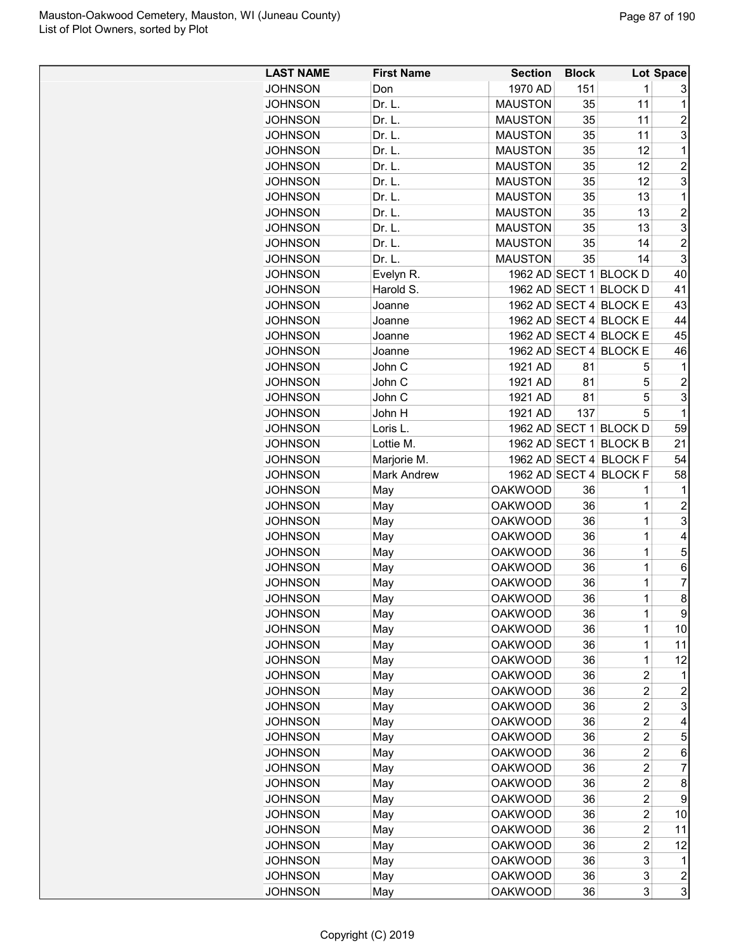| <b>LAST NAME</b> | <b>First Name</b>  | <b>Section</b> | <b>Block</b> |                        | Lot Space      |
|------------------|--------------------|----------------|--------------|------------------------|----------------|
| <b>JOHNSON</b>   | Don                | 1970 AD        | 151          | 1                      | 3              |
| <b>JOHNSON</b>   | Dr. L.             | <b>MAUSTON</b> | 35           | 11                     | 1              |
| <b>JOHNSON</b>   | Dr. L.             | <b>MAUSTON</b> | 35           | 11                     | 2              |
| <b>JOHNSON</b>   | Dr. L.             | <b>MAUSTON</b> | 35           | 11                     | 3              |
| <b>JOHNSON</b>   | Dr. L.             | <b>MAUSTON</b> | 35           | 12                     | 1              |
| <b>JOHNSON</b>   | Dr. L.             | <b>MAUSTON</b> | 35           | 12                     | $\overline{c}$ |
| <b>JOHNSON</b>   | Dr. L.             | <b>MAUSTON</b> | 35           | 12                     | 3              |
| <b>JOHNSON</b>   | Dr. L.             | <b>MAUSTON</b> | 35           | 13                     | 1              |
| <b>JOHNSON</b>   | Dr. L.             | <b>MAUSTON</b> | 35           | 13                     | $\overline{c}$ |
| <b>JOHNSON</b>   | Dr. L.             | <b>MAUSTON</b> | 35           | 13                     | 3              |
| <b>JOHNSON</b>   | Dr. L.             | <b>MAUSTON</b> | 35           | 14                     | $\overline{c}$ |
| <b>JOHNSON</b>   | Dr. L.             | <b>MAUSTON</b> | 35           | 14                     | 3              |
| <b>JOHNSON</b>   | Evelyn R.          |                |              | 1962 AD SECT 1 BLOCK D | 40             |
| <b>JOHNSON</b>   | Harold S.          |                |              | 1962 AD SECT 1 BLOCK D | 41             |
| <b>JOHNSON</b>   | Joanne             |                |              | 1962 AD SECT 4 BLOCK E | 43             |
| <b>JOHNSON</b>   | Joanne             |                |              | 1962 AD SECT 4 BLOCK E | 44             |
| <b>JOHNSON</b>   | Joanne             |                |              | 1962 AD SECT 4 BLOCK E | 45             |
| JOHNSON          | Joanne             |                |              | 1962 AD SECT 4 BLOCK E | 46             |
| <b>JOHNSON</b>   | John C             | 1921 AD        | 81           | 5                      | $\mathbf 1$    |
| <b>JOHNSON</b>   | John C             | 1921 AD        | 81           | 5                      | $\overline{c}$ |
| <b>JOHNSON</b>   | John C             | 1921 AD        | 81           | 5                      | 3              |
| <b>JOHNSON</b>   | John H             | 1921 AD        | 137          | 5                      | 1              |
| <b>JOHNSON</b>   | Loris L.           |                |              | 1962 AD SECT 1 BLOCK D | 59             |
|                  | Lottie M.          |                |              | 1962 AD SECT 1 BLOCK B | 21             |
| <b>JOHNSON</b>   |                    |                |              |                        |                |
| <b>JOHNSON</b>   | Marjorie M.        |                |              | 1962 AD SECT 4 BLOCK F | 54             |
| <b>JOHNSON</b>   | <b>Mark Andrew</b> |                |              | 1962 AD SECT 4 BLOCK F | 58             |
| <b>JOHNSON</b>   | May                | <b>OAKWOOD</b> | 36           | 1                      | 1              |
| <b>JOHNSON</b>   | May                | <b>OAKWOOD</b> | 36           | 1                      | $\overline{c}$ |
| <b>JOHNSON</b>   | May                | <b>OAKWOOD</b> | 36           | 1                      | 3              |
| <b>JOHNSON</b>   | May                | <b>OAKWOOD</b> | 36           | 1                      | 4              |
| <b>JOHNSON</b>   | May                | <b>OAKWOOD</b> | 36           | 1                      | 5              |
| JOHNSON          | May                | <b>OAKWOOD</b> | 36           | 1                      | 6              |
| <b>JOHNSON</b>   | May                | <b>OAKWOOD</b> | 36           | 1                      | 7              |
| <b>JOHNSON</b>   | May                | <b>OAKWOOD</b> | 36           | 1                      | 8              |
| <b>JOHNSON</b>   | May                | <b>OAKWOOD</b> | 36           | 1                      | 9              |
| <b>JOHNSON</b>   | May                | <b>OAKWOOD</b> | 36           | $\mathbf 1$            | 10             |
| <b>JOHNSON</b>   | May                | <b>OAKWOOD</b> | 36           | $\mathbf 1$            | 11             |
| <b>JOHNSON</b>   | May                | <b>OAKWOOD</b> | 36           | $\mathbf 1$            | 12             |
| <b>JOHNSON</b>   | May                | <b>OAKWOOD</b> | 36           | 2                      | 1              |
| <b>JOHNSON</b>   | May                | <b>OAKWOOD</b> | 36           | 2                      | 2              |
| <b>JOHNSON</b>   | May                | <b>OAKWOOD</b> | 36           | 2                      | 3              |
| <b>JOHNSON</b>   | May                | <b>OAKWOOD</b> | 36           | 2                      | 4              |
| <b>JOHNSON</b>   | May                | <b>OAKWOOD</b> | 36           | $\overline{c}$         | 5              |
| <b>JOHNSON</b>   | May                | <b>OAKWOOD</b> | 36           | 2                      | 6              |
| <b>JOHNSON</b>   | May                | <b>OAKWOOD</b> | 36           | $\overline{c}$         | 7              |
| <b>JOHNSON</b>   | May                | <b>OAKWOOD</b> | 36           | 2                      | 8              |
| <b>JOHNSON</b>   | May                | <b>OAKWOOD</b> | 36           | 2                      | 9              |
| <b>JOHNSON</b>   | May                | <b>OAKWOOD</b> | 36           | $\overline{2}$         | 10             |
| <b>JOHNSON</b>   | May                | <b>OAKWOOD</b> | 36           | 2                      | 11             |
| <b>JOHNSON</b>   | May                | <b>OAKWOOD</b> | 36           | $\overline{c}$         | 12             |
| <b>JOHNSON</b>   | May                | <b>OAKWOOD</b> | 36           | 3                      | 1              |
| <b>JOHNSON</b>   | May                | <b>OAKWOOD</b> | 36           | 3                      | 2              |
| <b>JOHNSON</b>   | May                | <b>OAKWOOD</b> | 36           | 3                      | 3              |
|                  |                    |                |              |                        |                |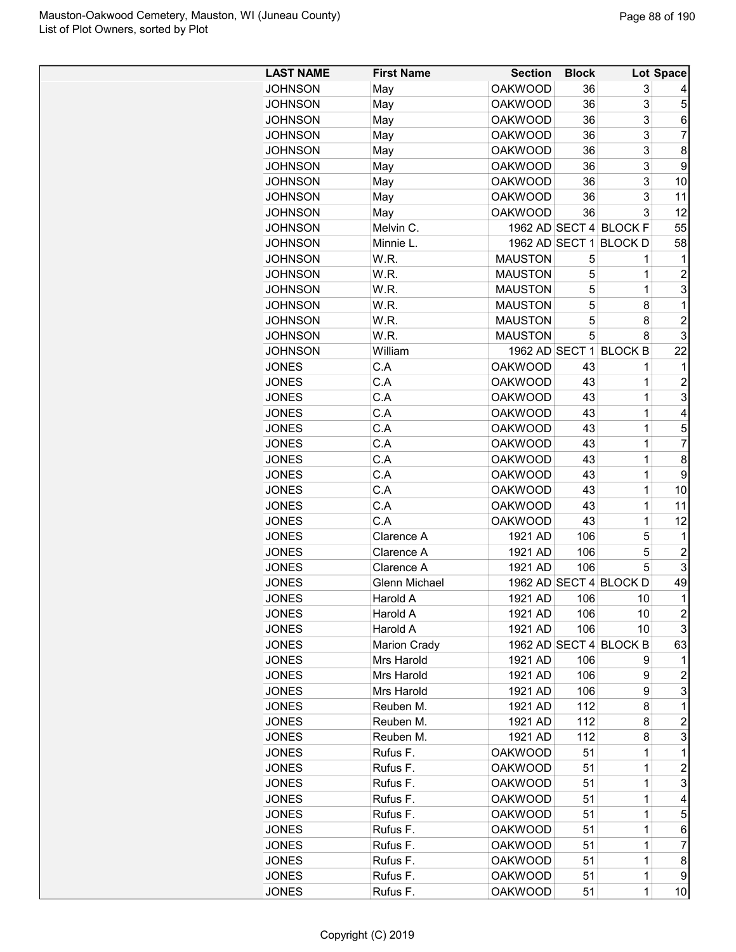| <b>LAST NAME</b> | <b>First Name</b>   | <b>Section</b> | <b>Block</b> |                        | Lot Space      |
|------------------|---------------------|----------------|--------------|------------------------|----------------|
| <b>JOHNSON</b>   | May                 | <b>OAKWOOD</b> | 36           | 3                      | 4              |
| <b>JOHNSON</b>   | May                 | <b>OAKWOOD</b> | 36           | 3                      | 5              |
| <b>JOHNSON</b>   | May                 | <b>OAKWOOD</b> | 36           | 3                      | 6              |
| <b>JOHNSON</b>   | May                 | <b>OAKWOOD</b> | 36           | 3                      | 7              |
| <b>JOHNSON</b>   | May                 | <b>OAKWOOD</b> | 36           | 3                      | 8              |
| <b>JOHNSON</b>   | May                 | <b>OAKWOOD</b> | 36           | 3                      | 9              |
| <b>JOHNSON</b>   | May                 | <b>OAKWOOD</b> | 36           | 3                      | 10             |
| <b>JOHNSON</b>   | May                 | <b>OAKWOOD</b> | 36           | 3                      | 11             |
| <b>JOHNSON</b>   | May                 | <b>OAKWOOD</b> | 36           | 3                      | 12             |
| <b>JOHNSON</b>   | Melvin C.           |                |              | 1962 AD SECT 4 BLOCK F | 55             |
| <b>JOHNSON</b>   | Minnie L.           | 1962 AD SECT 1 |              | <b>BLOCKD</b>          | 58             |
| <b>JOHNSON</b>   | W.R.                | <b>MAUSTON</b> | 5            | 1                      | 1              |
| <b>JOHNSON</b>   | W.R.                | <b>MAUSTON</b> | 5            | 1                      | 2              |
| <b>JOHNSON</b>   | W.R.                | <b>MAUSTON</b> | 5            | 1                      | 3              |
| <b>JOHNSON</b>   | W.R.                | <b>MAUSTON</b> | 5            | 8                      | 1              |
| <b>JOHNSON</b>   | W.R.                | <b>MAUSTON</b> | 5            | 8                      | $\overline{c}$ |
| <b>JOHNSON</b>   | W.R.                | <b>MAUSTON</b> | 5            | 8                      | 3              |
| <b>JOHNSON</b>   | William             | 1962 AD SECT 1 |              | <b>BLOCK B</b>         | 22             |
| <b>JONES</b>     | C.A                 | <b>OAKWOOD</b> | 43           | 1                      | 1              |
| <b>JONES</b>     | C.A                 | <b>OAKWOOD</b> | 43           | 1                      | 2              |
| <b>JONES</b>     | C.A                 | <b>OAKWOOD</b> | 43           | 1                      | 3              |
|                  | C.A                 | <b>OAKWOOD</b> | 43           |                        | 4              |
| <b>JONES</b>     |                     |                |              | 1                      |                |
| <b>JONES</b>     | C.A                 | <b>OAKWOOD</b> | 43           | 1                      | 5              |
| <b>JONES</b>     | C.A                 | <b>OAKWOOD</b> | 43           | 1                      | 7              |
| <b>JONES</b>     | C.A                 | <b>OAKWOOD</b> | 43           | 1                      | 8              |
| <b>JONES</b>     | C.A                 | <b>OAKWOOD</b> | 43           | 1                      | 9              |
| <b>JONES</b>     | C.A                 | <b>OAKWOOD</b> | 43           | 1                      | 10             |
| <b>JONES</b>     | C.A                 | <b>OAKWOOD</b> | 43           | 1                      | 11             |
| <b>JONES</b>     | C.A                 | <b>OAKWOOD</b> | 43           | 1                      | 12             |
| <b>JONES</b>     | Clarence A          | 1921 AD        | 106          | 5                      | $\mathbf 1$    |
| <b>JONES</b>     | Clarence A          | 1921 AD        | 106          | 5                      | $\overline{c}$ |
| <b>JONES</b>     | Clarence A          | 1921 AD        | 106          | 5                      | 3              |
| <b>JONES</b>     | Glenn Michael       |                |              | 1962 AD SECT 4 BLOCK D | 49             |
| <b>JONES</b>     | Harold A            | 1921 AD        | 106          | 10                     | 1              |
| <b>JONES</b>     | Harold A            | 1921 AD        | 106          | 10                     | $\overline{c}$ |
| <b>JONES</b>     | Harold A            | 1921 AD        | 106          | 10                     | 3              |
| <b>JONES</b>     | <b>Marion Crady</b> |                |              | 1962 AD SECT 4 BLOCK B | 63             |
| <b>JONES</b>     | Mrs Harold          | 1921 AD        | 106          | 9                      | 1              |
| <b>JONES</b>     | Mrs Harold          | 1921 AD        | 106          | 9                      | $\overline{c}$ |
| <b>JONES</b>     | Mrs Harold          | 1921 AD        | 106          | 9                      | 3              |
| <b>JONES</b>     | Reuben M.           | 1921 AD        | 112          | 8                      | $\mathbf 1$    |
| <b>JONES</b>     | Reuben M.           | 1921 AD        | 112          | 8                      | 2              |
| <b>JONES</b>     | Reuben M.           | 1921 AD        | 112          | 8                      | 3              |
| <b>JONES</b>     | Rufus F.            | <b>OAKWOOD</b> | 51           | 1                      | $\mathbf 1$    |
| <b>JONES</b>     | Rufus F.            | <b>OAKWOOD</b> | 51           | 1                      | $\overline{c}$ |
| <b>JONES</b>     | Rufus F.            | <b>OAKWOOD</b> | 51           | 1                      | 3              |
| <b>JONES</b>     | Rufus F.            | <b>OAKWOOD</b> | 51           | 1                      | 4              |
| <b>JONES</b>     | Rufus F.            | <b>OAKWOOD</b> | 51           | 1                      | 5              |
| <b>JONES</b>     | Rufus F.            | <b>OAKWOOD</b> | 51           | $\mathbf 1$            | 6              |
| <b>JONES</b>     | Rufus F.            | <b>OAKWOOD</b> | 51           | 1                      | 7              |
| <b>JONES</b>     | Rufus F.            | <b>OAKWOOD</b> | 51           | 1                      | 8              |
| <b>JONES</b>     | Rufus F.            | <b>OAKWOOD</b> | 51           | 1                      | 9              |
| <b>JONES</b>     | Rufus F.            | <b>OAKWOOD</b> | 51           | 1                      | 10             |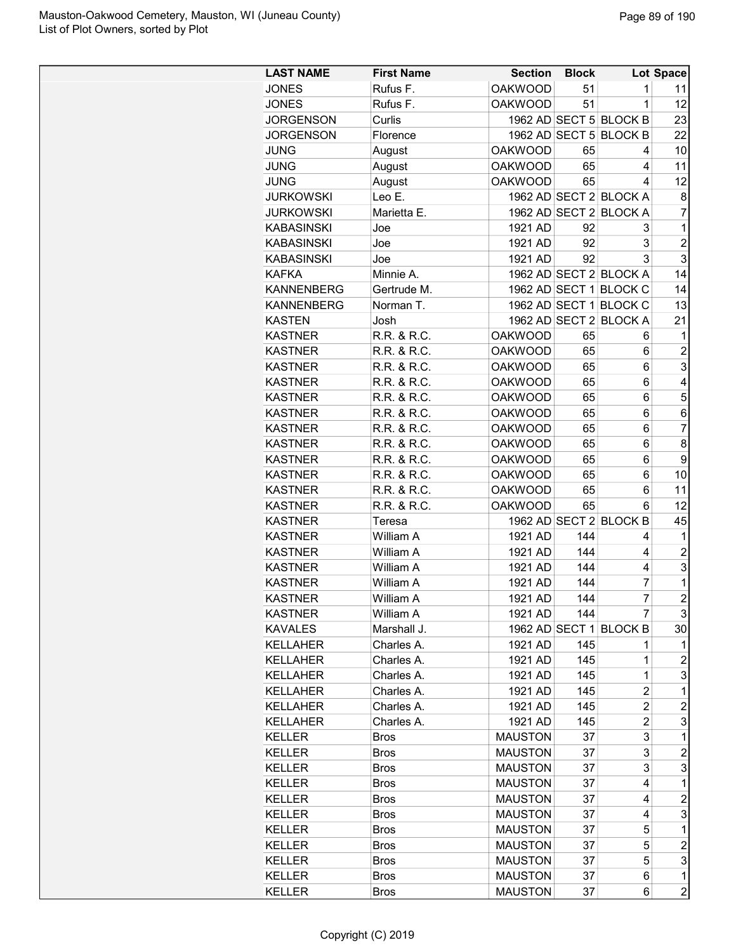| <b>LAST NAME</b>                 | <b>First Name</b> | <b>Section</b>                   | <b>Block</b> |                        | <b>Lot Space</b> |
|----------------------------------|-------------------|----------------------------------|--------------|------------------------|------------------|
| <b>JONES</b>                     | Rufus F.          | <b>OAKWOOD</b>                   | 51           | 1                      | 11               |
| <b>JONES</b>                     | Rufus F.          | <b>OAKWOOD</b>                   | 51           | $\mathbf 1$            | 12               |
| <b>JORGENSON</b>                 | Curlis            |                                  |              | 1962 AD SECT 5 BLOCK B | 23               |
| <b>JORGENSON</b>                 | Florence          |                                  |              | 1962 AD SECT 5 BLOCK B | 22               |
| <b>JUNG</b>                      | August            | <b>OAKWOOD</b>                   | 65           | 4                      | 10               |
| <b>JUNG</b>                      | August            | <b>OAKWOOD</b>                   | 65           | 4                      | 11               |
| <b>JUNG</b>                      | August            | <b>OAKWOOD</b>                   | 65           | 4                      | 12               |
| <b>JURKOWSKI</b>                 | Leo E.            |                                  |              | 1962 AD SECT 2 BLOCK A | 8                |
| <b>JURKOWSKI</b>                 | Marietta E.       |                                  |              | 1962 AD SECT 2 BLOCK A | $\overline{7}$   |
| <b>KABASINSKI</b>                | Joe               | 1921 AD                          | 92           | 3                      | 1                |
| <b>KABASINSKI</b>                | Joe               | 1921 AD                          | 92           | 3                      | $\overline{2}$   |
| <b>KABASINSKI</b>                | Joe               | 1921 AD                          | 92           | 3                      | 3                |
| <b>KAFKA</b>                     | Minnie A.         |                                  |              | 1962 AD SECT 2 BLOCK A | 14               |
| <b>KANNENBERG</b>                | Gertrude M.       |                                  |              | 1962 AD SECT 1 BLOCK C | 14               |
| <b>KANNENBERG</b>                | Norman T.         |                                  |              | 1962 AD SECT 1 BLOCK C | 13               |
| <b>KASTEN</b>                    | Josh              |                                  |              | 1962 AD SECT 2 BLOCK A | 21               |
| <b>KASTNER</b>                   | R.R. & R.C.       | <b>OAKWOOD</b>                   | 65           | 6                      | 1                |
| <b>KASTNER</b>                   | R.R. & R.C.       | <b>OAKWOOD</b>                   | 65           | 6                      | $\overline{c}$   |
| <b>KASTNER</b>                   | R.R. & R.C.       | <b>OAKWOOD</b>                   | 65           | 6                      | 3                |
| <b>KASTNER</b>                   | R.R. & R.C.       | <b>OAKWOOD</b>                   | 65           | 6                      | 4                |
| <b>KASTNER</b>                   | R.R. & R.C.       | <b>OAKWOOD</b>                   | 65           | 6                      | 5                |
| <b>KASTNER</b>                   | R.R. & R.C.       | <b>OAKWOOD</b>                   | 65           | 6                      | 6                |
| <b>KASTNER</b>                   | R.R. & R.C.       | <b>OAKWOOD</b>                   | 65           | 6                      | $\overline{7}$   |
|                                  | R.R. & R.C.       |                                  |              | 6                      | 8                |
| <b>KASTNER</b><br><b>KASTNER</b> | R.R. & R.C.       | <b>OAKWOOD</b><br><b>OAKWOOD</b> | 65           |                        | 9                |
| <b>KASTNER</b>                   | R.R. & R.C.       | <b>OAKWOOD</b>                   | 65           | 6<br>6                 | 10               |
| <b>KASTNER</b>                   | R.R. & R.C.       | <b>OAKWOOD</b>                   | 65<br>65     | 6                      | 11               |
|                                  |                   |                                  |              |                        | 12               |
| <b>KASTNER</b>                   | R.R. & R.C.       | <b>OAKWOOD</b>                   | 65           | 6                      |                  |
| <b>KASTNER</b><br><b>KASTNER</b> | Teresa            |                                  |              | 1962 AD SECT 2 BLOCK B | 45               |
|                                  | William A         | 1921 AD                          | 144          | 4                      | 1                |
| <b>KASTNER</b>                   | William A         | 1921 AD                          | 144          | 4                      | $\overline{c}$   |
| <b>KASTNER</b>                   | William A         | 1921 AD                          | 144          | 4                      | 3                |
| <b>KASTNER</b>                   | William A         | 1921 AD                          | 144          | 7                      | 1                |
| <b>KASTNER</b>                   | William A         | 1921 AD                          | 144          | $\overline{7}$         | $\overline{2}$   |
| <b>KASTNER</b>                   | William A         | 1921 AD                          | 144          | 7                      | 3                |
| <b>KAVALES</b>                   | Marshall J.       |                                  |              | 1962 AD SECT 1 BLOCK B | 30               |
| <b>KELLAHER</b>                  | Charles A.        | 1921 AD                          | 145          | 1                      | 1                |
| <b>KELLAHER</b>                  | Charles A.        | 1921 AD                          | 145          | 1                      | $\overline{c}$   |
| <b>KELLAHER</b>                  | Charles A.        | 1921 AD                          | 145          | $\mathbf 1$            | 3                |
| <b>KELLAHER</b>                  | Charles A.        | 1921 AD                          | 145          | 2                      | 1                |
| <b>KELLAHER</b>                  | Charles A.        | 1921 AD                          | 145          | 2                      | $\overline{c}$   |
| <b>KELLAHER</b>                  | Charles A.        | 1921 AD                          | 145          | $\overline{2}$         | 3                |
| <b>KELLER</b>                    | <b>Bros</b>       | <b>MAUSTON</b>                   | 37           | 3                      | 1                |
| <b>KELLER</b>                    | <b>Bros</b>       | <b>MAUSTON</b>                   | 37           | 3                      | $\overline{c}$   |
| <b>KELLER</b>                    | <b>Bros</b>       | <b>MAUSTON</b>                   | 37           | 3                      | 3                |
| <b>KELLER</b>                    | <b>Bros</b>       | <b>MAUSTON</b>                   | 37           | 4                      | 1                |
| <b>KELLER</b>                    | <b>Bros</b>       | <b>MAUSTON</b>                   | 37           | 4                      | $\overline{c}$   |
| <b>KELLER</b>                    | <b>Bros</b>       | <b>MAUSTON</b>                   | 37           | 4                      | 3                |
| <b>KELLER</b>                    | <b>Bros</b>       | <b>MAUSTON</b>                   | 37           | 5                      | 1                |
| <b>KELLER</b>                    | <b>Bros</b>       | <b>MAUSTON</b>                   | 37           | 5                      | $\overline{c}$   |
| <b>KELLER</b>                    | <b>Bros</b>       | <b>MAUSTON</b>                   | 37           | 5                      | 3                |
| <b>KELLER</b>                    | <b>Bros</b>       | <b>MAUSTON</b>                   | 37           | 6                      | 1                |
| <b>KELLER</b>                    | <b>Bros</b>       | <b>MAUSTON</b>                   | 37           | 6                      | $\overline{c}$   |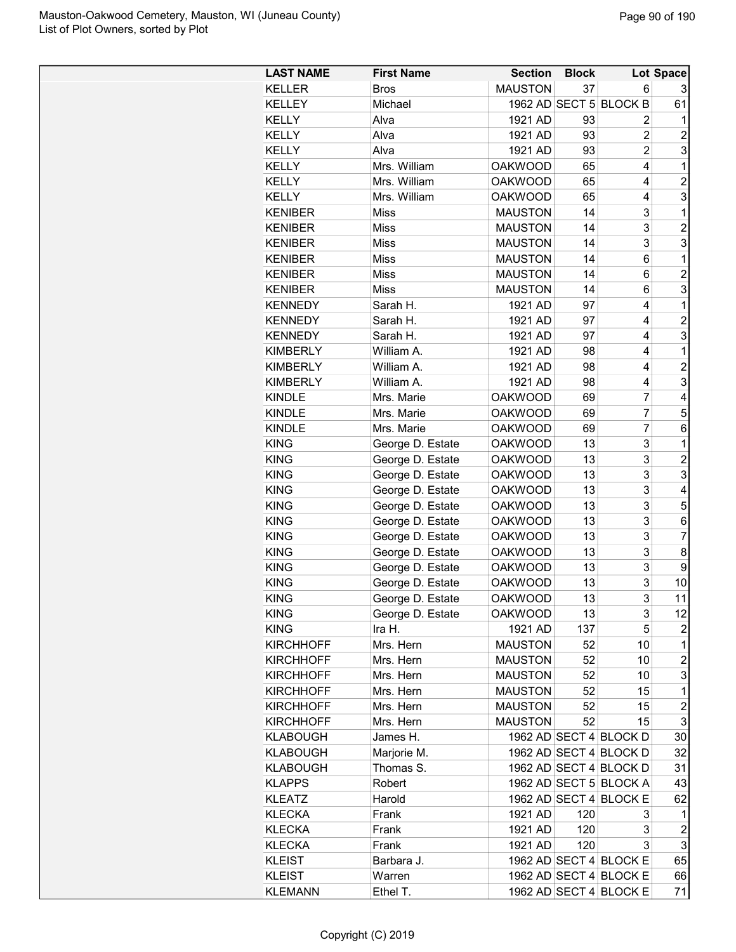| <b>LAST NAME</b> | <b>First Name</b> | <b>Section</b> | <b>Block</b> |                        | Lot Space               |
|------------------|-------------------|----------------|--------------|------------------------|-------------------------|
| <b>KELLER</b>    | <b>Bros</b>       | <b>MAUSTON</b> | 37           | 6                      |                         |
| <b>KELLEY</b>    | Michael           |                |              | 1962 AD SECT 5 BLOCK B | 61                      |
| <b>KELLY</b>     | Alva              | 1921 AD        | 93           | 2                      | 1                       |
| <b>KELLY</b>     | Alva              | 1921 AD        | 93           | 2                      | 2                       |
| <b>KELLY</b>     | Alva              | 1921 AD        | 93           | $\overline{2}$         | 3                       |
| <b>KELLY</b>     | Mrs. William      | <b>OAKWOOD</b> | 65           | 4                      | 1                       |
| <b>KELLY</b>     | Mrs. William      | <b>OAKWOOD</b> | 65           | 4                      | $\overline{c}$          |
| <b>KELLY</b>     | Mrs. William      | <b>OAKWOOD</b> | 65           | 4                      | 3                       |
| <b>KENIBER</b>   | <b>Miss</b>       | <b>MAUSTON</b> | 14           | 3                      | 1                       |
| <b>KENIBER</b>   | Miss              | <b>MAUSTON</b> | 14           | 3                      | $\overline{c}$          |
| <b>KENIBER</b>   | <b>Miss</b>       | <b>MAUSTON</b> | 14           | 3                      | 3                       |
| <b>KENIBER</b>   | Miss              | <b>MAUSTON</b> | 14           | 6                      | 1                       |
| <b>KENIBER</b>   | <b>Miss</b>       | <b>MAUSTON</b> | 14           | 6                      | $\overline{2}$          |
| <b>KENIBER</b>   | <b>Miss</b>       | <b>MAUSTON</b> | 14           | 6                      | 3                       |
| <b>KENNEDY</b>   | Sarah H.          | 1921 AD        | 97           | 4                      | 1                       |
| <b>KENNEDY</b>   | Sarah H.          | 1921 AD        | 97           | 4                      | $\overline{2}$          |
| <b>KENNEDY</b>   | Sarah H.          | 1921 AD        | 97           | 4                      | 3                       |
| <b>KIMBERLY</b>  | William A.        | 1921 AD        | 98           | 4                      | 1                       |
| <b>KIMBERLY</b>  | William A.        | 1921 AD        | 98           | 4                      | $\overline{2}$          |
| <b>KIMBERLY</b>  | William A.        | 1921 AD        | 98           | 4                      | 3                       |
| <b>KINDLE</b>    | Mrs. Marie        | <b>OAKWOOD</b> | 69           | 7                      | 4                       |
| <b>KINDLE</b>    | Mrs. Marie        | <b>OAKWOOD</b> | 69           | 7                      | 5                       |
| <b>KINDLE</b>    | Mrs. Marie        | <b>OAKWOOD</b> | 69           | 7                      | 6                       |
| <b>KING</b>      | George D. Estate  | <b>OAKWOOD</b> | 13           | 3                      | 1                       |
| <b>KING</b>      | George D. Estate  | <b>OAKWOOD</b> | 13           | 3                      | $\overline{2}$          |
| <b>KING</b>      | George D. Estate  | <b>OAKWOOD</b> | 13           | 3                      | 3                       |
| <b>KING</b>      | George D. Estate  | <b>OAKWOOD</b> | 13           | 3                      | 4                       |
| <b>KING</b>      | George D. Estate  | <b>OAKWOOD</b> | 13           | 3                      | 5                       |
| <b>KING</b>      | George D. Estate  | <b>OAKWOOD</b> | 13           | 3                      | 6                       |
| <b>KING</b>      | George D. Estate  | <b>OAKWOOD</b> | 13           | 3                      | 7                       |
| <b>KING</b>      | George D. Estate  | <b>OAKWOOD</b> | 13           | 3                      | 8                       |
| <b>KING</b>      | George D. Estate  | <b>OAKWOOD</b> | 13           | 3                      | 9                       |
| <b>KING</b>      | George D. Estate  | <b>OAKWOOD</b> | 13           | 3                      | 10                      |
| <b>KING</b>      | George D. Estate  | <b>OAKWOOD</b> | 13           | 3                      | 11                      |
| <b>KING</b>      | George D. Estate  | <b>OAKWOOD</b> | 13           | 3                      | 12                      |
| <b>KING</b>      | Ira H.            | 1921 AD        | 137          | 5                      | 2                       |
| <b>KIRCHHOFF</b> | Mrs. Hern         | <b>MAUSTON</b> | 52           | 10                     | 1                       |
| <b>KIRCHHOFF</b> | Mrs. Hern         | <b>MAUSTON</b> | 52           | 10                     | $\overline{c}$          |
| <b>KIRCHHOFF</b> | Mrs. Hern         | <b>MAUSTON</b> | 52           | 10                     | 3                       |
| <b>KIRCHHOFF</b> | Mrs. Hern         | <b>MAUSTON</b> | 52           | 15                     | 1                       |
| <b>KIRCHHOFF</b> | Mrs. Hern         | <b>MAUSTON</b> | 52           | 15                     | $\overline{c}$          |
| <b>KIRCHHOFF</b> | Mrs. Hern         | <b>MAUSTON</b> | 52           | 15                     | 3                       |
| <b>KLABOUGH</b>  | James H.          |                |              | 1962 AD SECT 4 BLOCK D | 30                      |
| <b>KLABOUGH</b>  | Marjorie M.       |                |              | 1962 AD SECT 4 BLOCK D | 32                      |
| <b>KLABOUGH</b>  | Thomas S.         |                |              | 1962 AD SECT 4 BLOCK D | 31                      |
| <b>KLAPPS</b>    | Robert            |                |              | 1962 AD SECT 5 BLOCK A | 43                      |
| <b>KLEATZ</b>    | Harold            |                |              | 1962 AD SECT 4 BLOCK E | 62                      |
| <b>KLECKA</b>    | Frank             | 1921 AD        | 120          | 3                      | 1                       |
| <b>KLECKA</b>    | Frank             | 1921 AD        | 120          | 3                      | $\overline{\mathbf{c}}$ |
| <b>KLECKA</b>    | Frank             | 1921 AD        | 120          | 3                      | 3                       |
| <b>KLEIST</b>    | Barbara J.        |                |              | 1962 AD SECT 4 BLOCK E | 65                      |
| <b>KLEIST</b>    | Warren            |                |              | 1962 AD SECT 4 BLOCK E | 66                      |
| <b>KLEMANN</b>   | Ethel T.          |                |              | 1962 AD SECT 4 BLOCK E | 71                      |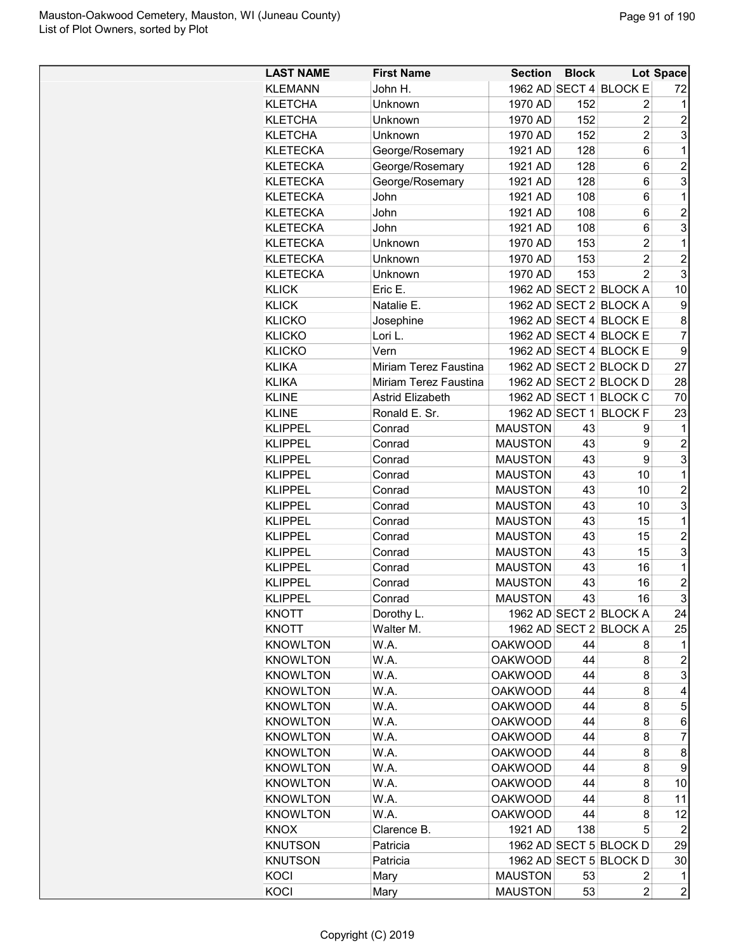| <b>LAST NAME</b> | <b>First Name</b>       | Section Block  |     |                         | Lot Space               |
|------------------|-------------------------|----------------|-----|-------------------------|-------------------------|
| <b>KLEMANN</b>   | John H.                 |                |     | 1962 AD SECT 4 BLOCK E  | 72                      |
| <b>KLETCHA</b>   | Unknown                 | 1970 AD        | 152 | 2                       | 1                       |
| <b>KLETCHA</b>   | Unknown                 | 1970 AD        | 152 | 2                       | $\overline{2}$          |
| <b>KLETCHA</b>   | Unknown                 | 1970 AD        | 152 | $\overline{2}$          | 3                       |
| <b>KLETECKA</b>  | George/Rosemary         | 1921 AD        | 128 | 6                       | 1                       |
| <b>KLETECKA</b>  | George/Rosemary         | 1921 AD        | 128 | 6                       | $\overline{c}$          |
| <b>KLETECKA</b>  | George/Rosemary         | 1921 AD        | 128 | 6                       | 3                       |
| <b>KLETECKA</b>  | John                    | 1921 AD        | 108 | 6                       | 1                       |
| <b>KLETECKA</b>  | John                    | 1921 AD        | 108 | 6                       | $\overline{2}$          |
| <b>KLETECKA</b>  | John                    | 1921 AD        | 108 | 6                       | 3                       |
| <b>KLETECKA</b>  | Unknown                 | 1970 AD        | 153 | 2                       | 1                       |
| <b>KLETECKA</b>  | Unknown                 | 1970 AD        | 153 | $\overline{2}$          | $\overline{2}$          |
| <b>KLETECKA</b>  | Unknown                 | 1970 AD        | 153 | $\mathfrak{p}$          | 3                       |
| <b>KLICK</b>     | Eric E.                 |                |     | 1962 AD SECT 2 BLOCK A  | 10                      |
| <b>KLICK</b>     | Natalie E.              |                |     | 1962 AD SECT 2 BLOCK A  | 9                       |
| <b>KLICKO</b>    |                         |                |     | 1962 AD SECT 4 BLOCK E  | 8                       |
| <b>KLICKO</b>    | Josephine<br>Lori L.    |                |     | 1962 AD SECT 4 BLOCK E  | $\overline{7}$          |
|                  |                         |                |     |                         |                         |
| <b>KLICKO</b>    | Vern                    |                |     | 1962 AD SECT 4 BLOCK E  | 9                       |
| <b>KLIKA</b>     | Miriam Terez Faustina   |                |     | 1962 AD SECT 2 BLOCK D  | 27                      |
| <b>KLIKA</b>     | Miriam Terez Faustina   |                |     | 1962 AD SECT 2 BLOCK D  | 28                      |
| <b>KLINE</b>     | <b>Astrid Elizabeth</b> |                |     | 1962 AD SECT 1 BLOCK C  | 70                      |
| <b>KLINE</b>     | Ronald E. Sr.           |                |     | 1962 AD SECT 1 BLOCK F  | 23                      |
| <b>KLIPPEL</b>   | Conrad                  | <b>MAUSTON</b> | 43  | 9                       | 1                       |
| <b>KLIPPEL</b>   | Conrad                  | <b>MAUSTON</b> | 43  | 9                       | $\overline{c}$          |
| <b>KLIPPEL</b>   | Conrad                  | <b>MAUSTON</b> | 43  | 9                       | 3                       |
| <b>KLIPPEL</b>   | Conrad                  | <b>MAUSTON</b> | 43  | 10                      | 1                       |
| <b>KLIPPEL</b>   | Conrad                  | <b>MAUSTON</b> | 43  | 10                      | $\overline{2}$          |
| <b>KLIPPEL</b>   | Conrad                  | <b>MAUSTON</b> | 43  | 10                      | 3                       |
| <b>KLIPPEL</b>   | Conrad                  | <b>MAUSTON</b> | 43  | 15                      | 1                       |
| <b>KLIPPEL</b>   | Conrad                  | <b>MAUSTON</b> | 43  | 15                      | $\overline{2}$          |
| <b>KLIPPEL</b>   | Conrad                  | <b>MAUSTON</b> | 43  | 15                      | 3                       |
| <b>KLIPPEL</b>   | Conrad                  | <b>MAUSTON</b> | 43  | 16                      | 1                       |
| <b>KLIPPEL</b>   | Conrad                  | <b>MAUSTON</b> | 43  | 16                      | $\overline{2}$          |
| <b>KLIPPEL</b>   | Conrad                  | <b>MAUSTON</b> | 43  | 16                      | 3                       |
| KNOTT            | Dorothy L.              |                |     | 1962 AD SECT 2 BLOCK A  | 24                      |
| <b>KNOTT</b>     | Walter M.               |                |     | 1962 AD SECT 2 BLOCK A  | 25                      |
| <b>KNOWLTON</b>  | W.A.                    | <b>OAKWOOD</b> | 44  | 8                       | 1                       |
| <b>KNOWLTON</b>  | W.A.                    | <b>OAKWOOD</b> | 44  | 8                       | $\overline{c}$          |
| <b>KNOWLTON</b>  | W.A.                    | <b>OAKWOOD</b> | 44  | 8                       | 3                       |
| <b>KNOWLTON</b>  | W.A.                    | <b>OAKWOOD</b> | 44  | 8                       | 4                       |
| <b>KNOWLTON</b>  | W.A.                    | <b>OAKWOOD</b> | 44  | 8                       | 5                       |
| <b>KNOWLTON</b>  | W.A.                    | <b>OAKWOOD</b> | 44  | 8                       | 6                       |
| <b>KNOWLTON</b>  | W.A.                    | <b>OAKWOOD</b> | 44  | 8                       | $\overline{7}$          |
| <b>KNOWLTON</b>  | W.A.                    | <b>OAKWOOD</b> | 44  | 8                       | 8                       |
| <b>KNOWLTON</b>  | W.A.                    | <b>OAKWOOD</b> | 44  | 8                       | 9                       |
| <b>KNOWLTON</b>  | W.A.                    | <b>OAKWOOD</b> | 44  | 8                       | 10                      |
| <b>KNOWLTON</b>  | W.A.                    | <b>OAKWOOD</b> | 44  | 8                       | 11                      |
| <b>KNOWLTON</b>  | W.A.                    | <b>OAKWOOD</b> | 44  | 8                       | 12                      |
| <b>KNOX</b>      | Clarence B.             | 1921 AD        | 138 | 5                       | 2                       |
| <b>KNUTSON</b>   | Patricia                |                |     | 1962 AD SECT 5 BLOCK D  | 29                      |
| <b>KNUTSON</b>   | Patricia                |                |     | 1962 AD SECT 5 BLOCK D  | 30                      |
| KOCI             | Mary                    | <b>MAUSTON</b> | 53  | 2                       | 1                       |
| KOCI             | Mary                    | <b>MAUSTON</b> | 53  | $\overline{\mathbf{c}}$ | $\overline{\mathbf{c}}$ |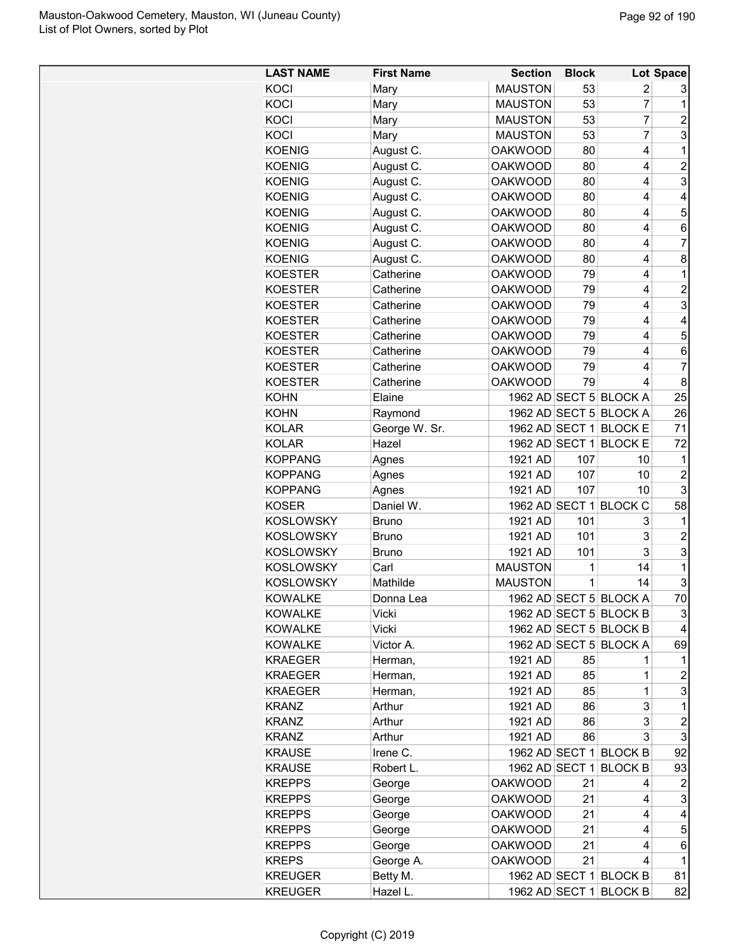| <b>LAST NAME</b> | <b>First Name</b> | <b>Section</b> | <b>Block</b> |                        | Lot Space                 |
|------------------|-------------------|----------------|--------------|------------------------|---------------------------|
| KOCI             | Mary              | <b>MAUSTON</b> | 53           | 2                      | 3                         |
| KOCI             | Mary              | <b>MAUSTON</b> | 53           | $\overline{7}$         | 1                         |
| KOCI             | Mary              | <b>MAUSTON</b> | 53           | $\overline{7}$         | $\overline{\mathbf{c}}$   |
| KOCI             | Mary              | <b>MAUSTON</b> | 53           | $\overline{7}$         | $\overline{3}$            |
| <b>KOENIG</b>    | August C.         | <b>OAKWOOD</b> | 80           | 4                      | $\overline{1}$            |
| <b>KOENIG</b>    | August C.         | <b>OAKWOOD</b> | 80           | 4                      | $\overline{\mathbf{c}}$   |
| <b>KOENIG</b>    | August C.         | <b>OAKWOOD</b> | 80           | 4                      | $\overline{3}$            |
| <b>KOENIG</b>    | August C.         | <b>OAKWOOD</b> | 80           | 4                      | 4                         |
| <b>KOENIG</b>    | August C.         | <b>OAKWOOD</b> | 80           | 4                      | 5                         |
| <b>KOENIG</b>    | August C.         | <b>OAKWOOD</b> | 80           | 4                      | 6                         |
| <b>KOENIG</b>    | August C.         | <b>OAKWOOD</b> | 80           | 4                      | $\overline{7}$            |
| <b>KOENIG</b>    | August C.         | <b>OAKWOOD</b> | 80           | 4                      | 8                         |
| <b>KOESTER</b>   | Catherine         | <b>OAKWOOD</b> | 79           | 4                      | $\mathbf{1}$              |
| <b>KOESTER</b>   | Catherine         | <b>OAKWOOD</b> | 79           | 4                      | $\overline{c}$            |
| <b>KOESTER</b>   | Catherine         | <b>OAKWOOD</b> | 79           | 4                      | $\overline{3}$            |
| <b>KOESTER</b>   | Catherine         | <b>OAKWOOD</b> | 79           | 4                      | $\overline{\mathbf{4}}$   |
| <b>KOESTER</b>   | Catherine         | <b>OAKWOOD</b> | 79           | 4                      | 5                         |
| <b>KOESTER</b>   | Catherine         | <b>OAKWOOD</b> | 79           | 4                      | 6                         |
| <b>KOESTER</b>   | Catherine         | <b>OAKWOOD</b> | 79           | 4                      | $\overline{7}$            |
| <b>KOESTER</b>   | Catherine         | <b>OAKWOOD</b> | 79           | 4                      | $\bf 8$                   |
| <b>KOHN</b>      | Elaine            |                |              | 1962 AD SECT 5 BLOCK A | 25                        |
| <b>KOHN</b>      | Raymond           |                |              | 1962 AD SECT 5 BLOCK A | 26                        |
| <b>KOLAR</b>     | George W. Sr.     |                |              | 1962 AD SECT 1 BLOCK E | 71                        |
| <b>KOLAR</b>     | Hazel             |                |              | 1962 AD SECT 1 BLOCK E | 72                        |
| <b>KOPPANG</b>   | Agnes             | 1921 AD        | 107          | 10                     | 1                         |
| <b>KOPPANG</b>   | Agnes             | 1921 AD        | 107          | 10                     | $\overline{c}$            |
| <b>KOPPANG</b>   | Agnes             | 1921 AD        | 107          | 10                     | $\overline{3}$            |
| <b>KOSER</b>     | Daniel W.         |                |              | 1962 AD SECT 1 BLOCK C | 58                        |
| <b>KOSLOWSKY</b> | <b>Bruno</b>      | 1921 AD        | 101          | 3                      | 1                         |
| <b>KOSLOWSKY</b> | <b>Bruno</b>      | 1921 AD        | 101          | 3                      | $\overline{\mathbf{c}}$   |
| <b>KOSLOWSKY</b> | <b>Bruno</b>      | 1921 AD        | 101          | 3                      | 3                         |
| <b>KOSLOWSKY</b> | Carl              | <b>MAUSTON</b> | 1            | 14                     | $\mathbf{1}$              |
| <b>KOSLOWSKY</b> | Mathilde          | <b>MAUSTON</b> | 1            | 14                     | $\mathbf{3}$              |
| <b>KOWALKE</b>   | Donna Lea         |                |              | 1962 AD SECT 5 BLOCK A | 70                        |
| <b>KOWALKE</b>   | Vicki             |                |              | 1962 AD SECT 5 BLOCK B | $\ensuremath{\mathsf{3}}$ |
| <b>KOWALKE</b>   | Vicki             |                |              | 1962 AD SECT 5 BLOCK B | 4                         |
| <b>KOWALKE</b>   | Victor A.         |                |              | 1962 AD SECT 5 BLOCK A | 69                        |
| <b>KRAEGER</b>   | Herman,           | 1921 AD        | 85           |                        | 1                         |
| <b>KRAEGER</b>   | Herman,           | 1921 AD        | 85           | 1                      | $\overline{\mathbf{c}}$   |
| <b>KRAEGER</b>   | Herman,           | 1921 AD        | 85           | 1                      | 3                         |
| <b>KRANZ</b>     | Arthur            | 1921 AD        | 86           | 3                      | 1                         |
| <b>KRANZ</b>     | Arthur            | 1921 AD        | 86           | 3                      | $\overline{c}$            |
| <b>KRANZ</b>     | Arthur            | 1921 AD        | 86           | 3                      | $\overline{3}$            |
| <b>KRAUSE</b>    | Irene C.          |                |              | 1962 AD SECT 1 BLOCK B | 92                        |
| <b>KRAUSE</b>    | Robert L.         |                |              | 1962 AD SECT 1 BLOCK B | 93                        |
| <b>KREPPS</b>    | George            | <b>OAKWOOD</b> | 21           | 4                      | 2                         |
| <b>KREPPS</b>    | George            | <b>OAKWOOD</b> | 21           | 4                      | 3                         |
| <b>KREPPS</b>    | George            | <b>OAKWOOD</b> | 21           | 4                      | 4                         |
| <b>KREPPS</b>    | George            | <b>OAKWOOD</b> | 21           | 4                      | 5                         |
| <b>KREPPS</b>    | George            | <b>OAKWOOD</b> | 21           | 4                      | 6                         |
| <b>KREPS</b>     | George A.         | <b>OAKWOOD</b> | 21           | 4                      | 1                         |
| <b>KREUGER</b>   | Betty M.          |                |              | 1962 AD SECT 1 BLOCK B | 81                        |
| <b>KREUGER</b>   | Hazel L.          |                |              | 1962 AD SECT 1 BLOCK B | 82                        |
|                  |                   |                |              |                        |                           |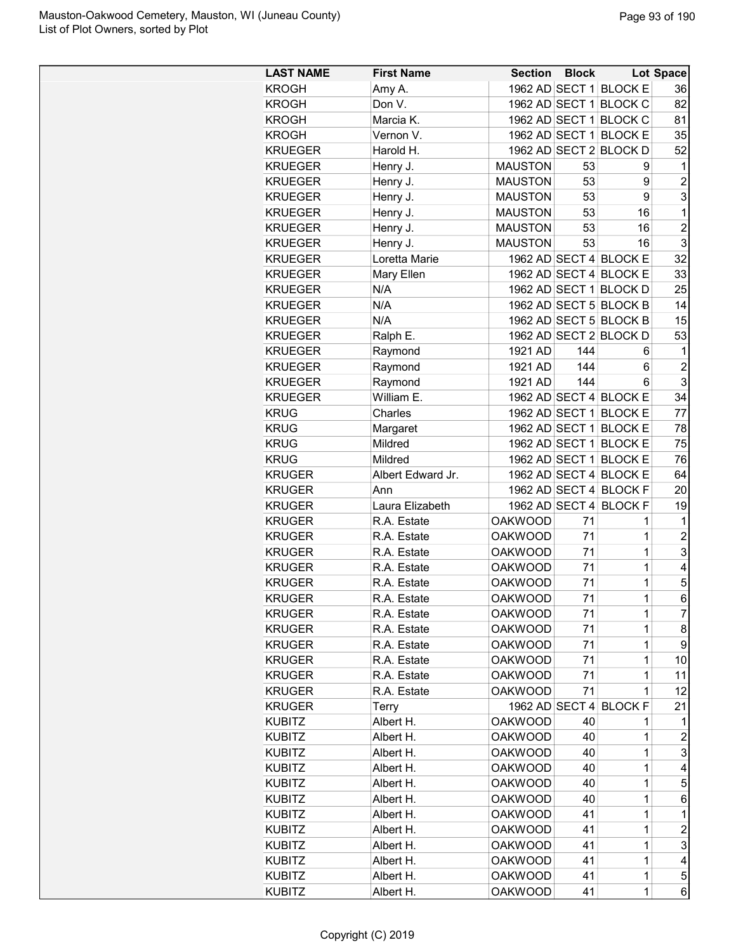| <b>LAST NAME</b> | <b>First Name</b>      | <b>Section</b>                   | <b>Block</b> |                        | <b>Lot Space</b> |
|------------------|------------------------|----------------------------------|--------------|------------------------|------------------|
| <b>KROGH</b>     | Amy A.                 |                                  |              | 1962 AD SECT 1 BLOCK E | 36               |
| KROGH            | Don V.                 |                                  |              | 1962 AD SECT 1 BLOCK C | 82               |
| KROGH            | Marcia K.              |                                  |              | 1962 AD SECT 1 BLOCK C | 81               |
| <b>KROGH</b>     | Vernon V.              |                                  |              | 1962 AD SECT 1 BLOCK E | 35               |
| <b>KRUEGER</b>   | Harold H.              |                                  |              | 1962 AD SECT 2 BLOCK D | 52               |
| <b>KRUEGER</b>   | Henry J.               | <b>MAUSTON</b>                   | 53           | 9                      | 1                |
| <b>KRUEGER</b>   | Henry J.               | <b>MAUSTON</b>                   | 53           | 9                      | $\overline{c}$   |
| <b>KRUEGER</b>   | Henry J.               | <b>MAUSTON</b>                   | 53           | 9                      | 3                |
| <b>KRUEGER</b>   | Henry J.               | <b>MAUSTON</b>                   | 53           | 16                     | 1                |
| KRUEGER          | Henry J.               | <b>MAUSTON</b>                   | 53           | 16                     | $\overline{2}$   |
| <b>KRUEGER</b>   | Henry J.               | <b>MAUSTON</b>                   | 53           | 16                     | 3                |
| KRUEGER          | Loretta Marie          |                                  |              | 1962 AD SECT 4 BLOCK E | 32               |
| <b>KRUEGER</b>   | Mary Ellen             |                                  |              | 1962 AD SECT 4 BLOCK E | 33               |
| <b>KRUEGER</b>   | N/A                    |                                  |              | 1962 AD SECT 1 BLOCK D | 25               |
| <b>KRUEGER</b>   | N/A                    |                                  |              | 1962 AD SECT 5 BLOCK B | 14               |
| <b>KRUEGER</b>   | N/A                    |                                  |              | 1962 AD SECT 5 BLOCK B | 15               |
| KRUEGER          | Ralph E.               |                                  |              | 1962 AD SECT 2 BLOCK D | 53               |
| KRUEGER          | Raymond                | 1921 AD                          | 144          | 6                      | 1                |
| <b>KRUEGER</b>   | Raymond                | 1921 AD                          | 144          | 6                      | $\overline{c}$   |
| <b>KRUEGER</b>   | Raymond                | 1921 AD                          | 144          | 6                      | 3                |
| <b>KRUEGER</b>   | William E.             |                                  |              | 1962 AD SECT 4 BLOCK E | 34               |
| <b>KRUG</b>      | Charles                |                                  |              | 1962 AD SECT 1 BLOCK E | 77               |
| <b>KRUG</b>      | Margaret               | 1962 AD SECT 1                   |              | <b>BLOCK E</b>         | 78               |
| <b>KRUG</b>      | Mildred                | 1962 AD SECT 1                   |              | <b>BLOCK E</b>         | 75               |
| <b>KRUG</b>      | Mildred                |                                  |              | 1962 AD SECT 1 BLOCK E | 76               |
| <b>KRUGER</b>    | Albert Edward Jr.      |                                  |              | 1962 AD SECT 4 BLOCK E | 64               |
| <b>KRUGER</b>    | Ann                    |                                  |              | 1962 AD SECT 4 BLOCK F | 20               |
| <b>KRUGER</b>    | Laura Elizabeth        |                                  |              | 1962 AD SECT 4 BLOCK F | 19               |
| <b>KRUGER</b>    | R.A. Estate            | <b>OAKWOOD</b>                   | 71           | 1                      | 1                |
| <b>KRUGER</b>    | R.A. Estate            | <b>OAKWOOD</b>                   | 71           | 1                      | $\overline{c}$   |
| <b>KRUGER</b>    | R.A. Estate            | <b>OAKWOOD</b>                   | 71           | $\mathbf 1$            | 3                |
| <b>KRUGER</b>    | R.A. Estate            | <b>OAKWOOD</b>                   | 71           | $\mathbf 1$            | 4                |
| <b>KRUGER</b>    | R.A. Estate            | <b>OAKWOOD</b>                   | 71           | 1                      | 5                |
| <b>KRUGER</b>    | R.A. Estate            | <b>OAKWOOD</b>                   | 71           | $\mathbf 1$            | 6                |
| <b>KRUGER</b>    | R.A. Estate            | <b>OAKWOOD</b>                   | 71           | 1                      | $\overline{7}$   |
| <b>KRUGER</b>    | R.A. Estate            | <b>OAKWOOD</b>                   | 71           | 1                      | 8                |
| <b>KRUGER</b>    | R.A. Estate            | <b>OAKWOOD</b>                   | 71           | 1                      | 9                |
| <b>KRUGER</b>    | R.A. Estate            | <b>OAKWOOD</b>                   | 71           | 1                      | 10               |
| <b>KRUGER</b>    | R.A. Estate            | <b>OAKWOOD</b>                   | 71           | 1                      | 11               |
| <b>KRUGER</b>    | R.A. Estate            | <b>OAKWOOD</b>                   | 71           | 1                      | 12               |
| <b>KRUGER</b>    | Terry                  | 1962 AD SECT 4                   |              | <b>BLOCK F</b>         | 21               |
| <b>KUBITZ</b>    | Albert H.              | <b>OAKWOOD</b>                   | 40           | 1                      | 1                |
| <b>KUBITZ</b>    | Albert H.              | <b>OAKWOOD</b>                   | 40           | 1                      | $\overline{c}$   |
| <b>KUBITZ</b>    | Albert H.              | <b>OAKWOOD</b>                   | 40           | 1                      | 3                |
| <b>KUBITZ</b>    | Albert H.              | <b>OAKWOOD</b>                   | 40           | $\mathbf 1$            | 4                |
| KUBITZ           | Albert H.              | <b>OAKWOOD</b>                   | 40           | 1                      | 5                |
| <b>KUBITZ</b>    |                        |                                  | 40           | 1                      |                  |
|                  | Albert H.              | <b>OAKWOOD</b><br><b>OAKWOOD</b> | 41           | 1                      | 6<br>1           |
| <b>KUBITZ</b>    | Albert H.              |                                  | 41           | 1                      | $\overline{c}$   |
| <b>KUBITZ</b>    | Albert H.              | <b>OAKWOOD</b>                   | 41           | 1                      | 3                |
| <b>KUBITZ</b>    | Albert H.              | <b>OAKWOOD</b>                   | 41           | 1                      | 4                |
| <b>KUBITZ</b>    | Albert H.<br>Albert H. | <b>OAKWOOD</b>                   | 41           | 1                      |                  |
| <b>KUBITZ</b>    |                        | <b>OAKWOOD</b>                   |              | $\mathbf 1$            | 5                |
| <b>KUBITZ</b>    | Albert H.              | <b>OAKWOOD</b>                   | 41           |                        | 6                |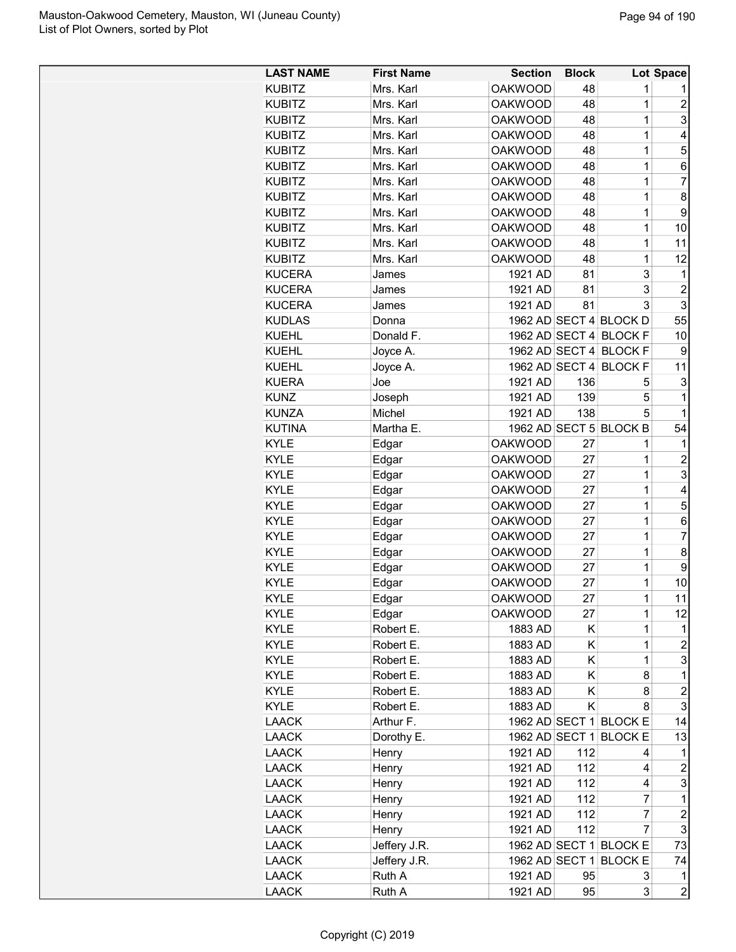| <b>LAST NAME</b> | <b>First Name</b> | <b>Section</b> | <b>Block</b> |                        | Lot Space                 |
|------------------|-------------------|----------------|--------------|------------------------|---------------------------|
| <b>KUBITZ</b>    | Mrs. Karl         | <b>OAKWOOD</b> | 48           | 1                      |                           |
| <b>KUBITZ</b>    | Mrs. Karl         | <b>OAKWOOD</b> | 48           | $\mathbf 1$            | $\overline{\mathbf{c}}$   |
| <b>KUBITZ</b>    | Mrs. Karl         | <b>OAKWOOD</b> | 48           | 1                      | 3                         |
| <b>KUBITZ</b>    | Mrs. Karl         | <b>OAKWOOD</b> | 48           | 1                      | 4                         |
| <b>KUBITZ</b>    | Mrs. Karl         | <b>OAKWOOD</b> | 48           | 1                      | 5                         |
| <b>KUBITZ</b>    | Mrs. Karl         | <b>OAKWOOD</b> | 48           | 1                      | 6                         |
| <b>KUBITZ</b>    | Mrs. Karl         | <b>OAKWOOD</b> | 48           | 1                      | $\overline{7}$            |
| <b>KUBITZ</b>    | Mrs. Karl         | <b>OAKWOOD</b> | 48           | 1                      | 8                         |
| <b>KUBITZ</b>    | Mrs. Karl         | <b>OAKWOOD</b> | 48           | 1                      | 9                         |
| <b>KUBITZ</b>    | Mrs. Karl         | <b>OAKWOOD</b> | 48           | 1                      | 10                        |
| <b>KUBITZ</b>    | Mrs. Karl         | <b>OAKWOOD</b> | 48           | $\mathbf 1$            | 11                        |
| <b>KUBITZ</b>    | Mrs. Karl         | <b>OAKWOOD</b> | 48           | 1                      | 12                        |
| <b>KUCERA</b>    | James             | 1921 AD        | 81           | 3                      | 1                         |
| <b>KUCERA</b>    | James             | 1921 AD        | 81           | 3                      | $\boldsymbol{2}$          |
| <b>KUCERA</b>    | James             | 1921 AD        | 81           | 3                      | $\ensuremath{\mathsf{3}}$ |
| <b>KUDLAS</b>    | Donna             |                |              | 1962 AD SECT 4 BLOCK D | 55                        |
| <b>KUEHL</b>     | Donald F.         |                |              | 1962 AD SECT 4 BLOCK F | 10                        |
| <b>KUEHL</b>     | Joyce A.          |                |              | 1962 AD SECT 4 BLOCK F | 9                         |
| <b>KUEHL</b>     | Joyce A.          |                |              | 1962 AD SECT 4 BLOCK F | 11                        |
| <b>KUERA</b>     | Joe               | 1921 AD        | 136          | 5                      | 3                         |
| <b>KUNZ</b>      | Joseph            | 1921 AD        | 139          | 5                      | $\mathbf{1}$              |
| <b>KUNZA</b>     | Michel            | 1921 AD        | 138          | 5                      | $\mathbf 1$               |
| <b>KUTINA</b>    | Martha E.         |                |              | 1962 AD SECT 5 BLOCK B | 54                        |
| <b>KYLE</b>      | Edgar             | <b>OAKWOOD</b> | 27           | 1                      | 1                         |
| <b>KYLE</b>      | Edgar             | <b>OAKWOOD</b> | 27           | 1                      | $\overline{c}$            |
| <b>KYLE</b>      | Edgar             | <b>OAKWOOD</b> | 27           | 1                      | 3                         |
| <b>KYLE</b>      | Edgar             | <b>OAKWOOD</b> | 27           | $\mathbf 1$            | 4                         |
| <b>KYLE</b>      | Edgar             | <b>OAKWOOD</b> | 27           | 1                      | 5                         |
| <b>KYLE</b>      | Edgar             | <b>OAKWOOD</b> | 27           | 1                      | 6                         |
| <b>KYLE</b>      | Edgar             | <b>OAKWOOD</b> | 27           | 1                      | $\overline{7}$            |
| <b>KYLE</b>      | Edgar             | <b>OAKWOOD</b> | 27           | 1                      | $\bf 8$                   |
| <b>KYLE</b>      | Edgar             | <b>OAKWOOD</b> | 27           | 1                      | 9                         |
| <b>KYLE</b>      | Edgar             | <b>OAKWOOD</b> | 27           | 1                      | 10                        |
| <b>KYLE</b>      | Edgar             | <b>OAKWOOD</b> | 27           | 1                      | 11                        |
| <b>KYLE</b>      | Edgar             | <b>OAKWOOD</b> | 27           | 1                      | 12                        |
| <b>KYLE</b>      | Robert E.         | 1883 AD        | Κ            | 1                      | 1                         |
| <b>KYLE</b>      | Robert E.         | 1883 AD        | Κ            | $\mathbf 1$            | $\overline{c}$            |
| <b>KYLE</b>      | Robert E.         | 1883 AD        | Κ            | 1                      | 3                         |
| <b>KYLE</b>      | Robert E.         | 1883 AD        | Κ            | 8                      | 1                         |
| <b>KYLE</b>      | Robert E.         | 1883 AD        | Κ            | 8                      | $\overline{c}$            |
| <b>KYLE</b>      | Robert E.         | 1883 AD        | Κ            | 8                      | 3                         |
| <b>LAACK</b>     | Arthur F.         |                |              | 1962 AD SECT 1 BLOCK E | 14                        |
| <b>LAACK</b>     | Dorothy E.        |                |              | 1962 AD SECT 1 BLOCK E | 13                        |
| <b>LAACK</b>     | Henry             | 1921 AD        | 112          | 4                      | 1                         |
| <b>LAACK</b>     | Henry             | 1921 AD        | 112          | 4                      | $\overline{\mathbf{c}}$   |
| <b>LAACK</b>     | Henry             | 1921 AD        | 112          | 4                      | 3                         |
| <b>LAACK</b>     | Henry             | 1921 AD        | 112          | 7                      | 1                         |
| <b>LAACK</b>     | Henry             | 1921 AD        | 112          | 7                      | $\overline{\mathbf{c}}$   |
| <b>LAACK</b>     | Henry             | 1921 AD        | 112          | 7                      | $\ensuremath{\mathsf{3}}$ |
| <b>LAACK</b>     | Jeffery J.R.      |                |              | 1962 AD SECT 1 BLOCK E | 73                        |
| LAACK            | Jeffery J.R.      |                |              | 1962 AD SECT 1 BLOCK E | 74                        |
| <b>LAACK</b>     | Ruth A            | 1921 AD        | 95           | 3                      | 1                         |
| <b>LAACK</b>     | Ruth A            | 1921 AD        | 95           | 3                      | $\boldsymbol{2}$          |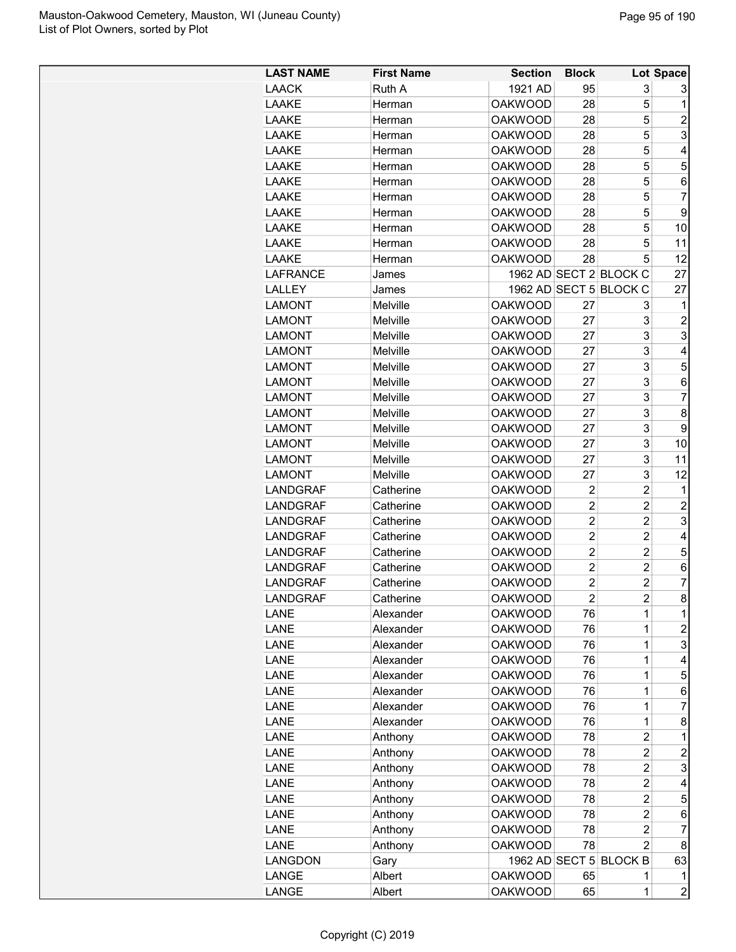| <b>LAST NAME</b> | <b>First Name</b> | <b>Section</b> | <b>Block</b>   |                        | Lot Space      |
|------------------|-------------------|----------------|----------------|------------------------|----------------|
| <b>LAACK</b>     | Ruth A            | 1921 AD        | 95             | 3                      | 3              |
| LAAKE            | Herman            | <b>OAKWOOD</b> | 28             | 5                      | 1              |
| LAAKE            | Herman            | <b>OAKWOOD</b> | 28             | 5                      | 2              |
| LAAKE            | Herman            | <b>OAKWOOD</b> | 28             | 5                      | 3              |
| LAAKE            | Herman            | <b>OAKWOOD</b> | 28             | 5                      | 4              |
| LAAKE            | Herman            | <b>OAKWOOD</b> | 28             | 5                      | 5              |
| LAAKE            | Herman            | <b>OAKWOOD</b> | 28             | 5                      | 6              |
| LAAKE            | Herman            | <b>OAKWOOD</b> | 28             | 5                      | 7              |
| LAAKE            | Herman            | <b>OAKWOOD</b> | 28             | 5                      | 9              |
| LAAKE            | Herman            | <b>OAKWOOD</b> | 28             | 5                      | 10             |
| LAAKE            | Herman            | <b>OAKWOOD</b> | 28             | 5                      | 11             |
| LAAKE            | Herman            | <b>OAKWOOD</b> | 28             | 5                      | 12             |
| <b>LAFRANCE</b>  | James             |                |                | 1962 AD SECT 2 BLOCK C | 27             |
| <b>LALLEY</b>    | James             |                |                | 1962 AD SECT 5 BLOCK C | 27             |
| <b>LAMONT</b>    | Melville          | <b>OAKWOOD</b> | 27             | 3                      | 1              |
| <b>LAMONT</b>    | Melville          | <b>OAKWOOD</b> | 27             | 3                      | $\overline{2}$ |
| <b>LAMONT</b>    | Melville          | <b>OAKWOOD</b> | 27             | 3                      | 3              |
| <b>LAMONT</b>    | Melville          | <b>OAKWOOD</b> | 27             | 3                      | 4              |
| <b>LAMONT</b>    | Melville          | <b>OAKWOOD</b> | 27             | 3                      | 5              |
| <b>LAMONT</b>    | Melville          | <b>OAKWOOD</b> | 27             | 3                      | 6              |
|                  | Melville          | <b>OAKWOOD</b> | 27             | 3                      | $\overline{7}$ |
| <b>LAMONT</b>    |                   | <b>OAKWOOD</b> | 27             | 3                      | 8              |
| <b>LAMONT</b>    | Melville          |                |                | 3                      |                |
| <b>LAMONT</b>    | Melville          | <b>OAKWOOD</b> | 27             | 3                      | 9              |
| <b>LAMONT</b>    | Melville          | <b>OAKWOOD</b> | 27             |                        | 10             |
| <b>LAMONT</b>    | Melville          | <b>OAKWOOD</b> | 27             | 3                      | 11             |
| <b>LAMONT</b>    | Melville          | <b>OAKWOOD</b> | 27             | 3                      | 12             |
| <b>LANDGRAF</b>  | Catherine         | <b>OAKWOOD</b> | $\overline{c}$ | $\overline{c}$         | 1              |
| <b>LANDGRAF</b>  | Catherine         | <b>OAKWOOD</b> | $\overline{2}$ | $\overline{c}$         | $\overline{c}$ |
| <b>LANDGRAF</b>  | Catherine         | <b>OAKWOOD</b> | $\overline{2}$ | $\overline{c}$         | 3              |
| <b>LANDGRAF</b>  | Catherine         | <b>OAKWOOD</b> | $\overline{2}$ | $\overline{c}$         | 4              |
| <b>LANDGRAF</b>  | Catherine         | <b>OAKWOOD</b> | $\overline{2}$ | $\overline{c}$         | 5              |
| LANDGRAF         | Catherine         | <b>OAKWOOD</b> | $\overline{2}$ | $\overline{c}$         | 6              |
| <b>LANDGRAF</b>  | Catherine         | <b>OAKWOOD</b> | $\overline{2}$ | $\overline{c}$         | 7              |
| <b>LANDGRAF</b>  | Catherine         | <b>OAKWOOD</b> | $\overline{2}$ | $\overline{2}$         | 8              |
| LANE             | Alexander         | <b>OAKWOOD</b> | 76             | 1                      | 1              |
| LANE             | Alexander         | <b>OAKWOOD</b> | 76             | 1                      | $\overline{c}$ |
| LANE             | Alexander         | <b>OAKWOOD</b> | 76             | 1                      | 3              |
| LANE             | Alexander         | <b>OAKWOOD</b> | 76             | 1                      | 4              |
| LANE             | Alexander         | <b>OAKWOOD</b> | 76             | $\mathbf 1$            | 5              |
| LANE             | Alexander         | <b>OAKWOOD</b> | 76             | $\mathbf 1$            | 6              |
| <b>LANE</b>      | Alexander         | <b>OAKWOOD</b> | 76             | 1                      | 7              |
| <b>LANE</b>      | Alexander         | <b>OAKWOOD</b> | 76             | 1                      | 8              |
| LANE             | Anthony           | <b>OAKWOOD</b> | 78             | $\overline{2}$         | 1              |
| LANE             | Anthony           | <b>OAKWOOD</b> | 78             | $\overline{c}$         | $\overline{c}$ |
| LANE             | Anthony           | <b>OAKWOOD</b> | 78             | 2                      | 3              |
| LANE             | Anthony           | <b>OAKWOOD</b> | 78             | 2                      | 4              |
| LANE             | Anthony           | <b>OAKWOOD</b> | 78             | $\overline{c}$         | 5              |
| LANE             | Anthony           | <b>OAKWOOD</b> | 78             | 2                      | 6              |
| <b>LANE</b>      | Anthony           | <b>OAKWOOD</b> | 78             | 2                      | 7              |
| LANE             | Anthony           | <b>OAKWOOD</b> | 78             | $\overline{2}$         | 8              |
| <b>LANGDON</b>   | Gary              |                |                | 1962 AD SECT 5 BLOCK B | 63             |
| LANGE            | Albert            | <b>OAKWOOD</b> | 65             | 1                      | 1              |
| LANGE            | Albert            | <b>OAKWOOD</b> | 65             | 1                      | $\overline{c}$ |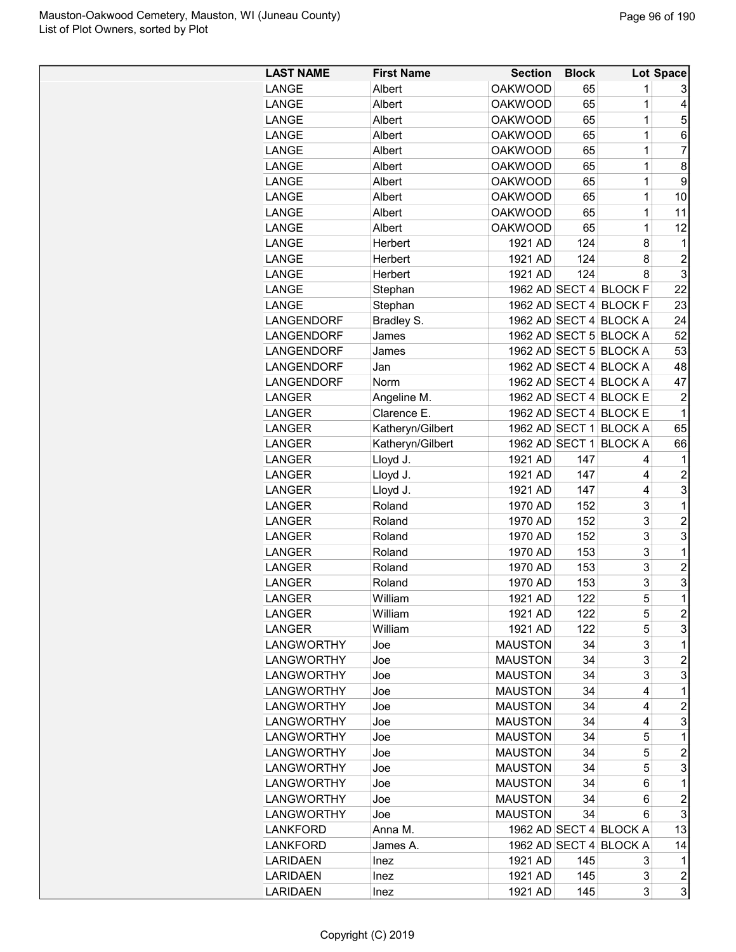| <b>LAST NAME</b>  | <b>First Name</b> | <b>Section</b> | <b>Block</b> |                        | Lot Space                    |
|-------------------|-------------------|----------------|--------------|------------------------|------------------------------|
| LANGE             | Albert            | <b>OAKWOOD</b> | 65           | 1                      | 3                            |
| LANGE             | Albert            | <b>OAKWOOD</b> | 65           | 1                      | 4                            |
| LANGE             | Albert            | <b>OAKWOOD</b> | 65           | $\mathbf 1$            | 5                            |
| LANGE             | Albert            | <b>OAKWOOD</b> | 65           | $\mathbf 1$            | 6                            |
| LANGE             | Albert            | <b>OAKWOOD</b> | 65           | 1                      | $\overline{7}$               |
| LANGE             | Albert            | <b>OAKWOOD</b> | 65           | $\mathbf 1$            | 8                            |
| LANGE             | Albert            | <b>OAKWOOD</b> | 65           | $\mathbf 1$            | 9                            |
| LANGE             | Albert            | <b>OAKWOOD</b> | 65           | $\mathbf 1$            | 10                           |
| LANGE             | Albert            | <b>OAKWOOD</b> | 65           | $\mathbf 1$            | 11                           |
| LANGE             | Albert            | <b>OAKWOOD</b> | 65           | $\mathbf 1$            | 12                           |
| LANGE             | Herbert           | 1921 AD        | 124          | 8                      | 1                            |
| LANGE             | Herbert           | 1921 AD        | 124          | 8                      | $\overline{c}$               |
| LANGE             | Herbert           | 1921 AD        | 124          | 8                      | 3                            |
| LANGE             | Stephan           |                |              | 1962 AD SECT 4 BLOCK F | 22                           |
| LANGE             | Stephan           |                |              | 1962 AD SECT 4 BLOCK F | 23                           |
| LANGENDORF        | Bradley S.        |                |              | 1962 AD SECT 4 BLOCK A | 24                           |
| LANGENDORF        | James             |                |              | 1962 AD SECT 5 BLOCK A | 52                           |
| LANGENDORF        | James             |                |              | 1962 AD SECT 5 BLOCK A | 53                           |
| LANGENDORF        | Jan               |                |              | 1962 AD SECT 4 BLOCK A | 48                           |
| LANGENDORF        | Norm              |                |              | 1962 AD SECT 4 BLOCK A | 47                           |
| <b>LANGER</b>     | Angeline M.       |                |              | 1962 AD SECT 4 BLOCK E | $\overline{c}$               |
| LANGER            | Clarence E.       |                |              | 1962 AD SECT 4 BLOCK E | 1                            |
| <b>LANGER</b>     | Katheryn/Gilbert  |                |              | 1962 AD SECT 1 BLOCK A | 65                           |
| <b>LANGER</b>     | Katheryn/Gilbert  |                |              | 1962 AD SECT 1 BLOCK A | 66                           |
| LANGER            | Lloyd J.          | 1921 AD        | 147          | 4                      | 1                            |
| LANGER            | Lloyd J.          | 1921 AD        | 147          | 4                      | $\overline{2}$               |
| <b>LANGER</b>     | Lloyd J.          | 1921 AD        | 147          | 4                      | 3                            |
| <b>LANGER</b>     | Roland            | 1970 AD        | 152          | 3                      | 1                            |
| <b>LANGER</b>     | Roland            | 1970 AD        | 152          | 3                      | $\overline{c}$               |
| <b>LANGER</b>     | Roland            | 1970 AD        | 152          | 3                      | 3                            |
| <b>LANGER</b>     | Roland            | 1970 AD        | 153          | 3                      | 1                            |
| <b>LANGER</b>     | Roland            | 1970 AD        | 153          | 3                      | $\overline{2}$               |
| <b>LANGER</b>     | Roland            | 1970 AD        | 153          | 3                      | 3                            |
| <b>LANGER</b>     | William           | 1921 AD        | 122          | 5                      | $\overline{1}$               |
| LANGER            | William           | 1921 AD        | 122          | 5                      | $\overline{c}$               |
| LANGER            | William           | 1921 AD        | 122          | 5                      | 3                            |
| <b>LANGWORTHY</b> | Joe               | <b>MAUSTON</b> | 34           | 3                      | $\mathbf 1$                  |
| <b>LANGWORTHY</b> | Joe               | <b>MAUSTON</b> | 34           | 3                      | $\overline{c}$               |
| <b>LANGWORTHY</b> | Joe               | <b>MAUSTON</b> | 34           | 3                      | 3                            |
| <b>LANGWORTHY</b> | Joe               | <b>MAUSTON</b> | 34           | 4                      | 1                            |
| <b>LANGWORTHY</b> | Joe               | <b>MAUSTON</b> | 34           | 4                      | $\overline{2}$               |
| <b>LANGWORTHY</b> | Joe               | <b>MAUSTON</b> | 34           | 4                      | 3                            |
| <b>LANGWORTHY</b> | Joe               | <b>MAUSTON</b> | 34           | 5                      | 1                            |
| <b>LANGWORTHY</b> | Joe               | <b>MAUSTON</b> | 34           | 5                      | $\overline{c}$               |
| <b>LANGWORTHY</b> | Joe               | <b>MAUSTON</b> | 34           | 5                      | 3                            |
| <b>LANGWORTHY</b> | Joe               | <b>MAUSTON</b> | 34           | 6                      | 1                            |
| <b>LANGWORTHY</b> | Joe               | <b>MAUSTON</b> | 34           | 6                      | $\overline{c}$               |
| <b>LANGWORTHY</b> | Joe               | <b>MAUSTON</b> | 34           | 6                      | 3                            |
| <b>LANKFORD</b>   | Anna M.           |                |              | 1962 AD SECT 4 BLOCK A | 13                           |
| LANKFORD          | James A.          |                |              | 1962 AD SECT 4 BLOCK A | 14                           |
| <b>LARIDAEN</b>   | Inez              | 1921 AD        | 145          | 3                      | 1                            |
| <b>LARIDAEN</b>   | Inez              | 1921 AD        | 145          | 3                      |                              |
| <b>LARIDAEN</b>   | Inez              | 1921 AD        | 145          | 3                      | $\overline{\mathbf{c}}$<br>3 |
|                   |                   |                |              |                        |                              |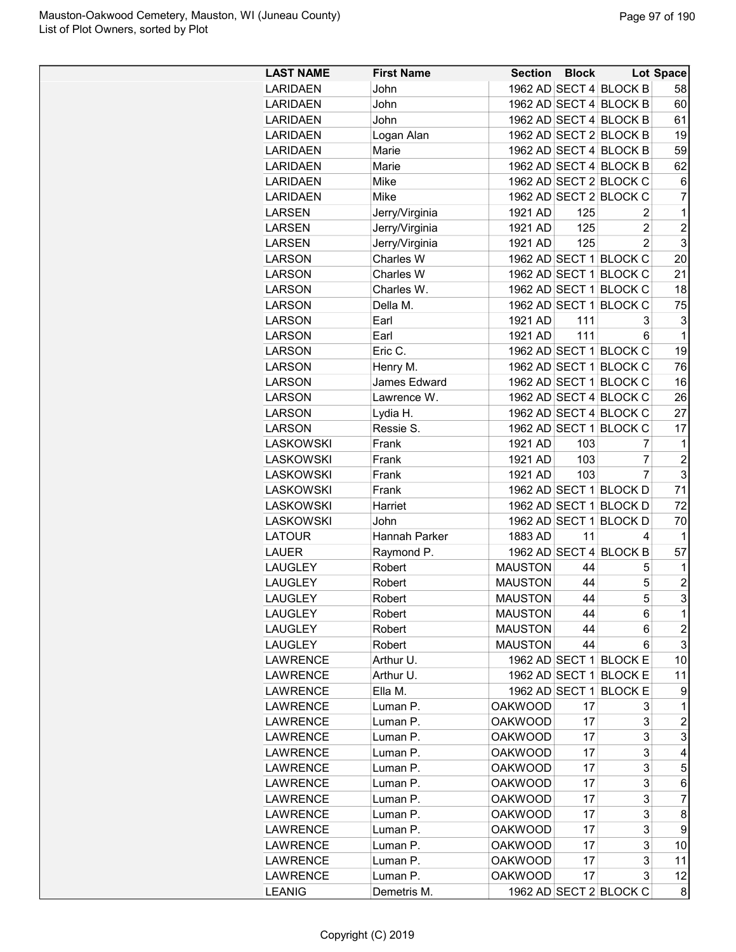| <b>LAST NAME</b> | <b>First Name</b> | <b>Section Block</b> |     |                        | <b>Lot Space</b> |
|------------------|-------------------|----------------------|-----|------------------------|------------------|
| <b>LARIDAEN</b>  | John              |                      |     | 1962 AD SECT 4 BLOCK B | 58               |
| <b>LARIDAEN</b>  | John              |                      |     | 1962 AD SECT 4 BLOCK B | 60               |
| <b>LARIDAEN</b>  | John              |                      |     | 1962 AD SECT 4 BLOCK B | 61               |
| <b>LARIDAEN</b>  | Logan Alan        |                      |     | 1962 AD SECT 2 BLOCK B | 19               |
| <b>LARIDAEN</b>  | Marie             |                      |     | 1962 AD SECT 4 BLOCK B | 59               |
| <b>LARIDAEN</b>  | Marie             |                      |     | 1962 AD SECT 4 BLOCK B | 62               |
| <b>LARIDAEN</b>  | Mike              |                      |     | 1962 AD SECT 2 BLOCK C | 6                |
| <b>LARIDAEN</b>  | Mike              |                      |     | 1962 AD SECT 2 BLOCK C | $\overline{7}$   |
| <b>LARSEN</b>    | Jerry/Virginia    | 1921 AD              | 125 | 2                      | 1                |
| <b>LARSEN</b>    | Jerry/Virginia    | 1921 AD              | 125 | 2                      | $\overline{2}$   |
| <b>LARSEN</b>    | Jerry/Virginia    | 1921 AD              | 125 | $\overline{2}$         | 3                |
| <b>LARSON</b>    | Charles W         |                      |     | 1962 AD SECT 1 BLOCK C | 20               |
| <b>LARSON</b>    | Charles W         |                      |     | 1962 AD SECT 1 BLOCK C | 21               |
| <b>LARSON</b>    | Charles W.        |                      |     | 1962 AD SECT 1 BLOCK C | 18               |
| <b>LARSON</b>    | Della M.          |                      |     | 1962 AD SECT 1 BLOCK C | 75               |
| <b>LARSON</b>    | Earl              | 1921 AD              | 111 | 3                      | 3                |
| <b>LARSON</b>    | Earl              | 1921 AD              | 111 | 6                      | 1                |
|                  |                   |                      |     |                        |                  |
| <b>LARSON</b>    | Eric C.           |                      |     | 1962 AD SECT 1 BLOCK C | 19               |
| <b>LARSON</b>    | Henry M.          |                      |     | 1962 AD SECT 1 BLOCK C | 76               |
| <b>LARSON</b>    | James Edward      |                      |     | 1962 AD SECT 1 BLOCK C | 16               |
| <b>LARSON</b>    | Lawrence W.       |                      |     | 1962 AD SECT 4 BLOCK C | 26               |
| <b>LARSON</b>    | Lydia H.          |                      |     | 1962 AD SECT 4 BLOCK C | 27               |
| <b>LARSON</b>    | Ressie S.         |                      |     | 1962 AD SECT 1 BLOCK C | 17               |
| <b>LASKOWSKI</b> | Frank             | 1921 AD              | 103 | 7                      | 1                |
| <b>LASKOWSKI</b> | Frank             | 1921 AD              | 103 | 7                      | $\overline{2}$   |
| <b>LASKOWSKI</b> | Frank             | 1921 AD              | 103 | 7                      | 3                |
| <b>LASKOWSKI</b> | Frank             |                      |     | 1962 AD SECT 1 BLOCK D | 71               |
| <b>LASKOWSKI</b> | Harriet           |                      |     | 1962 AD SECT 1 BLOCK D | 72               |
| <b>LASKOWSKI</b> | John              |                      |     | 1962 AD SECT 1 BLOCK D | 70               |
| <b>LATOUR</b>    | Hannah Parker     | 1883 AD              | 11  | 4                      | 1                |
| <b>LAUER</b>     | Raymond P.        |                      |     | 1962 AD SECT 4 BLOCK B | 57               |
| <b>LAUGLEY</b>   | Robert            | <b>MAUSTON</b>       | 44  | 5                      | 1                |
| <b>LAUGLEY</b>   | Robert            | <b>MAUSTON</b>       | 44  | 5                      | $\overline{2}$   |
| LAUGLEY          | Robert            | <b>MAUSTON</b>       | 44  | 5                      | 3                |
| LAUGLEY          | Robert            | <b>MAUSTON</b>       | 44  | 6                      | 1                |
| <b>LAUGLEY</b>   | Robert            | <b>MAUSTON</b>       | 44  | 6                      | $\overline{c}$   |
| <b>LAUGLEY</b>   | Robert            | <b>MAUSTON</b>       | 44  | 6                      | 3                |
| <b>LAWRENCE</b>  | Arthur U.         |                      |     | 1962 AD SECT 1 BLOCK E | 10               |
| <b>LAWRENCE</b>  | Arthur U.         | 1962 AD SECT 1       |     | <b>BLOCK E</b>         | 11               |
| <b>LAWRENCE</b>  | Ella M.           | 1962 AD SECT 1       |     | <b>BLOCK E</b>         | 9                |
| <b>LAWRENCE</b>  | Luman P.          | <b>OAKWOOD</b>       | 17  | 3                      | 1                |
| <b>LAWRENCE</b>  | Luman P.          | <b>OAKWOOD</b>       | 17  | 3                      | $\overline{c}$   |
| <b>LAWRENCE</b>  | Luman P.          | <b>OAKWOOD</b>       | 17  | 3                      | 3                |
|                  |                   |                      |     | 3                      |                  |
| <b>LAWRENCE</b>  | Luman P.          | <b>OAKWOOD</b>       | 17  |                        | 4                |
| <b>LAWRENCE</b>  | Luman P.          | <b>OAKWOOD</b>       | 17  | 3                      | 5                |
| <b>LAWRENCE</b>  | Luman P.          | <b>OAKWOOD</b>       | 17  | 3                      | 6                |
| <b>LAWRENCE</b>  | Luman P.          | <b>OAKWOOD</b>       | 17  | 3                      | 7                |
| <b>LAWRENCE</b>  | Luman P.          | <b>OAKWOOD</b>       | 17  | 3                      | 8                |
| <b>LAWRENCE</b>  | Luman P.          | <b>OAKWOOD</b>       | 17  | 3                      | 9                |
| <b>LAWRENCE</b>  | Luman P.          | <b>OAKWOOD</b>       | 17  | 3                      | 10               |
| <b>LAWRENCE</b>  | Luman P.          | <b>OAKWOOD</b>       | 17  | 3                      | 11               |
| <b>LAWRENCE</b>  | Luman P.          | <b>OAKWOOD</b>       | 17  | 3                      | 12               |
| <b>LEANIG</b>    | Demetris M.       |                      |     | 1962 AD SECT 2 BLOCK C | 8                |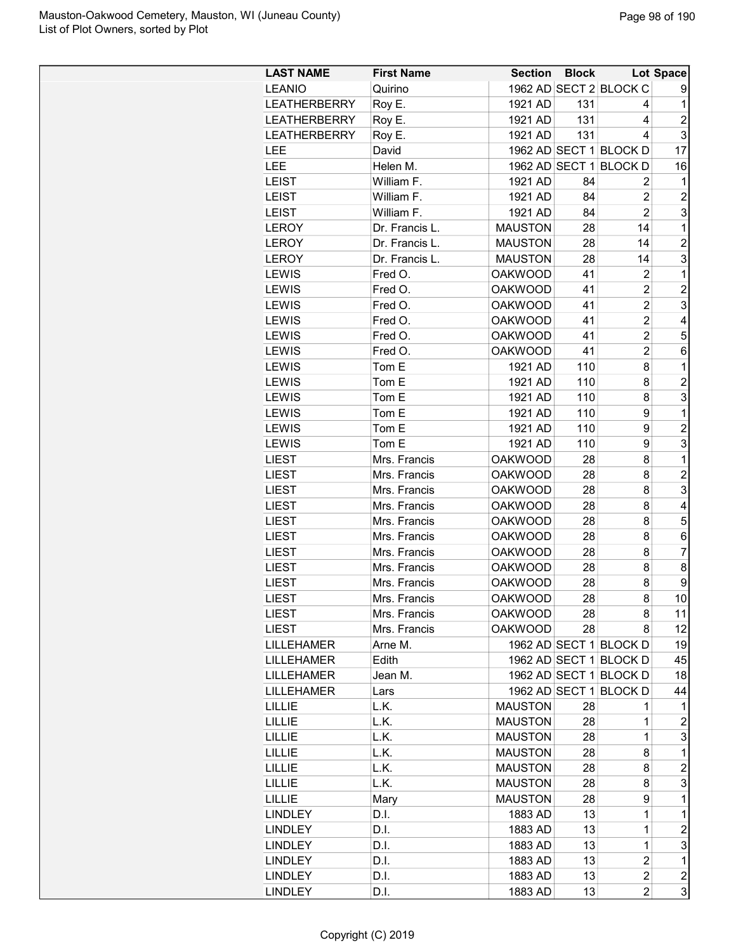| <b>LAST NAME</b>             | <b>First Name</b> |                | <b>Section Block</b> |                        | <b>Lot Space</b>        |
|------------------------------|-------------------|----------------|----------------------|------------------------|-------------------------|
| <b>LEANIO</b>                | Quirino           |                |                      | 1962 AD SECT 2 BLOCK C | 9                       |
| <b>LEATHERBERRY</b>          | Roy E.            | 1921 AD        | 131                  | 4                      | 1                       |
| <b>LEATHERBERRY</b>          | Roy E.            | 1921 AD        | 131                  | 4                      | $\overline{c}$          |
| <b>LEATHERBERRY</b>          | Roy E.            | 1921 AD        | 131                  | 4                      | 3                       |
| <b>LEE</b>                   | David             |                |                      | 1962 AD SECT 1 BLOCK D | 17                      |
| LEE                          | Helen M.          |                |                      | 1962 AD SECT 1 BLOCK D | 16                      |
| <b>LEIST</b>                 | William F.        | 1921 AD        | 84                   | 2                      | 1                       |
| <b>LEIST</b>                 | William F.        | 1921 AD        | 84                   | $\overline{c}$         | $\overline{c}$          |
| <b>LEIST</b>                 | William F.        | 1921 AD        | 84                   | $\overline{2}$         | 3                       |
| <b>LEROY</b>                 | Dr. Francis L.    | <b>MAUSTON</b> | 28                   | 14                     | 1                       |
| <b>LEROY</b>                 | Dr. Francis L.    | <b>MAUSTON</b> | 28                   | 14                     | $\overline{c}$          |
| <b>LEROY</b>                 | Dr. Francis L.    | <b>MAUSTON</b> | 28                   | 14                     | 3                       |
| LEWIS                        | Fred O.           | <b>OAKWOOD</b> | 41                   | $\overline{2}$         | 1                       |
| LEWIS                        | Fred O.           | <b>OAKWOOD</b> | 41                   | $\overline{c}$         | $\overline{2}$          |
| <b>LEWIS</b>                 | Fred O.           | <b>OAKWOOD</b> | 41                   | $\overline{c}$         | 3                       |
| <b>LEWIS</b>                 | Fred O.           | <b>OAKWOOD</b> | 41                   | $\overline{2}$         | 4                       |
| LEWIS                        | Fred O.           | <b>OAKWOOD</b> | 41                   | $\overline{2}$         | 5                       |
| LEWIS                        | Fred O.           | <b>OAKWOOD</b> | 41                   | $\overline{c}$         | 6                       |
| <b>LEWIS</b>                 | Tom E             | 1921 AD        | 110                  | 8                      | 1                       |
| LEWIS                        | Tom E             | 1921 AD        | 110                  | 8                      | $\overline{c}$          |
| LEWIS                        | Tom E             | 1921 AD        | 110                  | 8                      | 3                       |
| LEWIS                        | Tom E             | 1921 AD        | 110                  | 9                      | 1                       |
|                              |                   |                | 110                  | 9                      | $\overline{2}$          |
| <b>LEWIS</b><br><b>LEWIS</b> | Tom E<br>Tom E    | 1921 AD        | 110                  | 9                      | 3                       |
|                              |                   | 1921 AD        |                      |                        | $\mathbf{1}$            |
| <b>LIEST</b>                 | Mrs. Francis      | <b>OAKWOOD</b> | 28                   | 8                      |                         |
| <b>LIEST</b>                 | Mrs. Francis      | <b>OAKWOOD</b> | 28                   | 8                      | $\overline{c}$          |
| <b>LIEST</b>                 | Mrs. Francis      | <b>OAKWOOD</b> | 28                   | 8                      | 3                       |
| <b>LIEST</b>                 | Mrs. Francis      | <b>OAKWOOD</b> | 28                   | 8                      | 4                       |
| <b>LIEST</b>                 | Mrs. Francis      | <b>OAKWOOD</b> | 28                   | 8                      | 5                       |
| <b>LIEST</b>                 | Mrs. Francis      | <b>OAKWOOD</b> | 28                   | 8                      | 6                       |
| <b>LIEST</b>                 | Mrs. Francis      | <b>OAKWOOD</b> | 28                   | 8                      | $\overline{7}$          |
| <b>LIEST</b>                 | Mrs. Francis      | <b>OAKWOOD</b> | 28                   | 8                      | 8                       |
| <b>LIEST</b>                 | Mrs. Francis      | <b>OAKWOOD</b> | 28                   | 8                      | 9                       |
| <b>LIEST</b>                 | Mrs. Francis      | <b>OAKWOOD</b> | 28                   | 8                      | 10                      |
| LIEST                        | Mrs. Francis      | <b>OAKWOOD</b> | 28                   | 8                      | 11                      |
| <b>LIEST</b>                 | Mrs. Francis      | <b>OAKWOOD</b> | 28                   | 8                      | 12                      |
| LILLEHAMER                   | Arne M.           |                |                      | 1962 AD SECT 1 BLOCK D | 19                      |
| LILLEHAMER                   | Edith             |                |                      | 1962 AD SECT 1 BLOCK D | 45                      |
| LILLEHAMER                   | Jean M.           |                |                      | 1962 AD SECT 1 BLOCK D | 18                      |
| LILLEHAMER                   | Lars              |                |                      | 1962 AD SECT 1 BLOCK D | 44                      |
| <b>LILLIE</b>                | L.K.              | <b>MAUSTON</b> | 28                   | 1                      | $\mathbf 1$             |
| <b>LILLIE</b>                | L.K.              | <b>MAUSTON</b> | 28                   | 1                      | $\overline{c}$          |
| <b>LILLIE</b>                | L.K.              | <b>MAUSTON</b> | 28                   | 1                      | 3                       |
| <b>LILLIE</b>                | L.K.              | <b>MAUSTON</b> | 28                   | 8                      | 1                       |
| LILLIE                       | L.K.              | <b>MAUSTON</b> | 28                   | 8                      | $\overline{c}$          |
| <b>LILLIE</b>                | L.K.              | <b>MAUSTON</b> | 28                   | 8                      | 3                       |
| <b>LILLIE</b>                | Mary              | <b>MAUSTON</b> | 28                   | 9                      | 1                       |
| <b>LINDLEY</b>               | D.I.              | 1883 AD        | 13                   | $\mathbf 1$            | 1                       |
| <b>LINDLEY</b>               | D.I.              | 1883 AD        | 13                   | 1                      | $\overline{c}$          |
| <b>LINDLEY</b>               | D.I.              | 1883 AD        | 13                   | $\mathbf 1$            | 3                       |
| <b>LINDLEY</b>               | D.I.              | 1883 AD        | 13                   | $\overline{2}$         | 1                       |
| <b>LINDLEY</b>               | D.I.              | 1883 AD        | 13                   | $\overline{c}$         | $\overline{\mathbf{c}}$ |
| <b>LINDLEY</b>               | D.I.              | 1883 AD        | 13                   | $\overline{c}$         | 3                       |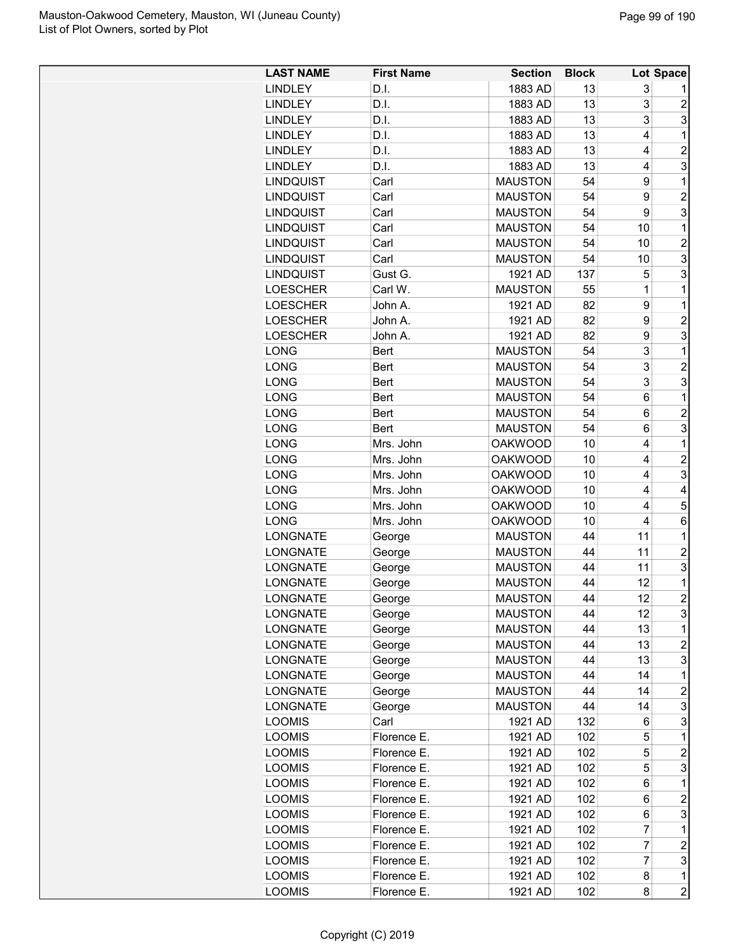| <b>LAST NAME</b> | <b>First Name</b> | <b>Section</b> | <b>Block</b> |                | <b>Lot Space</b> |
|------------------|-------------------|----------------|--------------|----------------|------------------|
| <b>LINDLEY</b>   | D.I.              | 1883 AD        | 13           | 3              |                  |
| <b>LINDLEY</b>   | D.I.              | 1883 AD        | 13           | 3              | $\overline{c}$   |
| <b>LINDLEY</b>   | D.I.              | 1883 AD        | 13           | 3              | 3                |
| <b>LINDLEY</b>   | D.I.              | 1883 AD        | 13           | 4              | 1                |
| <b>LINDLEY</b>   | D.I.              | 1883 AD        | 13           | 4              | $\overline{2}$   |
| <b>LINDLEY</b>   | D.I.              | 1883 AD        | 13           | 4              | 3                |
| <b>LINDQUIST</b> | Carl              | <b>MAUSTON</b> | 54           | 9              | 1                |
| LINDQUIST        | Carl              | <b>MAUSTON</b> | 54           | 9              | $\overline{2}$   |
| LINDQUIST        | Carl              | <b>MAUSTON</b> | 54           | 9              | 3                |
| <b>LINDQUIST</b> | Carl              | <b>MAUSTON</b> | 54           | 10             | 1                |
| <b>LINDQUIST</b> | Carl              | <b>MAUSTON</b> | 54           | 10             | $\overline{2}$   |
| <b>LINDQUIST</b> | Carl              | <b>MAUSTON</b> | 54           | 10             | 3                |
| <b>LINDQUIST</b> | Gust G.           | 1921 AD        | 137          | 5              | 3                |
| <b>LOESCHER</b>  | Carl W.           | <b>MAUSTON</b> | 55           | 1              | 1                |
| <b>LOESCHER</b>  | John A.           | 1921 AD        | 82           | 9              | 1                |
| <b>LOESCHER</b>  | John A.           | 1921 AD        | 82           | 9              | $\overline{2}$   |
| <b>LOESCHER</b>  | John A.           | 1921 AD        | 82           | 9              | 3                |
| LONG             | <b>Bert</b>       | <b>MAUSTON</b> | 54           | 3              | 1                |
| LONG             | <b>Bert</b>       | <b>MAUSTON</b> | 54           | 3              | $\overline{2}$   |
| <b>LONG</b>      | <b>Bert</b>       | <b>MAUSTON</b> | 54           | 3              | 3                |
| <b>LONG</b>      | <b>Bert</b>       | <b>MAUSTON</b> | 54           | 6              | $\mathbf 1$      |
| <b>LONG</b>      | <b>Bert</b>       | <b>MAUSTON</b> | 54           | 6              | $\overline{c}$   |
| <b>LONG</b>      | <b>Bert</b>       | <b>MAUSTON</b> | 54           | 6              | 3                |
| LONG             | Mrs. John         | <b>OAKWOOD</b> | 10           | 4              | 1                |
| LONG             | Mrs. John         | <b>OAKWOOD</b> | 10           | 4              | $\overline{2}$   |
| LONG             | Mrs. John         | <b>OAKWOOD</b> | 10           | 4              | 3                |
| <b>LONG</b>      | Mrs. John         | <b>OAKWOOD</b> | 10           | 4              | 4                |
| <b>LONG</b>      | Mrs. John         | <b>OAKWOOD</b> | 10           | 4              | 5                |
| <b>LONG</b>      | Mrs. John         | <b>OAKWOOD</b> | 10           | 4              | 6                |
| <b>LONGNATE</b>  | George            | <b>MAUSTON</b> | 44           | 11             | 1                |
| <b>LONGNATE</b>  | George            | <b>MAUSTON</b> | 44           | 11             | $\overline{c}$   |
| <b>LONGNATE</b>  | George            | <b>MAUSTON</b> | 44           | 11             | 3                |
| <b>LONGNATE</b>  | George            | <b>MAUSTON</b> | 44           | 12             | 1                |
| <b>LONGNATE</b>  | George            | <b>MAUSTON</b> | 44           | 12             | $\overline{2}$   |
| <b>LONGNATE</b>  | George            | <b>MAUSTON</b> | 44           | 12             | 3                |
| <b>LONGNATE</b>  | George            | <b>MAUSTON</b> | 44           | 13             | 1                |
| <b>LONGNATE</b>  | George            | <b>MAUSTON</b> | 44           | 13             | $\overline{c}$   |
| <b>LONGNATE</b>  | George            | <b>MAUSTON</b> | 44           | 13             | 3                |
| <b>LONGNATE</b>  | George            | <b>MAUSTON</b> | 44           | 14             | 1                |
| <b>LONGNATE</b>  | George            | <b>MAUSTON</b> | 44           | 14             | 2                |
| LONGNATE         | George            | <b>MAUSTON</b> | 44           | 14             | 3                |
| <b>LOOMIS</b>    | Carl              | 1921 AD        | 132          | 6              | 3                |
| <b>LOOMIS</b>    | Florence E.       | 1921 AD        | 102          | 5              | 1                |
| <b>LOOMIS</b>    | Florence E.       | 1921 AD        | 102          | 5              | $\overline{c}$   |
| <b>LOOMIS</b>    | Florence E.       | 1921 AD        | 102          | 5              | 3                |
| <b>LOOMIS</b>    | Florence E.       | 1921 AD        | 102          | 6              | 1                |
| <b>LOOMIS</b>    | Florence E.       | 1921 AD        | 102          | 6              | $\overline{c}$   |
| <b>LOOMIS</b>    | Florence E.       | 1921 AD        | 102          | 6              | 3                |
| <b>LOOMIS</b>    | Florence E.       | 1921 AD        | 102          | $\overline{7}$ | 1                |
| <b>LOOMIS</b>    | Florence E.       | 1921 AD        | 102          | $\overline{7}$ | $\overline{c}$   |
| <b>LOOMIS</b>    | Florence E.       | 1921 AD        | 102          | $\overline{7}$ | 3                |
| <b>LOOMIS</b>    | Florence E.       | 1921 AD        | 102          | 8              | 1                |
| <b>LOOMIS</b>    | Florence E.       | 1921 AD        | 102          | 8              | $\overline{2}$   |
|                  |                   |                |              |                |                  |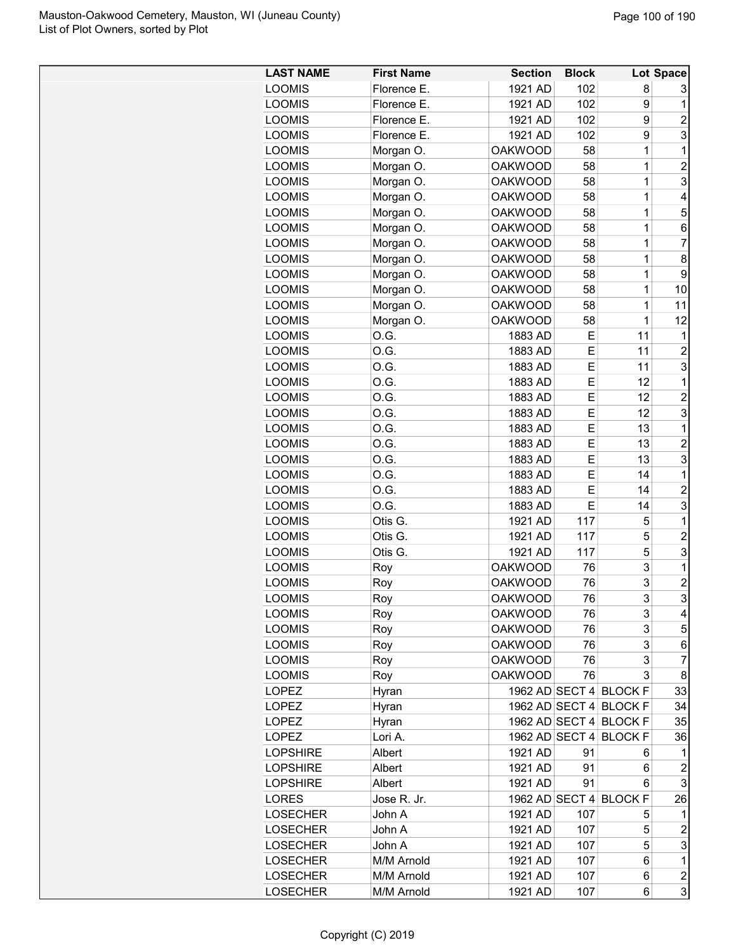| <b>LAST NAME</b> | <b>First Name</b> | <b>Section</b> | <b>Block</b> |                        | Lot Space                 |
|------------------|-------------------|----------------|--------------|------------------------|---------------------------|
| <b>LOOMIS</b>    | Florence E.       | 1921 AD        | 102          | 8                      | 3                         |
| <b>LOOMIS</b>    | Florence E.       | 1921 AD        | 102          | 9                      | 1                         |
| <b>LOOMIS</b>    | Florence E.       | 1921 AD        | 102          | 9                      | $\overline{c}$            |
| <b>LOOMIS</b>    | Florence E.       | 1921 AD        | 102          | 9                      | 3                         |
| <b>LOOMIS</b>    | Morgan O.         | <b>OAKWOOD</b> | 58           | 1                      | 1                         |
| <b>LOOMIS</b>    | Morgan O.         | <b>OAKWOOD</b> | 58           | 1                      | $\overline{2}$            |
| <b>LOOMIS</b>    | Morgan O.         | <b>OAKWOOD</b> | 58           | 1                      | 3                         |
| <b>LOOMIS</b>    | Morgan O.         | <b>OAKWOOD</b> | 58           | 1                      | $\overline{4}$            |
| <b>LOOMIS</b>    | Morgan O.         | <b>OAKWOOD</b> | 58           | 1                      | 5                         |
| <b>LOOMIS</b>    | Morgan O.         | <b>OAKWOOD</b> | 58           | 1                      | 6                         |
| <b>LOOMIS</b>    | Morgan O.         | <b>OAKWOOD</b> | 58           | 1                      | $\overline{7}$            |
| <b>LOOMIS</b>    | Morgan O.         | <b>OAKWOOD</b> | 58           | 1                      | 8                         |
| <b>LOOMIS</b>    | Morgan O.         | <b>OAKWOOD</b> | 58           | 1                      | 9                         |
| <b>LOOMIS</b>    | Morgan O.         | <b>OAKWOOD</b> | 58           | 1                      | 10                        |
|                  |                   | <b>OAKWOOD</b> | 58           | 1                      | 11                        |
| <b>LOOMIS</b>    | Morgan O.         |                |              |                        |                           |
| <b>LOOMIS</b>    | Morgan O.         | <b>OAKWOOD</b> | 58           | 1                      | 12                        |
| <b>LOOMIS</b>    | O.G.              | 1883 AD        | Ε            | 11                     | 1                         |
| <b>LOOMIS</b>    | O.G.              | 1883 AD        | E            | 11                     | $\overline{c}$            |
| <b>LOOMIS</b>    | O.G.              | 1883 AD        | E            | 11                     | 3                         |
| <b>LOOMIS</b>    | O.G.              | 1883 AD        | E            | 12                     | 1                         |
| <b>LOOMIS</b>    | O.G.              | 1883 AD        | E            | 12                     | $\overline{2}$            |
| <b>LOOMIS</b>    | O.G.              | 1883 AD        | E            | 12                     | $\ensuremath{\mathsf{3}}$ |
| <b>LOOMIS</b>    | O.G.              | 1883 AD        | E            | 13                     | 1                         |
| <b>LOOMIS</b>    | O.G.              | 1883 AD        | E            | 13                     | $\overline{2}$            |
| <b>LOOMIS</b>    | O.G.              | 1883 AD        | Е            | 13                     | 3                         |
| <b>LOOMIS</b>    | O.G.              | 1883 AD        | Е            | 14                     | 1                         |
| <b>LOOMIS</b>    | O.G.              | 1883 AD        | E            | 14                     | $\overline{c}$            |
| <b>LOOMIS</b>    | O.G.              | 1883 AD        | E            | 14                     | $\ensuremath{\mathsf{3}}$ |
| <b>LOOMIS</b>    | Otis G.           | 1921 AD        | 117          | 5                      | $\mathbf 1$               |
| <b>LOOMIS</b>    | Otis G.           | 1921 AD        | 117          | 5                      | $\overline{2}$            |
| <b>LOOMIS</b>    | Otis G.           | 1921 AD        | 117          | 5                      | 3                         |
| <b>LOOMIS</b>    | Roy               | <b>OAKWOOD</b> | 76           | 3                      | $\mathbf 1$               |
| <b>LOOMIS</b>    | Roy               | <b>OAKWOOD</b> | 76           | 3                      | $\boldsymbol{2}$          |
| <b>LOOMIS</b>    | Roy               | <b>OAKWOOD</b> | 76           | 3                      | 3                         |
| <b>LOOMIS</b>    | Roy               | <b>OAKWOOD</b> | 76           | 3                      | $\overline{\mathbf{4}}$   |
| <b>LOOMIS</b>    | Roy               | <b>OAKWOOD</b> | 76           | 3                      | 5 <sup>1</sup>            |
| <b>LOOMIS</b>    | Roy               | <b>OAKWOOD</b> | 76           | 3                      | 6                         |
| <b>LOOMIS</b>    | Roy               | <b>OAKWOOD</b> | 76           | 3                      | $\overline{7}$            |
| <b>LOOMIS</b>    | Roy               | <b>OAKWOOD</b> | 76           | 3                      | 8                         |
| <b>LOPEZ</b>     | Hyran             |                |              | 1962 AD SECT 4 BLOCK F | 33                        |
| <b>LOPEZ</b>     | Hyran             |                |              | 1962 AD SECT 4 BLOCK F | 34                        |
| <b>LOPEZ</b>     | Hyran             |                |              | 1962 AD SECT 4 BLOCK F | 35                        |
| <b>LOPEZ</b>     | Lori A.           | 1962 AD SECT 4 |              | <b>BLOCK F</b>         | 36                        |
|                  |                   |                |              |                        |                           |
| <b>LOPSHIRE</b>  | Albert            | 1921 AD        | 91           | 6                      | 1                         |
| <b>LOPSHIRE</b>  | Albert            | 1921 AD        | 91           | 6                      | 2                         |
| <b>LOPSHIRE</b>  | Albert            | 1921 AD        | 91           | 6                      | 3                         |
| <b>LORES</b>     | Jose R. Jr.       | 1962 AD SECT 4 |              | <b>BLOCK F</b>         | 26                        |
| <b>LOSECHER</b>  | John A            | 1921 AD        | 107          | 5                      | 1                         |
| <b>LOSECHER</b>  | John A            | 1921 AD        | 107          | 5                      | $\overline{a}$            |
| <b>LOSECHER</b>  | John A            | 1921 AD        | 107          | 5                      | $\overline{3}$            |
| <b>LOSECHER</b>  | M/M Arnold        | 1921 AD        | 107          | 6                      | $\mathbf{1}$              |
| <b>LOSECHER</b>  | M/M Arnold        | 1921 AD        | 107          | 6                      | 2                         |
| <b>LOSECHER</b>  | M/M Arnold        | 1921 AD        | 107          | 6                      | $\overline{3}$            |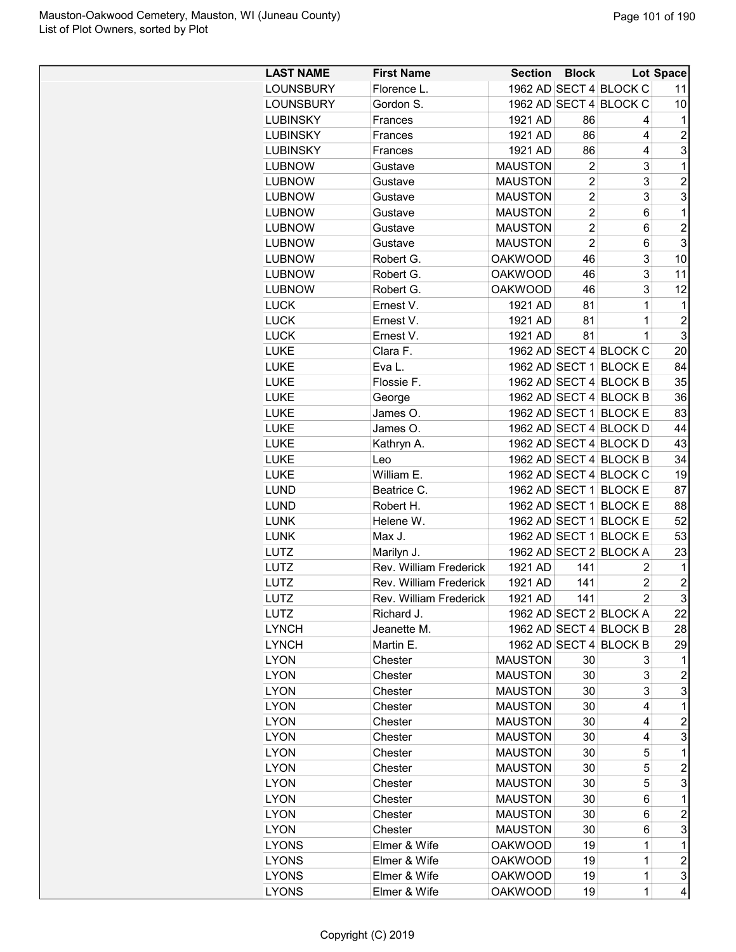| <b>LAST NAME</b> | <b>First Name</b>      | <b>Section</b> | <b>Block</b>   |                                                  | <b>Lot Space</b> |
|------------------|------------------------|----------------|----------------|--------------------------------------------------|------------------|
| <b>LOUNSBURY</b> | Florence L.            |                |                | 1962 AD SECT 4 BLOCK C                           | 11               |
| <b>LOUNSBURY</b> | Gordon S.              |                |                | 1962 AD SECT 4 BLOCK C                           | 10               |
| <b>LUBINSKY</b>  | Frances                | 1921 AD        | 86             | 4                                                | 1                |
| <b>LUBINSKY</b>  | Frances                | 1921 AD        | 86             | 4                                                | $\overline{c}$   |
| <b>LUBINSKY</b>  | Frances                | 1921 AD        | 86             | 4                                                | 3                |
| <b>LUBNOW</b>    | Gustave                | <b>MAUSTON</b> | $\overline{2}$ | 3                                                | $\mathbf 1$      |
| <b>LUBNOW</b>    | Gustave                | <b>MAUSTON</b> | $\overline{2}$ | 3                                                | $\overline{2}$   |
| <b>LUBNOW</b>    | Gustave                | <b>MAUSTON</b> | $\overline{2}$ | 3                                                | 3                |
| <b>LUBNOW</b>    | Gustave                | <b>MAUSTON</b> | $\overline{2}$ | 6                                                | 1                |
| <b>LUBNOW</b>    | Gustave                | <b>MAUSTON</b> | $\overline{c}$ | 6                                                | $\overline{2}$   |
| <b>LUBNOW</b>    | Gustave                | <b>MAUSTON</b> | $\overline{2}$ | 6                                                | 3                |
| <b>LUBNOW</b>    | Robert G.              | <b>OAKWOOD</b> | 46             | 3                                                | 10               |
| <b>LUBNOW</b>    | Robert G.              | <b>OAKWOOD</b> | 46             | 3                                                | 11               |
| <b>LUBNOW</b>    | Robert G.              | <b>OAKWOOD</b> | 46             | 3                                                | 12               |
| <b>LUCK</b>      | Ernest V.              | 1921 AD        | 81             | $\mathbf 1$                                      | 1                |
| <b>LUCK</b>      | Ernest V.              | 1921 AD        | 81             | 1                                                | $\overline{2}$   |
| <b>LUCK</b>      | Ernest V.              | 1921 AD        | 81             | $\mathbf{1}$                                     | 3                |
| <b>LUKE</b>      | Clara F.               |                |                | 1962 AD SECT 4 BLOCK C                           | 20               |
|                  |                        |                |                |                                                  |                  |
| LUKE             | Eva L.                 |                |                | 1962 AD SECT 1 BLOCK E<br>1962 AD SECT 4 BLOCK B | 84               |
| LUKE             | Flossie F.             |                |                |                                                  | 35               |
| <b>LUKE</b>      | George                 |                |                | 1962 AD SECT 4 BLOCK B                           | 36               |
| <b>LUKE</b>      | James O.               |                |                | 1962 AD SECT 1 BLOCK E                           | 83               |
| <b>LUKE</b>      | James O.               |                |                | 1962 AD SECT 4 BLOCK D                           | 44               |
| <b>LUKE</b>      | Kathryn A.             |                |                | 1962 AD SECT 4 BLOCK D                           | 43               |
| <b>LUKE</b>      | Leo                    |                |                | 1962 AD SECT 4 BLOCK B                           | 34               |
| LUKE             | William E.             |                |                | 1962 AD SECT 4 BLOCK C                           | 19               |
| <b>LUND</b>      | Beatrice C.            |                |                | 1962 AD SECT 1 BLOCK E                           | 87               |
| <b>LUND</b>      | Robert H.              |                |                | 1962 AD SECT 1 BLOCK E                           | 88               |
| <b>LUNK</b>      | Helene W.              |                |                | 1962 AD SECT 1 BLOCK E                           | 52               |
| <b>LUNK</b>      | Max J.                 |                |                | 1962 AD SECT 1 BLOCK E                           | 53               |
| LUTZ             | Marilyn J.             |                |                | 1962 AD SECT 2 BLOCK A                           | 23               |
| LUTZ             | Rev. William Frederick | 1921 AD        | 141            | 2                                                | 1                |
| LUTZ             | Rev. William Frederick | 1921 AD        | 141            | $\overline{2}$                                   | $\overline{2}$   |
| LUTZ             | Rev. William Frederick | 1921 AD        | 141            | $\vert$ 2                                        | $\mathbf{3}$     |
| <b>LUTZ</b>      | Richard J.             |                |                | 1962 AD SECT 2 BLOCK A                           | 22               |
| <b>LYNCH</b>     | Jeanette M.            |                |                | 1962 AD SECT 4 BLOCK B                           | 28               |
| <b>LYNCH</b>     | Martin E.              |                |                | 1962 AD SECT 4 BLOCK B                           | 29               |
| <b>LYON</b>      | Chester                | <b>MAUSTON</b> | 30             | 3                                                | 1                |
| <b>LYON</b>      | Chester                | <b>MAUSTON</b> | 30             | 3                                                | 2                |
| <b>LYON</b>      | Chester                | <b>MAUSTON</b> | 30             | 3                                                | 3                |
| <b>LYON</b>      | Chester                | <b>MAUSTON</b> | 30             | 4                                                | 1                |
| <b>LYON</b>      | Chester                | <b>MAUSTON</b> | 30             | 4                                                | $\overline{c}$   |
| <b>LYON</b>      | Chester                | <b>MAUSTON</b> | 30             | 4                                                | 3                |
| <b>LYON</b>      | Chester                | <b>MAUSTON</b> | 30             | 5                                                | 1                |
| <b>LYON</b>      | Chester                | <b>MAUSTON</b> | 30             | 5                                                | $\overline{c}$   |
| <b>LYON</b>      | Chester                | <b>MAUSTON</b> | 30             | 5                                                | 3                |
| <b>LYON</b>      | Chester                | <b>MAUSTON</b> | 30             | 6                                                | 1                |
| <b>LYON</b>      | Chester                | <b>MAUSTON</b> | 30             | 6                                                | $\overline{c}$   |
| <b>LYON</b>      | Chester                | <b>MAUSTON</b> | 30             | 6                                                | 3                |
| <b>LYONS</b>     | Elmer & Wife           | <b>OAKWOOD</b> | 19             | 1                                                | 1                |
| <b>LYONS</b>     | Elmer & Wife           | <b>OAKWOOD</b> | 19             | 1                                                | $\overline{c}$   |
| <b>LYONS</b>     | Elmer & Wife           | <b>OAKWOOD</b> | 19             | 1                                                | 3                |
| <b>LYONS</b>     | Elmer & Wife           | <b>OAKWOOD</b> | 19             | 1                                                | 4                |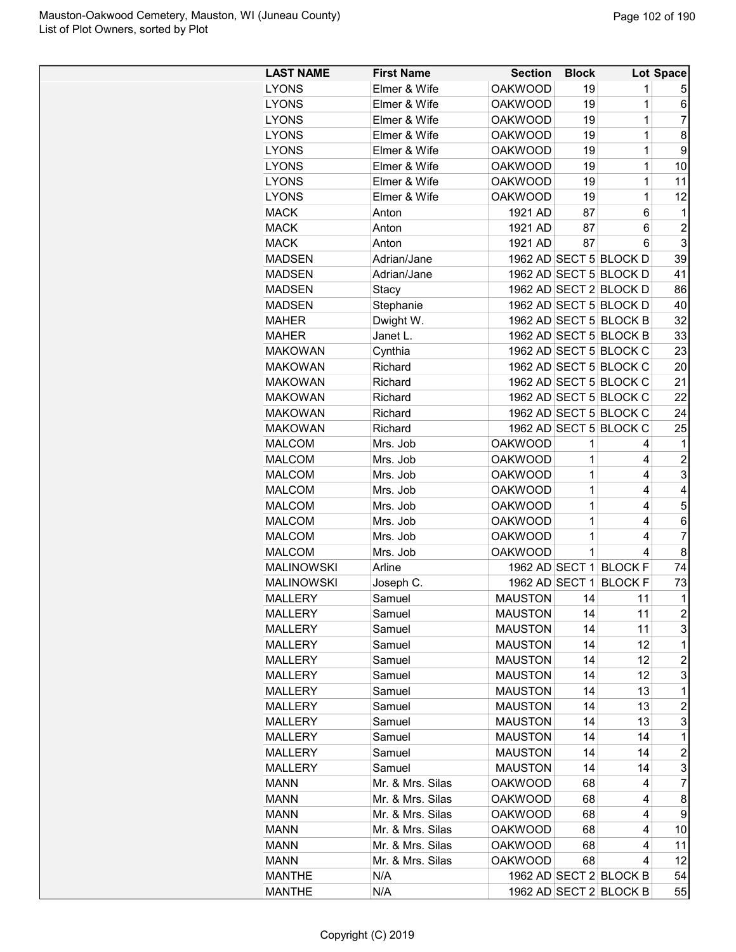| <b>LAST NAME</b>  | <b>First Name</b> | <b>Section</b> | <b>Block</b> |                        | Lot Space      |
|-------------------|-------------------|----------------|--------------|------------------------|----------------|
| <b>LYONS</b>      | Elmer & Wife      | <b>OAKWOOD</b> | 19           | 1                      | 5              |
| <b>LYONS</b>      | Elmer & Wife      | <b>OAKWOOD</b> | 19           | $\mathbf 1$            | 6              |
| <b>LYONS</b>      | Elmer & Wife      | <b>OAKWOOD</b> | 19           | $\mathbf 1$            | 7              |
| <b>LYONS</b>      | Elmer & Wife      | <b>OAKWOOD</b> | 19           | $\mathbf 1$            | 8              |
| <b>LYONS</b>      | Elmer & Wife      | <b>OAKWOOD</b> | 19           | $\mathbf 1$            | 9              |
| <b>LYONS</b>      | Elmer & Wife      | <b>OAKWOOD</b> | 19           | 1                      | 10             |
| <b>LYONS</b>      | Elmer & Wife      | <b>OAKWOOD</b> | 19           | 1                      | 11             |
| <b>LYONS</b>      | Elmer & Wife      | <b>OAKWOOD</b> | 19           | $\mathbf 1$            | 12             |
| <b>MACK</b>       | Anton             | 1921 AD        | 87           | 6                      | 1              |
| <b>MACK</b>       | Anton             | 1921 AD        | 87           | 6                      | $\overline{c}$ |
| <b>MACK</b>       | Anton             | 1921 AD        | 87           | 6                      | 3              |
| <b>MADSEN</b>     | Adrian/Jane       |                |              | 1962 AD SECT 5 BLOCK D | 39             |
| <b>MADSEN</b>     | Adrian/Jane       |                |              | 1962 AD SECT 5 BLOCK D | 41             |
| <b>MADSEN</b>     | Stacy             |                |              | 1962 AD SECT 2 BLOCK D | 86             |
| <b>MADSEN</b>     | Stephanie         |                |              | 1962 AD SECT 5 BLOCK D | 40             |
| <b>MAHER</b>      | Dwight W.         |                |              | 1962 AD SECT 5 BLOCK B | 32             |
| <b>MAHER</b>      | Janet L.          |                |              | 1962 AD SECT 5 BLOCK B | 33             |
| <b>MAKOWAN</b>    | Cynthia           |                |              | 1962 AD SECT 5 BLOCK C | 23             |
| <b>MAKOWAN</b>    | Richard           |                |              | 1962 AD SECT 5 BLOCK C | 20             |
| <b>MAKOWAN</b>    | Richard           |                |              | 1962 AD SECT 5 BLOCK C | 21             |
| <b>MAKOWAN</b>    | Richard           |                |              | 1962 AD SECT 5 BLOCK C | 22             |
| <b>MAKOWAN</b>    | Richard           |                |              | 1962 AD SECT 5 BLOCK C | 24             |
| <b>MAKOWAN</b>    | Richard           |                |              | 1962 AD SECT 5 BLOCK C | 25             |
| <b>MALCOM</b>     | Mrs. Job          | <b>OAKWOOD</b> | 1            | 4                      | 1              |
| <b>MALCOM</b>     | Mrs. Job          | <b>OAKWOOD</b> | 1            | 4                      | $\overline{c}$ |
| <b>MALCOM</b>     | Mrs. Job          | <b>OAKWOOD</b> | 1            | 4                      | 3              |
| <b>MALCOM</b>     | Mrs. Job          | <b>OAKWOOD</b> | 1            | 4                      | 4              |
| <b>MALCOM</b>     | Mrs. Job          | <b>OAKWOOD</b> | 1            | 4                      | 5              |
| <b>MALCOM</b>     | Mrs. Job          | <b>OAKWOOD</b> | 1            | 4                      | 6              |
| <b>MALCOM</b>     | Mrs. Job          | <b>OAKWOOD</b> | 1            | 4                      | $\overline{7}$ |
| <b>MALCOM</b>     | Mrs. Job          | <b>OAKWOOD</b> | 1            | 4                      | 8              |
| <b>MALINOWSKI</b> | Arline            |                |              | 1962 AD SECT 1 BLOCK F | 74             |
| <b>MALINOWSKI</b> | Joseph C.         |                |              | 1962 AD SECT 1 BLOCK F | 73             |
| <b>MALLERY</b>    | Samuel            | <b>MAUSTON</b> | 14           | 11                     | $\mathbf{1}$   |
| MALLERY           | Samuel            | <b>MAUSTON</b> | 14           | 11                     | 2              |
| <b>MALLERY</b>    | Samuel            | <b>MAUSTON</b> | 14           | 11                     | 3              |
| <b>MALLERY</b>    | Samuel            | <b>MAUSTON</b> | 14           | 12                     | 1              |
| MALLERY           | Samuel            | <b>MAUSTON</b> | 14           | 12                     | 2              |
| MALLERY           | Samuel            | <b>MAUSTON</b> | 14           | 12                     | 3              |
| MALLERY           | Samuel            | <b>MAUSTON</b> | 14           | 13                     | $\mathbf 1$    |
| MALLERY           | Samuel            | <b>MAUSTON</b> | 14           | 13                     | 2              |
| <b>MALLERY</b>    | Samuel            | <b>MAUSTON</b> | 14           | 13                     | 3              |
| <b>MALLERY</b>    | Samuel            | <b>MAUSTON</b> | 14           | 14                     | $\mathbf 1$    |
| <b>MALLERY</b>    | Samuel            | <b>MAUSTON</b> | 14           | 14                     | $\overline{c}$ |
| <b>MALLERY</b>    | Samuel            | <b>MAUSTON</b> | 14           | 14                     | 3              |
| <b>MANN</b>       | Mr. & Mrs. Silas  | <b>OAKWOOD</b> | 68           | 4                      | 7              |
| <b>MANN</b>       | Mr. & Mrs. Silas  | <b>OAKWOOD</b> | 68           | 4                      | 8              |
| MANN              | Mr. & Mrs. Silas  | <b>OAKWOOD</b> | 68           | 4                      | 9              |
| MANN              | Mr. & Mrs. Silas  | <b>OAKWOOD</b> | 68           | 4                      | 10             |
| <b>MANN</b>       | Mr. & Mrs. Silas  | <b>OAKWOOD</b> | 68           | 4                      | 11             |
| <b>MANN</b>       | Mr. & Mrs. Silas  | OAKWOOD        | 68           | 4                      | 12             |
| <b>MANTHE</b>     | N/A               |                |              | 1962 AD SECT 2 BLOCK B | 54             |
| <b>MANTHE</b>     | N/A               |                |              | 1962 AD SECT 2 BLOCK B | 55             |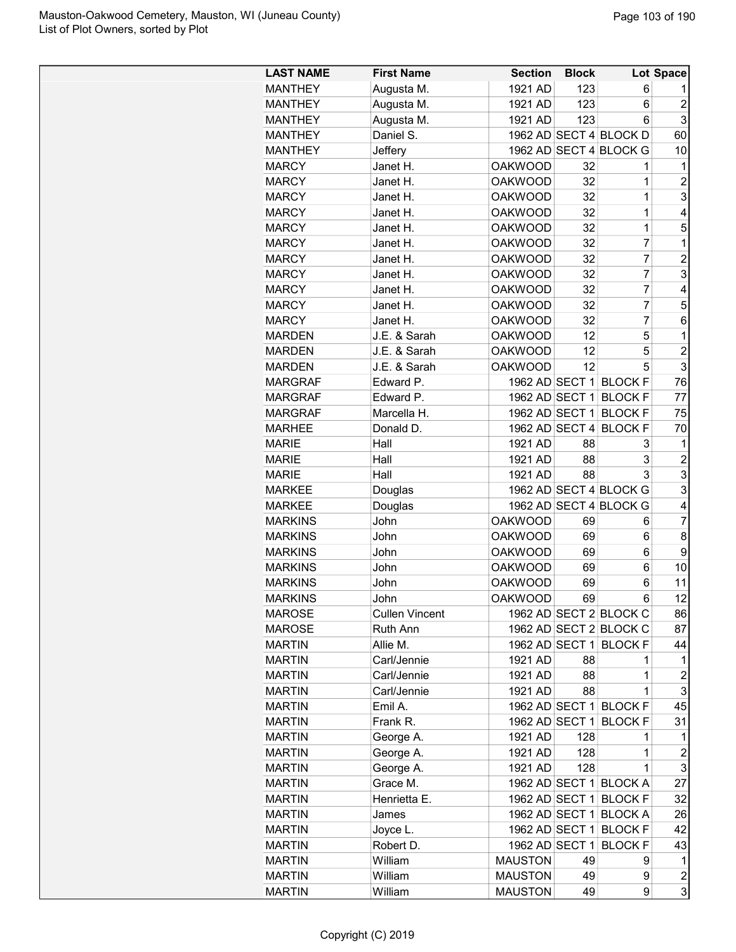| <b>LAST NAME</b> | <b>First Name</b>     | <b>Section</b> | <b>Block</b> |                        | Lot Space                 |
|------------------|-----------------------|----------------|--------------|------------------------|---------------------------|
| <b>MANTHEY</b>   | Augusta M.            | 1921 AD        | 123          | 6                      |                           |
| <b>MANTHEY</b>   | Augusta M.            | 1921 AD        | 123          | 6                      | $\overline{2}$            |
| <b>MANTHEY</b>   | Augusta M.            | 1921 AD        | 123          | 6                      | 3                         |
| <b>MANTHEY</b>   | Daniel S.             |                |              | 1962 AD SECT 4 BLOCK D | 60                        |
| <b>MANTHEY</b>   | Jeffery               |                |              | 1962 AD SECT 4 BLOCK G | 10                        |
| <b>MARCY</b>     | Janet H.              | <b>OAKWOOD</b> | 32           | 1                      | $\mathbf 1$               |
| <b>MARCY</b>     | Janet H.              | <b>OAKWOOD</b> | 32           | 1                      | $\overline{c}$            |
| <b>MARCY</b>     | Janet H.              | <b>OAKWOOD</b> | 32           | $\mathbf 1$            | 3                         |
| <b>MARCY</b>     | Janet H.              | <b>OAKWOOD</b> | 32           | $\mathbf 1$            | 4                         |
| <b>MARCY</b>     | Janet H.              | <b>OAKWOOD</b> | 32           | $\mathbf 1$            | 5                         |
| <b>MARCY</b>     | Janet H.              | <b>OAKWOOD</b> | 32           | $\overline{7}$         | 1                         |
| <b>MARCY</b>     | Janet H.              | <b>OAKWOOD</b> | 32           | $\overline{7}$         | $\overline{c}$            |
| <b>MARCY</b>     | Janet H.              | <b>OAKWOOD</b> | 32           | $\overline{7}$         | 3                         |
| <b>MARCY</b>     | Janet H.              | <b>OAKWOOD</b> | 32           | $\overline{7}$         | 4                         |
| <b>MARCY</b>     | Janet H.              | <b>OAKWOOD</b> | 32           | $\overline{7}$         | 5                         |
| <b>MARCY</b>     | Janet H.              | <b>OAKWOOD</b> | 32           | $\overline{7}$         | 6                         |
| <b>MARDEN</b>    | J.E. & Sarah          | <b>OAKWOOD</b> | 12           | 5                      | 1                         |
| MARDEN           | J.E. & Sarah          | <b>OAKWOOD</b> | 12           | 5                      | $\overline{c}$            |
| <b>MARDEN</b>    | J.E. & Sarah          | <b>OAKWOOD</b> | 12           | 5                      | 3                         |
| <b>MARGRAF</b>   | Edward P.             | 1962 AD SECT 1 |              | <b>BLOCK F</b>         | 76                        |
| <b>MARGRAF</b>   | Edward P.             | 1962 AD SECT 1 |              | <b>BLOCK F</b>         | 77                        |
| <b>MARGRAF</b>   | Marcella H.           | 1962 AD SECT 1 |              | <b>BLOCK F</b>         | 75                        |
|                  |                       |                |              |                        |                           |
| <b>MARHEE</b>    | Donald D.             |                |              | 1962 AD SECT 4 BLOCK F | 70                        |
| <b>MARIE</b>     | Hall                  | 1921 AD        | 88           | 3                      | 1                         |
| <b>MARIE</b>     | Hall                  | 1921 AD        | 88           | 3                      | $\overline{c}$            |
| <b>MARIE</b>     | Hall                  | 1921 AD        | 88           | 3                      | 3                         |
| <b>MARKEE</b>    | Douglas               |                |              | 1962 AD SECT 4 BLOCK G | 3                         |
| <b>MARKEE</b>    | Douglas               |                |              | 1962 AD SECT 4 BLOCK G | 4                         |
| <b>MARKINS</b>   | John                  | <b>OAKWOOD</b> | 69           | 6                      | $\overline{7}$            |
| <b>MARKINS</b>   | John                  | <b>OAKWOOD</b> | 69           | 6                      | 8                         |
| <b>MARKINS</b>   | John                  | <b>OAKWOOD</b> | 69           | 6                      | 9                         |
| <b>MARKINS</b>   | John                  | <b>OAKWOOD</b> | 69           | 6                      | 10                        |
| <b>MARKINS</b>   | John                  | <b>OAKWOOD</b> | 69           | 6                      | 11                        |
| <b>MARKINS</b>   | John                  | <b>OAKWOOD</b> | 69           | 6                      | 12                        |
| <b>MAROSE</b>    | <b>Cullen Vincent</b> |                |              | 1962 AD SECT 2 BLOCK C | 86                        |
| <b>MAROSE</b>    | Ruth Ann              |                |              | 1962 AD SECT 2 BLOCK C | 87                        |
| <b>MARTIN</b>    | Allie M.              |                |              | 1962 AD SECT 1 BLOCK F | 44                        |
| <b>MARTIN</b>    | Carl/Jennie           | 1921 AD        | 88           | 1                      | 1                         |
| <b>MARTIN</b>    | Carl/Jennie           | 1921 AD        | 88           | 1                      | 2                         |
| <b>MARTIN</b>    | Carl/Jennie           | 1921 AD        | 88           | 1                      | 3                         |
| <b>MARTIN</b>    | Emil A.               |                |              | 1962 AD SECT 1 BLOCK F | 45                        |
| <b>MARTIN</b>    | Frank R.              | 1962 AD SECT 1 |              | <b>BLOCK F</b>         | 31                        |
| <b>MARTIN</b>    | George A.             | 1921 AD        | 128          | 1                      | 1                         |
| <b>MARTIN</b>    | George A.             | 1921 AD        | 128          | 1                      | $\boldsymbol{2}$          |
| <b>MARTIN</b>    | George A.             | 1921 AD        | 128          | $\mathbf 1$            | $\ensuremath{\mathsf{3}}$ |
| <b>MARTIN</b>    | Grace M.              |                |              | 1962 AD SECT 1 BLOCK A | 27                        |
| <b>MARTIN</b>    | Henrietta E.          |                |              | 1962 AD SECT 1 BLOCK F | 32                        |
| <b>MARTIN</b>    | James                 |                |              | 1962 AD SECT 1 BLOCK A | 26                        |
| <b>MARTIN</b>    | Joyce L.              |                |              | 1962 AD SECT 1 BLOCK F | 42                        |
| <b>MARTIN</b>    | Robert D.             | 1962 AD SECT 1 |              | <b>BLOCK F</b>         | 43                        |
| <b>MARTIN</b>    | William               | <b>MAUSTON</b> | 49           | 9                      | 1                         |
| <b>MARTIN</b>    | William               | <b>MAUSTON</b> | 49           | 9                      | $\boldsymbol{2}$          |
| <b>MARTIN</b>    | William               | <b>MAUSTON</b> | 49           | 9                      | 3                         |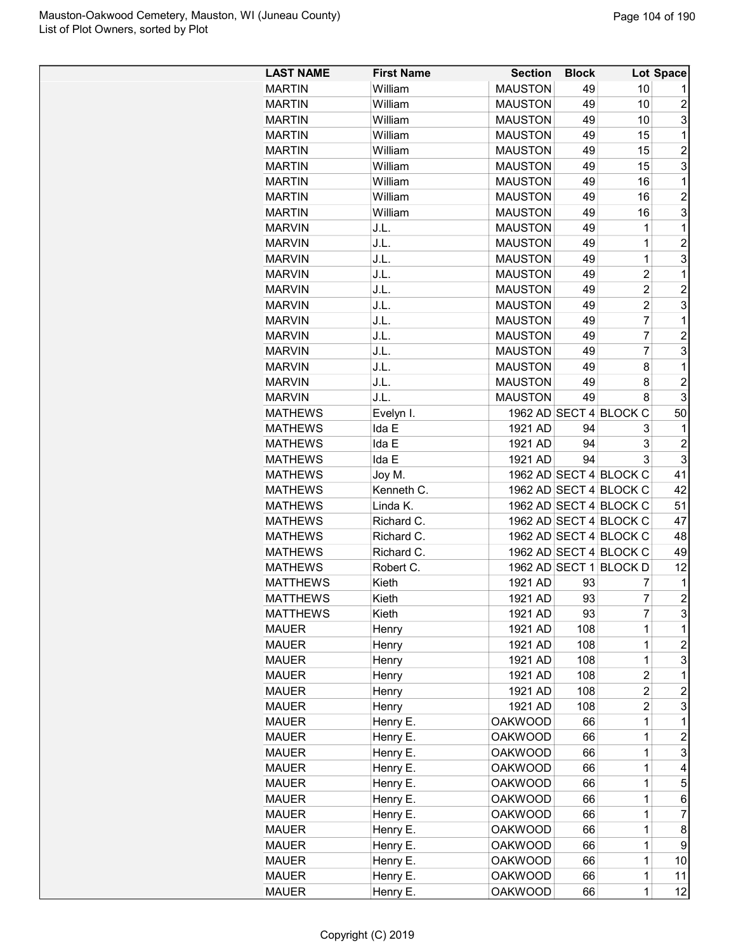| <b>LAST NAME</b> | <b>First Name</b> | <b>Section</b> | <b>Block</b> |                        | Lot Space      |
|------------------|-------------------|----------------|--------------|------------------------|----------------|
| <b>MARTIN</b>    | William           | <b>MAUSTON</b> | 49           | 10                     | 1              |
| <b>MARTIN</b>    | William           | <b>MAUSTON</b> | 49           | 10                     | $\overline{c}$ |
| <b>MARTIN</b>    | William           | <b>MAUSTON</b> | 49           | 10                     | 3              |
| <b>MARTIN</b>    | William           | <b>MAUSTON</b> | 49           | 15                     | 1              |
| <b>MARTIN</b>    | William           | <b>MAUSTON</b> | 49           | 15                     | $\overline{2}$ |
| <b>MARTIN</b>    | William           | <b>MAUSTON</b> | 49           | 15                     | 3              |
| <b>MARTIN</b>    | William           | <b>MAUSTON</b> | 49           | 16                     | $\mathbf 1$    |
| <b>MARTIN</b>    | William           | <b>MAUSTON</b> | 49           | 16                     | $\overline{2}$ |
| <b>MARTIN</b>    | William           | <b>MAUSTON</b> | 49           | 16                     | 3              |
| <b>MARVIN</b>    | J.L.              | <b>MAUSTON</b> | 49           | 1                      | $\mathbf 1$    |
| <b>MARVIN</b>    | J.L.              | <b>MAUSTON</b> | 49           | $\overline{1}$         | $\overline{c}$ |
| <b>MARVIN</b>    | J.L.              | <b>MAUSTON</b> | 49           | 1                      | 3              |
| <b>MARVIN</b>    | J.L.              | <b>MAUSTON</b> | 49           | $\overline{2}$         | 1              |
| <b>MARVIN</b>    | J.L.              | <b>MAUSTON</b> | 49           | $\overline{2}$         | $\overline{2}$ |
| <b>MARVIN</b>    | J.L.              | <b>MAUSTON</b> | 49           | $\overline{2}$         | 3              |
| <b>MARVIN</b>    | J.L.              | <b>MAUSTON</b> | 49           | $\overline{7}$         | 1              |
| <b>MARVIN</b>    | J.L.              | <b>MAUSTON</b> | 49           | $\overline{7}$         | $\overline{c}$ |
| <b>MARVIN</b>    | J.L.              | <b>MAUSTON</b> | 49           | $\overline{7}$         | 3              |
| <b>MARVIN</b>    | J.L.              | <b>MAUSTON</b> | 49           | 8                      | 1              |
| <b>MARVIN</b>    | J.L.              | <b>MAUSTON</b> | 49           | 8                      | $\overline{c}$ |
| <b>MARVIN</b>    | J.L.              | <b>MAUSTON</b> | 49           | 8                      | 3              |
| <b>MATHEWS</b>   | Evelyn I.         |                |              | 1962 AD SECT 4 BLOCK C | 50             |
| <b>MATHEWS</b>   | Ida E             | 1921 AD        | 94           | 3                      | 1              |
| <b>MATHEWS</b>   | Ida E             | 1921 AD        | 94           | 3                      | $\overline{2}$ |
|                  |                   |                | 94           | 3                      | 3              |
| <b>MATHEWS</b>   | Ida E             | 1921 AD        |              | 1962 AD SECT 4 BLOCK C |                |
| <b>MATHEWS</b>   | Joy M.            |                |              |                        | 41             |
| <b>MATHEWS</b>   | Kenneth C.        |                |              | 1962 AD SECT 4 BLOCK C | 42             |
| <b>MATHEWS</b>   | Linda K.          |                |              | 1962 AD SECT 4 BLOCK C | 51             |
| <b>MATHEWS</b>   | Richard C.        |                |              | 1962 AD SECT 4 BLOCK C | 47             |
| <b>MATHEWS</b>   | Richard C.        |                |              | 1962 AD SECT 4 BLOCK C | 48             |
| <b>MATHEWS</b>   | Richard C.        |                |              | 1962 AD SECT 4 BLOCK C | 49             |
| <b>MATHEWS</b>   | Robert C.         |                |              | 1962 AD SECT 1 BLOCK D | 12             |
| <b>MATTHEWS</b>  | Kieth             | 1921 AD        | 93           | 7                      | 1              |
| <b>MATTHEWS</b>  | Kieth             | 1921 AD        | 93           | 7                      | $\overline{2}$ |
| <b>MATTHEWS</b>  | Kieth             | 1921 AD        | 93           | 7                      | 3              |
| <b>MAUER</b>     | Henry             | 1921 AD        | 108          | 1                      | 1              |
| <b>MAUER</b>     | Henry             | 1921 AD        | 108          | $\mathbf{1}$           | $\overline{c}$ |
| <b>MAUER</b>     | Henry             | 1921 AD        | 108          | $\mathbf{1}$           | 3              |
| <b>MAUER</b>     | Henry             | 1921 AD        | 108          | $\overline{c}$         | 1              |
| <b>MAUER</b>     | Henry             | 1921 AD        | 108          | $\overline{2}$         | $\overline{c}$ |
| <b>MAUER</b>     | Henry             | 1921 AD        | 108          | 2                      | 3              |
| <b>MAUER</b>     | Henry E.          | <b>OAKWOOD</b> | 66           | 1                      | 1              |
| <b>MAUER</b>     | Henry E.          | <b>OAKWOOD</b> | 66           | $\overline{1}$         | $\overline{c}$ |
| <b>MAUER</b>     | Henry E.          | <b>OAKWOOD</b> | 66           | $\mathbf{1}$           | 3              |
| <b>MAUER</b>     | Henry E.          | <b>OAKWOOD</b> | 66           | $\mathbf{1}$           | 4              |
| <b>MAUER</b>     | Henry E.          | <b>OAKWOOD</b> | 66           | $\mathbf{1}$           | 5              |
| <b>MAUER</b>     | Henry E.          | <b>OAKWOOD</b> | 66           | 1                      | 6              |
| <b>MAUER</b>     | Henry E.          | <b>OAKWOOD</b> | 66           | 1                      | $\overline{7}$ |
| <b>MAUER</b>     | Henry E.          | <b>OAKWOOD</b> | 66           | 1                      | 8              |
| <b>MAUER</b>     | Henry E.          | <b>OAKWOOD</b> | 66           | 1                      | 9              |
| <b>MAUER</b>     | Henry E.          | <b>OAKWOOD</b> | 66           | $\mathbf{1}$           | 10             |
| <b>MAUER</b>     | Henry E.          | <b>OAKWOOD</b> | 66           | $\mathbf{1}$           | 11             |
| <b>MAUER</b>     | Henry E.          | <b>OAKWOOD</b> | 66           | $\overline{1}$         | 12             |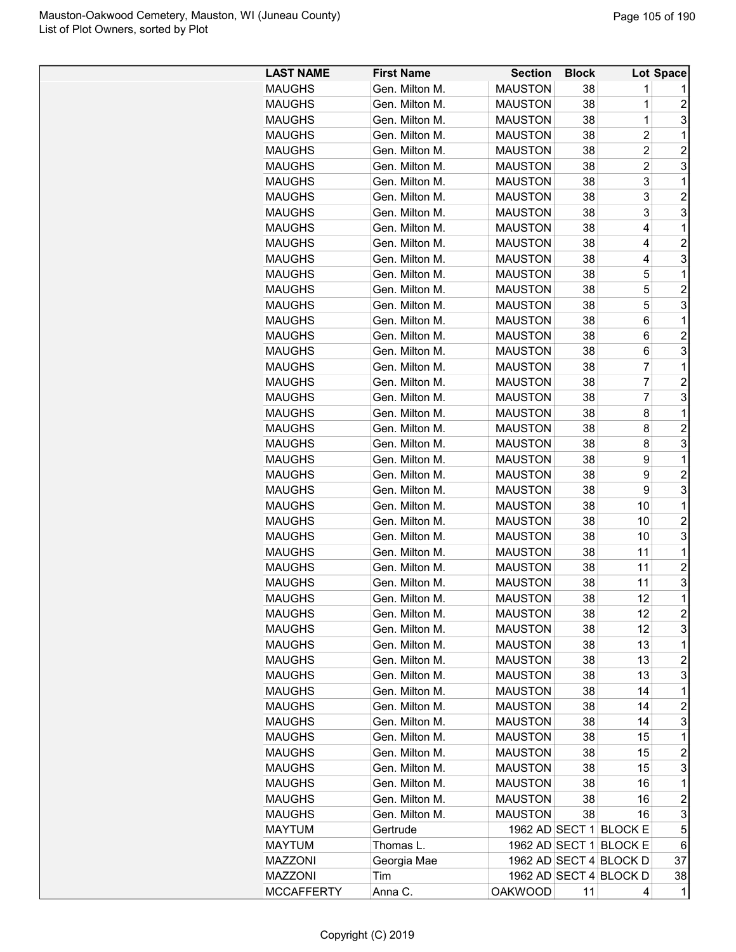| <b>LAST NAME</b>  | <b>First Name</b> | <b>Section</b> | <b>Block</b> |                        | Lot Space               |
|-------------------|-------------------|----------------|--------------|------------------------|-------------------------|
| <b>MAUGHS</b>     | Gen. Milton M.    | <b>MAUSTON</b> | 38           | 1                      |                         |
| <b>MAUGHS</b>     | Gen. Milton M.    | <b>MAUSTON</b> | 38           | 1                      | $\overline{c}$          |
| <b>MAUGHS</b>     | Gen. Milton M.    | <b>MAUSTON</b> | 38           | 1                      | 3                       |
| <b>MAUGHS</b>     | Gen. Milton M.    | <b>MAUSTON</b> | 38           | $\overline{c}$         | 1                       |
| <b>MAUGHS</b>     | Gen. Milton M.    | <b>MAUSTON</b> | 38           | $\overline{c}$         | $\overline{c}$          |
| <b>MAUGHS</b>     | Gen. Milton M.    | <b>MAUSTON</b> | 38           | $\overline{2}$         | 3                       |
| <b>MAUGHS</b>     | Gen. Milton M.    | <b>MAUSTON</b> | 38           | 3                      | 1                       |
| <b>MAUGHS</b>     | Gen. Milton M.    | <b>MAUSTON</b> | 38           | 3                      | $\overline{c}$          |
| <b>MAUGHS</b>     | Gen. Milton M.    | <b>MAUSTON</b> | 38           | 3                      | 3                       |
| <b>MAUGHS</b>     | Gen. Milton M.    | <b>MAUSTON</b> | 38           | 4                      | 1                       |
| <b>MAUGHS</b>     | Gen. Milton M.    | <b>MAUSTON</b> | 38           | 4                      | $\overline{c}$          |
| <b>MAUGHS</b>     | Gen. Milton M.    | <b>MAUSTON</b> | 38           | 4                      | 3                       |
| <b>MAUGHS</b>     | Gen. Milton M.    | <b>MAUSTON</b> | 38           | 5                      | $\mathbf{1}$            |
| <b>MAUGHS</b>     | Gen. Milton M.    | <b>MAUSTON</b> | 38           | 5                      | $\overline{2}$          |
| <b>MAUGHS</b>     | Gen. Milton M.    | <b>MAUSTON</b> | 38           | 5                      | 3                       |
| <b>MAUGHS</b>     | Gen. Milton M.    | <b>MAUSTON</b> | 38           | 6                      | 1                       |
| <b>MAUGHS</b>     | Gen. Milton M.    | <b>MAUSTON</b> | 38           | 6                      | $\overline{c}$          |
| <b>MAUGHS</b>     | Gen. Milton M.    | <b>MAUSTON</b> | 38           | 6                      | 3                       |
| <b>MAUGHS</b>     | Gen. Milton M.    | <b>MAUSTON</b> | 38           | 7                      | $\mathbf{1}$            |
| <b>MAUGHS</b>     | Gen. Milton M.    | <b>MAUSTON</b> | 38           | 7                      | $\overline{c}$          |
| <b>MAUGHS</b>     | Gen. Milton M.    | <b>MAUSTON</b> | 38           | $\overline{7}$         | 3                       |
| <b>MAUGHS</b>     | Gen. Milton M.    | <b>MAUSTON</b> | 38           | 8                      | 1                       |
| <b>MAUGHS</b>     | Gen. Milton M.    | <b>MAUSTON</b> | 38           | 8                      | $\overline{c}$          |
| <b>MAUGHS</b>     | Gen. Milton M.    | <b>MAUSTON</b> | 38           | 8                      | 3                       |
| <b>MAUGHS</b>     | Gen. Milton M.    | <b>MAUSTON</b> | 38           | 9                      | 1                       |
|                   | Gen. Milton M.    | <b>MAUSTON</b> | 38           | 9                      | $\overline{2}$          |
| <b>MAUGHS</b>     | Gen. Milton M.    | <b>MAUSTON</b> |              | 9                      | 3                       |
| <b>MAUGHS</b>     | Gen. Milton M.    | <b>MAUSTON</b> | 38           |                        | 1                       |
| <b>MAUGHS</b>     | Gen. Milton M.    |                | 38           | 10                     | $\overline{c}$          |
| <b>MAUGHS</b>     |                   | <b>MAUSTON</b> | 38           | 10                     | 3                       |
| <b>MAUGHS</b>     | Gen. Milton M.    | <b>MAUSTON</b> | 38           | 10                     |                         |
| <b>MAUGHS</b>     | Gen. Milton M.    | <b>MAUSTON</b> | 38           | 11                     | 1                       |
| <b>MAUGHS</b>     | Gen. Milton M.    | <b>MAUSTON</b> | 38           | 11                     | $\overline{c}$          |
| <b>MAUGHS</b>     | Gen. Milton M.    | <b>MAUSTON</b> | 38           | 11                     | 3<br>$\mathbf{1}$       |
| <b>MAUGHS</b>     | Gen. Milton M.    | <b>MAUSTON</b> | 38           | 12                     |                         |
| <b>MAUGHS</b>     | Gen. Milton M.    | <b>MAUSTON</b> | 38           | 12                     | $\overline{\mathbf{c}}$ |
| <b>MAUGHS</b>     | Gen. Milton M.    | <b>MAUSTON</b> | 38           | 12                     | 3                       |
| <b>MAUGHS</b>     | Gen. Milton M.    | <b>MAUSTON</b> | 38           | 13                     | 1                       |
| <b>MAUGHS</b>     | Gen. Milton M.    | <b>MAUSTON</b> | 38           | 13                     | $\overline{\mathbf{c}}$ |
| <b>MAUGHS</b>     | Gen. Milton M.    | <b>MAUSTON</b> | 38           | 13                     | 3                       |
| <b>MAUGHS</b>     | Gen. Milton M.    | <b>MAUSTON</b> | 38           | 14                     | 1                       |
| <b>MAUGHS</b>     | Gen. Milton M.    | <b>MAUSTON</b> | 38           | 14                     | $\overline{c}$          |
| <b>MAUGHS</b>     | Gen. Milton M.    | <b>MAUSTON</b> | 38           | 14                     | 3                       |
| <b>MAUGHS</b>     | Gen. Milton M.    | <b>MAUSTON</b> | 38           | 15                     | 1                       |
| <b>MAUGHS</b>     | Gen. Milton M.    | <b>MAUSTON</b> | 38           | 15                     | $\overline{\mathbf{c}}$ |
| <b>MAUGHS</b>     | Gen. Milton M.    | <b>MAUSTON</b> | 38           | 15                     | 3                       |
| <b>MAUGHS</b>     | Gen. Milton M.    | <b>MAUSTON</b> | 38           | 16                     | 1                       |
| <b>MAUGHS</b>     | Gen. Milton M.    | <b>MAUSTON</b> | 38           | 16                     | 2                       |
| <b>MAUGHS</b>     | Gen. Milton M.    | <b>MAUSTON</b> | 38           | 16                     | 3                       |
| <b>MAYTUM</b>     | Gertrude          |                |              | 1962 AD SECT 1 BLOCK E | 5                       |
| <b>MAYTUM</b>     | Thomas L.         | 1962 AD SECT 1 |              | <b>BLOCK E</b>         | 6                       |
| <b>MAZZONI</b>    | Georgia Mae       |                |              | 1962 AD SECT 4 BLOCK D | 37                      |
| <b>MAZZONI</b>    | Tim               |                |              | 1962 AD SECT 4 BLOCK D | 38                      |
| <b>MCCAFFERTY</b> | Anna C.           | <b>OAKWOOD</b> | 11           | 4                      | 1                       |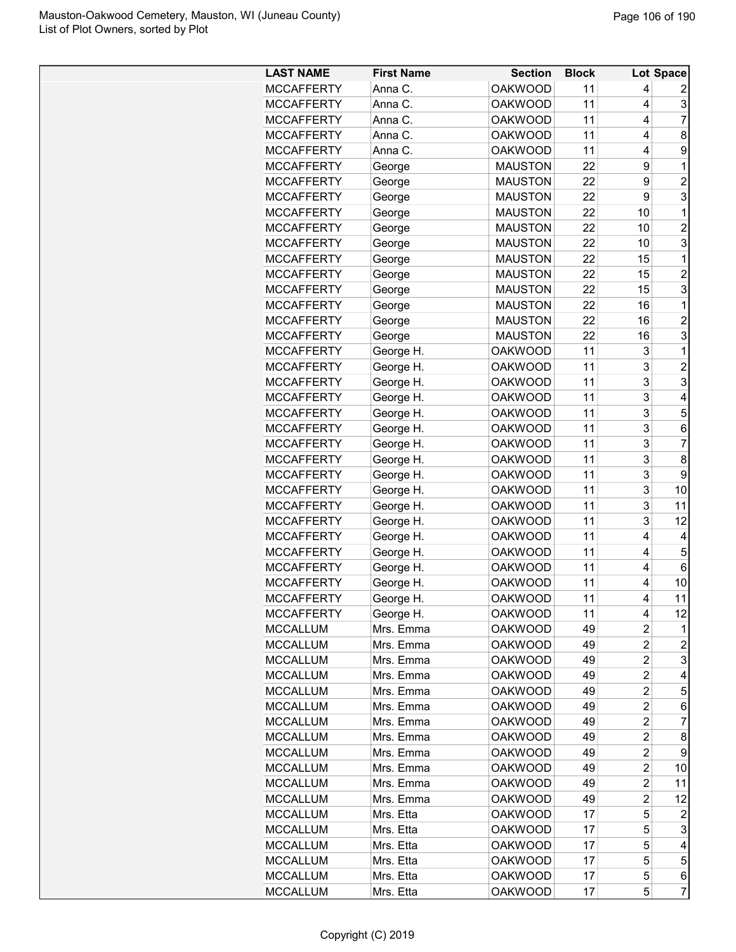| <b>LAST NAME</b>                   | <b>First Name</b> | <b>Section</b> | <b>Block</b> |                | Lot Space           |
|------------------------------------|-------------------|----------------|--------------|----------------|---------------------|
| <b>MCCAFFERTY</b>                  | Anna C.           | <b>OAKWOOD</b> | 11           | 4              |                     |
| <b>MCCAFFERTY</b>                  | Anna C.           | <b>OAKWOOD</b> | 11           | 4              | 3                   |
| <b>MCCAFFERTY</b>                  | Anna C.           | <b>OAKWOOD</b> | 11           | 4              | $\overline{7}$      |
| <b>MCCAFFERTY</b>                  | Anna C.           | <b>OAKWOOD</b> | 11           | 4              | 8                   |
| <b>MCCAFFERTY</b>                  | Anna C.           | <b>OAKWOOD</b> | 11           | 4              | 9                   |
| <b>MCCAFFERTY</b>                  | George            | <b>MAUSTON</b> | 22           | 9              | 1                   |
| <b>MCCAFFERTY</b>                  | George            | <b>MAUSTON</b> | 22           | 9              | $\overline{2}$      |
| <b>MCCAFFERTY</b>                  | George            | <b>MAUSTON</b> | 22           | 9              | 3                   |
| <b>MCCAFFERTY</b>                  | George            | <b>MAUSTON</b> | 22           | 10             | 1                   |
| <b>MCCAFFERTY</b>                  | George            | <b>MAUSTON</b> | 22           | 10             | $\overline{c}$      |
| <b>MCCAFFERTY</b>                  | George            | <b>MAUSTON</b> | 22           | 10             | 3                   |
| <b>MCCAFFERTY</b>                  | George            | <b>MAUSTON</b> | 22           | 15             | 1                   |
| <b>MCCAFFERTY</b>                  | George            | <b>MAUSTON</b> | 22           | 15             | $\overline{2}$      |
| <b>MCCAFFERTY</b>                  | George            | <b>MAUSTON</b> | 22           | 15             | 3                   |
| <b>MCCAFFERTY</b>                  | George            | <b>MAUSTON</b> | 22           | 16             | 1                   |
| <b>MCCAFFERTY</b>                  | George            | <b>MAUSTON</b> | 22           | 16             | $\overline{2}$      |
| <b>MCCAFFERTY</b>                  | George            | <b>MAUSTON</b> | 22           | 16             | 3                   |
| <b>MCCAFFERTY</b>                  | George H.         | <b>OAKWOOD</b> | 11           | 3              | 1                   |
| <b>MCCAFFERTY</b>                  | George H.         | <b>OAKWOOD</b> | 11           | 3              | $\overline{2}$      |
| <b>MCCAFFERTY</b>                  | George H.         | <b>OAKWOOD</b> | 11           | 3              | 3                   |
| <b>MCCAFFERTY</b>                  | George H.         | <b>OAKWOOD</b> | 11           | 3              | 4                   |
| <b>MCCAFFERTY</b>                  | George H.         | <b>OAKWOOD</b> | 11           | 3              | 5                   |
| <b>MCCAFFERTY</b>                  | George H.         | <b>OAKWOOD</b> | 11           | 3              | 6                   |
| <b>MCCAFFERTY</b>                  | George H.         | <b>OAKWOOD</b> | 11           | 3              | $\overline{7}$      |
| <b>MCCAFFERTY</b>                  | George H.         | <b>OAKWOOD</b> | 11           | 3              | 8                   |
| <b>MCCAFFERTY</b>                  | George H.         | <b>OAKWOOD</b> | 11           | 3              | 9                   |
| <b>MCCAFFERTY</b>                  | George H.         | <b>OAKWOOD</b> | 11           | 3              | 10                  |
| <b>MCCAFFERTY</b>                  | George H.         | <b>OAKWOOD</b> | 11           | 3              | 11                  |
| <b>MCCAFFERTY</b>                  | George H.         | <b>OAKWOOD</b> | 11           | 3              | 12                  |
| <b>MCCAFFERTY</b>                  | George H.         | <b>OAKWOOD</b> | 11           | 4              | 4                   |
| <b>MCCAFFERTY</b>                  | George H.         | <b>OAKWOOD</b> | 11           | 4              | 5                   |
| <b>MCCAFFERTY</b>                  | George H.         | <b>OAKWOOD</b> | 11           | 4              | 6                   |
| <b>MCCAFFERTY</b>                  | George H.         | <b>OAKWOOD</b> | 11           | 4              | 10                  |
| <b>MCCAFFERTY</b>                  | George H.         | <b>OAKWOOD</b> | 11           | 4              | 11                  |
| <b>MCCAFFERTY</b>                  | George H.         | <b>OAKWOOD</b> | 11           | 4              | 12                  |
| <b>MCCALLUM</b>                    | Mrs. Emma         | <b>OAKWOOD</b> | 49           | $\overline{c}$ | 1                   |
| <b>MCCALLUM</b>                    | Mrs. Emma         | <b>OAKWOOD</b> | 49           | $\overline{c}$ | $\boldsymbol{2}$    |
| <b>MCCALLUM</b>                    | Mrs. Emma         | <b>OAKWOOD</b> | 49           | $\overline{c}$ | 3                   |
| <b>MCCALLUM</b>                    | Mrs. Emma         | <b>OAKWOOD</b> | 49           | 2              | 4                   |
| <b>MCCALLUM</b>                    | Mrs. Emma         | <b>OAKWOOD</b> | 49           | $\overline{c}$ | 5                   |
| <b>MCCALLUM</b>                    | Mrs. Emma         | <b>OAKWOOD</b> | 49           | $\overline{c}$ | 6                   |
| <b>MCCALLUM</b>                    | Mrs. Emma         | <b>OAKWOOD</b> | 49           | $\overline{c}$ | $\overline{7}$      |
| <b>MCCALLUM</b>                    | Mrs. Emma         | <b>OAKWOOD</b> | 49           | $\overline{2}$ | 8                   |
| <b>MCCALLUM</b>                    | Mrs. Emma         | <b>OAKWOOD</b> | 49           | $\overline{c}$ | 9                   |
| <b>MCCALLUM</b>                    | Mrs. Emma         | <b>OAKWOOD</b> | 49           | 2              | 10                  |
| <b>MCCALLUM</b>                    | Mrs. Emma         | <b>OAKWOOD</b> | 49           | 2              | 11                  |
|                                    | Mrs. Emma         |                |              |                |                     |
| <b>MCCALLUM</b><br><b>MCCALLUM</b> |                   | <b>OAKWOOD</b> | 49           | 2              | 12                  |
|                                    | Mrs. Etta         | <b>OAKWOOD</b> | 17           | 5              | 2<br>3              |
| <b>MCCALLUM</b>                    | Mrs. Etta         | <b>OAKWOOD</b> | 17           | 5              | 4                   |
| MCCALLUM                           | Mrs. Etta         | OAKWOOD        | 17           | 5<br>5         | 5                   |
| <b>MCCALLUM</b>                    | Mrs. Etta         | <b>OAKWOOD</b> | 17           |                |                     |
| <b>MCCALLUM</b>                    | Mrs. Etta         | <b>OAKWOOD</b> | 17<br>17     | 5<br>5         | 6<br>$\overline{7}$ |
| <b>MCCALLUM</b>                    | Mrs. Etta         | <b>OAKWOOD</b> |              |                |                     |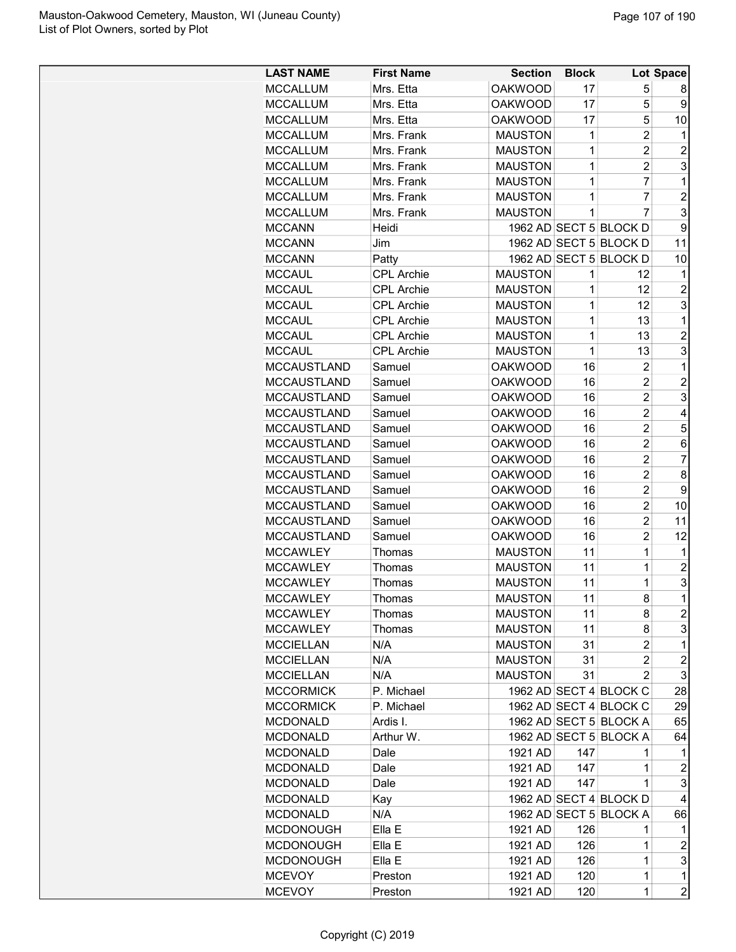| <b>LAST NAME</b>   | <b>First Name</b> | <b>Section</b> | <b>Block</b> |                        | Lot Space                 |
|--------------------|-------------------|----------------|--------------|------------------------|---------------------------|
| <b>MCCALLUM</b>    | Mrs. Etta         | <b>OAKWOOD</b> | 17           | 5                      | 8                         |
| <b>MCCALLUM</b>    | Mrs. Etta         | <b>OAKWOOD</b> | 17           | 5                      | 9                         |
| <b>MCCALLUM</b>    | Mrs. Etta         | <b>OAKWOOD</b> | 17           | 5                      | 10                        |
| <b>MCCALLUM</b>    | Mrs. Frank        | <b>MAUSTON</b> | 1            | $\overline{c}$         | 1                         |
| <b>MCCALLUM</b>    | Mrs. Frank        | <b>MAUSTON</b> | 1            | $\overline{2}$         | $\overline{2}$            |
| <b>MCCALLUM</b>    | Mrs. Frank        | <b>MAUSTON</b> | 1            | $\overline{2}$         | 3                         |
| <b>MCCALLUM</b>    | Mrs. Frank        | <b>MAUSTON</b> | 1            | 7                      | 1                         |
| <b>MCCALLUM</b>    | Mrs. Frank        | <b>MAUSTON</b> | 1            | 7                      | $\overline{2}$            |
| <b>MCCALLUM</b>    | Mrs. Frank        | <b>MAUSTON</b> | 1            | $\overline{7}$         | 3                         |
| <b>MCCANN</b>      | Heidi             |                |              | 1962 AD SECT 5 BLOCK D | 9                         |
| <b>MCCANN</b>      | Jim               |                |              | 1962 AD SECT 5 BLOCK D | 11                        |
| <b>MCCANN</b>      | Patty             |                |              | 1962 AD SECT 5 BLOCK D | 10                        |
| <b>MCCAUL</b>      | <b>CPL Archie</b> | <b>MAUSTON</b> | 1            | 12                     | $\mathbf 1$               |
| <b>MCCAUL</b>      | <b>CPL Archie</b> | <b>MAUSTON</b> | 1            | 12                     | $\overline{c}$            |
| <b>MCCAUL</b>      | <b>CPL Archie</b> | <b>MAUSTON</b> | 1            | 12                     | 3                         |
| <b>MCCAUL</b>      | <b>CPL Archie</b> | <b>MAUSTON</b> | 1            | 13                     | 1                         |
| <b>MCCAUL</b>      | <b>CPL Archie</b> | <b>MAUSTON</b> | 1            | 13                     | $\overline{c}$            |
| <b>MCCAUL</b>      | <b>CPL Archie</b> | <b>MAUSTON</b> | 1            | 13                     | 3                         |
| <b>MCCAUSTLAND</b> | Samuel            | <b>OAKWOOD</b> | 16           | $\overline{c}$         | 1                         |
| <b>MCCAUSTLAND</b> | Samuel            | <b>OAKWOOD</b> | 16           | $\overline{2}$         | $\overline{2}$            |
| <b>MCCAUSTLAND</b> | Samuel            | <b>OAKWOOD</b> | 16           | $\overline{2}$         | 3                         |
| <b>MCCAUSTLAND</b> | Samuel            | <b>OAKWOOD</b> | 16           | $\overline{2}$         | $\overline{4}$            |
| <b>MCCAUSTLAND</b> | Samuel            | <b>OAKWOOD</b> | 16           | $\overline{2}$         | 5                         |
| <b>MCCAUSTLAND</b> | Samuel            | <b>OAKWOOD</b> | 16           | $\overline{2}$         | 6                         |
| <b>MCCAUSTLAND</b> | Samuel            | <b>OAKWOOD</b> | 16           | $\overline{2}$         | $\overline{7}$            |
| <b>MCCAUSTLAND</b> | Samuel            | <b>OAKWOOD</b> | 16           | $\overline{c}$         | 8                         |
| <b>MCCAUSTLAND</b> | Samuel            | <b>OAKWOOD</b> | 16           | $\overline{2}$         | 9                         |
| <b>MCCAUSTLAND</b> | Samuel            | <b>OAKWOOD</b> | 16           | $\overline{2}$         | 10                        |
| <b>MCCAUSTLAND</b> | Samuel            | <b>OAKWOOD</b> | 16           | $\overline{2}$         | 11                        |
| <b>MCCAUSTLAND</b> | Samuel            | <b>OAKWOOD</b> | 16           | $\overline{2}$         | 12                        |
| <b>MCCAWLEY</b>    | Thomas            | <b>MAUSTON</b> | 11           | 1                      | 1                         |
| <b>MCCAWLEY</b>    | Thomas            | <b>MAUSTON</b> | 11           | 1                      | $\overline{c}$            |
| <b>MCCAWLEY</b>    | Thomas            | <b>MAUSTON</b> | 11           | 1                      | 3                         |
| <b>MCCAWLEY</b>    | Thomas            | <b>MAUSTON</b> | 11           | 8                      | $\overline{1}$            |
| <b>MCCAWLEY</b>    | Thomas            | <b>MAUSTON</b> | 11           | 8                      | $\overline{c}$            |
| <b>MCCAWLEY</b>    | Thomas            | <b>MAUSTON</b> | 11           | 8                      | 3                         |
| <b>MCCIELLAN</b>   | N/A               | <b>MAUSTON</b> | 31           | 2                      | 1                         |
| <b>MCCIELLAN</b>   | N/A               | <b>MAUSTON</b> | 31           | $\overline{2}$         | $\overline{c}$            |
| <b>MCCIELLAN</b>   | N/A               | <b>MAUSTON</b> | 31           | 2                      | 3                         |
| <b>MCCORMICK</b>   | P. Michael        |                |              | 1962 AD SECT 4 BLOCK C | 28                        |
| <b>MCCORMICK</b>   | P. Michael        |                |              | 1962 AD SECT 4 BLOCK C | 29                        |
| <b>MCDONALD</b>    | Ardis I.          |                |              | 1962 AD SECT 5 BLOCK A | 65                        |
| <b>MCDONALD</b>    | Arthur W.         |                |              | 1962 AD SECT 5 BLOCK A | 64                        |
| <b>MCDONALD</b>    | Dale              | 1921 AD        | 147          | 1                      | 1                         |
| <b>MCDONALD</b>    | Dale              | 1921 AD        | 147          | 1                      | $\boldsymbol{2}$          |
| <b>MCDONALD</b>    | Dale              | 1921 AD        | 147          | 1                      | 3                         |
| <b>MCDONALD</b>    | Kay               |                |              | 1962 AD SECT 4 BLOCK D | 4                         |
| <b>MCDONALD</b>    | N/A               |                |              | 1962 AD SECT 5 BLOCK A | 66                        |
| <b>MCDONOUGH</b>   | Ella E            | 1921 AD        | 126          | 1                      | 1                         |
| <b>MCDONOUGH</b>   | Ella E            | 1921 AD        | 126          | 1                      | $\overline{\mathbf{c}}$   |
| <b>MCDONOUGH</b>   | Ella E            | 1921 AD        | 126          | 1                      | $\ensuremath{\mathsf{3}}$ |
| <b>MCEVOY</b>      | Preston           | 1921 AD        | 120          | $\mathbf 1$            | $\mathbf{1}$              |
| <b>MCEVOY</b>      | Preston           | 1921 AD        | 120          | $\mathbf 1$            | $\overline{c}$            |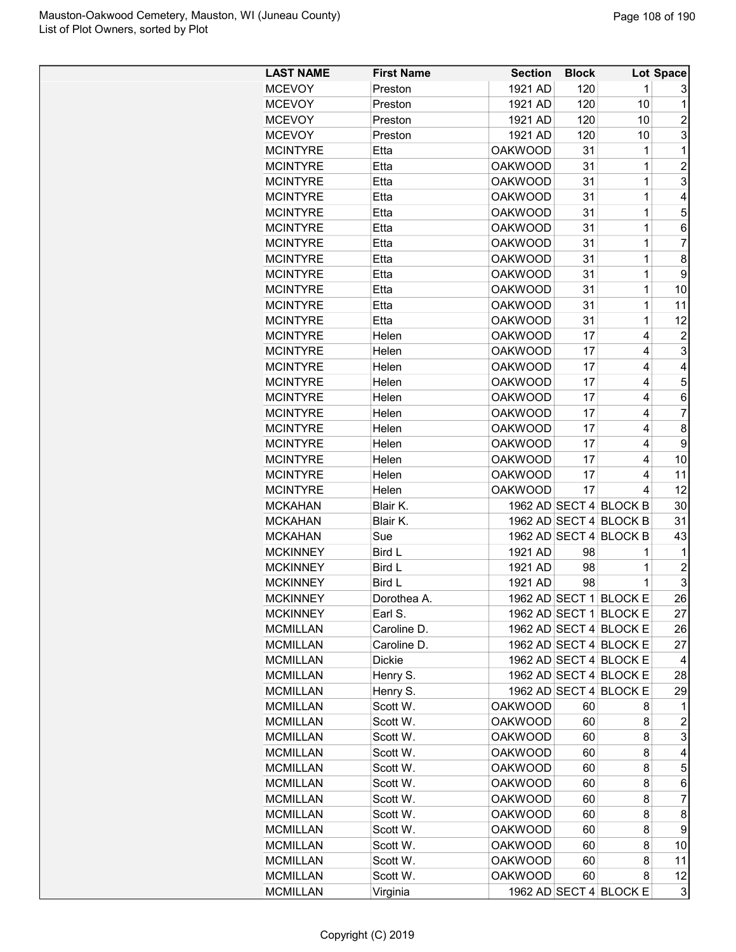| <b>LAST NAME</b> | <b>First Name</b> | <b>Section</b> | <b>Block</b> |                        | Lot Space               |
|------------------|-------------------|----------------|--------------|------------------------|-------------------------|
| <b>MCEVOY</b>    | Preston           | 1921 AD        | 120          | 1                      | 3                       |
| <b>MCEVOY</b>    | Preston           | 1921 AD        | 120          | 10                     | 1                       |
| <b>MCEVOY</b>    | Preston           | 1921 AD        | 120          | 10                     | 2                       |
| <b>MCEVOY</b>    | Preston           | 1921 AD        | 120          | 10                     | 3                       |
| <b>MCINTYRE</b>  | Etta              | <b>OAKWOOD</b> | 31           | 1                      | 1                       |
| <b>MCINTYRE</b>  | Etta              | <b>OAKWOOD</b> | 31           | $\mathbf 1$            | $\overline{2}$          |
| <b>MCINTYRE</b>  | Etta              | <b>OAKWOOD</b> | 31           | 1                      | 3                       |
| <b>MCINTYRE</b>  | Etta              | <b>OAKWOOD</b> | 31           | 1                      | 4                       |
| <b>MCINTYRE</b>  | Etta              | <b>OAKWOOD</b> | 31           | 1                      | 5                       |
| <b>MCINTYRE</b>  | Etta              | <b>OAKWOOD</b> | 31           | 1                      | 6                       |
| <b>MCINTYRE</b>  | Etta              | <b>OAKWOOD</b> | 31           | 1                      | $\overline{7}$          |
| <b>MCINTYRE</b>  | Etta              | <b>OAKWOOD</b> | 31           | 1                      | 8                       |
| <b>MCINTYRE</b>  | Etta              | <b>OAKWOOD</b> | 31           | $\mathbf{1}$           | 9                       |
| <b>MCINTYRE</b>  | Etta              | <b>OAKWOOD</b> | 31           | 1                      | 10                      |
| <b>MCINTYRE</b>  | Etta              | <b>OAKWOOD</b> | 31           | 1                      | 11                      |
| <b>MCINTYRE</b>  | Etta              | <b>OAKWOOD</b> | 31           | 1                      | 12                      |
| <b>MCINTYRE</b>  | Helen             | <b>OAKWOOD</b> | 17           | 4                      | $\overline{c}$          |
| <b>MCINTYRE</b>  | Helen             | <b>OAKWOOD</b> | 17           | 4                      | 3                       |
|                  |                   |                |              |                        |                         |
| <b>MCINTYRE</b>  | Helen             | <b>OAKWOOD</b> | 17           | 4                      | 4                       |
| <b>MCINTYRE</b>  | Helen             | <b>OAKWOOD</b> | 17           | 4                      | 5                       |
| <b>MCINTYRE</b>  | Helen             | <b>OAKWOOD</b> | 17           | 4                      | 6                       |
| <b>MCINTYRE</b>  | Helen             | <b>OAKWOOD</b> | 17           | 4                      | $\overline{7}$          |
| <b>MCINTYRE</b>  | Helen             | <b>OAKWOOD</b> | 17           | 4                      | 8                       |
| <b>MCINTYRE</b>  | Helen             | <b>OAKWOOD</b> | 17           | 4                      | 9                       |
| <b>MCINTYRE</b>  | Helen             | <b>OAKWOOD</b> | 17           | 4                      | 10                      |
| <b>MCINTYRE</b>  | Helen             | <b>OAKWOOD</b> | 17           | 4                      | 11                      |
| <b>MCINTYRE</b>  | Helen             | <b>OAKWOOD</b> | 17           | 4                      | 12                      |
| <b>MCKAHAN</b>   | Blair K.          |                |              | 1962 AD SECT 4 BLOCK B | 30                      |
| <b>MCKAHAN</b>   | Blair K.          |                |              | 1962 AD SECT 4 BLOCK B | 31                      |
| <b>MCKAHAN</b>   | Sue               |                |              | 1962 AD SECT 4 BLOCK B | 43                      |
| <b>MCKINNEY</b>  | Bird L            | 1921 AD        | 98           | 1                      | 1                       |
| <b>MCKINNEY</b>  | Bird L            | 1921 AD        | 98           | 1                      | $\overline{c}$          |
| <b>MCKINNEY</b>  | Bird L            | 1921 AD        | 98           | 1                      | 3                       |
| <b>MCKINNEY</b>  | Dorothea A.       |                |              | 1962 AD SECT 1 BLOCK E | 26                      |
| <b>MCKINNEY</b>  | Earl S.           |                |              | 1962 AD SECT 1 BLOCK E | 27                      |
| <b>MCMILLAN</b>  | Caroline D.       |                |              | 1962 AD SECT 4 BLOCK E | 26                      |
| <b>MCMILLAN</b>  | Caroline D.       |                |              | 1962 AD SECT 4 BLOCK E | 27                      |
| <b>MCMILLAN</b>  | Dickie            |                |              | 1962 AD SECT 4 BLOCK E | 4                       |
| <b>MCMILLAN</b>  | Henry S.          |                |              | 1962 AD SECT 4 BLOCK E | 28                      |
| <b>MCMILLAN</b>  | Henry S.          |                |              | 1962 AD SECT 4 BLOCK E | 29                      |
| <b>MCMILLAN</b>  | Scott W.          | <b>OAKWOOD</b> | 60           | 8                      | 1                       |
| <b>MCMILLAN</b>  | Scott W.          | <b>OAKWOOD</b> | 60           | 8                      | $\overline{\mathbf{c}}$ |
| <b>MCMILLAN</b>  | Scott W.          | <b>OAKWOOD</b> | 60           | 8                      | 3                       |
| <b>MCMILLAN</b>  | Scott W.          | <b>OAKWOOD</b> | 60           | 8                      | 4                       |
| <b>MCMILLAN</b>  | Scott W.          | <b>OAKWOOD</b> | 60           | 8                      | 5                       |
| <b>MCMILLAN</b>  | Scott W.          | <b>OAKWOOD</b> | 60           | 8                      | 6                       |
| <b>MCMILLAN</b>  | Scott W.          | <b>OAKWOOD</b> | 60           | 8                      | $\overline{7}$          |
| <b>MCMILLAN</b>  | Scott W.          | <b>OAKWOOD</b> | 60           | 8                      | 8                       |
| <b>MCMILLAN</b>  | Scott W.          | <b>OAKWOOD</b> | 60           | 8                      | 9                       |
| <b>MCMILLAN</b>  | Scott W.          | <b>OAKWOOD</b> | 60           | 8                      | 10 <sub>1</sub>         |
| <b>MCMILLAN</b>  | Scott W.          | <b>OAKWOOD</b> | 60           | 8                      | 11                      |
| <b>MCMILLAN</b>  | Scott W.          | <b>OAKWOOD</b> | 60           | 8                      | 12                      |
| <b>MCMILLAN</b>  | Virginia          |                |              | 1962 AD SECT 4 BLOCK E | 3                       |
|                  |                   |                |              |                        |                         |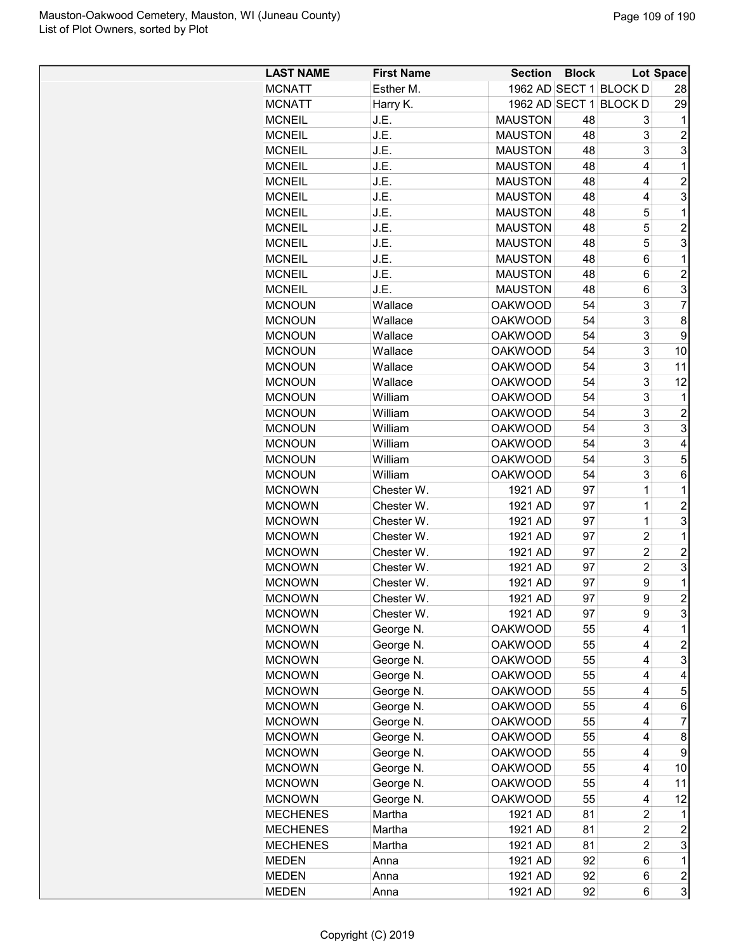| <b>LAST NAME</b> | <b>First Name</b> | <b>Section</b> | <b>Block</b> |                        | Lot Space      |
|------------------|-------------------|----------------|--------------|------------------------|----------------|
| <b>MCNATT</b>    | Esther M.         |                |              | 1962 AD SECT 1 BLOCK D | 28             |
| <b>MCNATT</b>    | Harry K.          |                |              | 1962 AD SECT 1 BLOCK D | 29             |
| <b>MCNEIL</b>    | J.E.              | <b>MAUSTON</b> | 48           | 3                      | 1              |
| <b>MCNEIL</b>    | J.E.              | <b>MAUSTON</b> | 48           | 3                      | $\overline{c}$ |
| <b>MCNEIL</b>    | J.E.              | <b>MAUSTON</b> | 48           | 3                      | 3              |
| <b>MCNEIL</b>    | J.E.              | <b>MAUSTON</b> | 48           | 4                      | $\mathbf 1$    |
| <b>MCNEIL</b>    | J.E.              | <b>MAUSTON</b> | 48           | 4                      | $\overline{2}$ |
| <b>MCNEIL</b>    | J.E.              | <b>MAUSTON</b> | 48           | 4                      | 3              |
| <b>MCNEIL</b>    | J.E.              | <b>MAUSTON</b> | 48           | 5                      | $\mathbf 1$    |
| <b>MCNEIL</b>    | J.E.              | <b>MAUSTON</b> | 48           | 5                      | $\overline{2}$ |
| <b>MCNEIL</b>    | J.E.              | <b>MAUSTON</b> | 48           | 5                      | 3              |
| <b>MCNEIL</b>    | J.E.              | <b>MAUSTON</b> | 48           | 6                      | 1              |
| <b>MCNEIL</b>    | J.E.              | <b>MAUSTON</b> | 48           | 6                      | $\overline{c}$ |
| <b>MCNEIL</b>    | J.E.              | <b>MAUSTON</b> | 48           | 6                      | 3              |
| <b>MCNOUN</b>    | Wallace           | <b>OAKWOOD</b> | 54           | 3                      | $\overline{7}$ |
| <b>MCNOUN</b>    | Wallace           | <b>OAKWOOD</b> | 54           | 3                      | 8              |
| <b>MCNOUN</b>    | Wallace           | <b>OAKWOOD</b> | 54           | 3                      | 9              |
| <b>MCNOUN</b>    | Wallace           | <b>OAKWOOD</b> | 54           | 3                      | 10             |
| <b>MCNOUN</b>    | Wallace           | <b>OAKWOOD</b> | 54           | 3                      | 11             |
| <b>MCNOUN</b>    | Wallace           | <b>OAKWOOD</b> | 54           | 3                      | 12             |
| <b>MCNOUN</b>    | William           | <b>OAKWOOD</b> | 54           | 3                      | 1              |
| <b>MCNOUN</b>    | William           | <b>OAKWOOD</b> | 54           | 3                      | $\overline{c}$ |
| <b>MCNOUN</b>    | William           | <b>OAKWOOD</b> | 54           | 3                      | 3              |
| <b>MCNOUN</b>    | William           | <b>OAKWOOD</b> | 54           | 3                      | 4              |
| <b>MCNOUN</b>    | William           | <b>OAKWOOD</b> | 54           | 3                      | 5              |
| <b>MCNOUN</b>    | William           | <b>OAKWOOD</b> | 54           | 3                      | 6              |
| <b>MCNOWN</b>    | Chester W.        | 1921 AD        | 97           | 1                      | $\mathbf 1$    |
| <b>MCNOWN</b>    | Chester W.        | 1921 AD        | 97           | $\overline{1}$         | $\overline{2}$ |
| <b>MCNOWN</b>    | Chester W.        | 1921 AD        | 97           | $\mathbf 1$            | 3              |
| <b>MCNOWN</b>    | Chester W.        | 1921 AD        | 97           | $\overline{2}$         | 1              |
| <b>MCNOWN</b>    | Chester W.        | 1921 AD        | 97           | $\overline{c}$         | $\overline{2}$ |
| <b>MCNOWN</b>    | Chester W.        | 1921 AD        | 97           | $\overline{c}$         | 3              |
| <b>MCNOWN</b>    | Chester W.        | 1921 AD        | 97           | 9                      | 1              |
| <b>MCNOWN</b>    | Chester W.        | 1921 AD        | 97           | 9                      | $\overline{2}$ |
| <b>MCNOWN</b>    | Chester W.        | 1921 AD        | 97           | 9                      | 3              |
| <b>MCNOWN</b>    | George N.         | <b>OAKWOOD</b> | 55           | 4                      | 1              |
| <b>MCNOWN</b>    | George N.         | <b>OAKWOOD</b> | 55           | 4                      | $\overline{c}$ |
| <b>MCNOWN</b>    | George N.         | <b>OAKWOOD</b> | 55           | 4                      | 3              |
| <b>MCNOWN</b>    | George N.         | <b>OAKWOOD</b> | 55           | 4                      | 4              |
| <b>MCNOWN</b>    | George N.         | <b>OAKWOOD</b> | 55           | 4                      | 5              |
| <b>MCNOWN</b>    | George N.         | <b>OAKWOOD</b> | 55           | 4                      | 6              |
| <b>MCNOWN</b>    | George N.         | <b>OAKWOOD</b> | 55           | 4                      | 7              |
| <b>MCNOWN</b>    | George N.         | <b>OAKWOOD</b> | 55           | 4                      | 8              |
| <b>MCNOWN</b>    | George N.         | <b>OAKWOOD</b> | 55           | 4                      | 9              |
| <b>MCNOWN</b>    | George N.         | <b>OAKWOOD</b> | 55           | 4                      | 10             |
| <b>MCNOWN</b>    | George N.         | <b>OAKWOOD</b> | 55           | 4                      | 11             |
| <b>MCNOWN</b>    | George N.         | <b>OAKWOOD</b> | 55           | 4                      | 12             |
| <b>MECHENES</b>  | Martha            | 1921 AD        | 81           | 2                      | 1              |
| <b>MECHENES</b>  | Martha            | 1921 AD        | 81           | $\overline{c}$         | $\overline{c}$ |
| <b>MECHENES</b>  | Martha            | 1921 AD        | 81           | $\overline{c}$         | 3              |
| <b>MEDEN</b>     | Anna              | 1921 AD        | 92           | 6                      | $\mathbf 1$    |
| <b>MEDEN</b>     | Anna              | 1921 AD        | 92           | 6                      | 2              |
| <b>MEDEN</b>     |                   | 1921 AD        | 92           | 6                      | 3              |
|                  | Anna              |                |              |                        |                |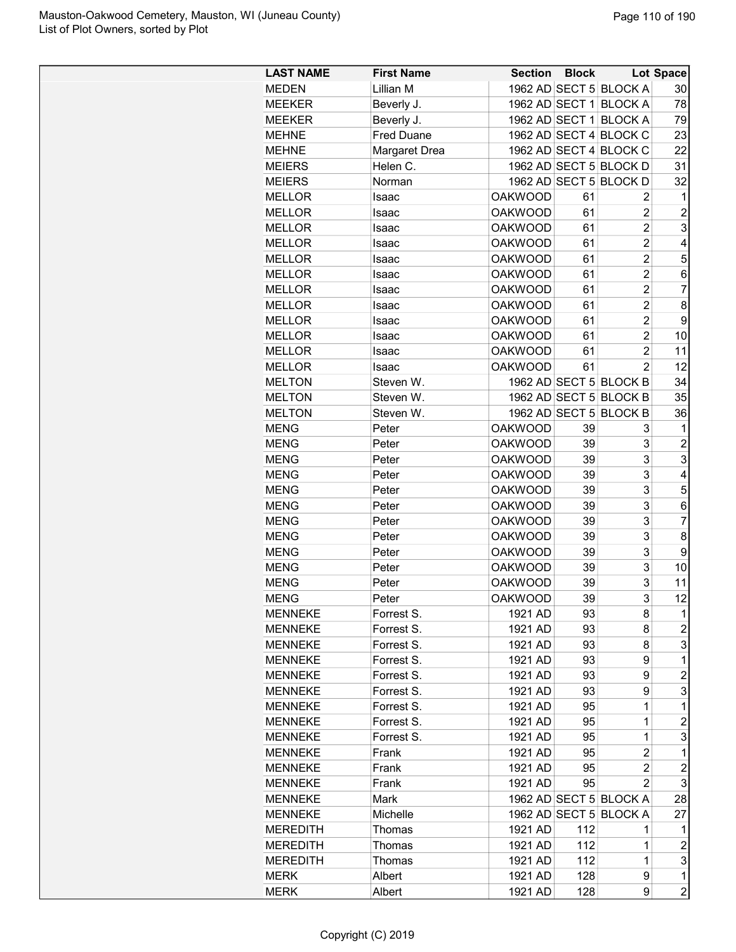| <b>LAST NAME</b> | <b>First Name</b> | <b>Section</b> | <b>Block</b> |                        | <b>Lot Space</b>        |
|------------------|-------------------|----------------|--------------|------------------------|-------------------------|
| <b>MEDEN</b>     | Lillian M         |                |              | 1962 AD SECT 5 BLOCK A | 30                      |
| <b>MEEKER</b>    | Beverly J.        |                |              | 1962 AD SECT 1 BLOCK A | 78                      |
| <b>MEEKER</b>    | Beverly J.        |                |              | 1962 AD SECT 1 BLOCK A | 79                      |
| <b>MEHNE</b>     | <b>Fred Duane</b> |                |              | 1962 AD SECT 4 BLOCK C | 23                      |
| <b>MEHNE</b>     | Margaret Drea     |                |              | 1962 AD SECT 4 BLOCK C | 22                      |
| <b>MEIERS</b>    | Helen C.          |                |              | 1962 AD SECT 5 BLOCK D | 31                      |
| <b>MEIERS</b>    | Norman            |                |              | 1962 AD SECT 5 BLOCK D | 32                      |
| <b>MELLOR</b>    | Isaac             | <b>OAKWOOD</b> | 61           | 2                      | 1                       |
| <b>MELLOR</b>    | Isaac             | <b>OAKWOOD</b> | 61           | $\overline{2}$         | $\overline{c}$          |
| <b>MELLOR</b>    | Isaac             | <b>OAKWOOD</b> | 61           | $\overline{c}$         | 3                       |
| <b>MELLOR</b>    | Isaac             | <b>OAKWOOD</b> | 61           | $\overline{c}$         | 4                       |
| <b>MELLOR</b>    | Isaac             | <b>OAKWOOD</b> | 61           | 2                      | 5                       |
| <b>MELLOR</b>    | Isaac             | <b>OAKWOOD</b> | 61           | 2                      | 6                       |
| <b>MELLOR</b>    | Isaac             | <b>OAKWOOD</b> | 61           | 2                      | 7                       |
|                  |                   | <b>OAKWOOD</b> |              | $\overline{2}$         |                         |
| <b>MELLOR</b>    | Isaac             |                | 61           |                        | 8                       |
| <b>MELLOR</b>    | Isaac             | <b>OAKWOOD</b> | 61           | $\overline{2}$         | 9                       |
| <b>MELLOR</b>    | Isaac             | <b>OAKWOOD</b> | 61           | $\overline{2}$         | 10                      |
| <b>MELLOR</b>    | Isaac             | <b>OAKWOOD</b> | 61           | 2                      | 11                      |
| <b>MELLOR</b>    | Isaac             | <b>OAKWOOD</b> | 61           | $\overline{2}$         | 12                      |
| <b>MELTON</b>    | Steven W.         |                |              | 1962 AD SECT 5 BLOCK B | 34                      |
| <b>MELTON</b>    | Steven W.         |                |              | 1962 AD SECT 5 BLOCK B | 35                      |
| <b>MELTON</b>    | Steven W.         |                |              | 1962 AD SECT 5 BLOCK B | 36                      |
| <b>MENG</b>      | Peter             | <b>OAKWOOD</b> | 39           | 3                      | 1                       |
| <b>MENG</b>      | Peter             | <b>OAKWOOD</b> | 39           | 3                      | $\overline{c}$          |
| <b>MENG</b>      | Peter             | <b>OAKWOOD</b> | 39           | 3                      | 3                       |
| <b>MENG</b>      | Peter             | <b>OAKWOOD</b> | 39           | 3                      | 4                       |
| <b>MENG</b>      | Peter             | <b>OAKWOOD</b> | 39           | 3                      | 5                       |
| <b>MENG</b>      | Peter             | <b>OAKWOOD</b> | 39           | 3                      | 6                       |
| <b>MENG</b>      | Peter             | <b>OAKWOOD</b> | 39           | 3                      | 7                       |
| <b>MENG</b>      | Peter             | <b>OAKWOOD</b> | 39           | 3                      | 8                       |
| <b>MENG</b>      | Peter             | <b>OAKWOOD</b> | 39           | 3                      | 9                       |
| <b>MENG</b>      | Peter             | <b>OAKWOOD</b> | 39           | 3                      | 10                      |
| <b>MENG</b>      | Peter             | <b>OAKWOOD</b> | 39           | 3                      | 11                      |
| <b>MENG</b>      | Peter             | <b>OAKWOOD</b> | 39           | 3                      | 12                      |
| <b>MENNEKE</b>   | Forrest S.        | 1921 AD        | 93           | 8                      | 1                       |
| <b>MENNEKE</b>   | Forrest S.        | 1921 AD        | 93           | 8                      | 2                       |
| <b>MENNEKE</b>   | Forrest S.        | 1921 AD        | 93           | 8                      | 3                       |
| <b>MENNEKE</b>   | Forrest S.        | 1921 AD        | 93           | 9                      | $\mathbf{1}$            |
| <b>MENNEKE</b>   | Forrest S.        | 1921 AD        | 93           | 9                      | 2                       |
| <b>MENNEKE</b>   | Forrest S.        | 1921 AD        |              |                        | 3                       |
|                  |                   |                | 93           | 9                      |                         |
| <b>MENNEKE</b>   | Forrest S.        | 1921 AD        | 95           | 1                      | 1                       |
| <b>MENNEKE</b>   | Forrest S.        | 1921 AD        | 95           | 1                      | $\overline{c}$          |
| <b>MENNEKE</b>   | Forrest S.        | 1921 AD        | 95           | 1                      | 3                       |
| MENNEKE          | Frank             | 1921 AD        | 95           | 2                      | 1                       |
| <b>MENNEKE</b>   | Frank             | 1921 AD        | 95           | 2                      | $\overline{\mathbf{c}}$ |
| <b>MENNEKE</b>   | Frank             | 1921 AD        | 95           | 2                      | 3                       |
| <b>MENNEKE</b>   | Mark              |                |              | 1962 AD SECT 5 BLOCK A | 28                      |
| <b>MENNEKE</b>   | Michelle          |                |              | 1962 AD SECT 5 BLOCK A | 27                      |
| <b>MEREDITH</b>  | Thomas            | 1921 AD        | 112          | 1                      | 1                       |
| <b>MEREDITH</b>  | Thomas            | 1921 AD        | 112          | 1                      | 2                       |
| <b>MEREDITH</b>  | Thomas            | 1921 AD        | 112          | 1                      | 3                       |
| <b>MERK</b>      | Albert            | 1921 AD        | 128          | 9                      | $\mathbf{1}$            |
| <b>MERK</b>      | Albert            | 1921 AD        | 128          | 9                      | 2                       |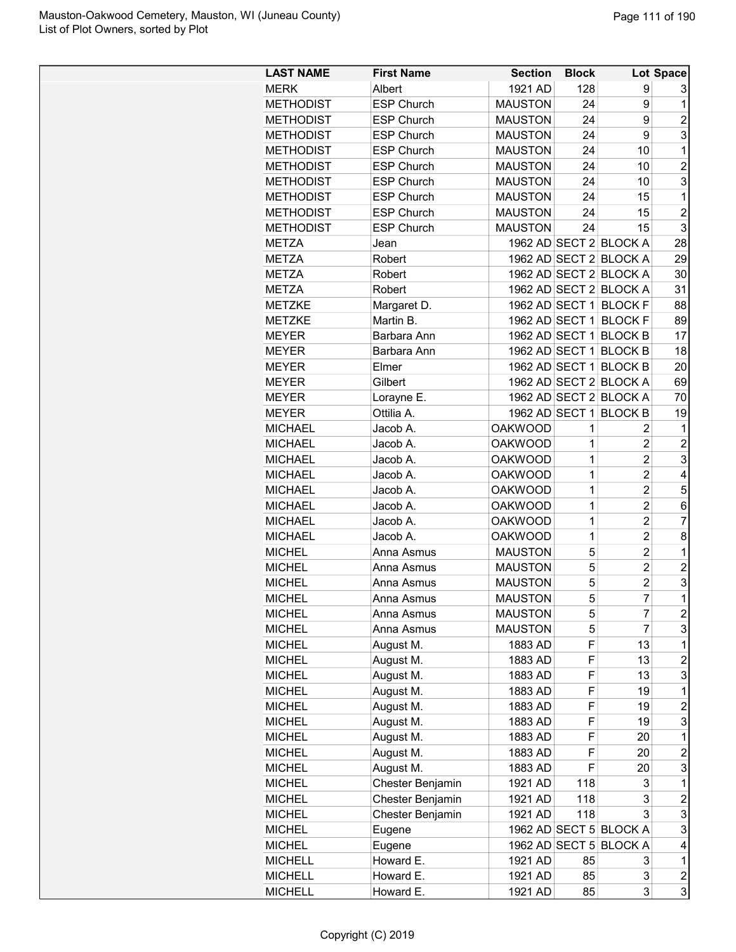| <b>LAST NAME</b> | <b>First Name</b> | <b>Section</b> | <b>Block</b> |                        | Lot Space               |
|------------------|-------------------|----------------|--------------|------------------------|-------------------------|
| <b>MERK</b>      | Albert            | 1921 AD        | 128          | 9                      | 3                       |
| <b>METHODIST</b> | <b>ESP Church</b> | <b>MAUSTON</b> | 24           | 9                      | 1                       |
| <b>METHODIST</b> | <b>ESP Church</b> | <b>MAUSTON</b> | 24           | 9                      | $\overline{2}$          |
| METHODIST        | <b>ESP Church</b> | <b>MAUSTON</b> | 24           | 9                      | 3                       |
| <b>METHODIST</b> | <b>ESP Church</b> | <b>MAUSTON</b> | 24           | 10                     | 1                       |
| <b>METHODIST</b> | <b>ESP Church</b> | <b>MAUSTON</b> | 24           | 10                     | $\overline{c}$          |
| <b>METHODIST</b> | <b>ESP Church</b> | <b>MAUSTON</b> | 24           | 10                     | 3                       |
| <b>METHODIST</b> | <b>ESP Church</b> | <b>MAUSTON</b> | 24           | 15                     | 1                       |
| <b>METHODIST</b> | <b>ESP Church</b> | <b>MAUSTON</b> | 24           | 15                     | $\overline{c}$          |
| <b>METHODIST</b> | <b>ESP Church</b> | <b>MAUSTON</b> | 24           | 15                     | 3                       |
| <b>METZA</b>     | Jean              |                |              | 1962 AD SECT 2 BLOCK A | 28                      |
| <b>METZA</b>     | Robert            |                |              | 1962 AD SECT 2 BLOCK A | 29                      |
| <b>METZA</b>     | Robert            |                |              | 1962 AD SECT 2 BLOCK A | 30                      |
| <b>METZA</b>     | Robert            |                |              | 1962 AD SECT 2 BLOCK A | 31                      |
|                  |                   |                |              | 1962 AD SECT 1 BLOCK F | 88                      |
| <b>METZKE</b>    | Margaret D.       |                |              |                        |                         |
| <b>METZKE</b>    | Martin B.         |                |              | 1962 AD SECT 1 BLOCK F | 89                      |
| <b>MEYER</b>     | Barbara Ann       |                |              | 1962 AD SECT 1 BLOCK B | 17                      |
| <b>MEYER</b>     | Barbara Ann       |                |              | 1962 AD SECT 1 BLOCK B | 18                      |
| <b>MEYER</b>     | Elmer             |                |              | 1962 AD SECT 1 BLOCK B | 20                      |
| <b>MEYER</b>     | Gilbert           |                |              | 1962 AD SECT 2 BLOCK A | 69                      |
| <b>MEYER</b>     | Lorayne E.        |                |              | 1962 AD SECT 2 BLOCK A | 70                      |
| <b>MEYER</b>     | Ottilia A.        |                |              | 1962 AD SECT 1 BLOCK B | 19                      |
| <b>MICHAEL</b>   | Jacob A.          | <b>OAKWOOD</b> | 1            | 2                      | 1                       |
| <b>MICHAEL</b>   | Jacob A.          | <b>OAKWOOD</b> | 1            | $\overline{c}$         | $\overline{c}$          |
| <b>MICHAEL</b>   | Jacob A.          | <b>OAKWOOD</b> | 1            | $\overline{c}$         | 3                       |
| <b>MICHAEL</b>   | Jacob A.          | <b>OAKWOOD</b> | 1            | $\overline{c}$         | 4                       |
| <b>MICHAEL</b>   | Jacob A.          | <b>OAKWOOD</b> | 1            | $\overline{c}$         | 5                       |
| <b>MICHAEL</b>   | Jacob A.          | <b>OAKWOOD</b> | 1            | $\overline{c}$         | 6                       |
| <b>MICHAEL</b>   | Jacob A.          | <b>OAKWOOD</b> | 1            | $\overline{2}$         | 7                       |
| <b>MICHAEL</b>   | Jacob A.          | <b>OAKWOOD</b> | 1            | $\overline{2}$         | 8                       |
| <b>MICHEL</b>    | Anna Asmus        | <b>MAUSTON</b> | 5            | $\overline{2}$         | 1                       |
| <b>MICHEL</b>    | Anna Asmus        | <b>MAUSTON</b> | 5            | $\overline{c}$         | $\overline{c}$          |
| <b>MICHEL</b>    | Anna Asmus        | <b>MAUSTON</b> | 5            | $\overline{c}$         | 3                       |
| <b>MICHEL</b>    | Anna Asmus        | <b>MAUSTON</b> | 5            | $\overline{7}$         | $\overline{1}$          |
| <b>MICHEL</b>    | Anna Asmus        | <b>MAUSTON</b> | 5            | 7                      | $\overline{c}$          |
| <b>MICHEL</b>    | Anna Asmus        | <b>MAUSTON</b> | 5            | 7                      | 3                       |
| <b>MICHEL</b>    | August M.         | 1883 AD        | F            | 13                     | 1                       |
| MICHEL           | August M.         | 1883 AD        | F            | 13                     | $\overline{c}$          |
| <b>MICHEL</b>    | August M.         | 1883 AD        | F            | 13                     | 3                       |
| <b>MICHEL</b>    | August M.         | 1883 AD        | F            | 19                     | 1                       |
| <b>MICHEL</b>    | August M.         | 1883 AD        | F            | 19                     | $\overline{c}$          |
| <b>MICHEL</b>    | August M.         | 1883 AD        | F            | 19                     | 3                       |
| <b>MICHEL</b>    | August M.         | 1883 AD        | F            | 20                     | $\mathbf 1$             |
| <b>MICHEL</b>    | August M.         | 1883 AD        | F            | 20                     | $\overline{c}$          |
| <b>MICHEL</b>    | August M.         | 1883 AD        | F            | 20                     | 3                       |
| <b>MICHEL</b>    | Chester Benjamin  | 1921 AD        | 118          | 3                      | 1                       |
| <b>MICHEL</b>    | Chester Benjamin  | 1921 AD        | 118          | 3                      | $\overline{c}$          |
| <b>MICHEL</b>    | Chester Benjamin  | 1921 AD        | 118          | 3                      | 3                       |
| <b>MICHEL</b>    | Eugene            |                |              | 1962 AD SECT 5 BLOCK A | 3                       |
| <b>MICHEL</b>    | Eugene            |                |              | 1962 AD SECT 5 BLOCK A | 4                       |
| <b>MICHELL</b>   | Howard E.         | 1921 AD        | 85           | 3                      | 1                       |
| <b>MICHELL</b>   | Howard E.         | 1921 AD        | 85           | 3                      | $\overline{\mathbf{c}}$ |
| <b>MICHELL</b>   | Howard E.         | 1921 AD        | 85           | 3                      | 3                       |
|                  |                   |                |              |                        |                         |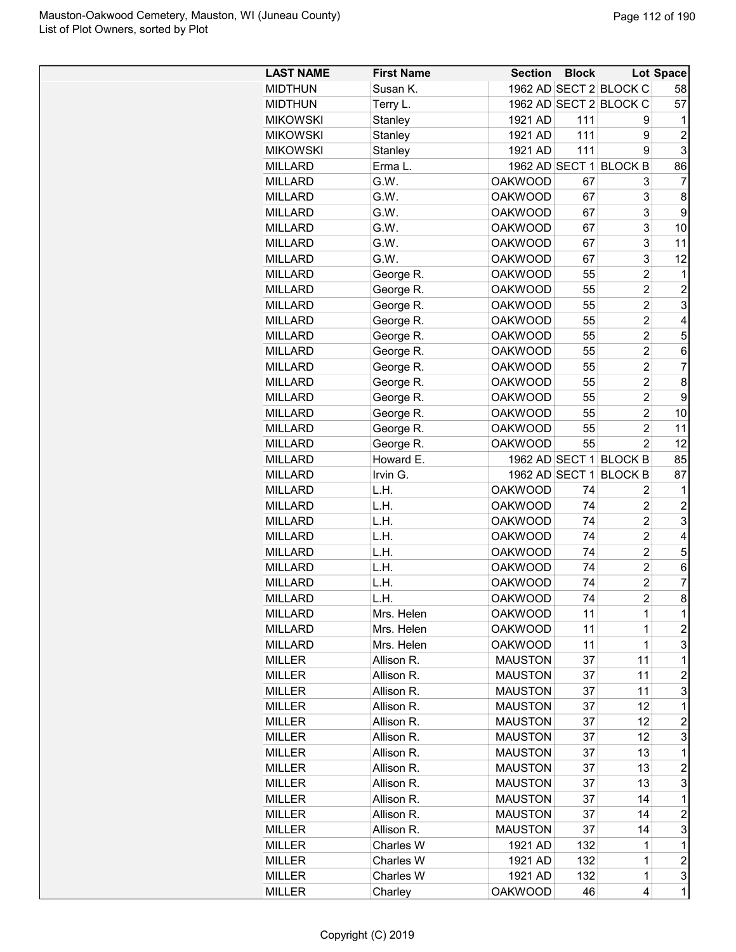| <b>LAST NAME</b> | <b>First Name</b> | <b>Section</b> | <b>Block</b> |                        | <b>Lot Space</b> |
|------------------|-------------------|----------------|--------------|------------------------|------------------|
| <b>MIDTHUN</b>   | Susan K.          |                |              | 1962 AD SECT 2 BLOCK C | 58               |
| <b>MIDTHUN</b>   | Terry L.          |                |              | 1962 AD SECT 2 BLOCK C | 57               |
| <b>MIKOWSKI</b>  | Stanley           | 1921 AD        | 111          | 9                      | 1                |
| <b>MIKOWSKI</b>  | Stanley           | 1921 AD        | 111          | 9                      | $\overline{2}$   |
| <b>MIKOWSKI</b>  | Stanley           | 1921 AD        | 111          | 9                      | 3                |
| <b>MILLARD</b>   | Erma L.           |                |              | 1962 AD SECT 1 BLOCK B | 86               |
| <b>MILLARD</b>   | G.W.              | <b>OAKWOOD</b> | 67           | 3                      | 7                |
| <b>MILLARD</b>   | G.W.              | <b>OAKWOOD</b> | 67           | 3                      | 8                |
| <b>MILLARD</b>   | G.W.              | <b>OAKWOOD</b> | 67           | 3                      | 9                |
| MILLARD          | G.W.              | <b>OAKWOOD</b> | 67           | 3                      | 10               |
| <b>MILLARD</b>   | G.W.              | <b>OAKWOOD</b> | 67           | 3                      | 11               |
| <b>MILLARD</b>   | G.W.              | <b>OAKWOOD</b> | 67           | 3                      | 12               |
| <b>MILLARD</b>   | George R.         | <b>OAKWOOD</b> | 55           | 2                      | 1                |
| <b>MILLARD</b>   | George R.         | <b>OAKWOOD</b> | 55           | $\overline{2}$         | $\overline{2}$   |
| <b>MILLARD</b>   | George R.         | <b>OAKWOOD</b> | 55           | $\overline{2}$         | 3                |
| <b>MILLARD</b>   | George R.         | <b>OAKWOOD</b> | 55           | $\overline{2}$         | 4                |
|                  |                   |                |              | $\overline{2}$         |                  |
| MILLARD          | George R.         | <b>OAKWOOD</b> | 55           | $\overline{c}$         | 5                |
| <b>MILLARD</b>   | George R.         | <b>OAKWOOD</b> | 55           |                        | 6                |
| <b>MILLARD</b>   | George R.         | <b>OAKWOOD</b> | 55           | $\overline{c}$         | $\overline{7}$   |
| <b>MILLARD</b>   | George R.         | <b>OAKWOOD</b> | 55           | $\overline{c}$         | 8                |
| <b>MILLARD</b>   | George R.         | <b>OAKWOOD</b> | 55           | $\overline{c}$         | 9                |
| <b>MILLARD</b>   | George R.         | <b>OAKWOOD</b> | 55           | $\overline{2}$         | 10               |
| <b>MILLARD</b>   | George R.         | <b>OAKWOOD</b> | 55           | $\overline{2}$         | 11               |
| MILLARD          | George R.         | <b>OAKWOOD</b> | 55           | $\overline{2}$         | 12               |
| MILLARD          | Howard E.         |                |              | 1962 AD SECT 1 BLOCK B | 85               |
| <b>MILLARD</b>   | Irvin G.          | 1962 AD SECT 1 |              | <b>BLOCK B</b>         | 87               |
| <b>MILLARD</b>   | L.H.              | <b>OAKWOOD</b> | 74           | 2                      | 1                |
| <b>MILLARD</b>   | L.H.              | <b>OAKWOOD</b> | 74           | $\overline{2}$         | $\overline{2}$   |
| <b>MILLARD</b>   | L.H.              | <b>OAKWOOD</b> | 74           | $\overline{2}$         | 3                |
| <b>MILLARD</b>   | L.H.              | <b>OAKWOOD</b> | 74           | $\overline{c}$         | 4                |
| <b>MILLARD</b>   | L.H.              | <b>OAKWOOD</b> | 74           | $\overline{c}$         | 5                |
| <b>MILLARD</b>   | L.H.              | <b>OAKWOOD</b> | 74           | $\overline{2}$         | 6                |
| <b>MILLARD</b>   | L.H.              | <b>OAKWOOD</b> | 74           | $\overline{2}$         | 7                |
| <b>MILLARD</b>   | L.H.              | <b>OAKWOOD</b> | 74           | $\overline{c}$         | 8                |
| MILLARD          | Mrs. Helen        | <b>OAKWOOD</b> | 11           | 1                      | 1                |
| <b>MILLARD</b>   | Mrs. Helen        | <b>OAKWOOD</b> | 11           | 1                      | $\overline{c}$   |
| <b>MILLARD</b>   | Mrs. Helen        | <b>OAKWOOD</b> | 11           | 1                      | 3                |
| <b>MILLER</b>    | Allison R.        | <b>MAUSTON</b> | 37           | 11                     | 1                |
| <b>MILLER</b>    | Allison R.        | <b>MAUSTON</b> | 37           | 11                     | $\overline{c}$   |
| <b>MILLER</b>    | Allison R.        | <b>MAUSTON</b> | 37           | 11                     | 3                |
| <b>MILLER</b>    | Allison R.        | <b>MAUSTON</b> | 37           | 12                     | 1                |
| MILLER           | Allison R.        | <b>MAUSTON</b> | 37           | 12                     | $\overline{c}$   |
| MILLER           | Allison R.        | <b>MAUSTON</b> | 37           | 12                     | 3                |
| <b>MILLER</b>    | Allison R.        | <b>MAUSTON</b> | 37           | 13                     | 1                |
| <b>MILLER</b>    | Allison R.        | <b>MAUSTON</b> | 37           | 13                     | $\overline{c}$   |
| <b>MILLER</b>    | Allison R.        | <b>MAUSTON</b> | 37           | 13                     | 3                |
| <b>MILLER</b>    | Allison R.        | <b>MAUSTON</b> | 37           | 14                     | 1                |
| <b>MILLER</b>    | Allison R.        | <b>MAUSTON</b> | 37           | 14                     | $\overline{c}$   |
| <b>MILLER</b>    | Allison R.        | <b>MAUSTON</b> | 37           | 14                     | 3                |
| MILLER           | Charles W         | 1921 AD        | 132          | 1                      | 1                |
| <b>MILLER</b>    | Charles W         | 1921 AD        | 132          | 1                      | $\overline{c}$   |
| <b>MILLER</b>    | Charles W         | 1921 AD        | 132          | $\mathbf 1$            | 3                |
| <b>MILLER</b>    | Charley           | <b>OAKWOOD</b> | 46           | 4                      | 1                |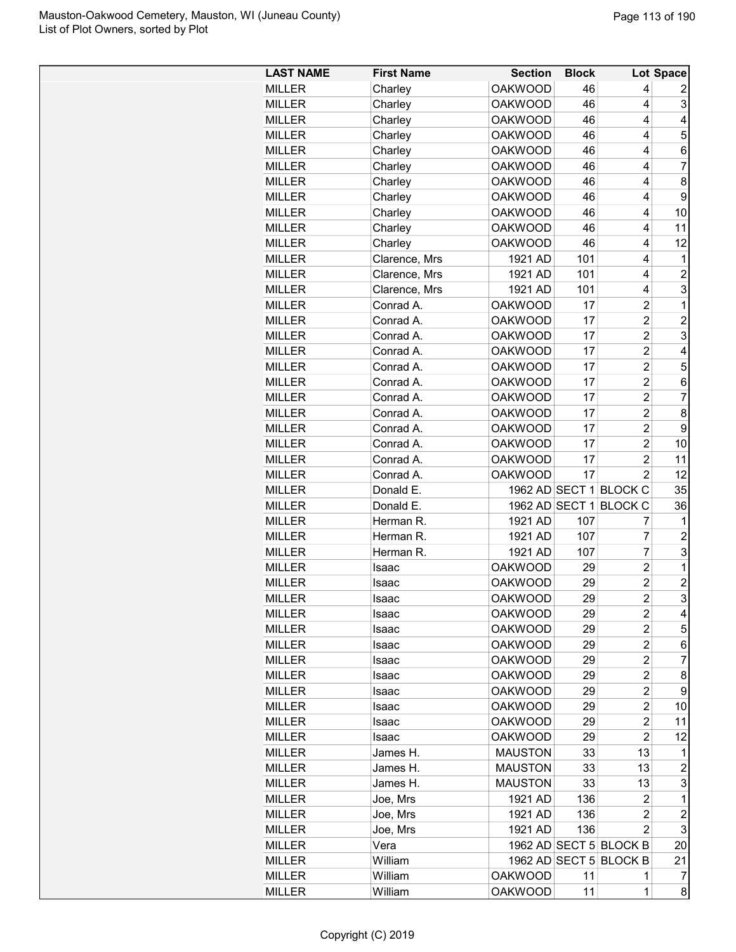| <b>LAST NAME</b> | <b>First Name</b> | <b>Section</b> | <b>Block</b> |                         | Lot Space      |
|------------------|-------------------|----------------|--------------|-------------------------|----------------|
| <b>MILLER</b>    | Charley           | <b>OAKWOOD</b> | 46           | 4                       | 2              |
| <b>MILLER</b>    | Charley           | <b>OAKWOOD</b> | 46           | 4                       | 3              |
| <b>MILLER</b>    | Charley           | <b>OAKWOOD</b> | 46           | 4                       | 4              |
| <b>MILLER</b>    | Charley           | <b>OAKWOOD</b> | 46           | 4                       | 5              |
| <b>MILLER</b>    | Charley           | <b>OAKWOOD</b> | 46           | 4                       | 6              |
| <b>MILLER</b>    | Charley           | <b>OAKWOOD</b> | 46           | 4                       | 7              |
| <b>MILLER</b>    | Charley           | <b>OAKWOOD</b> | 46           | 4                       | 8              |
| <b>MILLER</b>    | Charley           | <b>OAKWOOD</b> | 46           | 4                       | 9              |
| <b>MILLER</b>    | Charley           | <b>OAKWOOD</b> | 46           | 4                       | 10             |
| <b>MILLER</b>    | Charley           | <b>OAKWOOD</b> | 46           | 4                       | 11             |
| <b>MILLER</b>    | Charley           | <b>OAKWOOD</b> | 46           | 4                       | 12             |
| <b>MILLER</b>    | Clarence, Mrs     | 1921 AD        | 101          | 4                       | 1              |
| <b>MILLER</b>    | Clarence, Mrs     | 1921 AD        | 101          | 4                       | $\overline{c}$ |
| <b>MILLER</b>    | Clarence, Mrs     | 1921 AD        | 101          | 4                       | 3              |
| <b>MILLER</b>    | Conrad A.         | <b>OAKWOOD</b> | 17           | $\overline{c}$          | 1              |
| <b>MILLER</b>    | Conrad A.         | <b>OAKWOOD</b> | 17           | 2                       | $\overline{c}$ |
| <b>MILLER</b>    | Conrad A.         | <b>OAKWOOD</b> | 17           | $\overline{c}$          | 3              |
| <b>MILLER</b>    | Conrad A.         | <b>OAKWOOD</b> | 17           | $\overline{c}$          | 4              |
| <b>MILLER</b>    | Conrad A.         | <b>OAKWOOD</b> | 17           | $\overline{c}$          | 5              |
| <b>MILLER</b>    | Conrad A.         | <b>OAKWOOD</b> | 17           | $\overline{c}$          | 6              |
| <b>MILLER</b>    | Conrad A.         | <b>OAKWOOD</b> | 17           | $\overline{2}$          | $\overline{7}$ |
| <b>MILLER</b>    | Conrad A.         | <b>OAKWOOD</b> | 17           | $\overline{2}$          | 8              |
| <b>MILLER</b>    | Conrad A.         | <b>OAKWOOD</b> | 17           | $\overline{c}$          | 9              |
| <b>MILLER</b>    | Conrad A.         | <b>OAKWOOD</b> | 17           | $\overline{c}$          | 10             |
| <b>MILLER</b>    | Conrad A.         | <b>OAKWOOD</b> | 17           | $\overline{2}$          | 11             |
| <b>MILLER</b>    | Conrad A.         | <b>OAKWOOD</b> | 17           | $\overline{2}$          | 12             |
| <b>MILLER</b>    | Donald E.         |                |              | 1962 AD SECT 1 BLOCK C  | 35             |
| <b>MILLER</b>    | Donald E.         |                |              | 1962 AD SECT 1 BLOCK C  | 36             |
| <b>MILLER</b>    | Herman R.         | 1921 AD        | 107          | 7                       | $\mathbf 1$    |
| <b>MILLER</b>    | Herman R.         | 1921 AD        | 107          | 7                       | $\overline{2}$ |
| <b>MILLER</b>    | Herman R.         | 1921 AD        | 107          | 7                       | 3              |
| <b>MILLER</b>    | Isaac             | <b>OAKWOOD</b> | 29           | $\overline{c}$          | $\mathbf 1$    |
| <b>MILLER</b>    | Isaac             | <b>OAKWOOD</b> | 29           | $\overline{c}$          | $\overline{c}$ |
| <b>MILLER</b>    | Isaac             | <b>OAKWOOD</b> | 29           | $\overline{2}$          | 3              |
| MILLER           | Isaac             | <b>OAKWOOD</b> | 29           | 2                       | 4              |
| <b>MILLER</b>    | Isaac             | <b>OAKWOOD</b> | 29           | 2                       | 5              |
| <b>MILLER</b>    | Isaac             | <b>OAKWOOD</b> | 29           | 2                       | 6              |
| MILLER           | Isaac             | <b>OAKWOOD</b> | 29           | $\overline{c}$          | 7              |
| <b>MILLER</b>    | Isaac             | <b>OAKWOOD</b> | 29           | $\overline{\mathbf{c}}$ | 8              |
| <b>MILLER</b>    | Isaac             | <b>OAKWOOD</b> | 29           | 2                       | 9              |
| <b>MILLER</b>    | Isaac             | <b>OAKWOOD</b> | 29           | 2                       | 10             |
| <b>MILLER</b>    | Isaac             | <b>OAKWOOD</b> | 29           | 2                       | 11             |
| <b>MILLER</b>    | Isaac             | <b>OAKWOOD</b> | 29           | $\overline{c}$          | 12             |
| <b>MILLER</b>    | James H.          | <b>MAUSTON</b> | 33           | 13                      | 1              |
| <b>MILLER</b>    | James H.          | <b>MAUSTON</b> | 33           | 13                      | $\overline{c}$ |
| <b>MILLER</b>    | James H.          | <b>MAUSTON</b> | 33           | 13                      | 3              |
| <b>MILLER</b>    | Joe, Mrs          | 1921 AD        | 136          | 2                       | 1              |
| <b>MILLER</b>    | Joe, Mrs          | 1921 AD        | 136          | 2                       | $\overline{c}$ |
| <b>MILLER</b>    | Joe, Mrs          | 1921 AD        | 136          | $\overline{c}$          | 3              |
| <b>MILLER</b>    | Vera              |                |              | 1962 AD SECT 5 BLOCK B  | 20             |
| <b>MILLER</b>    | William           |                |              | 1962 AD SECT 5 BLOCK B  | 21             |
| <b>MILLER</b>    | William           | <b>OAKWOOD</b> | 11           | 1                       | 7              |
| <b>MILLER</b>    | William           | <b>OAKWOOD</b> | 11           | 1                       | 8              |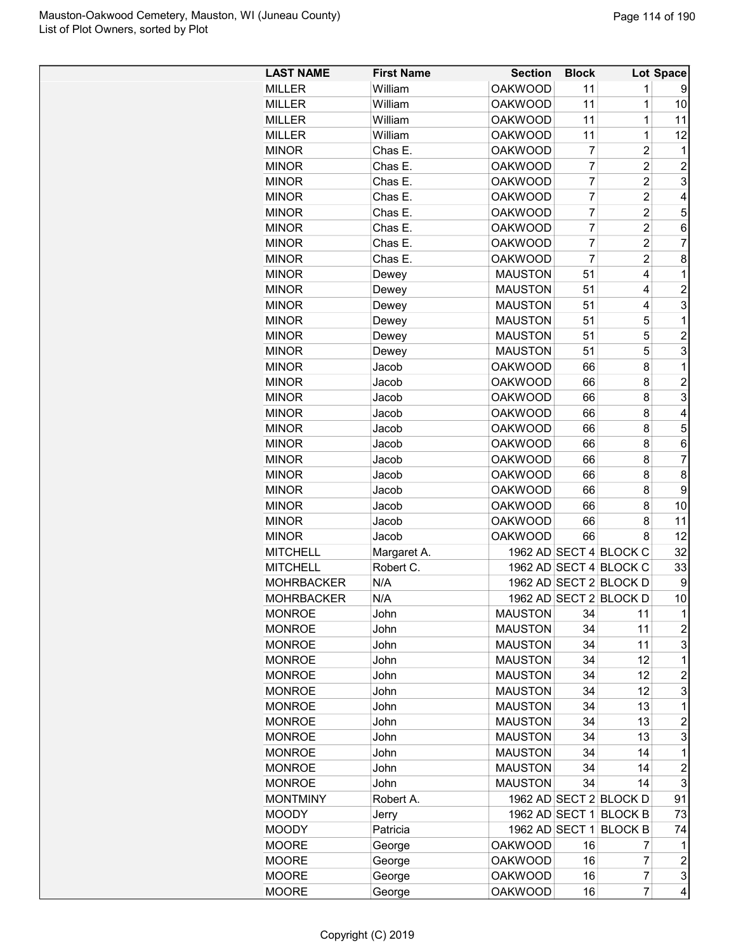| <b>LAST NAME</b>  | <b>First Name</b> | <b>Section</b> | <b>Block</b>   |                        | Lot Space               |
|-------------------|-------------------|----------------|----------------|------------------------|-------------------------|
| <b>MILLER</b>     | William           | <b>OAKWOOD</b> | 11             | 1                      | 9                       |
| <b>MILLER</b>     | William           | <b>OAKWOOD</b> | 11             | 1                      | 10                      |
| <b>MILLER</b>     | William           | <b>OAKWOOD</b> | 11             | $\mathbf{1}$           | 11                      |
| <b>MILLER</b>     | William           | <b>OAKWOOD</b> | 11             | 1                      | 12                      |
| <b>MINOR</b>      | Chas E.           | <b>OAKWOOD</b> | $\overline{7}$ | $\overline{2}$         | 1                       |
| <b>MINOR</b>      | Chas E.           | <b>OAKWOOD</b> | 7              | $\overline{2}$         | $\overline{c}$          |
| <b>MINOR</b>      | Chas E.           | <b>OAKWOOD</b> | $\overline{7}$ | $\overline{2}$         | 3                       |
| <b>MINOR</b>      | Chas E.           | <b>OAKWOOD</b> | 7              | $\overline{2}$         | 4                       |
| <b>MINOR</b>      | Chas E.           | <b>OAKWOOD</b> | 7              | $\overline{2}$         | 5                       |
| <b>MINOR</b>      | Chas E.           | <b>OAKWOOD</b> | 7              | $\overline{2}$         | 6                       |
| <b>MINOR</b>      | Chas E.           | <b>OAKWOOD</b> | $\overline{7}$ | $\overline{2}$         | $\overline{7}$          |
| <b>MINOR</b>      | Chas E.           | <b>OAKWOOD</b> | 7              | $\overline{c}$         | 8                       |
| <b>MINOR</b>      | Dewey             | <b>MAUSTON</b> | 51             | 4                      | $\mathbf{1}$            |
| <b>MINOR</b>      | Dewey             | <b>MAUSTON</b> | 51             | 4                      | $\overline{c}$          |
| <b>MINOR</b>      | Dewey             | <b>MAUSTON</b> | 51             | 4                      | 3                       |
| <b>MINOR</b>      | Dewey             | <b>MAUSTON</b> | 51             | 5                      | $\mathbf{1}$            |
| <b>MINOR</b>      | Dewey             | <b>MAUSTON</b> | 51             | 5                      | $\overline{c}$          |
| <b>MINOR</b>      |                   | <b>MAUSTON</b> | 51             | 5                      | 3                       |
| <b>MINOR</b>      | Dewey<br>Jacob    | <b>OAKWOOD</b> | 66             | 8                      | 1                       |
|                   |                   |                |                |                        |                         |
| <b>MINOR</b>      | Jacob             | <b>OAKWOOD</b> | 66             | 8                      | $\overline{2}$          |
| <b>MINOR</b>      | Jacob             | <b>OAKWOOD</b> | 66             | 8                      | 3                       |
| <b>MINOR</b>      | Jacob             | <b>OAKWOOD</b> | 66             | 8                      | 4                       |
| <b>MINOR</b>      | Jacob             | <b>OAKWOOD</b> | 66             | 8                      | 5                       |
| <b>MINOR</b>      | Jacob             | <b>OAKWOOD</b> | 66             | 8                      | 6                       |
| <b>MINOR</b>      | Jacob             | <b>OAKWOOD</b> | 66             | 8                      | $\overline{7}$          |
| <b>MINOR</b>      | Jacob             | <b>OAKWOOD</b> | 66             | 8                      | 8                       |
| <b>MINOR</b>      | Jacob             | <b>OAKWOOD</b> | 66             | 8                      | 9                       |
| <b>MINOR</b>      | Jacob             | <b>OAKWOOD</b> | 66             | 8                      | 10                      |
| <b>MINOR</b>      | Jacob             | <b>OAKWOOD</b> | 66             | 8                      | 11                      |
| <b>MINOR</b>      | Jacob             | <b>OAKWOOD</b> | 66             | 8                      | 12                      |
| <b>MITCHELL</b>   | Margaret A.       |                |                | 1962 AD SECT 4 BLOCK C | 32                      |
| <b>MITCHELL</b>   | Robert C.         |                |                | 1962 AD SECT 4 BLOCK C | 33                      |
| <b>MOHRBACKER</b> | N/A               |                |                | 1962 AD SECT 2 BLOCK D | 9                       |
| <b>MOHRBACKER</b> | N/A               |                |                | 1962 AD SECT 2 BLOCK D | 10                      |
| <b>MONROE</b>     | John              | <b>MAUSTON</b> | 34             | 11                     | 1                       |
| <b>MONROE</b>     | John              | <b>MAUSTON</b> | 34             | 11                     | $\overline{\mathbf{c}}$ |
| <b>MONROE</b>     | John              | <b>MAUSTON</b> | 34             | 11                     | 3                       |
| <b>MONROE</b>     | John              | <b>MAUSTON</b> | 34             | 12                     | 1                       |
| <b>MONROE</b>     | John              | <b>MAUSTON</b> | 34             | 12                     | $\overline{c}$          |
| <b>MONROE</b>     | John              | <b>MAUSTON</b> | 34             | 12                     | 3                       |
| <b>MONROE</b>     | John              | <b>MAUSTON</b> | 34             | 13                     | 1                       |
| <b>MONROE</b>     | John              | <b>MAUSTON</b> | 34             | 13                     | $\overline{c}$          |
| <b>MONROE</b>     | John              | <b>MAUSTON</b> | 34             | 13                     | 3                       |
| <b>MONROE</b>     | John              | <b>MAUSTON</b> | 34             | 14                     | $\mathbf 1$             |
| <b>MONROE</b>     | John              | <b>MAUSTON</b> | 34             | 14                     | $\overline{2}$          |
| <b>MONROE</b>     | John              | <b>MAUSTON</b> | 34             | 14                     | 3                       |
| <b>MONTMINY</b>   | Robert A.         |                |                | 1962 AD SECT 2 BLOCK D | 91                      |
| <b>MOODY</b>      | Jerry             |                |                | 1962 AD SECT 1 BLOCK B | 73                      |
| <b>MOODY</b>      | Patricia          |                |                | 1962 AD SECT 1 BLOCK B | 74                      |
| <b>MOORE</b>      | George            | <b>OAKWOOD</b> | 16             | 7                      | 1                       |
| <b>MOORE</b>      | George            | <b>OAKWOOD</b> | 16             | 7                      | $\overline{\mathbf{c}}$ |
| <b>MOORE</b>      | George            | <b>OAKWOOD</b> | 16             | 7                      | 3                       |
| <b>MOORE</b>      | George            | <b>OAKWOOD</b> | 16             | 7                      | 4                       |
|                   |                   |                |                |                        |                         |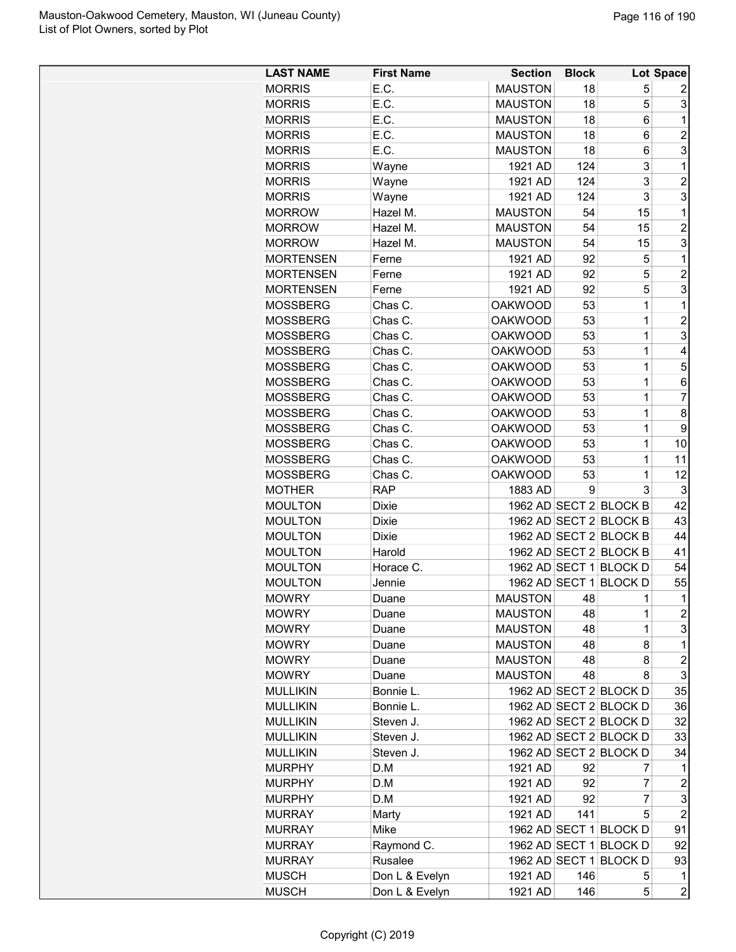| <b>LAST NAME</b> | <b>First Name</b> | <b>Section</b> | <b>Block</b> |                        | Lot Space               |
|------------------|-------------------|----------------|--------------|------------------------|-------------------------|
| <b>MORRIS</b>    | E.C.              | <b>MAUSTON</b> | 18           | 5                      | 2                       |
| <b>MORRIS</b>    | E.C.              | <b>MAUSTON</b> | 18           | 5                      | 3                       |
| <b>MORRIS</b>    | E.C.              | <b>MAUSTON</b> | 18           | 6                      | 1                       |
| <b>MORRIS</b>    | E.C.              | <b>MAUSTON</b> | 18           | 6                      | $\overline{c}$          |
| <b>MORRIS</b>    | E.C.              | <b>MAUSTON</b> | 18           | 6                      | 3                       |
| <b>MORRIS</b>    | Wayne             | 1921 AD        | 124          | 3                      | $\mathbf 1$             |
| <b>MORRIS</b>    | Wayne             | 1921 AD        | 124          | 3                      | $\overline{c}$          |
| <b>MORRIS</b>    | Wayne             | 1921 AD        | 124          | 3                      | 3                       |
| <b>MORROW</b>    | Hazel M.          | <b>MAUSTON</b> | 54           | 15                     | $\mathbf{1}$            |
| <b>MORROW</b>    | Hazel M.          | <b>MAUSTON</b> | 54           | 15                     | $\overline{c}$          |
| <b>MORROW</b>    | Hazel M.          | <b>MAUSTON</b> | 54           | 15                     | 3                       |
| <b>MORTENSEN</b> | Ferne             | 1921 AD        | 92           | 5                      | 1                       |
| <b>MORTENSEN</b> | Ferne             | 1921 AD        | 92           | 5                      | $\overline{2}$          |
| <b>MORTENSEN</b> | Ferne             | 1921 AD        | 92           | 5                      | 3                       |
| <b>MOSSBERG</b>  | Chas C.           | <b>OAKWOOD</b> | 53           | 1                      | $\mathbf{1}$            |
| <b>MOSSBERG</b>  | Chas C.           | <b>OAKWOOD</b> | 53           | 1                      | $\overline{c}$          |
| <b>MOSSBERG</b>  | Chas C.           | <b>OAKWOOD</b> | 53           | 1                      | 3                       |
| <b>MOSSBERG</b>  | Chas C.           | <b>OAKWOOD</b> | 53           | 1                      | 4                       |
| <b>MOSSBERG</b>  | Chas C.           | <b>OAKWOOD</b> | 53           | 1                      | 5                       |
| <b>MOSSBERG</b>  | Chas C.           | <b>OAKWOOD</b> | 53           | 1                      | 6                       |
| <b>MOSSBERG</b>  | Chas C.           | <b>OAKWOOD</b> | 53           | 1                      | 7                       |
| <b>MOSSBERG</b>  | Chas C.           | <b>OAKWOOD</b> | 53           | 1                      | 8                       |
|                  |                   |                |              |                        |                         |
| <b>MOSSBERG</b>  | Chas C.           | <b>OAKWOOD</b> | 53           | 1                      | 9                       |
| <b>MOSSBERG</b>  | Chas C.           | <b>OAKWOOD</b> | 53           | 1                      | 10                      |
| <b>MOSSBERG</b>  | Chas C.           | <b>OAKWOOD</b> | 53           | 1                      | 11                      |
| <b>MOSSBERG</b>  | Chas C.           | <b>OAKWOOD</b> | 53           | 1                      | 12                      |
| <b>MOTHER</b>    | <b>RAP</b>        | 1883 AD        | 9            | 3                      | 3                       |
| <b>MOULTON</b>   | <b>Dixie</b>      |                |              | 1962 AD SECT 2 BLOCK B | 42                      |
| <b>MOULTON</b>   | <b>Dixie</b>      |                |              | 1962 AD SECT 2 BLOCK B | 43                      |
| <b>MOULTON</b>   | <b>Dixie</b>      |                |              | 1962 AD SECT 2 BLOCK B | 44                      |
| <b>MOULTON</b>   | Harold            |                |              | 1962 AD SECT 2 BLOCK B | 41                      |
| <b>MOULTON</b>   | Horace C.         |                |              | 1962 AD SECT 1 BLOCK D | 54                      |
| <b>MOULTON</b>   | Jennie            |                |              | 1962 AD SECT 1 BLOCK D | 55                      |
| <b>MOWRY</b>     | Duane             | <b>MAUSTON</b> | 48           | 1                      | 1                       |
| <b>MOWRY</b>     | Duane             | <b>MAUSTON</b> | 48           | 1                      | $\overline{\mathbf{c}}$ |
| <b>MOWRY</b>     | Duane             | <b>MAUSTON</b> | 48           | 1                      | 3                       |
| <b>MOWRY</b>     | Duane             | <b>MAUSTON</b> | 48           | 8                      | 1                       |
| <b>MOWRY</b>     | Duane             | <b>MAUSTON</b> | 48           | 8                      | $\overline{c}$          |
| <b>MOWRY</b>     | Duane             | <b>MAUSTON</b> | 48           | 8                      | 3                       |
| <b>MULLIKIN</b>  | Bonnie L.         |                |              | 1962 AD SECT 2 BLOCK D | 35                      |
| <b>MULLIKIN</b>  | Bonnie L.         |                |              | 1962 AD SECT 2 BLOCK D | 36                      |
| <b>MULLIKIN</b>  | Steven J.         |                |              | 1962 AD SECT 2 BLOCK D | 32                      |
| <b>MULLIKIN</b>  | Steven J.         |                |              | 1962 AD SECT 2 BLOCK D | 33                      |
| <b>MULLIKIN</b>  | Steven J.         |                |              | 1962 AD SECT 2 BLOCK D | 34                      |
| <b>MURPHY</b>    | D.M               | 1921 AD        | 92           | 7                      | 1                       |
| <b>MURPHY</b>    | D.M               | 1921 AD        | 92           | 7                      | $\overline{\mathbf{c}}$ |
| <b>MURPHY</b>    | D.M               | 1921 AD        | 92           | 7                      | 3                       |
| <b>MURRAY</b>    | Marty             | 1921 AD        | 141          | 5                      | $\overline{2}$          |
| <b>MURRAY</b>    | Mike              |                |              | 1962 AD SECT 1 BLOCK D | 91                      |
| <b>MURRAY</b>    | Raymond C.        |                |              | 1962 AD SECT 1 BLOCK D | 92                      |
| <b>MURRAY</b>    | Rusalee           |                |              | 1962 AD SECT 1 BLOCK D |                         |
|                  |                   |                |              |                        | 93                      |
| <b>MUSCH</b>     | Don L & Evelyn    | 1921 AD        | 146          | 5                      | 1                       |
| <b>MUSCH</b>     | Don L & Evelyn    | 1921 AD        | 146          | 5                      | $\overline{c}$          |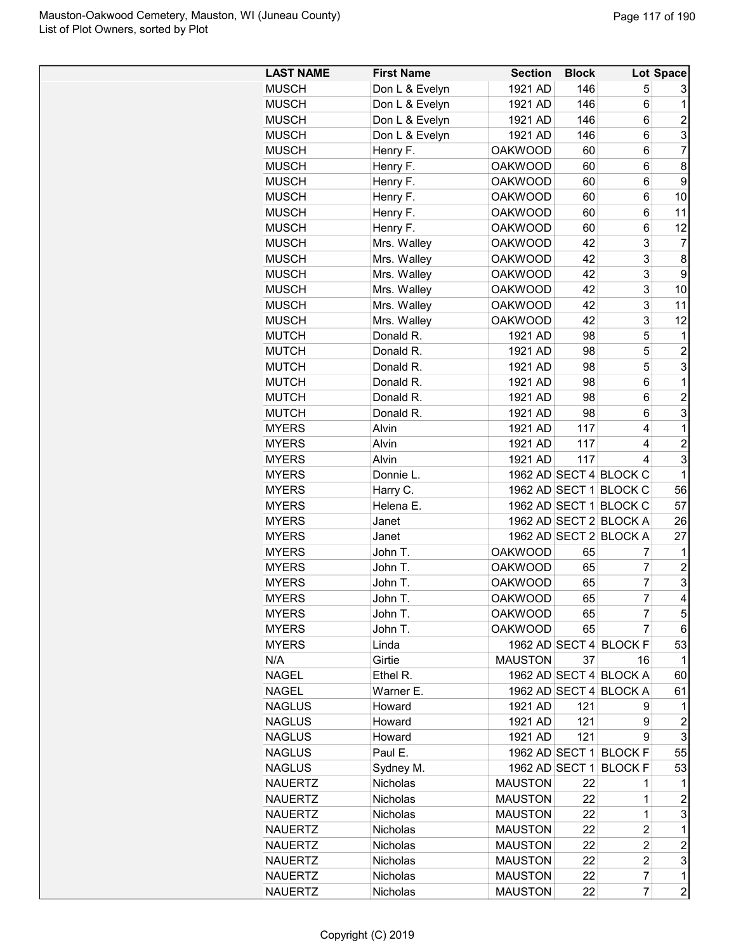| <b>LAST NAME</b> | <b>First Name</b> | <b>Section</b> | <b>Block</b> |                        | <b>Lot Space</b>    |
|------------------|-------------------|----------------|--------------|------------------------|---------------------|
| <b>MUSCH</b>     | Don L & Evelyn    | 1921 AD        | 146          | 5                      | 3                   |
| <b>MUSCH</b>     | Don L & Evelyn    | 1921 AD        | 146          | 6                      | 1                   |
| <b>MUSCH</b>     | Don L & Evelyn    | 1921 AD        | 146          | 6                      | $\overline{c}$      |
| <b>MUSCH</b>     | Don L & Evelyn    | 1921 AD        | 146          | 6                      | 3                   |
| <b>MUSCH</b>     | Henry F.          | <b>OAKWOOD</b> | 60           | 6                      | $\overline{7}$      |
| <b>MUSCH</b>     | Henry F.          | <b>OAKWOOD</b> | 60           | 6                      | 8                   |
| <b>MUSCH</b>     | Henry F.          | <b>OAKWOOD</b> | 60           | 6                      | 9                   |
| <b>MUSCH</b>     | Henry F.          | <b>OAKWOOD</b> | 60           | 6                      | 10                  |
| <b>MUSCH</b>     | Henry F.          | <b>OAKWOOD</b> | 60           | 6                      | 11                  |
| <b>MUSCH</b>     | Henry F.          | <b>OAKWOOD</b> | 60           | 6                      | 12                  |
| <b>MUSCH</b>     | Mrs. Walley       | <b>OAKWOOD</b> | 42           | 3                      | 7                   |
| <b>MUSCH</b>     | Mrs. Walley       | <b>OAKWOOD</b> | 42           | 3                      | 8                   |
| <b>MUSCH</b>     | Mrs. Walley       | <b>OAKWOOD</b> | 42           | 3                      | 9                   |
| <b>MUSCH</b>     | Mrs. Walley       | <b>OAKWOOD</b> | 42           | 3                      | 10                  |
| <b>MUSCH</b>     | Mrs. Walley       | <b>OAKWOOD</b> | 42           | 3                      | 11                  |
| <b>MUSCH</b>     | Mrs. Walley       | <b>OAKWOOD</b> | 42           | 3                      | 12                  |
| <b>MUTCH</b>     | Donald R.         | 1921 AD        | 98           | 5                      | 1                   |
| <b>MUTCH</b>     | Donald R.         | 1921 AD        | 98           | 5                      | $\overline{2}$      |
| <b>MUTCH</b>     | Donald R.         | 1921 AD        | 98           | 5                      | 3                   |
| <b>MUTCH</b>     | Donald R.         | 1921 AD        | 98           | 6                      | 1                   |
|                  | Donald R.         |                |              |                        |                     |
| <b>MUTCH</b>     |                   | 1921 AD        | 98           | 6                      | $\overline{c}$<br>3 |
| <b>MUTCH</b>     | Donald R.         | 1921 AD        | 98           | 6                      |                     |
| <b>MYERS</b>     | Alvin             | 1921 AD        | 117          | 4                      | $\mathbf 1$         |
| <b>MYERS</b>     | Alvin             | 1921 AD        | 117          | 4                      | $\overline{c}$      |
| <b>MYERS</b>     | Alvin             | 1921 AD        | 117          | 4                      | 3                   |
| <b>MYERS</b>     | Donnie L.         |                |              | 1962 AD SECT 4 BLOCK C | 1                   |
| <b>MYERS</b>     | Harry C.          |                |              | 1962 AD SECT 1 BLOCK C | 56                  |
| <b>MYERS</b>     | Helena E.         |                |              | 1962 AD SECT 1 BLOCK C | 57                  |
| <b>MYERS</b>     | Janet             |                |              | 1962 AD SECT 2 BLOCK A | 26                  |
| <b>MYERS</b>     | Janet             |                |              | 1962 AD SECT 2 BLOCK A | 27                  |
| <b>MYERS</b>     | John T.           | <b>OAKWOOD</b> | 65           | 7                      | 1                   |
| <b>MYERS</b>     | John T.           | <b>OAKWOOD</b> | 65           | $\overline{7}$         | $\overline{c}$      |
| <b>MYERS</b>     | John T.           | <b>OAKWOOD</b> | 65           | $\overline{7}$         | 3                   |
| <b>MYERS</b>     | John T.           | <b>OAKWOOD</b> | 65           | $\overline{7}$         | 4                   |
| <b>MYERS</b>     | John T.           | <b>OAKWOOD</b> | 65           | 7                      | 5                   |
| <b>MYERS</b>     | John T.           | <b>OAKWOOD</b> | 65           | $\overline{7}$         | 6                   |
| <b>MYERS</b>     | Linda             |                |              | 1962 AD SECT 4 BLOCK F | 53                  |
| N/A              | Girtie            | <b>MAUSTON</b> | 37           | 16                     | 1                   |
| <b>NAGEL</b>     | Ethel R.          |                |              | 1962 AD SECT 4 BLOCK A | 60                  |
| <b>NAGEL</b>     | Warner E.         |                |              | 1962 AD SECT 4 BLOCK A | 61                  |
| <b>NAGLUS</b>    | Howard            | 1921 AD        | 121          | 9                      | $\mathbf 1$         |
| <b>NAGLUS</b>    | Howard            | 1921 AD        | 121          | 9                      | $\overline{c}$      |
| <b>NAGLUS</b>    | Howard            | 1921 AD        | 121          | 9                      | $\mathsf 3$         |
| <b>NAGLUS</b>    | Paul E.           |                |              | 1962 AD SECT 1 BLOCK F | 55                  |
| <b>NAGLUS</b>    | Sydney M.         | 1962 AD SECT 1 |              | <b>BLOCK F</b>         | 53                  |
| <b>NAUERTZ</b>   | Nicholas          | <b>MAUSTON</b> | 22           | 1                      | 1                   |
| <b>NAUERTZ</b>   | Nicholas          | <b>MAUSTON</b> | 22           | 1                      | $\boldsymbol{2}$    |
| <b>NAUERTZ</b>   | Nicholas          | <b>MAUSTON</b> | 22           | 1                      | 3                   |
| <b>NAUERTZ</b>   | Nicholas          | <b>MAUSTON</b> | 22           | $\overline{c}$         | 1                   |
| <b>NAUERTZ</b>   | <b>Nicholas</b>   | <b>MAUSTON</b> | 22           | $\overline{c}$         | $\overline{c}$      |
| <b>NAUERTZ</b>   | Nicholas          | <b>MAUSTON</b> | 22           | $\overline{c}$         | 3                   |
| <b>NAUERTZ</b>   | Nicholas          | <b>MAUSTON</b> | 22           | $\overline{7}$         | $\mathbf 1$         |
| <b>NAUERTZ</b>   | Nicholas          | <b>MAUSTON</b> | 22           | $\overline{7}$         | $\overline{c}$      |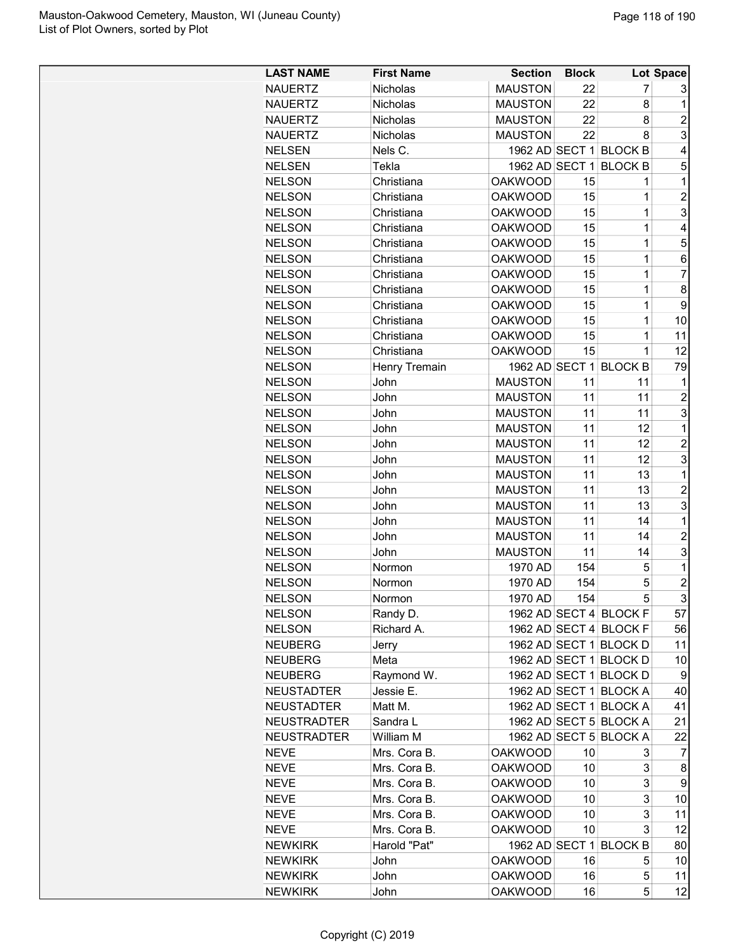| <b>LAST NAME</b>   | <b>First Name</b>    | <b>Section</b> | <b>Block</b> |                        | Lot Space      |
|--------------------|----------------------|----------------|--------------|------------------------|----------------|
| <b>NAUERTZ</b>     | <b>Nicholas</b>      | <b>MAUSTON</b> | 22           | 7                      | 3              |
| <b>NAUERTZ</b>     | <b>Nicholas</b>      | <b>MAUSTON</b> | 22           | 8                      | 1              |
| <b>NAUERTZ</b>     | Nicholas             | <b>MAUSTON</b> | 22           | 8                      | $\overline{c}$ |
| <b>NAUERTZ</b>     | Nicholas             | <b>MAUSTON</b> | 22           | 8                      | 3              |
| <b>NELSEN</b>      | Nels C.              |                |              | 1962 AD SECT 1 BLOCK B | 4              |
| <b>NELSEN</b>      | Tekla                | 1962 AD SECT 1 |              | <b>BLOCK B</b>         | 5              |
| <b>NELSON</b>      | Christiana           | <b>OAKWOOD</b> | 15           | 1                      | 1              |
| <b>NELSON</b>      | Christiana           | <b>OAKWOOD</b> | 15           | $\mathbf{1}$           | $\overline{c}$ |
| <b>NELSON</b>      | Christiana           | <b>OAKWOOD</b> | 15           | $\mathbf 1$            | 3              |
| <b>NELSON</b>      | Christiana           | <b>OAKWOOD</b> | 15           | $\mathbf 1$            | 4              |
| <b>NELSON</b>      | Christiana           | <b>OAKWOOD</b> | 15           | $\mathbf 1$            | 5              |
| <b>NELSON</b>      | Christiana           | <b>OAKWOOD</b> | 15           | 1                      | 6              |
| <b>NELSON</b>      | Christiana           | <b>OAKWOOD</b> | 15           | 1                      | $\overline{7}$ |
| <b>NELSON</b>      | Christiana           | <b>OAKWOOD</b> | 15           | 1                      | 8              |
| <b>NELSON</b>      | Christiana           | <b>OAKWOOD</b> | 15           | $\mathbf 1$            | 9              |
| <b>NELSON</b>      | Christiana           | <b>OAKWOOD</b> | 15           | $\mathbf 1$            | 10             |
| <b>NELSON</b>      | Christiana           | <b>OAKWOOD</b> | 15           | $\mathbf 1$            | 11             |
| <b>NELSON</b>      | Christiana           | <b>OAKWOOD</b> | 15           | $\mathbf{1}$           | 12             |
| <b>NELSON</b>      | <b>Henry Tremain</b> |                |              | 1962 AD SECT 1 BLOCK B | 79             |
| <b>NELSON</b>      | John                 | <b>MAUSTON</b> | 11           | 11                     | 1              |
| <b>NELSON</b>      | John                 | <b>MAUSTON</b> | 11           | 11                     | $\overline{c}$ |
| <b>NELSON</b>      | John                 | <b>MAUSTON</b> | 11           | 11                     | 3              |
| <b>NELSON</b>      | John                 | <b>MAUSTON</b> | 11           | 12                     | 1              |
| <b>NELSON</b>      | John                 | <b>MAUSTON</b> | 11           | 12                     | $\overline{2}$ |
| <b>NELSON</b>      | John                 | <b>MAUSTON</b> | 11           | 12                     | 3              |
| <b>NELSON</b>      | John                 | <b>MAUSTON</b> | 11           | 13                     | 1              |
| <b>NELSON</b>      | John                 | <b>MAUSTON</b> | 11           | 13                     | $\overline{2}$ |
| <b>NELSON</b>      | John                 | <b>MAUSTON</b> | 11           | 13                     | 3              |
| <b>NELSON</b>      | John                 | <b>MAUSTON</b> | 11           | 14                     | 1              |
| <b>NELSON</b>      | John                 | <b>MAUSTON</b> | 11           | 14                     | $\overline{c}$ |
| <b>NELSON</b>      | John                 | <b>MAUSTON</b> | 11           | 14                     | 3              |
| <b>NELSON</b>      | Normon               | 1970 AD        | 154          | 5                      | 1              |
| <b>NELSON</b>      | Normon               | 1970 AD        | 154          | 5                      | $\overline{c}$ |
| <b>NELSON</b>      | Normon               | 1970 AD        | 154          | 5                      | 3              |
| <b>NELSON</b>      | Randy D.             |                |              | 1962 AD SECT 4 BLOCK F | 57             |
| <b>NELSON</b>      | Richard A.           |                |              | 1962 AD SECT 4 BLOCK F | 56             |
| <b>NEUBERG</b>     | Jerry                |                |              | 1962 AD SECT 1 BLOCK D | 11             |
| <b>NEUBERG</b>     | Meta                 |                |              | 1962 AD SECT 1 BLOCK D | 10             |
| <b>NEUBERG</b>     | Raymond W.           |                |              | 1962 AD SECT 1 BLOCK D | 9              |
| <b>NEUSTADTER</b>  | Jessie E.            |                |              | 1962 AD SECT 1 BLOCK A | 40             |
| <b>NEUSTADTER</b>  | Matt M.              |                |              | 1962 AD SECT 1 BLOCK A | 41             |
| <b>NEUSTRADTER</b> | Sandra L             |                |              | 1962 AD SECT 5 BLOCK A | 21             |
| <b>NEUSTRADTER</b> | William M            |                |              | 1962 AD SECT 5 BLOCK A | 22             |
| <b>NEVE</b>        | Mrs. Cora B.         | <b>OAKWOOD</b> | 10           | 3                      | 7              |
| <b>NEVE</b>        | Mrs. Cora B.         | <b>OAKWOOD</b> | 10           | 3                      | 8              |
| <b>NEVE</b>        | Mrs. Cora B.         | <b>OAKWOOD</b> | 10           | 3                      | 9              |
| <b>NEVE</b>        | Mrs. Cora B.         | <b>OAKWOOD</b> | 10           | 3                      | 10             |
| <b>NEVE</b>        | Mrs. Cora B.         | <b>OAKWOOD</b> | 10           | 3                      | 11             |
| <b>NEVE</b>        | Mrs. Cora B.         | <b>OAKWOOD</b> | 10           | 3                      | 12             |
| <b>NEWKIRK</b>     | Harold "Pat"         |                |              | 1962 AD SECT 1 BLOCK B | 80             |
| <b>NEWKIRK</b>     | John                 | <b>OAKWOOD</b> | 16           | 5                      | 10             |
| <b>NEWKIRK</b>     | John                 | <b>OAKWOOD</b> | 16           | 5                      | 11             |
| <b>NEWKIRK</b>     | John                 | <b>OAKWOOD</b> | 16           | 5                      | 12             |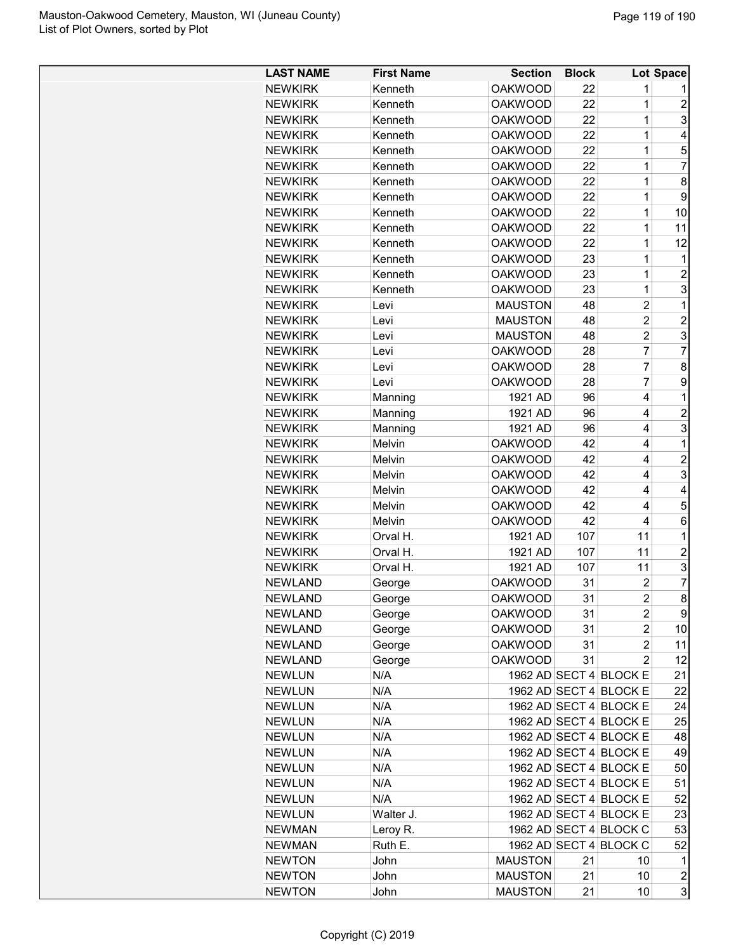| <b>LAST NAME</b> | <b>First Name</b> | <b>Section</b> | <b>Block</b> |                        | Lot Space        |
|------------------|-------------------|----------------|--------------|------------------------|------------------|
| <b>NEWKIRK</b>   | Kenneth           | <b>OAKWOOD</b> | 22           | 1                      |                  |
| <b>NEWKIRK</b>   | Kenneth           | <b>OAKWOOD</b> | 22           | 1                      | $\overline{2}$   |
| <b>NEWKIRK</b>   | Kenneth           | <b>OAKWOOD</b> | 22           | 1                      | 3                |
| <b>NEWKIRK</b>   | Kenneth           | <b>OAKWOOD</b> | 22           | $\overline{1}$         | $\overline{4}$   |
| <b>NEWKIRK</b>   | Kenneth           | <b>OAKWOOD</b> | 22           | 1                      | 5                |
| <b>NEWKIRK</b>   | Kenneth           | <b>OAKWOOD</b> | 22           | 1                      | $\overline{7}$   |
| <b>NEWKIRK</b>   | Kenneth           | <b>OAKWOOD</b> | 22           | $\overline{1}$         | 8                |
| <b>NEWKIRK</b>   | Kenneth           | <b>OAKWOOD</b> | 22           | $\overline{1}$         | 9                |
| <b>NEWKIRK</b>   | Kenneth           | <b>OAKWOOD</b> | 22           | $\mathbf 1$            | 10               |
| <b>NEWKIRK</b>   | Kenneth           | <b>OAKWOOD</b> | 22           | 1                      | 11               |
| <b>NEWKIRK</b>   | Kenneth           | <b>OAKWOOD</b> | 22           | $\overline{1}$         | 12               |
| <b>NEWKIRK</b>   | Kenneth           | <b>OAKWOOD</b> | 23           | 1                      | 1                |
| <b>NEWKIRK</b>   | Kenneth           | <b>OAKWOOD</b> | 23           | 1                      | $\overline{2}$   |
| <b>NEWKIRK</b>   | Kenneth           | <b>OAKWOOD</b> | 23           | 1                      | 3                |
| <b>NEWKIRK</b>   | Levi              | <b>MAUSTON</b> | 48           | $\overline{c}$         | 1                |
| <b>NEWKIRK</b>   | Levi              | <b>MAUSTON</b> | 48           | $\overline{c}$         | $\overline{c}$   |
| <b>NEWKIRK</b>   | Levi              | <b>MAUSTON</b> | 48           | $\overline{2}$         | 3                |
| <b>NEWKIRK</b>   | Levi              | <b>OAKWOOD</b> | 28           | $\overline{7}$         | $\overline{7}$   |
| <b>NEWKIRK</b>   | Levi              | <b>OAKWOOD</b> | 28           | $\overline{7}$         | 8                |
| <b>NEWKIRK</b>   | Levi              | <b>OAKWOOD</b> | 28           | 7                      | 9                |
| <b>NEWKIRK</b>   | Manning           | 1921 AD        | 96           | 4                      | 1                |
| <b>NEWKIRK</b>   | Manning           | 1921 AD        | 96           | 4                      | $\overline{2}$   |
| <b>NEWKIRK</b>   | Manning           | 1921 AD        | 96           | 4                      | 3                |
| <b>NEWKIRK</b>   | Melvin            | <b>OAKWOOD</b> | 42           | 4                      | 1                |
| <b>NEWKIRK</b>   | Melvin            | <b>OAKWOOD</b> | 42           | 4                      | $\overline{2}$   |
| <b>NEWKIRK</b>   | Melvin            | <b>OAKWOOD</b> | 42           | 4                      | 3                |
| <b>NEWKIRK</b>   | Melvin            | <b>OAKWOOD</b> | 42           | 4                      | 4                |
| <b>NEWKIRK</b>   | Melvin            | <b>OAKWOOD</b> | 42           | 4                      | 5                |
| <b>NEWKIRK</b>   | Melvin            | <b>OAKWOOD</b> | 42           | 4                      | 6                |
| <b>NEWKIRK</b>   | Orval H.          | 1921 AD        | 107          | 11                     | 1                |
| <b>NEWKIRK</b>   | Orval H.          | 1921 AD        | 107          | 11                     | $\overline{c}$   |
| <b>NEWKIRK</b>   | Orval H.          | 1921 AD        | 107          | 11                     | 3                |
| <b>NEWLAND</b>   | George            | <b>OAKWOOD</b> | 31           | $\overline{c}$         | 7                |
| NEWLAND          | George            | <b>OAKWOOD</b> | 31           | $\overline{2}$         | 8                |
| <b>NEWLAND</b>   | George            | <b>OAKWOOD</b> | 31           | 2                      | 9                |
| <b>NEWLAND</b>   | George            | <b>OAKWOOD</b> | 31           | 2                      | 10               |
| <b>NEWLAND</b>   | George            | <b>OAKWOOD</b> | 31           | 2                      | 11               |
| <b>NEWLAND</b>   | George            | <b>OAKWOOD</b> | 31           | $\overline{2}$         | 12               |
| <b>NEWLUN</b>    | N/A               |                |              | 1962 AD SECT 4 BLOCK E | 21               |
| <b>NEWLUN</b>    | N/A               |                |              | 1962 AD SECT 4 BLOCK E | 22               |
| <b>NEWLUN</b>    | N/A               |                |              | 1962 AD SECT 4 BLOCK E | 24               |
| <b>NEWLUN</b>    | N/A               |                |              | 1962 AD SECT 4 BLOCK E | 25               |
| <b>NEWLUN</b>    | N/A               |                |              | 1962 AD SECT 4 BLOCK E | 48               |
| <b>NEWLUN</b>    | N/A               |                |              | 1962 AD SECT 4 BLOCK E | 49               |
| <b>NEWLUN</b>    | N/A               |                |              | 1962 AD SECT 4 BLOCK E | 50               |
|                  |                   |                |              |                        | 51               |
| <b>NEWLUN</b>    | N/A<br>N/A        |                |              | 1962 AD SECT 4 BLOCK E |                  |
| <b>NEWLUN</b>    |                   |                |              | 1962 AD SECT 4 BLOCK E | 52               |
| <b>NEWLUN</b>    | Walter J.         |                |              | 1962 AD SECT 4 BLOCK E | 23               |
| <b>NEWMAN</b>    | Leroy R.          |                |              | 1962 AD SECT 4 BLOCK C | 53               |
| <b>NEWMAN</b>    | Ruth E.           |                |              | 1962 AD SECT 4 BLOCK C | 52               |
| <b>NEWTON</b>    | John              | <b>MAUSTON</b> | 21           | 10                     | $\mathbf 1$      |
| <b>NEWTON</b>    | John              | <b>MAUSTON</b> | 21           | 10                     | $\boldsymbol{2}$ |
| <b>NEWTON</b>    | John              | <b>MAUSTON</b> | 21           | 10                     | 3                |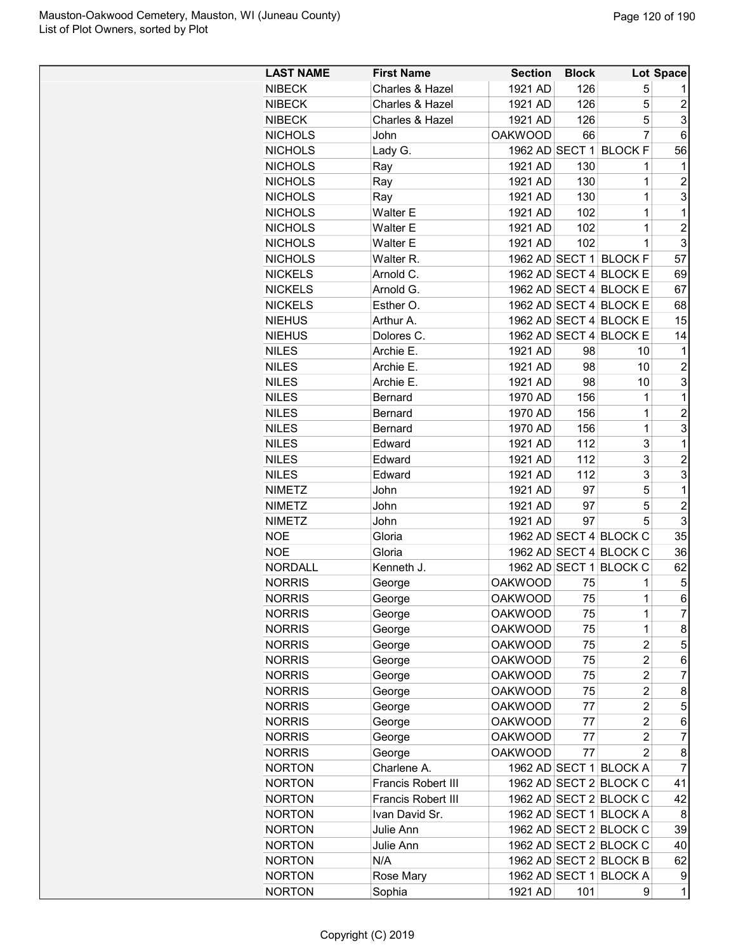| <b>LAST NAME</b> | <b>First Name</b>  | <b>Section</b> | <b>Block</b> |                         | Lot Space        |
|------------------|--------------------|----------------|--------------|-------------------------|------------------|
| <b>NIBECK</b>    | Charles & Hazel    | 1921 AD        | 126          | 5                       | 1                |
| <b>NIBECK</b>    | Charles & Hazel    | 1921 AD        | 126          | 5                       | $\boldsymbol{2}$ |
| <b>NIBECK</b>    | Charles & Hazel    | 1921 AD        | 126          | 5                       | 3                |
| <b>NICHOLS</b>   | John               | <b>OAKWOOD</b> | 66           | $\overline{7}$          | 6                |
| <b>NICHOLS</b>   | Lady G.            |                |              | 1962 AD SECT 1 BLOCK F  | 56               |
| <b>NICHOLS</b>   | Ray                | 1921 AD        | 130          | 1                       | 1                |
| <b>NICHOLS</b>   | Ray                | 1921 AD        | 130          | 1                       | $\overline{c}$   |
| <b>NICHOLS</b>   | Ray                | 1921 AD        | 130          | 1                       | 3                |
| <b>NICHOLS</b>   | Walter E           | 1921 AD        | 102          | 1                       | $\mathbf 1$      |
| <b>NICHOLS</b>   | <b>Walter E</b>    | 1921 AD        | 102          | 1                       | $\overline{c}$   |
| <b>NICHOLS</b>   | <b>Walter E</b>    | 1921 AD        | 102          | 1                       | 3                |
| <b>NICHOLS</b>   | Walter R.          |                |              | 1962 AD SECT 1 BLOCK F  | 57               |
| <b>NICKELS</b>   | Arnold C.          |                |              | 1962 AD SECT 4 BLOCK E  | 69               |
| <b>NICKELS</b>   | Arnold G.          |                |              | 1962 AD SECT 4 BLOCK E  | 67               |
| <b>NICKELS</b>   | Esther O.          |                |              | 1962 AD SECT 4 BLOCK E  | 68               |
| <b>NIEHUS</b>    | Arthur A.          |                |              | 1962 AD SECT 4 BLOCK E  | 15               |
| <b>NIEHUS</b>    | Dolores C.         |                |              | 1962 AD SECT 4 BLOCK E  | 14               |
| <b>NILES</b>     | Archie E.          | 1921 AD        | 98           | 10                      | 1                |
| <b>NILES</b>     | Archie E.          | 1921 AD        | 98           | 10                      | $\overline{c}$   |
| <b>NILES</b>     | Archie E.          | 1921 AD        | 98           | 10                      | 3                |
| <b>NILES</b>     | Bernard            | 1970 AD        | 156          | 1                       | 1                |
| <b>NILES</b>     | Bernard            | 1970 AD        | 156          | 1                       | $\overline{c}$   |
| <b>NILES</b>     | Bernard            | 1970 AD        | 156          | $\mathbf{1}$            | 3                |
| <b>NILES</b>     | Edward             | 1921 AD        | 112          | 3                       | $\mathbf{1}$     |
| <b>NILES</b>     | Edward             | 1921 AD        | 112          | 3                       | 2                |
| <b>NILES</b>     | Edward             | 1921 AD        | 112          | 3                       | 3                |
| <b>NIMETZ</b>    | John               | 1921 AD        | 97           | 5                       | $\mathbf 1$      |
| <b>NIMETZ</b>    | John               | 1921 AD        | 97           | 5                       | $\overline{c}$   |
| <b>NIMETZ</b>    | John               | 1921 AD        | 97           | 5                       | 3                |
| <b>NOE</b>       | Gloria             |                |              | 1962 AD SECT 4 BLOCK C  | 35               |
| <b>NOE</b>       | Gloria             |                |              | 1962 AD SECT 4 BLOCK C  | 36               |
| <b>NORDALL</b>   | Kenneth J.         |                |              | 1962 AD SECT 1 BLOCK C  | 62               |
| <b>NORRIS</b>    | George             | <b>OAKWOOD</b> | 75           | 1                       | 5                |
| <b>NORRIS</b>    | George             | <b>OAKWOOD</b> | 75           | 1                       | 6                |
| <b>NORRIS</b>    | George             | <b>OAKWOOD</b> | 75           | 1                       | 7                |
| <b>NORRIS</b>    | George             | <b>OAKWOOD</b> | 75           | 1                       | 8                |
| <b>NORRIS</b>    | George             | <b>OAKWOOD</b> | 75           | $\overline{c}$          | 5                |
| <b>NORRIS</b>    | George             | <b>OAKWOOD</b> | 75           | $\overline{2}$          | 6                |
| <b>NORRIS</b>    | George             | <b>OAKWOOD</b> | 75           | $\overline{\mathbf{c}}$ | 7                |
| <b>NORRIS</b>    | George             | <b>OAKWOOD</b> | 75           | 2                       | 8                |
| <b>NORRIS</b>    | George             | <b>OAKWOOD</b> | 77           | $\overline{c}$          | 5                |
| <b>NORRIS</b>    | George             | <b>OAKWOOD</b> | 77           | 2                       | 6                |
| <b>NORRIS</b>    | George             | <b>OAKWOOD</b> | 77           | $\overline{2}$          | 7                |
| <b>NORRIS</b>    | George             | <b>OAKWOOD</b> | 77           | $\overline{2}$          | 8                |
| <b>NORTON</b>    | Charlene A.        |                |              | 1962 AD SECT 1 BLOCK A  | 7                |
| <b>NORTON</b>    | Francis Robert III |                |              | 1962 AD SECT 2 BLOCK C  | 41               |
| <b>NORTON</b>    | Francis Robert III |                |              | 1962 AD SECT 2 BLOCK C  | 42               |
| <b>NORTON</b>    | Ivan David Sr.     |                |              | 1962 AD SECT 1 BLOCK A  | 8                |
| <b>NORTON</b>    | Julie Ann          |                |              | 1962 AD SECT 2 BLOCK C  | 39               |
| <b>NORTON</b>    | Julie Ann          |                |              | 1962 AD SECT 2 BLOCK C  | 40               |
| <b>NORTON</b>    | N/A                |                |              | 1962 AD SECT 2 BLOCK B  | 62               |
| <b>NORTON</b>    | Rose Mary          |                |              | 1962 AD SECT 1 BLOCK A  | 9                |
| <b>NORTON</b>    | Sophia             | 1921 AD        | 101          | 9                       | 1                |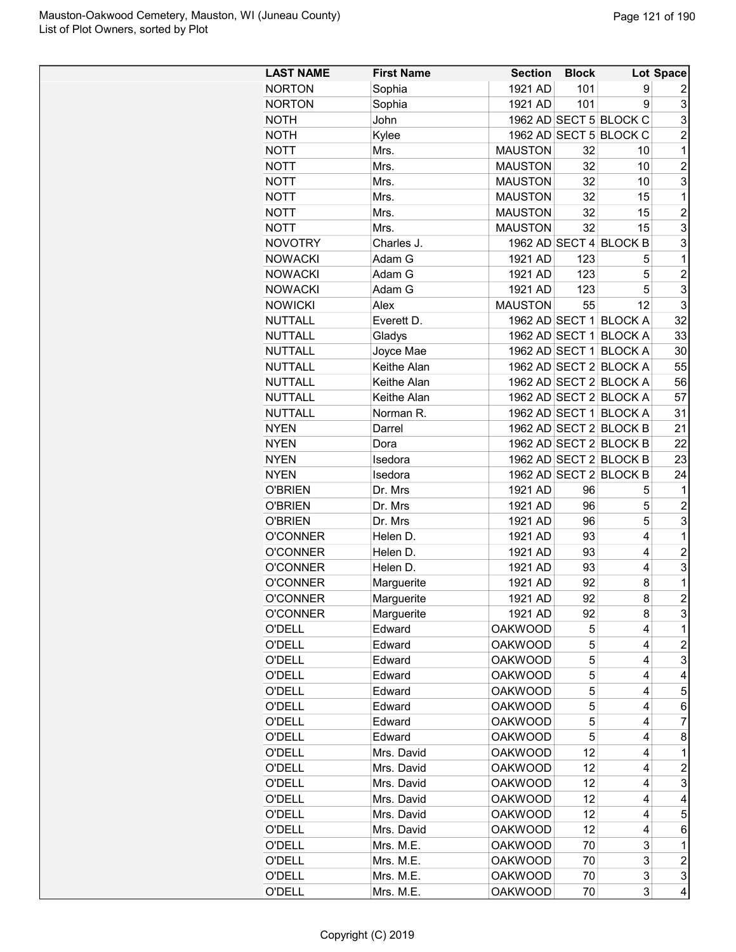| <b>LAST NAME</b> | <b>First Name</b> | <b>Section</b> | <b>Block</b> |                        | Lot Space      |
|------------------|-------------------|----------------|--------------|------------------------|----------------|
| <b>NORTON</b>    | Sophia            | 1921 AD        | 101          | 9                      | 2              |
| <b>NORTON</b>    | Sophia            | 1921 AD        | 101          | 9                      | 3              |
| <b>NOTH</b>      | John              |                |              | 1962 AD SECT 5 BLOCK C | 3              |
| <b>NOTH</b>      | Kylee             |                |              | 1962 AD SECT 5 BLOCK C | $\overline{2}$ |
| <b>NOTT</b>      | Mrs.              | <b>MAUSTON</b> | 32           | 10                     | $\mathbf 1$    |
| <b>NOTT</b>      | Mrs.              | <b>MAUSTON</b> | 32           | 10                     | $\overline{c}$ |
| <b>NOTT</b>      | Mrs.              | <b>MAUSTON</b> | 32           | 10                     | 3              |
| <b>NOTT</b>      | Mrs.              | <b>MAUSTON</b> | 32           | 15                     | $\mathbf 1$    |
| <b>NOTT</b>      | Mrs.              | <b>MAUSTON</b> | 32           | 15                     | $\overline{c}$ |
| <b>NOTT</b>      | Mrs.              | <b>MAUSTON</b> | 32           | 15                     | 3              |
| <b>NOVOTRY</b>   | Charles J.        |                |              | 1962 AD SECT 4 BLOCK B | 3              |
| <b>NOWACKI</b>   | Adam G            | 1921 AD        | 123          | 5                      | $\mathbf{1}$   |
| <b>NOWACKI</b>   | Adam G            | 1921 AD        | 123          | 5                      | $\overline{2}$ |
| <b>NOWACKI</b>   | Adam G            | 1921 AD        | 123          | 5                      | 3              |
| <b>NOWICKI</b>   | Alex              | <b>MAUSTON</b> | 55           | 12                     | 3              |
| <b>NUTTALL</b>   | Everett D.        |                |              | 1962 AD SECT 1 BLOCK A | 32             |
| <b>NUTTALL</b>   | Gladys            | 1962 AD SECT 1 |              | <b>BLOCK A</b>         | 33             |
| <b>NUTTALL</b>   | Joyce Mae         | 1962 AD SECT 1 |              | <b>BLOCK A</b>         | 30             |
| <b>NUTTALL</b>   | Keithe Alan       |                |              | 1962 AD SECT 2 BLOCK A | 55             |
| <b>NUTTALL</b>   | Keithe Alan       |                |              | 1962 AD SECT 2 BLOCK A | 56             |
| <b>NUTTALL</b>   | Keithe Alan       |                |              | 1962 AD SECT 2 BLOCK A | 57             |
| <b>NUTTALL</b>   | Norman R.         |                |              | 1962 AD SECT 1 BLOCK A | 31             |
| <b>NYEN</b>      | Darrel            |                |              | 1962 AD SECT 2 BLOCK B | 21             |
|                  |                   |                |              | 1962 AD SECT 2 BLOCK B | 22             |
| <b>NYEN</b>      | Dora              |                |              |                        |                |
| <b>NYEN</b>      | Isedora           |                |              | 1962 AD SECT 2 BLOCK B | 23             |
| <b>NYEN</b>      | Isedora           |                |              | 1962 AD SECT 2 BLOCK B | 24             |
| <b>O'BRIEN</b>   | Dr. Mrs           | 1921 AD        | 96           | 5                      | $\mathbf 1$    |
| <b>O'BRIEN</b>   | Dr. Mrs           | 1921 AD        | 96           | 5                      | $\overline{c}$ |
| <b>O'BRIEN</b>   | Dr. Mrs           | 1921 AD        | 96           | 5                      | 3              |
| <b>O'CONNER</b>  | Helen D.          | 1921 AD        | 93           | 4                      | $\mathbf 1$    |
| <b>O'CONNER</b>  | Helen D.          | 1921 AD        | 93           | 4                      | $\overline{c}$ |
| <b>O'CONNER</b>  | Helen D.          | 1921 AD        | 93           | 4                      | 3              |
| <b>O'CONNER</b>  | Marguerite        | 1921 AD        | 92           | 8                      | $\mathbf 1$    |
| <b>O'CONNER</b>  | Marguerite        | 1921 AD        | 92           | 8                      | $\overline{2}$ |
| <b>O'CONNER</b>  | Marguerite        | 1921 AD        | 92           | 8                      | 3              |
| <b>O'DELL</b>    | Edward            | <b>OAKWOOD</b> | 5            | 4                      | 1              |
| <b>O'DELL</b>    | Edward            | <b>OAKWOOD</b> | 5            | 4                      | 2              |
| <b>O'DELL</b>    | Edward            | <b>OAKWOOD</b> | 5            | 4                      | 3              |
| O'DELL           | Edward            | <b>OAKWOOD</b> | 5            | 4                      | 4              |
| O'DELL           | Edward            | <b>OAKWOOD</b> | 5            | 4                      | 5              |
| O'DELL           | Edward            | <b>OAKWOOD</b> | 5            | 4                      | 6              |
| O'DELL           | Edward            | <b>OAKWOOD</b> | 5            | 4                      | 7              |
| <b>O'DELL</b>    | Edward            | <b>OAKWOOD</b> | 5            | 4                      | 8              |
| <b>O'DELL</b>    | Mrs. David        | <b>OAKWOOD</b> | 12           | 4                      | 1              |
| O'DELL           | Mrs. David        | <b>OAKWOOD</b> | 12           | 4                      | 2              |
| O'DELL           | Mrs. David        | <b>OAKWOOD</b> | 12           | 4                      | 3              |
| <b>O'DELL</b>    | Mrs. David        | <b>OAKWOOD</b> | 12           | 4                      | 4              |
| O'DELL           | Mrs. David        | <b>OAKWOOD</b> | 12           | 4                      | 5              |
| O'DELL           | Mrs. David        | <b>OAKWOOD</b> | 12           | 4                      | 6              |
| O'DELL           | Mrs. M.E.         | <b>OAKWOOD</b> | 70           | 3                      | 1              |
| O'DELL           | Mrs. M.E.         | <b>OAKWOOD</b> | 70           | 3                      | $\overline{c}$ |
| O'DELL           | Mrs. M.E.         | <b>OAKWOOD</b> | 70           | 3                      | 3              |
| O'DELL           | Mrs. M.E.         | <b>OAKWOOD</b> | 70           | 3                      | 4              |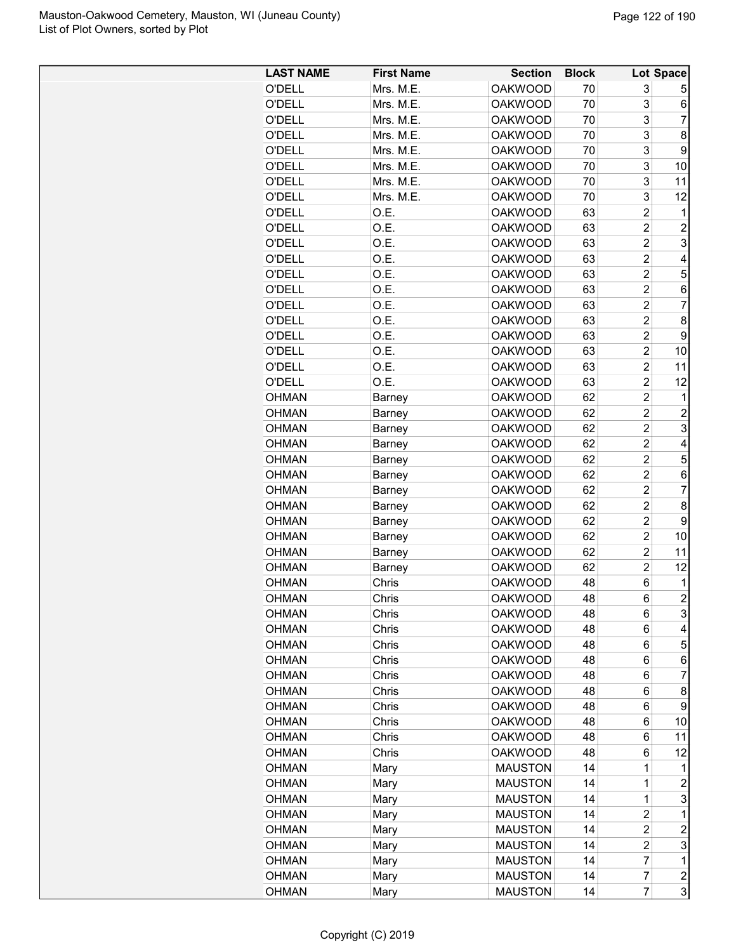| <b>LAST NAME</b> | <b>First Name</b> | <b>Section</b> | <b>Block</b> |                         | Lot Space               |
|------------------|-------------------|----------------|--------------|-------------------------|-------------------------|
| O'DELL           | Mrs. M.E.         | <b>OAKWOOD</b> | 70           | 3                       | 5                       |
| O'DELL           | Mrs. M.E.         | <b>OAKWOOD</b> | 70           | 3                       | 6                       |
| O'DELL           | Mrs. M.E.         | <b>OAKWOOD</b> | 70           | 3                       | 7                       |
| O'DELL           | Mrs. M.E.         | <b>OAKWOOD</b> | 70           | 3                       | 8                       |
| O'DELL           | Mrs. M.E.         | <b>OAKWOOD</b> | 70           | 3                       | 9                       |
| O'DELL           | Mrs. M.E.         | <b>OAKWOOD</b> | 70           | 3                       | 10                      |
| O'DELL           | Mrs. M.E.         | <b>OAKWOOD</b> | 70           | 3                       | 11                      |
| O'DELL           | Mrs. M.E.         | <b>OAKWOOD</b> | 70           | 3                       | 12                      |
| O'DELL           | O.E.              | <b>OAKWOOD</b> | 63           | $\overline{c}$          | 1                       |
| O'DELL           | O.E.              | <b>OAKWOOD</b> | 63           | $\overline{c}$          | $\overline{\mathbf{c}}$ |
| O'DELL           | O.E.              | <b>OAKWOOD</b> | 63           | $\overline{2}$          | 3                       |
| O'DELL           | O.E.              | <b>OAKWOOD</b> | 63           | $\overline{c}$          | 4                       |
| <b>O'DELL</b>    | O.E.              | <b>OAKWOOD</b> | 63           | $\overline{c}$          | 5                       |
| O'DELL           | O.E.              | <b>OAKWOOD</b> | 63           | $\overline{c}$          | 6                       |
| O'DELL           | O.E.              | <b>OAKWOOD</b> | 63           | $\overline{c}$          | $\overline{7}$          |
| O'DELL           | O.E.              | <b>OAKWOOD</b> | 63           | $\overline{\mathbf{c}}$ | 8                       |
| <b>O'DELL</b>    | O.E.              | <b>OAKWOOD</b> | 63           | $\overline{\mathbf{c}}$ | 9                       |
| O'DELL           | O.E.              | <b>OAKWOOD</b> | 63           | $\overline{2}$          | 10                      |
| O'DELL           | O.E.              | <b>OAKWOOD</b> | 63           | $\overline{2}$          | 11                      |
| <b>O'DELL</b>    | O.E.              | <b>OAKWOOD</b> | 63           | $\overline{c}$          | 12                      |
| <b>OHMAN</b>     | Barney            | <b>OAKWOOD</b> | 62           | $\overline{c}$          | 1                       |
| <b>OHMAN</b>     | Barney            | <b>OAKWOOD</b> | 62           | $\overline{2}$          | $\overline{c}$          |
| <b>OHMAN</b>     | Barney            | <b>OAKWOOD</b> | 62           | $\overline{c}$          | 3                       |
| <b>OHMAN</b>     | Barney            | <b>OAKWOOD</b> | 62           | $\overline{2}$          | 4                       |
| <b>OHMAN</b>     | Barney            | <b>OAKWOOD</b> | 62           | $\overline{2}$          | 5                       |
| <b>OHMAN</b>     | Barney            | <b>OAKWOOD</b> | 62           | $\overline{c}$          | 6                       |
| <b>OHMAN</b>     | Barney            | <b>OAKWOOD</b> | 62           | $\overline{c}$          | 7                       |
| <b>OHMAN</b>     | Barney            | <b>OAKWOOD</b> | 62           | $\overline{c}$          | 8                       |
| <b>OHMAN</b>     | Barney            | <b>OAKWOOD</b> | 62           | $\overline{2}$          | 9                       |
| <b>OHMAN</b>     | Barney            | <b>OAKWOOD</b> | 62           | $\overline{c}$          | 10                      |
| <b>OHMAN</b>     | Barney            | <b>OAKWOOD</b> | 62           | $\overline{c}$          | 11                      |
| <b>OHMAN</b>     | Barney            | <b>OAKWOOD</b> | 62           | $\overline{c}$          | 12                      |
| <b>OHMAN</b>     | Chris             | <b>OAKWOOD</b> | 48           | 6                       | 1                       |
| OHMAN            | Chris             | <b>OAKWOOD</b> | 48           | 6                       | $\overline{c}$          |
| <b>OHMAN</b>     | Chris             | <b>OAKWOOD</b> | 48           | 6                       | 3                       |
| <b>OHMAN</b>     | Chris             | <b>OAKWOOD</b> | 48           | 6                       | 4                       |
| <b>OHMAN</b>     | Chris             | <b>OAKWOOD</b> | 48           | 6                       | 5                       |
| <b>OHMAN</b>     | Chris             | <b>OAKWOOD</b> | 48           | 6                       | 6                       |
| <b>OHMAN</b>     | Chris             | <b>OAKWOOD</b> | 48           | 6                       | 7                       |
| <b>OHMAN</b>     | Chris             | <b>OAKWOOD</b> | 48           | 6                       | 8                       |
| <b>OHMAN</b>     | Chris             | <b>OAKWOOD</b> | 48           | 6                       | 9                       |
| <b>OHMAN</b>     | Chris             | <b>OAKWOOD</b> | 48           | 6                       | 10                      |
| <b>OHMAN</b>     | Chris             | <b>OAKWOOD</b> | 48           | 6                       | 11                      |
| <b>OHMAN</b>     | Chris             | <b>OAKWOOD</b> | 48           | 6                       | 12                      |
| <b>OHMAN</b>     | Mary              | <b>MAUSTON</b> | 14           | 1                       | 1                       |
| <b>OHMAN</b>     | Mary              | <b>MAUSTON</b> | 14           | 1                       | $\boldsymbol{2}$        |
| <b>OHMAN</b>     | Mary              | <b>MAUSTON</b> | 14           | 1                       | 3                       |
| <b>OHMAN</b>     | Mary              | <b>MAUSTON</b> | 14           | $\overline{\mathbf{c}}$ | 1                       |
| <b>OHMAN</b>     | Mary              | <b>MAUSTON</b> | 14           | $\overline{c}$          | $\boldsymbol{2}$        |
| <b>OHMAN</b>     | Mary              | <b>MAUSTON</b> | 14           | $\overline{c}$          | 3                       |
| <b>OHMAN</b>     | Mary              | <b>MAUSTON</b> | 14           | 7                       | 1                       |
| <b>OHMAN</b>     | Mary              | <b>MAUSTON</b> | 14           | 7                       | $\boldsymbol{2}$        |
| <b>OHMAN</b>     | Mary              | <b>MAUSTON</b> | 14           | $\overline{7}$          | 3                       |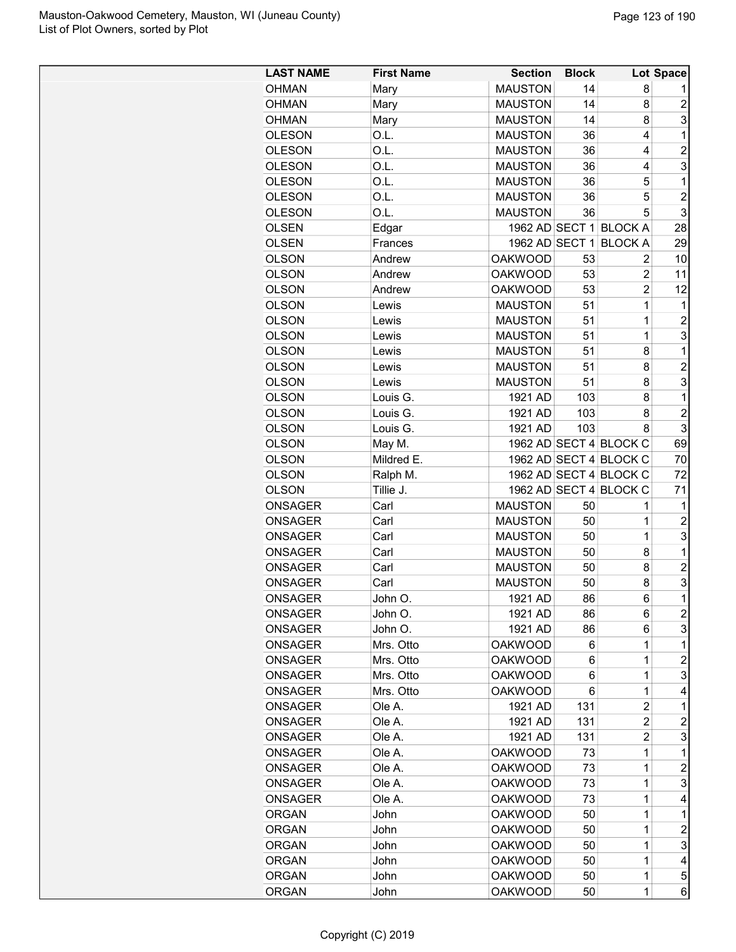| <b>LAST NAME</b> | <b>First Name</b> | <b>Section</b> | <b>Block</b> |                        | Lot Space      |
|------------------|-------------------|----------------|--------------|------------------------|----------------|
| <b>OHMAN</b>     | Mary              | <b>MAUSTON</b> | 14           | 8                      | 1              |
| <b>OHMAN</b>     | Mary              | <b>MAUSTON</b> | 14           | 8                      | $\overline{c}$ |
| OHMAN            | Mary              | <b>MAUSTON</b> | 14           | 8                      | 3              |
| <b>OLESON</b>    | O.L.              | <b>MAUSTON</b> | 36           | 4                      | 1              |
| <b>OLESON</b>    | O.L.              | <b>MAUSTON</b> | 36           | 4                      | $\overline{c}$ |
| <b>OLESON</b>    | O.L.              | <b>MAUSTON</b> | 36           | 4                      | 3              |
| <b>OLESON</b>    | O.L.              | <b>MAUSTON</b> | 36           | 5                      | 1              |
| <b>OLESON</b>    | O.L.              | <b>MAUSTON</b> | 36           | 5                      | $\overline{2}$ |
| <b>OLESON</b>    | O.L.              | <b>MAUSTON</b> | 36           | 5                      | 3              |
| <b>OLSEN</b>     | Edgar             |                |              | 1962 AD SECT 1 BLOCK A | 28             |
| <b>OLSEN</b>     | Frances           | 1962 AD SECT 1 |              | <b>BLOCK A</b>         | 29             |
| <b>OLSON</b>     | Andrew            | <b>OAKWOOD</b> | 53           | 2                      | 10             |
| <b>OLSON</b>     | Andrew            | <b>OAKWOOD</b> | 53           | 2                      | 11             |
| <b>OLSON</b>     | Andrew            | <b>OAKWOOD</b> | 53           | $\overline{2}$         | 12             |
| <b>OLSON</b>     | Lewis             | <b>MAUSTON</b> | 51           | $\mathbf 1$            | 1              |
| <b>OLSON</b>     | Lewis             | <b>MAUSTON</b> | 51           | $\overline{1}$         | $\overline{2}$ |
| OLSON            | Lewis             | <b>MAUSTON</b> | 51           | $\mathbf 1$            | 3              |
| <b>OLSON</b>     | Lewis             | <b>MAUSTON</b> | 51           | 8                      | 1              |
| <b>OLSON</b>     | Lewis             | <b>MAUSTON</b> | 51           | 8                      | $\overline{c}$ |
| <b>OLSON</b>     | Lewis             | <b>MAUSTON</b> | 51           | 8                      | 3              |
| <b>OLSON</b>     | Louis G.          | 1921 AD        | 103          | 8                      | $\mathbf 1$    |
| <b>OLSON</b>     | Louis G.          | 1921 AD        | 103          | 8                      | $\overline{c}$ |
| <b>OLSON</b>     | Louis G.          | 1921 AD        | 103          | 8                      | 3              |
| OLSON            | May M.            |                |              | 1962 AD SECT 4 BLOCK C | 69             |
| <b>OLSON</b>     | Mildred E.        |                |              | 1962 AD SECT 4 BLOCK C | 70             |
| <b>OLSON</b>     | Ralph M.          |                |              | 1962 AD SECT 4 BLOCK C | 72             |
| <b>OLSON</b>     | Tillie J.         |                |              | 1962 AD SECT 4 BLOCK C | 71             |
| <b>ONSAGER</b>   | Carl              | <b>MAUSTON</b> | 50           | 1                      | 1              |
| <b>ONSAGER</b>   | Carl              | <b>MAUSTON</b> | 50           | 1                      | $\overline{c}$ |
| ONSAGER          | Carl              | <b>MAUSTON</b> | 50           | $\mathbf 1$            | 3              |
| <b>ONSAGER</b>   | Carl              | <b>MAUSTON</b> | 50           | 8                      | 1              |
| ONSAGER          | Carl              | <b>MAUSTON</b> | 50           | 8                      | $\overline{2}$ |
| ONSAGER          | Carl              | <b>MAUSTON</b> | 50           | 8                      | 3              |
| ONSAGER          | John O.           | 1921 AD        | 86           | 6                      | $\overline{1}$ |
| ONSAGER          | John O.           | 1921 AD        | 86           | 6                      | $\overline{c}$ |
| ONSAGER          | John O.           | 1921 AD        | 86           | 6                      | 3              |
| ONSAGER          | Mrs. Otto         | <b>OAKWOOD</b> | 6            | 1                      | 1              |
| ONSAGER          | Mrs. Otto         | <b>OAKWOOD</b> | 6            | 1                      | 2              |
| ONSAGER          | Mrs. Otto         | <b>OAKWOOD</b> | 6            | $\mathbf 1$            | 3              |
| <b>ONSAGER</b>   | Mrs. Otto         | <b>OAKWOOD</b> | 6            | 1                      | 4              |
| <b>ONSAGER</b>   | Ole A.            | 1921 AD        | 131          | 2                      | 1              |
| <b>ONSAGER</b>   | Ole A.            | 1921 AD        | 131          | 2                      | $\overline{c}$ |
| <b>ONSAGER</b>   | Ole A.            | 1921 AD        | 131          | 2                      | 3              |
| <b>ONSAGER</b>   | Ole A.            | <b>OAKWOOD</b> | 73           | 1                      | 1              |
| ONSAGER          | Ole A.            | <b>OAKWOOD</b> | 73           | 1                      | 2              |
| ONSAGER          | Ole A.            | <b>OAKWOOD</b> | 73           | 1                      | 3              |
| ONSAGER          | Ole A.            | <b>OAKWOOD</b> | 73           | 1                      | 4              |
| <b>ORGAN</b>     | John              | <b>OAKWOOD</b> | 50           | 1                      | 1              |
| <b>ORGAN</b>     |                   | <b>OAKWOOD</b> | 50           | 1                      | $\overline{c}$ |
|                  | John              | <b>OAKWOOD</b> | 50           | $\mathbf 1$            | 3              |
| <b>ORGAN</b>     | John              | <b>OAKWOOD</b> | 50           | 1                      | 4              |
| <b>ORGAN</b>     | John              | <b>OAKWOOD</b> |              | 1                      |                |
| ORGAN            | John              |                | 50           |                        | 5              |
| <b>ORGAN</b>     | John              | <b>OAKWOOD</b> | 50           | 1                      | 6              |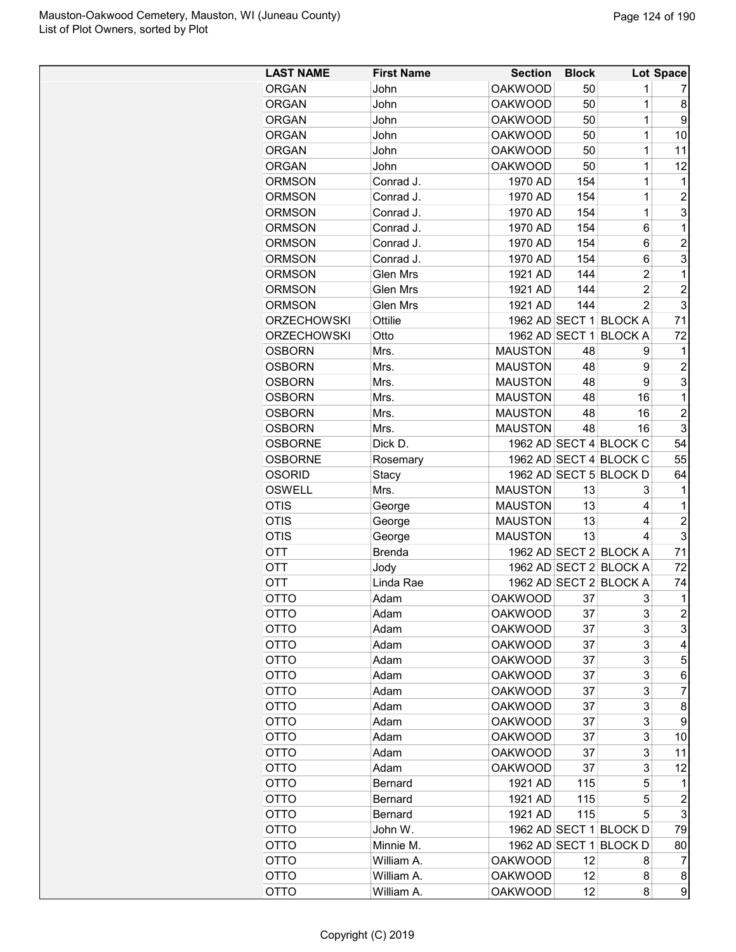| <b>LAST NAME</b>   | <b>First Name</b> | <b>Section</b> | <b>Block</b> |                        | Lot Space      |
|--------------------|-------------------|----------------|--------------|------------------------|----------------|
| <b>ORGAN</b>       | John              | <b>OAKWOOD</b> | 50           | 1                      | 7              |
| <b>ORGAN</b>       | John              | <b>OAKWOOD</b> | 50           | 1                      | 8              |
| <b>ORGAN</b>       | John              | <b>OAKWOOD</b> | 50           | 1                      | 9              |
| <b>ORGAN</b>       | John              | <b>OAKWOOD</b> | 50           | 1                      | 10             |
| <b>ORGAN</b>       | John              | <b>OAKWOOD</b> | 50           | $\mathbf 1$            | 11             |
| <b>ORGAN</b>       | John              | <b>OAKWOOD</b> | 50           | $\overline{1}$         | 12             |
| <b>ORMSON</b>      | Conrad J.         | 1970 AD        | 154          | 1                      | 1              |
| <b>ORMSON</b>      | Conrad J.         | 1970 AD        | 154          | 1                      | $\overline{2}$ |
| <b>ORMSON</b>      | Conrad J.         | 1970 AD        | 154          | $\overline{1}$         | 3              |
| <b>ORMSON</b>      | Conrad J.         | 1970 AD        | 154          | 6                      | 1              |
| <b>ORMSON</b>      | Conrad J.         | 1970 AD        | 154          | 6                      | $\overline{2}$ |
| <b>ORMSON</b>      | Conrad J.         | 1970 AD        | 154          | 6                      | 3              |
| <b>ORMSON</b>      | <b>Glen Mrs</b>   | 1921 AD        | 144          | $\overline{2}$         | 1              |
| <b>ORMSON</b>      | <b>Glen Mrs</b>   | 1921 AD        | 144          | $\overline{2}$         | $\overline{c}$ |
| <b>ORMSON</b>      | <b>Glen Mrs</b>   | 1921 AD        | 144          | $\overline{2}$         | 3              |
| <b>ORZECHOWSKI</b> | Ottilie           |                |              | 1962 AD SECT 1 BLOCK A | 71             |
| <b>ORZECHOWSKI</b> | Otto              | 1962 AD SECT 1 |              | <b>BLOCK A</b>         | 72             |
| <b>OSBORN</b>      | Mrs.              | <b>MAUSTON</b> | 48           | 9                      | 1              |
| <b>OSBORN</b>      | Mrs.              | <b>MAUSTON</b> | 48           | 9                      | $\overline{c}$ |
| <b>OSBORN</b>      | Mrs.              | <b>MAUSTON</b> | 48           | 9                      | 3              |
| <b>OSBORN</b>      | Mrs.              | <b>MAUSTON</b> | 48           | 16                     | 1              |
| <b>OSBORN</b>      | Mrs.              | <b>MAUSTON</b> | 48           | 16                     | $\overline{2}$ |
| <b>OSBORN</b>      | Mrs.              | <b>MAUSTON</b> | 48           | 16                     | 3              |
| <b>OSBORNE</b>     | Dick D.           |                |              | 1962 AD SECT 4 BLOCK C | 54             |
| <b>OSBORNE</b>     | Rosemary          |                |              | 1962 AD SECT 4 BLOCK C | 55             |
| <b>OSORID</b>      | Stacy             |                |              | 1962 AD SECT 5 BLOCK D | 64             |
| OSWELL             | Mrs.              | <b>MAUSTON</b> | 13           | 3                      | 1              |
| <b>OTIS</b>        | George            | <b>MAUSTON</b> | 13           | 4                      | 1              |
| <b>OTIS</b>        | George            | <b>MAUSTON</b> | 13           | 4                      | $\overline{c}$ |
| <b>OTIS</b>        | George            | <b>MAUSTON</b> | 13           | 4                      | 3              |
| <b>OTT</b>         | <b>Brenda</b>     |                |              | 1962 AD SECT 2 BLOCK A | 71             |
| <b>OTT</b>         | Jody              |                |              | 1962 AD SECT 2 BLOCK A | 72             |
| <b>OTT</b>         | Linda Rae         |                |              | 1962 AD SECT 2 BLOCK A | 74             |
| OTTO               | Adam              | <b>OAKWOOD</b> | 37           | 3                      | 1              |
| OTTO               | Adam              | <b>OAKWOOD</b> | 37           | 3                      | $\overline{c}$ |
| OTTO               | Adam              | <b>OAKWOOD</b> | 37           | 3                      | 3              |
| OTTO               | Adam              | <b>OAKWOOD</b> | 37           | 3                      | 4              |
| OTTO               | Adam              | <b>OAKWOOD</b> | 37           | 3                      | 5              |
| <b>OTTO</b>        | Adam              | <b>OAKWOOD</b> | 37           | 3                      | 6              |
| OTTO               | Adam              | <b>OAKWOOD</b> | 37           | 3                      | 7              |
| OTTO               | Adam              | <b>OAKWOOD</b> | 37           | 3                      | 8              |
| OTTO               | Adam              | <b>OAKWOOD</b> | 37           | 3                      | 9              |
| OTTO               | Adam              | <b>OAKWOOD</b> | 37           | 3                      | 10             |
| OTTO               | Adam              | <b>OAKWOOD</b> | 37           | 3                      | 11             |
| OTTO               | Adam              | <b>OAKWOOD</b> | 37           | 3                      | 12             |
| OTTO               | <b>Bernard</b>    | 1921 AD        | 115          | 5                      | 1              |
| OTTO               | <b>Bernard</b>    | 1921 AD        | 115          | 5                      | $\overline{c}$ |
| OTTO               | Bernard           | 1921 AD        | 115          | 5                      | 3              |
|                    | John W.           |                |              | 1962 AD SECT 1 BLOCK D | 79             |
| OTTO               | Minnie M.         |                |              | 1962 AD SECT 1 BLOCK D | 80             |
| OTTO<br>OTTO       | William A.        | <b>OAKWOOD</b> | 12           | 8                      | 7              |
| OTTO               | William A.        | <b>OAKWOOD</b> | 12           | 8                      |                |
| OTTO               | William A.        | <b>OAKWOOD</b> | 12           | 8                      | 8<br>9         |
|                    |                   |                |              |                        |                |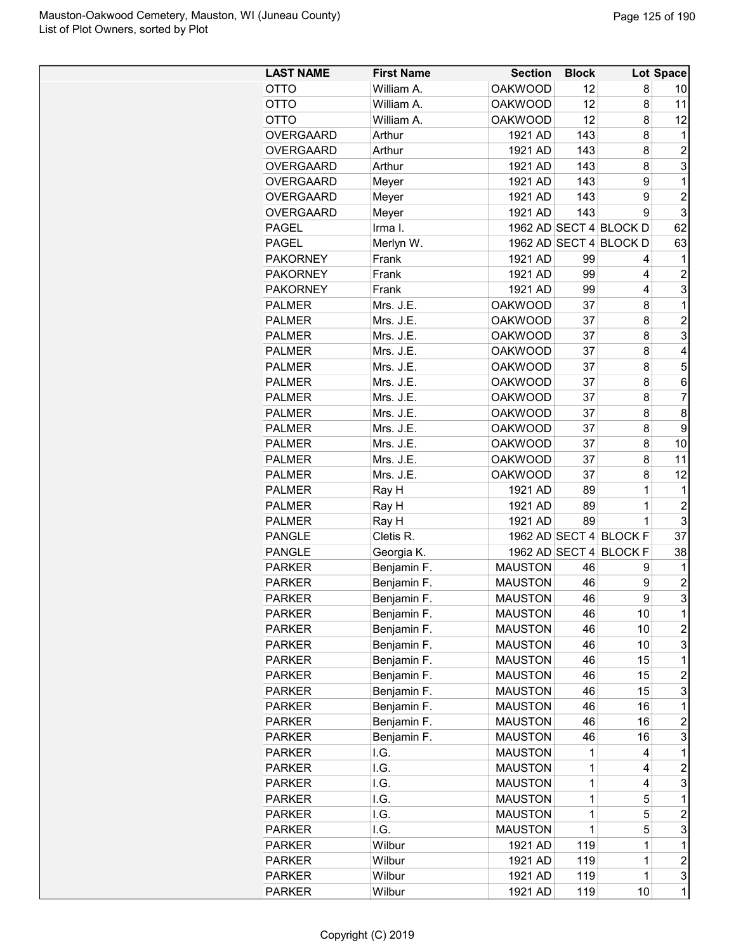| William A.<br><b>OAKWOOD</b><br>12<br>8<br><b>OTTO</b><br>10<br><b>OAKWOOD</b><br>12<br>11<br><b>OTTO</b><br>William A.<br>8<br><b>OAKWOOD</b><br>12<br>8<br>12<br>OTTO<br>William A.<br>143<br>8<br><b>OVERGAARD</b><br>1921 AD<br>Arthur<br>1<br>$\overline{c}$<br>143<br><b>OVERGAARD</b><br>Arthur<br>1921 AD<br>8<br>3<br><b>OVERGAARD</b><br>Arthur<br>1921 AD<br>143<br>8<br>9<br><b>OVERGAARD</b><br>1921 AD<br>143<br>1<br>Meyer<br>$\overline{2}$<br>9<br>1921 AD<br>143<br><b>OVERGAARD</b><br>Meyer<br>3<br>9<br><b>OVERGAARD</b><br>1921 AD<br>143<br>Meyer<br>1962 AD SECT 4 BLOCK D<br>62<br>Irma I.<br><b>PAGEL</b><br>63<br><b>PAGEL</b><br>Merlyn W.<br>1962 AD SECT 4 BLOCK D<br><b>PAKORNEY</b><br>Frank<br>1921 AD<br>99<br>1<br>4<br><b>PAKORNEY</b><br>1921 AD<br>99<br>$\overline{c}$<br>Frank<br>4<br>3<br><b>PAKORNEY</b><br>Frank<br>1921 AD<br>99<br>4<br>$\mathbf 1$<br>Mrs. J.E.<br><b>OAKWOOD</b><br>37<br><b>PALMER</b><br>8<br>$\overline{2}$<br>Mrs. J.E.<br><b>OAKWOOD</b><br>8<br><b>PALMER</b><br>37<br>3<br><b>OAKWOOD</b><br>37<br>8<br><b>PALMER</b><br>Mrs. J.E.<br><b>OAKWOOD</b><br>37<br>8<br>4<br><b>PALMER</b><br>Mrs. J.E.<br>5<br><b>OAKWOOD</b><br><b>PALMER</b><br>Mrs. J.E.<br>37<br>8<br><b>PALMER</b><br>Mrs. J.E.<br><b>OAKWOOD</b><br>37<br>8<br>6<br>$\overline{7}$<br><b>PALMER</b><br><b>OAKWOOD</b><br>37<br>8<br>Mrs. J.E.<br>8<br><b>PALMER</b><br>Mrs. J.E.<br><b>OAKWOOD</b><br>37<br>8<br>9<br>Mrs. J.E.<br><b>OAKWOOD</b><br>37<br>8<br><b>PALMER</b><br>Mrs. J.E.<br><b>OAKWOOD</b><br>37<br>8<br>10<br><b>PALMER</b><br>Mrs. J.E.<br><b>OAKWOOD</b><br>37<br>8<br>11<br><b>PALMER</b><br>37<br>12<br><b>PALMER</b><br>Mrs. J.E.<br><b>OAKWOOD</b><br>8<br>1921 AD<br>89<br><b>PALMER</b><br>Ray H<br>1<br>1<br>$\overline{c}$<br><b>PALMER</b><br>1921 AD<br>89<br>Ray H<br>1<br>3<br>1921 AD<br>89<br>$\mathbf 1$<br><b>PALMER</b><br>Ray H<br>1962 AD SECT 4 BLOCK F<br>37<br>Cletis R.<br><b>PANGLE</b><br><b>PANGLE</b><br>1962 AD SECT 4<br><b>BLOCK F</b><br>38<br>Georgia K.<br>Benjamin F.<br><b>MAUSTON</b><br><b>PARKER</b><br>46<br>1<br>9<br>Benjamin F.<br><b>MAUSTON</b><br>46<br>$\overline{c}$<br><b>PARKER</b><br>9<br>3<br>9<br><b>MAUSTON</b><br>46<br><b>PARKER</b><br>Benjamin F<br>1<br><b>PARKER</b><br>Benjamin F.<br><b>MAUSTON</b><br>46<br>10<br>Benjamin F.<br>46<br>10<br>2<br><b>PARKER</b><br><b>MAUSTON</b><br>3<br>Benjamin F.<br>46<br>10<br><b>PARKER</b><br><b>MAUSTON</b><br>15<br>1<br>Benjamin F.<br>46<br><b>PARKER</b><br><b>MAUSTON</b><br>Benjamin F.<br>46<br>15<br>$\overline{c}$<br><b>PARKER</b><br><b>MAUSTON</b><br>3<br>Benjamin F.<br><b>MAUSTON</b><br>46<br>15<br><b>PARKER</b><br>Benjamin F.<br><b>PARKER</b><br><b>MAUSTON</b><br>46<br>16<br>1<br>Benjamin F.<br>2<br><b>PARKER</b><br><b>MAUSTON</b><br>46<br>16<br>3<br>Benjamin F.<br><b>PARKER</b><br><b>MAUSTON</b><br>46<br>16<br>1<br><b>PARKER</b><br>I.G.<br><b>MAUSTON</b><br>1<br>4<br>$\overline{\mathbf{c}}$<br>1<br>I.G.<br><b>MAUSTON</b><br>4<br><b>PARKER</b><br>3<br>I.G.<br><b>MAUSTON</b><br>1<br><b>PARKER</b><br>4<br>1<br>I.G.<br>5<br><b>PARKER</b><br>MAUSTON<br>1<br>1<br>$\overline{c}$<br><b>PARKER</b><br>I.G.<br><b>MAUSTON</b><br>5<br>3<br><b>PARKER</b><br>I.G.<br><b>MAUSTON</b><br>1<br>5<br>119<br>1<br>Wilbur<br>1921 AD<br>1<br><b>PARKER</b><br>$\overline{c}$<br>119<br>1<br>Wilbur<br>1921 AD<br><b>PARKER</b><br>3<br>1<br>Wilbur<br>1921 AD<br>119<br><b>PARKER</b> | <b>LAST NAME</b> | <b>First Name</b> | <b>Section</b> | <b>Block</b> |    | Lot Space      |
|--------------------------------------------------------------------------------------------------------------------------------------------------------------------------------------------------------------------------------------------------------------------------------------------------------------------------------------------------------------------------------------------------------------------------------------------------------------------------------------------------------------------------------------------------------------------------------------------------------------------------------------------------------------------------------------------------------------------------------------------------------------------------------------------------------------------------------------------------------------------------------------------------------------------------------------------------------------------------------------------------------------------------------------------------------------------------------------------------------------------------------------------------------------------------------------------------------------------------------------------------------------------------------------------------------------------------------------------------------------------------------------------------------------------------------------------------------------------------------------------------------------------------------------------------------------------------------------------------------------------------------------------------------------------------------------------------------------------------------------------------------------------------------------------------------------------------------------------------------------------------------------------------------------------------------------------------------------------------------------------------------------------------------------------------------------------------------------------------------------------------------------------------------------------------------------------------------------------------------------------------------------------------------------------------------------------------------------------------------------------------------------------------------------------------------------------------------------------------------------------------------------------------------------------------------------------------------------------------------------------------------------------------------------------------------------------------------------------------------------------------------------------------------------------------------------------------------------------------------------------------------------------------------------------------------------------------------------------------------------------------------------------------------------------------------------------------------------------------------------------------------------------------------------------------------------------------------------------------------------------------------------------------------------------------------------------------------------------------------------------------------------------------------------------------------------------------------------------------------------------|------------------|-------------------|----------------|--------------|----|----------------|
|                                                                                                                                                                                                                                                                                                                                                                                                                                                                                                                                                                                                                                                                                                                                                                                                                                                                                                                                                                                                                                                                                                                                                                                                                                                                                                                                                                                                                                                                                                                                                                                                                                                                                                                                                                                                                                                                                                                                                                                                                                                                                                                                                                                                                                                                                                                                                                                                                                                                                                                                                                                                                                                                                                                                                                                                                                                                                                                                                                                                                                                                                                                                                                                                                                                                                                                                                                                                                                                                                            |                  |                   |                |              |    |                |
|                                                                                                                                                                                                                                                                                                                                                                                                                                                                                                                                                                                                                                                                                                                                                                                                                                                                                                                                                                                                                                                                                                                                                                                                                                                                                                                                                                                                                                                                                                                                                                                                                                                                                                                                                                                                                                                                                                                                                                                                                                                                                                                                                                                                                                                                                                                                                                                                                                                                                                                                                                                                                                                                                                                                                                                                                                                                                                                                                                                                                                                                                                                                                                                                                                                                                                                                                                                                                                                                                            |                  |                   |                |              |    |                |
|                                                                                                                                                                                                                                                                                                                                                                                                                                                                                                                                                                                                                                                                                                                                                                                                                                                                                                                                                                                                                                                                                                                                                                                                                                                                                                                                                                                                                                                                                                                                                                                                                                                                                                                                                                                                                                                                                                                                                                                                                                                                                                                                                                                                                                                                                                                                                                                                                                                                                                                                                                                                                                                                                                                                                                                                                                                                                                                                                                                                                                                                                                                                                                                                                                                                                                                                                                                                                                                                                            |                  |                   |                |              |    |                |
|                                                                                                                                                                                                                                                                                                                                                                                                                                                                                                                                                                                                                                                                                                                                                                                                                                                                                                                                                                                                                                                                                                                                                                                                                                                                                                                                                                                                                                                                                                                                                                                                                                                                                                                                                                                                                                                                                                                                                                                                                                                                                                                                                                                                                                                                                                                                                                                                                                                                                                                                                                                                                                                                                                                                                                                                                                                                                                                                                                                                                                                                                                                                                                                                                                                                                                                                                                                                                                                                                            |                  |                   |                |              |    |                |
|                                                                                                                                                                                                                                                                                                                                                                                                                                                                                                                                                                                                                                                                                                                                                                                                                                                                                                                                                                                                                                                                                                                                                                                                                                                                                                                                                                                                                                                                                                                                                                                                                                                                                                                                                                                                                                                                                                                                                                                                                                                                                                                                                                                                                                                                                                                                                                                                                                                                                                                                                                                                                                                                                                                                                                                                                                                                                                                                                                                                                                                                                                                                                                                                                                                                                                                                                                                                                                                                                            |                  |                   |                |              |    |                |
|                                                                                                                                                                                                                                                                                                                                                                                                                                                                                                                                                                                                                                                                                                                                                                                                                                                                                                                                                                                                                                                                                                                                                                                                                                                                                                                                                                                                                                                                                                                                                                                                                                                                                                                                                                                                                                                                                                                                                                                                                                                                                                                                                                                                                                                                                                                                                                                                                                                                                                                                                                                                                                                                                                                                                                                                                                                                                                                                                                                                                                                                                                                                                                                                                                                                                                                                                                                                                                                                                            |                  |                   |                |              |    |                |
|                                                                                                                                                                                                                                                                                                                                                                                                                                                                                                                                                                                                                                                                                                                                                                                                                                                                                                                                                                                                                                                                                                                                                                                                                                                                                                                                                                                                                                                                                                                                                                                                                                                                                                                                                                                                                                                                                                                                                                                                                                                                                                                                                                                                                                                                                                                                                                                                                                                                                                                                                                                                                                                                                                                                                                                                                                                                                                                                                                                                                                                                                                                                                                                                                                                                                                                                                                                                                                                                                            |                  |                   |                |              |    |                |
|                                                                                                                                                                                                                                                                                                                                                                                                                                                                                                                                                                                                                                                                                                                                                                                                                                                                                                                                                                                                                                                                                                                                                                                                                                                                                                                                                                                                                                                                                                                                                                                                                                                                                                                                                                                                                                                                                                                                                                                                                                                                                                                                                                                                                                                                                                                                                                                                                                                                                                                                                                                                                                                                                                                                                                                                                                                                                                                                                                                                                                                                                                                                                                                                                                                                                                                                                                                                                                                                                            |                  |                   |                |              |    |                |
|                                                                                                                                                                                                                                                                                                                                                                                                                                                                                                                                                                                                                                                                                                                                                                                                                                                                                                                                                                                                                                                                                                                                                                                                                                                                                                                                                                                                                                                                                                                                                                                                                                                                                                                                                                                                                                                                                                                                                                                                                                                                                                                                                                                                                                                                                                                                                                                                                                                                                                                                                                                                                                                                                                                                                                                                                                                                                                                                                                                                                                                                                                                                                                                                                                                                                                                                                                                                                                                                                            |                  |                   |                |              |    |                |
|                                                                                                                                                                                                                                                                                                                                                                                                                                                                                                                                                                                                                                                                                                                                                                                                                                                                                                                                                                                                                                                                                                                                                                                                                                                                                                                                                                                                                                                                                                                                                                                                                                                                                                                                                                                                                                                                                                                                                                                                                                                                                                                                                                                                                                                                                                                                                                                                                                                                                                                                                                                                                                                                                                                                                                                                                                                                                                                                                                                                                                                                                                                                                                                                                                                                                                                                                                                                                                                                                            |                  |                   |                |              |    |                |
|                                                                                                                                                                                                                                                                                                                                                                                                                                                                                                                                                                                                                                                                                                                                                                                                                                                                                                                                                                                                                                                                                                                                                                                                                                                                                                                                                                                                                                                                                                                                                                                                                                                                                                                                                                                                                                                                                                                                                                                                                                                                                                                                                                                                                                                                                                                                                                                                                                                                                                                                                                                                                                                                                                                                                                                                                                                                                                                                                                                                                                                                                                                                                                                                                                                                                                                                                                                                                                                                                            |                  |                   |                |              |    |                |
|                                                                                                                                                                                                                                                                                                                                                                                                                                                                                                                                                                                                                                                                                                                                                                                                                                                                                                                                                                                                                                                                                                                                                                                                                                                                                                                                                                                                                                                                                                                                                                                                                                                                                                                                                                                                                                                                                                                                                                                                                                                                                                                                                                                                                                                                                                                                                                                                                                                                                                                                                                                                                                                                                                                                                                                                                                                                                                                                                                                                                                                                                                                                                                                                                                                                                                                                                                                                                                                                                            |                  |                   |                |              |    |                |
|                                                                                                                                                                                                                                                                                                                                                                                                                                                                                                                                                                                                                                                                                                                                                                                                                                                                                                                                                                                                                                                                                                                                                                                                                                                                                                                                                                                                                                                                                                                                                                                                                                                                                                                                                                                                                                                                                                                                                                                                                                                                                                                                                                                                                                                                                                                                                                                                                                                                                                                                                                                                                                                                                                                                                                                                                                                                                                                                                                                                                                                                                                                                                                                                                                                                                                                                                                                                                                                                                            |                  |                   |                |              |    |                |
|                                                                                                                                                                                                                                                                                                                                                                                                                                                                                                                                                                                                                                                                                                                                                                                                                                                                                                                                                                                                                                                                                                                                                                                                                                                                                                                                                                                                                                                                                                                                                                                                                                                                                                                                                                                                                                                                                                                                                                                                                                                                                                                                                                                                                                                                                                                                                                                                                                                                                                                                                                                                                                                                                                                                                                                                                                                                                                                                                                                                                                                                                                                                                                                                                                                                                                                                                                                                                                                                                            |                  |                   |                |              |    |                |
|                                                                                                                                                                                                                                                                                                                                                                                                                                                                                                                                                                                                                                                                                                                                                                                                                                                                                                                                                                                                                                                                                                                                                                                                                                                                                                                                                                                                                                                                                                                                                                                                                                                                                                                                                                                                                                                                                                                                                                                                                                                                                                                                                                                                                                                                                                                                                                                                                                                                                                                                                                                                                                                                                                                                                                                                                                                                                                                                                                                                                                                                                                                                                                                                                                                                                                                                                                                                                                                                                            |                  |                   |                |              |    |                |
|                                                                                                                                                                                                                                                                                                                                                                                                                                                                                                                                                                                                                                                                                                                                                                                                                                                                                                                                                                                                                                                                                                                                                                                                                                                                                                                                                                                                                                                                                                                                                                                                                                                                                                                                                                                                                                                                                                                                                                                                                                                                                                                                                                                                                                                                                                                                                                                                                                                                                                                                                                                                                                                                                                                                                                                                                                                                                                                                                                                                                                                                                                                                                                                                                                                                                                                                                                                                                                                                                            |                  |                   |                |              |    |                |
|                                                                                                                                                                                                                                                                                                                                                                                                                                                                                                                                                                                                                                                                                                                                                                                                                                                                                                                                                                                                                                                                                                                                                                                                                                                                                                                                                                                                                                                                                                                                                                                                                                                                                                                                                                                                                                                                                                                                                                                                                                                                                                                                                                                                                                                                                                                                                                                                                                                                                                                                                                                                                                                                                                                                                                                                                                                                                                                                                                                                                                                                                                                                                                                                                                                                                                                                                                                                                                                                                            |                  |                   |                |              |    |                |
|                                                                                                                                                                                                                                                                                                                                                                                                                                                                                                                                                                                                                                                                                                                                                                                                                                                                                                                                                                                                                                                                                                                                                                                                                                                                                                                                                                                                                                                                                                                                                                                                                                                                                                                                                                                                                                                                                                                                                                                                                                                                                                                                                                                                                                                                                                                                                                                                                                                                                                                                                                                                                                                                                                                                                                                                                                                                                                                                                                                                                                                                                                                                                                                                                                                                                                                                                                                                                                                                                            |                  |                   |                |              |    |                |
|                                                                                                                                                                                                                                                                                                                                                                                                                                                                                                                                                                                                                                                                                                                                                                                                                                                                                                                                                                                                                                                                                                                                                                                                                                                                                                                                                                                                                                                                                                                                                                                                                                                                                                                                                                                                                                                                                                                                                                                                                                                                                                                                                                                                                                                                                                                                                                                                                                                                                                                                                                                                                                                                                                                                                                                                                                                                                                                                                                                                                                                                                                                                                                                                                                                                                                                                                                                                                                                                                            |                  |                   |                |              |    |                |
|                                                                                                                                                                                                                                                                                                                                                                                                                                                                                                                                                                                                                                                                                                                                                                                                                                                                                                                                                                                                                                                                                                                                                                                                                                                                                                                                                                                                                                                                                                                                                                                                                                                                                                                                                                                                                                                                                                                                                                                                                                                                                                                                                                                                                                                                                                                                                                                                                                                                                                                                                                                                                                                                                                                                                                                                                                                                                                                                                                                                                                                                                                                                                                                                                                                                                                                                                                                                                                                                                            |                  |                   |                |              |    |                |
|                                                                                                                                                                                                                                                                                                                                                                                                                                                                                                                                                                                                                                                                                                                                                                                                                                                                                                                                                                                                                                                                                                                                                                                                                                                                                                                                                                                                                                                                                                                                                                                                                                                                                                                                                                                                                                                                                                                                                                                                                                                                                                                                                                                                                                                                                                                                                                                                                                                                                                                                                                                                                                                                                                                                                                                                                                                                                                                                                                                                                                                                                                                                                                                                                                                                                                                                                                                                                                                                                            |                  |                   |                |              |    |                |
|                                                                                                                                                                                                                                                                                                                                                                                                                                                                                                                                                                                                                                                                                                                                                                                                                                                                                                                                                                                                                                                                                                                                                                                                                                                                                                                                                                                                                                                                                                                                                                                                                                                                                                                                                                                                                                                                                                                                                                                                                                                                                                                                                                                                                                                                                                                                                                                                                                                                                                                                                                                                                                                                                                                                                                                                                                                                                                                                                                                                                                                                                                                                                                                                                                                                                                                                                                                                                                                                                            |                  |                   |                |              |    |                |
|                                                                                                                                                                                                                                                                                                                                                                                                                                                                                                                                                                                                                                                                                                                                                                                                                                                                                                                                                                                                                                                                                                                                                                                                                                                                                                                                                                                                                                                                                                                                                                                                                                                                                                                                                                                                                                                                                                                                                                                                                                                                                                                                                                                                                                                                                                                                                                                                                                                                                                                                                                                                                                                                                                                                                                                                                                                                                                                                                                                                                                                                                                                                                                                                                                                                                                                                                                                                                                                                                            |                  |                   |                |              |    |                |
|                                                                                                                                                                                                                                                                                                                                                                                                                                                                                                                                                                                                                                                                                                                                                                                                                                                                                                                                                                                                                                                                                                                                                                                                                                                                                                                                                                                                                                                                                                                                                                                                                                                                                                                                                                                                                                                                                                                                                                                                                                                                                                                                                                                                                                                                                                                                                                                                                                                                                                                                                                                                                                                                                                                                                                                                                                                                                                                                                                                                                                                                                                                                                                                                                                                                                                                                                                                                                                                                                            |                  |                   |                |              |    |                |
|                                                                                                                                                                                                                                                                                                                                                                                                                                                                                                                                                                                                                                                                                                                                                                                                                                                                                                                                                                                                                                                                                                                                                                                                                                                                                                                                                                                                                                                                                                                                                                                                                                                                                                                                                                                                                                                                                                                                                                                                                                                                                                                                                                                                                                                                                                                                                                                                                                                                                                                                                                                                                                                                                                                                                                                                                                                                                                                                                                                                                                                                                                                                                                                                                                                                                                                                                                                                                                                                                            |                  |                   |                |              |    |                |
|                                                                                                                                                                                                                                                                                                                                                                                                                                                                                                                                                                                                                                                                                                                                                                                                                                                                                                                                                                                                                                                                                                                                                                                                                                                                                                                                                                                                                                                                                                                                                                                                                                                                                                                                                                                                                                                                                                                                                                                                                                                                                                                                                                                                                                                                                                                                                                                                                                                                                                                                                                                                                                                                                                                                                                                                                                                                                                                                                                                                                                                                                                                                                                                                                                                                                                                                                                                                                                                                                            |                  |                   |                |              |    |                |
|                                                                                                                                                                                                                                                                                                                                                                                                                                                                                                                                                                                                                                                                                                                                                                                                                                                                                                                                                                                                                                                                                                                                                                                                                                                                                                                                                                                                                                                                                                                                                                                                                                                                                                                                                                                                                                                                                                                                                                                                                                                                                                                                                                                                                                                                                                                                                                                                                                                                                                                                                                                                                                                                                                                                                                                                                                                                                                                                                                                                                                                                                                                                                                                                                                                                                                                                                                                                                                                                                            |                  |                   |                |              |    |                |
|                                                                                                                                                                                                                                                                                                                                                                                                                                                                                                                                                                                                                                                                                                                                                                                                                                                                                                                                                                                                                                                                                                                                                                                                                                                                                                                                                                                                                                                                                                                                                                                                                                                                                                                                                                                                                                                                                                                                                                                                                                                                                                                                                                                                                                                                                                                                                                                                                                                                                                                                                                                                                                                                                                                                                                                                                                                                                                                                                                                                                                                                                                                                                                                                                                                                                                                                                                                                                                                                                            |                  |                   |                |              |    |                |
|                                                                                                                                                                                                                                                                                                                                                                                                                                                                                                                                                                                                                                                                                                                                                                                                                                                                                                                                                                                                                                                                                                                                                                                                                                                                                                                                                                                                                                                                                                                                                                                                                                                                                                                                                                                                                                                                                                                                                                                                                                                                                                                                                                                                                                                                                                                                                                                                                                                                                                                                                                                                                                                                                                                                                                                                                                                                                                                                                                                                                                                                                                                                                                                                                                                                                                                                                                                                                                                                                            |                  |                   |                |              |    |                |
|                                                                                                                                                                                                                                                                                                                                                                                                                                                                                                                                                                                                                                                                                                                                                                                                                                                                                                                                                                                                                                                                                                                                                                                                                                                                                                                                                                                                                                                                                                                                                                                                                                                                                                                                                                                                                                                                                                                                                                                                                                                                                                                                                                                                                                                                                                                                                                                                                                                                                                                                                                                                                                                                                                                                                                                                                                                                                                                                                                                                                                                                                                                                                                                                                                                                                                                                                                                                                                                                                            |                  |                   |                |              |    |                |
|                                                                                                                                                                                                                                                                                                                                                                                                                                                                                                                                                                                                                                                                                                                                                                                                                                                                                                                                                                                                                                                                                                                                                                                                                                                                                                                                                                                                                                                                                                                                                                                                                                                                                                                                                                                                                                                                                                                                                                                                                                                                                                                                                                                                                                                                                                                                                                                                                                                                                                                                                                                                                                                                                                                                                                                                                                                                                                                                                                                                                                                                                                                                                                                                                                                                                                                                                                                                                                                                                            |                  |                   |                |              |    |                |
|                                                                                                                                                                                                                                                                                                                                                                                                                                                                                                                                                                                                                                                                                                                                                                                                                                                                                                                                                                                                                                                                                                                                                                                                                                                                                                                                                                                                                                                                                                                                                                                                                                                                                                                                                                                                                                                                                                                                                                                                                                                                                                                                                                                                                                                                                                                                                                                                                                                                                                                                                                                                                                                                                                                                                                                                                                                                                                                                                                                                                                                                                                                                                                                                                                                                                                                                                                                                                                                                                            |                  |                   |                |              |    |                |
|                                                                                                                                                                                                                                                                                                                                                                                                                                                                                                                                                                                                                                                                                                                                                                                                                                                                                                                                                                                                                                                                                                                                                                                                                                                                                                                                                                                                                                                                                                                                                                                                                                                                                                                                                                                                                                                                                                                                                                                                                                                                                                                                                                                                                                                                                                                                                                                                                                                                                                                                                                                                                                                                                                                                                                                                                                                                                                                                                                                                                                                                                                                                                                                                                                                                                                                                                                                                                                                                                            |                  |                   |                |              |    |                |
|                                                                                                                                                                                                                                                                                                                                                                                                                                                                                                                                                                                                                                                                                                                                                                                                                                                                                                                                                                                                                                                                                                                                                                                                                                                                                                                                                                                                                                                                                                                                                                                                                                                                                                                                                                                                                                                                                                                                                                                                                                                                                                                                                                                                                                                                                                                                                                                                                                                                                                                                                                                                                                                                                                                                                                                                                                                                                                                                                                                                                                                                                                                                                                                                                                                                                                                                                                                                                                                                                            |                  |                   |                |              |    |                |
|                                                                                                                                                                                                                                                                                                                                                                                                                                                                                                                                                                                                                                                                                                                                                                                                                                                                                                                                                                                                                                                                                                                                                                                                                                                                                                                                                                                                                                                                                                                                                                                                                                                                                                                                                                                                                                                                                                                                                                                                                                                                                                                                                                                                                                                                                                                                                                                                                                                                                                                                                                                                                                                                                                                                                                                                                                                                                                                                                                                                                                                                                                                                                                                                                                                                                                                                                                                                                                                                                            |                  |                   |                |              |    |                |
|                                                                                                                                                                                                                                                                                                                                                                                                                                                                                                                                                                                                                                                                                                                                                                                                                                                                                                                                                                                                                                                                                                                                                                                                                                                                                                                                                                                                                                                                                                                                                                                                                                                                                                                                                                                                                                                                                                                                                                                                                                                                                                                                                                                                                                                                                                                                                                                                                                                                                                                                                                                                                                                                                                                                                                                                                                                                                                                                                                                                                                                                                                                                                                                                                                                                                                                                                                                                                                                                                            |                  |                   |                |              |    |                |
|                                                                                                                                                                                                                                                                                                                                                                                                                                                                                                                                                                                                                                                                                                                                                                                                                                                                                                                                                                                                                                                                                                                                                                                                                                                                                                                                                                                                                                                                                                                                                                                                                                                                                                                                                                                                                                                                                                                                                                                                                                                                                                                                                                                                                                                                                                                                                                                                                                                                                                                                                                                                                                                                                                                                                                                                                                                                                                                                                                                                                                                                                                                                                                                                                                                                                                                                                                                                                                                                                            |                  |                   |                |              |    |                |
|                                                                                                                                                                                                                                                                                                                                                                                                                                                                                                                                                                                                                                                                                                                                                                                                                                                                                                                                                                                                                                                                                                                                                                                                                                                                                                                                                                                                                                                                                                                                                                                                                                                                                                                                                                                                                                                                                                                                                                                                                                                                                                                                                                                                                                                                                                                                                                                                                                                                                                                                                                                                                                                                                                                                                                                                                                                                                                                                                                                                                                                                                                                                                                                                                                                                                                                                                                                                                                                                                            |                  |                   |                |              |    |                |
|                                                                                                                                                                                                                                                                                                                                                                                                                                                                                                                                                                                                                                                                                                                                                                                                                                                                                                                                                                                                                                                                                                                                                                                                                                                                                                                                                                                                                                                                                                                                                                                                                                                                                                                                                                                                                                                                                                                                                                                                                                                                                                                                                                                                                                                                                                                                                                                                                                                                                                                                                                                                                                                                                                                                                                                                                                                                                                                                                                                                                                                                                                                                                                                                                                                                                                                                                                                                                                                                                            |                  |                   |                |              |    |                |
|                                                                                                                                                                                                                                                                                                                                                                                                                                                                                                                                                                                                                                                                                                                                                                                                                                                                                                                                                                                                                                                                                                                                                                                                                                                                                                                                                                                                                                                                                                                                                                                                                                                                                                                                                                                                                                                                                                                                                                                                                                                                                                                                                                                                                                                                                                                                                                                                                                                                                                                                                                                                                                                                                                                                                                                                                                                                                                                                                                                                                                                                                                                                                                                                                                                                                                                                                                                                                                                                                            |                  |                   |                |              |    |                |
|                                                                                                                                                                                                                                                                                                                                                                                                                                                                                                                                                                                                                                                                                                                                                                                                                                                                                                                                                                                                                                                                                                                                                                                                                                                                                                                                                                                                                                                                                                                                                                                                                                                                                                                                                                                                                                                                                                                                                                                                                                                                                                                                                                                                                                                                                                                                                                                                                                                                                                                                                                                                                                                                                                                                                                                                                                                                                                                                                                                                                                                                                                                                                                                                                                                                                                                                                                                                                                                                                            |                  |                   |                |              |    |                |
|                                                                                                                                                                                                                                                                                                                                                                                                                                                                                                                                                                                                                                                                                                                                                                                                                                                                                                                                                                                                                                                                                                                                                                                                                                                                                                                                                                                                                                                                                                                                                                                                                                                                                                                                                                                                                                                                                                                                                                                                                                                                                                                                                                                                                                                                                                                                                                                                                                                                                                                                                                                                                                                                                                                                                                                                                                                                                                                                                                                                                                                                                                                                                                                                                                                                                                                                                                                                                                                                                            |                  |                   |                |              |    |                |
|                                                                                                                                                                                                                                                                                                                                                                                                                                                                                                                                                                                                                                                                                                                                                                                                                                                                                                                                                                                                                                                                                                                                                                                                                                                                                                                                                                                                                                                                                                                                                                                                                                                                                                                                                                                                                                                                                                                                                                                                                                                                                                                                                                                                                                                                                                                                                                                                                                                                                                                                                                                                                                                                                                                                                                                                                                                                                                                                                                                                                                                                                                                                                                                                                                                                                                                                                                                                                                                                                            |                  |                   |                |              |    |                |
|                                                                                                                                                                                                                                                                                                                                                                                                                                                                                                                                                                                                                                                                                                                                                                                                                                                                                                                                                                                                                                                                                                                                                                                                                                                                                                                                                                                                                                                                                                                                                                                                                                                                                                                                                                                                                                                                                                                                                                                                                                                                                                                                                                                                                                                                                                                                                                                                                                                                                                                                                                                                                                                                                                                                                                                                                                                                                                                                                                                                                                                                                                                                                                                                                                                                                                                                                                                                                                                                                            |                  |                   |                |              |    |                |
|                                                                                                                                                                                                                                                                                                                                                                                                                                                                                                                                                                                                                                                                                                                                                                                                                                                                                                                                                                                                                                                                                                                                                                                                                                                                                                                                                                                                                                                                                                                                                                                                                                                                                                                                                                                                                                                                                                                                                                                                                                                                                                                                                                                                                                                                                                                                                                                                                                                                                                                                                                                                                                                                                                                                                                                                                                                                                                                                                                                                                                                                                                                                                                                                                                                                                                                                                                                                                                                                                            |                  |                   |                |              |    |                |
|                                                                                                                                                                                                                                                                                                                                                                                                                                                                                                                                                                                                                                                                                                                                                                                                                                                                                                                                                                                                                                                                                                                                                                                                                                                                                                                                                                                                                                                                                                                                                                                                                                                                                                                                                                                                                                                                                                                                                                                                                                                                                                                                                                                                                                                                                                                                                                                                                                                                                                                                                                                                                                                                                                                                                                                                                                                                                                                                                                                                                                                                                                                                                                                                                                                                                                                                                                                                                                                                                            |                  |                   |                |              |    |                |
|                                                                                                                                                                                                                                                                                                                                                                                                                                                                                                                                                                                                                                                                                                                                                                                                                                                                                                                                                                                                                                                                                                                                                                                                                                                                                                                                                                                                                                                                                                                                                                                                                                                                                                                                                                                                                                                                                                                                                                                                                                                                                                                                                                                                                                                                                                                                                                                                                                                                                                                                                                                                                                                                                                                                                                                                                                                                                                                                                                                                                                                                                                                                                                                                                                                                                                                                                                                                                                                                                            |                  |                   |                |              |    |                |
|                                                                                                                                                                                                                                                                                                                                                                                                                                                                                                                                                                                                                                                                                                                                                                                                                                                                                                                                                                                                                                                                                                                                                                                                                                                                                                                                                                                                                                                                                                                                                                                                                                                                                                                                                                                                                                                                                                                                                                                                                                                                                                                                                                                                                                                                                                                                                                                                                                                                                                                                                                                                                                                                                                                                                                                                                                                                                                                                                                                                                                                                                                                                                                                                                                                                                                                                                                                                                                                                                            |                  |                   |                |              |    |                |
|                                                                                                                                                                                                                                                                                                                                                                                                                                                                                                                                                                                                                                                                                                                                                                                                                                                                                                                                                                                                                                                                                                                                                                                                                                                                                                                                                                                                                                                                                                                                                                                                                                                                                                                                                                                                                                                                                                                                                                                                                                                                                                                                                                                                                                                                                                                                                                                                                                                                                                                                                                                                                                                                                                                                                                                                                                                                                                                                                                                                                                                                                                                                                                                                                                                                                                                                                                                                                                                                                            |                  |                   |                |              |    |                |
|                                                                                                                                                                                                                                                                                                                                                                                                                                                                                                                                                                                                                                                                                                                                                                                                                                                                                                                                                                                                                                                                                                                                                                                                                                                                                                                                                                                                                                                                                                                                                                                                                                                                                                                                                                                                                                                                                                                                                                                                                                                                                                                                                                                                                                                                                                                                                                                                                                                                                                                                                                                                                                                                                                                                                                                                                                                                                                                                                                                                                                                                                                                                                                                                                                                                                                                                                                                                                                                                                            |                  |                   |                |              |    |                |
|                                                                                                                                                                                                                                                                                                                                                                                                                                                                                                                                                                                                                                                                                                                                                                                                                                                                                                                                                                                                                                                                                                                                                                                                                                                                                                                                                                                                                                                                                                                                                                                                                                                                                                                                                                                                                                                                                                                                                                                                                                                                                                                                                                                                                                                                                                                                                                                                                                                                                                                                                                                                                                                                                                                                                                                                                                                                                                                                                                                                                                                                                                                                                                                                                                                                                                                                                                                                                                                                                            |                  |                   |                |              |    |                |
|                                                                                                                                                                                                                                                                                                                                                                                                                                                                                                                                                                                                                                                                                                                                                                                                                                                                                                                                                                                                                                                                                                                                                                                                                                                                                                                                                                                                                                                                                                                                                                                                                                                                                                                                                                                                                                                                                                                                                                                                                                                                                                                                                                                                                                                                                                                                                                                                                                                                                                                                                                                                                                                                                                                                                                                                                                                                                                                                                                                                                                                                                                                                                                                                                                                                                                                                                                                                                                                                                            |                  |                   |                |              |    |                |
|                                                                                                                                                                                                                                                                                                                                                                                                                                                                                                                                                                                                                                                                                                                                                                                                                                                                                                                                                                                                                                                                                                                                                                                                                                                                                                                                                                                                                                                                                                                                                                                                                                                                                                                                                                                                                                                                                                                                                                                                                                                                                                                                                                                                                                                                                                                                                                                                                                                                                                                                                                                                                                                                                                                                                                                                                                                                                                                                                                                                                                                                                                                                                                                                                                                                                                                                                                                                                                                                                            | <b>PARKER</b>    | Wilbur            | 1921 AD        | 119          | 10 | $\overline{1}$ |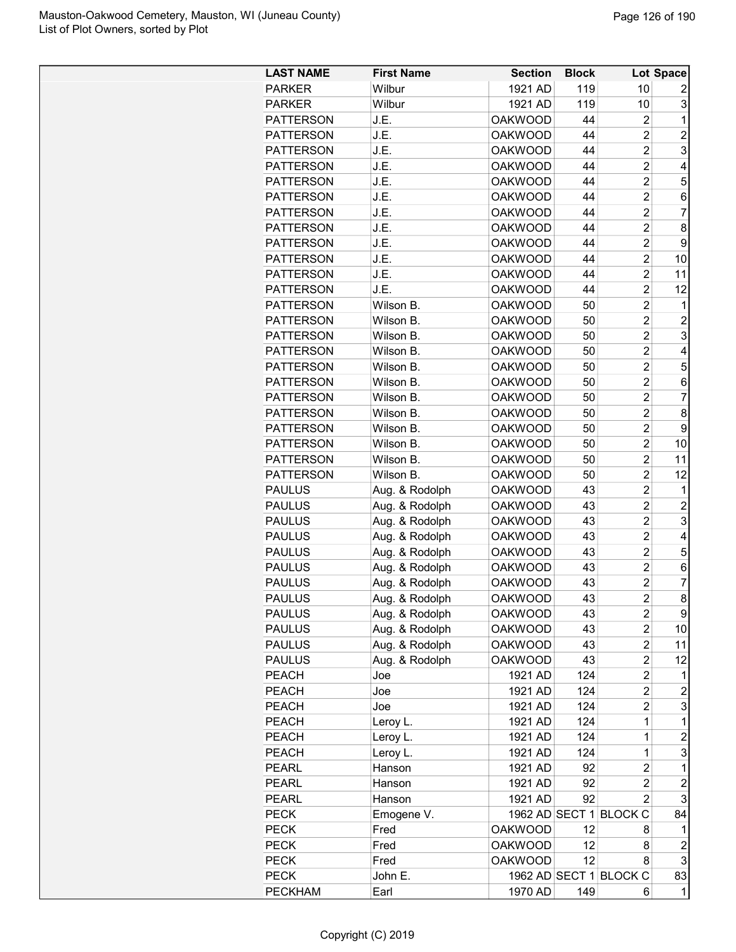| <b>LAST NAME</b> | <b>First Name</b> | <b>Section</b>     | <b>Block</b> |                        | Lot Space           |
|------------------|-------------------|--------------------|--------------|------------------------|---------------------|
| <b>PARKER</b>    | Wilbur            | 1921 AD            | 119          | 10                     | 2                   |
| <b>PARKER</b>    | Wilbur            | 1921 AD            | 119          | 10                     | 3                   |
| <b>PATTERSON</b> | J.E.              | <b>OAKWOOD</b>     | 44           | 2                      | 1                   |
| <b>PATTERSON</b> | J.E.              | <b>OAKWOOD</b>     | 44           | $\overline{c}$         | $\overline{2}$      |
| <b>PATTERSON</b> | J.E.              | <b>OAKWOOD</b>     | 44           | $\overline{c}$         | 3                   |
| <b>PATTERSON</b> | J.E.              | <b>OAKWOOD</b>     | 44           | $\overline{2}$         | 4                   |
| <b>PATTERSON</b> | J.E.              | <b>OAKWOOD</b>     | 44           | $\overline{2}$         | 5                   |
| <b>PATTERSON</b> | J.E.              | <b>OAKWOOD</b>     | 44           | $\overline{2}$         | 6                   |
| <b>PATTERSON</b> | J.E.              | <b>OAKWOOD</b>     | 44           | $\overline{2}$         | $\overline{7}$      |
| <b>PATTERSON</b> | J.E.              | <b>OAKWOOD</b>     | 44           | $\overline{c}$         | 8                   |
| <b>PATTERSON</b> | J.E.              | <b>OAKWOOD</b>     | 44           | $\overline{c}$         | 9                   |
| <b>PATTERSON</b> | J.E.              | <b>OAKWOOD</b>     | 44           | $\overline{c}$         | 10                  |
| <b>PATTERSON</b> | J.E.              | <b>OAKWOOD</b>     | 44           | $\overline{c}$         | 11                  |
| <b>PATTERSON</b> | J.E.              | <b>OAKWOOD</b>     | 44           | 2                      | 12                  |
| <b>PATTERSON</b> | Wilson B.         | <b>OAKWOOD</b>     | 50           | $\overline{2}$         | 1                   |
| PATTERSON        | Wilson B.         | <b>OAKWOOD</b>     | 50           | $\overline{2}$         | $\overline{c}$      |
| <b>PATTERSON</b> | Wilson B.         | <b>OAKWOOD</b>     | 50           | $\overline{2}$         | 3                   |
| <b>PATTERSON</b> | Wilson B.         | <b>OAKWOOD</b>     | 50           | $\overline{2}$         | 4                   |
| <b>PATTERSON</b> | Wilson B.         | <b>OAKWOOD</b>     | 50           | $\overline{c}$         | 5                   |
| <b>PATTERSON</b> | Wilson B.         | <b>OAKWOOD</b>     | 50           | $\overline{c}$         | 6                   |
| <b>PATTERSON</b> | Wilson B.         | <b>OAKWOOD</b>     | 50           | $\overline{c}$         | $\overline{7}$      |
| <b>PATTERSON</b> | Wilson B.         | <b>OAKWOOD</b>     | 50           | $\overline{c}$         | 8                   |
| <b>PATTERSON</b> | Wilson B.         | <b>OAKWOOD</b>     | 50           | $\overline{2}$         | 9                   |
| <b>PATTERSON</b> | Wilson B.         | <b>OAKWOOD</b>     | 50           | $\overline{2}$         | 10                  |
| <b>PATTERSON</b> | Wilson B.         | <b>OAKWOOD</b>     | 50           | $\overline{c}$         | 11                  |
| <b>PATTERSON</b> | Wilson B.         | <b>OAKWOOD</b>     | 50           | $\overline{c}$         | 12                  |
| <b>PAULUS</b>    | Aug. & Rodolph    | <b>OAKWOOD</b>     | 43           | $\overline{c}$         | 1                   |
| <b>PAULUS</b>    | Aug. & Rodolph    | <b>OAKWOOD</b>     | 43           | 2                      | $\overline{c}$      |
| <b>PAULUS</b>    | Aug. & Rodolph    | <b>OAKWOOD</b>     | 43           | $\overline{c}$         | 3                   |
| <b>PAULUS</b>    | Aug. & Rodolph    | <b>OAKWOOD</b>     | 43           | $\overline{2}$         | 4                   |
| <b>PAULUS</b>    | Aug. & Rodolph    | <b>OAKWOOD</b>     | 43           | $\overline{2}$         | 5                   |
| <b>PAULUS</b>    | Aug. & Rodolph    | <b>OAKWOOD</b>     | 43           | $\overline{c}$         | 6                   |
| <b>PAULUS</b>    | Aug. & Rodolph    | <b>OAKWOOD</b>     | 43           | $\overline{c}$         | 7                   |
| <b>PAULUS</b>    | Aug. & Rodolph    | <b>OAKWOOD</b>     | 43           | $\overline{2}$         | 8                   |
| <b>PAULUS</b>    | Aug. & Rodolph    | <b>OAKWOOD</b>     | 43           | 2                      | 9                   |
| <b>PAULUS</b>    | Aug. & Rodolph    | <b>OAKWOOD</b>     | 43           | 2                      | 10                  |
| <b>PAULUS</b>    | Aug. & Rodolph    | <b>OAKWOOD</b>     | 43           | $\overline{c}$         | 11                  |
| <b>PAULUS</b>    | Aug. & Rodolph    | <b>OAKWOOD</b>     | 43           | 2                      | 12                  |
| <b>PEACH</b>     | Joe               | 1921 AD            | 124          | 2                      | 1                   |
| <b>PEACH</b>     | Joe               | 1921 AD            | 124          | $\overline{c}$         | $\overline{c}$      |
| PEACH            | Joe               | 1921 AD            | 124          | 2                      | 3                   |
| PEACH            | Leroy L.          | 1921 AD            | 124          | 1                      | 1                   |
| <b>PEACH</b>     | Leroy L.          | 1921 AD            | 124          | 1                      | $\overline{2}$      |
| <b>PEACH</b>     | Leroy L.          | 1921 AD            | 124          | $\mathbf 1$            | 3                   |
| <b>PEARL</b>     | Hanson            | 1921 AD            | 92           | 2                      | 1                   |
|                  |                   |                    |              |                        |                     |
| <b>PEARL</b>     | Hanson            | 1921 AD<br>1921 AD | 92<br>92     | 2<br>$\overline{c}$    | $\overline{c}$<br>3 |
| <b>PEARL</b>     | Hanson            |                    |              |                        |                     |
| <b>PECK</b>      | Emogene V.        |                    |              | 1962 AD SECT 1 BLOCK C | 84                  |
| <b>PECK</b>      | Fred              | <b>OAKWOOD</b>     | 12           | 8                      | 1                   |
| <b>PECK</b>      | Fred              | <b>OAKWOOD</b>     | 12           | 8                      | $\overline{c}$      |
| <b>PECK</b>      | Fred              | <b>OAKWOOD</b>     | 12           | 8                      | 3                   |
| <b>PECK</b>      | John E.           |                    |              | 1962 AD SECT 1 BLOCK C | 83                  |
| <b>PECKHAM</b>   | Earl              | 1970 AD            | 149          | 6                      | $\mathbf 1$         |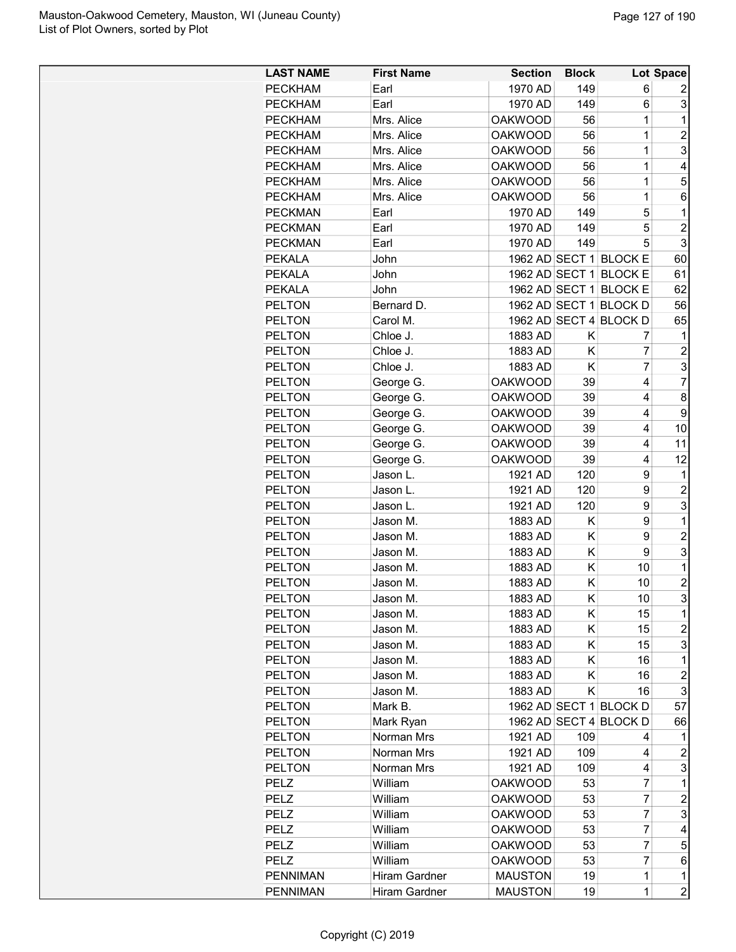| <b>LAST NAME</b> | <b>First Name</b> | <b>Section</b> | <b>Block</b> |                        | Lot Space      |
|------------------|-------------------|----------------|--------------|------------------------|----------------|
| <b>PECKHAM</b>   | Earl              | 1970 AD        | 149          | 6                      | 2              |
| <b>PECKHAM</b>   | Earl              | 1970 AD        | 149          | 6                      | 3              |
| <b>PECKHAM</b>   | Mrs. Alice        | <b>OAKWOOD</b> | 56           | 1                      | 1              |
| <b>PECKHAM</b>   | Mrs. Alice        | <b>OAKWOOD</b> | 56           | $\mathbf 1$            | $\overline{2}$ |
| <b>PECKHAM</b>   | Mrs. Alice        | <b>OAKWOOD</b> | 56           | $\overline{1}$         | 3              |
| <b>PECKHAM</b>   | Mrs. Alice        | <b>OAKWOOD</b> | 56           | $\overline{1}$         | 4              |
| <b>PECKHAM</b>   | Mrs. Alice        | <b>OAKWOOD</b> | 56           | $\overline{1}$         | 5              |
| <b>PECKHAM</b>   | Mrs. Alice        | <b>OAKWOOD</b> | 56           | $\overline{1}$         | 6              |
|                  | Earl              |                | 149          | 5                      | 1              |
| <b>PECKMAN</b>   |                   | 1970 AD        |              |                        |                |
| <b>PECKMAN</b>   | Earl              | 1970 AD        | 149          | 5                      | $\overline{2}$ |
| <b>PECKMAN</b>   | Earl              | 1970 AD        | 149          | 5                      | 3              |
| <b>PEKALA</b>    | John              |                |              | 1962 AD SECT 1 BLOCK E | 60             |
| <b>PEKALA</b>    | John              |                |              | 1962 AD SECT 1 BLOCK E | 61             |
| <b>PEKALA</b>    | John              |                |              | 1962 AD SECT 1 BLOCK E | 62             |
| <b>PELTON</b>    | Bernard D.        |                |              | 1962 AD SECT 1 BLOCK D | 56             |
| <b>PELTON</b>    | Carol M.          |                |              | 1962 AD SECT 4 BLOCK D | 65             |
| <b>PELTON</b>    | Chloe J.          | 1883 AD        | Κ            | 7                      | 1              |
| <b>PELTON</b>    | Chloe J.          | 1883 AD        | Κ            | 7                      | $\overline{2}$ |
| <b>PELTON</b>    | Chloe J.          | 1883 AD        | Κ            | $\overline{7}$         | 3              |
| <b>PELTON</b>    | George G.         | <b>OAKWOOD</b> | 39           | 4                      | $\overline{7}$ |
| <b>PELTON</b>    | George G.         | <b>OAKWOOD</b> | 39           | 4                      | 8              |
| <b>PELTON</b>    | George G.         | <b>OAKWOOD</b> | 39           | 4                      | 9              |
| <b>PELTON</b>    | George G.         | <b>OAKWOOD</b> | 39           | 4                      | 10             |
| <b>PELTON</b>    | George G.         | <b>OAKWOOD</b> | 39           | 4                      | 11             |
| <b>PELTON</b>    | George G.         | <b>OAKWOOD</b> | 39           | 4                      | 12             |
| <b>PELTON</b>    | Jason L.          | 1921 AD        | 120          | 9                      | 1              |
| <b>PELTON</b>    | Jason L.          | 1921 AD        | 120          | 9                      | $\overline{2}$ |
| <b>PELTON</b>    | Jason L.          | 1921 AD        | 120          | 9                      | 3              |
| <b>PELTON</b>    | Jason M.          | 1883 AD        | K            | 9                      | 1              |
| <b>PELTON</b>    | Jason M.          | 1883 AD        | Κ            | 9                      | $\overline{2}$ |
| <b>PELTON</b>    | Jason M.          | 1883 AD        | Κ            | 9                      | 3              |
| <b>PELTON</b>    | Jason M.          | 1883 AD        | Κ            | 10                     | 1              |
| <b>PELTON</b>    | Jason M.          | 1883 AD        | Κ            | 10                     | $\overline{c}$ |
| <b>PELTON</b>    | Jason M.          | 1883 AD        | K            | 10                     | 3              |
| <b>PELTON</b>    | Jason M.          | 1883 AD        | Κ            | 15                     | 1              |
| <b>PELTON</b>    | Jason M.          | 1883 AD        | Κ            | 15                     | $\overline{c}$ |
| <b>PELTON</b>    | Jason M.          | 1883 AD        | Κ            | 15                     | 3              |
| <b>PELTON</b>    | Jason M.          | 1883 AD        | K            | 16                     | 1              |
| <b>PELTON</b>    | Jason M.          | 1883 AD        | K            | 16                     | $\overline{c}$ |
| <b>PELTON</b>    | Jason M.          | 1883 AD        | Κ            | 16                     | 3              |
| <b>PELTON</b>    | Mark B.           |                |              | 1962 AD SECT 1 BLOCK D | 57             |
| <b>PELTON</b>    | Mark Ryan         |                |              | 1962 AD SECT 4 BLOCK D | 66             |
| <b>PELTON</b>    | Norman Mrs        | 1921 AD        | 109          | 4                      | 1              |
| <b>PELTON</b>    | Norman Mrs        | 1921 AD        | 109          | 4                      | 2              |
| <b>PELTON</b>    | Norman Mrs        | 1921 AD        | 109          | 4                      | 3              |
| PELZ             | William           | <b>OAKWOOD</b> | 53           | $\overline{7}$         | 1              |
| PELZ             | William           | <b>OAKWOOD</b> | 53           | 7                      | $\overline{c}$ |
| PELZ             | William           | <b>OAKWOOD</b> | 53           | 7                      | 3              |
| PELZ             | William           | <b>OAKWOOD</b> | 53           | 7                      | 4              |
|                  |                   |                |              | 7                      |                |
| PELZ             | William           | <b>OAKWOOD</b> | 53           | 7                      | 5              |
| PELZ             | William           | <b>OAKWOOD</b> | 53           |                        | 6              |
| <b>PENNIMAN</b>  | Hiram Gardner     | <b>MAUSTON</b> | 19           | 1                      | 1              |
| <b>PENNIMAN</b>  | Hiram Gardner     | <b>MAUSTON</b> | 19           | 1                      | $\overline{2}$ |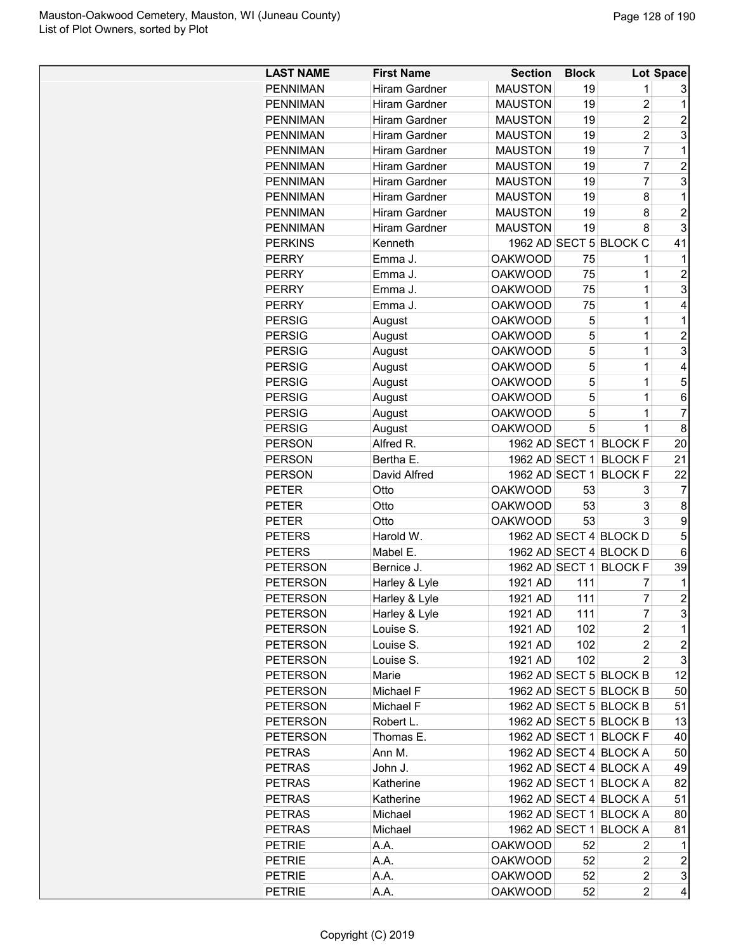| <b>LAST NAME</b> | <b>First Name</b>    | <b>Section</b> | <b>Block</b> |                        | Lot Space                 |
|------------------|----------------------|----------------|--------------|------------------------|---------------------------|
| <b>PENNIMAN</b>  | <b>Hiram Gardner</b> | <b>MAUSTON</b> | 19           | 1                      | 3                         |
| <b>PENNIMAN</b>  | <b>Hiram Gardner</b> | <b>MAUSTON</b> | 19           | 2                      | 1                         |
| <b>PENNIMAN</b>  | <b>Hiram Gardner</b> | <b>MAUSTON</b> | 19           | $\overline{2}$         | $\overline{2}$            |
| <b>PENNIMAN</b>  | <b>Hiram Gardner</b> | <b>MAUSTON</b> | 19           | $\overline{c}$         | 3                         |
| <b>PENNIMAN</b>  | <b>Hiram Gardner</b> | <b>MAUSTON</b> | 19           | 7                      | 1                         |
| <b>PENNIMAN</b>  | <b>Hiram Gardner</b> | <b>MAUSTON</b> | 19           | $\overline{7}$         | $\overline{2}$            |
| <b>PENNIMAN</b>  | Hiram Gardner        | <b>MAUSTON</b> | 19           | $\overline{7}$         | 3                         |
| <b>PENNIMAN</b>  | <b>Hiram Gardner</b> | <b>MAUSTON</b> | 19           | 8                      | 1                         |
| <b>PENNIMAN</b>  | <b>Hiram Gardner</b> | <b>MAUSTON</b> | 19           | 8                      | $\overline{2}$            |
| <b>PENNIMAN</b>  | <b>Hiram Gardner</b> | <b>MAUSTON</b> | 19           | 8                      | 3                         |
| <b>PERKINS</b>   | Kenneth              |                |              | 1962 AD SECT 5 BLOCK C | 41                        |
| <b>PERRY</b>     | Emma J.              | <b>OAKWOOD</b> | 75           | 1                      | 1                         |
| <b>PERRY</b>     | Emma J.              | <b>OAKWOOD</b> | 75           | 1                      | $\overline{2}$            |
| <b>PERRY</b>     | Emma J.              | <b>OAKWOOD</b> | 75           | $\mathbf 1$            | 3                         |
| <b>PERRY</b>     | Emma J.              | <b>OAKWOOD</b> | 75           | 1                      | 4                         |
| <b>PERSIG</b>    |                      | <b>OAKWOOD</b> | 5            | $\overline{1}$         | 1                         |
| <b>PERSIG</b>    | August<br>August     | <b>OAKWOOD</b> | 5            | $\mathbf 1$            | $\overline{2}$            |
|                  |                      |                | 5            |                        |                           |
| <b>PERSIG</b>    | August               | <b>OAKWOOD</b> |              | 1                      | 3                         |
| <b>PERSIG</b>    | August               | <b>OAKWOOD</b> | 5            | 1                      | 4                         |
| <b>PERSIG</b>    | August               | <b>OAKWOOD</b> | 5            | $\mathbf{1}$           | 5                         |
| <b>PERSIG</b>    | August               | <b>OAKWOOD</b> | 5            | 1                      | 6                         |
| <b>PERSIG</b>    | August               | <b>OAKWOOD</b> | 5            | 1                      | $\overline{7}$            |
| <b>PERSIG</b>    | August               | <b>OAKWOOD</b> | 5            | 1                      | 8                         |
| <b>PERSON</b>    | Alfred R.            | 1962 AD SECT 1 |              | <b>BLOCK F</b>         | 20                        |
| <b>PERSON</b>    | Bertha E.            | 1962 AD SECT 1 |              | <b>BLOCK F</b>         | 21                        |
| PERSON           | David Alfred         | 1962 AD SECT 1 |              | <b>BLOCK F</b>         | 22                        |
| <b>PETER</b>     | Otto                 | <b>OAKWOOD</b> | 53           | 3                      | 7                         |
| <b>PETER</b>     | Otto                 | <b>OAKWOOD</b> | 53           | 3                      | 8                         |
| PETER            | Otto                 | <b>OAKWOOD</b> | 53           | 3                      | 9                         |
| <b>PETERS</b>    | Harold W.            |                |              | 1962 AD SECT 4 BLOCK D | 5                         |
| <b>PETERS</b>    | Mabel E.             |                |              | 1962 AD SECT 4 BLOCK D | 6                         |
| <b>PETERSON</b>  | Bernice J.           | 1962 AD SECT 1 |              | <b>BLOCK F</b>         | 39                        |
| <b>PETERSON</b>  | Harley & Lyle        | 1921 AD        | 111          | 7                      | 1                         |
| <b>PETERSON</b>  | Harley & Lyle        | 1921 AD        | 111          | $\overline{7}$         | $\overline{2}$            |
| <b>PETERSON</b>  | Harley & Lyle        | 1921 AD        | 111          | 7                      | 3                         |
| <b>PETERSON</b>  | Louise S.            | 1921 AD        | 102          | $\overline{c}$         | 1                         |
| <b>PETERSON</b>  | Louise S.            | 1921 AD        | 102          | $\overline{c}$         | $\boldsymbol{2}$          |
| <b>PETERSON</b>  | Louise S.            | 1921 AD        | 102          | 2                      | 3                         |
| <b>PETERSON</b>  | Marie                |                |              | 1962 AD SECT 5 BLOCK B | 12                        |
| <b>PETERSON</b>  | Michael F            |                |              | 1962 AD SECT 5 BLOCK B | 50                        |
|                  |                      |                |              | 1962 AD SECT 5 BLOCK B |                           |
| <b>PETERSON</b>  | Michael F            |                |              |                        | 51                        |
| <b>PETERSON</b>  | Robert L.            |                |              | 1962 AD SECT 5 BLOCK B | 13                        |
| <b>PETERSON</b>  | Thomas E.            |                |              | 1962 AD SECT 1 BLOCK F | 40                        |
| <b>PETRAS</b>    | Ann M.               |                |              | 1962 AD SECT 4 BLOCK A | 50                        |
| <b>PETRAS</b>    | John J.              |                |              | 1962 AD SECT 4 BLOCK A | 49                        |
| <b>PETRAS</b>    | Katherine            |                |              | 1962 AD SECT 1 BLOCK A | 82                        |
| <b>PETRAS</b>    | Katherine            |                |              | 1962 AD SECT 4 BLOCK A | 51                        |
| <b>PETRAS</b>    | Michael              |                |              | 1962 AD SECT 1 BLOCK A | 80                        |
| <b>PETRAS</b>    | Michael              |                |              | 1962 AD SECT 1 BLOCK A | 81                        |
| <b>PETRIE</b>    | A.A.                 | <b>OAKWOOD</b> | 52           | 2                      | 1                         |
| <b>PETRIE</b>    | A.A.                 | <b>OAKWOOD</b> | 52           | $\overline{c}$         | $\overline{c}$            |
| <b>PETRIE</b>    | A.A.                 | <b>OAKWOOD</b> | 52           | 2                      | $\ensuremath{\mathsf{3}}$ |
| <b>PETRIE</b>    | A.A.                 | <b>OAKWOOD</b> | 52           | $\overline{2}$         | 4                         |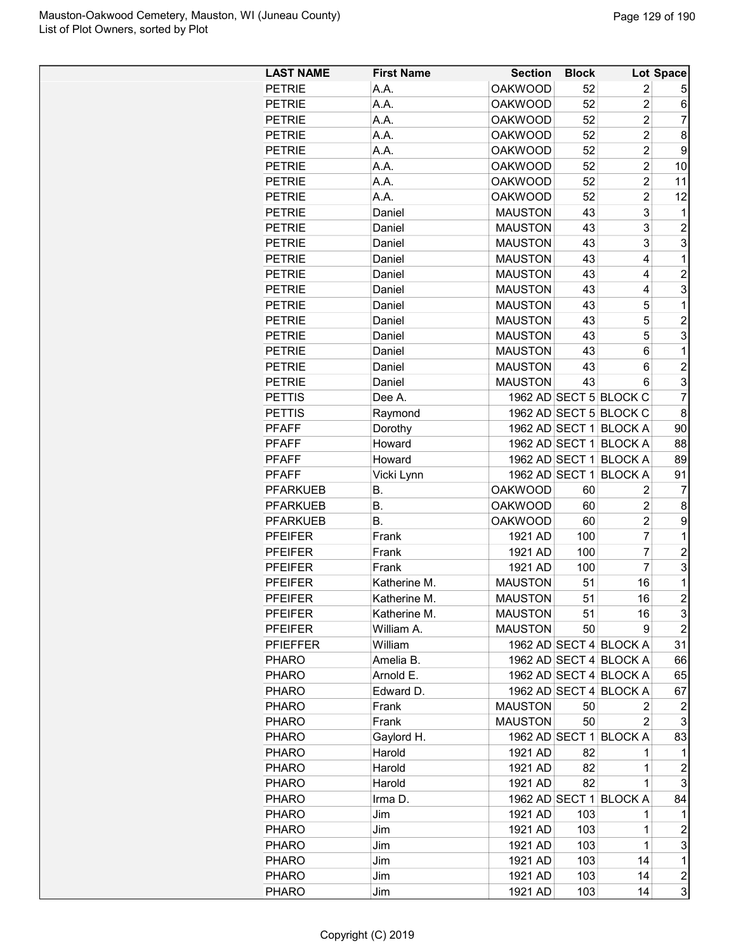| <b>LAST NAME</b> | <b>First Name</b> | <b>Section</b> | <b>Block</b> |                        | Lot Space               |
|------------------|-------------------|----------------|--------------|------------------------|-------------------------|
| <b>PETRIE</b>    | A.A.              | <b>OAKWOOD</b> | 52           | $\overline{c}$         | 5                       |
| <b>PETRIE</b>    | A.A.              | <b>OAKWOOD</b> | 52           | $\overline{2}$         | 6                       |
| <b>PETRIE</b>    | A.A.              | <b>OAKWOOD</b> | 52           | $\overline{2}$         | $\overline{7}$          |
| <b>PETRIE</b>    | A.A.              | <b>OAKWOOD</b> | 52           | $\overline{2}$         | 8                       |
| <b>PETRIE</b>    | A.A.              | <b>OAKWOOD</b> | 52           | $\overline{c}$         | 9                       |
| <b>PETRIE</b>    | A.A.              | <b>OAKWOOD</b> | 52           | $\overline{c}$         | 10                      |
| <b>PETRIE</b>    | A.A.              | <b>OAKWOOD</b> | 52           | $\overline{c}$         | 11                      |
| <b>PETRIE</b>    | A.A.              | <b>OAKWOOD</b> | 52           | $\overline{c}$         | 12                      |
| <b>PETRIE</b>    | Daniel            | <b>MAUSTON</b> | 43           | 3                      | 1                       |
| <b>PETRIE</b>    | Daniel            | <b>MAUSTON</b> | 43           | 3                      | $\overline{c}$          |
| <b>PETRIE</b>    | Daniel            | <b>MAUSTON</b> | 43           | 3                      | 3                       |
| <b>PETRIE</b>    | Daniel            | <b>MAUSTON</b> | 43           | 4                      | 1                       |
| <b>PETRIE</b>    | Daniel            | <b>MAUSTON</b> | 43           | 4                      | $\overline{c}$          |
| <b>PETRIE</b>    | Daniel            | <b>MAUSTON</b> | 43           | 4                      | 3                       |
| <b>PETRIE</b>    | Daniel            | <b>MAUSTON</b> | 43           | 5                      | 1                       |
| <b>PETRIE</b>    | Daniel            | <b>MAUSTON</b> | 43           | 5                      | $\overline{c}$          |
| <b>PETRIE</b>    | Daniel            | <b>MAUSTON</b> | 43           | 5                      | 3                       |
| <b>PETRIE</b>    | Daniel            | <b>MAUSTON</b> | 43           | 6                      | 1                       |
| <b>PETRIE</b>    | Daniel            | <b>MAUSTON</b> | 43           | 6                      | $\overline{c}$          |
| <b>PETRIE</b>    | Daniel            | <b>MAUSTON</b> | 43           | 6                      | 3                       |
| <b>PETTIS</b>    | Dee A.            |                |              | 1962 AD SECT 5 BLOCK C | $\overline{7}$          |
| <b>PETTIS</b>    | Raymond           |                |              | 1962 AD SECT 5 BLOCK C | 8                       |
| <b>PFAFF</b>     | Dorothy           |                |              | 1962 AD SECT 1 BLOCK A | 90                      |
| <b>PFAFF</b>     | Howard            |                |              | 1962 AD SECT 1 BLOCK A | 88                      |
| <b>PFAFF</b>     | Howard            |                |              | 1962 AD SECT 1 BLOCK A | 89                      |
| <b>PFAFF</b>     | Vicki Lynn        |                |              | 1962 AD SECT 1 BLOCK A | 91                      |
| <b>PFARKUEB</b>  | В.                | <b>OAKWOOD</b> | 60           | 2                      | 7                       |
| <b>PFARKUEB</b>  | В.                | <b>OAKWOOD</b> | 60           | $\overline{c}$         | 8                       |
| <b>PFARKUEB</b>  | В.                | <b>OAKWOOD</b> | 60           | $\overline{2}$         | 9                       |
| <b>PFEIFER</b>   | Frank             | 1921 AD        | 100          | 7                      | 1                       |
| <b>PFEIFER</b>   | Frank             | 1921 AD        | 100          | $\overline{7}$         | $\overline{c}$          |
| <b>PFEIFER</b>   | Frank             | 1921 AD        | 100          | $\overline{7}$         | 3                       |
| <b>PFEIFER</b>   | Katherine M.      | <b>MAUSTON</b> | 51           | 16                     | $\mathbf 1$             |
| <b>PFEIFER</b>   | Katherine M.      | <b>MAUSTON</b> | 51           | 16                     | $\overline{\mathbf{c}}$ |
| <b>PFEIFER</b>   | Katherine M.      | <b>MAUSTON</b> | 51           | 16                     | 3                       |
| <b>PFEIFER</b>   | William A.        | <b>MAUSTON</b> | 50           | 9                      | $\overline{2}$          |
| <b>PFIEFFER</b>  | William           |                |              | 1962 AD SECT 4 BLOCK A | 31                      |
| <b>PHARO</b>     | Amelia B.         |                |              | 1962 AD SECT 4 BLOCK A | 66                      |
| <b>PHARO</b>     | Arnold E.         |                |              | 1962 AD SECT 4 BLOCK A | 65                      |
| <b>PHARO</b>     | Edward D.         |                |              | 1962 AD SECT 4 BLOCK A | 67                      |
| <b>PHARO</b>     | Frank             | <b>MAUSTON</b> | 50           | 2                      | 2                       |
| <b>PHARO</b>     | Frank             | <b>MAUSTON</b> | 50           | 2                      | 3                       |
| <b>PHARO</b>     | Gaylord H.        |                |              | 1962 AD SECT 1 BLOCK A | 83                      |
| <b>PHARO</b>     | Harold            | 1921 AD        | 82           | 1                      | $\mathbf 1$             |
| <b>PHARO</b>     | Harold            | 1921 AD        | 82           | 1                      | $\overline{2}$          |
| <b>PHARO</b>     | Harold            | 1921 AD        | 82           | 1                      | 3                       |
| <b>PHARO</b>     | Irma D.           |                |              | 1962 AD SECT 1 BLOCK A | 84                      |
| <b>PHARO</b>     | Jim               | 1921 AD        | 103          | 1                      | 1                       |
| <b>PHARO</b>     | Jim               | 1921 AD        | 103          | 1                      | $\overline{c}$          |
| <b>PHARO</b>     | Jim               | 1921 AD        | 103          | 1                      | 3                       |
| PHARO            | Jim               | 1921 AD        | 103          | 14                     | $\mathbf 1$             |
| <b>PHARO</b>     | Jim               | 1921 AD        | 103          | 14                     | $\overline{\mathbf{c}}$ |
| <b>PHARO</b>     | Jim               | 1921 AD        | 103          | 14                     | 3                       |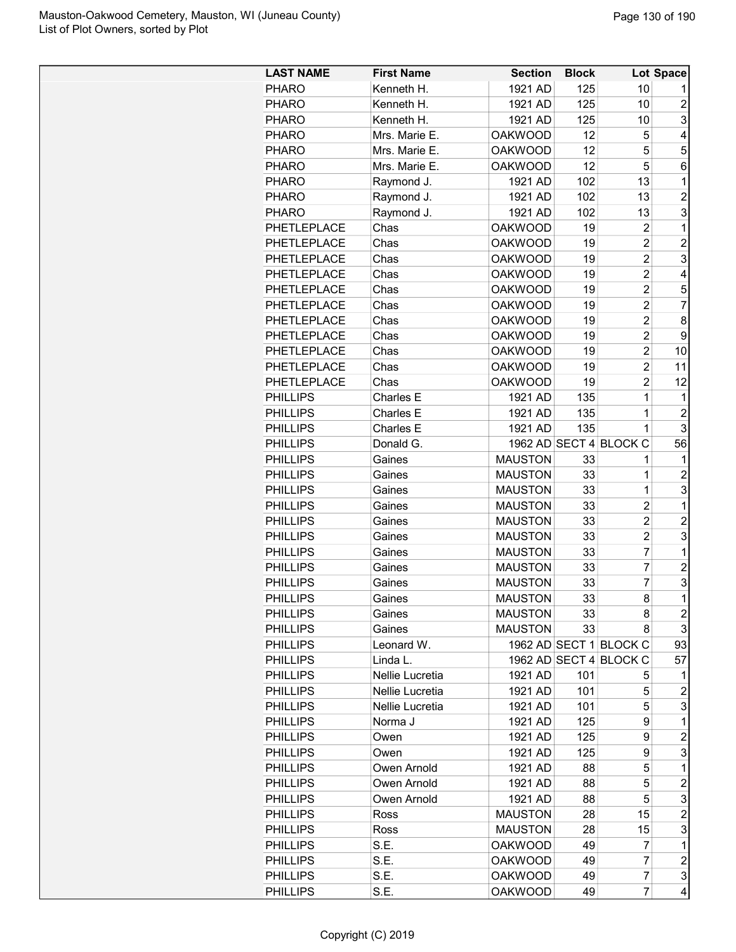| <b>LAST NAME</b> | <b>First Name</b> | <b>Section</b> | <b>Block</b> |                         | Lot Space               |
|------------------|-------------------|----------------|--------------|-------------------------|-------------------------|
| <b>PHARO</b>     | Kenneth H.        | 1921 AD        | 125          | 10                      |                         |
| <b>PHARO</b>     | Kenneth H.        | 1921 AD        | 125          | 10                      | $\overline{c}$          |
| <b>PHARO</b>     | Kenneth H.        | 1921 AD        | 125          | 10                      | 3                       |
| <b>PHARO</b>     | Mrs. Marie E.     | <b>OAKWOOD</b> | 12           | 5                       | 4                       |
| <b>PHARO</b>     | Mrs. Marie E.     | <b>OAKWOOD</b> | 12           | 5                       | 5                       |
| <b>PHARO</b>     | Mrs. Marie E.     | <b>OAKWOOD</b> | 12           | 5                       | 6                       |
| <b>PHARO</b>     | Raymond J.        | 1921 AD        | 102          | 13                      | 1                       |
| <b>PHARO</b>     | Raymond J.        | 1921 AD        | 102          | 13                      | $\overline{2}$          |
| <b>PHARO</b>     | Raymond J.        | 1921 AD        | 102          | 13                      | 3                       |
| PHETLEPLACE      | Chas              | <b>OAKWOOD</b> | 19           | $\overline{c}$          | 1                       |
| PHETLEPLACE      | Chas              | <b>OAKWOOD</b> | 19           | $\overline{\mathbf{c}}$ | $\overline{c}$          |
| PHETLEPLACE      | Chas              | <b>OAKWOOD</b> | 19           | $\overline{\mathbf{c}}$ | 3                       |
| PHETLEPLACE      | Chas              | <b>OAKWOOD</b> | 19           | $\overline{\mathbf{c}}$ | 4                       |
| PHETLEPLACE      | Chas              | <b>OAKWOOD</b> | 19           | $\overline{c}$          | 5                       |
| PHETLEPLACE      | Chas              | <b>OAKWOOD</b> | 19           | $\overline{c}$          | 7                       |
| PHETLEPLACE      | Chas              | <b>OAKWOOD</b> | 19           | $\overline{c}$          | 8                       |
| PHETLEPLACE      | Chas              | <b>OAKWOOD</b> | 19           | $\overline{2}$          | 9                       |
| PHETLEPLACE      | Chas              | <b>OAKWOOD</b> | 19           | $\overline{c}$          | 10                      |
| PHETLEPLACE      | Chas              | <b>OAKWOOD</b> | 19           | $\overline{c}$          | 11                      |
| PHETLEPLACE      | Chas              | <b>OAKWOOD</b> | 19           | $\overline{c}$          | 12                      |
| <b>PHILLIPS</b>  | Charles E         | 1921 AD        | 135          | $\mathbf 1$             | 1                       |
| <b>PHILLIPS</b>  | Charles E         | 1921 AD        | 135          | 1                       | $\overline{c}$          |
| <b>PHILLIPS</b>  | Charles E         | 1921 AD        | 135          | 1                       | 3                       |
| <b>PHILLIPS</b>  | Donald G.         |                |              | 1962 AD SECT 4 BLOCK C  | 56                      |
| <b>PHILLIPS</b>  | Gaines            | <b>MAUSTON</b> | 33           | 1                       | 1                       |
| <b>PHILLIPS</b>  | Gaines            | <b>MAUSTON</b> | 33           | 1                       | $\overline{2}$          |
| <b>PHILLIPS</b>  | Gaines            | <b>MAUSTON</b> | 33           | 1                       | 3                       |
| <b>PHILLIPS</b>  | Gaines            | <b>MAUSTON</b> | 33           | $\overline{c}$          | 1                       |
| <b>PHILLIPS</b>  | Gaines            | <b>MAUSTON</b> | 33           | $\overline{c}$          | $\overline{c}$          |
| <b>PHILLIPS</b>  | Gaines            | <b>MAUSTON</b> | 33           | $\overline{c}$          | 3                       |
| <b>PHILLIPS</b>  | Gaines            | <b>MAUSTON</b> | 33           | $\overline{7}$          | 1                       |
| <b>PHILLIPS</b>  | Gaines            | <b>MAUSTON</b> | 33           | $\overline{7}$          | $\overline{c}$          |
| <b>PHILLIPS</b>  | Gaines            | <b>MAUSTON</b> | 33           | $\overline{7}$          | 3                       |
| <b>PHILLIPS</b>  | Gaines            | <b>MAUSTON</b> | 33           | 8                       | $\mathbf{1}$            |
| <b>PHILLIPS</b>  | Gaines            | <b>MAUSTON</b> | 33           | 8                       | $\overline{\mathbf{c}}$ |
| <b>PHILLIPS</b>  | Gaines            | <b>MAUSTON</b> | 33           | 8                       | 3                       |
| <b>PHILLIPS</b>  | Leonard W.        |                |              | 1962 AD SECT 1 BLOCK C  | 93                      |
| <b>PHILLIPS</b>  | Linda L.          |                |              | 1962 AD SECT 4 BLOCK C  | 57                      |
| <b>PHILLIPS</b>  | Nellie Lucretia   | 1921 AD        | 101          | 5                       | 1                       |
| <b>PHILLIPS</b>  | Nellie Lucretia   | 1921 AD        | 101          | 5                       | 2                       |
| <b>PHILLIPS</b>  | Nellie Lucretia   | 1921 AD        | 101          | 5                       | 3                       |
| <b>PHILLIPS</b>  | Norma J           | 1921 AD        | 125          | 9                       | $\mathbf 1$             |
| <b>PHILLIPS</b>  | Owen              | 1921 AD        | 125          | 9                       | $\overline{c}$          |
| <b>PHILLIPS</b>  | Owen              | 1921 AD        | 125          | 9                       | 3                       |
| <b>PHILLIPS</b>  | Owen Arnold       | 1921 AD        | 88           | 5                       | $\mathbf 1$             |
| <b>PHILLIPS</b>  | Owen Arnold       | 1921 AD        | 88           | 5                       | $\overline{c}$          |
| <b>PHILLIPS</b>  | Owen Arnold       | 1921 AD        | 88           | 5                       | 3                       |
| <b>PHILLIPS</b>  | Ross              | <b>MAUSTON</b> | 28           | 15                      | 2                       |
| <b>PHILLIPS</b>  | Ross              | <b>MAUSTON</b> | 28           | 15                      | 3                       |
| <b>PHILLIPS</b>  | S.E.              | <b>OAKWOOD</b> | 49           | 7                       | $\mathbf 1$             |
| <b>PHILLIPS</b>  | S.E.              | <b>OAKWOOD</b> | 49           | $\overline{7}$          | $\overline{c}$          |
| <b>PHILLIPS</b>  | S.E.              | <b>OAKWOOD</b> | 49           | 7                       | 3                       |
| <b>PHILLIPS</b>  | S.E.              | <b>OAKWOOD</b> | 49           | $\overline{7}$          | 4                       |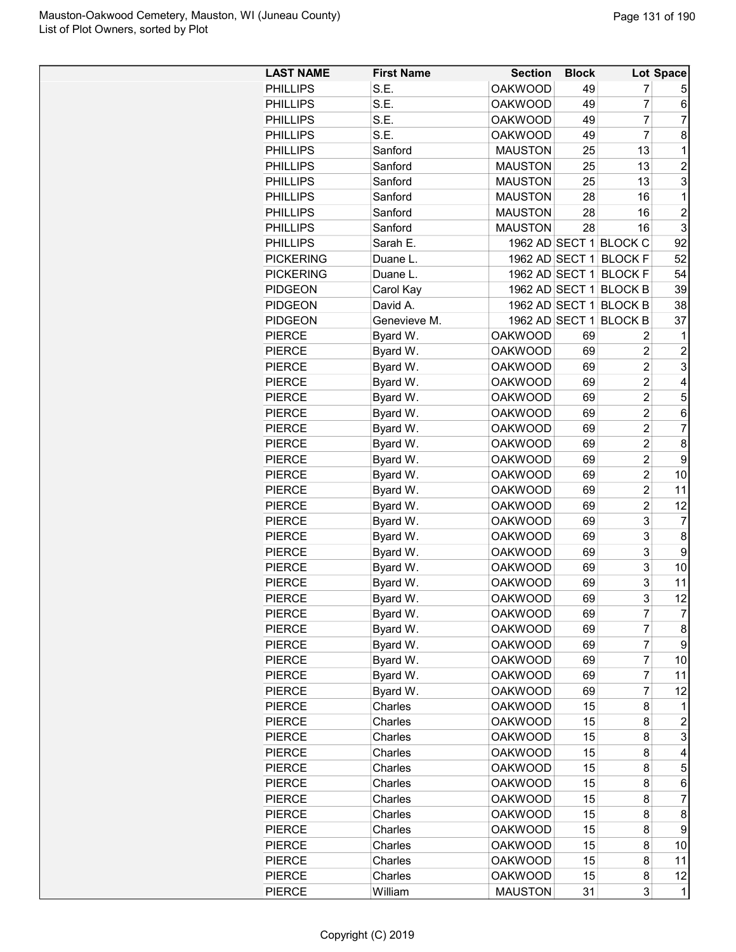| <b>LAST NAME</b> | <b>First Name</b> | <b>Section</b> | <b>Block</b> |                        | Lot Space      |
|------------------|-------------------|----------------|--------------|------------------------|----------------|
| <b>PHILLIPS</b>  | S.E.              | <b>OAKWOOD</b> | 49           | 7                      | 5              |
| <b>PHILLIPS</b>  | S.E.              | <b>OAKWOOD</b> | 49           | 7                      | 6              |
| <b>PHILLIPS</b>  | S.E.              | <b>OAKWOOD</b> | 49           | $\overline{7}$         | $\overline{7}$ |
| <b>PHILLIPS</b>  | S.E.              | <b>OAKWOOD</b> | 49           | $\overline{7}$         | 8              |
| <b>PHILLIPS</b>  | Sanford           | <b>MAUSTON</b> | 25           | 13                     | 1              |
| <b>PHILLIPS</b>  | Sanford           | <b>MAUSTON</b> | 25           | 13                     | $\overline{c}$ |
| <b>PHILLIPS</b>  | Sanford           | <b>MAUSTON</b> | 25           | 13                     | 3              |
| <b>PHILLIPS</b>  | Sanford           | <b>MAUSTON</b> | 28           | 16                     | 1              |
| <b>PHILLIPS</b>  | Sanford           | <b>MAUSTON</b> | 28           | 16                     | $\overline{2}$ |
| <b>PHILLIPS</b>  | Sanford           | <b>MAUSTON</b> | 28           | 16                     | 3              |
| <b>PHILLIPS</b>  | Sarah E.          |                |              | 1962 AD SECT 1 BLOCK C | 92             |
| <b>PICKERING</b> | Duane L.          | 1962 AD SECT 1 |              | <b>BLOCK F</b>         | 52             |
| <b>PICKERING</b> | Duane L.          | 1962 AD SECT 1 |              | <b>BLOCK F</b>         | 54             |
| <b>PIDGEON</b>   | Carol Kay         | 1962 AD SECT 1 |              | <b>BLOCK B</b>         | 39             |
| <b>PIDGEON</b>   | David A.          |                |              | 1962 AD SECT 1 BLOCK B | 38             |
| <b>PIDGEON</b>   | Genevieve M.      | 1962 AD SECT 1 |              | <b>BLOCK B</b>         | 37             |
| <b>PIERCE</b>    | Byard W.          | <b>OAKWOOD</b> | 69           | 2                      | 1              |
| <b>PIERCE</b>    | Byard W.          | <b>OAKWOOD</b> | 69           | $\overline{2}$         | $\overline{c}$ |
| <b>PIERCE</b>    | Byard W.          | <b>OAKWOOD</b> | 69           | $\overline{c}$         | 3              |
| <b>PIERCE</b>    | Byard W.          | <b>OAKWOOD</b> | 69           | $\overline{c}$         | 4              |
| <b>PIERCE</b>    | Byard W.          | <b>OAKWOOD</b> | 69           | $\overline{c}$         | 5              |
| <b>PIERCE</b>    | Byard W.          | <b>OAKWOOD</b> | 69           | $\overline{c}$         | 6              |
| <b>PIERCE</b>    | Byard W.          | <b>OAKWOOD</b> | 69           | $\overline{2}$         | $\overline{7}$ |
| <b>PIERCE</b>    | Byard W.          | <b>OAKWOOD</b> | 69           | $\overline{2}$         | 8              |
| <b>PIERCE</b>    | Byard W.          | <b>OAKWOOD</b> | 69           | $\overline{2}$         | 9              |
| <b>PIERCE</b>    | Byard W.          | <b>OAKWOOD</b> | 69           | $\overline{2}$         | 10             |
| <b>PIERCE</b>    | Byard W.          | <b>OAKWOOD</b> | 69           | $\overline{c}$         | 11             |
| <b>PIERCE</b>    | Byard W.          | <b>OAKWOOD</b> | 69           | $\overline{c}$         | 12             |
| <b>PIERCE</b>    | Byard W.          | <b>OAKWOOD</b> | 69           | 3                      | 7              |
| <b>PIERCE</b>    | Byard W.          | <b>OAKWOOD</b> | 69           | 3                      | 8              |
| <b>PIERCE</b>    | Byard W.          | <b>OAKWOOD</b> | 69           | 3                      | 9              |
| <b>PIERCE</b>    | Byard W.          | <b>OAKWOOD</b> | 69           | 3                      | 10             |
| <b>PIERCE</b>    | Byard W.          | <b>OAKWOOD</b> | 69           | 3                      | 11             |
| PIERCE           | Byard W.          | <b>OAKWOOD</b> | 69           | 3                      | 12             |
| <b>PIERCE</b>    | Byard W.          | <b>OAKWOOD</b> | 69           | 7                      | 7              |
| <b>PIERCE</b>    | Byard W.          | <b>OAKWOOD</b> | 69           | 7                      | 8              |
| <b>PIERCE</b>    | Byard W.          | <b>OAKWOOD</b> | 69           | 7                      | 9              |
| PIERCE           | Byard W.          | <b>OAKWOOD</b> | 69           | 7                      | 10             |
| <b>PIERCE</b>    | Byard W.          | <b>OAKWOOD</b> | 69           | 7                      | 11             |
| <b>PIERCE</b>    | Byard W.          | <b>OAKWOOD</b> | 69           | $\overline{7}$         | 12             |
| PIERCE           | Charles           | <b>OAKWOOD</b> | 15           | 8                      | 1              |
| <b>PIERCE</b>    | Charles           | <b>OAKWOOD</b> | 15           | 8                      | $\overline{c}$ |
| <b>PIERCE</b>    | Charles           | <b>OAKWOOD</b> | 15           | 8                      | 3              |
| <b>PIERCE</b>    | Charles           | <b>OAKWOOD</b> | 15           | 8                      | 4              |
| <b>PIERCE</b>    | Charles           | <b>OAKWOOD</b> | 15           | 8                      | 5              |
| PIERCE           | Charles           | <b>OAKWOOD</b> | 15           | 8                      | 6              |
| <b>PIERCE</b>    | Charles           | <b>OAKWOOD</b> | 15           | 8                      | 7              |
| <b>PIERCE</b>    | Charles           | <b>OAKWOOD</b> | 15           | 8                      | 8              |
| <b>PIERCE</b>    | Charles           | <b>OAKWOOD</b> | 15           | 8                      | 9              |
| <b>PIERCE</b>    | Charles           | <b>OAKWOOD</b> | 15           | 8                      | 10             |
| PIERCE           | Charles           | <b>OAKWOOD</b> | 15           | 8                      | 11             |
| PIERCE           | Charles           | <b>OAKWOOD</b> | 15           | 8                      | 12             |
| PIERCE           | William           | <b>MAUSTON</b> | 31           | 3                      | 1              |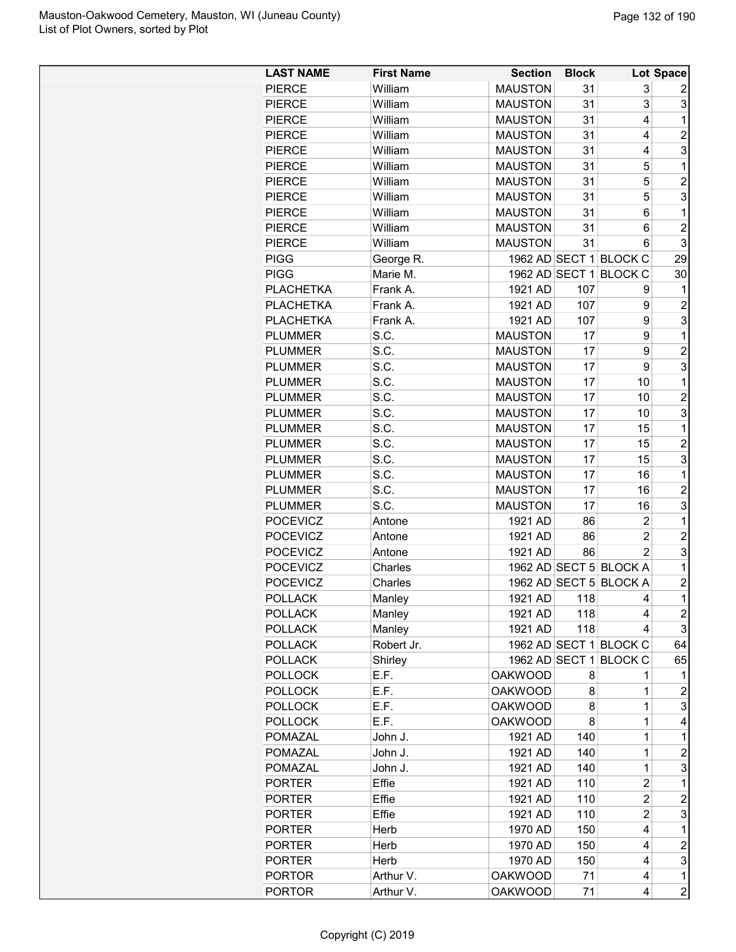| <b>LAST NAME</b> | <b>First Name</b> | <b>Section</b> | <b>Block</b> |                        | <b>Lot Space</b>        |
|------------------|-------------------|----------------|--------------|------------------------|-------------------------|
| <b>PIERCE</b>    | William           | <b>MAUSTON</b> | 31           | 3                      |                         |
| <b>PIERCE</b>    | William           | <b>MAUSTON</b> | 31           | 3                      | 3                       |
| <b>PIERCE</b>    | William           | <b>MAUSTON</b> | 31           | 4                      | $\mathbf{1}$            |
| <b>PIERCE</b>    | William           | <b>MAUSTON</b> | 31           | 4                      | $\overline{c}$          |
| <b>PIERCE</b>    | William           | <b>MAUSTON</b> | 31           | 4                      | 3                       |
| <b>PIERCE</b>    | William           | <b>MAUSTON</b> | 31           | 5                      | $\mathbf 1$             |
| <b>PIERCE</b>    | William           | <b>MAUSTON</b> | 31           | 5                      | $\overline{2}$          |
| <b>PIERCE</b>    | William           | <b>MAUSTON</b> | 31           | 5                      | 3                       |
| <b>PIERCE</b>    | William           | <b>MAUSTON</b> | 31           | 6                      | $\mathbf{1}$            |
|                  |                   | <b>MAUSTON</b> | 31           | 6                      | $\overline{2}$          |
| <b>PIERCE</b>    | William           |                |              |                        | 3                       |
| <b>PIERCE</b>    | William           | <b>MAUSTON</b> | 31           | 6                      |                         |
| <b>PIGG</b>      | George R.         |                |              | 1962 AD SECT 1 BLOCK C | 29                      |
| <b>PIGG</b>      | Marie M.          |                |              | 1962 AD SECT 1 BLOCK C | 30                      |
| <b>PLACHETKA</b> | Frank A.          | 1921 AD        | 107          | 9                      | 1                       |
| <b>PLACHETKA</b> | Frank A.          | 1921 AD        | 107          | 9                      | $\overline{2}$          |
| <b>PLACHETKA</b> | Frank A.          | 1921 AD        | 107          | 9                      | 3                       |
| <b>PLUMMER</b>   | S.C.              | <b>MAUSTON</b> | 17           | 9                      | 1                       |
| <b>PLUMMER</b>   | S.C.              | <b>MAUSTON</b> | 17           | 9                      | $\overline{\mathbf{c}}$ |
| <b>PLUMMER</b>   | S.C.              | <b>MAUSTON</b> | 17           | 9                      | 3                       |
| <b>PLUMMER</b>   | S.C.              | <b>MAUSTON</b> | 17           | 10                     | 1                       |
| <b>PLUMMER</b>   | S.C.              | <b>MAUSTON</b> | 17           | 10                     | $\overline{2}$          |
| <b>PLUMMER</b>   | S.C.              | <b>MAUSTON</b> | 17           | 10                     | 3                       |
| <b>PLUMMER</b>   | S.C.              | <b>MAUSTON</b> | 17           | 15                     | $\mathbf 1$             |
| <b>PLUMMER</b>   | S.C.              | <b>MAUSTON</b> | 17           | 15                     | 2                       |
| <b>PLUMMER</b>   | S.C.              | <b>MAUSTON</b> | 17           | 15                     | 3                       |
| <b>PLUMMER</b>   | S.C.              | <b>MAUSTON</b> | 17           | 16                     | $\mathbf 1$             |
| <b>PLUMMER</b>   | S.C.              | <b>MAUSTON</b> | 17           | 16                     | $\overline{c}$          |
| <b>PLUMMER</b>   | S.C.              | <b>MAUSTON</b> | 17           | 16                     | 3                       |
| <b>POCEVICZ</b>  | Antone            | 1921 AD        | 86           | $\overline{2}$         | 1                       |
| <b>POCEVICZ</b>  | Antone            | 1921 AD        | 86           | $\overline{2}$         | $\overline{c}$          |
| <b>POCEVICZ</b>  | Antone            | 1921 AD        | 86           | $\overline{2}$         | 3                       |
| <b>POCEVICZ</b>  | Charles           |                |              | 1962 AD SECT 5 BLOCK A | 1                       |
| <b>POCEVICZ</b>  | Charles           |                |              | 1962 AD SECT 5 BLOCK A | 2                       |
| <b>POLLACK</b>   | Manley            | 1921 AD        | 118          | 4                      | $\mathbf{1}$            |
| <b>POLLACK</b>   | Manley            | 1921 AD        | 118          | 4                      | $\overline{c}$          |
| <b>POLLACK</b>   | Manley            | 1921 AD        | 118          | 4                      | 3                       |
| <b>POLLACK</b>   | Robert Jr.        |                |              | 1962 AD SECT 1 BLOCK C | 64                      |
| <b>POLLACK</b>   | Shirley           |                |              | 1962 AD SECT 1 BLOCK C | 65                      |
| <b>POLLOCK</b>   | E.F.              | <b>OAKWOOD</b> | 8            | 1                      | 1                       |
| <b>POLLOCK</b>   | E.F.              | <b>OAKWOOD</b> | 8            | 1                      | $\overline{c}$          |
| <b>POLLOCK</b>   | E.F.              | <b>OAKWOOD</b> | 8            | 1                      | 3                       |
| <b>POLLOCK</b>   | E.F.              | <b>OAKWOOD</b> | 8            | 1                      | 4                       |
| <b>POMAZAL</b>   | John J.           | 1921 AD        | 140          | 1                      | $\mathbf 1$             |
| <b>POMAZAL</b>   | John J.           | 1921 AD        | 140          | $\overline{1}$         | $\overline{c}$          |
| <b>POMAZAL</b>   | John J.           | 1921 AD        | 140          | $\mathbf{1}$           | 3                       |
| <b>PORTER</b>    | Effie             | 1921 AD        | 110          | $\overline{c}$         | $\mathbf 1$             |
| <b>PORTER</b>    | Effie             | 1921 AD        | 110          | $\overline{c}$         | $\overline{c}$          |
| <b>PORTER</b>    | Effie             | 1921 AD        | 110          | $\overline{c}$         | 3                       |
| <b>PORTER</b>    | Herb              | 1970 AD        | 150          | 4                      | 1                       |
|                  |                   |                |              |                        |                         |
| <b>PORTER</b>    | Herb              | 1970 AD        | 150          | 4                      | $\overline{c}$          |
| <b>PORTER</b>    | Herb              | 1970 AD        | 150          | 4                      | 3                       |
| <b>PORTOR</b>    | Arthur V.         | <b>OAKWOOD</b> | 71           | 4                      | $\mathbf{1}$            |
| <b>PORTOR</b>    | Arthur V.         | <b>OAKWOOD</b> | 71           | 4                      | $\overline{c}$          |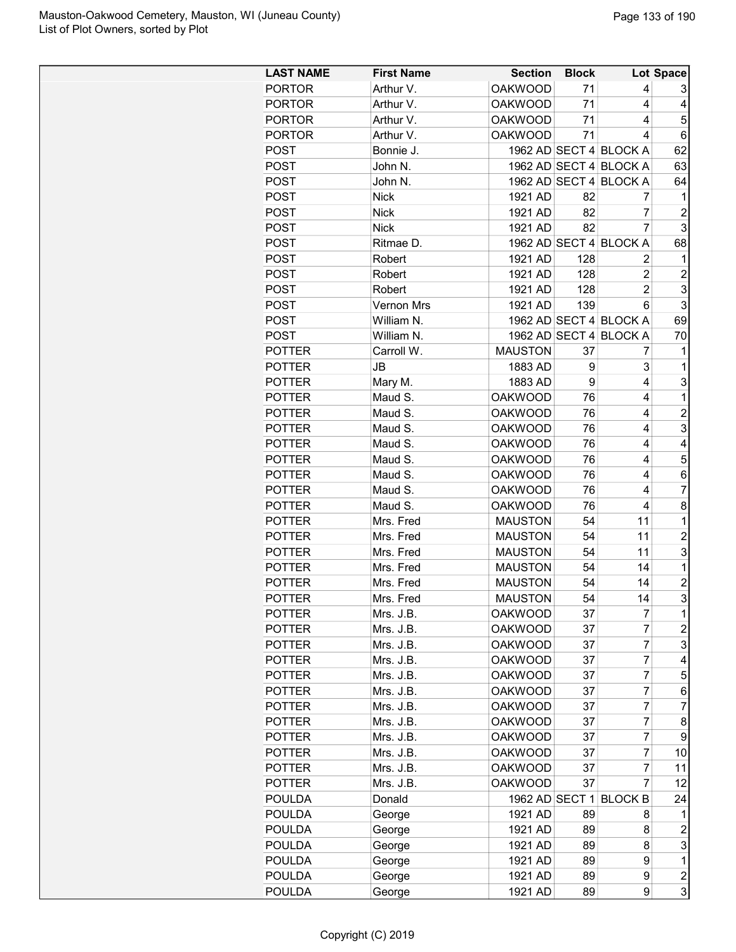| <b>LAST NAME</b> | <b>First Name</b> | <b>Section</b> | <b>Block</b> |                        | Lot Space      |
|------------------|-------------------|----------------|--------------|------------------------|----------------|
| <b>PORTOR</b>    | Arthur V.         | <b>OAKWOOD</b> | 71           | 4                      | 3              |
| <b>PORTOR</b>    | Arthur V.         | <b>OAKWOOD</b> | 71           | 4                      | 4              |
| <b>PORTOR</b>    | Arthur V.         | <b>OAKWOOD</b> | 71           | 4                      | 5              |
| <b>PORTOR</b>    | Arthur V.         | OAKWOOD        | 71           | 4                      | 6              |
| <b>POST</b>      | Bonnie J.         |                |              | 1962 AD SECT 4 BLOCK A | 62             |
| <b>POST</b>      | John N.           |                |              | 1962 AD SECT 4 BLOCK A | 63             |
| <b>POST</b>      | John N.           |                |              | 1962 AD SECT 4 BLOCK A | 64             |
| <b>POST</b>      | <b>Nick</b>       | 1921 AD        | 82           | 7                      | 1              |
| <b>POST</b>      | <b>Nick</b>       | 1921 AD        | 82           | $\overline{7}$         | $\overline{c}$ |
| <b>POST</b>      | <b>Nick</b>       | 1921 AD        | 82           | $\overline{7}$         | 3              |
| <b>POST</b>      | Ritmae D.         |                |              | 1962 AD SECT 4 BLOCK A | 68             |
| <b>POST</b>      | Robert            | 1921 AD        | 128          | 2                      | 1              |
| <b>POST</b>      | Robert            | 1921 AD        | 128          | 2                      | 2              |
| <b>POST</b>      | Robert            | 1921 AD        | 128          | $\overline{2}$         | 3              |
| <b>POST</b>      | Vernon Mrs        | 1921 AD        | 139          | 6                      | 3              |
| <b>POST</b>      | William N.        |                |              | 1962 AD SECT 4 BLOCK A | 69             |
| <b>POST</b>      | William N.        |                |              | 1962 AD SECT 4 BLOCK A | 70             |
| <b>POTTER</b>    | Carroll W.        | <b>MAUSTON</b> | 37           | 7                      | 1              |
| <b>POTTER</b>    | JB                | 1883 AD        | 9            | 3                      | 1              |
| <b>POTTER</b>    | Mary M.           | 1883 AD        | 9            | 4                      | 3              |
| <b>POTTER</b>    | Maud S.           | <b>OAKWOOD</b> | 76           | 4                      | 1              |
| <b>POTTER</b>    | Maud S.           | <b>OAKWOOD</b> | 76           | 4                      | 2              |
| <b>POTTER</b>    | Maud S.           | <b>OAKWOOD</b> | 76           | 4                      | 3              |
| <b>POTTER</b>    | Maud S.           | <b>OAKWOOD</b> | 76           | 4                      | 4              |
| <b>POTTER</b>    | Maud S.           | <b>OAKWOOD</b> | 76           | 4                      | 5              |
| <b>POTTER</b>    | Maud S.           | <b>OAKWOOD</b> | 76           | 4                      | 6              |
| <b>POTTER</b>    | Maud S.           | <b>OAKWOOD</b> | 76           | 4                      | 7              |
| <b>POTTER</b>    | Maud S.           | <b>OAKWOOD</b> | 76           | 4                      | 8              |
| <b>POTTER</b>    | Mrs. Fred         | <b>MAUSTON</b> | 54           | 11                     | $\mathbf{1}$   |
| <b>POTTER</b>    | Mrs. Fred         | <b>MAUSTON</b> | 54           | 11                     | $\overline{c}$ |
| <b>POTTER</b>    | Mrs. Fred         | <b>MAUSTON</b> | 54           | 11                     | 3              |
| <b>POTTER</b>    | Mrs. Fred         | <b>MAUSTON</b> | 54           | 14                     | 1              |
| <b>POTTER</b>    | Mrs. Fred         | <b>MAUSTON</b> | 54           | 14                     | 2              |
| <b>POTTER</b>    | Mrs. Fred         | <b>MAUSTON</b> | 54           | 14                     | 3              |
| <b>POTTER</b>    | Mrs. J.B.         | <b>OAKWOOD</b> | 37           | 7                      | 1              |
| <b>POTTER</b>    | Mrs. J.B.         | <b>OAKWOOD</b> | 37           | 7                      | 2              |
| <b>POTTER</b>    | Mrs. J.B.         | <b>OAKWOOD</b> | 37           | 7                      | 3              |
| <b>POTTER</b>    | Mrs. J.B.         | <b>OAKWOOD</b> | 37           | 7                      | 4              |
| <b>POTTER</b>    | Mrs. J.B.         | OAKWOOD        | 37           | 7                      | 5              |
| <b>POTTER</b>    | Mrs. J.B.         | <b>OAKWOOD</b> | 37           | $\overline{7}$         | 6              |
| <b>POTTER</b>    | Mrs. J.B.         | <b>OAKWOOD</b> | 37           | $\overline{7}$         | 7              |
| <b>POTTER</b>    | Mrs. J.B.         | OAKWOOD        | 37           | 7                      | 8              |
| <b>POTTER</b>    | Mrs. J.B.         | <b>OAKWOOD</b> | 37           | 7                      | 9              |
| <b>POTTER</b>    | Mrs. J.B.         | <b>OAKWOOD</b> | 37           | 7                      | 10             |
| <b>POTTER</b>    | Mrs. J.B.         | <b>OAKWOOD</b> | 37           | 7                      | 11             |
| <b>POTTER</b>    | Mrs. J.B.         | OAKWOOD        | 37           | $\overline{7}$         | 12             |
| <b>POULDA</b>    | Donald            |                |              | 1962 AD SECT 1 BLOCK B | 24             |
| <b>POULDA</b>    | George            | 1921 AD        | 89           | 8                      | 1              |
| <b>POULDA</b>    | George            | 1921 AD        | 89           | 8                      | 2              |
| <b>POULDA</b>    | George            | 1921 AD        | 89           | 8                      | 3              |
| <b>POULDA</b>    | George            | 1921 AD        | 89           | 9                      | $\mathbf 1$    |
| POULDA           | George            | 1921 AD        | 89           | 9                      | 2              |
| <b>POULDA</b>    | George            | 1921 AD        | 89           | 9                      | 3              |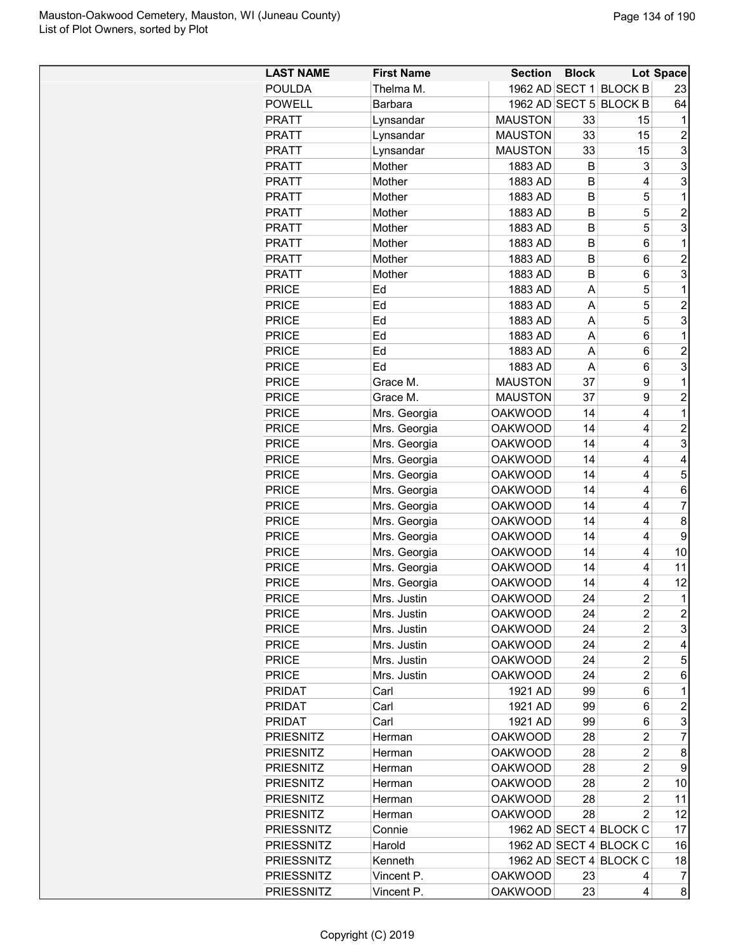| <b>LAST NAME</b>             | <b>First Name</b>            | <b>Section</b> | <b>Block</b> |                        | Lot Space                 |
|------------------------------|------------------------------|----------------|--------------|------------------------|---------------------------|
| <b>POULDA</b>                | Thelma M.                    |                |              | 1962 AD SECT 1 BLOCK B | 23                        |
| <b>POWELL</b>                | <b>Barbara</b>               |                |              | 1962 AD SECT 5 BLOCK B | 64                        |
| <b>PRATT</b>                 | Lynsandar                    | <b>MAUSTON</b> | 33           | 15                     | 1                         |
| <b>PRATT</b>                 | Lynsandar                    | <b>MAUSTON</b> | 33           | 15                     | $\overline{c}$            |
| <b>PRATT</b>                 | Lynsandar                    | <b>MAUSTON</b> | 33           | 15                     | $\ensuremath{\mathsf{3}}$ |
| <b>PRATT</b>                 | Mother                       | 1883 AD        | B            | 3                      | 3                         |
| <b>PRATT</b>                 | Mother                       | 1883 AD        | B            | 4                      | $\ensuremath{\mathsf{3}}$ |
| <b>PRATT</b>                 | Mother                       | 1883 AD        | B            | 5                      | 1                         |
| <b>PRATT</b>                 | Mother                       | 1883 AD        | B            | 5                      | $\overline{2}$            |
| <b>PRATT</b>                 | Mother                       | 1883 AD        | B            | 5                      | 3                         |
| <b>PRATT</b>                 | Mother                       | 1883 AD        | В            | 6                      | 1                         |
| <b>PRATT</b>                 | Mother                       | 1883 AD        | B            | 6                      | $\overline{c}$            |
| <b>PRATT</b>                 | Mother                       | 1883 AD        | B            | 6                      | 3                         |
| <b>PRICE</b>                 | Ed                           | 1883 AD        | A            | 5                      | 1                         |
| <b>PRICE</b>                 | Ed                           | 1883 AD        | A            | 5                      | $\overline{2}$            |
| <b>PRICE</b>                 | Ed                           | 1883 AD        | A            | 5                      | 3                         |
| <b>PRICE</b>                 | Ed                           | 1883 AD        | A            | 6                      | 1                         |
| <b>PRICE</b>                 | Ed                           | 1883 AD        | A            | 6                      | $\overline{2}$            |
| <b>PRICE</b>                 | Ed                           | 1883 AD        | A            | 6                      | 3                         |
| <b>PRICE</b>                 | Grace M.                     | <b>MAUSTON</b> | 37           | 9                      | 1                         |
| <b>PRICE</b>                 | Grace M.                     | <b>MAUSTON</b> | 37           | 9                      | $\overline{c}$            |
| <b>PRICE</b>                 | Mrs. Georgia                 | <b>OAKWOOD</b> | 14           | 4                      | $\mathbf{1}$              |
| <b>PRICE</b>                 | Mrs. Georgia                 | <b>OAKWOOD</b> | 14           | 4                      | $\overline{c}$            |
| <b>PRICE</b>                 | Mrs. Georgia                 | <b>OAKWOOD</b> | 14           | 4                      | 3                         |
| <b>PRICE</b>                 | Mrs. Georgia                 | <b>OAKWOOD</b> | 14           | 4                      | 4                         |
| <b>PRICE</b>                 | Mrs. Georgia                 | <b>OAKWOOD</b> | 14           | 4                      | 5                         |
| <b>PRICE</b>                 | Mrs. Georgia                 | <b>OAKWOOD</b> | 14           | 4                      | 6                         |
| <b>PRICE</b>                 | Mrs. Georgia                 | <b>OAKWOOD</b> | 14           | 4                      | $\overline{7}$            |
| <b>PRICE</b>                 | Mrs. Georgia                 | <b>OAKWOOD</b> | 14           | 4                      | 8                         |
| <b>PRICE</b>                 | Mrs. Georgia                 | <b>OAKWOOD</b> | 14           | 4                      | 9                         |
| <b>PRICE</b>                 | Mrs. Georgia                 | <b>OAKWOOD</b> | 14           | 4                      | 10                        |
|                              |                              | <b>OAKWOOD</b> | 14           | 4                      | 11                        |
| <b>PRICE</b><br><b>PRICE</b> | Mrs. Georgia<br>Mrs. Georgia | <b>OAKWOOD</b> | 14           | 4                      | 12                        |
| <b>PRICE</b>                 |                              |                |              | $\mathfrak{p}$         | $\mathbf{1}$              |
|                              | Mrs. Justin                  | <b>OAKWOOD</b> | 24           |                        |                           |
| <b>PRICE</b>                 | Mrs. Justin                  | <b>OAKWOOD</b> | 24           | 2                      | $\overline{c}$            |
| <b>PRICE</b>                 | Mrs. Justin                  | <b>OAKWOOD</b> | 24           | $\overline{c}$         | 3                         |
| <b>PRICE</b>                 | Mrs. Justin                  | <b>OAKWOOD</b> | 24           | $\overline{c}$         | 4                         |
| <b>PRICE</b>                 | Mrs. Justin                  | <b>OAKWOOD</b> | 24           | $\overline{c}$         | 5                         |
| <b>PRICE</b>                 | Mrs. Justin                  | <b>OAKWOOD</b> | 24           | 2                      | 6                         |
| <b>PRIDAT</b>                | Carl                         | 1921 AD        | 99           | 6                      | 1                         |
| <b>PRIDAT</b>                | Carl                         | 1921 AD        | 99           | 6                      | 2                         |
| <b>PRIDAT</b>                | Carl                         | 1921 AD        | 99           | 6                      | 3                         |
| <b>PRIESNITZ</b>             | Herman                       | <b>OAKWOOD</b> | 28           | 2                      | $\overline{7}$            |
| <b>PRIESNITZ</b>             | Herman                       | <b>OAKWOOD</b> | 28           | 2                      | 8                         |
| <b>PRIESNITZ</b>             | Herman                       | <b>OAKWOOD</b> | 28           | 2                      | 9                         |
| <b>PRIESNITZ</b>             | Herman                       | OAKWOOD        | 28           | 2                      | 10                        |
| <b>PRIESNITZ</b>             | Herman                       | OAKWOOD        | 28           | $\overline{c}$         | 11                        |
| <b>PRIESNITZ</b>             | Herman                       | <b>OAKWOOD</b> | 28           | 2                      | 12                        |
| <b>PRIESSNITZ</b>            | Connie                       |                |              | 1962 AD SECT 4 BLOCK C | 17                        |
| <b>PRIESSNITZ</b>            | Harold                       |                |              | 1962 AD SECT 4 BLOCK C | 16                        |
| <b>PRIESSNITZ</b>            | Kenneth                      |                |              | 1962 AD SECT 4 BLOCK C | 18                        |
| <b>PRIESSNITZ</b>            | Vincent P.                   | <b>OAKWOOD</b> | 23           | 4                      | 7                         |
| <b>PRIESSNITZ</b>            | Vincent P.                   | <b>OAKWOOD</b> | 23           | 4                      | 8 <sup>1</sup>            |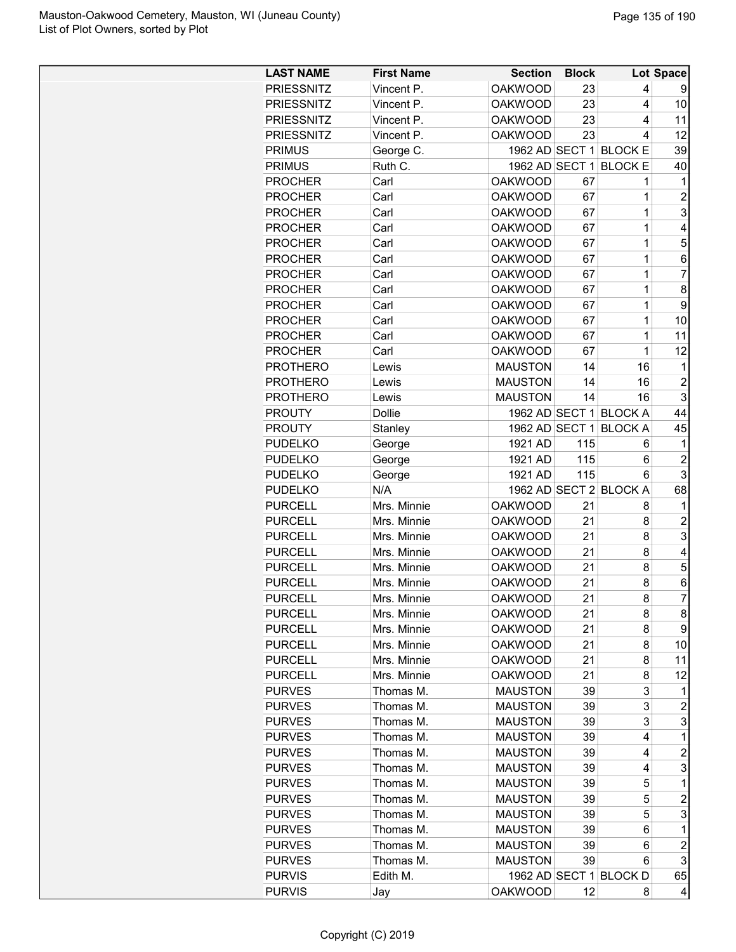| <b>LAST NAME</b>  | <b>First Name</b> | <b>Section</b> | <b>Block</b> |                        | Lot Space               |
|-------------------|-------------------|----------------|--------------|------------------------|-------------------------|
| <b>PRIESSNITZ</b> | Vincent P.        | <b>OAKWOOD</b> | 23           | 4                      | 9                       |
| <b>PRIESSNITZ</b> | Vincent P.        | <b>OAKWOOD</b> | 23           | 4                      | 10                      |
| <b>PRIESSNITZ</b> | Vincent P.        | <b>OAKWOOD</b> | 23           | 4                      | 11                      |
| <b>PRIESSNITZ</b> | Vincent P.        | <b>OAKWOOD</b> | 23           | 4                      | 12                      |
| <b>PRIMUS</b>     | George C.         |                |              | 1962 AD SECT 1 BLOCK E | 39                      |
| <b>PRIMUS</b>     | Ruth C.           | 1962 AD SECT 1 |              | <b>BLOCK E</b>         | 40                      |
| <b>PROCHER</b>    | Carl              | <b>OAKWOOD</b> | 67           | 1                      | 1                       |
| <b>PROCHER</b>    | Carl              | <b>OAKWOOD</b> | 67           | 1                      | $\overline{c}$          |
| <b>PROCHER</b>    | Carl              | <b>OAKWOOD</b> | 67           | $\mathbf 1$            | 3                       |
| <b>PROCHER</b>    | Carl              | <b>OAKWOOD</b> | 67           | $\mathbf 1$            | 4                       |
| <b>PROCHER</b>    | Carl              | <b>OAKWOOD</b> | 67           | $\mathbf 1$            | 5                       |
| <b>PROCHER</b>    | Carl              | <b>OAKWOOD</b> | 67           | 1                      | 6                       |
| <b>PROCHER</b>    | Carl              | <b>OAKWOOD</b> | 67           | 1                      | 7                       |
| <b>PROCHER</b>    | Carl              | <b>OAKWOOD</b> | 67           | 1                      | 8                       |
| <b>PROCHER</b>    | Carl              | <b>OAKWOOD</b> | 67           | 1                      | 9                       |
| <b>PROCHER</b>    | Carl              | <b>OAKWOOD</b> | 67           | 1                      | 10                      |
| <b>PROCHER</b>    | Carl              | <b>OAKWOOD</b> | 67           | 1                      | 11                      |
| <b>PROCHER</b>    | Carl              | <b>OAKWOOD</b> | 67           | $\mathbf 1$            | 12                      |
| <b>PROTHERO</b>   | Lewis             | <b>MAUSTON</b> | 14           | 16                     | 1                       |
| <b>PROTHERO</b>   | Lewis             | <b>MAUSTON</b> | 14           | 16                     | $\overline{c}$          |
| <b>PROTHERO</b>   | Lewis             | <b>MAUSTON</b> | 14           | 16                     | 3                       |
| <b>PROUTY</b>     | Dollie            |                |              | 1962 AD SECT 1 BLOCK A | 44                      |
| <b>PROUTY</b>     | Stanley           | 1962 AD SECT 1 |              | <b>BLOCK A</b>         | 45                      |
| <b>PUDELKO</b>    | George            | 1921 AD        | 115          | 6                      | 1                       |
| <b>PUDELKO</b>    | George            | 1921 AD        | 115          | 6                      | $\overline{2}$          |
| <b>PUDELKO</b>    | George            | 1921 AD        | 115          | 6                      | 3                       |
| <b>PUDELKO</b>    | N/A               |                |              | 1962 AD SECT 2 BLOCK A | 68                      |
| <b>PURCELL</b>    | Mrs. Minnie       | <b>OAKWOOD</b> | 21           | 8                      | 1                       |
| <b>PURCELL</b>    | Mrs. Minnie       | <b>OAKWOOD</b> | 21           | 8                      | $\overline{c}$          |
| <b>PURCELL</b>    | Mrs. Minnie       | <b>OAKWOOD</b> | 21           | 8                      | 3                       |
| <b>PURCELL</b>    | Mrs. Minnie       | <b>OAKWOOD</b> | 21           | 8                      | 4                       |
| <b>PURCELL</b>    | Mrs. Minnie       | <b>OAKWOOD</b> | 21           | 8                      | 5                       |
| <b>PURCELL</b>    | Mrs. Minnie       | <b>OAKWOOD</b> | 21           | 8                      | 6                       |
| <b>PURCELL</b>    | Mrs. Minnie       | <b>OAKWOOD</b> | 21           | 8                      | $\overline{7}$          |
| <b>PURCELL</b>    | Mrs. Minnie       | <b>OAKWOOD</b> | 21           | 8                      | 8                       |
| <b>PURCELL</b>    | Mrs. Minnie       | <b>OAKWOOD</b> | 21           | 8                      | 9                       |
| <b>PURCELL</b>    | Mrs. Minnie       | <b>OAKWOOD</b> | 21           | 8                      | 10                      |
| <b>PURCELL</b>    | Mrs. Minnie       | <b>OAKWOOD</b> | 21           | 8                      | 11                      |
| <b>PURCELL</b>    | Mrs. Minnie       | <b>OAKWOOD</b> | 21           | 8                      | 12                      |
| <b>PURVES</b>     | Thomas M.         | <b>MAUSTON</b> | 39           | 3                      | 1                       |
| <b>PURVES</b>     | Thomas M.         | <b>MAUSTON</b> | 39           | 3                      | 2                       |
| <b>PURVES</b>     | Thomas M.         | <b>MAUSTON</b> | 39           | 3                      | 3                       |
| <b>PURVES</b>     | Thomas M.         | <b>MAUSTON</b> | 39           | 4                      | 1                       |
| <b>PURVES</b>     | Thomas M.         | <b>MAUSTON</b> | 39           | 4                      | $\overline{\mathbf{c}}$ |
| <b>PURVES</b>     | Thomas M.         | <b>MAUSTON</b> | 39           | 4                      | 3                       |
| <b>PURVES</b>     | Thomas M.         | <b>MAUSTON</b> | 39           | 5                      | 1                       |
| <b>PURVES</b>     | Thomas M.         | <b>MAUSTON</b> | 39           | 5                      | $\overline{\mathbf{c}}$ |
| <b>PURVES</b>     | Thomas M.         | <b>MAUSTON</b> | 39           | 5                      | 3                       |
| <b>PURVES</b>     | Thomas M.         | <b>MAUSTON</b> | 39           | 6                      | 1                       |
| <b>PURVES</b>     | Thomas M.         | <b>MAUSTON</b> | 39           | 6                      | $\overline{c}$          |
| <b>PURVES</b>     | Thomas M.         | <b>MAUSTON</b> | 39           | 6                      | 3                       |
| <b>PURVIS</b>     | Edith M.          |                |              | 1962 AD SECT 1 BLOCK D | 65                      |
| <b>PURVIS</b>     | Jay               | <b>OAKWOOD</b> | 12           | 8                      | 4                       |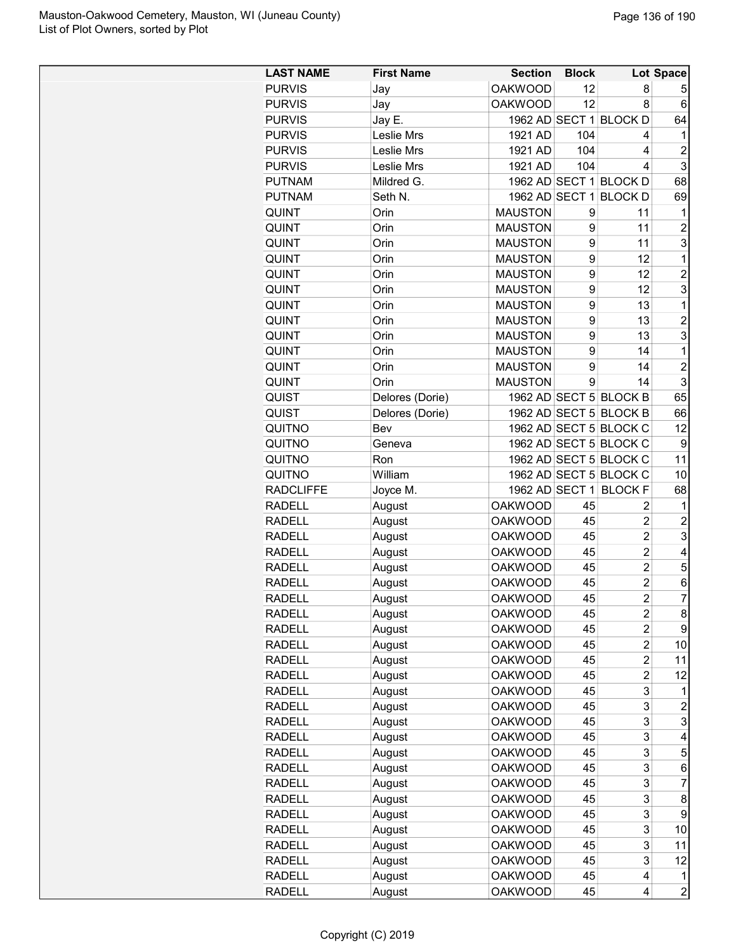| <b>LAST NAME</b> | <b>First Name</b> | <b>Section</b> | <b>Block</b> |                        | Lot Space      |
|------------------|-------------------|----------------|--------------|------------------------|----------------|
| <b>PURVIS</b>    | Jay               | <b>OAKWOOD</b> | 12           | 8                      | 5              |
| <b>PURVIS</b>    | Jay               | <b>OAKWOOD</b> | 12           | 8                      | 6              |
| <b>PURVIS</b>    | Jay E.            |                |              | 1962 AD SECT 1 BLOCK D | 64             |
| <b>PURVIS</b>    | Leslie Mrs        | 1921 AD        | 104          | 4                      | 1              |
| <b>PURVIS</b>    | Leslie Mrs        | 1921 AD        | 104          | 4                      | $\overline{c}$ |
| <b>PURVIS</b>    | Leslie Mrs        | 1921 AD        | 104          | 4                      | 3              |
| <b>PUTNAM</b>    | Mildred G.        |                |              | 1962 AD SECT 1 BLOCK D | 68             |
| <b>PUTNAM</b>    | Seth N.           |                |              | 1962 AD SECT 1 BLOCK D | 69             |
| <b>QUINT</b>     | Orin              | <b>MAUSTON</b> | 9            | 11                     | 1              |
| QUINT            | Orin              | <b>MAUSTON</b> | 9            | 11                     | $\overline{c}$ |
| QUINT            | Orin              | <b>MAUSTON</b> | 9            | 11                     | 3              |
| QUINT            | Orin              | <b>MAUSTON</b> | 9            | 12                     | 1              |
| <b>QUINT</b>     | Orin              | <b>MAUSTON</b> | 9            | 12                     | $\overline{2}$ |
| QUINT            | Orin              | <b>MAUSTON</b> | 9            | 12                     | 3              |
| <b>QUINT</b>     | Orin              | <b>MAUSTON</b> | 9            | 13                     | $\mathbf 1$    |
| QUINT            | Orin              | <b>MAUSTON</b> | 9            | 13                     | $\overline{2}$ |
| QUINT            | Orin              | <b>MAUSTON</b> | 9            | 13                     | 3              |
| QUINT            | Orin              | <b>MAUSTON</b> | 9            | 14                     | 1              |
| <b>QUINT</b>     | Orin              | <b>MAUSTON</b> | 9            | 14                     | $\overline{2}$ |
| <b>QUINT</b>     | Orin              | <b>MAUSTON</b> | 9            | 14                     | 3              |
| QUIST            | Delores (Dorie)   |                |              | 1962 AD SECT 5 BLOCK B | 65             |
| QUIST            | Delores (Dorie)   |                |              | 1962 AD SECT 5 BLOCK B | 66             |
| QUITNO           | Bev               |                |              | 1962 AD SECT 5 BLOCK C | 12             |
| QUITNO           | Geneva            |                |              | 1962 AD SECT 5 BLOCK C | 9              |
| QUITNO           | Ron               |                |              | 1962 AD SECT 5 BLOCK C | 11             |
| QUITNO           | William           |                |              | 1962 AD SECT 5 BLOCK C | 10             |
| <b>RADCLIFFE</b> | Joyce M.          |                |              | 1962 AD SECT 1 BLOCK F | 68             |
| <b>RADELL</b>    | August            | <b>OAKWOOD</b> | 45           | 2                      | 1              |
| <b>RADELL</b>    | August            | <b>OAKWOOD</b> | 45           | $\overline{c}$         | $\overline{c}$ |
| <b>RADELL</b>    | August            | <b>OAKWOOD</b> | 45           | $\overline{2}$         | 3              |
| <b>RADELL</b>    | August            | <b>OAKWOOD</b> | 45           | $\overline{2}$         | 4              |
| <b>RADELL</b>    | August            | <b>OAKWOOD</b> | 45           | $\overline{2}$         | 5              |
| <b>RADELL</b>    | August            | <b>OAKWOOD</b> | 45           | $\overline{2}$         | 6              |
| <b>RADELL</b>    | August            | <b>OAKWOOD</b> | 45           | $\overline{2}$         | $\overline{7}$ |
| <b>RADELL</b>    | August            | <b>OAKWOOD</b> | 45           | 2                      | 8              |
| <b>RADELL</b>    | August            | <b>OAKWOOD</b> | 45           | $\overline{c}$         | 9              |
| <b>RADELL</b>    | August            | <b>OAKWOOD</b> | 45           | $\overline{c}$         | 10             |
| <b>RADELL</b>    | August            | <b>OAKWOOD</b> | 45           | $\overline{c}$         | 11             |
| <b>RADELL</b>    | August            | <b>OAKWOOD</b> | 45           | $\overline{c}$         | 12             |
| <b>RADELL</b>    | August            | <b>OAKWOOD</b> | 45           | 3                      | 1              |
| <b>RADELL</b>    | August            | <b>OAKWOOD</b> | 45           | 3                      | $\overline{c}$ |
| <b>RADELL</b>    | August            | <b>OAKWOOD</b> | 45           | 3                      | 3              |
| <b>RADELL</b>    | August            | <b>OAKWOOD</b> | 45           | 3                      | 4              |
| <b>RADELL</b>    | August            | <b>OAKWOOD</b> | 45           | 3                      | 5              |
| <b>RADELL</b>    | August            | <b>OAKWOOD</b> | 45           | 3                      | 6              |
| <b>RADELL</b>    | August            | <b>OAKWOOD</b> | 45           | 3                      | 7              |
| <b>RADELL</b>    | August            | <b>OAKWOOD</b> | 45           | 3                      | 8              |
| <b>RADELL</b>    | August            | <b>OAKWOOD</b> | 45           | 3                      | 9              |
| <b>RADELL</b>    | August            | <b>OAKWOOD</b> | 45           | 3                      | 10             |
| <b>RADELL</b>    | August            | <b>OAKWOOD</b> | 45           | 3                      | 11             |
| <b>RADELL</b>    | August            | <b>OAKWOOD</b> | 45           | 3                      | 12             |
| <b>RADELL</b>    | August            | <b>OAKWOOD</b> | 45           | 4                      | 1              |
| <b>RADELL</b>    | August            | <b>OAKWOOD</b> | 45           | 4                      | $\overline{2}$ |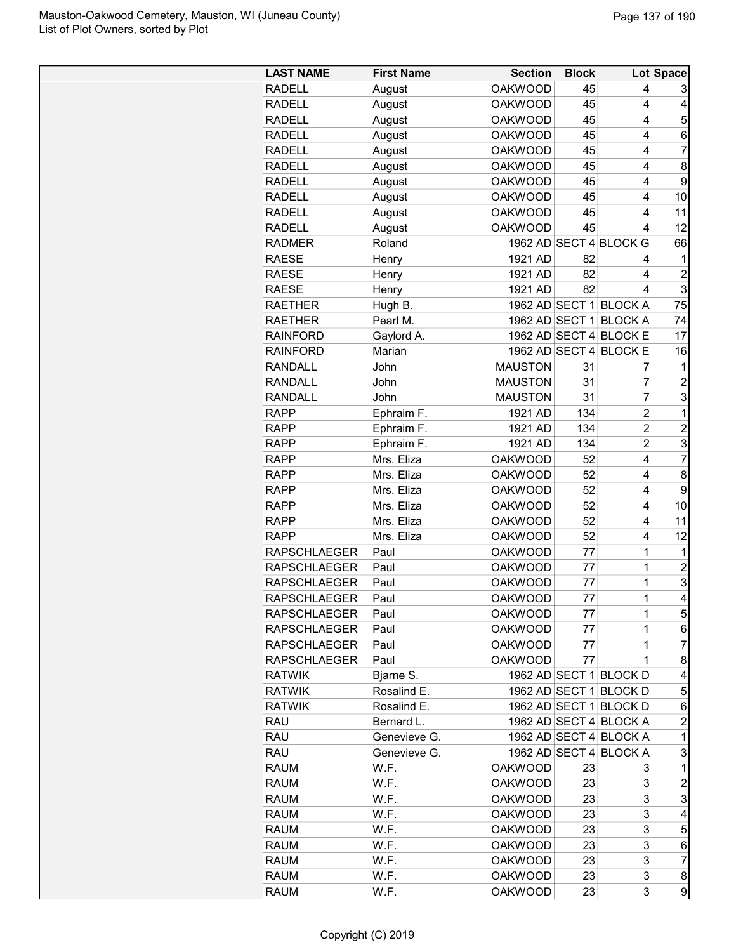| <b>RADELL</b><br>August<br><b>OAKWOOD</b><br>45<br>4<br>3<br><b>RADELL</b><br>August<br><b>OAKWOOD</b><br>45<br>4<br>4<br><b>RADELL</b><br>August<br><b>OAKWOOD</b><br>45<br>4<br>5<br><b>RADELL</b><br>August<br><b>OAKWOOD</b><br>45<br>4<br>6<br>$\overline{7}$<br><b>OAKWOOD</b><br>45<br><b>RADELL</b><br>August<br>4<br><b>RADELL</b><br><b>OAKWOOD</b><br>45<br>8<br>August<br>4<br><b>RADELL</b><br>August<br><b>OAKWOOD</b><br>45<br>9<br>4<br><b>RADELL</b><br>August<br><b>OAKWOOD</b><br>45<br>10<br>4<br><b>RADELL</b><br>August<br><b>OAKWOOD</b><br>45<br>4<br>11<br>12<br><b>RADELL</b><br>August<br><b>OAKWOOD</b><br>45<br>4<br>Roland<br>1962 AD SECT 4 BLOCK G<br><b>RADMER</b><br>66<br><b>RAESE</b><br>82<br>1921 AD<br>1<br>Henry<br>4<br>$\overline{2}$<br><b>RAESE</b><br>1921 AD<br>82<br>Henry<br>4<br>3<br><b>RAESE</b><br>Henry<br>1921 AD<br>82<br>4<br>Hugh B.<br>1962 AD SECT 1 BLOCK A<br>75<br><b>RAETHER</b><br>1962 AD SECT 1 BLOCK A<br>Pearl M.<br>74<br><b>RAETHER</b><br>1962 AD SECT 4 BLOCK E<br>17<br>Gaylord A.<br><b>RAINFORD</b><br>1962 AD SECT 4 BLOCK E<br><b>RAINFORD</b><br>Marian<br>16<br><b>MAUSTON</b><br><b>RANDALL</b><br>John<br>31<br>1<br>7<br><b>RANDALL</b><br>John<br><b>MAUSTON</b><br>31<br>7<br>$\overline{c}$<br><b>RANDALL</b><br>7<br>3<br>John<br><b>MAUSTON</b><br>31<br>134<br>$\overline{c}$<br><b>RAPP</b><br>Ephraim F.<br>1921 AD<br>1<br>$\overline{c}$<br>134<br>$\overline{c}$<br>Ephraim F.<br>1921 AD<br><b>RAPP</b><br>$\overline{c}$<br>Ephraim F.<br>3<br><b>RAPP</b><br>1921 AD<br>134<br>$\overline{7}$<br>4<br>Mrs. Eliza<br><b>OAKWOOD</b><br><b>RAPP</b><br>52<br>8<br><b>RAPP</b><br>Mrs. Eliza<br><b>OAKWOOD</b><br>52<br>4<br><b>RAPP</b><br><b>OAKWOOD</b><br>52<br>9<br>Mrs. Eliza<br>4<br><b>RAPP</b><br>Mrs. Eliza<br><b>OAKWOOD</b><br>52<br>10<br>4<br>11<br><b>RAPP</b><br>Mrs. Eliza<br><b>OAKWOOD</b><br>52<br>4<br>12<br><b>RAPP</b><br>52<br>Mrs. Eliza<br><b>OAKWOOD</b><br>4<br><b>OAKWOOD</b><br>77<br>1<br><b>RAPSCHLAEGER</b><br>Paul<br>1<br>1<br>$\overline{c}$<br><b>OAKWOOD</b><br><b>RAPSCHLAEGER</b><br>Paul<br>77<br>3<br>1<br><b>RAPSCHLAEGER</b><br>Paul<br><b>OAKWOOD</b><br>77<br>1<br>$\overline{\mathbf{4}}$<br><b>OAKWOOD</b><br>77<br><b>RAPSCHLAEGER</b><br>Paul<br>5<br><b>OAKWOOD</b><br><b>RAPSCHLAEGER</b><br>Paul<br>77<br>1<br>77<br>6<br><b>RAPSCHLAEGER</b><br>Paul<br><b>OAKWOOD</b><br>1<br>7<br><b>RAPSCHLAEGER</b><br><b>OAKWOOD</b><br>77<br>1<br>Paul<br>1<br>8<br><b>RAPSCHLAEGER</b><br>Paul<br>OAKWOOD<br>77<br>1962 AD SECT 1 BLOCK D<br><b>RATWIK</b><br>Bjarne S.<br>4<br>Rosalind E.<br>1962 AD SECT 1 BLOCK D<br><b>RATWIK</b><br>5<br>1962 AD SECT 1 BLOCK D<br><b>RATWIK</b><br>Rosalind E.<br>6<br><b>RAU</b><br>1962 AD SECT 4 BLOCK A<br>$\overline{c}$<br>Bernard L.<br><b>RAU</b><br>Genevieve G.<br>1962 AD SECT 4 BLOCK A<br>1<br>3<br>1962 AD SECT 4 BLOCK A<br><b>RAU</b><br>Genevieve G.<br><b>RAUM</b><br>W.F.<br><b>OAKWOOD</b><br>$\mathbf 1$<br>23<br>3<br>3<br>$\overline{c}$<br><b>RAUM</b><br>W.F.<br><b>OAKWOOD</b><br>23<br>3<br>3<br><b>RAUM</b><br>W.F.<br><b>OAKWOOD</b><br>23<br>3<br><b>RAUM</b><br>W.F.<br><b>OAKWOOD</b><br>23<br>4<br>W.F.<br><b>OAKWOOD</b><br>3<br>5<br><b>RAUM</b><br>23<br>W.F.<br>3<br>6<br><b>RAUM</b><br><b>OAKWOOD</b><br>23<br>W.F.<br>23<br>3<br>$\overline{7}$<br><b>RAUM</b><br><b>OAKWOOD</b><br>3<br>8<br><b>RAUM</b><br>W.F.<br><b>OAKWOOD</b><br>23 | <b>LAST NAME</b> | <b>First Name</b> | <b>Section</b> | <b>Block</b> |   | Lot Space |
|--------------------------------------------------------------------------------------------------------------------------------------------------------------------------------------------------------------------------------------------------------------------------------------------------------------------------------------------------------------------------------------------------------------------------------------------------------------------------------------------------------------------------------------------------------------------------------------------------------------------------------------------------------------------------------------------------------------------------------------------------------------------------------------------------------------------------------------------------------------------------------------------------------------------------------------------------------------------------------------------------------------------------------------------------------------------------------------------------------------------------------------------------------------------------------------------------------------------------------------------------------------------------------------------------------------------------------------------------------------------------------------------------------------------------------------------------------------------------------------------------------------------------------------------------------------------------------------------------------------------------------------------------------------------------------------------------------------------------------------------------------------------------------------------------------------------------------------------------------------------------------------------------------------------------------------------------------------------------------------------------------------------------------------------------------------------------------------------------------------------------------------------------------------------------------------------------------------------------------------------------------------------------------------------------------------------------------------------------------------------------------------------------------------------------------------------------------------------------------------------------------------------------------------------------------------------------------------------------------------------------------------------------------------------------------------------------------------------------------------------------------------------------------------------------------------------------------------------------------------------------------------------------------------------------------------------------------------------------------------------------------------------------------------------------------------------------------------------------------------------------------------------------------------------------------------------------------------------------------------------------------------------------------------------------------------------------------------------------------------------------------------------------------------------------------------------------------------------|------------------|-------------------|----------------|--------------|---|-----------|
|                                                                                                                                                                                                                                                                                                                                                                                                                                                                                                                                                                                                                                                                                                                                                                                                                                                                                                                                                                                                                                                                                                                                                                                                                                                                                                                                                                                                                                                                                                                                                                                                                                                                                                                                                                                                                                                                                                                                                                                                                                                                                                                                                                                                                                                                                                                                                                                                                                                                                                                                                                                                                                                                                                                                                                                                                                                                                                                                                                                                                                                                                                                                                                                                                                                                                                                                                                                                                                                                    |                  |                   |                |              |   |           |
|                                                                                                                                                                                                                                                                                                                                                                                                                                                                                                                                                                                                                                                                                                                                                                                                                                                                                                                                                                                                                                                                                                                                                                                                                                                                                                                                                                                                                                                                                                                                                                                                                                                                                                                                                                                                                                                                                                                                                                                                                                                                                                                                                                                                                                                                                                                                                                                                                                                                                                                                                                                                                                                                                                                                                                                                                                                                                                                                                                                                                                                                                                                                                                                                                                                                                                                                                                                                                                                                    |                  |                   |                |              |   |           |
|                                                                                                                                                                                                                                                                                                                                                                                                                                                                                                                                                                                                                                                                                                                                                                                                                                                                                                                                                                                                                                                                                                                                                                                                                                                                                                                                                                                                                                                                                                                                                                                                                                                                                                                                                                                                                                                                                                                                                                                                                                                                                                                                                                                                                                                                                                                                                                                                                                                                                                                                                                                                                                                                                                                                                                                                                                                                                                                                                                                                                                                                                                                                                                                                                                                                                                                                                                                                                                                                    |                  |                   |                |              |   |           |
|                                                                                                                                                                                                                                                                                                                                                                                                                                                                                                                                                                                                                                                                                                                                                                                                                                                                                                                                                                                                                                                                                                                                                                                                                                                                                                                                                                                                                                                                                                                                                                                                                                                                                                                                                                                                                                                                                                                                                                                                                                                                                                                                                                                                                                                                                                                                                                                                                                                                                                                                                                                                                                                                                                                                                                                                                                                                                                                                                                                                                                                                                                                                                                                                                                                                                                                                                                                                                                                                    |                  |                   |                |              |   |           |
|                                                                                                                                                                                                                                                                                                                                                                                                                                                                                                                                                                                                                                                                                                                                                                                                                                                                                                                                                                                                                                                                                                                                                                                                                                                                                                                                                                                                                                                                                                                                                                                                                                                                                                                                                                                                                                                                                                                                                                                                                                                                                                                                                                                                                                                                                                                                                                                                                                                                                                                                                                                                                                                                                                                                                                                                                                                                                                                                                                                                                                                                                                                                                                                                                                                                                                                                                                                                                                                                    |                  |                   |                |              |   |           |
|                                                                                                                                                                                                                                                                                                                                                                                                                                                                                                                                                                                                                                                                                                                                                                                                                                                                                                                                                                                                                                                                                                                                                                                                                                                                                                                                                                                                                                                                                                                                                                                                                                                                                                                                                                                                                                                                                                                                                                                                                                                                                                                                                                                                                                                                                                                                                                                                                                                                                                                                                                                                                                                                                                                                                                                                                                                                                                                                                                                                                                                                                                                                                                                                                                                                                                                                                                                                                                                                    |                  |                   |                |              |   |           |
|                                                                                                                                                                                                                                                                                                                                                                                                                                                                                                                                                                                                                                                                                                                                                                                                                                                                                                                                                                                                                                                                                                                                                                                                                                                                                                                                                                                                                                                                                                                                                                                                                                                                                                                                                                                                                                                                                                                                                                                                                                                                                                                                                                                                                                                                                                                                                                                                                                                                                                                                                                                                                                                                                                                                                                                                                                                                                                                                                                                                                                                                                                                                                                                                                                                                                                                                                                                                                                                                    |                  |                   |                |              |   |           |
|                                                                                                                                                                                                                                                                                                                                                                                                                                                                                                                                                                                                                                                                                                                                                                                                                                                                                                                                                                                                                                                                                                                                                                                                                                                                                                                                                                                                                                                                                                                                                                                                                                                                                                                                                                                                                                                                                                                                                                                                                                                                                                                                                                                                                                                                                                                                                                                                                                                                                                                                                                                                                                                                                                                                                                                                                                                                                                                                                                                                                                                                                                                                                                                                                                                                                                                                                                                                                                                                    |                  |                   |                |              |   |           |
|                                                                                                                                                                                                                                                                                                                                                                                                                                                                                                                                                                                                                                                                                                                                                                                                                                                                                                                                                                                                                                                                                                                                                                                                                                                                                                                                                                                                                                                                                                                                                                                                                                                                                                                                                                                                                                                                                                                                                                                                                                                                                                                                                                                                                                                                                                                                                                                                                                                                                                                                                                                                                                                                                                                                                                                                                                                                                                                                                                                                                                                                                                                                                                                                                                                                                                                                                                                                                                                                    |                  |                   |                |              |   |           |
|                                                                                                                                                                                                                                                                                                                                                                                                                                                                                                                                                                                                                                                                                                                                                                                                                                                                                                                                                                                                                                                                                                                                                                                                                                                                                                                                                                                                                                                                                                                                                                                                                                                                                                                                                                                                                                                                                                                                                                                                                                                                                                                                                                                                                                                                                                                                                                                                                                                                                                                                                                                                                                                                                                                                                                                                                                                                                                                                                                                                                                                                                                                                                                                                                                                                                                                                                                                                                                                                    |                  |                   |                |              |   |           |
|                                                                                                                                                                                                                                                                                                                                                                                                                                                                                                                                                                                                                                                                                                                                                                                                                                                                                                                                                                                                                                                                                                                                                                                                                                                                                                                                                                                                                                                                                                                                                                                                                                                                                                                                                                                                                                                                                                                                                                                                                                                                                                                                                                                                                                                                                                                                                                                                                                                                                                                                                                                                                                                                                                                                                                                                                                                                                                                                                                                                                                                                                                                                                                                                                                                                                                                                                                                                                                                                    |                  |                   |                |              |   |           |
|                                                                                                                                                                                                                                                                                                                                                                                                                                                                                                                                                                                                                                                                                                                                                                                                                                                                                                                                                                                                                                                                                                                                                                                                                                                                                                                                                                                                                                                                                                                                                                                                                                                                                                                                                                                                                                                                                                                                                                                                                                                                                                                                                                                                                                                                                                                                                                                                                                                                                                                                                                                                                                                                                                                                                                                                                                                                                                                                                                                                                                                                                                                                                                                                                                                                                                                                                                                                                                                                    |                  |                   |                |              |   |           |
|                                                                                                                                                                                                                                                                                                                                                                                                                                                                                                                                                                                                                                                                                                                                                                                                                                                                                                                                                                                                                                                                                                                                                                                                                                                                                                                                                                                                                                                                                                                                                                                                                                                                                                                                                                                                                                                                                                                                                                                                                                                                                                                                                                                                                                                                                                                                                                                                                                                                                                                                                                                                                                                                                                                                                                                                                                                                                                                                                                                                                                                                                                                                                                                                                                                                                                                                                                                                                                                                    |                  |                   |                |              |   |           |
|                                                                                                                                                                                                                                                                                                                                                                                                                                                                                                                                                                                                                                                                                                                                                                                                                                                                                                                                                                                                                                                                                                                                                                                                                                                                                                                                                                                                                                                                                                                                                                                                                                                                                                                                                                                                                                                                                                                                                                                                                                                                                                                                                                                                                                                                                                                                                                                                                                                                                                                                                                                                                                                                                                                                                                                                                                                                                                                                                                                                                                                                                                                                                                                                                                                                                                                                                                                                                                                                    |                  |                   |                |              |   |           |
|                                                                                                                                                                                                                                                                                                                                                                                                                                                                                                                                                                                                                                                                                                                                                                                                                                                                                                                                                                                                                                                                                                                                                                                                                                                                                                                                                                                                                                                                                                                                                                                                                                                                                                                                                                                                                                                                                                                                                                                                                                                                                                                                                                                                                                                                                                                                                                                                                                                                                                                                                                                                                                                                                                                                                                                                                                                                                                                                                                                                                                                                                                                                                                                                                                                                                                                                                                                                                                                                    |                  |                   |                |              |   |           |
|                                                                                                                                                                                                                                                                                                                                                                                                                                                                                                                                                                                                                                                                                                                                                                                                                                                                                                                                                                                                                                                                                                                                                                                                                                                                                                                                                                                                                                                                                                                                                                                                                                                                                                                                                                                                                                                                                                                                                                                                                                                                                                                                                                                                                                                                                                                                                                                                                                                                                                                                                                                                                                                                                                                                                                                                                                                                                                                                                                                                                                                                                                                                                                                                                                                                                                                                                                                                                                                                    |                  |                   |                |              |   |           |
|                                                                                                                                                                                                                                                                                                                                                                                                                                                                                                                                                                                                                                                                                                                                                                                                                                                                                                                                                                                                                                                                                                                                                                                                                                                                                                                                                                                                                                                                                                                                                                                                                                                                                                                                                                                                                                                                                                                                                                                                                                                                                                                                                                                                                                                                                                                                                                                                                                                                                                                                                                                                                                                                                                                                                                                                                                                                                                                                                                                                                                                                                                                                                                                                                                                                                                                                                                                                                                                                    |                  |                   |                |              |   |           |
|                                                                                                                                                                                                                                                                                                                                                                                                                                                                                                                                                                                                                                                                                                                                                                                                                                                                                                                                                                                                                                                                                                                                                                                                                                                                                                                                                                                                                                                                                                                                                                                                                                                                                                                                                                                                                                                                                                                                                                                                                                                                                                                                                                                                                                                                                                                                                                                                                                                                                                                                                                                                                                                                                                                                                                                                                                                                                                                                                                                                                                                                                                                                                                                                                                                                                                                                                                                                                                                                    |                  |                   |                |              |   |           |
|                                                                                                                                                                                                                                                                                                                                                                                                                                                                                                                                                                                                                                                                                                                                                                                                                                                                                                                                                                                                                                                                                                                                                                                                                                                                                                                                                                                                                                                                                                                                                                                                                                                                                                                                                                                                                                                                                                                                                                                                                                                                                                                                                                                                                                                                                                                                                                                                                                                                                                                                                                                                                                                                                                                                                                                                                                                                                                                                                                                                                                                                                                                                                                                                                                                                                                                                                                                                                                                                    |                  |                   |                |              |   |           |
|                                                                                                                                                                                                                                                                                                                                                                                                                                                                                                                                                                                                                                                                                                                                                                                                                                                                                                                                                                                                                                                                                                                                                                                                                                                                                                                                                                                                                                                                                                                                                                                                                                                                                                                                                                                                                                                                                                                                                                                                                                                                                                                                                                                                                                                                                                                                                                                                                                                                                                                                                                                                                                                                                                                                                                                                                                                                                                                                                                                                                                                                                                                                                                                                                                                                                                                                                                                                                                                                    |                  |                   |                |              |   |           |
|                                                                                                                                                                                                                                                                                                                                                                                                                                                                                                                                                                                                                                                                                                                                                                                                                                                                                                                                                                                                                                                                                                                                                                                                                                                                                                                                                                                                                                                                                                                                                                                                                                                                                                                                                                                                                                                                                                                                                                                                                                                                                                                                                                                                                                                                                                                                                                                                                                                                                                                                                                                                                                                                                                                                                                                                                                                                                                                                                                                                                                                                                                                                                                                                                                                                                                                                                                                                                                                                    |                  |                   |                |              |   |           |
|                                                                                                                                                                                                                                                                                                                                                                                                                                                                                                                                                                                                                                                                                                                                                                                                                                                                                                                                                                                                                                                                                                                                                                                                                                                                                                                                                                                                                                                                                                                                                                                                                                                                                                                                                                                                                                                                                                                                                                                                                                                                                                                                                                                                                                                                                                                                                                                                                                                                                                                                                                                                                                                                                                                                                                                                                                                                                                                                                                                                                                                                                                                                                                                                                                                                                                                                                                                                                                                                    |                  |                   |                |              |   |           |
|                                                                                                                                                                                                                                                                                                                                                                                                                                                                                                                                                                                                                                                                                                                                                                                                                                                                                                                                                                                                                                                                                                                                                                                                                                                                                                                                                                                                                                                                                                                                                                                                                                                                                                                                                                                                                                                                                                                                                                                                                                                                                                                                                                                                                                                                                                                                                                                                                                                                                                                                                                                                                                                                                                                                                                                                                                                                                                                                                                                                                                                                                                                                                                                                                                                                                                                                                                                                                                                                    |                  |                   |                |              |   |           |
|                                                                                                                                                                                                                                                                                                                                                                                                                                                                                                                                                                                                                                                                                                                                                                                                                                                                                                                                                                                                                                                                                                                                                                                                                                                                                                                                                                                                                                                                                                                                                                                                                                                                                                                                                                                                                                                                                                                                                                                                                                                                                                                                                                                                                                                                                                                                                                                                                                                                                                                                                                                                                                                                                                                                                                                                                                                                                                                                                                                                                                                                                                                                                                                                                                                                                                                                                                                                                                                                    |                  |                   |                |              |   |           |
|                                                                                                                                                                                                                                                                                                                                                                                                                                                                                                                                                                                                                                                                                                                                                                                                                                                                                                                                                                                                                                                                                                                                                                                                                                                                                                                                                                                                                                                                                                                                                                                                                                                                                                                                                                                                                                                                                                                                                                                                                                                                                                                                                                                                                                                                                                                                                                                                                                                                                                                                                                                                                                                                                                                                                                                                                                                                                                                                                                                                                                                                                                                                                                                                                                                                                                                                                                                                                                                                    |                  |                   |                |              |   |           |
|                                                                                                                                                                                                                                                                                                                                                                                                                                                                                                                                                                                                                                                                                                                                                                                                                                                                                                                                                                                                                                                                                                                                                                                                                                                                                                                                                                                                                                                                                                                                                                                                                                                                                                                                                                                                                                                                                                                                                                                                                                                                                                                                                                                                                                                                                                                                                                                                                                                                                                                                                                                                                                                                                                                                                                                                                                                                                                                                                                                                                                                                                                                                                                                                                                                                                                                                                                                                                                                                    |                  |                   |                |              |   |           |
|                                                                                                                                                                                                                                                                                                                                                                                                                                                                                                                                                                                                                                                                                                                                                                                                                                                                                                                                                                                                                                                                                                                                                                                                                                                                                                                                                                                                                                                                                                                                                                                                                                                                                                                                                                                                                                                                                                                                                                                                                                                                                                                                                                                                                                                                                                                                                                                                                                                                                                                                                                                                                                                                                                                                                                                                                                                                                                                                                                                                                                                                                                                                                                                                                                                                                                                                                                                                                                                                    |                  |                   |                |              |   |           |
|                                                                                                                                                                                                                                                                                                                                                                                                                                                                                                                                                                                                                                                                                                                                                                                                                                                                                                                                                                                                                                                                                                                                                                                                                                                                                                                                                                                                                                                                                                                                                                                                                                                                                                                                                                                                                                                                                                                                                                                                                                                                                                                                                                                                                                                                                                                                                                                                                                                                                                                                                                                                                                                                                                                                                                                                                                                                                                                                                                                                                                                                                                                                                                                                                                                                                                                                                                                                                                                                    |                  |                   |                |              |   |           |
|                                                                                                                                                                                                                                                                                                                                                                                                                                                                                                                                                                                                                                                                                                                                                                                                                                                                                                                                                                                                                                                                                                                                                                                                                                                                                                                                                                                                                                                                                                                                                                                                                                                                                                                                                                                                                                                                                                                                                                                                                                                                                                                                                                                                                                                                                                                                                                                                                                                                                                                                                                                                                                                                                                                                                                                                                                                                                                                                                                                                                                                                                                                                                                                                                                                                                                                                                                                                                                                                    |                  |                   |                |              |   |           |
|                                                                                                                                                                                                                                                                                                                                                                                                                                                                                                                                                                                                                                                                                                                                                                                                                                                                                                                                                                                                                                                                                                                                                                                                                                                                                                                                                                                                                                                                                                                                                                                                                                                                                                                                                                                                                                                                                                                                                                                                                                                                                                                                                                                                                                                                                                                                                                                                                                                                                                                                                                                                                                                                                                                                                                                                                                                                                                                                                                                                                                                                                                                                                                                                                                                                                                                                                                                                                                                                    |                  |                   |                |              |   |           |
|                                                                                                                                                                                                                                                                                                                                                                                                                                                                                                                                                                                                                                                                                                                                                                                                                                                                                                                                                                                                                                                                                                                                                                                                                                                                                                                                                                                                                                                                                                                                                                                                                                                                                                                                                                                                                                                                                                                                                                                                                                                                                                                                                                                                                                                                                                                                                                                                                                                                                                                                                                                                                                                                                                                                                                                                                                                                                                                                                                                                                                                                                                                                                                                                                                                                                                                                                                                                                                                                    |                  |                   |                |              |   |           |
|                                                                                                                                                                                                                                                                                                                                                                                                                                                                                                                                                                                                                                                                                                                                                                                                                                                                                                                                                                                                                                                                                                                                                                                                                                                                                                                                                                                                                                                                                                                                                                                                                                                                                                                                                                                                                                                                                                                                                                                                                                                                                                                                                                                                                                                                                                                                                                                                                                                                                                                                                                                                                                                                                                                                                                                                                                                                                                                                                                                                                                                                                                                                                                                                                                                                                                                                                                                                                                                                    |                  |                   |                |              |   |           |
|                                                                                                                                                                                                                                                                                                                                                                                                                                                                                                                                                                                                                                                                                                                                                                                                                                                                                                                                                                                                                                                                                                                                                                                                                                                                                                                                                                                                                                                                                                                                                                                                                                                                                                                                                                                                                                                                                                                                                                                                                                                                                                                                                                                                                                                                                                                                                                                                                                                                                                                                                                                                                                                                                                                                                                                                                                                                                                                                                                                                                                                                                                                                                                                                                                                                                                                                                                                                                                                                    |                  |                   |                |              |   |           |
|                                                                                                                                                                                                                                                                                                                                                                                                                                                                                                                                                                                                                                                                                                                                                                                                                                                                                                                                                                                                                                                                                                                                                                                                                                                                                                                                                                                                                                                                                                                                                                                                                                                                                                                                                                                                                                                                                                                                                                                                                                                                                                                                                                                                                                                                                                                                                                                                                                                                                                                                                                                                                                                                                                                                                                                                                                                                                                                                                                                                                                                                                                                                                                                                                                                                                                                                                                                                                                                                    |                  |                   |                |              |   |           |
|                                                                                                                                                                                                                                                                                                                                                                                                                                                                                                                                                                                                                                                                                                                                                                                                                                                                                                                                                                                                                                                                                                                                                                                                                                                                                                                                                                                                                                                                                                                                                                                                                                                                                                                                                                                                                                                                                                                                                                                                                                                                                                                                                                                                                                                                                                                                                                                                                                                                                                                                                                                                                                                                                                                                                                                                                                                                                                                                                                                                                                                                                                                                                                                                                                                                                                                                                                                                                                                                    |                  |                   |                |              |   |           |
|                                                                                                                                                                                                                                                                                                                                                                                                                                                                                                                                                                                                                                                                                                                                                                                                                                                                                                                                                                                                                                                                                                                                                                                                                                                                                                                                                                                                                                                                                                                                                                                                                                                                                                                                                                                                                                                                                                                                                                                                                                                                                                                                                                                                                                                                                                                                                                                                                                                                                                                                                                                                                                                                                                                                                                                                                                                                                                                                                                                                                                                                                                                                                                                                                                                                                                                                                                                                                                                                    |                  |                   |                |              |   |           |
|                                                                                                                                                                                                                                                                                                                                                                                                                                                                                                                                                                                                                                                                                                                                                                                                                                                                                                                                                                                                                                                                                                                                                                                                                                                                                                                                                                                                                                                                                                                                                                                                                                                                                                                                                                                                                                                                                                                                                                                                                                                                                                                                                                                                                                                                                                                                                                                                                                                                                                                                                                                                                                                                                                                                                                                                                                                                                                                                                                                                                                                                                                                                                                                                                                                                                                                                                                                                                                                                    |                  |                   |                |              |   |           |
|                                                                                                                                                                                                                                                                                                                                                                                                                                                                                                                                                                                                                                                                                                                                                                                                                                                                                                                                                                                                                                                                                                                                                                                                                                                                                                                                                                                                                                                                                                                                                                                                                                                                                                                                                                                                                                                                                                                                                                                                                                                                                                                                                                                                                                                                                                                                                                                                                                                                                                                                                                                                                                                                                                                                                                                                                                                                                                                                                                                                                                                                                                                                                                                                                                                                                                                                                                                                                                                                    |                  |                   |                |              |   |           |
|                                                                                                                                                                                                                                                                                                                                                                                                                                                                                                                                                                                                                                                                                                                                                                                                                                                                                                                                                                                                                                                                                                                                                                                                                                                                                                                                                                                                                                                                                                                                                                                                                                                                                                                                                                                                                                                                                                                                                                                                                                                                                                                                                                                                                                                                                                                                                                                                                                                                                                                                                                                                                                                                                                                                                                                                                                                                                                                                                                                                                                                                                                                                                                                                                                                                                                                                                                                                                                                                    |                  |                   |                |              |   |           |
|                                                                                                                                                                                                                                                                                                                                                                                                                                                                                                                                                                                                                                                                                                                                                                                                                                                                                                                                                                                                                                                                                                                                                                                                                                                                                                                                                                                                                                                                                                                                                                                                                                                                                                                                                                                                                                                                                                                                                                                                                                                                                                                                                                                                                                                                                                                                                                                                                                                                                                                                                                                                                                                                                                                                                                                                                                                                                                                                                                                                                                                                                                                                                                                                                                                                                                                                                                                                                                                                    |                  |                   |                |              |   |           |
|                                                                                                                                                                                                                                                                                                                                                                                                                                                                                                                                                                                                                                                                                                                                                                                                                                                                                                                                                                                                                                                                                                                                                                                                                                                                                                                                                                                                                                                                                                                                                                                                                                                                                                                                                                                                                                                                                                                                                                                                                                                                                                                                                                                                                                                                                                                                                                                                                                                                                                                                                                                                                                                                                                                                                                                                                                                                                                                                                                                                                                                                                                                                                                                                                                                                                                                                                                                                                                                                    |                  |                   |                |              |   |           |
|                                                                                                                                                                                                                                                                                                                                                                                                                                                                                                                                                                                                                                                                                                                                                                                                                                                                                                                                                                                                                                                                                                                                                                                                                                                                                                                                                                                                                                                                                                                                                                                                                                                                                                                                                                                                                                                                                                                                                                                                                                                                                                                                                                                                                                                                                                                                                                                                                                                                                                                                                                                                                                                                                                                                                                                                                                                                                                                                                                                                                                                                                                                                                                                                                                                                                                                                                                                                                                                                    |                  |                   |                |              |   |           |
|                                                                                                                                                                                                                                                                                                                                                                                                                                                                                                                                                                                                                                                                                                                                                                                                                                                                                                                                                                                                                                                                                                                                                                                                                                                                                                                                                                                                                                                                                                                                                                                                                                                                                                                                                                                                                                                                                                                                                                                                                                                                                                                                                                                                                                                                                                                                                                                                                                                                                                                                                                                                                                                                                                                                                                                                                                                                                                                                                                                                                                                                                                                                                                                                                                                                                                                                                                                                                                                                    |                  |                   |                |              |   |           |
|                                                                                                                                                                                                                                                                                                                                                                                                                                                                                                                                                                                                                                                                                                                                                                                                                                                                                                                                                                                                                                                                                                                                                                                                                                                                                                                                                                                                                                                                                                                                                                                                                                                                                                                                                                                                                                                                                                                                                                                                                                                                                                                                                                                                                                                                                                                                                                                                                                                                                                                                                                                                                                                                                                                                                                                                                                                                                                                                                                                                                                                                                                                                                                                                                                                                                                                                                                                                                                                                    |                  |                   |                |              |   |           |
|                                                                                                                                                                                                                                                                                                                                                                                                                                                                                                                                                                                                                                                                                                                                                                                                                                                                                                                                                                                                                                                                                                                                                                                                                                                                                                                                                                                                                                                                                                                                                                                                                                                                                                                                                                                                                                                                                                                                                                                                                                                                                                                                                                                                                                                                                                                                                                                                                                                                                                                                                                                                                                                                                                                                                                                                                                                                                                                                                                                                                                                                                                                                                                                                                                                                                                                                                                                                                                                                    |                  |                   |                |              |   |           |
|                                                                                                                                                                                                                                                                                                                                                                                                                                                                                                                                                                                                                                                                                                                                                                                                                                                                                                                                                                                                                                                                                                                                                                                                                                                                                                                                                                                                                                                                                                                                                                                                                                                                                                                                                                                                                                                                                                                                                                                                                                                                                                                                                                                                                                                                                                                                                                                                                                                                                                                                                                                                                                                                                                                                                                                                                                                                                                                                                                                                                                                                                                                                                                                                                                                                                                                                                                                                                                                                    |                  |                   |                |              |   |           |
|                                                                                                                                                                                                                                                                                                                                                                                                                                                                                                                                                                                                                                                                                                                                                                                                                                                                                                                                                                                                                                                                                                                                                                                                                                                                                                                                                                                                                                                                                                                                                                                                                                                                                                                                                                                                                                                                                                                                                                                                                                                                                                                                                                                                                                                                                                                                                                                                                                                                                                                                                                                                                                                                                                                                                                                                                                                                                                                                                                                                                                                                                                                                                                                                                                                                                                                                                                                                                                                                    |                  |                   |                |              |   |           |
|                                                                                                                                                                                                                                                                                                                                                                                                                                                                                                                                                                                                                                                                                                                                                                                                                                                                                                                                                                                                                                                                                                                                                                                                                                                                                                                                                                                                                                                                                                                                                                                                                                                                                                                                                                                                                                                                                                                                                                                                                                                                                                                                                                                                                                                                                                                                                                                                                                                                                                                                                                                                                                                                                                                                                                                                                                                                                                                                                                                                                                                                                                                                                                                                                                                                                                                                                                                                                                                                    |                  |                   |                |              |   |           |
|                                                                                                                                                                                                                                                                                                                                                                                                                                                                                                                                                                                                                                                                                                                                                                                                                                                                                                                                                                                                                                                                                                                                                                                                                                                                                                                                                                                                                                                                                                                                                                                                                                                                                                                                                                                                                                                                                                                                                                                                                                                                                                                                                                                                                                                                                                                                                                                                                                                                                                                                                                                                                                                                                                                                                                                                                                                                                                                                                                                                                                                                                                                                                                                                                                                                                                                                                                                                                                                                    |                  |                   |                |              |   |           |
|                                                                                                                                                                                                                                                                                                                                                                                                                                                                                                                                                                                                                                                                                                                                                                                                                                                                                                                                                                                                                                                                                                                                                                                                                                                                                                                                                                                                                                                                                                                                                                                                                                                                                                                                                                                                                                                                                                                                                                                                                                                                                                                                                                                                                                                                                                                                                                                                                                                                                                                                                                                                                                                                                                                                                                                                                                                                                                                                                                                                                                                                                                                                                                                                                                                                                                                                                                                                                                                                    |                  |                   |                |              |   |           |
|                                                                                                                                                                                                                                                                                                                                                                                                                                                                                                                                                                                                                                                                                                                                                                                                                                                                                                                                                                                                                                                                                                                                                                                                                                                                                                                                                                                                                                                                                                                                                                                                                                                                                                                                                                                                                                                                                                                                                                                                                                                                                                                                                                                                                                                                                                                                                                                                                                                                                                                                                                                                                                                                                                                                                                                                                                                                                                                                                                                                                                                                                                                                                                                                                                                                                                                                                                                                                                                                    |                  |                   |                |              |   |           |
|                                                                                                                                                                                                                                                                                                                                                                                                                                                                                                                                                                                                                                                                                                                                                                                                                                                                                                                                                                                                                                                                                                                                                                                                                                                                                                                                                                                                                                                                                                                                                                                                                                                                                                                                                                                                                                                                                                                                                                                                                                                                                                                                                                                                                                                                                                                                                                                                                                                                                                                                                                                                                                                                                                                                                                                                                                                                                                                                                                                                                                                                                                                                                                                                                                                                                                                                                                                                                                                                    |                  |                   |                |              |   |           |
|                                                                                                                                                                                                                                                                                                                                                                                                                                                                                                                                                                                                                                                                                                                                                                                                                                                                                                                                                                                                                                                                                                                                                                                                                                                                                                                                                                                                                                                                                                                                                                                                                                                                                                                                                                                                                                                                                                                                                                                                                                                                                                                                                                                                                                                                                                                                                                                                                                                                                                                                                                                                                                                                                                                                                                                                                                                                                                                                                                                                                                                                                                                                                                                                                                                                                                                                                                                                                                                                    | <b>RAUM</b>      | W.F.              | <b>OAKWOOD</b> | 23           | 3 | 9         |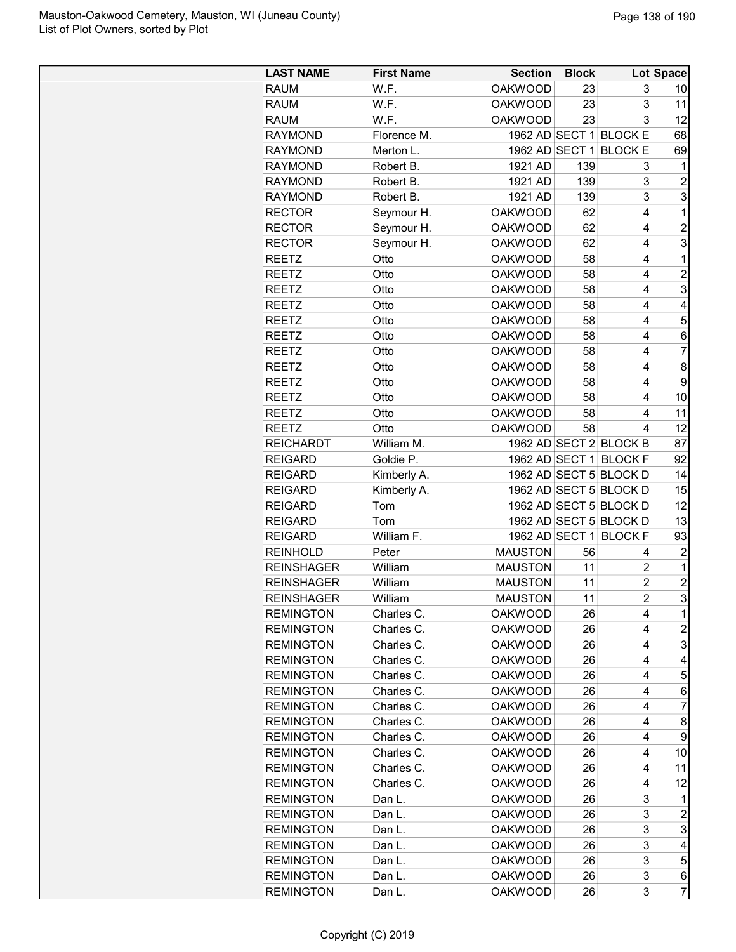| <b>LAST NAME</b>  | <b>First Name</b> | <b>Section</b> | <b>Block</b> |                        | <b>Lot Space</b> |
|-------------------|-------------------|----------------|--------------|------------------------|------------------|
| <b>RAUM</b>       | W.F.              | <b>OAKWOOD</b> | 23           | 3                      | 10               |
| RAUM              | W.F.              | <b>OAKWOOD</b> | 23           | 3                      | 11               |
| <b>RAUM</b>       | W.F.              | <b>OAKWOOD</b> | 23           | 3                      | 12               |
| <b>RAYMOND</b>    | Florence M.       |                |              | 1962 AD SECT 1 BLOCK E | 68               |
| <b>RAYMOND</b>    | Merton L.         | 1962 AD SECT 1 |              | <b>BLOCK E</b>         | 69               |
| <b>RAYMOND</b>    | Robert B.         | 1921 AD        | 139          | 3                      | 1                |
| <b>RAYMOND</b>    | Robert B.         | 1921 AD        | 139          | 3                      | $\overline{c}$   |
| <b>RAYMOND</b>    | Robert B.         | 1921 AD        | 139          | 3                      | 3                |
|                   |                   |                |              |                        | $\mathbf 1$      |
| <b>RECTOR</b>     | Seymour H.        | <b>OAKWOOD</b> | 62           | 4                      |                  |
| <b>RECTOR</b>     | Seymour H.        | <b>OAKWOOD</b> | 62           | 4                      | $\overline{2}$   |
| <b>RECTOR</b>     | Seymour H.        | <b>OAKWOOD</b> | 62           | 4                      | 3                |
| <b>REETZ</b>      | Otto              | <b>OAKWOOD</b> | 58           | 4                      | 1                |
| <b>REETZ</b>      | Otto              | <b>OAKWOOD</b> | 58           | 4                      | $\overline{2}$   |
| <b>REETZ</b>      | Otto              | <b>OAKWOOD</b> | 58           | 4                      | 3                |
| <b>REETZ</b>      | Otto              | <b>OAKWOOD</b> | 58           | 4                      | 4                |
| <b>REETZ</b>      | Otto              | <b>OAKWOOD</b> | 58           | 4                      | 5                |
| <b>REETZ</b>      | Otto              | <b>OAKWOOD</b> | 58           | 4                      | 6                |
| <b>REETZ</b>      | Otto              | <b>OAKWOOD</b> | 58           | 4                      | 7                |
| <b>REETZ</b>      | Otto              | <b>OAKWOOD</b> | 58           | 4                      | 8                |
| <b>REETZ</b>      | Otto              | <b>OAKWOOD</b> | 58           | 4                      | 9                |
| <b>REETZ</b>      | Otto              | <b>OAKWOOD</b> | 58           | 4                      | 10               |
| REETZ             | Otto              | <b>OAKWOOD</b> | 58           | 4                      | 11               |
| <b>REETZ</b>      | Otto              | <b>OAKWOOD</b> | 58           | 4                      | 12               |
| <b>REICHARDT</b>  | William M.        |                |              | 1962 AD SECT 2 BLOCK B | 87               |
| <b>REIGARD</b>    | Goldie P.         |                |              | 1962 AD SECT 1 BLOCK F | 92               |
| <b>REIGARD</b>    | Kimberly A.       |                |              | 1962 AD SECT 5 BLOCK D | 14               |
| <b>REIGARD</b>    | Kimberly A.       |                |              | 1962 AD SECT 5 BLOCK D | 15               |
| <b>REIGARD</b>    | Tom               |                |              | 1962 AD SECT 5 BLOCK D | 12               |
| <b>REIGARD</b>    | Tom               |                |              | 1962 AD SECT 5 BLOCK D | 13               |
| <b>REIGARD</b>    | William F.        | 1962 AD SECT 1 |              | <b>BLOCK F</b>         | 93               |
| <b>REINHOLD</b>   | Peter             | <b>MAUSTON</b> | 56           | 4                      | $\overline{c}$   |
| <b>REINSHAGER</b> | William           | <b>MAUSTON</b> | 11           | 2                      | $\mathbf 1$      |
| <b>REINSHAGER</b> | William           | <b>MAUSTON</b> | 11           | $\overline{c}$         | $\overline{c}$   |
| <b>REINSHAGER</b> | William           | <b>MAUSTON</b> | 11           | $\overline{c}$         | 3                |
| <b>REMINGTON</b>  | Charles C.        | <b>OAKWOOD</b> | 26           | 4                      | 1                |
| <b>REMINGTON</b>  |                   |                |              | 4                      | $\overline{c}$   |
|                   | Charles C.        | <b>OAKWOOD</b> | 26           |                        |                  |
| <b>REMINGTON</b>  | Charles C.        | <b>OAKWOOD</b> | 26           | 4                      | 3                |
| <b>REMINGTON</b>  | Charles C.        | <b>OAKWOOD</b> | 26           | 4                      | 4                |
| <b>REMINGTON</b>  | Charles C.        | <b>OAKWOOD</b> | 26           | 4                      | 5                |
| <b>REMINGTON</b>  | Charles C.        | <b>OAKWOOD</b> | 26           | 4                      | 6                |
| <b>REMINGTON</b>  | Charles C.        | <b>OAKWOOD</b> | 26           | 4                      | 7                |
| <b>REMINGTON</b>  | Charles C.        | <b>OAKWOOD</b> | 26           | 4                      | 8                |
| <b>REMINGTON</b>  | Charles C.        | <b>OAKWOOD</b> | 26           | 4                      | 9                |
| <b>REMINGTON</b>  | Charles C.        | <b>OAKWOOD</b> | 26           | 4                      | 10               |
| <b>REMINGTON</b>  | Charles C.        | <b>OAKWOOD</b> | 26           | 4                      | 11               |
| <b>REMINGTON</b>  | Charles C.        | <b>OAKWOOD</b> | 26           | 4                      | 12               |
| <b>REMINGTON</b>  | Dan L.            | <b>OAKWOOD</b> | 26           | 3                      | 1                |
| <b>REMINGTON</b>  | Dan L.            | <b>OAKWOOD</b> | 26           | 3                      | $\boldsymbol{2}$ |
| <b>REMINGTON</b>  | Dan L.            | <b>OAKWOOD</b> | 26           | 3                      | 3                |
| <b>REMINGTON</b>  | Dan L.            | <b>OAKWOOD</b> | 26           | 3                      | 4                |
| <b>REMINGTON</b>  | Dan L.            | <b>OAKWOOD</b> | 26           | 3                      | 5                |
| <b>REMINGTON</b>  | Dan L.            | <b>OAKWOOD</b> | 26           | 3                      | 6                |
| <b>REMINGTON</b>  | Dan L.            | <b>OAKWOOD</b> | 26           | 3                      | 7                |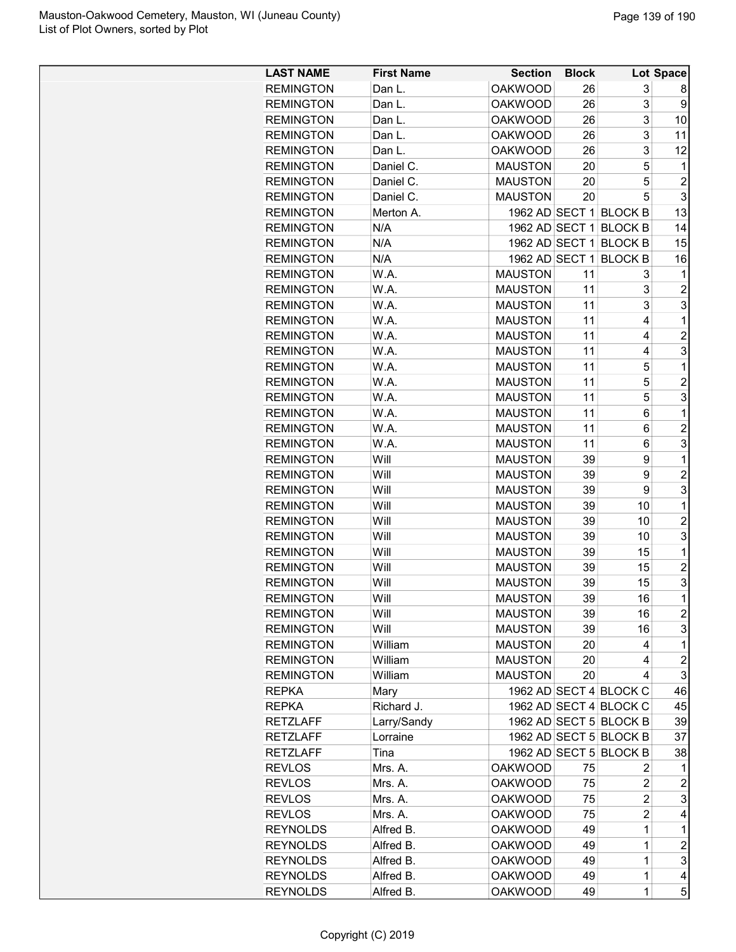| <b>LAST NAME</b> | <b>First Name</b> | <b>Section</b> | <b>Block</b> |                        | Lot Space               |
|------------------|-------------------|----------------|--------------|------------------------|-------------------------|
| <b>REMINGTON</b> | Dan L.            | <b>OAKWOOD</b> | 26           | 3                      | 8                       |
| <b>REMINGTON</b> | Dan L.            | <b>OAKWOOD</b> | 26           | 3                      | 9                       |
| <b>REMINGTON</b> | Dan L.            | <b>OAKWOOD</b> | 26           | 3                      | 10                      |
| <b>REMINGTON</b> | Dan L.            | <b>OAKWOOD</b> | 26           | 3                      | 11                      |
| <b>REMINGTON</b> | Dan L.            | <b>OAKWOOD</b> | 26           | 3                      | 12                      |
| <b>REMINGTON</b> | Daniel C.         | <b>MAUSTON</b> | 20           | 5                      | 1                       |
| <b>REMINGTON</b> | Daniel C.         | <b>MAUSTON</b> | 20           | 5                      | $\overline{c}$          |
| <b>REMINGTON</b> | Daniel C.         | <b>MAUSTON</b> | 20           | 5                      | 3                       |
| <b>REMINGTON</b> | Merton A.         |                |              | 1962 AD SECT 1 BLOCK B | 13                      |
| <b>REMINGTON</b> | N/A               |                |              | 1962 AD SECT 1 BLOCK B | 14                      |
| <b>REMINGTON</b> | N/A               | 1962 AD SECT 1 |              | <b>BLOCK B</b>         | 15                      |
| <b>REMINGTON</b> | N/A               | 1962 AD SECT 1 |              | <b>BLOCK B</b>         | 16                      |
| <b>REMINGTON</b> | W.A.              | <b>MAUSTON</b> | 11           | 3                      | 1                       |
| <b>REMINGTON</b> | W.A.              | <b>MAUSTON</b> | 11           | 3                      | $\overline{c}$          |
| <b>REMINGTON</b> | W.A.              | <b>MAUSTON</b> | 11           | 3                      | 3                       |
| <b>REMINGTON</b> | W.A.              | <b>MAUSTON</b> | 11           | 4                      | 1                       |
| <b>REMINGTON</b> | W.A.              | <b>MAUSTON</b> | 11           | 4                      | $\overline{c}$          |
| <b>REMINGTON</b> | W.A.              | <b>MAUSTON</b> | 11           | 4                      | 3                       |
| <b>REMINGTON</b> | W.A.              | <b>MAUSTON</b> | 11           | 5                      | 1                       |
| <b>REMINGTON</b> | W.A.              | <b>MAUSTON</b> | 11           | 5                      | $\overline{c}$          |
| <b>REMINGTON</b> | W.A.              | <b>MAUSTON</b> | 11           | 5                      | 3                       |
| <b>REMINGTON</b> | W.A.              | <b>MAUSTON</b> | 11           | 6                      | 1                       |
| <b>REMINGTON</b> | W.A.              | <b>MAUSTON</b> | 11           | 6                      | $\overline{2}$          |
| <b>REMINGTON</b> | W.A.              | <b>MAUSTON</b> | 11           | 6                      | 3                       |
| <b>REMINGTON</b> | Will              | <b>MAUSTON</b> | 39           | 9                      | 1                       |
| <b>REMINGTON</b> | Will              | <b>MAUSTON</b> | 39           | 9                      | $\overline{2}$          |
| <b>REMINGTON</b> | Will              | <b>MAUSTON</b> | 39           | 9                      | 3                       |
| <b>REMINGTON</b> | Will              | <b>MAUSTON</b> | 39           | 10                     | 1                       |
| <b>REMINGTON</b> | Will              | <b>MAUSTON</b> | 39           | 10                     | $\overline{c}$          |
| <b>REMINGTON</b> | Will              | <b>MAUSTON</b> | 39           | 10                     | 3                       |
| <b>REMINGTON</b> | Will              | <b>MAUSTON</b> | 39           | 15                     | 1                       |
| <b>REMINGTON</b> | Will              | <b>MAUSTON</b> | 39           | 15                     | $\overline{2}$          |
| <b>REMINGTON</b> | Will              | <b>MAUSTON</b> | 39           | 15                     | 3                       |
| <b>REMINGTON</b> | Will              | <b>MAUSTON</b> | 39           | 16                     | $\mathbf 1$             |
| <b>REMINGTON</b> | Will              | <b>MAUSTON</b> | 39           | 16                     | $\overline{c}$          |
| <b>REMINGTON</b> | Will              | <b>MAUSTON</b> | 39           | 16                     | 3                       |
| <b>REMINGTON</b> | William           | <b>MAUSTON</b> | 20           | 4                      | 1                       |
| <b>REMINGTON</b> | William           | <b>MAUSTON</b> | 20           | 4                      | $\overline{c}$          |
| <b>REMINGTON</b> | William           | <b>MAUSTON</b> | 20           | 4                      | 3                       |
| <b>REPKA</b>     | Mary              |                |              | 1962 AD SECT 4 BLOCK C | 46                      |
| <b>REPKA</b>     | Richard J.        |                |              | 1962 AD SECT 4 BLOCK C | 45                      |
| <b>RETZLAFF</b>  | Larry/Sandy       |                |              | 1962 AD SECT 5 BLOCK B | 39                      |
| <b>RETZLAFF</b>  | Lorraine          |                |              | 1962 AD SECT 5 BLOCK B | 37                      |
| <b>RETZLAFF</b>  | Tina              |                |              | 1962 AD SECT 5 BLOCK B | 38                      |
| <b>REVLOS</b>    | Mrs. A.           | <b>OAKWOOD</b> | 75           | 2                      | 1                       |
| <b>REVLOS</b>    | Mrs. A.           | <b>OAKWOOD</b> | 75           | 2                      | $\overline{\mathbf{c}}$ |
| <b>REVLOS</b>    | Mrs. A.           | <b>OAKWOOD</b> | 75           | 2                      | 3                       |
| <b>REVLOS</b>    | Mrs. A.           | <b>OAKWOOD</b> | 75           | $\overline{2}$         | 4                       |
| <b>REYNOLDS</b>  | Alfred B.         | <b>OAKWOOD</b> | 49           | 1                      | 1                       |
| <b>REYNOLDS</b>  | Alfred B.         | <b>OAKWOOD</b> | 49           | 1                      | $\overline{c}$          |
| <b>REYNOLDS</b>  | Alfred B.         | <b>OAKWOOD</b> | 49           | 1                      | 3                       |
| <b>REYNOLDS</b>  | Alfred B.         | <b>OAKWOOD</b> | 49           | $\mathbf 1$            | 4                       |
| <b>REYNOLDS</b>  | Alfred B.         | <b>OAKWOOD</b> | 49           | $\mathbf 1$            | 5                       |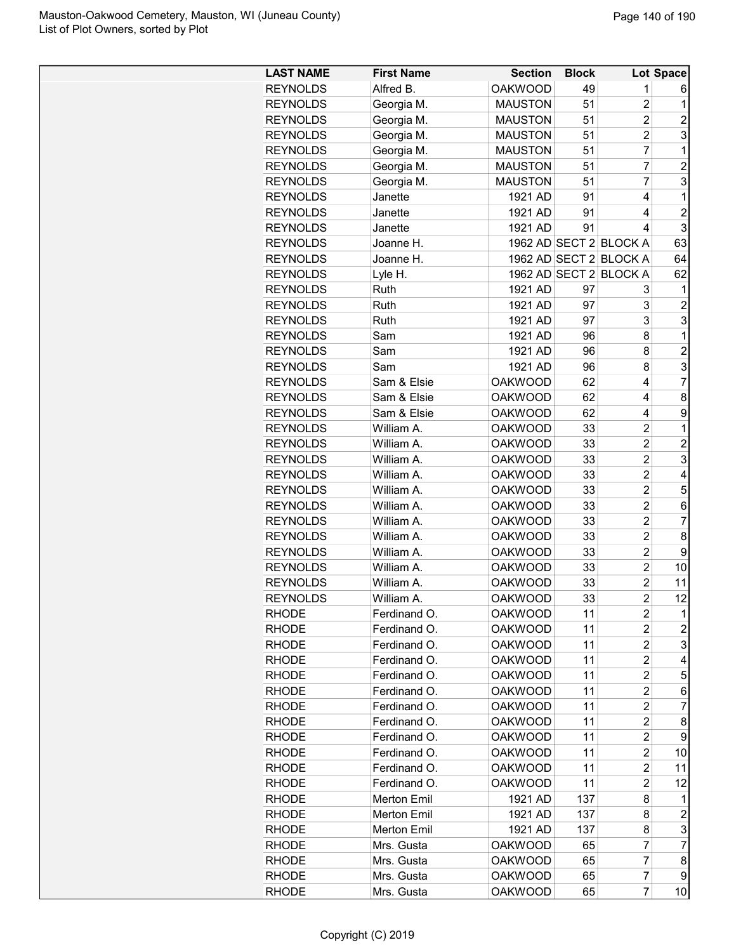| <b>LAST NAME</b> | <b>First Name</b> | <b>Section</b> | <b>Block</b> |                        | Lot Space           |
|------------------|-------------------|----------------|--------------|------------------------|---------------------|
| <b>REYNOLDS</b>  | Alfred B.         | <b>OAKWOOD</b> | 49           | 1                      | 6                   |
| <b>REYNOLDS</b>  | Georgia M.        | <b>MAUSTON</b> | 51           | $\overline{2}$         | 1                   |
| <b>REYNOLDS</b>  | Georgia M.        | <b>MAUSTON</b> | 51           | $\overline{c}$         | $\overline{2}$      |
| <b>REYNOLDS</b>  | Georgia M.        | <b>MAUSTON</b> | 51           | $\overline{2}$         | 3                   |
| <b>REYNOLDS</b>  | Georgia M.        | <b>MAUSTON</b> | 51           | $\overline{7}$         | 1                   |
| <b>REYNOLDS</b>  | Georgia M.        | <b>MAUSTON</b> | 51           | 7                      | $\overline{2}$      |
| <b>REYNOLDS</b>  | Georgia M.        | <b>MAUSTON</b> | 51           | $\overline{7}$         | 3                   |
| <b>REYNOLDS</b>  | Janette           | 1921 AD        | 91           | 4                      | 1                   |
| <b>REYNOLDS</b>  | Janette           | 1921 AD        | 91           | 4                      | $\overline{c}$      |
| <b>REYNOLDS</b>  | Janette           | 1921 AD        | 91           | 4                      | 3                   |
| <b>REYNOLDS</b>  | Joanne H.         |                |              | 1962 AD SECT 2 BLOCK A | 63                  |
| <b>REYNOLDS</b>  | Joanne H.         |                |              | 1962 AD SECT 2 BLOCK A | 64                  |
| <b>REYNOLDS</b>  |                   |                |              | 1962 AD SECT 2 BLOCK A | 62                  |
| <b>REYNOLDS</b>  | Lyle H.<br>Ruth   | 1921 AD        | 97           | 3                      |                     |
| <b>REYNOLDS</b>  | Ruth              | 1921 AD        | 97           | 3                      | 1<br>$\overline{c}$ |
|                  | Ruth              |                |              | 3                      | 3                   |
| <b>REYNOLDS</b>  |                   | 1921 AD        | 97           |                        | 1                   |
| <b>REYNOLDS</b>  | Sam               | 1921 AD        | 96           | 8                      |                     |
| <b>REYNOLDS</b>  | Sam               | 1921 AD        | 96           | 8                      | $\overline{c}$      |
| <b>REYNOLDS</b>  | Sam               | 1921 AD        | 96           | 8                      | 3                   |
| <b>REYNOLDS</b>  | Sam & Elsie       | <b>OAKWOOD</b> | 62           | 4                      | $\overline{7}$      |
| <b>REYNOLDS</b>  | Sam & Elsie       | <b>OAKWOOD</b> | 62           | 4                      | 8                   |
| <b>REYNOLDS</b>  | Sam & Elsie       | <b>OAKWOOD</b> | 62           | 4                      | 9                   |
| <b>REYNOLDS</b>  | William A.        | <b>OAKWOOD</b> | 33           | $\overline{2}$         | 1                   |
| <b>REYNOLDS</b>  | William A.        | <b>OAKWOOD</b> | 33           | $\overline{2}$         | $\overline{2}$      |
| <b>REYNOLDS</b>  | William A.        | <b>OAKWOOD</b> | 33           | $\overline{2}$         | 3                   |
| <b>REYNOLDS</b>  | William A.        | <b>OAKWOOD</b> | 33           | $\overline{2}$         | 4                   |
| <b>REYNOLDS</b>  | William A.        | <b>OAKWOOD</b> | 33           | $\overline{c}$         | 5                   |
| <b>REYNOLDS</b>  | William A.        | <b>OAKWOOD</b> | 33           | $\overline{2}$         | 6                   |
| <b>REYNOLDS</b>  | William A.        | <b>OAKWOOD</b> | 33           | $\overline{2}$         | $\overline{7}$      |
| <b>REYNOLDS</b>  | William A.        | <b>OAKWOOD</b> | 33           | $\overline{c}$         | 8                   |
| <b>REYNOLDS</b>  | William A.        | <b>OAKWOOD</b> | 33           | $\overline{2}$         | 9                   |
| <b>REYNOLDS</b>  | William A.        | <b>OAKWOOD</b> | 33           | $\overline{2}$         | 10                  |
| <b>REYNOLDS</b>  | William A.        | <b>OAKWOOD</b> | 33           | $\overline{2}$         | 11                  |
| <b>REYNOLDS</b>  | William A.        | <b>OAKWOOD</b> | 33           | $\overline{2}$         | 12                  |
| RHODE            | Ferdinand O.      | <b>OAKWOOD</b> | 11           | 2                      | 1                   |
| RHODE            | Ferdinand O.      | <b>OAKWOOD</b> | 11           | $\overline{c}$         | $\overline{c}$      |
| <b>RHODE</b>     | Ferdinand O.      | <b>OAKWOOD</b> | 11           | $\overline{c}$         | 3                   |
| <b>RHODE</b>     | Ferdinand O.      | <b>OAKWOOD</b> | 11           | 2                      | 4                   |
| <b>RHODE</b>     | Ferdinand O.      | <b>OAKWOOD</b> | 11           | $\overline{c}$         | 5                   |
| <b>RHODE</b>     | Ferdinand O.      | <b>OAKWOOD</b> | 11           | $\overline{c}$         | 6                   |
| <b>RHODE</b>     | Ferdinand O.      | <b>OAKWOOD</b> | 11           | $\overline{c}$         | 7                   |
| <b>RHODE</b>     | Ferdinand O.      | <b>OAKWOOD</b> | 11           | $\overline{c}$         | 8                   |
| <b>RHODE</b>     | Ferdinand O.      | <b>OAKWOOD</b> | 11           | $\overline{c}$         | 9                   |
| <b>RHODE</b>     | Ferdinand O.      | <b>OAKWOOD</b> | 11           | 2                      | 10                  |
| <b>RHODE</b>     | Ferdinand O.      | <b>OAKWOOD</b> | 11           | 2                      | 11                  |
| <b>RHODE</b>     | Ferdinand O.      | OAKWOOD        | 11           | 2                      | 12                  |
| <b>RHODE</b>     | Merton Emil       | 1921 AD        | 137          | 8                      | 1                   |
| <b>RHODE</b>     | Merton Emil       | 1921 AD        | 137          | 8                      | $\overline{c}$      |
| <b>RHODE</b>     | Merton Emil       | 1921 AD        | 137          | 8                      | 3                   |
| <b>RHODE</b>     | Mrs. Gusta        | <b>OAKWOOD</b> | 65           | 7                      | $\overline{7}$      |
| RHODE            | Mrs. Gusta        | <b>OAKWOOD</b> | 65           | 7                      | 8                   |
| <b>RHODE</b>     | Mrs. Gusta        | <b>OAKWOOD</b> | 65           | $\overline{7}$         | 9                   |
| <b>RHODE</b>     | Mrs. Gusta        | <b>OAKWOOD</b> | 65           | $\overline{7}$         | 10                  |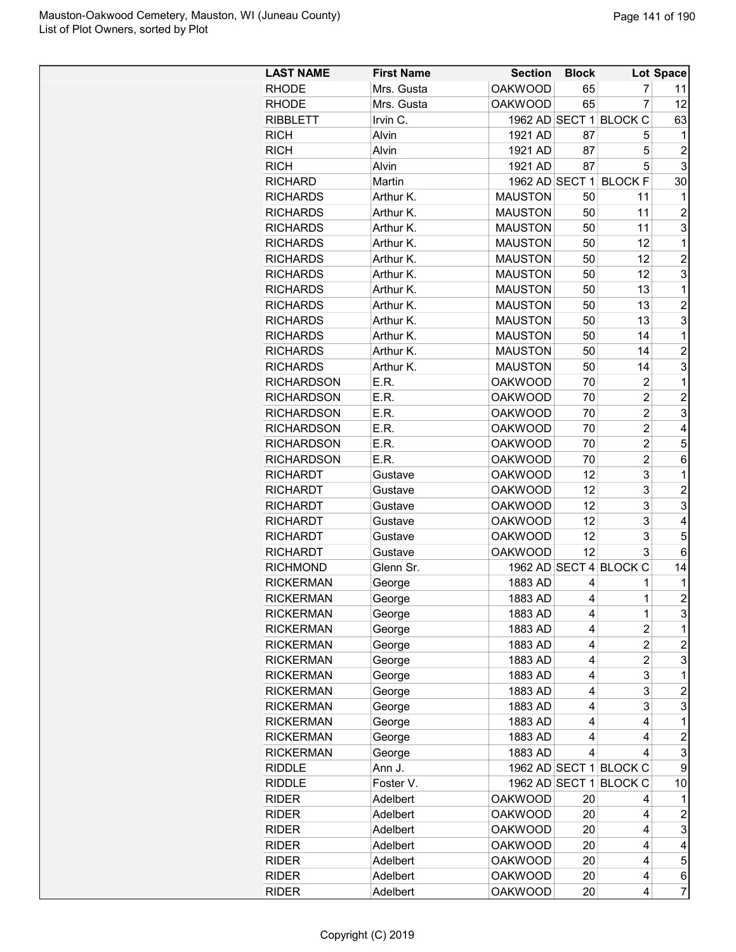| <b>LAST NAME</b>  | <b>First Name</b> | <b>Section</b> | <b>Block</b> |                        | Lot Space      |
|-------------------|-------------------|----------------|--------------|------------------------|----------------|
| <b>RHODE</b>      | Mrs. Gusta        | <b>OAKWOOD</b> | 65           | 7                      | 11             |
| <b>RHODE</b>      | Mrs. Gusta        | <b>OAKWOOD</b> | 65           | $\overline{7}$         | 12             |
| <b>RIBBLETT</b>   | Irvin C.          |                |              | 1962 AD SECT 1 BLOCK C | 63             |
| <b>RICH</b>       | Alvin             | 1921 AD        | 87           | 5                      | 1              |
| <b>RICH</b>       | Alvin             | 1921 AD        | 87           | 5                      | $\overline{2}$ |
| <b>RICH</b>       | Alvin             | 1921 AD        | 87           | 5                      | 3              |
| <b>RICHARD</b>    | Martin            | 1962 AD SECT 1 |              | <b>BLOCK F</b>         | 30             |
| <b>RICHARDS</b>   | Arthur K.         | <b>MAUSTON</b> | 50           | 11                     | 1              |
| <b>RICHARDS</b>   | Arthur K.         | <b>MAUSTON</b> | 50           | 11                     | $\overline{2}$ |
| <b>RICHARDS</b>   | Arthur K.         | <b>MAUSTON</b> | 50           | 11                     | 3              |
| <b>RICHARDS</b>   | Arthur K.         | <b>MAUSTON</b> | 50           | 12                     | 1              |
| <b>RICHARDS</b>   | Arthur K.         | <b>MAUSTON</b> | 50           | 12                     | $\overline{2}$ |
| <b>RICHARDS</b>   | Arthur K.         | <b>MAUSTON</b> | 50           | 12                     | 3              |
| <b>RICHARDS</b>   | Arthur K.         | <b>MAUSTON</b> | 50           | 13                     | 1              |
| <b>RICHARDS</b>   | Arthur K.         | <b>MAUSTON</b> | 50           | 13                     | $\overline{c}$ |
| <b>RICHARDS</b>   | Arthur K.         | <b>MAUSTON</b> | 50           | 13                     | 3              |
| <b>RICHARDS</b>   | Arthur K.         | <b>MAUSTON</b> | 50           | 14                     | 1              |
| <b>RICHARDS</b>   | Arthur K.         | <b>MAUSTON</b> | 50           | 14                     | $\overline{2}$ |
| <b>RICHARDS</b>   | Arthur K.         | <b>MAUSTON</b> | 50           | 14                     | 3              |
| <b>RICHARDSON</b> | E.R.              | <b>OAKWOOD</b> | 70           | $\overline{2}$         | 1              |
| <b>RICHARDSON</b> | E.R.              | <b>OAKWOOD</b> | 70           | $\overline{2}$         | $\overline{c}$ |
| <b>RICHARDSON</b> | E.R.              | <b>OAKWOOD</b> | 70           | $\overline{2}$         | 3              |
| <b>RICHARDSON</b> | E.R.              | <b>OAKWOOD</b> | 70           | $\overline{2}$         | 4              |
| <b>RICHARDSON</b> | E.R.              | <b>OAKWOOD</b> | 70           | $\overline{2}$         | 5              |
| <b>RICHARDSON</b> | E.R.              | <b>OAKWOOD</b> | 70           | $\overline{2}$         | 6              |
| <b>RICHARDT</b>   | Gustave           | <b>OAKWOOD</b> | 12           | 3                      | 1              |
| <b>RICHARDT</b>   | Gustave           | <b>OAKWOOD</b> | 12           | 3                      | $\overline{c}$ |
| <b>RICHARDT</b>   | Gustave           | <b>OAKWOOD</b> | 12           | 3                      | 3              |
| <b>RICHARDT</b>   | Gustave           | <b>OAKWOOD</b> | 12           | 3                      | 4              |
| <b>RICHARDT</b>   | Gustave           | <b>OAKWOOD</b> | 12           | 3                      | 5              |
| <b>RICHARDT</b>   | Gustave           | <b>OAKWOOD</b> | 12           | 3                      | 6              |
| <b>RICHMOND</b>   | Glenn Sr.         |                |              | 1962 AD SECT 4 BLOCK C | 14             |
| <b>RICKERMAN</b>  | George            | 1883 AD        | 4            | 1                      | 1              |
| <b>RICKERMAN</b>  | George            | 1883 AD        | 4            | $\mathbf 1$            | $\overline{2}$ |
| <b>RICKERMAN</b>  | George            | 1883 AD        | 4            | 1                      | 3              |
| <b>RICKERMAN</b>  | George            | 1883 AD        | 4            | $\overline{c}$         | 1              |
| <b>RICKERMAN</b>  | George            | 1883 AD        | 4            | 2                      | $\overline{c}$ |
| <b>RICKERMAN</b>  | George            | 1883 AD        | 4            | $\overline{2}$         | 3              |
| <b>RICKERMAN</b>  | George            | 1883 AD        | 4            | 3                      | 1              |
| <b>RICKERMAN</b>  | George            | 1883 AD        | 4            | 3                      | 2              |
| <b>RICKERMAN</b>  | George            | 1883 AD        | 4            | 3                      | 3              |
| <b>RICKERMAN</b>  | George            | 1883 AD        | 4            | 4                      | 1              |
| <b>RICKERMAN</b>  | George            | 1883 AD        | 4            | 4                      | $\overline{c}$ |
| <b>RICKERMAN</b>  | George            | 1883 AD        | 4            | 4                      | 3              |
| <b>RIDDLE</b>     | Ann J.            |                |              | 1962 AD SECT 1 BLOCK C | 9              |
| <b>RIDDLE</b>     | Foster V.         |                |              | 1962 AD SECT 1 BLOCK C | 10             |
| <b>RIDER</b>      | Adelbert          | <b>OAKWOOD</b> | 20           | 4                      | 1              |
| <b>RIDER</b>      | Adelbert          | <b>OAKWOOD</b> | 20           | 4                      | $\overline{c}$ |
| <b>RIDER</b>      | Adelbert          | <b>OAKWOOD</b> | 20           | 4                      | 3              |
| <b>RIDER</b>      | Adelbert          | <b>OAKWOOD</b> | 20           | 4                      | 4              |
| <b>RIDER</b>      | Adelbert          | <b>OAKWOOD</b> | 20           | 4                      | 5              |
| <b>RIDER</b>      | Adelbert          | <b>OAKWOOD</b> | 20           | 4                      | 6              |
| <b>RIDER</b>      | Adelbert          | <b>OAKWOOD</b> | 20           | 4                      | $\overline{7}$ |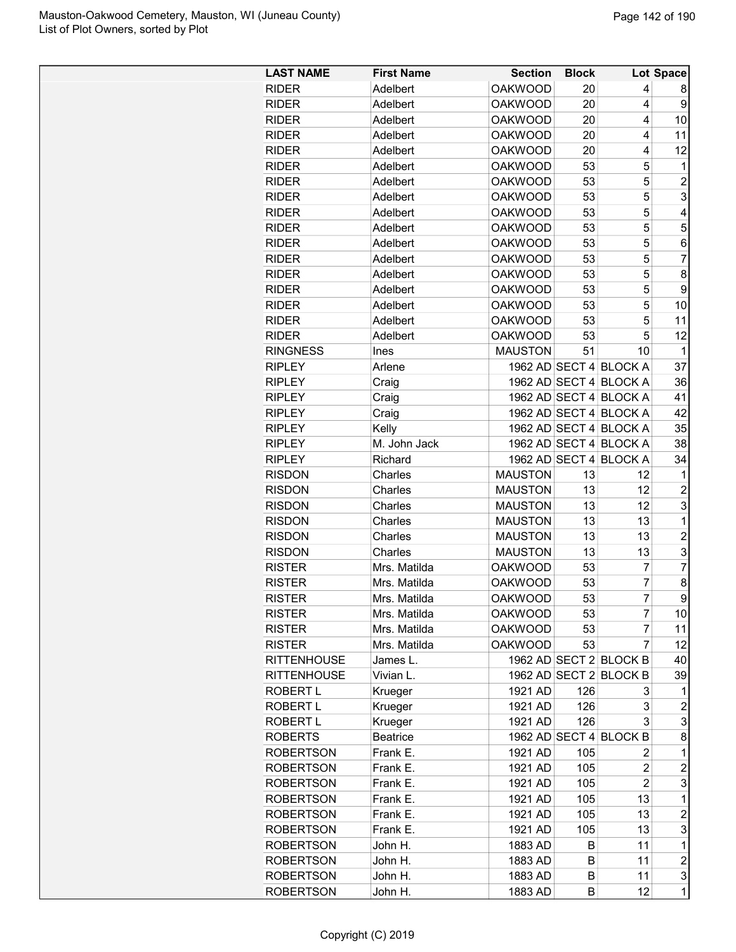| <b>LAST NAME</b>           | <b>First Name</b>  | <b>Section</b> | <b>Block</b> |                        | Lot Space      |
|----------------------------|--------------------|----------------|--------------|------------------------|----------------|
| <b>RIDER</b>               | Adelbert           | <b>OAKWOOD</b> | 20           | 4                      | 8              |
| <b>RIDER</b>               | Adelbert           | <b>OAKWOOD</b> | 20           | 4                      | 9              |
| <b>RIDER</b>               | Adelbert           | <b>OAKWOOD</b> | 20           | 4                      | 10             |
| <b>RIDER</b>               | Adelbert           | <b>OAKWOOD</b> | 20           | 4                      | 11             |
| <b>RIDER</b>               | Adelbert           | <b>OAKWOOD</b> | 20           | 4                      | 12             |
| <b>RIDER</b>               | Adelbert           | <b>OAKWOOD</b> | 53           | 5                      | 1              |
| <b>RIDER</b>               | Adelbert           | <b>OAKWOOD</b> | 53           | 5                      | $\overline{c}$ |
| <b>RIDER</b>               | Adelbert           | <b>OAKWOOD</b> | 53           | 5                      | 3              |
| <b>RIDER</b>               | Adelbert           | <b>OAKWOOD</b> | 53           | 5                      | 4              |
| <b>RIDER</b>               | Adelbert           | <b>OAKWOOD</b> | 53           | 5                      | 5              |
| <b>RIDER</b>               | Adelbert           | <b>OAKWOOD</b> | 53           | 5                      | 6              |
| <b>RIDER</b>               | Adelbert           | <b>OAKWOOD</b> | 53           | 5                      | 7              |
| <b>RIDER</b>               | Adelbert           | <b>OAKWOOD</b> | 53           | 5                      | 8              |
| <b>RIDER</b>               | Adelbert           | <b>OAKWOOD</b> | 53           | 5                      | 9              |
| <b>RIDER</b>               | Adelbert           | <b>OAKWOOD</b> | 53           | 5                      | 10             |
| <b>RIDER</b>               | Adelbert           | <b>OAKWOOD</b> | 53           | 5                      | 11             |
| <b>RIDER</b>               | Adelbert           | <b>OAKWOOD</b> | 53           | 5                      | 12             |
| <b>RINGNESS</b>            | <b>Ines</b>        | <b>MAUSTON</b> | 51           | 10                     | 1              |
| <b>RIPLEY</b>              | Arlene             |                |              | 1962 AD SECT 4 BLOCK A | 37             |
| <b>RIPLEY</b>              | Craig              |                |              | 1962 AD SECT 4 BLOCK A | 36             |
| <b>RIPLEY</b>              | Craig              |                |              | 1962 AD SECT 4 BLOCK A | 41             |
| <b>RIPLEY</b>              | Craig              |                |              | 1962 AD SECT 4 BLOCK A | 42             |
| <b>RIPLEY</b>              | Kelly              |                |              | 1962 AD SECT 4 BLOCK A | 35             |
| <b>RIPLEY</b>              | M. John Jack       |                |              | 1962 AD SECT 4 BLOCK A | 38             |
| <b>RIPLEY</b>              | Richard            |                |              | 1962 AD SECT 4 BLOCK A | 34             |
| <b>RISDON</b>              | Charles            | <b>MAUSTON</b> | 13           | 12                     | 1              |
| <b>RISDON</b>              | Charles            | <b>MAUSTON</b> | 13           | 12                     | 2              |
| <b>RISDON</b>              | Charles            | <b>MAUSTON</b> | 13           | 12                     | 3              |
| <b>RISDON</b>              | Charles            | <b>MAUSTON</b> | 13           | 13                     | 1              |
| <b>RISDON</b>              | Charles            | <b>MAUSTON</b> | 13           | 13                     | $\overline{c}$ |
| <b>RISDON</b>              | Charles            | <b>MAUSTON</b> | 13           | 13                     | 3              |
| <b>RISTER</b>              | Mrs. Matilda       | <b>OAKWOOD</b> | 53           | 7                      | 7              |
| <b>RISTER</b>              | Mrs. Matilda       | <b>OAKWOOD</b> | 53           | $\overline{7}$         | 8              |
| <b>RISTER</b>              | Mrs. Matilda       | <b>OAKWOOD</b> | 53           | $\overline{7}$         | 9              |
| <b>RISTER</b>              | Mrs. Matilda       | <b>OAKWOOD</b> | 53           | $\overline{7}$         | 10             |
| <b>RISTER</b>              | Mrs. Matilda       | <b>OAKWOOD</b> | 53           | 7                      | 11             |
| <b>RISTER</b>              | Mrs. Matilda       | <b>OAKWOOD</b> | 53           | 7                      | 12             |
| <b>RITTENHOUSE</b>         | James L.           |                |              | 1962 AD SECT 2 BLOCK B | 40             |
| <b>RITTENHOUSE</b>         | Vivian L.          |                |              | 1962 AD SECT 2 BLOCK B | 39             |
| <b>ROBERT L</b>            |                    | 1921 AD        | 126          | 3                      | 1              |
| ROBERT L                   | Krueger<br>Krueger | 1921 AD        | 126          | 3                      | 2              |
|                            |                    |                |              | 3                      | 3              |
| ROBERT L<br><b>ROBERTS</b> | Krueger            | 1921 AD        | 126          |                        |                |
|                            | <b>Beatrice</b>    |                |              | 1962 AD SECT 4 BLOCK B | 8              |
| <b>ROBERTSON</b>           | Frank E.           | 1921 AD        | 105          | 2                      | 1              |
| <b>ROBERTSON</b>           | Frank E.           | 1921 AD        | 105          | $\overline{c}$         | 2              |
| ROBERTSON                  | Frank E.           | 1921 AD        | 105          | $\overline{2}$         | 3              |
| <b>ROBERTSON</b>           | Frank E.           | 1921 AD        | 105          | 13                     | $\mathbf{1}$   |
| <b>ROBERTSON</b>           | Frank E.           | 1921 AD        | 105          | 13                     | $\overline{c}$ |
| <b>ROBERTSON</b>           | Frank E.           | 1921 AD        | 105          | 13                     | 3              |
| <b>ROBERTSON</b>           | John H.            | 1883 AD        | B            | 11                     | 1              |
| <b>ROBERTSON</b>           | John H.            | 1883 AD        | B            | 11                     | $\overline{c}$ |
| <b>ROBERTSON</b>           | John H.            | 1883 AD        | B            | 11                     | 3              |
| <b>ROBERTSON</b>           | John H.            | 1883 AD        | В            | 12                     | 1              |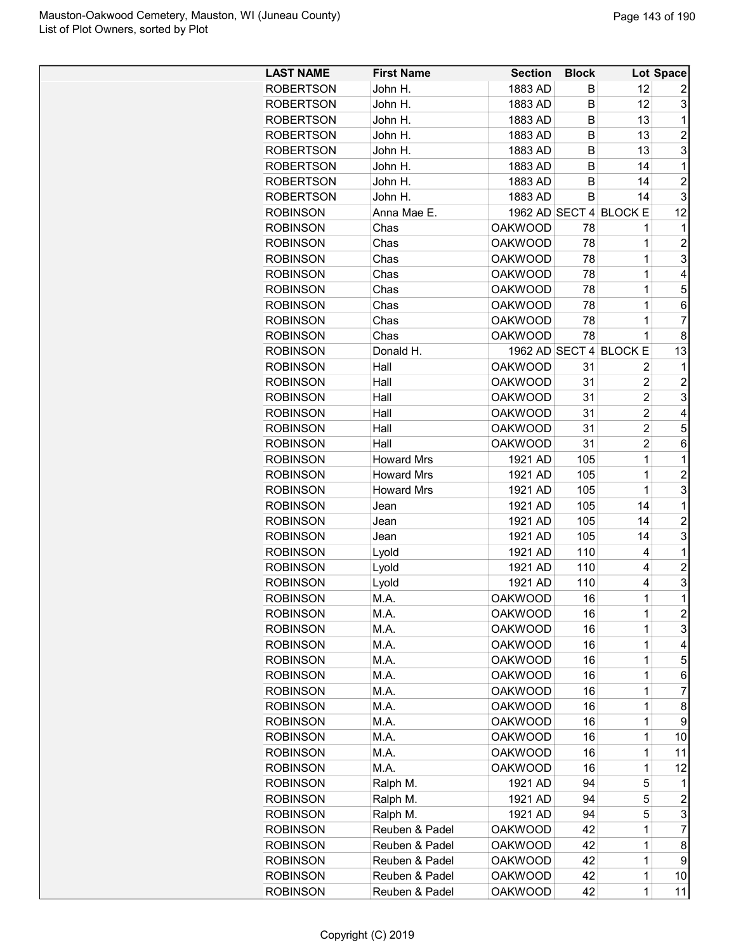| <b>LAST NAME</b> | <b>First Name</b> | <b>Section</b> | <b>Block</b> |                        | Lot Space      |
|------------------|-------------------|----------------|--------------|------------------------|----------------|
| <b>ROBERTSON</b> | John H.           | 1883 AD        | B            | 12                     | 2              |
| <b>ROBERTSON</b> | John H.           | 1883 AD        | B            | 12                     | 3              |
|                  |                   |                |              |                        |                |
| <b>ROBERTSON</b> | John H.           | 1883 AD        | B            | 13                     | 1              |
| <b>ROBERTSON</b> | John H.           | 1883 AD        | B            | 13                     | $\overline{2}$ |
| <b>ROBERTSON</b> | John H.           | 1883 AD        | в            | 13                     | 3              |
| <b>ROBERTSON</b> | John H.           | 1883 AD        | B            | 14                     | 1              |
| <b>ROBERTSON</b> | John H.           | 1883 AD        | B            | 14                     | $\overline{2}$ |
| <b>ROBERTSON</b> | John H.           | 1883 AD        | B            | 14                     | 3              |
| <b>ROBINSON</b>  | Anna Mae E.       |                |              | 1962 AD SECT 4 BLOCK E | 12             |
| <b>ROBINSON</b>  | Chas              | <b>OAKWOOD</b> | 78           | 1                      | 1              |
| <b>ROBINSON</b>  | Chas              | <b>OAKWOOD</b> | 78           | 1                      | $\overline{2}$ |
| <b>ROBINSON</b>  | Chas              | <b>OAKWOOD</b> | 78           | 1                      | 3              |
| <b>ROBINSON</b>  | Chas              | <b>OAKWOOD</b> | 78           | 1                      | 4              |
| <b>ROBINSON</b>  | Chas              | <b>OAKWOOD</b> | 78           | 1                      | 5              |
| <b>ROBINSON</b>  | Chas              | <b>OAKWOOD</b> | 78           | $\mathbf 1$            | 6              |
| <b>ROBINSON</b>  | Chas              | <b>OAKWOOD</b> | 78           | 1                      | $\overline{7}$ |
| <b>ROBINSON</b>  | Chas              | <b>OAKWOOD</b> | 78           | 1                      | 8              |
| <b>ROBINSON</b>  | Donald H.         |                |              | 1962 AD SECT 4 BLOCK E | 13             |
| <b>ROBINSON</b>  | Hall              | <b>OAKWOOD</b> | 31           | 2                      | 1              |
| <b>ROBINSON</b>  | Hall              | <b>OAKWOOD</b> | 31           | $\overline{2}$         | $\overline{c}$ |
| <b>ROBINSON</b>  | Hall              | <b>OAKWOOD</b> | 31           | $\overline{2}$         | 3              |
| <b>ROBINSON</b>  | Hall              | <b>OAKWOOD</b> | 31           | $\overline{2}$         | 4              |
| <b>ROBINSON</b>  | Hall              | <b>OAKWOOD</b> | 31           | $\overline{2}$         | 5              |
| <b>ROBINSON</b>  | Hall              | <b>OAKWOOD</b> | 31           | $\overline{2}$         | 6              |
| <b>ROBINSON</b>  | <b>Howard Mrs</b> | 1921 AD        | 105          | 1                      | 1              |
| <b>ROBINSON</b>  | <b>Howard Mrs</b> | 1921 AD        | 105          | 1                      | $\overline{2}$ |
| <b>ROBINSON</b>  | <b>Howard Mrs</b> | 1921 AD        | 105          | 1                      | 3              |
| <b>ROBINSON</b>  | Jean              | 1921 AD        | 105          | 14                     | 1              |
| <b>ROBINSON</b>  | Jean              | 1921 AD        | 105          | 14                     | $\overline{2}$ |
| <b>ROBINSON</b>  | Jean              | 1921 AD        | 105          | 14                     | 3              |
| <b>ROBINSON</b>  | Lyold             | 1921 AD        | 110          | 4                      | 1              |
| <b>ROBINSON</b>  | Lyold             | 1921 AD        | 110          | 4                      | $\overline{2}$ |
| <b>ROBINSON</b>  | Lyold             | 1921 AD        | 110          | 4                      | 3              |
| <b>ROBINSON</b>  | M.A.              | <b>OAKWOOD</b> | 16           | $\mathbf 1$            | $\overline{1}$ |
|                  |                   | <b>OAKWOOD</b> |              | 1                      | $\overline{c}$ |
| <b>ROBINSON</b>  | M.A.              |                | 16           |                        |                |
| <b>ROBINSON</b>  | M.A.              | <b>OAKWOOD</b> | 16           | $\mathbf 1$            | 3              |
| <b>ROBINSON</b>  | M.A.              | <b>OAKWOOD</b> | 16           | $\mathbf 1$            | 4              |
| <b>ROBINSON</b>  | M.A.              | <b>OAKWOOD</b> | 16           | $\mathbf 1$            | 5              |
| <b>ROBINSON</b>  | M.A.              | <b>OAKWOOD</b> | 16           | $\mathbf 1$            | 6              |
| <b>ROBINSON</b>  | M.A.              | <b>OAKWOOD</b> | 16           | 1                      | 7              |
| <b>ROBINSON</b>  | M.A.              | <b>OAKWOOD</b> | 16           | 1                      | 8              |
| <b>ROBINSON</b>  | M.A.              | <b>OAKWOOD</b> | 16           | $\mathbf 1$            | 9              |
| <b>ROBINSON</b>  | M.A.              | <b>OAKWOOD</b> | 16           | $\mathbf 1$            | 10             |
| <b>ROBINSON</b>  | M.A.              | <b>OAKWOOD</b> | 16           | 1                      | 11             |
| <b>ROBINSON</b>  | M.A.              | <b>OAKWOOD</b> | 16           | $\mathbf 1$            | 12             |
| <b>ROBINSON</b>  | Ralph M.          | 1921 AD        | 94           | 5                      | 1              |
| <b>ROBINSON</b>  | Ralph M.          | 1921 AD        | 94           | 5                      | $\overline{c}$ |
| <b>ROBINSON</b>  | Ralph M.          | 1921 AD        | 94           | 5                      | 3              |
| <b>ROBINSON</b>  | Reuben & Padel    | <b>OAKWOOD</b> | 42           | 1                      | 7              |
| <b>ROBINSON</b>  | Reuben & Padel    | <b>OAKWOOD</b> | 42           | 1                      | 8              |
| <b>ROBINSON</b>  | Reuben & Padel    | <b>OAKWOOD</b> | 42           | 1                      | 9              |
| <b>ROBINSON</b>  | Reuben & Padel    | <b>OAKWOOD</b> | 42           | $\mathbf 1$            | 10             |
| <b>ROBINSON</b>  | Reuben & Padel    | <b>OAKWOOD</b> | 42           | 1                      | 11             |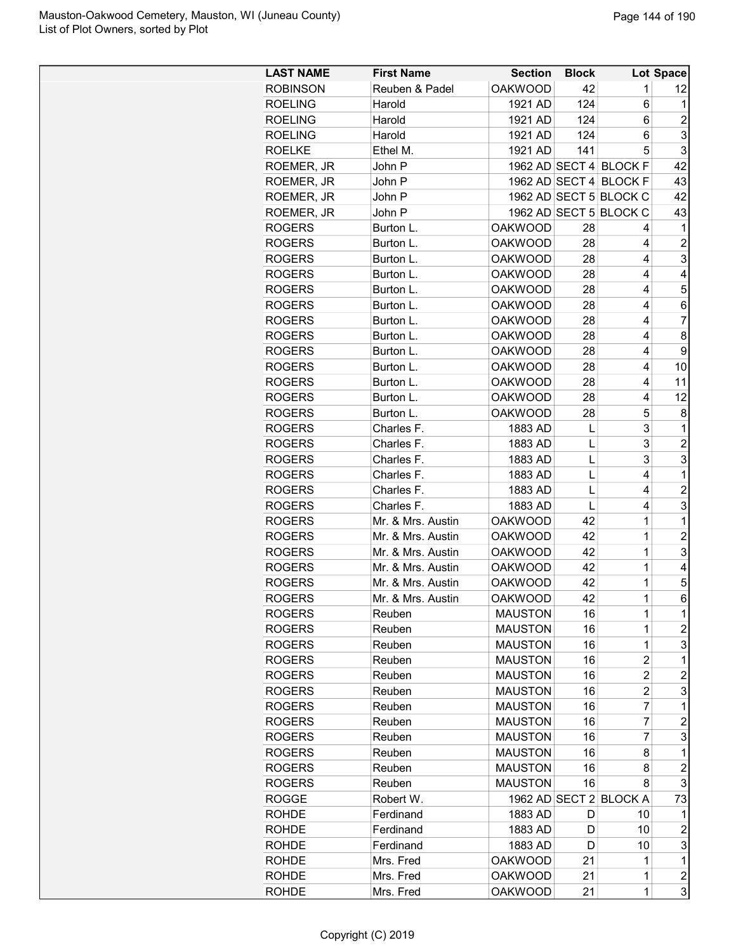| <b>LAST NAME</b> | <b>First Name</b> | <b>Section</b> | <b>Block</b> |                        | Lot Space      |
|------------------|-------------------|----------------|--------------|------------------------|----------------|
| <b>ROBINSON</b>  | Reuben & Padel    | <b>OAKWOOD</b> | 42           | 1                      | 12             |
| <b>ROELING</b>   | Harold            | 1921 AD        | 124          | 6                      | 1              |
| <b>ROELING</b>   | Harold            | 1921 AD        | 124          | 6                      | $\overline{2}$ |
| <b>ROELING</b>   | Harold            | 1921 AD        | 124          | 6                      | 3              |
| <b>ROELKE</b>    | Ethel M.          | 1921 AD        | 141          | 5                      | 3              |
| ROEMER, JR       | John P            |                |              | 1962 AD SECT 4 BLOCK F | 42             |
| ROEMER, JR       | John P            |                |              | 1962 AD SECT 4 BLOCK F | 43             |
| ROEMER, JR       | John P            |                |              | 1962 AD SECT 5 BLOCK C | 42             |
| ROEMER, JR       | John P            |                |              | 1962 AD SECT 5 BLOCK C | 43             |
| <b>ROGERS</b>    | Burton L.         | <b>OAKWOOD</b> | 28           | 4                      | 1              |
| <b>ROGERS</b>    | Burton L.         | <b>OAKWOOD</b> | 28           | 4                      | $\overline{2}$ |
| <b>ROGERS</b>    | Burton L.         | <b>OAKWOOD</b> | 28           | 4                      | 3              |
| <b>ROGERS</b>    | Burton L.         | <b>OAKWOOD</b> | 28           | 4                      | 4              |
| <b>ROGERS</b>    | Burton L.         | <b>OAKWOOD</b> | 28           | 4                      | 5              |
| <b>ROGERS</b>    | Burton L.         | <b>OAKWOOD</b> | 28           | 4                      | 6              |
| <b>ROGERS</b>    | Burton L.         | <b>OAKWOOD</b> | 28           | 4                      | 7              |
| <b>ROGERS</b>    | Burton L.         | <b>OAKWOOD</b> | 28           | 4                      | 8              |
| <b>ROGERS</b>    | Burton L.         | <b>OAKWOOD</b> | 28           | 4                      | 9              |
| <b>ROGERS</b>    | Burton L.         | <b>OAKWOOD</b> | 28           | 4                      | 10             |
| <b>ROGERS</b>    | Burton L.         | <b>OAKWOOD</b> | 28           | 4                      | 11             |
| <b>ROGERS</b>    | Burton L.         | <b>OAKWOOD</b> | 28           | 4                      | 12             |
|                  | Burton L.         |                |              | 5                      |                |
| <b>ROGERS</b>    |                   | <b>OAKWOOD</b> | 28           |                        | 8              |
| <b>ROGERS</b>    | Charles F.        | 1883 AD        | L            | 3                      | 1              |
| <b>ROGERS</b>    | Charles F.        | 1883 AD        | L            | 3                      | $\overline{2}$ |
| <b>ROGERS</b>    | Charles F.        | 1883 AD        | L            | 3                      | 3              |
| <b>ROGERS</b>    | Charles F.        | 1883 AD        | L            | 4                      | 1              |
| <b>ROGERS</b>    | Charles F.        | 1883 AD        | L            | 4                      | $\overline{2}$ |
| <b>ROGERS</b>    | Charles F.        | 1883 AD        | L            | 4                      | 3              |
| <b>ROGERS</b>    | Mr. & Mrs. Austin | <b>OAKWOOD</b> | 42           | $\mathbf{1}$           | 1              |
| <b>ROGERS</b>    | Mr. & Mrs. Austin | <b>OAKWOOD</b> | 42           | 1                      | $\overline{c}$ |
| <b>ROGERS</b>    | Mr. & Mrs. Austin | <b>OAKWOOD</b> | 42           | $\mathbf 1$            | 3              |
| <b>ROGERS</b>    | Mr. & Mrs. Austin | <b>OAKWOOD</b> | 42           | 1                      | 4              |
| <b>ROGERS</b>    | Mr. & Mrs. Austin | <b>OAKWOOD</b> | 42           | $\mathbf{1}$           | 5              |
| <b>ROGERS</b>    | Mr. & Mrs. Austin | <b>OAKWOOD</b> | 42           | $\mathbf 1$            | 6              |
| <b>ROGERS</b>    | Reuben            | <b>MAUSTON</b> | 16           | 1                      | 1              |
| <b>ROGERS</b>    | Reuben            | <b>MAUSTON</b> | 16           | 1                      | 2              |
| <b>ROGERS</b>    | Reuben            | <b>MAUSTON</b> | 16           | $\mathbf 1$            | 3              |
| <b>ROGERS</b>    | Reuben            | <b>MAUSTON</b> | 16           | $\overline{2}$         | 1              |
| <b>ROGERS</b>    | Reuben            | <b>MAUSTON</b> | 16           | $\overline{c}$         | $\overline{c}$ |
| <b>ROGERS</b>    | Reuben            | <b>MAUSTON</b> | 16           | $\overline{c}$         | 3              |
| <b>ROGERS</b>    | Reuben            | <b>MAUSTON</b> | 16           | 7                      | 1              |
| <b>ROGERS</b>    | Reuben            | <b>MAUSTON</b> | 16           | 7                      | $\overline{c}$ |
| <b>ROGERS</b>    | Reuben            | <b>MAUSTON</b> | 16           | 7                      | 3              |
| <b>ROGERS</b>    | Reuben            | <b>MAUSTON</b> | 16           | 8                      | 1              |
| <b>ROGERS</b>    | Reuben            | <b>MAUSTON</b> | 16           | 8                      | $\overline{c}$ |
| <b>ROGERS</b>    | Reuben            | <b>MAUSTON</b> | 16           | 8                      | 3              |
| ROGGE            | Robert W.         |                |              | 1962 AD SECT 2 BLOCK A | 73             |
| <b>ROHDE</b>     | Ferdinand         | 1883 AD        | D            | 10                     | 1              |
| <b>ROHDE</b>     | Ferdinand         | 1883 AD        | D            | 10                     | $\overline{c}$ |
| <b>ROHDE</b>     | Ferdinand         | 1883 AD        | D            | 10                     | 3              |
|                  |                   |                |              | 1                      | 1              |
| <b>ROHDE</b>     | Mrs. Fred         | <b>OAKWOOD</b> | 21           |                        |                |
| <b>ROHDE</b>     | Mrs. Fred         | <b>OAKWOOD</b> | 21           | 1                      | $\overline{c}$ |
| <b>ROHDE</b>     | Mrs. Fred         | <b>OAKWOOD</b> | 21           | 1                      | 3              |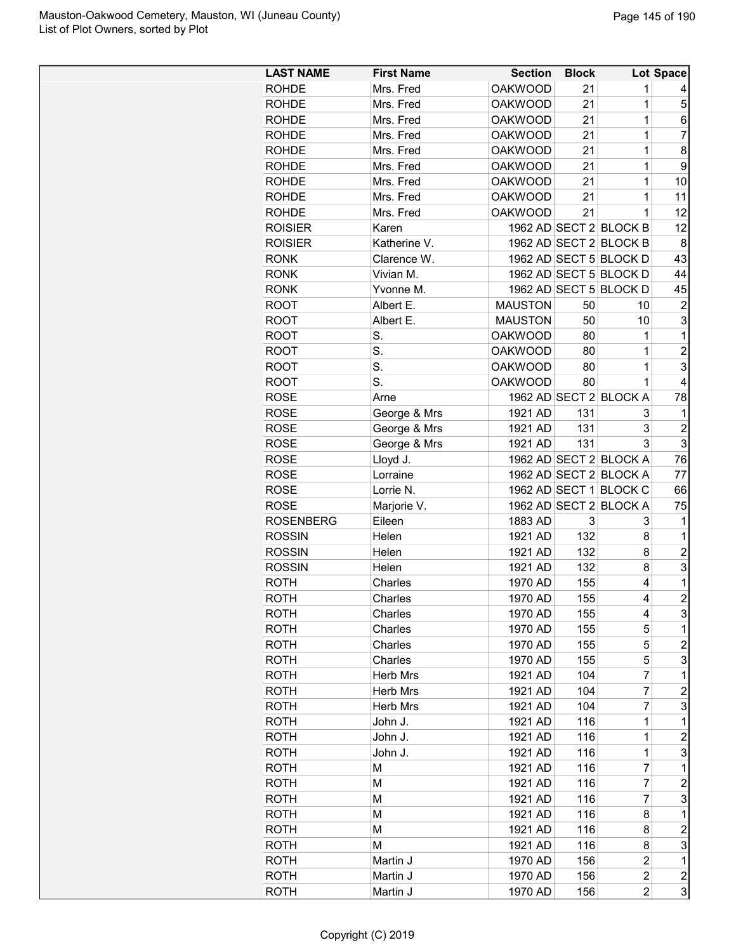| Mrs. Fred<br><b>OAKWOOD</b><br>21<br><b>ROHDE</b><br>1<br><b>OAKWOOD</b><br>21<br>1<br>5<br><b>ROHDE</b><br>Mrs. Fred<br><b>OAKWOOD</b><br>21<br>1<br><b>ROHDE</b><br>Mrs. Fred<br>6<br><b>OAKWOOD</b><br>7<br><b>ROHDE</b><br>Mrs. Fred<br>21<br>1<br>8<br><b>ROHDE</b><br>Mrs. Fred<br><b>OAKWOOD</b><br>21<br>1<br>9<br><b>ROHDE</b><br>Mrs. Fred<br><b>OAKWOOD</b><br>21<br>1<br><b>OAKWOOD</b><br>21<br>1<br>10<br><b>ROHDE</b><br>Mrs. Fred<br>Mrs. Fred<br><b>OAKWOOD</b><br>21<br>1<br>11<br><b>ROHDE</b><br><b>OAKWOOD</b><br>21<br>1<br>12<br><b>ROHDE</b><br>Mrs. Fred<br><b>ROISIER</b><br>1962 AD SECT 2 BLOCK B<br>12<br>Karen<br><b>ROISIER</b><br>Katherine V.<br>1962 AD SECT 2 BLOCK B<br>8<br>1962 AD SECT 5 BLOCK D<br>43<br><b>RONK</b><br>Clarence W.<br><b>RONK</b><br>Vivian M.<br>1962 AD SECT 5 BLOCK D<br>44<br>45<br><b>RONK</b><br>1962 AD SECT 5 BLOCK D<br>Yvonne M.<br><b>MAUSTON</b><br>50<br>$\overline{c}$<br><b>ROOT</b><br>Albert E.<br>10<br>3<br>Albert E.<br><b>MAUSTON</b><br>50<br>10<br><b>ROOT</b><br>S.<br><b>OAKWOOD</b><br>1<br><b>ROOT</b><br>80<br>1<br>S.<br><b>OAKWOOD</b><br>$\overline{2}$<br><b>ROOT</b><br>80<br>1<br>S.<br>3<br><b>OAKWOOD</b><br><b>ROOT</b><br>80<br>1<br>S.<br><b>ROOT</b><br><b>OAKWOOD</b><br>80<br>4<br>1<br>1962 AD SECT 2 BLOCK A<br><b>ROSE</b><br>78<br>Arne<br><b>ROSE</b><br>1921 AD<br>131<br>George & Mrs<br>3<br>1<br>3<br>$\boldsymbol{2}$<br><b>ROSE</b><br>George & Mrs<br>1921 AD<br>131<br>3<br>3<br><b>ROSE</b><br>George & Mrs<br>131<br>1921 AD<br><b>ROSE</b><br>1962 AD SECT 2 BLOCK A<br>76<br>Lloyd J.<br>1962 AD SECT 2 BLOCK A<br>77<br><b>ROSE</b><br>Lorraine<br><b>ROSE</b><br>Lorrie N.<br>1962 AD SECT 1 BLOCK C<br>66<br>1962 AD SECT 2 BLOCK A<br><b>ROSE</b><br>75<br>Marjorie V.<br>3<br><b>ROSENBERG</b><br>Eileen<br>1883 AD<br>3<br>1<br><b>ROSSIN</b><br>132<br>8<br>Helen<br>1921 AD<br>$\mathbf 1$<br><b>ROSSIN</b><br>Helen<br>132<br>8<br>$\overline{c}$<br>1921 AD<br>3<br><b>ROSSIN</b><br>8<br>Helen<br>132<br>1921 AD<br><b>ROTH</b><br>1970 AD<br>155<br>1<br>Charles<br>4<br>$\overline{2}$<br>155<br>4<br>ROTH<br>Charles<br>1970 AD<br>3<br>155<br>ROTH<br>Charles<br>1970 AD<br>4<br><b>ROTH</b><br>Charles<br>1970 AD<br>155<br>5<br>1<br>5<br>2<br>Charles<br>1970 AD<br>155<br><b>ROTH</b><br>3<br><b>ROTH</b><br>Charles<br>1970 AD<br>155<br>5<br>Herb Mrs<br>104<br>7<br>1<br>ROTH<br>1921 AD<br>$\overline{c}$<br><b>ROTH</b><br>Herb Mrs<br>1921 AD<br>104<br>7<br>3<br><b>ROTH</b><br>Herb Mrs<br>1921 AD<br>104<br>7<br><b>ROTH</b><br>John J.<br>1921 AD<br>116<br>1<br>1<br>$\overline{c}$<br>1921 AD<br>116<br>1<br>ROTH<br>John J.<br>116<br>1<br>3<br><b>ROTH</b><br>John J.<br>1921 AD<br>7<br><b>ROTH</b><br>М<br>1921 AD<br>116<br>1<br>$\overline{7}$<br>1921 AD<br>116<br>ROTH<br>М<br>2<br>3<br><b>ROTH</b><br>1921 AD<br>116<br>7<br>М<br><b>ROTH</b><br>1921 AD<br>116<br>1<br>М<br>8<br>116<br>$\overline{c}$<br><b>ROTH</b><br>М<br>1921 AD<br>8<br>3<br>М<br>1921 AD<br>116<br>8<br>ROTH<br>$\overline{2}$<br><b>ROTH</b><br>Martin J<br>1970 AD<br>156<br>1<br>$\overline{c}$<br><b>ROTH</b><br>Martin J<br>1970 AD<br>156<br>2<br>$\overline{2}$ | <b>LAST NAME</b> | <b>First Name</b> | <b>Section</b> | <b>Block</b> | Lot Space |
|-------------------------------------------------------------------------------------------------------------------------------------------------------------------------------------------------------------------------------------------------------------------------------------------------------------------------------------------------------------------------------------------------------------------------------------------------------------------------------------------------------------------------------------------------------------------------------------------------------------------------------------------------------------------------------------------------------------------------------------------------------------------------------------------------------------------------------------------------------------------------------------------------------------------------------------------------------------------------------------------------------------------------------------------------------------------------------------------------------------------------------------------------------------------------------------------------------------------------------------------------------------------------------------------------------------------------------------------------------------------------------------------------------------------------------------------------------------------------------------------------------------------------------------------------------------------------------------------------------------------------------------------------------------------------------------------------------------------------------------------------------------------------------------------------------------------------------------------------------------------------------------------------------------------------------------------------------------------------------------------------------------------------------------------------------------------------------------------------------------------------------------------------------------------------------------------------------------------------------------------------------------------------------------------------------------------------------------------------------------------------------------------------------------------------------------------------------------------------------------------------------------------------------------------------------------------------------------------------------------------------------------------------------------------------------------------------------------------------------------------------------------------------------------------------------------------------------------------------------------------------------------------------------------------------------------------------------------------------------------------------------------------------------------------------------------------------------------------------------------------------------------------------------------------------------------------------------------|------------------|-------------------|----------------|--------------|-----------|
|                                                                                                                                                                                                                                                                                                                                                                                                                                                                                                                                                                                                                                                                                                                                                                                                                                                                                                                                                                                                                                                                                                                                                                                                                                                                                                                                                                                                                                                                                                                                                                                                                                                                                                                                                                                                                                                                                                                                                                                                                                                                                                                                                                                                                                                                                                                                                                                                                                                                                                                                                                                                                                                                                                                                                                                                                                                                                                                                                                                                                                                                                                                                                                                                             |                  |                   |                |              |           |
|                                                                                                                                                                                                                                                                                                                                                                                                                                                                                                                                                                                                                                                                                                                                                                                                                                                                                                                                                                                                                                                                                                                                                                                                                                                                                                                                                                                                                                                                                                                                                                                                                                                                                                                                                                                                                                                                                                                                                                                                                                                                                                                                                                                                                                                                                                                                                                                                                                                                                                                                                                                                                                                                                                                                                                                                                                                                                                                                                                                                                                                                                                                                                                                                             |                  |                   |                |              |           |
|                                                                                                                                                                                                                                                                                                                                                                                                                                                                                                                                                                                                                                                                                                                                                                                                                                                                                                                                                                                                                                                                                                                                                                                                                                                                                                                                                                                                                                                                                                                                                                                                                                                                                                                                                                                                                                                                                                                                                                                                                                                                                                                                                                                                                                                                                                                                                                                                                                                                                                                                                                                                                                                                                                                                                                                                                                                                                                                                                                                                                                                                                                                                                                                                             |                  |                   |                |              |           |
|                                                                                                                                                                                                                                                                                                                                                                                                                                                                                                                                                                                                                                                                                                                                                                                                                                                                                                                                                                                                                                                                                                                                                                                                                                                                                                                                                                                                                                                                                                                                                                                                                                                                                                                                                                                                                                                                                                                                                                                                                                                                                                                                                                                                                                                                                                                                                                                                                                                                                                                                                                                                                                                                                                                                                                                                                                                                                                                                                                                                                                                                                                                                                                                                             |                  |                   |                |              |           |
|                                                                                                                                                                                                                                                                                                                                                                                                                                                                                                                                                                                                                                                                                                                                                                                                                                                                                                                                                                                                                                                                                                                                                                                                                                                                                                                                                                                                                                                                                                                                                                                                                                                                                                                                                                                                                                                                                                                                                                                                                                                                                                                                                                                                                                                                                                                                                                                                                                                                                                                                                                                                                                                                                                                                                                                                                                                                                                                                                                                                                                                                                                                                                                                                             |                  |                   |                |              |           |
|                                                                                                                                                                                                                                                                                                                                                                                                                                                                                                                                                                                                                                                                                                                                                                                                                                                                                                                                                                                                                                                                                                                                                                                                                                                                                                                                                                                                                                                                                                                                                                                                                                                                                                                                                                                                                                                                                                                                                                                                                                                                                                                                                                                                                                                                                                                                                                                                                                                                                                                                                                                                                                                                                                                                                                                                                                                                                                                                                                                                                                                                                                                                                                                                             |                  |                   |                |              |           |
|                                                                                                                                                                                                                                                                                                                                                                                                                                                                                                                                                                                                                                                                                                                                                                                                                                                                                                                                                                                                                                                                                                                                                                                                                                                                                                                                                                                                                                                                                                                                                                                                                                                                                                                                                                                                                                                                                                                                                                                                                                                                                                                                                                                                                                                                                                                                                                                                                                                                                                                                                                                                                                                                                                                                                                                                                                                                                                                                                                                                                                                                                                                                                                                                             |                  |                   |                |              |           |
|                                                                                                                                                                                                                                                                                                                                                                                                                                                                                                                                                                                                                                                                                                                                                                                                                                                                                                                                                                                                                                                                                                                                                                                                                                                                                                                                                                                                                                                                                                                                                                                                                                                                                                                                                                                                                                                                                                                                                                                                                                                                                                                                                                                                                                                                                                                                                                                                                                                                                                                                                                                                                                                                                                                                                                                                                                                                                                                                                                                                                                                                                                                                                                                                             |                  |                   |                |              |           |
|                                                                                                                                                                                                                                                                                                                                                                                                                                                                                                                                                                                                                                                                                                                                                                                                                                                                                                                                                                                                                                                                                                                                                                                                                                                                                                                                                                                                                                                                                                                                                                                                                                                                                                                                                                                                                                                                                                                                                                                                                                                                                                                                                                                                                                                                                                                                                                                                                                                                                                                                                                                                                                                                                                                                                                                                                                                                                                                                                                                                                                                                                                                                                                                                             |                  |                   |                |              |           |
|                                                                                                                                                                                                                                                                                                                                                                                                                                                                                                                                                                                                                                                                                                                                                                                                                                                                                                                                                                                                                                                                                                                                                                                                                                                                                                                                                                                                                                                                                                                                                                                                                                                                                                                                                                                                                                                                                                                                                                                                                                                                                                                                                                                                                                                                                                                                                                                                                                                                                                                                                                                                                                                                                                                                                                                                                                                                                                                                                                                                                                                                                                                                                                                                             |                  |                   |                |              |           |
|                                                                                                                                                                                                                                                                                                                                                                                                                                                                                                                                                                                                                                                                                                                                                                                                                                                                                                                                                                                                                                                                                                                                                                                                                                                                                                                                                                                                                                                                                                                                                                                                                                                                                                                                                                                                                                                                                                                                                                                                                                                                                                                                                                                                                                                                                                                                                                                                                                                                                                                                                                                                                                                                                                                                                                                                                                                                                                                                                                                                                                                                                                                                                                                                             |                  |                   |                |              |           |
|                                                                                                                                                                                                                                                                                                                                                                                                                                                                                                                                                                                                                                                                                                                                                                                                                                                                                                                                                                                                                                                                                                                                                                                                                                                                                                                                                                                                                                                                                                                                                                                                                                                                                                                                                                                                                                                                                                                                                                                                                                                                                                                                                                                                                                                                                                                                                                                                                                                                                                                                                                                                                                                                                                                                                                                                                                                                                                                                                                                                                                                                                                                                                                                                             |                  |                   |                |              |           |
|                                                                                                                                                                                                                                                                                                                                                                                                                                                                                                                                                                                                                                                                                                                                                                                                                                                                                                                                                                                                                                                                                                                                                                                                                                                                                                                                                                                                                                                                                                                                                                                                                                                                                                                                                                                                                                                                                                                                                                                                                                                                                                                                                                                                                                                                                                                                                                                                                                                                                                                                                                                                                                                                                                                                                                                                                                                                                                                                                                                                                                                                                                                                                                                                             |                  |                   |                |              |           |
|                                                                                                                                                                                                                                                                                                                                                                                                                                                                                                                                                                                                                                                                                                                                                                                                                                                                                                                                                                                                                                                                                                                                                                                                                                                                                                                                                                                                                                                                                                                                                                                                                                                                                                                                                                                                                                                                                                                                                                                                                                                                                                                                                                                                                                                                                                                                                                                                                                                                                                                                                                                                                                                                                                                                                                                                                                                                                                                                                                                                                                                                                                                                                                                                             |                  |                   |                |              |           |
|                                                                                                                                                                                                                                                                                                                                                                                                                                                                                                                                                                                                                                                                                                                                                                                                                                                                                                                                                                                                                                                                                                                                                                                                                                                                                                                                                                                                                                                                                                                                                                                                                                                                                                                                                                                                                                                                                                                                                                                                                                                                                                                                                                                                                                                                                                                                                                                                                                                                                                                                                                                                                                                                                                                                                                                                                                                                                                                                                                                                                                                                                                                                                                                                             |                  |                   |                |              |           |
|                                                                                                                                                                                                                                                                                                                                                                                                                                                                                                                                                                                                                                                                                                                                                                                                                                                                                                                                                                                                                                                                                                                                                                                                                                                                                                                                                                                                                                                                                                                                                                                                                                                                                                                                                                                                                                                                                                                                                                                                                                                                                                                                                                                                                                                                                                                                                                                                                                                                                                                                                                                                                                                                                                                                                                                                                                                                                                                                                                                                                                                                                                                                                                                                             |                  |                   |                |              |           |
|                                                                                                                                                                                                                                                                                                                                                                                                                                                                                                                                                                                                                                                                                                                                                                                                                                                                                                                                                                                                                                                                                                                                                                                                                                                                                                                                                                                                                                                                                                                                                                                                                                                                                                                                                                                                                                                                                                                                                                                                                                                                                                                                                                                                                                                                                                                                                                                                                                                                                                                                                                                                                                                                                                                                                                                                                                                                                                                                                                                                                                                                                                                                                                                                             |                  |                   |                |              |           |
|                                                                                                                                                                                                                                                                                                                                                                                                                                                                                                                                                                                                                                                                                                                                                                                                                                                                                                                                                                                                                                                                                                                                                                                                                                                                                                                                                                                                                                                                                                                                                                                                                                                                                                                                                                                                                                                                                                                                                                                                                                                                                                                                                                                                                                                                                                                                                                                                                                                                                                                                                                                                                                                                                                                                                                                                                                                                                                                                                                                                                                                                                                                                                                                                             |                  |                   |                |              |           |
|                                                                                                                                                                                                                                                                                                                                                                                                                                                                                                                                                                                                                                                                                                                                                                                                                                                                                                                                                                                                                                                                                                                                                                                                                                                                                                                                                                                                                                                                                                                                                                                                                                                                                                                                                                                                                                                                                                                                                                                                                                                                                                                                                                                                                                                                                                                                                                                                                                                                                                                                                                                                                                                                                                                                                                                                                                                                                                                                                                                                                                                                                                                                                                                                             |                  |                   |                |              |           |
|                                                                                                                                                                                                                                                                                                                                                                                                                                                                                                                                                                                                                                                                                                                                                                                                                                                                                                                                                                                                                                                                                                                                                                                                                                                                                                                                                                                                                                                                                                                                                                                                                                                                                                                                                                                                                                                                                                                                                                                                                                                                                                                                                                                                                                                                                                                                                                                                                                                                                                                                                                                                                                                                                                                                                                                                                                                                                                                                                                                                                                                                                                                                                                                                             |                  |                   |                |              |           |
|                                                                                                                                                                                                                                                                                                                                                                                                                                                                                                                                                                                                                                                                                                                                                                                                                                                                                                                                                                                                                                                                                                                                                                                                                                                                                                                                                                                                                                                                                                                                                                                                                                                                                                                                                                                                                                                                                                                                                                                                                                                                                                                                                                                                                                                                                                                                                                                                                                                                                                                                                                                                                                                                                                                                                                                                                                                                                                                                                                                                                                                                                                                                                                                                             |                  |                   |                |              |           |
|                                                                                                                                                                                                                                                                                                                                                                                                                                                                                                                                                                                                                                                                                                                                                                                                                                                                                                                                                                                                                                                                                                                                                                                                                                                                                                                                                                                                                                                                                                                                                                                                                                                                                                                                                                                                                                                                                                                                                                                                                                                                                                                                                                                                                                                                                                                                                                                                                                                                                                                                                                                                                                                                                                                                                                                                                                                                                                                                                                                                                                                                                                                                                                                                             |                  |                   |                |              |           |
|                                                                                                                                                                                                                                                                                                                                                                                                                                                                                                                                                                                                                                                                                                                                                                                                                                                                                                                                                                                                                                                                                                                                                                                                                                                                                                                                                                                                                                                                                                                                                                                                                                                                                                                                                                                                                                                                                                                                                                                                                                                                                                                                                                                                                                                                                                                                                                                                                                                                                                                                                                                                                                                                                                                                                                                                                                                                                                                                                                                                                                                                                                                                                                                                             |                  |                   |                |              |           |
|                                                                                                                                                                                                                                                                                                                                                                                                                                                                                                                                                                                                                                                                                                                                                                                                                                                                                                                                                                                                                                                                                                                                                                                                                                                                                                                                                                                                                                                                                                                                                                                                                                                                                                                                                                                                                                                                                                                                                                                                                                                                                                                                                                                                                                                                                                                                                                                                                                                                                                                                                                                                                                                                                                                                                                                                                                                                                                                                                                                                                                                                                                                                                                                                             |                  |                   |                |              |           |
|                                                                                                                                                                                                                                                                                                                                                                                                                                                                                                                                                                                                                                                                                                                                                                                                                                                                                                                                                                                                                                                                                                                                                                                                                                                                                                                                                                                                                                                                                                                                                                                                                                                                                                                                                                                                                                                                                                                                                                                                                                                                                                                                                                                                                                                                                                                                                                                                                                                                                                                                                                                                                                                                                                                                                                                                                                                                                                                                                                                                                                                                                                                                                                                                             |                  |                   |                |              |           |
|                                                                                                                                                                                                                                                                                                                                                                                                                                                                                                                                                                                                                                                                                                                                                                                                                                                                                                                                                                                                                                                                                                                                                                                                                                                                                                                                                                                                                                                                                                                                                                                                                                                                                                                                                                                                                                                                                                                                                                                                                                                                                                                                                                                                                                                                                                                                                                                                                                                                                                                                                                                                                                                                                                                                                                                                                                                                                                                                                                                                                                                                                                                                                                                                             |                  |                   |                |              |           |
|                                                                                                                                                                                                                                                                                                                                                                                                                                                                                                                                                                                                                                                                                                                                                                                                                                                                                                                                                                                                                                                                                                                                                                                                                                                                                                                                                                                                                                                                                                                                                                                                                                                                                                                                                                                                                                                                                                                                                                                                                                                                                                                                                                                                                                                                                                                                                                                                                                                                                                                                                                                                                                                                                                                                                                                                                                                                                                                                                                                                                                                                                                                                                                                                             |                  |                   |                |              |           |
|                                                                                                                                                                                                                                                                                                                                                                                                                                                                                                                                                                                                                                                                                                                                                                                                                                                                                                                                                                                                                                                                                                                                                                                                                                                                                                                                                                                                                                                                                                                                                                                                                                                                                                                                                                                                                                                                                                                                                                                                                                                                                                                                                                                                                                                                                                                                                                                                                                                                                                                                                                                                                                                                                                                                                                                                                                                                                                                                                                                                                                                                                                                                                                                                             |                  |                   |                |              |           |
|                                                                                                                                                                                                                                                                                                                                                                                                                                                                                                                                                                                                                                                                                                                                                                                                                                                                                                                                                                                                                                                                                                                                                                                                                                                                                                                                                                                                                                                                                                                                                                                                                                                                                                                                                                                                                                                                                                                                                                                                                                                                                                                                                                                                                                                                                                                                                                                                                                                                                                                                                                                                                                                                                                                                                                                                                                                                                                                                                                                                                                                                                                                                                                                                             |                  |                   |                |              |           |
|                                                                                                                                                                                                                                                                                                                                                                                                                                                                                                                                                                                                                                                                                                                                                                                                                                                                                                                                                                                                                                                                                                                                                                                                                                                                                                                                                                                                                                                                                                                                                                                                                                                                                                                                                                                                                                                                                                                                                                                                                                                                                                                                                                                                                                                                                                                                                                                                                                                                                                                                                                                                                                                                                                                                                                                                                                                                                                                                                                                                                                                                                                                                                                                                             |                  |                   |                |              |           |
|                                                                                                                                                                                                                                                                                                                                                                                                                                                                                                                                                                                                                                                                                                                                                                                                                                                                                                                                                                                                                                                                                                                                                                                                                                                                                                                                                                                                                                                                                                                                                                                                                                                                                                                                                                                                                                                                                                                                                                                                                                                                                                                                                                                                                                                                                                                                                                                                                                                                                                                                                                                                                                                                                                                                                                                                                                                                                                                                                                                                                                                                                                                                                                                                             |                  |                   |                |              |           |
|                                                                                                                                                                                                                                                                                                                                                                                                                                                                                                                                                                                                                                                                                                                                                                                                                                                                                                                                                                                                                                                                                                                                                                                                                                                                                                                                                                                                                                                                                                                                                                                                                                                                                                                                                                                                                                                                                                                                                                                                                                                                                                                                                                                                                                                                                                                                                                                                                                                                                                                                                                                                                                                                                                                                                                                                                                                                                                                                                                                                                                                                                                                                                                                                             |                  |                   |                |              |           |
|                                                                                                                                                                                                                                                                                                                                                                                                                                                                                                                                                                                                                                                                                                                                                                                                                                                                                                                                                                                                                                                                                                                                                                                                                                                                                                                                                                                                                                                                                                                                                                                                                                                                                                                                                                                                                                                                                                                                                                                                                                                                                                                                                                                                                                                                                                                                                                                                                                                                                                                                                                                                                                                                                                                                                                                                                                                                                                                                                                                                                                                                                                                                                                                                             |                  |                   |                |              |           |
|                                                                                                                                                                                                                                                                                                                                                                                                                                                                                                                                                                                                                                                                                                                                                                                                                                                                                                                                                                                                                                                                                                                                                                                                                                                                                                                                                                                                                                                                                                                                                                                                                                                                                                                                                                                                                                                                                                                                                                                                                                                                                                                                                                                                                                                                                                                                                                                                                                                                                                                                                                                                                                                                                                                                                                                                                                                                                                                                                                                                                                                                                                                                                                                                             |                  |                   |                |              |           |
|                                                                                                                                                                                                                                                                                                                                                                                                                                                                                                                                                                                                                                                                                                                                                                                                                                                                                                                                                                                                                                                                                                                                                                                                                                                                                                                                                                                                                                                                                                                                                                                                                                                                                                                                                                                                                                                                                                                                                                                                                                                                                                                                                                                                                                                                                                                                                                                                                                                                                                                                                                                                                                                                                                                                                                                                                                                                                                                                                                                                                                                                                                                                                                                                             |                  |                   |                |              |           |
|                                                                                                                                                                                                                                                                                                                                                                                                                                                                                                                                                                                                                                                                                                                                                                                                                                                                                                                                                                                                                                                                                                                                                                                                                                                                                                                                                                                                                                                                                                                                                                                                                                                                                                                                                                                                                                                                                                                                                                                                                                                                                                                                                                                                                                                                                                                                                                                                                                                                                                                                                                                                                                                                                                                                                                                                                                                                                                                                                                                                                                                                                                                                                                                                             |                  |                   |                |              |           |
|                                                                                                                                                                                                                                                                                                                                                                                                                                                                                                                                                                                                                                                                                                                                                                                                                                                                                                                                                                                                                                                                                                                                                                                                                                                                                                                                                                                                                                                                                                                                                                                                                                                                                                                                                                                                                                                                                                                                                                                                                                                                                                                                                                                                                                                                                                                                                                                                                                                                                                                                                                                                                                                                                                                                                                                                                                                                                                                                                                                                                                                                                                                                                                                                             |                  |                   |                |              |           |
|                                                                                                                                                                                                                                                                                                                                                                                                                                                                                                                                                                                                                                                                                                                                                                                                                                                                                                                                                                                                                                                                                                                                                                                                                                                                                                                                                                                                                                                                                                                                                                                                                                                                                                                                                                                                                                                                                                                                                                                                                                                                                                                                                                                                                                                                                                                                                                                                                                                                                                                                                                                                                                                                                                                                                                                                                                                                                                                                                                                                                                                                                                                                                                                                             |                  |                   |                |              |           |
|                                                                                                                                                                                                                                                                                                                                                                                                                                                                                                                                                                                                                                                                                                                                                                                                                                                                                                                                                                                                                                                                                                                                                                                                                                                                                                                                                                                                                                                                                                                                                                                                                                                                                                                                                                                                                                                                                                                                                                                                                                                                                                                                                                                                                                                                                                                                                                                                                                                                                                                                                                                                                                                                                                                                                                                                                                                                                                                                                                                                                                                                                                                                                                                                             |                  |                   |                |              |           |
|                                                                                                                                                                                                                                                                                                                                                                                                                                                                                                                                                                                                                                                                                                                                                                                                                                                                                                                                                                                                                                                                                                                                                                                                                                                                                                                                                                                                                                                                                                                                                                                                                                                                                                                                                                                                                                                                                                                                                                                                                                                                                                                                                                                                                                                                                                                                                                                                                                                                                                                                                                                                                                                                                                                                                                                                                                                                                                                                                                                                                                                                                                                                                                                                             |                  |                   |                |              |           |
|                                                                                                                                                                                                                                                                                                                                                                                                                                                                                                                                                                                                                                                                                                                                                                                                                                                                                                                                                                                                                                                                                                                                                                                                                                                                                                                                                                                                                                                                                                                                                                                                                                                                                                                                                                                                                                                                                                                                                                                                                                                                                                                                                                                                                                                                                                                                                                                                                                                                                                                                                                                                                                                                                                                                                                                                                                                                                                                                                                                                                                                                                                                                                                                                             |                  |                   |                |              |           |
|                                                                                                                                                                                                                                                                                                                                                                                                                                                                                                                                                                                                                                                                                                                                                                                                                                                                                                                                                                                                                                                                                                                                                                                                                                                                                                                                                                                                                                                                                                                                                                                                                                                                                                                                                                                                                                                                                                                                                                                                                                                                                                                                                                                                                                                                                                                                                                                                                                                                                                                                                                                                                                                                                                                                                                                                                                                                                                                                                                                                                                                                                                                                                                                                             |                  |                   |                |              |           |
|                                                                                                                                                                                                                                                                                                                                                                                                                                                                                                                                                                                                                                                                                                                                                                                                                                                                                                                                                                                                                                                                                                                                                                                                                                                                                                                                                                                                                                                                                                                                                                                                                                                                                                                                                                                                                                                                                                                                                                                                                                                                                                                                                                                                                                                                                                                                                                                                                                                                                                                                                                                                                                                                                                                                                                                                                                                                                                                                                                                                                                                                                                                                                                                                             |                  |                   |                |              |           |
|                                                                                                                                                                                                                                                                                                                                                                                                                                                                                                                                                                                                                                                                                                                                                                                                                                                                                                                                                                                                                                                                                                                                                                                                                                                                                                                                                                                                                                                                                                                                                                                                                                                                                                                                                                                                                                                                                                                                                                                                                                                                                                                                                                                                                                                                                                                                                                                                                                                                                                                                                                                                                                                                                                                                                                                                                                                                                                                                                                                                                                                                                                                                                                                                             |                  |                   |                |              |           |
|                                                                                                                                                                                                                                                                                                                                                                                                                                                                                                                                                                                                                                                                                                                                                                                                                                                                                                                                                                                                                                                                                                                                                                                                                                                                                                                                                                                                                                                                                                                                                                                                                                                                                                                                                                                                                                                                                                                                                                                                                                                                                                                                                                                                                                                                                                                                                                                                                                                                                                                                                                                                                                                                                                                                                                                                                                                                                                                                                                                                                                                                                                                                                                                                             |                  |                   |                |              |           |
|                                                                                                                                                                                                                                                                                                                                                                                                                                                                                                                                                                                                                                                                                                                                                                                                                                                                                                                                                                                                                                                                                                                                                                                                                                                                                                                                                                                                                                                                                                                                                                                                                                                                                                                                                                                                                                                                                                                                                                                                                                                                                                                                                                                                                                                                                                                                                                                                                                                                                                                                                                                                                                                                                                                                                                                                                                                                                                                                                                                                                                                                                                                                                                                                             |                  |                   |                |              |           |
|                                                                                                                                                                                                                                                                                                                                                                                                                                                                                                                                                                                                                                                                                                                                                                                                                                                                                                                                                                                                                                                                                                                                                                                                                                                                                                                                                                                                                                                                                                                                                                                                                                                                                                                                                                                                                                                                                                                                                                                                                                                                                                                                                                                                                                                                                                                                                                                                                                                                                                                                                                                                                                                                                                                                                                                                                                                                                                                                                                                                                                                                                                                                                                                                             |                  |                   |                |              |           |
|                                                                                                                                                                                                                                                                                                                                                                                                                                                                                                                                                                                                                                                                                                                                                                                                                                                                                                                                                                                                                                                                                                                                                                                                                                                                                                                                                                                                                                                                                                                                                                                                                                                                                                                                                                                                                                                                                                                                                                                                                                                                                                                                                                                                                                                                                                                                                                                                                                                                                                                                                                                                                                                                                                                                                                                                                                                                                                                                                                                                                                                                                                                                                                                                             |                  |                   |                |              |           |
|                                                                                                                                                                                                                                                                                                                                                                                                                                                                                                                                                                                                                                                                                                                                                                                                                                                                                                                                                                                                                                                                                                                                                                                                                                                                                                                                                                                                                                                                                                                                                                                                                                                                                                                                                                                                                                                                                                                                                                                                                                                                                                                                                                                                                                                                                                                                                                                                                                                                                                                                                                                                                                                                                                                                                                                                                                                                                                                                                                                                                                                                                                                                                                                                             |                  |                   |                |              |           |
|                                                                                                                                                                                                                                                                                                                                                                                                                                                                                                                                                                                                                                                                                                                                                                                                                                                                                                                                                                                                                                                                                                                                                                                                                                                                                                                                                                                                                                                                                                                                                                                                                                                                                                                                                                                                                                                                                                                                                                                                                                                                                                                                                                                                                                                                                                                                                                                                                                                                                                                                                                                                                                                                                                                                                                                                                                                                                                                                                                                                                                                                                                                                                                                                             |                  |                   |                |              |           |
|                                                                                                                                                                                                                                                                                                                                                                                                                                                                                                                                                                                                                                                                                                                                                                                                                                                                                                                                                                                                                                                                                                                                                                                                                                                                                                                                                                                                                                                                                                                                                                                                                                                                                                                                                                                                                                                                                                                                                                                                                                                                                                                                                                                                                                                                                                                                                                                                                                                                                                                                                                                                                                                                                                                                                                                                                                                                                                                                                                                                                                                                                                                                                                                                             |                  |                   |                |              |           |
|                                                                                                                                                                                                                                                                                                                                                                                                                                                                                                                                                                                                                                                                                                                                                                                                                                                                                                                                                                                                                                                                                                                                                                                                                                                                                                                                                                                                                                                                                                                                                                                                                                                                                                                                                                                                                                                                                                                                                                                                                                                                                                                                                                                                                                                                                                                                                                                                                                                                                                                                                                                                                                                                                                                                                                                                                                                                                                                                                                                                                                                                                                                                                                                                             |                  |                   |                |              |           |
|                                                                                                                                                                                                                                                                                                                                                                                                                                                                                                                                                                                                                                                                                                                                                                                                                                                                                                                                                                                                                                                                                                                                                                                                                                                                                                                                                                                                                                                                                                                                                                                                                                                                                                                                                                                                                                                                                                                                                                                                                                                                                                                                                                                                                                                                                                                                                                                                                                                                                                                                                                                                                                                                                                                                                                                                                                                                                                                                                                                                                                                                                                                                                                                                             |                  |                   |                |              |           |
|                                                                                                                                                                                                                                                                                                                                                                                                                                                                                                                                                                                                                                                                                                                                                                                                                                                                                                                                                                                                                                                                                                                                                                                                                                                                                                                                                                                                                                                                                                                                                                                                                                                                                                                                                                                                                                                                                                                                                                                                                                                                                                                                                                                                                                                                                                                                                                                                                                                                                                                                                                                                                                                                                                                                                                                                                                                                                                                                                                                                                                                                                                                                                                                                             | <b>ROTH</b>      | Martin J          | 1970 AD        | 156          | 3         |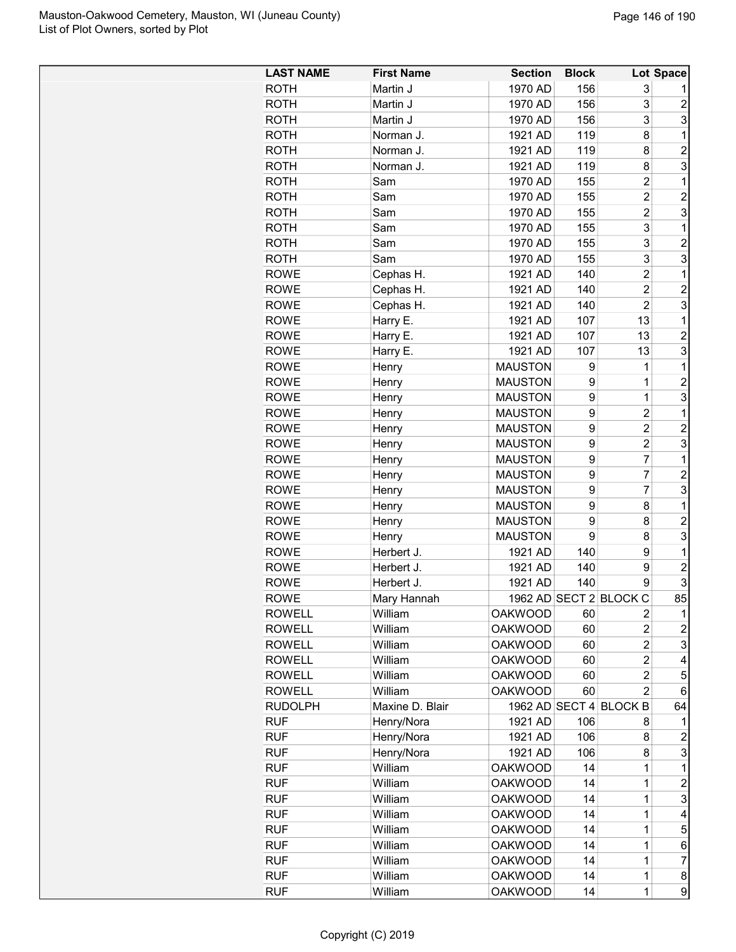| 1970 AD<br>156<br><b>ROTH</b><br>Martin J<br>3<br>156<br>3<br><b>ROTH</b><br>Martin J<br>1970 AD<br>2<br>3<br>156<br>3<br><b>ROTH</b><br>Martin J<br>1970 AD<br>119<br>$\mathbf{1}$<br><b>ROTH</b><br>Norman J.<br>1921 AD<br>8<br>$\overline{2}$<br>Norman J.<br>119<br>8<br><b>ROTH</b><br>1921 AD<br>3<br>119<br>8<br><b>ROTH</b><br>Norman J.<br>1921 AD<br>$\overline{c}$<br>155<br>1<br><b>ROTH</b><br>Sam<br>1970 AD<br>$\overline{c}$<br>$\overline{c}$<br><b>ROTH</b><br>Sam<br>1970 AD<br>155<br>$\overline{c}$<br>3<br><b>ROTH</b><br>Sam<br>155<br>1970 AD<br>3<br>155<br>1<br><b>ROTH</b><br>Sam<br>1970 AD<br>155<br>3<br>2<br><b>ROTH</b><br>Sam<br>1970 AD<br>3<br>Sam<br>155<br>3<br>ROTH<br>1970 AD<br>$\mathbf{1}$<br>140<br>$\overline{2}$<br><b>ROWE</b><br>Cephas H.<br>1921 AD<br>$\overline{2}$<br>1921 AD<br>140<br>2<br><b>ROWE</b><br>Cephas H.<br>$\overline{c}$<br>3<br>Cephas H.<br>140<br><b>ROWE</b><br>1921 AD<br>Harry E.<br>13<br>$\mathbf{1}$<br><b>ROWE</b><br>1921 AD<br>107<br>$\overline{c}$<br><b>ROWE</b><br>Harry E.<br>1921 AD<br>107<br>13<br>3<br>1921 AD<br>107<br>13<br><b>ROWE</b><br>Harry E.<br><b>ROWE</b><br><b>MAUSTON</b><br>9<br>$\mathbf 1$<br>Henry<br>1<br>9<br>$\overline{c}$<br><b>MAUSTON</b><br><b>ROWE</b><br>1<br>Henry<br>9<br>3<br><b>MAUSTON</b><br>1<br><b>ROWE</b><br>Henry<br>9<br>$\overline{2}$<br><b>MAUSTON</b><br>$\mathbf{1}$<br><b>ROWE</b><br>Henry<br>9<br>$\overline{c}$<br><b>MAUSTON</b><br><b>ROWE</b><br>2<br>Henry<br>3<br><b>MAUSTON</b><br>9<br>2<br><b>ROWE</b><br>Henry<br><b>MAUSTON</b><br>9<br>7<br>$\mathbf{1}$<br><b>ROWE</b><br>Henry<br><b>MAUSTON</b><br>9<br>7<br>$\overline{c}$<br><b>ROWE</b><br>Henry<br>3<br><b>MAUSTON</b><br>9<br>7<br><b>ROWE</b><br>Henry<br>9<br><b>MAUSTON</b><br>8<br><b>ROWE</b><br>1<br>Henry<br>9<br><b>MAUSTON</b><br>8<br>2<br><b>ROWE</b><br>Henry<br>9<br>3<br><b>MAUSTON</b><br>8<br><b>ROWE</b><br>Henry<br><b>ROWE</b><br>Herbert J.<br>1921 AD<br>140<br>9<br>1<br>140<br>2<br><b>ROWE</b><br>Herbert J.<br>1921 AD<br>9<br>3<br>Herbert J.<br>1921 AD<br>140<br><b>ROWE</b><br>9<br>85<br>1962 AD SECT 2 BLOCK C<br><b>ROWE</b><br>Mary Hannah<br><b>ROWELL</b><br>William<br><b>OAKWOOD</b><br>60<br>2<br>1<br>$\overline{2}$<br><b>ROWELL</b><br>William<br><b>OAKWOOD</b><br>2<br>60<br>$\overline{\mathbf{c}}$<br>3<br><b>ROWELL</b><br>William<br><b>OAKWOOD</b><br>60<br>$\overline{c}$<br><b>ROWELL</b><br>William<br><b>OAKWOOD</b><br>60<br>4<br><b>ROWELL</b><br>William<br><b>OAKWOOD</b><br>$\overline{c}$<br>5<br>60<br>William<br><b>ROWELL</b><br><b>OAKWOOD</b><br>60<br>$\overline{2}$<br>6<br>1962 AD SECT 4 BLOCK B<br><b>RUDOLPH</b><br>Maxine D. Blair<br>64<br><b>RUF</b><br>Henry/Nora<br>1921 AD<br>106<br>8<br>1<br><b>RUF</b><br>Henry/Nora<br>1921 AD<br>106<br>8<br>2<br>Henry/Nora<br>3<br><b>RUF</b><br>1921 AD<br>106<br>8<br><b>RUF</b><br>William<br><b>OAKWOOD</b><br>$\mathbf{1}$<br>14<br>$\mathbf 1$<br><b>RUF</b><br>William<br><b>OAKWOOD</b><br>2<br>14<br>1<br><b>RUF</b><br>3<br>William<br><b>OAKWOOD</b><br>14<br>$\mathbf 1$<br><b>RUF</b><br>William<br><b>OAKWOOD</b><br>14<br>4<br>$\mathbf 1$<br>5<br><b>RUF</b><br>William<br><b>OAKWOOD</b><br>14<br>$\mathbf 1$<br><b>RUF</b><br>William<br><b>OAKWOOD</b><br>14<br>$\mathbf 1$<br>6<br><b>RUF</b><br>William<br><b>OAKWOOD</b><br>14<br>$\mathbf 1$<br>7<br><b>RUF</b><br>William<br><b>OAKWOOD</b><br>14<br>1<br>8 | <b>LAST NAME</b> | <b>First Name</b> | <b>Section</b> | <b>Block</b> |   | Lot Space |
|--------------------------------------------------------------------------------------------------------------------------------------------------------------------------------------------------------------------------------------------------------------------------------------------------------------------------------------------------------------------------------------------------------------------------------------------------------------------------------------------------------------------------------------------------------------------------------------------------------------------------------------------------------------------------------------------------------------------------------------------------------------------------------------------------------------------------------------------------------------------------------------------------------------------------------------------------------------------------------------------------------------------------------------------------------------------------------------------------------------------------------------------------------------------------------------------------------------------------------------------------------------------------------------------------------------------------------------------------------------------------------------------------------------------------------------------------------------------------------------------------------------------------------------------------------------------------------------------------------------------------------------------------------------------------------------------------------------------------------------------------------------------------------------------------------------------------------------------------------------------------------------------------------------------------------------------------------------------------------------------------------------------------------------------------------------------------------------------------------------------------------------------------------------------------------------------------------------------------------------------------------------------------------------------------------------------------------------------------------------------------------------------------------------------------------------------------------------------------------------------------------------------------------------------------------------------------------------------------------------------------------------------------------------------------------------------------------------------------------------------------------------------------------------------------------------------------------------------------------------------------------------------------------------------------------------------------------------------------------------------------------------------------------------------------------------------------------------------------------------------------------------------------------------------------------------------------------------------------------------------------------------------------------------------------------------------------------------------------------------------------------------------------------------------------------------------------------------------|------------------|-------------------|----------------|--------------|---|-----------|
|                                                                                                                                                                                                                                                                                                                                                                                                                                                                                                                                                                                                                                                                                                                                                                                                                                                                                                                                                                                                                                                                                                                                                                                                                                                                                                                                                                                                                                                                                                                                                                                                                                                                                                                                                                                                                                                                                                                                                                                                                                                                                                                                                                                                                                                                                                                                                                                                                                                                                                                                                                                                                                                                                                                                                                                                                                                                                                                                                                                                                                                                                                                                                                                                                                                                                                                                                                                                                                                                    |                  |                   |                |              |   |           |
|                                                                                                                                                                                                                                                                                                                                                                                                                                                                                                                                                                                                                                                                                                                                                                                                                                                                                                                                                                                                                                                                                                                                                                                                                                                                                                                                                                                                                                                                                                                                                                                                                                                                                                                                                                                                                                                                                                                                                                                                                                                                                                                                                                                                                                                                                                                                                                                                                                                                                                                                                                                                                                                                                                                                                                                                                                                                                                                                                                                                                                                                                                                                                                                                                                                                                                                                                                                                                                                                    |                  |                   |                |              |   |           |
|                                                                                                                                                                                                                                                                                                                                                                                                                                                                                                                                                                                                                                                                                                                                                                                                                                                                                                                                                                                                                                                                                                                                                                                                                                                                                                                                                                                                                                                                                                                                                                                                                                                                                                                                                                                                                                                                                                                                                                                                                                                                                                                                                                                                                                                                                                                                                                                                                                                                                                                                                                                                                                                                                                                                                                                                                                                                                                                                                                                                                                                                                                                                                                                                                                                                                                                                                                                                                                                                    |                  |                   |                |              |   |           |
|                                                                                                                                                                                                                                                                                                                                                                                                                                                                                                                                                                                                                                                                                                                                                                                                                                                                                                                                                                                                                                                                                                                                                                                                                                                                                                                                                                                                                                                                                                                                                                                                                                                                                                                                                                                                                                                                                                                                                                                                                                                                                                                                                                                                                                                                                                                                                                                                                                                                                                                                                                                                                                                                                                                                                                                                                                                                                                                                                                                                                                                                                                                                                                                                                                                                                                                                                                                                                                                                    |                  |                   |                |              |   |           |
|                                                                                                                                                                                                                                                                                                                                                                                                                                                                                                                                                                                                                                                                                                                                                                                                                                                                                                                                                                                                                                                                                                                                                                                                                                                                                                                                                                                                                                                                                                                                                                                                                                                                                                                                                                                                                                                                                                                                                                                                                                                                                                                                                                                                                                                                                                                                                                                                                                                                                                                                                                                                                                                                                                                                                                                                                                                                                                                                                                                                                                                                                                                                                                                                                                                                                                                                                                                                                                                                    |                  |                   |                |              |   |           |
|                                                                                                                                                                                                                                                                                                                                                                                                                                                                                                                                                                                                                                                                                                                                                                                                                                                                                                                                                                                                                                                                                                                                                                                                                                                                                                                                                                                                                                                                                                                                                                                                                                                                                                                                                                                                                                                                                                                                                                                                                                                                                                                                                                                                                                                                                                                                                                                                                                                                                                                                                                                                                                                                                                                                                                                                                                                                                                                                                                                                                                                                                                                                                                                                                                                                                                                                                                                                                                                                    |                  |                   |                |              |   |           |
|                                                                                                                                                                                                                                                                                                                                                                                                                                                                                                                                                                                                                                                                                                                                                                                                                                                                                                                                                                                                                                                                                                                                                                                                                                                                                                                                                                                                                                                                                                                                                                                                                                                                                                                                                                                                                                                                                                                                                                                                                                                                                                                                                                                                                                                                                                                                                                                                                                                                                                                                                                                                                                                                                                                                                                                                                                                                                                                                                                                                                                                                                                                                                                                                                                                                                                                                                                                                                                                                    |                  |                   |                |              |   |           |
|                                                                                                                                                                                                                                                                                                                                                                                                                                                                                                                                                                                                                                                                                                                                                                                                                                                                                                                                                                                                                                                                                                                                                                                                                                                                                                                                                                                                                                                                                                                                                                                                                                                                                                                                                                                                                                                                                                                                                                                                                                                                                                                                                                                                                                                                                                                                                                                                                                                                                                                                                                                                                                                                                                                                                                                                                                                                                                                                                                                                                                                                                                                                                                                                                                                                                                                                                                                                                                                                    |                  |                   |                |              |   |           |
|                                                                                                                                                                                                                                                                                                                                                                                                                                                                                                                                                                                                                                                                                                                                                                                                                                                                                                                                                                                                                                                                                                                                                                                                                                                                                                                                                                                                                                                                                                                                                                                                                                                                                                                                                                                                                                                                                                                                                                                                                                                                                                                                                                                                                                                                                                                                                                                                                                                                                                                                                                                                                                                                                                                                                                                                                                                                                                                                                                                                                                                                                                                                                                                                                                                                                                                                                                                                                                                                    |                  |                   |                |              |   |           |
|                                                                                                                                                                                                                                                                                                                                                                                                                                                                                                                                                                                                                                                                                                                                                                                                                                                                                                                                                                                                                                                                                                                                                                                                                                                                                                                                                                                                                                                                                                                                                                                                                                                                                                                                                                                                                                                                                                                                                                                                                                                                                                                                                                                                                                                                                                                                                                                                                                                                                                                                                                                                                                                                                                                                                                                                                                                                                                                                                                                                                                                                                                                                                                                                                                                                                                                                                                                                                                                                    |                  |                   |                |              |   |           |
|                                                                                                                                                                                                                                                                                                                                                                                                                                                                                                                                                                                                                                                                                                                                                                                                                                                                                                                                                                                                                                                                                                                                                                                                                                                                                                                                                                                                                                                                                                                                                                                                                                                                                                                                                                                                                                                                                                                                                                                                                                                                                                                                                                                                                                                                                                                                                                                                                                                                                                                                                                                                                                                                                                                                                                                                                                                                                                                                                                                                                                                                                                                                                                                                                                                                                                                                                                                                                                                                    |                  |                   |                |              |   |           |
|                                                                                                                                                                                                                                                                                                                                                                                                                                                                                                                                                                                                                                                                                                                                                                                                                                                                                                                                                                                                                                                                                                                                                                                                                                                                                                                                                                                                                                                                                                                                                                                                                                                                                                                                                                                                                                                                                                                                                                                                                                                                                                                                                                                                                                                                                                                                                                                                                                                                                                                                                                                                                                                                                                                                                                                                                                                                                                                                                                                                                                                                                                                                                                                                                                                                                                                                                                                                                                                                    |                  |                   |                |              |   |           |
|                                                                                                                                                                                                                                                                                                                                                                                                                                                                                                                                                                                                                                                                                                                                                                                                                                                                                                                                                                                                                                                                                                                                                                                                                                                                                                                                                                                                                                                                                                                                                                                                                                                                                                                                                                                                                                                                                                                                                                                                                                                                                                                                                                                                                                                                                                                                                                                                                                                                                                                                                                                                                                                                                                                                                                                                                                                                                                                                                                                                                                                                                                                                                                                                                                                                                                                                                                                                                                                                    |                  |                   |                |              |   |           |
|                                                                                                                                                                                                                                                                                                                                                                                                                                                                                                                                                                                                                                                                                                                                                                                                                                                                                                                                                                                                                                                                                                                                                                                                                                                                                                                                                                                                                                                                                                                                                                                                                                                                                                                                                                                                                                                                                                                                                                                                                                                                                                                                                                                                                                                                                                                                                                                                                                                                                                                                                                                                                                                                                                                                                                                                                                                                                                                                                                                                                                                                                                                                                                                                                                                                                                                                                                                                                                                                    |                  |                   |                |              |   |           |
|                                                                                                                                                                                                                                                                                                                                                                                                                                                                                                                                                                                                                                                                                                                                                                                                                                                                                                                                                                                                                                                                                                                                                                                                                                                                                                                                                                                                                                                                                                                                                                                                                                                                                                                                                                                                                                                                                                                                                                                                                                                                                                                                                                                                                                                                                                                                                                                                                                                                                                                                                                                                                                                                                                                                                                                                                                                                                                                                                                                                                                                                                                                                                                                                                                                                                                                                                                                                                                                                    |                  |                   |                |              |   |           |
|                                                                                                                                                                                                                                                                                                                                                                                                                                                                                                                                                                                                                                                                                                                                                                                                                                                                                                                                                                                                                                                                                                                                                                                                                                                                                                                                                                                                                                                                                                                                                                                                                                                                                                                                                                                                                                                                                                                                                                                                                                                                                                                                                                                                                                                                                                                                                                                                                                                                                                                                                                                                                                                                                                                                                                                                                                                                                                                                                                                                                                                                                                                                                                                                                                                                                                                                                                                                                                                                    |                  |                   |                |              |   |           |
|                                                                                                                                                                                                                                                                                                                                                                                                                                                                                                                                                                                                                                                                                                                                                                                                                                                                                                                                                                                                                                                                                                                                                                                                                                                                                                                                                                                                                                                                                                                                                                                                                                                                                                                                                                                                                                                                                                                                                                                                                                                                                                                                                                                                                                                                                                                                                                                                                                                                                                                                                                                                                                                                                                                                                                                                                                                                                                                                                                                                                                                                                                                                                                                                                                                                                                                                                                                                                                                                    |                  |                   |                |              |   |           |
|                                                                                                                                                                                                                                                                                                                                                                                                                                                                                                                                                                                                                                                                                                                                                                                                                                                                                                                                                                                                                                                                                                                                                                                                                                                                                                                                                                                                                                                                                                                                                                                                                                                                                                                                                                                                                                                                                                                                                                                                                                                                                                                                                                                                                                                                                                                                                                                                                                                                                                                                                                                                                                                                                                                                                                                                                                                                                                                                                                                                                                                                                                                                                                                                                                                                                                                                                                                                                                                                    |                  |                   |                |              |   |           |
|                                                                                                                                                                                                                                                                                                                                                                                                                                                                                                                                                                                                                                                                                                                                                                                                                                                                                                                                                                                                                                                                                                                                                                                                                                                                                                                                                                                                                                                                                                                                                                                                                                                                                                                                                                                                                                                                                                                                                                                                                                                                                                                                                                                                                                                                                                                                                                                                                                                                                                                                                                                                                                                                                                                                                                                                                                                                                                                                                                                                                                                                                                                                                                                                                                                                                                                                                                                                                                                                    |                  |                   |                |              |   |           |
|                                                                                                                                                                                                                                                                                                                                                                                                                                                                                                                                                                                                                                                                                                                                                                                                                                                                                                                                                                                                                                                                                                                                                                                                                                                                                                                                                                                                                                                                                                                                                                                                                                                                                                                                                                                                                                                                                                                                                                                                                                                                                                                                                                                                                                                                                                                                                                                                                                                                                                                                                                                                                                                                                                                                                                                                                                                                                                                                                                                                                                                                                                                                                                                                                                                                                                                                                                                                                                                                    |                  |                   |                |              |   |           |
|                                                                                                                                                                                                                                                                                                                                                                                                                                                                                                                                                                                                                                                                                                                                                                                                                                                                                                                                                                                                                                                                                                                                                                                                                                                                                                                                                                                                                                                                                                                                                                                                                                                                                                                                                                                                                                                                                                                                                                                                                                                                                                                                                                                                                                                                                                                                                                                                                                                                                                                                                                                                                                                                                                                                                                                                                                                                                                                                                                                                                                                                                                                                                                                                                                                                                                                                                                                                                                                                    |                  |                   |                |              |   |           |
|                                                                                                                                                                                                                                                                                                                                                                                                                                                                                                                                                                                                                                                                                                                                                                                                                                                                                                                                                                                                                                                                                                                                                                                                                                                                                                                                                                                                                                                                                                                                                                                                                                                                                                                                                                                                                                                                                                                                                                                                                                                                                                                                                                                                                                                                                                                                                                                                                                                                                                                                                                                                                                                                                                                                                                                                                                                                                                                                                                                                                                                                                                                                                                                                                                                                                                                                                                                                                                                                    |                  |                   |                |              |   |           |
|                                                                                                                                                                                                                                                                                                                                                                                                                                                                                                                                                                                                                                                                                                                                                                                                                                                                                                                                                                                                                                                                                                                                                                                                                                                                                                                                                                                                                                                                                                                                                                                                                                                                                                                                                                                                                                                                                                                                                                                                                                                                                                                                                                                                                                                                                                                                                                                                                                                                                                                                                                                                                                                                                                                                                                                                                                                                                                                                                                                                                                                                                                                                                                                                                                                                                                                                                                                                                                                                    |                  |                   |                |              |   |           |
|                                                                                                                                                                                                                                                                                                                                                                                                                                                                                                                                                                                                                                                                                                                                                                                                                                                                                                                                                                                                                                                                                                                                                                                                                                                                                                                                                                                                                                                                                                                                                                                                                                                                                                                                                                                                                                                                                                                                                                                                                                                                                                                                                                                                                                                                                                                                                                                                                                                                                                                                                                                                                                                                                                                                                                                                                                                                                                                                                                                                                                                                                                                                                                                                                                                                                                                                                                                                                                                                    |                  |                   |                |              |   |           |
|                                                                                                                                                                                                                                                                                                                                                                                                                                                                                                                                                                                                                                                                                                                                                                                                                                                                                                                                                                                                                                                                                                                                                                                                                                                                                                                                                                                                                                                                                                                                                                                                                                                                                                                                                                                                                                                                                                                                                                                                                                                                                                                                                                                                                                                                                                                                                                                                                                                                                                                                                                                                                                                                                                                                                                                                                                                                                                                                                                                                                                                                                                                                                                                                                                                                                                                                                                                                                                                                    |                  |                   |                |              |   |           |
|                                                                                                                                                                                                                                                                                                                                                                                                                                                                                                                                                                                                                                                                                                                                                                                                                                                                                                                                                                                                                                                                                                                                                                                                                                                                                                                                                                                                                                                                                                                                                                                                                                                                                                                                                                                                                                                                                                                                                                                                                                                                                                                                                                                                                                                                                                                                                                                                                                                                                                                                                                                                                                                                                                                                                                                                                                                                                                                                                                                                                                                                                                                                                                                                                                                                                                                                                                                                                                                                    |                  |                   |                |              |   |           |
|                                                                                                                                                                                                                                                                                                                                                                                                                                                                                                                                                                                                                                                                                                                                                                                                                                                                                                                                                                                                                                                                                                                                                                                                                                                                                                                                                                                                                                                                                                                                                                                                                                                                                                                                                                                                                                                                                                                                                                                                                                                                                                                                                                                                                                                                                                                                                                                                                                                                                                                                                                                                                                                                                                                                                                                                                                                                                                                                                                                                                                                                                                                                                                                                                                                                                                                                                                                                                                                                    |                  |                   |                |              |   |           |
|                                                                                                                                                                                                                                                                                                                                                                                                                                                                                                                                                                                                                                                                                                                                                                                                                                                                                                                                                                                                                                                                                                                                                                                                                                                                                                                                                                                                                                                                                                                                                                                                                                                                                                                                                                                                                                                                                                                                                                                                                                                                                                                                                                                                                                                                                                                                                                                                                                                                                                                                                                                                                                                                                                                                                                                                                                                                                                                                                                                                                                                                                                                                                                                                                                                                                                                                                                                                                                                                    |                  |                   |                |              |   |           |
|                                                                                                                                                                                                                                                                                                                                                                                                                                                                                                                                                                                                                                                                                                                                                                                                                                                                                                                                                                                                                                                                                                                                                                                                                                                                                                                                                                                                                                                                                                                                                                                                                                                                                                                                                                                                                                                                                                                                                                                                                                                                                                                                                                                                                                                                                                                                                                                                                                                                                                                                                                                                                                                                                                                                                                                                                                                                                                                                                                                                                                                                                                                                                                                                                                                                                                                                                                                                                                                                    |                  |                   |                |              |   |           |
|                                                                                                                                                                                                                                                                                                                                                                                                                                                                                                                                                                                                                                                                                                                                                                                                                                                                                                                                                                                                                                                                                                                                                                                                                                                                                                                                                                                                                                                                                                                                                                                                                                                                                                                                                                                                                                                                                                                                                                                                                                                                                                                                                                                                                                                                                                                                                                                                                                                                                                                                                                                                                                                                                                                                                                                                                                                                                                                                                                                                                                                                                                                                                                                                                                                                                                                                                                                                                                                                    |                  |                   |                |              |   |           |
|                                                                                                                                                                                                                                                                                                                                                                                                                                                                                                                                                                                                                                                                                                                                                                                                                                                                                                                                                                                                                                                                                                                                                                                                                                                                                                                                                                                                                                                                                                                                                                                                                                                                                                                                                                                                                                                                                                                                                                                                                                                                                                                                                                                                                                                                                                                                                                                                                                                                                                                                                                                                                                                                                                                                                                                                                                                                                                                                                                                                                                                                                                                                                                                                                                                                                                                                                                                                                                                                    |                  |                   |                |              |   |           |
|                                                                                                                                                                                                                                                                                                                                                                                                                                                                                                                                                                                                                                                                                                                                                                                                                                                                                                                                                                                                                                                                                                                                                                                                                                                                                                                                                                                                                                                                                                                                                                                                                                                                                                                                                                                                                                                                                                                                                                                                                                                                                                                                                                                                                                                                                                                                                                                                                                                                                                                                                                                                                                                                                                                                                                                                                                                                                                                                                                                                                                                                                                                                                                                                                                                                                                                                                                                                                                                                    |                  |                   |                |              |   |           |
|                                                                                                                                                                                                                                                                                                                                                                                                                                                                                                                                                                                                                                                                                                                                                                                                                                                                                                                                                                                                                                                                                                                                                                                                                                                                                                                                                                                                                                                                                                                                                                                                                                                                                                                                                                                                                                                                                                                                                                                                                                                                                                                                                                                                                                                                                                                                                                                                                                                                                                                                                                                                                                                                                                                                                                                                                                                                                                                                                                                                                                                                                                                                                                                                                                                                                                                                                                                                                                                                    |                  |                   |                |              |   |           |
|                                                                                                                                                                                                                                                                                                                                                                                                                                                                                                                                                                                                                                                                                                                                                                                                                                                                                                                                                                                                                                                                                                                                                                                                                                                                                                                                                                                                                                                                                                                                                                                                                                                                                                                                                                                                                                                                                                                                                                                                                                                                                                                                                                                                                                                                                                                                                                                                                                                                                                                                                                                                                                                                                                                                                                                                                                                                                                                                                                                                                                                                                                                                                                                                                                                                                                                                                                                                                                                                    |                  |                   |                |              |   |           |
|                                                                                                                                                                                                                                                                                                                                                                                                                                                                                                                                                                                                                                                                                                                                                                                                                                                                                                                                                                                                                                                                                                                                                                                                                                                                                                                                                                                                                                                                                                                                                                                                                                                                                                                                                                                                                                                                                                                                                                                                                                                                                                                                                                                                                                                                                                                                                                                                                                                                                                                                                                                                                                                                                                                                                                                                                                                                                                                                                                                                                                                                                                                                                                                                                                                                                                                                                                                                                                                                    |                  |                   |                |              |   |           |
|                                                                                                                                                                                                                                                                                                                                                                                                                                                                                                                                                                                                                                                                                                                                                                                                                                                                                                                                                                                                                                                                                                                                                                                                                                                                                                                                                                                                                                                                                                                                                                                                                                                                                                                                                                                                                                                                                                                                                                                                                                                                                                                                                                                                                                                                                                                                                                                                                                                                                                                                                                                                                                                                                                                                                                                                                                                                                                                                                                                                                                                                                                                                                                                                                                                                                                                                                                                                                                                                    |                  |                   |                |              |   |           |
|                                                                                                                                                                                                                                                                                                                                                                                                                                                                                                                                                                                                                                                                                                                                                                                                                                                                                                                                                                                                                                                                                                                                                                                                                                                                                                                                                                                                                                                                                                                                                                                                                                                                                                                                                                                                                                                                                                                                                                                                                                                                                                                                                                                                                                                                                                                                                                                                                                                                                                                                                                                                                                                                                                                                                                                                                                                                                                                                                                                                                                                                                                                                                                                                                                                                                                                                                                                                                                                                    |                  |                   |                |              |   |           |
|                                                                                                                                                                                                                                                                                                                                                                                                                                                                                                                                                                                                                                                                                                                                                                                                                                                                                                                                                                                                                                                                                                                                                                                                                                                                                                                                                                                                                                                                                                                                                                                                                                                                                                                                                                                                                                                                                                                                                                                                                                                                                                                                                                                                                                                                                                                                                                                                                                                                                                                                                                                                                                                                                                                                                                                                                                                                                                                                                                                                                                                                                                                                                                                                                                                                                                                                                                                                                                                                    |                  |                   |                |              |   |           |
|                                                                                                                                                                                                                                                                                                                                                                                                                                                                                                                                                                                                                                                                                                                                                                                                                                                                                                                                                                                                                                                                                                                                                                                                                                                                                                                                                                                                                                                                                                                                                                                                                                                                                                                                                                                                                                                                                                                                                                                                                                                                                                                                                                                                                                                                                                                                                                                                                                                                                                                                                                                                                                                                                                                                                                                                                                                                                                                                                                                                                                                                                                                                                                                                                                                                                                                                                                                                                                                                    |                  |                   |                |              |   |           |
|                                                                                                                                                                                                                                                                                                                                                                                                                                                                                                                                                                                                                                                                                                                                                                                                                                                                                                                                                                                                                                                                                                                                                                                                                                                                                                                                                                                                                                                                                                                                                                                                                                                                                                                                                                                                                                                                                                                                                                                                                                                                                                                                                                                                                                                                                                                                                                                                                                                                                                                                                                                                                                                                                                                                                                                                                                                                                                                                                                                                                                                                                                                                                                                                                                                                                                                                                                                                                                                                    |                  |                   |                |              |   |           |
|                                                                                                                                                                                                                                                                                                                                                                                                                                                                                                                                                                                                                                                                                                                                                                                                                                                                                                                                                                                                                                                                                                                                                                                                                                                                                                                                                                                                                                                                                                                                                                                                                                                                                                                                                                                                                                                                                                                                                                                                                                                                                                                                                                                                                                                                                                                                                                                                                                                                                                                                                                                                                                                                                                                                                                                                                                                                                                                                                                                                                                                                                                                                                                                                                                                                                                                                                                                                                                                                    |                  |                   |                |              |   |           |
|                                                                                                                                                                                                                                                                                                                                                                                                                                                                                                                                                                                                                                                                                                                                                                                                                                                                                                                                                                                                                                                                                                                                                                                                                                                                                                                                                                                                                                                                                                                                                                                                                                                                                                                                                                                                                                                                                                                                                                                                                                                                                                                                                                                                                                                                                                                                                                                                                                                                                                                                                                                                                                                                                                                                                                                                                                                                                                                                                                                                                                                                                                                                                                                                                                                                                                                                                                                                                                                                    |                  |                   |                |              |   |           |
|                                                                                                                                                                                                                                                                                                                                                                                                                                                                                                                                                                                                                                                                                                                                                                                                                                                                                                                                                                                                                                                                                                                                                                                                                                                                                                                                                                                                                                                                                                                                                                                                                                                                                                                                                                                                                                                                                                                                                                                                                                                                                                                                                                                                                                                                                                                                                                                                                                                                                                                                                                                                                                                                                                                                                                                                                                                                                                                                                                                                                                                                                                                                                                                                                                                                                                                                                                                                                                                                    |                  |                   |                |              |   |           |
|                                                                                                                                                                                                                                                                                                                                                                                                                                                                                                                                                                                                                                                                                                                                                                                                                                                                                                                                                                                                                                                                                                                                                                                                                                                                                                                                                                                                                                                                                                                                                                                                                                                                                                                                                                                                                                                                                                                                                                                                                                                                                                                                                                                                                                                                                                                                                                                                                                                                                                                                                                                                                                                                                                                                                                                                                                                                                                                                                                                                                                                                                                                                                                                                                                                                                                                                                                                                                                                                    |                  |                   |                |              |   |           |
|                                                                                                                                                                                                                                                                                                                                                                                                                                                                                                                                                                                                                                                                                                                                                                                                                                                                                                                                                                                                                                                                                                                                                                                                                                                                                                                                                                                                                                                                                                                                                                                                                                                                                                                                                                                                                                                                                                                                                                                                                                                                                                                                                                                                                                                                                                                                                                                                                                                                                                                                                                                                                                                                                                                                                                                                                                                                                                                                                                                                                                                                                                                                                                                                                                                                                                                                                                                                                                                                    |                  |                   |                |              |   |           |
|                                                                                                                                                                                                                                                                                                                                                                                                                                                                                                                                                                                                                                                                                                                                                                                                                                                                                                                                                                                                                                                                                                                                                                                                                                                                                                                                                                                                                                                                                                                                                                                                                                                                                                                                                                                                                                                                                                                                                                                                                                                                                                                                                                                                                                                                                                                                                                                                                                                                                                                                                                                                                                                                                                                                                                                                                                                                                                                                                                                                                                                                                                                                                                                                                                                                                                                                                                                                                                                                    |                  |                   |                |              |   |           |
|                                                                                                                                                                                                                                                                                                                                                                                                                                                                                                                                                                                                                                                                                                                                                                                                                                                                                                                                                                                                                                                                                                                                                                                                                                                                                                                                                                                                                                                                                                                                                                                                                                                                                                                                                                                                                                                                                                                                                                                                                                                                                                                                                                                                                                                                                                                                                                                                                                                                                                                                                                                                                                                                                                                                                                                                                                                                                                                                                                                                                                                                                                                                                                                                                                                                                                                                                                                                                                                                    |                  |                   |                |              |   |           |
|                                                                                                                                                                                                                                                                                                                                                                                                                                                                                                                                                                                                                                                                                                                                                                                                                                                                                                                                                                                                                                                                                                                                                                                                                                                                                                                                                                                                                                                                                                                                                                                                                                                                                                                                                                                                                                                                                                                                                                                                                                                                                                                                                                                                                                                                                                                                                                                                                                                                                                                                                                                                                                                                                                                                                                                                                                                                                                                                                                                                                                                                                                                                                                                                                                                                                                                                                                                                                                                                    |                  |                   |                |              |   |           |
|                                                                                                                                                                                                                                                                                                                                                                                                                                                                                                                                                                                                                                                                                                                                                                                                                                                                                                                                                                                                                                                                                                                                                                                                                                                                                                                                                                                                                                                                                                                                                                                                                                                                                                                                                                                                                                                                                                                                                                                                                                                                                                                                                                                                                                                                                                                                                                                                                                                                                                                                                                                                                                                                                                                                                                                                                                                                                                                                                                                                                                                                                                                                                                                                                                                                                                                                                                                                                                                                    |                  |                   |                |              |   |           |
|                                                                                                                                                                                                                                                                                                                                                                                                                                                                                                                                                                                                                                                                                                                                                                                                                                                                                                                                                                                                                                                                                                                                                                                                                                                                                                                                                                                                                                                                                                                                                                                                                                                                                                                                                                                                                                                                                                                                                                                                                                                                                                                                                                                                                                                                                                                                                                                                                                                                                                                                                                                                                                                                                                                                                                                                                                                                                                                                                                                                                                                                                                                                                                                                                                                                                                                                                                                                                                                                    |                  |                   |                |              |   |           |
|                                                                                                                                                                                                                                                                                                                                                                                                                                                                                                                                                                                                                                                                                                                                                                                                                                                                                                                                                                                                                                                                                                                                                                                                                                                                                                                                                                                                                                                                                                                                                                                                                                                                                                                                                                                                                                                                                                                                                                                                                                                                                                                                                                                                                                                                                                                                                                                                                                                                                                                                                                                                                                                                                                                                                                                                                                                                                                                                                                                                                                                                                                                                                                                                                                                                                                                                                                                                                                                                    |                  |                   |                |              |   |           |
|                                                                                                                                                                                                                                                                                                                                                                                                                                                                                                                                                                                                                                                                                                                                                                                                                                                                                                                                                                                                                                                                                                                                                                                                                                                                                                                                                                                                                                                                                                                                                                                                                                                                                                                                                                                                                                                                                                                                                                                                                                                                                                                                                                                                                                                                                                                                                                                                                                                                                                                                                                                                                                                                                                                                                                                                                                                                                                                                                                                                                                                                                                                                                                                                                                                                                                                                                                                                                                                                    |                  |                   |                |              |   |           |
|                                                                                                                                                                                                                                                                                                                                                                                                                                                                                                                                                                                                                                                                                                                                                                                                                                                                                                                                                                                                                                                                                                                                                                                                                                                                                                                                                                                                                                                                                                                                                                                                                                                                                                                                                                                                                                                                                                                                                                                                                                                                                                                                                                                                                                                                                                                                                                                                                                                                                                                                                                                                                                                                                                                                                                                                                                                                                                                                                                                                                                                                                                                                                                                                                                                                                                                                                                                                                                                                    | <b>RUF</b>       | William           | <b>OAKWOOD</b> | 14           | 1 | 9         |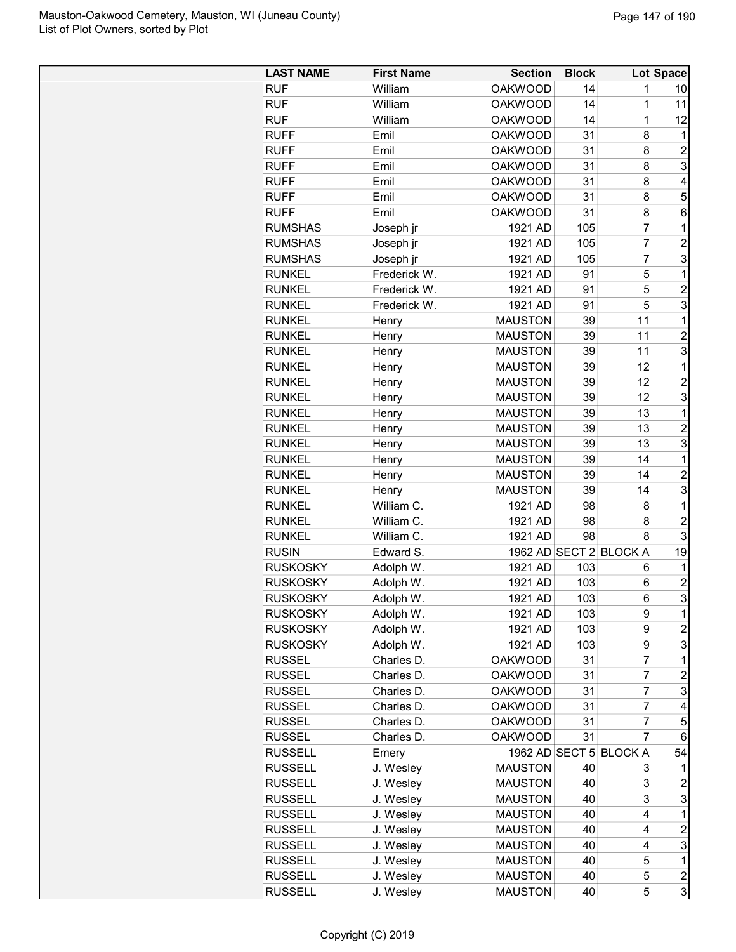| <b>LAST NAME</b> | <b>First Name</b> | <b>Section</b> | <b>Block</b> |                        | Lot Space        |
|------------------|-------------------|----------------|--------------|------------------------|------------------|
| <b>RUF</b>       | William           | <b>OAKWOOD</b> | 14           | 1                      | 10               |
| <b>RUF</b>       | William           | <b>OAKWOOD</b> | 14           | 1                      | 11               |
| <b>RUF</b>       | William           | <b>OAKWOOD</b> | 14           | $\mathbf 1$            | 12               |
| <b>RUFF</b>      | Emil              | <b>OAKWOOD</b> | 31           | 8                      | 1                |
| <b>RUFF</b>      | Emil              | <b>OAKWOOD</b> | 31           | 8                      | $\overline{2}$   |
| <b>RUFF</b>      | Emil              | <b>OAKWOOD</b> | 31           | 8                      | 3                |
| <b>RUFF</b>      | Emil              | <b>OAKWOOD</b> | 31           | 8                      | 4                |
| <b>RUFF</b>      | Emil              | <b>OAKWOOD</b> | 31           | 8                      | 5                |
| <b>RUFF</b>      | Emil              | <b>OAKWOOD</b> | 31           | 8                      | 6                |
| <b>RUMSHAS</b>   | Joseph jr         | 1921 AD        | 105          | $\overline{7}$         | $\mathbf 1$      |
| <b>RUMSHAS</b>   | Joseph jr         | 1921 AD        | 105          | $\overline{7}$         | $\overline{c}$   |
| <b>RUMSHAS</b>   | Joseph jr         | 1921 AD        | 105          | $\overline{7}$         | 3                |
| <b>RUNKEL</b>    | Frederick W.      | 1921 AD        | 91           | 5                      | 1                |
| <b>RUNKEL</b>    | Frederick W.      | 1921 AD        | 91           | 5                      | $\overline{c}$   |
| <b>RUNKEL</b>    | Frederick W.      | 1921 AD        | 91           | 5                      | 3                |
| <b>RUNKEL</b>    | Henry             | <b>MAUSTON</b> | 39           | 11                     | 1                |
| <b>RUNKEL</b>    | Henry             | <b>MAUSTON</b> | 39           | 11                     | $\overline{c}$   |
| <b>RUNKEL</b>    | Henry             | <b>MAUSTON</b> | 39           | 11                     | 3                |
| <b>RUNKEL</b>    | Henry             | <b>MAUSTON</b> | 39           | 12                     | $\mathbf 1$      |
| <b>RUNKEL</b>    | Henry             | <b>MAUSTON</b> | 39           | 12                     | $\overline{c}$   |
| <b>RUNKEL</b>    | Henry             | <b>MAUSTON</b> | 39           | 12                     | 3                |
| <b>RUNKEL</b>    | Henry             | <b>MAUSTON</b> | 39           | 13                     | 1                |
| <b>RUNKEL</b>    | Henry             | <b>MAUSTON</b> | 39           | 13                     | $\overline{c}$   |
| <b>RUNKEL</b>    | Henry             | <b>MAUSTON</b> | 39           | 13                     | 3                |
| <b>RUNKEL</b>    | Henry             | <b>MAUSTON</b> | 39           | 14                     | 1                |
| <b>RUNKEL</b>    | Henry             | <b>MAUSTON</b> | 39           | 14                     | $\overline{c}$   |
| <b>RUNKEL</b>    | Henry             | <b>MAUSTON</b> | 39           | 14                     | 3                |
| <b>RUNKEL</b>    | William C.        | 1921 AD        | 98           | 8                      | 1                |
| <b>RUNKEL</b>    | William C.        | 1921 AD        | 98           | 8                      | $\overline{c}$   |
| <b>RUNKEL</b>    | William C.        | 1921 AD        | 98           | 8                      | 3                |
| <b>RUSIN</b>     | Edward S.         |                |              | 1962 AD SECT 2 BLOCK A | 19               |
| <b>RUSKOSKY</b>  | Adolph W.         | 1921 AD        | 103          | 6                      | 1                |
| <b>RUSKOSKY</b>  | Adolph W.         | 1921 AD        | 103          | 6                      | $\overline{c}$   |
| <b>RUSKOSKY</b>  | Adolph W.         | 1921 AD        | 103          | 6                      | 3                |
| <b>RUSKOSKY</b>  | Adolph W.         | 1921 AD        | 103          | 9                      | 1                |
| <b>RUSKOSKY</b>  | Adolph W.         | 1921 AD        | 103          | 9                      | $\overline{c}$   |
| <b>RUSKOSKY</b>  | Adolph W.         | 1921 AD        | 103          | 9                      | 3                |
| <b>RUSSEL</b>    | Charles D.        | <b>OAKWOOD</b> | 31           | $\overline{7}$         | $\mathbf 1$      |
| <b>RUSSEL</b>    | Charles D.        | <b>OAKWOOD</b> | 31           | $\overline{7}$         | $\overline{c}$   |
| <b>RUSSEL</b>    | Charles D.        | <b>OAKWOOD</b> | 31           | $\overline{7}$         | 3                |
| <b>RUSSEL</b>    | Charles D.        | <b>OAKWOOD</b> | 31           | $\overline{7}$         | 4                |
| <b>RUSSEL</b>    | Charles D.        | <b>OAKWOOD</b> | 31           | $\overline{7}$         | 5                |
| <b>RUSSEL</b>    | Charles D.        | <b>OAKWOOD</b> | 31           | $\overline{7}$         | 6                |
| <b>RUSSELL</b>   | Emery             | 1962 AD SECT 5 |              | <b>BLOCK A</b>         | 54               |
| <b>RUSSELL</b>   | J. Wesley         | <b>MAUSTON</b> | 40           | 3                      | 1                |
| <b>RUSSELL</b>   | J. Wesley         | <b>MAUSTON</b> | 40           | 3                      | $\overline{c}$   |
| <b>RUSSELL</b>   | J. Wesley         | <b>MAUSTON</b> | 40           | 3                      | 3                |
| <b>RUSSELL</b>   | J. Wesley         | <b>MAUSTON</b> | 40           | 4                      | 1                |
| <b>RUSSELL</b>   | J. Wesley         | <b>MAUSTON</b> | 40           | 4                      | $\boldsymbol{2}$ |
| <b>RUSSELL</b>   | J. Wesley         | <b>MAUSTON</b> | 40           | 4                      | 3                |
| <b>RUSSELL</b>   | J. Wesley         | <b>MAUSTON</b> | 40           | 5                      | 1                |
| <b>RUSSELL</b>   | J. Wesley         | <b>MAUSTON</b> | 40           | 5                      | $\boldsymbol{2}$ |
| <b>RUSSELL</b>   | J. Wesley         | <b>MAUSTON</b> | 40           | 5                      | 3                |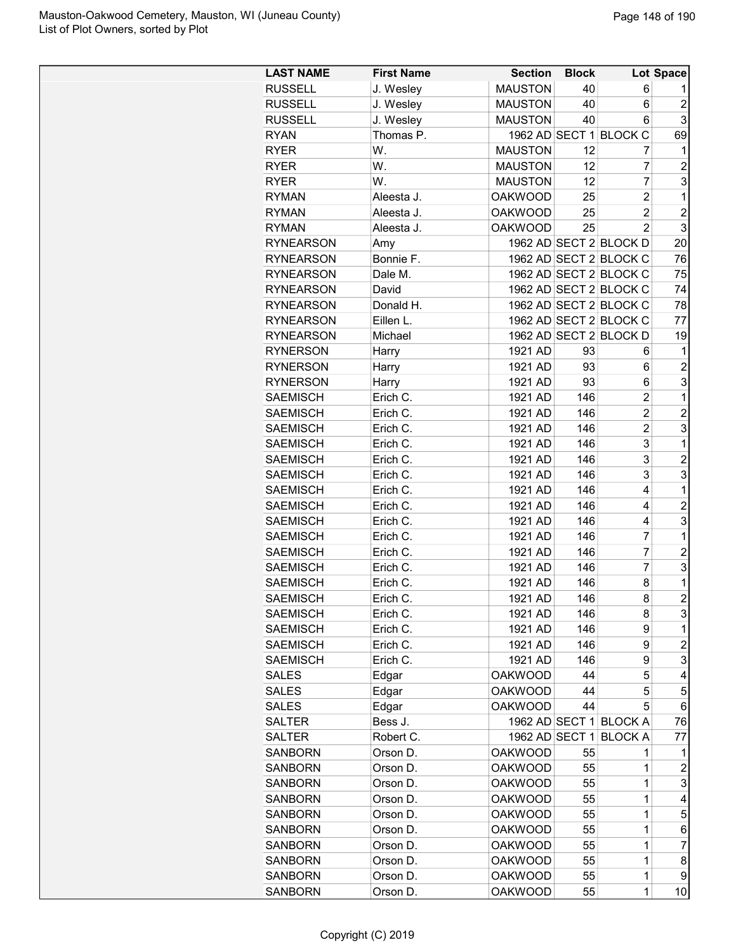| <b>LAST NAME</b> | <b>First Name</b> | <b>Section</b> | <b>Block</b> |                        | <b>Lot Space</b>        |
|------------------|-------------------|----------------|--------------|------------------------|-------------------------|
| <b>RUSSELL</b>   | J. Wesley         | <b>MAUSTON</b> | 40           | 6                      | 1                       |
| <b>RUSSELL</b>   | J. Wesley         | <b>MAUSTON</b> | 40           | 6                      | $\overline{c}$          |
| <b>RUSSELL</b>   | J. Wesley         | <b>MAUSTON</b> | 40           | 6                      | 3                       |
| <b>RYAN</b>      | Thomas P.         |                |              | 1962 AD SECT 1 BLOCK C | 69                      |
| <b>RYER</b>      | W.                | <b>MAUSTON</b> | 12           | 7                      | 1                       |
| <b>RYER</b>      | W.                | <b>MAUSTON</b> | 12           | 7                      | $\overline{c}$          |
| <b>RYER</b>      | W.                | <b>MAUSTON</b> | 12           | 7                      | 3                       |
| <b>RYMAN</b>     | Aleesta J.        | <b>OAKWOOD</b> | 25           | $\overline{c}$         | 1                       |
| <b>RYMAN</b>     | Aleesta J.        | <b>OAKWOOD</b> | 25           | $\overline{c}$         | $\overline{c}$          |
| <b>RYMAN</b>     | Aleesta J.        | <b>OAKWOOD</b> | 25           | $\overline{2}$         | 3                       |
| <b>RYNEARSON</b> | Amy               |                |              | 1962 AD SECT 2 BLOCK D | 20                      |
| <b>RYNEARSON</b> | Bonnie F.         |                |              | 1962 AD SECT 2 BLOCK C | 76                      |
| <b>RYNEARSON</b> | Dale M.           |                |              | 1962 AD SECT 2 BLOCK C | 75                      |
| <b>RYNEARSON</b> | David             |                |              | 1962 AD SECT 2 BLOCK C | 74                      |
| <b>RYNEARSON</b> | Donald H.         |                |              | 1962 AD SECT 2 BLOCK C | 78                      |
| <b>RYNEARSON</b> | Eillen L.         |                |              | 1962 AD SECT 2 BLOCK C | 77                      |
| <b>RYNEARSON</b> | Michael           |                |              | 1962 AD SECT 2 BLOCK D | 19                      |
| <b>RYNERSON</b>  | Harry             | 1921 AD        | 93           | 6                      | 1                       |
| <b>RYNERSON</b>  | Harry             | 1921 AD        | 93           | 6                      | $\overline{c}$          |
| <b>RYNERSON</b>  | Harry             | 1921 AD        | 93           | 6                      | 3                       |
| <b>SAEMISCH</b>  | Erich C.          | 1921 AD        | 146          | $\overline{c}$         | 1                       |
| <b>SAEMISCH</b>  | Erich C.          | 1921 AD        | 146          | $\overline{2}$         | $\overline{c}$          |
| <b>SAEMISCH</b>  | Erich C.          | 1921 AD        | 146          | $\overline{c}$         | 3                       |
| <b>SAEMISCH</b>  | Erich C.          | 1921 AD        | 146          | 3                      | $\mathbf{1}$            |
| <b>SAEMISCH</b>  | Erich C.          | 1921 AD        | 146          | 3                      | $\overline{c}$          |
| <b>SAEMISCH</b>  | Erich C.          | 1921 AD        | 146          | 3                      | 3                       |
| <b>SAEMISCH</b>  | Erich C.          | 1921 AD        | 146          | 4                      | $\mathbf{1}$            |
| <b>SAEMISCH</b>  | Erich C.          | 1921 AD        | 146          | 4                      | $\overline{2}$          |
| <b>SAEMISCH</b>  | Erich C.          | 1921 AD        | 146          | 4                      | 3                       |
| <b>SAEMISCH</b>  | Erich C.          | 1921 AD        | 146          | 7                      | 1                       |
| <b>SAEMISCH</b>  | Erich C.          | 1921 AD        | 146          | $\overline{7}$         | $\overline{c}$          |
| <b>SAEMISCH</b>  | Erich C.          | 1921 AD        | 146          | $\overline{7}$         | 3                       |
| <b>SAEMISCH</b>  | Erich C.          | 1921 AD        | 146          | 8                      | 1                       |
| <b>SAEMISCH</b>  | Erich C.          | 1921 AD        | 146          | 8                      | $\overline{c}$          |
| <b>SAEMISCH</b>  | Erich C.          | 1921 AD        | 146          | 8                      | 3                       |
| <b>SAEMISCH</b>  | Erich C.          | 1921 AD        | 146          | 9                      | 1                       |
| <b>SAEMISCH</b>  | Erich C.          | 1921 AD        | 146          | 9                      | $\overline{\mathbf{c}}$ |
| <b>SAEMISCH</b>  | Erich C.          | 1921 AD        | 146          | 9                      | 3                       |
| <b>SALES</b>     | Edgar             | <b>OAKWOOD</b> | 44           | 5                      | 4                       |
| <b>SALES</b>     | Edgar             | <b>OAKWOOD</b> | 44           | 5                      | 5                       |
| <b>SALES</b>     | Edgar             | <b>OAKWOOD</b> | 44           | 5                      | 6                       |
| <b>SALTER</b>    | Bess J.           |                |              | 1962 AD SECT 1 BLOCK A | 76                      |
| <b>SALTER</b>    | Robert C.         | 1962 AD SECT 1 |              | <b>BLOCK A</b>         | 77                      |
| <b>SANBORN</b>   | Orson D.          | <b>OAKWOOD</b> | 55           | 1                      | 1                       |
| <b>SANBORN</b>   | Orson D.          | <b>OAKWOOD</b> | 55           | 1                      | $\overline{c}$          |
| <b>SANBORN</b>   | Orson D.          | <b>OAKWOOD</b> | 55           | $\mathbf{1}$           | 3                       |
| <b>SANBORN</b>   | Orson D.          | <b>OAKWOOD</b> | 55           | $\mathbf{1}$           | 4                       |
| <b>SANBORN</b>   | Orson D.          | <b>OAKWOOD</b> | 55           | $\mathbf{1}$           | 5                       |
| <b>SANBORN</b>   | Orson D.          | <b>OAKWOOD</b> | 55           | 1                      | 6                       |
| <b>SANBORN</b>   | Orson D.          | <b>OAKWOOD</b> | 55           | 1                      | 7                       |
| <b>SANBORN</b>   | Orson D.          | <b>OAKWOOD</b> | 55           | 1                      | 8                       |
| <b>SANBORN</b>   | Orson D.          | <b>OAKWOOD</b> | 55           | 1                      | 9                       |
| <b>SANBORN</b>   | Orson D.          | <b>OAKWOOD</b> | 55           | 1                      | 10                      |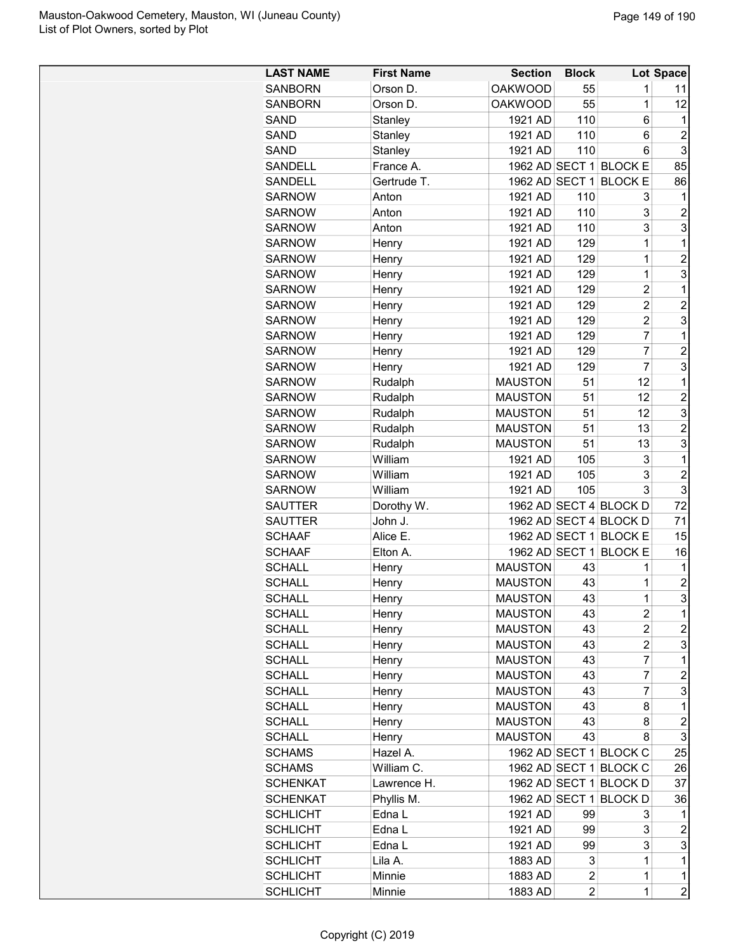| <b>SANBORN</b><br>Orson D.<br><b>OAKWOOD</b><br>55                    |                                  |
|-----------------------------------------------------------------------|----------------------------------|
|                                                                       | 1<br>11                          |
| Orson D.<br><b>OAKWOOD</b><br>55<br>1<br><b>SANBORN</b>               | 12                               |
| 110<br>1921 AD<br>SAND<br>Stanley                                     | 6<br>1                           |
| SAND<br>Stanley<br>110<br>6<br>1921 AD                                | $\overline{2}$                   |
| 6<br>SAND<br>Stanley<br>1921 AD<br>110                                | 3                                |
| <b>SANDELL</b><br>France A.<br>1962 AD SECT 1 BLOCK E                 | 85                               |
| 1962 AD SECT 1<br>SANDELL<br>Gertrude T.<br><b>BLOCK E</b>            | 86                               |
| <b>SARNOW</b><br>1921 AD<br>110<br>Anton                              | 3<br>1                           |
| <b>SARNOW</b><br>1921 AD<br>110<br>Anton                              | 3<br>$\overline{c}$              |
| 3<br><b>SARNOW</b><br>1921 AD<br>110<br>Anton                         | 3                                |
| $\mathbf 1$<br><b>SARNOW</b><br>129<br>1921 AD<br>Henry               | 1                                |
| $\mathbf 1$<br><b>SARNOW</b><br>1921 AD<br>129<br>Henry               | $\overline{2}$                   |
| 129<br>$\mathbf 1$<br><b>SARNOW</b><br>Henry<br>1921 AD               | 3                                |
| <b>SARNOW</b><br>1921 AD<br>129<br>Henry<br>2                         | 1                                |
| <b>SARNOW</b><br>1921 AD<br>129<br>$\overline{c}$<br>Henry            | $\overline{c}$                   |
| $\overline{2}$<br>129<br><b>SARNOW</b><br>1921 AD<br>Henry            | 3                                |
| $\overline{7}$<br>1921 AD<br>129<br><b>SARNOW</b><br>Henry            | 1                                |
| $\overline{7}$<br>129<br><b>SARNOW</b><br>1921 AD<br>Henry            | $\overline{c}$                   |
| $\overline{7}$<br><b>SARNOW</b><br>1921 AD<br>129<br>Henry            | 3                                |
| <b>SARNOW</b><br><b>MAUSTON</b><br>51<br>12<br>Rudalph                | 1                                |
| <b>SARNOW</b><br><b>MAUSTON</b><br>51<br>12<br>Rudalph                | $\overline{2}$                   |
| 51<br><b>SARNOW</b><br>Rudalph<br><b>MAUSTON</b><br>12                | 3                                |
| <b>SARNOW</b><br>Rudalph<br><b>MAUSTON</b><br>51<br>13                | $\overline{c}$                   |
| 51<br><b>MAUSTON</b><br>13<br><b>SARNOW</b><br>Rudalph                | 3                                |
| William<br>105<br>3<br><b>SARNOW</b><br>1921 AD                       | 1                                |
| 3<br>105<br><b>SARNOW</b><br>William<br>1921 AD                       | $\overline{c}$                   |
| 105<br><b>SARNOW</b><br>William<br>1921 AD                            | 3<br>3                           |
| Dorothy W.<br>1962 AD SECT 4 BLOCK D<br><b>SAUTTER</b>                | 72                               |
| 1962 AD SECT 4 BLOCK D<br>John J.<br>SAUTTER                          | 71                               |
| 1962 AD SECT 1 BLOCK E<br><b>SCHAAF</b><br>Alice E.                   | 15                               |
| 1962 AD SECT 1<br><b>BLOCK E</b><br><b>SCHAAF</b><br>Elton A.         | 16                               |
| <b>MAUSTON</b><br><b>SCHALL</b><br>43<br>1<br>Henry                   | 1                                |
| <b>SCHALL</b><br><b>MAUSTON</b><br>43<br>1<br>Henry                   | $\overline{c}$                   |
| 43<br><b>MAUSTON</b><br><b>SCHALL</b><br>Henry                        | 3<br>1                           |
| <b>SCHALL</b><br><b>MAUSTON</b><br>43<br>Henry<br>2                   | 1                                |
| <b>SCHALL</b><br><b>MAUSTON</b><br>43<br>Henry                        | $\overline{c}$<br>$\overline{c}$ |
| 43<br><b>SCHALL</b><br><b>MAUSTON</b><br>Henry                        | 3<br>$\overline{c}$              |
| $\overline{7}$<br>43<br><b>SCHALL</b><br><b>MAUSTON</b><br>Henry      | 1                                |
| $\overline{7}$<br>43<br><b>SCHALL</b><br><b>MAUSTON</b><br>Henry      | $\overline{c}$                   |
| $\overline{7}$<br>43<br><b>SCHALL</b><br><b>MAUSTON</b><br>Henry      | 3                                |
| <b>SCHALL</b><br><b>MAUSTON</b><br>43<br>Henry                        | 8<br>1                           |
| <b>SCHALL</b><br><b>MAUSTON</b><br>43<br>Henry                        | $\overline{c}$<br>8              |
| <b>MAUSTON</b><br>43<br><b>SCHALL</b><br>Henry                        | 3<br>8                           |
| 1962 AD SECT 1 BLOCK C<br>Hazel A.<br><b>SCHAMS</b>                   | 25                               |
| 1962 AD SECT 1 BLOCK C<br>William C.<br><b>SCHAMS</b>                 | 26                               |
| 1962 AD SECT 1 BLOCK D<br><b>SCHENKAT</b><br>Lawrence H.              | 37                               |
| Phyllis M.<br>1962 AD SECT 1 BLOCK D<br><b>SCHENKAT</b>               | 36                               |
| Edna L<br><b>SCHLICHT</b><br>1921 AD<br>99                            | 3<br>1                           |
| <b>SCHLICHT</b><br>1921 AD<br>Edna L<br>99                            | 3<br>$\overline{\mathbf{c}}$     |
| <b>SCHLICHT</b><br>Edna L<br>1921 AD<br>99                            | 3<br>3                           |
| 3<br>1<br><b>SCHLICHT</b><br>Lila A.<br>1883 AD                       | $\mathbf 1$                      |
| $\overline{c}$<br>$\mathbf 1$<br><b>SCHLICHT</b><br>Minnie<br>1883 AD | 1                                |
| $\overline{2}$<br>$\mathbf 1$<br>Minnie<br>1883 AD<br><b>SCHLICHT</b> | $\overline{c}$                   |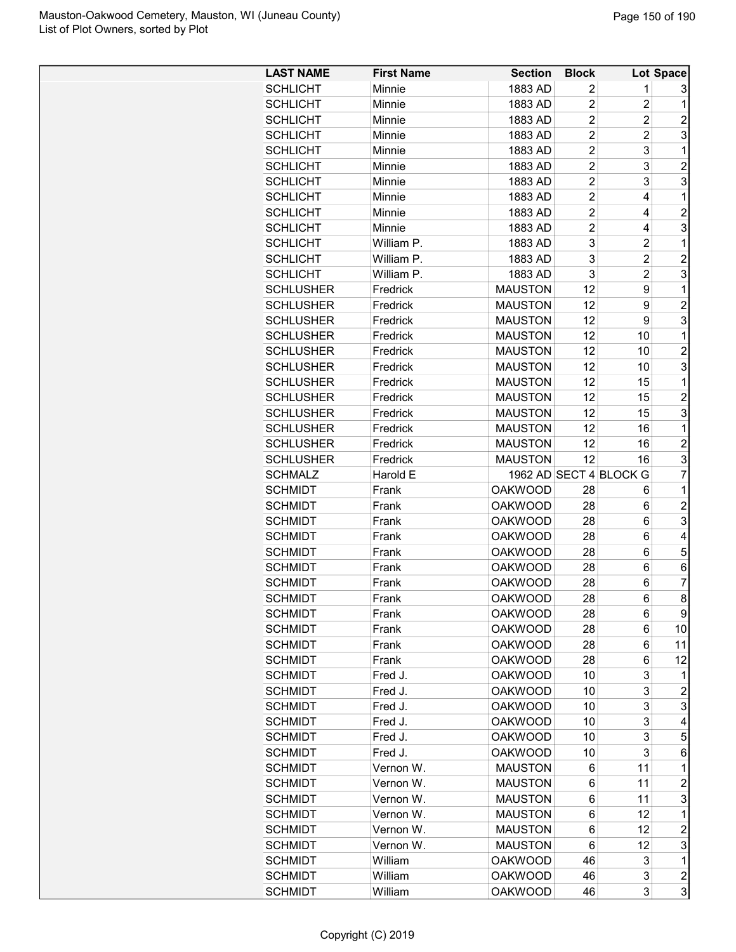| <b>LAST NAME</b> | <b>First Name</b> | <b>Section</b> | <b>Block</b>   |                        | Lot Space        |
|------------------|-------------------|----------------|----------------|------------------------|------------------|
| <b>SCHLICHT</b>  | Minnie            | 1883 AD        | 2              | 1                      | 3                |
| <b>SCHLICHT</b>  | Minnie            | 1883 AD        | $\overline{2}$ | $\overline{2}$         | 1                |
| <b>SCHLICHT</b>  | Minnie            | 1883 AD        | $\overline{2}$ | $\overline{c}$         | $\overline{2}$   |
| <b>SCHLICHT</b>  | Minnie            | 1883 AD        | $\overline{2}$ | $\overline{2}$         | 3                |
| <b>SCHLICHT</b>  | Minnie            | 1883 AD        | $\overline{2}$ | 3                      | 1                |
| <b>SCHLICHT</b>  | Minnie            | 1883 AD        | $\overline{c}$ | 3                      | $\overline{c}$   |
| <b>SCHLICHT</b>  | Minnie            | 1883 AD        | $\overline{2}$ | 3                      | 3                |
| <b>SCHLICHT</b>  | Minnie            | 1883 AD        | $\overline{2}$ | 4                      | 1                |
| <b>SCHLICHT</b>  | Minnie            | 1883 AD        | $\overline{2}$ | 4                      | $\overline{c}$   |
| <b>SCHLICHT</b>  | Minnie            | 1883 AD        | $\overline{2}$ | 4                      | 3                |
| <b>SCHLICHT</b>  | William P.        | 1883 AD        | 3              | $\overline{2}$         | $\mathbf 1$      |
| <b>SCHLICHT</b>  | William P.        | 1883 AD        | 3              | $\overline{c}$         | $\overline{2}$   |
| <b>SCHLICHT</b>  | William P.        | 1883 AD        | 3              | $\overline{c}$         | 3                |
| <b>SCHLUSHER</b> | Fredrick          | <b>MAUSTON</b> | 12             | 9                      | 1                |
| <b>SCHLUSHER</b> | Fredrick          | <b>MAUSTON</b> | 12             | 9                      | $\overline{c}$   |
| <b>SCHLUSHER</b> | Fredrick          | <b>MAUSTON</b> | 12             | 9                      | 3                |
| <b>SCHLUSHER</b> | Fredrick          | <b>MAUSTON</b> | 12             | 10                     | 1                |
| <b>SCHLUSHER</b> | Fredrick          | <b>MAUSTON</b> | 12             | 10                     | $\overline{2}$   |
| <b>SCHLUSHER</b> | Fredrick          | <b>MAUSTON</b> | 12             | 10                     | 3                |
| <b>SCHLUSHER</b> | Fredrick          | <b>MAUSTON</b> | 12             | 15                     | 1                |
| <b>SCHLUSHER</b> | Fredrick          | <b>MAUSTON</b> | 12             | 15                     | $\overline{c}$   |
| <b>SCHLUSHER</b> | Fredrick          | <b>MAUSTON</b> | 12             | 15                     | 3                |
| <b>SCHLUSHER</b> | Fredrick          | <b>MAUSTON</b> | 12             | 16                     | $\mathbf 1$      |
| <b>SCHLUSHER</b> | Fredrick          | <b>MAUSTON</b> | 12             | 16                     | $\overline{2}$   |
| <b>SCHLUSHER</b> | Fredrick          | <b>MAUSTON</b> | 12             | 16                     | 3                |
| <b>SCHMALZ</b>   | Harold E          |                |                | 1962 AD SECT 4 BLOCK G | $\overline{7}$   |
| <b>SCHMIDT</b>   | Frank             | <b>OAKWOOD</b> | 28             | 6                      | 1                |
| <b>SCHMIDT</b>   | Frank             | <b>OAKWOOD</b> | 28             | 6                      | $\overline{c}$   |
| <b>SCHMIDT</b>   | Frank             | <b>OAKWOOD</b> | 28             | 6                      | 3                |
| <b>SCHMIDT</b>   | Frank             | <b>OAKWOOD</b> | 28             | 6                      | 4                |
| <b>SCHMIDT</b>   | Frank             | <b>OAKWOOD</b> | 28             | 6                      | 5                |
| <b>SCHMIDT</b>   | Frank             | <b>OAKWOOD</b> | 28             | 6                      | 6                |
| <b>SCHMIDT</b>   | Frank             | <b>OAKWOOD</b> | 28             | 6                      | 7                |
| <b>SCHMIDT</b>   | Frank             | <b>OAKWOOD</b> | 28             | 6                      | 8                |
| <b>SCHMIDT</b>   | Frank             | <b>OAKWOOD</b> | 28             | 6                      | 9                |
| <b>SCHMIDT</b>   | Frank             | <b>OAKWOOD</b> | 28             | 6                      | 10               |
| <b>SCHMIDT</b>   | Frank             | <b>OAKWOOD</b> | 28             | 6                      | 11               |
| <b>SCHMIDT</b>   | Frank             | <b>OAKWOOD</b> | 28             | 6                      | 12               |
| <b>SCHMIDT</b>   | Fred J.           | <b>OAKWOOD</b> | 10             | 3                      | 1                |
| <b>SCHMIDT</b>   | Fred J.           | <b>OAKWOOD</b> | 10             | 3                      | $\overline{c}$   |
| <b>SCHMIDT</b>   | Fred J.           | <b>OAKWOOD</b> | 10             | 3                      | 3                |
| <b>SCHMIDT</b>   | Fred J.           | <b>OAKWOOD</b> | 10             | 3                      | 4                |
| <b>SCHMIDT</b>   | Fred J.           | <b>OAKWOOD</b> | 10             | 3                      | 5                |
| <b>SCHMIDT</b>   | Fred J.           | <b>OAKWOOD</b> | 10             | 3                      | 6                |
| <b>SCHMIDT</b>   | Vernon W.         | <b>MAUSTON</b> | 6              | 11                     | 1                |
| <b>SCHMIDT</b>   | Vernon W.         | <b>MAUSTON</b> | 6              | 11                     | $\overline{c}$   |
| <b>SCHMIDT</b>   | Vernon W.         | <b>MAUSTON</b> | 6              | 11                     | 3                |
| <b>SCHMIDT</b>   | Vernon W.         | <b>MAUSTON</b> | 6              | 12                     | 1                |
| <b>SCHMIDT</b>   | Vernon W.         | <b>MAUSTON</b> | 6              | 12                     | $\overline{c}$   |
| <b>SCHMIDT</b>   | Vernon W.         | <b>MAUSTON</b> | 6              | 12                     | 3                |
| <b>SCHMIDT</b>   | William           | <b>OAKWOOD</b> | 46             | 3                      | 1                |
| <b>SCHMIDT</b>   | William           | <b>OAKWOOD</b> | 46             | 3                      | $\boldsymbol{2}$ |
| <b>SCHMIDT</b>   | William           | <b>OAKWOOD</b> | 46             | 3                      | 3                |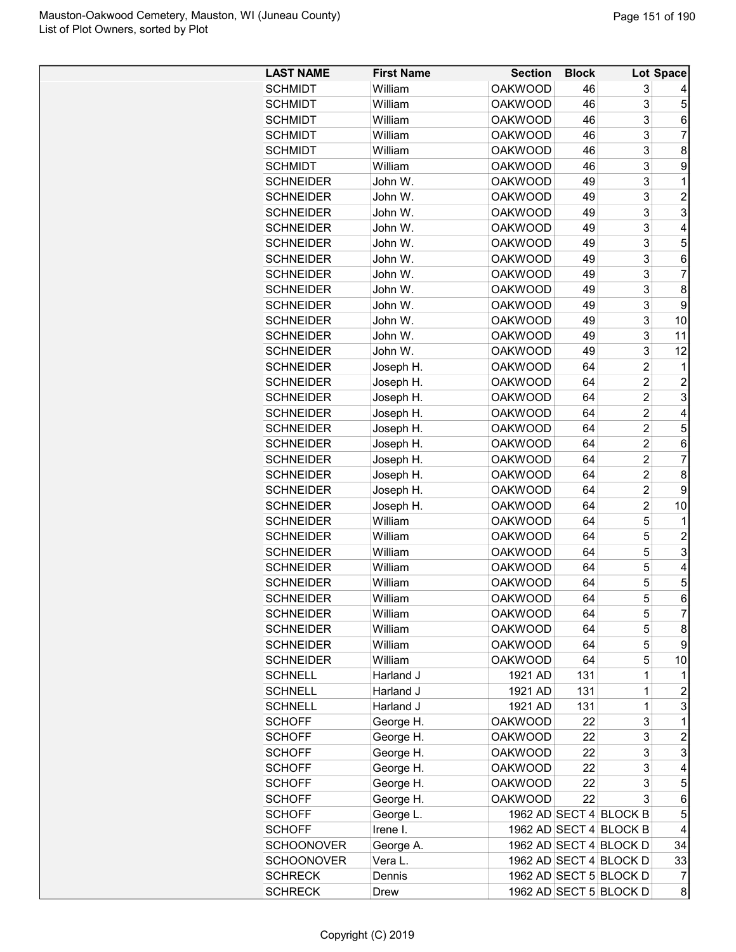| <b>LAST NAME</b>  | <b>First Name</b> | <b>Section</b> | <b>Block</b> |                        | Lot Space      |
|-------------------|-------------------|----------------|--------------|------------------------|----------------|
| <b>SCHMIDT</b>    | William           | <b>OAKWOOD</b> | 46           | 3                      |                |
| <b>SCHMIDT</b>    | William           | <b>OAKWOOD</b> | 46           | 3                      | 5              |
| <b>SCHMIDT</b>    | William           | <b>OAKWOOD</b> | 46           | 3                      | 6              |
| <b>SCHMIDT</b>    | William           | <b>OAKWOOD</b> | 46           | 3                      | $\overline{7}$ |
| <b>SCHMIDT</b>    | William           | <b>OAKWOOD</b> | 46           | 3                      | 8              |
| <b>SCHMIDT</b>    | William           | <b>OAKWOOD</b> | 46           | 3                      | 9              |
| <b>SCHNEIDER</b>  | John W.           | <b>OAKWOOD</b> | 49           | 3                      | 1              |
| <b>SCHNEIDER</b>  | John W.           | <b>OAKWOOD</b> | 49           | 3                      | $\overline{2}$ |
| <b>SCHNEIDER</b>  | John W.           | <b>OAKWOOD</b> | 49           | 3                      | 3              |
| <b>SCHNEIDER</b>  | John W.           | <b>OAKWOOD</b> | 49           | 3                      | 4              |
| <b>SCHNEIDER</b>  | John W.           | <b>OAKWOOD</b> | 49           | 3                      | 5              |
| <b>SCHNEIDER</b>  | John W.           | <b>OAKWOOD</b> | 49           | 3                      | 6              |
| <b>SCHNEIDER</b>  | John W.           | <b>OAKWOOD</b> | 49           | 3                      | 7              |
| <b>SCHNEIDER</b>  | John W.           | <b>OAKWOOD</b> | 49           | 3                      | 8              |
| <b>SCHNEIDER</b>  | John W.           | <b>OAKWOOD</b> | 49           | 3                      | 9              |
| <b>SCHNEIDER</b>  | John W.           | <b>OAKWOOD</b> | 49           | 3                      | 10             |
| <b>SCHNEIDER</b>  | John W.           | <b>OAKWOOD</b> | 49           | 3                      | 11             |
| <b>SCHNEIDER</b>  | John W.           | <b>OAKWOOD</b> | 49           | 3                      | 12             |
| <b>SCHNEIDER</b>  | Joseph H.         | <b>OAKWOOD</b> | 64           | $\overline{c}$         | 1              |
| <b>SCHNEIDER</b>  | Joseph H.         | <b>OAKWOOD</b> | 64           | $\overline{2}$         | $\overline{2}$ |
| <b>SCHNEIDER</b>  | Joseph H.         | <b>OAKWOOD</b> | 64           | $\overline{2}$         | 3              |
| <b>SCHNEIDER</b>  | Joseph H.         | <b>OAKWOOD</b> | 64           | $\overline{2}$         | 4              |
| <b>SCHNEIDER</b>  | Joseph H.         | <b>OAKWOOD</b> | 64           | $\overline{c}$         | 5              |
| <b>SCHNEIDER</b>  | Joseph H.         | <b>OAKWOOD</b> | 64           | $\overline{c}$         | 6              |
| <b>SCHNEIDER</b>  | Joseph H.         | <b>OAKWOOD</b> | 64           | $\overline{c}$         | $\overline{7}$ |
| <b>SCHNEIDER</b>  | Joseph H.         | <b>OAKWOOD</b> | 64           | $\overline{c}$         | 8              |
| <b>SCHNEIDER</b>  | Joseph H.         | <b>OAKWOOD</b> | 64           | $\overline{2}$         | 9              |
| <b>SCHNEIDER</b>  | Joseph H.         | <b>OAKWOOD</b> | 64           | $\overline{c}$         | 10             |
| <b>SCHNEIDER</b>  | William           | <b>OAKWOOD</b> | 64           | 5                      | 1              |
| <b>SCHNEIDER</b>  | William           | <b>OAKWOOD</b> | 64           | 5                      | $\overline{c}$ |
| <b>SCHNEIDER</b>  | William           | <b>OAKWOOD</b> | 64           | 5                      | 3              |
| <b>SCHNEIDER</b>  | William           | <b>OAKWOOD</b> | 64           | 5                      | 4              |
| <b>SCHNEIDER</b>  | William           | <b>OAKWOOD</b> | 64           | 5                      | 5              |
| SCHNEIDER         | William           | <b>OAKWOOD</b> | 64           | 5                      | 6              |
| <b>SCHNEIDER</b>  | William           | <b>OAKWOOD</b> | 64           | 5                      | $\overline{7}$ |
| <b>SCHNEIDER</b>  | William           | <b>OAKWOOD</b> | 64           | 5                      | 8              |
| <b>SCHNEIDER</b>  | William           | <b>OAKWOOD</b> | 64           | 5                      | 9              |
| <b>SCHNEIDER</b>  | William           | <b>OAKWOOD</b> | 64           | 5                      | 10             |
| <b>SCHNELL</b>    | Harland J         | 1921 AD        | 131          | $\mathbf 1$            | 1              |
| <b>SCHNELL</b>    | Harland J         | 1921 AD        | 131          | $\mathbf 1$            | $\overline{c}$ |
| <b>SCHNELL</b>    | Harland J         | 1921 AD        | 131          | $\mathbf 1$            | 3              |
| <b>SCHOFF</b>     | George H.         | <b>OAKWOOD</b> | 22           | 3                      | 1              |
| <b>SCHOFF</b>     | George H.         | <b>OAKWOOD</b> | 22           | 3                      | $\overline{c}$ |
| <b>SCHOFF</b>     | George H.         | <b>OAKWOOD</b> | 22           | 3                      | 3              |
| <b>SCHOFF</b>     | George H.         | <b>OAKWOOD</b> | 22           | 3                      | 4              |
| <b>SCHOFF</b>     | George H.         | <b>OAKWOOD</b> | 22           | 3                      | 5              |
| SCHOFF            | George H.         | <b>OAKWOOD</b> | 22           | 3                      | 6              |
| <b>SCHOFF</b>     | George L.         |                |              | 1962 AD SECT 4 BLOCK B | 5              |
| <b>SCHOFF</b>     | Irene I.          |                |              | 1962 AD SECT 4 BLOCK B | 4              |
| <b>SCHOONOVER</b> | George A.         |                |              | 1962 AD SECT 4 BLOCK D | 34             |
| <b>SCHOONOVER</b> | Vera L.           |                |              | 1962 AD SECT 4 BLOCK D | 33             |
| <b>SCHRECK</b>    | Dennis            |                |              | 1962 AD SECT 5 BLOCK D | $\overline{7}$ |
| <b>SCHRECK</b>    | Drew              |                |              | 1962 AD SECT 5 BLOCK D | 8              |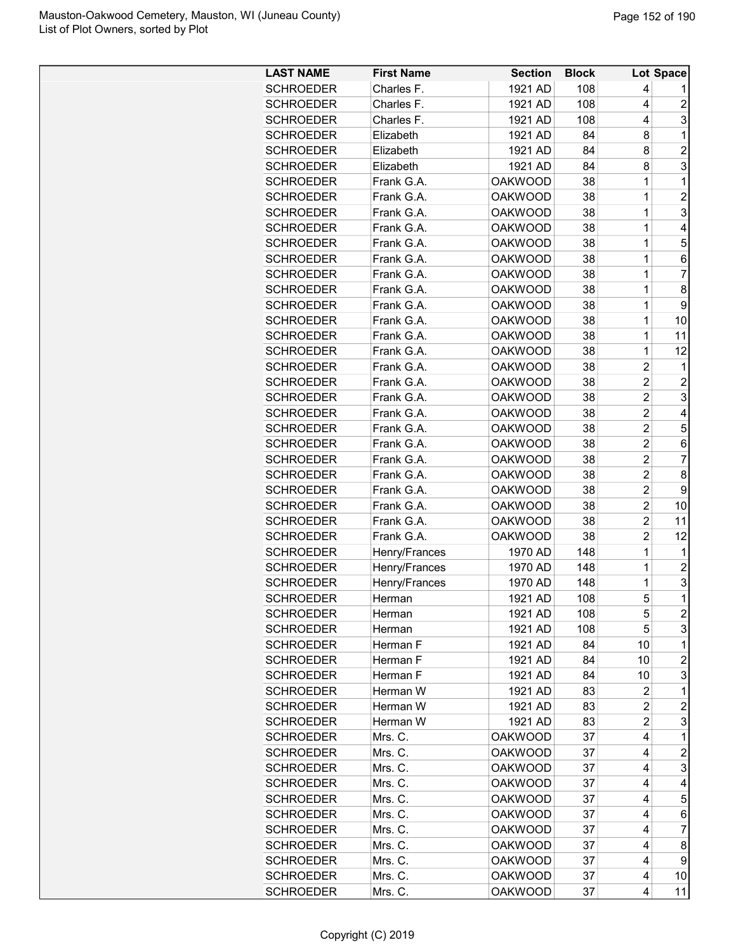| <b>LAST NAME</b>                     | <b>First Name</b>        | <b>Section</b> | <b>Block</b> |                         | Lot Space        |
|--------------------------------------|--------------------------|----------------|--------------|-------------------------|------------------|
| <b>SCHROEDER</b>                     | Charles F.               | 1921 AD        | 108          | 4                       | 1                |
| <b>SCHROEDER</b>                     | Charles F.               | 1921 AD        | 108          | 4                       | $\overline{2}$   |
| <b>SCHROEDER</b>                     | Charles F.               | 1921 AD        | 108          | 4                       | 3                |
| <b>SCHROEDER</b>                     | Elizabeth                | 1921 AD        | 84           | 8                       | $\mathbf 1$      |
| <b>SCHROEDER</b>                     | Elizabeth                | 1921 AD        | 84           | 8                       | $\overline{c}$   |
| <b>SCHROEDER</b>                     | Elizabeth                | 1921 AD        | 84           | 8                       | 3                |
| <b>SCHROEDER</b>                     | Frank G.A.               | <b>OAKWOOD</b> | 38           | 1                       | 1                |
| <b>SCHROEDER</b>                     | Frank G.A.               | <b>OAKWOOD</b> | 38           | 1                       | $\overline{c}$   |
| <b>SCHROEDER</b>                     | Frank G.A.               | <b>OAKWOOD</b> | 38           | 1                       | 3                |
| <b>SCHROEDER</b>                     | Frank G.A.               | <b>OAKWOOD</b> | 38           | $\mathbf{1}$            | $\overline{4}$   |
| <b>SCHROEDER</b>                     | Frank G.A.               | <b>OAKWOOD</b> | 38           | 1                       | 5                |
| <b>SCHROEDER</b>                     | Frank G.A.               | <b>OAKWOOD</b> | 38           | 1                       | 6                |
| <b>SCHROEDER</b>                     | Frank G.A.               | <b>OAKWOOD</b> | 38           | $\mathbf{1}$            | $\overline{7}$   |
| <b>SCHROEDER</b>                     | Frank G.A.               | <b>OAKWOOD</b> | 38           | 1                       | 8                |
| <b>SCHROEDER</b>                     | Frank G.A.               | <b>OAKWOOD</b> | 38           | 1                       | 9                |
| <b>SCHROEDER</b>                     | Frank G.A.               | <b>OAKWOOD</b> | 38           | 1                       | 10               |
|                                      |                          | <b>OAKWOOD</b> |              | 1                       | 11               |
| <b>SCHROEDER</b><br><b>SCHROEDER</b> | Frank G.A.<br>Frank G.A. |                | 38           |                         |                  |
|                                      |                          | <b>OAKWOOD</b> | 38           | 1                       | 12               |
| <b>SCHROEDER</b>                     | Frank G.A.               | <b>OAKWOOD</b> | 38           | $\overline{c}$          | $\mathbf{1}$     |
| <b>SCHROEDER</b>                     | Frank G.A.               | <b>OAKWOOD</b> | 38           | $\overline{c}$          | $\overline{c}$   |
| <b>SCHROEDER</b>                     | Frank G.A.               | <b>OAKWOOD</b> | 38           | $\overline{c}$          | 3                |
| <b>SCHROEDER</b>                     | Frank G.A.               | <b>OAKWOOD</b> | 38           | $\overline{2}$          | 4                |
| <b>SCHROEDER</b>                     | Frank G.A.               | <b>OAKWOOD</b> | 38           | $\overline{c}$          | 5                |
| <b>SCHROEDER</b>                     | Frank G.A.               | <b>OAKWOOD</b> | 38           | $\overline{c}$          | 6                |
| <b>SCHROEDER</b>                     | Frank G.A.               | <b>OAKWOOD</b> | 38           | $\overline{c}$          | $\overline{7}$   |
| <b>SCHROEDER</b>                     | Frank G.A.               | <b>OAKWOOD</b> | 38           | $\overline{c}$          | 8                |
| <b>SCHROEDER</b>                     | Frank G.A.               | <b>OAKWOOD</b> | 38           | $\overline{c}$          | 9                |
| <b>SCHROEDER</b>                     | Frank G.A.               | <b>OAKWOOD</b> | 38           | $\overline{c}$          | 10               |
| <b>SCHROEDER</b>                     | Frank G.A.               | <b>OAKWOOD</b> | 38           | $\overline{2}$          | 11               |
| <b>SCHROEDER</b>                     | Frank G.A.               | <b>OAKWOOD</b> | 38           | $\overline{c}$          | 12               |
| <b>SCHROEDER</b>                     | Henry/Frances            | 1970 AD        | 148          | 1                       | 1                |
| <b>SCHROEDER</b>                     | Henry/Frances            | 1970 AD        | 148          | 1                       | $\boldsymbol{2}$ |
| <b>SCHROEDER</b>                     | Henry/Frances            | 1970 AD        | 148          | 1                       | 3                |
| <b>SCHROEDER</b>                     | Herman                   | 1921 AD        | 108          | 5                       | $\mathbf 1$      |
| <b>SCHROEDER</b>                     | Herman                   | 1921 AD        | 108          | 5                       | $\overline{c}$   |
| <b>SCHROEDER</b>                     | Herman                   | 1921 AD        | 108          | 5                       | 3                |
| <b>SCHROEDER</b>                     | Herman F                 | 1921 AD        | 84           | 10                      | 1                |
| <b>SCHROEDER</b>                     | Herman F                 | 1921 AD        | 84           | 10                      | 2                |
| <b>SCHROEDER</b>                     | Herman F                 | 1921 AD        | 84           | 10                      | 3                |
| <b>SCHROEDER</b>                     | Herman W                 | 1921 AD        | 83           | 2                       | 1                |
| <b>SCHROEDER</b>                     | Herman W                 | 1921 AD        | 83           | $\overline{\mathbf{c}}$ | $\overline{c}$   |
| <b>SCHROEDER</b>                     | Herman W                 | 1921 AD        | 83           | $\overline{c}$          | 3                |
| <b>SCHROEDER</b>                     | Mrs. C.                  | <b>OAKWOOD</b> | 37           | 4                       | $\mathbf{1}$     |
| <b>SCHROEDER</b>                     | Mrs. C.                  | <b>OAKWOOD</b> | 37           | 4                       | 2                |
| <b>SCHROEDER</b>                     | Mrs. C.                  | <b>OAKWOOD</b> | 37           | 4                       | 3                |
| <b>SCHROEDER</b>                     | Mrs. C.                  | <b>OAKWOOD</b> | 37           | 4                       | 4                |
| <b>SCHROEDER</b>                     | Mrs. C.                  | <b>OAKWOOD</b> | 37           | 4                       | 5                |
| <b>SCHROEDER</b>                     | Mrs. C.                  | <b>OAKWOOD</b> | 37           | 4                       | 6                |
| <b>SCHROEDER</b>                     | Mrs. C.                  | <b>OAKWOOD</b> | 37           | 4                       | 7                |
| <b>SCHROEDER</b>                     | Mrs. C.                  | <b>OAKWOOD</b> | 37           | 4                       | 8                |
| <b>SCHROEDER</b>                     | Mrs. C.                  | <b>OAKWOOD</b> | 37           | 4                       | 9                |
| <b>SCHROEDER</b>                     | Mrs. C.                  | <b>OAKWOOD</b> | 37           | 4                       | 10               |
| <b>SCHROEDER</b>                     | Mrs. C.                  | <b>OAKWOOD</b> | 37           | 4                       | 11               |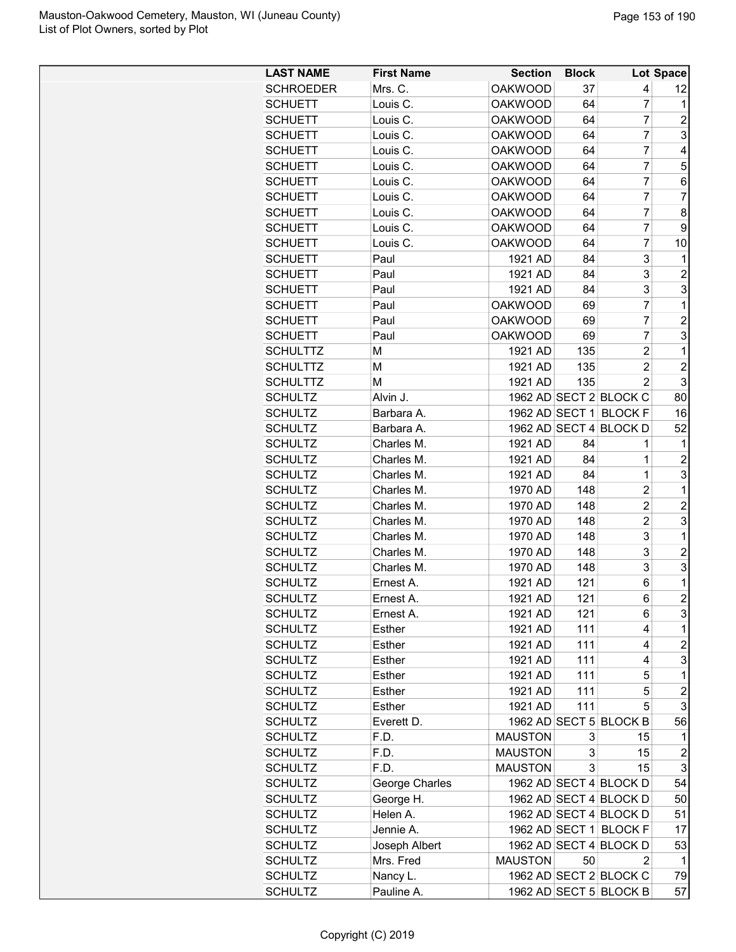| <b>LAST NAME</b>                 | <b>First Name</b> | <b>Section</b> | <b>Block</b> |                        | Lot Space               |
|----------------------------------|-------------------|----------------|--------------|------------------------|-------------------------|
| <b>SCHROEDER</b>                 | Mrs. C.           | <b>OAKWOOD</b> | 37           | 4                      | 12                      |
| <b>SCHUETT</b>                   | Louis C.          | <b>OAKWOOD</b> | 64           | $\overline{7}$         | 1                       |
| <b>SCHUETT</b>                   | Louis C.          | <b>OAKWOOD</b> | 64           | $\overline{7}$         | 2                       |
| <b>SCHUETT</b>                   | Louis C.          | <b>OAKWOOD</b> | 64           | $\overline{7}$         | 3                       |
| <b>SCHUETT</b>                   | Louis C.          | <b>OAKWOOD</b> | 64           | 7                      | 4                       |
| <b>SCHUETT</b>                   | Louis C.          | <b>OAKWOOD</b> | 64           | $\overline{7}$         | 5                       |
| <b>SCHUETT</b>                   | Louis C.          | <b>OAKWOOD</b> | 64           | $\overline{7}$         | 6                       |
| <b>SCHUETT</b>                   | Louis C.          | <b>OAKWOOD</b> | 64           | $\overline{7}$         | $\overline{7}$          |
| <b>SCHUETT</b>                   | Louis C.          | <b>OAKWOOD</b> | 64           | $\overline{7}$         | 8                       |
| <b>SCHUETT</b>                   | Louis C.          | <b>OAKWOOD</b> | 64           | $\overline{7}$         | 9                       |
| <b>SCHUETT</b>                   | Louis C.          | <b>OAKWOOD</b> | 64           | $\overline{7}$         | 10                      |
| <b>SCHUETT</b>                   | Paul              | 1921 AD        | 84           | 3                      | 1                       |
| <b>SCHUETT</b>                   | Paul              | 1921 AD        | 84           | 3                      | $\overline{2}$          |
| <b>SCHUETT</b>                   | Paul              | 1921 AD        | 84           | 3                      | 3                       |
| <b>SCHUETT</b>                   | Paul              | <b>OAKWOOD</b> | 69           | $\overline{7}$         | $\mathbf{1}$            |
| <b>SCHUETT</b>                   | Paul              | <b>OAKWOOD</b> | 69           | $\overline{7}$         | $\overline{c}$          |
| <b>SCHUETT</b>                   | Paul              | <b>OAKWOOD</b> | 69           | $\overline{7}$         | 3                       |
| <b>SCHULTTZ</b>                  | М                 | 1921 AD        | 135          | 2                      | $\mathbf{1}$            |
| <b>SCHULTTZ</b>                  | м                 | 1921 AD        | 135          | $\overline{2}$         | $\overline{c}$          |
| <b>SCHULTTZ</b>                  | м                 | 1921 AD        | 135          | 2                      | 3                       |
| <b>SCHULTZ</b>                   | Alvin J.          |                |              | 1962 AD SECT 2 BLOCK C | 80                      |
| <b>SCHULTZ</b>                   | Barbara A.        |                |              | 1962 AD SECT 1 BLOCK F | 16                      |
| <b>SCHULTZ</b>                   | Barbara A.        |                |              | 1962 AD SECT 4 BLOCK D | 52                      |
| <b>SCHULTZ</b>                   | Charles M.        | 1921 AD        | 84           | 1                      | 1                       |
| <b>SCHULTZ</b>                   | Charles M.        | 1921 AD        | 84           | 1                      | 2                       |
| <b>SCHULTZ</b>                   | Charles M.        | 1921 AD        | 84           | 1                      | 3                       |
| <b>SCHULTZ</b>                   | Charles M.        | 1970 AD        | 148          | $\overline{2}$         | $\mathbf{1}$            |
| <b>SCHULTZ</b>                   | Charles M.        | 1970 AD        | 148          | $\overline{2}$         | $\overline{c}$          |
|                                  | Charles M.        | 1970 AD        | 148          | $\overline{2}$         | 3                       |
| <b>SCHULTZ</b><br><b>SCHULTZ</b> | Charles M.        | 1970 AD        | 148          | 3                      | $\mathbf{1}$            |
|                                  | Charles M.        |                | 148          |                        |                         |
| <b>SCHULTZ</b>                   |                   | 1970 AD        |              | 3                      | $\overline{c}$          |
| <b>SCHULTZ</b>                   | Charles M.        | 1970 AD        | 148          | 3                      | 3                       |
| <b>SCHULTZ</b>                   | Ernest A.         | 1921 AD        | 121          | 6                      | $\mathbf{1}$            |
| <b>SCHULTZ</b>                   | Ernest A.         | 1921 AD        | 121          | 6                      | $\mathbf{2}$            |
| <b>SCHULTZ</b>                   | Ernest A.         | 1921 AD        | 121          | 6                      | 3                       |
| <b>SCHULTZ</b>                   | Esther            | 1921 AD        | 111          | 4                      | $\mathbf{1}$            |
| <b>SCHULTZ</b>                   | Esther            | 1921 AD        | 111          | 4                      | $\overline{a}$          |
| <b>SCHULTZ</b>                   | Esther            | 1921 AD        | 111          | 4                      | 3                       |
| <b>SCHULTZ</b>                   | Esther            | 1921 AD        | 111          | 5                      | 1                       |
| <b>SCHULTZ</b>                   | <b>Esther</b>     | 1921 AD        | 111          | 5                      | $\overline{\mathbf{c}}$ |
| <b>SCHULTZ</b>                   | Esther            | 1921 AD        | 111          | 5                      | 3                       |
| <b>SCHULTZ</b>                   | Everett D.        |                |              | 1962 AD SECT 5 BLOCK B | 56                      |
| <b>SCHULTZ</b>                   | F.D.              | <b>MAUSTON</b> | 3            | 15                     | 1                       |
| <b>SCHULTZ</b>                   | F.D.              | <b>MAUSTON</b> | 3            | 15                     | $\overline{c}$          |
| <b>SCHULTZ</b>                   | F.D.              | <b>MAUSTON</b> | 3            | 15                     | 3                       |
| <b>SCHULTZ</b>                   | George Charles    |                |              | 1962 AD SECT 4 BLOCK D | 54                      |
| <b>SCHULTZ</b>                   | George H.         |                |              | 1962 AD SECT 4 BLOCK D | 50                      |
| <b>SCHULTZ</b>                   | Helen A.          |                |              | 1962 AD SECT 4 BLOCK D | 51                      |
| <b>SCHULTZ</b>                   | Jennie A.         |                |              | 1962 AD SECT 1 BLOCK F | 17                      |
| <b>SCHULTZ</b>                   | Joseph Albert     |                |              | 1962 AD SECT 4 BLOCK D | 53                      |
| <b>SCHULTZ</b>                   | Mrs. Fred         | <b>MAUSTON</b> | 50           | 2                      | 1                       |
| <b>SCHULTZ</b>                   | Nancy L.          |                |              | 1962 AD SECT 2 BLOCK C | 79                      |
| <b>SCHULTZ</b>                   | Pauline A.        |                |              | 1962 AD SECT 5 BLOCK B | 57                      |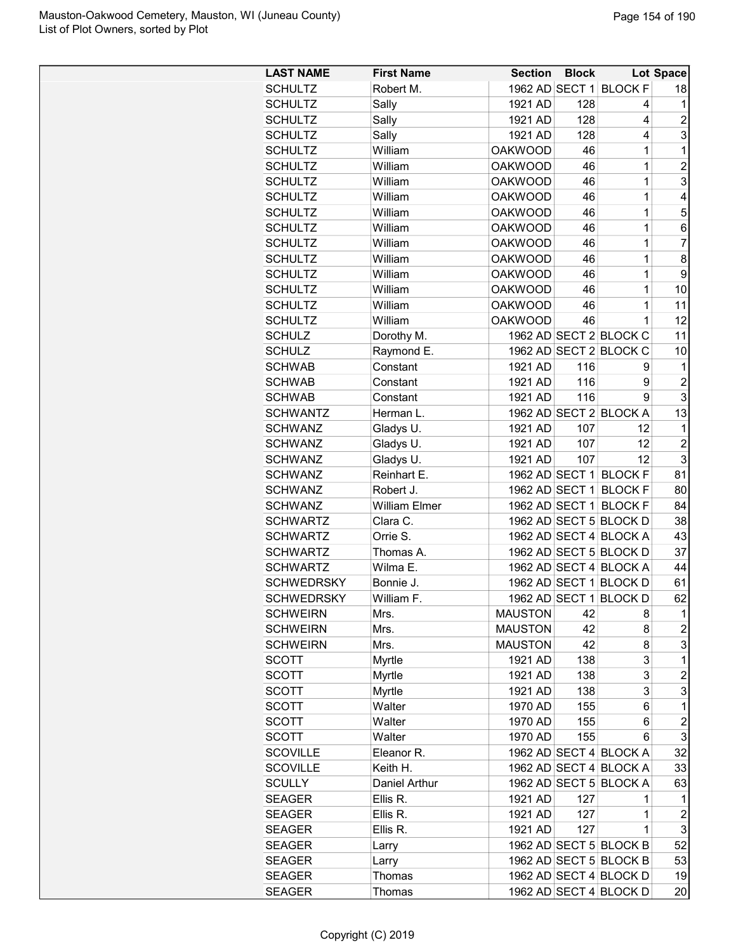| <b>LAST NAME</b>  | <b>First Name</b>    | <b>Section</b> | <b>Block</b> |                        | Lot Space               |
|-------------------|----------------------|----------------|--------------|------------------------|-------------------------|
| <b>SCHULTZ</b>    | Robert M.            |                |              | 1962 AD SECT 1 BLOCK F | 18                      |
| <b>SCHULTZ</b>    | Sally                | 1921 AD        | 128          | 4                      | $\mathbf{1}$            |
| <b>SCHULTZ</b>    | Sally                | 1921 AD        | 128          | 4                      | $\overline{\mathbf{c}}$ |
| <b>SCHULTZ</b>    | Sally                | 1921 AD        | 128          | 4                      | 3                       |
| <b>SCHULTZ</b>    | William              | <b>OAKWOOD</b> | 46           | 1                      | $\mathbf{1}$            |
| <b>SCHULTZ</b>    | William              | <b>OAKWOOD</b> | 46           | 1                      | $\overline{2}$          |
| <b>SCHULTZ</b>    | William              | <b>OAKWOOD</b> | 46           | 1                      | 3                       |
| <b>SCHULTZ</b>    | William              | <b>OAKWOOD</b> | 46           | 1                      | 4                       |
| <b>SCHULTZ</b>    | William              | <b>OAKWOOD</b> | 46           | 1                      | 5                       |
| <b>SCHULTZ</b>    | William              | <b>OAKWOOD</b> | 46           | 1                      | 6                       |
| <b>SCHULTZ</b>    | William              | <b>OAKWOOD</b> | 46           | 1                      | 7                       |
| <b>SCHULTZ</b>    | William              | <b>OAKWOOD</b> | 46           | 1                      | 8                       |
| <b>SCHULTZ</b>    | William              | <b>OAKWOOD</b> | 46           | 1                      | 9                       |
| <b>SCHULTZ</b>    | William              | <b>OAKWOOD</b> | 46           | 1                      | 10                      |
| <b>SCHULTZ</b>    | William              | <b>OAKWOOD</b> | 46           | 1                      | 11                      |
| <b>SCHULTZ</b>    | William              | <b>OAKWOOD</b> | 46           | 1                      | 12                      |
| <b>SCHULZ</b>     | Dorothy M.           |                |              | 1962 AD SECT 2 BLOCK C | 11                      |
| <b>SCHULZ</b>     | Raymond E.           |                |              | 1962 AD SECT 2 BLOCK C | 10                      |
| <b>SCHWAB</b>     | Constant             | 1921 AD        | 116          | 9                      | 1                       |
| <b>SCHWAB</b>     | Constant             | 1921 AD        | 116          | 9                      | $\overline{c}$          |
| <b>SCHWAB</b>     | Constant             | 1921 AD        | 116          | 9                      | 3                       |
| <b>SCHWANTZ</b>   | Herman L.            |                |              | 1962 AD SECT 2 BLOCK A | 13                      |
| <b>SCHWANZ</b>    | Gladys U.            | 1921 AD        | 107          | 12                     | $\mathbf{1}$            |
| <b>SCHWANZ</b>    | Gladys U.            | 1921 AD        | 107          | 12                     | $\overline{c}$          |
| <b>SCHWANZ</b>    | Gladys U.            | 1921 AD        | 107          | 12                     | 3                       |
| <b>SCHWANZ</b>    | Reinhart E.          |                |              | 1962 AD SECT 1 BLOCK F | 81                      |
| <b>SCHWANZ</b>    | Robert J.            |                |              | 1962 AD SECT 1 BLOCK F | 80                      |
| <b>SCHWANZ</b>    | <b>William Elmer</b> |                |              | 1962 AD SECT 1 BLOCK F | 84                      |
| <b>SCHWARTZ</b>   | Clara C.             |                |              | 1962 AD SECT 5 BLOCK D | 38                      |
| <b>SCHWARTZ</b>   | Orrie S.             |                |              | 1962 AD SECT 4 BLOCK A | 43                      |
| <b>SCHWARTZ</b>   | Thomas A.            |                |              | 1962 AD SECT 5 BLOCK D | 37                      |
| <b>SCHWARTZ</b>   | Wilma E.             |                |              | 1962 AD SECT 4 BLOCK A | 44                      |
| <b>SCHWEDRSKY</b> | Bonnie J.            |                |              | 1962 AD SECT 1 BLOCK D | 61                      |
| <b>SCHWEDRSKY</b> | William F.           |                |              | 1962 AD SECT 1 BLOCK D | 62                      |
| <b>SCHWEIRN</b>   | Mrs.                 | <b>MAUSTON</b> | 42           | 8                      | $\mathbf 1$             |
| <b>SCHWEIRN</b>   | Mrs.                 | <b>MAUSTON</b> | 42           | 8                      | 2                       |
| <b>SCHWEIRN</b>   | Mrs.                 | <b>MAUSTON</b> | 42           | 8                      | 3                       |
| SCOTT             | Myrtle               | 1921 AD        | 138          | 3                      | 1                       |
| <b>SCOTT</b>      | Myrtle               | 1921 AD        | 138          | 3                      | 2                       |
| <b>SCOTT</b>      | Myrtle               | 1921 AD        | 138          | 3                      | 3                       |
| <b>SCOTT</b>      | Walter               | 1970 AD        | 155          | 6                      | 1                       |
| SCOTT             | Walter               | 1970 AD        | 155          | 6                      | $\overline{c}$          |
| <b>SCOTT</b>      | Walter               | 1970 AD        | 155          | 6                      | 3                       |
| <b>SCOVILLE</b>   | Eleanor R.           |                |              | 1962 AD SECT 4 BLOCK A | 32                      |
| <b>SCOVILLE</b>   | Keith H.             |                |              | 1962 AD SECT 4 BLOCK A | 33                      |
| <b>SCULLY</b>     | Daniel Arthur        |                |              | 1962 AD SECT 5 BLOCK A | 63                      |
| <b>SEAGER</b>     | Ellis R.             | 1921 AD        | 127          | 1                      | 1                       |
| <b>SEAGER</b>     | Ellis R.             | 1921 AD        | 127          | 1                      | 2                       |
| <b>SEAGER</b>     | Ellis R.             | 1921 AD        | 127          | 1                      | 3                       |
| <b>SEAGER</b>     | Larry                |                |              | 1962 AD SECT 5 BLOCK B | 52                      |
| <b>SEAGER</b>     | Larry                |                |              | 1962 AD SECT 5 BLOCK B | 53                      |
| <b>SEAGER</b>     | Thomas               |                |              | 1962 AD SECT 4 BLOCK D | 19                      |
| <b>SEAGER</b>     | Thomas               |                |              | 1962 AD SECT 4 BLOCK D | 20                      |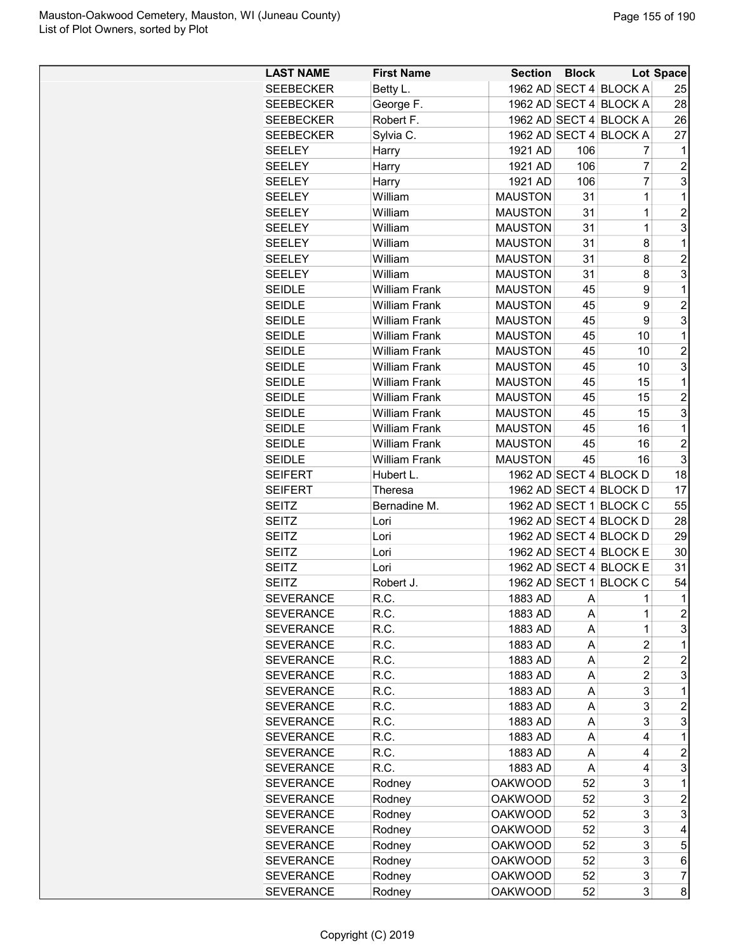| <b>LAST NAME</b> | <b>First Name</b>    | <b>Section</b> | <b>Block</b> |                        | <b>Lot Space</b> |
|------------------|----------------------|----------------|--------------|------------------------|------------------|
| <b>SEEBECKER</b> | Betty L.             |                |              | 1962 AD SECT 4 BLOCK A | 25               |
| <b>SEEBECKER</b> | George F.            |                |              | 1962 AD SECT 4 BLOCK A | 28               |
| <b>SEEBECKER</b> | Robert F.            |                |              | 1962 AD SECT 4 BLOCK A | 26               |
| <b>SEEBECKER</b> | Sylvia C.            |                |              | 1962 AD SECT 4 BLOCK A | 27               |
| <b>SEELEY</b>    | Harry                | 1921 AD        | 106          | 7                      | 1                |
| <b>SEELEY</b>    | Harry                | 1921 AD        | 106          | 7                      | $\overline{c}$   |
| <b>SEELEY</b>    | Harry                | 1921 AD        | 106          | 7                      | 3                |
| <b>SEELEY</b>    | William              | <b>MAUSTON</b> | 31           | 1                      | $\mathbf 1$      |
| <b>SEELEY</b>    | William              | <b>MAUSTON</b> | 31           | 1                      | $\overline{2}$   |
| <b>SEELEY</b>    | William              | <b>MAUSTON</b> | 31           | 1                      | 3                |
| <b>SEELEY</b>    | William              | <b>MAUSTON</b> | 31           | 8                      | 1                |
| <b>SEELEY</b>    | William              | <b>MAUSTON</b> | 31           | 8                      | $\overline{c}$   |
| <b>SEELEY</b>    | William              | <b>MAUSTON</b> | 31           | 8                      | 3                |
| <b>SEIDLE</b>    | <b>William Frank</b> | <b>MAUSTON</b> | 45           | 9                      | 1                |
| <b>SEIDLE</b>    | <b>William Frank</b> | <b>MAUSTON</b> | 45           | 9                      | $\overline{2}$   |
| <b>SEIDLE</b>    | <b>William Frank</b> | <b>MAUSTON</b> | 45           | 9                      | 3                |
| <b>SEIDLE</b>    | <b>William Frank</b> | <b>MAUSTON</b> | 45           | 10                     | $\mathbf{1}$     |
| <b>SEIDLE</b>    | <b>William Frank</b> | <b>MAUSTON</b> | 45           | 10                     | $\overline{2}$   |
| <b>SEIDLE</b>    | <b>William Frank</b> | <b>MAUSTON</b> | 45           | 10                     | 3                |
| <b>SEIDLE</b>    | <b>William Frank</b> | <b>MAUSTON</b> | 45           | 15                     | 1                |
| <b>SEIDLE</b>    | <b>William Frank</b> | <b>MAUSTON</b> | 45           | 15                     | $\overline{c}$   |
| <b>SEIDLE</b>    | <b>William Frank</b> | <b>MAUSTON</b> | 45           | 15                     | 3                |
|                  |                      |                |              |                        |                  |
| <b>SEIDLE</b>    | <b>William Frank</b> | <b>MAUSTON</b> | 45           | 16                     | 1                |
| <b>SEIDLE</b>    | <b>William Frank</b> | <b>MAUSTON</b> | 45           | 16                     | $\overline{2}$   |
| <b>SEIDLE</b>    | <b>William Frank</b> | <b>MAUSTON</b> | 45           | 16                     | 3                |
| <b>SEIFERT</b>   | Hubert L.            |                |              | 1962 AD SECT 4 BLOCK D | 18               |
| <b>SEIFERT</b>   | Theresa              |                |              | 1962 AD SECT 4 BLOCK D | 17               |
| <b>SEITZ</b>     | Bernadine M.         |                |              | 1962 AD SECT 1 BLOCK C | 55               |
| SEITZ            | Lori                 |                |              | 1962 AD SECT 4 BLOCK D | 28               |
| <b>SEITZ</b>     | Lori                 |                |              | 1962 AD SECT 4 BLOCK D | 29               |
| <b>SEITZ</b>     | Lori                 |                |              | 1962 AD SECT 4 BLOCK E | 30               |
| <b>SEITZ</b>     | Lori                 |                |              | 1962 AD SECT 4 BLOCK E | 31               |
| <b>SEITZ</b>     | Robert J.            |                |              | 1962 AD SECT 1 BLOCK C | 54               |
| <b>SEVERANCE</b> | R.C.                 | 1883 AD        | A            | 1                      | $\overline{1}$   |
| <b>SEVERANCE</b> | R.C.                 | 1883 AD        | A            | 1                      | $\boldsymbol{2}$ |
| <b>SEVERANCE</b> | R.C.                 | 1883 AD        | A            | 1                      | 3                |
| <b>SEVERANCE</b> | R.C.                 | 1883 AD        | A            | $\overline{2}$         | 1                |
| <b>SEVERANCE</b> | R.C.                 | 1883 AD        | Α            | 2                      | $\overline{c}$   |
| <b>SEVERANCE</b> | R.C.                 | 1883 AD        | Α            | $\overline{c}$         | 3                |
| <b>SEVERANCE</b> | R.C.                 | 1883 AD        | Α            | 3                      | 1                |
| <b>SEVERANCE</b> | R.C.                 | 1883 AD        | A            | 3                      | $\overline{c}$   |
| <b>SEVERANCE</b> | R.C.                 | 1883 AD        | A            | 3                      | 3                |
| <b>SEVERANCE</b> | R.C.                 | 1883 AD        | A            | 4                      | 1                |
| <b>SEVERANCE</b> | R.C.                 | 1883 AD        | A            | 4                      | $\overline{c}$   |
| <b>SEVERANCE</b> | R.C.                 | 1883 AD        | Α            | 4                      | 3                |
| <b>SEVERANCE</b> | Rodney               | <b>OAKWOOD</b> | 52           | 3                      | 1                |
| <b>SEVERANCE</b> | Rodney               | <b>OAKWOOD</b> | 52           | 3                      | $\overline{c}$   |
| <b>SEVERANCE</b> | Rodney               | <b>OAKWOOD</b> | 52           | 3                      | 3                |
| <b>SEVERANCE</b> | Rodney               | <b>OAKWOOD</b> | 52           | 3                      | 4                |
| <b>SEVERANCE</b> | Rodney               | <b>OAKWOOD</b> | 52           | 3                      | 5                |
| <b>SEVERANCE</b> | Rodney               | <b>OAKWOOD</b> | 52           | 3                      | 6                |
| <b>SEVERANCE</b> | Rodney               | <b>OAKWOOD</b> | 52           | 3                      | $\overline{7}$   |
| <b>SEVERANCE</b> | Rodney               | <b>OAKWOOD</b> | 52           | 3                      | 8                |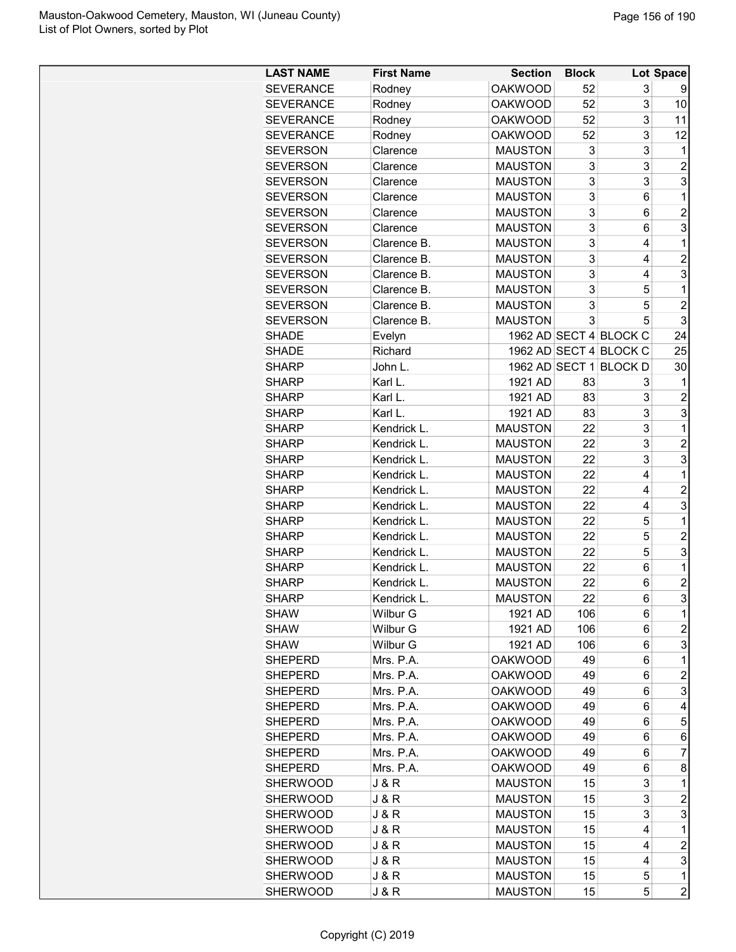| <b>LAST NAME</b> | <b>First Name</b> | <b>Section</b> | <b>Block</b> |                        | Lot Space      |
|------------------|-------------------|----------------|--------------|------------------------|----------------|
| <b>SEVERANCE</b> | Rodney            | <b>OAKWOOD</b> | 52           | 3                      | 9              |
| <b>SEVERANCE</b> | Rodney            | <b>OAKWOOD</b> | 52           | 3                      | 10             |
| <b>SEVERANCE</b> | Rodney            | <b>OAKWOOD</b> | 52           | 3                      | 11             |
| <b>SEVERANCE</b> | Rodney            | <b>OAKWOOD</b> | 52           | 3                      | 12             |
| <b>SEVERSON</b>  | Clarence          | <b>MAUSTON</b> | 3            | 3                      | 1              |
| <b>SEVERSON</b>  | Clarence          | <b>MAUSTON</b> | 3            | 3                      | $\overline{c}$ |
| <b>SEVERSON</b>  | Clarence          | <b>MAUSTON</b> | 3            | 3                      | 3              |
| <b>SEVERSON</b>  | Clarence          | <b>MAUSTON</b> | 3            | 6                      | 1              |
| <b>SEVERSON</b>  | Clarence          | <b>MAUSTON</b> | 3            | 6                      | $\overline{2}$ |
| <b>SEVERSON</b>  | Clarence          | <b>MAUSTON</b> | 3            | 6                      | 3              |
| <b>SEVERSON</b>  | Clarence B.       | <b>MAUSTON</b> | 3            | 4                      | 1              |
| <b>SEVERSON</b>  | Clarence B.       | <b>MAUSTON</b> | 3            | 4                      | $\overline{c}$ |
| <b>SEVERSON</b>  | Clarence B.       | <b>MAUSTON</b> | 3            | 4                      | 3              |
| <b>SEVERSON</b>  | Clarence B.       | <b>MAUSTON</b> | 3            | 5                      | 1              |
| <b>SEVERSON</b>  | Clarence B.       | <b>MAUSTON</b> | 3            | 5                      | $\overline{2}$ |
| <b>SEVERSON</b>  | Clarence B.       | <b>MAUSTON</b> | 3            | 5                      | 3              |
| <b>SHADE</b>     | Evelyn            |                |              | 1962 AD SECT 4 BLOCK C | 24             |
| <b>SHADE</b>     | Richard           |                |              | 1962 AD SECT 4 BLOCK C | 25             |
|                  |                   |                |              |                        |                |
| <b>SHARP</b>     | John L.           |                |              | 1962 AD SECT 1 BLOCK D | 30             |
| <b>SHARP</b>     | Karl L.           | 1921 AD        | 83           | 3                      | 1              |
| <b>SHARP</b>     | Karl L.           | 1921 AD        | 83           | 3                      | $\overline{c}$ |
| <b>SHARP</b>     | Karl L.           | 1921 AD        | 83           | 3                      | 3              |
| <b>SHARP</b>     | Kendrick L.       | <b>MAUSTON</b> | 22           | 3                      | 1              |
| <b>SHARP</b>     | Kendrick L.       | <b>MAUSTON</b> | 22           | 3                      | $\overline{c}$ |
| <b>SHARP</b>     | Kendrick L.       | <b>MAUSTON</b> | 22           | 3                      | 3              |
| <b>SHARP</b>     | Kendrick L.       | <b>MAUSTON</b> | 22           | 4                      | 1              |
| <b>SHARP</b>     | Kendrick L.       | <b>MAUSTON</b> | 22           | 4                      | $\overline{c}$ |
| <b>SHARP</b>     | Kendrick L.       | <b>MAUSTON</b> | 22           | 4                      | 3              |
| <b>SHARP</b>     | Kendrick L.       | <b>MAUSTON</b> | 22           | 5                      | 1              |
| <b>SHARP</b>     | Kendrick L.       | <b>MAUSTON</b> | 22           | 5                      | $\overline{2}$ |
| <b>SHARP</b>     | Kendrick L.       | <b>MAUSTON</b> | 22           | 5                      | 3              |
| <b>SHARP</b>     | Kendrick L.       | <b>MAUSTON</b> | 22           | 6                      | 1              |
| <b>SHARP</b>     | Kendrick L.       | <b>MAUSTON</b> | 22           | 6                      | $\overline{2}$ |
| <b>SHARP</b>     | Kendrick L        | <b>MAUSTON</b> | 22           | 6                      | 3              |
| <b>SHAW</b>      | Wilbur G          | 1921 AD        | 106          | 6                      | 1              |
| <b>SHAW</b>      | Wilbur G          | 1921 AD        | 106          | 6                      | $\overline{c}$ |
| <b>SHAW</b>      | Wilbur G          | 1921 AD        | 106          | 6                      | 3              |
| <b>SHEPERD</b>   | Mrs. P.A.         | <b>OAKWOOD</b> | 49           | 6                      | 1              |
| <b>SHEPERD</b>   | Mrs. P.A.         | <b>OAKWOOD</b> | 49           | 6                      | 2              |
| <b>SHEPERD</b>   | Mrs. P.A.         | <b>OAKWOOD</b> | 49           | 6                      | 3              |
| <b>SHEPERD</b>   | Mrs. P.A.         | <b>OAKWOOD</b> | 49           | 6                      | 4              |
| <b>SHEPERD</b>   | Mrs. P.A.         | <b>OAKWOOD</b> | 49           | 6                      | 5              |
| <b>SHEPERD</b>   | Mrs. P.A.         | <b>OAKWOOD</b> | 49           | 6                      | 6              |
| <b>SHEPERD</b>   | Mrs. P.A.         | <b>OAKWOOD</b> | 49           | 6                      | 7              |
| <b>SHEPERD</b>   | Mrs. P.A.         | <b>OAKWOOD</b> | 49           | 6                      | 8              |
| <b>SHERWOOD</b>  | J & R             | <b>MAUSTON</b> | 15           | 3                      | 1              |
| <b>SHERWOOD</b>  | J & R             | <b>MAUSTON</b> | 15           | 3                      | $\overline{c}$ |
| <b>SHERWOOD</b>  | J & R             | <b>MAUSTON</b> | 15           | 3                      | 3              |
| <b>SHERWOOD</b>  | J & R             | <b>MAUSTON</b> | 15           | 4                      | 1              |
| <b>SHERWOOD</b>  | J & R             | <b>MAUSTON</b> | 15           | 4                      | $\overline{c}$ |
| <b>SHERWOOD</b>  | J & R             | <b>MAUSTON</b> | 15           | 4                      | 3              |
| <b>SHERWOOD</b>  | J & R             | <b>MAUSTON</b> | 15           | 5                      | 1              |
| <b>SHERWOOD</b>  | J & R             | <b>MAUSTON</b> | 15           | 5                      | $\overline{c}$ |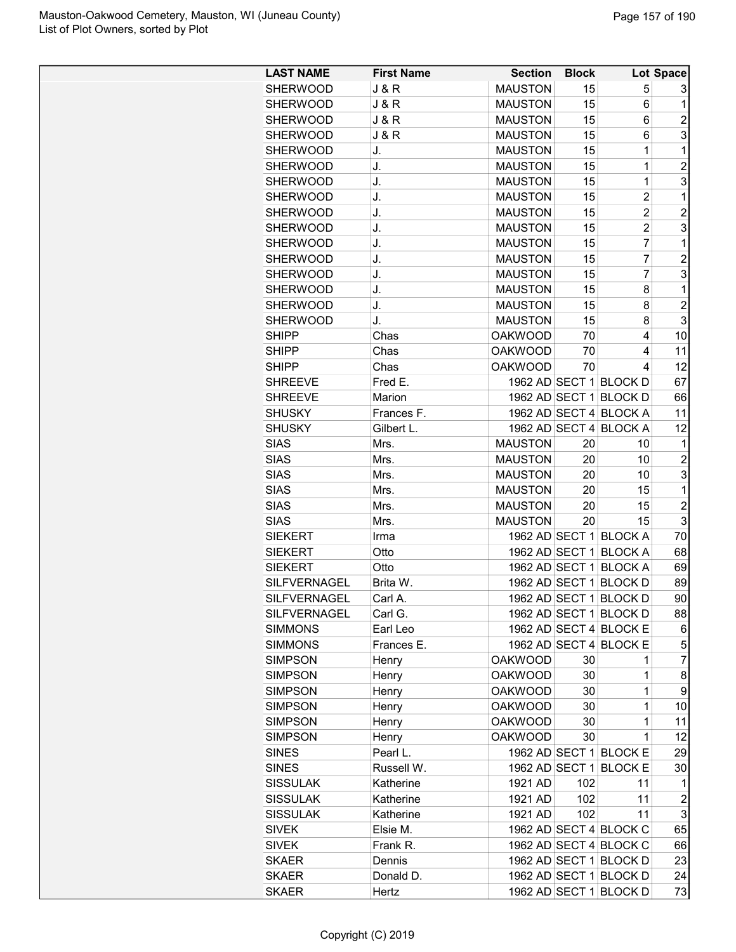| <b>LAST NAME</b>    | <b>First Name</b> | <b>Section</b> | <b>Block</b> |                        | Lot Space      |
|---------------------|-------------------|----------------|--------------|------------------------|----------------|
| <b>SHERWOOD</b>     | <b>J &amp; R</b>  | <b>MAUSTON</b> | 15           | 5                      | 3              |
| <b>SHERWOOD</b>     | <b>J&amp;R</b>    | <b>MAUSTON</b> | 15           | 6                      | 1              |
| <b>SHERWOOD</b>     | <b>J &amp; R</b>  | <b>MAUSTON</b> | 15           | 6                      | $\overline{c}$ |
| <b>SHERWOOD</b>     | <b>J &amp; R</b>  | <b>MAUSTON</b> | 15           | 6                      | 3              |
| <b>SHERWOOD</b>     | J.                | <b>MAUSTON</b> | 15           | $\mathbf 1$            | 1              |
| <b>SHERWOOD</b>     | J.                | <b>MAUSTON</b> | 15           | 1                      | $\overline{c}$ |
| <b>SHERWOOD</b>     | J.                | <b>MAUSTON</b> | 15           | 1                      | 3              |
| <b>SHERWOOD</b>     | J.                | <b>MAUSTON</b> | 15           | $\overline{c}$         | 1              |
| <b>SHERWOOD</b>     | J.                | <b>MAUSTON</b> | 15           | $\overline{c}$         | $\overline{c}$ |
| <b>SHERWOOD</b>     | J.                | <b>MAUSTON</b> | 15           | $\overline{2}$         | 3              |
| <b>SHERWOOD</b>     | J.                | <b>MAUSTON</b> | 15           | $\overline{7}$         | 1              |
| <b>SHERWOOD</b>     | J.                | <b>MAUSTON</b> | 15           | 7                      | $\overline{c}$ |
| <b>SHERWOOD</b>     | J.                | <b>MAUSTON</b> | 15           | 7                      | 3              |
| <b>SHERWOOD</b>     | J.                | <b>MAUSTON</b> | 15           | 8                      | 1              |
| <b>SHERWOOD</b>     | J.                | <b>MAUSTON</b> | 15           | 8                      | $\overline{c}$ |
| <b>SHERWOOD</b>     | J.                | <b>MAUSTON</b> | 15           | 8                      | 3              |
| <b>SHIPP</b>        | Chas              | <b>OAKWOOD</b> | 70           | 4                      | 10             |
| <b>SHIPP</b>        | Chas              | <b>OAKWOOD</b> | 70           | 4                      | 11             |
| <b>SHIPP</b>        | Chas              | <b>OAKWOOD</b> | 70           | 4                      | 12             |
| <b>SHREEVE</b>      | Fred E.           |                |              | 1962 AD SECT 1 BLOCK D | 67             |
| <b>SHREEVE</b>      | Marion            |                |              | 1962 AD SECT 1 BLOCK D | 66             |
| <b>SHUSKY</b>       | Frances F.        |                |              | 1962 AD SECT 4 BLOCK A | 11             |
| <b>SHUSKY</b>       | Gilbert L.        |                |              | 1962 AD SECT 4 BLOCK A | 12             |
| <b>SIAS</b>         | Mrs.              | <b>MAUSTON</b> | 20           | 10                     | 1              |
| <b>SIAS</b>         | Mrs.              | <b>MAUSTON</b> | 20           | 10                     | $\overline{c}$ |
| <b>SIAS</b>         | Mrs.              | <b>MAUSTON</b> | 20           | 10                     | 3              |
| <b>SIAS</b>         | Mrs.              | <b>MAUSTON</b> | 20           | 15                     | 1              |
| <b>SIAS</b>         | Mrs.              | <b>MAUSTON</b> | 20           | 15                     | $\overline{2}$ |
| <b>SIAS</b>         | Mrs.              | <b>MAUSTON</b> | 20           | 15                     | 3              |
| <b>SIEKERT</b>      | Irma              |                |              | 1962 AD SECT 1 BLOCK A | 70             |
| <b>SIEKERT</b>      | Otto              |                |              | 1962 AD SECT 1 BLOCK A | 68             |
| <b>SIEKERT</b>      | Otto              |                |              | 1962 AD SECT 1 BLOCK A | 69             |
| SILFVERNAGEL        | Brita W.          |                |              | 1962 AD SECT 1 BLOCK D | 89             |
| SILFVERNAGEL        | Carl A.           |                |              | 1962 AD SECT 1 BLOCK D | 90             |
| <b>SILFVERNAGEL</b> | Carl G.           |                |              | 1962 AD SECT 1 BLOCK D | 88             |
| <b>SIMMONS</b>      | Earl Leo          |                |              | 1962 AD SECT 4 BLOCK E | 6              |
| <b>SIMMONS</b>      | Frances E.        |                |              | 1962 AD SECT 4 BLOCK E | 5              |
| <b>SIMPSON</b>      | Henry             | <b>OAKWOOD</b> | 30           | 1                      | $\overline{7}$ |
| <b>SIMPSON</b>      | Henry             | <b>OAKWOOD</b> | 30           | 1                      | 8              |
| <b>SIMPSON</b>      | Henry             | <b>OAKWOOD</b> | 30           | 1                      | 9              |
| <b>SIMPSON</b>      | Henry             | <b>OAKWOOD</b> | 30           | 1                      | 10             |
| <b>SIMPSON</b>      | Henry             | <b>OAKWOOD</b> | 30           | 1                      | 11             |
| <b>SIMPSON</b>      | Henry             | <b>OAKWOOD</b> | 30           | 1                      | 12             |
| <b>SINES</b>        | Pearl L.          |                |              | 1962 AD SECT 1 BLOCK E | 29             |
| <b>SINES</b>        | Russell W.        |                |              | 1962 AD SECT 1 BLOCK E | 30             |
| <b>SISSULAK</b>     | Katherine         | 1921 AD        | 102          | 11                     | 1              |
| <b>SISSULAK</b>     | Katherine         | 1921 AD        | 102          | 11                     | $\overline{c}$ |
| <b>SISSULAK</b>     | Katherine         | 1921 AD        | 102          | 11                     | 3              |
| <b>SIVEK</b>        | Elsie M.          |                |              | 1962 AD SECT 4 BLOCK C | 65             |
| <b>SIVEK</b>        | Frank R.          |                |              | 1962 AD SECT 4 BLOCK C | 66             |
| <b>SKAER</b>        | Dennis            |                |              | 1962 AD SECT 1 BLOCK D | 23             |
| <b>SKAER</b>        | Donald D.         |                |              | 1962 AD SECT 1 BLOCK D | 24             |
| <b>SKAER</b>        | Hertz             |                |              | 1962 AD SECT 1 BLOCK D | 73             |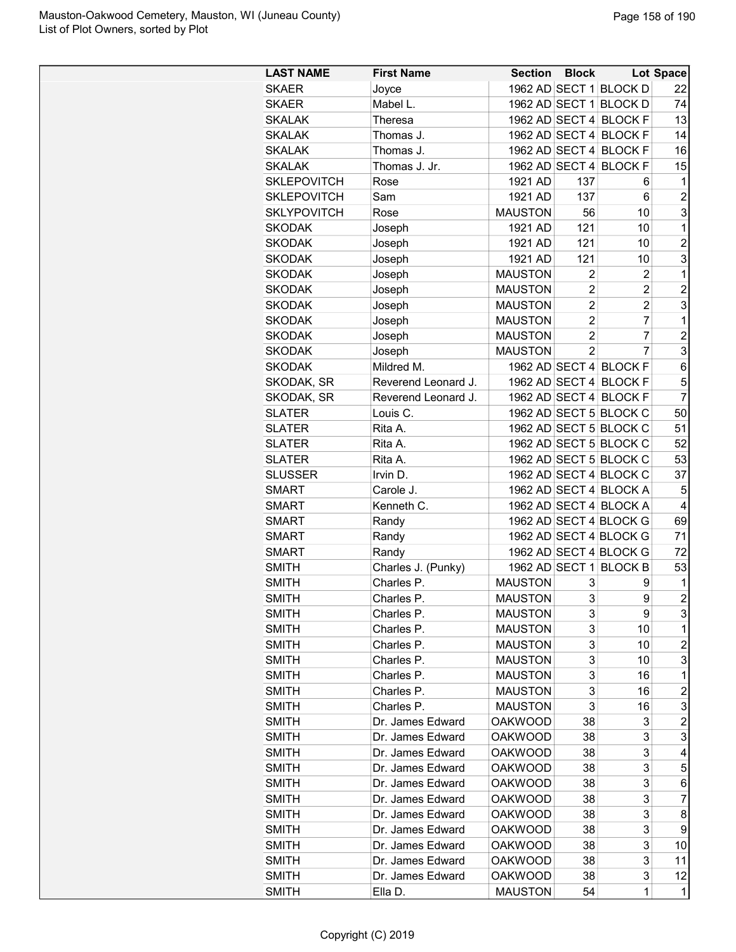| <b>LAST NAME</b>   | <b>First Name</b>   | <b>Section</b> | <b>Block</b>   |                        | Lot Space      |
|--------------------|---------------------|----------------|----------------|------------------------|----------------|
| <b>SKAER</b>       | Joyce               |                |                | 1962 AD SECT 1 BLOCK D | 22             |
| <b>SKAER</b>       | Mabel L.            |                |                | 1962 AD SECT 1 BLOCK D | 74             |
| <b>SKALAK</b>      | <b>Theresa</b>      |                |                | 1962 AD SECT 4 BLOCK F | 13             |
| <b>SKALAK</b>      | Thomas J.           |                |                | 1962 AD SECT 4 BLOCK F | 14             |
| <b>SKALAK</b>      | Thomas J.           |                |                | 1962 AD SECT 4 BLOCK F | 16             |
| <b>SKALAK</b>      | Thomas J. Jr.       |                |                | 1962 AD SECT 4 BLOCK F | 15             |
| <b>SKLEPOVITCH</b> | Rose                | 1921 AD        | 137            | 6                      | 1              |
| <b>SKLEPOVITCH</b> | Sam                 | 1921 AD        | 137            | 6                      | $\overline{c}$ |
| <b>SKLYPOVITCH</b> | Rose                | <b>MAUSTON</b> | 56             | 10                     | 3              |
| <b>SKODAK</b>      | Joseph              | 1921 AD        | 121            | 10                     | 1              |
| <b>SKODAK</b>      | Joseph              | 1921 AD        | 121            | 10                     | $\overline{c}$ |
| <b>SKODAK</b>      | Joseph              | 1921 AD        | 121            | 10                     | 3              |
| <b>SKODAK</b>      | Joseph              | <b>MAUSTON</b> | $\overline{2}$ | $\overline{c}$         | 1              |
| <b>SKODAK</b>      | Joseph              | <b>MAUSTON</b> | $\overline{c}$ | 2                      | $\overline{c}$ |
| <b>SKODAK</b>      | Joseph              | <b>MAUSTON</b> | $\overline{2}$ | $\overline{2}$         | 3              |
| <b>SKODAK</b>      | Joseph              | <b>MAUSTON</b> | $\overline{2}$ | 7                      | 1              |
| <b>SKODAK</b>      | Joseph              | <b>MAUSTON</b> | $\overline{2}$ | $\overline{7}$         | $\overline{2}$ |
| <b>SKODAK</b>      | Joseph              | <b>MAUSTON</b> | $\overline{2}$ | $\overline{7}$         | 3              |
| <b>SKODAK</b>      | Mildred M.          |                |                | 1962 AD SECT 4 BLOCK F | 6              |
| SKODAK, SR         | Reverend Leonard J. |                |                | 1962 AD SECT 4 BLOCK F | 5              |
| SKODAK, SR         | Reverend Leonard J. |                |                | 1962 AD SECT 4 BLOCK F | $\overline{7}$ |
| <b>SLATER</b>      | Louis C.            |                |                | 1962 AD SECT 5 BLOCK C | 50             |
| <b>SLATER</b>      | Rita A.             |                |                | 1962 AD SECT 5 BLOCK C | 51             |
| <b>SLATER</b>      | Rita A.             |                |                | 1962 AD SECT 5 BLOCK C | 52             |
| <b>SLATER</b>      | Rita A.             |                |                | 1962 AD SECT 5 BLOCK C | 53             |
| <b>SLUSSER</b>     | Irvin D.            |                |                | 1962 AD SECT 4 BLOCK C | 37             |
| <b>SMART</b>       | Carole J.           |                |                | 1962 AD SECT 4 BLOCK A | 5              |
| <b>SMART</b>       | Kenneth C.          |                |                | 1962 AD SECT 4 BLOCK A | 4              |
| <b>SMART</b>       | Randy               |                |                | 1962 AD SECT 4 BLOCK G | 69             |
| <b>SMART</b>       | Randy               |                |                | 1962 AD SECT 4 BLOCK G | 71             |
| <b>SMART</b>       | Randy               |                |                | 1962 AD SECT 4 BLOCK G | 72             |
| <b>SMITH</b>       | Charles J. (Punky)  |                |                | 1962 AD SECT 1 BLOCK B | 53             |
| <b>SMITH</b>       | Charles P.          | <b>MAUSTON</b> | 3              | 9                      | 1              |
| <b>SMITH</b>       | Charles P           | <b>MAUSTON</b> | 3              | 9                      | $\overline{2}$ |
| <b>SMITH</b>       | Charles P.          | <b>MAUSTON</b> | 3              | 9                      | 3              |
| <b>SMITH</b>       | Charles P.          | <b>MAUSTON</b> | 3              | 10                     | 1              |
| <b>SMITH</b>       | Charles P.          | <b>MAUSTON</b> | 3              | 10                     | $\overline{c}$ |
| <b>SMITH</b>       | Charles P.          | <b>MAUSTON</b> | 3              | 10                     | 3              |
| <b>SMITH</b>       | Charles P.          | <b>MAUSTON</b> | 3              | 16                     | 1              |
| SMITH              | Charles P.          | <b>MAUSTON</b> | 3              | 16                     | 2              |
| <b>SMITH</b>       | Charles P.          | <b>MAUSTON</b> | 3              | 16                     | 3              |
| <b>SMITH</b>       | Dr. James Edward    | <b>OAKWOOD</b> | 38             | 3                      | $\overline{c}$ |
| <b>SMITH</b>       | Dr. James Edward    | <b>OAKWOOD</b> | 38             | 3                      | 3              |
| <b>SMITH</b>       | Dr. James Edward    | <b>OAKWOOD</b> | 38             | 3                      | 4              |
| <b>SMITH</b>       | Dr. James Edward    | <b>OAKWOOD</b> | 38             | 3                      | 5              |
| SMITH              | Dr. James Edward    | <b>OAKWOOD</b> | 38             | 3                      | 6              |
| SMITH              | Dr. James Edward    | OAKWOOD        | 38             | 3                      | 7              |
| <b>SMITH</b>       | Dr. James Edward    | <b>OAKWOOD</b> | 38             | 3                      | 8              |
| <b>SMITH</b>       | Dr. James Edward    | <b>OAKWOOD</b> | 38             | 3                      | 9              |
| <b>SMITH</b>       | Dr. James Edward    | <b>OAKWOOD</b> | 38             | 3                      | 10             |
| <b>SMITH</b>       | Dr. James Edward    | <b>OAKWOOD</b> | 38             | 3                      | 11             |
| SMITH              | Dr. James Edward    | <b>OAKWOOD</b> | 38             | 3                      | 12             |
| <b>SMITH</b>       | Ella D.             | <b>MAUSTON</b> | 54             | 1                      | 1              |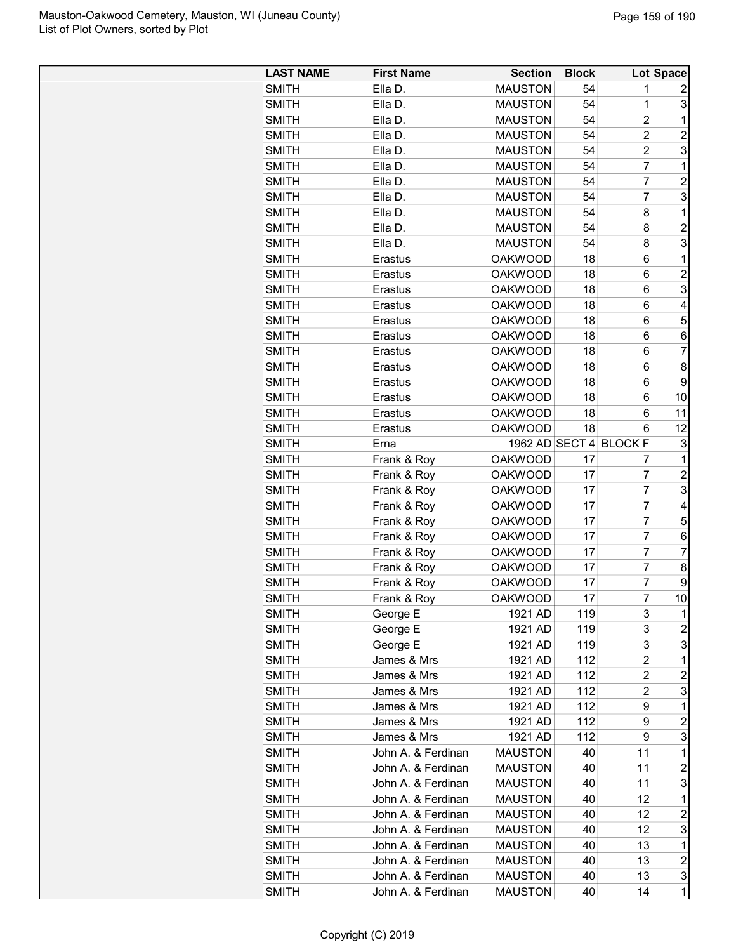| <b>LAST NAME</b>      | <b>First Name</b>                        | <b>Section</b> | <b>Block</b> |                        | Lot Space               |
|-----------------------|------------------------------------------|----------------|--------------|------------------------|-------------------------|
| <b>SMITH</b>          | Ella D.                                  | <b>MAUSTON</b> | 54           | 1                      | 2                       |
| <b>SMITH</b>          | Ella D.                                  | <b>MAUSTON</b> | 54           | 1                      | 3                       |
| <b>SMITH</b>          | Ella D.                                  | <b>MAUSTON</b> | 54           | $\overline{2}$         | $\mathbf 1$             |
| <b>SMITH</b>          | Ella D.                                  | <b>MAUSTON</b> | 54           | $\overline{2}$         | 2                       |
| <b>SMITH</b>          | Ella D.                                  | <b>MAUSTON</b> | 54           | $\overline{2}$         | $\overline{3}$          |
| <b>SMITH</b>          | Ella D.                                  | <b>MAUSTON</b> | 54           | $\overline{7}$         | $\mathbf{1}$            |
| <b>SMITH</b>          | Ella D.                                  | <b>MAUSTON</b> | 54           | 7                      | $\overline{c}$          |
| <b>SMITH</b>          | Ella D.                                  | <b>MAUSTON</b> | 54           | 7                      | 3                       |
| <b>SMITH</b>          | Ella D.                                  | <b>MAUSTON</b> | 54           | 8                      | $\mathbf{1}$            |
| <b>SMITH</b>          | Ella D.                                  | <b>MAUSTON</b> | 54           | 8                      | $\overline{c}$          |
| <b>SMITH</b>          | Ella D.                                  | <b>MAUSTON</b> | 54           | 8                      | 3                       |
| <b>SMITH</b>          | Erastus                                  | <b>OAKWOOD</b> | 18           | 6                      | 1                       |
| <b>SMITH</b>          | Erastus                                  | <b>OAKWOOD</b> | 18           | 6                      | $\overline{\mathbf{c}}$ |
| <b>SMITH</b>          | Erastus                                  | <b>OAKWOOD</b> | 18           | 6                      | 3                       |
| <b>SMITH</b>          | Erastus                                  | <b>OAKWOOD</b> | 18           | 6                      | 4                       |
| <b>SMITH</b>          | Erastus                                  | <b>OAKWOOD</b> | 18           | 6                      | 5                       |
| <b>SMITH</b>          | Erastus                                  | <b>OAKWOOD</b> | 18           | 6                      | 6                       |
| <b>SMITH</b>          | Erastus                                  | <b>OAKWOOD</b> | 18           | 6                      | $\overline{7}$          |
| <b>SMITH</b>          | Erastus                                  | <b>OAKWOOD</b> | 18           | 6                      | 8                       |
| <b>SMITH</b>          | Erastus                                  | <b>OAKWOOD</b> | 18           | 6                      | $\boldsymbol{9}$        |
| <b>SMITH</b>          | Erastus                                  | <b>OAKWOOD</b> | 18           | 6                      | 10                      |
| <b>SMITH</b>          | Erastus                                  | <b>OAKWOOD</b> | 18           | 6                      | 11                      |
| <b>SMITH</b>          | Erastus                                  | <b>OAKWOOD</b> | 18           | 6                      | 12                      |
| <b>SMITH</b>          | Erna                                     |                |              | 1962 AD SECT 4 BLOCK F | 3                       |
| <b>SMITH</b>          | Frank & Roy                              | <b>OAKWOOD</b> | 17           | 7                      | 1                       |
| <b>SMITH</b>          | Frank & Roy                              | <b>OAKWOOD</b> | 17           | $\overline{7}$         | $\overline{c}$          |
| <b>SMITH</b>          | Frank & Roy                              | <b>OAKWOOD</b> | 17           | $\overline{7}$         | $\overline{3}$          |
| <b>SMITH</b>          | Frank & Roy                              | <b>OAKWOOD</b> | 17           | $\overline{7}$         | 4                       |
| <b>SMITH</b>          | Frank & Roy                              | <b>OAKWOOD</b> | 17           | $\overline{7}$         | 5                       |
| <b>SMITH</b>          | Frank & Roy                              | <b>OAKWOOD</b> | 17           | $\overline{7}$         | 6                       |
| <b>SMITH</b>          | Frank & Roy                              | <b>OAKWOOD</b> | 17           | 7                      | $\overline{7}$          |
| <b>SMITH</b>          | Frank & Roy                              | <b>OAKWOOD</b> | 17           | 7                      | 8                       |
| <b>SMITH</b>          | Frank & Roy                              | <b>OAKWOOD</b> | 17           | $\overline{7}$         | 9                       |
| <b>SMITH</b>          | Frank & Roy                              | <b>OAKWOOD</b> | 17           | 7                      | 10                      |
| <b>SMITH</b>          | George E                                 | 1921 AD        | 119          | 3                      | 1                       |
| <b>SMITH</b>          | George E                                 | 1921 AD        | 119          | 3                      | $\mathbf{2}$            |
| <b>SMITH</b>          | George E                                 | 1921 AD        | 119          | 3                      | $\mathbf{3}$            |
| <b>SMITH</b>          | James & Mrs                              | 1921 AD        | 112          | $\overline{2}$         | $\mathbf{1}$            |
| <b>SMITH</b>          | James & Mrs                              | 1921 AD        | 112          | $\overline{c}$         | $\overline{\mathbf{c}}$ |
|                       | James & Mrs                              | 1921 AD        |              |                        |                         |
| SMITH<br><b>SMITH</b> | James & Mrs                              | 1921 AD        | 112<br>112   | 2<br>9                 | 3<br>1                  |
|                       | James & Mrs                              |                | 112          | 9                      | $\overline{c}$          |
| <b>SMITH</b>          | James & Mrs                              | 1921 AD        | 112          | 9                      | 3                       |
| <b>SMITH</b>          |                                          | 1921 AD        |              |                        |                         |
| <b>SMITH</b>          | John A. & Ferdinan<br>John A. & Ferdinan | <b>MAUSTON</b> | 40           | 11                     | $\mathbf 1$             |
| <b>SMITH</b>          |                                          | <b>MAUSTON</b> | 40           | 11                     | $\overline{\mathbf{c}}$ |
| <b>SMITH</b>          | John A. & Ferdinan                       | <b>MAUSTON</b> | 40           | 11                     | 3                       |
| <b>SMITH</b>          | John A. & Ferdinan                       | <b>MAUSTON</b> | 40           | 12                     | $\mathbf 1$             |
| <b>SMITH</b>          | John A. & Ferdinan                       | <b>MAUSTON</b> | 40           | 12                     | 2                       |
| <b>SMITH</b>          | John A. & Ferdinan                       | <b>MAUSTON</b> | 40           | 12                     | $\overline{3}$          |
| <b>SMITH</b>          | John A. & Ferdinan                       | <b>MAUSTON</b> | 40           | 13                     | $\mathbf{1}$            |
| <b>SMITH</b>          | John A. & Ferdinan                       | <b>MAUSTON</b> | 40           | 13                     | $\overline{a}$          |
| <b>SMITH</b>          | John A. & Ferdinan                       | <b>MAUSTON</b> | 40           | 13                     | $\overline{3}$          |
| <b>SMITH</b>          | John A. & Ferdinan                       | <b>MAUSTON</b> | 40           | 14                     | $\mathbf{1}$            |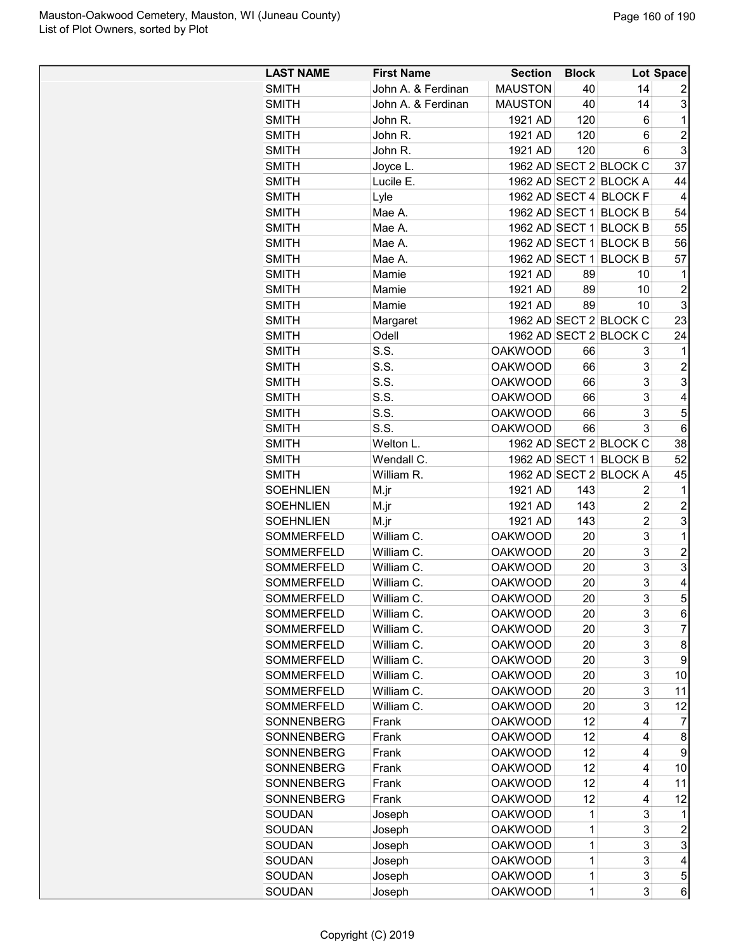| <b>LAST NAME</b>  | <b>First Name</b>  | <b>Section</b> | <b>Block</b> |                        | Lot Space      |
|-------------------|--------------------|----------------|--------------|------------------------|----------------|
| <b>SMITH</b>      | John A. & Ferdinan | <b>MAUSTON</b> | 40           | 14                     | 2              |
| <b>SMITH</b>      | John A. & Ferdinan | <b>MAUSTON</b> | 40           | 14                     | 3              |
| <b>SMITH</b>      | John R.            | 1921 AD        | 120          | 6                      | 1              |
| <b>SMITH</b>      | John R.            | 1921 AD        | 120          | 6                      | $\overline{2}$ |
| <b>SMITH</b>      | John R.            | 1921 AD        | 120          | 6                      | 3              |
| <b>SMITH</b>      | Joyce L.           |                |              | 1962 AD SECT 2 BLOCK C | 37             |
| <b>SMITH</b>      | Lucile E.          |                |              | 1962 AD SECT 2 BLOCK A | 44             |
| <b>SMITH</b>      | Lyle               |                |              | 1962 AD SECT 4 BLOCK F | $\overline{4}$ |
| SMITH             | Mae A.             |                |              | 1962 AD SECT 1 BLOCK B | 54             |
| <b>SMITH</b>      | Mae A.             |                |              | 1962 AD SECT 1 BLOCK B | 55             |
| SMITH             | Mae A.             |                |              | 1962 AD SECT 1 BLOCK B | 56             |
| SMITH             | Mae A.             | 1962 AD SECT 1 |              | <b>BLOCK B</b>         | 57             |
| <b>SMITH</b>      | Mamie              | 1921 AD        | 89           | 10                     | 1              |
| <b>SMITH</b>      | Mamie              | 1921 AD        | 89           | 10                     | $\overline{c}$ |
| <b>SMITH</b>      | Mamie              | 1921 AD        | 89           | 10                     | 3              |
| SMITH             | Margaret           |                |              | 1962 AD SECT 2 BLOCK C | 23             |
| SMITH             | Odell              |                |              | 1962 AD SECT 2 BLOCK C | 24             |
| SMITH             | S.S.               | <b>OAKWOOD</b> | 66           | 3                      | 1              |
| SMITH             | S.S.               | <b>OAKWOOD</b> | 66           | 3                      | $\overline{2}$ |
| <b>SMITH</b>      | S.S.               | <b>OAKWOOD</b> | 66           | 3                      | 3              |
| <b>SMITH</b>      | S.S.               | <b>OAKWOOD</b> | 66           | 3                      | 4              |
| <b>SMITH</b>      | S.S.               | <b>OAKWOOD</b> | 66           | 3                      | 5              |
| SMITH             | S.S.               | <b>OAKWOOD</b> | 66           | 3                      | 6              |
| <b>SMITH</b>      | Welton L.          |                |              | 1962 AD SECT 2 BLOCK C | 38             |
| SMITH             | Wendall C.         |                |              | 1962 AD SECT 1 BLOCK B | 52             |
| SMITH             | William R.         |                |              | 1962 AD SECT 2 BLOCK A | 45             |
| <b>SOEHNLIEN</b>  | M.jr               | 1921 AD        | 143          | 2                      | 1              |
| <b>SOEHNLIEN</b>  | M.jr               | 1921 AD        | 143          | 2                      | $\overline{c}$ |
| <b>SOEHNLIEN</b>  | M.jr               | 1921 AD        | 143          | 2                      | 3              |
| <b>SOMMERFELD</b> | William C.         | <b>OAKWOOD</b> | 20           | 3                      | $\mathbf 1$    |
| SOMMERFELD        | William C.         | <b>OAKWOOD</b> | 20           | 3                      | $\overline{c}$ |
| SOMMERFELD        | William C.         | <b>OAKWOOD</b> | 20           | 3                      | 3              |
| SOMMERFELD        | William C.         | <b>OAKWOOD</b> | 20           | 3                      | 4              |
| <b>SOMMERFELD</b> | William C.         | <b>OAKWOOD</b> | 20           | 3                      | 5              |
| <b>SOMMERFELD</b> | William C.         | <b>OAKWOOD</b> | 20           | 3                      | 6              |
| <b>SOMMERFELD</b> | William C.         | <b>OAKWOOD</b> | 20           | 3                      | 7              |
| <b>SOMMERFELD</b> | William C.         | <b>OAKWOOD</b> | 20           | 3                      | 8              |
| SOMMERFELD        | William C.         | <b>OAKWOOD</b> | 20           | 3                      | 9              |
| SOMMERFELD        | William C.         | <b>OAKWOOD</b> | 20           | 3                      | 10             |
| SOMMERFELD        | William C.         | <b>OAKWOOD</b> | 20           | 3                      | 11             |
| <b>SOMMERFELD</b> | William C.         | <b>OAKWOOD</b> | 20           | 3                      | 12             |
| SONNENBERG        | Frank              | <b>OAKWOOD</b> | 12           | 4                      | 7              |
| SONNENBERG        | Frank              | <b>OAKWOOD</b> | 12           | 4                      | 8              |
| <b>SONNENBERG</b> | Frank              | <b>OAKWOOD</b> | 12           | 4                      | 9              |
| SONNENBERG        | Frank              | <b>OAKWOOD</b> | 12           | 4                      | 10             |
| SONNENBERG        | Frank              | <b>OAKWOOD</b> | 12           | 4                      | 11             |
| SONNENBERG        | Frank              | <b>OAKWOOD</b> | 12           | 4                      | 12             |
| SOUDAN            | Joseph             | <b>OAKWOOD</b> | 1            | 3                      | 1              |
| SOUDAN            | Joseph             | <b>OAKWOOD</b> | 1            | 3                      | $\overline{c}$ |
| SOUDAN            | Joseph             | <b>OAKWOOD</b> | 1            | 3                      | 3              |
| SOUDAN            | Joseph             | <b>OAKWOOD</b> | 1            | 3                      | 4              |
| SOUDAN            | Joseph             | <b>OAKWOOD</b> | 1            | 3                      | 5              |
| SOUDAN            | Joseph             | <b>OAKWOOD</b> | 1            | 3                      | 6              |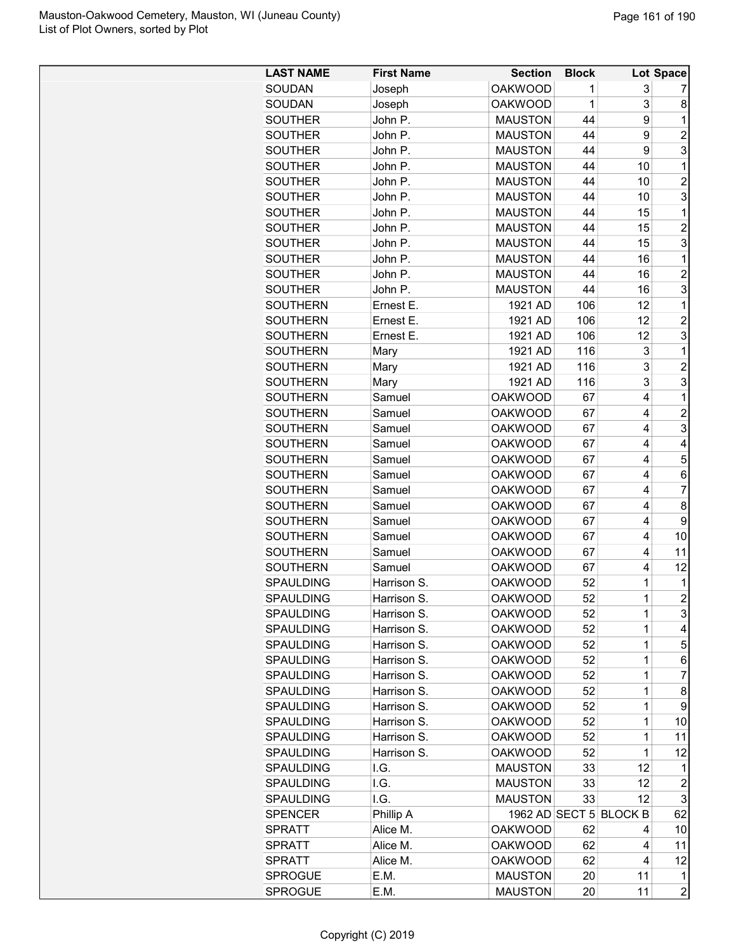| <b>LAST NAME</b> | <b>First Name</b> | <b>Section</b> | <b>Block</b> |                        | Lot Space           |
|------------------|-------------------|----------------|--------------|------------------------|---------------------|
| <b>SOUDAN</b>    | Joseph            | <b>OAKWOOD</b> | 1            | 3                      | 7                   |
| <b>SOUDAN</b>    | Joseph            | <b>OAKWOOD</b> | 1            | 3                      | 8                   |
| <b>SOUTHER</b>   | John P.           | <b>MAUSTON</b> | 44           | 9                      | 1                   |
| <b>SOUTHER</b>   | John P.           | <b>MAUSTON</b> | 44           | 9                      | $\overline{c}$      |
| <b>SOUTHER</b>   | John P.           | <b>MAUSTON</b> | 44           | 9                      | 3                   |
| <b>SOUTHER</b>   | John P.           | <b>MAUSTON</b> | 44           | 10                     | 1                   |
| <b>SOUTHER</b>   | John P.           | <b>MAUSTON</b> | 44           | 10                     | $\overline{c}$      |
| <b>SOUTHER</b>   | John P.           | <b>MAUSTON</b> | 44           | 10                     | 3                   |
| <b>SOUTHER</b>   | John P.           | <b>MAUSTON</b> | 44           | 15                     | 1                   |
| <b>SOUTHER</b>   | John P.           | <b>MAUSTON</b> | 44           | 15                     | $\overline{c}$      |
| <b>SOUTHER</b>   | John P.           | <b>MAUSTON</b> | 44           | 15                     | 3                   |
| <b>SOUTHER</b>   | John P.           | <b>MAUSTON</b> | 44           | 16                     | 1                   |
| <b>SOUTHER</b>   | John P.           | <b>MAUSTON</b> | 44           | 16                     | $\overline{c}$      |
| <b>SOUTHER</b>   | John P.           | <b>MAUSTON</b> | 44           | 16                     | 3                   |
| <b>SOUTHERN</b>  | Ernest E.         | 1921 AD        | 106          | 12                     | 1                   |
| <b>SOUTHERN</b>  | Ernest E.         | 1921 AD        | 106          | 12                     | $\overline{c}$      |
| <b>SOUTHERN</b>  | Ernest E.         | 1921 AD        | 106          | 12                     | 3                   |
| <b>SOUTHERN</b>  | Mary              | 1921 AD        | 116          | 3                      | 1                   |
| <b>SOUTHERN</b>  |                   | 1921 AD        | 116          | 3                      | $\overline{c}$      |
| <b>SOUTHERN</b>  | Mary              | 1921 AD        | 116          | 3                      | 3                   |
|                  | Mary              |                |              | 4                      |                     |
| <b>SOUTHERN</b>  | Samuel            | <b>OAKWOOD</b> | 67           |                        | 1                   |
| <b>SOUTHERN</b>  | Samuel            | <b>OAKWOOD</b> | 67           | 4                      | $\overline{c}$      |
| <b>SOUTHERN</b>  | Samuel            | <b>OAKWOOD</b> | 67           | 4                      | 3                   |
| <b>SOUTHERN</b>  | Samuel            | <b>OAKWOOD</b> | 67           | 4                      | 4                   |
| <b>SOUTHERN</b>  | Samuel            | <b>OAKWOOD</b> | 67           | 4                      | 5                   |
| <b>SOUTHERN</b>  | Samuel            | <b>OAKWOOD</b> | 67           | 4                      | 6                   |
| <b>SOUTHERN</b>  | Samuel            | <b>OAKWOOD</b> | 67           | 4                      | $\overline{7}$      |
| <b>SOUTHERN</b>  | Samuel            | <b>OAKWOOD</b> | 67           | 4                      | 8                   |
| <b>SOUTHERN</b>  | Samuel            | <b>OAKWOOD</b> | 67           | 4                      | 9                   |
| <b>SOUTHERN</b>  | Samuel            | <b>OAKWOOD</b> | 67           | 4                      | 10                  |
| <b>SOUTHERN</b>  | Samuel            | <b>OAKWOOD</b> | 67           | 4                      | 11                  |
| <b>SOUTHERN</b>  | Samuel            | <b>OAKWOOD</b> | 67           | 4                      | 12                  |
| <b>SPAULDING</b> | Harrison S.       | <b>OAKWOOD</b> | 52           | 1                      | 1                   |
| SPAULDING        | Harrison S.       | <b>OAKWOOD</b> | 52           | 1                      | $\mathbf{2}$        |
| <b>SPAULDING</b> | Harrison S.       | <b>OAKWOOD</b> | 52           | 1                      | 3                   |
| <b>SPAULDING</b> | Harrison S.       | <b>OAKWOOD</b> | 52           | 1                      | $\overline{4}$      |
| <b>SPAULDING</b> | Harrison S.       | <b>OAKWOOD</b> | 52           | 1                      | 5                   |
| SPAULDING        | Harrison S.       | <b>OAKWOOD</b> | 52           | 1                      | 6                   |
| <b>SPAULDING</b> | Harrison S.       | <b>OAKWOOD</b> | 52           | 1                      | 7                   |
| <b>SPAULDING</b> | Harrison S.       | <b>OAKWOOD</b> | 52           | 1                      | 8                   |
| <b>SPAULDING</b> | Harrison S.       | <b>OAKWOOD</b> | 52           | 1                      | 9                   |
| <b>SPAULDING</b> | Harrison S.       | <b>OAKWOOD</b> | 52           | 1                      | 10                  |
| <b>SPAULDING</b> | Harrison S.       | <b>OAKWOOD</b> | 52           | 1                      | 11                  |
| SPAULDING        | Harrison S.       | <b>OAKWOOD</b> | 52           | 1                      | 12                  |
| <b>SPAULDING</b> | I.G.              | <b>MAUSTON</b> | 33           | 12                     | 1                   |
| <b>SPAULDING</b> | I.G.              | <b>MAUSTON</b> | 33           | 12                     | 2                   |
| <b>SPAULDING</b> | I.G.              | <b>MAUSTON</b> | 33           | 12                     | 3                   |
| <b>SPENCER</b>   | Phillip A         |                |              | 1962 AD SECT 5 BLOCK B | 62                  |
| <b>SPRATT</b>    | Alice M.          | <b>OAKWOOD</b> | 62           | 4                      | 10                  |
| <b>SPRATT</b>    | Alice M.          | <b>OAKWOOD</b> | 62           | 4                      | 11                  |
| <b>SPRATT</b>    | Alice M.          | <b>OAKWOOD</b> | 62           | 4                      | 12                  |
| <b>SPROGUE</b>   | E.M.              | <b>MAUSTON</b> |              | 11                     |                     |
| <b>SPROGUE</b>   | E.M.              | <b>MAUSTON</b> | 20<br>20     | 11                     | 1<br>$\overline{a}$ |
|                  |                   |                |              |                        |                     |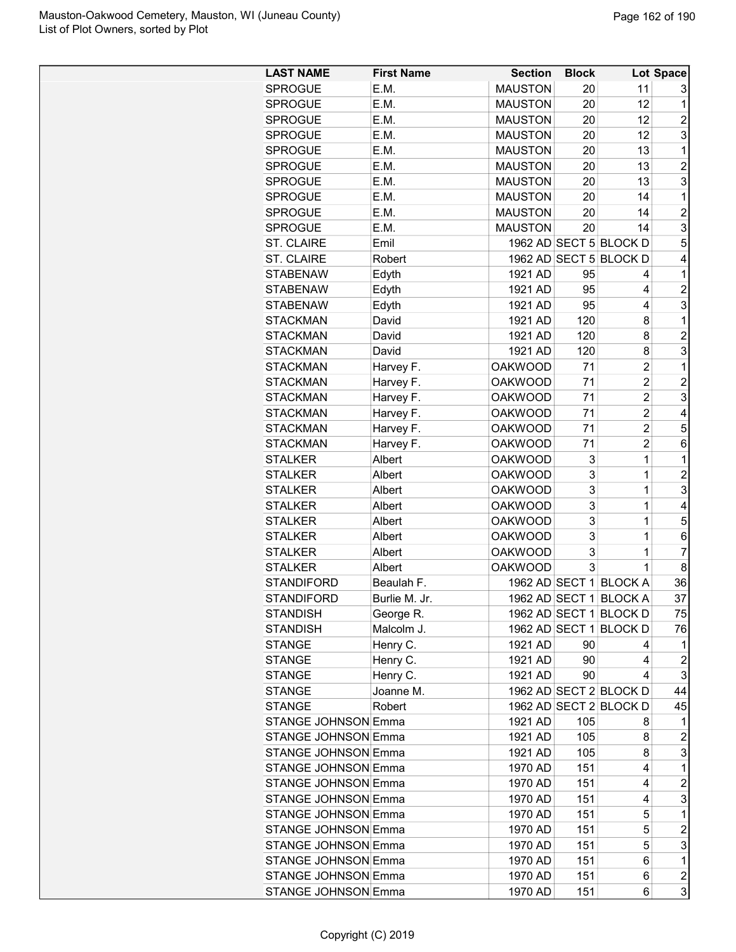| <b>LAST NAME</b>           | <b>First Name</b> | <b>Section</b> | <b>Block</b> |                        | Lot Space      |
|----------------------------|-------------------|----------------|--------------|------------------------|----------------|
| <b>SPROGUE</b>             | E.M.              | <b>MAUSTON</b> | 20           | 11                     | 3              |
| <b>SPROGUE</b>             | E.M.              | <b>MAUSTON</b> | 20           | 12                     | 1              |
| <b>SPROGUE</b>             | E.M.              | <b>MAUSTON</b> | 20           | 12                     | 2              |
| <b>SPROGUE</b>             | E.M.              | <b>MAUSTON</b> | 20           | 12                     | 3              |
| SPROGUE                    | E.M.              | <b>MAUSTON</b> | 20           | 13                     | 1              |
| <b>SPROGUE</b>             | E.M.              | <b>MAUSTON</b> | 20           | 13                     | $\overline{c}$ |
| <b>SPROGUE</b>             | E.M.              | <b>MAUSTON</b> | 20           | 13                     | 3              |
| SPROGUE                    | E.M.              | <b>MAUSTON</b> | 20           | 14                     | 1              |
| <b>SPROGUE</b>             | E.M.              | <b>MAUSTON</b> | 20           | 14                     | $\overline{c}$ |
| <b>SPROGUE</b>             | E.M.              | <b>MAUSTON</b> | 20           | 14                     | 3              |
| <b>ST. CLAIRE</b>          | Emil              |                |              | 1962 AD SECT 5 BLOCK D | 5              |
| <b>ST. CLAIRE</b>          | Robert            |                |              | 1962 AD SECT 5 BLOCK D | 4              |
| STABENAW                   | Edyth             | 1921 AD        | 95           | 4                      | 1              |
| <b>STABENAW</b>            | Edyth             | 1921 AD        | 95           | 4                      | $\overline{c}$ |
| <b>STABENAW</b>            |                   | 1921 AD        | 95           | 4                      | 3              |
|                            | Edyth             |                |              |                        |                |
| <b>STACKMAN</b>            | David             | 1921 AD        | 120          | 8                      | 1              |
| <b>STACKMAN</b>            | David             | 1921 AD        | 120          | 8                      | $\overline{c}$ |
| <b>STACKMAN</b>            | David             | 1921 AD        | 120          | 8                      | 3              |
| <b>STACKMAN</b>            | Harvey F.         | <b>OAKWOOD</b> | 71           | 2                      | 1              |
| <b>STACKMAN</b>            | Harvey F.         | <b>OAKWOOD</b> | 71           | 2                      | 2              |
| <b>STACKMAN</b>            | Harvey F.         | <b>OAKWOOD</b> | 71           | 2                      | 3              |
| <b>STACKMAN</b>            | Harvey F.         | <b>OAKWOOD</b> | 71           | 2                      | 4              |
| <b>STACKMAN</b>            | Harvey F.         | <b>OAKWOOD</b> | 71           | 2                      | 5              |
| <b>STACKMAN</b>            | Harvey F.         | <b>OAKWOOD</b> | 71           | $\overline{2}$         | 6              |
| STALKER                    | Albert            | <b>OAKWOOD</b> | 3            | 1                      | 1              |
| <b>STALKER</b>             | Albert            | <b>OAKWOOD</b> | 3            | 1                      | $\overline{c}$ |
| <b>STALKER</b>             | Albert            | <b>OAKWOOD</b> | 3            | 1                      | 3              |
| <b>STALKER</b>             | Albert            | <b>OAKWOOD</b> | 3            | 1                      | 4              |
| <b>STALKER</b>             | Albert            | <b>OAKWOOD</b> | 3            | 1                      | 5              |
| <b>STALKER</b>             | Albert            | <b>OAKWOOD</b> | 3            | 1                      | 6              |
| <b>STALKER</b>             | Albert            | <b>OAKWOOD</b> | 3            | 1                      | 7              |
| <b>STALKER</b>             | Albert            | <b>OAKWOOD</b> | 3            | 1                      | 8              |
| STANDIFORD                 | Beaulah F.        | 1962 AD SECT 1 |              | <b>BLOCK A</b>         | 36             |
| STANDIFORD                 | Burlie M. Jr.     |                |              | 1962 AD SECT 1 BLOCK A | 37             |
| STANDISH                   | George R.         |                |              | 1962 AD SECT 1 BLOCK D | 75             |
| <b>STANDISH</b>            | Malcolm J.        |                |              | 1962 AD SECT 1 BLOCK D | 76             |
| STANGE                     | Henry C.          | 1921 AD        | 90           | 4                      | 1              |
| <b>STANGE</b>              | Henry C.          | 1921 AD        | 90           | 4                      | 2              |
| <b>STANGE</b>              | Henry C.          | 1921 AD        | 90           | 4                      | 3              |
| STANGE                     | Joanne M.         |                |              | 1962 AD SECT 2 BLOCK D | 44             |
| STANGE                     | Robert            |                |              | 1962 AD SECT 2 BLOCK D | 45             |
| <b>STANGE JOHNSON Emma</b> |                   |                |              |                        | 1              |
|                            |                   | 1921 AD        | 105          | 8                      |                |
| <b>STANGE JOHNSON Emma</b> |                   | 1921 AD        | 105          | 8                      | 2              |
| STANGE JOHNSON Emma        |                   | 1921 AD        | 105          | 8                      | 3              |
| STANGE JOHNSON Emma        |                   | 1970 AD        | 151          | 4                      | 1              |
| STANGE JOHNSON Emma        |                   | 1970 AD        | 151          | 4                      | $\overline{c}$ |
| <b>STANGE JOHNSON Emma</b> |                   | 1970 AD        | 151          | 4                      | 3              |
| STANGE JOHNSON Emma        |                   | 1970 AD        | 151          | 5                      | 1              |
| <b>STANGE JOHNSON Emma</b> |                   | 1970 AD        | 151          | 5                      | 2              |
| <b>STANGE JOHNSON Emma</b> |                   | 1970 AD        | 151          | 5                      | 3              |
| <b>STANGE JOHNSON Emma</b> |                   | 1970 AD        | 151          | 6                      | $\mathbf{1}$   |
| <b>STANGE JOHNSON Emma</b> |                   | 1970 AD        | 151          | 6                      | $\overline{a}$ |
| <b>STANGE JOHNSON Emma</b> |                   | 1970 AD        | 151          | 6                      | 3              |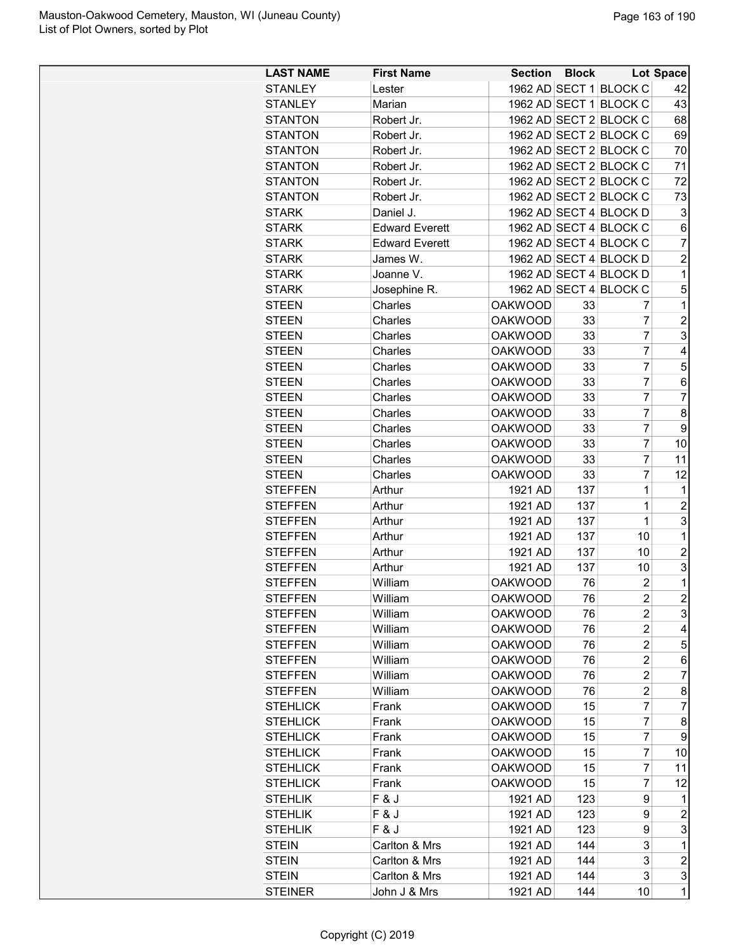| <b>LAST NAME</b> | <b>First Name</b>     | Section Block  |     |                         | Lot Space      |
|------------------|-----------------------|----------------|-----|-------------------------|----------------|
| <b>STANLEY</b>   | Lester                |                |     | 1962 AD SECT 1 BLOCK C  | 42             |
| <b>STANLEY</b>   | Marian                |                |     | 1962 AD SECT 1 BLOCK C  | 43             |
|                  |                       |                |     | 1962 AD SECT 2 BLOCK C  |                |
| <b>STANTON</b>   | Robert Jr.            |                |     |                         | 68             |
| <b>STANTON</b>   | Robert Jr.            |                |     | 1962 AD SECT 2 BLOCK C  | 69             |
| <b>STANTON</b>   | Robert Jr.            |                |     | 1962 AD SECT 2 BLOCK C  | 70             |
| <b>STANTON</b>   | Robert Jr.            |                |     | 1962 AD SECT 2 BLOCK C  | 71             |
| <b>STANTON</b>   | Robert Jr.            |                |     | 1962 AD SECT 2 BLOCK C  | 72             |
| <b>STANTON</b>   | Robert Jr.            |                |     | 1962 AD SECT 2 BLOCK C  | 73             |
| <b>STARK</b>     | Daniel J.             |                |     | 1962 AD SECT 4 BLOCK D  | 3              |
| <b>STARK</b>     | <b>Edward Everett</b> |                |     | 1962 AD SECT 4 BLOCK C  | 6              |
| <b>STARK</b>     | <b>Edward Everett</b> |                |     | 1962 AD SECT 4 BLOCK C  | 7              |
| <b>STARK</b>     | James W.              |                |     | 1962 AD SECT 4 BLOCK D  | $\overline{c}$ |
| <b>STARK</b>     | Joanne V.             |                |     | 1962 AD SECT 4 BLOCK D  | 1              |
| <b>STARK</b>     | Josephine R.          |                |     | 1962 AD SECT 4 BLOCK C  | 5              |
| <b>STEEN</b>     | Charles               | <b>OAKWOOD</b> | 33  | 7                       | 1              |
| <b>STEEN</b>     | Charles               | <b>OAKWOOD</b> | 33  | $\overline{7}$          | $\overline{2}$ |
| <b>STEEN</b>     | Charles               | <b>OAKWOOD</b> | 33  | 7                       | 3              |
| <b>STEEN</b>     | Charles               | <b>OAKWOOD</b> | 33  | 7                       | 4              |
| <b>STEEN</b>     | Charles               | <b>OAKWOOD</b> | 33  | $\overline{7}$          | 5              |
| <b>STEEN</b>     | Charles               | <b>OAKWOOD</b> | 33  | 7                       | 6              |
| <b>STEEN</b>     | Charles               | <b>OAKWOOD</b> | 33  | $\overline{7}$          | $\overline{7}$ |
| <b>STEEN</b>     | Charles               | <b>OAKWOOD</b> | 33  | $\overline{7}$          | 8              |
| <b>STEEN</b>     | Charles               | <b>OAKWOOD</b> | 33  | $\overline{7}$          | 9              |
| <b>STEEN</b>     | Charles               | <b>OAKWOOD</b> | 33  | 7                       | 10             |
| <b>STEEN</b>     | Charles               | <b>OAKWOOD</b> | 33  | 7                       | 11             |
| <b>STEEN</b>     | Charles               | <b>OAKWOOD</b> | 33  | 7                       | 12             |
| <b>STEFFEN</b>   |                       | 1921 AD        | 137 | $\overline{1}$          | 1              |
|                  | Arthur                |                |     |                         |                |
| <b>STEFFEN</b>   | Arthur                | 1921 AD        | 137 | 1                       | $\overline{c}$ |
| <b>STEFFEN</b>   | Arthur                | 1921 AD        | 137 | $\overline{1}$          | 3              |
| <b>STEFFEN</b>   | Arthur                | 1921 AD        | 137 | 10                      | 1              |
| <b>STEFFEN</b>   | Arthur                | 1921 AD        | 137 | 10                      | $\overline{2}$ |
| <b>STEFFEN</b>   | Arthur                | 1921 AD        | 137 | 10                      | 3              |
| <b>STEFFEN</b>   | William               | <b>OAKWOOD</b> | 76  | $\overline{2}$          | 1              |
| <b>STEFFEN</b>   | William               | <b>OAKWOOD</b> | 76  | $\overline{c}$          | $\overline{2}$ |
| <b>STEFFEN</b>   | William               | <b>OAKWOOD</b> | 76  | 2                       | 3              |
| <b>STEFFEN</b>   | William               | <b>OAKWOOD</b> | 76  | $\overline{c}$          | 4              |
| <b>STEFFEN</b>   | William               | <b>OAKWOOD</b> | 76  | $\overline{\mathbf{c}}$ | 5              |
| <b>STEFFEN</b>   | William               | <b>OAKWOOD</b> | 76  | $\overline{\mathbf{c}}$ | 6              |
| <b>STEFFEN</b>   | William               | <b>OAKWOOD</b> | 76  | $\overline{2}$          | 7              |
| <b>STEFFEN</b>   | William               | <b>OAKWOOD</b> | 76  | $\overline{c}$          | 8              |
| <b>STEHLICK</b>  | Frank                 | <b>OAKWOOD</b> | 15  | 7                       | $\overline{7}$ |
| <b>STEHLICK</b>  | Frank                 | <b>OAKWOOD</b> | 15  | 7                       | 8              |
| <b>STEHLICK</b>  | Frank                 | <b>OAKWOOD</b> | 15  | 7                       | 9              |
| <b>STEHLICK</b>  | Frank                 | <b>OAKWOOD</b> | 15  | 7                       | 10             |
| <b>STEHLICK</b>  | Frank                 | <b>OAKWOOD</b> | 15  | 7                       | 11             |
| <b>STEHLICK</b>  | Frank                 | <b>OAKWOOD</b> | 15  | 7                       | 12             |
| <b>STEHLIK</b>   | F&J                   | 1921 AD        | 123 | 9                       | 1              |
| <b>STEHLIK</b>   | F&J                   | 1921 AD        | 123 | 9                       | $\overline{c}$ |
| <b>STEHLIK</b>   | F&J                   | 1921 AD        | 123 | 9                       | 3              |
| <b>STEIN</b>     | Carlton & Mrs         | 1921 AD        | 144 | 3                       | 1              |
|                  |                       |                | 144 | 3                       | $\overline{c}$ |
| <b>STEIN</b>     | Carlton & Mrs         | 1921 AD        |     |                         |                |
| <b>STEIN</b>     | Carlton & Mrs         | 1921 AD        | 144 | 3                       | 3              |
| <b>STEINER</b>   | John J & Mrs          | 1921 AD        | 144 | 10                      | 1              |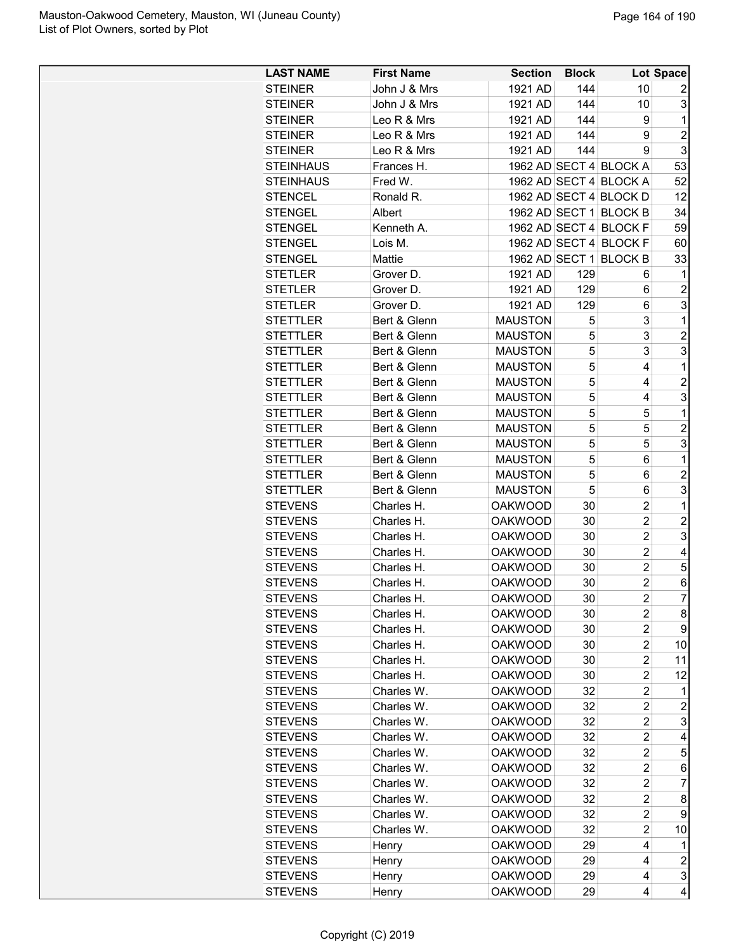| <b>LAST NAME</b> | <b>First Name</b> | <b>Section</b> | <b>Block</b> |                         | Lot Space        |
|------------------|-------------------|----------------|--------------|-------------------------|------------------|
| <b>STEINER</b>   | John J & Mrs      | 1921 AD        | 144          | 10                      | 2                |
| <b>STEINER</b>   | John J & Mrs      | 1921 AD        | 144          | 10                      | 3                |
| <b>STEINER</b>   | Leo R & Mrs       | 1921 AD        | 144          | 9                       | 1                |
| <b>STEINER</b>   | Leo R & Mrs       | 1921 AD        | 144          | 9                       | $\overline{2}$   |
| <b>STEINER</b>   | Leo R & Mrs       | 1921 AD        | 144          | 9                       | 3                |
| <b>STEINHAUS</b> | Frances H.        |                |              | 1962 AD SECT 4 BLOCK A  | 53               |
| <b>STEINHAUS</b> | Fred W.           |                |              | 1962 AD SECT 4 BLOCK A  | 52               |
| <b>STENCEL</b>   | Ronald R.         |                |              | 1962 AD SECT 4 BLOCK D  | 12               |
| <b>STENGEL</b>   | Albert            |                |              | 1962 AD SECT 1 BLOCK B  | 34               |
|                  |                   |                |              |                         |                  |
| <b>STENGEL</b>   | Kenneth A.        |                |              | 1962 AD SECT 4 BLOCK F  | 59               |
| <b>STENGEL</b>   | Lois M.           |                |              | 1962 AD SECT 4 BLOCK F  | 60               |
| <b>STENGEL</b>   | Mattie            |                |              | 1962 AD SECT 1 BLOCK B  | 33               |
| <b>STETLER</b>   | Grover D.         | 1921 AD        | 129          | 6                       | 1                |
| <b>STETLER</b>   | Grover D.         | 1921 AD        | 129          | 6                       | $\overline{2}$   |
| <b>STETLER</b>   | Grover D.         | 1921 AD        | 129          | 6                       | 3                |
| <b>STETTLER</b>  | Bert & Glenn      | <b>MAUSTON</b> | 5            | 3                       | 1                |
| <b>STETTLER</b>  | Bert & Glenn      | <b>MAUSTON</b> | 5            | 3                       | $\overline{c}$   |
| <b>STETTLER</b>  | Bert & Glenn      | <b>MAUSTON</b> | 5            | 3                       | 3                |
| <b>STETTLER</b>  | Bert & Glenn      | <b>MAUSTON</b> | 5            | 4                       | 1                |
| <b>STETTLER</b>  | Bert & Glenn      | <b>MAUSTON</b> | 5            | 4                       | $\overline{c}$   |
| <b>STETTLER</b>  | Bert & Glenn      | <b>MAUSTON</b> | 5            | 4                       | 3                |
| <b>STETTLER</b>  | Bert & Glenn      | <b>MAUSTON</b> | 5            | 5                       | 1                |
| <b>STETTLER</b>  | Bert & Glenn      | <b>MAUSTON</b> | 5            | 5                       | $\overline{c}$   |
| <b>STETTLER</b>  | Bert & Glenn      | <b>MAUSTON</b> | 5            | 5                       | 3                |
| <b>STETTLER</b>  | Bert & Glenn      | <b>MAUSTON</b> | 5            | 6                       | 1                |
| <b>STETTLER</b>  | Bert & Glenn      | <b>MAUSTON</b> | 5            | 6                       | $\overline{c}$   |
| <b>STETTLER</b>  |                   | <b>MAUSTON</b> | 5            |                         | 3                |
|                  | Bert & Glenn      |                |              | 6<br>$\overline{2}$     |                  |
| <b>STEVENS</b>   | Charles H.        | <b>OAKWOOD</b> | 30           |                         | 1                |
| <b>STEVENS</b>   | Charles H.        | <b>OAKWOOD</b> | 30           | $\overline{2}$          | $\overline{c}$   |
| <b>STEVENS</b>   | Charles H.        | <b>OAKWOOD</b> | 30           | $\overline{2}$          | 3                |
| <b>STEVENS</b>   | Charles H.        | <b>OAKWOOD</b> | 30           | $\overline{2}$          | 4                |
| <b>STEVENS</b>   | Charles H.        | <b>OAKWOOD</b> | 30           | $\overline{2}$          | 5                |
| <b>STEVENS</b>   | Charles H.        | <b>OAKWOOD</b> | 30           | $\overline{c}$          | 6                |
| <b>STEVENS</b>   | Charles H.        | <b>OAKWOOD</b> | 30           | $\overline{2}$          | $\overline{7}$   |
| <b>STEVENS</b>   | Charles H.        | <b>OAKWOOD</b> | 30           | 2                       | 8                |
| <b>STEVENS</b>   | Charles H.        | <b>OAKWOOD</b> | 30           | 2                       | 9                |
| <b>STEVENS</b>   | Charles H.        | <b>OAKWOOD</b> | 30           | $\overline{c}$          | 10               |
| <b>STEVENS</b>   | Charles H.        | <b>OAKWOOD</b> | 30           | $\overline{2}$          | 11               |
| <b>STEVENS</b>   | Charles H.        | <b>OAKWOOD</b> | 30           | $\overline{c}$          | 12               |
| <b>STEVENS</b>   | Charles W.        | <b>OAKWOOD</b> | 32           | $\overline{c}$          | 1                |
| <b>STEVENS</b>   | Charles W.        | <b>OAKWOOD</b> | 32           | $\overline{c}$          | $\overline{c}$   |
| <b>STEVENS</b>   | Charles W.        | <b>OAKWOOD</b> | 32           | $\overline{c}$          | 3                |
| <b>STEVENS</b>   | Charles W.        | <b>OAKWOOD</b> | 32           | $\overline{\mathbf{c}}$ | 4                |
| <b>STEVENS</b>   | Charles W.        | <b>OAKWOOD</b> | 32           | $\overline{c}$          | 5                |
| <b>STEVENS</b>   | Charles W.        | <b>OAKWOOD</b> | 32           | $\overline{c}$          | 6                |
| <b>STEVENS</b>   | Charles W.        | <b>OAKWOOD</b> | 32           | $\overline{c}$          | 7                |
|                  |                   |                |              |                         |                  |
| <b>STEVENS</b>   | Charles W.        | <b>OAKWOOD</b> | 32           | $\overline{c}$          | 8                |
| <b>STEVENS</b>   | Charles W.        | <b>OAKWOOD</b> | 32           | $\overline{c}$          | 9                |
| <b>STEVENS</b>   | Charles W.        | <b>OAKWOOD</b> | 32           | $\overline{c}$          | 10               |
| <b>STEVENS</b>   | Henry             | <b>OAKWOOD</b> | 29           | 4                       | 1                |
| <b>STEVENS</b>   | Henry             | <b>OAKWOOD</b> | 29           | 4                       | $\boldsymbol{2}$ |
| <b>STEVENS</b>   | Henry             | <b>OAKWOOD</b> | 29           | 4                       | 3                |
| <b>STEVENS</b>   | Henry             | <b>OAKWOOD</b> | 29           | 4                       | 4                |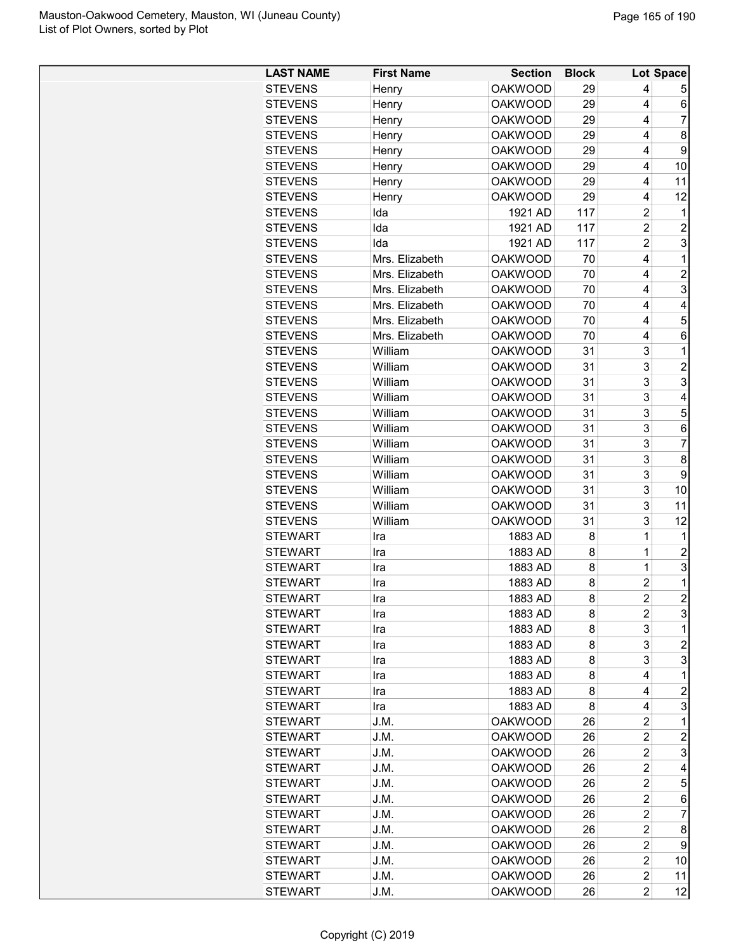| <b>STEVENS</b><br><b>OAKWOOD</b><br>29<br>Henry          | 4                       |                |
|----------------------------------------------------------|-------------------------|----------------|
|                                                          |                         | 5              |
| <b>STEVENS</b><br><b>OAKWOOD</b><br>Henry<br>29          | 4                       | 6              |
| <b>STEVENS</b><br><b>OAKWOOD</b><br>29<br>Henry          | 4                       | 7              |
| <b>OAKWOOD</b><br><b>STEVENS</b><br>Henry<br>29          | 4                       | 8              |
| <b>STEVENS</b><br><b>OAKWOOD</b><br>29<br>Henry          | 4                       | 9              |
| <b>STEVENS</b><br>Henry<br><b>OAKWOOD</b><br>29          | 4                       | 10             |
| <b>STEVENS</b><br><b>OAKWOOD</b><br>29<br>Henry          | 4                       | 11             |
| <b>STEVENS</b><br><b>OAKWOOD</b><br>29<br>Henry          | 4                       | 12             |
| 117<br>Ida<br>1921 AD<br><b>STEVENS</b>                  | 2                       | 1              |
| <b>STEVENS</b><br>Ida<br>1921 AD<br>117                  | $\overline{\mathbf{c}}$ | 2              |
| Ida<br>117<br><b>STEVENS</b><br>1921 AD                  | $\overline{c}$          | 3              |
| <b>STEVENS</b><br>Mrs. Elizabeth<br><b>OAKWOOD</b><br>70 | 4                       | 1              |
| <b>STEVENS</b><br>Mrs. Elizabeth<br><b>OAKWOOD</b><br>70 | 4                       | $\overline{c}$ |
| <b>STEVENS</b><br>Mrs. Elizabeth<br>70<br><b>OAKWOOD</b> | 4                       | 3              |
| <b>STEVENS</b><br>Mrs. Elizabeth<br><b>OAKWOOD</b><br>70 | 4                       | 4              |
| Mrs. Elizabeth<br>70<br><b>STEVENS</b><br><b>OAKWOOD</b> | 4                       | 5              |
| <b>STEVENS</b><br>Mrs. Elizabeth<br><b>OAKWOOD</b><br>70 | 4                       | 6              |
| William<br><b>STEVENS</b><br><b>OAKWOOD</b><br>31        | 3                       | $\mathbf 1$    |
| William                                                  | 3                       | $\overline{2}$ |
| <b>STEVENS</b><br><b>OAKWOOD</b><br>31                   |                         |                |
| 31<br><b>STEVENS</b><br>William<br><b>OAKWOOD</b>        | 3                       | 3              |
| 31<br><b>STEVENS</b><br>William<br><b>OAKWOOD</b>        | 3                       | 4              |
| <b>STEVENS</b><br>William<br><b>OAKWOOD</b><br>31        | 3                       | 5              |
| 31<br><b>STEVENS</b><br>William<br><b>OAKWOOD</b>        | 3                       | 6              |
| <b>STEVENS</b><br>William<br><b>OAKWOOD</b><br>31        | 3                       | $\overline{7}$ |
| 31<br><b>STEVENS</b><br>William<br><b>OAKWOOD</b>        | 3                       | 8              |
| <b>STEVENS</b><br>William<br><b>OAKWOOD</b><br>31        | 3                       | 9              |
| William<br>31<br><b>STEVENS</b><br><b>OAKWOOD</b>        | 3                       | 10             |
| <b>STEVENS</b><br>William<br><b>OAKWOOD</b><br>31        | 3                       | 11             |
| 31<br><b>STEVENS</b><br>William<br><b>OAKWOOD</b>        | 3                       | 12             |
| <b>STEWART</b><br>1883 AD<br>8<br>Ira                    | 1                       | 1              |
| 8<br><b>STEWART</b><br>1883 AD<br>Ira                    | 1                       | $\overline{c}$ |
| 8<br><b>STEWART</b><br>1883 AD<br>Ira                    | $\mathbf 1$             | 3              |
| 8<br><b>STEWART</b><br>1883 AD<br>Ira                    | $\overline{2}$          | 1              |
| 8<br>1883 AD<br>STEWART<br>Ira                           | $\overline{2}$          | $\overline{2}$ |
| 1883 AD<br>8<br><b>STEWART</b><br>Ira                    | 2                       | 3              |
| <b>STEWART</b><br>1883 AD<br>8<br>Ira                    | 3                       | 1              |
| <b>STEWART</b><br>1883 AD<br>8<br>Ira                    | 3                       | $\overline{c}$ |
| <b>STEWART</b><br>1883 AD<br>8<br>Ira                    | 3                       | 3              |
| <b>STEWART</b><br>1883 AD<br>Ira<br>8                    | 4                       | 1              |
| <b>STEWART</b><br>1883 AD<br>8<br>Ira                    | 4                       | 2              |
| <b>STEWART</b><br>1883 AD<br>8<br>Ira                    | 4                       | 3              |
| 26<br><b>STEWART</b><br>J.M.<br><b>OAKWOOD</b>           | $\overline{c}$          | 1              |
| <b>STEWART</b><br>J.M.<br><b>OAKWOOD</b><br>26           | $\overline{c}$          | $\overline{c}$ |
| <b>STEWART</b><br>J.M.<br><b>OAKWOOD</b><br>26           | $\overline{c}$          | 3              |
| <b>OAKWOOD</b><br><b>STEWART</b><br>J.M.<br>26           | $\overline{c}$          | 4              |
| <b>STEWART</b><br>J.M.<br><b>OAKWOOD</b><br>26           | $\overline{\mathbf{c}}$ | 5              |
| <b>STEWART</b><br><b>OAKWOOD</b><br>26<br>J.M.           | $\overline{c}$          | 6              |
| <b>OAKWOOD</b><br><b>STEWART</b><br>J.M.<br>26           | 2                       | 7              |
| <b>STEWART</b><br>J.M.<br><b>OAKWOOD</b><br>26           | $\overline{c}$          | 8              |
| <b>STEWART</b><br><b>OAKWOOD</b><br>26<br>J.M.           | $\overline{c}$          | 9              |
| <b>STEWART</b><br><b>OAKWOOD</b><br>26<br>J.M.           | $\overline{c}$          | 10             |
| <b>STEWART</b><br>J.M.<br><b>OAKWOOD</b><br>26           | $\overline{\mathbf{c}}$ | 11             |
| <b>STEWART</b><br><b>OAKWOOD</b><br>26<br>J.M.           | $\overline{c}$          | 12             |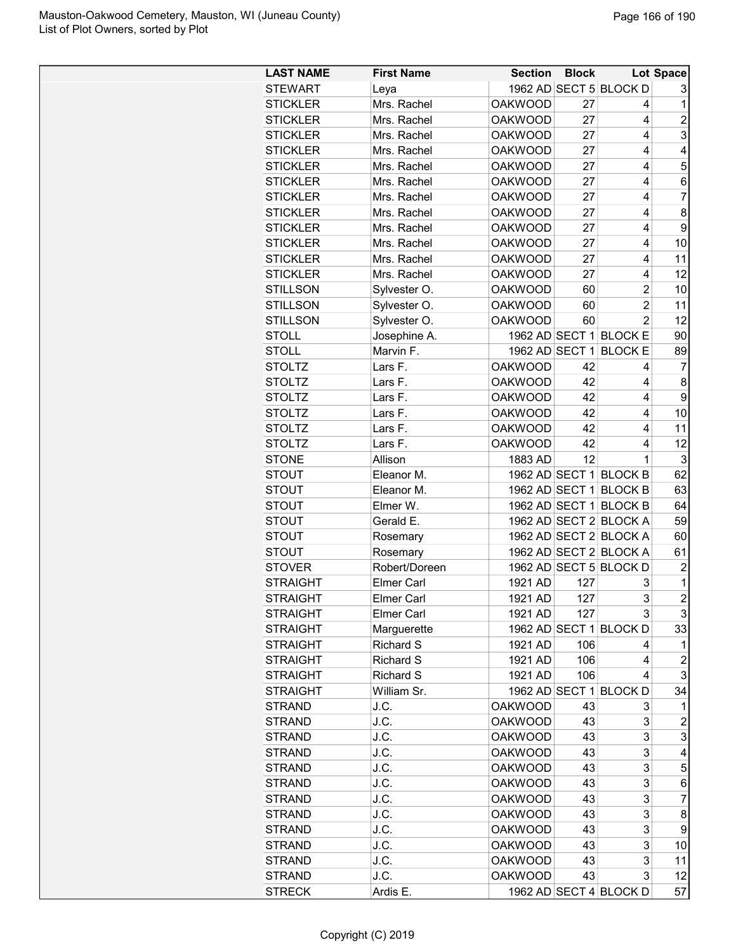| <b>LAST NAME</b> | <b>First Name</b> | <b>Section</b> | <b>Block</b> |                        | Lot Space      |
|------------------|-------------------|----------------|--------------|------------------------|----------------|
| <b>STEWART</b>   | Leya              |                |              | 1962 AD SECT 5 BLOCK D | 3              |
| <b>STICKLER</b>  | Mrs. Rachel       | <b>OAKWOOD</b> | 27           | 4                      | $\mathbf{1}$   |
| <b>STICKLER</b>  | Mrs. Rachel       | <b>OAKWOOD</b> | 27           | 4                      | $\overline{c}$ |
| <b>STICKLER</b>  | Mrs. Rachel       | <b>OAKWOOD</b> | 27           | 4                      | 3              |
| <b>STICKLER</b>  | Mrs. Rachel       | <b>OAKWOOD</b> | 27           | 4                      | 4              |
| <b>STICKLER</b>  | Mrs. Rachel       | <b>OAKWOOD</b> | 27           | 4                      | 5              |
| <b>STICKLER</b>  | Mrs. Rachel       | <b>OAKWOOD</b> | 27           | 4                      | 6              |
| <b>STICKLER</b>  | Mrs. Rachel       | <b>OAKWOOD</b> | 27           | 4                      | 7              |
| <b>STICKLER</b>  | Mrs. Rachel       | <b>OAKWOOD</b> | 27           | 4                      | 8              |
| <b>STICKLER</b>  | Mrs. Rachel       | <b>OAKWOOD</b> | 27           | 4                      | 9              |
| <b>STICKLER</b>  | Mrs. Rachel       | <b>OAKWOOD</b> | 27           | 4                      | 10             |
| <b>STICKLER</b>  | Mrs. Rachel       | <b>OAKWOOD</b> | 27           | 4                      | 11             |
| <b>STICKLER</b>  | Mrs. Rachel       | <b>OAKWOOD</b> | 27           | 4                      | 12             |
| <b>STILLSON</b>  | Sylvester O.      | <b>OAKWOOD</b> | 60           | $\overline{2}$         | 10             |
| <b>STILLSON</b>  | Sylvester O.      | <b>OAKWOOD</b> | 60           | $\overline{2}$         | 11             |
| <b>STILLSON</b>  | Sylvester O.      | <b>OAKWOOD</b> | 60           | $\overline{2}$         | 12             |
| <b>STOLL</b>     | Josephine A.      |                |              | 1962 AD SECT 1 BLOCK E | 90             |
| <b>STOLL</b>     | Marvin F.         |                |              | 1962 AD SECT 1 BLOCK E | 89             |
|                  |                   |                |              |                        |                |
| <b>STOLTZ</b>    | Lars F.           | <b>OAKWOOD</b> | 42           | 4                      | 7              |
| <b>STOLTZ</b>    | Lars F.           | <b>OAKWOOD</b> | 42           | 4                      | 8              |
| <b>STOLTZ</b>    | Lars F.           | <b>OAKWOOD</b> | 42           | 4                      | 9              |
| <b>STOLTZ</b>    | Lars F.           | <b>OAKWOOD</b> | 42           | 4                      | 10             |
| <b>STOLTZ</b>    | Lars F.           | <b>OAKWOOD</b> | 42           | 4                      | 11             |
| <b>STOLTZ</b>    | Lars F.           | <b>OAKWOOD</b> | 42           | 4                      | 12             |
| <b>STONE</b>     | Allison           | 1883 AD        | 12           | 1                      | 3              |
| <b>STOUT</b>     | Eleanor M.        |                |              | 1962 AD SECT 1 BLOCK B | 62             |
| <b>STOUT</b>     | Eleanor M.        |                |              | 1962 AD SECT 1 BLOCK B | 63             |
| <b>STOUT</b>     | Elmer W.          |                |              | 1962 AD SECT 1 BLOCK B | 64             |
| <b>STOUT</b>     | Gerald E.         |                |              | 1962 AD SECT 2 BLOCK A | 59             |
| <b>STOUT</b>     | Rosemary          |                |              | 1962 AD SECT 2 BLOCK A | 60             |
| <b>STOUT</b>     | Rosemary          |                |              | 1962 AD SECT 2 BLOCK A | 61             |
| <b>STOVER</b>    | Robert/Doreen     |                |              | 1962 AD SECT 5 BLOCK D | 2              |
| <b>STRAIGHT</b>  | <b>Elmer Carl</b> | 1921 AD        | 127          | 3                      | $\mathbf 1$    |
| <b>STRAIGHT</b>  | <b>Elmer Carl</b> | 1921 AD        | 127          | 3                      | $\mathbf{2}$   |
| <b>STRAIGHT</b>  | <b>Elmer Carl</b> | 1921 AD        | 127          | 3                      | 3              |
| <b>STRAIGHT</b>  | Marguerette       |                |              | 1962 AD SECT 1 BLOCK D | 33             |
| <b>STRAIGHT</b>  | Richard S         | 1921 AD        | 106          | 4                      | 1              |
| <b>STRAIGHT</b>  | Richard S         | 1921 AD        | 106          | 4                      | $\overline{c}$ |
| <b>STRAIGHT</b>  | <b>Richard S</b>  | 1921 AD        | 106          | 4                      | 3              |
| <b>STRAIGHT</b>  | William Sr.       |                |              | 1962 AD SECT 1 BLOCK D | 34             |
| <b>STRAND</b>    | J.C.              | <b>OAKWOOD</b> | 43           | 3                      | 1              |
| <b>STRAND</b>    | J.C.              | <b>OAKWOOD</b> | 43           | 3                      | 2              |
| <b>STRAND</b>    | J.C.              | <b>OAKWOOD</b> | 43           | 3                      | 3              |
| <b>STRAND</b>    | J.C.              | <b>OAKWOOD</b> | 43           | 3                      | 4              |
| <b>STRAND</b>    | J.C.              | <b>OAKWOOD</b> | 43           | 3                      | 5              |
| <b>STRAND</b>    | J.C.              | <b>OAKWOOD</b> | 43           | 3                      | 6              |
| <b>STRAND</b>    | J.C.              | <b>OAKWOOD</b> | 43           | 3                      | 7              |
| <b>STRAND</b>    | J.C.              | <b>OAKWOOD</b> | 43           | 3                      | 8              |
|                  |                   |                |              |                        |                |
| <b>STRAND</b>    | J.C.              | <b>OAKWOOD</b> | 43           | 3                      | 9              |
| <b>STRAND</b>    | J.C.              | <b>OAKWOOD</b> | 43           | 3                      | 10             |
| <b>STRAND</b>    | J.C.              | <b>OAKWOOD</b> | 43           | 3                      | 11             |
| <b>STRAND</b>    | J.C.              | <b>OAKWOOD</b> | 43           | 3                      | 12             |
| <b>STRECK</b>    | Ardis E.          |                |              | 1962 AD SECT 4 BLOCK D | 57             |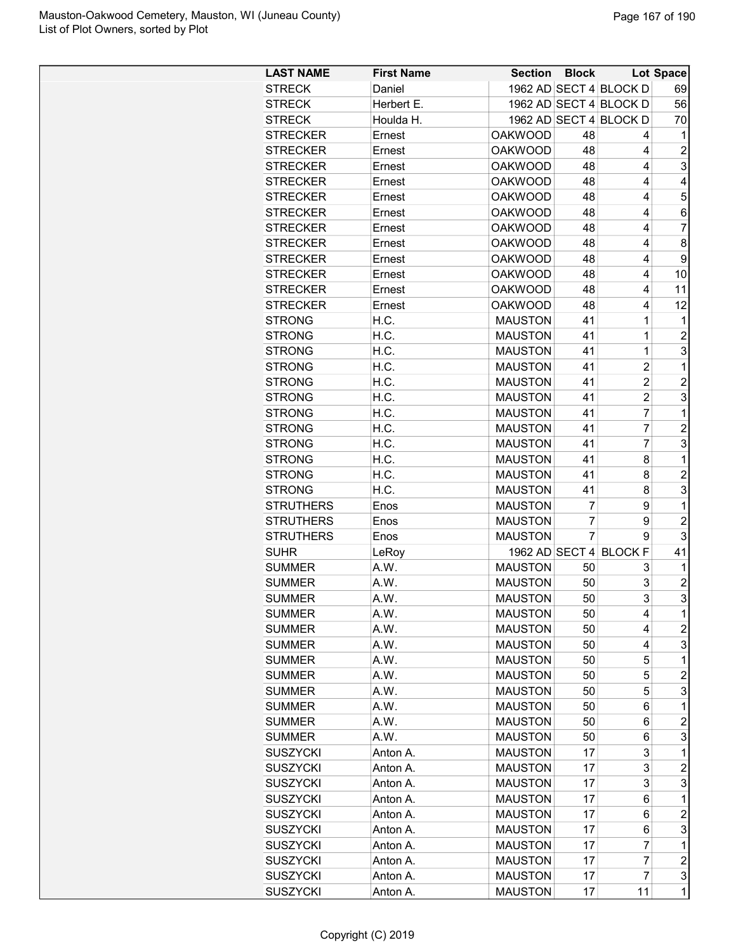| 1962 AD SECT 4 BLOCK D<br><b>STRECK</b><br>Daniel<br>1962 AD SECT 4 BLOCK D<br>Herbert E.<br><b>STRECK</b> | 69<br>56                                  |
|------------------------------------------------------------------------------------------------------------|-------------------------------------------|
|                                                                                                            |                                           |
|                                                                                                            |                                           |
| 1962 AD SECT 4 BLOCK D<br><b>STRECK</b><br>Houlda H.                                                       | 70                                        |
| <b>STRECKER</b><br>48<br>Ernest<br><b>OAKWOOD</b>                                                          | 4<br>1                                    |
| <b>STRECKER</b><br><b>OAKWOOD</b><br>Ernest<br>48                                                          | $\overline{c}$<br>4                       |
| <b>STRECKER</b><br><b>OAKWOOD</b><br>48<br>Ernest                                                          | 3<br>4                                    |
| <b>STRECKER</b><br><b>OAKWOOD</b><br>48<br>Ernest                                                          | 4<br>4                                    |
| <b>STRECKER</b><br>48<br>Ernest<br><b>OAKWOOD</b>                                                          | 5<br>4                                    |
| <b>STRECKER</b><br><b>OAKWOOD</b><br>48<br>Ernest                                                          | 4<br>6                                    |
| <b>STRECKER</b><br><b>OAKWOOD</b><br>48<br>Ernest                                                          | $\overline{7}$<br>4                       |
| <b>STRECKER</b><br><b>OAKWOOD</b><br>48<br>Ernest                                                          | 8<br>4                                    |
| 48<br><b>STRECKER</b><br>Ernest<br><b>OAKWOOD</b>                                                          | 9<br>4                                    |
| <b>OAKWOOD</b><br>48<br><b>STRECKER</b><br>Ernest                                                          | 4<br>10                                   |
| <b>STRECKER</b><br><b>OAKWOOD</b><br>48<br>Ernest                                                          | 11<br>4                                   |
| 48<br><b>STRECKER</b><br>Ernest<br><b>OAKWOOD</b>                                                          | 12<br>4                                   |
| H.C.<br><b>MAUSTON</b><br>41<br><b>STRONG</b>                                                              | 1<br>1                                    |
| H.C.<br>41<br><b>STRONG</b><br><b>MAUSTON</b>                                                              | 1<br>$\overline{2}$                       |
| H.C.<br><b>MAUSTON</b><br>41<br><b>STRONG</b>                                                              | 3<br>$\mathbf 1$                          |
| <b>MAUSTON</b><br>41<br><b>STRONG</b><br>H.C.                                                              | $\overline{\mathbf{c}}$<br>$\mathbf{1}$   |
| <b>STRONG</b><br>H.C.<br><b>MAUSTON</b><br>41                                                              | $\overline{\mathbf{c}}$<br>$\overline{c}$ |
| <b>STRONG</b><br>H.C.<br><b>MAUSTON</b><br>41                                                              | 3<br>$\overline{c}$                       |
| <b>STRONG</b><br>H.C.<br><b>MAUSTON</b><br>41                                                              | $\overline{7}$<br>$\mathbf{1}$            |
| <b>STRONG</b><br>H.C.<br><b>MAUSTON</b><br>41                                                              | $\overline{7}$<br>$\overline{c}$          |
| H.C.<br><b>MAUSTON</b><br>41<br><b>STRONG</b>                                                              | $\overline{7}$<br>3                       |
| H.C.<br><b>MAUSTON</b><br>41<br><b>STRONG</b>                                                              | 8<br>$\mathbf{1}$                         |
| 41<br><b>STRONG</b><br>H.C.<br><b>MAUSTON</b>                                                              | 8<br>$\overline{2}$                       |
| <b>STRONG</b><br>H.C.<br><b>MAUSTON</b><br>41                                                              | 3<br>8                                    |
| $\overline{7}$<br><b>STRUTHERS</b><br><b>MAUSTON</b><br>Enos                                               | 9<br>$\mathbf 1$                          |
| $\overline{7}$<br><b>MAUSTON</b><br><b>STRUTHERS</b><br>Enos                                               | $\overline{c}$<br>9                       |
| $\overline{7}$<br><b>STRUTHERS</b><br><b>MAUSTON</b><br>Enos                                               | 3<br>9                                    |
| 1962 AD SECT 4 BLOCK F<br><b>SUHR</b><br>LeRoy                                                             | 41                                        |
| A.W.<br><b>MAUSTON</b><br><b>SUMMER</b><br>50                                                              | 3<br>1                                    |
| <b>MAUSTON</b><br>50<br><b>SUMMER</b><br>A.W.                                                              | 3<br>$\overline{c}$                       |
| <b>MAUSTON</b><br>50<br><b>SUMMER</b><br>A.W.                                                              | 3<br>3                                    |
| A.W.<br><b>MAUSTON</b><br>SUMMER<br>50                                                                     | 1<br>4                                    |
| A.W.<br><b>SUMMER</b><br><b>MAUSTON</b><br>50                                                              | $\overline{\mathbf{c}}$<br>4              |
| A.W.<br><b>MAUSTON</b><br>50<br><b>SUMMER</b>                                                              | 3<br>4                                    |
| A.W.<br><b>MAUSTON</b><br>50<br><b>SUMMER</b>                                                              | 5<br>$\mathbf 1$                          |
| <b>SUMMER</b><br>A.W.<br><b>MAUSTON</b><br>50                                                              | 5<br>$\overline{c}$                       |
| A.W.<br><b>MAUSTON</b><br>50<br><b>SUMMER</b>                                                              | 3<br>5                                    |
| <b>MAUSTON</b><br><b>SUMMER</b><br>A.W.<br>50                                                              | 6<br>$\mathbf 1$                          |
| <b>SUMMER</b><br>A.W.<br><b>MAUSTON</b><br>50                                                              | $\overline{c}$<br>6                       |
| <b>SUMMER</b><br>A.W.<br><b>MAUSTON</b><br>50                                                              | 3<br>6                                    |
| 17<br><b>SUSZYCKI</b><br>Anton A.<br><b>MAUSTON</b>                                                        | 3<br>1                                    |
| <b>SUSZYCKI</b><br><b>MAUSTON</b><br>17<br>Anton A.                                                        | 3<br>$\overline{\mathbf{c}}$              |
| <b>SUSZYCKI</b><br>Anton A.<br><b>MAUSTON</b><br>17                                                        | 3<br>3                                    |
| <b>MAUSTON</b><br>17<br>SUSZYCKI<br>Anton A.                                                               | 6<br>1                                    |
| <b>MAUSTON</b><br><b>SUSZYCKI</b><br>Anton A.<br>17                                                        | $\overline{c}$<br>6                       |
| <b>MAUSTON</b><br><b>SUSZYCKI</b><br>Anton A.<br>17                                                        | 3<br>6                                    |
| <b>SUSZYCKI</b><br><b>MAUSTON</b><br>17<br>Anton A.                                                        | 7<br>1                                    |
| 17<br><b>SUSZYCKI</b><br><b>MAUSTON</b><br>Anton A.                                                        | $\overline{c}$<br>7                       |
| <b>MAUSTON</b><br><b>SUSZYCKI</b><br>17<br>Anton A.                                                        | $\overline{7}$<br>3                       |
| <b>SUSZYCKI</b><br><b>MAUSTON</b><br>11<br>Anton A.<br>17                                                  | $\mathbf 1$                               |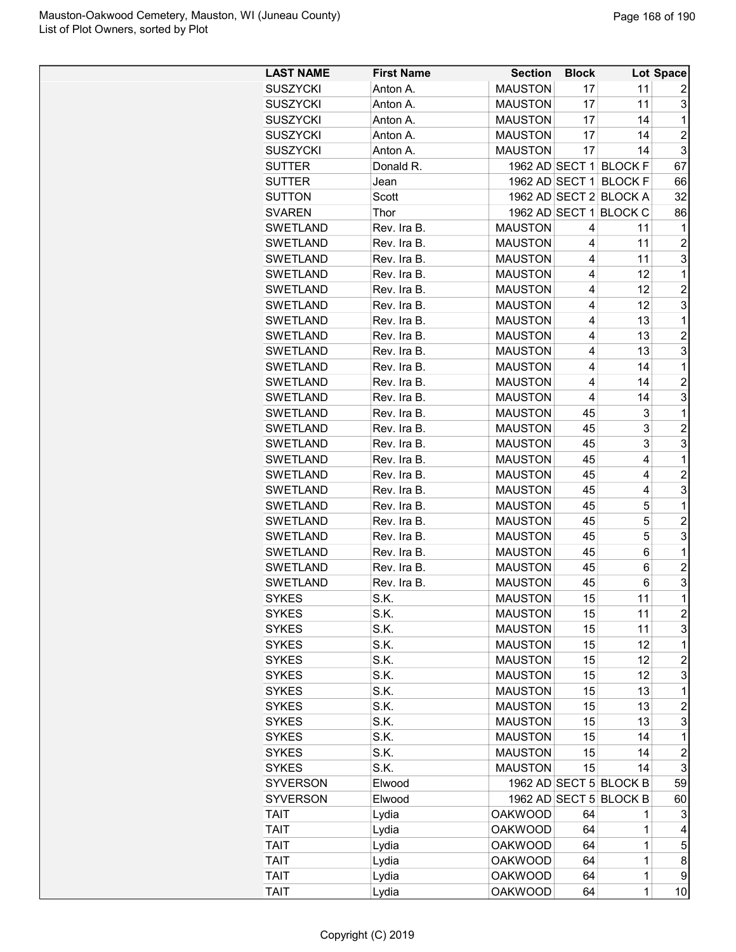| <b>LAST NAME</b> | <b>First Name</b> | <b>Section</b> | <b>Block</b> |                        | Lot Space               |
|------------------|-------------------|----------------|--------------|------------------------|-------------------------|
| <b>SUSZYCKI</b>  | Anton A.          | <b>MAUSTON</b> | 17           | 11                     | 2                       |
| <b>SUSZYCKI</b>  | Anton A.          | <b>MAUSTON</b> | 17           | 11                     | 3                       |
| <b>SUSZYCKI</b>  | Anton A.          | <b>MAUSTON</b> | 17           | 14                     | 1                       |
| <b>SUSZYCKI</b>  | Anton A.          | <b>MAUSTON</b> | 17           | 14                     | $\overline{c}$          |
| <b>SUSZYCKI</b>  | Anton A.          | <b>MAUSTON</b> | 17           | 14                     | 3                       |
| <b>SUTTER</b>    | Donald R.         |                |              | 1962 AD SECT 1 BLOCK F | 67                      |
| <b>SUTTER</b>    | Jean              |                |              | 1962 AD SECT 1 BLOCK F | 66                      |
| <b>SUTTON</b>    | Scott             |                |              | 1962 AD SECT 2 BLOCK A | 32                      |
| <b>SVAREN</b>    | Thor              |                |              | 1962 AD SECT 1 BLOCK C | 86                      |
| <b>SWETLAND</b>  | Rev. Ira B.       | <b>MAUSTON</b> | 4            | 11                     | 1                       |
| <b>SWETLAND</b>  | Rev. Ira B.       | <b>MAUSTON</b> | 4            | 11                     | $\overline{c}$          |
| <b>SWETLAND</b>  | Rev. Ira B.       | <b>MAUSTON</b> | 4            | 11                     | 3                       |
| SWETLAND         | Rev. Ira B.       | <b>MAUSTON</b> | 4            | 12                     | $\mathbf{1}$            |
| <b>SWETLAND</b>  | Rev. Ira B.       | <b>MAUSTON</b> | 4            | 12                     | $\overline{c}$          |
| <b>SWETLAND</b>  | Rev. Ira B.       | <b>MAUSTON</b> | 4            | 12                     | 3                       |
| <b>SWETLAND</b>  | Rev. Ira B.       | <b>MAUSTON</b> | 4            | 13                     | 1                       |
| <b>SWETLAND</b>  | Rev. Ira B.       | <b>MAUSTON</b> | 4            | 13                     | $\overline{\mathbf{c}}$ |
| <b>SWETLAND</b>  | Rev. Ira B.       | <b>MAUSTON</b> | 4            | 13                     | 3                       |
| <b>SWETLAND</b>  | Rev. Ira B.       | <b>MAUSTON</b> | 4            | 14                     | 1                       |
| <b>SWETLAND</b>  | Rev. Ira B.       | <b>MAUSTON</b> | 4            | 14                     | $\overline{c}$          |
| <b>SWETLAND</b>  | Rev. Ira B.       | <b>MAUSTON</b> | 4            | 14                     | 3                       |
| <b>SWETLAND</b>  | Rev. Ira B.       | <b>MAUSTON</b> | 45           | 3                      | 1                       |
| <b>SWETLAND</b>  | Rev. Ira B.       | <b>MAUSTON</b> | 45           | 3                      | $\overline{c}$          |
| <b>SWETLAND</b>  | Rev. Ira B.       | <b>MAUSTON</b> | 45           | 3                      | 3                       |
| <b>SWETLAND</b>  | Rev. Ira B.       | <b>MAUSTON</b> | 45           | 4                      | 1                       |
| <b>SWETLAND</b>  | Rev. Ira B.       | <b>MAUSTON</b> | 45           | 4                      | $\overline{c}$          |
| <b>SWETLAND</b>  | Rev. Ira B.       | <b>MAUSTON</b> | 45           | 4                      | 3                       |
| <b>SWETLAND</b>  | Rev. Ira B.       | <b>MAUSTON</b> | 45           | 5                      | 1                       |
| <b>SWETLAND</b>  | Rev. Ira B.       | <b>MAUSTON</b> | 45           | 5                      | $\overline{c}$          |
| <b>SWETLAND</b>  | Rev. Ira B.       | <b>MAUSTON</b> | 45           | 5                      | 3                       |
| <b>SWETLAND</b>  | Rev. Ira B.       | <b>MAUSTON</b> | 45           | 6                      | 1                       |
| <b>SWETLAND</b>  | Rev. Ira B.       | <b>MAUSTON</b> | 45           | 6                      | $\overline{c}$          |
| <b>SWETLAND</b>  | Rev. Ira B.       | <b>MAUSTON</b> | 45           | 6                      | 3                       |
| <b>SYKES</b>     | S.K.              | <b>MAUSTON</b> | 15           | 11                     | $\overline{1}$          |
| <b>SYKES</b>     | S.K.              | <b>MAUSTON</b> | 15           | 11                     | $\overline{c}$          |
| <b>SYKES</b>     | S.K.              | <b>MAUSTON</b> | 15           | 11                     | 3                       |
| <b>SYKES</b>     | S.K.              | <b>MAUSTON</b> | 15           | 12                     | 1                       |
| <b>SYKES</b>     | S.K.              | <b>MAUSTON</b> | 15           | 12                     | $\overline{c}$          |
| <b>SYKES</b>     | S.K.              | <b>MAUSTON</b> | 15           | 12                     | 3                       |
| <b>SYKES</b>     | S.K.              | <b>MAUSTON</b> | 15           | 13                     | 1                       |
| <b>SYKES</b>     | S.K.              | <b>MAUSTON</b> | 15           | 13                     | $\overline{c}$          |
| <b>SYKES</b>     | S.K.              | <b>MAUSTON</b> | 15           | 13                     | 3                       |
| <b>SYKES</b>     | S.K.              | <b>MAUSTON</b> | 15           | 14                     | 1                       |
| <b>SYKES</b>     | S.K.              | <b>MAUSTON</b> | 15           | 14                     | $\overline{c}$          |
| <b>SYKES</b>     | S.K.              | <b>MAUSTON</b> | 15           | 14                     | 3                       |
| <b>SYVERSON</b>  | Elwood            |                |              | 1962 AD SECT 5 BLOCK B | 59                      |
|                  |                   |                |              |                        |                         |
| <b>SYVERSON</b>  | Elwood            |                |              | 1962 AD SECT 5 BLOCK B | 60                      |
| <b>TAIT</b>      | Lydia             | <b>OAKWOOD</b> | 64           | 1                      | 3                       |
| <b>TAIT</b>      | Lydia             | <b>OAKWOOD</b> | 64           | 1                      | 4                       |
| <b>TAIT</b>      | Lydia             | <b>OAKWOOD</b> | 64           | 1                      | 5                       |
| <b>TAIT</b>      | Lydia             | <b>OAKWOOD</b> | 64           | 1                      | 8                       |
| <b>TAIT</b>      | Lydia             | <b>OAKWOOD</b> | 64           | $\mathbf 1$            | 9                       |
| <b>TAIT</b>      | Lydia             | <b>OAKWOOD</b> | 64           | $\mathbf{1}$           | 10                      |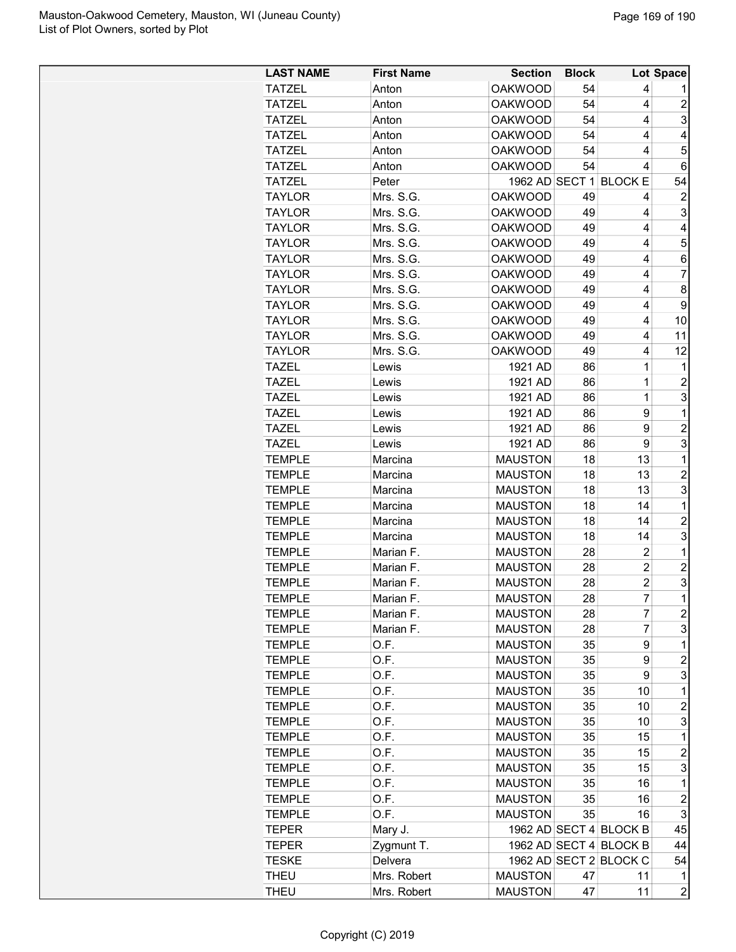| <b>LAST NAME</b> | <b>First Name</b> | <b>Section</b> | <b>Block</b> |                        | <b>Lot Space</b>        |
|------------------|-------------------|----------------|--------------|------------------------|-------------------------|
| <b>TATZEL</b>    | Anton             | <b>OAKWOOD</b> | 54           | 4                      |                         |
| <b>TATZEL</b>    | Anton             | <b>OAKWOOD</b> | 54           | 4                      | $\overline{2}$          |
| <b>TATZEL</b>    | Anton             | <b>OAKWOOD</b> | 54           | 4                      | 3                       |
| <b>TATZEL</b>    | Anton             | <b>OAKWOOD</b> | 54           | 4                      | 4                       |
| <b>TATZEL</b>    | Anton             | <b>OAKWOOD</b> | 54           | 4                      | 5                       |
| <b>TATZEL</b>    | Anton             | <b>OAKWOOD</b> | 54           | 4                      | 6                       |
| <b>TATZEL</b>    | Peter             |                |              | 1962 AD SECT 1 BLOCK E | 54                      |
| <b>TAYLOR</b>    | Mrs. S.G.         | <b>OAKWOOD</b> | 49           | 4                      | $\overline{c}$          |
| <b>TAYLOR</b>    | Mrs. S.G.         | <b>OAKWOOD</b> | 49           | 4                      | 3                       |
| <b>TAYLOR</b>    | Mrs. S.G.         | <b>OAKWOOD</b> | 49           | 4                      | 4                       |
| <b>TAYLOR</b>    | Mrs. S.G.         | <b>OAKWOOD</b> | 49           | 4                      | 5                       |
| <b>TAYLOR</b>    | Mrs. S.G.         | <b>OAKWOOD</b> | 49           | 4                      | 6                       |
| <b>TAYLOR</b>    | Mrs. S.G.         | <b>OAKWOOD</b> | 49           | 4                      | 7                       |
| <b>TAYLOR</b>    | Mrs. S.G.         | <b>OAKWOOD</b> | 49           | 4                      | 8                       |
| <b>TAYLOR</b>    | Mrs. S.G.         | <b>OAKWOOD</b> | 49           | 4                      | 9                       |
| <b>TAYLOR</b>    | Mrs. S.G.         | <b>OAKWOOD</b> | 49           | 4                      | 10                      |
| <b>TAYLOR</b>    | Mrs. S.G.         | <b>OAKWOOD</b> | 49           | 4                      | 11                      |
| TAYLOR           | Mrs. S.G.         | <b>OAKWOOD</b> | 49           | 4                      | 12                      |
| TAZEL            | Lewis             | 1921 AD        | 86           | 1                      | 1                       |
| TAZEL            | Lewis             | 1921 AD        | 86           | 1                      | $\overline{c}$          |
| <b>TAZEL</b>     | Lewis             | 1921 AD        | 86           | 1                      | 3                       |
| TAZEL            | Lewis             | 1921 AD        | 86           | 9                      | 1                       |
| TAZEL            | Lewis             | 1921 AD        | 86           | 9                      | $\overline{c}$          |
| <b>TAZEL</b>     | Lewis             | 1921 AD        | 86           | 9                      | 3                       |
| <b>TEMPLE</b>    | Marcina           | <b>MAUSTON</b> | 18           | 13                     | 1                       |
| <b>TEMPLE</b>    | Marcina           | <b>MAUSTON</b> | 18           | 13                     | 2                       |
| <b>TEMPLE</b>    | Marcina           | <b>MAUSTON</b> | 18           | 13                     | 3                       |
| <b>TEMPLE</b>    | Marcina           | <b>MAUSTON</b> | 18           | 14                     | 1                       |
| <b>TEMPLE</b>    | Marcina           | <b>MAUSTON</b> | 18           | 14                     | $\overline{\mathbf{c}}$ |
| <b>TEMPLE</b>    | Marcina           | <b>MAUSTON</b> | 18           | 14                     | 3                       |
| <b>TEMPLE</b>    | Marian F.         | <b>MAUSTON</b> | 28           | $\overline{2}$         | 1                       |
| <b>TEMPLE</b>    | Marian F.         | <b>MAUSTON</b> | 28           | 2                      | $\overline{c}$          |
| <b>TEMPLE</b>    | Marian F.         | <b>MAUSTON</b> | 28           | $\overline{c}$         | 3                       |
| <b>TEMPLE</b>    | Marian F          | <b>MAUSTON</b> | 28           | 7                      | $\mathbf{1}$            |
|                  | Marian F.         |                |              | 7                      |                         |
| <b>TEMPLE</b>    |                   | <b>MAUSTON</b> | 28           | $\overline{7}$         | $\boldsymbol{2}$        |
| <b>TEMPLE</b>    | Marian F.         | <b>MAUSTON</b> | 28           |                        | 3                       |
| <b>TEMPLE</b>    | O.F.              | <b>MAUSTON</b> | 35<br>35     | 9<br>9                 | 1<br>$\overline{c}$     |
| <b>TEMPLE</b>    | O.F.              | <b>MAUSTON</b> |              |                        | 3                       |
| <b>TEMPLE</b>    | O.F.              | <b>MAUSTON</b> | 35           | 9<br>10                | 1                       |
| <b>TEMPLE</b>    | O.F.              | <b>MAUSTON</b> | 35           |                        | $\overline{c}$          |
| <b>TEMPLE</b>    | O.F.              | <b>MAUSTON</b> | 35           | 10                     |                         |
| <b>TEMPLE</b>    | O.F.              | <b>MAUSTON</b> | 35           | 10                     | 3                       |
| <b>TEMPLE</b>    | O.F.              | <b>MAUSTON</b> | 35           | 15                     | $\mathbf 1$             |
| <b>TEMPLE</b>    | O.F.              | <b>MAUSTON</b> | 35           | 15                     | $\overline{\mathbf{c}}$ |
| <b>TEMPLE</b>    | O.F.              | <b>MAUSTON</b> | 35           | 15                     | 3                       |
| <b>TEMPLE</b>    | O.F.              | <b>MAUSTON</b> | 35           | 16                     | 1                       |
| <b>TEMPLE</b>    | O.F.              | <b>MAUSTON</b> | 35           | 16                     | $\boldsymbol{2}$        |
| <b>TEMPLE</b>    | O.F.              | <b>MAUSTON</b> | 35           | 16                     | 3                       |
| <b>TEPER</b>     | Mary J.           |                |              | 1962 AD SECT 4 BLOCK B | 45                      |
| TEPER            | Zygmunt T.        |                |              | 1962 AD SECT 4 BLOCK B | 44                      |
| <b>TESKE</b>     | Delvera           |                |              | 1962 AD SECT 2 BLOCK C | 54                      |
| <b>THEU</b>      | Mrs. Robert       | <b>MAUSTON</b> | 47           | 11                     | 1                       |
| THEU             | Mrs. Robert       | <b>MAUSTON</b> | 47           | 11                     | $\overline{c}$          |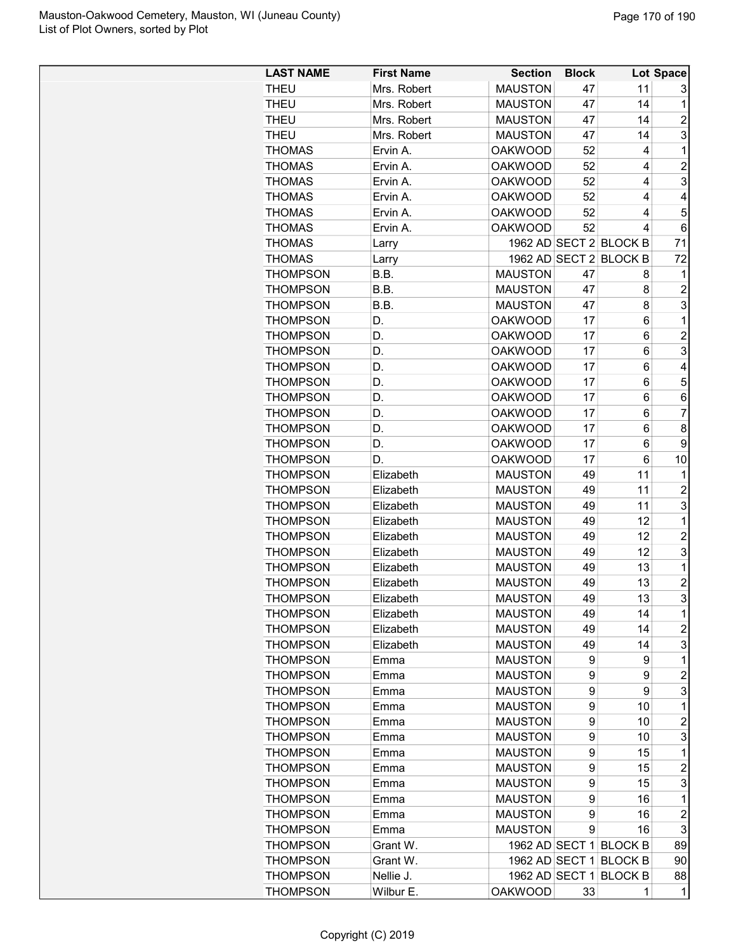| <b>LAST NAME</b> | <b>First Name</b> | <b>Section</b>                   | <b>Block</b> |                        | Lot Space                 |
|------------------|-------------------|----------------------------------|--------------|------------------------|---------------------------|
| <b>THEU</b>      | Mrs. Robert       | <b>MAUSTON</b>                   | 47           | 11                     | 3                         |
| <b>THEU</b>      | Mrs. Robert       | <b>MAUSTON</b>                   | 47           | 14                     | 1                         |
| <b>THEU</b>      | Mrs. Robert       | <b>MAUSTON</b>                   | 47           | 14                     | $\overline{c}$            |
| <b>THEU</b>      | Mrs. Robert       | <b>MAUSTON</b>                   | 47           | 14                     | 3                         |
| <b>THOMAS</b>    | Ervin A.          | <b>OAKWOOD</b>                   | 52           | 4                      | 1                         |
| <b>THOMAS</b>    | Ervin A.          | <b>OAKWOOD</b>                   | 52           | 4                      | $\overline{c}$            |
| <b>THOMAS</b>    | Ervin A.          | <b>OAKWOOD</b>                   | 52           | 4                      | 3                         |
| <b>THOMAS</b>    | Ervin A.          | <b>OAKWOOD</b>                   | 52           | 4                      | 4                         |
| <b>THOMAS</b>    | Ervin A.          | <b>OAKWOOD</b>                   | 52           | 4                      | 5                         |
| <b>THOMAS</b>    | Ervin A.          | <b>OAKWOOD</b>                   | 52           | 4                      | $\,6\,$                   |
| <b>THOMAS</b>    | Larry             |                                  |              | 1962 AD SECT 2 BLOCK B | 71                        |
| <b>THOMAS</b>    | Larry             |                                  |              | 1962 AD SECT 2 BLOCK B | 72                        |
| <b>THOMPSON</b>  | B.B.              | <b>MAUSTON</b>                   | 47           | 8                      | 1                         |
| <b>THOMPSON</b>  | B.B.              | <b>MAUSTON</b>                   | 47           | 8                      | $\boldsymbol{2}$          |
| <b>THOMPSON</b>  | B.B.              | <b>MAUSTON</b>                   | 47           | 8                      | 3                         |
| <b>THOMPSON</b>  | D.                | <b>OAKWOOD</b>                   | 17           | 6                      | 1                         |
| <b>THOMPSON</b>  | D.                | <b>OAKWOOD</b>                   | 17           | 6                      | $\overline{2}$            |
| <b>THOMPSON</b>  | D.                | <b>OAKWOOD</b>                   | 17           | 6                      | $\overline{3}$            |
| <b>THOMPSON</b>  | D.                | <b>OAKWOOD</b>                   | 17           | 6                      | $\overline{\mathbf{4}}$   |
| <b>THOMPSON</b>  | D.                | <b>OAKWOOD</b>                   | 17           | 6                      | 5                         |
| <b>THOMPSON</b>  | D.                | <b>OAKWOOD</b>                   | 17           | $6\phantom{1}6$        | $\,6\,$                   |
| <b>THOMPSON</b>  | D.                | <b>OAKWOOD</b>                   | 17           | 6                      | 7                         |
| <b>THOMPSON</b>  | D.                | <b>OAKWOOD</b>                   | 17           | 6                      | 8                         |
| <b>THOMPSON</b>  | D.                | <b>OAKWOOD</b>                   | 17           | 6                      | 9                         |
| <b>THOMPSON</b>  | D.                | <b>OAKWOOD</b>                   | 17           | 6                      | 10                        |
| <b>THOMPSON</b>  | Elizabeth         | <b>MAUSTON</b>                   | 49           | 11                     | 1                         |
| <b>THOMPSON</b>  | Elizabeth         | <b>MAUSTON</b>                   | 49           | 11                     | $\overline{c}$            |
| <b>THOMPSON</b>  | Elizabeth         | <b>MAUSTON</b>                   | 49           | 11                     | 3                         |
| <b>THOMPSON</b>  | Elizabeth         | <b>MAUSTON</b>                   | 49           | 12                     | 1                         |
| <b>THOMPSON</b>  | Elizabeth         |                                  | 49           | 12                     | $\boldsymbol{2}$          |
|                  |                   | <b>MAUSTON</b><br><b>MAUSTON</b> |              | 12                     | $\overline{3}$            |
| <b>THOMPSON</b>  | Elizabeth         |                                  | 49           |                        |                           |
| <b>THOMPSON</b>  | Elizabeth         | <b>MAUSTON</b>                   | 49           | 13                     | 1                         |
| <b>THOMPSON</b>  | Elizabeth         | <b>MAUSTON</b>                   | 49           | 13                     | $\overline{c}$            |
| <b>THOMPSON</b>  | Elizabeth         | <b>MAUSTON</b>                   | 49           | 13                     | 3                         |
| <b>THOMPSON</b>  | Elizabeth         | <b>MAUSTON</b>                   | 49           | 14                     | 1                         |
| <b>THOMPSON</b>  | Elizabeth         | <b>MAUSTON</b>                   | 49           | 14                     | $\overline{c}$            |
| <b>THOMPSON</b>  | Elizabeth         | <b>MAUSTON</b>                   | 49           | 14                     | 3                         |
| <b>THOMPSON</b>  | Emma              | <b>MAUSTON</b>                   | 9            | 9                      | 1                         |
| <b>THOMPSON</b>  | Emma              | <b>MAUSTON</b>                   | 9            | 9                      | $\boldsymbol{2}$          |
| <b>THOMPSON</b>  | Emma              | <b>MAUSTON</b>                   | 9            | 9                      | 3                         |
| <b>THOMPSON</b>  | Emma              | <b>MAUSTON</b>                   | 9            | 10                     | 1                         |
| <b>THOMPSON</b>  | Emma              | <b>MAUSTON</b>                   | 9            | 10                     | $\overline{\mathbf{c}}$   |
| <b>THOMPSON</b>  | Emma              | <b>MAUSTON</b>                   | 9            | 10                     | 3                         |
| <b>THOMPSON</b>  | Emma              | <b>MAUSTON</b>                   | 9            | 15                     | 1                         |
| <b>THOMPSON</b>  | Emma              | <b>MAUSTON</b>                   | 9            | 15                     | $\boldsymbol{2}$          |
| <b>THOMPSON</b>  | Emma              | <b>MAUSTON</b>                   | 9            | 15                     | 3                         |
| <b>THOMPSON</b>  | Emma              | <b>MAUSTON</b>                   | 9            | 16                     | 1                         |
| <b>THOMPSON</b>  | Emma              | <b>MAUSTON</b>                   | 9            | 16                     | $\overline{c}$            |
| <b>THOMPSON</b>  | Emma              | <b>MAUSTON</b>                   | 9            | 16                     | $\ensuremath{\mathsf{3}}$ |
| <b>THOMPSON</b>  | Grant W.          |                                  |              | 1962 AD SECT 1 BLOCK B | 89                        |
| <b>THOMPSON</b>  | Grant W.          |                                  |              | 1962 AD SECT 1 BLOCK B | 90                        |
| <b>THOMPSON</b>  | Nellie J.         | 1962 AD SECT 1                   |              | <b>BLOCK B</b>         | 88                        |
| <b>THOMPSON</b>  | Wilbur E.         | <b>OAKWOOD</b>                   | 33           | 1                      | 1                         |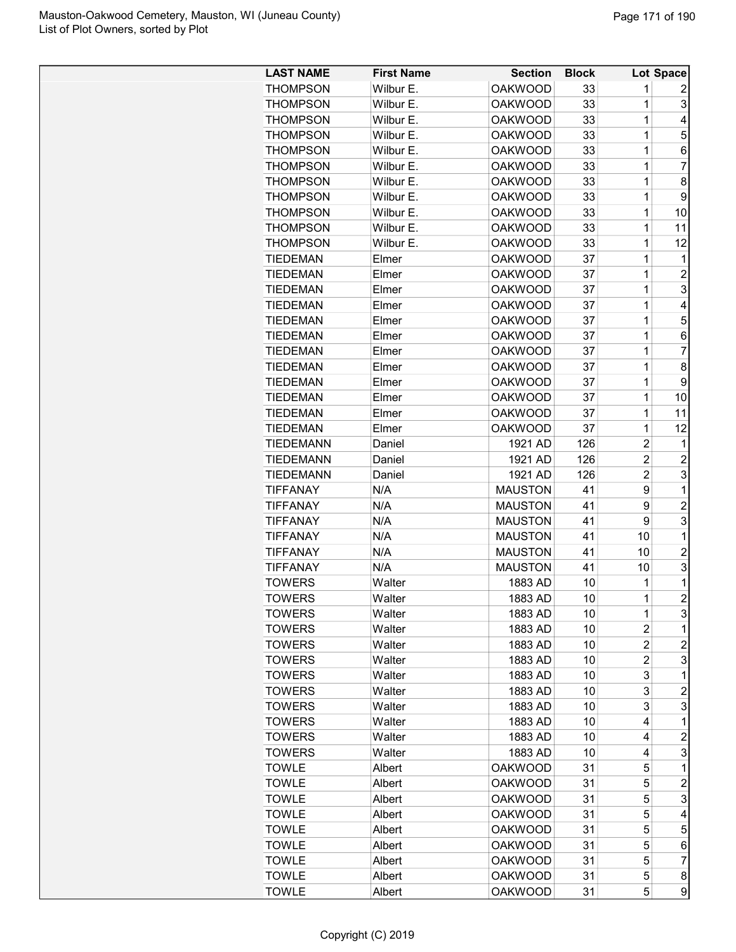| <b>LAST NAME</b>                   | <b>First Name</b> | <b>Section</b> | <b>Block</b> |                | Lot Space      |
|------------------------------------|-------------------|----------------|--------------|----------------|----------------|
| <b>THOMPSON</b>                    | Wilbur E.         | <b>OAKWOOD</b> | 33           | 1              | 2              |
| <b>THOMPSON</b>                    | Wilbur E.         | <b>OAKWOOD</b> | 33           | 1              | 3              |
| <b>THOMPSON</b>                    | Wilbur E.         | <b>OAKWOOD</b> | 33           | 1              | 4              |
| <b>THOMPSON</b>                    | Wilbur E.         | <b>OAKWOOD</b> | 33           | 1              | 5              |
| <b>THOMPSON</b>                    | Wilbur E.         | <b>OAKWOOD</b> | 33           | 1              | 6              |
| <b>THOMPSON</b>                    | Wilbur E.         | <b>OAKWOOD</b> | 33           | $\mathbf 1$    | $\overline{7}$ |
| <b>THOMPSON</b>                    | Wilbur E.         | <b>OAKWOOD</b> | 33           | $\mathbf 1$    | 8              |
| <b>THOMPSON</b>                    | Wilbur E.         | <b>OAKWOOD</b> | 33           | $\overline{1}$ | 9              |
| <b>THOMPSON</b>                    | Wilbur E.         | <b>OAKWOOD</b> | 33           | 1              | 10             |
| <b>THOMPSON</b>                    | Wilbur E.         | <b>OAKWOOD</b> | 33           | 1              | 11             |
| <b>THOMPSON</b>                    | Wilbur E.         | <b>OAKWOOD</b> | 33           | 1              | 12             |
| <b>TIEDEMAN</b>                    | Elmer             | <b>OAKWOOD</b> | 37           | 1              | 1              |
| <b>TIEDEMAN</b>                    | Elmer             | <b>OAKWOOD</b> | 37           | 1              | $\overline{2}$ |
|                                    |                   |                |              | $\mathbf 1$    |                |
| <b>TIEDEMAN</b><br><b>TIEDEMAN</b> | Elmer             | <b>OAKWOOD</b> | 37           | $\overline{1}$ | 3              |
|                                    | Elmer             | <b>OAKWOOD</b> | 37           | $\mathbf 1$    | 4              |
| TIEDEMAN                           | Elmer             | <b>OAKWOOD</b> | 37           |                | 5              |
| TIEDEMAN                           | Elmer             | <b>OAKWOOD</b> | 37           | 1              | 6              |
| <b>TIEDEMAN</b>                    | Elmer             | <b>OAKWOOD</b> | 37           | 1              | $\overline{7}$ |
| <b>TIEDEMAN</b>                    | Elmer             | <b>OAKWOOD</b> | 37           | 1              | 8              |
| <b>TIEDEMAN</b>                    | Elmer             | <b>OAKWOOD</b> | 37           | $\mathbf 1$    | 9              |
| TIEDEMAN                           | Elmer             | <b>OAKWOOD</b> | 37           | $\mathbf 1$    | 10             |
| <b>TIEDEMAN</b>                    | Elmer             | <b>OAKWOOD</b> | 37           | 1              | 11             |
| <b>TIEDEMAN</b>                    | Elmer             | <b>OAKWOOD</b> | 37           | $\mathbf 1$    | 12             |
| <b>TIEDEMANN</b>                   | Daniel            | 1921 AD        | 126          | $\overline{c}$ | 1              |
| <b>TIEDEMANN</b>                   | Daniel            | 1921 AD        | 126          | $\overline{c}$ | $\overline{c}$ |
| <b>TIEDEMANN</b>                   | Daniel            | 1921 AD        | 126          | $\overline{c}$ | 3              |
| <b>TIFFANAY</b>                    | N/A               | <b>MAUSTON</b> | 41           | 9              | $\mathbf{1}$   |
| <b>TIFFANAY</b>                    | N/A               | <b>MAUSTON</b> | 41           | 9              | $\overline{2}$ |
| <b>TIFFANAY</b>                    | N/A               | <b>MAUSTON</b> | 41           | 9              | 3              |
| <b>TIFFANAY</b>                    | N/A               | <b>MAUSTON</b> | 41           | 10             | 1              |
| <b>TIFFANAY</b>                    | N/A               | <b>MAUSTON</b> | 41           | 10             | $\overline{c}$ |
| <b>TIFFANAY</b>                    | N/A               | <b>MAUSTON</b> | 41           | 10             | 3              |
| <b>TOWERS</b>                      | Walter            | 1883 AD        | 10           | 1              | 1              |
| <b>TOWERS</b>                      | Walter            | 1883 AD        | 10           | $\mathbf 1$    | $\overline{2}$ |
| <b>TOWERS</b>                      | Walter            | 1883 AD        | 10           | 1              | 3              |
| <b>TOWERS</b>                      | Walter            | 1883 AD        | 10           | 2              | 1              |
| <b>TOWERS</b>                      | Walter            | 1883 AD        | 10           | 2              | 2              |
| <b>TOWERS</b>                      | Walter            | 1883 AD        | 10           | $\overline{c}$ | 3              |
| <b>TOWERS</b>                      | Walter            | 1883 AD        | 10           | 3              | 1              |
| <b>TOWERS</b>                      | Walter            | 1883 AD        | 10           | 3              | $\overline{c}$ |
| <b>TOWERS</b>                      | Walter            | 1883 AD        | 10           | 3              | 3              |
| <b>TOWERS</b>                      | Walter            | 1883 AD        | 10           | 4              | 1              |
| <b>TOWERS</b>                      | Walter            | 1883 AD        | 10           | 4              | $\overline{c}$ |
| <b>TOWERS</b>                      | Walter            | 1883 AD        | 10           | 4              | 3              |
| <b>TOWLE</b>                       | Albert            | <b>OAKWOOD</b> | 31           | 5              | 1              |
| <b>TOWLE</b>                       | Albert            | <b>OAKWOOD</b> | 31           | 5              | 2              |
| <b>TOWLE</b>                       | Albert            | <b>OAKWOOD</b> | 31           | 5              | 3              |
| <b>TOWLE</b>                       | Albert            | <b>OAKWOOD</b> | 31           | 5              | 4              |
| <b>TOWLE</b>                       | Albert            | <b>OAKWOOD</b> | 31           | 5              | 5              |
| <b>TOWLE</b>                       | Albert            | <b>OAKWOOD</b> | 31           | 5              | 6              |
| <b>TOWLE</b>                       | Albert            | <b>OAKWOOD</b> | 31           | 5              | $\overline{7}$ |
| <b>TOWLE</b>                       | Albert            | <b>OAKWOOD</b> | 31           | 5              | 8              |
| <b>TOWLE</b>                       | Albert            | <b>OAKWOOD</b> | 31           | 5              | 9              |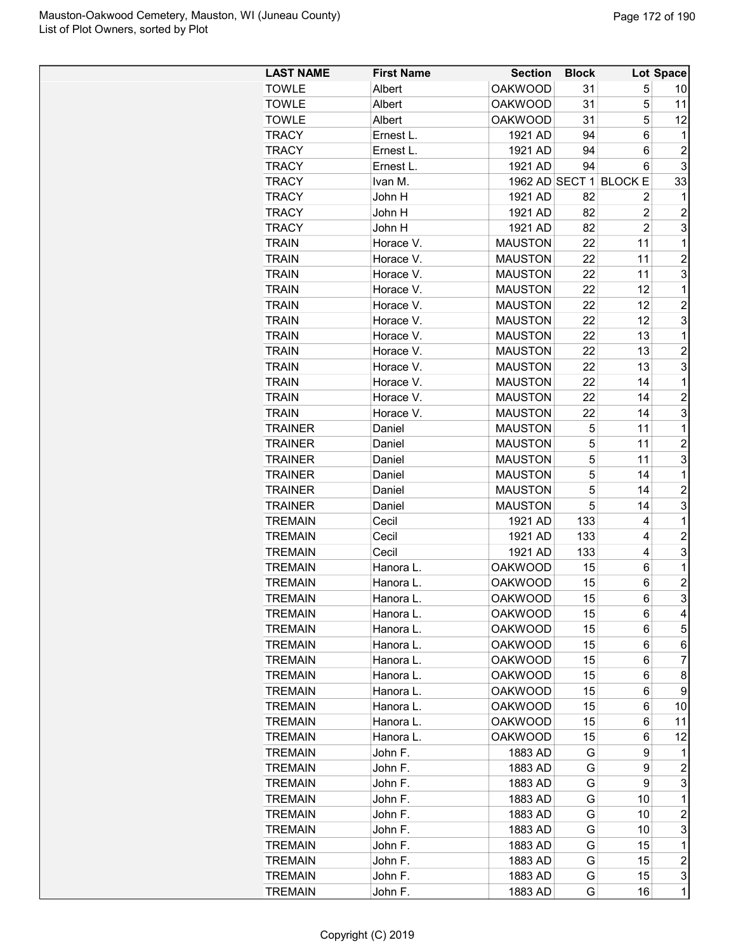| <b>LAST NAME</b> | <b>First Name</b> | <b>Section</b> | <b>Block</b> |                        | Lot Space               |
|------------------|-------------------|----------------|--------------|------------------------|-------------------------|
| <b>TOWLE</b>     | Albert            | <b>OAKWOOD</b> | 31           | 5                      | 10                      |
| <b>TOWLE</b>     | Albert            | <b>OAKWOOD</b> | 31           | 5                      | 11                      |
| <b>TOWLE</b>     | Albert            | <b>OAKWOOD</b> | 31           | 5                      | 12                      |
| <b>TRACY</b>     | Ernest L.         | 1921 AD        | 94           | 6                      | 1                       |
| <b>TRACY</b>     | Ernest L.         | 1921 AD        | 94           | 6                      | $\overline{2}$          |
| <b>TRACY</b>     | Ernest L.         | 1921 AD        | 94           | 6                      | 3                       |
| <b>TRACY</b>     | Ivan M.           |                |              | 1962 AD SECT 1 BLOCK E | 33                      |
| <b>TRACY</b>     | John H            | 1921 AD        | 82           | 2                      | 1                       |
| <b>TRACY</b>     | John H            | 1921 AD        | 82           | $\overline{c}$         | $\overline{c}$          |
| <b>TRACY</b>     | John H            | 1921 AD        | 82           | $\overline{2}$         | 3                       |
| <b>TRAIN</b>     | Horace V.         | <b>MAUSTON</b> | 22           | 11                     | 1                       |
| <b>TRAIN</b>     | Horace V.         | <b>MAUSTON</b> | 22           | 11                     | $\overline{2}$          |
| <b>TRAIN</b>     | Horace V.         | <b>MAUSTON</b> | 22           | 11                     | 3                       |
| <b>TRAIN</b>     | Horace V.         | <b>MAUSTON</b> | 22           | 12                     | 1                       |
| <b>TRAIN</b>     | Horace V.         | <b>MAUSTON</b> | 22           | 12                     | $\overline{c}$          |
| <b>TRAIN</b>     | Horace V.         | <b>MAUSTON</b> | 22           | 12                     | 3                       |
| <b>TRAIN</b>     | Horace V.         | <b>MAUSTON</b> | 22           | 13                     | 1                       |
| <b>TRAIN</b>     | Horace V.         | <b>MAUSTON</b> | 22           | 13                     | $\overline{c}$          |
| <b>TRAIN</b>     | Horace V.         | <b>MAUSTON</b> | 22           | 13                     | 3                       |
| <b>TRAIN</b>     | Horace V.         | <b>MAUSTON</b> | 22           | 14                     | 1                       |
| <b>TRAIN</b>     | Horace V.         | <b>MAUSTON</b> | 22           | 14                     | $\overline{2}$          |
| <b>TRAIN</b>     | Horace V.         | <b>MAUSTON</b> | 22           | 14                     | 3                       |
| <b>TRAINER</b>   | Daniel            | <b>MAUSTON</b> | 5            | 11                     | 1                       |
| <b>TRAINER</b>   | Daniel            | <b>MAUSTON</b> | 5            | 11                     | $\overline{c}$          |
| <b>TRAINER</b>   | Daniel            | <b>MAUSTON</b> | 5            | 11                     | 3                       |
| <b>TRAINER</b>   | Daniel            | <b>MAUSTON</b> | 5            | 14                     | 1                       |
| <b>TRAINER</b>   | Daniel            | <b>MAUSTON</b> | 5            | 14                     | $\overline{c}$          |
| <b>TRAINER</b>   | Daniel            | <b>MAUSTON</b> | 5            | 14                     | 3                       |
| <b>TREMAIN</b>   | Cecil             | 1921 AD        | 133          | 4                      | 1                       |
| <b>TREMAIN</b>   | Cecil             | 1921 AD        | 133          | 4                      | $\overline{c}$          |
| <b>TREMAIN</b>   | Cecil             | 1921 AD        | 133          | 4                      | 3                       |
| <b>TREMAIN</b>   | Hanora L.         | <b>OAKWOOD</b> | 15           | 6                      | 1                       |
| <b>TREMAIN</b>   | Hanora L.         | <b>OAKWOOD</b> | 15           | 6                      | $\overline{c}$          |
| <b>TREMAIN</b>   | Hanora L          | <b>OAKWOOD</b> | 15           | 6                      | 3                       |
| <b>TREMAIN</b>   | Hanora L.         | <b>OAKWOOD</b> | 15           | 6                      | 4                       |
| <b>TREMAIN</b>   | Hanora L.         | <b>OAKWOOD</b> | 15           | 6                      | 5                       |
| <b>TREMAIN</b>   | Hanora L.         | <b>OAKWOOD</b> | 15           | 6                      | 6                       |
| <b>TREMAIN</b>   | Hanora L.         | <b>OAKWOOD</b> | 15           | 6                      | 7                       |
| <b>TREMAIN</b>   | Hanora L.         | <b>OAKWOOD</b> | 15           | 6                      | 8                       |
| <b>TREMAIN</b>   | Hanora L.         | <b>OAKWOOD</b> | 15           | 6                      | 9                       |
| <b>TREMAIN</b>   | Hanora L.         | <b>OAKWOOD</b> | 15           | 6                      | 10                      |
| <b>TREMAIN</b>   | Hanora L.         | <b>OAKWOOD</b> | 15           | 6                      | 11                      |
| <b>TREMAIN</b>   | Hanora L.         | <b>OAKWOOD</b> | 15           | 6                      | 12                      |
| <b>TREMAIN</b>   | John F.           | 1883 AD        | G            | 9                      | 1                       |
| <b>TREMAIN</b>   | John F.           | 1883 AD        | G            | 9                      | $\overline{c}$          |
| <b>TREMAIN</b>   | John F.           | 1883 AD        | G            | 9                      | 3                       |
| <b>TREMAIN</b>   | John F.           | 1883 AD        | G            | 10                     | 1                       |
| <b>TREMAIN</b>   | John F.           | 1883 AD        | G            | 10                     | $\overline{c}$          |
| <b>TREMAIN</b>   | John F.           | 1883 AD        | G            | 10                     | 3                       |
| <b>TREMAIN</b>   | John F.           | 1883 AD        | G            | 15                     | 1                       |
| <b>TREMAIN</b>   | John F.           | 1883 AD        | G            | 15                     | $\overline{\mathbf{c}}$ |
| <b>TREMAIN</b>   | John F.           | 1883 AD        | G            | 15                     | 3                       |
| <b>TREMAIN</b>   | John F.           | 1883 AD        | G            | 16                     | $\mathbf 1$             |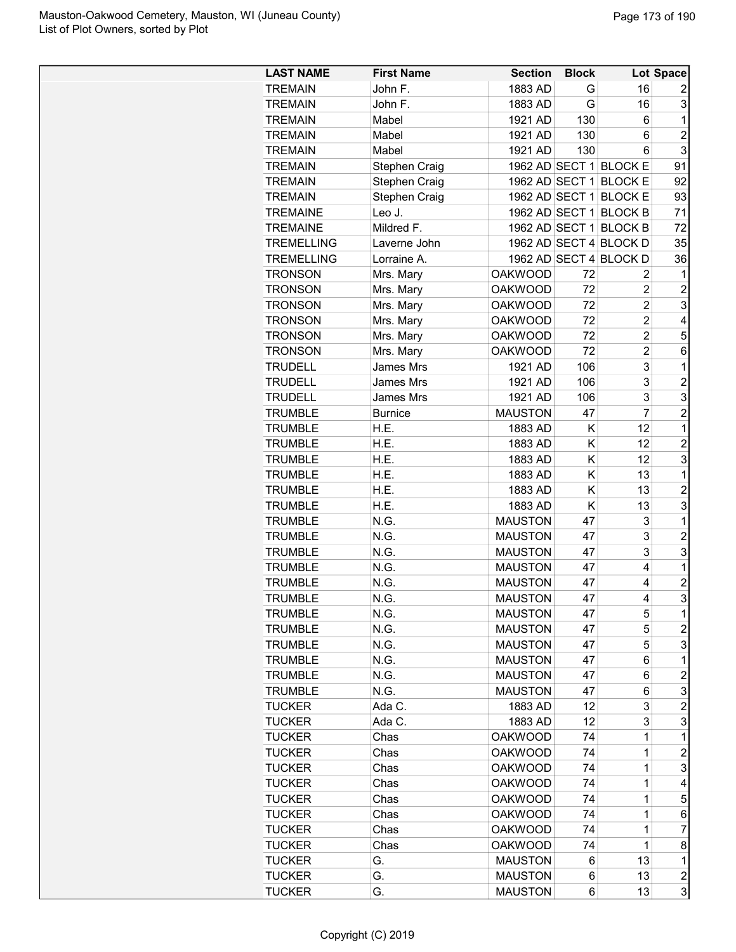| <b>LAST NAME</b>  | <b>First Name</b> | <b>Section</b> | <b>Block</b> |                        | Lot Space      |
|-------------------|-------------------|----------------|--------------|------------------------|----------------|
| <b>TREMAIN</b>    | John F.           | 1883 AD        | G            | 16                     | 2              |
| <b>TREMAIN</b>    | John F.           | 1883 AD        | G            | 16                     | 3              |
| <b>TREMAIN</b>    | Mabel             | 1921 AD        | 130          | 6                      | 1              |
| <b>TREMAIN</b>    | Mabel             | 1921 AD        | 130          | 6                      | $\overline{2}$ |
| <b>TREMAIN</b>    | Mabel             | 1921 AD        | 130          | 6                      | 3              |
| <b>TREMAIN</b>    | Stephen Craig     |                |              | 1962 AD SECT 1 BLOCK E | 91             |
| <b>TREMAIN</b>    | Stephen Craig     |                |              | 1962 AD SECT 1 BLOCK E | 92             |
| <b>TREMAIN</b>    | Stephen Craig     |                |              | 1962 AD SECT 1 BLOCK E | 93             |
| <b>TREMAINE</b>   | Leo J.            |                |              | 1962 AD SECT 1 BLOCK B | 71             |
| <b>TREMAINE</b>   | Mildred F.        |                |              | 1962 AD SECT 1 BLOCK B | 72             |
| <b>TREMELLING</b> | Laverne John      |                |              | 1962 AD SECT 4 BLOCK D | 35             |
| <b>TREMELLING</b> | Lorraine A.       |                |              | 1962 AD SECT 4 BLOCK D | 36             |
| <b>TRONSON</b>    | Mrs. Mary         | <b>OAKWOOD</b> | 72           | 2                      | 1              |
| <b>TRONSON</b>    | Mrs. Mary         | <b>OAKWOOD</b> | 72           | $\overline{2}$         | $\overline{2}$ |
| <b>TRONSON</b>    | Mrs. Mary         | <b>OAKWOOD</b> | 72           | $\overline{2}$         | 3              |
| <b>TRONSON</b>    | Mrs. Mary         | <b>OAKWOOD</b> | 72           | $\overline{c}$         | 4              |
| <b>TRONSON</b>    | Mrs. Mary         | <b>OAKWOOD</b> | 72           | $\overline{c}$         | 5              |
| <b>TRONSON</b>    | Mrs. Mary         | <b>OAKWOOD</b> | 72           | $\overline{c}$         | 6              |
| <b>TRUDELL</b>    | James Mrs         | 1921 AD        | 106          | 3                      | 1              |
| <b>TRUDELL</b>    | James Mrs         | 1921 AD        | 106          | 3                      | $\overline{c}$ |
| <b>TRUDELL</b>    | James Mrs         | 1921 AD        | 106          | 3                      | 3              |
| <b>TRUMBLE</b>    | <b>Burnice</b>    | <b>MAUSTON</b> | 47           | $\overline{7}$         | $\overline{2}$ |
| <b>TRUMBLE</b>    | H.E.              | 1883 AD        | Κ            | 12                     | 1              |
| <b>TRUMBLE</b>    | H.E.              | 1883 AD        | Κ            | 12                     | $\overline{2}$ |
| <b>TRUMBLE</b>    | H.E.              | 1883 AD        | Κ            | 12                     | 3              |
| <b>TRUMBLE</b>    | H.E.              | 1883 AD        | K            | 13                     | 1              |
| <b>TRUMBLE</b>    | H.E.              | 1883 AD        | Κ            | 13                     | $\overline{c}$ |
| <b>TRUMBLE</b>    | H.E.              | 1883 AD        | K            | 13                     | 3              |
| <b>TRUMBLE</b>    | N.G.              | <b>MAUSTON</b> | 47           | 3                      | 1              |
| <b>TRUMBLE</b>    | N.G.              | <b>MAUSTON</b> | 47           | 3                      | $\overline{c}$ |
| <b>TRUMBLE</b>    | N.G.              | <b>MAUSTON</b> | 47           | 3                      | 3              |
| <b>TRUMBLE</b>    | N.G.              | <b>MAUSTON</b> | 47           | 4                      | 1              |
| <b>TRUMBLE</b>    | N.G.              | <b>MAUSTON</b> | 47           | 4                      | $\overline{2}$ |
| <b>TRUMBLE</b>    | N.G.              | <b>MAUSTON</b> | 47           | 4                      | 3              |
| <b>TRUMBLE</b>    | N.G.              | <b>MAUSTON</b> | 47           | 5                      | 1              |
| <b>TRUMBLE</b>    | N.G.              | <b>MAUSTON</b> | 47           | 5                      | $\overline{c}$ |
| <b>TRUMBLE</b>    | N.G.              | <b>MAUSTON</b> | 47           | 5                      | 3              |
| <b>TRUMBLE</b>    | N.G.              | <b>MAUSTON</b> | 47           | 6                      | 1              |
| <b>TRUMBLE</b>    | N.G.              | <b>MAUSTON</b> | 47           | 6                      | $\overline{c}$ |
| <b>TRUMBLE</b>    | N.G.              | <b>MAUSTON</b> | 47           | 6                      | 3              |
| <b>TUCKER</b>     | Ada C.            | 1883 AD        | 12           | 3                      | 2              |
| <b>TUCKER</b>     | Ada C.            | 1883 AD        | 12           | 3                      | 3              |
| <b>TUCKER</b>     | Chas              | <b>OAKWOOD</b> | 74           | 1                      | 1              |
|                   |                   | <b>OAKWOOD</b> |              |                        |                |
| <b>TUCKER</b>     | Chas              |                | 74           | 1                      | $\overline{c}$ |
| <b>TUCKER</b>     | Chas              | <b>OAKWOOD</b> | 74<br>74     | 1<br>1                 | 3              |
| <b>TUCKER</b>     | Chas              | <b>OAKWOOD</b> |              |                        | 4              |
| <b>TUCKER</b>     | Chas              | <b>OAKWOOD</b> | 74           | 1                      | 5              |
| <b>TUCKER</b>     | Chas              | <b>OAKWOOD</b> | 74           | 1                      | 6              |
| <b>TUCKER</b>     | Chas              | <b>OAKWOOD</b> | 74           | 1                      | 7              |
| <b>TUCKER</b>     | Chas              | <b>OAKWOOD</b> | 74           | 1                      | 8              |
| <b>TUCKER</b>     | G.                | <b>MAUSTON</b> | 6            | 13                     | 1              |
| <b>TUCKER</b>     | G.                | <b>MAUSTON</b> | 6            | 13                     | 2              |
| <b>TUCKER</b>     | G.                | <b>MAUSTON</b> | 6            | 13                     | 3              |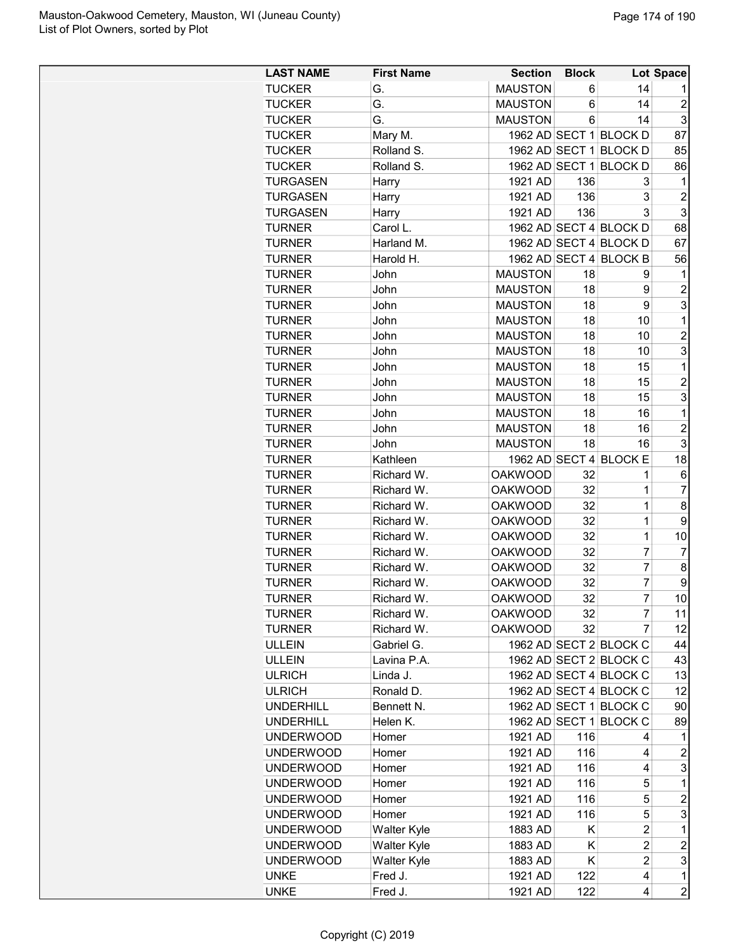| <b>LAST NAME</b> | <b>First Name</b>  | <b>Section</b> | <b>Block</b>    |                        | Lot Space               |
|------------------|--------------------|----------------|-----------------|------------------------|-------------------------|
| <b>TUCKER</b>    | G.                 | <b>MAUSTON</b> | 6               | 14                     | 1                       |
| <b>TUCKER</b>    | G.                 | <b>MAUSTON</b> | 6               | 14                     | $\overline{2}$          |
| <b>TUCKER</b>    | G.                 | <b>MAUSTON</b> | 6               | 14                     | 3                       |
| <b>TUCKER</b>    | Mary M.            |                |                 | 1962 AD SECT 1 BLOCK D | 87                      |
| <b>TUCKER</b>    | Rolland S.         |                |                 | 1962 AD SECT 1 BLOCK D | 85                      |
| <b>TUCKER</b>    | Rolland S.         |                |                 | 1962 AD SECT 1 BLOCK D | 86                      |
| <b>TURGASEN</b>  | Harry              | 1921 AD        | 136             | 3                      | 1                       |
| <b>TURGASEN</b>  | Harry              | 1921 AD        | 136             | 3                      | $\overline{c}$          |
| <b>TURGASEN</b>  | Harry              | 1921 AD        | 136             | 3                      | 3                       |
| <b>TURNER</b>    | Carol L.           |                |                 | 1962 AD SECT 4 BLOCK D | 68                      |
| <b>TURNER</b>    | Harland M.         |                |                 | 1962 AD SECT 4 BLOCK D | 67                      |
| <b>TURNER</b>    | Harold H.          |                |                 | 1962 AD SECT 4 BLOCK B | 56                      |
| <b>TURNER</b>    | John               | <b>MAUSTON</b> | 18              | 9                      | 1                       |
| <b>TURNER</b>    | John               | <b>MAUSTON</b> | 18              | 9                      | $\overline{2}$          |
| <b>TURNER</b>    | John               | <b>MAUSTON</b> | 18              | 9                      | 3                       |
| <b>TURNER</b>    | John               | <b>MAUSTON</b> | 18              | 10                     | 1                       |
| TURNER           | John               | <b>MAUSTON</b> | 18              | 10                     | $\overline{2}$          |
| <b>TURNER</b>    | John               | <b>MAUSTON</b> | 18              | 10                     | 3                       |
| <b>TURNER</b>    | John               | <b>MAUSTON</b> | 18              | 15                     | 1                       |
|                  |                    |                |                 |                        |                         |
| <b>TURNER</b>    | John               | <b>MAUSTON</b> | 18              | 15                     | $\overline{c}$          |
| <b>TURNER</b>    | John               | <b>MAUSTON</b> | 18              | 15                     | 3                       |
| <b>TURNER</b>    | John               | <b>MAUSTON</b> | 18              | 16                     | $\mathbf 1$             |
| <b>TURNER</b>    | John               | <b>MAUSTON</b> | 18              | 16                     | $\overline{2}$          |
| <b>TURNER</b>    | John               | <b>MAUSTON</b> | 18              | 16                     | 3                       |
| <b>TURNER</b>    | Kathleen           |                |                 | 1962 AD SECT 4 BLOCK E | 18                      |
| <b>TURNER</b>    | Richard W.         | <b>OAKWOOD</b> | 32              | 1                      | 6                       |
| <b>TURNER</b>    | Richard W.         | <b>OAKWOOD</b> | 32              | 1                      | $\overline{7}$          |
| <b>TURNER</b>    | Richard W.         | <b>OAKWOOD</b> | 32              | $\mathbf 1$            | 8                       |
| <b>TURNER</b>    | Richard W.         | <b>OAKWOOD</b> | 32              | 1                      | 9                       |
| <b>TURNER</b>    | Richard W.         | <b>OAKWOOD</b> | 32              | $\mathbf 1$            | 10                      |
| <b>TURNER</b>    | Richard W.         | <b>OAKWOOD</b> | 32              | $\overline{7}$         | $\overline{7}$          |
| <b>TURNER</b>    | Richard W.         | <b>OAKWOOD</b> | 32              | 7                      | 8                       |
| <b>TURNER</b>    | Richard W.         | <b>OAKWOOD</b> | 32              | 7                      | 9                       |
| <b>TURNER</b>    | Richard W.         | <b>OAKWOOD</b> | 32 <sup>°</sup> | 7                      | 10                      |
| <b>TURNER</b>    | Richard W.         | <b>OAKWOOD</b> | 32              | 7                      | 11                      |
| <b>TURNER</b>    | Richard W.         | <b>OAKWOOD</b> | 32              | 7                      | 12                      |
| <b>ULLEIN</b>    | Gabriel G.         |                |                 | 1962 AD SECT 2 BLOCK C | 44                      |
| <b>ULLEIN</b>    | Lavina P.A.        |                |                 | 1962 AD SECT 2 BLOCK C | 43                      |
| <b>ULRICH</b>    | Linda J.           |                |                 | 1962 AD SECT 4 BLOCK C | 13                      |
| <b>ULRICH</b>    | Ronald D.          |                |                 | 1962 AD SECT 4 BLOCK C | 12                      |
| <b>UNDERHILL</b> | Bennett N.         |                |                 | 1962 AD SECT 1 BLOCK C | 90                      |
| <b>UNDERHILL</b> | Helen K.           |                |                 | 1962 AD SECT 1 BLOCK C | 89                      |
| <b>UNDERWOOD</b> | Homer              | 1921 AD        | 116             | 4                      | 1                       |
| <b>UNDERWOOD</b> | Homer              | 1921 AD        | 116             | 4                      | $\overline{\mathbf{c}}$ |
| <b>UNDERWOOD</b> | Homer              | 1921 AD        | 116             | 4                      | 3                       |
| <b>UNDERWOOD</b> | Homer              | 1921 AD        | 116             | 5                      | 1                       |
| <b>UNDERWOOD</b> | Homer              | 1921 AD        | 116             | 5                      | $\overline{c}$          |
| <b>UNDERWOOD</b> | Homer              | 1921 AD        | 116             | 5                      | 3                       |
| <b>UNDERWOOD</b> | Walter Kyle        | 1883 AD        | Κ               | $\overline{c}$         | 1                       |
| <b>UNDERWOOD</b> | Walter Kyle        | 1883 AD        | Κ               | $\overline{c}$         | $\boldsymbol{2}$        |
| <b>UNDERWOOD</b> | <b>Walter Kyle</b> | 1883 AD        | K               | $\overline{2}$         | 3                       |
| <b>UNKE</b>      | Fred J.            | 1921 AD        | 122             | 4                      | 1                       |
| <b>UNKE</b>      | Fred J.            | 1921 AD        | 122             | 4                      | $\overline{2}$          |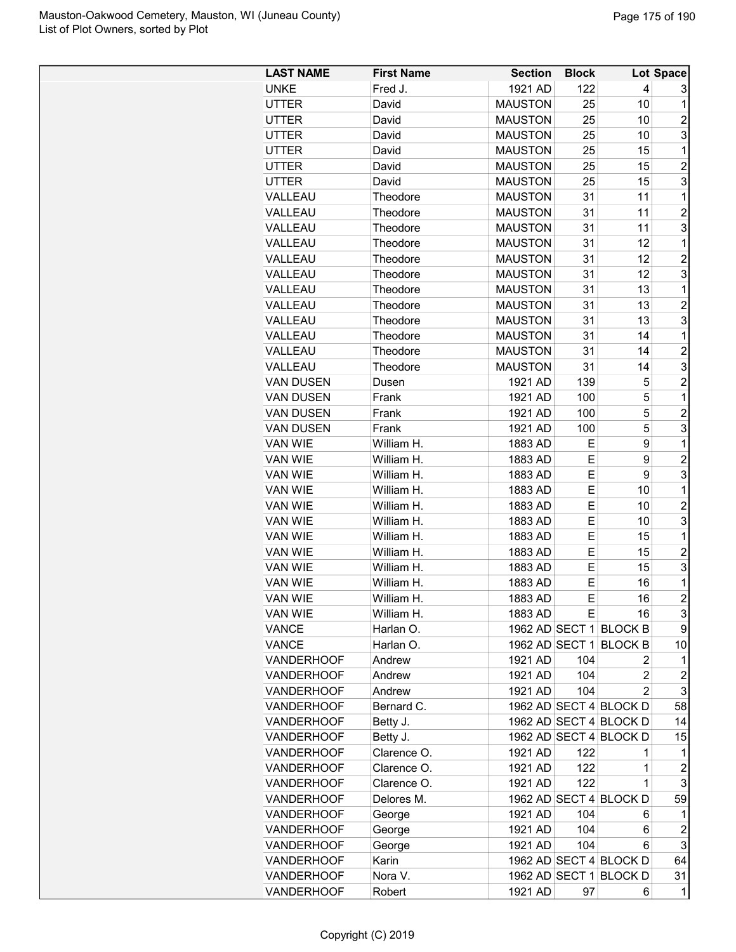| <b>LAST NAME</b>  | <b>First Name</b> | <b>Section</b> | <b>Block</b> |                        | Lot Space               |
|-------------------|-------------------|----------------|--------------|------------------------|-------------------------|
| <b>UNKE</b>       | Fred J.           | 1921 AD        | 122          | 4                      | 3                       |
| <b>UTTER</b>      | David             | <b>MAUSTON</b> | 25           | 10                     | 1                       |
| <b>UTTER</b>      | David             | <b>MAUSTON</b> | 25           | 10                     | 2                       |
| <b>UTTER</b>      | David             | <b>MAUSTON</b> | 25           | 10                     | 3                       |
| <b>UTTER</b>      | David             | <b>MAUSTON</b> | 25           | 15                     | $\mathbf{1}$            |
| <b>UTTER</b>      | David             | <b>MAUSTON</b> | 25           | 15                     | $\overline{2}$          |
| <b>UTTER</b>      | David             | <b>MAUSTON</b> | 25           | 15                     | 3                       |
| VALLEAU           | Theodore          | <b>MAUSTON</b> | 31           | 11                     | $\mathbf 1$             |
| VALLEAU           | Theodore          | <b>MAUSTON</b> | 31           | 11                     | $\overline{c}$          |
| VALLEAU           | Theodore          | <b>MAUSTON</b> | 31           | 11                     | 3                       |
| VALLEAU           | Theodore          | <b>MAUSTON</b> | 31           | 12                     | 1                       |
| VALLEAU           | Theodore          | <b>MAUSTON</b> | 31           | 12                     | $\overline{c}$          |
| VALLEAU           | Theodore          | <b>MAUSTON</b> | 31           | 12                     | 3                       |
| VALLEAU           | Theodore          | <b>MAUSTON</b> | 31           | 13                     | $\mathbf{1}$            |
| VALLEAU           | Theodore          | <b>MAUSTON</b> | 31           | 13                     | $\overline{c}$          |
| VALLEAU           | Theodore          | <b>MAUSTON</b> | 31           | 13                     | 3                       |
| VALLEAU           | Theodore          | <b>MAUSTON</b> | 31           | 14                     | 1                       |
| VALLEAU           | Theodore          | <b>MAUSTON</b> | 31           | 14                     | $\overline{2}$          |
| VALLEAU           | Theodore          | <b>MAUSTON</b> | 31           | 14                     | 3                       |
| <b>VAN DUSEN</b>  | Dusen             | 1921 AD        | 139          | 5                      | $\overline{c}$          |
| <b>VAN DUSEN</b>  | Frank             | 1921 AD        | 100          | 5                      | $\mathbf 1$             |
| <b>VAN DUSEN</b>  | Frank             | 1921 AD        | 100          | $\mathbf 5$            | $\overline{c}$          |
| <b>VAN DUSEN</b>  |                   |                |              | 5                      | 3                       |
|                   | Frank             | 1921 AD        | 100          | 9                      | $\mathbf 1$             |
| VAN WIE           | William H.        | 1883 AD        | Е            |                        |                         |
| VAN WIE           | William H.        | 1883 AD        | Е            | 9                      | $\overline{2}$          |
| VAN WIE           | William H.        | 1883 AD        | Е            | 9                      | 3                       |
| VAN WIE           | William H.        | 1883 AD        | E            | 10                     | $\mathbf 1$             |
| VAN WIE           | William H.        | 1883 AD        | E            | 10                     | $\overline{\mathbf{c}}$ |
| VAN WIE           | William H.        | 1883 AD        | Е            | 10                     | 3                       |
| VAN WIE           | William H.        | 1883 AD        | E            | 15                     | $\mathbf 1$             |
| VAN WIE           | William H.        | 1883 AD        | Е            | 15                     | $\overline{c}$          |
| VAN WIE           | William H.        | 1883 AD        | Е            | 15                     | 3                       |
| <b>VAN WIE</b>    | William H.        | 1883 AD        | E            | 16                     | $\mathbf 1$             |
| <b>VAN WIE</b>    | William H.        | 1883 AD        | E            | 16                     | $\overline{2}$          |
| <b>VAN WIE</b>    | William H.        | 1883 AD        | E            | 16                     | 3                       |
| VANCE             | Harlan O.         |                |              | 1962 AD SECT 1 BLOCK B | 9                       |
| VANCE             | Harlan O.         |                |              | 1962 AD SECT 1 BLOCK B | 10                      |
| <b>VANDERHOOF</b> | Andrew            | 1921 AD        | 104          | 2                      | 1                       |
| <b>VANDERHOOF</b> | Andrew            | 1921 AD        | 104          | $\overline{c}$         | 2                       |
| <b>VANDERHOOF</b> | Andrew            | 1921 AD        | 104          | $\overline{c}$         | 3                       |
| VANDERHOOF        | Bernard C.        |                |              | 1962 AD SECT 4 BLOCK D | 58                      |
| <b>VANDERHOOF</b> | Betty J.          |                |              | 1962 AD SECT 4 BLOCK D | 14                      |
| <b>VANDERHOOF</b> | Betty J.          |                |              | 1962 AD SECT 4 BLOCK D | 15                      |
| <b>VANDERHOOF</b> | Clarence O.       | 1921 AD        | 122          | 1                      | 1                       |
| <b>VANDERHOOF</b> | Clarence O.       | 1921 AD        | 122          | 1                      | $\boldsymbol{2}$        |
| <b>VANDERHOOF</b> | Clarence O.       | 1921 AD        | 122          | 1                      | 3                       |
| <b>VANDERHOOF</b> | Delores M.        |                |              | 1962 AD SECT 4 BLOCK D | 59                      |
| <b>VANDERHOOF</b> | George            | 1921 AD        | 104          | 6                      | $\mathbf{1}$            |
| <b>VANDERHOOF</b> | George            | 1921 AD        | 104          | 6                      | $\boldsymbol{2}$        |
| <b>VANDERHOOF</b> | George            | 1921 AD        | 104          | 6                      | 3                       |
| <b>VANDERHOOF</b> | Karin             |                |              | 1962 AD SECT 4 BLOCK D | 64                      |
| <b>VANDERHOOF</b> | Nora V.           |                |              | 1962 AD SECT 1 BLOCK D | 31                      |
| <b>VANDERHOOF</b> | Robert            | 1921 AD        | 97           | 6                      | 1                       |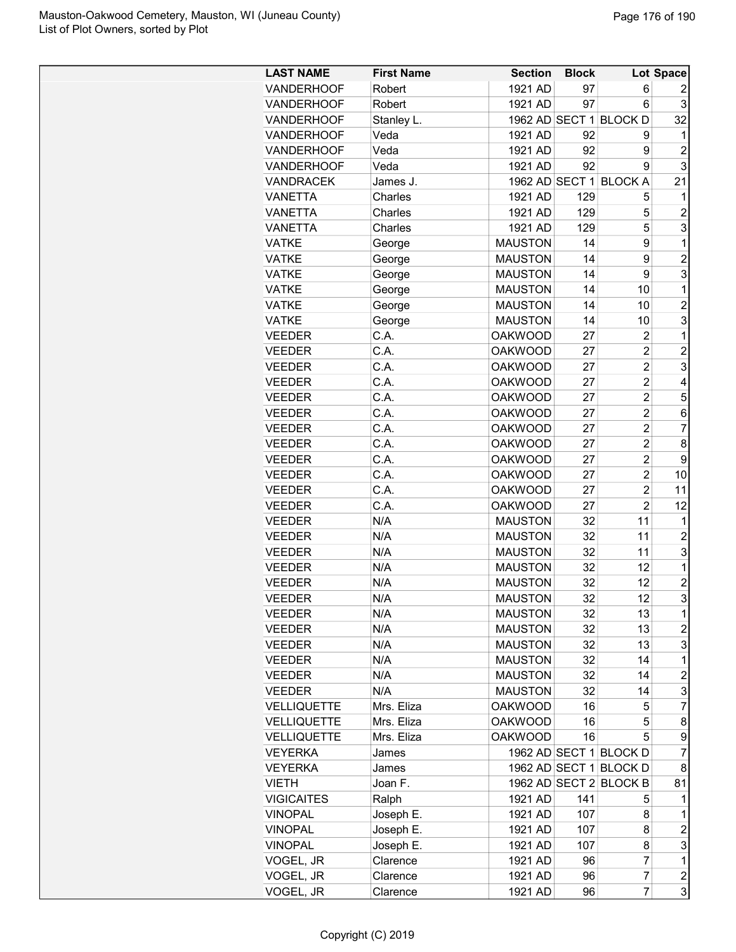| <b>LAST NAME</b>   | <b>First Name</b> | <b>Section</b> | <b>Block</b> |                        | Lot Space               |
|--------------------|-------------------|----------------|--------------|------------------------|-------------------------|
| VANDERHOOF         | Robert            | 1921 AD        | 97           | 6                      | 2                       |
| VANDERHOOF         | Robert            | 1921 AD        | 97           | 6                      | 3                       |
| VANDERHOOF         | Stanley L.        | 1962 AD SECT 1 |              | <b>BLOCK D</b>         | 32                      |
| VANDERHOOF         | Veda              | 1921 AD        | 92           | 9                      | 1                       |
| <b>VANDERHOOF</b>  | Veda              | 1921 AD        | 92           | 9                      | $\overline{2}$          |
| <b>VANDERHOOF</b>  | Veda              | 1921 AD        | 92           | 9                      | 3                       |
| <b>VANDRACEK</b>   | James J.          |                |              | 1962 AD SECT 1 BLOCK A | 21                      |
| <b>VANETTA</b>     | Charles           | 1921 AD        | 129          | 5                      | 1                       |
| <b>VANETTA</b>     | Charles           | 1921 AD        | 129          | 5                      | $\overline{2}$          |
| <b>VANETTA</b>     | Charles           | 1921 AD        | 129          | 5                      | 3                       |
| <b>VATKE</b>       | George            | <b>MAUSTON</b> | 14           | 9                      | 1                       |
| <b>VATKE</b>       | George            | <b>MAUSTON</b> | 14           | 9                      | $\overline{2}$          |
| <b>VATKE</b>       | George            | <b>MAUSTON</b> | 14           | 9                      | 3                       |
| <b>VATKE</b>       | George            | <b>MAUSTON</b> | 14           | 10                     | $\mathbf 1$             |
| <b>VATKE</b>       | George            | <b>MAUSTON</b> | 14           | 10                     | $\overline{2}$          |
| <b>VATKE</b>       | George            | <b>MAUSTON</b> | 14           | 10                     | 3                       |
| <b>VEEDER</b>      | C.A.              | <b>OAKWOOD</b> | 27           | $\overline{2}$         | 1                       |
| <b>VEEDER</b>      | C.A.              | <b>OAKWOOD</b> | 27           | $\overline{2}$         | $\overline{2}$          |
| <b>VEEDER</b>      | C.A.              | <b>OAKWOOD</b> | 27           | $\overline{2}$         | 3                       |
| <b>VEEDER</b>      | C.A.              | <b>OAKWOOD</b> | 27           | $\overline{2}$         | $\overline{4}$          |
| <b>VEEDER</b>      | C.A.              | <b>OAKWOOD</b> | 27           | $\overline{2}$         | 5                       |
|                    | C.A.              |                |              | $\overline{2}$         |                         |
| <b>VEEDER</b>      | C.A.              | <b>OAKWOOD</b> | 27           | $\overline{2}$         | 6                       |
| <b>VEEDER</b>      |                   | <b>OAKWOOD</b> | 27           | $\overline{2}$         | $\overline{7}$          |
| <b>VEEDER</b>      | C.A.              | <b>OAKWOOD</b> | 27           |                        | 8                       |
| <b>VEEDER</b>      | C.A.              | <b>OAKWOOD</b> | 27           | $\overline{2}$         | 9                       |
| <b>VEEDER</b>      | C.A.              | <b>OAKWOOD</b> | 27           | $\overline{2}$         | 10                      |
| <b>VEEDER</b>      | C.A.              | <b>OAKWOOD</b> | 27           | $\overline{2}$         | 11                      |
| <b>VEEDER</b>      | C.A.              | <b>OAKWOOD</b> | 27           | $\overline{c}$         | 12                      |
| <b>VEEDER</b>      | N/A               | <b>MAUSTON</b> | 32           | 11                     | 1                       |
| <b>VEEDER</b>      | N/A               | <b>MAUSTON</b> | 32           | 11                     | $\overline{2}$          |
| <b>VEEDER</b>      | N/A               | <b>MAUSTON</b> | 32           | 11                     | 3                       |
| <b>VEEDER</b>      | N/A               | <b>MAUSTON</b> | 32           | 12                     | 1                       |
| <b>VEEDER</b>      | N/A               | <b>MAUSTON</b> | 32           | 12                     | $\overline{2}$          |
| <b>VEEDER</b>      | N/A               | <b>MAUSTON</b> | 32           | 12                     | 3                       |
| <b>VEEDER</b>      | N/A               | <b>MAUSTON</b> | 32           | 13                     | 1                       |
| <b>VEEDER</b>      | N/A               | <b>MAUSTON</b> | 32           | 13                     | $\overline{\mathbf{c}}$ |
| <b>VEEDER</b>      | N/A               | <b>MAUSTON</b> | 32           | 13                     | 3                       |
| <b>VEEDER</b>      | N/A               | <b>MAUSTON</b> | 32           | 14                     | 1                       |
| <b>VEEDER</b>      | N/A               | <b>MAUSTON</b> | 32           | 14                     | $\overline{c}$          |
| <b>VEEDER</b>      | N/A               | <b>MAUSTON</b> | 32           | 14                     | 3                       |
| <b>VELLIQUETTE</b> | Mrs. Eliza        | <b>OAKWOOD</b> | 16           | 5                      | $\overline{7}$          |
| <b>VELLIQUETTE</b> | Mrs. Eliza        | <b>OAKWOOD</b> | 16           | 5                      | 8                       |
| <b>VELLIQUETTE</b> | Mrs. Eliza        | <b>OAKWOOD</b> | 16           | 5                      | 9                       |
| <b>VEYERKA</b>     | James             |                |              | 1962 AD SECT 1 BLOCK D | 7                       |
| <b>VEYERKA</b>     | James             |                |              | 1962 AD SECT 1 BLOCK D | 8                       |
| <b>VIETH</b>       | Joan F.           |                |              | 1962 AD SECT 2 BLOCK B | 81                      |
| <b>VIGICAITES</b>  | Ralph             | 1921 AD        | 141          | 5                      | 1                       |
| <b>VINOPAL</b>     | Joseph E.         | 1921 AD        | 107          | 8                      | 1                       |
| <b>VINOPAL</b>     | Joseph E.         | 1921 AD        | 107          | 8                      | $\overline{c}$          |
| <b>VINOPAL</b>     | Joseph E.         | 1921 AD        | 107          | 8                      | 3                       |
| VOGEL, JR          | Clarence          | 1921 AD        | 96           | 7                      | 1                       |
| VOGEL, JR          | Clarence          | 1921 AD        | 96           | $\overline{7}$         | $\overline{\mathbf{c}}$ |
| VOGEL, JR          | Clarence          | 1921 AD        | 96           | $\overline{7}$         | 3                       |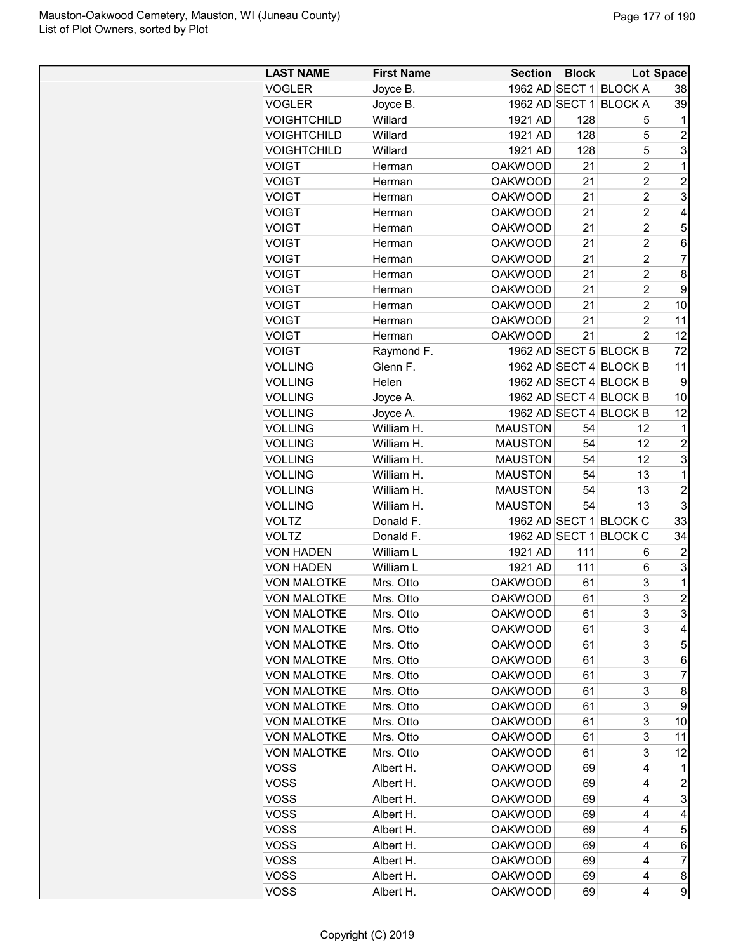| <b>LAST NAME</b>   | <b>First Name</b> | <b>Section</b> | <b>Block</b> |                        | Lot Space      |
|--------------------|-------------------|----------------|--------------|------------------------|----------------|
| <b>VOGLER</b>      | Joyce B.          |                |              | 1962 AD SECT 1 BLOCK A | 38             |
| <b>VOGLER</b>      | Joyce B.          |                |              | 1962 AD SECT 1 BLOCK A | 39             |
| <b>VOIGHTCHILD</b> | Willard           | 1921 AD        | 128          | 5                      | 1              |
| <b>VOIGHTCHILD</b> | Willard           | 1921 AD        | 128          | 5                      | $\overline{c}$ |
| <b>VOIGHTCHILD</b> | Willard           | 1921 AD        | 128          | 5                      | 3              |
| <b>VOIGT</b>       | Herman            | <b>OAKWOOD</b> | 21           | 2                      | 1              |
| <b>VOIGT</b>       | Herman            | <b>OAKWOOD</b> | 21           | 2                      | $\overline{c}$ |
| <b>VOIGT</b>       | Herman            | <b>OAKWOOD</b> | 21           | 2                      | 3              |
| <b>VOIGT</b>       | Herman            | <b>OAKWOOD</b> | 21           | $\overline{c}$         | 4              |
| <b>VOIGT</b>       | Herman            | <b>OAKWOOD</b> | 21           | $\overline{2}$         | 5              |
| <b>VOIGT</b>       | Herman            | <b>OAKWOOD</b> | 21           | $\overline{c}$         | 6              |
| <b>VOIGT</b>       | Herman            | <b>OAKWOOD</b> | 21           | $\overline{2}$         | 7              |
| <b>VOIGT</b>       | Herman            | <b>OAKWOOD</b> | 21           | $\overline{c}$         | 8              |
| <b>VOIGT</b>       | Herman            | <b>OAKWOOD</b> | 21           | 2                      | 9              |
| <b>VOIGT</b>       | Herman            | <b>OAKWOOD</b> | 21           | $\overline{c}$         | 10             |
| <b>VOIGT</b>       | Herman            | <b>OAKWOOD</b> | 21           | $\overline{c}$         | 11             |
| <b>VOIGT</b>       | Herman            | <b>OAKWOOD</b> | 21           | $\overline{2}$         | 12             |
| <b>VOIGT</b>       | Raymond F.        |                |              | 1962 AD SECT 5 BLOCK B | 72             |
| <b>VOLLING</b>     | Glenn F.          |                |              | 1962 AD SECT 4 BLOCK B | 11             |
| <b>VOLLING</b>     | Helen             |                |              | 1962 AD SECT 4 BLOCK B | 9              |
| <b>VOLLING</b>     | Joyce A.          |                |              | 1962 AD SECT 4 BLOCK B | 10             |
| <b>VOLLING</b>     | Joyce A.          |                |              | 1962 AD SECT 4 BLOCK B | 12             |
|                    | William H.        |                | 54           | 12                     | 1              |
| <b>VOLLING</b>     |                   | <b>MAUSTON</b> |              | 12                     |                |
| <b>VOLLING</b>     | William H.        | <b>MAUSTON</b> | 54           |                        | $\overline{c}$ |
| <b>VOLLING</b>     | William H.        | <b>MAUSTON</b> | 54           | 12                     | 3              |
| <b>VOLLING</b>     | William H.        | <b>MAUSTON</b> | 54           | 13                     | 1              |
| <b>VOLLING</b>     | William H.        | <b>MAUSTON</b> | 54           | 13                     | $\overline{2}$ |
| <b>VOLLING</b>     | William H.        | <b>MAUSTON</b> | 54           | 13                     | 3              |
| <b>VOLTZ</b>       | Donald F.         |                |              | 1962 AD SECT 1 BLOCK C | 33             |
| <b>VOLTZ</b>       | Donald F.         |                |              | 1962 AD SECT 1 BLOCK C | 34             |
| <b>VON HADEN</b>   | William L         | 1921 AD        | 111          | 6                      | 2              |
| <b>VON HADEN</b>   | William L         | 1921 AD        | 111          | 6                      | 3              |
| <b>VON MALOTKE</b> | Mrs. Otto         | <b>OAKWOOD</b> | 61           | 3                      | 1              |
| VON MALOTKE        | Mrs. Otto         | <b>OAKWOOD</b> | 61           | 3                      | $\mathbf{2}$   |
| <b>VON MALOTKE</b> | Mrs. Otto         | <b>OAKWOOD</b> | 61           | 3                      | 3              |
| <b>VON MALOTKE</b> | Mrs. Otto         | <b>OAKWOOD</b> | 61           | 3                      | 4              |
| <b>VON MALOTKE</b> | Mrs. Otto         | <b>OAKWOOD</b> | 61           | 3                      | 5              |
| <b>VON MALOTKE</b> | Mrs. Otto         | <b>OAKWOOD</b> | 61           | 3                      | 6              |
| <b>VON MALOTKE</b> | Mrs. Otto         | <b>OAKWOOD</b> | 61           | 3                      | 7              |
| <b>VON MALOTKE</b> | Mrs. Otto         | <b>OAKWOOD</b> | 61           | 3                      | 8              |
| <b>VON MALOTKE</b> | Mrs. Otto         | <b>OAKWOOD</b> | 61           | 3                      | 9              |
| <b>VON MALOTKE</b> | Mrs. Otto         | <b>OAKWOOD</b> | 61           | 3                      | 10             |
| <b>VON MALOTKE</b> | Mrs. Otto         | <b>OAKWOOD</b> | 61           | 3                      | 11             |
| <b>VON MALOTKE</b> | Mrs. Otto         | <b>OAKWOOD</b> | 61           | 3                      | 12             |
| <b>VOSS</b>        | Albert H.         | <b>OAKWOOD</b> | 69           | 4                      | 1              |
| <b>VOSS</b>        | Albert H.         | <b>OAKWOOD</b> | 69           | 4                      | $\overline{c}$ |
| <b>VOSS</b>        | Albert H.         | <b>OAKWOOD</b> | 69           | 4                      | 3              |
| <b>VOSS</b>        | Albert H.         | <b>OAKWOOD</b> | 69           | 4                      | 4              |
| <b>VOSS</b>        | Albert H.         | <b>OAKWOOD</b> | 69           | 4                      | 5              |
| <b>VOSS</b>        | Albert H.         | <b>OAKWOOD</b> | 69           | 4                      | 6              |
| <b>VOSS</b>        | Albert H.         | <b>OAKWOOD</b> | 69           | 4                      | $\overline{7}$ |
| <b>VOSS</b>        | Albert H.         | <b>OAKWOOD</b> | 69           | 4                      | 8              |
| <b>VOSS</b>        | Albert H.         | <b>OAKWOOD</b> | 69           | 4                      | 9              |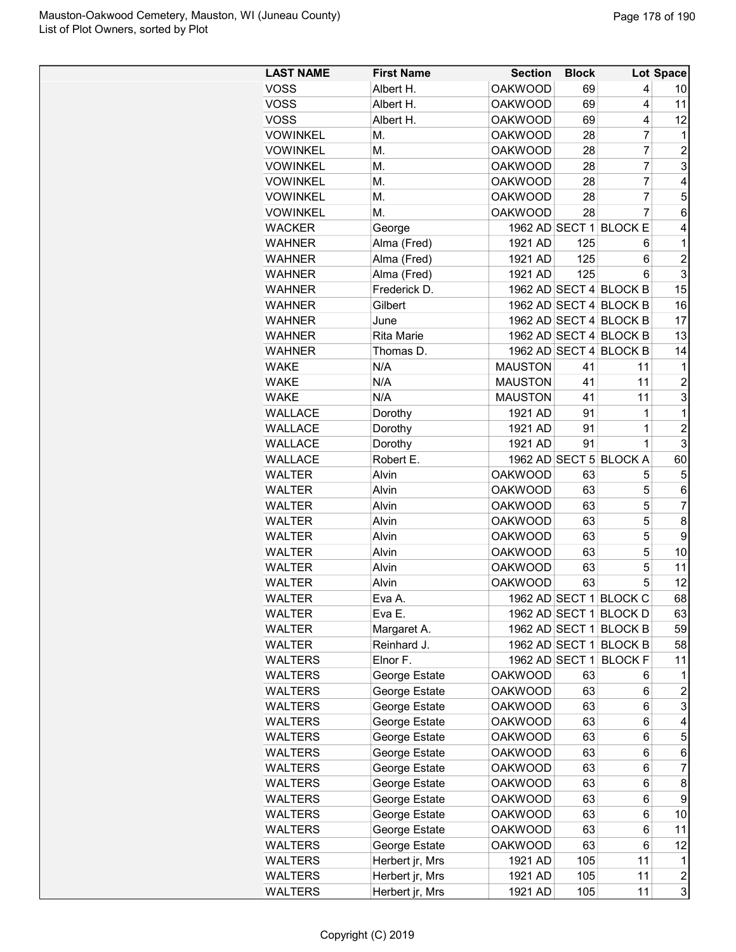| <b>LAST NAME</b> | <b>First Name</b> | <b>Section</b> | <b>Block</b> |                        | Lot Space               |
|------------------|-------------------|----------------|--------------|------------------------|-------------------------|
| <b>VOSS</b>      | Albert H.         | <b>OAKWOOD</b> | 69           | 4                      | 10                      |
| <b>VOSS</b>      | Albert H.         | <b>OAKWOOD</b> | 69           | 4                      | 11                      |
| <b>VOSS</b>      | Albert H.         | <b>OAKWOOD</b> | 69           | 4                      | 12                      |
| <b>VOWINKEL</b>  | М.                | <b>OAKWOOD</b> | 28           | $\overline{7}$         | 1                       |
| <b>VOWINKEL</b>  | М.                | <b>OAKWOOD</b> | 28           | $\overline{7}$         | $\overline{c}$          |
| <b>VOWINKEL</b>  | М.                | <b>OAKWOOD</b> | 28           | 7                      | 3                       |
| <b>VOWINKEL</b>  | Μ.                | <b>OAKWOOD</b> | 28           | $\overline{7}$         | 4                       |
| <b>VOWINKEL</b>  | M.                | <b>OAKWOOD</b> | 28           | $\overline{7}$         | 5                       |
| <b>VOWINKEL</b>  | М.                | <b>OAKWOOD</b> | 28           | $\overline{7}$         | 6                       |
| <b>WACKER</b>    | George            |                |              | 1962 AD SECT 1 BLOCK E | 4                       |
| <b>WAHNER</b>    | Alma (Fred)       | 1921 AD        | 125          | 6                      | 1                       |
| <b>WAHNER</b>    | Alma (Fred)       | 1921 AD        | 125          | 6                      | $\overline{c}$          |
| <b>WAHNER</b>    | Alma (Fred)       | 1921 AD        | 125          | 6                      | 3                       |
| <b>WAHNER</b>    | Frederick D.      |                |              | 1962 AD SECT 4 BLOCK B | 15                      |
| <b>WAHNER</b>    | Gilbert           |                |              | 1962 AD SECT 4 BLOCK B | 16                      |
| <b>WAHNER</b>    | June              |                |              | 1962 AD SECT 4 BLOCK B | 17                      |
| <b>WAHNER</b>    | <b>Rita Marie</b> |                |              | 1962 AD SECT 4 BLOCK B | 13                      |
| <b>WAHNER</b>    | Thomas D.         |                |              | 1962 AD SECT 4 BLOCK B | 14                      |
| <b>WAKE</b>      | N/A               | <b>MAUSTON</b> | 41           | 11                     | 1                       |
| <b>WAKE</b>      | N/A               | <b>MAUSTON</b> | 41           | 11                     | $\overline{c}$          |
| <b>WAKE</b>      | N/A               | <b>MAUSTON</b> | 41           | 11                     | 3                       |
| <b>WALLACE</b>   | Dorothy           | 1921 AD        | 91           | 1                      | $\mathbf 1$             |
| <b>WALLACE</b>   | Dorothy           | 1921 AD        | 91           | $\mathbf 1$            | $\overline{c}$          |
| <b>WALLACE</b>   | Dorothy           | 1921 AD        | 91           | $\mathbf{1}$           | 3                       |
| <b>WALLACE</b>   | Robert E.         |                |              | 1962 AD SECT 5 BLOCK A | 60                      |
| <b>WALTER</b>    | Alvin             | <b>OAKWOOD</b> | 63           | 5                      | 5                       |
| <b>WALTER</b>    | Alvin             | <b>OAKWOOD</b> | 63           | 5                      | 6                       |
| <b>WALTER</b>    | Alvin             | <b>OAKWOOD</b> | 63           | 5                      | $\overline{7}$          |
| <b>WALTER</b>    | Alvin             | <b>OAKWOOD</b> | 63           | 5                      | 8                       |
| <b>WALTER</b>    | Alvin             | <b>OAKWOOD</b> | 63           | 5                      | 9                       |
| <b>WALTER</b>    | Alvin             | <b>OAKWOOD</b> | 63           | 5                      | 10                      |
| <b>WALTER</b>    | Alvin             | <b>OAKWOOD</b> | 63           | 5                      | 11                      |
| <b>WALTER</b>    | Alvin             | <b>OAKWOOD</b> | 63           | 5                      | 12                      |
| <b>WALTER</b>    | Eva A.            |                |              | 1962 AD SECT 1 BLOCK C | 68                      |
| <b>WALTER</b>    | Eva E.            |                |              | 1962 AD SECT 1 BLOCK D | 63                      |
| <b>WALTER</b>    | Margaret A.       |                |              | 1962 AD SECT 1 BLOCK B | 59                      |
| <b>WALTER</b>    | Reinhard J.       |                |              | 1962 AD SECT 1 BLOCK B | 58                      |
| <b>WALTERS</b>   | Elnor F.          | 1962 AD SECT 1 |              | <b>BLOCK F</b>         | 11                      |
| <b>WALTERS</b>   | George Estate     | <b>OAKWOOD</b> | 63           | 6                      | 1                       |
| <b>WALTERS</b>   | George Estate     | <b>OAKWOOD</b> | 63           | 6                      | 2                       |
| <b>WALTERS</b>   | George Estate     | <b>OAKWOOD</b> | 63           | 6                      | 3                       |
| <b>WALTERS</b>   | George Estate     | <b>OAKWOOD</b> | 63           | 6                      | 4                       |
| <b>WALTERS</b>   | George Estate     | <b>OAKWOOD</b> | 63           | 6                      | 5                       |
| <b>WALTERS</b>   | George Estate     | <b>OAKWOOD</b> | 63           | 6                      | 6                       |
| <b>WALTERS</b>   | George Estate     | <b>OAKWOOD</b> | 63           | 6                      | 7                       |
| <b>WALTERS</b>   |                   | <b>OAKWOOD</b> | 63           | 6                      | 8                       |
|                  | George Estate     | <b>OAKWOOD</b> | 63           | 6                      | 9                       |
| WALTERS          | George Estate     |                |              |                        |                         |
| <b>WALTERS</b>   | George Estate     | <b>OAKWOOD</b> | 63           | 6                      | 10                      |
| <b>WALTERS</b>   | George Estate     | <b>OAKWOOD</b> | 63           | 6                      | 11                      |
| <b>WALTERS</b>   | George Estate     | <b>OAKWOOD</b> | 63           | 6                      | 12                      |
| WALTERS          | Herbert jr, Mrs   | 1921 AD        | 105          | 11                     | 1                       |
| <b>WALTERS</b>   | Herbert jr, Mrs   | 1921 AD        | 105          | 11                     | $\overline{\mathbf{c}}$ |
| <b>WALTERS</b>   | Herbert jr, Mrs   | 1921 AD        | 105          | 11                     | 3                       |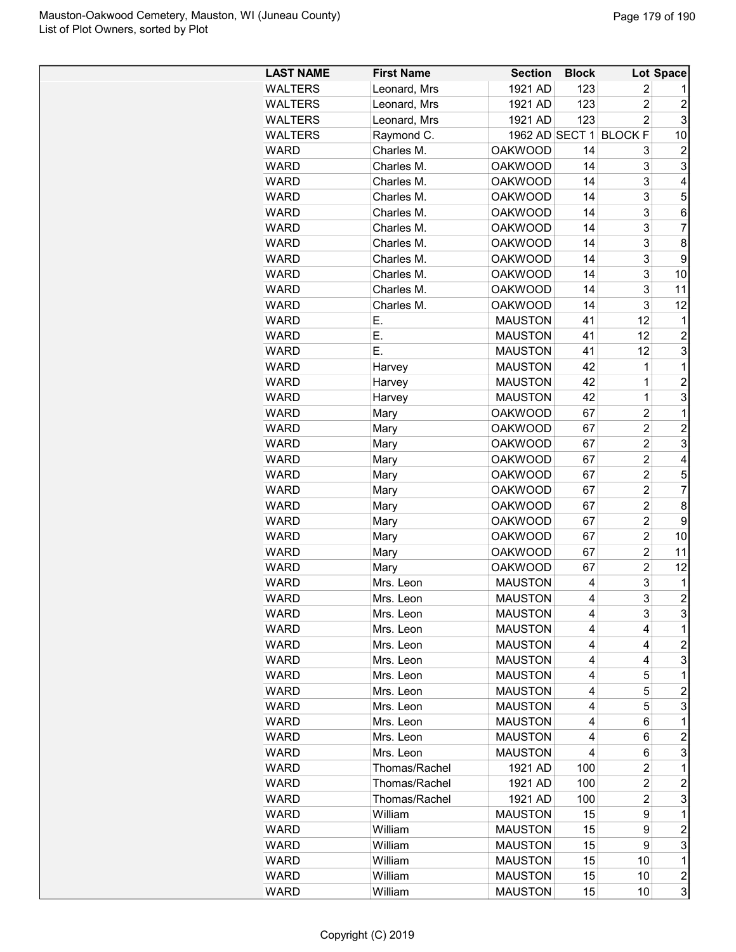| <b>LAST NAME</b> | <b>First Name</b> | <b>Section</b> | <b>Block</b> |                | <b>Lot Space</b> |
|------------------|-------------------|----------------|--------------|----------------|------------------|
| <b>WALTERS</b>   | Leonard, Mrs      | 1921 AD        | 123          | 2              |                  |
| <b>WALTERS</b>   | Leonard, Mrs      | 1921 AD        | 123          | $\overline{c}$ | 2                |
| <b>WALTERS</b>   | Leonard, Mrs      | 1921 AD        | 123          | $\overline{c}$ | 3                |
| <b>WALTERS</b>   | Raymond C.        | 1962 AD SECT 1 |              | <b>BLOCK F</b> | 10               |
| <b>WARD</b>      | Charles M.        | <b>OAKWOOD</b> | 14           | 3              | $\overline{c}$   |
| <b>WARD</b>      | Charles M.        | <b>OAKWOOD</b> | 14           | 3              | 3                |
| <b>WARD</b>      | Charles M.        | <b>OAKWOOD</b> | 14           | 3              | 4                |
| WARD             | Charles M.        | <b>OAKWOOD</b> | 14           | 3              | 5                |
| <b>WARD</b>      | Charles M.        | <b>OAKWOOD</b> | 14           | 3              | 6                |
| WARD             | Charles M.        | <b>OAKWOOD</b> | 14           | 3              | $\overline{7}$   |
| <b>WARD</b>      | Charles M.        | <b>OAKWOOD</b> | 14           | 3              | 8                |
| <b>WARD</b>      | Charles M.        | <b>OAKWOOD</b> | 14           | 3              | 9                |
| <b>WARD</b>      | Charles M.        | <b>OAKWOOD</b> | 14           | 3              | 10               |
| <b>WARD</b>      | Charles M.        | <b>OAKWOOD</b> | 14           | 3              | 11               |
| WARD             | Charles M.        | <b>OAKWOOD</b> | 14           | 3              | 12               |
| WARD             | Е.                | <b>MAUSTON</b> | 41           | 12             | 1                |
| WARD             | Е.                | <b>MAUSTON</b> | 41           | 12             | $\overline{2}$   |
| <b>WARD</b>      | Ε.                | <b>MAUSTON</b> | 41           | 12             | 3                |
| <b>WARD</b>      | Harvey            | <b>MAUSTON</b> | 42           | 1              | 1                |
| <b>WARD</b>      | Harvey            | <b>MAUSTON</b> | 42           | 1              | $\overline{c}$   |
| <b>WARD</b>      | Harvey            | <b>MAUSTON</b> | 42           | $\mathbf 1$    | 3                |
| WARD             | Mary              | <b>OAKWOOD</b> | 67           | $\overline{c}$ | $\mathbf 1$      |
| <b>WARD</b>      | Mary              | <b>OAKWOOD</b> | 67           | $\overline{c}$ | 2                |
| WARD             |                   | <b>OAKWOOD</b> | 67           | $\overline{c}$ | 3                |
| <b>WARD</b>      | Mary              | <b>OAKWOOD</b> | 67           | $\overline{2}$ | 4                |
| <b>WARD</b>      | Mary              | <b>OAKWOOD</b> | 67           | $\overline{2}$ | 5                |
| <b>WARD</b>      | Mary              | <b>OAKWOOD</b> | 67           | $\overline{c}$ | 7                |
|                  | Mary              |                |              | $\overline{c}$ |                  |
| <b>WARD</b>      | Mary              | <b>OAKWOOD</b> | 67           |                | 8                |
| <b>WARD</b>      | Mary              | <b>OAKWOOD</b> | 67           | $\overline{c}$ | 9                |
| <b>WARD</b>      | Mary              | <b>OAKWOOD</b> | 67           | $\overline{c}$ | 10               |
| WARD             | Mary              | <b>OAKWOOD</b> | 67           | $\overline{2}$ | 11               |
| <b>WARD</b>      | Mary              | <b>OAKWOOD</b> | 67           | $\overline{c}$ | 12               |
| <b>WARD</b>      | Mrs. Leon         | <b>MAUSTON</b> | 4            | 3              | 1                |
| WARD             | Mrs. Leon         | <b>MAUSTON</b> | 4            | 3              | $\overline{2}$   |
| <b>WARD</b>      | Mrs. Leon         | <b>MAUSTON</b> | 4            | 3              | 3                |
| <b>WARD</b>      | Mrs. Leon         | <b>MAUSTON</b> | 4            | 4              | 1                |
| <b>WARD</b>      | Mrs. Leon         | <b>MAUSTON</b> | 4            | 4              | $\overline{c}$   |
| <b>WARD</b>      | Mrs. Leon         | <b>MAUSTON</b> | 4            | 4              | 3                |
| WARD             | Mrs. Leon         | <b>MAUSTON</b> | 4            | 5              | 1                |
| WARD             | Mrs. Leon         | <b>MAUSTON</b> | 4            | 5              | $\overline{c}$   |
| <b>WARD</b>      | Mrs. Leon         | <b>MAUSTON</b> | 4            | 5              | 3                |
| <b>WARD</b>      | Mrs. Leon         | <b>MAUSTON</b> | 4            | 6              | 1                |
| <b>WARD</b>      | Mrs. Leon         | <b>MAUSTON</b> | 4            | 6              | $\overline{c}$   |
| <b>WARD</b>      | Mrs. Leon         | <b>MAUSTON</b> | 4            | 6              | 3                |
| <b>WARD</b>      | Thomas/Rachel     | 1921 AD        | 100          | 2              | 1                |
| WARD             | Thomas/Rachel     | 1921 AD        | 100          | 2              | 2                |
| WARD             | Thomas/Rachel     | 1921 AD        | 100          | $\overline{c}$ | 3                |
| <b>WARD</b>      | William           | <b>MAUSTON</b> | 15           | 9              | 1                |
| <b>WARD</b>      | William           | <b>MAUSTON</b> | 15           | 9              | $\overline{c}$   |
| <b>WARD</b>      | William           | <b>MAUSTON</b> | 15           | 9              | 3                |
| <b>WARD</b>      | William           | <b>MAUSTON</b> | 15           | 10             | $\mathbf 1$      |
| <b>WARD</b>      | William           | <b>MAUSTON</b> | 15           | 10             | 2                |
| WARD             | William           | <b>MAUSTON</b> | 15           | 10             | 3                |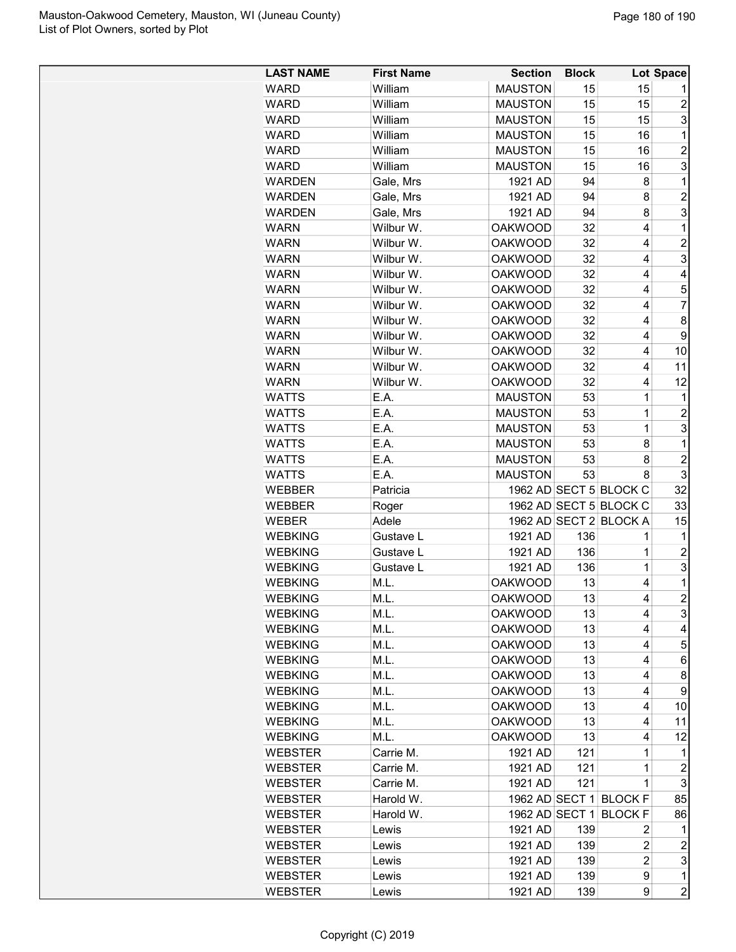| <b>LAST NAME</b> | <b>First Name</b> | <b>Section</b> | <b>Block</b> |                        | Lot Space      |
|------------------|-------------------|----------------|--------------|------------------------|----------------|
| <b>WARD</b>      | William           | <b>MAUSTON</b> | 15           | 15                     | 1              |
| <b>WARD</b>      | William           | <b>MAUSTON</b> | 15           | 15                     | $\overline{c}$ |
| <b>WARD</b>      | William           | <b>MAUSTON</b> | 15           | 15                     | 3              |
| <b>WARD</b>      | William           | <b>MAUSTON</b> | 15           | 16                     | 1              |
| <b>WARD</b>      | William           | <b>MAUSTON</b> | 15           | 16                     | $\overline{c}$ |
| <b>WARD</b>      | William           | <b>MAUSTON</b> | 15           | 16                     | 3              |
| <b>WARDEN</b>    | Gale, Mrs         | 1921 AD        | 94           | 8                      | 1              |
| <b>WARDEN</b>    | Gale, Mrs         | 1921 AD        | 94           | 8                      | $\overline{2}$ |
| <b>WARDEN</b>    | Gale, Mrs         | 1921 AD        | 94           | 8                      | 3              |
| <b>WARN</b>      | Wilbur W.         | <b>OAKWOOD</b> | 32           | 4                      | $\mathbf{1}$   |
| <b>WARN</b>      | Wilbur W.         | <b>OAKWOOD</b> | 32           | 4                      | $\overline{c}$ |
| <b>WARN</b>      | Wilbur W.         | <b>OAKWOOD</b> | 32           | 4                      | 3              |
| <b>WARN</b>      | Wilbur W.         | <b>OAKWOOD</b> | 32           | 4                      | 4              |
| <b>WARN</b>      | Wilbur W.         | <b>OAKWOOD</b> | 32           | 4                      | 5              |
| <b>WARN</b>      | Wilbur W.         | <b>OAKWOOD</b> | 32           | 4                      | 7              |
| <b>WARN</b>      | Wilbur W.         | <b>OAKWOOD</b> | 32           | 4                      | 8              |
| <b>WARN</b>      | Wilbur W.         | <b>OAKWOOD</b> | 32           | 4                      | 9              |
| <b>WARN</b>      | Wilbur W.         | <b>OAKWOOD</b> | 32           | 4                      | 10             |
| <b>WARN</b>      | Wilbur W.         | <b>OAKWOOD</b> | 32           | 4                      | 11             |
| <b>WARN</b>      | Wilbur W.         | <b>OAKWOOD</b> | 32           | 4                      | 12             |
| <b>WATTS</b>     | E.A.              | <b>MAUSTON</b> | 53           | $\mathbf{1}$           | 1              |
| <b>WATTS</b>     | E.A.              | <b>MAUSTON</b> | 53           | 1                      | $\overline{c}$ |
| <b>WATTS</b>     | E.A.              |                |              | $\mathbf{1}$           | 3              |
|                  |                   | <b>MAUSTON</b> | 53           |                        | $\mathbf{1}$   |
| <b>WATTS</b>     | E.A.              | <b>MAUSTON</b> | 53           | 8                      |                |
| <b>WATTS</b>     | E.A.              | <b>MAUSTON</b> | 53           | 8                      | $\overline{2}$ |
| <b>WATTS</b>     | E.A.              | <b>MAUSTON</b> | 53           | 8                      | 3              |
| WEBBER           | Patricia          |                |              | 1962 AD SECT 5 BLOCK C | 32             |
| <b>WEBBER</b>    | Roger             |                |              | 1962 AD SECT 5 BLOCK C | 33             |
| WEBER            | Adele             |                |              | 1962 AD SECT 2 BLOCK A | 15             |
| <b>WEBKING</b>   | Gustave L         | 1921 AD        | 136          | 1                      | 1              |
| <b>WEBKING</b>   | Gustave L         | 1921 AD        | 136          | 1                      | $\overline{c}$ |
| <b>WEBKING</b>   | Gustave L         | 1921 AD        | 136          | $\mathbf 1$            | 3              |
| <b>WEBKING</b>   | M.L.              | <b>OAKWOOD</b> | 13           | 4                      | 1              |
| <b>WEBKING</b>   | M.L.              | <b>OAKWOOD</b> | 13           | 4                      | $\overline{2}$ |
| <b>WEBKING</b>   | M.L.              | <b>OAKWOOD</b> | 13           | 4                      | 3              |
| <b>WEBKING</b>   | M.L.              | <b>OAKWOOD</b> | 13           | 4                      | 4              |
| <b>WEBKING</b>   | M.L.              | <b>OAKWOOD</b> | 13           | 4                      | 5              |
| <b>WEBKING</b>   | M.L.              | <b>OAKWOOD</b> | 13           | 4                      | 6              |
| <b>WEBKING</b>   | M.L.              | <b>OAKWOOD</b> | 13           | 4                      | 8              |
| <b>WEBKING</b>   | M.L.              | <b>OAKWOOD</b> | 13           | 4                      | 9              |
| <b>WEBKING</b>   | M.L.              | <b>OAKWOOD</b> | 13           | 4                      | 10             |
| <b>WEBKING</b>   | M.L.              | <b>OAKWOOD</b> | 13           | 4                      | 11             |
| <b>WEBKING</b>   | M.L.              | <b>OAKWOOD</b> | 13           | 4                      | 12             |
| <b>WEBSTER</b>   | Carrie M.         | 1921 AD        | 121          | 1                      | 1              |
| <b>WEBSTER</b>   | Carrie M.         | 1921 AD        | 121          | 1                      | $\overline{c}$ |
| <b>WEBSTER</b>   | Carrie M.         | 1921 AD        | 121          | 1                      | 3              |
| <b>WEBSTER</b>   | Harold W.         |                |              | 1962 AD SECT 1 BLOCK F | 85             |
| <b>WEBSTER</b>   | Harold W.         | 1962 AD SECT 1 |              | <b>BLOCK F</b>         | 86             |
| <b>WEBSTER</b>   | Lewis             | 1921 AD        | 139          | 2                      | 1              |
| <b>WEBSTER</b>   | Lewis             | 1921 AD        | 139          | $\overline{c}$         | $\overline{c}$ |
| <b>WEBSTER</b>   | Lewis             | 1921 AD        | 139          | $\overline{c}$         | 3              |
| <b>WEBSTER</b>   | Lewis             | 1921 AD        | 139          | 9                      | 1              |
| <b>WEBSTER</b>   | Lewis             | 1921 AD        | 139          | 9                      | $\overline{2}$ |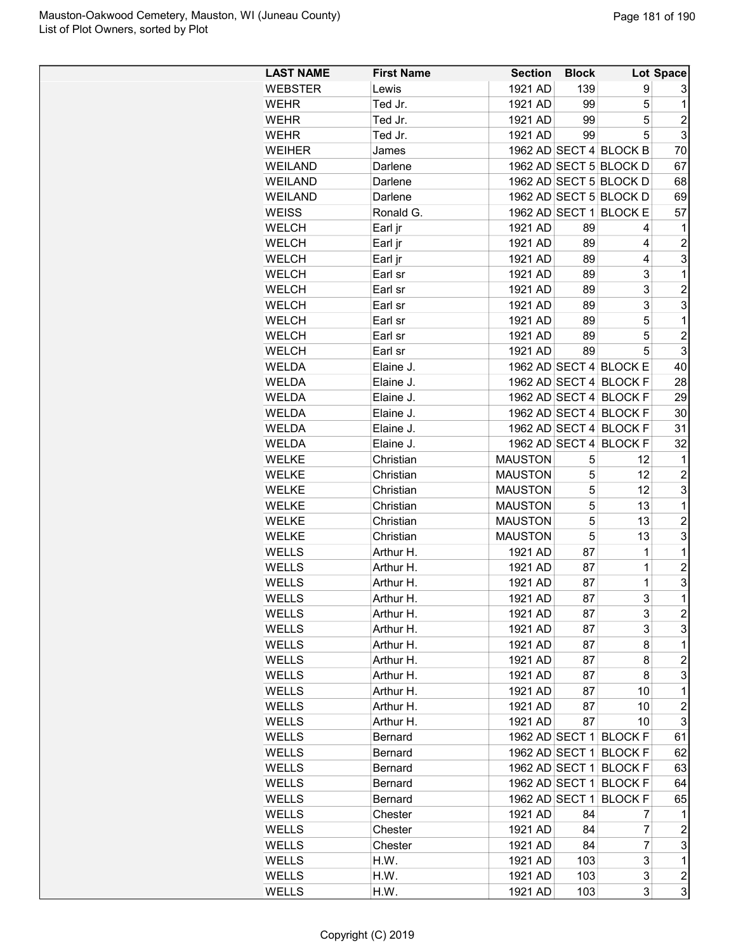| <b>LAST NAME</b>      | <b>First Name</b>      | <b>Section</b> | <b>Block</b> |                                                  | Lot Space        |
|-----------------------|------------------------|----------------|--------------|--------------------------------------------------|------------------|
| <b>WEBSTER</b>        | Lewis                  | 1921 AD        | 139          | 9                                                | 3                |
| <b>WEHR</b>           | Ted Jr.                | 1921 AD        | 99           | 5                                                | 1                |
| <b>WEHR</b>           | Ted Jr.                | 1921 AD        | 99           | 5                                                | $\overline{2}$   |
| WEHR                  | Ted Jr.                | 1921 AD        | 99           | 5                                                | 3                |
| <b>WEIHER</b>         | James                  |                |              | 1962 AD SECT 4 BLOCK B                           | 70               |
| <b>WEILAND</b>        | Darlene                |                |              | 1962 AD SECT 5 BLOCK D                           | 67               |
| <b>WEILAND</b>        | Darlene                |                |              | 1962 AD SECT 5 BLOCK D                           | 68               |
| <b>WEILAND</b>        | Darlene                |                |              | 1962 AD SECT 5 BLOCK D                           | 69               |
| <b>WEISS</b>          | Ronald G.              |                |              | 1962 AD SECT 1 BLOCK E                           | 57               |
| <b>WELCH</b>          | Earl jr                | 1921 AD        | 89           | 4                                                | 1                |
| <b>WELCH</b>          | Earl jr                | 1921 AD        | 89           | 4                                                | $\overline{c}$   |
| <b>WELCH</b>          | Earl jr                | 1921 AD        | 89           | 4                                                | 3                |
| <b>WELCH</b>          | Earl sr                | 1921 AD        | 89           | 3                                                | 1                |
| <b>WELCH</b>          | Earl sr                | 1921 AD        | 89           | 3                                                | $\overline{2}$   |
| <b>WELCH</b>          | Earl sr                | 1921 AD        | 89           | 3                                                | 3                |
| <b>WELCH</b>          | Earl sr                | 1921 AD        | 89           | 5                                                | $\mathbf 1$      |
| <b>WELCH</b>          | Earl sr                | 1921 AD        | 89           | 5                                                | $\overline{c}$   |
| <b>WELCH</b>          | Earl sr                | 1921 AD        | 89           | 5                                                | 3                |
| <b>WELDA</b>          | Elaine J.              |                |              | 1962 AD SECT 4 BLOCK E                           | 40               |
| WELDA                 | Elaine J.              |                |              | 1962 AD SECT 4 BLOCK F                           | 28               |
| <b>WELDA</b>          | Elaine J.              |                |              | 1962 AD SECT 4 BLOCK F                           | 29               |
| <b>WELDA</b>          | Elaine J.              |                |              | 1962 AD SECT 4 BLOCK F                           | 30               |
| <b>WELDA</b>          | Elaine J.              |                |              | 1962 AD SECT 4 BLOCK F                           | 31               |
| <b>WELDA</b>          | Elaine J.              | 1962 AD SECT 4 |              | <b>BLOCK F</b>                                   | 32               |
| <b>WELKE</b>          | Christian              | <b>MAUSTON</b> | 5            | 12                                               | 1                |
| <b>WELKE</b>          | Christian              | <b>MAUSTON</b> | 5            | 12                                               | $\overline{c}$   |
| <b>WELKE</b>          | Christian              | <b>MAUSTON</b> | 5            | 12                                               | 3                |
| <b>WELKE</b>          | Christian              | <b>MAUSTON</b> | 5            | 13                                               | 1                |
| <b>WELKE</b>          | Christian              | <b>MAUSTON</b> | 5            | 13                                               | $\overline{c}$   |
| <b>WELKE</b>          | Christian              | <b>MAUSTON</b> | 5            | 13                                               | 3                |
| <b>WELLS</b>          | Arthur H.              | 1921 AD        | 87           | $\mathbf 1$                                      | 1                |
| <b>WELLS</b>          | Arthur H.              | 1921 AD        | 87           | $\mathbf 1$                                      | $\overline{2}$   |
| <b>WELLS</b>          | Arthur H.              | 1921 AD        | 87           | 1                                                | 3                |
| <b>WELLS</b>          | Arthur H.              | 1921 AD        | 87           | 3                                                | $\mathbf{1}$     |
| <b>WELLS</b>          | Arthur H.              | 1921 AD        | 87           | 3                                                | $\overline{c}$   |
| WELLS                 | Arthur H.              | 1921 AD        | 87           | 3                                                | 3                |
| WELLS                 | Arthur H.              | 1921 AD        | 87           | 8                                                | 1                |
| WELLS                 | Arthur H.              | 1921 AD        | 87           | 8                                                | $\overline{c}$   |
|                       |                        | 1921 AD        |              |                                                  | 3                |
| WELLS<br><b>WELLS</b> | Arthur H.<br>Arthur H. | 1921 AD        | 87<br>87     | 8<br>10                                          | 1                |
| <b>WELLS</b>          | Arthur H.              | 1921 AD        | 87           | 10                                               | $\overline{c}$   |
| <b>WELLS</b>          | Arthur H.              | 1921 AD        | 87           | 10                                               | 3                |
| <b>WELLS</b>          |                        |                |              | 1962 AD SECT 1 BLOCK F                           | 61               |
|                       | Bernard                |                |              | 1962 AD SECT 1 BLOCK F                           | 62               |
| <b>WELLS</b><br>WELLS | Bernard                |                |              | 1962 AD SECT 1 BLOCK F                           | 63               |
|                       | Bernard                |                |              |                                                  |                  |
| <b>WELLS</b>          | Bernard                |                |              | 1962 AD SECT 1 BLOCK F<br>1962 AD SECT 1 BLOCK F | 64               |
| <b>WELLS</b>          | Bernard                |                |              |                                                  | 65               |
| <b>WELLS</b>          | Chester                | 1921 AD        | 84           | 7                                                | $\mathbf 1$      |
| <b>WELLS</b>          | Chester                | 1921 AD        | 84           | 7                                                | $\overline{c}$   |
| WELLS                 | Chester                | 1921 AD        | 84           | 7                                                | 3                |
| WELLS                 | H.W.                   | 1921 AD        | 103          | 3                                                | 1                |
| WELLS                 | H.W.                   | 1921 AD        | 103          | 3                                                | $\boldsymbol{2}$ |
| <b>WELLS</b>          | H.W.                   | 1921 AD        | 103          | 3                                                | 3                |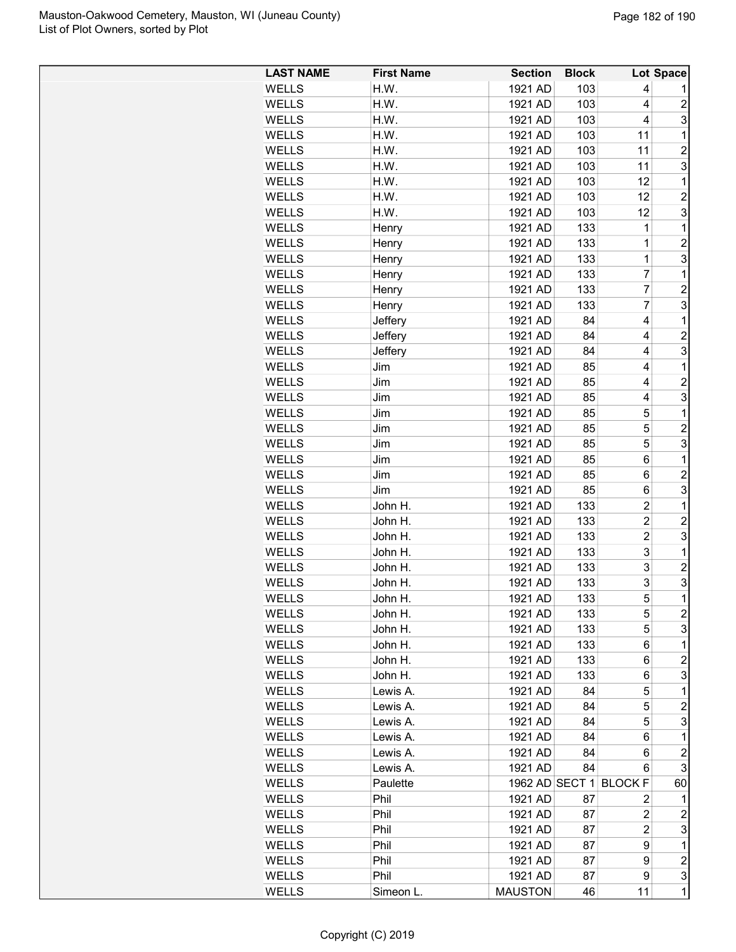| 1921 AD<br><b>WELLS</b><br>H.W.<br>103<br>4<br>$\overline{c}$<br><b>WELLS</b><br>H.W.<br>1921 AD<br>103<br>4<br>103<br>3<br><b>WELLS</b><br>H.W.<br>1921 AD<br>4<br>WELLS<br>H.W.<br>103<br>11<br>$\mathbf 1$<br>1921 AD<br>11<br>$\overline{2}$<br>WELLS<br>H.W.<br>1921 AD<br>103<br>3<br><b>WELLS</b><br>H.W.<br>1921 AD<br>103<br>11<br><b>WELLS</b><br>H.W.<br>1921 AD<br>103<br>12<br>$\mathbf{1}$<br>$\overline{\mathbf{c}}$<br><b>WELLS</b><br>H.W.<br>1921 AD<br>103<br>12<br>3<br><b>WELLS</b><br>H.W.<br>1921 AD<br>103<br>12<br>$\mathbf{1}$<br><b>WELLS</b><br>1921 AD<br>133<br>1<br>Henry<br>$\overline{c}$<br><b>WELLS</b><br>1921 AD<br>133<br>1<br>Henry<br>3<br>WELLS<br>1921 AD<br>133<br>1<br>Henry<br><b>WELLS</b><br>1921 AD<br>133<br>7<br>$\mathbf{1}$<br>Henry<br><b>WELLS</b><br>Henry<br>1921 AD<br>133<br>7<br>$\overline{c}$<br>3<br>$\overline{7}$<br><b>WELLS</b><br>Henry<br>1921 AD<br>133<br>Jeffery<br>1921 AD<br>4<br>1<br>WELLS<br>84<br>$\overline{\mathbf{c}}$<br><b>WELLS</b><br>Jeffery<br>1921 AD<br>84<br>4<br>3<br><b>WELLS</b><br>Jeffery<br>1921 AD<br>84<br>4<br>$\mathbf{1}$<br>WELLS<br>Jim<br>1921 AD<br>85<br>4<br>$\overline{c}$<br><b>WELLS</b><br>1921 AD<br>Jim<br>85<br>4<br>3<br><b>WELLS</b><br>1921 AD<br>85<br>Jim<br>4<br>5<br>$\mathbf{1}$<br><b>WELLS</b><br>Jim<br>1921 AD<br>85<br>5<br>$\overline{c}$<br><b>WELLS</b><br>1921 AD<br>85<br>Jim<br>3<br>5<br><b>WELLS</b><br>Jim<br>1921 AD<br>85<br>$\mathbf{1}$<br>Jim<br>1921 AD<br>85<br>6<br><b>WELLS</b><br>Jim<br>1921 AD<br>85<br>6<br>$\overline{c}$<br>WELLS<br>3<br><b>WELLS</b><br>1921 AD<br>85<br>Jim<br>6<br><b>WELLS</b><br>John H.<br>1921 AD<br>$\overline{2}$<br>$\mathbf{1}$<br>133<br>$\overline{c}$<br><b>WELLS</b><br>John H.<br>1921 AD<br>133<br>$\overline{c}$<br>3<br>$\overline{2}$<br><b>WELLS</b><br>1921 AD<br>133<br>John H.<br>3<br><b>WELLS</b><br>1921 AD<br>133<br>1<br>John H.<br>3<br>$\overline{\mathbf{c}}$<br><b>WELLS</b><br>John H.<br>1921 AD<br>133<br>3<br>3<br><b>WELLS</b><br>John H.<br>1921 AD<br>133<br>5<br>$\overline{1}$<br><b>WELLS</b><br>1921 AD<br>133<br>John H.<br>2<br>WELLS<br>John H.<br>1921 AD<br>133<br>5<br><b>WELLS</b><br>John H.<br>1921 AD<br>5<br>3<br>133<br>1<br><b>WELLS</b><br>John H.<br>1921 AD<br>133<br>6<br>2<br>WELLS<br>John H.<br>1921 AD<br>133<br>6<br>3<br>WELLS<br>John H.<br>1921 AD<br>133<br>6<br>5<br>1<br>WELLS<br>Lewis A.<br>1921 AD<br>84<br>5<br>WELLS<br>1921 AD<br>2<br>Lewis A.<br>84<br>3<br>1921 AD<br>5<br>WELLS<br>84<br>Lewis A.<br>$\mathbf{1}$<br>WELLS<br>Lewis A.<br>1921 AD<br>84<br>6<br>$\overline{c}$<br>1921 AD<br>WELLS<br>84<br>6<br>Lewis A.<br>1921 AD<br>3<br><b>WELLS</b><br>Lewis A.<br>84<br>6<br>1962 AD SECT 1 BLOCK F<br><b>WELLS</b><br>Paulette<br>60<br>WELLS<br>Phil<br>1921 AD<br>87<br>2<br>1<br>WELLS<br>Phil<br>1921 AD<br>87<br>2<br>2<br>WELLS<br>1921 AD<br>3<br>Phil<br>87<br>2<br>WELLS<br>Phil<br>1921 AD<br>87<br>9<br>1<br>Phil<br>1921 AD<br>$\overline{\mathbf{c}}$<br>WELLS<br>87<br>9<br>Phil<br>9<br>3<br><b>WELLS</b><br>1921 AD<br>87<br>$\mathbf{1}$<br><b>WELLS</b><br><b>MAUSTON</b><br>Simeon L.<br>46<br>11 | <b>LAST NAME</b> | <b>First Name</b> | <b>Section</b> | <b>Block</b> | <b>Lot Space</b> |
|---------------------------------------------------------------------------------------------------------------------------------------------------------------------------------------------------------------------------------------------------------------------------------------------------------------------------------------------------------------------------------------------------------------------------------------------------------------------------------------------------------------------------------------------------------------------------------------------------------------------------------------------------------------------------------------------------------------------------------------------------------------------------------------------------------------------------------------------------------------------------------------------------------------------------------------------------------------------------------------------------------------------------------------------------------------------------------------------------------------------------------------------------------------------------------------------------------------------------------------------------------------------------------------------------------------------------------------------------------------------------------------------------------------------------------------------------------------------------------------------------------------------------------------------------------------------------------------------------------------------------------------------------------------------------------------------------------------------------------------------------------------------------------------------------------------------------------------------------------------------------------------------------------------------------------------------------------------------------------------------------------------------------------------------------------------------------------------------------------------------------------------------------------------------------------------------------------------------------------------------------------------------------------------------------------------------------------------------------------------------------------------------------------------------------------------------------------------------------------------------------------------------------------------------------------------------------------------------------------------------------------------------------------------------------------------------------------------------------------------------------------------------------------------------------------------------------------------------------------------------------------------------------------------------------------------------------------------------------------------------------------------------------------------------------------------------------------------------------------------------------------------------------------------------------------------|------------------|-------------------|----------------|--------------|------------------|
|                                                                                                                                                                                                                                                                                                                                                                                                                                                                                                                                                                                                                                                                                                                                                                                                                                                                                                                                                                                                                                                                                                                                                                                                                                                                                                                                                                                                                                                                                                                                                                                                                                                                                                                                                                                                                                                                                                                                                                                                                                                                                                                                                                                                                                                                                                                                                                                                                                                                                                                                                                                                                                                                                                                                                                                                                                                                                                                                                                                                                                                                                                                                                                                       |                  |                   |                |              |                  |
|                                                                                                                                                                                                                                                                                                                                                                                                                                                                                                                                                                                                                                                                                                                                                                                                                                                                                                                                                                                                                                                                                                                                                                                                                                                                                                                                                                                                                                                                                                                                                                                                                                                                                                                                                                                                                                                                                                                                                                                                                                                                                                                                                                                                                                                                                                                                                                                                                                                                                                                                                                                                                                                                                                                                                                                                                                                                                                                                                                                                                                                                                                                                                                                       |                  |                   |                |              |                  |
|                                                                                                                                                                                                                                                                                                                                                                                                                                                                                                                                                                                                                                                                                                                                                                                                                                                                                                                                                                                                                                                                                                                                                                                                                                                                                                                                                                                                                                                                                                                                                                                                                                                                                                                                                                                                                                                                                                                                                                                                                                                                                                                                                                                                                                                                                                                                                                                                                                                                                                                                                                                                                                                                                                                                                                                                                                                                                                                                                                                                                                                                                                                                                                                       |                  |                   |                |              |                  |
|                                                                                                                                                                                                                                                                                                                                                                                                                                                                                                                                                                                                                                                                                                                                                                                                                                                                                                                                                                                                                                                                                                                                                                                                                                                                                                                                                                                                                                                                                                                                                                                                                                                                                                                                                                                                                                                                                                                                                                                                                                                                                                                                                                                                                                                                                                                                                                                                                                                                                                                                                                                                                                                                                                                                                                                                                                                                                                                                                                                                                                                                                                                                                                                       |                  |                   |                |              |                  |
|                                                                                                                                                                                                                                                                                                                                                                                                                                                                                                                                                                                                                                                                                                                                                                                                                                                                                                                                                                                                                                                                                                                                                                                                                                                                                                                                                                                                                                                                                                                                                                                                                                                                                                                                                                                                                                                                                                                                                                                                                                                                                                                                                                                                                                                                                                                                                                                                                                                                                                                                                                                                                                                                                                                                                                                                                                                                                                                                                                                                                                                                                                                                                                                       |                  |                   |                |              |                  |
|                                                                                                                                                                                                                                                                                                                                                                                                                                                                                                                                                                                                                                                                                                                                                                                                                                                                                                                                                                                                                                                                                                                                                                                                                                                                                                                                                                                                                                                                                                                                                                                                                                                                                                                                                                                                                                                                                                                                                                                                                                                                                                                                                                                                                                                                                                                                                                                                                                                                                                                                                                                                                                                                                                                                                                                                                                                                                                                                                                                                                                                                                                                                                                                       |                  |                   |                |              |                  |
|                                                                                                                                                                                                                                                                                                                                                                                                                                                                                                                                                                                                                                                                                                                                                                                                                                                                                                                                                                                                                                                                                                                                                                                                                                                                                                                                                                                                                                                                                                                                                                                                                                                                                                                                                                                                                                                                                                                                                                                                                                                                                                                                                                                                                                                                                                                                                                                                                                                                                                                                                                                                                                                                                                                                                                                                                                                                                                                                                                                                                                                                                                                                                                                       |                  |                   |                |              |                  |
|                                                                                                                                                                                                                                                                                                                                                                                                                                                                                                                                                                                                                                                                                                                                                                                                                                                                                                                                                                                                                                                                                                                                                                                                                                                                                                                                                                                                                                                                                                                                                                                                                                                                                                                                                                                                                                                                                                                                                                                                                                                                                                                                                                                                                                                                                                                                                                                                                                                                                                                                                                                                                                                                                                                                                                                                                                                                                                                                                                                                                                                                                                                                                                                       |                  |                   |                |              |                  |
|                                                                                                                                                                                                                                                                                                                                                                                                                                                                                                                                                                                                                                                                                                                                                                                                                                                                                                                                                                                                                                                                                                                                                                                                                                                                                                                                                                                                                                                                                                                                                                                                                                                                                                                                                                                                                                                                                                                                                                                                                                                                                                                                                                                                                                                                                                                                                                                                                                                                                                                                                                                                                                                                                                                                                                                                                                                                                                                                                                                                                                                                                                                                                                                       |                  |                   |                |              |                  |
|                                                                                                                                                                                                                                                                                                                                                                                                                                                                                                                                                                                                                                                                                                                                                                                                                                                                                                                                                                                                                                                                                                                                                                                                                                                                                                                                                                                                                                                                                                                                                                                                                                                                                                                                                                                                                                                                                                                                                                                                                                                                                                                                                                                                                                                                                                                                                                                                                                                                                                                                                                                                                                                                                                                                                                                                                                                                                                                                                                                                                                                                                                                                                                                       |                  |                   |                |              |                  |
|                                                                                                                                                                                                                                                                                                                                                                                                                                                                                                                                                                                                                                                                                                                                                                                                                                                                                                                                                                                                                                                                                                                                                                                                                                                                                                                                                                                                                                                                                                                                                                                                                                                                                                                                                                                                                                                                                                                                                                                                                                                                                                                                                                                                                                                                                                                                                                                                                                                                                                                                                                                                                                                                                                                                                                                                                                                                                                                                                                                                                                                                                                                                                                                       |                  |                   |                |              |                  |
|                                                                                                                                                                                                                                                                                                                                                                                                                                                                                                                                                                                                                                                                                                                                                                                                                                                                                                                                                                                                                                                                                                                                                                                                                                                                                                                                                                                                                                                                                                                                                                                                                                                                                                                                                                                                                                                                                                                                                                                                                                                                                                                                                                                                                                                                                                                                                                                                                                                                                                                                                                                                                                                                                                                                                                                                                                                                                                                                                                                                                                                                                                                                                                                       |                  |                   |                |              |                  |
|                                                                                                                                                                                                                                                                                                                                                                                                                                                                                                                                                                                                                                                                                                                                                                                                                                                                                                                                                                                                                                                                                                                                                                                                                                                                                                                                                                                                                                                                                                                                                                                                                                                                                                                                                                                                                                                                                                                                                                                                                                                                                                                                                                                                                                                                                                                                                                                                                                                                                                                                                                                                                                                                                                                                                                                                                                                                                                                                                                                                                                                                                                                                                                                       |                  |                   |                |              |                  |
|                                                                                                                                                                                                                                                                                                                                                                                                                                                                                                                                                                                                                                                                                                                                                                                                                                                                                                                                                                                                                                                                                                                                                                                                                                                                                                                                                                                                                                                                                                                                                                                                                                                                                                                                                                                                                                                                                                                                                                                                                                                                                                                                                                                                                                                                                                                                                                                                                                                                                                                                                                                                                                                                                                                                                                                                                                                                                                                                                                                                                                                                                                                                                                                       |                  |                   |                |              |                  |
|                                                                                                                                                                                                                                                                                                                                                                                                                                                                                                                                                                                                                                                                                                                                                                                                                                                                                                                                                                                                                                                                                                                                                                                                                                                                                                                                                                                                                                                                                                                                                                                                                                                                                                                                                                                                                                                                                                                                                                                                                                                                                                                                                                                                                                                                                                                                                                                                                                                                                                                                                                                                                                                                                                                                                                                                                                                                                                                                                                                                                                                                                                                                                                                       |                  |                   |                |              |                  |
|                                                                                                                                                                                                                                                                                                                                                                                                                                                                                                                                                                                                                                                                                                                                                                                                                                                                                                                                                                                                                                                                                                                                                                                                                                                                                                                                                                                                                                                                                                                                                                                                                                                                                                                                                                                                                                                                                                                                                                                                                                                                                                                                                                                                                                                                                                                                                                                                                                                                                                                                                                                                                                                                                                                                                                                                                                                                                                                                                                                                                                                                                                                                                                                       |                  |                   |                |              |                  |
|                                                                                                                                                                                                                                                                                                                                                                                                                                                                                                                                                                                                                                                                                                                                                                                                                                                                                                                                                                                                                                                                                                                                                                                                                                                                                                                                                                                                                                                                                                                                                                                                                                                                                                                                                                                                                                                                                                                                                                                                                                                                                                                                                                                                                                                                                                                                                                                                                                                                                                                                                                                                                                                                                                                                                                                                                                                                                                                                                                                                                                                                                                                                                                                       |                  |                   |                |              |                  |
|                                                                                                                                                                                                                                                                                                                                                                                                                                                                                                                                                                                                                                                                                                                                                                                                                                                                                                                                                                                                                                                                                                                                                                                                                                                                                                                                                                                                                                                                                                                                                                                                                                                                                                                                                                                                                                                                                                                                                                                                                                                                                                                                                                                                                                                                                                                                                                                                                                                                                                                                                                                                                                                                                                                                                                                                                                                                                                                                                                                                                                                                                                                                                                                       |                  |                   |                |              |                  |
|                                                                                                                                                                                                                                                                                                                                                                                                                                                                                                                                                                                                                                                                                                                                                                                                                                                                                                                                                                                                                                                                                                                                                                                                                                                                                                                                                                                                                                                                                                                                                                                                                                                                                                                                                                                                                                                                                                                                                                                                                                                                                                                                                                                                                                                                                                                                                                                                                                                                                                                                                                                                                                                                                                                                                                                                                                                                                                                                                                                                                                                                                                                                                                                       |                  |                   |                |              |                  |
|                                                                                                                                                                                                                                                                                                                                                                                                                                                                                                                                                                                                                                                                                                                                                                                                                                                                                                                                                                                                                                                                                                                                                                                                                                                                                                                                                                                                                                                                                                                                                                                                                                                                                                                                                                                                                                                                                                                                                                                                                                                                                                                                                                                                                                                                                                                                                                                                                                                                                                                                                                                                                                                                                                                                                                                                                                                                                                                                                                                                                                                                                                                                                                                       |                  |                   |                |              |                  |
|                                                                                                                                                                                                                                                                                                                                                                                                                                                                                                                                                                                                                                                                                                                                                                                                                                                                                                                                                                                                                                                                                                                                                                                                                                                                                                                                                                                                                                                                                                                                                                                                                                                                                                                                                                                                                                                                                                                                                                                                                                                                                                                                                                                                                                                                                                                                                                                                                                                                                                                                                                                                                                                                                                                                                                                                                                                                                                                                                                                                                                                                                                                                                                                       |                  |                   |                |              |                  |
|                                                                                                                                                                                                                                                                                                                                                                                                                                                                                                                                                                                                                                                                                                                                                                                                                                                                                                                                                                                                                                                                                                                                                                                                                                                                                                                                                                                                                                                                                                                                                                                                                                                                                                                                                                                                                                                                                                                                                                                                                                                                                                                                                                                                                                                                                                                                                                                                                                                                                                                                                                                                                                                                                                                                                                                                                                                                                                                                                                                                                                                                                                                                                                                       |                  |                   |                |              |                  |
|                                                                                                                                                                                                                                                                                                                                                                                                                                                                                                                                                                                                                                                                                                                                                                                                                                                                                                                                                                                                                                                                                                                                                                                                                                                                                                                                                                                                                                                                                                                                                                                                                                                                                                                                                                                                                                                                                                                                                                                                                                                                                                                                                                                                                                                                                                                                                                                                                                                                                                                                                                                                                                                                                                                                                                                                                                                                                                                                                                                                                                                                                                                                                                                       |                  |                   |                |              |                  |
|                                                                                                                                                                                                                                                                                                                                                                                                                                                                                                                                                                                                                                                                                                                                                                                                                                                                                                                                                                                                                                                                                                                                                                                                                                                                                                                                                                                                                                                                                                                                                                                                                                                                                                                                                                                                                                                                                                                                                                                                                                                                                                                                                                                                                                                                                                                                                                                                                                                                                                                                                                                                                                                                                                                                                                                                                                                                                                                                                                                                                                                                                                                                                                                       |                  |                   |                |              |                  |
|                                                                                                                                                                                                                                                                                                                                                                                                                                                                                                                                                                                                                                                                                                                                                                                                                                                                                                                                                                                                                                                                                                                                                                                                                                                                                                                                                                                                                                                                                                                                                                                                                                                                                                                                                                                                                                                                                                                                                                                                                                                                                                                                                                                                                                                                                                                                                                                                                                                                                                                                                                                                                                                                                                                                                                                                                                                                                                                                                                                                                                                                                                                                                                                       |                  |                   |                |              |                  |
|                                                                                                                                                                                                                                                                                                                                                                                                                                                                                                                                                                                                                                                                                                                                                                                                                                                                                                                                                                                                                                                                                                                                                                                                                                                                                                                                                                                                                                                                                                                                                                                                                                                                                                                                                                                                                                                                                                                                                                                                                                                                                                                                                                                                                                                                                                                                                                                                                                                                                                                                                                                                                                                                                                                                                                                                                                                                                                                                                                                                                                                                                                                                                                                       |                  |                   |                |              |                  |
|                                                                                                                                                                                                                                                                                                                                                                                                                                                                                                                                                                                                                                                                                                                                                                                                                                                                                                                                                                                                                                                                                                                                                                                                                                                                                                                                                                                                                                                                                                                                                                                                                                                                                                                                                                                                                                                                                                                                                                                                                                                                                                                                                                                                                                                                                                                                                                                                                                                                                                                                                                                                                                                                                                                                                                                                                                                                                                                                                                                                                                                                                                                                                                                       |                  |                   |                |              |                  |
|                                                                                                                                                                                                                                                                                                                                                                                                                                                                                                                                                                                                                                                                                                                                                                                                                                                                                                                                                                                                                                                                                                                                                                                                                                                                                                                                                                                                                                                                                                                                                                                                                                                                                                                                                                                                                                                                                                                                                                                                                                                                                                                                                                                                                                                                                                                                                                                                                                                                                                                                                                                                                                                                                                                                                                                                                                                                                                                                                                                                                                                                                                                                                                                       |                  |                   |                |              |                  |
|                                                                                                                                                                                                                                                                                                                                                                                                                                                                                                                                                                                                                                                                                                                                                                                                                                                                                                                                                                                                                                                                                                                                                                                                                                                                                                                                                                                                                                                                                                                                                                                                                                                                                                                                                                                                                                                                                                                                                                                                                                                                                                                                                                                                                                                                                                                                                                                                                                                                                                                                                                                                                                                                                                                                                                                                                                                                                                                                                                                                                                                                                                                                                                                       |                  |                   |                |              |                  |
|                                                                                                                                                                                                                                                                                                                                                                                                                                                                                                                                                                                                                                                                                                                                                                                                                                                                                                                                                                                                                                                                                                                                                                                                                                                                                                                                                                                                                                                                                                                                                                                                                                                                                                                                                                                                                                                                                                                                                                                                                                                                                                                                                                                                                                                                                                                                                                                                                                                                                                                                                                                                                                                                                                                                                                                                                                                                                                                                                                                                                                                                                                                                                                                       |                  |                   |                |              |                  |
|                                                                                                                                                                                                                                                                                                                                                                                                                                                                                                                                                                                                                                                                                                                                                                                                                                                                                                                                                                                                                                                                                                                                                                                                                                                                                                                                                                                                                                                                                                                                                                                                                                                                                                                                                                                                                                                                                                                                                                                                                                                                                                                                                                                                                                                                                                                                                                                                                                                                                                                                                                                                                                                                                                                                                                                                                                                                                                                                                                                                                                                                                                                                                                                       |                  |                   |                |              |                  |
|                                                                                                                                                                                                                                                                                                                                                                                                                                                                                                                                                                                                                                                                                                                                                                                                                                                                                                                                                                                                                                                                                                                                                                                                                                                                                                                                                                                                                                                                                                                                                                                                                                                                                                                                                                                                                                                                                                                                                                                                                                                                                                                                                                                                                                                                                                                                                                                                                                                                                                                                                                                                                                                                                                                                                                                                                                                                                                                                                                                                                                                                                                                                                                                       |                  |                   |                |              |                  |
|                                                                                                                                                                                                                                                                                                                                                                                                                                                                                                                                                                                                                                                                                                                                                                                                                                                                                                                                                                                                                                                                                                                                                                                                                                                                                                                                                                                                                                                                                                                                                                                                                                                                                                                                                                                                                                                                                                                                                                                                                                                                                                                                                                                                                                                                                                                                                                                                                                                                                                                                                                                                                                                                                                                                                                                                                                                                                                                                                                                                                                                                                                                                                                                       |                  |                   |                |              |                  |
|                                                                                                                                                                                                                                                                                                                                                                                                                                                                                                                                                                                                                                                                                                                                                                                                                                                                                                                                                                                                                                                                                                                                                                                                                                                                                                                                                                                                                                                                                                                                                                                                                                                                                                                                                                                                                                                                                                                                                                                                                                                                                                                                                                                                                                                                                                                                                                                                                                                                                                                                                                                                                                                                                                                                                                                                                                                                                                                                                                                                                                                                                                                                                                                       |                  |                   |                |              |                  |
|                                                                                                                                                                                                                                                                                                                                                                                                                                                                                                                                                                                                                                                                                                                                                                                                                                                                                                                                                                                                                                                                                                                                                                                                                                                                                                                                                                                                                                                                                                                                                                                                                                                                                                                                                                                                                                                                                                                                                                                                                                                                                                                                                                                                                                                                                                                                                                                                                                                                                                                                                                                                                                                                                                                                                                                                                                                                                                                                                                                                                                                                                                                                                                                       |                  |                   |                |              |                  |
|                                                                                                                                                                                                                                                                                                                                                                                                                                                                                                                                                                                                                                                                                                                                                                                                                                                                                                                                                                                                                                                                                                                                                                                                                                                                                                                                                                                                                                                                                                                                                                                                                                                                                                                                                                                                                                                                                                                                                                                                                                                                                                                                                                                                                                                                                                                                                                                                                                                                                                                                                                                                                                                                                                                                                                                                                                                                                                                                                                                                                                                                                                                                                                                       |                  |                   |                |              |                  |
|                                                                                                                                                                                                                                                                                                                                                                                                                                                                                                                                                                                                                                                                                                                                                                                                                                                                                                                                                                                                                                                                                                                                                                                                                                                                                                                                                                                                                                                                                                                                                                                                                                                                                                                                                                                                                                                                                                                                                                                                                                                                                                                                                                                                                                                                                                                                                                                                                                                                                                                                                                                                                                                                                                                                                                                                                                                                                                                                                                                                                                                                                                                                                                                       |                  |                   |                |              |                  |
|                                                                                                                                                                                                                                                                                                                                                                                                                                                                                                                                                                                                                                                                                                                                                                                                                                                                                                                                                                                                                                                                                                                                                                                                                                                                                                                                                                                                                                                                                                                                                                                                                                                                                                                                                                                                                                                                                                                                                                                                                                                                                                                                                                                                                                                                                                                                                                                                                                                                                                                                                                                                                                                                                                                                                                                                                                                                                                                                                                                                                                                                                                                                                                                       |                  |                   |                |              |                  |
|                                                                                                                                                                                                                                                                                                                                                                                                                                                                                                                                                                                                                                                                                                                                                                                                                                                                                                                                                                                                                                                                                                                                                                                                                                                                                                                                                                                                                                                                                                                                                                                                                                                                                                                                                                                                                                                                                                                                                                                                                                                                                                                                                                                                                                                                                                                                                                                                                                                                                                                                                                                                                                                                                                                                                                                                                                                                                                                                                                                                                                                                                                                                                                                       |                  |                   |                |              |                  |
|                                                                                                                                                                                                                                                                                                                                                                                                                                                                                                                                                                                                                                                                                                                                                                                                                                                                                                                                                                                                                                                                                                                                                                                                                                                                                                                                                                                                                                                                                                                                                                                                                                                                                                                                                                                                                                                                                                                                                                                                                                                                                                                                                                                                                                                                                                                                                                                                                                                                                                                                                                                                                                                                                                                                                                                                                                                                                                                                                                                                                                                                                                                                                                                       |                  |                   |                |              |                  |
|                                                                                                                                                                                                                                                                                                                                                                                                                                                                                                                                                                                                                                                                                                                                                                                                                                                                                                                                                                                                                                                                                                                                                                                                                                                                                                                                                                                                                                                                                                                                                                                                                                                                                                                                                                                                                                                                                                                                                                                                                                                                                                                                                                                                                                                                                                                                                                                                                                                                                                                                                                                                                                                                                                                                                                                                                                                                                                                                                                                                                                                                                                                                                                                       |                  |                   |                |              |                  |
|                                                                                                                                                                                                                                                                                                                                                                                                                                                                                                                                                                                                                                                                                                                                                                                                                                                                                                                                                                                                                                                                                                                                                                                                                                                                                                                                                                                                                                                                                                                                                                                                                                                                                                                                                                                                                                                                                                                                                                                                                                                                                                                                                                                                                                                                                                                                                                                                                                                                                                                                                                                                                                                                                                                                                                                                                                                                                                                                                                                                                                                                                                                                                                                       |                  |                   |                |              |                  |
|                                                                                                                                                                                                                                                                                                                                                                                                                                                                                                                                                                                                                                                                                                                                                                                                                                                                                                                                                                                                                                                                                                                                                                                                                                                                                                                                                                                                                                                                                                                                                                                                                                                                                                                                                                                                                                                                                                                                                                                                                                                                                                                                                                                                                                                                                                                                                                                                                                                                                                                                                                                                                                                                                                                                                                                                                                                                                                                                                                                                                                                                                                                                                                                       |                  |                   |                |              |                  |
|                                                                                                                                                                                                                                                                                                                                                                                                                                                                                                                                                                                                                                                                                                                                                                                                                                                                                                                                                                                                                                                                                                                                                                                                                                                                                                                                                                                                                                                                                                                                                                                                                                                                                                                                                                                                                                                                                                                                                                                                                                                                                                                                                                                                                                                                                                                                                                                                                                                                                                                                                                                                                                                                                                                                                                                                                                                                                                                                                                                                                                                                                                                                                                                       |                  |                   |                |              |                  |
|                                                                                                                                                                                                                                                                                                                                                                                                                                                                                                                                                                                                                                                                                                                                                                                                                                                                                                                                                                                                                                                                                                                                                                                                                                                                                                                                                                                                                                                                                                                                                                                                                                                                                                                                                                                                                                                                                                                                                                                                                                                                                                                                                                                                                                                                                                                                                                                                                                                                                                                                                                                                                                                                                                                                                                                                                                                                                                                                                                                                                                                                                                                                                                                       |                  |                   |                |              |                  |
|                                                                                                                                                                                                                                                                                                                                                                                                                                                                                                                                                                                                                                                                                                                                                                                                                                                                                                                                                                                                                                                                                                                                                                                                                                                                                                                                                                                                                                                                                                                                                                                                                                                                                                                                                                                                                                                                                                                                                                                                                                                                                                                                                                                                                                                                                                                                                                                                                                                                                                                                                                                                                                                                                                                                                                                                                                                                                                                                                                                                                                                                                                                                                                                       |                  |                   |                |              |                  |
|                                                                                                                                                                                                                                                                                                                                                                                                                                                                                                                                                                                                                                                                                                                                                                                                                                                                                                                                                                                                                                                                                                                                                                                                                                                                                                                                                                                                                                                                                                                                                                                                                                                                                                                                                                                                                                                                                                                                                                                                                                                                                                                                                                                                                                                                                                                                                                                                                                                                                                                                                                                                                                                                                                                                                                                                                                                                                                                                                                                                                                                                                                                                                                                       |                  |                   |                |              |                  |
|                                                                                                                                                                                                                                                                                                                                                                                                                                                                                                                                                                                                                                                                                                                                                                                                                                                                                                                                                                                                                                                                                                                                                                                                                                                                                                                                                                                                                                                                                                                                                                                                                                                                                                                                                                                                                                                                                                                                                                                                                                                                                                                                                                                                                                                                                                                                                                                                                                                                                                                                                                                                                                                                                                                                                                                                                                                                                                                                                                                                                                                                                                                                                                                       |                  |                   |                |              |                  |
|                                                                                                                                                                                                                                                                                                                                                                                                                                                                                                                                                                                                                                                                                                                                                                                                                                                                                                                                                                                                                                                                                                                                                                                                                                                                                                                                                                                                                                                                                                                                                                                                                                                                                                                                                                                                                                                                                                                                                                                                                                                                                                                                                                                                                                                                                                                                                                                                                                                                                                                                                                                                                                                                                                                                                                                                                                                                                                                                                                                                                                                                                                                                                                                       |                  |                   |                |              |                  |
|                                                                                                                                                                                                                                                                                                                                                                                                                                                                                                                                                                                                                                                                                                                                                                                                                                                                                                                                                                                                                                                                                                                                                                                                                                                                                                                                                                                                                                                                                                                                                                                                                                                                                                                                                                                                                                                                                                                                                                                                                                                                                                                                                                                                                                                                                                                                                                                                                                                                                                                                                                                                                                                                                                                                                                                                                                                                                                                                                                                                                                                                                                                                                                                       |                  |                   |                |              |                  |
|                                                                                                                                                                                                                                                                                                                                                                                                                                                                                                                                                                                                                                                                                                                                                                                                                                                                                                                                                                                                                                                                                                                                                                                                                                                                                                                                                                                                                                                                                                                                                                                                                                                                                                                                                                                                                                                                                                                                                                                                                                                                                                                                                                                                                                                                                                                                                                                                                                                                                                                                                                                                                                                                                                                                                                                                                                                                                                                                                                                                                                                                                                                                                                                       |                  |                   |                |              |                  |
|                                                                                                                                                                                                                                                                                                                                                                                                                                                                                                                                                                                                                                                                                                                                                                                                                                                                                                                                                                                                                                                                                                                                                                                                                                                                                                                                                                                                                                                                                                                                                                                                                                                                                                                                                                                                                                                                                                                                                                                                                                                                                                                                                                                                                                                                                                                                                                                                                                                                                                                                                                                                                                                                                                                                                                                                                                                                                                                                                                                                                                                                                                                                                                                       |                  |                   |                |              |                  |
|                                                                                                                                                                                                                                                                                                                                                                                                                                                                                                                                                                                                                                                                                                                                                                                                                                                                                                                                                                                                                                                                                                                                                                                                                                                                                                                                                                                                                                                                                                                                                                                                                                                                                                                                                                                                                                                                                                                                                                                                                                                                                                                                                                                                                                                                                                                                                                                                                                                                                                                                                                                                                                                                                                                                                                                                                                                                                                                                                                                                                                                                                                                                                                                       |                  |                   |                |              |                  |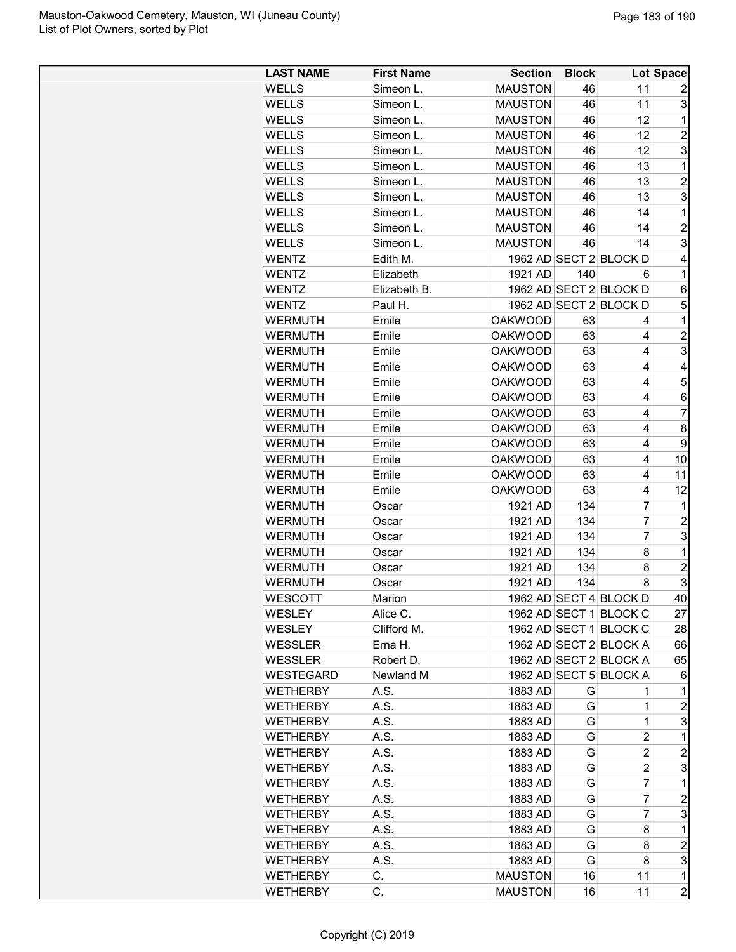| <b>LAST NAME</b> | <b>First Name</b> | <b>Section</b> | <b>Block</b> |                         | Lot Space               |
|------------------|-------------------|----------------|--------------|-------------------------|-------------------------|
| <b>WELLS</b>     | Simeon L.         | <b>MAUSTON</b> | 46           | 11                      | 2                       |
| <b>WELLS</b>     | Simeon L.         | <b>MAUSTON</b> | 46           | 11                      | 3                       |
| <b>WELLS</b>     | Simeon L.         | <b>MAUSTON</b> | 46           | 12                      | 1                       |
| <b>WELLS</b>     | Simeon L.         | <b>MAUSTON</b> | 46           | 12                      | $\overline{c}$          |
| <b>WELLS</b>     | Simeon L.         | <b>MAUSTON</b> | 46           | 12                      | 3                       |
| <b>WELLS</b>     | Simeon L.         | <b>MAUSTON</b> | 46           | 13                      | 1                       |
| <b>WELLS</b>     | Simeon L.         | <b>MAUSTON</b> | 46           | 13                      | $\overline{\mathbf{c}}$ |
| <b>WELLS</b>     | Simeon L.         | <b>MAUSTON</b> | 46           | 13                      | 3                       |
| <b>WELLS</b>     | Simeon L.         | <b>MAUSTON</b> | 46           | 14                      | 1                       |
| <b>WELLS</b>     | Simeon L.         | <b>MAUSTON</b> | 46           | 14                      | $\overline{c}$          |
| <b>WELLS</b>     | Simeon L.         | <b>MAUSTON</b> | 46           | 14                      | 3                       |
| <b>WENTZ</b>     | Edith M.          |                |              | 1962 AD SECT 2 BLOCK D  | 4                       |
| <b>WENTZ</b>     | Elizabeth         | 1921 AD        | 140          | 6                       | 1                       |
| <b>WENTZ</b>     | Elizabeth B.      |                |              | 1962 AD SECT 2 BLOCK D  | 6                       |
| <b>WENTZ</b>     | Paul H.           |                |              | 1962 AD SECT 2 BLOCK D  | 5                       |
| <b>WERMUTH</b>   | Emile             | <b>OAKWOOD</b> | 63           | 4                       | 1                       |
| <b>WERMUTH</b>   | Emile             | <b>OAKWOOD</b> | 63           | $\overline{4}$          | $\overline{\mathbf{c}}$ |
| <b>WERMUTH</b>   | Emile             | <b>OAKWOOD</b> | 63           | 4                       | 3                       |
| <b>WERMUTH</b>   | Emile             | <b>OAKWOOD</b> | 63           | 4                       | 4                       |
| <b>WERMUTH</b>   | Emile             | <b>OAKWOOD</b> | 63           | 4                       | 5                       |
| <b>WERMUTH</b>   | Emile             | <b>OAKWOOD</b> | 63           | 4                       | 6                       |
| <b>WERMUTH</b>   | Emile             | <b>OAKWOOD</b> | 63           | 4                       | $\overline{7}$          |
| <b>WERMUTH</b>   | Emile             | <b>OAKWOOD</b> | 63           | $\overline{4}$          | 8                       |
| <b>WERMUTH</b>   | Emile             | <b>OAKWOOD</b> | 63           | $\overline{\mathbf{4}}$ | 9                       |
| <b>WERMUTH</b>   | Emile             | <b>OAKWOOD</b> | 63           | 4                       | 10                      |
| <b>WERMUTH</b>   | Emile             | <b>OAKWOOD</b> | 63           | 4                       | 11                      |
| <b>WERMUTH</b>   | Emile             | <b>OAKWOOD</b> | 63           | 4                       | 12                      |
| <b>WERMUTH</b>   | Oscar             | 1921 AD        | 134          | 7                       | 1                       |
| <b>WERMUTH</b>   | Oscar             | 1921 AD        | 134          | $\overline{7}$          | $\overline{c}$          |
| <b>WERMUTH</b>   | Oscar             | 1921 AD        | 134          | $\overline{7}$          | 3                       |
| <b>WERMUTH</b>   | Oscar             | 1921 AD        | 134          | 8                       | $\mathbf{1}$            |
| <b>WERMUTH</b>   | Oscar             | 1921 AD        | 134          | 8                       | $\overline{\mathbf{c}}$ |
| <b>WERMUTH</b>   | Oscar             | 1921 AD        | 134          | 8                       | 3                       |
| WESCOTT          | Marion            |                |              | 1962 AD SECT 4 BLOCK D  | 40                      |
| WESLEY           | Alice C.          |                |              | 1962 AD SECT 1 BLOCK C  | 27                      |
| <b>WESLEY</b>    | Clifford M.       |                |              | 1962 AD SECT 1 BLOCK C  | 28                      |
| <b>WESSLER</b>   | Erna H.           |                |              | 1962 AD SECT 2 BLOCK A  | 66                      |
| <b>WESSLER</b>   | Robert D.         |                |              | 1962 AD SECT 2 BLOCK A  | 65                      |
| WESTEGARD        | Newland M         |                |              | 1962 AD SECT 5 BLOCK A  | 6                       |
| <b>WETHERBY</b>  | A.S.              | 1883 AD        | G            | 1                       | 1                       |
| <b>WETHERBY</b>  | A.S.              | 1883 AD        | G            | 1                       | 2                       |
| <b>WETHERBY</b>  | A.S.              | 1883 AD        | G            | 1                       | 3                       |
| <b>WETHERBY</b>  | A.S.              | 1883 AD        | G            | $\overline{c}$          | 1                       |
| <b>WETHERBY</b>  | A.S.              | 1883 AD        | G            | $\overline{c}$          | $\overline{c}$          |
| <b>WETHERBY</b>  | A.S.              |                | G            | $\overline{c}$          | 3                       |
| <b>WETHERBY</b>  | A.S.              | 1883 AD        | G            | 7                       | 1                       |
|                  |                   | 1883 AD        |              |                         | $\overline{c}$          |
| <b>WETHERBY</b>  | A.S.              | 1883 AD        | G            | 7                       |                         |
| <b>WETHERBY</b>  | A.S.              | 1883 AD        | G            | 7                       | 3                       |
| <b>WETHERBY</b>  | A.S.              | 1883 AD        | G            | 8                       | 1                       |
| <b>WETHERBY</b>  | A.S.              | 1883 AD        | G            | 8                       | 2<br>3                  |
| <b>WETHERBY</b>  | A.S.              | 1883 AD        | G            | 8                       |                         |
| <b>WETHERBY</b>  | С.                | <b>MAUSTON</b> | 16           | 11                      | 1                       |
| <b>WETHERBY</b>  | С.                | <b>MAUSTON</b> | 16           | 11                      | $\overline{2}$          |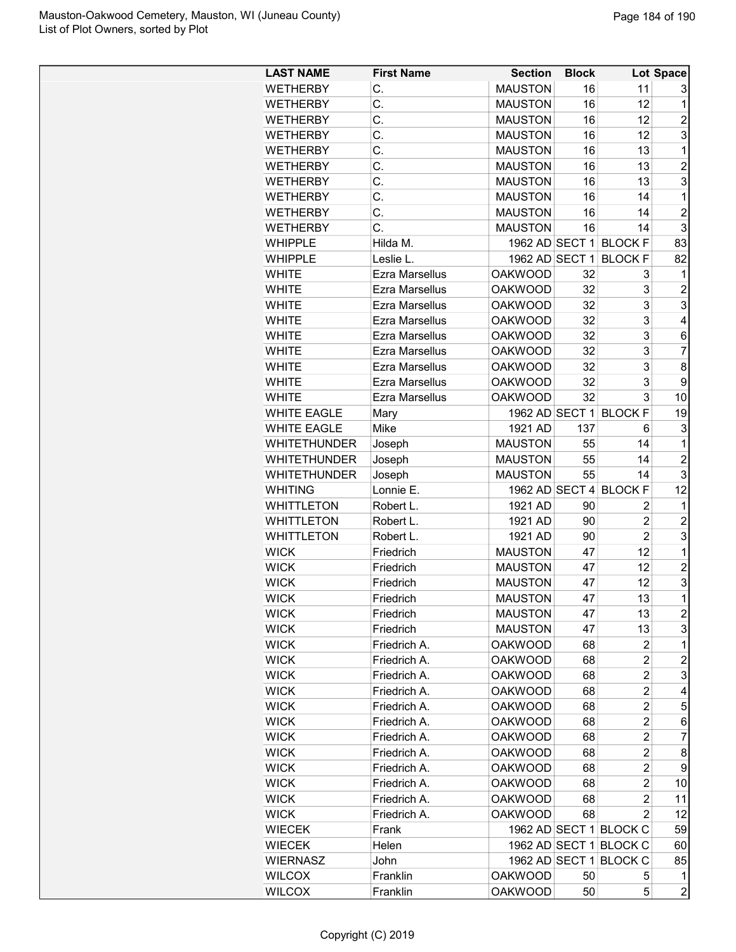| <b>LAST NAME</b>    | <b>First Name</b>     | <b>Section</b> | <b>Block</b> |                        | Lot Space               |
|---------------------|-----------------------|----------------|--------------|------------------------|-------------------------|
| <b>WETHERBY</b>     | C.                    | <b>MAUSTON</b> | 16           | 11                     | 3                       |
| <b>WETHERBY</b>     | C.                    | <b>MAUSTON</b> | 16           | 12                     | 1                       |
| <b>WETHERBY</b>     | C.                    | <b>MAUSTON</b> | 16           | 12                     | $\overline{2}$          |
| <b>WETHERBY</b>     | C.                    | <b>MAUSTON</b> | 16           | 12                     | 3                       |
| <b>WETHERBY</b>     | Ċ.                    | <b>MAUSTON</b> | 16           | 13                     | 1                       |
| <b>WETHERBY</b>     | C.                    | <b>MAUSTON</b> | 16           | 13                     | $\overline{2}$          |
| <b>WETHERBY</b>     | C.                    | <b>MAUSTON</b> | 16           | 13                     | 3                       |
| <b>WETHERBY</b>     | C.                    | <b>MAUSTON</b> | 16           | 14                     | 1                       |
|                     | C.                    | <b>MAUSTON</b> | 16           | 14                     | $\overline{2}$          |
| WETHERBY            |                       |                |              |                        |                         |
| <b>WETHERBY</b>     | C.                    | <b>MAUSTON</b> | 16           | 14                     | 3                       |
| <b>WHIPPLE</b>      | Hilda M.              | 1962 AD SECT 1 |              | <b>BLOCK F</b>         | 83                      |
| <b>WHIPPLE</b>      | Leslie L.             | 1962 AD SECT 1 |              | <b>BLOCK F</b>         | 82                      |
| <b>WHITE</b>        | Ezra Marsellus        | <b>OAKWOOD</b> | 32           | 3                      | 1                       |
| <b>WHITE</b>        | <b>Ezra Marsellus</b> | <b>OAKWOOD</b> | 32           | 3                      | $\overline{2}$          |
| <b>WHITE</b>        | <b>Ezra Marsellus</b> | <b>OAKWOOD</b> | 32           | 3                      | 3                       |
| <b>WHITE</b>        | Ezra Marsellus        | <b>OAKWOOD</b> | 32           | 3                      | 4                       |
| <b>WHITE</b>        | Ezra Marsellus        | <b>OAKWOOD</b> | 32           | 3                      | 6                       |
| <b>WHITE</b>        | <b>Ezra Marsellus</b> | <b>OAKWOOD</b> | 32           | 3                      | $\overline{7}$          |
| <b>WHITE</b>        | <b>Ezra Marsellus</b> | <b>OAKWOOD</b> | 32           | 3                      | 8                       |
| <b>WHITE</b>        | Ezra Marsellus        | <b>OAKWOOD</b> | 32           | 3                      | 9                       |
| <b>WHITE</b>        | <b>Ezra Marsellus</b> | <b>OAKWOOD</b> | 32           | 3                      | 10                      |
| <b>WHITE EAGLE</b>  | Mary                  | 1962 AD SECT 1 |              | <b>BLOCK F</b>         | 19                      |
| <b>WHITE EAGLE</b>  | Mike                  | 1921 AD        | 137          | 6                      | 3                       |
| <b>WHITETHUNDER</b> | Joseph                | <b>MAUSTON</b> | 55           | 14                     | 1                       |
| <b>WHITETHUNDER</b> | Joseph                | <b>MAUSTON</b> | 55           | 14                     | $\overline{2}$          |
| <b>WHITETHUNDER</b> | Joseph                | <b>MAUSTON</b> | 55           | 14                     | 3                       |
| <b>WHITING</b>      | Lonnie E.             | 1962 AD SECT 4 |              | <b>BLOCK F</b>         | 12                      |
| <b>WHITTLETON</b>   | Robert L.             | 1921 AD        | 90           | 2                      | 1                       |
| <b>WHITTLETON</b>   | Robert L.             | 1921 AD        | 90           | $\overline{c}$         | $\overline{c}$          |
| <b>WHITTLETON</b>   | Robert L.             | 1921 AD        | 90           | $\overline{c}$         | 3                       |
| <b>WICK</b>         | Friedrich             | <b>MAUSTON</b> | 47           | 12                     | 1                       |
| <b>WICK</b>         | Friedrich             | <b>MAUSTON</b> | 47           | 12                     | $\overline{c}$          |
| <b>WICK</b>         | Friedrich             | <b>MAUSTON</b> | 47           | 12                     | 3                       |
|                     |                       | <b>MAUSTON</b> | 47           | 13                     | $\overline{\mathbf{1}}$ |
| <b>WICK</b>         | Friedrich             |                |              |                        |                         |
| <b>WICK</b>         | Friedrich             | <b>MAUSTON</b> | 47           | 13                     | $\overline{c}$          |
| <b>WICK</b>         | Friedrich             | <b>MAUSTON</b> | 47           | 13                     | 3                       |
| <b>WICK</b>         | Friedrich A.          | <b>OAKWOOD</b> | 68           | 2                      | 1                       |
| <b>WICK</b>         | Friedrich A.          | <b>OAKWOOD</b> | 68           | $\overline{c}$         | $\overline{c}$          |
| <b>WICK</b>         | Friedrich A.          | <b>OAKWOOD</b> | 68           | 2                      | 3                       |
| <b>WICK</b>         | Friedrich A.          | <b>OAKWOOD</b> | 68           | 2                      | 4                       |
| <b>WICK</b>         | Friedrich A.          | <b>OAKWOOD</b> | 68           | 2                      | 5                       |
| <b>WICK</b>         | Friedrich A.          | <b>OAKWOOD</b> | 68           | $\overline{c}$         | 6                       |
| <b>WICK</b>         | Friedrich A.          | <b>OAKWOOD</b> | 68           | 2                      | 7                       |
| <b>WICK</b>         | Friedrich A.          | <b>OAKWOOD</b> | 68           | 2                      | 8                       |
| <b>WICK</b>         | Friedrich A.          | <b>OAKWOOD</b> | 68           | 2                      | 9                       |
| <b>WICK</b>         | Friedrich A.          | <b>OAKWOOD</b> | 68           | 2                      | 10                      |
| <b>WICK</b>         | Friedrich A.          | <b>OAKWOOD</b> | 68           | 2                      | 11                      |
| <b>WICK</b>         | Friedrich A.          | <b>OAKWOOD</b> | 68           | 2                      | 12                      |
| <b>WIECEK</b>       | Frank                 |                |              | 1962 AD SECT 1 BLOCK C | 59                      |
| <b>WIECEK</b>       | Helen                 |                |              | 1962 AD SECT 1 BLOCK C | 60                      |
| <b>WIERNASZ</b>     | John                  | 1962 AD SECT 1 |              | <b>BLOCK C</b>         | 85                      |
| <b>WILCOX</b>       | Franklin              | <b>OAKWOOD</b> | 50           | 5                      | 1                       |
| <b>WILCOX</b>       | Franklin              | <b>OAKWOOD</b> | 50           | 5                      | $\overline{2}$          |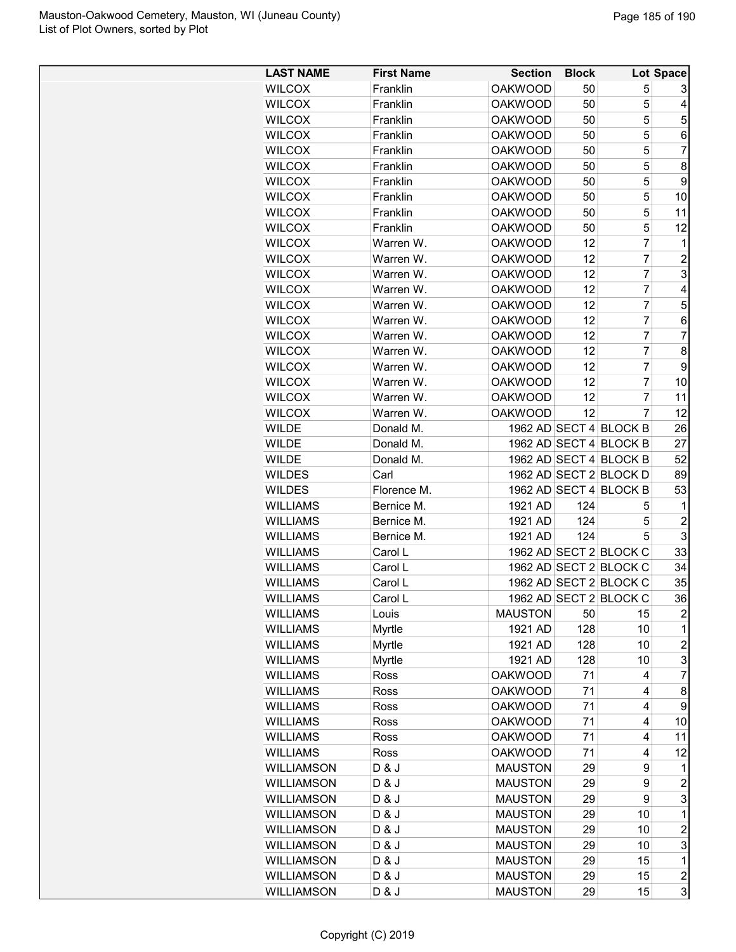| <b>LAST NAME</b>  | <b>First Name</b> | <b>Section</b> | <b>Block</b> |                        | Lot Space               |
|-------------------|-------------------|----------------|--------------|------------------------|-------------------------|
| <b>WILCOX</b>     | Franklin          | <b>OAKWOOD</b> | 50           | 5                      | 3                       |
| <b>WILCOX</b>     | Franklin          | <b>OAKWOOD</b> | 50           | 5                      | 4                       |
| <b>WILCOX</b>     | Franklin          | <b>OAKWOOD</b> | 50           | 5                      | 5                       |
| <b>WILCOX</b>     | Franklin          | <b>OAKWOOD</b> | 50           | 5                      | 6                       |
| <b>WILCOX</b>     | Franklin          | <b>OAKWOOD</b> | 50           | 5                      | 7                       |
| <b>WILCOX</b>     | Franklin          | <b>OAKWOOD</b> | 50           | 5                      | 8                       |
| <b>WILCOX</b>     | Franklin          | <b>OAKWOOD</b> | 50           | 5                      | 9                       |
| <b>WILCOX</b>     | Franklin          | <b>OAKWOOD</b> | 50           | 5                      | 10                      |
| <b>WILCOX</b>     | Franklin          | <b>OAKWOOD</b> | 50           | 5                      | 11                      |
| <b>WILCOX</b>     | Franklin          | <b>OAKWOOD</b> | 50           | 5                      | 12                      |
| <b>WILCOX</b>     | Warren W.         | <b>OAKWOOD</b> | 12           | 7                      | $\mathbf 1$             |
| <b>WILCOX</b>     | Warren W.         | <b>OAKWOOD</b> | 12           | 7                      | $\overline{c}$          |
| <b>WILCOX</b>     | Warren W.         | <b>OAKWOOD</b> | 12           | 7                      | 3                       |
| <b>WILCOX</b>     | Warren W.         | <b>OAKWOOD</b> | 12           | $\overline{7}$         | 4                       |
|                   | Warren W.         |                |              | $\overline{7}$         |                         |
| <b>WILCOX</b>     |                   | <b>OAKWOOD</b> | 12           |                        | 5                       |
| <b>WILCOX</b>     | Warren W.         | <b>OAKWOOD</b> | 12           | $\overline{7}$         | 6                       |
| <b>WILCOX</b>     | Warren W.         | <b>OAKWOOD</b> | 12           | $\overline{7}$         | $\overline{7}$          |
| <b>WILCOX</b>     | Warren W.         | <b>OAKWOOD</b> | 12           | 7                      | 8                       |
| <b>WILCOX</b>     | Warren W.         | <b>OAKWOOD</b> | 12           | 7                      | 9                       |
| <b>WILCOX</b>     | Warren W.         | <b>OAKWOOD</b> | 12           | 7                      | 10                      |
| <b>WILCOX</b>     | Warren W.         | <b>OAKWOOD</b> | 12           | $\overline{7}$         | 11                      |
| <b>WILCOX</b>     | Warren W.         | <b>OAKWOOD</b> | 12           | 7                      | 12                      |
| <b>WILDE</b>      | Donald M.         |                |              | 1962 AD SECT 4 BLOCK B | 26                      |
| <b>WILDE</b>      | Donald M.         |                |              | 1962 AD SECT 4 BLOCK B | 27                      |
| <b>WILDE</b>      | Donald M.         |                |              | 1962 AD SECT 4 BLOCK B | 52                      |
| <b>WILDES</b>     | Carl              |                |              | 1962 AD SECT 2 BLOCK D | 89                      |
| <b>WILDES</b>     | Florence M.       |                |              | 1962 AD SECT 4 BLOCK B | 53                      |
| <b>WILLIAMS</b>   | Bernice M.        | 1921 AD        | 124          | 5                      | 1                       |
| <b>WILLIAMS</b>   | Bernice M.        | 1921 AD        | 124          | 5                      | $\overline{c}$          |
| <b>WILLIAMS</b>   | Bernice M.        | 1921 AD        | 124          | 5                      | 3                       |
| <b>WILLIAMS</b>   | Carol L           |                |              | 1962 AD SECT 2 BLOCK C | 33                      |
| <b>WILLIAMS</b>   | Carol L           |                |              | 1962 AD SECT 2 BLOCK C | 34                      |
| <b>WILLIAMS</b>   | Carol L           |                |              | 1962 AD SECT 2 BLOCK C | 35                      |
| <b>WILLIAMS</b>   | Carol L           |                |              | 1962 AD SECT 2 BLOCK C | 36                      |
| <b>WILLIAMS</b>   | Louis             | <b>MAUSTON</b> | 50           | 15                     | $\overline{2}$          |
| <b>WILLIAMS</b>   | Myrtle            | 1921 AD        | 128          | 10                     | 1                       |
| <b>WILLIAMS</b>   | Myrtle            | 1921 AD        | 128          | 10                     | $\overline{c}$          |
| <b>WILLIAMS</b>   | Myrtle            | 1921 AD        | 128          | 10                     | 3                       |
| <b>WILLIAMS</b>   | Ross              | <b>OAKWOOD</b> | 71           | $\overline{4}$         | 7                       |
| <b>WILLIAMS</b>   | Ross              | <b>OAKWOOD</b> | 71           | 4                      | 8                       |
| <b>WILLIAMS</b>   | Ross              | <b>OAKWOOD</b> | 71           | 4                      | 9                       |
| <b>WILLIAMS</b>   | Ross              | <b>OAKWOOD</b> | 71           | 4                      | 10                      |
| <b>WILLIAMS</b>   |                   |                | 71           | 4                      |                         |
|                   | Ross              | <b>OAKWOOD</b> |              |                        | 11                      |
| <b>WILLIAMS</b>   | Ross              | <b>OAKWOOD</b> | 71           | 4                      | 12                      |
| <b>WILLIAMSON</b> | D & J             | <b>MAUSTON</b> | 29           | 9                      | 1                       |
| <b>WILLIAMSON</b> | D & J             | <b>MAUSTON</b> | 29           | 9                      | $\overline{c}$          |
| WILLIAMSON        | D & J             | <b>MAUSTON</b> | 29           | 9                      | 3                       |
| <b>WILLIAMSON</b> | D & J             | <b>MAUSTON</b> | 29           | 10                     | $\mathbf 1$             |
| <b>WILLIAMSON</b> | D & J             | <b>MAUSTON</b> | 29           | 10                     | $\overline{\mathbf{c}}$ |
| <b>WILLIAMSON</b> | D & J             | <b>MAUSTON</b> | 29           | 10                     | 3                       |
| WILLIAMSON        | D & J             | <b>MAUSTON</b> | 29           | 15                     | $\mathbf{1}$            |
| <b>WILLIAMSON</b> | D & J             | <b>MAUSTON</b> | 29           | 15                     | 2                       |
| WILLIAMSON        | D & J             | <b>MAUSTON</b> | 29           | 15                     | $\mathbf{3}$            |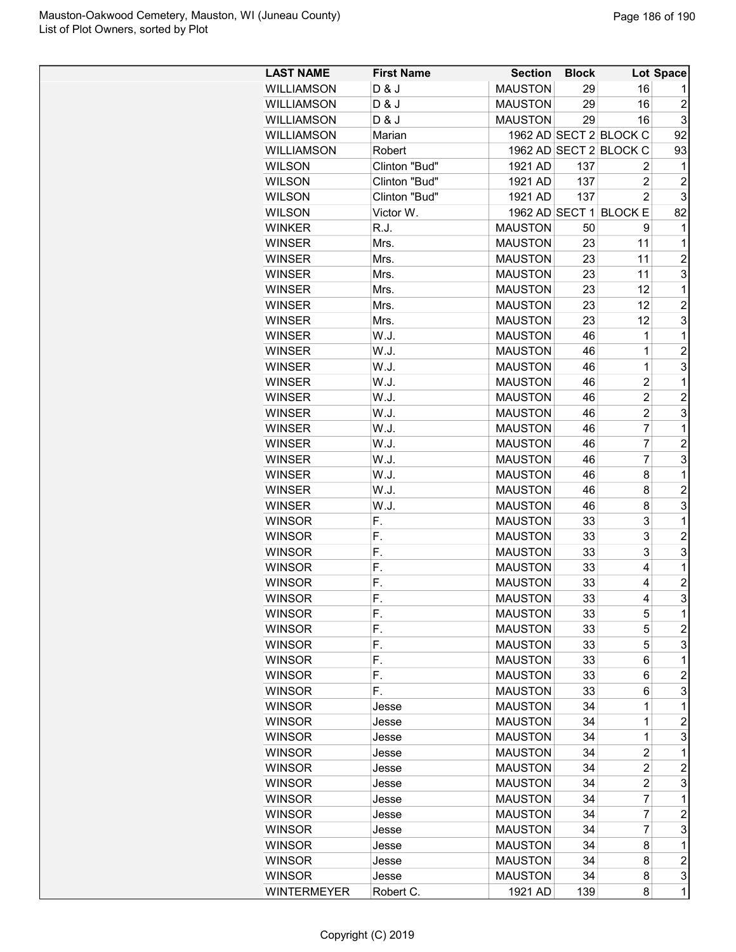| <b>LAST NAME</b>   | <b>First Name</b> | <b>Section</b> | <b>Block</b> |                        | Lot Space      |
|--------------------|-------------------|----------------|--------------|------------------------|----------------|
| <b>WILLIAMSON</b>  | D & J             | <b>MAUSTON</b> | 29           | 16                     | 1              |
| <b>WILLIAMSON</b>  | D & J             | <b>MAUSTON</b> | 29           | 16                     | $\overline{2}$ |
| <b>WILLIAMSON</b>  | D & J             | <b>MAUSTON</b> | 29           | 16                     | 3              |
| <b>WILLIAMSON</b>  | Marian            |                |              | 1962 AD SECT 2 BLOCK C | 92             |
|                    |                   |                |              | 1962 AD SECT 2 BLOCK C |                |
| <b>WILLIAMSON</b>  | Robert            |                |              |                        | 93             |
| <b>WILSON</b>      | Clinton "Bud"     | 1921 AD        | 137          | 2                      | 1              |
| <b>WILSON</b>      | Clinton "Bud"     | 1921 AD        | 137          | $\overline{c}$         | $\overline{c}$ |
| <b>WILSON</b>      | Clinton "Bud"     | 1921 AD        | 137          | $\overline{2}$         | 3              |
| <b>WILSON</b>      | Victor W.         |                |              | 1962 AD SECT 1 BLOCK E | 82             |
| <b>WINKER</b>      | R.J.              | <b>MAUSTON</b> | 50           | 9                      | 1              |
| <b>WINSER</b>      | Mrs.              | <b>MAUSTON</b> | 23           | 11                     | 1              |
| <b>WINSER</b>      | Mrs.              | <b>MAUSTON</b> | 23           | 11                     | $\overline{c}$ |
| <b>WINSER</b>      | Mrs.              | <b>MAUSTON</b> | 23           | 11                     | 3              |
| <b>WINSER</b>      | Mrs.              | <b>MAUSTON</b> | 23           | 12                     | 1              |
| <b>WINSER</b>      | Mrs.              | <b>MAUSTON</b> | 23           | 12                     | $\overline{c}$ |
| <b>WINSER</b>      | Mrs.              | <b>MAUSTON</b> | 23           | 12                     | 3              |
| <b>WINSER</b>      | W.J.              | <b>MAUSTON</b> | 46           | 1                      | 1              |
| <b>WINSER</b>      | W.J.              | <b>MAUSTON</b> | 46           | $\mathbf 1$            | $\overline{c}$ |
| <b>WINSER</b>      | W.J.              | <b>MAUSTON</b> | 46           | $\mathbf{1}$           | 3              |
| <b>WINSER</b>      | W.J.              | <b>MAUSTON</b> | 46           | $\overline{c}$         | 1              |
| <b>WINSER</b>      | W.J.              | <b>MAUSTON</b> | 46           | $\overline{2}$         | $\overline{2}$ |
| <b>WINSER</b>      | W.J.              | <b>MAUSTON</b> | 46           | $\overline{2}$         | 3              |
| <b>WINSER</b>      | W.J.              | <b>MAUSTON</b> | 46           | $\overline{7}$         | $\mathbf{1}$   |
| <b>WINSER</b>      | W.J.              | <b>MAUSTON</b> | 46           | $\overline{7}$         | $\overline{c}$ |
| <b>WINSER</b>      | W.J.              | <b>MAUSTON</b> | 46           | $\overline{7}$         | 3              |
| <b>WINSER</b>      | W.J.              | <b>MAUSTON</b> | 46           | 8                      | 1              |
| <b>WINSER</b>      | W.J.              | <b>MAUSTON</b> | 46           | 8                      | $\overline{2}$ |
| <b>WINSER</b>      | W.J.              | <b>MAUSTON</b> | 46           | 8                      | 3              |
| <b>WINSOR</b>      | F.                | <b>MAUSTON</b> | 33           | 3                      | $\mathbf 1$    |
|                    |                   |                |              | 3                      | $\overline{2}$ |
| <b>WINSOR</b>      | F.                | <b>MAUSTON</b> | 33           |                        |                |
| <b>WINSOR</b>      | F.                | <b>MAUSTON</b> | 33           | 3                      | 3              |
| <b>WINSOR</b>      | F.                | <b>MAUSTON</b> | 33           | 4                      | 1              |
| <b>WINSOR</b>      | F.                | <b>MAUSTON</b> | 33           | 4                      | $\overline{c}$ |
| <b>WINSOR</b>      | F.                | <b>MAUSTON</b> | 33           | 4                      | 3              |
| <b>WINSOR</b>      | F.                | <b>MAUSTON</b> | 33           | 5                      | 1              |
| <b>WINSOR</b>      | F.                | <b>MAUSTON</b> | 33           | 5                      | 2              |
| <b>WINSOR</b>      | F.                | <b>MAUSTON</b> | 33           | 5                      | 3              |
| <b>WINSOR</b>      | F.                | <b>MAUSTON</b> | 33           | 6                      | 1              |
| <b>WINSOR</b>      | F.                | <b>MAUSTON</b> | 33           | 6                      | $\overline{c}$ |
| <b>WINSOR</b>      | F.                | <b>MAUSTON</b> | 33           | 6                      | 3              |
| <b>WINSOR</b>      | Jesse             | <b>MAUSTON</b> | 34           | 1                      | 1              |
| <b>WINSOR</b>      | Jesse             | <b>MAUSTON</b> | 34           | 1                      | $\overline{c}$ |
| <b>WINSOR</b>      | Jesse             | <b>MAUSTON</b> | 34           | 1                      | 3              |
| <b>WINSOR</b>      | Jesse             | <b>MAUSTON</b> | 34           | $\overline{c}$         | 1              |
| <b>WINSOR</b>      | Jesse             | <b>MAUSTON</b> | 34           | $\overline{c}$         | 2              |
| <b>WINSOR</b>      | Jesse             | <b>MAUSTON</b> | 34           | $\overline{2}$         | 3              |
| <b>WINSOR</b>      | Jesse             | <b>MAUSTON</b> | 34           | $\overline{7}$         | 1              |
| <b>WINSOR</b>      | Jesse             | <b>MAUSTON</b> | 34           | $\overline{7}$         | $\overline{2}$ |
| <b>WINSOR</b>      | Jesse             | <b>MAUSTON</b> | 34           | 7                      | 3              |
| <b>WINSOR</b>      | Jesse             | <b>MAUSTON</b> | 34           | 8                      | 1              |
| <b>WINSOR</b>      | Jesse             | <b>MAUSTON</b> | 34           | 8                      | $\overline{c}$ |
| <b>WINSOR</b>      | Jesse             | <b>MAUSTON</b> | 34           | 8                      | 3              |
|                    |                   |                |              |                        |                |
| <b>WINTERMEYER</b> | Robert C.         | 1921 AD        | 139          | 8                      | 1              |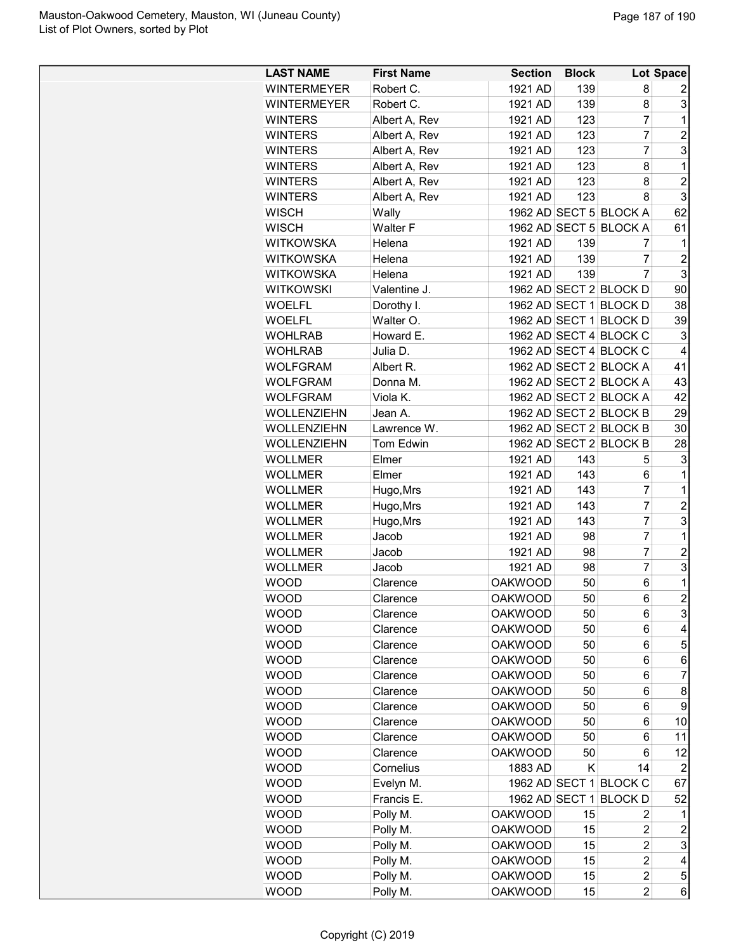| <b>LAST NAME</b>   | <b>First Name</b> | <b>Section</b> | <b>Block</b> |                        | Lot Space           |
|--------------------|-------------------|----------------|--------------|------------------------|---------------------|
| <b>WINTERMEYER</b> | Robert C.         | 1921 AD        | 139          | 8                      | 2                   |
| <b>WINTERMEYER</b> | Robert C.         | 1921 AD        | 139          | 8                      | 3                   |
| <b>WINTERS</b>     | Albert A, Rev     | 1921 AD        | 123          | $\overline{7}$         | 1                   |
| <b>WINTERS</b>     | Albert A, Rev     | 1921 AD        | 123          | $\overline{7}$         | $\overline{2}$      |
| <b>WINTERS</b>     | Albert A, Rev     | 1921 AD        | 123          | 7                      | 3                   |
| <b>WINTERS</b>     | Albert A, Rev     | 1921 AD        | 123          | 8                      | 1                   |
| <b>WINTERS</b>     | Albert A, Rev     | 1921 AD        | 123          | 8                      | $\overline{2}$      |
| <b>WINTERS</b>     | Albert A, Rev     | 1921 AD        | 123          | 8                      | 3                   |
| <b>WISCH</b>       | Wally             |                |              | 1962 AD SECT 5 BLOCK A | 62                  |
| <b>WISCH</b>       | <b>Walter F</b>   |                |              | 1962 AD SECT 5 BLOCK A | 61                  |
| <b>WITKOWSKA</b>   | Helena            | 1921 AD        | 139          | 7                      | 1                   |
| <b>WITKOWSKA</b>   | Helena            | 1921 AD        | 139          | 7                      | $\overline{2}$      |
| <b>WITKOWSKA</b>   | Helena            | 1921 AD        | 139          | 7                      | 3                   |
| <b>WITKOWSKI</b>   | Valentine J.      |                |              | 1962 AD SECT 2 BLOCK D | 90                  |
| <b>WOELFL</b>      | Dorothy I.        |                |              | 1962 AD SECT 1 BLOCK D | 38                  |
| <b>WOELFL</b>      | Walter O.         |                |              | 1962 AD SECT 1 BLOCK D | 39                  |
| <b>WOHLRAB</b>     | Howard E.         |                |              | 1962 AD SECT 4 BLOCK C | 3                   |
| <b>WOHLRAB</b>     | Julia D.          |                |              | 1962 AD SECT 4 BLOCK C | 4                   |
| <b>WOLFGRAM</b>    | Albert R.         |                |              | 1962 AD SECT 2 BLOCK A | 41                  |
| <b>WOLFGRAM</b>    | Donna M.          |                |              | 1962 AD SECT 2 BLOCK A | 43                  |
| <b>WOLFGRAM</b>    | Viola K.          |                |              | 1962 AD SECT 2 BLOCK A | 42                  |
| <b>WOLLENZIEHN</b> | Jean A.           |                |              | 1962 AD SECT 2 BLOCK B | 29                  |
| <b>WOLLENZIEHN</b> | Lawrence W.       |                |              | 1962 AD SECT 2 BLOCK B | 30                  |
| WOLLENZIEHN        | <b>Tom Edwin</b>  |                |              | 1962 AD SECT 2 BLOCK B | 28                  |
| <b>WOLLMER</b>     | Elmer             | 1921 AD        | 143          | 5                      | 3                   |
| <b>WOLLMER</b>     | Elmer             | 1921 AD        | 143          | 6                      | 1                   |
| <b>WOLLMER</b>     |                   | 1921 AD        | 143          | $\overline{7}$         | $\mathbf 1$         |
| <b>WOLLMER</b>     | Hugo, Mrs         | 1921 AD        | 143          | 7                      | $\overline{c}$      |
|                    | Hugo, Mrs         | 1921 AD        | 143          | 7                      | 3                   |
| <b>WOLLMER</b>     | Hugo, Mrs         | 1921 AD        | 98           | $\overline{7}$         | 1                   |
| <b>WOLLMER</b>     | Jacob             | 1921 AD        |              | $\overline{7}$         | $\overline{c}$      |
| <b>WOLLMER</b>     | Jacob             |                | 98           | $\overline{7}$         | 3                   |
| <b>WOLLMER</b>     | Jacob             | 1921 AD        | 98           |                        |                     |
| <b>WOOD</b>        | Clarence          | <b>OAKWOOD</b> | 50           | 6                      | 1<br>$\overline{2}$ |
| <b>WOOD</b>        | Clarence          | <b>OAKWOOD</b> | 50           | 6                      |                     |
| <b>WOOD</b>        | Clarence          | <b>OAKWOOD</b> | 50           | 6                      | 3                   |
| <b>WOOD</b>        | Clarence          | <b>OAKWOOD</b> | 50           | 6                      | 4                   |
| <b>WOOD</b>        | Clarence          | <b>OAKWOOD</b> | 50           | 6                      | 5                   |
| <b>WOOD</b>        | Clarence          | <b>OAKWOOD</b> | 50           | 6                      | 6                   |
| <b>WOOD</b>        | Clarence          | <b>OAKWOOD</b> | 50           | 6                      | 7                   |
| <b>WOOD</b>        | Clarence          | <b>OAKWOOD</b> | 50           | 6                      | 8                   |
| <b>WOOD</b>        | Clarence          | <b>OAKWOOD</b> | 50           | 6                      | 9                   |
| <b>WOOD</b>        | Clarence          | <b>OAKWOOD</b> | 50           | 6                      | 10                  |
| <b>WOOD</b>        | Clarence          | <b>OAKWOOD</b> | 50           | 6                      | 11                  |
| <b>WOOD</b>        | Clarence          | <b>OAKWOOD</b> | 50           | 6                      | 12                  |
| <b>WOOD</b>        | Cornelius         | 1883 AD        | K            | 14                     | 2                   |
| <b>WOOD</b>        | Evelyn M.         |                |              | 1962 AD SECT 1 BLOCK C | 67                  |
| <b>WOOD</b>        | Francis E.        | 1962 AD SECT 1 |              | <b>BLOCKD</b>          | 52                  |
| <b>WOOD</b>        | Polly M.          | <b>OAKWOOD</b> | 15           | 2                      | 1                   |
| <b>WOOD</b>        | Polly M.          | <b>OAKWOOD</b> | 15           | $\overline{c}$         | $\overline{c}$      |
| <b>WOOD</b>        | Polly M.          | <b>OAKWOOD</b> | 15           | $\overline{c}$         | 3                   |
| WOOD               | Polly M.          | <b>OAKWOOD</b> | 15           | $\overline{c}$         | 4                   |
| <b>WOOD</b>        | Polly M.          | <b>OAKWOOD</b> | 15           | $\overline{c}$         | 5                   |
| <b>WOOD</b>        | Polly M.          | <b>OAKWOOD</b> | 15           | $\overline{c}$         | 6                   |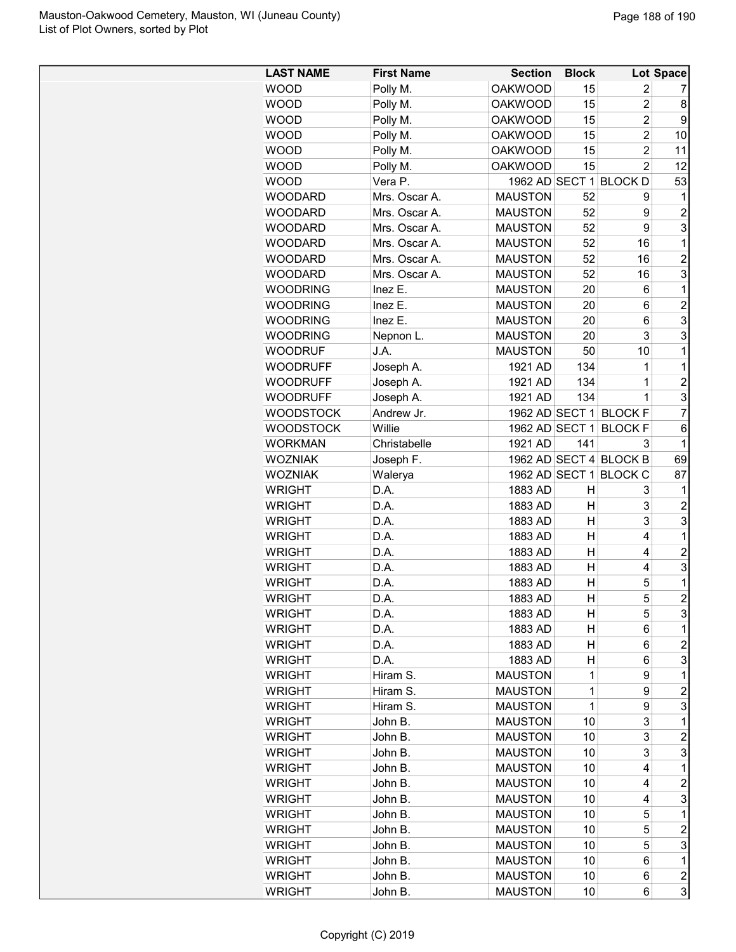| <b>LAST NAME</b> | <b>First Name</b>    | <b>Section</b> | <b>Block</b>   |                        | Lot Space           |
|------------------|----------------------|----------------|----------------|------------------------|---------------------|
| <b>WOOD</b>      | Polly M.             | <b>OAKWOOD</b> | 15             | 2                      | 7                   |
| <b>WOOD</b>      | Polly M.             | <b>OAKWOOD</b> | 15             | $\overline{c}$         | 8                   |
| <b>WOOD</b>      | Polly M.             | <b>OAKWOOD</b> | 15             | $\overline{c}$         | 9                   |
| <b>WOOD</b>      | Polly M.             | <b>OAKWOOD</b> | 15             | $\overline{c}$         | 10                  |
| <b>WOOD</b>      | Polly M.             | <b>OAKWOOD</b> | 15             | $\overline{2}$         | 11                  |
| <b>WOOD</b>      | Polly M.             | <b>OAKWOOD</b> | 15             | $\overline{2}$         | 12                  |
| <b>WOOD</b>      | Vera P.              |                |                | 1962 AD SECT 1 BLOCK D | 53                  |
| <b>WOODARD</b>   | Mrs. Oscar A.        | <b>MAUSTON</b> | 52             | 9                      | 1                   |
| <b>WOODARD</b>   | Mrs. Oscar A.        | <b>MAUSTON</b> | 52             | 9                      | $\overline{2}$      |
| <b>WOODARD</b>   | Mrs. Oscar A.        | <b>MAUSTON</b> | 52             | 9                      | 3                   |
| <b>WOODARD</b>   | Mrs. Oscar A.        | <b>MAUSTON</b> | 52             | 16                     | 1                   |
| <b>WOODARD</b>   | Mrs. Oscar A.        | <b>MAUSTON</b> | 52             | 16                     | $\overline{c}$      |
| <b>WOODARD</b>   | Mrs. Oscar A.        | <b>MAUSTON</b> | 52             | 16                     | 3                   |
| <b>WOODRING</b>  | Inez E.              | <b>MAUSTON</b> | 20             | 6                      | 1                   |
| <b>WOODRING</b>  | Inez E.              | <b>MAUSTON</b> | 20             | 6                      | $\overline{c}$      |
| <b>WOODRING</b>  | Inez E.              | <b>MAUSTON</b> | 20             | 6                      | 3                   |
| <b>WOODRING</b>  | Nepnon L.            | <b>MAUSTON</b> | 20             | 3                      | 3                   |
| <b>WOODRUF</b>   | J.A.                 | <b>MAUSTON</b> | 50             | 10                     | 1                   |
| <b>WOODRUFF</b>  | Joseph A.            | 1921 AD        | 134            | 1                      | 1                   |
| <b>WOODRUFF</b>  | Joseph A.            | 1921 AD        | 134            | $\mathbf 1$            | $\overline{c}$      |
| <b>WOODRUFF</b>  | Joseph A.            | 1921 AD        | 134            | 1                      | 3                   |
| <b>WOODSTOCK</b> | Andrew Jr.           |                |                | 1962 AD SECT 1 BLOCK F | $\overline{7}$      |
| <b>WOODSTOCK</b> | Willie               | 1962 AD SECT 1 |                | <b>BLOCKF</b>          | 6                   |
| <b>WORKMAN</b>   | Christabelle         | 1921 AD        | 141            | 3                      | 1                   |
| <b>WOZNIAK</b>   |                      |                |                | 1962 AD SECT 4 BLOCK B | 69                  |
| <b>WOZNIAK</b>   | Joseph F.<br>Walerya |                |                | 1962 AD SECT 1 BLOCK C | 87                  |
| <b>WRIGHT</b>    | D.A.                 | 1883 AD        | Η              |                        | 1                   |
|                  |                      |                |                | 3<br>3                 |                     |
| <b>WRIGHT</b>    | D.A.                 | 1883 AD        | Н              |                        | $\overline{c}$      |
| <b>WRIGHT</b>    | D.A.                 | 1883 AD        | Н              | 3                      | 3                   |
| <b>WRIGHT</b>    | D.A.                 | 1883 AD        | Η              | 4                      | 1                   |
| <b>WRIGHT</b>    | D.A.                 | 1883 AD        | Η              | 4                      | $\overline{2}$      |
| <b>WRIGHT</b>    | D.A.                 | 1883 AD        | Н              | 4                      | 3                   |
| <b>WRIGHT</b>    | D.A.                 | 1883 AD        | $\overline{H}$ | 5                      | 1<br>$\overline{2}$ |
| <b>WRIGHT</b>    | D.A.                 | 1883 AD        | Η              | 5                      |                     |
| <b>WRIGHT</b>    | D.A.                 | 1883 AD        | н              | 5                      | 3                   |
| <b>WRIGHT</b>    | D.A.                 | 1883 AD        | н              | 6                      | 1                   |
| <b>WRIGHT</b>    | D.A.                 | 1883 AD        | н              | 6                      | 2                   |
| <b>WRIGHT</b>    | D.A.                 | 1883 AD        | н              | 6                      | 3                   |
| WRIGHT           | Hiram S.             | <b>MAUSTON</b> | 1              | 9                      | 1                   |
| <b>WRIGHT</b>    | Hiram S.             | <b>MAUSTON</b> | 1              | 9                      | $\overline{c}$      |
| <b>WRIGHT</b>    | Hiram S.             | <b>MAUSTON</b> | 1              | 9                      | 3                   |
| <b>WRIGHT</b>    | John B.              | <b>MAUSTON</b> | 10             | 3                      | 1                   |
| <b>WRIGHT</b>    | John B.              | <b>MAUSTON</b> | 10             | 3                      | $\overline{c}$      |
| <b>WRIGHT</b>    | John B.              | <b>MAUSTON</b> | 10             | 3                      | 3                   |
| <b>WRIGHT</b>    | John B.              | <b>MAUSTON</b> | 10             | 4                      | 1                   |
| <b>WRIGHT</b>    | John B.              | <b>MAUSTON</b> | 10             | 4                      | 2                   |
| <b>WRIGHT</b>    | John B.              | <b>MAUSTON</b> | 10             | 4                      | 3                   |
| <b>WRIGHT</b>    | John B.              | <b>MAUSTON</b> | 10             | 5                      | 1                   |
| <b>WRIGHT</b>    | John B.              | <b>MAUSTON</b> | 10             | 5                      | $\overline{2}$      |
| <b>WRIGHT</b>    | John B.              | <b>MAUSTON</b> | 10             | 5                      | 3                   |
| <b>WRIGHT</b>    | John B.              | <b>MAUSTON</b> | 10             | 6                      | 1                   |
| <b>WRIGHT</b>    | John B.              | <b>MAUSTON</b> | 10             | 6                      | $\boldsymbol{2}$    |
| <b>WRIGHT</b>    | John B.              | <b>MAUSTON</b> | 10             | 6                      | 3                   |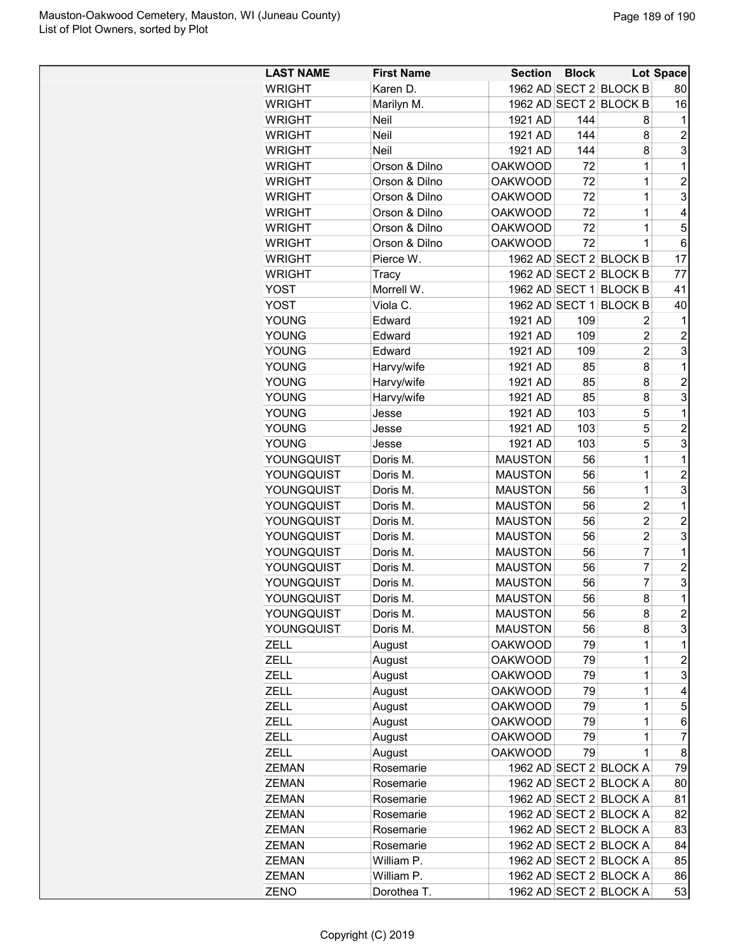| <b>LAST NAME</b> | <b>First Name</b> | <b>Section</b> | <b>Block</b> |                        | Lot Space      |
|------------------|-------------------|----------------|--------------|------------------------|----------------|
| <b>WRIGHT</b>    | Karen D.          |                |              | 1962 AD SECT 2 BLOCK B | 80             |
| <b>WRIGHT</b>    | Marilyn M.        |                |              | 1962 AD SECT 2 BLOCK B | 16             |
| <b>WRIGHT</b>    | Neil              | 1921 AD        | 144          | 8                      | 1              |
| <b>WRIGHT</b>    | Neil              | 1921 AD        | 144          | 8                      | $\overline{2}$ |
| <b>WRIGHT</b>    | Neil              | 1921 AD        | 144          | 8                      | 3              |
| <b>WRIGHT</b>    | Orson & Dilno     | <b>OAKWOOD</b> | 72           | 1                      | $\mathbf 1$    |
| <b>WRIGHT</b>    | Orson & Dilno     | <b>OAKWOOD</b> | 72           | 1                      | 2              |
| <b>WRIGHT</b>    | Orson & Dilno     | <b>OAKWOOD</b> | 72           | 1                      | 3              |
| <b>WRIGHT</b>    | Orson & Dilno     | <b>OAKWOOD</b> | 72           | 1                      | 4              |
| <b>WRIGHT</b>    | Orson & Dilno     | <b>OAKWOOD</b> | 72           | 1                      | 5              |
| <b>WRIGHT</b>    | Orson & Dilno     | <b>OAKWOOD</b> | 72           | 1                      | 6              |
| <b>WRIGHT</b>    | Pierce W.         |                |              | 1962 AD SECT 2 BLOCK B | 17             |
| <b>WRIGHT</b>    | Tracy             |                |              | 1962 AD SECT 2 BLOCK B | 77             |
| <b>YOST</b>      | Morrell W.        |                |              | 1962 AD SECT 1 BLOCK B | 41             |
| <b>YOST</b>      | Viola C.          |                |              | 1962 AD SECT 1 BLOCK B | 40             |
| <b>YOUNG</b>     | Edward            | 1921 AD        | 109          | 2                      | 1              |
| <b>YOUNG</b>     | Edward            | 1921 AD        | 109          | $\overline{c}$         | $\overline{c}$ |
| <b>YOUNG</b>     | Edward            | 1921 AD        | 109          | $\overline{2}$         | 3              |
| <b>YOUNG</b>     | Harvy/wife        | 1921 AD        | 85           | 8                      | 1              |
| YOUNG            | Harvy/wife        | 1921 AD        | 85           | 8                      | $\overline{2}$ |
| YOUNG            | Harvy/wife        | 1921 AD        | 85           | 8                      | 3              |
| YOUNG            | Jesse             | 1921 AD        | 103          | 5                      | $\mathbf{1}$   |
| <b>YOUNG</b>     | Jesse             | 1921 AD        | 103          | 5                      | 2              |
| <b>YOUNG</b>     | Jesse             | 1921 AD        | 103          | 5                      | 3              |
| YOUNGQUIST       | Doris M.          | <b>MAUSTON</b> | 56           | 1                      | $\mathbf{1}$   |
| YOUNGQUIST       | Doris M.          | <b>MAUSTON</b> | 56           | 1                      | $\overline{c}$ |
| YOUNGQUIST       | Doris M.          | <b>MAUSTON</b> | 56           | $\mathbf 1$            | 3              |
| YOUNGQUIST       | Doris M.          | <b>MAUSTON</b> | 56           | $\overline{2}$         | 1              |
| YOUNGQUIST       | Doris M.          | <b>MAUSTON</b> | 56           | $\overline{2}$         | $\overline{2}$ |
| YOUNGQUIST       | Doris M.          | <b>MAUSTON</b> | 56           | $\overline{2}$         | 3              |
| YOUNGQUIST       | Doris M.          | <b>MAUSTON</b> | 56           | 7                      | $\mathbf{1}$   |
| YOUNGQUIST       | Doris M.          | <b>MAUSTON</b> | 56           | 7                      | $\overline{c}$ |
| YOUNGQUIST       | Doris M.          | <b>MAUSTON</b> | 56           | 7                      | 3              |
| YOUNGQUIST       | Doris M.          | <b>MAUSTON</b> | 56           | 8                      | $\mathbf 1$    |
| YOUNGQUIST       |                   |                |              | 8                      | $\overline{c}$ |
|                  | Doris M.          | <b>MAUSTON</b> | 56           |                        | 3              |
| YOUNGQUIST       | Doris M.          | <b>MAUSTON</b> | 56           | 8                      |                |
| ZELL             | August            | <b>OAKWOOD</b> | 79           | 1                      | $\mathbf 1$    |
| <b>ZELL</b>      | August            | <b>OAKWOOD</b> | 79           | 1                      | $\overline{c}$ |
| <b>ZELL</b>      | August            | <b>OAKWOOD</b> | 79           | 1                      | 3              |
| <b>ZELL</b>      | August            | <b>OAKWOOD</b> | 79           | 1                      | 4              |
| <b>ZELL</b>      | August            | <b>OAKWOOD</b> | 79           | 1                      | 5              |
| ZELL             | August            | <b>OAKWOOD</b> | 79           | 1                      | 6              |
| ZELL             | August            | <b>OAKWOOD</b> | 79           | 1                      | 7              |
| <b>ZELL</b>      | August            | <b>OAKWOOD</b> | 79           | 1                      | 8              |
| <b>ZEMAN</b>     | Rosemarie         |                |              | 1962 AD SECT 2 BLOCK A | 79             |
| ZEMAN            | Rosemarie         |                |              | 1962 AD SECT 2 BLOCK A | 80             |
| <b>ZEMAN</b>     | Rosemarie         |                |              | 1962 AD SECT 2 BLOCK A | 81             |
| <b>ZEMAN</b>     | Rosemarie         |                |              | 1962 AD SECT 2 BLOCK A | 82             |
| <b>ZEMAN</b>     | Rosemarie         |                |              | 1962 AD SECT 2 BLOCK A | 83             |
| <b>ZEMAN</b>     | Rosemarie         |                |              | 1962 AD SECT 2 BLOCK A | 84             |
| <b>ZEMAN</b>     | William P.        |                |              | 1962 AD SECT 2 BLOCK A | 85             |
| <b>ZEMAN</b>     | William P.        |                |              | 1962 AD SECT 2 BLOCK A | 86             |
| ZENO             | Dorothea T.       |                |              | 1962 AD SECT 2 BLOCK A | 53             |